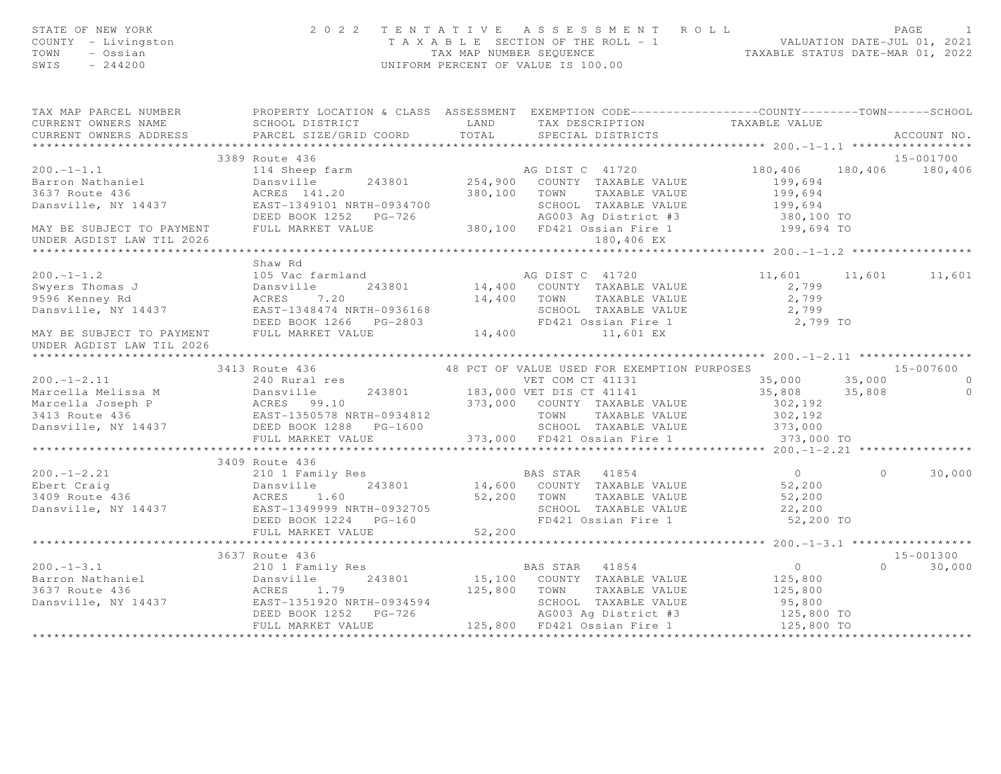| STATE OF NEW YORK<br>COUNTY - Livingston<br>TOWN - Ossian<br>SWIS - 244200                                                                                                                                                                                                                                                                                                                                                               |                | 2022 TENTATIVE ASSESSMENT ROLL PAGE 1<br>TAXABLE SECTION OF THE ROLL - 1<br>TAX MAP NUMBER SEQUENCE TAXABLE STATUS DATE-MAR 01, 2022<br>UNIFORM PERCENT OF VALUE IS 100.00 |  |                    |
|------------------------------------------------------------------------------------------------------------------------------------------------------------------------------------------------------------------------------------------------------------------------------------------------------------------------------------------------------------------------------------------------------------------------------------------|----------------|----------------------------------------------------------------------------------------------------------------------------------------------------------------------------|--|--------------------|
| TAX MAP PARCEL NUMBER PROPERTY LOCATION & CLASS ASSESSMENT EXEMPTION CODE---------------COUNTY-------TOWN------SCHOOL                                                                                                                                                                                                                                                                                                                    |                |                                                                                                                                                                            |  |                    |
| CURRENT OWNERS NAME<br>CURRENT OWNERS ADDRESS                                                                                                                                                                                                                                                                                                                                                                                            |                |                                                                                                                                                                            |  |                    |
|                                                                                                                                                                                                                                                                                                                                                                                                                                          |                |                                                                                                                                                                            |  | ACCOUNT NO.        |
|                                                                                                                                                                                                                                                                                                                                                                                                                                          | 3389 Route 436 |                                                                                                                                                                            |  | 15-001700          |
|                                                                                                                                                                                                                                                                                                                                                                                                                                          |                |                                                                                                                                                                            |  |                    |
|                                                                                                                                                                                                                                                                                                                                                                                                                                          |                |                                                                                                                                                                            |  |                    |
|                                                                                                                                                                                                                                                                                                                                                                                                                                          |                |                                                                                                                                                                            |  |                    |
|                                                                                                                                                                                                                                                                                                                                                                                                                                          |                |                                                                                                                                                                            |  |                    |
|                                                                                                                                                                                                                                                                                                                                                                                                                                          |                |                                                                                                                                                                            |  |                    |
|                                                                                                                                                                                                                                                                                                                                                                                                                                          |                |                                                                                                                                                                            |  |                    |
| UNDER AGDIST LAW TIL 2026                                                                                                                                                                                                                                                                                                                                                                                                                |                |                                                                                                                                                                            |  |                    |
|                                                                                                                                                                                                                                                                                                                                                                                                                                          |                |                                                                                                                                                                            |  |                    |
|                                                                                                                                                                                                                                                                                                                                                                                                                                          | Shaw Rd        |                                                                                                                                                                            |  |                    |
|                                                                                                                                                                                                                                                                                                                                                                                                                                          |                |                                                                                                                                                                            |  |                    |
|                                                                                                                                                                                                                                                                                                                                                                                                                                          |                |                                                                                                                                                                            |  |                    |
|                                                                                                                                                                                                                                                                                                                                                                                                                                          |                |                                                                                                                                                                            |  |                    |
|                                                                                                                                                                                                                                                                                                                                                                                                                                          |                |                                                                                                                                                                            |  |                    |
|                                                                                                                                                                                                                                                                                                                                                                                                                                          |                |                                                                                                                                                                            |  |                    |
|                                                                                                                                                                                                                                                                                                                                                                                                                                          |                |                                                                                                                                                                            |  |                    |
|                                                                                                                                                                                                                                                                                                                                                                                                                                          |                |                                                                                                                                                                            |  |                    |
|                                                                                                                                                                                                                                                                                                                                                                                                                                          |                |                                                                                                                                                                            |  |                    |
|                                                                                                                                                                                                                                                                                                                                                                                                                                          |                |                                                                                                                                                                            |  |                    |
|                                                                                                                                                                                                                                                                                                                                                                                                                                          |                |                                                                                                                                                                            |  |                    |
|                                                                                                                                                                                                                                                                                                                                                                                                                                          |                |                                                                                                                                                                            |  |                    |
|                                                                                                                                                                                                                                                                                                                                                                                                                                          |                |                                                                                                                                                                            |  |                    |
|                                                                                                                                                                                                                                                                                                                                                                                                                                          |                |                                                                                                                                                                            |  |                    |
|                                                                                                                                                                                                                                                                                                                                                                                                                                          |                |                                                                                                                                                                            |  |                    |
|                                                                                                                                                                                                                                                                                                                                                                                                                                          |                |                                                                                                                                                                            |  |                    |
|                                                                                                                                                                                                                                                                                                                                                                                                                                          | 3409 Route 436 |                                                                                                                                                                            |  |                    |
|                                                                                                                                                                                                                                                                                                                                                                                                                                          |                |                                                                                                                                                                            |  |                    |
|                                                                                                                                                                                                                                                                                                                                                                                                                                          |                |                                                                                                                                                                            |  |                    |
|                                                                                                                                                                                                                                                                                                                                                                                                                                          |                |                                                                                                                                                                            |  |                    |
|                                                                                                                                                                                                                                                                                                                                                                                                                                          |                |                                                                                                                                                                            |  |                    |
|                                                                                                                                                                                                                                                                                                                                                                                                                                          |                |                                                                                                                                                                            |  |                    |
|                                                                                                                                                                                                                                                                                                                                                                                                                                          |                |                                                                                                                                                                            |  |                    |
|                                                                                                                                                                                                                                                                                                                                                                                                                                          |                |                                                                                                                                                                            |  |                    |
|                                                                                                                                                                                                                                                                                                                                                                                                                                          | 3637 Route 436 |                                                                                                                                                                            |  | 15-001300          |
|                                                                                                                                                                                                                                                                                                                                                                                                                                          |                |                                                                                                                                                                            |  | $\Omega$<br>30,000 |
| $\begin{array}{cccccccc} & & & & & & 3637 \text{ Route } 436 & & & & & & 210 1 & \text{Family Res} & & & & & \text{BAS STAR} & 41854 & & & & & 0 \\ & & & & & & & 210 1 & \text{Family Res} & & & & & \text{BAS STAR} & 41854 & & & & & 0 \\ \text{Barron Mathematical} & & & & & & & & 243801 & & & 15,100 & \text{COUNTY TAXABLE VALUE} & & & 125,800 \\ & & & & & & & & & 243801 & & & 15,100 & \text{COUNTY TAXABLE VALUE} & & & 12$ |                |                                                                                                                                                                            |  |                    |
|                                                                                                                                                                                                                                                                                                                                                                                                                                          |                |                                                                                                                                                                            |  |                    |
|                                                                                                                                                                                                                                                                                                                                                                                                                                          |                |                                                                                                                                                                            |  |                    |
|                                                                                                                                                                                                                                                                                                                                                                                                                                          |                |                                                                                                                                                                            |  |                    |
|                                                                                                                                                                                                                                                                                                                                                                                                                                          |                |                                                                                                                                                                            |  |                    |
|                                                                                                                                                                                                                                                                                                                                                                                                                                          |                |                                                                                                                                                                            |  |                    |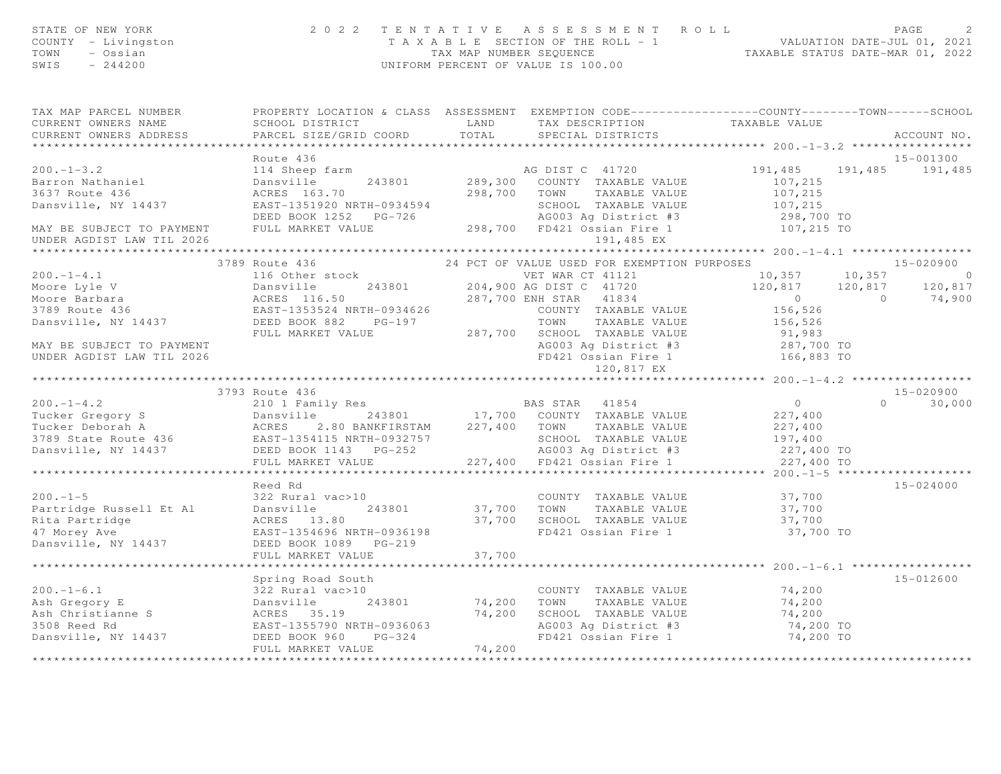| STATE OF NEW YORK<br>COUNTY - Livingston<br>TOWN<br>- Ossian<br>SWIS $-244200$                                                                                                                                                                                 |                                             |        | 2022 TENTATIVE ASSESSMENT ROLL<br>$\begin{tabular}{lllllllllllll} $\text{I} & \text{A} & \text{A} & \text{A} & \text{B} & \text{B} & \text{C} & \text{A} & \text{A} & \text{B} & \text{A} & \text{B} & \text{A} & \text{B} & \text{A} & \text{B} & \text{B} & \text{C} & \text{A} & \text{C} & \text{A} & \text{A} & \text{B} & \text{B} & \text{C} & \text{A} & \text{A} & \text{B} & \text{B} & \text{C} & \text{A} & \text{A} & \text{B} & \text{B} & \text{$ |                          |                              |
|----------------------------------------------------------------------------------------------------------------------------------------------------------------------------------------------------------------------------------------------------------------|---------------------------------------------|--------|------------------------------------------------------------------------------------------------------------------------------------------------------------------------------------------------------------------------------------------------------------------------------------------------------------------------------------------------------------------------------------------------------------------------------------------------------------------|--------------------------|------------------------------|
| TAX MAP PARCEL NUMBER THE PROPERTY LOCATION & CLASS ASSESSMENT EXEMPTION CODE--------------COUNTY-------TOWN------SCHOOL<br>CURRENT OWNERS NAME                                                                                                                | SCHOOL DISTRICT                             |        | LAND TAX DESCRIPTION TAXABLE VALUE                                                                                                                                                                                                                                                                                                                                                                                                                               |                          |                              |
| CURRENT OWNERS ADDRESS                                                                                                                                                                                                                                         | PARCEL SIZE/GRID COORD                      |        | TOTAL SPECIAL DISTRICTS                                                                                                                                                                                                                                                                                                                                                                                                                                          |                          | ACCOUNT NO.                  |
|                                                                                                                                                                                                                                                                | Route 436                                   |        |                                                                                                                                                                                                                                                                                                                                                                                                                                                                  |                          |                              |
| $200 - 1 - 3.2$                                                                                                                                                                                                                                                | 114 Sheep farm                              |        | AG DIST C 41720                                                                                                                                                                                                                                                                                                                                                                                                                                                  | 191,485                  | 15-001300<br>191,485 191,485 |
|                                                                                                                                                                                                                                                                |                                             |        |                                                                                                                                                                                                                                                                                                                                                                                                                                                                  | 107,215                  |                              |
| Barron Nathaniel<br>3637 Route 436                                                                                                                                                                                                                             |                                             |        |                                                                                                                                                                                                                                                                                                                                                                                                                                                                  | 107,215                  |                              |
|                                                                                                                                                                                                                                                                |                                             |        |                                                                                                                                                                                                                                                                                                                                                                                                                                                                  | 107,215                  |                              |
|                                                                                                                                                                                                                                                                |                                             |        |                                                                                                                                                                                                                                                                                                                                                                                                                                                                  |                          |                              |
|                                                                                                                                                                                                                                                                |                                             |        |                                                                                                                                                                                                                                                                                                                                                                                                                                                                  | 298,700 TO<br>107,215 TO |                              |
| 3637 Route 436<br>Dansville, NY 14437<br>DAN BE SUBJECT TO PAYMENT FULL MARKET VALUE<br>THE SUBJECT TO PAYMENT FULL MARKET VALUE<br>THE MARKET VALUE<br>THE MARKET VALUE<br>THE 298,700 FD421 Ossian Fire 1<br>1911,485 EX                                     |                                             |        |                                                                                                                                                                                                                                                                                                                                                                                                                                                                  |                          |                              |
|                                                                                                                                                                                                                                                                |                                             |        |                                                                                                                                                                                                                                                                                                                                                                                                                                                                  |                          |                              |
|                                                                                                                                                                                                                                                                | 3789 Route 436                              |        |                                                                                                                                                                                                                                                                                                                                                                                                                                                                  |                          |                              |
| $200 - 1 - 4.1$                                                                                                                                                                                                                                                | 116 Other stock<br>Dansville 243801 204,900 |        | VET WAR CT 41121                                                                                                                                                                                                                                                                                                                                                                                                                                                 | 10,357                   | $10,357$ 0                   |
|                                                                                                                                                                                                                                                                |                                             |        |                                                                                                                                                                                                                                                                                                                                                                                                                                                                  | 120,817 120,817          | 120,817                      |
|                                                                                                                                                                                                                                                                |                                             |        |                                                                                                                                                                                                                                                                                                                                                                                                                                                                  |                          | 74,900                       |
|                                                                                                                                                                                                                                                                |                                             |        | COUNTY TAXABLE VALUE                                                                                                                                                                                                                                                                                                                                                                                                                                             | 156,526                  |                              |
|                                                                                                                                                                                                                                                                |                                             |        | TOWN TAXABLE VALUE                                                                                                                                                                                                                                                                                                                                                                                                                                               | 156, 526                 |                              |
|                                                                                                                                                                                                                                                                | FULL MARKET VALUE                           |        |                                                                                                                                                                                                                                                                                                                                                                                                                                                                  |                          |                              |
| MAY BE SUBJECT TO PAYMENT                                                                                                                                                                                                                                      |                                             |        | 287,700 SCHOOL TAXABLE VALUE 91,983<br>AG003 Ag District #3 287,700 TO<br>FD421 Ossian Fire 1 166,883 TO                                                                                                                                                                                                                                                                                                                                                         |                          |                              |
| UNDER AGDIST LAW TIL 2026                                                                                                                                                                                                                                      |                                             |        |                                                                                                                                                                                                                                                                                                                                                                                                                                                                  |                          |                              |
|                                                                                                                                                                                                                                                                |                                             |        |                                                                                                                                                                                                                                                                                                                                                                                                                                                                  |                          |                              |
|                                                                                                                                                                                                                                                                | 3793 Route 436                              |        |                                                                                                                                                                                                                                                                                                                                                                                                                                                                  |                          | 15-020900                    |
| Extra 1954<br>Tucker Gregory Samstille 243801<br>Tucker Deborah A<br>3789 State Route 436<br>Dansville, NY 14437<br>DEED BOOK 1143 PG-252<br>TULL MARKET VALUE<br>TULL MARKET VALUE<br>227,400 TOWN TAXABLE VALUE<br>SCHOOL TAXABLE VALUE<br>AG003             |                                             |        |                                                                                                                                                                                                                                                                                                                                                                                                                                                                  | $\overline{0}$           | $0 \t 30,000$                |
|                                                                                                                                                                                                                                                                |                                             |        |                                                                                                                                                                                                                                                                                                                                                                                                                                                                  | 227,400                  |                              |
|                                                                                                                                                                                                                                                                |                                             |        |                                                                                                                                                                                                                                                                                                                                                                                                                                                                  | 227,400                  |                              |
|                                                                                                                                                                                                                                                                |                                             |        | SCHOOL TAXABLE VALUE 197,400<br>AG003 Ag District #3 227,400 TO                                                                                                                                                                                                                                                                                                                                                                                                  |                          |                              |
|                                                                                                                                                                                                                                                                |                                             |        |                                                                                                                                                                                                                                                                                                                                                                                                                                                                  |                          |                              |
|                                                                                                                                                                                                                                                                |                                             |        |                                                                                                                                                                                                                                                                                                                                                                                                                                                                  | 227,400 TO               |                              |
|                                                                                                                                                                                                                                                                |                                             |        |                                                                                                                                                                                                                                                                                                                                                                                                                                                                  |                          |                              |
|                                                                                                                                                                                                                                                                | Reed Rd                                     |        |                                                                                                                                                                                                                                                                                                                                                                                                                                                                  |                          | 15-024000                    |
| $200 - 1 - 5$                                                                                                                                                                                                                                                  | 322 Rural vac>10                            |        | COUNTY TAXABLE VALUE<br>37,700 TOWN TAXABLE VALUE                                                                                                                                                                                                                                                                                                                                                                                                                | 37,700                   |                              |
| Partridge Russell Et Al                                                                                                                                                                                                                                        | Dansville 243801                            |        |                                                                                                                                                                                                                                                                                                                                                                                                                                                                  | 37,700                   |                              |
| Rita Partridge                                                                                                                                                                                                                                                 | ACRES 13.80                                 |        | 37,700 SCHOOL TAXABLE VALUE                                                                                                                                                                                                                                                                                                                                                                                                                                      | 37,700                   |                              |
| 47 Morey Ave                                                                                                                                                                                                                                                   | EAST-1354696 NRTH-0936198                   |        | FD421 Ossian Fire 1                                                                                                                                                                                                                                                                                                                                                                                                                                              | 37,700 TO                |                              |
| Dansville, NY 14437                                                                                                                                                                                                                                            |                                             |        |                                                                                                                                                                                                                                                                                                                                                                                                                                                                  |                          |                              |
|                                                                                                                                                                                                                                                                | FULL MARKET VALUE                           | 37,700 |                                                                                                                                                                                                                                                                                                                                                                                                                                                                  |                          |                              |
|                                                                                                                                                                                                                                                                |                                             |        |                                                                                                                                                                                                                                                                                                                                                                                                                                                                  |                          | 15-012600                    |
| 200.-1-6.1<br>Ash Gregory E<br>Ash Christianne S<br>Ash Christianne S<br>3508 Reed Rd<br>Dansville, NY 14437<br>DEED BOOK 960 PG-324<br>FULL MARKET VALUE<br>PULL MARKET VALUE<br>243801<br>24,200<br>24,200<br>24,200<br>24,200<br>24,200<br>24,200<br>26,200 | Spring Road South<br>322 Rural vac>10       |        |                                                                                                                                                                                                                                                                                                                                                                                                                                                                  |                          |                              |
|                                                                                                                                                                                                                                                                |                                             |        |                                                                                                                                                                                                                                                                                                                                                                                                                                                                  |                          |                              |
|                                                                                                                                                                                                                                                                |                                             |        |                                                                                                                                                                                                                                                                                                                                                                                                                                                                  |                          |                              |
|                                                                                                                                                                                                                                                                |                                             |        |                                                                                                                                                                                                                                                                                                                                                                                                                                                                  | 74,200 TO                |                              |
|                                                                                                                                                                                                                                                                |                                             |        |                                                                                                                                                                                                                                                                                                                                                                                                                                                                  | 74,200 TO                |                              |
|                                                                                                                                                                                                                                                                |                                             |        |                                                                                                                                                                                                                                                                                                                                                                                                                                                                  |                          |                              |
|                                                                                                                                                                                                                                                                |                                             |        |                                                                                                                                                                                                                                                                                                                                                                                                                                                                  |                          |                              |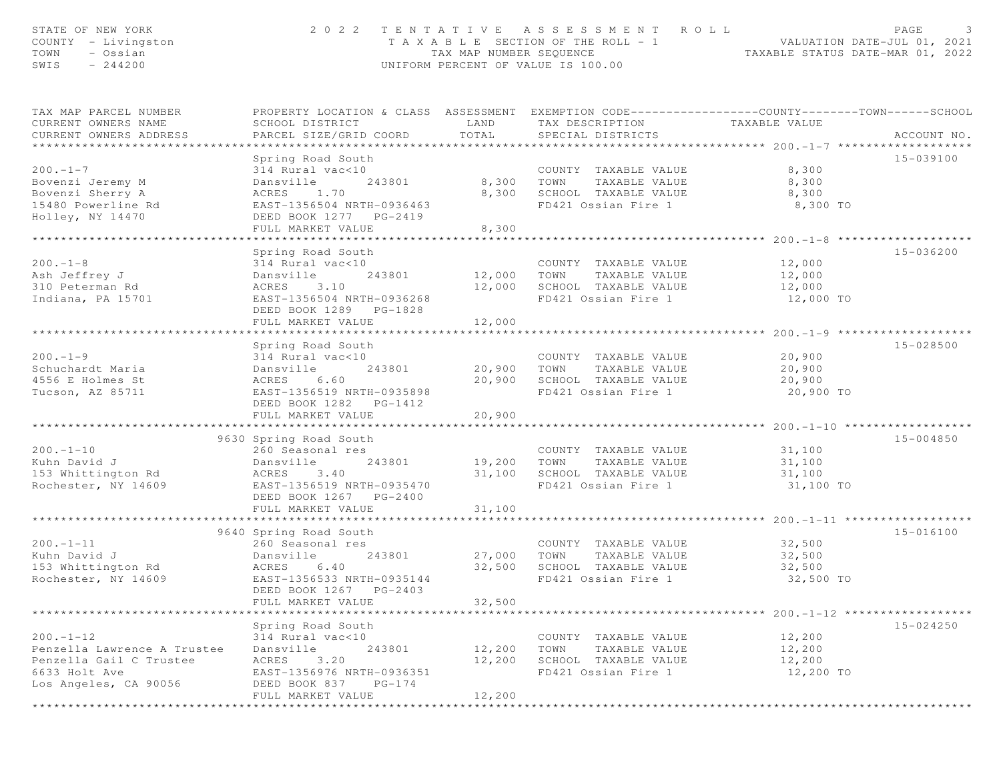| STATE OF NEW YORK<br>COUNTY - Livingston<br>TOWN<br>- Ossian<br>SWIS<br>$-244200$                                  | 2022 TENTATIVE ASSESSMENT ROLL<br>UNIFORM PERCENT OF VALUE IS 100.00                                                                                                                          | PAGE<br>3<br>T A X A B L E SECTION OF THE ROLL - 1 VALUATION DATE-JUL 01, 2021<br>TAX MAP NUMBER SEQUENCE TAXABLE STATUS DATE-MAR 01, 2022 |                                                                                              |                                                                                |               |
|--------------------------------------------------------------------------------------------------------------------|-----------------------------------------------------------------------------------------------------------------------------------------------------------------------------------------------|--------------------------------------------------------------------------------------------------------------------------------------------|----------------------------------------------------------------------------------------------|--------------------------------------------------------------------------------|---------------|
| TAX MAP PARCEL NUMBER<br>CURRENT OWNERS NAME<br>CURRENT OWNERS ADDRESS                                             | PROPERTY LOCATION & CLASS ASSESSMENT EXEMPTION CODE---------------COUNTY-------TOWN------SCHOOL<br>SCHOOL DISTRICT<br>PARCEL SIZE/GRID COORD                                                  | LAND<br>TOTAL                                                                                                                              | TAX DESCRIPTION<br>SPECIAL DISTRICTS                                                         | TAXABLE VALUE                                                                  | ACCOUNT NO.   |
| $200 - 1 - 7$<br>Bovenzi Jeremy M<br>Bovenzi Sherry A<br>15480 Powerline Rd<br>Holley, NY 14470                    | Spring Road South<br>314 Rural vac<10<br>Dansville<br>243801<br>ACRES<br>1.70<br>EAST-1356504 NRTH-0936463<br>DEED BOOK 1277 PG-2419<br>FULL MARKET VALUE                                     | 8,300<br>8,300<br>8,300                                                                                                                    | COUNTY TAXABLE VALUE<br>TOWN<br>TAXABLE VALUE<br>SCHOOL TAXABLE VALUE<br>FD421 Ossian Fire 1 | 8,300<br>8,300<br>8,300<br>8,300 TO                                            | 15-039100     |
| $200 - 1 - 8$<br>Ash Jeffrey J<br>310 Peterman Rd<br>Indiana, PA 15701                                             | Spring Road South<br>314 Rural vac<10<br>Dansville<br>243801<br>ACRES<br>3.10<br>EAST-1356504 NRTH-0936268<br>DEED BOOK 1289 PG-1828<br>FULL MARKET VALUE                                     | 12,000<br>12,000<br>12,000                                                                                                                 | COUNTY TAXABLE VALUE<br>TOWN<br>TAXABLE VALUE<br>SCHOOL TAXABLE VALUE<br>FD421 Ossian Fire 1 | 12,000<br>12,000<br>12,000<br>12,000 TO                                        | 15-036200     |
| $200 - 1 - 9$<br>Schuchardt Maria<br>4556 E Holmes St<br>Tucson, AZ 85711                                          | Spring Road South<br>314 Rural vac<10<br>Dansville<br>243801<br>ACRES<br>6.60<br>EAST-1356519 NRTH-0935898<br>DEED BOOK 1282    PG-1412<br>FULL MARKET VALUE                                  | 20,900 TOWN<br>20,900                                                                                                                      | COUNTY TAXABLE VALUE<br>TAXABLE VALUE<br>20,900 SCHOOL TAXABLE VALUE<br>FD421 Ossian Fire 1  | 20,900<br>20,900<br>20,900<br>20,900 TO                                        | 15-028500     |
| $200. -1 - 10$<br>Kuhn David J<br>153 Whittington Rd<br>Rochester, NY 14609                                        | 9630 Spring Road South<br>260 Seasonal res<br>243801<br>Dansville<br>ACRES<br>3.40<br>EAST-1356519 NRTH-0935470<br>DEED BOOK 1267 PG-2400<br>FULL MARKET VALUE<br>*************************** | 19,200 TOWN<br>31,100                                                                                                                      | COUNTY TAXABLE VALUE<br>TAXABLE VALUE<br>31,100 SCHOOL TAXABLE VALUE<br>FD421 Ossian Fire 1  | 31,100<br>31,100<br>31,100<br>31,100 TO<br>********** 200.-1-11 ************** | 15-004850     |
| $200. -1 - 11$<br>Kuhn David J<br>153 Whittington Rd<br>Rochester, NY 14609                                        | 9640 Spring Road South<br>260 Seasonal res<br>243801<br>Dansville<br>ACRES<br>6.40<br>EAST-1356533 NRTH-0935144<br>DEED BOOK 1267 PG-2403<br>FULL MARKET VALUE                                | 27,000<br>32,500<br>32,500<br>* * * * * * * * * * *                                                                                        | COUNTY TAXABLE VALUE<br>TOWN<br>TAXABLE VALUE<br>SCHOOL TAXABLE VALUE<br>FD421 Ossian Fire 1 | 32,500<br>32,500<br>32,500<br>32,500 TO                                        | $15 - 016100$ |
| $200. -1 - 12$<br>Penzella Lawrence A Trustee<br>Penzella Gail C Trustee<br>6633 Holt Ave<br>Los Angeles, CA 90056 | Spring Road South<br>314 Rural vac<10<br>Dansville<br>243801<br>3.20<br>ACRES<br>EAST-1356976 NRTH-0936351<br>DEED BOOK 837<br>$PG-174$<br>FULL MARKET VALUE                                  | 12,200<br>12,200<br>12,200                                                                                                                 | COUNTY TAXABLE VALUE<br>TAXABLE VALUE<br>TOWN<br>SCHOOL TAXABLE VALUE<br>FD421 Ossian Fire 1 | 12,200<br>12,200<br>12,200<br>12,200 TO                                        | $15 - 024250$ |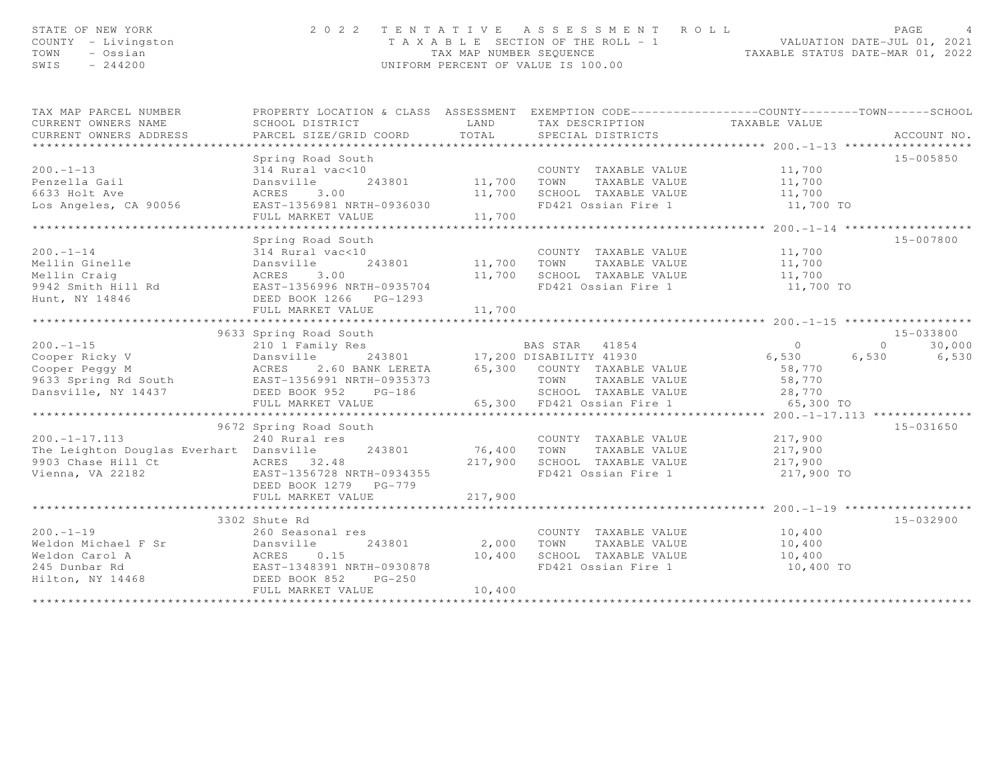| STATE OF NEW YORK<br>COUNTY - Livingston<br>TOWN<br>- Ossian<br>SWIS<br>$-244200$                                                                                                                                                              |                                                              |               | 2022 TENTATIVE ASSESSMENT ROLL<br>T A X A B L E SECTION OF THE ROLL - 1 VALUATION DATE-JUL 01, 2021<br>TAX MAP NUMBER SEQUENCE TAXABLE STATUS DATE-MAR 01, 2022<br>UNIFORM PERCENT OF VALUE IS 100.00 |                         | PAGE<br>$\overline{4}$   |
|------------------------------------------------------------------------------------------------------------------------------------------------------------------------------------------------------------------------------------------------|--------------------------------------------------------------|---------------|-------------------------------------------------------------------------------------------------------------------------------------------------------------------------------------------------------|-------------------------|--------------------------|
| TAX MAP PARCEL NUMBER                                                                                                                                                                                                                          |                                                              |               | PROPERTY LOCATION & CLASS ASSESSMENT EXEMPTION CODE----------------COUNTY-------TOWN------SCHOOL                                                                                                      |                         |                          |
| CURRENT OWNERS NAME<br>CURRENT OWNERS ADDRESS                                                                                                                                                                                                  | SCHOOL DISTRICT<br>PARCEL SIZE/GRID COORD                    | LAND<br>TOTAL | TAX DESCRIPTION TAXABLE VALUE<br>SPECIAL DISTRICTS                                                                                                                                                    |                         | ACCOUNT NO.              |
| **********************                                                                                                                                                                                                                         |                                                              |               |                                                                                                                                                                                                       |                         |                          |
| $200 - 1 - 13$                                                                                                                                                                                                                                 | Spring Road South<br>314 Rural vac<10                        |               | COUNTY TAXABLE VALUE                                                                                                                                                                                  |                         | 15-005850                |
| Penzella Gail                                                                                                                                                                                                                                  | Dansville<br>243801                                          | 11,700 TOWN   | TAXABLE VALUE                                                                                                                                                                                         | 11,700<br>11,700        |                          |
| 6633 Holt Ave                                                                                                                                                                                                                                  |                                                              |               | 11,700 SCHOOL TAXABLE VALUE 11,700                                                                                                                                                                    |                         |                          |
| Los Angeles, CA 90056                                                                                                                                                                                                                          |                                                              |               | FD421 Ossian Fire 1                                                                                                                                                                                   | 11,700 TO               |                          |
|                                                                                                                                                                                                                                                | ACRES 3.00<br>EAST-1356981 NRTH-0936030<br>FULL MARKET VALUE | 11,700        |                                                                                                                                                                                                       |                         |                          |
|                                                                                                                                                                                                                                                |                                                              |               |                                                                                                                                                                                                       |                         |                          |
|                                                                                                                                                                                                                                                | Spring Road South                                            |               |                                                                                                                                                                                                       |                         | 15-007800                |
| $200 - 1 - 14$                                                                                                                                                                                                                                 | 314 Rural vac<10                                             |               | COUNTY TAXABLE VALUE                                                                                                                                                                                  | 11,700                  |                          |
|                                                                                                                                                                                                                                                |                                                              | 11,700        | TOWN<br>TAXABLE VALUE                                                                                                                                                                                 | 11,700<br>11,700        |                          |
|                                                                                                                                                                                                                                                |                                                              | 11,700        | SCHOOL TAXABLE VALUE                                                                                                                                                                                  |                         |                          |
|                                                                                                                                                                                                                                                |                                                              |               | FD421 Ossian Fire 1                                                                                                                                                                                   | 11,700 TO               |                          |
| Hunt, NY 14846                                                                                                                                                                                                                                 | DEED BOOK 1266 PG-1293                                       |               |                                                                                                                                                                                                       |                         |                          |
|                                                                                                                                                                                                                                                | FULL MARKET VALUE                                            | 11,700        |                                                                                                                                                                                                       |                         |                          |
|                                                                                                                                                                                                                                                |                                                              |               |                                                                                                                                                                                                       |                         |                          |
| Cooper Ricky V<br>Cooper Ricky V Dansville 243801 17,200 DISABILITY 41930<br>Cooper Peggy M ACRES 2.60 BANK LERETA 65,300 COUNTY TAXABLE VALUE<br>9633 Spring Rd South EAST-1356991 NRTH-0935373 TOWN TAXABLE VALUE<br>Dansville, NY 1         | 9633 Spring Road South                                       |               |                                                                                                                                                                                                       |                         | 15-033800                |
|                                                                                                                                                                                                                                                |                                                              |               |                                                                                                                                                                                                       | $\overline{0}$<br>6,530 | 30,000<br>$\overline{0}$ |
|                                                                                                                                                                                                                                                |                                                              |               |                                                                                                                                                                                                       |                         | 6,530<br>6,530           |
|                                                                                                                                                                                                                                                |                                                              |               |                                                                                                                                                                                                       | 58,770                  |                          |
|                                                                                                                                                                                                                                                |                                                              |               |                                                                                                                                                                                                       |                         |                          |
|                                                                                                                                                                                                                                                |                                                              |               | 65,300 FD421 Ossian Fire 1                                                                                                                                                                            | 65,300 TO               |                          |
|                                                                                                                                                                                                                                                | FULL MARKET VALUE                                            |               |                                                                                                                                                                                                       |                         |                          |
|                                                                                                                                                                                                                                                | 9672 Spring Road South                                       |               |                                                                                                                                                                                                       |                         | 15-031650                |
| $200. -1 - 17.113$                                                                                                                                                                                                                             | 240 Rural res                                                |               | COUNTY TAXABLE VALUE                                                                                                                                                                                  | 217,900                 |                          |
| The Leighton Douglas Everhart Dansville                                                                                                                                                                                                        | 243801                                                       | 76,400        | TAXABLE VALUE<br>TOWN                                                                                                                                                                                 | 217,900                 |                          |
|                                                                                                                                                                                                                                                |                                                              | 217,900       | SCHOOL TAXABLE VALUE 217,900                                                                                                                                                                          |                         |                          |
| 9903 Chase Hill Ct<br>Vienna, VA 22182<br>The EAST-1356728 NRTH-0934355<br>The POCK 1370 PC 770                                                                                                                                                |                                                              |               | FD421 Ossian Fire 1                                                                                                                                                                                   | 217,900 TO              |                          |
|                                                                                                                                                                                                                                                | DEED BOOK 1279 PG-779                                        |               |                                                                                                                                                                                                       |                         |                          |
|                                                                                                                                                                                                                                                | FULL MARKET VALUE                                            | 217,900       |                                                                                                                                                                                                       |                         |                          |
|                                                                                                                                                                                                                                                |                                                              |               |                                                                                                                                                                                                       |                         |                          |
|                                                                                                                                                                                                                                                | 3302 Shute Rd                                                |               |                                                                                                                                                                                                       |                         | 15-032900                |
| $200. -1 - 19$                                                                                                                                                                                                                                 | 260 Seasonal res                                             |               | COUNTY TAXABLE VALUE                                                                                                                                                                                  | 10,400                  |                          |
|                                                                                                                                                                                                                                                |                                                              | 2,000         | TAXABLE VALUE<br>TOWN                                                                                                                                                                                 | 10,400                  |                          |
|                                                                                                                                                                                                                                                |                                                              | 10,400        | SCHOOL TAXABLE VALUE                                                                                                                                                                                  | 10,400                  |                          |
|                                                                                                                                                                                                                                                |                                                              |               | FD421 Ossian Fire 1                                                                                                                                                                                   | 10,400 TO               |                          |
| 200.-1-19<br>Weldon Michael F Sr<br>Weldon Carol A (Render School A (Render School A (Render School A (Render School Access)<br>245 Dunbar Rd<br>Hilton, NY 14468 (Render School Access)<br>260 Seasonal res<br>243801<br>245 Dunbar Rd<br>255 |                                                              |               |                                                                                                                                                                                                       |                         |                          |
|                                                                                                                                                                                                                                                | FULL MARKET VALUE                                            | 10,400        |                                                                                                                                                                                                       |                         |                          |
|                                                                                                                                                                                                                                                |                                                              |               |                                                                                                                                                                                                       |                         |                          |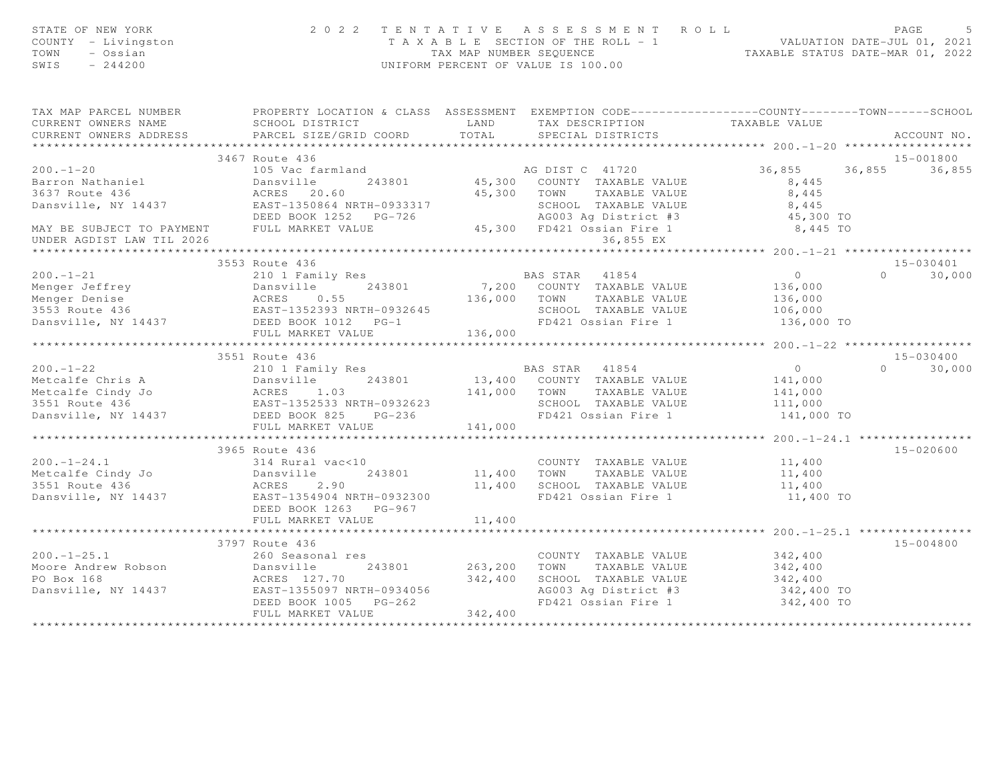| STATE OF NEW YORK<br>COUNTY - Livingston<br>TOWN<br>- Ossian<br>$SWIS = 244200$                                                                                                                                                            |                                  | 2 0 2 2 TENTATIVE ASSESSMENT ROLL PAGE 5<br>TAXABLE SECTION OF THE ROLL - 1 VALUATION DATE-JUL 01, 2021<br>TAX MAP NUMBER SEQUENCE TAXABLE STATUS DATE-MAR 01, 2022<br>UNIFORM PERCENT OF VALUE IS 100.00 |                                              |               |
|--------------------------------------------------------------------------------------------------------------------------------------------------------------------------------------------------------------------------------------------|----------------------------------|-----------------------------------------------------------------------------------------------------------------------------------------------------------------------------------------------------------|----------------------------------------------|---------------|
| TAX MAP PARCEL NUMBER THE PROPERTY LOCATION & CLASS ASSESSMENT EXEMPTION CODE---------------COUNTY-------TOWN------SCHOOL                                                                                                                  |                                  |                                                                                                                                                                                                           |                                              |               |
|                                                                                                                                                                                                                                            |                                  |                                                                                                                                                                                                           |                                              | ACCOUNT NO.   |
|                                                                                                                                                                                                                                            |                                  |                                                                                                                                                                                                           |                                              |               |
|                                                                                                                                                                                                                                            |                                  |                                                                                                                                                                                                           |                                              |               |
|                                                                                                                                                                                                                                            |                                  |                                                                                                                                                                                                           |                                              |               |
|                                                                                                                                                                                                                                            |                                  |                                                                                                                                                                                                           |                                              |               |
|                                                                                                                                                                                                                                            |                                  |                                                                                                                                                                                                           |                                              |               |
|                                                                                                                                                                                                                                            |                                  |                                                                                                                                                                                                           |                                              |               |
|                                                                                                                                                                                                                                            |                                  |                                                                                                                                                                                                           |                                              |               |
|                                                                                                                                                                                                                                            |                                  |                                                                                                                                                                                                           |                                              |               |
| ***********************                                                                                                                                                                                                                    |                                  |                                                                                                                                                                                                           |                                              |               |
|                                                                                                                                                                                                                                            | 3553 Route 436                   |                                                                                                                                                                                                           |                                              | $15 - 030401$ |
|                                                                                                                                                                                                                                            |                                  |                                                                                                                                                                                                           |                                              |               |
|                                                                                                                                                                                                                                            |                                  |                                                                                                                                                                                                           |                                              |               |
|                                                                                                                                                                                                                                            |                                  |                                                                                                                                                                                                           |                                              |               |
|                                                                                                                                                                                                                                            |                                  |                                                                                                                                                                                                           |                                              |               |
|                                                                                                                                                                                                                                            |                                  |                                                                                                                                                                                                           |                                              |               |
|                                                                                                                                                                                                                                            |                                  |                                                                                                                                                                                                           |                                              |               |
|                                                                                                                                                                                                                                            | 3551 Route 436                   |                                                                                                                                                                                                           |                                              | 15-030400     |
| 3551 KOUTE 436<br>Metcalfe Chris A 210 I Family Res<br>Metcalfe Cindy Jo ACRES 1.03<br>3551 Route 436 ARES 1.03<br>3551 Route 436 EAST-1352533 NRTH-0932623 SOMETHE MARKET VALUE<br>243801 13,400 COUNTY TAXABLE VALUE 141,000<br>3551 Rou |                                  |                                                                                                                                                                                                           |                                              |               |
|                                                                                                                                                                                                                                            |                                  |                                                                                                                                                                                                           |                                              |               |
|                                                                                                                                                                                                                                            |                                  |                                                                                                                                                                                                           |                                              |               |
|                                                                                                                                                                                                                                            |                                  |                                                                                                                                                                                                           |                                              |               |
|                                                                                                                                                                                                                                            |                                  |                                                                                                                                                                                                           |                                              |               |
|                                                                                                                                                                                                                                            |                                  |                                                                                                                                                                                                           |                                              |               |
|                                                                                                                                                                                                                                            |                                  |                                                                                                                                                                                                           |                                              |               |
|                                                                                                                                                                                                                                            | 3965 Route 436                   |                                                                                                                                                                                                           |                                              | 15-020600     |
|                                                                                                                                                                                                                                            |                                  |                                                                                                                                                                                                           |                                              |               |
|                                                                                                                                                                                                                                            |                                  |                                                                                                                                                                                                           |                                              |               |
|                                                                                                                                                                                                                                            |                                  |                                                                                                                                                                                                           |                                              |               |
|                                                                                                                                                                                                                                            |                                  |                                                                                                                                                                                                           |                                              |               |
|                                                                                                                                                                                                                                            |                                  |                                                                                                                                                                                                           |                                              |               |
| 3903 KOUR (243801 Metcalfe Cindy Jo<br>Metcalfe Cindy Jo answille 243801 11,400 TOWN TAXABLE VALUE 11,400<br>3551 Route 436 2.90 11,400 SCHOOL TAXABLE VALUE 11,400<br>Danswille, NY 14437 EAST-1354904 NRTH-0932300 FD421 Ossian Fi       | ******************************** |                                                                                                                                                                                                           |                                              |               |
|                                                                                                                                                                                                                                            |                                  |                                                                                                                                                                                                           | ************** 200.-1-25.1 ***************** |               |
|                                                                                                                                                                                                                                            | 3797 Route 436                   |                                                                                                                                                                                                           |                                              | 15-004800     |
|                                                                                                                                                                                                                                            |                                  |                                                                                                                                                                                                           |                                              |               |
|                                                                                                                                                                                                                                            |                                  |                                                                                                                                                                                                           |                                              |               |
|                                                                                                                                                                                                                                            |                                  |                                                                                                                                                                                                           |                                              |               |
|                                                                                                                                                                                                                                            |                                  |                                                                                                                                                                                                           |                                              |               |
|                                                                                                                                                                                                                                            |                                  |                                                                                                                                                                                                           |                                              |               |
|                                                                                                                                                                                                                                            |                                  |                                                                                                                                                                                                           |                                              |               |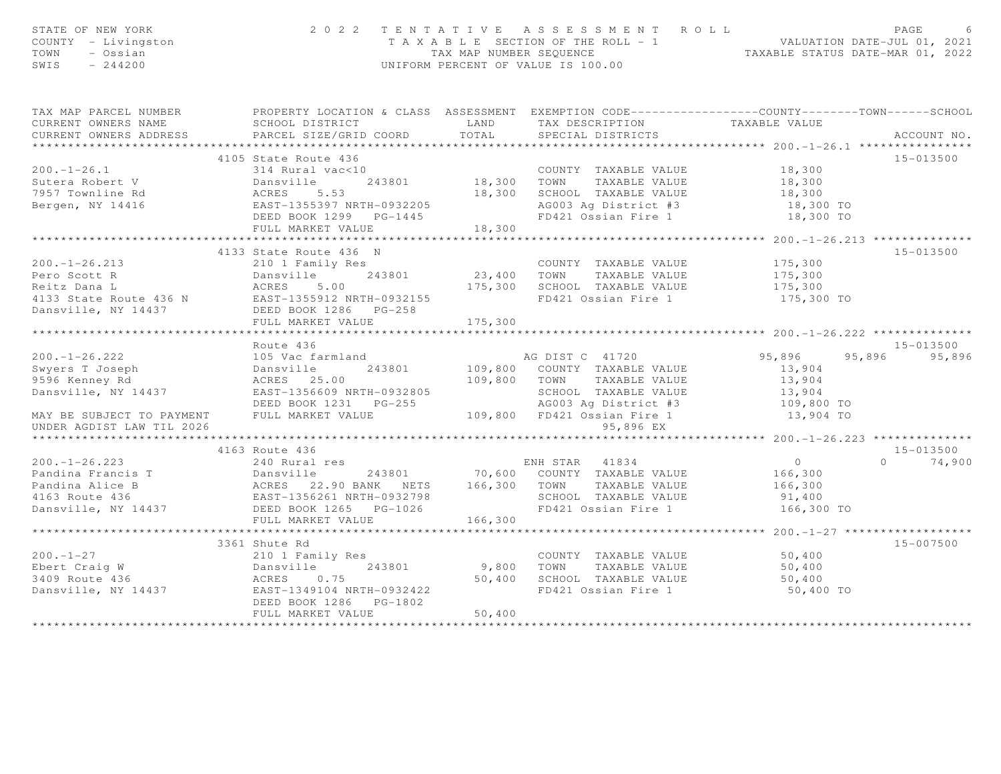| STATE OF NEW YORK<br>COUNTY - Livingston<br>TOWN - Ossian<br>SWIS $-244200$                                                                                                                                                                                                                                                                                                    |                        |        | 2022 TENTATIVE ASSESSMENT ROLL<br>TAXABLE SECTION OF THE ROLL - 1<br>TAXABLE SECTION OF THE ROLL - 1<br>TAXABLE STATUS DATE-JUL 01, 2021<br>UNIFORM PERCENT OF VALUE IS 100.00 |            |                    |
|--------------------------------------------------------------------------------------------------------------------------------------------------------------------------------------------------------------------------------------------------------------------------------------------------------------------------------------------------------------------------------|------------------------|--------|--------------------------------------------------------------------------------------------------------------------------------------------------------------------------------|------------|--------------------|
| TAX MAP PARCEL NUMBER PROPERTY LOCATION & CLASS ASSESSMENT EXEMPTION CODE---------------COUNTY-------TOWN------SCHOOL                                                                                                                                                                                                                                                          |                        |        |                                                                                                                                                                                |            |                    |
|                                                                                                                                                                                                                                                                                                                                                                                |                        |        |                                                                                                                                                                                |            |                    |
|                                                                                                                                                                                                                                                                                                                                                                                |                        |        |                                                                                                                                                                                |            |                    |
|                                                                                                                                                                                                                                                                                                                                                                                | 4105 State Route 436   |        |                                                                                                                                                                                |            | 15-013500          |
|                                                                                                                                                                                                                                                                                                                                                                                |                        |        |                                                                                                                                                                                |            |                    |
|                                                                                                                                                                                                                                                                                                                                                                                |                        |        |                                                                                                                                                                                |            |                    |
|                                                                                                                                                                                                                                                                                                                                                                                |                        |        |                                                                                                                                                                                |            |                    |
|                                                                                                                                                                                                                                                                                                                                                                                |                        |        |                                                                                                                                                                                |            |                    |
|                                                                                                                                                                                                                                                                                                                                                                                |                        |        |                                                                                                                                                                                |            |                    |
|                                                                                                                                                                                                                                                                                                                                                                                |                        |        |                                                                                                                                                                                |            |                    |
|                                                                                                                                                                                                                                                                                                                                                                                |                        |        |                                                                                                                                                                                |            |                    |
|                                                                                                                                                                                                                                                                                                                                                                                |                        |        |                                                                                                                                                                                |            | 15-013500          |
|                                                                                                                                                                                                                                                                                                                                                                                |                        |        |                                                                                                                                                                                |            |                    |
|                                                                                                                                                                                                                                                                                                                                                                                |                        |        |                                                                                                                                                                                |            |                    |
|                                                                                                                                                                                                                                                                                                                                                                                |                        |        |                                                                                                                                                                                |            |                    |
|                                                                                                                                                                                                                                                                                                                                                                                |                        |        |                                                                                                                                                                                | 175,300 TO |                    |
|                                                                                                                                                                                                                                                                                                                                                                                |                        |        |                                                                                                                                                                                |            |                    |
| 200.-1-26.213 (200.-1-26.213 (200.-1-26.213 (200.-1-26.213 (200.-1-26.213 (200.-1-26.213 (200.-1-26.213 (200.-1-26.213 (200.-1-26.213 (200.-1-26.213 (200.-1-26.213 (200.-1-26.213 (200.-1-26.213 (200.-1-26.213 (200.-1-26.21                                                                                                                                                 |                        |        |                                                                                                                                                                                |            |                    |
|                                                                                                                                                                                                                                                                                                                                                                                |                        |        |                                                                                                                                                                                |            |                    |
|                                                                                                                                                                                                                                                                                                                                                                                | Route 436              |        |                                                                                                                                                                                |            | 15-013500          |
|                                                                                                                                                                                                                                                                                                                                                                                |                        |        |                                                                                                                                                                                |            | 95,896 95,896      |
|                                                                                                                                                                                                                                                                                                                                                                                |                        |        |                                                                                                                                                                                |            |                    |
|                                                                                                                                                                                                                                                                                                                                                                                |                        |        |                                                                                                                                                                                |            |                    |
|                                                                                                                                                                                                                                                                                                                                                                                |                        |        |                                                                                                                                                                                |            |                    |
|                                                                                                                                                                                                                                                                                                                                                                                |                        |        |                                                                                                                                                                                |            |                    |
| 200.-1-26.222<br>Swyers T Joseph 109,800 RM TAXABLE VALUE<br>95,896 95<br>95,896 95<br>95,896 95<br>Swyers T Joseph Dansville Dansville 243801 109,800 COUNTY TAXABLE VALUE<br>95,904 109,800 TOWN TAXABLE VALUE<br>25,904 109,800 TOWN TAXA<br>UNDER AGDIST LAW TIL 2026                                                                                                      |                        |        | 95,896 EX                                                                                                                                                                      |            |                    |
|                                                                                                                                                                                                                                                                                                                                                                                |                        |        |                                                                                                                                                                                |            |                    |
|                                                                                                                                                                                                                                                                                                                                                                                | 4163 Route 436         |        |                                                                                                                                                                                |            | $15 - 013500$      |
| $\begin{tabular}{lcccccc} 200.-1-26.223 & 4163 Route 436 & ENH STAR & 41834 & 0 \\ 240 Rural res & 240 Rural res & 243801 & 70,600 COUNTY TAXABLE VALUE & 166,300 \\ 240 Rural res & 243801 & 70,600 COUNTY TAXABLE VALUE & 166,300 \\ 240 Rural res & 243801 & 70,600 COUNTY TAXABLE VALUE & 166,300 \\ 24163 Route 436 & EAST-1356261 NRTH-0932798 & 22.90 BANK & NETS & 25$ |                        |        |                                                                                                                                                                                |            | $\Omega$<br>74,900 |
|                                                                                                                                                                                                                                                                                                                                                                                |                        |        |                                                                                                                                                                                |            |                    |
|                                                                                                                                                                                                                                                                                                                                                                                |                        |        |                                                                                                                                                                                |            |                    |
|                                                                                                                                                                                                                                                                                                                                                                                |                        |        |                                                                                                                                                                                |            |                    |
|                                                                                                                                                                                                                                                                                                                                                                                |                        |        |                                                                                                                                                                                |            |                    |
|                                                                                                                                                                                                                                                                                                                                                                                |                        |        |                                                                                                                                                                                |            |                    |
|                                                                                                                                                                                                                                                                                                                                                                                |                        |        |                                                                                                                                                                                |            |                    |
|                                                                                                                                                                                                                                                                                                                                                                                | 3361 Shute Rd          |        |                                                                                                                                                                                |            | 15-007500          |
|                                                                                                                                                                                                                                                                                                                                                                                |                        |        |                                                                                                                                                                                |            |                    |
|                                                                                                                                                                                                                                                                                                                                                                                |                        |        |                                                                                                                                                                                |            |                    |
|                                                                                                                                                                                                                                                                                                                                                                                |                        |        |                                                                                                                                                                                |            |                    |
| $\begin{array}{cccccccc} 200.-1-27 & & & 210&1\text{ Family Res} & & & 210&1\text{ Family Res} & & & 210&1\text{ Family Res} & & & 243801& & 9,800&\text{TOWIN} & \text{TAXABLE VALUE} & & 50,400\text{S0,400} & & & & 50,400\text{S0,400} & & & & 50,400\text{S0,400} & & & & 50,400\text{S0,400} & & & & 50,400\text{S0,400} & & & & 50,400\text{$                           |                        |        |                                                                                                                                                                                | 50,400 TO  |                    |
|                                                                                                                                                                                                                                                                                                                                                                                | DEED BOOK 1286 PG-1802 |        |                                                                                                                                                                                |            |                    |
|                                                                                                                                                                                                                                                                                                                                                                                | FULL MARKET VALUE      | 50,400 |                                                                                                                                                                                |            |                    |
|                                                                                                                                                                                                                                                                                                                                                                                |                        |        |                                                                                                                                                                                |            |                    |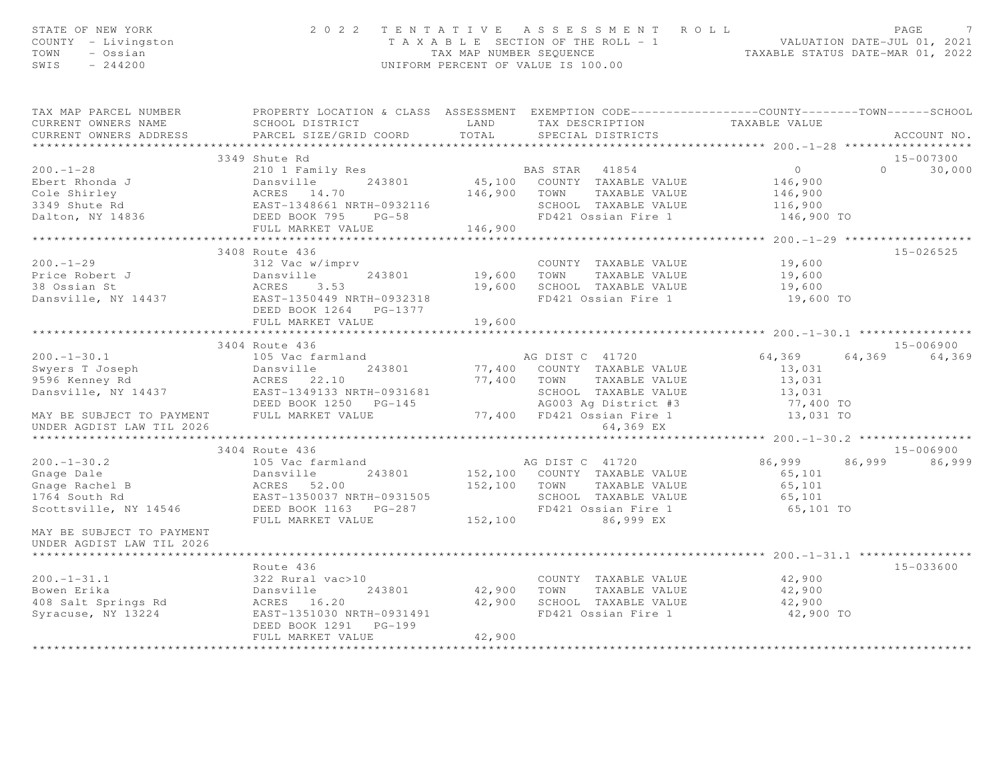| STATE OF NEW YORK<br>STAIL OF NUM ---<br>COUNTY - Livingston<br>TOWN - Ossian<br>SWTS - 244200                                                                                                                                                                                            |                                                                      |        | 2022 TENTATIVE ASSESSMENT ROLL PAGE 7<br>TAXABLE SECTION OF THE ROLL - 1 VALUATION DATE-JUL 01, 2021<br>TAX MAP NUMBER SEQUENCE TAXABLE STATUS DATE-MAR 01, 2022<br>UNIFORM PERCENT OF VALUE IS 100.00 |                                                     |               |
|-------------------------------------------------------------------------------------------------------------------------------------------------------------------------------------------------------------------------------------------------------------------------------------------|----------------------------------------------------------------------|--------|--------------------------------------------------------------------------------------------------------------------------------------------------------------------------------------------------------|-----------------------------------------------------|---------------|
| TAX MAP PARCEL NUMBER BROPERTY LOCATION & CLASS ASSESSMENT EXEMPTION CODE---------------COUNTY--------TOWN-----SCHOOL<br>CURRENT OWNERS NAME<br>CURRENT OWNERS ADDRESS PARCEL SIZE/GRID COORD TOTAL SPECIAL DISTRICTS                                                                     |                                                                      |        | SCHOOL DISTRICT                   LAND        TAX DESCRIPTION                TAXABLE VALUE                                                                                                             |                                                     | ACCOUNT NO.   |
|                                                                                                                                                                                                                                                                                           | 3349 Shute Rd                                                        |        |                                                                                                                                                                                                        |                                                     | 15-007300     |
|                                                                                                                                                                                                                                                                                           |                                                                      |        |                                                                                                                                                                                                        |                                                     | $0 \t 30,000$ |
|                                                                                                                                                                                                                                                                                           |                                                                      |        |                                                                                                                                                                                                        |                                                     |               |
| 3408 KOULE 436<br>3408 KOULE 436<br>243801 19,600 TOWN TAXABLE VALUE 19,600<br>243801 19,600 TOWN TAXABLE VALUE 19,600<br>38 Ossian St 2001 ACRES 3.53<br>2408 KORES 3.53<br>243801 19,600 TOWN TAXABLE VALUE 19,600<br>243801 19,600 TOWN T                                              | 3408 Route 436<br>DEED BOOK 1264 PG-1377<br>FULL MARKET VALUE 19,600 |        |                                                                                                                                                                                                        | ********************* 200. -1-30.1 **************** | 15-026525     |
|                                                                                                                                                                                                                                                                                           | 3404 Route 436                                                       |        |                                                                                                                                                                                                        |                                                     | 15-006900     |
|                                                                                                                                                                                                                                                                                           |                                                                      |        |                                                                                                                                                                                                        |                                                     |               |
|                                                                                                                                                                                                                                                                                           |                                                                      |        |                                                                                                                                                                                                        |                                                     |               |
| 3404 Route 436<br>3404 Route 436<br>105 TC 41720<br>Gnage Dale<br>Chage Rachel B<br>243801<br>Scottsville, NY 14546<br>Scottsville, NY 14546<br>DEED BOOK 1163 PG-287<br>FULL MARKET VALUE<br>FULL MARKET VALUE<br>287<br>152,100<br>152,100<br>152,100<br>1<br>MAY BE SUBJECT TO PAYMENT | 3404 Route 436                                                       |        |                                                                                                                                                                                                        |                                                     | 15-006900     |
| UNDER AGDIST LAW TIL 2026                                                                                                                                                                                                                                                                 |                                                                      |        |                                                                                                                                                                                                        |                                                     |               |
| Rowen Erika and Market Manufacture (1990)<br>Bowen Erika and Dansville 243801 42,900 TOWN TAXABLE VALUE 42,900<br>ACRES 16.20 42,900 SCHOOL TAXABLE VALUE 42,900<br>Syracuse, NY 13224 EAST-1351030 NRTH-0931491 FD421 Ossian Fire 1                                                      | Route 436<br>DEED BOOK 1291 PG-199<br>FULL MARKET VALUE              | 42,900 |                                                                                                                                                                                                        |                                                     | 15-033600     |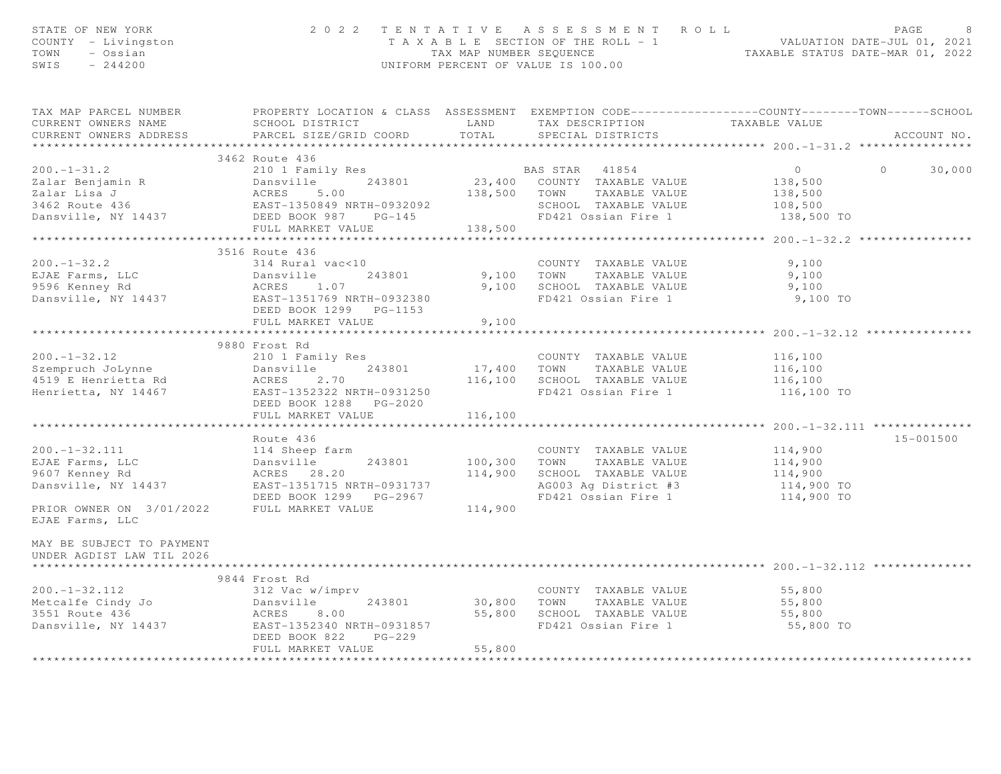| STATE OF NEW YORK<br>COUNTY - Livingston<br>TOWN - Ossian<br>CWTS - 244200                                                                                                                                                                         |                                                                                    |             | 2022 TENTATIVE ASSESSMENT ROLL<br>UNIFORM PERCENT OF VALUE IS 100.00 | PAGE<br>8<br>PAGE 8<br>TAXABLE SECTION OF THE ROLL - 1<br>TAXABLE SEQUENCE IS CONDECTED AND MALUATION DATE-JUL 01, 2021<br>TAXABLE STATUS DATE-MAR 01, 2022 |
|----------------------------------------------------------------------------------------------------------------------------------------------------------------------------------------------------------------------------------------------------|------------------------------------------------------------------------------------|-------------|----------------------------------------------------------------------|-------------------------------------------------------------------------------------------------------------------------------------------------------------|
| CURRENT OWNERS NAME<br>CURRENT OWNERS ADDRESS                                                                                                                                                                                                      | SCHOOL DISTRICT TAND TAX DESCRIPTION TAXABLE VALUE<br>PARCEL SIZE/GRID COORD TOTAL |             | SPECIAL DISTRICTS                                                    | TAX MAP PARCEL NUMBER THE PROPERTY LOCATION & CLASS ASSESSMENT EXEMPTION CODE--------------COUNTY--------TOWN------SCHOOL<br>ACCOUNT NO.                    |
|                                                                                                                                                                                                                                                    |                                                                                    |             |                                                                      | ********************* 200.-1-31.2 **********                                                                                                                |
|                                                                                                                                                                                                                                                    | 3462 Route 436                                                                     |             |                                                                      |                                                                                                                                                             |
| 200.-1-31.2<br>200.-1-31.2<br>210 1 Family Res<br>243801<br>23,400 COUNTY TAXABLE VALUE<br>243801<br>23,400 COUNTY TAXABLE VALUE<br>23,400 COUNTY TAXABLE VALUE<br>23,400 COUNTY TAXABLE VALUE<br>23,400 COUNTY TAXABLE VALUE<br>23,400 COUNTY TAX |                                                                                    |             |                                                                      | $\overline{0}$<br>$\Omega$<br>30,000<br>138,500<br>138,500<br>108,500<br>138,500 TO                                                                         |
|                                                                                                                                                                                                                                                    |                                                                                    |             |                                                                      |                                                                                                                                                             |
|                                                                                                                                                                                                                                                    | 3516 Route 436                                                                     |             | COUNTY TAXABLE VALUE                                                 | 9,100<br>9,100                                                                                                                                              |
|                                                                                                                                                                                                                                                    | DEED BOOK 1299 PG-1153<br>FULL MARKET VALUE                                        | 9,100       | FD421 Ossian Fire 1 9,100 TO                                         | 9,100                                                                                                                                                       |
|                                                                                                                                                                                                                                                    |                                                                                    |             |                                                                      |                                                                                                                                                             |
|                                                                                                                                                                                                                                                    | 9880 Frost Rd                                                                      |             |                                                                      |                                                                                                                                                             |
|                                                                                                                                                                                                                                                    | FULL MARKET VALUE                                                                  | 116,100     |                                                                      |                                                                                                                                                             |
|                                                                                                                                                                                                                                                    |                                                                                    | *********** |                                                                      | ********************* 200.-1-32.111 ***************                                                                                                         |
| 200.-1-32.111<br>EJAE Farms, LLC 114,900<br>243801 100,300 TOWN TAXABLE VALUE 114,900<br>243801 114,900 TOWN TAXABLE VALUE 114,900<br>243801 114,900 TOWN TAXABLE VALUE 114,900<br>243801 114,900 TOWN TAXABLE VALUE 114,900<br>243801 114         | Route 436                                                                          |             |                                                                      | 15-001500                                                                                                                                                   |
| EJAE Farms, LLC                                                                                                                                                                                                                                    |                                                                                    |             |                                                                      |                                                                                                                                                             |
| MAY BE SUBJECT TO PAYMENT<br>UNDER AGDIST LAW TIL 2026<br>**********************                                                                                                                                                                   |                                                                                    |             |                                                                      |                                                                                                                                                             |
|                                                                                                                                                                                                                                                    | 9844 Frost Rd                                                                      |             |                                                                      |                                                                                                                                                             |
|                                                                                                                                                                                                                                                    | DEED BOOK 822<br>$PG-229$<br>FULL MARKET VALUE                                     | 55,800      |                                                                      | 55,800<br>55,800<br>55,800<br>55,800 TO                                                                                                                     |
|                                                                                                                                                                                                                                                    |                                                                                    |             |                                                                      |                                                                                                                                                             |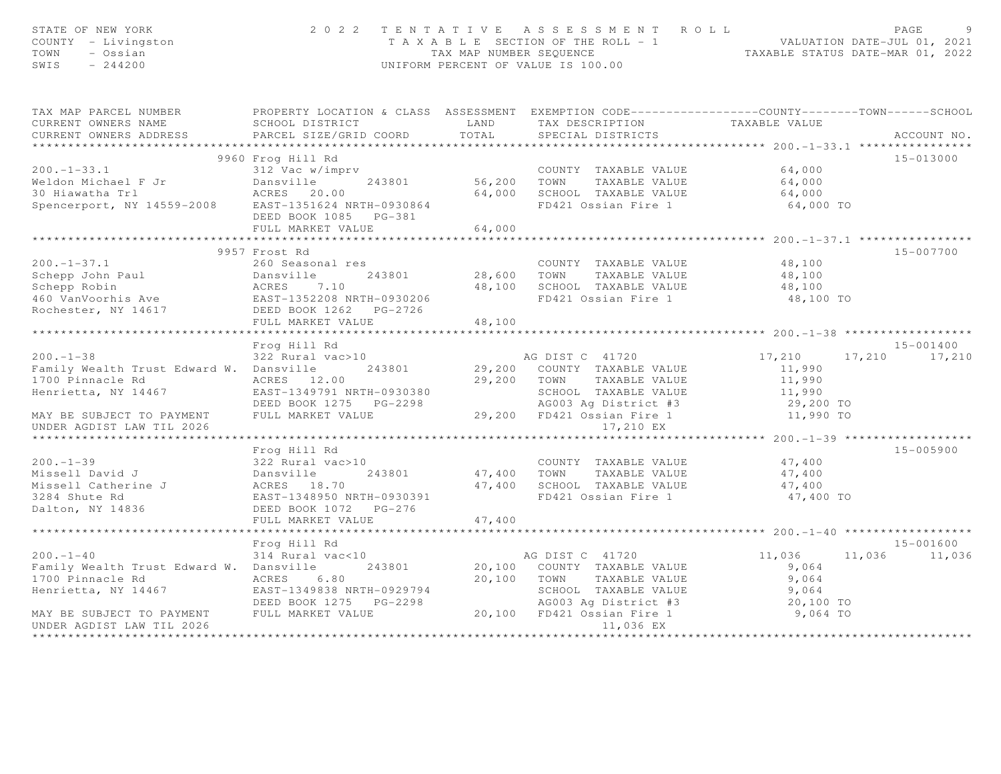| STATE OF NEW YORK<br>COUNTY - Livingston<br>TOWN<br>- Ossian<br>SWIS<br>$-244200$ | 2 0 2 2                                                                                          |                    | TENTATIVE ASSESSMENT ROLL<br>UNIFORM PERCENT OF VALUE IS 100.00 | T A X A B L E SECTION OF THE ROLL - 1 VALUATION DATE-JUL 01, 2021<br>TAX MAP NUMBER SEQUENCE TAXABLE STATUS DATE-MAR 01, 2022 | PAGE<br>$\circ$ |
|-----------------------------------------------------------------------------------|--------------------------------------------------------------------------------------------------|--------------------|-----------------------------------------------------------------|-------------------------------------------------------------------------------------------------------------------------------|-----------------|
| TAX MAP PARCEL NUMBER                                                             | PROPERTY LOCATION & CLASS ASSESSMENT EXEMPTION CODE----------------COUNTY-------TOWN------SCHOOL |                    |                                                                 |                                                                                                                               |                 |
| CURRENT OWNERS NAME                                                               | SCHOOL DISTRICT                                                                                  | <b>EXAMPLE AND</b> | TAX DESCRIPTION TAXABLE VALUE                                   |                                                                                                                               |                 |
| CURRENT OWNERS ADDRESS                                                            | PARCEL SIZE/GRID COORD                                                                           | TOTAL              | SPECIAL DISTRICTS                                               |                                                                                                                               | ACCOUNT NO.     |
|                                                                                   | 9960 Frog Hill Rd                                                                                |                    |                                                                 |                                                                                                                               | 15-013000       |
| $200. -1 - 33.1$                                                                  | 312 Vac w/imprv                                                                                  |                    | COUNTY TAXABLE VALUE                                            | 64,000                                                                                                                        |                 |
| Weldon Michael F Jr                                                               | Dansville<br>243801                                                                              |                    | COUNTY TAXABLE VALUE<br>56,200 TOWN TAXABLE VALUE               | 64,000                                                                                                                        |                 |
| 30 Hiawatha Trl                                                                   | ACRES 20.00                                                                                      | 64,000             | SCHOOL TAXABLE VALUE                                            | 64,000                                                                                                                        |                 |
| Spencerport, NY 14559-2008 EAST-1351624 NRTH-0930864                              |                                                                                                  |                    | FD421 Ossian Fire 1                                             | 64,000 TO                                                                                                                     |                 |
|                                                                                   | DEED BOOK 1085 PG-381                                                                            |                    |                                                                 |                                                                                                                               |                 |
|                                                                                   | FULL MARKET VALUE                                                                                | 64,000             |                                                                 |                                                                                                                               |                 |
|                                                                                   | ***********************                                                                          | ***************    |                                                                 |                                                                                                                               |                 |
|                                                                                   | 9957 Frost Rd                                                                                    |                    |                                                                 |                                                                                                                               | 15-007700       |
| $200 - 1 - 37.1$                                                                  | 260 Seasonal res                                                                                 |                    | COUNTY TAXABLE VALUE                                            | 48,100                                                                                                                        |                 |
|                                                                                   |                                                                                                  | 28,600 TOWN        | TAXABLE VALUE                                                   | 48,100                                                                                                                        |                 |
| Schepp John Paul<br>Schepp Robin                                                  |                                                                                                  |                    | 48,100 SCHOOL TAXABLE VALUE                                     | 48,100                                                                                                                        |                 |
|                                                                                   |                                                                                                  |                    | FD421 Ossian Fire 1                                             | 48,100 TO                                                                                                                     |                 |
| Rochester, NY 14617 DEED BOOK 1262 PG-2726                                        |                                                                                                  |                    |                                                                 |                                                                                                                               |                 |
|                                                                                   | FULL MARKET VALUE                                                                                | 48,100             |                                                                 |                                                                                                                               |                 |
|                                                                                   |                                                                                                  |                    |                                                                 |                                                                                                                               |                 |
|                                                                                   | Frog Hill Rd                                                                                     |                    |                                                                 |                                                                                                                               | 15-001400       |
| $200. -1 - 38$                                                                    | 322 Rural vac>10                                                                                 |                    | AG DIST C 41720                                                 | 17,210                                                                                                                        | 17,210 17,210   |
| Family Wealth Trust Edward W. Dansville                                           | 243801                                                                                           |                    | 29,200 COUNTY TAXABLE VALUE                                     | 11,990                                                                                                                        |                 |
| 1700 Pinnacle Rd                                                                  | ACRES 12.00                                                                                      | 29,200 TOWN        | TAXABLE VALUE                                                   | 11,990                                                                                                                        |                 |
| Henrietta, NY 14467                                                               | EAST-1349791 NRTH-0930380                                                                        |                    | SCHOOL TAXABLE VALUE                                            | 11,990                                                                                                                        |                 |
|                                                                                   |                                                                                                  |                    | AG003 Ag District #3                                            | 29,200 TO                                                                                                                     |                 |
| MAY BE SUBJECT TO PAYMENT                                                         | FULL MARKET VALUE                                                                                |                    | 29,200 FD421 Ossian Fire 1                                      | 11,990 TO                                                                                                                     |                 |
| UNDER AGDIST LAW TIL 2026                                                         |                                                                                                  |                    | 17,210 EX                                                       |                                                                                                                               |                 |
|                                                                                   |                                                                                                  |                    |                                                                 |                                                                                                                               |                 |
|                                                                                   | Frog Hill Rd                                                                                     |                    |                                                                 |                                                                                                                               | 15-005900       |
| $200. -1 - 39$                                                                    | 322 Rural vac>10                                                                                 |                    | COUNTY TAXABLE VALUE                                            | 47,400                                                                                                                        |                 |
|                                                                                   | 243801                                                                                           |                    | 47,400 TOWN<br>TAXABLE VALUE                                    | 47,400                                                                                                                        |                 |
|                                                                                   |                                                                                                  |                    | 47,400 SCHOOL TAXABLE VALUE                                     | 47,400                                                                                                                        |                 |
| 3284 Shute Rd                                                                     | EAST-1348950 NRTH-0930391                                                                        |                    | FD421 Ossian Fire 1                                             | 47,400 TO                                                                                                                     |                 |
| Dalton, NY 14836                                                                  | DEED BOOK 1072 PG-276                                                                            |                    |                                                                 |                                                                                                                               |                 |
|                                                                                   |                                                                                                  |                    |                                                                 |                                                                                                                               |                 |
|                                                                                   | FULL MARKET VALUE                                                                                | 47,400             |                                                                 |                                                                                                                               |                 |
|                                                                                   |                                                                                                  |                    |                                                                 |                                                                                                                               |                 |
|                                                                                   | Frog Hill Rd                                                                                     |                    |                                                                 |                                                                                                                               | 15-001600       |
| $200 - 1 - 40$                                                                    | $314$ Rural vac<10                                                                               |                    | AG DIST C 41720                                                 | 11,036<br>11,036                                                                                                              | 11,036          |
| Family Wealth Trust Edward W. Dansville                                           | 243801                                                                                           |                    | 20,100 COUNTY TAXABLE VALUE                                     | 9,064                                                                                                                         |                 |
| 1700 Pinnacle Rd                                                                  | ACRES 6.80                                                                                       | 20,100 TOWN        | TAXABLE VALUE                                                   | 9,064                                                                                                                         |                 |
| Henrietta, NY 14467                                                               | EAST-1349838 NRTH-0929794                                                                        |                    | SCHOOL TAXABLE VALUE                                            | 9,064                                                                                                                         |                 |
|                                                                                   | DEED BOOK 1275 PG-2298                                                                           |                    | AG003 Ag District #3                                            | 20,100 TO                                                                                                                     |                 |
| MAY BE SUBJECT TO PAYMENT<br>UNDER AGDIST LAW TIL 2026                            | FULL MARKET VALUE                                                                                |                    | 20,100 FD421 Ossian Fire 1<br>11,036 EX                         | 9,064 TO                                                                                                                      |                 |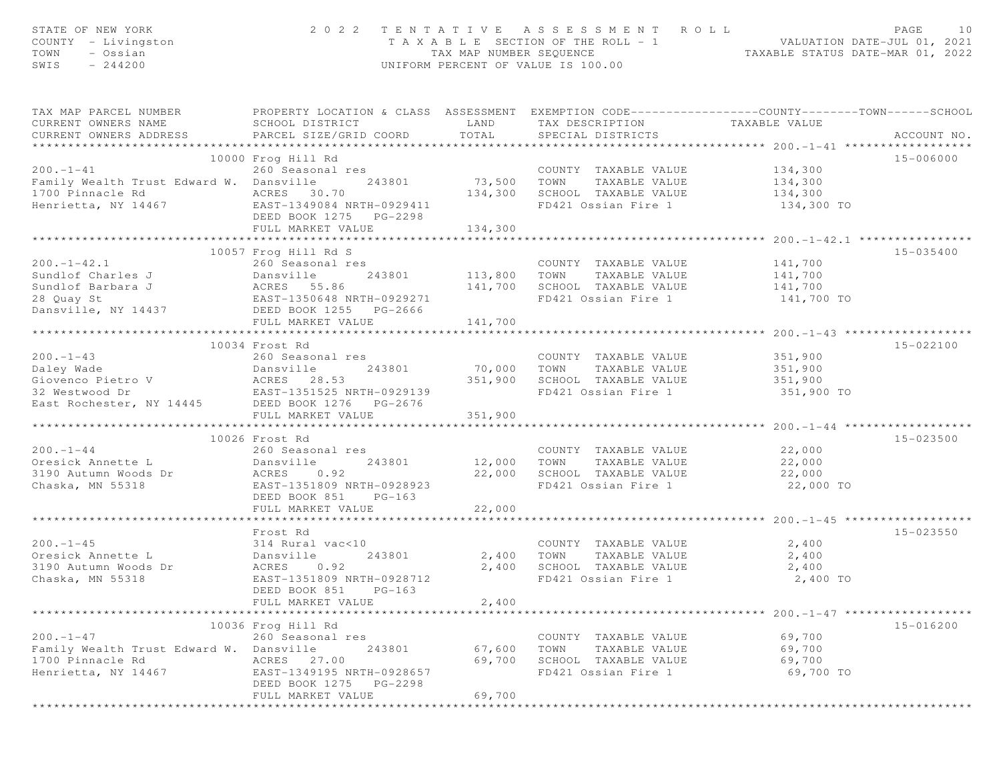| STATE OF NEW YORK<br>COUNTY - Livingston<br>- Ossian<br>TOWN<br>SWIS<br>$-244200$ |                                                                                                                                               | TAX MAP NUMBER SEQUENCE | 2022 TENTATIVE ASSESSMENT ROLL<br>TAXABLE SECTION OF THE ROLL - 1<br>UNIFORM PERCENT OF VALUE IS 100.00 | VALUATION DATE-JUL 01, 2021<br>TAXABLE STATUS DATE-MAR 01, 2022 | PAGE<br>10  |
|-----------------------------------------------------------------------------------|-----------------------------------------------------------------------------------------------------------------------------------------------|-------------------------|---------------------------------------------------------------------------------------------------------|-----------------------------------------------------------------|-------------|
| TAX MAP PARCEL NUMBER<br>CURRENT OWNERS NAME<br>CURRENT OWNERS ADDRESS            | PROPERTY LOCATION & CLASS ASSESSMENT EXEMPTION CODE----------------COUNTY-------TOWN------SCHOOL<br>SCHOOL DISTRICT<br>PARCEL SIZE/GRID COORD | LAND<br>TOTAL           | TAX DESCRIPTION<br>SPECIAL DISTRICTS                                                                    | TAXABLE VALUE                                                   | ACCOUNT NO. |
|                                                                                   |                                                                                                                                               |                         |                                                                                                         |                                                                 | 15-006000   |
| $200. -1 - 41$                                                                    | 10000 Frog Hill Rd<br>260 Seasonal res                                                                                                        |                         | COUNTY TAXABLE VALUE                                                                                    | 134,300                                                         |             |
| Family Wealth Trust Edward W. Dansville                                           | 243801                                                                                                                                        | 73,500                  | TOWN<br>TAXABLE VALUE                                                                                   | 134,300                                                         |             |
| 1700 Pinnacle Rd                                                                  | ACRES 30.70                                                                                                                                   | 134,300                 | SCHOOL TAXABLE VALUE                                                                                    | 134,300                                                         |             |
| Henrietta, NY 14467                                                               | EAST-1349084 NRTH-0929411<br>DEED BOOK 1275 PG-2298<br>FULL MARKET VALUE                                                                      |                         | FD421 Ossian Fire 1                                                                                     | 134,300 TO                                                      |             |
|                                                                                   | ****************************                                                                                                                  | 134,300<br>***********  |                                                                                                         | ************* 200.-1-42.1 ****************                      |             |
|                                                                                   | 10057 Frog Hill Rd S                                                                                                                          |                         |                                                                                                         |                                                                 | 15-035400   |
| $200. -1 - 42.1$                                                                  | 260 Seasonal res                                                                                                                              |                         | COUNTY TAXABLE VALUE                                                                                    | 141,700                                                         |             |
| Sundlof Charles J                                                                 | Dansville<br>243801                                                                                                                           | 113,800                 | TOWN<br>TAXABLE VALUE                                                                                   | 141,700                                                         |             |
| Sundlof Barbara J                                                                 | ACRES 55.86                                                                                                                                   | 141,700                 | SCHOOL TAXABLE VALUE                                                                                    | 141,700                                                         |             |
| 28 Quay St                                                                        | EAST-1350648 NRTH-0929271                                                                                                                     |                         | FD421 Ossian Fire 1                                                                                     | 141,700 TO                                                      |             |
| Dansville, NY 14437                                                               | DEED BOOK 1255 PG-2666                                                                                                                        |                         |                                                                                                         |                                                                 |             |
|                                                                                   | FULL MARKET VALUE                                                                                                                             | 141,700                 |                                                                                                         |                                                                 |             |
|                                                                                   |                                                                                                                                               |                         |                                                                                                         |                                                                 |             |
|                                                                                   | 10034 Frost Rd                                                                                                                                |                         |                                                                                                         |                                                                 | 15-022100   |
| $200. -1 - 43$                                                                    | 260 Seasonal res<br>243801                                                                                                                    |                         | COUNTY TAXABLE VALUE<br>TAXABLE VALUE<br>TOWN                                                           | 351,900                                                         |             |
| Daley Wade<br>Giovenco Pietro V                                                   | Dansville<br>ACRES 28.53                                                                                                                      | 70,000<br>351,900       | SCHOOL TAXABLE VALUE                                                                                    | 351,900<br>351,900                                              |             |
| 32 Westwood Dr                                                                    | EAST-1351525 NRTH-0929139                                                                                                                     |                         | FD421 Ossian Fire 1                                                                                     | 351,900 TO                                                      |             |
| East Rochester, NY 14445                                                          | DEED BOOK 1276 PG-2676                                                                                                                        |                         |                                                                                                         |                                                                 |             |
|                                                                                   | FULL MARKET VALUE                                                                                                                             | 351,900                 |                                                                                                         |                                                                 |             |
|                                                                                   | 10026 Frost Rd                                                                                                                                |                         |                                                                                                         |                                                                 | 15-023500   |
| $200 - 1 - 44$                                                                    | 260 Seasonal res                                                                                                                              |                         | COUNTY TAXABLE VALUE                                                                                    | 22,000                                                          |             |
| Oresick Annette L                                                                 | 243801<br>Dansville                                                                                                                           | 12,000                  | TAXABLE VALUE<br>TOWN                                                                                   | 22,000                                                          |             |
| 3190 Autumn Woods Dr                                                              | 0.92<br>ACRES                                                                                                                                 | 22,000                  | SCHOOL TAXABLE VALUE                                                                                    | 22,000                                                          |             |
| Chaska, MN 55318                                                                  | EAST-1351809 NRTH-0928923                                                                                                                     |                         | FD421 Ossian Fire 1                                                                                     | 22,000 TO                                                       |             |
|                                                                                   | DEED BOOK 851<br>$PG-163$                                                                                                                     |                         |                                                                                                         |                                                                 |             |
|                                                                                   | FULL MARKET VALUE                                                                                                                             | 22,000                  |                                                                                                         |                                                                 |             |
|                                                                                   | **********************                                                                                                                        |                         |                                                                                                         | ************** 200.-1-45 ******                                 |             |
|                                                                                   | Frost Rd                                                                                                                                      |                         |                                                                                                         |                                                                 | 15-023550   |
| $200 - 1 - 45$                                                                    | 314 Rural vac<10                                                                                                                              |                         | COUNTY TAXABLE VALUE                                                                                    | 2,400                                                           |             |
| Oresick Annette L                                                                 | Dansville<br>243801                                                                                                                           | 2,400                   | TOWN<br>TAXABLE VALUE                                                                                   | 2,400                                                           |             |
| 3190 Autumn Woods Dr<br>Chaska, MN 55318                                          | ACRES<br>0.92<br>EAST-1351809 NRTH-0928712                                                                                                    | 2,400                   | SCHOOL TAXABLE VALUE<br>FD421 Ossian Fire 1                                                             | 2,400<br>2,400 TO                                               |             |
|                                                                                   | DEED BOOK 851<br>$PG-163$                                                                                                                     |                         |                                                                                                         |                                                                 |             |
|                                                                                   | FULL MARKET VALUE                                                                                                                             | 2,400                   |                                                                                                         |                                                                 |             |
|                                                                                   |                                                                                                                                               |                         |                                                                                                         |                                                                 |             |
|                                                                                   | 10036 Frog Hill Rd                                                                                                                            |                         |                                                                                                         |                                                                 | 15-016200   |
| $200. -1 - 47$                                                                    | 260 Seasonal res                                                                                                                              |                         | COUNTY TAXABLE VALUE                                                                                    | 69,700                                                          |             |
| Family Wealth Trust Edward W.                                                     | 243801<br>Dansville                                                                                                                           | 67,600                  | TOWN<br>TAXABLE VALUE                                                                                   | 69,700                                                          |             |
| 1700 Pinnacle Rd                                                                  | 27.00<br>ACRES                                                                                                                                | 69,700                  | SCHOOL TAXABLE VALUE                                                                                    | 69,700                                                          |             |
| Henrietta, NY 14467                                                               | EAST-1349195 NRTH-0928657                                                                                                                     |                         | FD421 Ossian Fire 1                                                                                     | 69,700 TO                                                       |             |
|                                                                                   | DEED BOOK 1275<br>PG-2298                                                                                                                     |                         |                                                                                                         |                                                                 |             |
|                                                                                   | FULL MARKET VALUE                                                                                                                             | 69,700                  |                                                                                                         |                                                                 |             |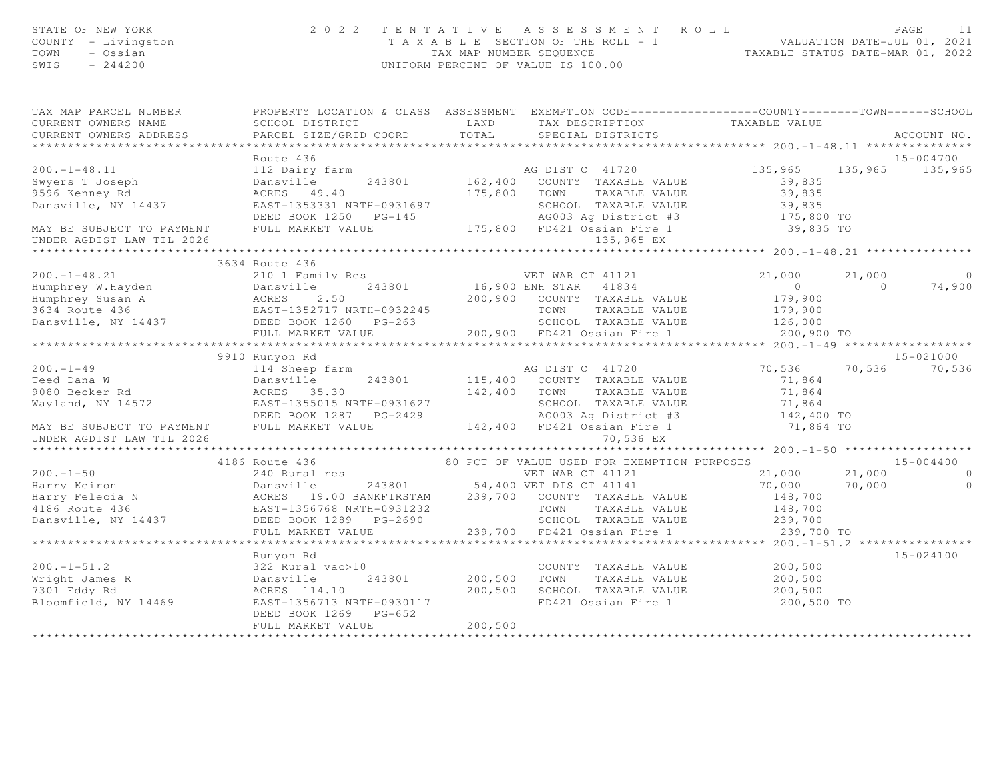| STATE OF NEW YORK<br>COUNTY - Livingston<br>TOWN<br>- Ossian<br>SWIS<br>$-244200$                                                             | 2 0 2 2                                                                                            |              | TENTATIVE ASSESSMENT ROLL<br>T A X A B L E SECTION OF THE ROLL - 1 VALUATION DATE-JUL 01, 2021<br>TAX MAP NUMBER SEQUENCE TAXABLE STATUS DATE-MAR 01, 2022<br>UNIFORM PERCENT OF VALUE IS 100.00 |                      |          | PAGE<br>11     |
|-----------------------------------------------------------------------------------------------------------------------------------------------|----------------------------------------------------------------------------------------------------|--------------|--------------------------------------------------------------------------------------------------------------------------------------------------------------------------------------------------|----------------------|----------|----------------|
| TAX MAP PARCEL NUMBER<br>CURRENT OWNERS NAME                                                                                                  | SCHOOL DISTRICT                                                                                    | LAND         | PROPERTY LOCATION & CLASS ASSESSMENT EXEMPTION CODE----------------COUNTY-------TOWN------SCHOOL                                                                                                 | TAXABLE VALUE        |          |                |
| CURRENT OWNERS ADDRESS                                                                                                                        | PARCEL SIZE/GRID COORD                                                                             | TOTAL        | TAX DESCRIPTION<br>SPECIAL DISTRICTS                                                                                                                                                             |                      |          | ACCOUNT NO.    |
| ***********************                                                                                                                       |                                                                                                    |              |                                                                                                                                                                                                  |                      |          |                |
|                                                                                                                                               | Route 436                                                                                          |              |                                                                                                                                                                                                  |                      |          | 15-004700      |
| $200. -1 - 48.11$                                                                                                                             | 112 Dairy farm                                                                                     |              | AG DIST C 41720                                                                                                                                                                                  | 135,965              | 135,965  | 135,965        |
| Swyers T Joseph                                                                                                                               | Dansville<br>243801                                                                                |              | 162,400 COUNTY TAXABLE VALUE                                                                                                                                                                     | 39,835               |          |                |
| 9596 Kenney Rd                                                                                                                                | ACRES 49.40                                                                                        | 175,800 TOWN | TAXABLE VALUE                                                                                                                                                                                    | 39,835               |          |                |
| Dansville, NY 14437                                                                                                                           | EAST-1353331 NRTH-0931697                                                                          |              | SCHOOL TAXABLE VALUE                                                                                                                                                                             | 39,835               |          |                |
|                                                                                                                                               | DEED BOOK 1250 PG-145                                                                              |              | 3-145 AG003 Ag District #3<br>175,800 FD421 Ossian Fire 1                                                                                                                                        | 175,800 TO           |          |                |
| MAY BE SUBJECT TO PAYMENT                                                                                                                     | FULL MARKET VALUE                                                                                  |              |                                                                                                                                                                                                  | 39,835 TO            |          |                |
| UNDER AGDIST LAW TIL 2026                                                                                                                     |                                                                                                    |              | 135,965 EX                                                                                                                                                                                       |                      |          |                |
|                                                                                                                                               |                                                                                                    |              |                                                                                                                                                                                                  |                      |          |                |
|                                                                                                                                               | 3634 Route 436                                                                                     |              |                                                                                                                                                                                                  |                      |          |                |
| $200. -1 - 48.21$                                                                                                                             | 210 1 Family Res                                                                                   |              | VET WAR CT 41121                                                                                                                                                                                 | 21,000               | 21,000   | $\overline{0}$ |
| Humphrey W.Hayden<br>Humphrey Susan A (ACRES 2.50)<br>3634 Route 436 (EAST-1352717 NRTH-0932245<br>Dansville, NY 14437 (DEED BOOK 1260 PG-263 |                                                                                                    |              | 16,900 ENH STAR 41834                                                                                                                                                                            | $\overline{0}$       | $\Omega$ | 74,900         |
|                                                                                                                                               |                                                                                                    |              | 200,900 COUNTY TAXABLE VALUE                                                                                                                                                                     | 179,900              |          |                |
|                                                                                                                                               |                                                                                                    |              | TOWN<br>TAXABLE VALUE<br>SCHOOL TAXABLE VALUE                                                                                                                                                    | 179,900<br>126,000   |          |                |
|                                                                                                                                               | FULL MARKET VALUE                                                                                  |              | 200,900 FD421 Ossian Fire 1                                                                                                                                                                      | 200,900 TO           |          |                |
|                                                                                                                                               | ***************************                                                                        |              |                                                                                                                                                                                                  |                      |          |                |
|                                                                                                                                               | 9910 Runyon Rd                                                                                     |              |                                                                                                                                                                                                  |                      |          | 15-021000      |
| $200 - 1 - 49$                                                                                                                                | 114 Sheep farm                                                                                     |              | AG DIST C 41720                                                                                                                                                                                  | 70,536               | 70,536   | 70,536         |
| Teed Dana W                                                                                                                                   | Dansville<br>243801                                                                                |              | 115,400 COUNTY TAXABLE VALUE                                                                                                                                                                     | 71,864               |          |                |
| 9080 Becker Rd                                                                                                                                | ACRES 35.30                                                                                        | 142,400 TOWN | TAXABLE VALUE                                                                                                                                                                                    | 71,864               |          |                |
| Wayland, NY 14572                                                                                                                             | EAST-1355015 NRTH-0931627                                                                          |              | SCHOOL TAXABLE VALUE                                                                                                                                                                             |                      |          |                |
|                                                                                                                                               |                                                                                                    |              |                                                                                                                                                                                                  | 71,864<br>142,400 TO |          |                |
| MAY BE SUBJECT TO PAYMENT                                                                                                                     | FULL MARKET VALUE                                                                                  |              | AGO03 Ag District #3<br>142,400 FD421 Ossian Fire 1                                                                                                                                              | 71,864 TO            |          |                |
| UNDER AGDIST LAW TIL 2026                                                                                                                     |                                                                                                    |              | 70,536 EX                                                                                                                                                                                        |                      |          |                |
|                                                                                                                                               |                                                                                                    |              |                                                                                                                                                                                                  |                      |          |                |
|                                                                                                                                               | 4186 Route 436                                                                                     |              | 80 PCT OF VALUE USED FOR EXEMPTION PURPOSES                                                                                                                                                      |                      |          | $15 - 004400$  |
| $200 - 1 - 50$                                                                                                                                | 240 Rural res                                                                                      |              | VET WAR CT 41121                                                                                                                                                                                 | 21,000               | 21,000   | $\Omega$       |
| Harry Keiron                                                                                                                                  |                                                                                                    |              | 243801 54,400 VET DIS CT 41141                                                                                                                                                                   | 70,000               | 70,000   | $\circ$        |
| Harry Felecia N<br>4186 Route 436<br>Dansville, NY 14437                                                                                      | Dansville 243801<br>ACRES 19.00 BANKFIRSTAM<br>EAST-1356768 NRTH-0931232<br>DEED BOOK 1289 PG-2690 |              | 239,700 COUNTY TAXABLE VALUE                                                                                                                                                                     | 148,700              |          |                |
|                                                                                                                                               |                                                                                                    |              | TOWN<br>TAXABLE VALUE                                                                                                                                                                            | 148,700              |          |                |
|                                                                                                                                               | DEED BOOK 1289    PG-2690                                                                          |              | SCHOOL TAXABLE VALUE                                                                                                                                                                             | 239,700              |          |                |
|                                                                                                                                               | FULL MARKET VALUE<br>**************************                                                    |              | 239,700 FD421 Ossian Fire 1                                                                                                                                                                      | 239,700 TO           |          |                |
|                                                                                                                                               |                                                                                                    |              |                                                                                                                                                                                                  |                      |          |                |
|                                                                                                                                               | Runyon Rd                                                                                          |              |                                                                                                                                                                                                  |                      |          | 15-024100      |
| $200. -1 - 51.2$<br>Wright James R                                                                                                            | 322 Rural vac>10<br>Dansville<br>243801                                                            | 200,500 TOWN | COUNTY TAXABLE VALUE<br>TAXABLE VALUE                                                                                                                                                            | 200,500<br>200,500   |          |                |
| 7301 Eddy Rd                                                                                                                                  | ACRES 114.10                                                                                       | 200,500      | SCHOOL TAXABLE VALUE                                                                                                                                                                             | 200,500              |          |                |
| Bloomfield, NY 14469                                                                                                                          | EAST-1356713 NRTH-0930117                                                                          |              | FD421 Ossian Fire 1                                                                                                                                                                              | 200,500 TO           |          |                |
|                                                                                                                                               | DEED BOOK 1269 PG-652                                                                              |              |                                                                                                                                                                                                  |                      |          |                |
|                                                                                                                                               | FULL MARKET VALUE                                                                                  | 200,500      |                                                                                                                                                                                                  |                      |          |                |
|                                                                                                                                               |                                                                                                    |              |                                                                                                                                                                                                  |                      |          |                |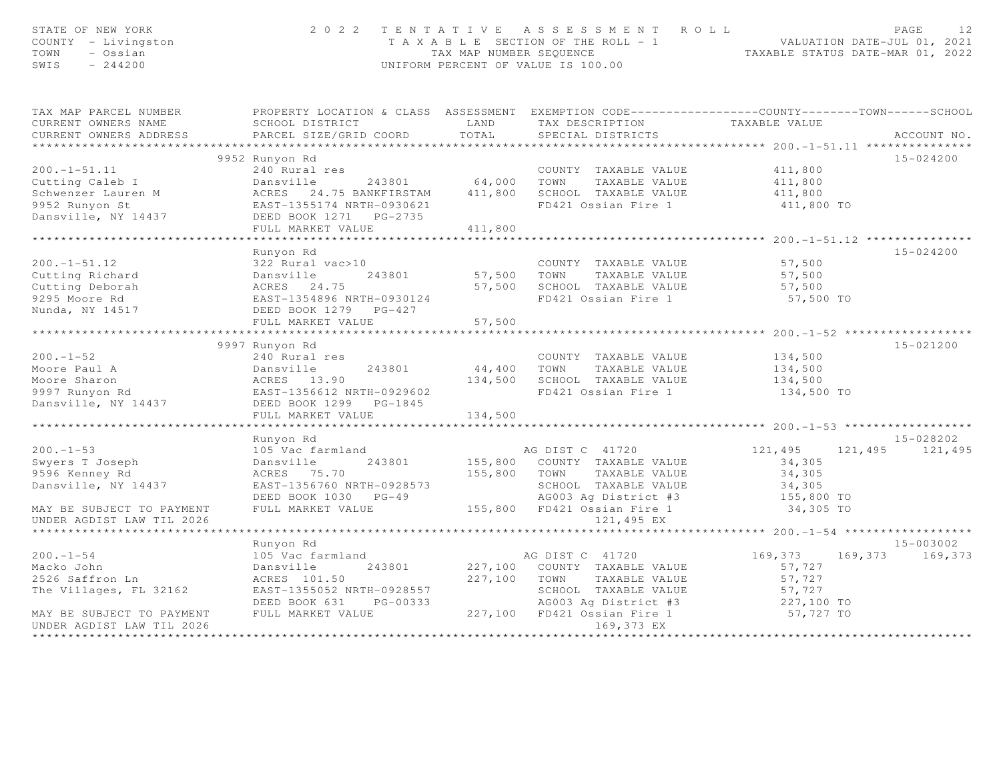| STATE OF NEW YORK<br>COUNTY - Livingston<br>TOWN<br>- Ossian<br>SWIS<br>$-244200$                                                                                                                                                   |                                                                                                                                                                                              |         | 2022 TENTATIVE ASSESSMENT ROLL<br>I E N I A I I V E A S S E S S M E N T R O L L<br>T A X A B L E SECTION OF THE ROLL - 1<br>TAX MAP NUMBER SEQUENCE<br>TAXABLE STATUS DATE-MAR 01, 2022<br>TAXABLE STATUS DATE-MAR 01, 2022<br>UNIFORM PERCENT OF VALUE IS 100.00 |                         | PAGE          |
|-------------------------------------------------------------------------------------------------------------------------------------------------------------------------------------------------------------------------------------|----------------------------------------------------------------------------------------------------------------------------------------------------------------------------------------------|---------|-------------------------------------------------------------------------------------------------------------------------------------------------------------------------------------------------------------------------------------------------------------------|-------------------------|---------------|
| TAX MAP PARCEL NUMBER FROPERTY LOCATION & CLASS ASSESSMENT EXEMPTION CODE---------------COUNTY-------TOWN-----SCHOOL                                                                                                                |                                                                                                                                                                                              |         |                                                                                                                                                                                                                                                                   |                         |               |
| CURRENT OWNERS NAME                                                                                                                                                                                                                 | SCHOOL DISTRICT LAND                                                                                                                                                                         |         | TAX DESCRIPTION TAXABLE VALUE<br>SPECIAL DISTRICTS                                                                                                                                                                                                                |                         |               |
| CURRENT OWNERS ADDRESS                                                                                                                                                                                                              | PARCEL SIZE/GRID COORD TOTAL                                                                                                                                                                 |         |                                                                                                                                                                                                                                                                   |                         | ACCOUNT NO.   |
|                                                                                                                                                                                                                                     |                                                                                                                                                                                              |         |                                                                                                                                                                                                                                                                   |                         |               |
|                                                                                                                                                                                                                                     | 9952 Runyon Rd                                                                                                                                                                               |         |                                                                                                                                                                                                                                                                   |                         | 15-024200     |
| $200. -1 - 51.11$                                                                                                                                                                                                                   |                                                                                                                                                                                              |         | COUNTY TAXABLE VALUE 411,800                                                                                                                                                                                                                                      |                         |               |
| Cutting Caleb I Cutting Caleb I Cutting Caleb I Cutting Caleb I Cutting Caleb I Cutting Caleb I Cutting Caleb I Cutting Caleb I Cutting Caleb I Cutting Caleb I Cutting Caleb I Cutting Caleb I Cutting Caleb I Cutting Conser      |                                                                                                                                                                                              |         |                                                                                                                                                                                                                                                                   |                         |               |
|                                                                                                                                                                                                                                     |                                                                                                                                                                                              |         |                                                                                                                                                                                                                                                                   |                         |               |
|                                                                                                                                                                                                                                     |                                                                                                                                                                                              |         |                                                                                                                                                                                                                                                                   | 411,800 TO              |               |
|                                                                                                                                                                                                                                     |                                                                                                                                                                                              |         |                                                                                                                                                                                                                                                                   |                         |               |
|                                                                                                                                                                                                                                     | FULL MARKET VALUE                                                                                                                                                                            | 411,800 |                                                                                                                                                                                                                                                                   |                         |               |
|                                                                                                                                                                                                                                     |                                                                                                                                                                                              |         |                                                                                                                                                                                                                                                                   |                         |               |
|                                                                                                                                                                                                                                     | Runyon Rd                                                                                                                                                                                    |         |                                                                                                                                                                                                                                                                   |                         | $15 - 024200$ |
|                                                                                                                                                                                                                                     |                                                                                                                                                                                              |         |                                                                                                                                                                                                                                                                   | 57,500                  |               |
|                                                                                                                                                                                                                                     |                                                                                                                                                                                              |         |                                                                                                                                                                                                                                                                   | 57,500<br>57,500        |               |
| 200.-1-51.12 322 Rural vac>10 COUNTY TAXABLE VALUE<br>Cutting Richard Dansville 243801 57,500 TOWN TAXABLE VALUE<br>Cutting Deborah ACRES 24.75 57,500 SCHOOL TAXABLE VALUE<br>9295 Moore Rd EAST-1354896 NRTH-0930124 FD421 Ossian |                                                                                                                                                                                              |         |                                                                                                                                                                                                                                                                   |                         |               |
|                                                                                                                                                                                                                                     |                                                                                                                                                                                              |         |                                                                                                                                                                                                                                                                   | 57,500 TO               |               |
|                                                                                                                                                                                                                                     |                                                                                                                                                                                              |         |                                                                                                                                                                                                                                                                   |                         |               |
|                                                                                                                                                                                                                                     | FULL MARKET VALUE                                                                                                                                                                            | 57,500  |                                                                                                                                                                                                                                                                   |                         |               |
|                                                                                                                                                                                                                                     | 9997 Runyon Rd                                                                                                                                                                               |         |                                                                                                                                                                                                                                                                   |                         | 15-021200     |
| $200 - 1 - 52$                                                                                                                                                                                                                      | 240 Rural res                                                                                                                                                                                |         | COUNTY TAXABLE VALUE                                                                                                                                                                                                                                              | 134,500                 |               |
| Moore Paul A                                                                                                                                                                                                                        |                                                                                                                                                                                              |         | 243801 44,400 TOWN TAXABLE VALUE 134,500                                                                                                                                                                                                                          |                         |               |
|                                                                                                                                                                                                                                     |                                                                                                                                                                                              |         |                                                                                                                                                                                                                                                                   | 134,500                 |               |
| Moore Sharon<br>9997 Runyon Rd<br>Dansville, NY 14437                                                                                                                                                                               | Dansville<br>ACRES 13.90<br>EAST-1356612 NRTH-0929602<br>DEED BOOK 1299 PG-1845                                                                                                              |         | 134,500 SCHOOL TAXABLE VALUE<br>FD421 Ossian Fire 1<br>FD421 Ossian Fire 1 134,500 TO                                                                                                                                                                             |                         |               |
|                                                                                                                                                                                                                                     |                                                                                                                                                                                              |         |                                                                                                                                                                                                                                                                   |                         |               |
|                                                                                                                                                                                                                                     | FULL MARKET VALUE                                                                                                                                                                            | 134,500 |                                                                                                                                                                                                                                                                   |                         |               |
|                                                                                                                                                                                                                                     | ******************************                                                                                                                                                               |         |                                                                                                                                                                                                                                                                   |                         |               |
|                                                                                                                                                                                                                                     | Runyon Rd                                                                                                                                                                                    |         |                                                                                                                                                                                                                                                                   |                         | 15-028202     |
| $200 - 1 - 53$                                                                                                                                                                                                                      |                                                                                                                                                                                              |         | AG DIST C 41720 121, 495 121, 495 121, 495                                                                                                                                                                                                                        |                         |               |
| Swyers T Joseph                                                                                                                                                                                                                     |                                                                                                                                                                                              |         |                                                                                                                                                                                                                                                                   | 34,305                  |               |
| 9596 Kenney Rd                                                                                                                                                                                                                      | ACRES 75.70<br>EAST-1356760 NRTH-0928573<br>DEED BOOK 1030 PG-49<br>FULL MARKET VALUE 155,800 FD421 Ossian Fire 1 34,305 TO<br>TAXABLE VALUE 34,305<br>155,800 FD421 Ossian Fire 1 34,305 TO |         |                                                                                                                                                                                                                                                                   |                         |               |
| Dansville, NY 14437                                                                                                                                                                                                                 |                                                                                                                                                                                              |         |                                                                                                                                                                                                                                                                   |                         |               |
|                                                                                                                                                                                                                                     |                                                                                                                                                                                              |         |                                                                                                                                                                                                                                                                   |                         |               |
| MAY BE SUBJECT TO PAYMENT                                                                                                                                                                                                           |                                                                                                                                                                                              |         |                                                                                                                                                                                                                                                                   |                         |               |
| UNDER AGDIST LAW TIL 2026                                                                                                                                                                                                           |                                                                                                                                                                                              |         | 121,495 EX                                                                                                                                                                                                                                                        |                         |               |
|                                                                                                                                                                                                                                     |                                                                                                                                                                                              |         |                                                                                                                                                                                                                                                                   |                         |               |
|                                                                                                                                                                                                                                     | Runyon Rd                                                                                                                                                                                    |         |                                                                                                                                                                                                                                                                   |                         | 15-003002     |
| $200 - 1 - 54$                                                                                                                                                                                                                      | 105 Vac farmland                                                                                                                                                                             |         | AG DIST C 41720                                                                                                                                                                                                                                                   | 169,373 169,373 169,373 |               |
| Macko John                                                                                                                                                                                                                          | Dansville                                                                                                                                                                                    |         | 243801 227,100 COUNTY TAXABLE VALUE                                                                                                                                                                                                                               | 57,727                  |               |
| 2526 Saffron Ln                                                                                                                                                                                                                     | ACRES 101.50                                                                                                                                                                                 |         | 227,100 TOWN TAXABLE VALUE                                                                                                                                                                                                                                        | 57,727                  |               |
| The Villages, FL 32162                                                                                                                                                                                                              |                                                                                                                                                                                              |         | SCHOOL TAXABLE VALUE                                                                                                                                                                                                                                              |                         |               |
|                                                                                                                                                                                                                                     | EAST-1355052 NRTH-0928557<br>DEED BOOK 631 PG-00333<br>DEED BOOK 631 PG-00333                                                                                                                |         |                                                                                                                                                                                                                                                                   | 57,727<br>227,100 TO    |               |
| MAY BE SUBJECT TO PAYMENT                                                                                                                                                                                                           | FULL MARKET VALUE                                                                                                                                                                            |         | AG003 Ag District #3<br>227,100 FD421 Ossian Fire 1                                                                                                                                                                                                               | 57,727 TO               |               |
| UNDER AGDIST LAW TIL 2026                                                                                                                                                                                                           |                                                                                                                                                                                              |         | 169,373 EX                                                                                                                                                                                                                                                        |                         |               |
|                                                                                                                                                                                                                                     |                                                                                                                                                                                              |         |                                                                                                                                                                                                                                                                   |                         |               |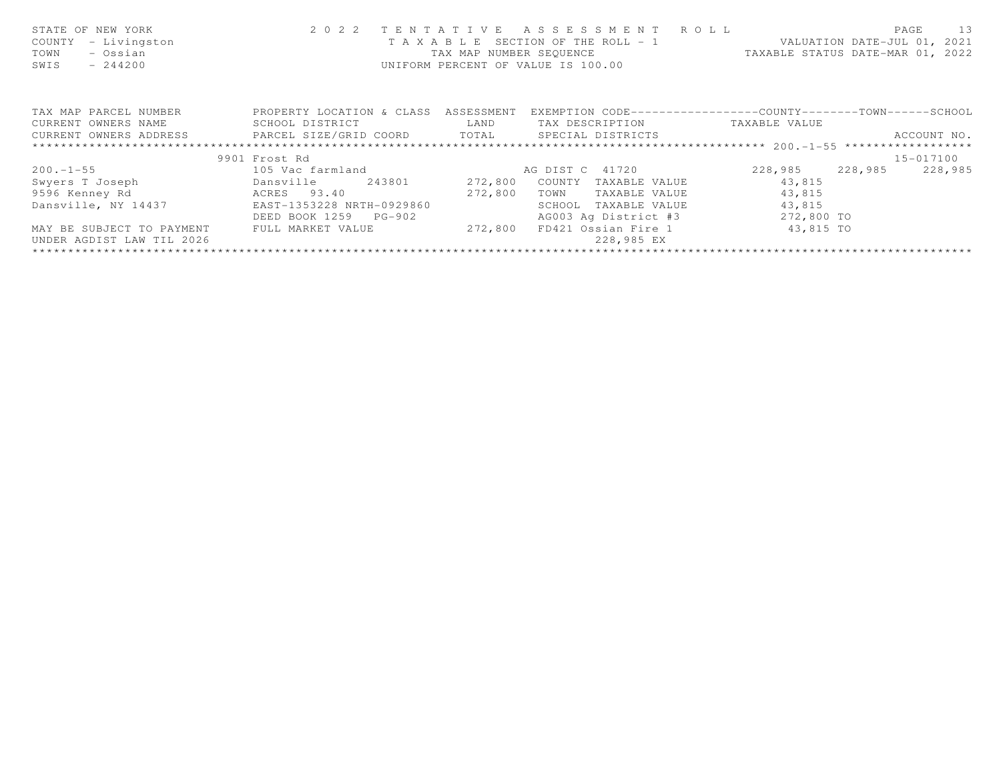| STATE OF NEW YORK<br>- Livingston<br>COUNTY<br>- Ossian<br>TOWN<br>SWIS<br>$-244200$ | 2 0 2 2<br>T A X A B L E                       | TENTATIVE<br>TAX MAP NUMBER SEQUENCE | ASSESSMENT ROLL<br>SECTION OF THE ROLL - 1 VALUATION DATE-JUL 01, 2021<br>UNIFORM PERCENT OF VALUE IS 100.00 | TAXABLE STATUS DATE-MAR 01, 2022 | PAGE<br>13         |
|--------------------------------------------------------------------------------------|------------------------------------------------|--------------------------------------|--------------------------------------------------------------------------------------------------------------|----------------------------------|--------------------|
| TAX MAP PARCEL NUMBER                                                                | PROPERTY LOCATION & CLASS ASSESSMENT           |                                      | EXEMPTION CODE-----------------COUNTY-------TOWN------SCHOOL                                                 |                                  |                    |
| CURRENT OWNERS NAME                                                                  | SCHOOL DISTRICT                                | LAND                                 | TAX DESCRIPTION                                                                                              | TAXABLE VALUE                    |                    |
| CURRENT OWNERS ADDRESS                                                               | PARCEL SIZE/GRID COORD TOTAL SPECIAL DISTRICTS |                                      |                                                                                                              |                                  | ACCOUNT NO.        |
|                                                                                      |                                                |                                      |                                                                                                              |                                  |                    |
|                                                                                      | 9901 Frost Rd                                  |                                      |                                                                                                              |                                  | 15-017100          |
| $200 - 1 - 55$                                                                       | 105 Vac farmland                               |                                      | AG DIST C 41720                                                                                              | 228,985                          | 228,985<br>228,985 |
| Swyers T Joseph<br>Dansville                                                         | 243801                                         | 272,800                              | COUNTY<br>TAXABLE VALUE                                                                                      | 43,815                           |                    |
| 9596 Kenney Rd                                                                       | ACRES 93.40                                    | 272,800                              | TAXABLE VALUE<br>TOWN                                                                                        | 43,815                           |                    |
| Dansville, NY 14437                                                                  | EAST-1353228 NRTH-0929860                      |                                      | SCHOOL<br>TAXABLE VALUE                                                                                      | 43,815                           |                    |
|                                                                                      | DEED BOOK 1259 PG-902                          |                                      | AG003 Ag District #3                                                                                         | 272,800 TO                       |                    |
| MAY BE SUBJECT TO PAYMENT                                                            | FULL MARKET VALUE                              | 272,800                              | FD421 Ossian Fire 1 43,815 TO                                                                                |                                  |                    |
| UNDER AGDIST LAW TIL 2026                                                            |                                                |                                      | 228,985 EX                                                                                                   |                                  |                    |
|                                                                                      |                                                |                                      |                                                                                                              |                                  |                    |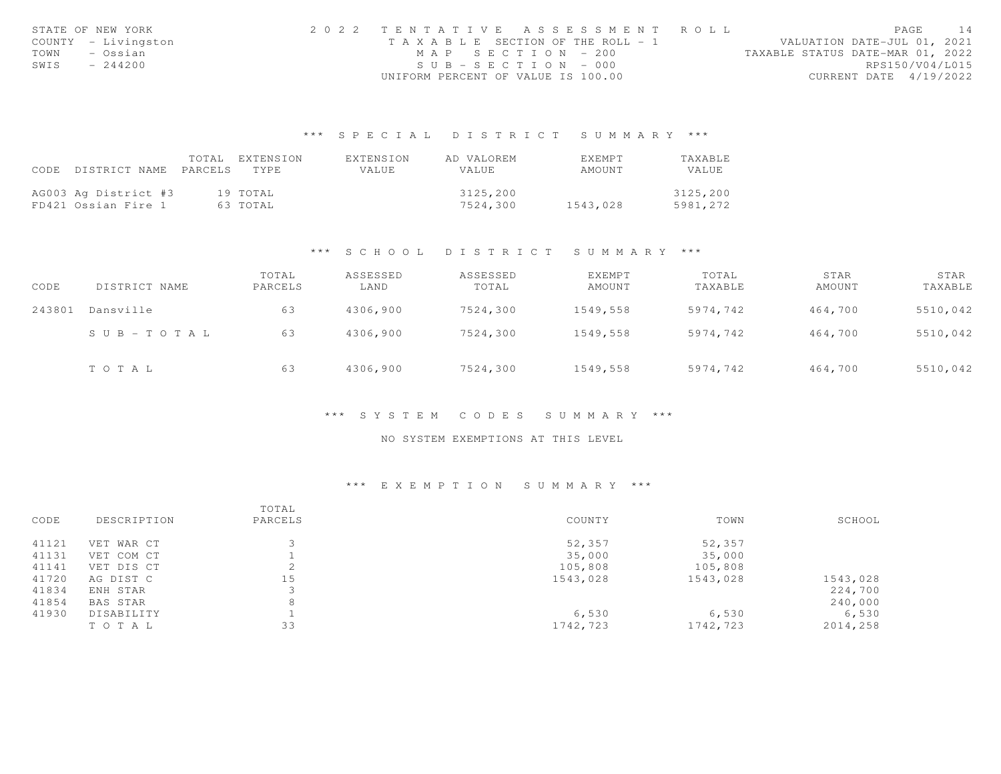|      | STATE OF NEW YORK   | 2022 TENTATIVE ASSESSMENT ROLL     |                       |  |                                  |                        | PAGE | 14 |
|------|---------------------|------------------------------------|-----------------------|--|----------------------------------|------------------------|------|----|
|      | COUNTY - Livingston | TAXABLE SECTION OF THE ROLL - 1    |                       |  | VALUATION DATE-JUL 01, 2021      |                        |      |    |
| TOWN | - Ossian            |                                    | MAP SECTION - 200     |  | TAXABLE STATUS DATE-MAR 01, 2022 |                        |      |    |
| SWIS | $-244200$           |                                    | $SUB - SECTION - 000$ |  |                                  | RPS150/V04/L015        |      |    |
|      |                     | UNIFORM PERCENT OF VALUE IS 100.00 |                       |  |                                  | CURRENT DATE 4/19/2022 |      |    |

# \*\*\* S P E C I A L D I S T R I C T S U M M A R Y \*\*\*

|      |                       | TOTAL | EXTENSION | EXTENSION | AD VALOREM | EXEMPT   | TAXABLE  |
|------|-----------------------|-------|-----------|-----------|------------|----------|----------|
| CODE | DISTRICT NAME PARCELS |       | TYPE.     | VALUE     | VALUE      | AMOUNT   | VALUE.   |
|      |                       |       |           |           |            |          |          |
|      | AG003 Ag District #3  |       | 19 TOTAL  |           | 3125,200   |          | 3125,200 |
|      | FD421 Ossian Fire 1   |       | 63 TOTAL  |           | 7524,300   | 1543,028 | 5981,272 |

### \*\*\* S C H O O L D I S T R I C T S U M M A R Y \*\*\*

| CODE   | DISTRICT NAME         | TOTAL<br>PARCELS | ASSESSED<br>LAND | ASSESSED<br>TOTAL | EXEMPT<br>AMOUNT | TOTAL<br>TAXABLE | STAR<br>AMOUNT | STAR<br>TAXABLE |
|--------|-----------------------|------------------|------------------|-------------------|------------------|------------------|----------------|-----------------|
| 243801 | Dansville             | 63               | 4306,900         | 7524,300          | 1549,558         | 5974,742         | 464,700        | 5510,042        |
|        | $S \cup B - TO T A L$ | 63               | 4306,900         | 7524,300          | 1549,558         | 5974,742         | 464,700        | 5510,042        |
|        | TOTAL                 | 63               | 4306,900         | 7524,300          | 1549,558         | 5974,742         | 464,700        | 5510,042        |

### \*\*\* S Y S T E M C O D E S S U M M A R Y \*\*\*

## NO SYSTEM EXEMPTIONS AT THIS LEVEL

# \*\*\* E X E M P T I O N S U M M A R Y \*\*\*

| CODE  | DESCRIPTION | TOTAL<br>PARCELS | COUNTY   | TOWN     | SCHOOL   |
|-------|-------------|------------------|----------|----------|----------|
|       |             |                  |          |          |          |
| 41121 | VET WAR CT  |                  | 52,357   | 52,357   |          |
| 41131 | VET COM CT  |                  | 35,000   | 35,000   |          |
| 41141 | VET DIS CT  | $\supset$<br>∠   | 105,808  | 105,808  |          |
| 41720 | AG DIST C   | 15               | 1543,028 | 1543,028 | 1543,028 |
| 41834 | ENH STAR    |                  |          |          | 224,700  |
| 41854 | BAS STAR    | 8                |          |          | 240,000  |
| 41930 | DISABILITY  |                  | 6,530    | 6,530    | 6,530    |
|       | TO TAL      | 33               | 1742,723 | 1742,723 | 2014,258 |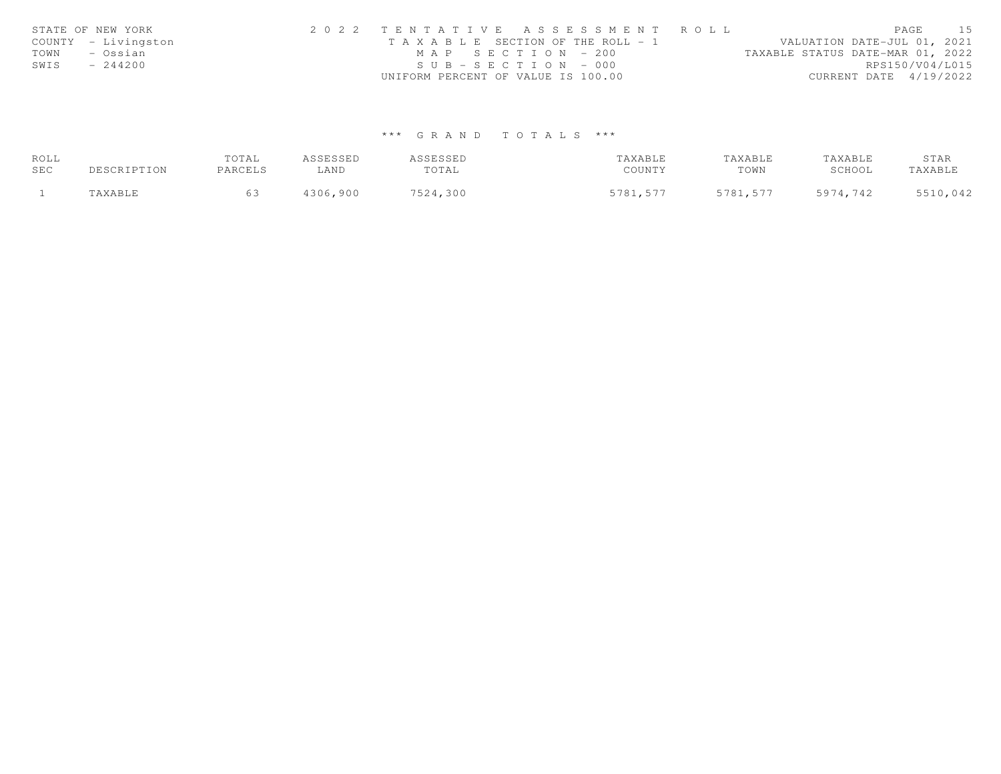|      | STATE OF NEW YORK   | 2022 TENTATIVE ASSESSMENT ROLL                                       | PAGE                   | 15 |
|------|---------------------|----------------------------------------------------------------------|------------------------|----|
|      | COUNTY - Livingston | VALUATION DATE-JUL 01, 2021<br>T A X A B L E SECTION OF THE ROLL - 1 |                        |    |
| TOWN | – Ossian            | TAXABLE STATUS DATE-MAR 01, 2022<br>MAP SECTION - 200                |                        |    |
| SWIS | $-244200$           | $SUB - SECTION - 000$                                                | RPS150/V04/L015        |    |
|      |                     | UNIFORM PERCENT OF VALUE IS 100.00                                   | CURRENT DATE 4/19/2022 |    |

# \*\*\* G R A N D T O T A L S \*\*\*

| ROLL |             | TOTAL   | ASSESSED | ASSESSED | TAXABLE  | TAXABLE  | TAXABLE  | STAR     |
|------|-------------|---------|----------|----------|----------|----------|----------|----------|
| SEC  | DESCRIPTION | PARCELS | ∟AND     | TOTAL    | COUNTY   | TOWN     | SCHOOL   | TAXABLE  |
|      | TAXABLE     |         | 4306,900 | 7524,300 | 5781,577 | 5781,577 | 5974,742 | 5510,042 |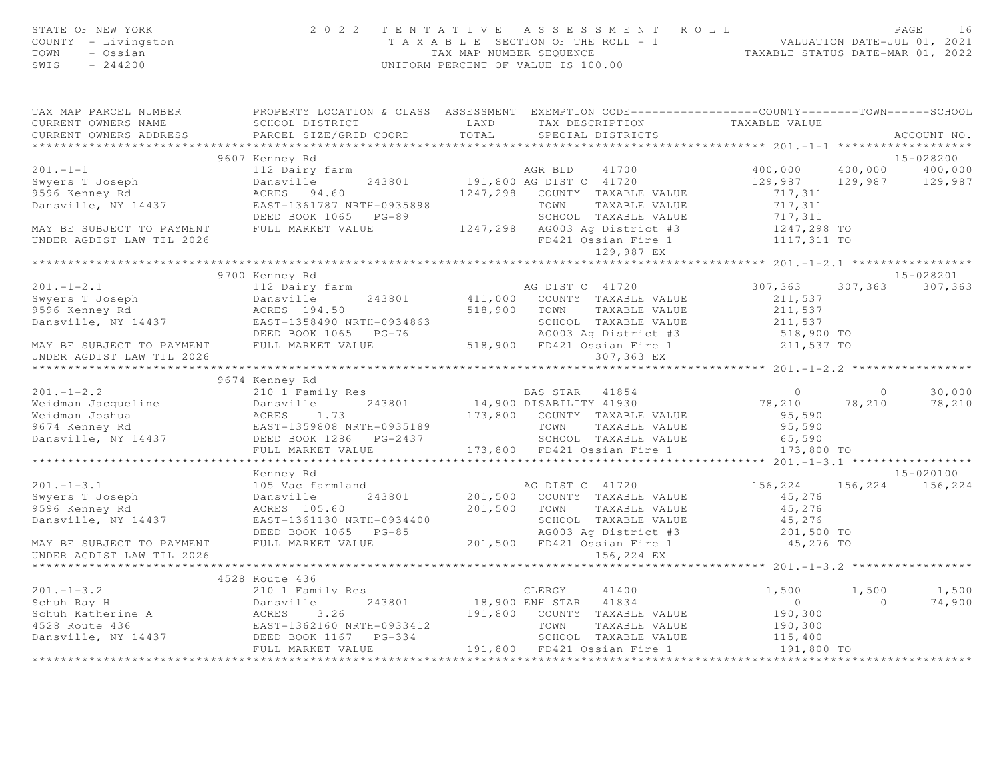| STATE OF NEW YORK<br>COUNTY - Livingston<br>TOWN - Ossian<br>SWIS $-244200$ |                | 2022 TENTATIVE ASSESSMENT ROLL<br>PAGE 16<br>TAXABLE SECTION OF THE ROLL - 1<br>TAXABLE STATUS DATE-JUL 01, 2021<br>TAXABLE STATUS DATE-MAR 01, 2022<br>UNIFORM PERCENT OF VALUE IS 100.00<br>UNIFORM PERCENT OF VALUE IS 100.00                                                                        | PAGE<br>16                                                                               |
|-----------------------------------------------------------------------------|----------------|---------------------------------------------------------------------------------------------------------------------------------------------------------------------------------------------------------------------------------------------------------------------------------------------------------|------------------------------------------------------------------------------------------|
|                                                                             |                | TAX MAP PARCEL NUMBER PROPERTY LOCATION & CLASS ASSESSMENT EXEMPTION CODE---------------COUNTY-------TOWN------SCHOOL                                                                                                                                                                                   |                                                                                          |
|                                                                             |                |                                                                                                                                                                                                                                                                                                         | ACCOUNT NO.                                                                              |
|                                                                             |                |                                                                                                                                                                                                                                                                                                         | 15-028200                                                                                |
|                                                                             |                |                                                                                                                                                                                                                                                                                                         | 400,000 400,000                                                                          |
|                                                                             |                |                                                                                                                                                                                                                                                                                                         | 129,987 129,987 129,987                                                                  |
|                                                                             |                |                                                                                                                                                                                                                                                                                                         |                                                                                          |
|                                                                             |                |                                                                                                                                                                                                                                                                                                         |                                                                                          |
|                                                                             |                |                                                                                                                                                                                                                                                                                                         |                                                                                          |
|                                                                             |                |                                                                                                                                                                                                                                                                                                         |                                                                                          |
|                                                                             |                | 9607 Kenney Rd 201.-1-1<br>Swyers T Joseph Dansville 243801<br>9596 Kenney Rd 201.-1-1<br>9596 Kenney Rd 201.-1-1<br>243801<br>9596 Kenney Rd 243801<br>243801<br>247,298 COUNTY TAXABLE VALUE<br>247,298 COUNTY TAXABLE VALUE<br>247,298 COUNTY                                                        |                                                                                          |
|                                                                             |                |                                                                                                                                                                                                                                                                                                         | ******************* 201.-1-2.1 ******************                                        |
|                                                                             | 9700 Kenney Rd |                                                                                                                                                                                                                                                                                                         | 15-028201                                                                                |
|                                                                             |                |                                                                                                                                                                                                                                                                                                         | 307, 363 307, 363                                                                        |
|                                                                             |                |                                                                                                                                                                                                                                                                                                         |                                                                                          |
|                                                                             |                |                                                                                                                                                                                                                                                                                                         |                                                                                          |
|                                                                             |                |                                                                                                                                                                                                                                                                                                         |                                                                                          |
|                                                                             |                |                                                                                                                                                                                                                                                                                                         |                                                                                          |
|                                                                             |                | 301.-1-2.1<br>Syou kenney ka acknown and the summarized by the summarized by the summarized by the summarized by the summarized by the summarized by the summarized by the summarized by the summarized by the summarized by the                                                                        |                                                                                          |
|                                                                             |                |                                                                                                                                                                                                                                                                                                         |                                                                                          |
|                                                                             | 9674 Kenney Rd |                                                                                                                                                                                                                                                                                                         |                                                                                          |
|                                                                             |                |                                                                                                                                                                                                                                                                                                         |                                                                                          |
|                                                                             |                |                                                                                                                                                                                                                                                                                                         | $\begin{array}{cccc} & 0 & & 0 & & 30,000 \\ & 78,210 & & 78,210 & & 78,210 \end{array}$ |
|                                                                             |                |                                                                                                                                                                                                                                                                                                         |                                                                                          |
|                                                                             |                |                                                                                                                                                                                                                                                                                                         |                                                                                          |
|                                                                             |                |                                                                                                                                                                                                                                                                                                         |                                                                                          |
|                                                                             |                | $\begin{array}{cccccccc} 201.-1-2.2 & 96/4 & \text{Kenney Rd} & 2101.-1-2.2 & 96/4 & \text{Kenney Rd} & 243801 & 14,900 DISABILITY 41930 & 78,210 & 78,210 & 78,210 & 78,210 & 78,21 & 78,21 & 78,21 & 78,21 & 78,21 & 78,21 & 78,21 & 78,21 & 78,21 & 78,21 & 78,21 & 78,21 & 78,21 & 78,21 & 78,21 &$ |                                                                                          |
|                                                                             |                |                                                                                                                                                                                                                                                                                                         |                                                                                          |
|                                                                             | Kenney Rd      |                                                                                                                                                                                                                                                                                                         | 15-020100                                                                                |
|                                                                             |                |                                                                                                                                                                                                                                                                                                         |                                                                                          |
|                                                                             |                |                                                                                                                                                                                                                                                                                                         |                                                                                          |
|                                                                             |                |                                                                                                                                                                                                                                                                                                         |                                                                                          |
|                                                                             |                |                                                                                                                                                                                                                                                                                                         |                                                                                          |
|                                                                             |                |                                                                                                                                                                                                                                                                                                         |                                                                                          |
|                                                                             |                |                                                                                                                                                                                                                                                                                                         |                                                                                          |
|                                                                             |                |                                                                                                                                                                                                                                                                                                         |                                                                                          |
|                                                                             |                |                                                                                                                                                                                                                                                                                                         |                                                                                          |
|                                                                             | 4528 Route 436 | 4528 Route 436<br>201.-1-3.2<br>201.-1-3.2<br>201.-1-3.2<br>201.-1-3.2<br>201.-1-3.2<br>201.-1-3.2<br>201.-1-3.2<br>201.-1-3.2<br>201.-1-3.2<br>201.5 201.5 201.5 201.5 201.5 201.5 201.5 202.5 202.5 202.5 202.5 202.5 202.5 202.5 202.5 202.5 20                                                      |                                                                                          |
|                                                                             |                |                                                                                                                                                                                                                                                                                                         | $1,500$ $1,500$<br>$\overline{0}$<br>74,900                                              |
|                                                                             |                |                                                                                                                                                                                                                                                                                                         |                                                                                          |
|                                                                             |                |                                                                                                                                                                                                                                                                                                         |                                                                                          |
|                                                                             |                |                                                                                                                                                                                                                                                                                                         |                                                                                          |
|                                                                             |                |                                                                                                                                                                                                                                                                                                         |                                                                                          |
|                                                                             |                |                                                                                                                                                                                                                                                                                                         |                                                                                          |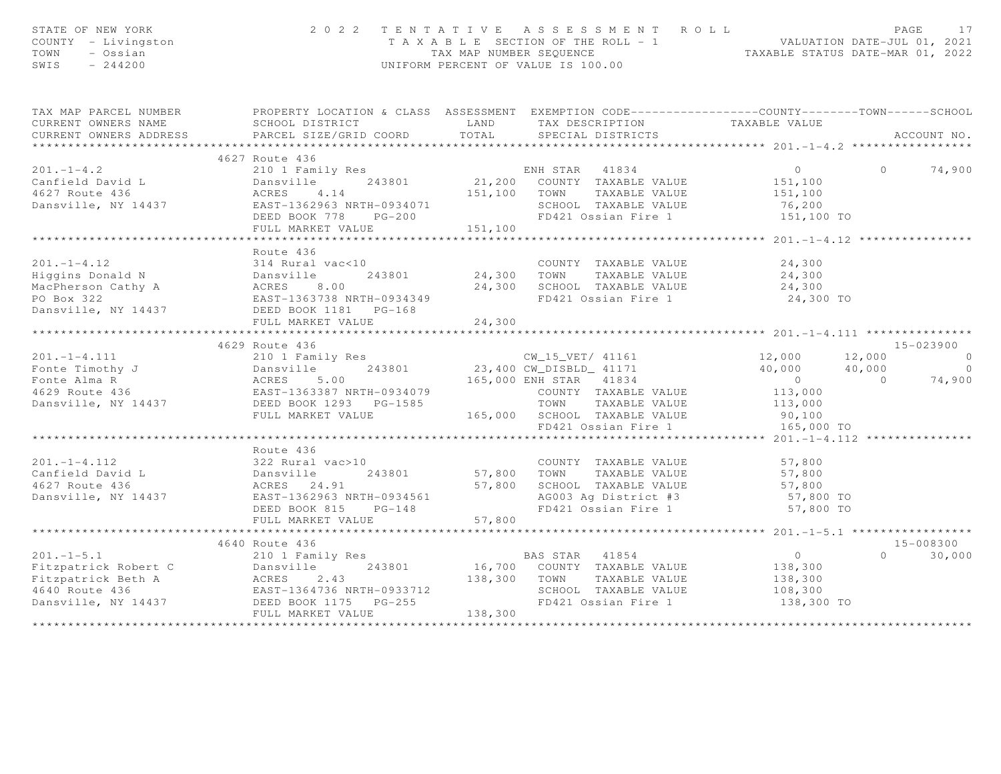| STATE OF NEW YORK<br>COUNTY - Livingston<br>TOWN<br>- Ossian<br>SWIS $-244200$                                                                                                                                                                              |                             |                                     | 2022 TENTATIVE ASSESSMENT ROLL<br>PAGE 17<br>TAXABLE SECTION OF THE ROLL - 1<br>TAX MAP NUMBER SEQUENCE TAXABLE STATUS DATE-MAR 01, 2021<br>UNIFORM PERCENT OF VALUE IS 100.00 |                                                    |               |
|-------------------------------------------------------------------------------------------------------------------------------------------------------------------------------------------------------------------------------------------------------------|-----------------------------|-------------------------------------|--------------------------------------------------------------------------------------------------------------------------------------------------------------------------------|----------------------------------------------------|---------------|
| TAX MAP PARCEL NUMBER FROPERTY LOCATION & CLASS ASSESSMENT EXEMPTION CODE----------------COUNTY--------TOWN------SCHOOL                                                                                                                                     |                             |                                     |                                                                                                                                                                                |                                                    |               |
| CURRENT OWNERS ADDRESS                                                                                                                                                                                                                                      |                             |                                     |                                                                                                                                                                                |                                                    |               |
|                                                                                                                                                                                                                                                             |                             |                                     |                                                                                                                                                                                |                                                    |               |
|                                                                                                                                                                                                                                                             | 4627 Route 436              |                                     |                                                                                                                                                                                |                                                    |               |
| 201.-1-4.2<br>Canfield David L 201.-1-4.2 201.-1-4.2 201.-1-4.2 201.-1-4.2 201.-1-4.2 201.-1-4.2 201.-1-4.2 201.-1-4.2 201.-1-4.2 201.-1-4.2 201.-1-4.2 201.-1-4.2 201.-1-4.2 201.-1-4.2 201.-1-4.2 201.-1-4.2 201.-1-4.2 201.-                             |                             |                                     |                                                                                                                                                                                |                                                    |               |
|                                                                                                                                                                                                                                                             |                             |                                     |                                                                                                                                                                                |                                                    |               |
|                                                                                                                                                                                                                                                             |                             |                                     |                                                                                                                                                                                |                                                    |               |
|                                                                                                                                                                                                                                                             |                             |                                     |                                                                                                                                                                                |                                                    |               |
|                                                                                                                                                                                                                                                             |                             |                                     |                                                                                                                                                                                |                                                    |               |
|                                                                                                                                                                                                                                                             |                             |                                     |                                                                                                                                                                                |                                                    |               |
|                                                                                                                                                                                                                                                             | *************************** | * * * * * * * * * * * * * * * * * * |                                                                                                                                                                                | *************** 201.-1-4.12 **************         |               |
|                                                                                                                                                                                                                                                             | Route 436                   |                                     |                                                                                                                                                                                |                                                    |               |
|                                                                                                                                                                                                                                                             |                             |                                     |                                                                                                                                                                                |                                                    |               |
|                                                                                                                                                                                                                                                             |                             |                                     |                                                                                                                                                                                |                                                    |               |
|                                                                                                                                                                                                                                                             |                             |                                     |                                                                                                                                                                                |                                                    |               |
|                                                                                                                                                                                                                                                             |                             |                                     |                                                                                                                                                                                |                                                    |               |
| 201.-1-4.12<br>Higgins Donald N<br>MacPherson Cathy A<br>MacPherson Cathy A<br>PO Box 322<br>Dansville, NY 14437<br>Dansville, NY 14437<br>DEED BOOK 1181<br>PG-168<br>PO Box 322<br>PLIL MARKET VALUE<br>PG-168<br>PO 24,300<br>PO Box 322<br>PLIL MARKET  |                             |                                     |                                                                                                                                                                                |                                                    |               |
|                                                                                                                                                                                                                                                             |                             |                                     |                                                                                                                                                                                |                                                    |               |
|                                                                                                                                                                                                                                                             | 4629 Route 436              |                                     |                                                                                                                                                                                |                                                    | 15-023900     |
|                                                                                                                                                                                                                                                             |                             |                                     |                                                                                                                                                                                |                                                    |               |
|                                                                                                                                                                                                                                                             |                             |                                     |                                                                                                                                                                                |                                                    |               |
|                                                                                                                                                                                                                                                             |                             |                                     |                                                                                                                                                                                |                                                    |               |
|                                                                                                                                                                                                                                                             |                             |                                     |                                                                                                                                                                                |                                                    |               |
|                                                                                                                                                                                                                                                             |                             |                                     |                                                                                                                                                                                |                                                    |               |
|                                                                                                                                                                                                                                                             |                             |                                     |                                                                                                                                                                                |                                                    |               |
|                                                                                                                                                                                                                                                             |                             |                                     |                                                                                                                                                                                |                                                    |               |
|                                                                                                                                                                                                                                                             |                             |                                     |                                                                                                                                                                                |                                                    |               |
|                                                                                                                                                                                                                                                             | Route 436                   |                                     |                                                                                                                                                                                |                                                    |               |
|                                                                                                                                                                                                                                                             |                             |                                     |                                                                                                                                                                                |                                                    |               |
|                                                                                                                                                                                                                                                             |                             |                                     |                                                                                                                                                                                |                                                    |               |
|                                                                                                                                                                                                                                                             |                             |                                     |                                                                                                                                                                                |                                                    |               |
|                                                                                                                                                                                                                                                             |                             |                                     |                                                                                                                                                                                |                                                    |               |
|                                                                                                                                                                                                                                                             |                             |                                     |                                                                                                                                                                                |                                                    |               |
|                                                                                                                                                                                                                                                             |                             |                                     |                                                                                                                                                                                | ******************** 201.-1-5.1 ****************** |               |
| 201.-1-4.112<br>Canfield David L 243801<br>243801<br>243801<br>243801<br>243801<br>243801<br>267,800<br>26627 Route 436<br>267 Route 436<br>267 Route 436<br>267 Route 436<br>2682T-1362963 NRTH-0934561<br>2682T-1362963 NRTH-0934561<br>2682T-148<br>2682 |                             |                                     |                                                                                                                                                                                |                                                    | 15-008300     |
|                                                                                                                                                                                                                                                             | 4640 Route 436              |                                     |                                                                                                                                                                                |                                                    | $0 \t 30,000$ |
|                                                                                                                                                                                                                                                             |                             |                                     |                                                                                                                                                                                |                                                    |               |
|                                                                                                                                                                                                                                                             |                             |                                     |                                                                                                                                                                                |                                                    |               |
|                                                                                                                                                                                                                                                             |                             |                                     |                                                                                                                                                                                |                                                    |               |
|                                                                                                                                                                                                                                                             |                             |                                     |                                                                                                                                                                                | 138,300 TO                                         |               |
|                                                                                                                                                                                                                                                             |                             |                                     |                                                                                                                                                                                |                                                    |               |
|                                                                                                                                                                                                                                                             |                             |                                     |                                                                                                                                                                                |                                                    |               |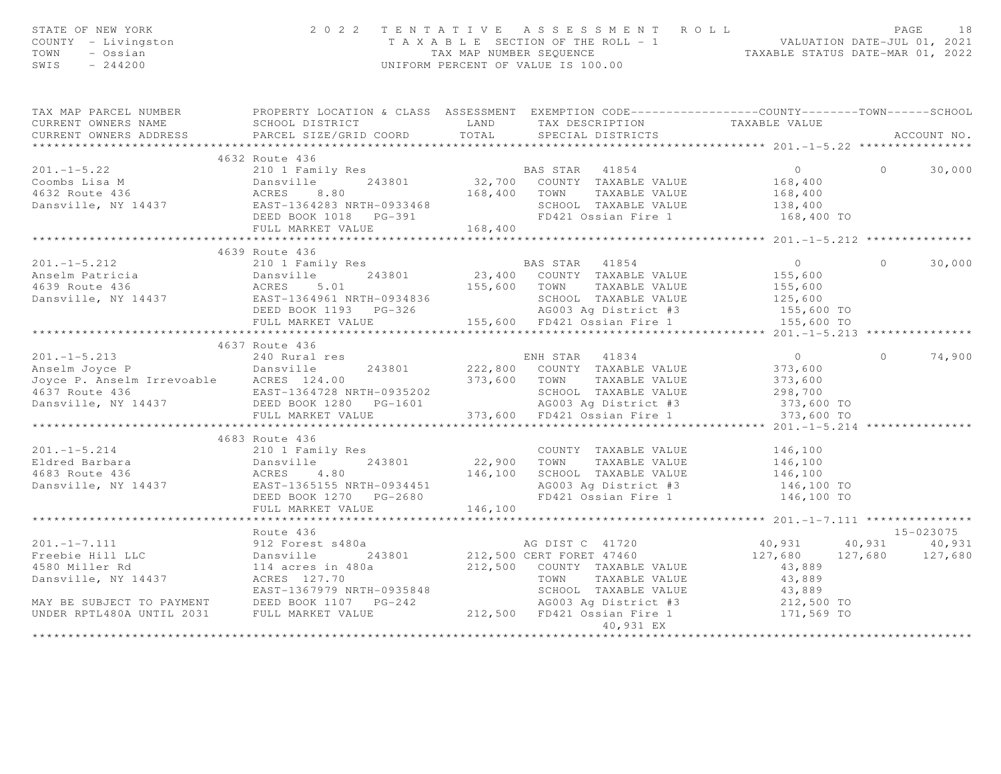| STATE OF NEW YORK<br>COUNTY - Livingston<br>TOWN<br>- Ossian<br>SWIS $-244200$                                                                                                                                                                   |                |           |                                              |          |            |
|--------------------------------------------------------------------------------------------------------------------------------------------------------------------------------------------------------------------------------------------------|----------------|-----------|----------------------------------------------|----------|------------|
| TAX MAP PARCEL NUMBER PROPERTY LOCATION & CLASS ASSESSMENT EXEMPTION CODE---------------COUNTY-------TOWN------SCHOOL                                                                                                                            |                |           |                                              |          |            |
|                                                                                                                                                                                                                                                  |                |           |                                              |          |            |
|                                                                                                                                                                                                                                                  | 4632 Route 436 |           |                                              |          |            |
|                                                                                                                                                                                                                                                  |                |           |                                              | $\circ$  | 30,000     |
|                                                                                                                                                                                                                                                  |                |           |                                              |          |            |
|                                                                                                                                                                                                                                                  |                |           |                                              |          |            |
|                                                                                                                                                                                                                                                  |                |           |                                              |          |            |
|                                                                                                                                                                                                                                                  |                |           | 168,400 TO                                   |          |            |
|                                                                                                                                                                                                                                                  |                |           |                                              |          |            |
|                                                                                                                                                                                                                                                  |                |           | *************** 201.-1-5.212 *************** |          |            |
|                                                                                                                                                                                                                                                  | 4639 Route 436 |           |                                              |          |            |
|                                                                                                                                                                                                                                                  |                |           |                                              | $\Omega$ | 30,000     |
|                                                                                                                                                                                                                                                  |                |           |                                              |          |            |
|                                                                                                                                                                                                                                                  |                |           |                                              |          |            |
|                                                                                                                                                                                                                                                  |                |           |                                              |          |            |
|                                                                                                                                                                                                                                                  |                |           |                                              |          |            |
| 1993 1001 Family Res<br>201.-1-5.212 210 1 Family Res<br>201.-1-5.212 210 1 Family Res<br>201.-1-5.212 210 1 Family Res<br>201.-1-5.212 210 1 Family Res<br>201.-1-5.212 210 1 Family Res<br>210 1 Family Res<br>23,400 COUNTY TAXABLE VALUE     |                |           |                                              |          |            |
|                                                                                                                                                                                                                                                  |                |           |                                              |          |            |
|                                                                                                                                                                                                                                                  |                |           |                                              |          |            |
|                                                                                                                                                                                                                                                  |                |           |                                              |          | 0 $74,900$ |
|                                                                                                                                                                                                                                                  |                |           |                                              |          |            |
|                                                                                                                                                                                                                                                  |                |           |                                              |          |            |
|                                                                                                                                                                                                                                                  |                |           |                                              |          |            |
|                                                                                                                                                                                                                                                  |                |           |                                              |          |            |
|                                                                                                                                                                                                                                                  |                |           | **** 201.-1-5.214                            |          |            |
|                                                                                                                                                                                                                                                  | 4683 Route 436 |           |                                              |          |            |
|                                                                                                                                                                                                                                                  |                |           |                                              |          |            |
|                                                                                                                                                                                                                                                  |                |           |                                              |          |            |
|                                                                                                                                                                                                                                                  |                |           |                                              |          |            |
| 4083 ROULE 436<br>210 1 Family Res<br>243801 22,900 TOWN TAXABLE VALUE 146,100<br>4683 Route 436 ACRES 4.80 146,100 SCHOOL TAXABLE VALUE 146,100<br>22,900 TOWN TAXABLE VALUE 146,100<br>22,900 TOWN TAXABLE VALUE 146,100<br>22,900 TOWN        |                |           |                                              |          |            |
|                                                                                                                                                                                                                                                  |                |           |                                              |          |            |
|                                                                                                                                                                                                                                                  |                |           |                                              |          |            |
|                                                                                                                                                                                                                                                  |                |           |                                              |          |            |
|                                                                                                                                                                                                                                                  | Route 436      |           |                                              |          | 15-023075  |
|                                                                                                                                                                                                                                                  |                |           |                                              |          |            |
|                                                                                                                                                                                                                                                  |                |           |                                              |          |            |
|                                                                                                                                                                                                                                                  |                |           |                                              |          |            |
|                                                                                                                                                                                                                                                  |                |           |                                              |          |            |
|                                                                                                                                                                                                                                                  |                |           |                                              |          |            |
|                                                                                                                                                                                                                                                  |                |           |                                              |          |            |
| 201.-1-7.111<br>Freebie Hill LLC<br>912 Forest s480a<br>931 annsville 243801 212,500 CERT FORET 47460<br>40,931 40,931 40,931<br>40,931 40,931 40,931<br>40,931 40,931<br>127,680 127,680<br>43,889<br>212,500 COUNTY TAXABLE VALUE<br>212,500 C |                |           |                                              |          |            |
|                                                                                                                                                                                                                                                  |                | 40,931 EX |                                              |          |            |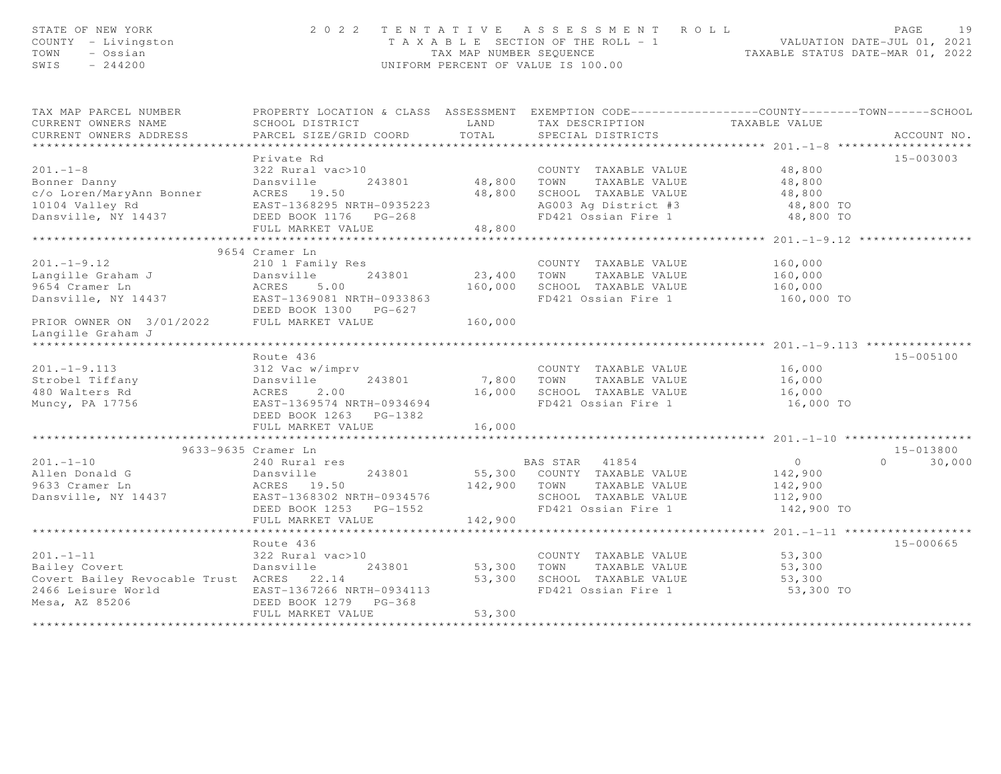| STATE OF NEW YORK<br>COUNTY - Livingston<br>TOWN<br>- Ossian<br>SWIS<br>$-244200$                                                                                                                                                                       |                                                                                                                                                                                                                                              |                    | 2022 TENTATIVE ASSESSMENT ROLL<br>T A X A B L E SECTION OF THE ROLL - 1<br>TAX MAP NUMBER SEQUENCE<br>TAXABLE STATUS DATE-MAR 01, 2022<br>UNIFORM PERCENT OF VALUE IS 100.00 |                                   | PAGE<br>19         |
|---------------------------------------------------------------------------------------------------------------------------------------------------------------------------------------------------------------------------------------------------------|----------------------------------------------------------------------------------------------------------------------------------------------------------------------------------------------------------------------------------------------|--------------------|------------------------------------------------------------------------------------------------------------------------------------------------------------------------------|-----------------------------------|--------------------|
| TAX MAP PARCEL NUMBER                                                                                                                                                                                                                                   | PROPERTY LOCATION & CLASS ASSESSMENT EXEMPTION CODE----------------COUNTY-------TOWN------SCHOOL                                                                                                                                             |                    |                                                                                                                                                                              |                                   |                    |
| CURRENT OWNERS NAME                                                                                                                                                                                                                                     | SCHOOL DISTRICT                                                                                                                                                                                                                              | LAND               | TAX DESCRIPTION TAXABLE VALUE<br>SPECIAL DISTRICTS                                                                                                                           |                                   |                    |
| CURRENT OWNERS ADDRESS                                                                                                                                                                                                                                  | PARCEL SIZE/GRID COORD TOTAL                                                                                                                                                                                                                 |                    |                                                                                                                                                                              |                                   | ACCOUNT NO.        |
|                                                                                                                                                                                                                                                         | Private Rd                                                                                                                                                                                                                                   |                    |                                                                                                                                                                              |                                   | 15-003003          |
| $201 - 1 - 8$                                                                                                                                                                                                                                           | 322 Rural vac>10                                                                                                                                                                                                                             |                    | COUNTY TAXABLE VALUE<br>48,800 TOWN TAXABLE VALUE 48,800<br>48,800 SCHOOL TAXABLE VALUE 48,800<br>48,800 ACOOL TAXABLE VALUE 48,800 TO                                       |                                   |                    |
| Example 243801<br>C/o Loren/MaryAnn Bonner<br>10104 Valley Rd<br>Dansville, NY 14437<br>Dansville, NY 14437<br>CHELD CONTROLLY CHELD BOOK<br>CHELD CONTROLLY CHELD PG-268<br>CHELD CONTROLLY CHELD PG-268                                               |                                                                                                                                                                                                                                              |                    |                                                                                                                                                                              |                                   |                    |
|                                                                                                                                                                                                                                                         |                                                                                                                                                                                                                                              |                    |                                                                                                                                                                              |                                   |                    |
|                                                                                                                                                                                                                                                         |                                                                                                                                                                                                                                              |                    |                                                                                                                                                                              |                                   |                    |
|                                                                                                                                                                                                                                                         |                                                                                                                                                                                                                                              |                    | FD421 Ossian Fire 1 48,800 TO                                                                                                                                                |                                   |                    |
|                                                                                                                                                                                                                                                         | FULL MARKET VALUE                                                                                                                                                                                                                            | 48,800             |                                                                                                                                                                              |                                   |                    |
|                                                                                                                                                                                                                                                         |                                                                                                                                                                                                                                              | ************       |                                                                                                                                                                              | ***************** 201.-1-9.12 *** |                    |
|                                                                                                                                                                                                                                                         | 9654 Cramer Ln                                                                                                                                                                                                                               |                    |                                                                                                                                                                              |                                   |                    |
| $201 - 1 - 9.12$                                                                                                                                                                                                                                        | 210 1 Family Res                                                                                                                                                                                                                             |                    | COUNTY TAXABLE VALUE                                                                                                                                                         | 160,000<br>160,000                |                    |
| .<br>Langille Graham J<br>9654 Cramer Ln                                                                                                                                                                                                                |                                                                                                                                                                                                                                              | 23,400 TOWN        | TAXABLE VALUE                                                                                                                                                                |                                   |                    |
|                                                                                                                                                                                                                                                         |                                                                                                                                                                                                                                              | 160,000            | SCHOOL TAXABLE VALUE                                                                                                                                                         | 160,000                           |                    |
| 201.-1-9.12<br>Langille Graham J<br>9654 Cramer Ln<br>Dansville, NY 14437<br>2010 RORES<br>243801<br>243801<br>243801<br>243801<br>243801<br>243801<br>243801<br>243801<br>243801<br>243801<br>243801<br>243801<br>253863<br>253863<br>253863<br>253863 |                                                                                                                                                                                                                                              |                    | FD421 Ossian Fire 1                                                                                                                                                          | 160,000 TO                        |                    |
|                                                                                                                                                                                                                                                         | DEED BOOK 1300 PG-627                                                                                                                                                                                                                        |                    |                                                                                                                                                                              |                                   |                    |
| PRIOR OWNER ON 3/01/2022 FULL MARKET VALUE                                                                                                                                                                                                              |                                                                                                                                                                                                                                              | 160,000            |                                                                                                                                                                              |                                   |                    |
| Langille Graham J                                                                                                                                                                                                                                       |                                                                                                                                                                                                                                              |                    |                                                                                                                                                                              |                                   |                    |
|                                                                                                                                                                                                                                                         |                                                                                                                                                                                                                                              |                    |                                                                                                                                                                              |                                   |                    |
|                                                                                                                                                                                                                                                         | Route 436                                                                                                                                                                                                                                    |                    |                                                                                                                                                                              |                                   | $15 - 005100$      |
|                                                                                                                                                                                                                                                         | 312 Vac w/imprv<br>243801 7,800 TOWN                                                                                                                                                                                                         |                    | COUNTY TAXABLE VALUE                                                                                                                                                         | 16,000<br>16,000                  |                    |
|                                                                                                                                                                                                                                                         |                                                                                                                                                                                                                                              |                    | TAXABLE VALUE                                                                                                                                                                |                                   |                    |
|                                                                                                                                                                                                                                                         |                                                                                                                                                                                                                                              |                    | 16,000 SCHOOL TAXABLE VALUE<br>FD421 Ossian Fire 1                                                                                                                           | 16,000                            |                    |
|                                                                                                                                                                                                                                                         | DEED BOOK 1263 PG-1382                                                                                                                                                                                                                       |                    |                                                                                                                                                                              | 16,000 TO                         |                    |
|                                                                                                                                                                                                                                                         | FULL MARKET VALUE                                                                                                                                                                                                                            | 16,000             |                                                                                                                                                                              |                                   |                    |
|                                                                                                                                                                                                                                                         |                                                                                                                                                                                                                                              |                    |                                                                                                                                                                              |                                   |                    |
|                                                                                                                                                                                                                                                         | 9633-9635 Cramer Ln                                                                                                                                                                                                                          |                    |                                                                                                                                                                              |                                   | 15-013800          |
| $201 - 1 - 10$                                                                                                                                                                                                                                          |                                                                                                                                                                                                                                              |                    | BAS STAR 41854 0                                                                                                                                                             |                                   | 30,000<br>$\Omega$ |
| Allen Donald G                                                                                                                                                                                                                                          |                                                                                                                                                                                                                                              |                    |                                                                                                                                                                              | 142,900                           |                    |
| 9633 Cramer Ln                                                                                                                                                                                                                                          |                                                                                                                                                                                                                                              |                    |                                                                                                                                                                              | 142,900                           |                    |
| Dansville, NY 14437                                                                                                                                                                                                                                     |                                                                                                                                                                                                                                              |                    |                                                                                                                                                                              | 112,900                           |                    |
|                                                                                                                                                                                                                                                         |                                                                                                                                                                                                                                              |                    |                                                                                                                                                                              | 142,900 TO                        |                    |
|                                                                                                                                                                                                                                                         |                                                                                                                                                                                                                                              |                    |                                                                                                                                                                              |                                   |                    |
|                                                                                                                                                                                                                                                         | 9633-9033-1<br>240 Rural res<br>243801 55,300 COOL.<br>ACRES 19.50 142,900 TOWN TAXABLE VALUE<br>243802 NRTH-0934576 SCHOOL TAXABLE VALUE<br>DEED BOOK 1253 PG-1552 142,900 FD421 Ossian Fire 1<br>142,900 FD421 Ossian Fire 1<br>THIL MARKE |                    |                                                                                                                                                                              |                                   |                    |
|                                                                                                                                                                                                                                                         |                                                                                                                                                                                                                                              |                    |                                                                                                                                                                              |                                   | 15-000665          |
| $201 - 1 - 11$                                                                                                                                                                                                                                          | 322 Rural vac>10                                                                                                                                                                                                                             |                    | COUNTY TAXABLE VALUE                                                                                                                                                         | 53,300                            |                    |
| Bailey Covert                                                                                                                                                                                                                                           | Dansville                                                                                                                                                                                                                                    | 243801 53,300 TOWN | TAXABLE VALUE 53,300                                                                                                                                                         |                                   |                    |
| Covert Bailey Revocable Trust ACRES 22.14                                                                                                                                                                                                               |                                                                                                                                                                                                                                              |                    | 53,300 SCHOOL TAXABLE VALUE<br>FD421 Ossian Fire 1                                                                                                                           | 53,300                            |                    |
| 2466 Leisure World                                                                                                                                                                                                                                      | EAST-1367266 NRTH-0934113                                                                                                                                                                                                                    |                    | FD421 Ossian Fire 1                                                                                                                                                          | 53,300 TO                         |                    |
| Mesa, AZ 85206                                                                                                                                                                                                                                          | DEED BOOK 1279 PG-368                                                                                                                                                                                                                        |                    |                                                                                                                                                                              |                                   |                    |
|                                                                                                                                                                                                                                                         | FULL MARKET VALUE                                                                                                                                                                                                                            | 53,300             |                                                                                                                                                                              |                                   |                    |
|                                                                                                                                                                                                                                                         |                                                                                                                                                                                                                                              |                    |                                                                                                                                                                              |                                   |                    |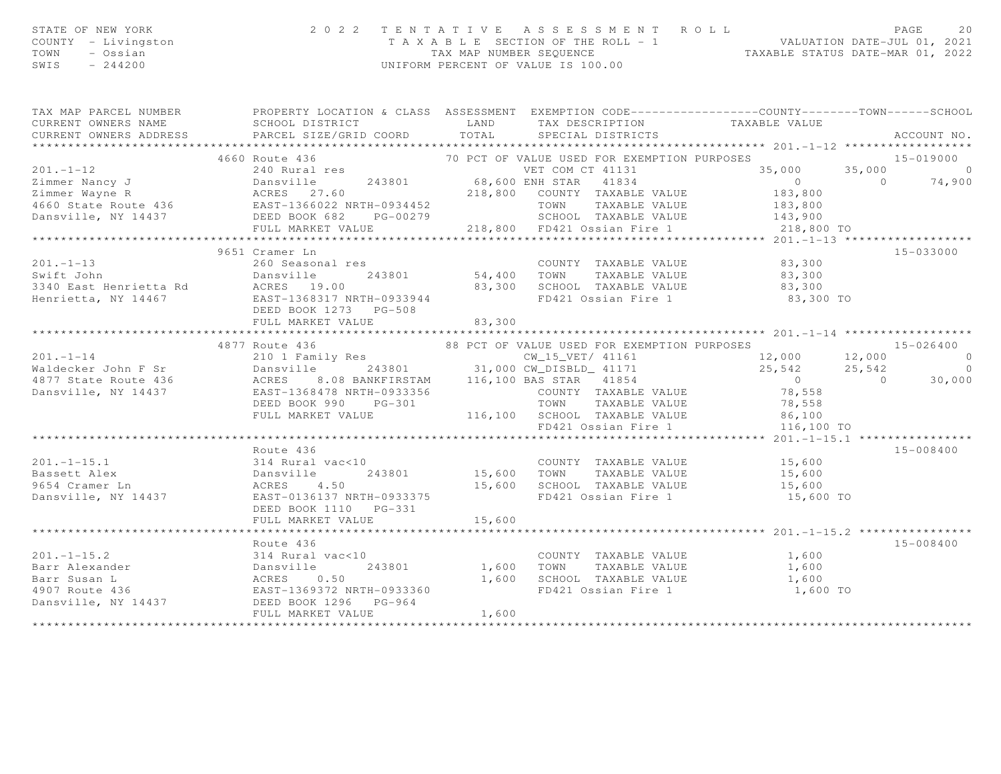| STATE OF NEW YORK<br>COUNTY<br>- Livingston<br>- Ossian<br>TOWN<br>SWIS<br>$-244200$ | 2 0 2 2                                        | TAX MAP NUMBER SEOUENCE | TENTATIVE ASSESSMENT ROLL<br>T A X A B L E SECTION OF THE ROLL - 1<br>UNIFORM PERCENT OF VALUE IS 100.00 | VALUATION DATE-JUL 01, 2021 | PAGE<br>20<br>TAXABLE STATUS DATE-MAR 01, 2022 |  |  |  |
|--------------------------------------------------------------------------------------|------------------------------------------------|-------------------------|----------------------------------------------------------------------------------------------------------|-----------------------------|------------------------------------------------|--|--|--|
| TAX MAP PARCEL NUMBER                                                                | PROPERTY LOCATION & CLASS ASSESSMENT           |                         | EXEMPTION CODE-----------------COUNTY-------TOWN------SCHOOL                                             |                             |                                                |  |  |  |
| CURRENT OWNERS NAME                                                                  | SCHOOL DISTRICT<br><b>EXAMPLE AND</b>          |                         | TAX DESCRIPTION TAXABLE VALUE                                                                            |                             |                                                |  |  |  |
| CURRENT OWNERS ADDRESS                                                               | PARCEL SIZE/GRID COORD TOTAL SPECIAL DISTRICTS |                         |                                                                                                          |                             | ACCOUNT NO.                                    |  |  |  |
|                                                                                      |                                                |                         |                                                                                                          |                             |                                                |  |  |  |
|                                                                                      | 4660 Route 436                                 |                         | 70 PCT OF VALUE USED FOR EXEMPTION PURPOSES                                                              |                             | 15-019000                                      |  |  |  |
| $201 - 1 - 12$                                                                       | 240 Rural res                                  |                         | VET COM CT 41131                                                                                         | 35,000 35,000               | $\sim$ 0                                       |  |  |  |
| Dansville<br>Zimmer Nancy J                                                          |                                                |                         | 243801 68,600 ENH STAR 41834                                                                             | $\sim$ 0                    | $\overline{a}$<br>74,900                       |  |  |  |
| Zimmer Wayne R                                                                       | ACRES 27.60<br>218,800                         |                         | TAXABLE VALUE<br>COUNTY                                                                                  | 183,800                     |                                                |  |  |  |
| 4660 State Route 436 EAST-1366022 NRTH-0934452                                       |                                                |                         | TOWN<br>TAXABLE VALUE                                                                                    | 183,800                     |                                                |  |  |  |
| Dansville, NY 14437                                                                  | DEED BOOK 682<br>PG-00279                      |                         | TAXABLE VALUE<br>SCHOOL                                                                                  | 143,900                     |                                                |  |  |  |
|                                                                                      | FULL MARKET VALUE                              | 218,800                 | FD421 Ossian Fire 1 218,800 TO                                                                           |                             |                                                |  |  |  |
|                                                                                      |                                                |                         |                                                                                                          |                             |                                                |  |  |  |
|                                                                                      | 9651 Cramer Ln                                 |                         |                                                                                                          |                             | 15-033000                                      |  |  |  |

83,300

83,300

201.-1-13 260 Seasonal res COUNTY TAXABLE VALUE 83,300

Swift John Dansville 243801 54,400 TOWN TAXABLE VALUE 83,300

3340 East Henrietta Rd ACRES 19.00 83,300 SCHOOL TAXABLE VALUE 83,300

|                | DEED BOOK 1273 PG-508                     |                                                                                                                  |           |
|----------------|-------------------------------------------|------------------------------------------------------------------------------------------------------------------|-----------|
|                |                                           |                                                                                                                  |           |
|                |                                           |                                                                                                                  |           |
|                |                                           | 4877 Route 436<br>88 PCT OF VALUE USED FOR EXEMPTION PURPOSES 12,000 12,000 12,000 12,000 0                      |           |
| $201 - 1 - 14$ |                                           |                                                                                                                  |           |
|                |                                           |                                                                                                                  |           |
|                |                                           |                                                                                                                  |           |
|                |                                           |                                                                                                                  |           |
|                |                                           | DEED BOOK 990 PG-301 TOWN TAXABLE VALUE 78,558                                                                   |           |
|                |                                           | FULL MARKET VALUE $116,100$ SCHOOL TAXABLE VALUE 86,100                                                          |           |
|                |                                           |                                                                                                                  |           |
|                |                                           |                                                                                                                  |           |
|                | Route 436                                 |                                                                                                                  | 15-008400 |
|                |                                           | 201.-1-15.1 314 Rural vac<10 COUNTY TAXABLE VALUE 15,600                                                         |           |
|                |                                           |                                                                                                                  |           |
|                |                                           |                                                                                                                  |           |
|                |                                           | FD421 Ossian Fire 1 and 15,600 TO                                                                                |           |
|                |                                           |                                                                                                                  |           |
|                | FULL MARKET VALUE 15,600                  |                                                                                                                  |           |
|                |                                           |                                                                                                                  |           |
|                | Route 436                                 |                                                                                                                  | 15-008400 |
|                | 201.-1-15.2 314 Rural vac<10              | COUNTY TAXABLE VALUE 1,600                                                                                       |           |
|                |                                           | Barr Alexander                           Dansville           243801             1,600     TOWN     TAXABLE VALUE | 1,600     |
|                |                                           | SCHOOL TAXABLE VALUE 1,600                                                                                       |           |
|                |                                           | FD421 Ossian Fire 1 1,600 TO                                                                                     |           |
|                | Dansville, NY 14437 DEED BOOK 1296 PG-964 |                                                                                                                  |           |
|                | FULL MARKET VALUE 1,600                   |                                                                                                                  |           |
|                |                                           |                                                                                                                  |           |
|                |                                           |                                                                                                                  |           |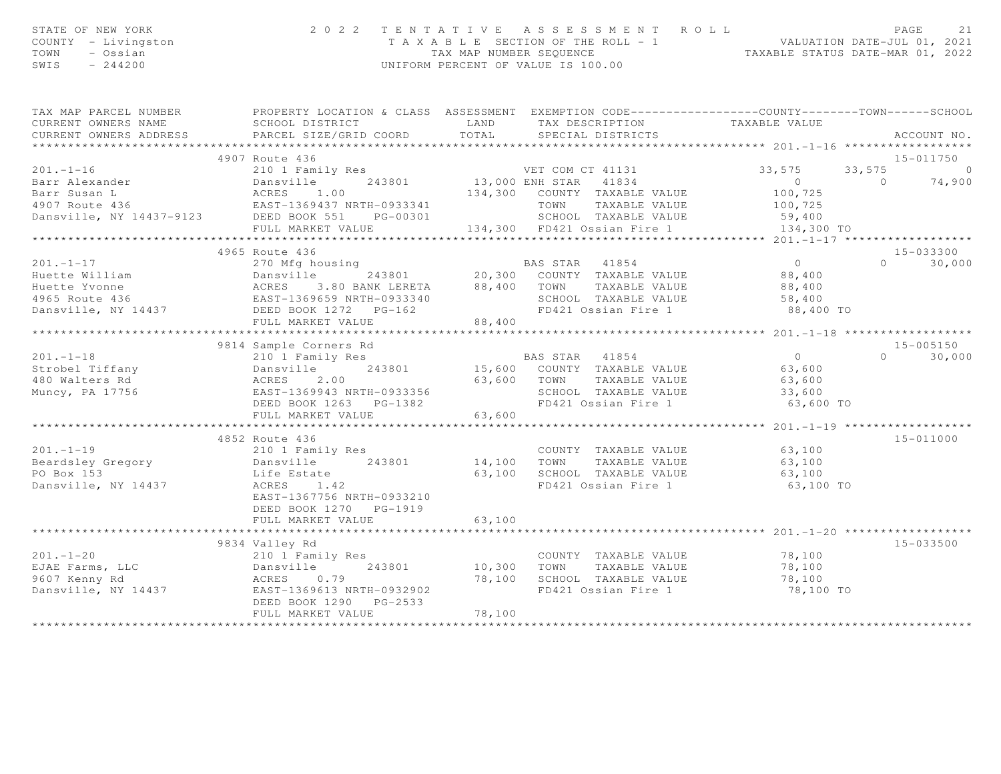| STATE OF NEW YORK<br>COUNTY - Livingston<br>- Ossian<br>TOWN<br>$-244200$<br>SWIS                                    | 2 0 2 2<br>TENTATIVE<br>ASSESSMENT ROLL<br>T A X A B L E SECTION OF THE ROLL - 1 VALUATION DATE-JUL 01, 2021<br>TAX MAP NUMBER SEQUENCE TAXABLE STATUS DATE-MAR 01, 2022<br>UNIFORM PERCENT OF VALUE IS 100.00 |        |                   |                                                   | PAGE                          | 21            |               |
|----------------------------------------------------------------------------------------------------------------------|----------------------------------------------------------------------------------------------------------------------------------------------------------------------------------------------------------------|--------|-------------------|---------------------------------------------------|-------------------------------|---------------|---------------|
| TAX MAP PARCEL NUMBER FROPERTY LOCATION & CLASS ASSESSMENT EXEMPTION CODE---------------COUNTY-------TOWN-----SCHOOL |                                                                                                                                                                                                                |        |                   |                                                   |                               |               |               |
| CURRENT OWNERS NAME                                                                                                  | SCHOOL DISTRICT                                                                                                                                                                                                | LAND   |                   |                                                   | TAX DESCRIPTION TAXABLE VALUE |               |               |
| CURRENT OWNERS ADDRESS                                                                                               | PARCEL SIZE/GRID COORD                                                                                                                                                                                         | TOTAL  | SPECIAL DISTRICTS |                                                   |                               |               | ACCOUNT NO.   |
|                                                                                                                      |                                                                                                                                                                                                                |        |                   |                                                   |                               |               |               |
| 4907 Route 436                                                                                                       |                                                                                                                                                                                                                |        |                   |                                                   |                               |               | 15-011750     |
| $201 - 1 - 16$                                                                                                       | 210 1 Family Res                                                                                                                                                                                               |        | VET COM CT 41131  |                                                   | 33,575                        | $33,575$ 0    |               |
| Barr Alexander<br>Barr Susan L<br>4907 Route 436<br>Dansville, NY 14437-9123<br>DEED BOOK 551 PG-00301               | 243801 13,000 ENH STAR 41834                                                                                                                                                                                   |        |                   | 134,300 COUNTY TAXABLE VALUE                      | $\overline{0}$<br>100,725     | $0 \t 74,900$ |               |
|                                                                                                                      |                                                                                                                                                                                                                |        |                   | TOWN TAXABLE VALUE                                | 100,725                       |               |               |
|                                                                                                                      |                                                                                                                                                                                                                |        |                   | TOWN      TAXABLE VALUE<br>SCHOOL   TAXABLE VALUE | 59,400                        |               |               |
|                                                                                                                      | FULL MARKET VALUE 134,300 FD421 Ossian Fire 1                                                                                                                                                                  |        |                   |                                                   | 134,300 TO                    |               |               |
|                                                                                                                      |                                                                                                                                                                                                                |        |                   |                                                   |                               |               |               |
| 4965 Route 436                                                                                                       |                                                                                                                                                                                                                |        |                   |                                                   |                               |               | 15-033300     |
| $201. - 1 - 17$                                                                                                      | 270 Mfg housing                                                                                                                                                                                                |        | BAS STAR 41854    |                                                   | $\overline{0}$                |               | $0 \t 30,000$ |
|                                                                                                                      | 243801 20,300 COUNTY TAXABLE VALUE                                                                                                                                                                             |        |                   |                                                   | 88,400                        |               |               |
|                                                                                                                      | $3.80$ BANK LERETA $88,400$ TOWN                                                                                                                                                                               |        |                   | TAXABLE VALUE                                     | 88,400                        |               |               |
|                                                                                                                      |                                                                                                                                                                                                                |        |                   | SCHOOL TAXABLE VALUE                              | 58,400                        |               |               |
| Huette William<br>Huette Yvonne<br>4965 Route 436<br>Dansville, NY 14437<br>DEED BOOK 1272 PG-162                    |                                                                                                                                                                                                                |        |                   |                                                   | FD421 Ossian Fire 1 88,400 TO |               |               |
|                                                                                                                      | FULL MARKET VALUE                                                                                                                                                                                              | 88,400 |                   |                                                   |                               |               |               |
|                                                                                                                      |                                                                                                                                                                                                                |        |                   |                                                   |                               |               |               |
|                                                                                                                      | 9814 Sample Corners Rd                                                                                                                                                                                         |        |                   |                                                   |                               |               | 15-005150     |
| $201. - 1 - 18$                                                                                                      | 210 1 Family Res                                                                                                                                                                                               |        | BAS STAR 41854    |                                                   | $\overline{0}$                |               | $0 \t 30,000$ |
| Strobel Tiffany                                                                                                      |                                                                                                                                                                                                                |        |                   | 15,600 COUNTY TAXABLE VALUE                       | 63,600                        |               |               |
| 480 Walters Rd                                                                                                       | 210 I Family Res<br>Dansville 243801<br>ACRES 2.00<br>EAST-1369943 NRTH-0933356                                                                                                                                |        |                   | 63,600 TOWN TAXABLE VALUE                         | 63,600                        |               |               |
| Muncy, PA 17756                                                                                                      |                                                                                                                                                                                                                |        |                   | SCHOOL TAXABLE VALUE                              | 33,600                        |               |               |
|                                                                                                                      | DEED BOOK 1263    PG-1382                                                                                                                                                                                      |        |                   | FD421 Ossian Fire 1                               | 63,600 TO                     |               |               |
|                                                                                                                      | FULL MARKET VALUE                                                                                                                                                                                              | 63,600 |                   |                                                   |                               |               |               |
| 4852 Route 436                                                                                                       |                                                                                                                                                                                                                |        |                   |                                                   |                               |               | 15-011000     |
| $201 - 1 - 19$                                                                                                       | 210 1 Family Res                                                                                                                                                                                               |        |                   | COUNTY TAXABLE VALUE                              | 63,100                        |               |               |
| Beardsley Gregory Dansville 243801 14,100                                                                            |                                                                                                                                                                                                                |        | TOWN              | TAXABLE VALUE                                     | 63,100                        |               |               |
| PO Box 153                                                                                                           | Life Estate                                                                                                                                                                                                    | 63,100 |                   | SCHOOL TAXABLE VALUE                              | 63,100                        |               |               |
| Dansville, NY 14437                                                                                                  | ACRES 1.42                                                                                                                                                                                                     |        |                   | FD421 Ossian Fire 1                               | 63,100 TO                     |               |               |
|                                                                                                                      | EAST-1367756 NRTH-0933210                                                                                                                                                                                      |        |                   |                                                   |                               |               |               |
|                                                                                                                      | DEED BOOK 1270 PG-1919                                                                                                                                                                                         |        |                   |                                                   |                               |               |               |
|                                                                                                                      | FULL MARKET VALUE                                                                                                                                                                                              | 63,100 |                   |                                                   |                               |               |               |
|                                                                                                                      |                                                                                                                                                                                                                |        |                   |                                                   |                               |               |               |
| 9834 Valley Rd                                                                                                       |                                                                                                                                                                                                                |        |                   |                                                   |                               |               | $15 - 033500$ |
| $201 - 1 - 20$<br>210 1 Fami<br>Dansville<br>ACRES 0                                                                 | 210 1 Family Res                                                                                                                                                                                               |        |                   | COUNTY TAXABLE VALUE                              | 78,100                        |               |               |
| EJAE Farms, LLC                                                                                                      | 243801                                                                                                                                                                                                         | 10,300 | TOWN              | TAXABLE VALUE                                     | 78,100                        |               |               |
| 9607 Kenny Rd                                                                                                        | ACRES 0.79                                                                                                                                                                                                     | 78,100 |                   | SCHOOL TAXABLE VALUE                              | 78,100                        |               |               |
| Dansville, NY 14437 EAST-1369613 NRTH-0932902                                                                        |                                                                                                                                                                                                                |        |                   | FD421 Ossian Fire 1                               | 78,100 TO                     |               |               |
|                                                                                                                      | DEED BOOK 1290 PG-2533                                                                                                                                                                                         |        |                   |                                                   |                               |               |               |
|                                                                                                                      | FULL MARKET VALUE                                                                                                                                                                                              | 78,100 |                   |                                                   |                               |               |               |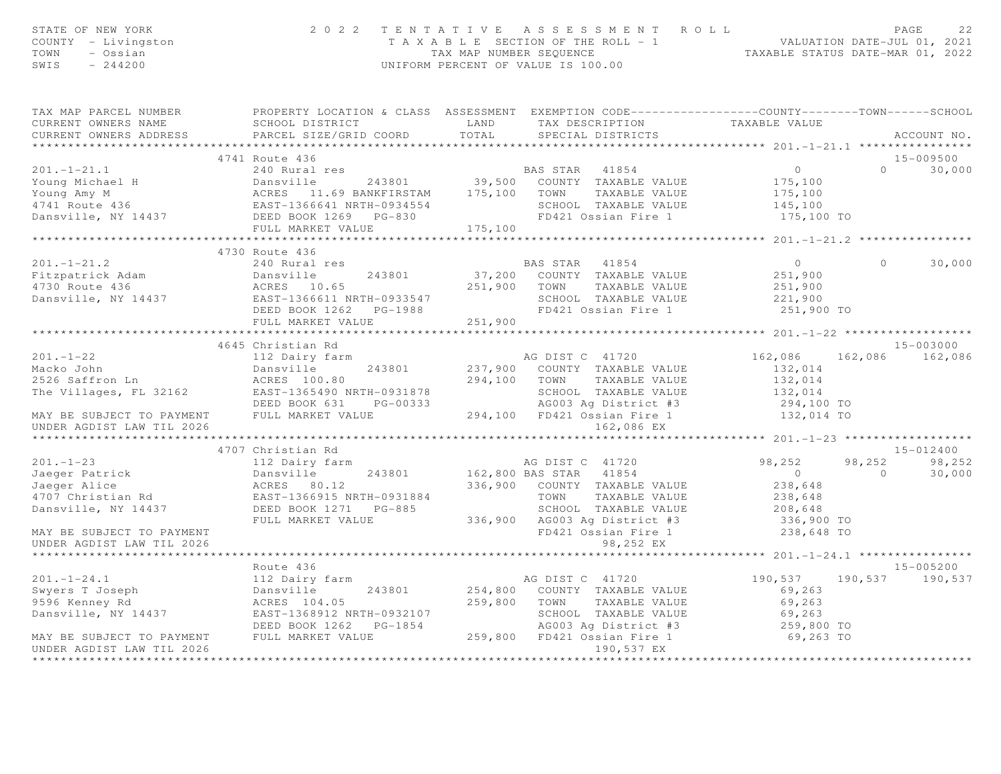| STATE OF NEW YORK<br>COUNTY - Livingston<br>TOWN - Ossian<br>SWIS<br>$-244200$                                                                                                                                                                                       | 2 0 2 2                                                                                                                                                                                                                             |                   | TENTATIVE ASSESSMENT ROLL<br>FAGE 22<br>TAXABLE SECTION OF THE ROLL - 1<br>TAXABLE STATUS DATE-MAR 01, 2021<br>UNIFORM PERCENT OF VALUE IS 100.00 |                                                  |                | PAGE<br>22         |
|----------------------------------------------------------------------------------------------------------------------------------------------------------------------------------------------------------------------------------------------------------------------|-------------------------------------------------------------------------------------------------------------------------------------------------------------------------------------------------------------------------------------|-------------------|---------------------------------------------------------------------------------------------------------------------------------------------------|--------------------------------------------------|----------------|--------------------|
| TAX MAP PARCEL NUMBER THE PROPERTY LOCATION & CLASS ASSESSMENT EXEMPTION CODE--------------COUNTY-------TOWN-----SCHOOL                                                                                                                                              |                                                                                                                                                                                                                                     |                   |                                                                                                                                                   |                                                  |                |                    |
| CURRENT OWNERS NAME<br>CURRENT OWNERS ADDRESS                                                                                                                                                                                                                        | SCHOOL DISTRICT<br>PARCEL SIZE/GRID COORD                                                                                                                                                                                           |                   | LAND TAX DESCRIPTION TAXABLE VALUE DOORD TOTAL SPECIAL DISTRICTS                                                                                  |                                                  |                | ACCOUNT NO.        |
|                                                                                                                                                                                                                                                                      |                                                                                                                                                                                                                                     |                   |                                                                                                                                                   |                                                  |                | 15-009500          |
| $201. - 1 - 21.1$                                                                                                                                                                                                                                                    | 4741 Route 436<br>240 Rural res                                                                                                                                                                                                     |                   | BAS STAR 41854                                                                                                                                    | $\overline{0}$                                   |                | 30,000<br>$\Omega$ |
|                                                                                                                                                                                                                                                                      |                                                                                                                                                                                                                                     |                   |                                                                                                                                                   |                                                  |                |                    |
|                                                                                                                                                                                                                                                                      |                                                                                                                                                                                                                                     |                   |                                                                                                                                                   |                                                  |                |                    |
|                                                                                                                                                                                                                                                                      |                                                                                                                                                                                                                                     |                   |                                                                                                                                                   |                                                  |                |                    |
|                                                                                                                                                                                                                                                                      |                                                                                                                                                                                                                                     |                   |                                                                                                                                                   |                                                  |                |                    |
| 201.-1-21.1 240 Rural res<br>Young Michael H Dansville 243801 39,500 COUNTY TAXABLE VALUE 175,100<br>Young Amy M ACRES 11.69 BANKFIRSTAM 175,100 TOWN TAXABLE VALUE 175,100<br>4741 Route 436 EAST-1366641 NRTH-0934554 SCHOOL TAXAB                                 |                                                                                                                                                                                                                                     |                   |                                                                                                                                                   |                                                  |                |                    |
|                                                                                                                                                                                                                                                                      |                                                                                                                                                                                                                                     |                   |                                                                                                                                                   |                                                  |                |                    |
|                                                                                                                                                                                                                                                                      | 4730 Route 436                                                                                                                                                                                                                      |                   |                                                                                                                                                   |                                                  |                |                    |
| $201. - 1 - 21.2$                                                                                                                                                                                                                                                    | 240 Rural res                                                                                                                                                                                                                       |                   | BAS STAR 41854                                                                                                                                    | $\overline{0}$                                   | $\circ$        | 30,000             |
|                                                                                                                                                                                                                                                                      |                                                                                                                                                                                                                                     |                   |                                                                                                                                                   | 251,900                                          |                |                    |
|                                                                                                                                                                                                                                                                      |                                                                                                                                                                                                                                     |                   |                                                                                                                                                   | $251,900$<br>$221,900$                           |                |                    |
| Fitzpatrick Adam (Dansville 243801 37,200 COUNIT IAAADDE VALUE<br>4730 Route 436 (ACRES 10.65 251,900 TOWN TAXABLE VALUE<br>Dansville, NY 14437 (DEED BOOK 1262 PG-1988 19421 Ossian Fire 1                                                                          |                                                                                                                                                                                                                                     |                   |                                                                                                                                                   |                                                  |                |                    |
|                                                                                                                                                                                                                                                                      |                                                                                                                                                                                                                                     |                   |                                                                                                                                                   | 251,900 TO                                       |                |                    |
|                                                                                                                                                                                                                                                                      | FULL MARKET VALUE                                                                                                                                                                                                                   | $-1300$ $251,900$ |                                                                                                                                                   |                                                  |                |                    |
|                                                                                                                                                                                                                                                                      |                                                                                                                                                                                                                                     |                   |                                                                                                                                                   | ****************** 201.-1-22 ******************* |                |                    |
|                                                                                                                                                                                                                                                                      | 4645 Christian Rd                                                                                                                                                                                                                   |                   |                                                                                                                                                   |                                                  |                | 15-003000          |
| $201 - 1 - 22$                                                                                                                                                                                                                                                       | 112 Dairy farm                                                                                                                                                                                                                      |                   | AG DIST C 41720                                                                                                                                   | 162,086                                          |                | 162,086 162,086    |
|                                                                                                                                                                                                                                                                      |                                                                                                                                                                                                                                     |                   |                                                                                                                                                   | 132,014                                          |                |                    |
|                                                                                                                                                                                                                                                                      |                                                                                                                                                                                                                                     |                   |                                                                                                                                                   | 132,014<br>132,014                               |                |                    |
| Macko John Macko John Dansville 243801 237,900 COUNTY TAXABLE VALUE<br>2526 Saffron Ln ACRES 100.80 294,100 TOWN TAXABLE VALUE<br>The Villages, FL 32162 EAST-1365490 NRTH-0931878 SCHOOL TAXABLE VALUE<br>DEED BOOK 631 PG-00333 AG003                              |                                                                                                                                                                                                                                     |                   |                                                                                                                                                   | 294,100 TO                                       |                |                    |
| MAY BE SUBJECT TO PAYMENT FULL MARKET VALUE $294,100$ FD421 Ossian Fire 1                                                                                                                                                                                            |                                                                                                                                                                                                                                     |                   |                                                                                                                                                   | 132,014 TO                                       |                |                    |
| UNDER AGDIST LAW TIL 2026                                                                                                                                                                                                                                            |                                                                                                                                                                                                                                     |                   | 162,086 EX                                                                                                                                        |                                                  |                |                    |
|                                                                                                                                                                                                                                                                      |                                                                                                                                                                                                                                     |                   |                                                                                                                                                   |                                                  |                |                    |
|                                                                                                                                                                                                                                                                      | 4707 Christian Rd                                                                                                                                                                                                                   |                   |                                                                                                                                                   |                                                  |                | 15-012400          |
| $201 - 1 - 23$                                                                                                                                                                                                                                                       | 112 Dairy farm                                                                                                                                                                                                                      |                   | AG DIST C 41720                                                                                                                                   | 98,252                                           | 98,252         | 98,252             |
|                                                                                                                                                                                                                                                                      |                                                                                                                                                                                                                                     |                   |                                                                                                                                                   | $\overline{0}$                                   | $\overline{0}$ | 30,000             |
| Jaeger Patrick<br>Jaeger Alice                                                                                                                                                                                                                                       |                                                                                                                                                                                                                                     |                   |                                                                                                                                                   | 238,648                                          |                |                    |
| 4707 Christian Rd                                                                                                                                                                                                                                                    |                                                                                                                                                                                                                                     |                   |                                                                                                                                                   | 238,648                                          |                |                    |
| Dansville, NY 14437                                                                                                                                                                                                                                                  |                                                                                                                                                                                                                                     |                   | SCHOOL TAXABLE VALUE 208,648<br>AG003 Ag District #3 336,900 TO                                                                                   |                                                  |                |                    |
|                                                                                                                                                                                                                                                                      | Dansville 243801 162,800 BAS STAR 41854<br>ACRES 80.12 336,900 COUNTY TAXABLE VALUE<br>EAST-1366915 NRTH-0931884 TOWN TAXABLE VALUE<br>DEED BOOK 1271 PG-885 SCHOOL TAXABLE VALUE<br>FULL MARKET VALUE 336,900 AG003 Ag District #3 |                   |                                                                                                                                                   |                                                  |                |                    |
| MAY BE SUBJECT TO PAYMENT                                                                                                                                                                                                                                            |                                                                                                                                                                                                                                     |                   | FD421 Ossian Fire 1                                                                                                                               | 238,648 TO                                       |                |                    |
| UNDER AGDIST LAW TIL 2026                                                                                                                                                                                                                                            |                                                                                                                                                                                                                                     |                   | 98,252 EX                                                                                                                                         |                                                  |                |                    |
|                                                                                                                                                                                                                                                                      |                                                                                                                                                                                                                                     |                   |                                                                                                                                                   |                                                  |                |                    |
|                                                                                                                                                                                                                                                                      | Route 436                                                                                                                                                                                                                           |                   |                                                                                                                                                   |                                                  |                | 15-005200          |
|                                                                                                                                                                                                                                                                      |                                                                                                                                                                                                                                     |                   | AG DIST C 41720<br>254,800 COUNTY TAXABLE VALUE                                                                                                   | 190,537                                          |                | 190,537 190,537    |
| 201.-1-24.1<br>Swyers T Joseph 112 Dairy farm<br>9596 Kenney Rd<br>Dansville, NY 14437<br>243801<br>243801<br>243801<br>243801<br>243801<br>243801<br>243801<br>243801<br>243801<br>243801<br>243801<br>243801<br>243801<br>243801<br>2596 Kenney Rd<br>2637-1368912 |                                                                                                                                                                                                                                     |                   | 259,800 TOWN TAXABLE VALUE                                                                                                                        | 69,263<br>69,263                                 |                |                    |
|                                                                                                                                                                                                                                                                      |                                                                                                                                                                                                                                     |                   |                                                                                                                                                   |                                                  |                |                    |
|                                                                                                                                                                                                                                                                      | DEED BOOK 1262 PG-1854                                                                                                                                                                                                              |                   |                                                                                                                                                   | 69,263<br>259,800 TO                             |                |                    |
| MAY BE SUBJECT TO PAYMENT FULL MARKET VALUE                                                                                                                                                                                                                          |                                                                                                                                                                                                                                     |                   | SCHOOL TAXABLE VALUE<br>AGOO3 Ag District #3<br>259,800 FD421 Ossian Fire 1                                                                       | 69,263 TO                                        |                |                    |
| UNDER AGDIST LAW TIL 2026                                                                                                                                                                                                                                            |                                                                                                                                                                                                                                     |                   | 190,537 EX                                                                                                                                        |                                                  |                |                    |
|                                                                                                                                                                                                                                                                      |                                                                                                                                                                                                                                     |                   |                                                                                                                                                   |                                                  |                |                    |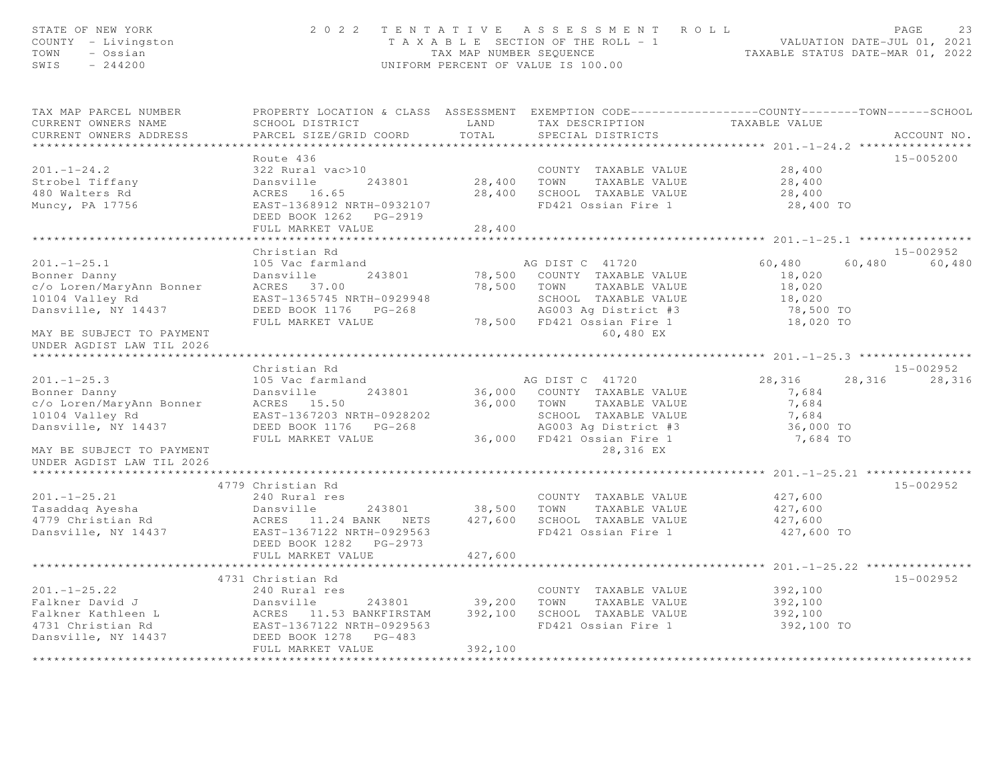| STATE OF NEW YORK<br>COUNTY - Livingston<br>TOWN<br>- Ossian<br>SWIS<br>$-244200$                                                                                                                           |                                                                                                                                                             |                        | 2022 TENTATIVE ASSESSMENT ROLL<br>T A X A B L E SECTION OF THE ROLL - 1 VALUATION DATE-JUL 01, 2021<br>TAX MAP NUMBER SEQUENCE TAXABLE STATUS DATE-MAR 01, 2022<br>UNIFORM PERCENT OF VALUE IS 100.00 |                                                                          | PAGE<br>23                    |
|-------------------------------------------------------------------------------------------------------------------------------------------------------------------------------------------------------------|-------------------------------------------------------------------------------------------------------------------------------------------------------------|------------------------|-------------------------------------------------------------------------------------------------------------------------------------------------------------------------------------------------------|--------------------------------------------------------------------------|-------------------------------|
| TAX MAP PARCEL NUMBER<br>CURRENT OWNERS NAME<br>CURRENT OWNERS ADDRESS<br>*************************                                                                                                         | PROPERTY LOCATION & CLASS ASSESSMENT EXEMPTION CODE----------------COUNTY-------TOWN------SCHOOL<br>SCHOOL DISTRICT<br>PARCEL SIZE/GRID COORD               | LAND<br>TOTAL          | TAX DESCRIPTION<br>SPECIAL DISTRICTS                                                                                                                                                                  | TAXABLE VALUE                                                            | ACCOUNT NO.                   |
| $201 - 1 - 24.2$<br>Strobel Tiffany<br>480 Walters Rd<br>Muncy, PA 17756                                                                                                                                    | Route 436<br>322 Rural vac>10<br>Dansville<br>243801<br>ACRES 16.65<br>EAST-1368912 NRTH-0932107<br>DEED BOOK 1262    PG-2919<br>FULL MARKET VALUE          | 28,400 TOWN<br>28,400  | COUNTY TAXABLE VALUE<br>TAXABLE VALUE<br>28,400 SCHOOL TAXABLE VALUE<br>FD421 Ossian Fire 1                                                                                                           | 28,400<br>28,400<br>28,400<br>28,400 TO                                  | 15-005200                     |
|                                                                                                                                                                                                             |                                                                                                                                                             |                        |                                                                                                                                                                                                       |                                                                          |                               |
| $201 - 1 - 25.1$<br>Bonner Danny<br>c/o Loren/MaryAnn Bonner<br>10104 Valley Rd<br>Dansville, NY 14437<br>MAY BE SUBJECT TO PAYMENT<br>UNDER AGDIST LAW TIL 2026                                            | Christian Rd<br>105 Vac farmland<br>Dansville<br>243801<br>ACRES 37.00<br>EAST-1365745 NRTH-0929948<br>DEED BOOK 1176 PG-268<br>FULL MARKET VALUE           | 78,500 TOWN            | AG DIST C 41720<br>78,500 COUNTY TAXABLE VALUE<br>TAXABLE VALUE<br>SCHOOL TAXABLE VALUE<br>AG003 Aq District #3<br>78,500 FD421 Ossian Fire 1<br>60,480 EX                                            | 60,480<br>60,480<br>18,020<br>18,020<br>18,020<br>78,500 TO<br>18,020 TO | $15 - 002952$<br>60,480       |
|                                                                                                                                                                                                             |                                                                                                                                                             |                        |                                                                                                                                                                                                       |                                                                          |                               |
| $201 - 1 - 25.3$<br>Bonner Danny<br>c/o Loren/MaryAnn Bonner<br>10104 Valley Rd<br>Dansville, NY 14437<br>MAY BE SUBJECT TO PAYMENT                                                                         | Christian Rd<br>105 Vac farmland<br>Dansville<br>243801<br>ACRES 15.50<br>EAST-1367203 NRTH-0928202<br>FULL MARKET VALUE                                    |                        | AG DIST C 41720<br>36,000 COUNTY TAXABLE VALUE<br>36,000 TOWN TAXABLE VALUE<br>SCHOOL TAXABLE VALUE<br>AG003 Ag District #3<br>36,000 FD421 Ossian Fire 1<br>28,316 EX                                | 28,316<br>7,684<br>7,684<br>7,684<br>36,000 TO<br>7,684 TO               | 15-002952<br>28,316<br>28,316 |
| UNDER AGDIST LAW TIL 2026                                                                                                                                                                                   |                                                                                                                                                             |                        |                                                                                                                                                                                                       |                                                                          |                               |
| $201 - 1 - 25.21$<br>Tasaddaq Ayesha<br>4779 Christian Rd<br>Dansville, NY 14437                                                                                                                            | 4779 Christian Rd<br>240 Rural res<br>Dansville 243801<br>ACRES 11.24 BANK NETS<br>EAST-1367122 NRTH-0929563<br>DEED BOOK 1282 PG-2973<br>FULL MARKET VALUE | 38,500 TOWN<br>427,600 | COUNTY TAXABLE VALUE<br>TAXABLE VALUE<br>427,600 SCHOOL TAXABLE VALUE<br>FD421 Ossian Fire 1                                                                                                          | 427,600<br>427,600<br>427,600<br>427,600 TO                              | 15-002952                     |
|                                                                                                                                                                                                             |                                                                                                                                                             |                        |                                                                                                                                                                                                       |                                                                          |                               |
| $201. -1 - 25.22$<br>Falkner David J<br>Falkner Kathleen L (ACRES 11.53 BANKFIRSTAM 392,100 SCHOOL TAXABLE VALUE<br>4731 Christian Rd (EAST-1367122 NRTH-0929563 FD421 Ossian Fire 1<br>Dansville, NY 14437 | 4731 Christian Rd<br>240 Rural res<br>FULL MARKET VALUE                                                                                                     | 392,100                | COUNTY TAXABLE VALUE                                                                                                                                                                                  | 392,100<br>392,100<br>392,100<br>392,100 TO                              | $15 - 002952$                 |
|                                                                                                                                                                                                             |                                                                                                                                                             |                        |                                                                                                                                                                                                       |                                                                          |                               |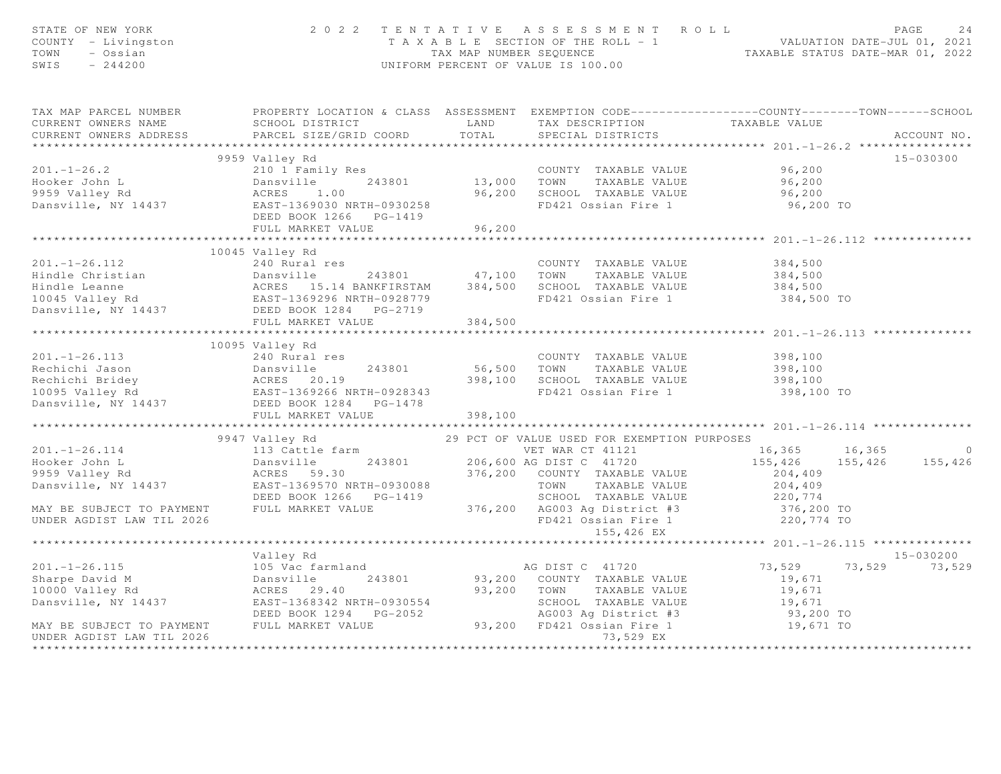| STATE OF NEW YORK<br>COUNTY - Livingston<br>TOWN - Ossian<br>SWIS - 244200                                                                                                                                                                                                       |                                                        |         | 2 0 2 2 T E N T A T I V E A S S E S S M E N T R O L L<br>T A X A B L E SECTION OF THE ROLL - 1<br>TAX MAP NUMBER SEQUENCE<br>UNIFORM PERCENT OF VALUE IS 100.00 |                               |                            |
|----------------------------------------------------------------------------------------------------------------------------------------------------------------------------------------------------------------------------------------------------------------------------------|--------------------------------------------------------|---------|-----------------------------------------------------------------------------------------------------------------------------------------------------------------|-------------------------------|----------------------------|
| TAX MAP PARCEL NUMBER PROPERTY LOCATION & CLASS ASSESSMENT EXEMPTION CODE----------------COUNTY-------TOWN-----SCHOOL<br>CURRENT OWNERS NAME                                                                                                                                     | SCHOOL DISTRICT THE LAND TAX DESCRIPTION TAXABLE VALUE |         |                                                                                                                                                                 |                               |                            |
|                                                                                                                                                                                                                                                                                  |                                                        |         |                                                                                                                                                                 |                               |                            |
|                                                                                                                                                                                                                                                                                  | 9959 Valley Rd                                         |         |                                                                                                                                                                 |                               | 15-030300                  |
|                                                                                                                                                                                                                                                                                  |                                                        |         |                                                                                                                                                                 | 96,200                        |                            |
| 201.-1-26.2<br>Hooker John L 243801<br>243801<br>243801<br>243801<br>243801<br>243801<br>243801<br>243801<br>243801<br>243801<br>243801<br>243801<br>243801<br>243801<br>243801<br>26,200<br>26,200<br>26,200<br>26,200<br>26,200<br>26,200<br>26,200<br>26,200<br>26,200<br>26, |                                                        |         |                                                                                                                                                                 | 96,200                        |                            |
|                                                                                                                                                                                                                                                                                  |                                                        |         |                                                                                                                                                                 | 96,200                        |                            |
|                                                                                                                                                                                                                                                                                  |                                                        |         |                                                                                                                                                                 | 96,200 TO                     |                            |
|                                                                                                                                                                                                                                                                                  | DEED BOOK 1266 PG-1419                                 |         |                                                                                                                                                                 |                               |                            |
|                                                                                                                                                                                                                                                                                  | FULL MARKET VALUE                                      | 96, 200 |                                                                                                                                                                 |                               |                            |
|                                                                                                                                                                                                                                                                                  |                                                        |         |                                                                                                                                                                 |                               |                            |
|                                                                                                                                                                                                                                                                                  |                                                        |         |                                                                                                                                                                 |                               |                            |
|                                                                                                                                                                                                                                                                                  |                                                        |         |                                                                                                                                                                 |                               |                            |
|                                                                                                                                                                                                                                                                                  |                                                        |         |                                                                                                                                                                 | 384,500<br>384,500<br>384,500 |                            |
|                                                                                                                                                                                                                                                                                  |                                                        |         |                                                                                                                                                                 |                               |                            |
|                                                                                                                                                                                                                                                                                  |                                                        |         | FD421 Ossian Fire 1 384,500 TO                                                                                                                                  |                               |                            |
|                                                                                                                                                                                                                                                                                  |                                                        |         |                                                                                                                                                                 |                               |                            |
|                                                                                                                                                                                                                                                                                  |                                                        |         |                                                                                                                                                                 |                               |                            |
|                                                                                                                                                                                                                                                                                  |                                                        |         |                                                                                                                                                                 |                               |                            |
| 1991.-1-26.113<br>240 Rural res<br>Rechichi Jason Dansville 243801<br>240 Rural res<br>243801<br>243801<br>243801<br>243801<br>26,500 TOWN TAXABLE VALUE 398,100<br>243801<br>26,500 TOWN TAXABLE VALUE 398,100<br>298,100<br>298,100<br>298,100<br>298,10                       | 10095 Valley Rd                                        |         |                                                                                                                                                                 |                               |                            |
|                                                                                                                                                                                                                                                                                  |                                                        |         |                                                                                                                                                                 |                               |                            |
|                                                                                                                                                                                                                                                                                  |                                                        |         |                                                                                                                                                                 |                               |                            |
|                                                                                                                                                                                                                                                                                  |                                                        |         |                                                                                                                                                                 |                               |                            |
|                                                                                                                                                                                                                                                                                  |                                                        |         |                                                                                                                                                                 |                               |                            |
|                                                                                                                                                                                                                                                                                  |                                                        |         |                                                                                                                                                                 |                               |                            |
|                                                                                                                                                                                                                                                                                  | FULL MARKET VALUE 398,100                              |         |                                                                                                                                                                 |                               |                            |
| 376,200 MAY BE SUBJECT TO PAYMENT<br>MAY BE SUBJECT TO PAYMENT<br>UNDER AGENST LAW TIL 2026<br>UNDER AGENST LAW TIL 2026<br>UNDER AGENST LAW TIL 2026<br>UNDER AGENST LAW TIL 2026<br>UNDER AGENST LAW TIL 2026<br>UNDER AGENST LAW TIL 2026                                     |                                                        |         |                                                                                                                                                                 |                               |                            |
|                                                                                                                                                                                                                                                                                  |                                                        |         |                                                                                                                                                                 |                               |                            |
|                                                                                                                                                                                                                                                                                  |                                                        |         |                                                                                                                                                                 | 16,365 16,365                 | $\overline{0}$             |
|                                                                                                                                                                                                                                                                                  |                                                        |         |                                                                                                                                                                 |                               | 155, 426 155, 426 155, 426 |
|                                                                                                                                                                                                                                                                                  |                                                        |         |                                                                                                                                                                 |                               |                            |
|                                                                                                                                                                                                                                                                                  |                                                        |         |                                                                                                                                                                 |                               |                            |
|                                                                                                                                                                                                                                                                                  |                                                        |         |                                                                                                                                                                 |                               |                            |
|                                                                                                                                                                                                                                                                                  |                                                        |         |                                                                                                                                                                 |                               |                            |
|                                                                                                                                                                                                                                                                                  |                                                        |         |                                                                                                                                                                 |                               |                            |
|                                                                                                                                                                                                                                                                                  |                                                        |         |                                                                                                                                                                 |                               |                            |
|                                                                                                                                                                                                                                                                                  |                                                        |         |                                                                                                                                                                 |                               |                            |
|                                                                                                                                                                                                                                                                                  | Valley Rd                                              |         |                                                                                                                                                                 |                               | 15-030200                  |
|                                                                                                                                                                                                                                                                                  |                                                        |         |                                                                                                                                                                 |                               | 73,529 73,529 73,529       |
|                                                                                                                                                                                                                                                                                  |                                                        |         |                                                                                                                                                                 |                               |                            |
|                                                                                                                                                                                                                                                                                  |                                                        |         |                                                                                                                                                                 |                               |                            |
|                                                                                                                                                                                                                                                                                  |                                                        |         |                                                                                                                                                                 |                               |                            |
|                                                                                                                                                                                                                                                                                  |                                                        |         |                                                                                                                                                                 |                               |                            |
| 201.-1-26.115<br>Sharpe David M Danswille 243801<br>10000 Valley Rd RCRES 29.40<br>Danswille 293.200 COUNTY TAXABLE VALUE 19,671<br>Danswille, NY 14437 EAST-1368342 NRTH-0930554 SCHOOL TAXABLE VALUE 19,671<br>MAY BE SUBJECT TO PA                                            |                                                        |         |                                                                                                                                                                 |                               |                            |
| UNDER AGDIST LAW TIL 2026                                                                                                                                                                                                                                                        |                                                        |         | 73,529 EX                                                                                                                                                       |                               |                            |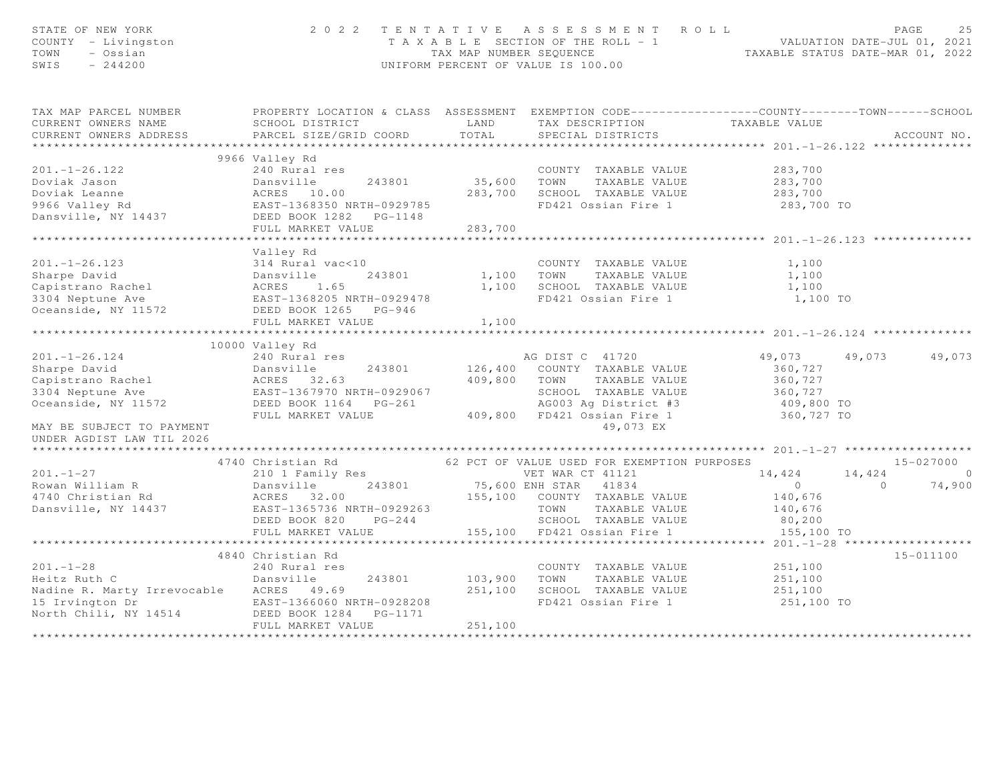| STATE OF NEW YORK<br>COUNTY - Livingston<br>TOWN<br>- Ossian<br>$-244200$<br>SWIS                                                                                                                                                  |                                                                                                   |                                                                                                                               | 2022 TENTATIVE ASSESSMENT ROLL<br>T A X A B L E SECTION OF THE ROLL - 1<br>TAX MAP NUMBER SEQUENCE<br>TAXABLE STATUS DATE-MAR 01, 2022<br>UNIFORM PERCENT OF VALUE IS 100.00 |                       | PAGE<br>25                                         |
|------------------------------------------------------------------------------------------------------------------------------------------------------------------------------------------------------------------------------------|---------------------------------------------------------------------------------------------------|-------------------------------------------------------------------------------------------------------------------------------|------------------------------------------------------------------------------------------------------------------------------------------------------------------------------|-----------------------|----------------------------------------------------|
| TAX MAP PARCEL NUMBER                                                                                                                                                                                                              | PROPERTY LOCATION & CLASS ASSESSMENT EXEMPTION CODE-----------------COUNTY-------TOWN------SCHOOL |                                                                                                                               |                                                                                                                                                                              |                       |                                                    |
| CURRENT OWNERS NAME<br>CURRENT OWNERS ADDRESS                                                                                                                                                                                      | SCHOOL DISTRICT                                                                                   | <b>EXAMPLE EXAMPLE THE EXAMPLE EXAMPLE EXAMPLE EXAMPLE EXAMPLE EXAMPLE EXAMPLE EXAMPLE EXAMPLE EXAMPLE EXAMPLE E</b><br>TOTAL | TAX DESCRIPTION TAXABLE VALUE SPECIAL DISTRICTS                                                                                                                              |                       |                                                    |
|                                                                                                                                                                                                                                    | PARCEL SIZE/GRID COORD                                                                            |                                                                                                                               |                                                                                                                                                                              |                       | ACCOUNT NO.                                        |
|                                                                                                                                                                                                                                    |                                                                                                   |                                                                                                                               |                                                                                                                                                                              |                       |                                                    |
|                                                                                                                                                                                                                                    | 9966 Valley Rd<br>240 Rural res                                                                   |                                                                                                                               |                                                                                                                                                                              |                       |                                                    |
| $201. - 1 - 26.122$                                                                                                                                                                                                                |                                                                                                   |                                                                                                                               | COUNTY TAXABLE VALUE<br>35,600 TOWN TAXABLE VALUE                                                                                                                            | 283,700               |                                                    |
|                                                                                                                                                                                                                                    |                                                                                                   |                                                                                                                               |                                                                                                                                                                              | 283,700               |                                                    |
|                                                                                                                                                                                                                                    |                                                                                                   |                                                                                                                               | 283,700 SCHOOL TAXABLE VALUE<br>FD421 Ossian Fire 1                                                                                                                          | 283,700<br>283,700 TO |                                                    |
|                                                                                                                                                                                                                                    |                                                                                                   |                                                                                                                               |                                                                                                                                                                              |                       |                                                    |
|                                                                                                                                                                                                                                    |                                                                                                   |                                                                                                                               |                                                                                                                                                                              |                       |                                                    |
|                                                                                                                                                                                                                                    | FULL MARKET VALUE                                                                                 | 283,700<br>*******************                                                                                                |                                                                                                                                                                              |                       |                                                    |
|                                                                                                                                                                                                                                    |                                                                                                   |                                                                                                                               |                                                                                                                                                                              |                       |                                                    |
|                                                                                                                                                                                                                                    | Valley Rd                                                                                         |                                                                                                                               |                                                                                                                                                                              |                       |                                                    |
|                                                                                                                                                                                                                                    |                                                                                                   |                                                                                                                               | COUNTY TAXABLE VALUE                                                                                                                                                         | 1,100                 |                                                    |
|                                                                                                                                                                                                                                    |                                                                                                   |                                                                                                                               | 1,100 TOWN TAXABLE VALUE                                                                                                                                                     | 1,100                 |                                                    |
|                                                                                                                                                                                                                                    |                                                                                                   |                                                                                                                               | 1,100 SCHOOL TAXABLE VALUE<br>FD421 Ossian Fire 1                                                                                                                            | 1,100                 |                                                    |
|                                                                                                                                                                                                                                    |                                                                                                   |                                                                                                                               |                                                                                                                                                                              | 1,100 TO              |                                                    |
| 201.-1-26.123<br>Sharpe David<br>Capistrano Rachel (Dansville 243801)<br>304 Neptune Ave (RAST-1368205 NRTH-0929478)<br>Ceanside, NY 11572 (DEED BOOK 1265 PG-946)                                                                 |                                                                                                   | 1,100                                                                                                                         |                                                                                                                                                                              |                       |                                                    |
|                                                                                                                                                                                                                                    |                                                                                                   |                                                                                                                               |                                                                                                                                                                              |                       |                                                    |
|                                                                                                                                                                                                                                    |                                                                                                   |                                                                                                                               |                                                                                                                                                                              |                       |                                                    |
|                                                                                                                                                                                                                                    |                                                                                                   |                                                                                                                               |                                                                                                                                                                              |                       | 49,073 49,073 49,073                               |
|                                                                                                                                                                                                                                    |                                                                                                   |                                                                                                                               |                                                                                                                                                                              | 360,727               |                                                    |
|                                                                                                                                                                                                                                    |                                                                                                   |                                                                                                                               | 243801 126,400 COUNTY TAXABLE VALUE<br>409,800 TOWN TAXABLE VALUE                                                                                                            | 360,727               |                                                    |
|                                                                                                                                                                                                                                    |                                                                                                   |                                                                                                                               | SCHOOL TAXABLE VALUE                                                                                                                                                         | 360,727               |                                                    |
|                                                                                                                                                                                                                                    |                                                                                                   |                                                                                                                               |                                                                                                                                                                              |                       |                                                    |
|                                                                                                                                                                                                                                    |                                                                                                   |                                                                                                                               | AG003 Ag District #3 (409,800 TO<br>FD421 Ossian Fire 1 (360,727 TO                                                                                                          |                       |                                                    |
|                                                                                                                                                                                                                                    |                                                                                                   |                                                                                                                               |                                                                                                                                                                              |                       |                                                    |
|                                                                                                                                                                                                                                    |                                                                                                   |                                                                                                                               |                                                                                                                                                                              |                       |                                                    |
|                                                                                                                                                                                                                                    |                                                                                                   |                                                                                                                               |                                                                                                                                                                              |                       |                                                    |
|                                                                                                                                                                                                                                    |                                                                                                   |                                                                                                                               | 62 PCT OF VALUE USED FOR EXEMPTION PURPOSES                                                                                                                                  |                       | 15-027000                                          |
| $201 - 1 - 27$                                                                                                                                                                                                                     | 4740 Christian Rd<br>210 1 Family Res                                                             |                                                                                                                               | VET WAR CT 41121                                                                                                                                                             | 14,424                |                                                    |
|                                                                                                                                                                                                                                    |                                                                                                   |                                                                                                                               |                                                                                                                                                                              | $\overline{0}$        | $14,424$ 0<br>0 74,900<br>74,900<br>$\overline{0}$ |
| Rowan William R (1997) 210 1 1 2 243801 (1997) 75,600 ENH STAR (1934)<br>4740 Christian Rd (1997) 2008 2009 (1997) 2008 2009 155,100 COUNTY TAXABLE VALUE<br>Dansville, NY 14437 (2008) 2681-1365736 NRTH-0929263 (2008) 7000 TAXA |                                                                                                   |                                                                                                                               |                                                                                                                                                                              | 140,676               |                                                    |
|                                                                                                                                                                                                                                    |                                                                                                   |                                                                                                                               |                                                                                                                                                                              | 140,676               |                                                    |
|                                                                                                                                                                                                                                    |                                                                                                   |                                                                                                                               |                                                                                                                                                                              | 80,200                |                                                    |
|                                                                                                                                                                                                                                    | FULL MARKET VALUE                                                                                 |                                                                                                                               | 155,100 FD421 Ossian Fire 1                                                                                                                                                  | 155,100 TO            |                                                    |
|                                                                                                                                                                                                                                    |                                                                                                   |                                                                                                                               |                                                                                                                                                                              |                       |                                                    |
|                                                                                                                                                                                                                                    | 4840 Christian Rd                                                                                 |                                                                                                                               |                                                                                                                                                                              |                       | 15-011100                                          |
| $201 - 1 - 28$                                                                                                                                                                                                                     |                                                                                                   |                                                                                                                               | COUNTY TAXABLE VALUE                                                                                                                                                         | 251,100               |                                                    |
| Heitz Ruth C                                                                                                                                                                                                                       | 240 Rural res<br>Dansville                                                                        |                                                                                                                               | TOWN<br>TAXABLE VALUE                                                                                                                                                        | 251,100               |                                                    |
| Nadine R. Marty Irrevocable ACRES 49.69                                                                                                                                                                                            |                                                                                                   | 243801 103,900<br>251,100                                                                                                     | SCHOOL TAXABLE VALUE                                                                                                                                                         | 251,100               |                                                    |
|                                                                                                                                                                                                                                    |                                                                                                   |                                                                                                                               | FD421 Ossian Fire 1                                                                                                                                                          | 251,100 TO            |                                                    |
| 15 Irvington Dr                         EAST-1366060 NRTH-0928208<br>North Chili, NY 14514               DEED BOOK 1284   PG-1171                                                                                                  |                                                                                                   |                                                                                                                               |                                                                                                                                                                              |                       |                                                    |
|                                                                                                                                                                                                                                    | FULL MARKET VALUE                                                                                 | 251,100                                                                                                                       |                                                                                                                                                                              |                       |                                                    |
|                                                                                                                                                                                                                                    |                                                                                                   |                                                                                                                               |                                                                                                                                                                              |                       |                                                    |
|                                                                                                                                                                                                                                    |                                                                                                   |                                                                                                                               |                                                                                                                                                                              |                       |                                                    |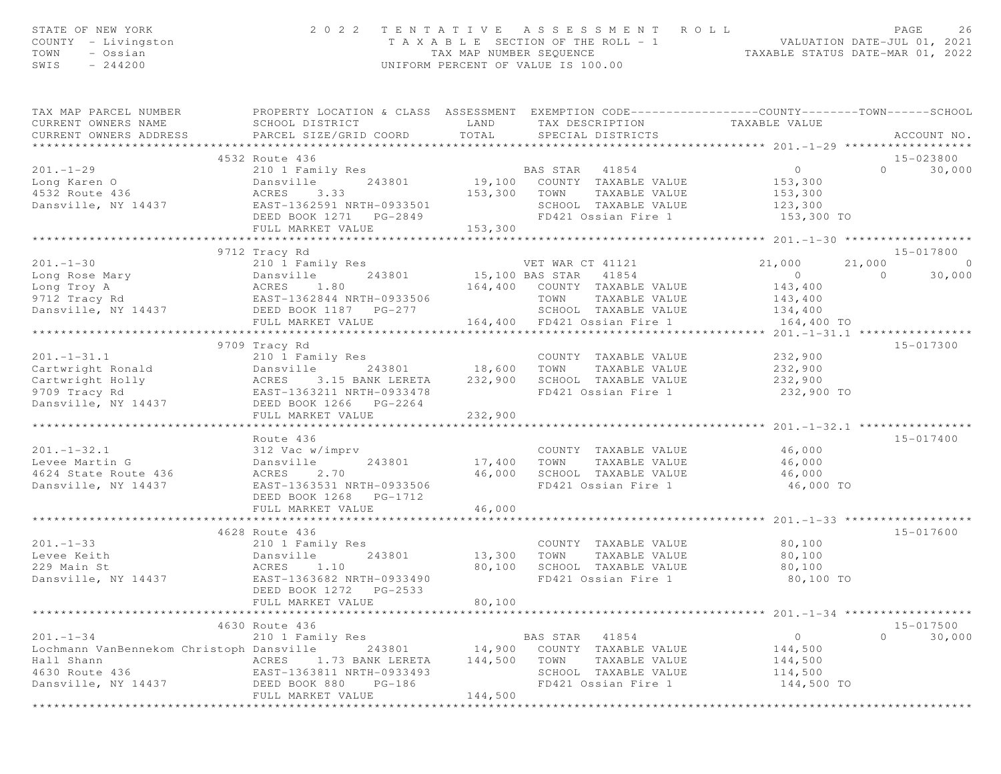| STATE OF NEW YORK<br>COUNTY - Livingston<br>TOWN<br>- Ossian<br>SWIS<br>$-244200$                                                                                                                                                    | 2 0 2 2                                                                                                                                         | TAX MAP NUMBER SEQUENCE | TENTATIVE ASSESSMENT ROLL<br>T A X A B L E SECTION OF THE ROLL - 1<br>UNIFORM PERCENT OF VALUE IS 100.00 | ROLL - 1<br>TAXABLE STATUS DATE-MAR 01, 2022<br>TAXABLE STATUS DATE-MAR 01, 2022 | 26<br>PAGE         |
|--------------------------------------------------------------------------------------------------------------------------------------------------------------------------------------------------------------------------------------|-------------------------------------------------------------------------------------------------------------------------------------------------|-------------------------|----------------------------------------------------------------------------------------------------------|----------------------------------------------------------------------------------|--------------------|
| TAX MAP PARCEL NUMBER<br>CURRENT OWNERS NAME<br>CURRENT OWNERS ADDRESS                                                                                                                                                               | PROPERTY LOCATION & CLASS ASSESSMENT EXEMPTION CODE-----------------COUNTY--------TOWN------SCHOOL<br>SCHOOL DISTRICT<br>PARCEL SIZE/GRID COORD | TOTAL                   | LAND TAX DESCRIPTION TAXABLE VALUE<br>SPECIAL DISTRICTS                                                  |                                                                                  | ACCOUNT NO.        |
|                                                                                                                                                                                                                                      | 4532 Route 436                                                                                                                                  |                         |                                                                                                          |                                                                                  | 15-023800          |
| $201. - 1 - 29$                                                                                                                                                                                                                      | 210 1 Family Res                                                                                                                                |                         | BAS STAR 41854                                                                                           | $\overline{0}$                                                                   | $\Omega$<br>30,000 |
| Long Karen O                                                                                                                                                                                                                         | Dansville                                                                                                                                       |                         | 243801 19,100 COUNTY TAXABLE VALUE                                                                       | 153,300                                                                          |                    |
| 4532 Route 436                                                                                                                                                                                                                       | ACRES<br>3.33                                                                                                                                   |                         | 153,300 TOWN TAXABLE VALUE                                                                               | 153,300                                                                          |                    |
| Dansville, NY 14437                                                                                                                                                                                                                  | EAST-1362591 NRTH-0933501                                                                                                                       |                         | SCHOOL TAXABLE VALUE                                                                                     | 123,300                                                                          |                    |
|                                                                                                                                                                                                                                      |                                                                                                                                                 |                         | FD421 Ossian Fire 1                                                                                      | 153,300 TO                                                                       |                    |
|                                                                                                                                                                                                                                      | FULL MARKET VALUE                                                                                                                               | 153,300                 |                                                                                                          |                                                                                  |                    |
|                                                                                                                                                                                                                                      | ***************************                                                                                                                     |                         |                                                                                                          |                                                                                  |                    |
|                                                                                                                                                                                                                                      | 9712 Tracy Rd                                                                                                                                   |                         |                                                                                                          |                                                                                  | 15-017800          |
| $201 - 1 - 30$<br>101.-1-30<br>Long Rose Mary<br>Long Troy A (2010) Family Res<br>243801<br>Long Troy A (243801) RORES<br>243801<br>243801<br>243801<br>243801<br>243801<br>243801<br>243801<br>243801<br>243801<br>243801<br>243801 |                                                                                                                                                 |                         | VET WAR CT 41121<br>15,100 BAS STAR 41854                                                                | 21,000<br>21,000                                                                 | $\overline{0}$     |
|                                                                                                                                                                                                                                      |                                                                                                                                                 |                         |                                                                                                          | $\overline{0}$                                                                   | $\Omega$<br>30,000 |
|                                                                                                                                                                                                                                      |                                                                                                                                                 |                         | 164,400 COUNTY TAXABLE VALUE                                                                             | 143,400                                                                          |                    |
| Dansville, NY 14437 DEED BOOK 1187 PG-277                                                                                                                                                                                            |                                                                                                                                                 |                         | TOWN<br>TAXABLE VALUE<br>SCHOOL TAXABLE VALUE                                                            | 143,400<br>134,400                                                               |                    |
|                                                                                                                                                                                                                                      | FULL MARKET VALUE                                                                                                                               |                         | 164,400 FD421 Ossian Fire 1                                                                              | 164,400 TO                                                                       |                    |
|                                                                                                                                                                                                                                      | *******************************                                                                                                                 |                         |                                                                                                          |                                                                                  |                    |
|                                                                                                                                                                                                                                      | 9709 Tracy Rd                                                                                                                                   |                         |                                                                                                          |                                                                                  | 15-017300          |
| $201 - 1 - 31.1$                                                                                                                                                                                                                     | 210 1 Family Res                                                                                                                                |                         | COUNTY TAXABLE VALUE                                                                                     | 232,900                                                                          |                    |
| Cartwright Ronald                                                                                                                                                                                                                    | Dansville                                                                                                                                       |                         |                                                                                                          | 232,900                                                                          |                    |
| Cartwright Holly                                                                                                                                                                                                                     | ACRES 3.15 BANK LERETA                                                                                                                          |                         | 243801 18,600 TOWN TAXABLE VALUE<br>ANK LERETA 232,900 SCHOOL TAXABLE VALUE                              | 232,900                                                                          |                    |
| 9709 Tracy Rd                                                                                                                                                                                                                        | EAST-1363211 NRTH-0933478                                                                                                                       |                         | FD421 Ossian Fire 1                                                                                      | 232,900 TO                                                                       |                    |
| Dansville, NY 14437                                                                                                                                                                                                                  | DEED BOOK 1266 PG-2264                                                                                                                          |                         |                                                                                                          |                                                                                  |                    |
|                                                                                                                                                                                                                                      | FULL MARKET VALUE                                                                                                                               | 232,900                 |                                                                                                          |                                                                                  |                    |
|                                                                                                                                                                                                                                      | **************************                                                                                                                      |                         |                                                                                                          | ***************** 201.-1-32.1 ************                                       |                    |
|                                                                                                                                                                                                                                      | Route 436                                                                                                                                       |                         |                                                                                                          |                                                                                  | 15-017400          |
| $201. - 1 - 32.1$                                                                                                                                                                                                                    | 312 Vac w/imprv                                                                                                                                 |                         | COUNTY TAXABLE VALUE                                                                                     | 46,000<br>46,000                                                                 |                    |
| Levee Martin G<br>4624 State Route 436                                                                                                                                                                                               | Dansville<br>243801<br>ACRES<br>2.70                                                                                                            | 17,400<br>46,000        | TOWN<br>TAXABLE VALUE                                                                                    | 46,000                                                                           |                    |
| Dansville, NY 14437                                                                                                                                                                                                                  | EAST-1363531 NRTH-0933506                                                                                                                       |                         | SCHOOL TAXABLE VALUE<br>FD421 Ossian Fire 1                                                              | 46,000 TO                                                                        |                    |
|                                                                                                                                                                                                                                      | DEED BOOK 1268    PG-1712                                                                                                                       |                         |                                                                                                          |                                                                                  |                    |
|                                                                                                                                                                                                                                      | FULL MARKET VALUE                                                                                                                               | 46,000                  |                                                                                                          |                                                                                  |                    |
|                                                                                                                                                                                                                                      | **************************                                                                                                                      |                         |                                                                                                          |                                                                                  |                    |
|                                                                                                                                                                                                                                      | 4628 Route 436                                                                                                                                  |                         |                                                                                                          |                                                                                  | 15-017600          |
| $201 - 1 - 33$                                                                                                                                                                                                                       | 210 1 Family Res                                                                                                                                |                         | COUNTY TAXABLE VALUE                                                                                     | 80,100                                                                           |                    |
| Levee Keith                                                                                                                                                                                                                          | Dansville<br>243801                                                                                                                             | 13,300 TOWN             | TAXABLE VALUE                                                                                            | 80,100                                                                           |                    |
| 229 Main St                                                                                                                                                                                                                          | ACRES 1.10<br>EAST-1363682 NRTH-0933490                                                                                                         | 80,100                  | SCHOOL TAXABLE VALUE                                                                                     | 80,100                                                                           |                    |
| Dansville, NY 14437                                                                                                                                                                                                                  |                                                                                                                                                 |                         | FD421 Ossian Fire 1                                                                                      | 80,100 TO                                                                        |                    |
|                                                                                                                                                                                                                                      | DEED BOOK 1272<br>PG-2533                                                                                                                       |                         |                                                                                                          |                                                                                  |                    |
|                                                                                                                                                                                                                                      | FULL MARKET VALUE                                                                                                                               | 80,100                  |                                                                                                          | ******************** 201.-1-34 *******                                           |                    |
|                                                                                                                                                                                                                                      | 4630 Route 436                                                                                                                                  |                         |                                                                                                          |                                                                                  | 15-017500          |
| $201 - 1 - 34$                                                                                                                                                                                                                       | 210 1 Family Res                                                                                                                                |                         | BAS STAR<br>41854                                                                                        | $\circ$                                                                          | $\Omega$<br>30,000 |
| Lochmann VanBennekom Christoph Dansville                                                                                                                                                                                             | 243801                                                                                                                                          | 14,900                  | COUNTY TAXABLE VALUE                                                                                     | 144,500                                                                          |                    |
| Hall Shann                                                                                                                                                                                                                           | ACRES<br>1.73 BANK LERETA                                                                                                                       | 144,500                 | TOWN<br>TAXABLE VALUE                                                                                    | 144,500                                                                          |                    |
| 4630 Route 436                                                                                                                                                                                                                       | EAST-1363811 NRTH-0933493                                                                                                                       |                         | SCHOOL TAXABLE VALUE                                                                                     | 114,500                                                                          |                    |
| Dansville, NY 14437                                                                                                                                                                                                                  | DEED BOOK 880<br>$PG-186$                                                                                                                       |                         | FD421 Ossian Fire 1                                                                                      | 144,500 TO                                                                       |                    |
|                                                                                                                                                                                                                                      | FULL MARKET VALUE                                                                                                                               | 144,500                 |                                                                                                          |                                                                                  |                    |
|                                                                                                                                                                                                                                      |                                                                                                                                                 |                         |                                                                                                          |                                                                                  |                    |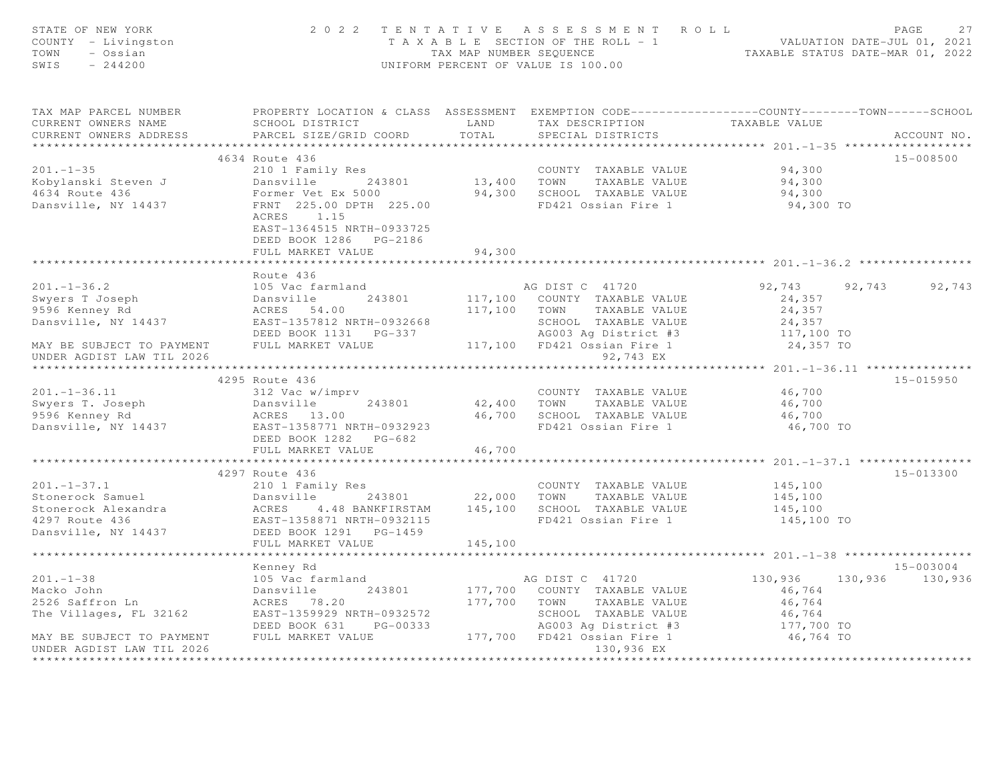| STATE OF NEW YORK<br>COUNTY - Livingston<br>TOWN<br>- Ossian<br>SWIS<br>$-244200$                                                                                                                                                              |                                                                                                                                                                                                            |         | 2022 TENTATIVE ASSESSMENT ROLL<br>TAXABLE SECTION OF THE ROLL -1<br>TAXABLE SECTION OF THE ROLL -1<br>TAXABLE STATUS DATE-JUL 01, 2021<br>TAXABLE STATUS DATE-MAR 01, 2022<br>UNIFORM PERCENT OF VALUE IS 100.00 |                                         | $\mathop{\mathrm{PAGE}}$<br>27                    |
|------------------------------------------------------------------------------------------------------------------------------------------------------------------------------------------------------------------------------------------------|------------------------------------------------------------------------------------------------------------------------------------------------------------------------------------------------------------|---------|------------------------------------------------------------------------------------------------------------------------------------------------------------------------------------------------------------------|-----------------------------------------|---------------------------------------------------|
| TAX MAP PARCEL NUMBER <a> PROPERTY LOCATION &amp; CLASS ASSESSMENT EXEMPTION CODE---------------COUNTY-------TOWN-----SCHOOL<br/>CURRENT OWNERS NAME<br/>CURRENT OWNERS ADDRESS</a>                                                            | SCHOOL DISTRICT TAND TAX DESCRIPTION<br>PARCEL SIZE/GRID COORD                                                                                                                                             | TOTAL   | SPECIAL DISTRICTS                                                                                                                                                                                                | TAXABLE VALUE                           | ACCOUNT NO.                                       |
|                                                                                                                                                                                                                                                |                                                                                                                                                                                                            |         |                                                                                                                                                                                                                  |                                         |                                                   |
|                                                                                                                                                                                                                                                | 4634 Route 436                                                                                                                                                                                             |         |                                                                                                                                                                                                                  |                                         | 15-008500                                         |
| $201 - 1 - 35$<br>Kobylanski Steven J<br>4634 Route 436<br>Dansville, NY 14437                                                                                                                                                                 | 210 1 Family Res<br>Dansville 243801 13,400 TOWN TAXABLE VALUE<br>Former Vet Ex 5000 94,300 SCHOOL TAXABLE VALUE<br>FRNT 225.00 DPTH 225.00 FD421 Ossian Fire 1<br>ACRES 1.15<br>EAST-1364515 NRTH-0933725 |         | COUNTY TAXABLE VALUE<br>13,400 TOWN TAXABLE VALUE                                                                                                                                                                | 94,300<br>94,300<br>94,300<br>94,300 TO |                                                   |
|                                                                                                                                                                                                                                                | FULL MARKET VALUE                                                                                                                                                                                          | 94,300  |                                                                                                                                                                                                                  |                                         |                                                   |
|                                                                                                                                                                                                                                                | Route 436                                                                                                                                                                                                  |         |                                                                                                                                                                                                                  |                                         |                                                   |
| $201 - 1 - 36.2$                                                                                                                                                                                                                               | 105 Vac farmland                                                                                                                                                                                           |         | AG DIST C 41720                                                                                                                                                                                                  |                                         | 92,743 92,743 92,743                              |
|                                                                                                                                                                                                                                                |                                                                                                                                                                                                            |         |                                                                                                                                                                                                                  | 24,357                                  |                                                   |
| ---. - --.-<br>Swyers T Joseph<br>9596 Kenney Rd<br>9596 Kenney Rd                                                                                                                                                                             |                                                                                                                                                                                                            |         | 117,100 TOWN TAXABLE VALUE                                                                                                                                                                                       | 24,357                                  |                                                   |
| Dansville, NY 14437 EAST-1357812 NRTH-0932668                                                                                                                                                                                                  |                                                                                                                                                                                                            |         | SCHOOL TAXABLE VALUE                                                                                                                                                                                             |                                         |                                                   |
|                                                                                                                                                                                                                                                |                                                                                                                                                                                                            |         | SCHOOL TAXABLE VALUE<br>AG003 Ag District #3                                                                                                                                                                     | 24,357<br>117,100 TO                    |                                                   |
| MAY BE SUBJECT TO PAYMENT FULL MARKET VALUE<br>UNDER AGDIST LAW TIL 2026<br>UNDER AGDIST LAW TIL 2026                                                                                                                                          |                                                                                                                                                                                                            |         | 117,100 FD421 Ossian Fire 1<br>92,743 EX                                                                                                                                                                         | 24,357 TO                               |                                                   |
|                                                                                                                                                                                                                                                |                                                                                                                                                                                                            |         |                                                                                                                                                                                                                  |                                         | ******************* 201.-1-36.11 **************** |
|                                                                                                                                                                                                                                                | 4295 Route 436                                                                                                                                                                                             |         |                                                                                                                                                                                                                  |                                         | 15-015950                                         |
|                                                                                                                                                                                                                                                |                                                                                                                                                                                                            |         | COUNTY TAXABLE VALUE 46,700                                                                                                                                                                                      |                                         |                                                   |
|                                                                                                                                                                                                                                                |                                                                                                                                                                                                            |         | 42,400 TOWN TAXABLE VALUE                                                                                                                                                                                        | 46,700                                  |                                                   |
|                                                                                                                                                                                                                                                |                                                                                                                                                                                                            |         | 46,700 SCHOOL TAXABLE VALUE                                                                                                                                                                                      | 46,700                                  |                                                   |
| 201.-1-36.11<br>Swyers T. Joseph 312 Vac w/imprv<br>9596 Kenney Rd 243801<br>Dansville, NY 14437<br>213.00<br>213.00<br>213.00<br>213.00<br>213.00<br>213.00<br>213.00<br>213.00<br>213.00<br>213.00                                           | DEED BOOK 1282 PG-682                                                                                                                                                                                      |         | FD421 Ossian Fire 1                                                                                                                                                                                              | 46,700 TO                               |                                                   |
|                                                                                                                                                                                                                                                | FULL MARKET VALUE                                                                                                                                                                                          | 46,700  |                                                                                                                                                                                                                  |                                         |                                                   |
|                                                                                                                                                                                                                                                |                                                                                                                                                                                                            |         |                                                                                                                                                                                                                  |                                         |                                                   |
|                                                                                                                                                                                                                                                | 4297 Route 436                                                                                                                                                                                             |         |                                                                                                                                                                                                                  |                                         | 15-013300                                         |
|                                                                                                                                                                                                                                                |                                                                                                                                                                                                            |         | COUNTY TAXABLE VALUE                                                                                                                                                                                             | 145,100                                 |                                                   |
| 201.-1-37.1<br>Stonerock Samuel 210 1 Family Res<br>Stonerock Alexandra<br>22,000 TOWN TAXABLE VALUE<br>243801 22,000 TOWN TAXABLE VALUE<br>22,000 TOWN TAXABLE VALUE<br>22,000 TOWN TAXABLE VALUE<br>22,000 TOWN TAXABLE VALUE<br>22,000 TOWN |                                                                                                                                                                                                            |         |                                                                                                                                                                                                                  | 145,100                                 |                                                   |
|                                                                                                                                                                                                                                                |                                                                                                                                                                                                            |         | FD421 Ossian Fire 1                                                                                                                                                                                              | 145,100<br>145,100 TO                   |                                                   |
|                                                                                                                                                                                                                                                |                                                                                                                                                                                                            |         |                                                                                                                                                                                                                  |                                         |                                                   |
|                                                                                                                                                                                                                                                | FULL MARKET VALUE                                                                                                                                                                                          | 145,100 |                                                                                                                                                                                                                  |                                         |                                                   |
|                                                                                                                                                                                                                                                | ************************                                                                                                                                                                                   |         |                                                                                                                                                                                                                  |                                         |                                                   |
|                                                                                                                                                                                                                                                | Kenney Rd                                                                                                                                                                                                  |         |                                                                                                                                                                                                                  |                                         | 15-003004                                         |
|                                                                                                                                                                                                                                                |                                                                                                                                                                                                            |         | AG DIST C 41720                                                                                                                                                                                                  | 130,936                                 | 130,936 130,936                                   |
| 201.-1-38<br>Macko John 105 Vac farmland<br>243801<br>2526 Saffron Ln 2162<br>The Villages, FL 32162<br>2527-1359929 NRTH-0932572                                                                                                              |                                                                                                                                                                                                            |         | 177,700 COUNTY TAXABLE VALUE                                                                                                                                                                                     | 46,764                                  |                                                   |
|                                                                                                                                                                                                                                                |                                                                                                                                                                                                            |         | 177,700 TOWN TAXABLE VALUE                                                                                                                                                                                       | 46,764                                  |                                                   |
|                                                                                                                                                                                                                                                |                                                                                                                                                                                                            |         | SCHOOL TAXABLE VALUE                                                                                                                                                                                             | 46,764                                  |                                                   |
|                                                                                                                                                                                                                                                | DEED BOOK 631 PG-00333                                                                                                                                                                                     |         |                                                                                                                                                                                                                  | 177,700 TO                              |                                                   |
| MAY BE SUBJECT TO PAYMENT FULL MARKET VALUE<br>UNDER AGDIST LAW TIL 2026                                                                                                                                                                       |                                                                                                                                                                                                            |         | AG003 Ag District #3<br>177,700 FD421 Ossian Fire 1<br>130,936 EX                                                                                                                                                | 46,764 TO                               |                                                   |
|                                                                                                                                                                                                                                                |                                                                                                                                                                                                            |         | ********************                                                                                                                                                                                             |                                         |                                                   |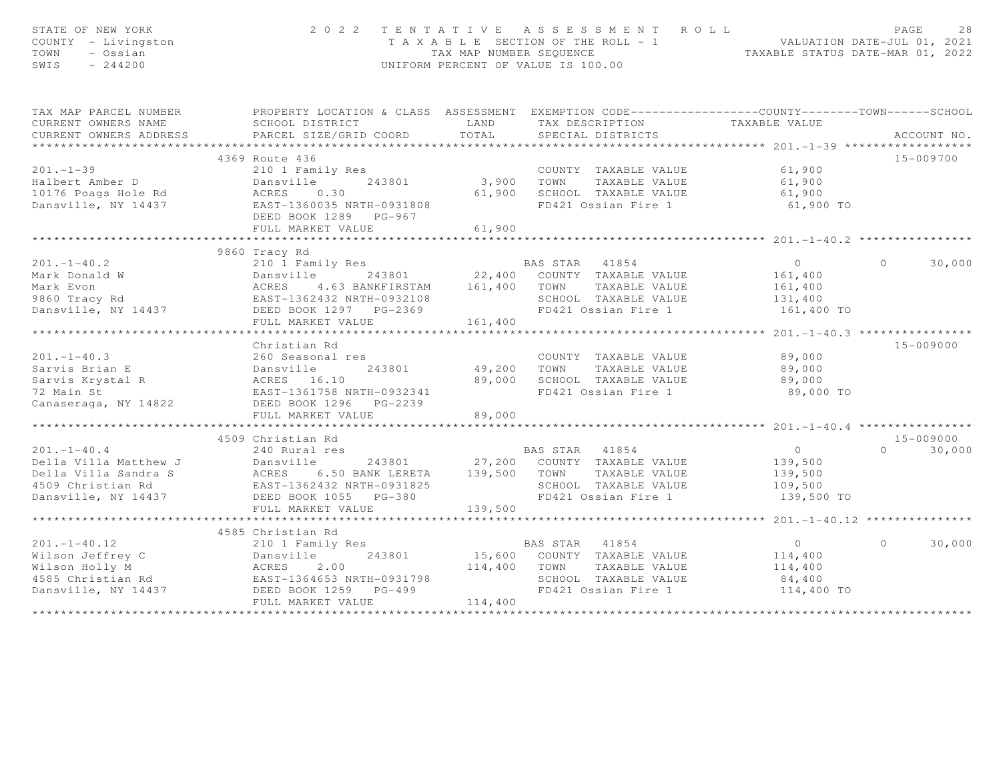| STATE OF NEW YORK<br>COUNTY - Livingston<br>TOWN<br>- Ossian<br>SWIS<br>$-244200$                                                                   |                                                     |                             | 2022 TENTATIVE ASSESSMENT ROLL<br>T A X A B L E SECTION OF THE ROLL - 1 VALUATION DATE-JUL 01, 2021<br>TAX MAP NUMBER SEQUENCE TAXABLE STATUS DATE-MAR 01, 2022<br>UNIFORM PERCENT OF VALUE IS 100.00 |                | PAGE<br>28         |
|-----------------------------------------------------------------------------------------------------------------------------------------------------|-----------------------------------------------------|-----------------------------|-------------------------------------------------------------------------------------------------------------------------------------------------------------------------------------------------------|----------------|--------------------|
| TAX MAP PARCEL NUMBER                                                                                                                               |                                                     |                             | PROPERTY LOCATION & CLASS ASSESSMENT EXEMPTION CODE----------------COUNTY-------TOWN------SCHOOL                                                                                                      |                |                    |
| CURRENT OWNERS NAME                                                                                                                                 | SCHOOL DISTRICT                                     | LAND                        | TAX DESCRIPTION                                                                                                                                                                                       | TAXABLE VALUE  |                    |
| CURRENT OWNERS ADDRESS                                                                                                                              | PARCEL SIZE/GRID COORD                              | TOTAL                       | SPECIAL DISTRICTS                                                                                                                                                                                     |                | ACCOUNT NO.        |
| ***********************                                                                                                                             |                                                     |                             |                                                                                                                                                                                                       |                |                    |
|                                                                                                                                                     | 4369 Route 436                                      |                             |                                                                                                                                                                                                       |                | 15-009700          |
| $201. - 1 - 39$                                                                                                                                     | 210 1 Family Res                                    |                             | COUNTY TAXABLE VALUE                                                                                                                                                                                  | 61,900         |                    |
| Halbert Amber D                                                                                                                                     | 243801<br>Dansville                                 | 3,900                       | TAXABLE VALUE<br>TOWN                                                                                                                                                                                 | 61,900         |                    |
| 10176 Poags Hole Rd                                                                                                                                 | ACRES<br>0.30                                       | 61,900                      | SCHOOL TAXABLE VALUE                                                                                                                                                                                  | 61,900         |                    |
| Dansville, NY 14437                                                                                                                                 | EAST-1360035 NRTH-0931808                           |                             | FD421 Ossian Fire 1                                                                                                                                                                                   | 61,900 TO      |                    |
|                                                                                                                                                     | DEED BOOK 1289 PG-967                               |                             |                                                                                                                                                                                                       |                |                    |
|                                                                                                                                                     | FULL MARKET VALUE                                   | 61,900                      |                                                                                                                                                                                                       |                |                    |
|                                                                                                                                                     |                                                     |                             |                                                                                                                                                                                                       |                |                    |
|                                                                                                                                                     | 9860 Tracy Rd                                       |                             |                                                                                                                                                                                                       |                |                    |
| $201 - 1 - 40.2$                                                                                                                                    | 210 1 Family Res                                    |                             | BAS STAR 41854                                                                                                                                                                                        | $\circ$        | $\Omega$<br>30,000 |
|                                                                                                                                                     |                                                     |                             | 243801 22,400 COUNTY TAXABLE VALUE                                                                                                                                                                    | 161,400        |                    |
|                                                                                                                                                     |                                                     | 161,400 TOWN                | TAXABLE VALUE                                                                                                                                                                                         | 161,400        |                    |
| Mark Donald W<br>Mark Evon Mark Evon ACRES 4.63 BANKFIRSTAM<br>9860 Tracy Rd EAST-1362432 NRTH-0932108<br>Dansville, NY 14437 DEED BOOK 1297 POLICE |                                                     |                             | SCHOOL TAXABLE VALUE<br>FD421 Ossian Fire 1                                                                                                                                                           | 131,400        |                    |
|                                                                                                                                                     | FULL MARKET VALUE                                   | 161,400                     |                                                                                                                                                                                                       | 161,400 TO     |                    |
|                                                                                                                                                     |                                                     |                             |                                                                                                                                                                                                       |                |                    |
|                                                                                                                                                     | Christian Rd                                        |                             |                                                                                                                                                                                                       |                | 15-009000          |
| $201 - 1 - 40.3$                                                                                                                                    | 260 Seasonal res                                    |                             | COUNTY TAXABLE VALUE                                                                                                                                                                                  | 89,000         |                    |
|                                                                                                                                                     | 243801                                              | 49,200                      | TAXABLE VALUE<br>TOWN                                                                                                                                                                                 | 89,000         |                    |
|                                                                                                                                                     |                                                     | 89,000                      | SCHOOL TAXABLE VALUE                                                                                                                                                                                  | 89,000         |                    |
|                                                                                                                                                     | EAST-1361758 NRTH-0932341                           |                             | FD421 Ossian Fire 1                                                                                                                                                                                   | 89,000 TO      |                    |
| Canaseraga, NY 14822                                                                                                                                | DEED BOOK 1296 PG-2239                              |                             |                                                                                                                                                                                                       |                |                    |
|                                                                                                                                                     | FULL MARKET VALUE                                   | 89,000                      |                                                                                                                                                                                                       |                |                    |
|                                                                                                                                                     | ************************************                | * * * * * * * * * * * * * * |                                                                                                                                                                                                       |                |                    |
|                                                                                                                                                     | 4509 Christian Rd                                   |                             |                                                                                                                                                                                                       |                | 15-009000          |
| $201. -1 - 40.4$                                                                                                                                    | 240 Rural res                                       |                             | BAS STAR 41854                                                                                                                                                                                        | $\overline{0}$ | $\Omega$<br>30,000 |
| Della Villa Matthew J                                                                                                                               | Dansville<br>243801                                 |                             | 27,200 COUNTY TAXABLE VALUE                                                                                                                                                                           | 139,500        |                    |
| Della Villa Sandra S                                                                                                                                | ACRES 6.50 BANK LERETA<br>EAST-1362432 NRTH-0931825 | 139,500                     | TOWN<br>TAXABLE VALUE                                                                                                                                                                                 | 139,500        |                    |
| 4509 Christian Rd                                                                                                                                   |                                                     |                             | SCHOOL TAXABLE VALUE                                                                                                                                                                                  | 109,500        |                    |
| Dansville, NY 14437 DEED BOOK 1055 PG-380                                                                                                           |                                                     |                             | FD421 Ossian Fire 1                                                                                                                                                                                   | 139,500 TO     |                    |
|                                                                                                                                                     | FULL MARKET VALUE                                   | 139,500                     |                                                                                                                                                                                                       |                |                    |
|                                                                                                                                                     |                                                     |                             |                                                                                                                                                                                                       |                |                    |
|                                                                                                                                                     | 4585 Christian Rd                                   |                             |                                                                                                                                                                                                       |                |                    |
| $201 - 1 - 40.12$                                                                                                                                   | 210 1 Family Res                                    |                             | BAS STAR 41854                                                                                                                                                                                        | $\overline{0}$ | $\circ$<br>30,000  |
| Wilson Jeffrey C<br>Wilson Holly M<br>4585 Christian Rd<br>4585 Christian Rd<br>EAST-1364653 NRTH-0931798                                           |                                                     |                             | 15,600 COUNTY TAXABLE VALUE                                                                                                                                                                           | 114,400        |                    |
|                                                                                                                                                     |                                                     | 114,400                     | TAXABLE VALUE<br>TOWN                                                                                                                                                                                 | 114,400        |                    |
|                                                                                                                                                     |                                                     |                             | SCHOOL TAXABLE VALUE                                                                                                                                                                                  | 84,400         |                    |
| Dansville, NY 14437                                                                                                                                 | DEED BOOK 1259 PG-499                               |                             | FD421 Ossian Fire 1                                                                                                                                                                                   | 114,400 TO     |                    |
|                                                                                                                                                     | FULL MARKET VALUE                                   | 114,400                     |                                                                                                                                                                                                       |                |                    |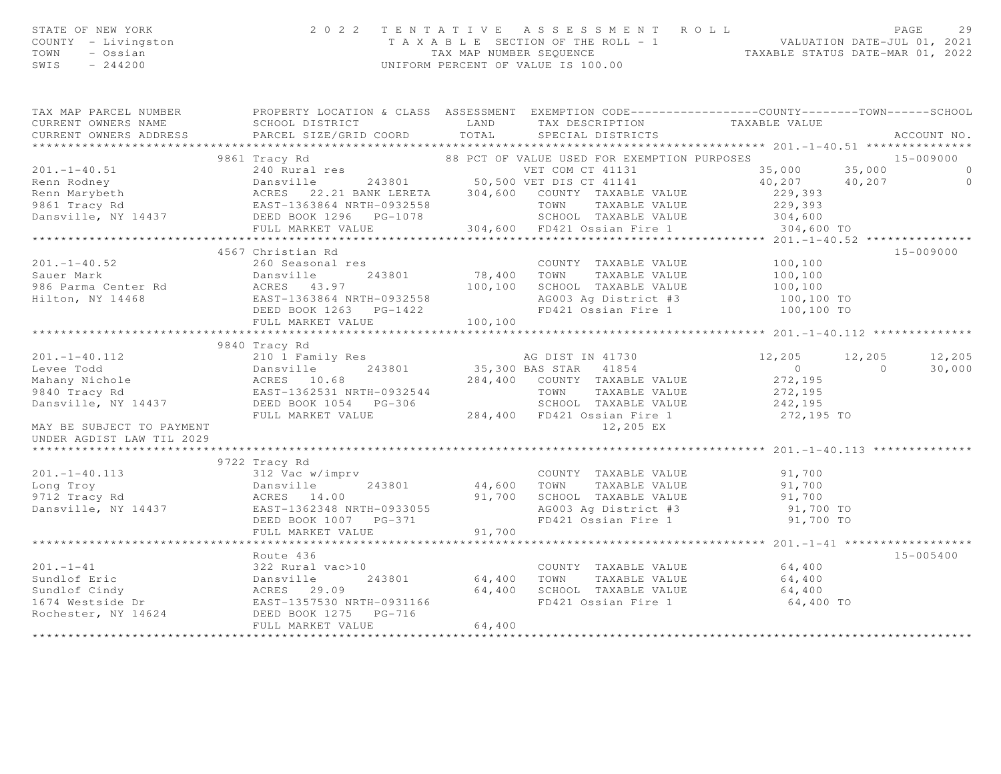| STATE OF NEW YORK   | 2022 TENTATTVE ASSESSMENT ROLL        | PAGE                             |
|---------------------|---------------------------------------|----------------------------------|
| COUNTY - Livingston | T A X A B L E SECTION OF THE ROLL - 1 | VALUATION DATE-JUL 01, 2021      |
| TOWN<br>– Ossian    | TAX MAP NUMBER SEOUENCE               | TAXABLE STATUS DATE-MAR 01, 2022 |
| SWIS<br>$-244200$   | UNIFORM PERCENT OF VALUE IS 100.00    |                                  |

| TAX MAP PARCEL NUMBER     |                                                                                                                                                                                                                                                                                   |                                                                                                         |                                                |               |
|---------------------------|-----------------------------------------------------------------------------------------------------------------------------------------------------------------------------------------------------------------------------------------------------------------------------------|---------------------------------------------------------------------------------------------------------|------------------------------------------------|---------------|
|                           |                                                                                                                                                                                                                                                                                   |                                                                                                         |                                                |               |
|                           |                                                                                                                                                                                                                                                                                   |                                                                                                         |                                                |               |
|                           | 15-009000 36 17 141437 1126 129 201 1131 126 129 201.1-1-40.51 127 201 1131 128 201.1-40.51 128 243801 128 243801 128 243801 128 243801 128 243801 128 243801 128 243801 128 243801 128 243801 128 243801 128 243801 128 24380                                                    |                                                                                                         |                                                |               |
|                           |                                                                                                                                                                                                                                                                                   |                                                                                                         |                                                |               |
|                           |                                                                                                                                                                                                                                                                                   |                                                                                                         |                                                |               |
|                           |                                                                                                                                                                                                                                                                                   |                                                                                                         |                                                |               |
|                           |                                                                                                                                                                                                                                                                                   |                                                                                                         |                                                |               |
|                           |                                                                                                                                                                                                                                                                                   |                                                                                                         |                                                |               |
|                           |                                                                                                                                                                                                                                                                                   |                                                                                                         |                                                |               |
|                           |                                                                                                                                                                                                                                                                                   |                                                                                                         |                                                |               |
|                           | 4567 Christian Rd                                                                                                                                                                                                                                                                 |                                                                                                         |                                                | 15-009000     |
|                           |                                                                                                                                                                                                                                                                                   |                                                                                                         |                                                |               |
|                           |                                                                                                                                                                                                                                                                                   |                                                                                                         |                                                |               |
|                           |                                                                                                                                                                                                                                                                                   |                                                                                                         |                                                |               |
|                           |                                                                                                                                                                                                                                                                                   |                                                                                                         |                                                |               |
|                           |                                                                                                                                                                                                                                                                                   |                                                                                                         |                                                |               |
|                           |                                                                                                                                                                                                                                                                                   |                                                                                                         |                                                |               |
|                           |                                                                                                                                                                                                                                                                                   |                                                                                                         |                                                |               |
|                           | 9840 Tracy Rd<br>$\begin{array}{cccccc} 201.-1-40.112 & 9840\text{ Tracy Rd} & & & & & & & & & 12,205& 12,205& 12,205& 12,205& 12,205& 12,205& 12,205& 12,205& 12,205& 12,205& 12,205& 12,205& 12,205& 12,205& 12,205& 12,205& 12,205& 12,205& 12,205& 12,205& 12,205& 12,205& 1$ |                                                                                                         |                                                |               |
|                           |                                                                                                                                                                                                                                                                                   |                                                                                                         | $12, 205$ $12, 205$ $12, 205$                  |               |
|                           |                                                                                                                                                                                                                                                                                   |                                                                                                         |                                                | 30,000        |
|                           |                                                                                                                                                                                                                                                                                   |                                                                                                         |                                                |               |
|                           |                                                                                                                                                                                                                                                                                   |                                                                                                         |                                                |               |
|                           |                                                                                                                                                                                                                                                                                   |                                                                                                         |                                                |               |
|                           |                                                                                                                                                                                                                                                                                   |                                                                                                         |                                                |               |
| MAY BE SUBJECT TO PAYMENT |                                                                                                                                                                                                                                                                                   | 12,205 EX                                                                                               |                                                |               |
| UNDER AGDIST LAW TIL 2029 |                                                                                                                                                                                                                                                                                   |                                                                                                         |                                                |               |
|                           |                                                                                                                                                                                                                                                                                   |                                                                                                         |                                                |               |
|                           |                                                                                                                                                                                                                                                                                   |                                                                                                         |                                                |               |
|                           |                                                                                                                                                                                                                                                                                   | COUNTY TAXABLE VALUE                                                                                    | 91,700                                         |               |
|                           |                                                                                                                                                                                                                                                                                   | TOWN                                                                                                    | TAXABLE VALUE 91,700<br>L TAXABLE VALUE 91,700 |               |
|                           |                                                                                                                                                                                                                                                                                   | SCHOOL TAXABLE VALUE 91,700<br>AG003 Ag District #3 91,700 TO<br>FD421 Ossian Fire 1 91,700 TO          |                                                |               |
|                           |                                                                                                                                                                                                                                                                                   |                                                                                                         |                                                |               |
|                           |                                                                                                                                                                                                                                                                                   |                                                                                                         |                                                |               |
|                           |                                                                                                                                                                                                                                                                                   |                                                                                                         |                                                |               |
|                           |                                                                                                                                                                                                                                                                                   |                                                                                                         |                                                |               |
|                           | Route 436                                                                                                                                                                                                                                                                         |                                                                                                         |                                                | $15 - 005400$ |
|                           |                                                                                                                                                                                                                                                                                   | COUNTY TAXABLE VALUE 64,400                                                                             |                                                |               |
|                           |                                                                                                                                                                                                                                                                                   | 64,400 TOWN TAXABLE VALUE 64,400<br>64,400 SCHOOL TAXABLE VALUE 64,400<br>FD421 Ossian Fire 1 64,400 TO |                                                |               |
|                           |                                                                                                                                                                                                                                                                                   |                                                                                                         |                                                |               |
|                           |                                                                                                                                                                                                                                                                                   |                                                                                                         |                                                |               |
|                           |                                                                                                                                                                                                                                                                                   |                                                                                                         |                                                |               |
|                           | 201.-1-41<br>Sundlof Eric<br>Sundlof Cindy<br>Sundlof Cindy<br>1674 Westside Dr<br>Rochester, NY 14624<br>201.-1-41<br>22 Rural vac>10<br>243801<br>243801<br>243801<br>243801<br>243801<br>243801<br>243801<br>243801<br>243801<br>243801<br>243801<br>243801<br>2440            |                                                                                                         |                                                |               |
|                           |                                                                                                                                                                                                                                                                                   |                                                                                                         |                                                |               |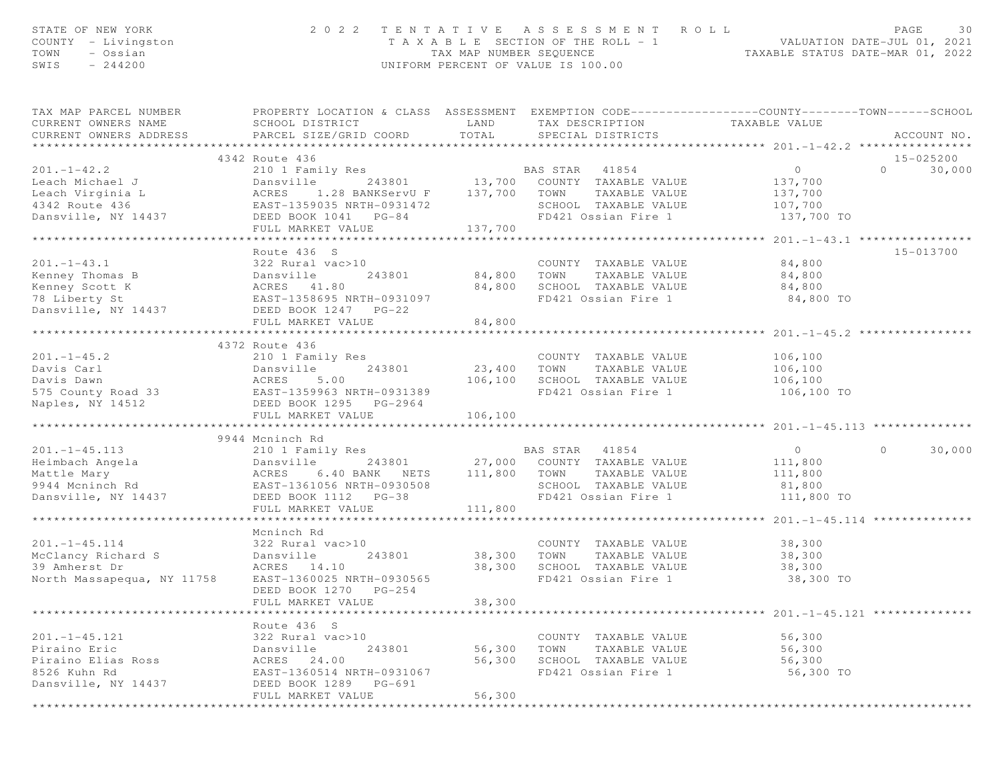| STATE OF NEW YORK<br>COUNTY - Livingston<br>TOWN<br>- Ossian<br>SWIS<br>$-244200$                                                                                                                                                                                                                                                                                                                        | 2 0 2 2                                                                                                                                  |                    | TENTATIVE ASSESSMENT ROLL<br>T A X A B L E SECTION OF THE ROLL - 1 VALUATION DATE-JUL 01, 2021<br>TAX MAP NUMBER SEQUENCE TAXABLE STATUS DATE-MAR 01, 2022<br>UNIFORM PERCENT OF VALUE IS 100.00 |                                                   | PAGE                  | 30          |
|----------------------------------------------------------------------------------------------------------------------------------------------------------------------------------------------------------------------------------------------------------------------------------------------------------------------------------------------------------------------------------------------------------|------------------------------------------------------------------------------------------------------------------------------------------|--------------------|--------------------------------------------------------------------------------------------------------------------------------------------------------------------------------------------------|---------------------------------------------------|-----------------------|-------------|
| - ANNOEL NUMBER<br>CURRENT OWNERS NAME<br>CURRENT OWNERS<br>CURRENT OWNERS ADDRESS PARCEL SIZE/GRID COORD                                                                                                                                                                                                                                                                                                | PROPERTY LOCATION & CLASS ASSESSMENT EXEMPTION CODE-----------------COUNTY--------TOWN------SCHOOL<br>SCHOOL DISTRICT<br>SCHOOL DISTRICT | TOTAL              | LAND TAX DESCRIPTION TAXABLE VALUE<br>SPECIAL DISTRICTS                                                                                                                                          |                                                   |                       | ACCOUNT NO. |
|                                                                                                                                                                                                                                                                                                                                                                                                          | 4342 Route 436                                                                                                                           |                    |                                                                                                                                                                                                  |                                                   | 15-025200             |             |
| $\begin{tabular}{lllllllllllllllllllll} \hline 201.-1-42.2 & 210\ 1\ Family Res & & & & & \mbox{\sc p.} & \mbox{\sc p.} & \mbox{\sc p.} & \mbox{\sc p.} & \mbox{\sc p.} & \mbox{\sc p.} & \mbox{\sc p.} & \mbox{\sc p.} & \mbox{\sc p.} & \mbox{\sc p.} & \mbox{\sc p.} & \mbox{\sc p.} & \mbox{\sc p.} & \mbox{\sc p.} & \mbox{\sc p.} & \mbox{\sc p.} & \mbox{\sc p.} & \mbox{\sc p.} & \mbox{\sc p.}$ |                                                                                                                                          |                    |                                                                                                                                                                                                  |                                                   | $\Omega$ and $\Omega$ | 30,000      |
|                                                                                                                                                                                                                                                                                                                                                                                                          |                                                                                                                                          |                    | Res BAS STAR 41854 0<br>243801 13,700 COUNTY TAXABLE VALUE 137,700                                                                                                                               |                                                   |                       |             |
|                                                                                                                                                                                                                                                                                                                                                                                                          |                                                                                                                                          |                    |                                                                                                                                                                                                  | 137,700                                           |                       |             |
|                                                                                                                                                                                                                                                                                                                                                                                                          |                                                                                                                                          |                    | SCHOOL TAXABLE VALUE 107,700                                                                                                                                                                     |                                                   |                       |             |
|                                                                                                                                                                                                                                                                                                                                                                                                          |                                                                                                                                          |                    | FD421 Ossian Fire 1                                                                                                                                                                              | 137,700 TO                                        |                       |             |
|                                                                                                                                                                                                                                                                                                                                                                                                          |                                                                                                                                          |                    |                                                                                                                                                                                                  |                                                   |                       |             |
|                                                                                                                                                                                                                                                                                                                                                                                                          |                                                                                                                                          |                    |                                                                                                                                                                                                  |                                                   |                       |             |
| $201 - 1 - 43.1$                                                                                                                                                                                                                                                                                                                                                                                         | Route 436 S                                                                                                                              |                    |                                                                                                                                                                                                  |                                                   | 15-013700             |             |
| Kenney Thomas B                                                                                                                                                                                                                                                                                                                                                                                          | 322 Rural vac>10<br>Dansville 243801<br>ACRES 41.80<br>EAST-1358695 NRTH-0931097                                                         |                    | COUNTY TAXABLE VALUE<br>TAXABLE VALUE                                                                                                                                                            | 84,800<br>84,800                                  |                       |             |
| Kenney Scott K                                                                                                                                                                                                                                                                                                                                                                                           |                                                                                                                                          |                    |                                                                                                                                                                                                  |                                                   |                       |             |
| 78 Liberty St                                                                                                                                                                                                                                                                                                                                                                                            |                                                                                                                                          |                    | 84,800 SCHOOL TAXABLE VALUE 84,800<br>FD421 Ossian Fire 1 84,800 TO                                                                                                                              |                                                   |                       |             |
| Dansville, NY 14437 DEED BOOK 1247 PG-22                                                                                                                                                                                                                                                                                                                                                                 |                                                                                                                                          |                    |                                                                                                                                                                                                  |                                                   |                       |             |
|                                                                                                                                                                                                                                                                                                                                                                                                          | FULL MARKET VALUE                                                                                                                        | 84,800             |                                                                                                                                                                                                  |                                                   |                       |             |
|                                                                                                                                                                                                                                                                                                                                                                                                          |                                                                                                                                          |                    |                                                                                                                                                                                                  |                                                   |                       |             |
|                                                                                                                                                                                                                                                                                                                                                                                                          | 4372 Route 436                                                                                                                           |                    |                                                                                                                                                                                                  |                                                   |                       |             |
| $201. - 1 - 45.2$                                                                                                                                                                                                                                                                                                                                                                                        | 210 1 Family Res                                                                                                                         |                    | COUNTY TAXABLE VALUE 106,100                                                                                                                                                                     |                                                   |                       |             |
|                                                                                                                                                                                                                                                                                                                                                                                                          |                                                                                                                                          |                    | 23,400 TOWN TAXABLE VALUE                                                                                                                                                                        | 106,100                                           |                       |             |
|                                                                                                                                                                                                                                                                                                                                                                                                          |                                                                                                                                          |                    | 106,100 SCHOOL TAXABLE VALUE<br>FD421 Ossian Fire 1                                                                                                                                              | 106,100                                           |                       |             |
|                                                                                                                                                                                                                                                                                                                                                                                                          |                                                                                                                                          |                    | FD421 Ossian Fire 1 106,100 TO                                                                                                                                                                   |                                                   |                       |             |
|                                                                                                                                                                                                                                                                                                                                                                                                          | FULL MARKET VALUE                                                                                                                        | 106,100            |                                                                                                                                                                                                  |                                                   |                       |             |
|                                                                                                                                                                                                                                                                                                                                                                                                          |                                                                                                                                          |                    |                                                                                                                                                                                                  |                                                   |                       |             |
|                                                                                                                                                                                                                                                                                                                                                                                                          | 9944 Mcninch Rd                                                                                                                          |                    |                                                                                                                                                                                                  |                                                   |                       |             |
| $201. -1 - 45.113$                                                                                                                                                                                                                                                                                                                                                                                       | 210 1 Family Res 6 210 BAS STAR 41854                                                                                                    |                    |                                                                                                                                                                                                  | $\overline{0}$                                    | $\Omega$              | 30,000      |
|                                                                                                                                                                                                                                                                                                                                                                                                          |                                                                                                                                          |                    | e 243801 27,000 COUNTY TAXABLE VALUE<br>6.40 BANK NETS 111,800 TOWN TAXABLE VALUE                                                                                                                | 111,800                                           |                       |             |
|                                                                                                                                                                                                                                                                                                                                                                                                          |                                                                                                                                          |                    |                                                                                                                                                                                                  | 111,800                                           |                       |             |
|                                                                                                                                                                                                                                                                                                                                                                                                          |                                                                                                                                          |                    | SCHOOL TAXABLE VALUE 81,800<br>FD421 Ossian Fire 1 111,800                                                                                                                                       |                                                   |                       |             |
| Eumbach Angela<br>Mattle Mary<br>9944 Moninch Rd<br>Dansville Bansville 243801<br>8944 Moninch Rd<br>Dansville, NY 14437<br>DEED BOOK 1112 PG-38<br>FIILL MARKET VALUE                                                                                                                                                                                                                                   |                                                                                                                                          |                    | FD421 Ossian Fire 1 111,800 TO                                                                                                                                                                   |                                                   |                       |             |
|                                                                                                                                                                                                                                                                                                                                                                                                          | FULL MARKET VALUE                                                                                                                        | 111,800            |                                                                                                                                                                                                  | ****************** 201.-1-45.114 **************** |                       |             |
|                                                                                                                                                                                                                                                                                                                                                                                                          | Mcninch Rd                                                                                                                               |                    |                                                                                                                                                                                                  |                                                   |                       |             |
| $201 - 1 - 45.114$                                                                                                                                                                                                                                                                                                                                                                                       |                                                                                                                                          |                    | COUNTY TAXABLE VALUE                                                                                                                                                                             |                                                   |                       |             |
|                                                                                                                                                                                                                                                                                                                                                                                                          |                                                                                                                                          | 243801 38,300 TOWN | TAXABLE VALUE                                                                                                                                                                                    | 38,300<br>38,300                                  |                       |             |
|                                                                                                                                                                                                                                                                                                                                                                                                          |                                                                                                                                          | 38,300             | SCHOOL TAXABLE VALUE                                                                                                                                                                             | 38,300                                            |                       |             |
|                                                                                                                                                                                                                                                                                                                                                                                                          |                                                                                                                                          |                    | FD421 Ossian Fire 1                                                                                                                                                                              | 38,300 TO                                         |                       |             |
|                                                                                                                                                                                                                                                                                                                                                                                                          | DEED BOOK 1270<br>PG-254                                                                                                                 |                    |                                                                                                                                                                                                  |                                                   |                       |             |
|                                                                                                                                                                                                                                                                                                                                                                                                          | FULL MARKET VALUE                                                                                                                        | 38,300             |                                                                                                                                                                                                  |                                                   |                       |             |
|                                                                                                                                                                                                                                                                                                                                                                                                          |                                                                                                                                          |                    |                                                                                                                                                                                                  | $201 - 1 - 45 - 121$ *********                    |                       |             |
|                                                                                                                                                                                                                                                                                                                                                                                                          | Route 436 S                                                                                                                              |                    |                                                                                                                                                                                                  |                                                   |                       |             |
| $201. -1 - 45.121$                                                                                                                                                                                                                                                                                                                                                                                       | 322 Rural vac>10                                                                                                                         |                    | COUNTY TAXABLE VALUE                                                                                                                                                                             | 56,300                                            |                       |             |
| Piraino Eric                                                                                                                                                                                                                                                                                                                                                                                             | Dansville<br>243801                                                                                                                      | 56,300             | TAXABLE VALUE<br>TOWN                                                                                                                                                                            | 56,300                                            |                       |             |
| Piraino Elias Ross<br>8526 Kuhn Rd                                                                                                                                                                                                                                                                                                                                                                       | ACRES<br>24.00                                                                                                                           | 56,300             | SCHOOL TAXABLE VALUE<br>FD421 Ossian Fire 1                                                                                                                                                      | 56,300                                            |                       |             |
| Dansville, NY 14437                                                                                                                                                                                                                                                                                                                                                                                      | EAST-1360514 NRTH-0931067<br>DEED BOOK 1289<br>PG-691                                                                                    |                    |                                                                                                                                                                                                  | 56,300 TO                                         |                       |             |
|                                                                                                                                                                                                                                                                                                                                                                                                          | FULL MARKET VALUE                                                                                                                        | 56,300             |                                                                                                                                                                                                  |                                                   |                       |             |
|                                                                                                                                                                                                                                                                                                                                                                                                          |                                                                                                                                          |                    |                                                                                                                                                                                                  |                                                   |                       |             |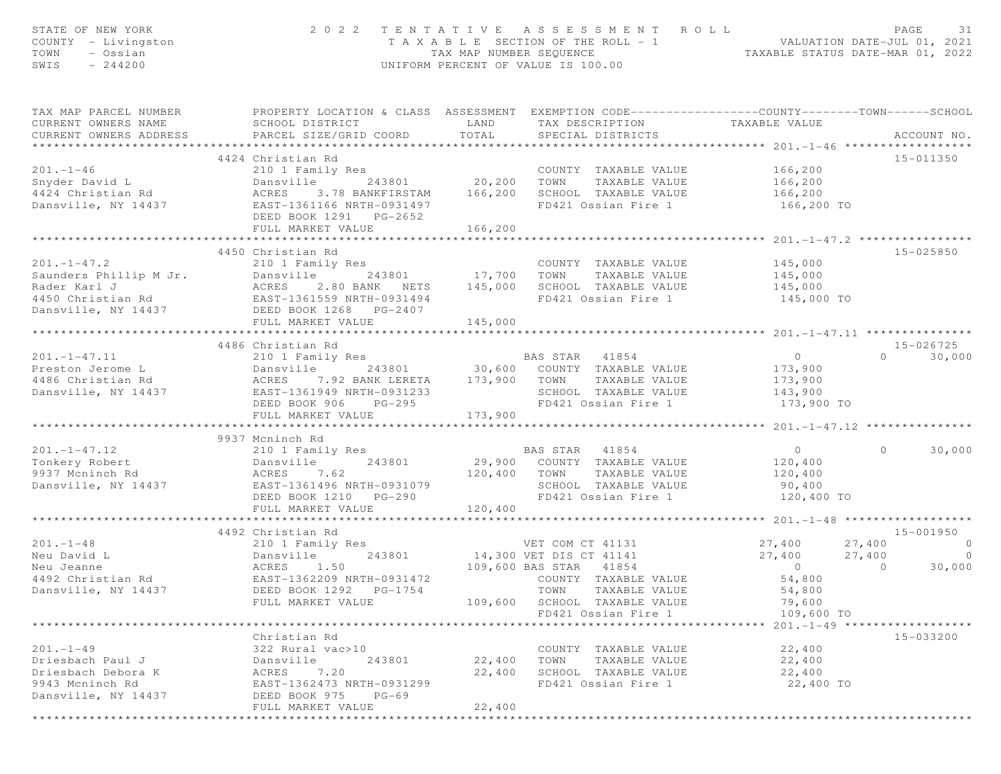| PROPERTY LOCATION & CLASS ASSESSMENT EXEMPTION CODE----------------COUNTY-------TOWN------SCHOOL<br>TAX MAP PARCEL NUMBER<br>CURRENT OWNERS NAME<br>SCHOOL DISTRICT<br>LAND<br>TAX DESCRIPTION<br>TAXABLE VALUE<br>TOTAL<br>CURRENT OWNERS ADDRESS<br>PARCEL SIZE/GRID COORD<br>SPECIAL DISTRICTS<br>4424 Christian Rd<br>15-011350<br>$201 - 1 - 46$<br>166,200<br>210 1 Family Res<br>COUNT<br>20,200 TOWN<br>COUNTY TAXABLE VALUE<br>Snyder David L<br>243801<br>Dansville<br>TAXABLE VALUE<br>166,200<br>SCHOOL TAXABLE VALUE<br>4424 Christian Rd<br>ACRES<br>3.78 BANKFIRSTAM<br>166,200<br>166,200<br>EAST-1361166 NRTH-0931497<br>FD421 Ossian Fire 1<br>Dansville, NY 14437<br>166,200 TO<br>DEED BOOK 1291 PG-2652<br>166,200<br>FULL MARKET VALUE<br>************<br>********************************<br>4450 Christian Rd<br>$15 - 025850$<br>$201. - 1 - 47.2$<br>COUNTY TAXABLE VALUE<br>210 1 Family Res<br>145,000<br>Saunders Phillip M Jr.<br>17,700<br>TOWN<br>TAXABLE VALUE<br>Dansville<br>243801<br>145,000<br>145,000<br>Rader Karl J<br>145,000<br>SCHOOL TAXABLE VALUE<br>ACRES<br>2.80 BANK NETS<br>1450 Christian Rd<br>2.00 DANN NEIS<br>2.00 DANN NEIS<br>2.00 DANN NEIS<br>2.00 DANN NEIS<br>2.00 DANN NEIS<br>2.00 DANN NEIS<br>2.00 DANN NEIS<br>2.00 DANN NEIS<br>2.00 DANN NEIS<br>FD421 Ossian Fire 1<br>EAST-1361559 NRTH-0931494<br>145,000 TO<br>145,000<br>FULL MARKET VALUE<br>4486 Christian Rd<br>15-026725<br>$201. -1 - 47.11$<br>BAS STAR 41854<br>$\overline{0}$<br>$\cap$<br>210 1 Family Res<br>243801 30,600 COUNTY TAXABLE VALUE<br>Preston Jerome L<br>Dansville<br>173,900<br>ACRES 7.92 BANK LERETA 173,900 TOWN<br>4486 Christian Rd<br>TAXABLE VALUE<br>173,900<br>Dansville, NY 14437<br>EAST-1361949 NRTH-0931233<br>SCHOOL TAXABLE VALUE<br>143,900<br>FD421 Ossian Fire 1<br>DEED BOOK 906 PG-295<br>173,900 TO<br>173,900<br>FULL MARKET VALUE<br>*************************<br>9937 Mcninch Rd<br>$201 - 1 - 47.12$<br>BAS STAR 41854<br>$\overline{0}$<br>$\Omega$<br>210 1 Family Res<br>29,900 COUNTY TAXABLE VALUE<br>Tonkery Robert<br>243801<br>120,400<br>Dansville<br>9937 Mcninch Rd<br>120,400<br>TOWN<br>TAXABLE VALUE<br>ACRES<br>7.62<br>120,400<br>Dansville, NY 14437<br>EAST-1361496 NRTH-0931079<br>SCHOOL TAXABLE VALUE<br>90,400<br>FD421 Ossian Fire 1<br>DEED BOOK 1210 PG-290<br>120,400 TO<br>120,400<br>FULL MARKET VALUE<br>************* 201.-1-48 *******************<br>4492 Christian Rd<br>15-001950<br>$201 - 1 - 48$<br>Res<br>243801 14,300 VET DIS CT 41141<br>27,400<br>27,400<br>210 1 Family Res<br>Neu David L<br>Dansville<br>27,400<br>27,400<br>$\overline{0}$<br>109,600 BAS STAR<br>$\Omega$<br>Neu Jeanne<br>ACRES<br>1.50<br>41854<br>4492 Christian Rd<br>EAST-1362209 NRTH-0931472<br>54,800<br>COUNTY TAXABLE VALUE<br>Dansville, NY 14437<br>DEED BOOK 1292 PG-1754<br>TOWN<br>TAXABLE VALUE<br>54,800<br>FULL MARKET VALUE<br>109,600<br>SCHOOL TAXABLE VALUE<br>79,600<br>FD421 Ossian Fire 1<br>109,600 TO<br>**************************<br>**********************<br>*****<br>$201 - 1 - 49$ *******************<br>Christian Rd<br>15-033200<br>$201. - 1 - 49$<br>22,400<br>322 Rural vac>10<br>COUNTY TAXABLE VALUE<br>Driesbach Paul J<br>Dansville<br>243801<br>22,400<br>TAXABLE VALUE<br>22,400<br>TOWN<br>7.20<br>Driesbach Debora K<br>ACRES<br>22,400<br>SCHOOL TAXABLE VALUE<br>22,400<br>9943 Mcninch Rd<br>EAST-1362473 NRTH-0931299<br>FD421 Ossian Fire 1<br>22,400 TO<br>Dansville, NY 14437<br>DEED BOOK 975<br>$PG-69$ | STATE OF NEW YORK<br>COUNTY - Livingston<br>TOWN<br>- Ossian<br>SWIS<br>$-244200$ | 2 0 2 2           | TAX MAP NUMBER SEOUENCE | TENTATIVE ASSESSMENT ROLL<br>T A X A B L E SECTION OF THE ROLL - 1<br>UNIFORM PERCENT OF VALUE IS 100.00 | ROLL - 1<br>TAXABLE STATUS DATE-MAR 01, 2022<br>TAXABLE STATUS DATE-MAR 01, 2022 | PAGE<br>31                    |
|-----------------------------------------------------------------------------------------------------------------------------------------------------------------------------------------------------------------------------------------------------------------------------------------------------------------------------------------------------------------------------------------------------------------------------------------------------------------------------------------------------------------------------------------------------------------------------------------------------------------------------------------------------------------------------------------------------------------------------------------------------------------------------------------------------------------------------------------------------------------------------------------------------------------------------------------------------------------------------------------------------------------------------------------------------------------------------------------------------------------------------------------------------------------------------------------------------------------------------------------------------------------------------------------------------------------------------------------------------------------------------------------------------------------------------------------------------------------------------------------------------------------------------------------------------------------------------------------------------------------------------------------------------------------------------------------------------------------------------------------------------------------------------------------------------------------------------------------------------------------------------------------------------------------------------------------------------------------------------------------------------------------------------------------------------------------------------------------------------------------------------------------------------------------------------------------------------------------------------------------------------------------------------------------------------------------------------------------------------------------------------------------------------------------------------------------------------------------------------------------------------------------------------------------------------------------------------------------------------------------------------------------------------------------------------------------------------------------------------------------------------------------------------------------------------------------------------------------------------------------------------------------------------------------------------------------------------------------------------------------------------------------------------------------------------------------------------------------------------------------------------------------------------------------------------------------------------------------------------------------------------------------------------------------------------------------------------------------------------------------------------------------------------------------------------------------------------------------------------------------------------------------------------------------------------------|-----------------------------------------------------------------------------------|-------------------|-------------------------|----------------------------------------------------------------------------------------------------------|----------------------------------------------------------------------------------|-------------------------------|
|                                                                                                                                                                                                                                                                                                                                                                                                                                                                                                                                                                                                                                                                                                                                                                                                                                                                                                                                                                                                                                                                                                                                                                                                                                                                                                                                                                                                                                                                                                                                                                                                                                                                                                                                                                                                                                                                                                                                                                                                                                                                                                                                                                                                                                                                                                                                                                                                                                                                                                                                                                                                                                                                                                                                                                                                                                                                                                                                                                                                                                                                                                                                                                                                                                                                                                                                                                                                                                                                                                                                                           |                                                                                   |                   |                         |                                                                                                          |                                                                                  | ACCOUNT NO.                   |
|                                                                                                                                                                                                                                                                                                                                                                                                                                                                                                                                                                                                                                                                                                                                                                                                                                                                                                                                                                                                                                                                                                                                                                                                                                                                                                                                                                                                                                                                                                                                                                                                                                                                                                                                                                                                                                                                                                                                                                                                                                                                                                                                                                                                                                                                                                                                                                                                                                                                                                                                                                                                                                                                                                                                                                                                                                                                                                                                                                                                                                                                                                                                                                                                                                                                                                                                                                                                                                                                                                                                                           |                                                                                   |                   |                         |                                                                                                          |                                                                                  |                               |
|                                                                                                                                                                                                                                                                                                                                                                                                                                                                                                                                                                                                                                                                                                                                                                                                                                                                                                                                                                                                                                                                                                                                                                                                                                                                                                                                                                                                                                                                                                                                                                                                                                                                                                                                                                                                                                                                                                                                                                                                                                                                                                                                                                                                                                                                                                                                                                                                                                                                                                                                                                                                                                                                                                                                                                                                                                                                                                                                                                                                                                                                                                                                                                                                                                                                                                                                                                                                                                                                                                                                                           |                                                                                   |                   |                         |                                                                                                          |                                                                                  |                               |
|                                                                                                                                                                                                                                                                                                                                                                                                                                                                                                                                                                                                                                                                                                                                                                                                                                                                                                                                                                                                                                                                                                                                                                                                                                                                                                                                                                                                                                                                                                                                                                                                                                                                                                                                                                                                                                                                                                                                                                                                                                                                                                                                                                                                                                                                                                                                                                                                                                                                                                                                                                                                                                                                                                                                                                                                                                                                                                                                                                                                                                                                                                                                                                                                                                                                                                                                                                                                                                                                                                                                                           |                                                                                   |                   |                         |                                                                                                          |                                                                                  |                               |
|                                                                                                                                                                                                                                                                                                                                                                                                                                                                                                                                                                                                                                                                                                                                                                                                                                                                                                                                                                                                                                                                                                                                                                                                                                                                                                                                                                                                                                                                                                                                                                                                                                                                                                                                                                                                                                                                                                                                                                                                                                                                                                                                                                                                                                                                                                                                                                                                                                                                                                                                                                                                                                                                                                                                                                                                                                                                                                                                                                                                                                                                                                                                                                                                                                                                                                                                                                                                                                                                                                                                                           |                                                                                   |                   |                         |                                                                                                          |                                                                                  | 30,000                        |
|                                                                                                                                                                                                                                                                                                                                                                                                                                                                                                                                                                                                                                                                                                                                                                                                                                                                                                                                                                                                                                                                                                                                                                                                                                                                                                                                                                                                                                                                                                                                                                                                                                                                                                                                                                                                                                                                                                                                                                                                                                                                                                                                                                                                                                                                                                                                                                                                                                                                                                                                                                                                                                                                                                                                                                                                                                                                                                                                                                                                                                                                                                                                                                                                                                                                                                                                                                                                                                                                                                                                                           |                                                                                   |                   |                         |                                                                                                          |                                                                                  |                               |
|                                                                                                                                                                                                                                                                                                                                                                                                                                                                                                                                                                                                                                                                                                                                                                                                                                                                                                                                                                                                                                                                                                                                                                                                                                                                                                                                                                                                                                                                                                                                                                                                                                                                                                                                                                                                                                                                                                                                                                                                                                                                                                                                                                                                                                                                                                                                                                                                                                                                                                                                                                                                                                                                                                                                                                                                                                                                                                                                                                                                                                                                                                                                                                                                                                                                                                                                                                                                                                                                                                                                                           |                                                                                   |                   |                         |                                                                                                          |                                                                                  | 30,000                        |
|                                                                                                                                                                                                                                                                                                                                                                                                                                                                                                                                                                                                                                                                                                                                                                                                                                                                                                                                                                                                                                                                                                                                                                                                                                                                                                                                                                                                                                                                                                                                                                                                                                                                                                                                                                                                                                                                                                                                                                                                                                                                                                                                                                                                                                                                                                                                                                                                                                                                                                                                                                                                                                                                                                                                                                                                                                                                                                                                                                                                                                                                                                                                                                                                                                                                                                                                                                                                                                                                                                                                                           |                                                                                   |                   |                         |                                                                                                          |                                                                                  |                               |
|                                                                                                                                                                                                                                                                                                                                                                                                                                                                                                                                                                                                                                                                                                                                                                                                                                                                                                                                                                                                                                                                                                                                                                                                                                                                                                                                                                                                                                                                                                                                                                                                                                                                                                                                                                                                                                                                                                                                                                                                                                                                                                                                                                                                                                                                                                                                                                                                                                                                                                                                                                                                                                                                                                                                                                                                                                                                                                                                                                                                                                                                                                                                                                                                                                                                                                                                                                                                                                                                                                                                                           |                                                                                   |                   |                         |                                                                                                          |                                                                                  | $\circ$<br>$\Omega$<br>30,000 |
|                                                                                                                                                                                                                                                                                                                                                                                                                                                                                                                                                                                                                                                                                                                                                                                                                                                                                                                                                                                                                                                                                                                                                                                                                                                                                                                                                                                                                                                                                                                                                                                                                                                                                                                                                                                                                                                                                                                                                                                                                                                                                                                                                                                                                                                                                                                                                                                                                                                                                                                                                                                                                                                                                                                                                                                                                                                                                                                                                                                                                                                                                                                                                                                                                                                                                                                                                                                                                                                                                                                                                           |                                                                                   |                   |                         |                                                                                                          |                                                                                  |                               |
|                                                                                                                                                                                                                                                                                                                                                                                                                                                                                                                                                                                                                                                                                                                                                                                                                                                                                                                                                                                                                                                                                                                                                                                                                                                                                                                                                                                                                                                                                                                                                                                                                                                                                                                                                                                                                                                                                                                                                                                                                                                                                                                                                                                                                                                                                                                                                                                                                                                                                                                                                                                                                                                                                                                                                                                                                                                                                                                                                                                                                                                                                                                                                                                                                                                                                                                                                                                                                                                                                                                                                           |                                                                                   | FULL MARKET VALUE | 22,400                  |                                                                                                          |                                                                                  |                               |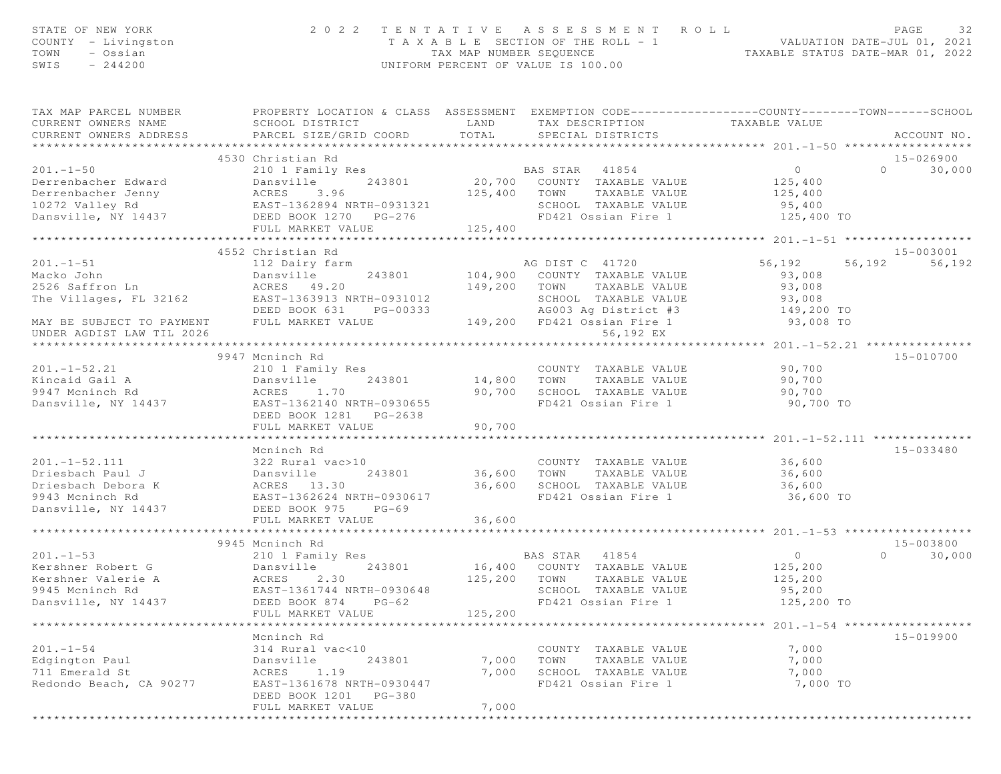| STATE OF NEW YORK<br>COUNTY - Livingston<br>- Ossian<br>TOWN<br>$-244200$<br>SWIS                                                                                                                                                |                                                                                                                                               |               | 2022 TENTATIVE ASSESSMENT ROLL<br>T A X A B L E SECTION OF THE ROLL - 1 VALUATION DATE-JUL 01, 2021<br>TAX MAP NUMBER SEQUENCE TAXABLE STATUS DATE-MAR 01, 2022<br>UNIFORM PERCENT OF VALUE IS 100.00 |                                                      | PAGE<br>32         |
|----------------------------------------------------------------------------------------------------------------------------------------------------------------------------------------------------------------------------------|-----------------------------------------------------------------------------------------------------------------------------------------------|---------------|-------------------------------------------------------------------------------------------------------------------------------------------------------------------------------------------------------|------------------------------------------------------|--------------------|
| TAX MAP PARCEL NUMBER<br>CURRENT OWNERS NAME<br>CURRENT OWNERS ADDRESS                                                                                                                                                           | PROPERTY LOCATION & CLASS ASSESSMENT EXEMPTION CODE----------------COUNTY-------TOWN------SCHOOL<br>SCHOOL DISTRICT<br>PARCEL SIZE/GRID COORD | LAND<br>TOTAL | TAX DESCRIPTION<br>SPECIAL DISTRICTS                                                                                                                                                                  | TAXABLE VALUE                                        | ACCOUNT NO.        |
|                                                                                                                                                                                                                                  | 4530 Christian Rd                                                                                                                             |               |                                                                                                                                                                                                       |                                                      | 15-026900          |
| $201 - 1 - 50$                                                                                                                                                                                                                   | 210 1 Family Res                                                                                                                              |               | <b>BAS STAR</b> 41854                                                                                                                                                                                 | $\overline{0}$                                       | $\Omega$<br>30,000 |
| 201.-1-50<br>Derrenbacher Edward<br>Derrenbacher Jenny<br>10272 Valley Rd<br>Dansville, NY 14437<br>Dansville, NY 14437<br>THE MADER OCK 1270 PG-276<br>THE MADER VALUE<br>THE MADER VALUE<br>THE MADER VALUE<br>THE MADER VALUE |                                                                                                                                               |               | 20,700 COUNTY TAXABLE VALUE                                                                                                                                                                           | 125,400                                              |                    |
|                                                                                                                                                                                                                                  |                                                                                                                                               |               | 125,400 TOWN TAXABLE VALUE                                                                                                                                                                            | 125,400                                              |                    |
|                                                                                                                                                                                                                                  |                                                                                                                                               |               | SCHOOL TAXABLE VALUE                                                                                                                                                                                  | 95,400                                               |                    |
|                                                                                                                                                                                                                                  |                                                                                                                                               |               | FD421 Ossian Fire 1                                                                                                                                                                                   | 125,400 TO                                           |                    |
|                                                                                                                                                                                                                                  | FULL MARKET VALUE                                                                                                                             | 125,400       |                                                                                                                                                                                                       |                                                      |                    |
|                                                                                                                                                                                                                                  |                                                                                                                                               |               |                                                                                                                                                                                                       |                                                      |                    |
|                                                                                                                                                                                                                                  | 4552 Christian Rd                                                                                                                             |               |                                                                                                                                                                                                       |                                                      | 15-003001          |
| $201 - 1 - 51$                                                                                                                                                                                                                   | 112 Dairy farm                                                                                                                                |               | AG DIST C 41720                                                                                                                                                                                       | 56,192<br>56,192                                     | 56,192             |
| Macko John                                                                                                                                                                                                                       | Dansville 243801                                                                                                                              |               | 104,900 COUNTY TAXABLE VALUE                                                                                                                                                                          | 93,008                                               |                    |
| 2526 Saffron Ln                                                                                                                                                                                                                  | ACRES 49.20<br>EAST-1363913 NRTH-0931012                                                                                                      | 149,200 TOWN  | TAXABLE VALUE<br>SCHOOL TAXABLE VALUE                                                                                                                                                                 | 93,008                                               |                    |
| The Villages, FL 32162                                                                                                                                                                                                           | DEED BOOK 631<br>PG-00333                                                                                                                     |               | AG003 Ag District #3 149,200 TO                                                                                                                                                                       | 93,008                                               |                    |
| MAY BE SUBJECT TO PAYMENT FULL MARKET VALUE                                                                                                                                                                                      |                                                                                                                                               |               | 149,200 FD421 Ossian Fire 1                                                                                                                                                                           | 93,008 TO                                            |                    |
| UNDER AGDIST LAW TIL 2026                                                                                                                                                                                                        |                                                                                                                                               |               | 56,192 EX                                                                                                                                                                                             |                                                      |                    |
|                                                                                                                                                                                                                                  |                                                                                                                                               |               |                                                                                                                                                                                                       |                                                      |                    |
|                                                                                                                                                                                                                                  | 9947 Mcninch Rd                                                                                                                               |               |                                                                                                                                                                                                       |                                                      | 15-010700          |
| $201. - 1 - 52.21$                                                                                                                                                                                                               | 210 1 Family Res                                                                                                                              |               | COUNTY TAXABLE VALUE                                                                                                                                                                                  | 90,700                                               |                    |
| Kincaid Gail A                                                                                                                                                                                                                   | Dansville<br>243801                                                                                                                           | 14,800 TOWN   | TAXABLE VALUE                                                                                                                                                                                         | 90,700                                               |                    |
| 9947 Mcninch Rd                                                                                                                                                                                                                  | ACRES 1.70                                                                                                                                    | 90,700        | SCHOOL TAXABLE VALUE                                                                                                                                                                                  | 90,700                                               |                    |
| Dansville, NY 14437                                                                                                                                                                                                              | EAST-1362140 NRTH-0930655                                                                                                                     |               | FD421 Ossian Fire 1                                                                                                                                                                                   | 90,700 TO                                            |                    |
|                                                                                                                                                                                                                                  | DEED BOOK 1281    PG-2638                                                                                                                     |               |                                                                                                                                                                                                       |                                                      |                    |
|                                                                                                                                                                                                                                  | FULL MARKET VALUE                                                                                                                             | 90,700        |                                                                                                                                                                                                       |                                                      |                    |
|                                                                                                                                                                                                                                  | **************************                                                                                                                    | **********    |                                                                                                                                                                                                       | ********************** 201.-1-52.111 *************** |                    |
|                                                                                                                                                                                                                                  | Mcninch Rd                                                                                                                                    |               |                                                                                                                                                                                                       |                                                      | 15-033480          |
| $201 - 1 - 52.111$                                                                                                                                                                                                               | 322 Rural vac>10                                                                                                                              |               | COUNTY TAXABLE VALUE                                                                                                                                                                                  | 36,600                                               |                    |
| Driesbach Paul J                                                                                                                                                                                                                 | 243801                                                                                                                                        | 36,600        | TOWN<br>TAXABLE VALUE                                                                                                                                                                                 | 36,600                                               |                    |
| Driesbach Debora K                                                                                                                                                                                                               |                                                                                                                                               | 36,600        | SCHOOL TAXABLE VALUE 36,600                                                                                                                                                                           |                                                      |                    |
| 9943 Mcninch Rd<br>Dansville, NY 14437                                                                                                                                                                                           | 322<br>Dansville<br>ACRES 13.30<br>EAST-1362624<br>PEED BOOK 97<br>EAST-1362624 NRTH-0930617<br>$PG-69$                                       |               | FD421 Ossian Fire 1                                                                                                                                                                                   | 36,600 TO                                            |                    |
|                                                                                                                                                                                                                                  | FULL MARKET VALUE                                                                                                                             | 36,600        |                                                                                                                                                                                                       |                                                      |                    |
|                                                                                                                                                                                                                                  |                                                                                                                                               |               |                                                                                                                                                                                                       |                                                      |                    |
|                                                                                                                                                                                                                                  | 9945 Mcninch Rd                                                                                                                               |               |                                                                                                                                                                                                       |                                                      | $15 - 003800$      |
| $201 - 1 - 53$                                                                                                                                                                                                                   | 210 1 Family Res                                                                                                                              |               | BAS STAR 41854                                                                                                                                                                                        | $\overline{0}$                                       | $\Omega$<br>30,000 |
| Kershner Robert G                                                                                                                                                                                                                | 243801<br>Dansville                                                                                                                           |               | 16,400 COUNTY TAXABLE VALUE                                                                                                                                                                           | 125,200                                              |                    |
| Kershner Valerie A                                                                                                                                                                                                               | ACRES 2.30                                                                                                                                    |               | 125,200 TOWN<br>TAXABLE VALUE                                                                                                                                                                         | 125,200                                              |                    |
| 9945 Mcninch Rd                                                                                                                                                                                                                  | EAST-1361744 NRTH-0930648                                                                                                                     |               | SCHOOL TAXABLE VALUE                                                                                                                                                                                  | 95,200                                               |                    |
| Dansville, NY 14437                                                                                                                                                                                                              | DEED BOOK 874<br>$PG-62$                                                                                                                      |               | FD421 Ossian Fire 1                                                                                                                                                                                   | 125,200 TO                                           |                    |
|                                                                                                                                                                                                                                  | FULL MARKET VALUE                                                                                                                             | 125,200       |                                                                                                                                                                                                       |                                                      |                    |
|                                                                                                                                                                                                                                  |                                                                                                                                               |               |                                                                                                                                                                                                       |                                                      |                    |
|                                                                                                                                                                                                                                  | Mcninch Rd                                                                                                                                    |               |                                                                                                                                                                                                       |                                                      | 15-019900          |
| $201. - 1 - 54$                                                                                                                                                                                                                  | 314 Rural vac<10                                                                                                                              |               | COUNTY TAXABLE VALUE                                                                                                                                                                                  | 7,000                                                |                    |
| Edgington Paul                                                                                                                                                                                                                   | Dansville<br>243801                                                                                                                           | 7,000         | TAXABLE VALUE<br>TOWN                                                                                                                                                                                 | 7,000                                                |                    |
| 711 Emerald St                                                                                                                                                                                                                   | 1.19<br>ACRES                                                                                                                                 | 7,000         | SCHOOL TAXABLE VALUE                                                                                                                                                                                  | 7,000                                                |                    |
| Redondo Beach, CA 90277                                                                                                                                                                                                          | EAST-1361678 NRTH-0930447                                                                                                                     |               | FD421 Ossian Fire 1                                                                                                                                                                                   | 7,000 TO                                             |                    |
|                                                                                                                                                                                                                                  | DEED BOOK 1201 PG-380                                                                                                                         | 7,000         |                                                                                                                                                                                                       |                                                      |                    |
|                                                                                                                                                                                                                                  | FULL MARKET VALUE                                                                                                                             |               |                                                                                                                                                                                                       |                                                      |                    |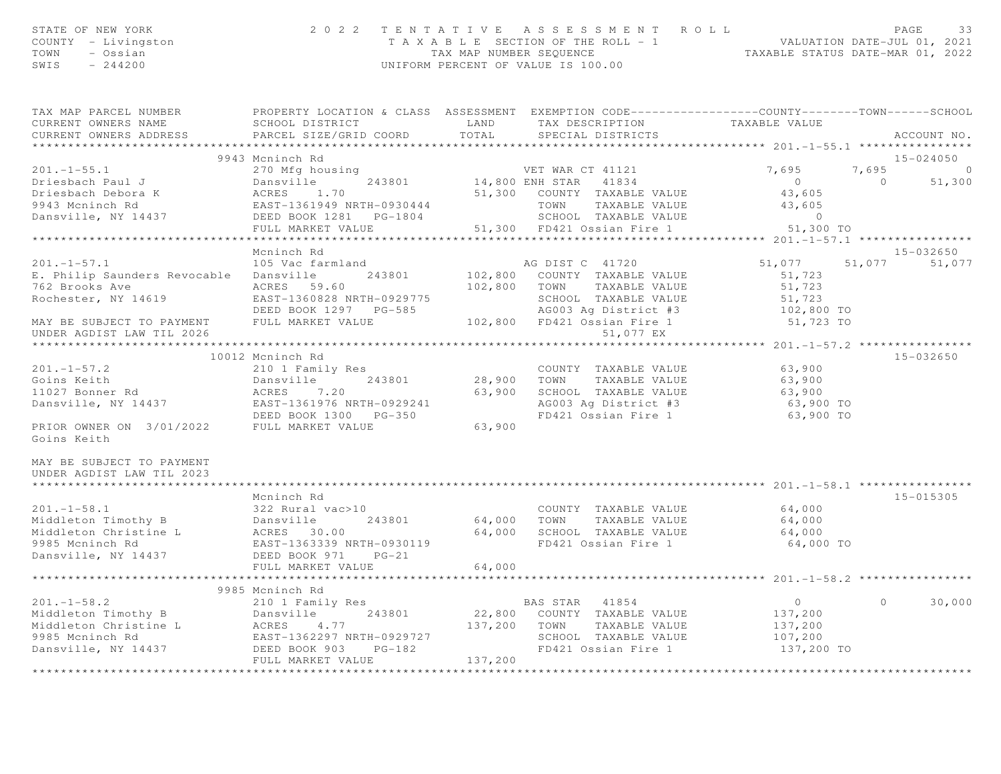| STATE OF NEW YORK<br>COUNTY - Livingston<br>TOWN - Ossian<br>SWIS $-244200$                                                                   |                              | 2022 TENTATIVE ASSESSMENT ROLL<br>TAXABLE SECTION OF THE ROLL - 1<br>TAXABLE STATUS DATE-JUL 01, 2021<br>TAXABLE STATUS DATE-MAR 01, 2022<br>UNIFORM PERCENT OF VALUE IS 100.00                                                                              |                            | PAGE<br>33            |
|-----------------------------------------------------------------------------------------------------------------------------------------------|------------------------------|--------------------------------------------------------------------------------------------------------------------------------------------------------------------------------------------------------------------------------------------------------------|----------------------------|-----------------------|
| CURRENT OWNERS NAME<br>CURRENT OWNERS ADDRESS                                                                                                 | PARCEL SIZE/GRID COORD TOTAL | TAX MAP PARCEL NUMBER <b>The PROPERTY LOCATION &amp; CLASS</b> ASSESSMENT EXEMPTION CODE---------------COUNTY-------TOWN------SCHOOL<br>SCHOOL DISTRICT                   LAND        TAX DESCRIPTION                TAXABLE VALUE<br>SPECIAL DISTRICTS      |                            | ACCOUNT NO.           |
|                                                                                                                                               |                              |                                                                                                                                                                                                                                                              |                            |                       |
|                                                                                                                                               | 9943 Mcninch Rd              |                                                                                                                                                                                                                                                              |                            | 15-024050             |
|                                                                                                                                               |                              |                                                                                                                                                                                                                                                              |                            | $7,695$ 0<br>0 51,300 |
|                                                                                                                                               |                              |                                                                                                                                                                                                                                                              |                            |                       |
|                                                                                                                                               |                              |                                                                                                                                                                                                                                                              |                            |                       |
|                                                                                                                                               |                              |                                                                                                                                                                                                                                                              |                            |                       |
|                                                                                                                                               |                              |                                                                                                                                                                                                                                                              |                            |                       |
|                                                                                                                                               |                              |                                                                                                                                                                                                                                                              |                            |                       |
|                                                                                                                                               | Mcninch Rd                   |                                                                                                                                                                                                                                                              |                            | 15-032650             |
| $201. -1 - 57.1$                                                                                                                              | 105 Vac farmland             | AG DIST C 41720                                                                                                                                                                                                                                              | 51,077 51,077 51,077       |                       |
|                                                                                                                                               |                              | E. Philip Saunders Revocable Dansville 243801 102,800 COUNTY TAXABLE VALUE                                                                                                                                                                                   | 51,723                     |                       |
|                                                                                                                                               |                              | 102,800 TOWN TAXABLE VALUE                                                                                                                                                                                                                                   | 51,723                     |                       |
|                                                                                                                                               |                              |                                                                                                                                                                                                                                                              |                            |                       |
|                                                                                                                                               |                              |                                                                                                                                                                                                                                                              |                            |                       |
|                                                                                                                                               |                              | Rochester, NY 14619<br>Reast-1360828 NRTH-0929775<br>DEED BOOK 1297 PG-585<br>MAY BE SUBJECT TO PAYMENT FULL MARKET VALUE 102,800 FD421 Ossian Fire 1 51,723 TO<br>UNDER AGDIST LAW TIL 2026<br>UNDER AGDIST LAW TIL 2026<br>TRAABLE VALUE                   |                            |                       |
|                                                                                                                                               |                              |                                                                                                                                                                                                                                                              |                            |                       |
|                                                                                                                                               |                              |                                                                                                                                                                                                                                                              |                            |                       |
| $201. -1 - 57.2$                                                                                                                              | 10012 Mcninch Rd             |                                                                                                                                                                                                                                                              |                            | 15-032650             |
|                                                                                                                                               |                              | 210 1 Family Res<br>210 1 Family Res<br>Dansville 243801 28,900 TOWN TAXABLE VALUE<br>COUNTY TAXABLE VALUE 63,900<br>TOWN TAXABLE VALUE 63,900                                                                                                               |                            |                       |
| 11027 Bonner Rd                                                                                                                               |                              |                                                                                                                                                                                                                                                              |                            |                       |
| Goins Keith<br>11027 Bonner Rd<br>243801<br>243801<br>2437<br>260 BAST-1361976 NRTH-0929241                                                   |                              | 28,900 IOWN IAXABLE VALUE 63,900<br>63,900 SCHOOL TAXABLE VALUE 63,900<br>AG003 Ag District #3 63,900 TO                                                                                                                                                     |                            |                       |
|                                                                                                                                               |                              | FD421 Ossian Fire 1                                                                                                                                                                                                                                          | 63,900 TO                  |                       |
| Dansville, NY 14437<br>EAST-1361976 NRTH-0929241<br>DEED BOOK 1300 PG-350<br>PRIOR OWNER ON 3/01/2022 FULL MARKET VALUE 63,900<br>Goins Keith |                              |                                                                                                                                                                                                                                                              |                            |                       |
| MAY BE SUBJECT TO PAYMENT<br>UNDER AGDIST LAW TIL 2023                                                                                        |                              |                                                                                                                                                                                                                                                              |                            |                       |
|                                                                                                                                               |                              |                                                                                                                                                                                                                                                              |                            |                       |
|                                                                                                                                               | Mcninch Rd                   |                                                                                                                                                                                                                                                              |                            | 15-015305             |
|                                                                                                                                               |                              |                                                                                                                                                                                                                                                              |                            |                       |
|                                                                                                                                               |                              |                                                                                                                                                                                                                                                              |                            |                       |
|                                                                                                                                               |                              |                                                                                                                                                                                                                                                              | 64,000 TO                  |                       |
| 9985 Mcninch Rd<br>Dansville, NY 14437                                                                                                        | DEED BOOK 971 PG-21          |                                                                                                                                                                                                                                                              |                            |                       |
|                                                                                                                                               | FULL MARKET VALUE            | 64,000                                                                                                                                                                                                                                                       |                            |                       |
|                                                                                                                                               |                              | **************                                                                                                                                                                                                                                               |                            |                       |
|                                                                                                                                               | 9985 Mcninch Rd              |                                                                                                                                                                                                                                                              |                            |                       |
|                                                                                                                                               |                              | 201.-1-58.2<br>Middleton Timothy B 22,800<br>Middleton Christine L 2018 243801<br>Middleton Christine L 202,800 COUNTY TAXABLE VALUE<br>Middleton Christine L 2CRES 4.77<br>22,800 COUNTY TAXABLE VALUE<br>Middleton Christine L 2CRES 4.7<br>BAS STAR 41854 | $0$<br>137,200<br>$\Omega$ | 30,000                |
|                                                                                                                                               |                              |                                                                                                                                                                                                                                                              |                            |                       |
|                                                                                                                                               |                              |                                                                                                                                                                                                                                                              | 137,200                    |                       |
|                                                                                                                                               |                              |                                                                                                                                                                                                                                                              | 107,200                    |                       |
| Dansville, NY 14437                                                                                                                           | FULL MARKET VALUE            | FD421 Ossian Fire 1 137,200 TO<br>137,200                                                                                                                                                                                                                    |                            |                       |

\*\*\*\*\*\*\*\*\*\*\*\*\*\*\*\*\*\*\*\*\*\*\*\*\*\*\*\*\*\*\*\*\*\*\*\*\*\*\*\*\*\*\*\*\*\*\*\*\*\*\*\*\*\*\*\*\*\*\*\*\*\*\*\*\*\*\*\*\*\*\*\*\*\*\*\*\*\*\*\*\*\*\*\*\*\*\*\*\*\*\*\*\*\*\*\*\*\*\*\*\*\*\*\*\*\*\*\*\*\*\*\*\*\*\*\*\*\*\*\*\*\*\*\*\*\*\*\*\*\*\*\*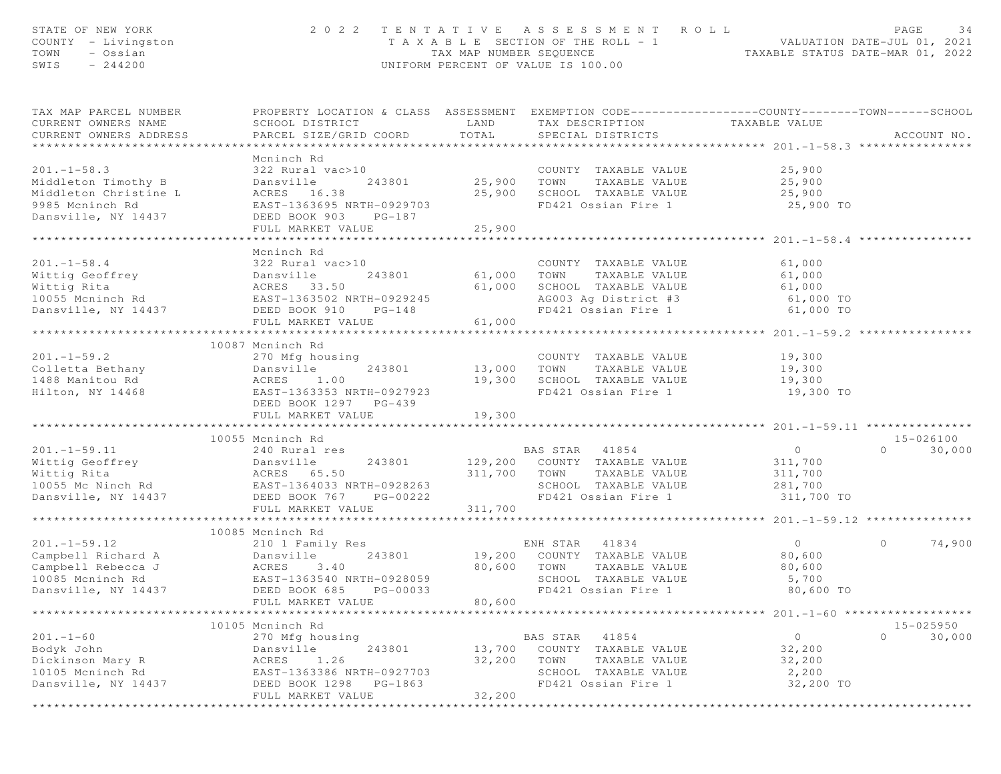| STATE OF NEW YORK<br>COUNTY - Livingston<br>TOWN<br>- Ossian<br>$-244200$<br>SWIS                          |                                                                                                                                                             | TAX MAP NUMBER SEQUENCE    | 2022 TENTATIVE ASSESSMENT ROLL<br>T A X A B L E SECTION OF THE ROLL - 1<br>UNIFORM PERCENT OF VALUE IS 100.00            | ROLL - 1<br>TAXABLE STATUS DATE-MAR 01, 2022<br>TAXABLE STATUS DATE-MAR 01, 2022 | PAGE<br>34                      |
|------------------------------------------------------------------------------------------------------------|-------------------------------------------------------------------------------------------------------------------------------------------------------------|----------------------------|--------------------------------------------------------------------------------------------------------------------------|----------------------------------------------------------------------------------|---------------------------------|
| TAX MAP PARCEL NUMBER<br>CURRENT OWNERS NAME<br>CURRENT OWNERS ADDRESS                                     | PROPERTY LOCATION & CLASS ASSESSMENT EXEMPTION CODE----------------COUNTY-------TOWN------SCHOOL<br>SCHOOL DISTRICT<br>PARCEL SIZE/GRID COORD               | LAND<br>TOTAL              | TAX DESCRIPTION<br>SPECIAL DISTRICTS                                                                                     | TAXABLE VALUE                                                                    | ACCOUNT NO.                     |
|                                                                                                            |                                                                                                                                                             |                            |                                                                                                                          |                                                                                  |                                 |
| $201. -1 - 58.3$<br>Middleton Timothy B<br>Middleton Christine L<br>9985 Mcninch Rd<br>Dansville, NY 14437 | Mcninch Rd<br>322 Rural vac>10<br>243801<br>Dansville<br>ACRES 16.38<br>EAST-1363695 NRTH-0929703<br>DEED BOOK 903<br>PG-187<br>FULL MARKET VALUE           | 25,900<br>25,900<br>25,900 | COUNTY TAXABLE VALUE<br>TOWN<br>TAXABLE VALUE<br>SCHOOL TAXABLE VALUE<br>FD421 Ossian Fire 1                             | 25,900<br>25,900<br>25,900<br>25,900 TO                                          |                                 |
|                                                                                                            | *******************                                                                                                                                         | **********                 |                                                                                                                          | $********************201.-1-58.4***$                                             |                                 |
| $201. -1 - 58.4$<br>Wittig Geoffrey<br>Wittig Rita<br>10055 Mcninch Rd<br>Dansville, NY 14437              | Mcninch Rd<br>322 Rural vac>10<br>243801<br>Dansville<br>ACRES 33.50<br>EAST-1363502 NRTH-0929245<br>DEED BOOK 910<br>$PG-148$<br>FULL MARKET VALUE         | 61,000<br>61,000<br>61,000 | COUNTY TAXABLE VALUE<br>TAXABLE VALUE<br>TOWN<br>SCHOOL TAXABLE VALUE<br>AG003 Ag District #3<br>FD421 Ossian Fire 1     | 61,000<br>61,000<br>61,000<br>61,000 TO<br>61,000 TO                             |                                 |
|                                                                                                            |                                                                                                                                                             |                            |                                                                                                                          |                                                                                  |                                 |
| $201. -1 - 59.2$<br>Colletta Bethany<br>1488 Manitou Rd<br>Hilton, NY 14468                                | 10087 Mcninch Rd<br>270 Mfg housing<br>243801<br>Dansville<br>ACRES<br>1.00<br>EAST-1363353 NRTH-0927923<br>DEED BOOK 1297 PG-439                           | 13,000<br>19,300           | COUNTY TAXABLE VALUE<br>TOWN<br>TAXABLE VALUE<br>SCHOOL TAXABLE VALUE<br>FD421 Ossian Fire 1                             | 19,300<br>19,300<br>19,300<br>19,300 TO                                          |                                 |
|                                                                                                            | FULL MARKET VALUE                                                                                                                                           | 19,300                     |                                                                                                                          |                                                                                  |                                 |
| $201. -1 - 59.11$<br>Wittig Geoffrey<br>Wittig Rita<br>10055 Mc Ninch Rd                                   | 10055 Mcninch Rd<br>240 Rural res<br>Dansville<br>243801<br>ACRES 65.50<br>EAST-1364033 NRTH-0928263                                                        | 311,700                    | BAS STAR 41854<br>129,200 COUNTY TAXABLE VALUE<br>TOWN<br>TAXABLE VALUE<br>SCHOOL TAXABLE VALUE                          | $\overline{0}$<br>311,700<br>311,700<br>281,700                                  | 15-026100<br>$\Omega$<br>30,000 |
| Dansville, NY 14437                                                                                        | DEED BOOK 767<br>PG-00222<br>FULL MARKET VALUE                                                                                                              | 311,700                    | FD421 Ossian Fire 1                                                                                                      | 311,700 TO                                                                       |                                 |
|                                                                                                            | ************************                                                                                                                                    |                            |                                                                                                                          |                                                                                  |                                 |
| $201 - 1 - 59.12$<br>Campbell Richard A<br>Campbell Rebecca J<br>10085 Mcninch Rd<br>Dansville, NY 14437   | 10085 Mcninch Rd<br>210 1 Family Res<br>Dansville<br>243801<br>ACRES<br>3.40<br>EAST-1363540 NRTH-0928059<br>DEED BOOK 685<br>PG-00033<br>FULL MARKET VALUE | 80,600<br>80,600           | ENH STAR<br>41834<br>19,200 COUNTY TAXABLE VALUE<br>TOWN<br>TAXABLE VALUE<br>SCHOOL TAXABLE VALUE<br>FD421 Ossian Fire 1 | $\overline{0}$<br>80,600<br>80,600<br>5,700<br>80,600 TO                         | $\circ$<br>74,900               |
|                                                                                                            | 10105 Mcninch Rd                                                                                                                                            |                            |                                                                                                                          | ******************** 201.-1-60 ******                                            | 15-025950                       |
| $201. - 1 - 60$<br>Bodyk John<br>Dickinson Mary R<br>10105 Mcninch Rd<br>Dansville, NY 14437               | 270 Mfg housing<br>243801<br>Dansville<br>ACRES<br>1.26<br>EAST-1363386 NRTH-0927703<br>DEED BOOK 1298<br>PG-1863<br>FULL MARKET VALUE                      | 13,700<br>32,200<br>32,200 | 41854<br>BAS STAR<br>COUNTY<br>TAXABLE VALUE<br>TOWN<br>TAXABLE VALUE<br>SCHOOL TAXABLE VALUE<br>FD421 Ossian Fire 1     | $\circ$<br>32,200<br>32,200<br>2,200<br>32,200 TO                                | $\circ$<br>30,000               |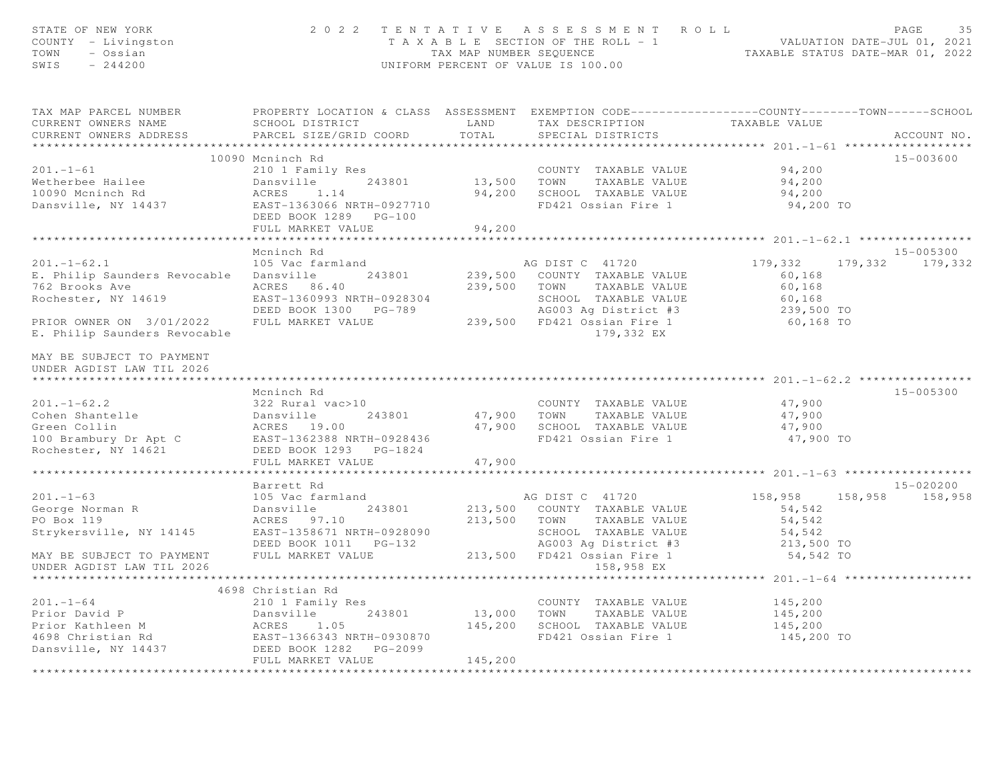| STATE OF NEW YORK<br>COUNTY - Livingston<br>TOWN - Ossian<br>SWIS<br>$-244200$                                                                                                                                                                                     |                                                                                                                          |                             | 2022 TENTATIVE ASSESSMENT ROLL PAGE 35<br>TAXABLE SECTION OF THE ROLL - 1<br>TAX MAP NUMBER SEQUENCE TAXABLE STATUS DATE-MAR 01, 2022<br>UNIFORM PERCENT OF VALUE IS 100.00 |                         |               |
|--------------------------------------------------------------------------------------------------------------------------------------------------------------------------------------------------------------------------------------------------------------------|--------------------------------------------------------------------------------------------------------------------------|-----------------------------|-----------------------------------------------------------------------------------------------------------------------------------------------------------------------------|-------------------------|---------------|
| TAX MAP PARCEL NUMBER THE PROPERTY LOCATION & CLASS ASSESSMENT EXEMPTION CODE--------------COUNTY-------TOWN------SCHOOL<br>CURRENT OWNERS NAME                                                                                                                    | SCHOOL DISTRICT                      LAND        TAX DESCRIPTION                TAXABLE VALUE                            |                             |                                                                                                                                                                             |                         |               |
| CURRENT OWNERS ADDRESS                                                                                                                                                                                                                                             | PARCEL SIZE/GRID COORD                                                                                                   | TOTAL                       | SPECIAL DISTRICTS                                                                                                                                                           |                         | ACCOUNT NO.   |
|                                                                                                                                                                                                                                                                    |                                                                                                                          |                             |                                                                                                                                                                             |                         |               |
| $201 - 1 - 61$                                                                                                                                                                                                                                                     | 10090 Mcninch Rd<br>210 1 Family Res                                                                                     |                             |                                                                                                                                                                             |                         | 15-003600     |
|                                                                                                                                                                                                                                                                    |                                                                                                                          |                             | COUNTY TAXABLE VALUE 94,200<br>13,500 TOWN TAXABLE VALUE                                                                                                                    | 94,200                  |               |
|                                                                                                                                                                                                                                                                    |                                                                                                                          |                             | 94,200 SCHOOL TAXABLE VALUE                                                                                                                                                 | 94,200                  |               |
| Wetherbee Hailee<br>10090 Mcninch Rd<br>Dansville, NY 14437<br>243801<br>20090 Mcninch Rd<br>20090 Mcninch Rd<br>20090 Mcninch Rd<br>20090 Mcninch Rd<br>20090 Mcninch Rd<br>20090 Mcninch Rd<br>20090 Mcninch Rd<br>20090 Mcninch Rd<br>20090 Mcninch             |                                                                                                                          |                             | FD421 Ossian Fire 1                                                                                                                                                         | 94,200 TO               |               |
|                                                                                                                                                                                                                                                                    | DEED BOOK 1289 PG-100                                                                                                    |                             |                                                                                                                                                                             |                         |               |
|                                                                                                                                                                                                                                                                    | FULL MARKET VALUE                                                                                                        | 94,200                      |                                                                                                                                                                             |                         |               |
|                                                                                                                                                                                                                                                                    |                                                                                                                          | ************                |                                                                                                                                                                             |                         |               |
|                                                                                                                                                                                                                                                                    | Mcninch Rd                                                                                                               |                             |                                                                                                                                                                             |                         | 15-005300     |
| $201. - 1 - 62.1$                                                                                                                                                                                                                                                  | 105 Vac farmland                                                                                                         |                             | AG DIST C 41720                                                                                                                                                             | 179,332 179,332 179,332 |               |
| E. Philip Saunders Revocable Dansville                                                                                                                                                                                                                             |                                                                                                                          |                             | 243801 239,500 COUNTY TAXABLE VALUE                                                                                                                                         | 60, 168                 |               |
| 762 Brooks Ave                                                                                                                                                                                                                                                     | ACRES 86.40                                                                                                              |                             | 239,500 TOWN TAXABLE VALUE                                                                                                                                                  | 60,168                  |               |
| Rochester, NY 14619                                                                                                                                                                                                                                                |                                                                                                                          |                             |                                                                                                                                                                             | 60,168                  |               |
| PRIOR OWNER ON 3/01/2022                                                                                                                                                                                                                                           | EAST-1360993 NRTH-0928304<br>DEED BOOK 1300 PG-789 AG003 Ag District #3<br>FULL MARKET VALUE 239,500 FD421 Ossian Fire 1 |                             | AG003 Ag District #3                                                                                                                                                        | 239,500 TO<br>60,168 TO |               |
| E. Philip Saunders Revocable                                                                                                                                                                                                                                       |                                                                                                                          |                             | 179,332 EX                                                                                                                                                                  |                         |               |
| MAY BE SUBJECT TO PAYMENT<br>UNDER AGDIST LAW TIL 2026                                                                                                                                                                                                             |                                                                                                                          |                             |                                                                                                                                                                             |                         |               |
|                                                                                                                                                                                                                                                                    | Mcninch Rd                                                                                                               |                             |                                                                                                                                                                             |                         | 15-005300     |
|                                                                                                                                                                                                                                                                    |                                                                                                                          |                             | COUNTY TAXABLE VALUE                                                                                                                                                        | 47,900                  |               |
|                                                                                                                                                                                                                                                                    |                                                                                                                          |                             | 47,900 SCHOOL TAXABLE VALUE                                                                                                                                                 | 47,900                  |               |
|                                                                                                                                                                                                                                                                    |                                                                                                                          |                             | FD421 Ossian Fire 1                                                                                                                                                         | 47,900<br>47,900 TO     |               |
| 201.-1-62.2<br>Cohen Shantelle<br>Green Collin<br>Green Collin<br>100 Brambury Dr Apt C<br>Rochester, NY 14621<br>201.-1-62.2<br>243801<br>243801<br>243801<br>243801<br>243801<br>243801<br>243801<br>243801<br>243801<br>243801<br>243801<br>252D BOED BOOK 1293 |                                                                                                                          |                             |                                                                                                                                                                             |                         |               |
|                                                                                                                                                                                                                                                                    | FULL MARKET VALUE                                                                                                        | 47,900                      |                                                                                                                                                                             |                         |               |
|                                                                                                                                                                                                                                                                    |                                                                                                                          |                             |                                                                                                                                                                             |                         |               |
|                                                                                                                                                                                                                                                                    | Barrett Rd                                                                                                               |                             |                                                                                                                                                                             |                         | $15 - 020200$ |
| $201. -1-63$                                                                                                                                                                                                                                                       | 105 Vac farmland                                                                                                         |                             | AG DIST C 41720                                                                                                                                                             | 158,958 158,958 158,958 |               |
| George Norman R<br>PO Box 119                                                                                                                                                                                                                                      | Dansville<br>243801                                                                                                      |                             | 213,500 COUNTY TAXABLE VALUE                                                                                                                                                | 54,542                  |               |
| PO Box 119                                                                                                                                                                                                                                                         | ACRES 97.10                                                                                                              |                             | 213,500 TOWN TAXABLE VALUE                                                                                                                                                  | 54,542                  |               |
| 54,542<br>Strykersville, NY 14145 EAST-1358671 NRTH-0928090<br>DEED BOOK 1011 PG-132 AG003 Ag District #3 213,500 TO<br>MAY BE SUBJECT TO PAYMENT FULL MARKET VALUE 213,500 FD421 Osian Fire 1 54,542 TO                                                           |                                                                                                                          |                             |                                                                                                                                                                             |                         |               |
|                                                                                                                                                                                                                                                                    |                                                                                                                          |                             |                                                                                                                                                                             |                         |               |
| UNDER AGDIST LAW TIL 2026                                                                                                                                                                                                                                          |                                                                                                                          |                             | 158,958 EX                                                                                                                                                                  |                         |               |
|                                                                                                                                                                                                                                                                    |                                                                                                                          |                             |                                                                                                                                                                             |                         |               |
|                                                                                                                                                                                                                                                                    | 4698 Christian Rd                                                                                                        |                             |                                                                                                                                                                             |                         |               |
| $201 - 1 - 64$                                                                                                                                                                                                                                                     | 210 1 Family Res                                                                                                         |                             | COUNTY TAXABLE VALUE                                                                                                                                                        | 145,200                 |               |
|                                                                                                                                                                                                                                                                    |                                                                                                                          |                             | 13,000 TOWN TAXABLE VALUE<br>145,200 SCHOOL TAXABLE VALUE                                                                                                                   | 145,200                 |               |
|                                                                                                                                                                                                                                                                    |                                                                                                                          |                             |                                                                                                                                                                             | 145,200                 |               |
|                                                                                                                                                                                                                                                                    |                                                                                                                          |                             | FD421 Ossian Fire 1                                                                                                                                                         | 145,200 TO              |               |
|                                                                                                                                                                                                                                                                    |                                                                                                                          |                             |                                                                                                                                                                             |                         |               |
|                                                                                                                                                                                                                                                                    | FULL MARKET VALUE<br>***************************                                                                         | 145,200<br>**************** |                                                                                                                                                                             |                         |               |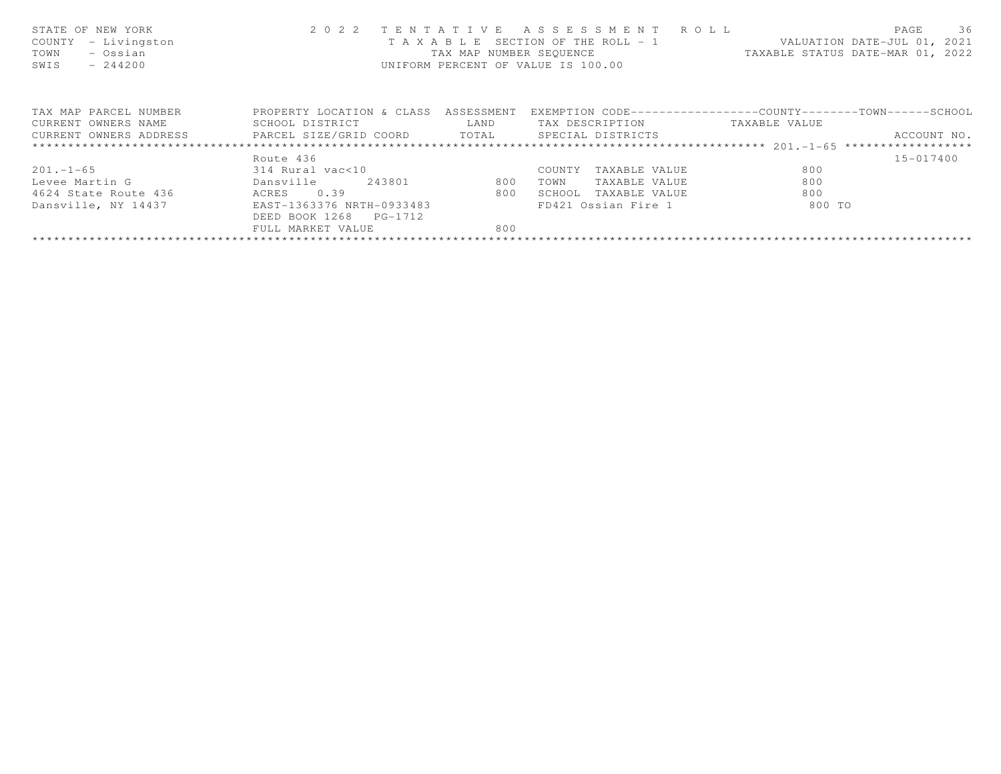| STATE OF NEW YORK<br>- Livingston<br>COUNTY<br>- Ossian<br>TOWN<br>SWIS<br>$-244200$ | 2 0 2 2                              | UNIFORM PERCENT OF VALUE IS 100.00 | TENTATIVE ASSESSMENT ROLL     | T A X A B L E SECTION OF THE ROLL - 1 VALUATION DATE-JUL 01, 2021<br>TAX MAP NUMBER SEQUENCE TAXABLE STATUS DATE-MAR 01, 2022 | 36<br>PAGE  |
|--------------------------------------------------------------------------------------|--------------------------------------|------------------------------------|-------------------------------|-------------------------------------------------------------------------------------------------------------------------------|-------------|
| TAX MAP PARCEL NUMBER                                                                | PROPERTY LOCATION & CLASS ASSESSMENT |                                    |                               | EXEMPTION CODE-----------------COUNTY-------TOWN------SCHOOL                                                                  |             |
| CURRENT OWNERS NAME                                                                  | SCHOOL DISTRICT                      | LAND                               | TAX DESCRIPTION TAXABLE VALUE |                                                                                                                               |             |
| CURRENT OWNERS ADDRESS <b>EXELL SIZE/GRID COORD</b> TOTAL SPECIAL DISTRICTS          |                                      |                                    |                               |                                                                                                                               | ACCOUNT NO. |
|                                                                                      |                                      |                                    |                               |                                                                                                                               |             |
|                                                                                      | Route 436                            |                                    |                               |                                                                                                                               | 15-017400   |
| $201 - 1 - 65$                                                                       | 314 Rural vac<10                     |                                    | COUNTY<br>TAXABLE VALUE       | 800                                                                                                                           |             |
| Levee Martin G                                                                       | Dansville<br>243801                  | 800                                | TOWN<br>TAXABLE VALUE         | 800                                                                                                                           |             |
| 4624 State Route 436                                                                 | ACRES 0.39                           | 800                                | SCHOOL<br>TAXABLE VALUE       | 800                                                                                                                           |             |
| Dansville, NY 14437                                                                  | EAST-1363376 NRTH-0933483            |                                    | FD421 Ossian Fire 1           | 800 TO                                                                                                                        |             |
|                                                                                      | DEED BOOK 1268 PG-1712               |                                    |                               |                                                                                                                               |             |
|                                                                                      | FULL MARKET VALUE                    | 800                                |                               |                                                                                                                               |             |
|                                                                                      |                                      |                                    |                               |                                                                                                                               |             |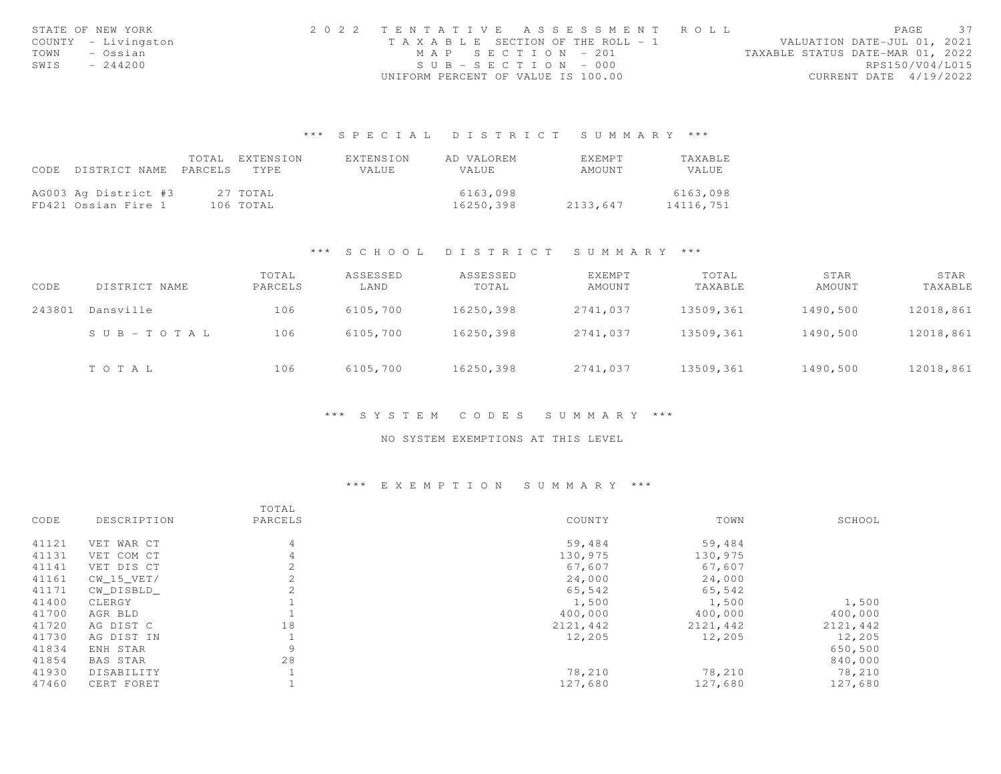| STATE OF NEW YORK |                     | 2022 TENTATIVE ASSESSMENT ROLL     |  |  |                                  |                        | PAGE | 37 |
|-------------------|---------------------|------------------------------------|--|--|----------------------------------|------------------------|------|----|
|                   | COUNTY - Livingston | TAXABLE SECTION OF THE ROLL - 1    |  |  | VALUATION DATE-JUL 01, 2021      |                        |      |    |
| TOWN              | – Ossian            | MAP SECTION - 201                  |  |  | TAXABLE STATUS DATE-MAR 01, 2022 |                        |      |    |
| SWIS              | $-244200$           | $SUB - SECTION - 000$              |  |  |                                  | RPS150/V04/L015        |      |    |
|                   |                     | UNIFORM PERCENT OF VALUE IS 100.00 |  |  |                                  | CURRENT DATE 4/19/2022 |      |    |

## \*\*\* S P E C I A L D I S T R I C T S U M M A R Y \*\*\*

|      |                       | TOTAL EXTENSION | EXTENSION | AD VALOREM | <b>EXEMPT</b> | <b>TAXABLE</b> |
|------|-----------------------|-----------------|-----------|------------|---------------|----------------|
| CODE | DISTRICT NAME PARCELS | TYPE.           | VALUE     | VALUE      | AMOUNT        | <b>VALUE</b>   |
|      |                       |                 |           |            |               |                |
|      | AG003 Ag District #3  | 27 TOTAL        |           | 6163,098   |               | 6163,098       |
|      | FD421 Ossian Fire 1   | 106 TOTAL       |           | 16250,398  | 2133,647      | 14116,751      |

### \*\*\* S C H O O L D I S T R I C T S U M M A R Y \*\*\*

| CODE   | DISTRICT NAME         | TOTAL<br>PARCELS | ASSESSED<br>LAND | ASSESSED<br>TOTAL | EXEMPT<br>AMOUNT | TOTAL<br>TAXABLE | STAR<br>AMOUNT | STAR<br>TAXABLE |
|--------|-----------------------|------------------|------------------|-------------------|------------------|------------------|----------------|-----------------|
| 243801 | Dansville             | 106              | 6105,700         | 16250,398         | 2741,037         | 13509,361        | 1490,500       | 12018,861       |
|        | $S \cup B - TO T A L$ | 106              | 6105,700         | 16250,398         | 2741,037         | 13509,361        | 1490,500       | 12018,861       |
|        | TOTAL                 | 106              | 6105,700         | 16250,398         | 2741,037         | 13509,361        | 1490,500       | 12018,861       |

### \*\*\* S Y S T E M C O D E S S U M M A R Y \*\*\*

### NO SYSTEM EXEMPTIONS AT THIS LEVEL

## \*\*\* E X E M P T I O N S U M M A R Y \*\*\*

|       |              | TOTAL   |          |          |          |
|-------|--------------|---------|----------|----------|----------|
| CODE  | DESCRIPTION  | PARCELS | COUNTY   | TOWN     | SCHOOL   |
| 41121 | VET WAR CT   | 4       | 59,484   | 59,484   |          |
| 41131 | VET COM CT   | 4       | 130,975  | 130,975  |          |
| 41141 | VET DIS CT   | 2       | 67,607   | 67,607   |          |
| 41161 | $CW_15_VET/$ | 2       | 24,000   | 24,000   |          |
| 41171 | CW DISBLD    |         | 65,542   | 65,542   |          |
| 41400 | CLERGY       |         | 1,500    | 1,500    | 1,500    |
| 41700 | AGR BLD      |         | 400,000  | 400,000  | 400,000  |
| 41720 | AG DIST C    | 18      | 2121,442 | 2121,442 | 2121,442 |
| 41730 | AG DIST IN   |         | 12,205   | 12,205   | 12,205   |
| 41834 | ENH STAR     | 9       |          |          | 650,500  |
| 41854 | BAS STAR     | 28      |          |          | 840,000  |
| 41930 | DISABILITY   |         | 78,210   | 78,210   | 78,210   |
| 47460 | CERT FORET   |         | 127,680  | 127,680  | 127,680  |
|       |              |         |          |          |          |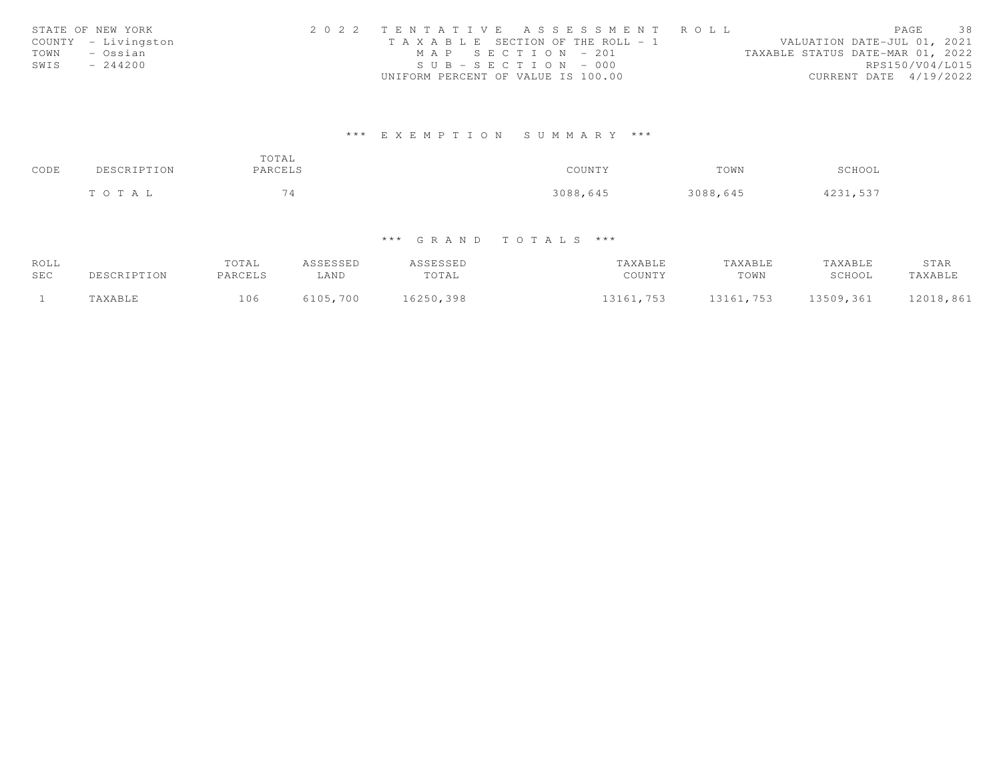| STATE OF NEW YORK   | 2022 TENTATIVE ASSESSMENT ROLL        | PAGE                             | 38 |
|---------------------|---------------------------------------|----------------------------------|----|
| COUNTY - Livingston | T A X A B L E SECTION OF THE ROLL - 1 | VALUATION DATE-JUL 01, 2021      |    |
| TOWN<br>– Ossian    | MAP SECTION - 201                     | TAXABLE STATUS DATE-MAR 01, 2022 |    |
| SWIS<br>$-244200$   | $SUB - SECTION - 000$                 | RPS150/V04/L015                  |    |
|                     | UNIFORM PERCENT OF VALUE IS 100.00    | CURRENT DATE 4/19/2022           |    |

# \*\*\* E X E M P T I O N S U M M A R Y \*\*\*

| CODE | DESCRIPTION | TOTAL<br>PARCELS | COUNTY   | TOWN     | SCHOOL   |
|------|-------------|------------------|----------|----------|----------|
|      | TOTAL       | 74               | 3088,645 | 3088,645 | 4231,537 |

# \*\*\* G R A N D T O T A L S \*\*\*

| ROLL |             | TOTAL   | ASSESSED | <i><b>ISSESSED</b></i> | TAXABLE   | TAXABLE   | TAXABLE   | STAR      |
|------|-------------|---------|----------|------------------------|-----------|-----------|-----------|-----------|
| SEC  | DESCRIPTION | PARCELS | LAND     | TOTAL                  | COUNTY    | TOWN      | SCHOOL    | TAXABLE   |
|      | TAXABLE     | 106     | 5105,700 | 16250,398              | 13161,753 | 13161,753 | 13509,361 | 12018,861 |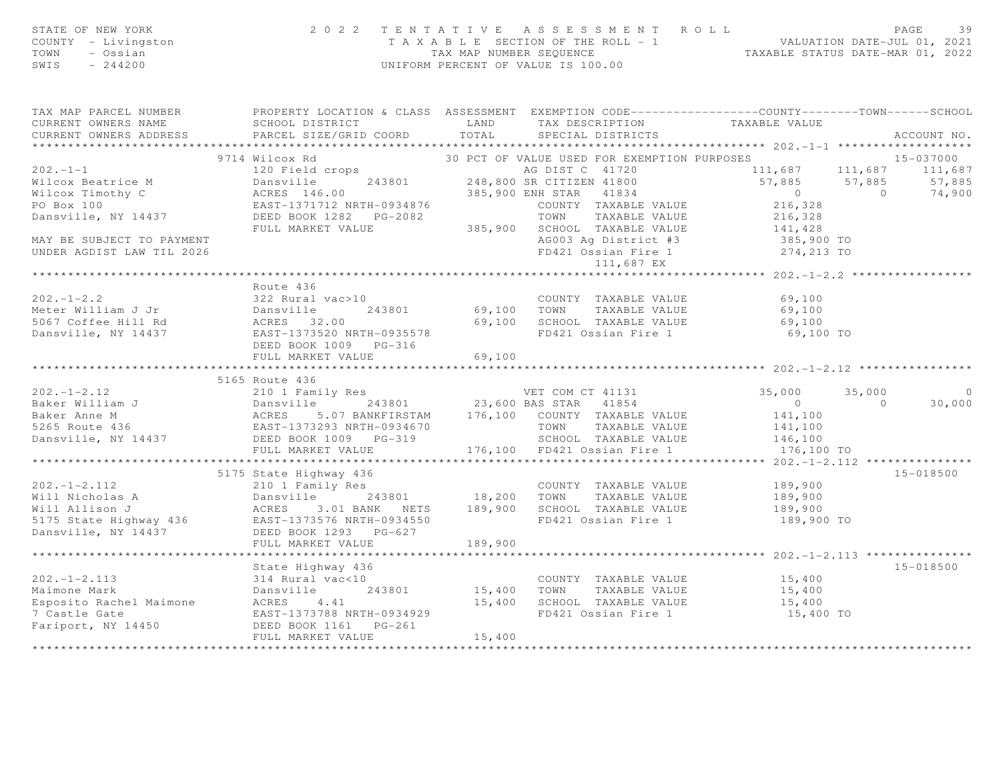| STATE OF NEW YORK<br>COUNTY - Livingston<br>TOWN - Ossian<br>CHITS - 244200                                                                                                                                                                           |                                |                             | 2022 TENTATIVE ASSESSMENT ROLL PAGE 39<br>TAXABLE SECTION OF THE ROLL - 1 VALUATION DATE-JUL 01, 2021<br>TAX MAP NUMBER SEQUENCE TAXABLE STATUS DATE-MAR 01, 2022<br>UNIFORM PERCENT OF VALUE IS 100.00 |  |                |
|-------------------------------------------------------------------------------------------------------------------------------------------------------------------------------------------------------------------------------------------------------|--------------------------------|-----------------------------|---------------------------------------------------------------------------------------------------------------------------------------------------------------------------------------------------------|--|----------------|
| TAX MAP PARCEL NUMBER FROPERTY LOCATION & CLASS ASSESSMENT EXEMPTION CODE---------------COUNTY-------TOWN------SCHOOL                                                                                                                                 |                                |                             |                                                                                                                                                                                                         |  |                |
|                                                                                                                                                                                                                                                       |                                |                             |                                                                                                                                                                                                         |  | ACCOUNT NO.    |
|                                                                                                                                                                                                                                                       |                                |                             |                                                                                                                                                                                                         |  |                |
|                                                                                                                                                                                                                                                       |                                |                             |                                                                                                                                                                                                         |  |                |
|                                                                                                                                                                                                                                                       |                                |                             |                                                                                                                                                                                                         |  |                |
|                                                                                                                                                                                                                                                       |                                |                             |                                                                                                                                                                                                         |  |                |
|                                                                                                                                                                                                                                                       |                                |                             |                                                                                                                                                                                                         |  |                |
|                                                                                                                                                                                                                                                       |                                |                             |                                                                                                                                                                                                         |  |                |
|                                                                                                                                                                                                                                                       |                                |                             |                                                                                                                                                                                                         |  |                |
| MAY BE SUBJECT TO PAYMENT                                                                                                                                                                                                                             |                                |                             |                                                                                                                                                                                                         |  |                |
|                                                                                                                                                                                                                                                       |                                |                             |                                                                                                                                                                                                         |  |                |
|                                                                                                                                                                                                                                                       |                                |                             |                                                                                                                                                                                                         |  |                |
|                                                                                                                                                                                                                                                       |                                |                             |                                                                                                                                                                                                         |  |                |
|                                                                                                                                                                                                                                                       |                                |                             |                                                                                                                                                                                                         |  |                |
|                                                                                                                                                                                                                                                       |                                |                             |                                                                                                                                                                                                         |  |                |
|                                                                                                                                                                                                                                                       |                                |                             |                                                                                                                                                                                                         |  |                |
|                                                                                                                                                                                                                                                       |                                |                             |                                                                                                                                                                                                         |  |                |
|                                                                                                                                                                                                                                                       |                                | 69,100                      |                                                                                                                                                                                                         |  |                |
|                                                                                                                                                                                                                                                       | ****************************** | * * * * * * * * * * * * * * |                                                                                                                                                                                                         |  |                |
|                                                                                                                                                                                                                                                       | 5165 Route 436                 |                             |                                                                                                                                                                                                         |  |                |
|                                                                                                                                                                                                                                                       |                                |                             |                                                                                                                                                                                                         |  | $\overline{0}$ |
|                                                                                                                                                                                                                                                       |                                |                             |                                                                                                                                                                                                         |  | 30,000         |
|                                                                                                                                                                                                                                                       |                                |                             |                                                                                                                                                                                                         |  |                |
|                                                                                                                                                                                                                                                       |                                |                             |                                                                                                                                                                                                         |  |                |
|                                                                                                                                                                                                                                                       |                                |                             |                                                                                                                                                                                                         |  |                |
| 5165 KOUTE 436<br>Baker William J<br>Baker William J<br>Baker Anne M<br>SCACES 5.07 BANKFIRSTAM<br>EAST-1373293 NRTH-0934670<br>Dansville, NY 14437 DEED BOOK 1009 PG-319<br>TOWN TAXABLE VALUE<br>SCHOOL TAXABLE VALUE<br>SCHOOL TAXABLE VALUE<br>   |                                |                             |                                                                                                                                                                                                         |  |                |
| 302.-1-2.112<br>3175 State Highway 436<br>3175 State Highway 436<br>310 1 Family Res<br>310 1 Family Res<br>31801<br>3200 TOWN TAXABLE VALUE<br>39,900<br>3215 State Highway 436<br>3.01 BANK METS<br>3200 TOWN TAXABLE VALUE<br>39,900<br>3215 State |                                |                             |                                                                                                                                                                                                         |  | 15-018500      |
|                                                                                                                                                                                                                                                       |                                |                             |                                                                                                                                                                                                         |  |                |
|                                                                                                                                                                                                                                                       |                                |                             |                                                                                                                                                                                                         |  |                |
|                                                                                                                                                                                                                                                       |                                |                             |                                                                                                                                                                                                         |  |                |
|                                                                                                                                                                                                                                                       |                                |                             |                                                                                                                                                                                                         |  |                |
|                                                                                                                                                                                                                                                       |                                |                             |                                                                                                                                                                                                         |  |                |
|                                                                                                                                                                                                                                                       |                                |                             |                                                                                                                                                                                                         |  |                |
|                                                                                                                                                                                                                                                       |                                |                             |                                                                                                                                                                                                         |  |                |
|                                                                                                                                                                                                                                                       |                                |                             |                                                                                                                                                                                                         |  | 15-018500      |
|                                                                                                                                                                                                                                                       |                                |                             |                                                                                                                                                                                                         |  |                |
|                                                                                                                                                                                                                                                       |                                |                             |                                                                                                                                                                                                         |  |                |
|                                                                                                                                                                                                                                                       |                                |                             |                                                                                                                                                                                                         |  |                |
|                                                                                                                                                                                                                                                       |                                |                             |                                                                                                                                                                                                         |  |                |
|                                                                                                                                                                                                                                                       |                                |                             |                                                                                                                                                                                                         |  |                |
|                                                                                                                                                                                                                                                       |                                |                             |                                                                                                                                                                                                         |  |                |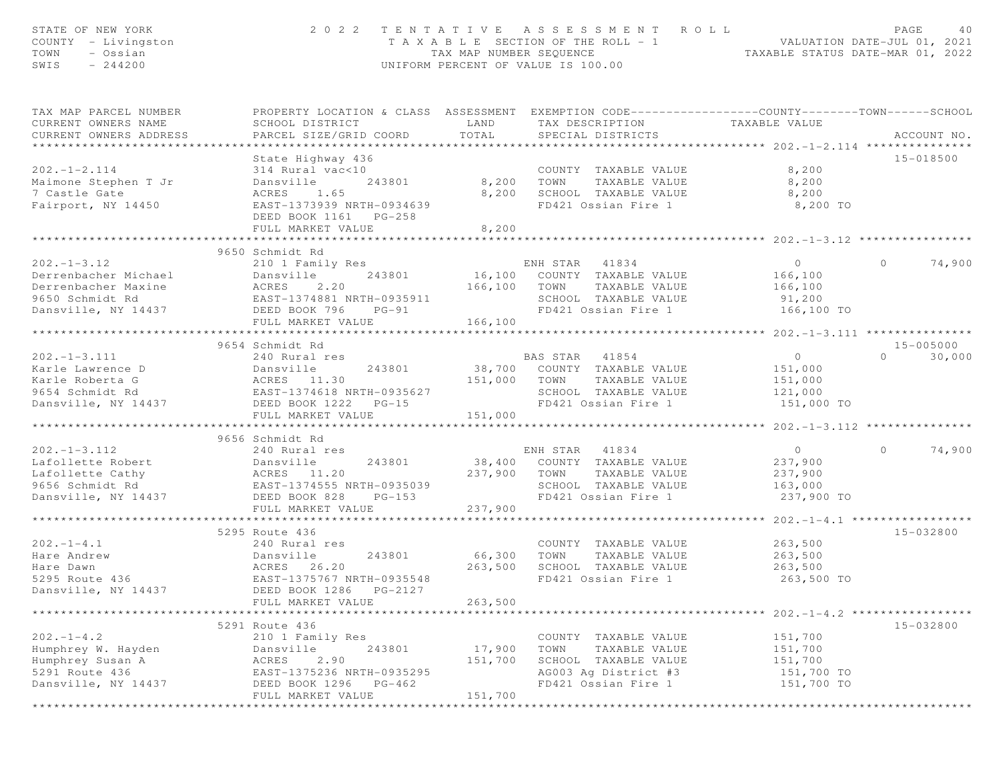| STATE OF NEW YORK<br>COUNTY - Livingston<br>TOWN<br>- Ossian<br>SWIS<br>$-244200$                                       |                                                                                                                                                            | 2022 TENTATIVE ASSESSMENT ROLL<br>T A X A B L E SECTION OF THE ROLL - 1<br>TAX MAP NUMBER SEOUENCE<br>UNIFORM PERCENT OF VALUE IS 100.00             | PAGE<br>40<br>ROLL - 1 VALUATION DATE-JUL 01, 2021<br>TAXABLE STATUS DATE-MAR 01, 2022                                           |
|-------------------------------------------------------------------------------------------------------------------------|------------------------------------------------------------------------------------------------------------------------------------------------------------|------------------------------------------------------------------------------------------------------------------------------------------------------|----------------------------------------------------------------------------------------------------------------------------------|
| TAX MAP PARCEL NUMBER<br>CURRENT OWNERS NAME<br>CURRENT OWNERS ADDRESS                                                  | SCHOOL DISTRICT<br>PARCEL SIZE/GRID COORD                                                                                                                  | LAND<br>TAX DESCRIPTION<br>TOTAL<br>SPECIAL DISTRICTS                                                                                                | PROPERTY LOCATION & CLASS ASSESSMENT EXEMPTION CODE----------------COUNTY-------TOWN------SCHOOL<br>TAXABLE VALUE<br>ACCOUNT NO. |
| $202 - 1 - 2.114$<br>Maimone Stephen T Jr<br>7 Castle Gate<br>Fairport, NY 14450                                        | State Highway 436<br>314 Rural vac<10<br>Dansville<br>243801<br>ACRES<br>1.65<br>EAST-1373939 NRTH-0934639<br>DEED BOOK 1161 PG-258<br>FULL MARKET VALUE   | COUNTY TAXABLE VALUE<br>8,200 TOWN<br>TAXABLE VALUE<br>8,200<br>SCHOOL TAXABLE VALUE<br>FD421 Ossian Fire 1<br>8,200                                 | 15-018500<br>8,200<br>8,200<br>8,200<br>8,200 TO                                                                                 |
|                                                                                                                         | **************************                                                                                                                                 | ***********                                                                                                                                          | ************** 202.-1-3.12 ***********                                                                                           |
| $202 - 1 - 3.12$<br>Derrenbacher Michael<br>Derrenbacher Maxine<br>9650 Schmidt Rd<br>Dansville, NY 14437               | 9650 Schmidt Rd<br>210 1 Family Res<br>243801<br>Dansville<br>ACRES<br>2.20<br>EAST-1374881 NRTH-0935911<br>DEED BOOK 796<br>$PG-91$                       | ENH STAR<br>41834<br>16,100 COUNTY TAXABLE VALUE<br>166,100 TOWN<br>TAXABLE VALUE<br>SCHOOL TAXABLE VALUE<br>FD421 Ossian Fire 1                     | $\overline{O}$<br>74,900<br>$\circ$<br>166,100<br>166,100<br>91,200<br>166,100 TO                                                |
|                                                                                                                         | FULL MARKET VALUE                                                                                                                                          | 166,100                                                                                                                                              |                                                                                                                                  |
|                                                                                                                         |                                                                                                                                                            |                                                                                                                                                      |                                                                                                                                  |
| $202 - 1 - 3.111$<br>Karle Lawrence D<br>Karle Roberta G<br>9654 Schmidt Rd<br>Dansville, NY 14437                      | 9654 Schmidt Rd<br>240 Rural res<br>Dansville<br>243801<br>ACRES 11.30<br>EAST-1374618 NRTH-0935627<br>DEED BOOK 1222 PG-15<br>FULL MARKET VALUE           | BAS STAR 41854<br>38,700 COUNTY TAXABLE VALUE<br>151,000 TOWN<br>TAXABLE VALUE<br>SCHOOL TAXABLE VALUE<br>FD421 Ossian Fire 1<br>151,000             | 15-005000<br>$\overline{0}$<br>$\Omega$<br>30,000<br>151,000<br>151,000<br>121,000<br>151,000 TO                                 |
|                                                                                                                         | *************************                                                                                                                                  |                                                                                                                                                      |                                                                                                                                  |
| $202 - 1 - 3.112$<br>Lafollette Robert<br>Lafollette Cathy<br>9456 Schmidt Rd<br>9656 Schmidt Rd<br>Dansville, NY 14437 | 9656 Schmidt Rd<br>240 Rural res<br>Dansville<br>243801<br>ACRES 11.20<br>EAST-1374555 NRTH-0935039<br>DEED BOOK 828<br>$PG-153$<br>FULL MARKET VALUE      | ENH STAR 41834<br>38,400 COUNTY TAXABLE VALUE<br>237,900 TOWN<br>TAXABLE VALUE<br>SCHOOL TAXABLE VALUE<br>FD421 Ossian Fire 1<br>237,900             | $\overline{0}$<br>74,900<br>$\Omega$<br>237,900<br>237,900<br>163,000<br>237,900 TO<br>********** 202.-1-4.1 **************      |
|                                                                                                                         | 5295 Route 436                                                                                                                                             |                                                                                                                                                      | 15-032800                                                                                                                        |
| $202 - 1 - 4.1$<br>Hare Andrew<br>Hare Dawn<br>5295 Route 436<br>Dansville, NY 14437                                    | 240 Rural res<br>Dansville<br>243801<br>26.20<br>ACRES<br>EAST-1375767 NRTH-0935548<br>DEED BOOK 1286<br>PG-2127<br>FULL MARKET VALUE                      | COUNTY TAXABLE VALUE<br>66,300<br>TAXABLE VALUE<br>TOWN<br>263,500<br>SCHOOL TAXABLE VALUE<br>FD421 Ossian Fire 1<br>263,500                         | 263,500<br>263,500<br>263,500<br>263,500 TO                                                                                      |
| * * * * * * * * * * * * * * * * * * * *                                                                                 |                                                                                                                                                            |                                                                                                                                                      | ************************* 202.-1-4.2 ******************                                                                          |
| $202 - 1 - 4.2$<br>Humphrey W. Hayden<br>Humphrey Susan A<br>5291 Route 436<br>Dansville, NY 14437                      | 5291 Route 436<br>210 1 Family Res<br>Dansville<br>243801<br>2.90<br>ACRES<br>EAST-1375236 NRTH-0935295<br>DEED BOOK 1296<br>$PG-462$<br>FULL MARKET VALUE | COUNTY TAXABLE VALUE<br>17,900<br>TOWN<br>TAXABLE VALUE<br>151,700<br>SCHOOL TAXABLE VALUE<br>AG003 Ag District #3<br>FD421 Ossian Fire 1<br>151,700 | 15-032800<br>151,700<br>151,700<br>151,700<br>151,700 TO<br>151,700 TO                                                           |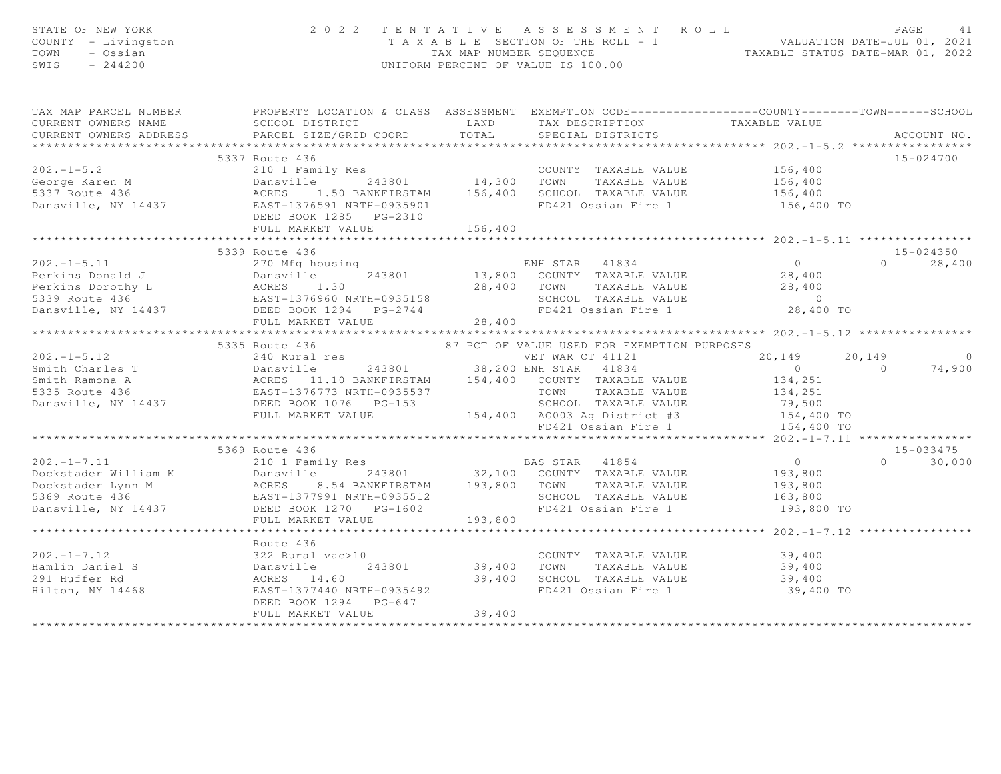| STATE OF NEW YORK<br>2 0 2 2 TENTATIVE ASSESSMENT ROLL PAGE 41<br>TAXABLE SECTION OF THE ROLL - 1 VALUATION DATE-JUL 01, 2021<br>TAX MAP NUMBER SEQUENCE TAXABLE STATUS DATE-MAR 01, 2022<br>UNIFORM PERCENT OF VALUE IS 100.00<br>COUNTY - Livingston<br>TOWN - Ossian<br>SWIS - 244200 |                                     |
|------------------------------------------------------------------------------------------------------------------------------------------------------------------------------------------------------------------------------------------------------------------------------------------|-------------------------------------|
| TAX MAP PARCEL NUMBER THE PROPERTY LOCATION & CLASS ASSESSMENT EXEMPTION CODE--------------COUNTY--------TOWN------SCHOOL                                                                                                                                                                |                                     |
|                                                                                                                                                                                                                                                                                          |                                     |
| CURRENT OWNERS ADDRESS                                                                                                                                                                                                                                                                   |                                     |
|                                                                                                                                                                                                                                                                                          |                                     |
| 202.-1-5.2<br>COUNTY TAXABLE VALUE<br>George Karen M Dansville 243801<br>5337 Route 436 ACRES 1.50 BANKFIRSTAM 156,400 SCHOOL TAXABLE VALUE 156,400<br>Dansville, NY 14437 EAST-1376591 NRTH-0935901<br>DEED BOOK 1285 PG-2310<br>FULL MAR                                               | 15-024700                           |
|                                                                                                                                                                                                                                                                                          |                                     |
|                                                                                                                                                                                                                                                                                          |                                     |
| FD421 Ossian Fire 1 156,400 TO                                                                                                                                                                                                                                                           |                                     |
|                                                                                                                                                                                                                                                                                          |                                     |
| FULL MARKET VALUE 156,400                                                                                                                                                                                                                                                                |                                     |
|                                                                                                                                                                                                                                                                                          |                                     |
| 5339 Route 436                                                                                                                                                                                                                                                                           | 15-024350                           |
|                                                                                                                                                                                                                                                                                          | $0 \t 28,400$                       |
|                                                                                                                                                                                                                                                                                          |                                     |
|                                                                                                                                                                                                                                                                                          |                                     |
|                                                                                                                                                                                                                                                                                          |                                     |
|                                                                                                                                                                                                                                                                                          |                                     |
|                                                                                                                                                                                                                                                                                          |                                     |
|                                                                                                                                                                                                                                                                                          |                                     |
|                                                                                                                                                                                                                                                                                          |                                     |
|                                                                                                                                                                                                                                                                                          | $20, 149$ $20, 149$ 0<br>0 0 74,900 |
|                                                                                                                                                                                                                                                                                          |                                     |
|                                                                                                                                                                                                                                                                                          |                                     |
|                                                                                                                                                                                                                                                                                          |                                     |
|                                                                                                                                                                                                                                                                                          |                                     |
|                                                                                                                                                                                                                                                                                          |                                     |
| 335 Route 436<br>202.-1-5.12<br>335 Route 436<br>240 Rural res<br>38, 200 ENH STAR CT 41121<br>202.-1-5.12<br>201 Rural res<br>38, 200 ENH STAR 41834<br>38, 200 ENH STAR 41834<br>38, 200 ENH STAR 41834<br>38, 200 ENH STAR 41834<br>38, 200 ENH S                                     |                                     |
| 5369 Route 436                                                                                                                                                                                                                                                                           | 15-033475                           |
|                                                                                                                                                                                                                                                                                          | $0 \t 30,000$                       |
|                                                                                                                                                                                                                                                                                          |                                     |
|                                                                                                                                                                                                                                                                                          |                                     |
|                                                                                                                                                                                                                                                                                          |                                     |
|                                                                                                                                                                                                                                                                                          |                                     |
|                                                                                                                                                                                                                                                                                          |                                     |
| *************** 202.-1-7.12 *********                                                                                                                                                                                                                                                    |                                     |
| Route 436                                                                                                                                                                                                                                                                                |                                     |
|                                                                                                                                                                                                                                                                                          |                                     |
|                                                                                                                                                                                                                                                                                          |                                     |
|                                                                                                                                                                                                                                                                                          |                                     |
| 39,400 TO                                                                                                                                                                                                                                                                                |                                     |
| DEED BOOK 1294 PG-647<br>39,400                                                                                                                                                                                                                                                          |                                     |
| FULL MARKET VALUE                                                                                                                                                                                                                                                                        |                                     |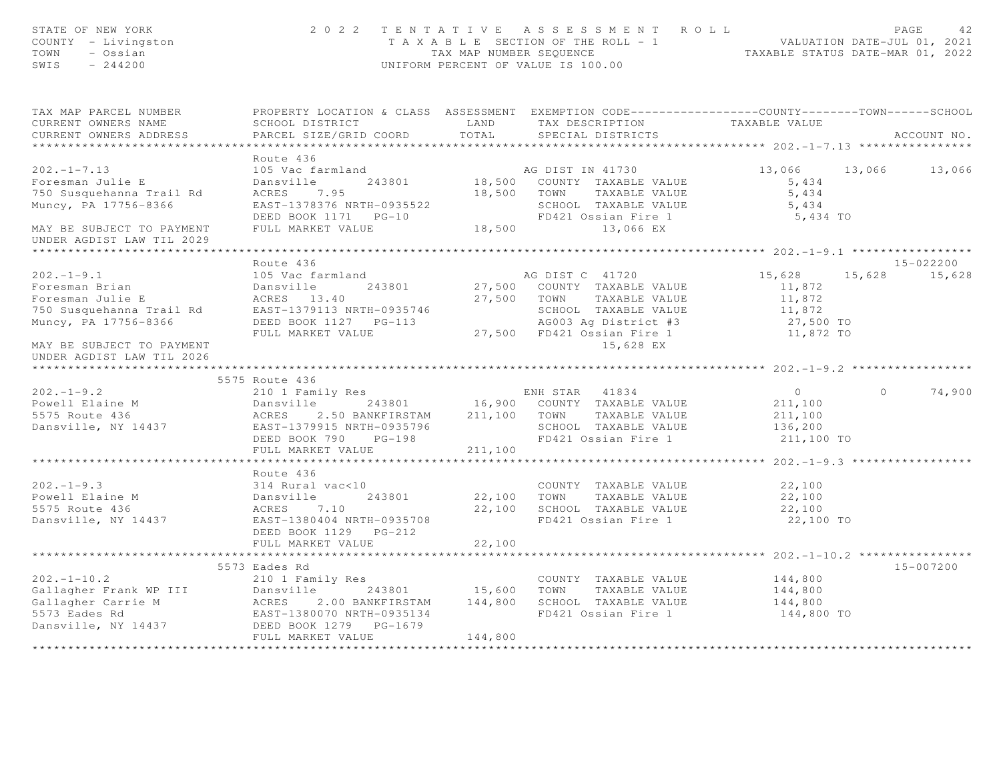| STATE OF NEW YORK<br>COUNTY - Livingston<br>TOWN<br>- Ossian<br>SWIS<br>$-244200$                                                                                                                                             |                                                   |         | 2022 TENTATIVE ASSESSMENT ROLL<br>T A X A B L E SECTION OF THE ROLL - 1 VALUATION DATE-JUL 01, 2021<br>TAX MAP NUMBER SEQUENCE TAXABLE STATUS DATE-MAR 01, 2022<br>UNIFORM PERCENT OF VALUE IS 100.00 |                      | PAGE<br>42        |
|-------------------------------------------------------------------------------------------------------------------------------------------------------------------------------------------------------------------------------|---------------------------------------------------|---------|-------------------------------------------------------------------------------------------------------------------------------------------------------------------------------------------------------|----------------------|-------------------|
| TAX MAP PARCEL NUMBER<br>CURRENT OWNERS NAME                                                                                                                                                                                  | LAND<br>SCHOOL DISTRICT                           |         | PROPERTY LOCATION & CLASS ASSESSMENT EXEMPTION CODE-----------------COUNTY-------TOWN------SCHOOL<br>TAX DESCRIPTION                                                                                  | TAXABLE VALUE        |                   |
| CURRENT OWNERS ADDRESS<br>******************************                                                                                                                                                                      | PARCEL SIZE/GRID COORD                            | TOTAL   | SPECIAL DISTRICTS                                                                                                                                                                                     |                      | ACCOUNT NO.       |
|                                                                                                                                                                                                                               | Route 436                                         |         |                                                                                                                                                                                                       |                      |                   |
| $202 - 1 - 7.13$                                                                                                                                                                                                              | 105 Vac farmland                                  |         |                                                                                                                                                                                                       | 13,066 13,066 13,066 |                   |
| Foresman Julie E                                                                                                                                                                                                              | Dansville                                         |         |                                                                                                                                                                                                       | 5,434                |                   |
| 750 Susquehanna Trail Rd                                                                                                                                                                                                      | ACRES 7.95                                        |         | 18,500 TOWN TAXABLE VALUE                                                                                                                                                                             | 5,434                |                   |
| Muncy, PA 17756-8366                                                                                                                                                                                                          | EAST-1378376 NRTH-0935522                         |         | SCHOOL TAXABLE VALUE                                                                                                                                                                                  | 5,434                |                   |
|                                                                                                                                                                                                                               |                                                   |         | SCHOOL IAAADDE WASHED<br>FD421 Ossian Fire 1                                                                                                                                                          | 5,434 TO             |                   |
| MAY BE SUBJECT TO PAYMENT                                                                                                                                                                                                     | FULL MARKET VALUE                                 |         | 18,500 13,066 EX                                                                                                                                                                                      |                      |                   |
| UNDER AGDIST LAW TIL 2029                                                                                                                                                                                                     |                                                   |         |                                                                                                                                                                                                       |                      |                   |
|                                                                                                                                                                                                                               | Route 436                                         |         |                                                                                                                                                                                                       |                      | $15 - 022200$     |
| $202 - 1 - 9.1$                                                                                                                                                                                                               | 105 Vac farmland                                  |         | AG DIST C 41720                                                                                                                                                                                       | 15,628<br>15,628     | 15,628            |
|                                                                                                                                                                                                                               | 243801                                            |         | 27,500 COUNTY TAXABLE VALUE                                                                                                                                                                           | 11,872               |                   |
|                                                                                                                                                                                                                               |                                                   |         | 27,500 TOWN TAXABLE VALUE                                                                                                                                                                             | 11,872               |                   |
|                                                                                                                                                                                                                               |                                                   |         | SCHOOL TAXABLE VALUE                                                                                                                                                                                  | 11,872               |                   |
|                                                                                                                                                                                                                               |                                                   |         |                                                                                                                                                                                                       | 27,500 TO            |                   |
|                                                                                                                                                                                                                               | FULL MARKET VALUE                                 |         | 3-113 AG003 Ag District #3<br>27,500 FD421 Ossian Fire 1                                                                                                                                              | 11,872 TO            |                   |
| MAY BE SUBJECT TO PAYMENT<br>UNDER AGDIST LAW TIL 2026                                                                                                                                                                        |                                                   |         | 15,628 EX                                                                                                                                                                                             |                      |                   |
|                                                                                                                                                                                                                               |                                                   |         |                                                                                                                                                                                                       |                      |                   |
|                                                                                                                                                                                                                               | 5575 Route 436                                    |         |                                                                                                                                                                                                       |                      |                   |
| $202 - 1 - 9.2$                                                                                                                                                                                                               | 210 1 Family Res                                  |         | ENH STAR 41834<br>16,900 COUNTY TAXABLE VALUE                                                                                                                                                         | $\overline{0}$       | 74,900<br>$\circ$ |
| Powell Elaine M                                                                                                                                                                                                               |                                                   |         |                                                                                                                                                                                                       | 211,100              |                   |
| 5575 Route 436<br>July Route 436<br>Dansville, NY 14437                                                                                                                                                                       |                                                   |         | 211,100 TOWN TAXABLE VALUE<br>SCHOOL TAXABLE VALUE                                                                                                                                                    | 211,100<br>136,200   |                   |
|                                                                                                                                                                                                                               | EAST-1379915 NRTH-0935796<br>DEED BOOK 790 PG-198 |         | FD421 Ossian Fire 1                                                                                                                                                                                   | 211,100 TO           |                   |
|                                                                                                                                                                                                                               | FULL MARKET VALUE                                 | 211,100 |                                                                                                                                                                                                       |                      |                   |
|                                                                                                                                                                                                                               |                                                   |         |                                                                                                                                                                                                       |                      |                   |
|                                                                                                                                                                                                                               | Route 436                                         |         |                                                                                                                                                                                                       |                      |                   |
| $202 - 1 - 9.3$                                                                                                                                                                                                               | 314 Rural vac<10                                  |         | COUNTY TAXABLE VALUE                                                                                                                                                                                  | 22,100               |                   |
|                                                                                                                                                                                                                               | 243801                                            |         | 22,100 TOWN TAXABLE VALUE                                                                                                                                                                             | 22,100               |                   |
|                                                                                                                                                                                                                               |                                                   |         | 22,100 SCHOOL TAXABLE VALUE                                                                                                                                                                           | 22,100               |                   |
|                                                                                                                                                                                                                               | EAST-1380404 NRTH-0935708                         |         | FD421 Ossian Fire 1                                                                                                                                                                                   | 22,100 TO            |                   |
|                                                                                                                                                                                                                               | DEED BOOK 1129    PG-212                          |         |                                                                                                                                                                                                       |                      |                   |
|                                                                                                                                                                                                                               | FULL MARKET VALUE                                 | 22,100  |                                                                                                                                                                                                       |                      |                   |
|                                                                                                                                                                                                                               |                                                   |         |                                                                                                                                                                                                       |                      | 15-007200         |
| $202 - 1 - 10.2$                                                                                                                                                                                                              | 5573 Eades Rd<br>210 1 Family Res                 |         | COUNTY TAXABLE VALUE                                                                                                                                                                                  | 144,800              |                   |
| Callagher Frank WP III annually noted and the set of the set of the set of the set of the set of the set of the set of the set of the set of the set of the set of the set of the set of the set of the set of the set of the |                                                   |         |                                                                                                                                                                                                       | 144,800              |                   |
|                                                                                                                                                                                                                               |                                                   |         |                                                                                                                                                                                                       | 144,800              |                   |
|                                                                                                                                                                                                                               |                                                   |         |                                                                                                                                                                                                       | 144,800 TO           |                   |
|                                                                                                                                                                                                                               |                                                   |         |                                                                                                                                                                                                       |                      |                   |
|                                                                                                                                                                                                                               | FULL MARKET VALUE                                 | 144,800 |                                                                                                                                                                                                       |                      |                   |
|                                                                                                                                                                                                                               |                                                   |         |                                                                                                                                                                                                       |                      |                   |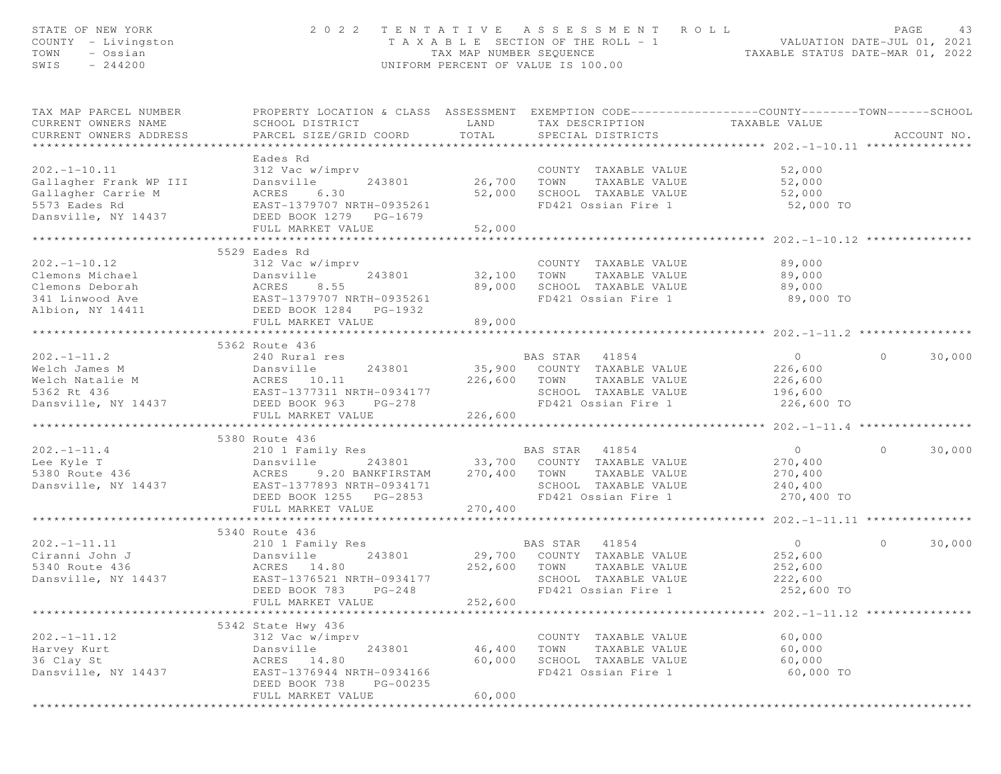| STATE OF NEW YORK<br>COUNTY - Livingston<br>TOWN<br>- Ossian<br>SWIS<br>$-244200$                         |                                                                                                                                                                                         |                                     | 2022 TENTATIVE ASSESSMENT ROLL<br>T A X A B L E SECTION OF THE ROLL - 1 VALUATION DATE-JUL 01, 2021<br>TAX MAP NUMBER SEQUENCE TAXABLE STATUS DATE-MAR 01, 2022<br>UNIFORM PERCENT OF VALUE IS 100.00 |                                                                                              | PAGE<br>43                         |
|-----------------------------------------------------------------------------------------------------------|-----------------------------------------------------------------------------------------------------------------------------------------------------------------------------------------|-------------------------------------|-------------------------------------------------------------------------------------------------------------------------------------------------------------------------------------------------------|----------------------------------------------------------------------------------------------|------------------------------------|
| TAX MAP PARCEL NUMBER<br>CURRENT OWNERS NAME<br>CURRENT OWNERS ADDRESS                                    | PROPERTY LOCATION & CLASS ASSESSMENT EXEMPTION CODE----------------COUNTY-------TOWN------SCHOOL<br>SCHOOL DISTRICT<br>PARCEL SIZE/GRID COORD                                           | LAND<br>TOTAL                       | TAX DESCRIPTION<br>SPECIAL DISTRICTS                                                                                                                                                                  | TAXABLE VALUE                                                                                | ACCOUNT NO.                        |
| $202 - 1 - 10.11$<br>Gallagher Frank WP III<br>Gallagher Carrie M<br>5573 Eades Rd<br>Dansville, NY 14437 | Eades Rd<br>312 Vac w/imprv<br>243801<br>Dansville<br>ACRES<br>6.30<br>AURES<br>EAST-1379707 NRTH-0935261<br>DEED BOOK 1279 PG-1679<br>FULL MARKET VALUE<br>*************************** | 26,700 TOWN<br>52,000<br>52,000     | COUNTY TAXABLE VALUE<br>TAXABLE VALUE<br>SCHOOL TAXABLE VALUE<br>FD421 Ossian Fire 1                                                                                                                  | 52,000<br>52,000<br>52,000<br>52,000 TO                                                      |                                    |
| $202 - 1 - 10.12$                                                                                         | 5529 Eades Rd<br>312 Vac w/imprv<br>FULL MARKET VALUE                                                                                                                                   | **********<br>32,100 TOWN<br>89,000 | COUNTY TAXABLE VALUE<br>TAXABLE VALUE<br>89,000 SCHOOL TAXABLE VALUE<br>FD421 Ossian Fire 1                                                                                                           | ******************** 202.-1-10.12 ***************<br>89,000<br>89,000<br>89,000<br>89,000 TO |                                    |
| $202 - 1 - 11.2$<br>Welch James M<br>Welch Natalie M<br>5362 Rt 436<br>Dansville, NY 14437                | 5362 Route 436<br>240 Rural res<br>Dansville 243801<br>M ACRES 10.11<br>EAST-1377311 NRTH-0934177<br>14437 DEED BOOK 963 PG-278<br>DEED BOOK 963 PG-278<br>FULL MARKET VALUE            | 226,600                             | BAS STAR 41854<br>35,900 COUNTY TAXABLE VALUE<br>226,600 TOWN<br>TAXABLE VALUE<br>SCHOOL TAXABLE VALUE<br>FD421 Ossian Fire 1                                                                         | $\overline{0}$<br>226,600<br>226,600<br>196,600<br>226,600 TO                                | $\circ$<br>30,000                  |
| $202. -1 - 11.4$<br>Lee Kyle T<br>5380 Route 436<br>JJOU ROULE 436<br>Dansville, NY 14437                 | 5380 Route 436<br>210 1 Family Res<br>Dansville<br>ACRES 9.20 BANKFIRSTAM 270,400 TOWN TAXABLE VALUE<br>EAST-1377893 NRTH-0934171<br>DEED BOOK 1255 PG-2853<br>FULL MARKET VALUE        | 270,400                             | BAS STAR 41854<br>243801 33,700 COUNTY TAXABLE VALUE<br>SCHOOL TAXABLE VALUE<br>FD421 Ossian Fire 1                                                                                                   | $\overline{O}$<br>270,400<br>270,400<br>240,400<br>270,400 TO                                | $\Omega$<br>30,000                 |
| $202 - 1 - 11.11$<br>Ciranni John J<br>5340 Route 436<br>Dansville, NY 14437                              | ************************<br>5340 Route 436<br>210 1 Family Res<br>Dansville 243801<br>ACRES 14.80<br>4437 EAST-1376521 NRTH-0934177<br>DEED BOOK 783<br>$PG-248$<br>FULL MARKET VALUE   | 252,600 TOWN<br>252,600             | BAS STAR 41854<br>29,700 COUNTY TAXABLE VALUE<br>TAXABLE VALUE<br>SCHOOL TAXABLE VALUE<br>FD421 Ossian Fire 1                                                                                         | $\overline{O}$<br>252,600<br>252,600<br>222,600<br>252,600 TO                                | $\circ$<br>30,000                  |
| $202 - 1 - 11.12$<br>Harvey Kurt<br>36 Clay St<br>Dansville, NY 14437                                     | 5342 State Hwy 436<br>312 Vac w/imprv<br>243801<br>Dansville<br>ACRES<br>14.80<br>EAST-1376944 NRTH-0934166<br>DEED BOOK 738<br>PG-00235<br>FULL MARKET VALUE                           | 46,400<br>60,000<br>60,000          | COUNTY TAXABLE VALUE<br>TOWN<br>TAXABLE VALUE<br>SCHOOL TAXABLE VALUE<br>FD421 Ossian Fire 1                                                                                                          | ****************<br>60,000<br>60,000<br>60,000<br>60,000 TO                                  | $202. -1 - 11.12$ **************** |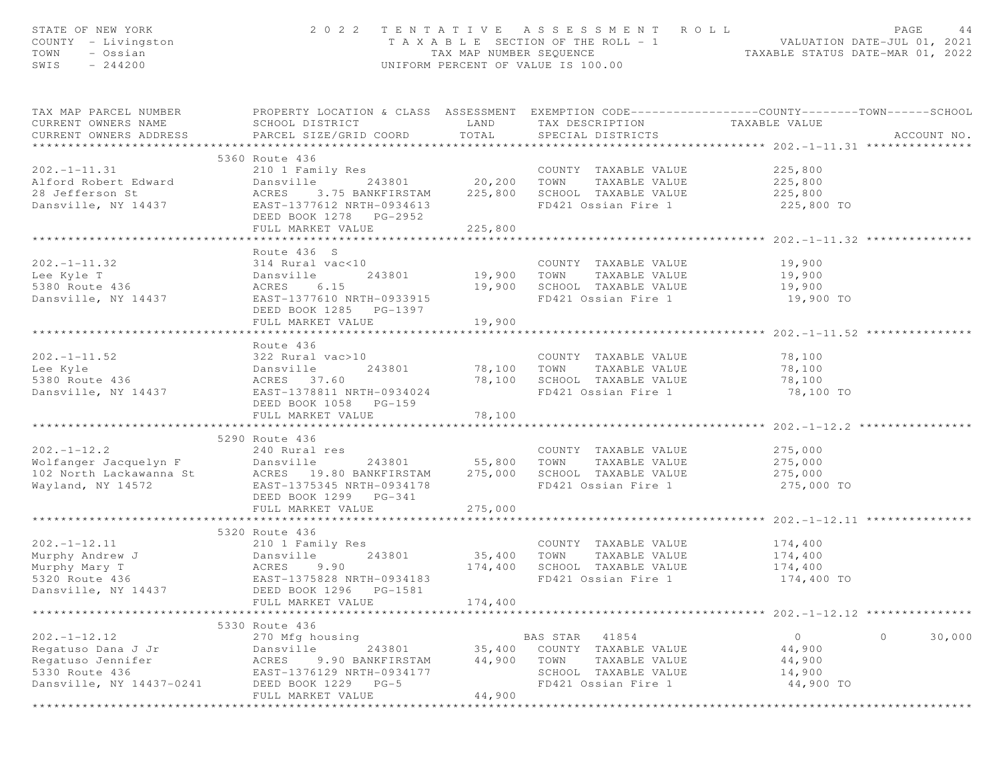| STATE OF NEW YORK<br>COUNTY - Livingston<br>- Ossian<br>TOWN<br>$-244200$<br>SWIS                                                          |                                           |              | 2022 TENTATIVE ASSESSMENT ROLL<br>UNIFORM PERCENT OF VALUE IS 100.00                | PAGE<br>44<br>T A X A B L E SECTION OF THE ROLL - 1 VALUATION DATE-JUL 01, 2021<br>TAX MAP NUMBER SEQUENCE TAXABLE STATUS DATE-MAR 01, 2022 |
|--------------------------------------------------------------------------------------------------------------------------------------------|-------------------------------------------|--------------|-------------------------------------------------------------------------------------|---------------------------------------------------------------------------------------------------------------------------------------------|
| CURRENT OWNERS NAME<br>CURRENT OWNERS ADDRESS                                                                                              | SCHOOL DISTRICT<br>PARCEL SIZE/GRID COORD | TOTAL        | LAND TAX DESCRIPTION TAXABLE VALUE<br>SPECIAL DISTRICTS                             | TAX MAP PARCEL NUMBER PROPERTY LOCATION & CLASS ASSESSMENT EXEMPTION CODE---------------COUNTY-------TOWN------SCHOOL<br>ACCOUNT NO.        |
|                                                                                                                                            |                                           |              |                                                                                     |                                                                                                                                             |
| $202. -1 - 11.31$                                                                                                                          | 5360 Route 436<br>210 1 Family Res        |              |                                                                                     |                                                                                                                                             |
|                                                                                                                                            |                                           |              | Res<br>243801 20,200 TOWN TAXABLE VALUE 225,800<br>225,800 225,800                  |                                                                                                                                             |
|                                                                                                                                            |                                           |              |                                                                                     |                                                                                                                                             |
|                                                                                                                                            |                                           |              |                                                                                     |                                                                                                                                             |
|                                                                                                                                            | DEED BOOK 1278 PG-2952                    |              |                                                                                     |                                                                                                                                             |
|                                                                                                                                            | FULL MARKET VALUE                         | 225,800      |                                                                                     |                                                                                                                                             |
|                                                                                                                                            | ***********************                   | ************ |                                                                                     | ***************** 202.-1-11.32 ***********                                                                                                  |
|                                                                                                                                            | Route 436 S                               |              |                                                                                     |                                                                                                                                             |
| $202. - 1 - 11.32$                                                                                                                         | 314 Rural vac<10                          |              | COUNTY TAXABLE VALUE<br>19,900 TOWN TAXABLE VALUE                                   | 19,900                                                                                                                                      |
| Lee Kyle T                                                                                                                                 | 243801<br>Dansville                       |              |                                                                                     | 19,900                                                                                                                                      |
|                                                                                                                                            | 6.15                                      |              | 19,900 SCHOOL TAXABLE VALUE 19,900                                                  |                                                                                                                                             |
|                                                                                                                                            | EAST-1377610 NRTH-0933915                 |              | FD421 Ossian Fire 1                                                                 | 19,900 TO                                                                                                                                   |
|                                                                                                                                            | DEED BOOK 1285 PG-1397                    |              |                                                                                     |                                                                                                                                             |
|                                                                                                                                            | FULL MARKET VALUE                         | 19,900       |                                                                                     |                                                                                                                                             |
|                                                                                                                                            |                                           |              |                                                                                     |                                                                                                                                             |
|                                                                                                                                            | Route 436<br>322 Rural vac>10             |              |                                                                                     |                                                                                                                                             |
| $202. - 1 - 11.52$                                                                                                                         |                                           |              | COUNTY TAXABLE VALUE 78,100                                                         |                                                                                                                                             |
| Lee Kyle                                                                                                                                   | 243801                                    |              | 78,100 TOWN TAXABLE VALUE                                                           |                                                                                                                                             |
| 5380 Route 436<br>Dansville, NY 14437 EAST-1378811 NRTH-0934024                                                                            |                                           |              | 78,100 SCHOOL TAXABLE VALUE<br>FD421 Ossian Fire 1<br>FD421 Ossian Fire 1 78,100 TO | $\begin{array}{c} 70, -1 \\ 78, 100 \\ -2, 10 \end{array}$                                                                                  |
|                                                                                                                                            | DEED BOOK 1058 PG-159                     |              |                                                                                     |                                                                                                                                             |
|                                                                                                                                            | FULL MARKET VALUE                         | 78,100       |                                                                                     |                                                                                                                                             |
|                                                                                                                                            |                                           |              |                                                                                     |                                                                                                                                             |
|                                                                                                                                            | 5290 Route 436                            |              |                                                                                     |                                                                                                                                             |
| $202 - 1 - 12.2$                                                                                                                           | 240 Rural res                             |              | COUNTY TAXABLE VALUE                                                                | 275,000                                                                                                                                     |
|                                                                                                                                            |                                           |              |                                                                                     |                                                                                                                                             |
|                                                                                                                                            |                                           |              |                                                                                     |                                                                                                                                             |
|                                                                                                                                            |                                           |              |                                                                                     | 275,000 TO                                                                                                                                  |
|                                                                                                                                            | DEED BOOK 1299 PG-341                     |              |                                                                                     |                                                                                                                                             |
|                                                                                                                                            | FULL MARKET VALUE                         | 275,000      |                                                                                     |                                                                                                                                             |
|                                                                                                                                            |                                           |              |                                                                                     |                                                                                                                                             |
|                                                                                                                                            | 5320 Route 436                            |              |                                                                                     |                                                                                                                                             |
| $202. -1 - 12.11$                                                                                                                          | 210 1 Family Res                          |              | COUNTY TAXABLE VALUE                                                                | 174,400                                                                                                                                     |
|                                                                                                                                            |                                           | 35,400 TOWN  | TAXABLE VALUE                                                                       | 174,400                                                                                                                                     |
| 202.-1-12.11 210 1 Family Res<br>Murphy Andrew J 210 1 Family Res<br>Murphy Mary T 2020 243801<br>5320 Route 436 EAST-1375828 NRTH-0934183 |                                           |              | 174,400 SCHOOL TAXABLE VALUE                                                        | 174,400                                                                                                                                     |
|                                                                                                                                            |                                           |              | FD421 Ossian Fire 1                                                                 | 174,400 TO                                                                                                                                  |
| Dansville, NY 14437                                                                                                                        | DEED BOOK 1296<br>PG-1581                 |              |                                                                                     |                                                                                                                                             |
|                                                                                                                                            | FULL MARKET VALUE                         | 174,400      |                                                                                     | ********************* 202.-1-12.12 ***************                                                                                          |
|                                                                                                                                            | 5330 Route 436                            |              |                                                                                     |                                                                                                                                             |
| $202. - 1 - 12.12$                                                                                                                         | 270 Mfg housing                           |              | BAS STAR<br>41854                                                                   | $\circ$<br>$\circ$<br>30,000                                                                                                                |
| Regatuso Dana J Jr                                                                                                                         | 243801<br>Dansville                       | 35,400       | COUNTY TAXABLE VALUE                                                                | 44,900                                                                                                                                      |
| Regatuso Jennifer                                                                                                                          | ACRES<br>9.90 BANKFIRSTAM                 | 44,900       | TOWN<br>TAXABLE VALUE                                                               | 44,900                                                                                                                                      |
| 5330 Route 436                                                                                                                             | EAST-1376129 NRTH-0934177                 |              | SCHOOL TAXABLE VALUE                                                                | 14,900                                                                                                                                      |
| Dansville, NY 14437-0241                                                                                                                   | DEED BOOK 1229 PG-5                       |              | FD421 Ossian Fire 1                                                                 | 44,900 TO                                                                                                                                   |
|                                                                                                                                            | FULL MARKET VALUE                         | 44,900       |                                                                                     |                                                                                                                                             |
|                                                                                                                                            |                                           |              |                                                                                     |                                                                                                                                             |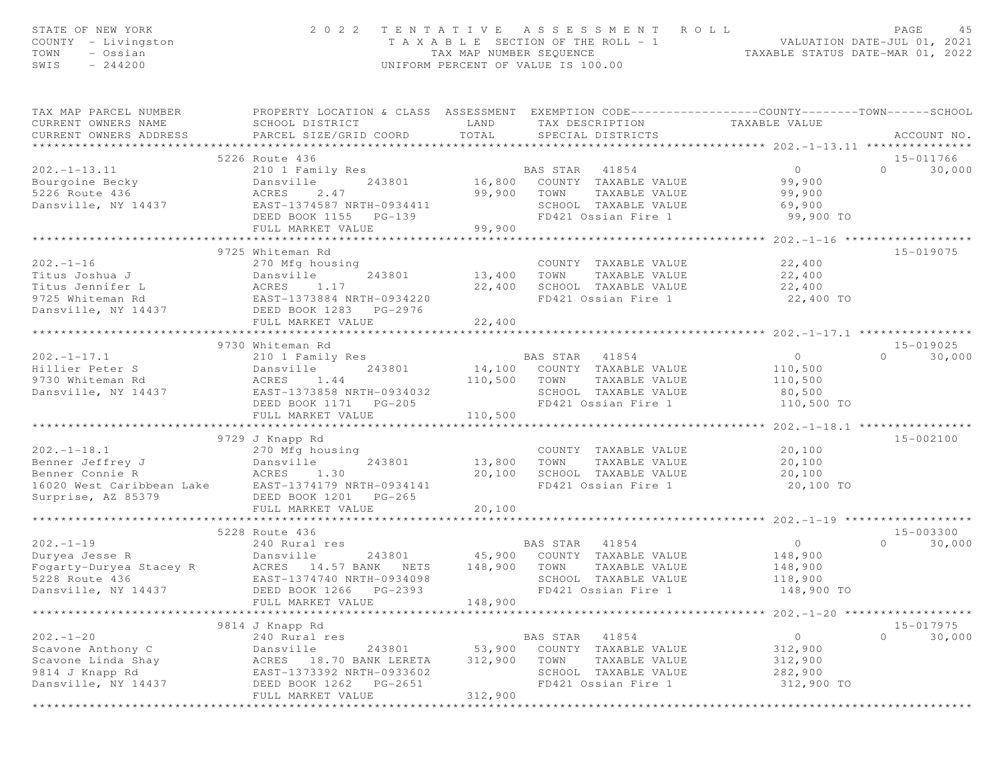| STATE OF NEW YORK<br>COUNTY - Livingston<br>TOWN<br>- Ossian<br>SWIS<br>$-244200$                          | 2 0 2 2                                                                                                                                                              | TENTATIVE<br>TAX MAP NUMBER SEQUENCE | A S S E S S M E N T<br>R O L L<br>T A X A B L E SECTION OF THE ROLL - 1<br>UNIFORM PERCENT OF VALUE IS 100.00     | TAXABLE STATUS DATE-MAR 01, 2022                       | PAGE<br>4.5<br>VALUATION DATE-JUL 01, 2021 |
|------------------------------------------------------------------------------------------------------------|----------------------------------------------------------------------------------------------------------------------------------------------------------------------|--------------------------------------|-------------------------------------------------------------------------------------------------------------------|--------------------------------------------------------|--------------------------------------------|
| TAX MAP PARCEL NUMBER<br>CURRENT OWNERS NAME<br>CURRENT OWNERS ADDRESS                                     | PROPERTY LOCATION & CLASS ASSESSMENT EXEMPTION CODE----------------COUNTY-------TOWN------SCHOOL<br>SCHOOL DISTRICT<br>PARCEL SIZE/GRID COORD                        | LAND<br>TOTAL                        | TAX DESCRIPTION<br>SPECIAL DISTRICTS                                                                              | TAXABLE VALUE                                          | ACCOUNT NO.                                |
|                                                                                                            | 5226 Route 436                                                                                                                                                       |                                      |                                                                                                                   |                                                        | 15-011766                                  |
| $202. -1 - 13.11$<br>Bourgoine Becky<br>5226 Route 436<br>Dansville, NY 14437                              | 210 1 Family Res<br>243801<br>Dansville<br>ACRES<br>2.47<br>EAST-1374587 NRTH-0934411<br>DEED BOOK 1155 PG-139<br>FULL MARKET VALUE                                  | 16,800<br>99,900<br>99,900           | BAS STAR 41854<br>COUNTY TAXABLE VALUE<br>TAXABLE VALUE<br>TOWN<br>SCHOOL TAXABLE VALUE<br>FD421 Ossian Fire 1    | $\Omega$<br>99,900<br>99,900<br>69,900<br>99,900 TO    | $\Omega$<br>30,000                         |
|                                                                                                            | ************************                                                                                                                                             | * * * * * * * * * * * * *            |                                                                                                                   | **************** 202.-1-16 *******************         |                                            |
| $202. -1 - 16$<br>Titus Joshua J<br>Titus Jennifer L<br>9725 Whiteman Rd<br>Dansville, NY 14437            | 9725 Whiteman Rd<br>270 Mfg housing<br>Dansville<br>243801<br>ACRES<br>1.17<br>EAST-1373884 NRTH-0934220<br>DEED BOOK 1283 PG-2976                                   | 13,400<br>22,400                     | COUNTY TAXABLE VALUE<br>TOWN<br>TAXABLE VALUE<br>SCHOOL TAXABLE VALUE<br>FD421 Ossian Fire 1                      | 22,400<br>22,400<br>22,400<br>22,400 TO                | 15-019075                                  |
|                                                                                                            | FULL MARKET VALUE                                                                                                                                                    | 22,400<br>*************              |                                                                                                                   |                                                        |                                            |
|                                                                                                            | 9730 Whiteman Rd                                                                                                                                                     |                                      |                                                                                                                   |                                                        | 15-019025                                  |
| $202 - 1 - 17.1$<br>Hillier Peter S<br>9730 Whiteman Rd<br>Dansville, NY 14437                             | 210 1 Family Res<br>243801<br>Dansville<br>1.44<br>ACRES<br>EAST-1373858 NRTH-0934032<br>DEED BOOK 1171 PG-205<br>FULL MARKET VALUE                                  | 14,100<br>110,500<br>110,500         | BAS STAR<br>41854<br>COUNTY TAXABLE VALUE<br>TOWN<br>TAXABLE VALUE<br>SCHOOL TAXABLE VALUE<br>FD421 Ossian Fire 1 | $\circ$<br>110,500<br>110,500<br>80,500<br>110,500 TO  | 30,000<br>$\Omega$                         |
|                                                                                                            |                                                                                                                                                                      | ************                         |                                                                                                                   | ********** 202. -1-18.1 *****************              |                                            |
| $202. -1 - 18.1$<br>Benner Jeffrey J<br>Benner Connie R<br>16020 West Caribbean Lake<br>Surprise, AZ 85379 | 9729 J Knapp Rd<br>270 Mfg housing<br>243801<br>Dansville<br>ACRES<br>1.30<br>EAST-1374179 NRTH-0934141<br>DEED BOOK 1201 PG-265<br>FULL MARKET VALUE                | 13,800<br>20,100<br>20,100           | COUNTY TAXABLE VALUE<br>TOWN<br>TAXABLE VALUE<br>SCHOOL TAXABLE VALUE<br>FD421 Ossian Fire 1                      | 20,100<br>20,100<br>20,100<br>20,100 TO                | 15-002100                                  |
|                                                                                                            |                                                                                                                                                                      |                                      |                                                                                                                   |                                                        |                                            |
| $202 - 1 - 19$<br>Duryea Jesse R<br>Fogarty-Duryea Stacey R<br>5228 Route 436<br>Dansville, NY 14437       | 5228 Route 436<br>240 Rural res<br>Dansville<br>243801<br>14.57 BANK NETS<br>ACRES<br>EAST-1374740 NRTH-0934098<br>DEED BOOK 1266<br>PG-2393<br>FULL MARKET VALUE    | 45,900<br>148,900<br>148,900         | BAS STAR<br>41854<br>COUNTY TAXABLE VALUE<br>TOWN<br>TAXABLE VALUE<br>SCHOOL TAXABLE VALUE<br>FD421 Ossian Fire 1 | $\circ$<br>148,900<br>148,900<br>118,900<br>148,900 TO | 15-003300<br>30,000<br>$\Omega$            |
|                                                                                                            |                                                                                                                                                                      |                                      |                                                                                                                   | ******************** 202.-1-20 *******************     |                                            |
| $202 - 1 - 20$<br>Scavone Anthony C<br>Scavone Linda Shay<br>9814 J Knapp Rd<br>Dansville, NY 14437        | 9814 J Knapp Rd<br>240 Rural res<br>Dansville<br>243801<br>ACRES<br>18.70 BANK LERETA<br>EAST-1373392 NRTH-0933602<br>DEED BOOK 1262<br>PG-2651<br>FULL MARKET VALUE | 53,900<br>312,900<br>312,900         | 41854<br>BAS STAR<br>COUNTY TAXABLE VALUE<br>TOWN<br>TAXABLE VALUE<br>SCHOOL TAXABLE VALUE<br>FD421 Ossian Fire 1 | $\circ$<br>312,900<br>312,900<br>282,900<br>312,900 TO | $15 - 017975$<br>$\circ$<br>30,000         |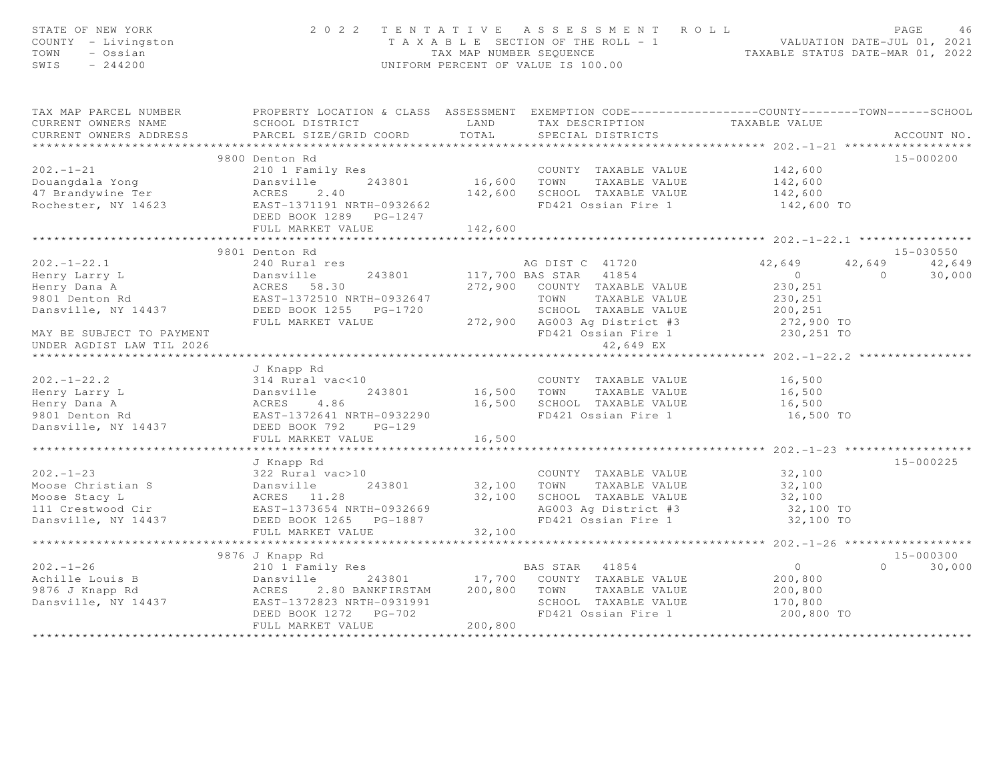| STATE OF NEW YORK<br>COUNTY - Livingston<br>TOWN<br>- Ossian<br>SWIS<br>$-244200$                                                                                                                                              |                                                                                                  |              | 2022 TENTATIVE ASSESSMENT ROLL<br>T A X A B L E SECTION OF THE ROLL - 1 VALUATION DATE-JUL 01, 2021<br>TAX MAP NUMBER SEQUENCE TAXABLE STATUS DATE-MAR 01, 2022<br>UNIFORM PERCENT OF VALUE IS 100.00 |                        | PAGE<br>46                         |
|--------------------------------------------------------------------------------------------------------------------------------------------------------------------------------------------------------------------------------|--------------------------------------------------------------------------------------------------|--------------|-------------------------------------------------------------------------------------------------------------------------------------------------------------------------------------------------------|------------------------|------------------------------------|
| TAX MAP PARCEL NUMBER                                                                                                                                                                                                          | PROPERTY LOCATION & CLASS ASSESSMENT EXEMPTION CODE----------------COUNTY-------TOWN------SCHOOL |              |                                                                                                                                                                                                       |                        |                                    |
| CURRENT OWNERS NAME                                                                                                                                                                                                            | SCHOOL DISTRICT                                                                                  | LAND         | TAX DESCRIPTION TAXABLE VALUE<br>SPECIAL DISTRICTS                                                                                                                                                    |                        |                                    |
| CURRENT OWNERS ADDRESS                                                                                                                                                                                                         | PARCEL SIZE/GRID COORD                                                                           | TOTAL        |                                                                                                                                                                                                       |                        | ACCOUNT NO.                        |
|                                                                                                                                                                                                                                |                                                                                                  |              |                                                                                                                                                                                                       |                        |                                    |
|                                                                                                                                                                                                                                | 9800 Denton Rd                                                                                   |              |                                                                                                                                                                                                       |                        | 15-000200                          |
| $202 - 1 - 21$                                                                                                                                                                                                                 | 210 1 Family Res                                                                                 |              | COUNTY TAXABLE VALUE<br>16,600 TOWN TAXABLE VALUE<br>COUNTY TAXABLE VALUE 142,600                                                                                                                     |                        |                                    |
| Douangdala Yong                                                                                                                                                                                                                | Dansville<br>243801                                                                              |              |                                                                                                                                                                                                       | 142,600                |                                    |
| 47 Brandywine Ter                                                                                                                                                                                                              | ACRES<br>2.40                                                                                    |              | 142,600 SCHOOL TAXABLE VALUE                                                                                                                                                                          | 142,600                |                                    |
| Rochester, NY 14623                                                                                                                                                                                                            | EAST-1371191 NRTH-0932662<br>DEED BOOK 1289 PG-1247                                              |              | FD421 Ossian Fire 1                                                                                                                                                                                   | 142,600 TO             |                                    |
|                                                                                                                                                                                                                                | FULL MARKET VALUE                                                                                | 142,600      |                                                                                                                                                                                                       |                        |                                    |
|                                                                                                                                                                                                                                |                                                                                                  |              |                                                                                                                                                                                                       |                        |                                    |
| $202 - 1 - 22.1$                                                                                                                                                                                                               | 9801 Denton Rd<br>240 Rural res                                                                  |              |                                                                                                                                                                                                       |                        | 15-030550<br>42,649                |
|                                                                                                                                                                                                                                | 243801<br>Dansville                                                                              |              | AG DIST C 41720<br>117,700 BAS STAR 41854                                                                                                                                                             | 42,649<br>$\sim$ 0     | 42,649<br>$\overline{0}$<br>30,000 |
|                                                                                                                                                                                                                                |                                                                                                  |              | 272,900 COUNTY TAXABLE VALUE                                                                                                                                                                          | 230,251                |                                    |
| Henry Larry L<br>Henry Dana A<br>9801 Denton Rd                                                                                                                                                                                | Dansville<br>ACRES 58.30<br>EAST-1372510 N<br>EAST-1372510 NRTH-0932647                          |              | TOWN TAXABLE VALUE                                                                                                                                                                                    | 230,251                |                                    |
| Dansville, NY 14437 DEED BOOK 1255 PG-1720                                                                                                                                                                                     |                                                                                                  |              | SCHOOL TAXABLE VALUE                                                                                                                                                                                  | 200,251                |                                    |
|                                                                                                                                                                                                                                | FULL MARKET VALUE 272,900 AG003 Ag District #3                                                   |              |                                                                                                                                                                                                       | 272,900 TO             |                                    |
| MAY BE SUBJECT TO PAYMENT                                                                                                                                                                                                      |                                                                                                  |              | FD421 Ossian Fire 1                                                                                                                                                                                   | 230,251 TO             |                                    |
| UNDER AGDIST LAW TIL 2026                                                                                                                                                                                                      |                                                                                                  |              | 42,649 EX                                                                                                                                                                                             |                        |                                    |
|                                                                                                                                                                                                                                |                                                                                                  |              |                                                                                                                                                                                                       |                        |                                    |
|                                                                                                                                                                                                                                | J Knapp Rd                                                                                       |              |                                                                                                                                                                                                       |                        |                                    |
| $202 - 1 - 22.2$                                                                                                                                                                                                               | 314 Rural vac<10                                                                                 |              | COUNTY TAXABLE VALUE                                                                                                                                                                                  | 16,500                 |                                    |
| Henry Larry L                                                                                                                                                                                                                  |                                                                                                  | 16,500 TOWN  | TAXABLE VALUE                                                                                                                                                                                         | 16,500                 |                                    |
| Henry Dana A                                                                                                                                                                                                                   |                                                                                                  |              | 16,500 SCHOOL TAXABLE VALUE                                                                                                                                                                           | 16,500                 |                                    |
| 9801 Denton Rd                                                                                                                                                                                                                 |                                                                                                  |              | FD421 Ossian Fire 1                                                                                                                                                                                   | 16,500 TO              |                                    |
| Dansville, NY 14437                                                                                                                                                                                                            |                                                                                                  |              |                                                                                                                                                                                                       |                        |                                    |
|                                                                                                                                                                                                                                | Dansville 245001<br>ACRES 4.86<br>EAST-1372641 NRTH-0932290<br>DEED BOOK 792 PG-129              | 16,500       |                                                                                                                                                                                                       |                        |                                    |
|                                                                                                                                                                                                                                | *****************************                                                                    | ************ |                                                                                                                                                                                                       |                        |                                    |
|                                                                                                                                                                                                                                | J Knapp Rd                                                                                       |              |                                                                                                                                                                                                       |                        | $15 - 000225$                      |
|                                                                                                                                                                                                                                |                                                                                                  |              | COUNTY TAXABLE VALUE                                                                                                                                                                                  | 32,100                 |                                    |
|                                                                                                                                                                                                                                |                                                                                                  | 32,100 TOWN  | TAXABLE VALUE                                                                                                                                                                                         | 32,100                 |                                    |
|                                                                                                                                                                                                                                |                                                                                                  | 32,100       | SCHOOL TAXABLE VALUE                                                                                                                                                                                  | 32,100                 |                                    |
|                                                                                                                                                                                                                                |                                                                                                  |              | AG003 Ag District #3<br>FD421 Ossian Fire 1                                                                                                                                                           | 32,100 TO<br>32,100 TO |                                    |
| Archives Christian State of the Moose Christian State of the Moose State of the Moose State of the Moose State of the Moose State of the Moose State of the Moose State of the Moose State of the Moose Christian Christian Ch | FULL MARKET VALUE                                                                                | 32,100       |                                                                                                                                                                                                       |                        |                                    |
|                                                                                                                                                                                                                                |                                                                                                  |              |                                                                                                                                                                                                       |                        |                                    |
|                                                                                                                                                                                                                                | 9876 J Knapp Rd                                                                                  |              |                                                                                                                                                                                                       |                        | 15-000300                          |
| $202 - 1 - 26$                                                                                                                                                                                                                 | 210 1 Family Res                                                                                 |              |                                                                                                                                                                                                       | $\overline{0}$         | $\Omega$<br>30,000                 |
| Achille Louis B                                                                                                                                                                                                                | Dansville                                                                                        |              | s<br>243801 17,700 COUNTY TAXABLE VALUE                                                                                                                                                               | 200,800                |                                    |
| 9876 J Knapp Rd                                                                                                                                                                                                                | ACRES<br>2.80 BANKFIRSTAM                                                                        | 200,800      | TAXABLE VALUE<br>TOWN                                                                                                                                                                                 | 200,800                |                                    |
| Dansville, NY 14437                                                                                                                                                                                                            | EAST-1372823 NRTH-0931991                                                                        |              | SCHOOL TAXABLE VALUE                                                                                                                                                                                  | 170,800                |                                    |
|                                                                                                                                                                                                                                | DEED BOOK 1272 PG-702                                                                            |              | FD421 Ossian Fire 1                                                                                                                                                                                   | 200,800 TO             |                                    |
|                                                                                                                                                                                                                                | FULL MARKET VALUE                                                                                | 200,800      |                                                                                                                                                                                                       |                        |                                    |
|                                                                                                                                                                                                                                |                                                                                                  |              |                                                                                                                                                                                                       |                        |                                    |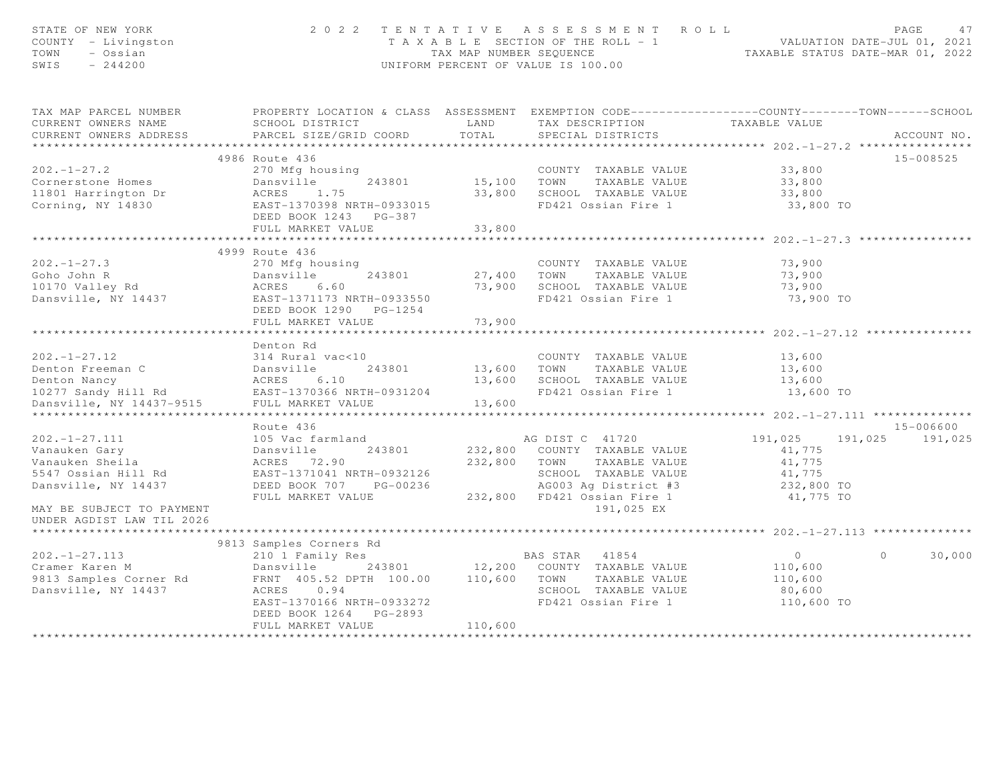| STATE OF NEW YORK<br>COUNTY - Livingston<br>TOWN<br>- Ossian<br>SWIS<br>$-244200$                                                             |                                                                                                                          |              | 2022 TENTATIVE ASSESSMENT ROLL<br>T A X A B L E SECTION OF THE ROLL - 1 VALUATION DATE-JUL 01, 2021<br>TAX MAP NUMBER SEQUENCE TAXABLE STATUS DATE-MAR 01, 2022<br>UNIFORM PERCENT OF VALUE IS 100.00 |                    | PAGE<br>47         |
|-----------------------------------------------------------------------------------------------------------------------------------------------|--------------------------------------------------------------------------------------------------------------------------|--------------|-------------------------------------------------------------------------------------------------------------------------------------------------------------------------------------------------------|--------------------|--------------------|
| TAX MAP PARCEL NUMBER<br>CURRENT OWNERS NAME                                                                                                  | PROPERTY LOCATION & CLASS ASSESSMENT EXEMPTION CODE----------------COUNTY-------TOWN------SCHOOL<br>SCHOOL DISTRICT LAND |              |                                                                                                                                                                                                       |                    |                    |
| CURRENT OWNERS ADDRESS                                                                                                                        | PARCEL SIZE/GRID COORD                                                                                                   | TOTAL        | TAX DESCRIPTION TAXABLE VALUE<br>SPECIAL DISTRICTS                                                                                                                                                    |                    | ACCOUNT NO.        |
|                                                                                                                                               |                                                                                                                          |              |                                                                                                                                                                                                       |                    |                    |
|                                                                                                                                               | 4986 Route 436                                                                                                           |              |                                                                                                                                                                                                       |                    | 15-008525          |
| $202 - 1 - 27.2$                                                                                                                              | 270 Mfg housing                                                                                                          |              | COUNTY TAXABLE VALUE<br>15,100 TOWN TAXABLE VALUE<br>COUNTY TAXABLE VALUE 33,800                                                                                                                      |                    |                    |
| Cornerstone Homes                                                                                                                             | Dansville<br>243801                                                                                                      |              |                                                                                                                                                                                                       | 33,800             |                    |
| 11801 Harrington Dr                                                                                                                           |                                                                                                                          |              | 33,800 SCHOOL TAXABLE VALUE                                                                                                                                                                           | 33,800             |                    |
| Corning, NY 14830                                                                                                                             | ACRES 1.75<br>EAST-1370398 NRTH-0933015<br>DEED BOOK 1243 PG-387                                                         |              | FD421 Ossian Fire 1                                                                                                                                                                                   | 33,800 TO          |                    |
|                                                                                                                                               | FULL MARKET VALUE                                                                                                        | 33,800       |                                                                                                                                                                                                       |                    |                    |
|                                                                                                                                               |                                                                                                                          |              |                                                                                                                                                                                                       |                    |                    |
|                                                                                                                                               | 4999 Route 436                                                                                                           |              |                                                                                                                                                                                                       |                    |                    |
| $202 - 1 - 27.3$                                                                                                                              | 270 Mfg housing                                                                                                          |              | COUNTY TAXABLE VALUE                                                                                                                                                                                  | 73,900             |                    |
|                                                                                                                                               |                                                                                                                          |              | 27,400 TOWN TAXABLE VALUE                                                                                                                                                                             | 73,900             |                    |
|                                                                                                                                               |                                                                                                                          |              | 73,900 SCHOOL TAXABLE VALUE                                                                                                                                                                           | 73,900             |                    |
| Goho John R<br>10170 Valley Rd 243801<br>Dansville, NY 14437<br>Dansville, NY 14437<br>EAST-1371173 NRTH-0933550<br>DEED ROOK 1290<br>PG-1254 |                                                                                                                          |              | FD421 Ossian Fire 1                                                                                                                                                                                   | 73,900 TO          |                    |
|                                                                                                                                               | DEED BOOK 1290 PG-1254<br>FULL MARKET VALUE                                                                              | 73,900       |                                                                                                                                                                                                       |                    |                    |
|                                                                                                                                               |                                                                                                                          |              |                                                                                                                                                                                                       |                    |                    |
|                                                                                                                                               |                                                                                                                          |              |                                                                                                                                                                                                       |                    |                    |
|                                                                                                                                               | 314 Rural vac<10                                                                                                         |              | COUNTY TAXABLE VALUE                                                                                                                                                                                  | 13,600             |                    |
|                                                                                                                                               | 243801                                                                                                                   | 13,600 TOWN  | TAXABLE VALUE                                                                                                                                                                                         | 13,600             |                    |
|                                                                                                                                               |                                                                                                                          |              | 13,600 SCHOOL TAXABLE VALUE                                                                                                                                                                           | 13,600             |                    |
|                                                                                                                                               | EAST-1370366 NRTH-0931204                                                                                                |              | FD421 Ossian Fire 1                                                                                                                                                                                   | 13,600 TO          |                    |
|                                                                                                                                               |                                                                                                                          | 13,600       |                                                                                                                                                                                                       |                    |                    |
|                                                                                                                                               |                                                                                                                          |              |                                                                                                                                                                                                       |                    |                    |
|                                                                                                                                               |                                                                                                                          |              |                                                                                                                                                                                                       |                    | 15-006600          |
| $202 - 1 - 27.111$                                                                                                                            | 105 Vac farmland                                                                                                         |              | AG DIST C 41720                                                                                                                                                                                       | 191,025            | 191,025 191,025    |
| Vanauken Gary                                                                                                                                 | Dansville<br>Dansville<br>ACRES 72.90<br>243801                                                                          |              | 232,800 COUNTY TAXABLE VALUE                                                                                                                                                                          | 41,775             |                    |
| Vanauken Sheila                                                                                                                               |                                                                                                                          | 232,800 TOWN | TAXABLE VALUE                                                                                                                                                                                         | 41,775             |                    |
| 5547 Ossian Hill Rd                                                                                                                           | EAST-1371041 NRTH-0932126                                                                                                |              | SCHOOL TAXABLE VALUE                                                                                                                                                                                  | 41,775             |                    |
| Dansville, NY 14437                                                                                                                           |                                                                                                                          |              | AG003 Ag District #3                                                                                                                                                                                  | 232,800 TO         |                    |
|                                                                                                                                               | DEED BOOK 707 PG-00236 AG003 Ag District #3<br>FULL MARKET VALUE 232,800 FD421 Ossian Fire 1                             |              |                                                                                                                                                                                                       | 41,775 TO          |                    |
| MAY BE SUBJECT TO PAYMENT                                                                                                                     |                                                                                                                          |              | 191,025 EX                                                                                                                                                                                            |                    |                    |
| UNDER AGDIST LAW TIL 2026                                                                                                                     |                                                                                                                          |              |                                                                                                                                                                                                       |                    |                    |
|                                                                                                                                               |                                                                                                                          |              |                                                                                                                                                                                                       |                    |                    |
|                                                                                                                                               | 9813 Samples Corners Rd                                                                                                  |              |                                                                                                                                                                                                       |                    |                    |
| $202 - 1 - 27.113$                                                                                                                            | 210 1 Family Res                                                                                                         |              | BAS STAR 41854                                                                                                                                                                                        | $\overline{0}$     | $\Omega$<br>30,000 |
|                                                                                                                                               |                                                                                                                          |              |                                                                                                                                                                                                       | 110,600<br>110,600 |                    |
| Dansville, NY 14437                                                                                                                           | ACRES 0.94                                                                                                               |              | SCHOOL TAXABLE VALUE                                                                                                                                                                                  | 80,600             |                    |
|                                                                                                                                               | EAST-1370166 NRTH-0933272                                                                                                |              | FD421 Ossian Fire 1                                                                                                                                                                                   | 110,600 TO         |                    |
|                                                                                                                                               | DEED BOOK 1264 PG-2893                                                                                                   |              |                                                                                                                                                                                                       |                    |                    |
|                                                                                                                                               | FULL MARKET VALUE                                                                                                        | 110,600      |                                                                                                                                                                                                       |                    |                    |
|                                                                                                                                               |                                                                                                                          |              |                                                                                                                                                                                                       |                    |                    |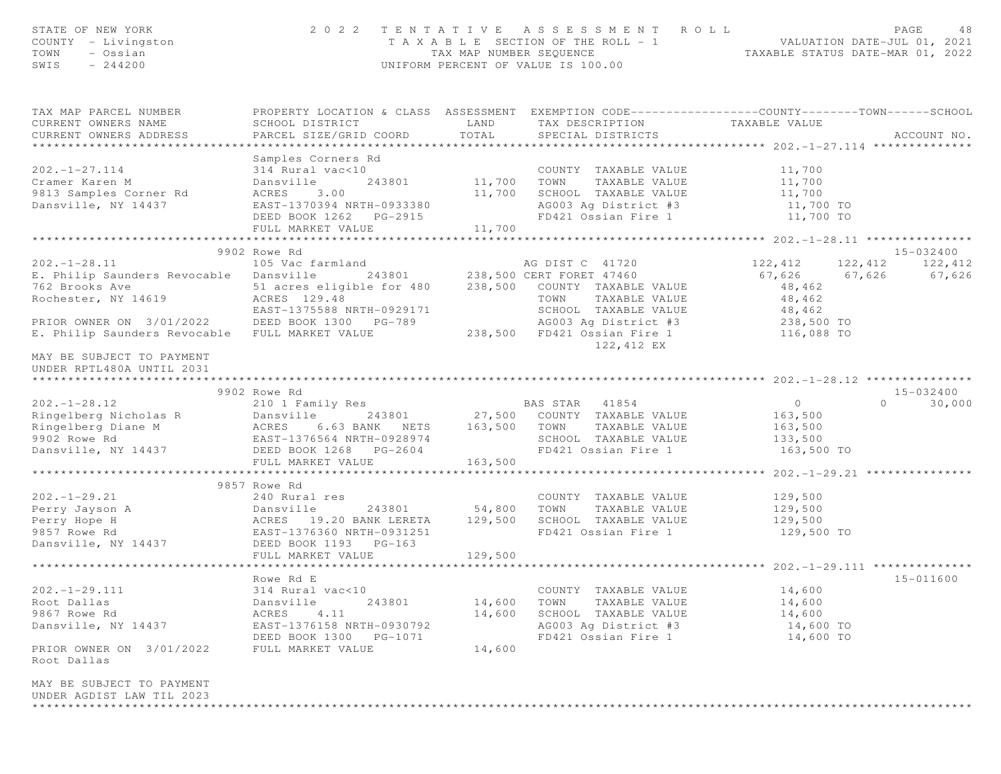| STATE OF NEW YORK<br>COUNTY - Livingston<br>TOWN<br>- Ossian<br>$-244200$<br>SWIS                                                                                                                                                            | 2 0 2 2                                                                                                                                       |                                       | TENTATIVE ASSESSMENT ROLL<br>T A X A B L E SECTION OF THE ROLL - 1 VALUATION DATE-JUL 01, 2021<br>TAX MAP NUMBER SEQUENCE TAXABLE STATUS DATE-MAR 01, 2022<br>UNIFORM PERCENT OF VALUE IS 100.00 |                                                   | PAGE<br>-48                |
|----------------------------------------------------------------------------------------------------------------------------------------------------------------------------------------------------------------------------------------------|-----------------------------------------------------------------------------------------------------------------------------------------------|---------------------------------------|--------------------------------------------------------------------------------------------------------------------------------------------------------------------------------------------------|---------------------------------------------------|----------------------------|
| TAX MAP PARCEL NUMBER<br>CURRENT OWNERS NAME<br>CURRENT OWNERS ADDRESS                                                                                                                                                                       | PROPERTY LOCATION & CLASS ASSESSMENT EXEMPTION CODE----------------COUNTY-------TOWN------SCHOOL<br>SCHOOL DISTRICT<br>PARCEL SIZE/GRID COORD | TOTAL                                 | LAND TAX DESCRIPTION TAXABLE VALUE<br>SPECIAL DISTRICTS                                                                                                                                          |                                                   | ACCOUNT NO.                |
|                                                                                                                                                                                                                                              | Samples Corners Rd                                                                                                                            |                                       |                                                                                                                                                                                                  |                                                   |                            |
| $202. - 1 - 27.114$<br>Cramer Karen M<br>9813 Samples Corner Rd<br>Dansville, NY 14437                                                                                                                                                       | 314 Rural vac<10<br>Dansville<br>ACRES 3.00                                                                                                   | 11,700                                | 0 COUNTY TAXABLE VALUE 11,700 11,700 COUNTY TAXABLE VALUE 11,700 11,700 1243801 11,700 TOWN TAXABLE VALUE<br>SCHOOL TAXABLE VALUE 11,700<br>AG003 Ag District #3 11,700 TO                       |                                                   |                            |
| Dansville, NY 14437                                                                                                                                                                                                                          | EAST-1370394 NRTH-0933380<br>DEED BOOK 1262    PG-2915<br>FULL MARKET VALUE                                                                   | 11,700                                | FD421 Ossian Fire 1 11,700 TO                                                                                                                                                                    |                                                   |                            |
|                                                                                                                                                                                                                                              |                                                                                                                                               | * * * * * * * * * * * * * * * * * * * |                                                                                                                                                                                                  | ******************* 202.-1-28.11 **************** |                            |
|                                                                                                                                                                                                                                              | 9902 Rowe Rd                                                                                                                                  |                                       |                                                                                                                                                                                                  |                                                   | 15-032400                  |
| $202. - 1 - 28.11$                                                                                                                                                                                                                           |                                                                                                                                               |                                       | AG DIST C 41720 122, 412 122, 412 122, 412                                                                                                                                                       |                                                   |                            |
| E. Philip Saunders Revocable Dansville                                                                                                                                                                                                       |                                                                                                                                               |                                       |                                                                                                                                                                                                  |                                                   | 67,626 67,626 67,626       |
| 762 Brooks Ave 51 acres eligible for 480 238,500 COUNTY TAXABLE VALUE 48,462<br>Rochester, NY 14619 ACRES 129.48 TOWN TAXABLE VALUE 48,462                                                                                                   |                                                                                                                                               |                                       |                                                                                                                                                                                                  |                                                   |                            |
|                                                                                                                                                                                                                                              | EAST-1375588 NRTH-0929171                                                                                                                     |                                       |                                                                                                                                                                                                  |                                                   |                            |
| PRIOR OWNER ON 3/01/2022 DEED BOOK 1300 PG-789                                                                                                                                                                                               |                                                                                                                                               |                                       |                                                                                                                                                                                                  |                                                   |                            |
| E. Philip Saunders Revocable FULL MARKET VALUE                                                                                                                                                                                               |                                                                                                                                               |                                       | -0929171 SCHOOL TAXABLE VALUE 48,462<br>C-789 AG003 Ag District #3 238,500 TO<br>238,500 FD421 Ossian Fire 1 116,088 TO<br>122,412 EX                                                            |                                                   |                            |
| MAY BE SUBJECT TO PAYMENT<br>UNDER RPTL480A UNTIL 2031                                                                                                                                                                                       |                                                                                                                                               |                                       |                                                                                                                                                                                                  |                                                   |                            |
|                                                                                                                                                                                                                                              |                                                                                                                                               |                                       |                                                                                                                                                                                                  |                                                   |                            |
| $202. - 1 - 28.12$                                                                                                                                                                                                                           | 9902 Rowe Rd<br>210 1 Family Res BAS STAR 41854                                                                                               |                                       |                                                                                                                                                                                                  | $\overline{0}$                                    | 15-032400<br>$0 \t 30,000$ |
| Ringelberg Nicholas R (1993)<br>Ringelberg Diane M (1994)<br>Ringelberg Diane M (1995)<br>Ringelberg Diane M (1992)<br>Ringelberg Diane M (1992)<br>MacRES 6.63 BANK NETS 163,500 TOWN TAXABLE VALUE 163,500<br>9902 Rowe Rd (1992)<br>Dansv |                                                                                                                                               |                                       |                                                                                                                                                                                                  |                                                   |                            |
|                                                                                                                                                                                                                                              |                                                                                                                                               |                                       |                                                                                                                                                                                                  |                                                   |                            |
|                                                                                                                                                                                                                                              |                                                                                                                                               |                                       |                                                                                                                                                                                                  |                                                   |                            |
|                                                                                                                                                                                                                                              |                                                                                                                                               |                                       | FD421 Ossian Fire 1 163,500 TO                                                                                                                                                                   |                                                   |                            |
|                                                                                                                                                                                                                                              | FULL MARKET VALUE                                                                                                                             | 163,500                               |                                                                                                                                                                                                  |                                                   |                            |
|                                                                                                                                                                                                                                              |                                                                                                                                               |                                       |                                                                                                                                                                                                  |                                                   |                            |
|                                                                                                                                                                                                                                              | 9857 Rowe Rd                                                                                                                                  |                                       |                                                                                                                                                                                                  |                                                   |                            |
|                                                                                                                                                                                                                                              |                                                                                                                                               |                                       | COUNTY TAXABLE VALUE<br>TOWN<br>TAXABLE VALUE                                                                                                                                                    | 129,500<br>129,500                                |                            |
|                                                                                                                                                                                                                                              |                                                                                                                                               |                                       | SCHOOL TAXABLE VALUE 129,500                                                                                                                                                                     |                                                   |                            |
| 202.-1-29.21 240 Rural res<br>Perry Jayson A Dansville 243801 54,800<br>Perry Hope H ACRES 19.20 BANK LERETA 129,500<br>9857 Rowe Rd EAST-1376360 NRTH-0931251<br>Dansville, NY 14437 DEED BOOK 1193 PG-163<br>THE MARKET VALUE VALUE 12     |                                                                                                                                               |                                       | FD421 Ossian Fire 1                                                                                                                                                                              | 129,500 TO                                        |                            |
|                                                                                                                                                                                                                                              |                                                                                                                                               |                                       |                                                                                                                                                                                                  |                                                   |                            |
|                                                                                                                                                                                                                                              | FULL MARKET VALUE                                                                                                                             | 129,500                               |                                                                                                                                                                                                  |                                                   |                            |
|                                                                                                                                                                                                                                              |                                                                                                                                               |                                       |                                                                                                                                                                                                  |                                                   |                            |
| $202. - 1 - 29.111$                                                                                                                                                                                                                          | Rowe Rd E                                                                                                                                     |                                       | COUNTY TAXABLE VALUE                                                                                                                                                                             |                                                   | 15-011600                  |
| Root Dallas                                                                                                                                                                                                                                  | 314 Rural vac<10<br>Dansville<br>243801                                                                                                       | 14,600                                | TAXABLE VALUE<br>TOWN                                                                                                                                                                            | 14,600<br>14,600                                  |                            |
| 9867 Rowe Rd                                                                                                                                                                                                                                 | 4.11<br>ACRES                                                                                                                                 | 14,600                                | SCHOOL TAXABLE VALUE                                                                                                                                                                             | 14,600                                            |                            |
| Dansville, NY 14437                                                                                                                                                                                                                          | EAST-1376158 NRTH-0930792                                                                                                                     |                                       | AG003 Ag District #3                                                                                                                                                                             | 14,600 TO                                         |                            |
|                                                                                                                                                                                                                                              | DEED BOOK 1300 PG-1071                                                                                                                        |                                       | FD421 Ossian Fire 1                                                                                                                                                                              | 14,600 TO                                         |                            |
| PRIOR OWNER ON 3/01/2022<br>Root Dallas                                                                                                                                                                                                      | FULL MARKET VALUE                                                                                                                             | 14,600                                |                                                                                                                                                                                                  |                                                   |                            |
| MAY BE SUBJECT TO PAYMENT<br>UNDER AGDIST LAW TIL 2023                                                                                                                                                                                       |                                                                                                                                               |                                       |                                                                                                                                                                                                  |                                                   |                            |
|                                                                                                                                                                                                                                              |                                                                                                                                               |                                       |                                                                                                                                                                                                  |                                                   |                            |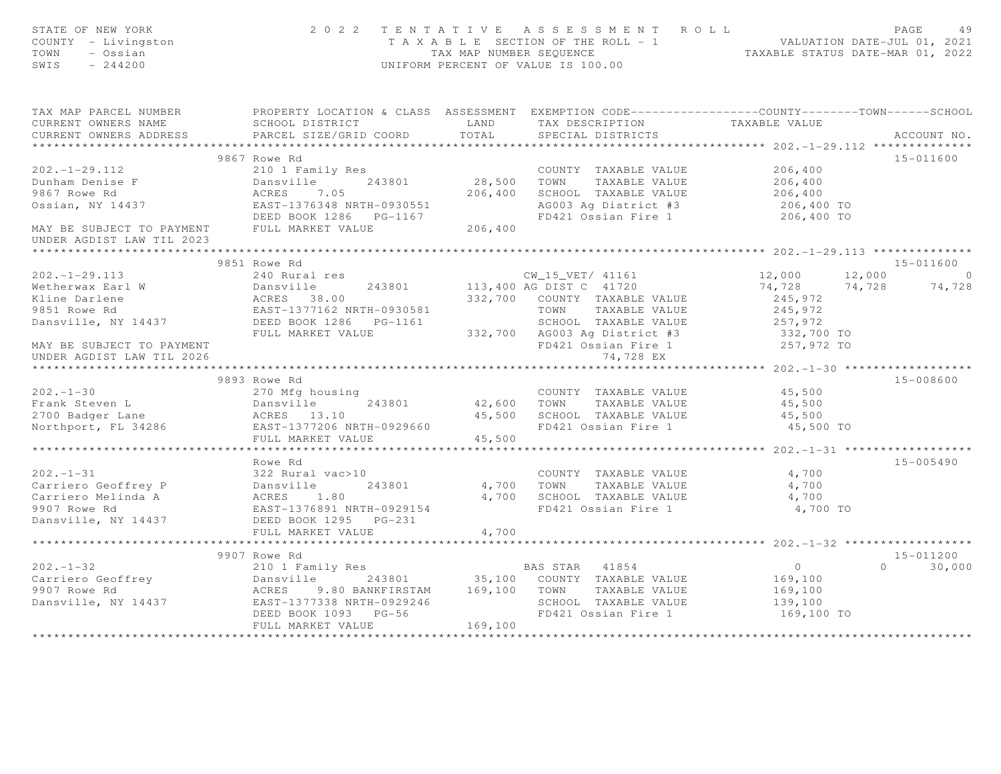| STATE OF NEW YORK<br>COUNTY - Livingston<br>TOWN<br>- Ossian<br>SWIS<br>$-244200$                                                                                                                                                    |                                                                                                                                                             |         | 2022 TENTATIVE ASSESSMENT ROLL<br>T A X A B L E SECTION OF THE ROLL - 1<br>TAX MAP NUMBER SEQUENCE TAXABLE STATUS DATE-JUL 01, 2021<br>INIEODM PERCENT OF VALUE IS 100.00<br>UNIFORM PERCENT OF VALUE IS 100.00 |                                              | PAGE<br>49         |
|--------------------------------------------------------------------------------------------------------------------------------------------------------------------------------------------------------------------------------------|-------------------------------------------------------------------------------------------------------------------------------------------------------------|---------|-----------------------------------------------------------------------------------------------------------------------------------------------------------------------------------------------------------------|----------------------------------------------|--------------------|
| TAX MAP PARCEL NUMBER PROPERTY LOCATION & CLASS ASSESSMENT EXEMPTION CODE----------------COUNTY--------TOWN------SCHOOL<br>CURRENT OWNERS NAME                                                                                       | SCHOOL DISTRICT TAND TAX DESCRIPTION                                                                                                                        |         |                                                                                                                                                                                                                 | TAXABLE VALUE                                |                    |
| CURRENT OWNERS ADDRESS                                                                                                                                                                                                               | PARCEL SIZE/GRID COORD                                                                                                                                      | TOTAL   | SPECIAL DISTRICTS                                                                                                                                                                                               |                                              | ACCOUNT NO.        |
| ***********************                                                                                                                                                                                                              |                                                                                                                                                             |         |                                                                                                                                                                                                                 |                                              |                    |
|                                                                                                                                                                                                                                      | 9867 Rowe Rd                                                                                                                                                |         |                                                                                                                                                                                                                 |                                              | 15-011600          |
| $202. - 1 - 29.112$                                                                                                                                                                                                                  | 210 1 Family Res<br>Dansville 243801 28,500 TOWN TAXABLE VALUE<br>ACRES 7.05 206,400 SCHOOL TAXABLE VALUE<br>EAST-1376348 NRTH-0930551 AG003 Ag District #3 |         | COUNTY TAXABLE VALUE                                                                                                                                                                                            | 206, 400                                     |                    |
| Dunham Denise F                                                                                                                                                                                                                      |                                                                                                                                                             |         |                                                                                                                                                                                                                 | 206,400                                      |                    |
| 9867 Rowe Rd<br>Ossian, NY 14437                                                                                                                                                                                                     |                                                                                                                                                             |         | 206,400 SCHOOL TAXABLE VALUE 206,400<br>AG003 Ag District #3 206,400 TO                                                                                                                                         |                                              |                    |
|                                                                                                                                                                                                                                      |                                                                                                                                                             |         |                                                                                                                                                                                                                 |                                              |                    |
|                                                                                                                                                                                                                                      | EAST-1376348 NRTH-0930551<br>DEED BOOK 1286 PG-1167<br>FULL MARKET VALUE 206,400                                                                            |         | FD421 Ossian Fire 1                                                                                                                                                                                             | 206,400 TO                                   |                    |
| MAY BE SUBJECT TO PAYMENT FULL MARKET VALUE                                                                                                                                                                                          |                                                                                                                                                             |         |                                                                                                                                                                                                                 |                                              |                    |
| UNDER AGDIST LAW TIL 2023                                                                                                                                                                                                            |                                                                                                                                                             |         |                                                                                                                                                                                                                 |                                              |                    |
|                                                                                                                                                                                                                                      |                                                                                                                                                             |         |                                                                                                                                                                                                                 |                                              |                    |
|                                                                                                                                                                                                                                      | 9851 Rowe Rd<br>240 Rural res                                                                                                                               |         |                                                                                                                                                                                                                 |                                              | 15-011600          |
| $202 - 1 - 29.113$                                                                                                                                                                                                                   |                                                                                                                                                             |         | CW_15_VET/ 41161                                                                                                                                                                                                | 12,000<br>74,728 74,728 74,728               | 12,000             |
|                                                                                                                                                                                                                                      |                                                                                                                                                             |         |                                                                                                                                                                                                                 |                                              |                    |
|                                                                                                                                                                                                                                      |                                                                                                                                                             |         |                                                                                                                                                                                                                 |                                              |                    |
|                                                                                                                                                                                                                                      |                                                                                                                                                             |         |                                                                                                                                                                                                                 |                                              |                    |
|                                                                                                                                                                                                                                      |                                                                                                                                                             |         |                                                                                                                                                                                                                 |                                              |                    |
|                                                                                                                                                                                                                                      |                                                                                                                                                             |         |                                                                                                                                                                                                                 |                                              |                    |
|                                                                                                                                                                                                                                      |                                                                                                                                                             |         |                                                                                                                                                                                                                 |                                              |                    |
|                                                                                                                                                                                                                                      |                                                                                                                                                             |         |                                                                                                                                                                                                                 |                                              |                    |
|                                                                                                                                                                                                                                      | 9893 Rowe Rd                                                                                                                                                |         |                                                                                                                                                                                                                 |                                              | 15-008600          |
| $202 - 1 - 30$                                                                                                                                                                                                                       | 270 Mfg housing                                                                                                                                             |         | COUNTY TAXABLE VALUE                                                                                                                                                                                            | 45,500                                       |                    |
|                                                                                                                                                                                                                                      |                                                                                                                                                             |         | 243801 42,600 TOWN TAXABLE VALUE                                                                                                                                                                                | 45,500                                       |                    |
|                                                                                                                                                                                                                                      |                                                                                                                                                             |         |                                                                                                                                                                                                                 |                                              |                    |
| Example 243801<br>Frank Steven L<br>2700 Badger Lane<br>Northport, FL 34286<br>2700 Badger Lane<br>243801<br>2700 Badger Lane<br>243801<br>2700 Badger Lane<br>243801<br>243801<br>243801                                            |                                                                                                                                                             |         | 45,500 SCHOOL TAXABLE VALUE 45,500<br>45,500 SCHOOL TAXABLE VALUE 45,500 TO                                                                                                                                     |                                              |                    |
|                                                                                                                                                                                                                                      | FULL MARKET VALUE                                                                                                                                           | 45,500  |                                                                                                                                                                                                                 |                                              |                    |
|                                                                                                                                                                                                                                      |                                                                                                                                                             |         |                                                                                                                                                                                                                 |                                              |                    |
|                                                                                                                                                                                                                                      | Rowe Rd                                                                                                                                                     |         |                                                                                                                                                                                                                 |                                              | $15 - 005490$      |
| $202. -1 - 31$                                                                                                                                                                                                                       |                                                                                                                                                             |         | COUNTY TAXABLE VALUE                                                                                                                                                                                            | 4,700                                        |                    |
|                                                                                                                                                                                                                                      |                                                                                                                                                             |         | 4,700 TOWN TAXABLE VALUE                                                                                                                                                                                        | 4,700                                        |                    |
|                                                                                                                                                                                                                                      |                                                                                                                                                             |         | 4,700 SCHOOL TAXABLE VALUE                                                                                                                                                                                      | 4,700                                        |                    |
|                                                                                                                                                                                                                                      |                                                                                                                                                             |         | FD421 Ossian Fire 1                                                                                                                                                                                             | 4,700 TO                                     |                    |
| 202.-1-31<br>Carriero Geoffrey P<br>Carriero Melinda A<br>9907 Rowe Rd<br>Dansville, NY 14437<br>DEED BOOK 1295 PG-231<br>THE BOOK 1295 PG-231<br>THE BOOK 1295 PG-231                                                               |                                                                                                                                                             |         |                                                                                                                                                                                                                 |                                              |                    |
|                                                                                                                                                                                                                                      | FULL MARKET VALUE                                                                                                                                           | 4,700   |                                                                                                                                                                                                                 |                                              |                    |
|                                                                                                                                                                                                                                      | *************************                                                                                                                                   |         |                                                                                                                                                                                                                 | ************** 202.-1-32 ******************* |                    |
|                                                                                                                                                                                                                                      | 9907 Rowe Rd                                                                                                                                                |         |                                                                                                                                                                                                                 |                                              | 15-011200          |
| 9907 Rowe Ka BAS STAR 41854<br>Carriero Geoffrey Dansville 243801 35,100 COUNTY TAXABLE VALUE<br>9907 Rowe Rd ACRES 9.80 BANKFIRSTAM 169,100 TOWN TAXABLE VALUE<br>Dansville, NY 14437 EAST-1377338 NRTH-0929246 SCHOOL TAXABLE VALU |                                                                                                                                                             |         |                                                                                                                                                                                                                 | $\overline{0}$                               | $\Omega$<br>30,000 |
|                                                                                                                                                                                                                                      |                                                                                                                                                             |         |                                                                                                                                                                                                                 | 169,100                                      |                    |
|                                                                                                                                                                                                                                      |                                                                                                                                                             |         |                                                                                                                                                                                                                 | 169,100                                      |                    |
|                                                                                                                                                                                                                                      |                                                                                                                                                             |         | SCHOOL TAXABLE VALUE                                                                                                                                                                                            | 139,100<br>169,100 TO                        |                    |
|                                                                                                                                                                                                                                      | FULL MARKET VALUE                                                                                                                                           | 169,100 |                                                                                                                                                                                                                 |                                              |                    |
|                                                                                                                                                                                                                                      |                                                                                                                                                             |         |                                                                                                                                                                                                                 |                                              |                    |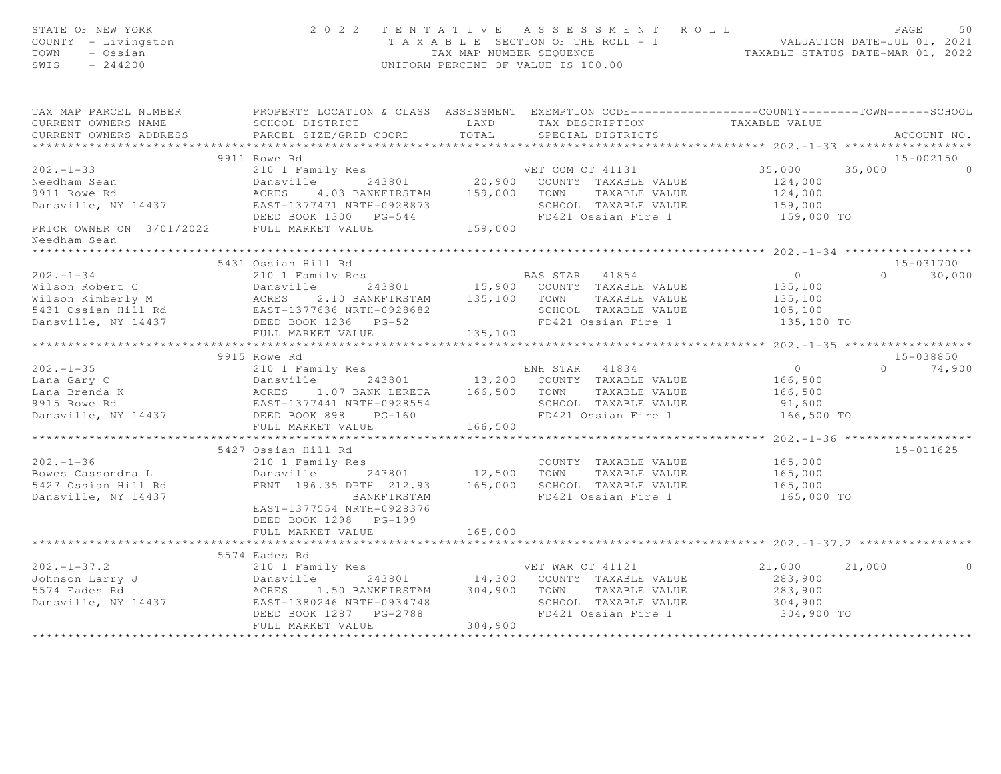| STATE OF NEW YORK<br>COUNTY - Livingston<br>TOWN<br>- Ossian<br>SWIS<br>$-244200$                                                                                                                                                              | TENTATIVE ASSESSMENT ROLL<br>PAGE<br>50<br>T A X A B L E SECTION OF THE ROLL - 1 WALUATION DATE-JUL 01, 2021<br>TAX MAP NUMBER SEQUENCE TAXABLE STATUS DATE-MAR 01, 2022<br>UNIFORM PERCENT OF VALUE IS 100.00 |                 |                                                                                     |                                             |                    |
|------------------------------------------------------------------------------------------------------------------------------------------------------------------------------------------------------------------------------------------------|----------------------------------------------------------------------------------------------------------------------------------------------------------------------------------------------------------------|-----------------|-------------------------------------------------------------------------------------|---------------------------------------------|--------------------|
| TAX MAP PARCEL NUMBER<br>CURRENT OWNERS NAME<br>CURRENT OWNERS ADDRESS                                                                                                                                                                         | PROPERTY LOCATION & CLASS ASSESSMENT EXEMPTION CODE-----------------COUNTY--------TOWN------SCHOOL<br>SCHOOL DISTRICT<br><b>EXAMPLE AND</b><br>PARCEL SIZE/GRID COORD                                          | TOTAL           | TAX DESCRIPTION TAXABLE VALUE<br>SPECIAL DISTRICTS                                  |                                             | ACCOUNT NO.        |
|                                                                                                                                                                                                                                                | 9911 Rowe Rd                                                                                                                                                                                                   |                 |                                                                                     |                                             | $15 - 002150$      |
|                                                                                                                                                                                                                                                |                                                                                                                                                                                                                |                 |                                                                                     | 35,000                                      | 35,000<br>$\Omega$ |
| 202.-1-33<br>Needham Sean<br>20.900 COUNTY TAXABLE VALUE<br>20.900 COUNTY TAXABLE VALUE<br>20.900 COUNTY TAXABLE VALUE<br>20.900 COUNTY TAXABLE VALUE<br>20.900 COUNTY TAXABLE VALUE<br>20.900 COUNTY TAXABLE VALUE<br>20.900 COUNTY TAXABLE V |                                                                                                                                                                                                                |                 |                                                                                     | 124,000<br>124,000<br>159,000<br>159,000 TO |                    |
| Needham Sean                                                                                                                                                                                                                                   |                                                                                                                                                                                                                |                 |                                                                                     |                                             |                    |
|                                                                                                                                                                                                                                                |                                                                                                                                                                                                                |                 |                                                                                     |                                             |                    |
|                                                                                                                                                                                                                                                | 5431 Ossian Hill Rd                                                                                                                                                                                            |                 |                                                                                     |                                             | 15-031700          |
|                                                                                                                                                                                                                                                |                                                                                                                                                                                                                |                 |                                                                                     |                                             | $0 \t 30,000$      |
|                                                                                                                                                                                                                                                |                                                                                                                                                                                                                |                 |                                                                                     |                                             |                    |
|                                                                                                                                                                                                                                                |                                                                                                                                                                                                                |                 |                                                                                     |                                             |                    |
| 3931 USSIAN HILL Rd<br>210 1 Family Res<br>243801 15,900 COUNTY TAXABLE VALUE 135,100<br>243801 15,900 COUNTY TAXABLE VALUE 135,100<br>243801 15,900 COUNTY TAXABLE VALUE 135,100<br>243801 15,900 COUNTY TAXABLE VALUE 135,100<br>24386 P     |                                                                                                                                                                                                                |                 |                                                                                     | 105,100<br>135,100 TO                       |                    |
|                                                                                                                                                                                                                                                | FULL MARKET VALUE                                                                                                                                                                                              | 135,100         |                                                                                     |                                             |                    |
|                                                                                                                                                                                                                                                |                                                                                                                                                                                                                |                 |                                                                                     |                                             |                    |
|                                                                                                                                                                                                                                                | 9915 Rowe Rd                                                                                                                                                                                                   |                 |                                                                                     |                                             | 15-038850          |
|                                                                                                                                                                                                                                                |                                                                                                                                                                                                                |                 |                                                                                     | $\overline{0}$                              | $0 \t 74,900$      |
|                                                                                                                                                                                                                                                |                                                                                                                                                                                                                |                 |                                                                                     | 166,500                                     |                    |
|                                                                                                                                                                                                                                                |                                                                                                                                                                                                                |                 | TOWN IAAADDE VIDJE<br>SCHOOL TAXABLE VALUE 91,600<br>FR121 Ossian Fire 1 166,500 TO | 166,500                                     |                    |
|                                                                                                                                                                                                                                                |                                                                                                                                                                                                                |                 | FD421 Ossian Fire 1                                                                 |                                             |                    |
|                                                                                                                                                                                                                                                | FULL MARKET VALUE                                                                                                                                                                                              | 166,500         |                                                                                     |                                             |                    |
|                                                                                                                                                                                                                                                |                                                                                                                                                                                                                |                 |                                                                                     |                                             |                    |
|                                                                                                                                                                                                                                                | 5427 Ossian Hill Rd                                                                                                                                                                                            |                 |                                                                                     |                                             | 15-011625          |
| $202 - 1 - 36$                                                                                                                                                                                                                                 | 210 1 Family Res                                                                                                                                                                                               |                 |                                                                                     |                                             |                    |
| Bowes Cassondra L                                                                                                                                                                                                                              |                                                                                                                                                                                                                |                 | COUNTY TAXABLE VALUE 165,000<br>TOWN TAXABLE VALUE 165,000                          |                                             |                    |
| 5427 Ossian Hill Rd                                                                                                                                                                                                                            |                                                                                                                                                                                                                |                 |                                                                                     |                                             |                    |
| Dansville, NY 14437                                                                                                                                                                                                                            | BANKFIRSTAM                                                                                                                                                                                                    |                 | FD421 Ossian Fire 1                                                                 | 165,000<br>165,000 TO                       |                    |
|                                                                                                                                                                                                                                                | EAST-1377554 NRTH-0928376<br>DEED BOOK 1298 PG-199                                                                                                                                                             |                 |                                                                                     |                                             |                    |
|                                                                                                                                                                                                                                                | FULL MARKET VALUE                                                                                                                                                                                              | 165,000         |                                                                                     |                                             |                    |
|                                                                                                                                                                                                                                                | ********************************                                                                                                                                                                               | *************** |                                                                                     |                                             |                    |
|                                                                                                                                                                                                                                                | 5574 Eades Rd                                                                                                                                                                                                  |                 |                                                                                     |                                             |                    |
|                                                                                                                                                                                                                                                |                                                                                                                                                                                                                |                 |                                                                                     | 21,000 21,000                               | $\circ$            |
|                                                                                                                                                                                                                                                |                                                                                                                                                                                                                |                 |                                                                                     | 283,900                                     |                    |
|                                                                                                                                                                                                                                                |                                                                                                                                                                                                                |                 |                                                                                     | 283,900                                     |                    |
|                                                                                                                                                                                                                                                |                                                                                                                                                                                                                |                 | SCHOOL TAXABLE VALUE                                                                | 304,900<br>304,900 TO                       |                    |
|                                                                                                                                                                                                                                                |                                                                                                                                                                                                                |                 | FD421 Ossian Fire 1                                                                 |                                             |                    |
|                                                                                                                                                                                                                                                | FULL MARKET VALUE                                                                                                                                                                                              | 304,900         |                                                                                     |                                             |                    |
|                                                                                                                                                                                                                                                |                                                                                                                                                                                                                |                 |                                                                                     |                                             |                    |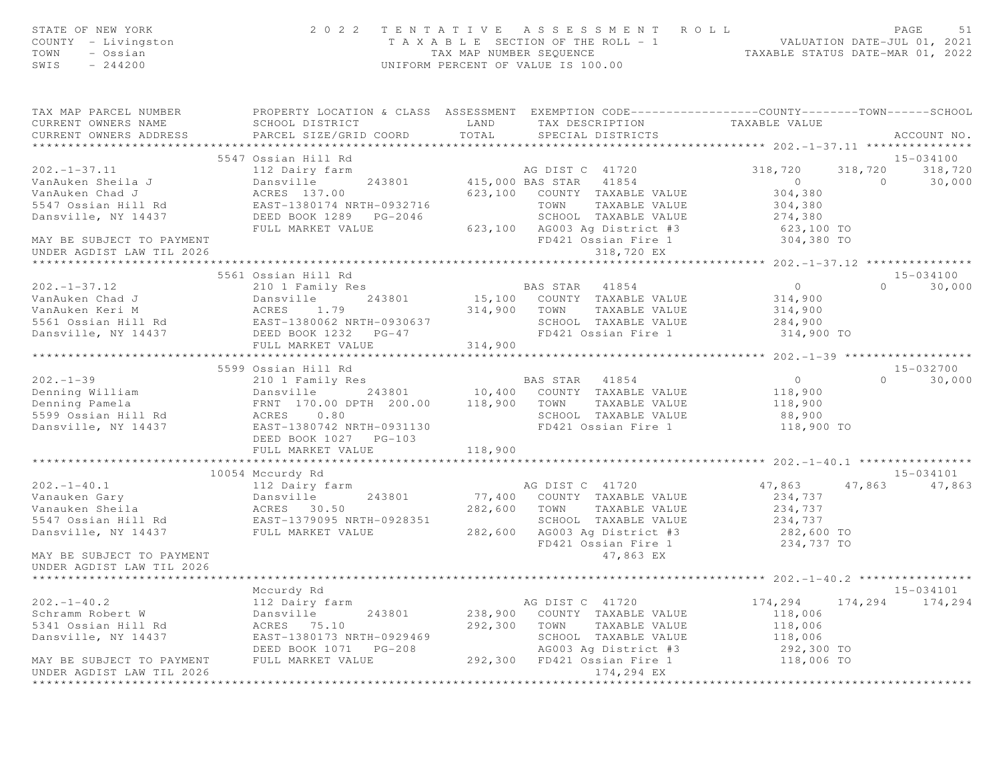| STATE OF NEW YORK<br>COUNTY - Livingston<br>TOWN<br>- Ossian<br>SWIS<br>$-244200$                                                                                                                                                                  |                                                                                                                                               | UNIFORM PERCENT OF VALUE IS 100.00 | 2022 TENTATIVE ASSESSMENT ROLL PAGE 51<br>TAXABLE SECTION OF THE ROLL - 1 VALUATION DATE-JUL 01, 2021<br>TAX MAP NUMBER SEQUENCE TAXABLE STATUS DATE-MAR 01, 2022 |                                                       |                |                    |
|----------------------------------------------------------------------------------------------------------------------------------------------------------------------------------------------------------------------------------------------------|-----------------------------------------------------------------------------------------------------------------------------------------------|------------------------------------|-------------------------------------------------------------------------------------------------------------------------------------------------------------------|-------------------------------------------------------|----------------|--------------------|
| TAX MAP PARCEL NUMBER<br>CURRENT OWNERS NAME<br>CURRENT OWNERS ADDRESS                                                                                                                                                                             | PROPERTY LOCATION & CLASS ASSESSMENT EXEMPTION CODE----------------COUNTY-------TOWN------SCHOOL<br>SCHOOL DISTRICT<br>PARCEL SIZE/GRID COORD |                                    | LAND TAX DESCRIPTION TAXABLE VALUE<br>TOTAL SPECIAL DISTRICTS                                                                                                     |                                                       |                | ACCOUNT NO.        |
|                                                                                                                                                                                                                                                    |                                                                                                                                               |                                    |                                                                                                                                                                   |                                                       |                |                    |
|                                                                                                                                                                                                                                                    | 5547 Ossian Hill Rd                                                                                                                           |                                    |                                                                                                                                                                   |                                                       |                | 15-034100          |
| $202 - 1 - 37.11$                                                                                                                                                                                                                                  | 112 Dairy farm                                                                                                                                |                                    | AG DIST C 41720<br>243801 415,000 BAS STAR 41854<br>AG DIST C 41720                                                                                               | 318,720<br>$\overline{0}$                             | $\overline{0}$ | 318,720 318,720    |
| VanAuken Sheila J<br>VanAuken Chad J                                                                                                                                                                                                               | Dansville<br>ACRES 137.00                                                                                                                     |                                    | 623,100 COUNTY TAXABLE VALUE                                                                                                                                      | 304,380                                               |                | 30,000             |
| 5547 Ossian Hill Rd                                                                                                                                                                                                                                |                                                                                                                                               |                                    |                                                                                                                                                                   | 304,380                                               |                |                    |
| Dansville, NY 14437                                                                                                                                                                                                                                |                                                                                                                                               |                                    |                                                                                                                                                                   | 274,380                                               |                |                    |
|                                                                                                                                                                                                                                                    |                                                                                                                                               |                                    |                                                                                                                                                                   | 623,100 TO                                            |                |                    |
| MAY BE SUBJECT TO PAYMENT                                                                                                                                                                                                                          |                                                                                                                                               |                                    | FD421 Ossian Fire 1                                                                                                                                               | 304,380 TO                                            |                |                    |
| UNDER AGDIST LAW TIL 2026                                                                                                                                                                                                                          |                                                                                                                                               |                                    | 318,720 EX                                                                                                                                                        |                                                       |                |                    |
|                                                                                                                                                                                                                                                    |                                                                                                                                               |                                    |                                                                                                                                                                   |                                                       |                |                    |
|                                                                                                                                                                                                                                                    | 5561 Ossian Hill Rd                                                                                                                           |                                    |                                                                                                                                                                   |                                                       |                | 15-034100          |
| $202 - 1 - 37.12$                                                                                                                                                                                                                                  | 210 1 Family Res                                                                                                                              |                                    | BAS STAR 41854                                                                                                                                                    | $\overline{0}$                                        |                | $\Omega$<br>30,000 |
| VanAuken Chad J                                                                                                                                                                                                                                    |                                                                                                                                               |                                    | 15,100 COUNTY TAXABLE VALUE                                                                                                                                       | 314,900                                               |                |                    |
| VanAuken Keri M                                                                                                                                                                                                                                    |                                                                                                                                               |                                    | 314,900 TOWN<br>TAXABLE VALUE                                                                                                                                     | 314,900                                               |                |                    |
| 5561 Ossian Hill Rd<br>Dansville, NY 14437                                                                                                                                                                                                         |                                                                                                                                               |                                    | SCHOOL TAXABLE VALUE<br>FD421 Ossian Fire 1                                                                                                                       | 284,900                                               |                |                    |
|                                                                                                                                                                                                                                                    | DEED BOOK 1232 PG-47                                                                                                                          |                                    |                                                                                                                                                                   | 314,900 TO                                            |                |                    |
|                                                                                                                                                                                                                                                    | FULL MARKET VALUE<br>*******************************                                                                                          | 314,900                            |                                                                                                                                                                   |                                                       |                |                    |
|                                                                                                                                                                                                                                                    | 5599 Ossian Hill Rd                                                                                                                           |                                    |                                                                                                                                                                   |                                                       |                | 15-032700          |
| $202 - 1 - 39$                                                                                                                                                                                                                                     | 210 1 Family Res                                                                                                                              |                                    |                                                                                                                                                                   | $\overline{0}$                                        | $\Omega$       | 30,000             |
|                                                                                                                                                                                                                                                    |                                                                                                                                               |                                    | BAS STAR 41854<br>10,400 COUNTY TAXABLE VALUE                                                                                                                     | 118,900                                               |                |                    |
|                                                                                                                                                                                                                                                    |                                                                                                                                               |                                    |                                                                                                                                                                   | 118,900                                               |                |                    |
|                                                                                                                                                                                                                                                    |                                                                                                                                               |                                    |                                                                                                                                                                   | 88,900                                                |                |                    |
| Denning William (1993)<br>Denning Pamela (1994)<br>Denning Pamela (1994)<br>Sanswille, NY 14437 (1997)<br>EAST-1380742 NRTH-0931130 (1998)<br>Compared (1998)<br>Compared (1999)<br>Compared (1999)<br>Compared (1999)<br>Compared (1999)<br>Compa |                                                                                                                                               |                                    |                                                                                                                                                                   | 118,900 TO                                            |                |                    |
|                                                                                                                                                                                                                                                    |                                                                                                                                               |                                    |                                                                                                                                                                   |                                                       |                |                    |
|                                                                                                                                                                                                                                                    | FULL MARKET VALUE                                                                                                                             | 118,900                            |                                                                                                                                                                   |                                                       |                |                    |
|                                                                                                                                                                                                                                                    | ***************************                                                                                                                   | **************                     |                                                                                                                                                                   | *********************** 202.-1-40.1 ***************** |                |                    |
|                                                                                                                                                                                                                                                    | 10054 Mccurdy Rd                                                                                                                              |                                    |                                                                                                                                                                   |                                                       |                | 15-034101          |
| $202. -1 - 40.1$                                                                                                                                                                                                                                   | 112 Dairy farm                                                                                                                                |                                    | AG DIST C 41720                                                                                                                                                   | 47,863                                                | 47,863         | 47,863             |
|                                                                                                                                                                                                                                                    |                                                                                                                                               |                                    | 77,400 COUNTY TAXABLE VALUE                                                                                                                                       | 234,737                                               |                |                    |
| Vanauken Gary and the Dansville and 243801 77,400 COUNTY TAXABLE VALUE<br>Vanauken Sheila (ACRES 30.50 282,600 TOWN TAXABLE VALUE S547 Ossian Hill Rd EAST-1379095 NRTH-0928351 282,600 TOWN TAXABLE VALUE Dansville, NY 14437 F                   |                                                                                                                                               |                                    |                                                                                                                                                                   | 234,737<br>234,737                                    |                |                    |
|                                                                                                                                                                                                                                                    |                                                                                                                                               |                                    |                                                                                                                                                                   | 282,600 TO                                            |                |                    |
|                                                                                                                                                                                                                                                    |                                                                                                                                               |                                    | FD421 Ossian Fire 1                                                                                                                                               | 234,737 TO                                            |                |                    |
| MAY BE SUBJECT TO PAYMENT                                                                                                                                                                                                                          |                                                                                                                                               |                                    | 47,863 EX                                                                                                                                                         |                                                       |                |                    |
| UNDER AGDIST LAW TIL 2026                                                                                                                                                                                                                          |                                                                                                                                               |                                    |                                                                                                                                                                   |                                                       |                |                    |
|                                                                                                                                                                                                                                                    |                                                                                                                                               |                                    |                                                                                                                                                                   |                                                       |                |                    |
|                                                                                                                                                                                                                                                    | Mccurdy Rd                                                                                                                                    |                                    |                                                                                                                                                                   |                                                       |                | 15-034101          |
| $202 - 1 - 40.2$                                                                                                                                                                                                                                   | 112 Dairy farm                                                                                                                                |                                    | AG DIST C 41720                                                                                                                                                   | 174,294                                               |                | 174,294 174,294    |
| Schramm Robert W                                                                                                                                                                                                                                   | 243801<br>Dansville                                                                                                                           |                                    | 238,900 COUNTY TAXABLE VALUE                                                                                                                                      | 118,006                                               |                |                    |
| 5341 Ossian Hill Rd                                                                                                                                                                                                                                | ACRES 75.10                                                                                                                                   | 292,300 TOWN                       | TAXABLE VALUE                                                                                                                                                     | 118,006                                               |                |                    |
| Dansville, NY 14437                                                                                                                                                                                                                                | EAST-1380173 NRTH-0929469                                                                                                                     |                                    |                                                                                                                                                                   | 118,006                                               |                |                    |
|                                                                                                                                                                                                                                                    |                                                                                                                                               |                                    | SCHOOD Inner.<br>AGO03 Ag District #3<br>101 Opsian Fire 1                                                                                                        | 292,300 TO                                            |                |                    |
| MAY BE SUBJECT TO PAYMENT                                                                                                                                                                                                                          | FULL MARKET VALUE                                                                                                                             |                                    | 292,300 FD421 Ossian Fire 1                                                                                                                                       | 118,006 TO                                            |                |                    |
| UNDER AGDIST LAW TIL 2026                                                                                                                                                                                                                          |                                                                                                                                               |                                    | 174,294 EX                                                                                                                                                        |                                                       |                |                    |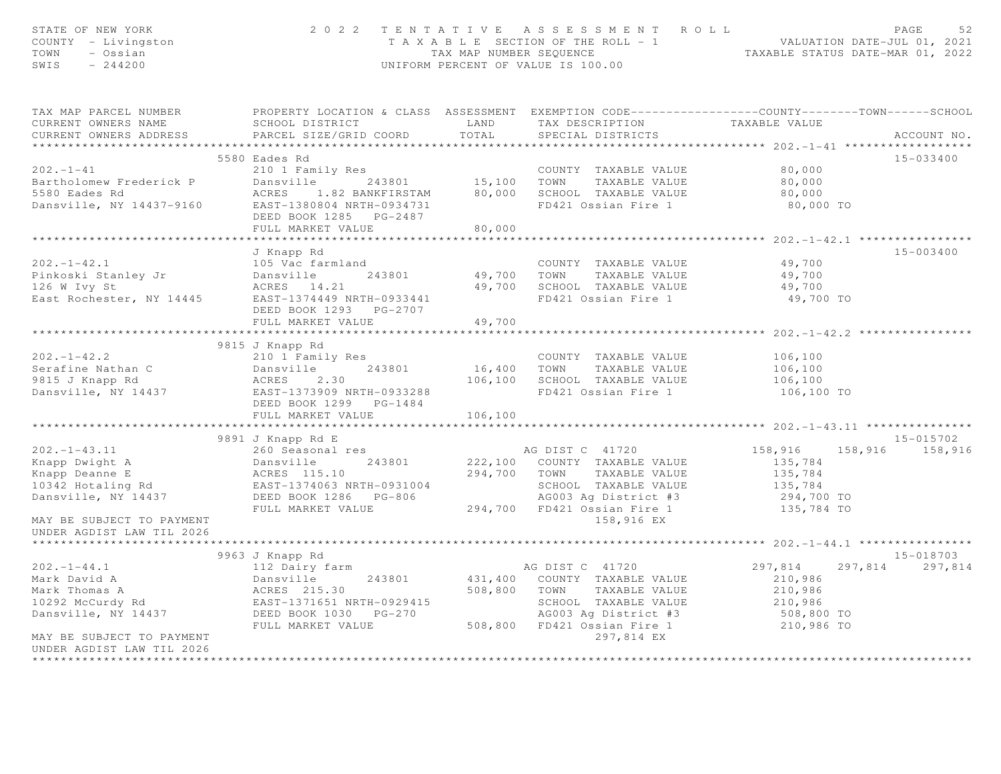| STATE OF NEW YORK<br>2022 TENTATIVE ASSESSMENT ROLL<br>T A X A B L E SECTION OF THE ROLL - 1 VALUATION DATE-JUL 01, 2021<br>TAX MAP NUMBER SEQUENCE TAXABLE STATUS DATE-MAR 01, 2022<br>COUNTY - Livingston<br>TOWN<br>- Ossian<br>SWIS $-244200$<br>UNIFORM PERCENT OF VALUE IS 100.00 |                                                                                                                                                                                                                                                                                                                               |         |                                                                                                                                                                               |                                                                                        | PAGE<br>52                   |  |  |  |
|-----------------------------------------------------------------------------------------------------------------------------------------------------------------------------------------------------------------------------------------------------------------------------------------|-------------------------------------------------------------------------------------------------------------------------------------------------------------------------------------------------------------------------------------------------------------------------------------------------------------------------------|---------|-------------------------------------------------------------------------------------------------------------------------------------------------------------------------------|----------------------------------------------------------------------------------------|------------------------------|--|--|--|
| CURRENT OWNERS NAME<br>CURRENT OWNERS ADDRESS                                                                                                                                                                                                                                           | TAX MAP PARCEL NUMBER THE PROPERTY LOCATION & CLASS ASSESSMENT EXEMPTION CODE--------------COUNTY--------TOWN------SCHOOL<br>SCHOOL DISTRICT LAND TAX DESCRIPTION<br>PARCEL SIZE/GRID COORD                                                                                                                                   | TOTAL   | SPECIAL DISTRICTS                                                                                                                                                             | TAXABLE VALUE                                                                          | ACCOUNT NO.                  |  |  |  |
|                                                                                                                                                                                                                                                                                         | 5580 Eades Rd                                                                                                                                                                                                                                                                                                                 |         |                                                                                                                                                                               |                                                                                        | 15-033400                    |  |  |  |
| $202 - 1 - 41$                                                                                                                                                                                                                                                                          | 210 1 Family Res<br>DEED BOOK 1285 PG-2487<br>FULL MARKET VALUE                                                                                                                                                                                                                                                               | 80,000  | COUNTY TAXABLE VALUE                                                                                                                                                          | 80,000<br>80,000<br>80,000<br>80,000 TO                                                |                              |  |  |  |
|                                                                                                                                                                                                                                                                                         |                                                                                                                                                                                                                                                                                                                               |         |                                                                                                                                                                               |                                                                                        |                              |  |  |  |
|                                                                                                                                                                                                                                                                                         | J Knapp Rd<br>105 Vac farmland<br>202.-1-42.1 105 Vac farmland 202.-1-42.1 105 Vac farmland COUNTY TAXABLE VALUE<br>Pinkoski Stanley Jr Dansville 243801 49,700 TOWN TAXABLE VALUE<br>126 W Ivy St ACRES 14.21 49,700 SCHOOL TAXABLE VALUE<br>East Rochester, NY 14445<br>DEED BOOK 1293 PG-2707<br>FULL MARKET VALUE         | 49,700  | COUNTY TAXABLE VALUE 49,700                                                                                                                                                   | 49,700<br>49,700<br>49,700 TO                                                          | 15-003400                    |  |  |  |
|                                                                                                                                                                                                                                                                                         |                                                                                                                                                                                                                                                                                                                               |         |                                                                                                                                                                               |                                                                                        |                              |  |  |  |
|                                                                                                                                                                                                                                                                                         | 9815 J Knapp Rd<br>202.-1-42.2<br>Serafine Nathan C 243801<br>210 1 Family Res<br>243801<br>243801<br>243801<br>243801<br>26,400 TOWN TAXABLE VALUE<br>243801<br>26,400 TOWN TAXABLE VALUE<br>243801<br>26,100 SCHOOL TAXABLE VALUE<br>26,100 SCHOOL TAXABLE VALUE<br>2.30<br><br>DEED BOOK 1299 PG-1484<br>FULL MARKET VALUE | 106,100 | COUNTY TAXABLE VALUE                                                                                                                                                          | 106,100<br>106,100<br>106,100<br>106,100 TO                                            |                              |  |  |  |
|                                                                                                                                                                                                                                                                                         | ******************************                                                                                                                                                                                                                                                                                                |         |                                                                                                                                                                               | ************************ 202. -1-43. 11 ****************                               |                              |  |  |  |
| MAY BE SUBJECT TO PAYMENT                                                                                                                                                                                                                                                               | 9891 J Knapp Rd E<br>202.-1-43.11 260 Seasonal res and particle and the Mapp Dwight A 243801 222,100 COUNTY TAXABLE VALUE<br>Xnapp Deanne E ACRES 115.10 294,700 TOWN TAXABLE VALUE<br>294,700 TOWN TAXABLE VALUE<br>294,700 TOWN TAXABLE VALUE<br>294,700<br>FULL MARKET VALUE                                               |         | AG DIST C 41720<br>294,700 TOWN TAXABLE VALUE<br>SCHOOL TAXABLE VALUE<br>AG003 Ag District #3<br>294,700 FD421 Ossian Fire 1<br>158,916 EX                                    | 158,916 158,916 158,916<br>135,784<br>135,784<br>$135,784$<br>294,700 TO<br>135,784 TO | 15-015702                    |  |  |  |
| UNDER AGDIST LAW TIL 2026                                                                                                                                                                                                                                                               |                                                                                                                                                                                                                                                                                                                               |         |                                                                                                                                                                               |                                                                                        |                              |  |  |  |
| $202 - 1 - 44.1$                                                                                                                                                                                                                                                                        | 9963 J Knapp Rd<br>112 Dairy farm                                                                                                                                                                                                                                                                                             |         | AG DIST C 41720                                                                                                                                                               | 297,814                                                                                | 15-018703<br>297,814 297,814 |  |  |  |
| Mark David A<br>Mark David A<br>Mark Thomas A<br>10292 McCurdy Rd<br>Dansville, NY 14437<br>MAY BE SUBJECT TO PAYMENT                                                                                                                                                                   | FULL MARKET VALUE                                                                                                                                                                                                                                                                                                             |         | 431,400 COUNTY TAXABLE VALUE<br>508,800 TOWN TAXABLE VALUE<br>SCHOOL TAXABLE VALUE<br>AGO03 Ag District #3 508,800 TO<br>508,800 FD421 Ossian Fire 1 210,986 TO<br>297,814 EX | 210,986<br>210,986<br>210,986                                                          |                              |  |  |  |
| UNDER AGDIST LAW TIL 2026<br>********************                                                                                                                                                                                                                                       |                                                                                                                                                                                                                                                                                                                               |         |                                                                                                                                                                               |                                                                                        |                              |  |  |  |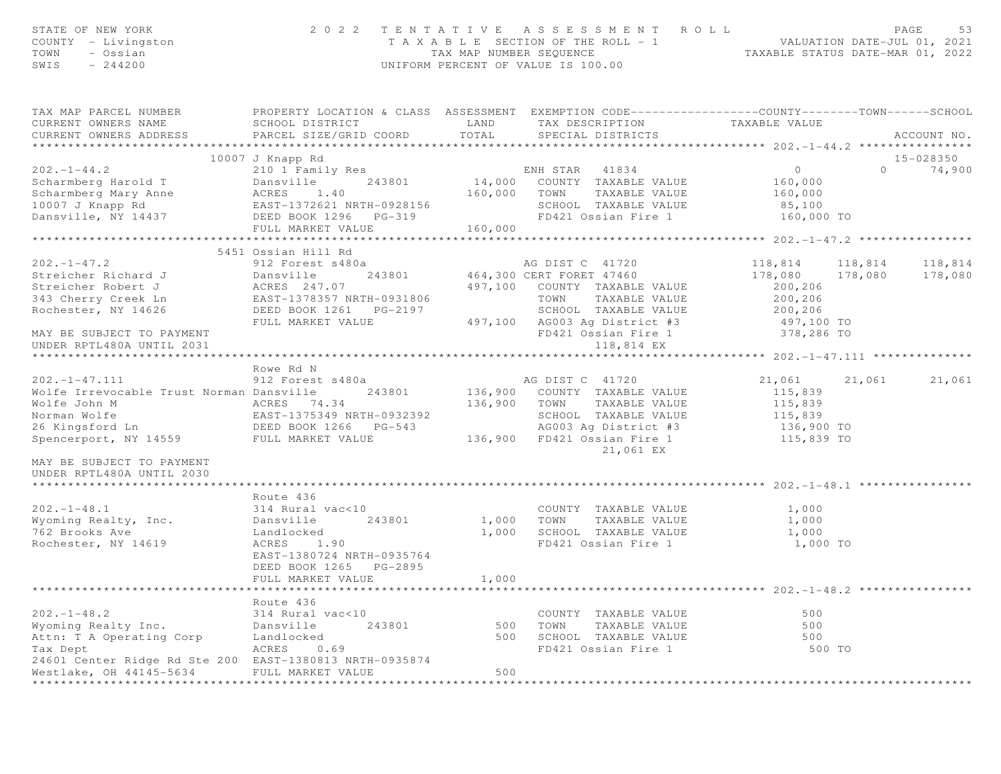| STATE OF NEW YORK<br>COUNTY - Livingston<br>TOWN - Ossian<br>SWIS - 244200                                                                                                                                                                                                                       |                                                                                                                                                    |                   | 2022 TENTATIVE ASSESSMENT ROLL<br>TAXABLE SECTION OF THE ROLL - 1 VALUATION DATE-JUL 01, 2021<br>TAXABLE STATUS DATE-MAR 01, 2022<br>UNIFORM PERCENT OF VALUE IS 100.00 |                                                                                           |          | PAGE<br>53          |
|--------------------------------------------------------------------------------------------------------------------------------------------------------------------------------------------------------------------------------------------------------------------------------------------------|----------------------------------------------------------------------------------------------------------------------------------------------------|-------------------|-------------------------------------------------------------------------------------------------------------------------------------------------------------------------|-------------------------------------------------------------------------------------------|----------|---------------------|
| TAX MAP PARCEL NUMBER PROPERTY LOCATION & CLASS ASSESSMENT EXEMPTION CODE---------------COUNTY-------TOWN------SCHOOL<br>CURRENT OWNERS NAME<br>CURRENT OWNERS ADDRESS                                                                                                                           | SCHOOL DISTRICT<br>PARCEL SIZE/GRID COORD                                                                                                          | TOTAL             | LAND TAX DESCRIPTION TAXABLE VALUE<br>SPECIAL DISTRICTS                                                                                                                 |                                                                                           |          | ACCOUNT NO.         |
| 10007 J Knapp Ku<br>202.-1-44.2 210 1 Family Res<br>Scharmberg Harold T Dansville 243801 14,000<br>Scharmberg Mary Anne ACRES 1.40 160,000<br>10007 J Knapp Rd EAST-1372621 NRTH-0928156<br>FRED ROOK 1296 PG-319<br>Dansville, NY 14437 DEED BOOK 1296 PG-319                                   | FULL MARKET VALUE                                                                                                                                  | 160,000           | 160,000 TOWN TAXABLE VALUE<br>SCHOOL TAXABLE VALUE<br>FD421 Ossian Fire 1                                                                                               | 160,000<br>85,100<br>160,000 TO                                                           | $\Omega$ | 15-028350<br>74,900 |
|                                                                                                                                                                                                                                                                                                  |                                                                                                                                                    |                   |                                                                                                                                                                         |                                                                                           |          |                     |
| 202.-1-47.2<br>SIST COMPARES 243801<br>SIST COMPARES 243801<br>SIST COMPARES 247.07<br>243801 464,300 CERT FORET 47460<br>243801 464,300 CERT FORET 47460<br>243801 464,300 CERT FORET 47460<br>243801 464,300 CERT FORET 47460<br>243801 464,                                                   | 5451 Ossian Hill Rd<br>FULL MARKET VALUE                                                                                                           |                   | TOWN TAXABLE VALUE<br>SCHOOL TAXABLE VALUE                                                                                                                              | $118,814$ $118,814$ $118,814$<br>178,080 178,080 178,080<br>200,206<br>200,206<br>200,206 |          |                     |
| MAY BE SUBJECT TO PAYMENT<br>UNDER RPTL480A UNTIL 2031                                                                                                                                                                                                                                           |                                                                                                                                                    |                   | 497,100 AG003 Ag District #3 497,100 TO<br>FD421 Ossian Fire 1 378,286 TO<br>118,814 EX                                                                                 |                                                                                           |          |                     |
| $202. -1 - 47.111$<br>Wolfe Irrevocable Trust Norman Dansville<br>Wolfe John M M (ACRES 74.34 136,900 TOWN TAXABLE VALUE RAST-1375349 NRTH-0932392 SCHOOL TAXABLE VALUE EAST-1375349 NRTH-0932392 SCHOOL TAXABLE VALUE EAST-1375349 NRTH-0932392 SCHOOL TAXABLE VALUE CONTENT AGOOS AGOOS AGES A | Rowe Rd N<br>912 Forest s480a                                                                                                                      |                   | AG DIST C 41720<br>243801 136,900 COUNTY TAXABLE VALUE<br>SCHOOL TAXABLE VALUE 115,839                                                                                  | 21,061 21,061<br>115,839<br>115,839<br>136,900 TO                                         |          | 21,061              |
| MAY BE SUBJECT TO PAYMENT<br>UNDER RPTL480A UNTIL 2030                                                                                                                                                                                                                                           |                                                                                                                                                    |                   | 21,061 EX                                                                                                                                                               |                                                                                           |          |                     |
| $202 - 1 - 48.1$<br>Wyoming Realty, Inc. Dansville<br>762 Brooks Ave<br>Rochester, NY 14619                                                                                                                                                                                                      | Route 436<br>314 Rural vac<10<br>243801<br>Landlocked<br>ACRES<br>1.90<br>EAST-1380724 NRTH-0935764<br>DEED BOOK 1265 PG-2895<br>FULL MARKET VALUE | 1,000             | COUNTY TAXABLE VALUE<br>1,000 TOWN TAXABLE VALUE<br>1,000 SCHOOL TAXABLE VALUE<br>FD421 Ossian Fire 1 1,000 TO                                                          | 1,000<br>1,000<br>1,000                                                                   |          |                     |
|                                                                                                                                                                                                                                                                                                  |                                                                                                                                                    |                   |                                                                                                                                                                         |                                                                                           |          |                     |
| $202. -1 - 48.2$<br>Wyoming Realty Inc.<br>Attn: T A Operating Corp<br>Tax Dept<br>24601 Center Ridge Rd Ste 200 EAST-1380813 NRTH-0935874<br>Westlake, OH 44145-5634                                                                                                                            | Route 436<br>314 Rural vac<10<br>Dansville<br>243801<br>Landlocked<br>ACRES<br>0.69<br>FULL MARKET VALUE                                           | 500<br>500<br>500 | COUNTY TAXABLE VALUE<br>TOWN<br>TAXABLE VALUE<br>SCHOOL TAXABLE VALUE<br>FD421 Ossian Fire 1                                                                            | 500<br>500<br>500<br>500 TO                                                               |          |                     |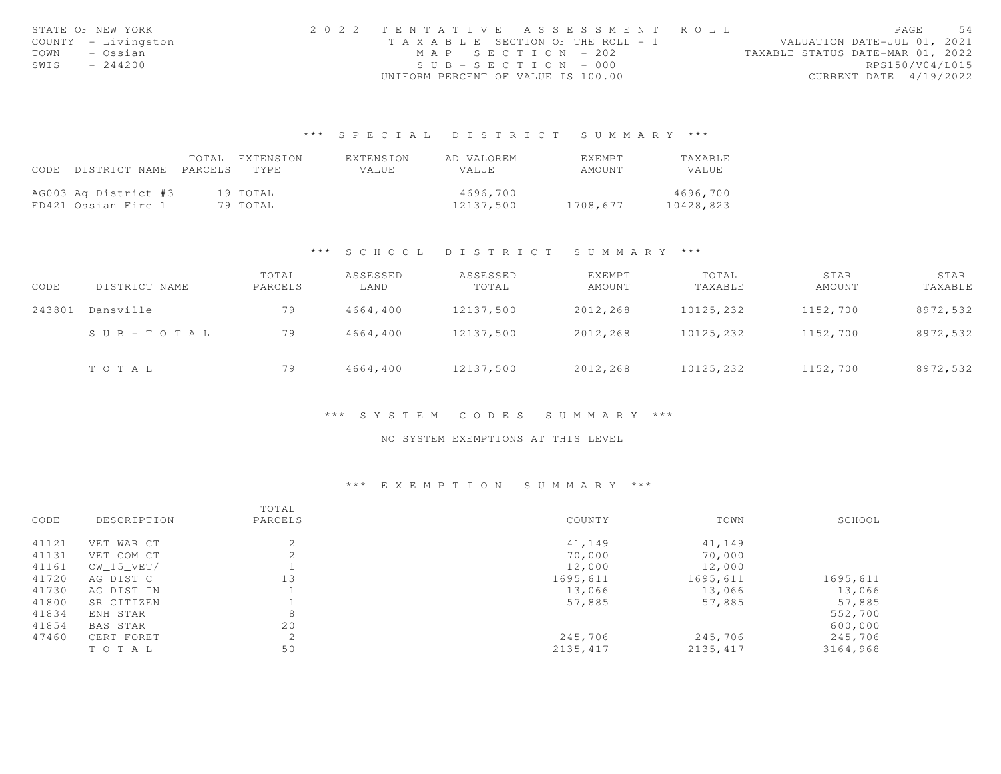| STATE OF NEW YORK |                     | 2022 TENTATIVE ASSESSMENT ROLL     |  |  |                                  |                        | PAGE | 54 |
|-------------------|---------------------|------------------------------------|--|--|----------------------------------|------------------------|------|----|
|                   | COUNTY - Livingston | TAXABLE SECTION OF THE ROLL - 1    |  |  | VALUATION DATE-JUL 01, 2021      |                        |      |    |
| TOWN              | – Ossian            | MAP SECTION - 202                  |  |  | TAXABLE STATUS DATE-MAR 01, 2022 |                        |      |    |
| SWIS              | $-244200$           | $SUB - SECTION - 000$              |  |  |                                  | RPS150/V04/L015        |      |    |
|                   |                     | UNIFORM PERCENT OF VALUE IS 100.00 |  |  |                                  | CURRENT DATE 4/19/2022 |      |    |

## \*\*\* S P E C I A L D I S T R I C T S U M M A R Y \*\*\*

| CODE | DISTRICT NAME                               | TOTAL<br>PARCELS | EXTENSION<br>TYPE.   | EXTENSION<br>VALUE | AD VALOREM<br><b>VALUE</b> | EXEMPT<br>AMOUNT | TAXABLE<br>VALUE      |
|------|---------------------------------------------|------------------|----------------------|--------------------|----------------------------|------------------|-----------------------|
|      | AG003 Ag District #3<br>FD421 Ossian Fire 1 |                  | 19 TOTAL<br>79 TOTAL |                    | 4696,700<br>12137.500      | 1708,677         | 4696,700<br>10428,823 |

### \*\*\* S C H O O L D I S T R I C T S U M M A R Y \*\*\*

| CODE   | DISTRICT NAME         | TOTAL<br>PARCELS | ASSESSED<br>LAND | ASSESSED<br>TOTAL | EXEMPT<br>AMOUNT | TOTAL<br>TAXABLE | STAR<br>AMOUNT | STAR<br>TAXABLE |
|--------|-----------------------|------------------|------------------|-------------------|------------------|------------------|----------------|-----------------|
| 243801 | Dansville             | 79               | 4664,400         | 12137,500         | 2012,268         | 10125,232        | 1152,700       | 8972,532        |
|        | $S \cup B - TO T A L$ | 79               | 4664,400         | 12137,500         | 2012,268         | 10125,232        | 1152,700       | 8972,532        |
|        | TOTAL                 | 79               | 4664,400         | 12137,500         | 2012,268         | 10125,232        | 1152,700       | 8972,532        |

#### \*\*\* S Y S T E M C O D E S S U M M A R Y \*\*\*

#### NO SYSTEM EXEMPTIONS AT THIS LEVEL

## \*\*\* E X E M P T I O N S U M M A R Y \*\*\*

|       |                 | TOTAL         |           |           |          |
|-------|-----------------|---------------|-----------|-----------|----------|
| CODE  | DESCRIPTION     | PARCELS       | COUNTY    | TOWN      | SCHOOL   |
| 41121 | VET WAR CT      | $\mathcal{L}$ | 41,149    | 41,149    |          |
| 41131 | VET COM CT      |               | 70,000    | 70,000    |          |
| 41161 | CW 15 VET/      |               | 12,000    | 12,000    |          |
| 41720 | AG DIST C       | 13            | 1695,611  | 1695,611  | 1695,611 |
| 41730 | AG DIST IN      |               | 13,066    | 13,066    | 13,066   |
| 41800 | SR CITIZEN      |               | 57,885    | 57,885    | 57,885   |
| 41834 | ENH STAR        | 8             |           |           | 552,700  |
| 41854 | <b>BAS STAR</b> | 20            |           |           | 600,000  |
| 47460 | CERT FORET      | 2             | 245,706   | 245,706   | 245,706  |
|       | TO TAL          | 50            | 2135, 417 | 2135, 417 | 3164,968 |
|       |                 |               |           |           |          |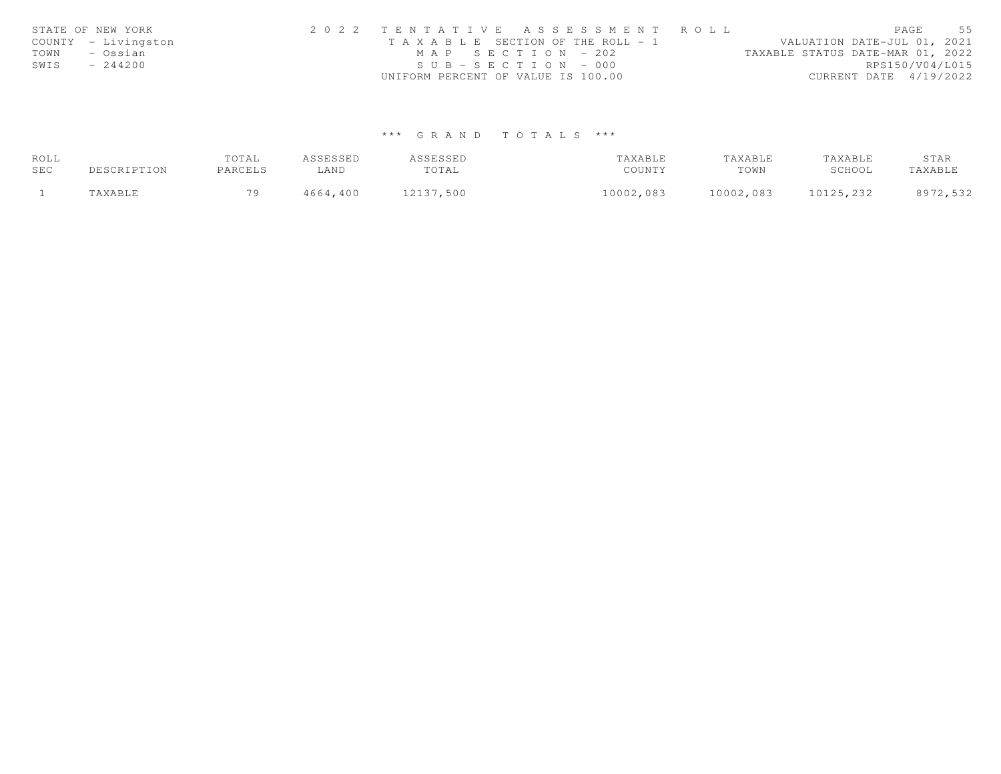|      | STATE OF NEW YORK   | 2022 TENTATIVE ASSESSMENT ROLL        | 55<br>PAGE                       |
|------|---------------------|---------------------------------------|----------------------------------|
|      | COUNTY - Livingston | T A X A B L E SECTION OF THE ROLL - 1 | VALUATION DATE-JUL 01, 2021      |
| TOWN | – Ossian            | MAP SECTION - 202                     | TAXABLE STATUS DATE-MAR 01, 2022 |
| SWIS | $-244200$           | $SUB - SECTION - 000$                 | RPS150/V04/L015                  |
|      |                     | UNIFORM PERCENT OF VALUE IS 100.00    | CURRENT DATE 4/19/2022           |

# \*\*\* G R A N D T O T A L S \*\*\*

| ROLL |             | TOTAL   | ASSESSED | ASSESSED  | TAXABLE   | TAXABLE   | TAXABLE   | STAR     |
|------|-------------|---------|----------|-----------|-----------|-----------|-----------|----------|
| SEC  | DESCRIPTION | PARCELS | LAND     | TOTAL     | COUNTY    | TOWN      | SCHOOL    | TAXABLE  |
|      | TAXABLE     | 70      | 4664,400 | 12137,500 | 10002,083 | 10002,083 | 10125,232 | 8972,532 |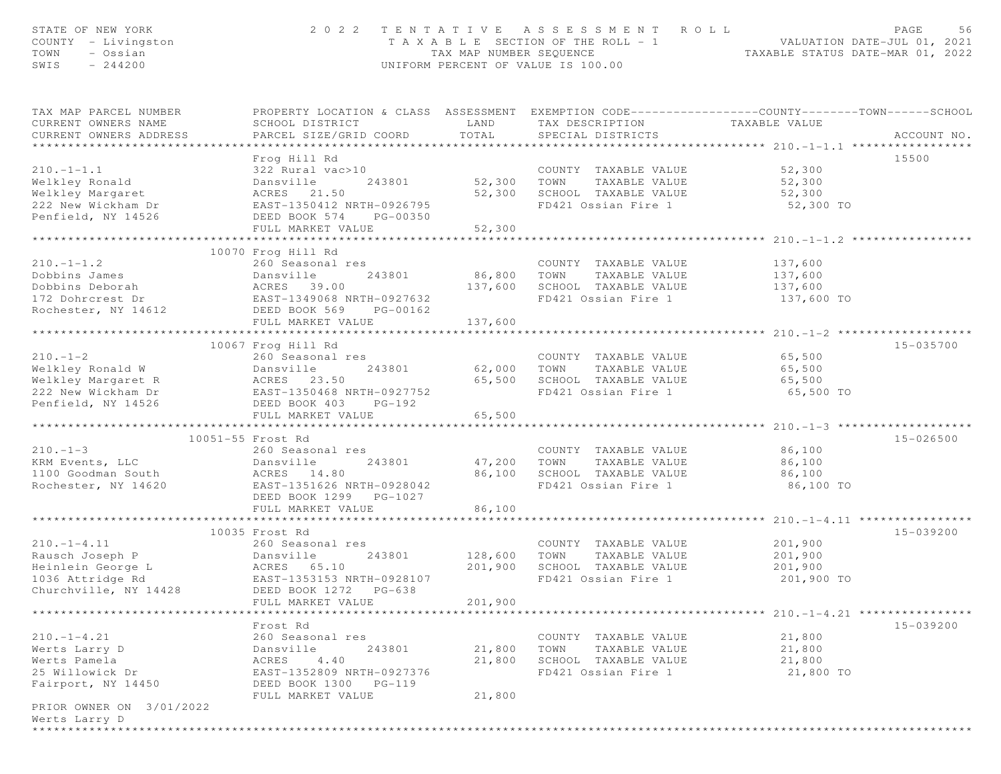| STATE OF NEW YORK<br>COUNTY - Livingston<br>TOWN<br>- Ossian<br>$-244200$<br>SWIS                                      | 2 0 2 2                                                                                                                                                                              | TAX MAP NUMBER SEQUENCE                                  | TENTATIVE ASSESSMENT ROLL<br>T A X A B L E SECTION OF THE ROLL - 1<br>UNIFORM PERCENT OF VALUE IS 100.00 | PAGE<br>56                                                                                                                        |
|------------------------------------------------------------------------------------------------------------------------|--------------------------------------------------------------------------------------------------------------------------------------------------------------------------------------|----------------------------------------------------------|----------------------------------------------------------------------------------------------------------|-----------------------------------------------------------------------------------------------------------------------------------|
| TAX MAP PARCEL NUMBER<br>CURRENT OWNERS NAME<br>CURRENT OWNERS ADDRESS                                                 | SCHOOL DISTRICT<br>PARCEL SIZE/GRID COORD                                                                                                                                            | LAND<br>TOTAL                                            | TAX DESCRIPTION<br>SPECIAL DISTRICTS                                                                     | PROPERTY LOCATION & CLASS ASSESSMENT EXEMPTION CODE----------------COUNTY--------TOWN------SCHOOL<br>TAXABLE VALUE<br>ACCOUNT NO. |
| $210. -1 - 1.1$<br>Welkley Ronald<br>Welkley Margaret<br>222 New Wickham Dr<br>Penfield, NY 14526                      | Frog Hill Rd<br>322 Rural vac>10<br>243801<br>Dansville<br>ACRES 21.50<br>EAST-1350412 NRTH-0926795<br>DEED BOOK 574<br>PG-00350<br>FULL MARKET VALUE<br>*************************** | 52,300 TOWN<br>52,300<br>52,300<br>* * * * * * * * * * * | COUNTY TAXABLE VALUE<br>TAXABLE VALUE<br>SCHOOL TAXABLE VALUE<br>FD421 Ossian Fire 1                     | 15500<br>52,300<br>52,300<br>52,300<br>52,300 TO<br>**************** 210.-1-1.2 ***                                               |
|                                                                                                                        | 10070 Frog Hill Rd                                                                                                                                                                   |                                                          |                                                                                                          |                                                                                                                                   |
| $210. -1 - 1.2$<br>Dobbins James<br>Dobbins Deborah<br>172 Dohrcrest Dr<br>Rochester, NY 14612                         | 260 Seasonal res<br>Dansville<br>243801<br>ACRES 39.00<br>EAST-1349068 NRTH-0927632<br>DEED BOOK 569<br>PG-00162<br>FULL MARKET VALUE                                                | 86, 800<br>137,600<br>137,600                            | COUNTY TAXABLE VALUE<br>TOWN<br>TAXABLE VALUE<br>SCHOOL TAXABLE VALUE<br>FD421 Ossian Fire 1             | 137,600<br>137,600<br>137,600<br>137,600 TO                                                                                       |
|                                                                                                                        |                                                                                                                                                                                      |                                                          |                                                                                                          |                                                                                                                                   |
|                                                                                                                        | 10067 Frog Hill Rd                                                                                                                                                                   |                                                          |                                                                                                          | 15-035700                                                                                                                         |
| $210. -1 - 2$<br>Welkley Ronald W<br>Welkley Margaret R<br>222 New Wickham Dr                                          | 260 Seasonal res<br>243801<br>Dansville<br>ACRES 23.50<br>EAST-1350468 NRTH-0927752                                                                                                  | 62,000<br>65,500                                         | COUNTY TAXABLE VALUE<br>TOWN<br>TAXABLE VALUE<br>SCHOOL TAXABLE VALUE<br>FD421 Ossian Fire 1             | 65,500<br>65,500<br>65,500<br>65,500 TO                                                                                           |
| Penfield, NY 14526                                                                                                     | DEED BOOK 403 PG-192                                                                                                                                                                 |                                                          |                                                                                                          |                                                                                                                                   |
|                                                                                                                        | FULL MARKET VALUE                                                                                                                                                                    | 65,500                                                   |                                                                                                          |                                                                                                                                   |
|                                                                                                                        | 10051-55 Frost Rd                                                                                                                                                                    |                                                          |                                                                                                          | 15-026500                                                                                                                         |
| $210. - 1 - 3$<br>KRM Events, LLC<br>1100 Goodman South<br>Rochester, NY 14620                                         | 260 Seasonal res<br>Dansville<br>243801<br>ACRES 14.80<br>EAST-1351626 NRTH-0928042<br>DEED BOOK 1299 PG-1027<br>FULL MARKET VALUE                                                   | 47,200<br>86,100                                         | COUNTY TAXABLE VALUE<br>TAXABLE VALUE<br>TOWN<br>--<br>SCHOOL TAXABLE VALUE<br>FD421 Ossian Fire 1       | 86,100<br>86,100<br>86,100<br>86,100 TO                                                                                           |
|                                                                                                                        |                                                                                                                                                                                      | 86,100                                                   |                                                                                                          |                                                                                                                                   |
|                                                                                                                        | 10035 Frost Rd                                                                                                                                                                       |                                                          |                                                                                                          | 15-039200                                                                                                                         |
| $210. -1 - 4.11$<br>Rausch Joseph P<br>Heinlein George L<br>1036 Attridge Rd<br>Churchville, NY 14428                  | 260 Seasonal res<br>Dansville<br>243801<br>ACRES 65.10<br>EAST-1353153<br>EAST-1353153 NRTH-0928107<br>DEED BOOK 1272<br>PG-638                                                      | 128,600<br>201,900                                       | COUNTY TAXABLE VALUE<br>TOWN<br>TAXABLE VALUE<br>SCHOOL TAXABLE VALUE<br>FD421 Ossian Fire 1             | 201,900<br>201,900<br>201,900<br>201,900 TO                                                                                       |
| **************************                                                                                             | FULL MARKET VALUE                                                                                                                                                                    | 201,900                                                  |                                                                                                          | **************************** 210.-1-4.21 ****************                                                                         |
| $210. -1 - 4.21$<br>Werts Larry D<br>Werts Pamela<br>25 Willowick Dr<br>Fairport, NY 14450<br>PRIOR OWNER ON 3/01/2022 | Frost Rd<br>260 Seasonal res<br>243801<br>Dansville<br>ACRES<br>4.40<br>EAST-1352809 NRTH-0927376<br>DEED BOOK 1300<br>PG-119<br>FULL MARKET VALUE                                   | 21,800<br>21,800<br>21,800                               | COUNTY TAXABLE VALUE<br>TOWN<br>TAXABLE VALUE<br>SCHOOL TAXABLE VALUE<br>FD421 Ossian Fire 1             | 15-039200<br>21,800<br>21,800<br>21,800<br>21,800 TO                                                                              |
| Werts Larry D<br>*******************                                                                                   |                                                                                                                                                                                      |                                                          |                                                                                                          |                                                                                                                                   |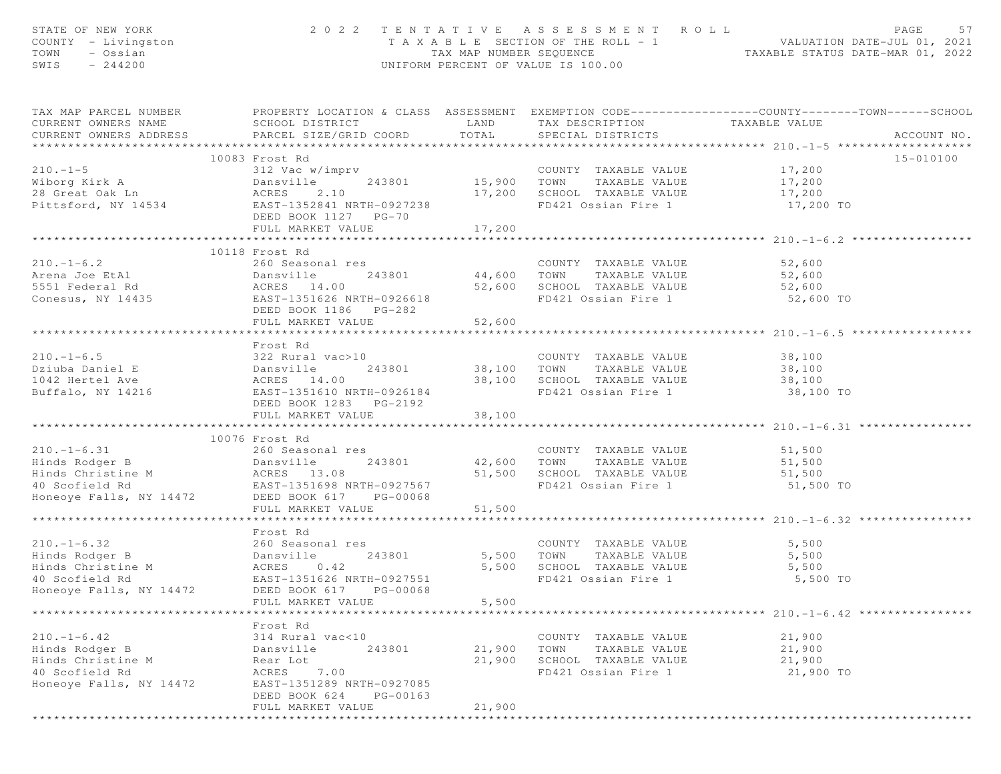| STATE OF NEW YORK<br>COUNTY - Livingston<br>TOWN - Ossian<br>SWIS - 244200                                                                                                                                                                                      |                                                                        |              | 2022 TENTATIVE ASSESSMENT ROLL<br>UNIFORM PERCENT OF VALUE IS 100.00 | PAGE<br>57<br>T A X A B L E SECTION OF THE ROLL - 1 VALUATION DATE-JUL 01, 2021<br>TAX MAP NUMBER SEQUENCE TAXABLE STATUS DATE-MAR 01, 2022 |
|-----------------------------------------------------------------------------------------------------------------------------------------------------------------------------------------------------------------------------------------------------------------|------------------------------------------------------------------------|--------------|----------------------------------------------------------------------|---------------------------------------------------------------------------------------------------------------------------------------------|
| CURRENT OWNERS NAME                                                                                                                                                                                                                                             | SCHOOL DISTRICT<br>CURRENT OWNERS ADDRESS PARCEL SIZE/GRID COORD TOTAL |              | LAND TAX DESCRIPTION TAXABLE VALUE<br>SPECIAL DISTRICTS              | TAX MAP PARCEL NUMBER PROPERTY LOCATION & CLASS ASSESSMENT EXEMPTION CODE----------------COUNTY-------TOWN------SCHOOL<br>ACCOUNT NO.       |
|                                                                                                                                                                                                                                                                 | 10083 Frost Rd                                                         |              |                                                                      | 15-010100                                                                                                                                   |
|                                                                                                                                                                                                                                                                 |                                                                        |              |                                                                      |                                                                                                                                             |
|                                                                                                                                                                                                                                                                 |                                                                        |              |                                                                      |                                                                                                                                             |
|                                                                                                                                                                                                                                                                 |                                                                        |              |                                                                      |                                                                                                                                             |
|                                                                                                                                                                                                                                                                 | DEED BOOK 1127 PG-70                                                   |              | 17,200 SCHOOL TAXABLE VALUE 17,200<br>FD421 Ossian Fire 1 17,200 TO  |                                                                                                                                             |
|                                                                                                                                                                                                                                                                 | FULL MARKET VALUE                                                      | 17,200       |                                                                      |                                                                                                                                             |
|                                                                                                                                                                                                                                                                 |                                                                        | ************ |                                                                      | **************** 210.-1-6.2 *************                                                                                                   |
|                                                                                                                                                                                                                                                                 | 10118 Frost Rd                                                         |              |                                                                      |                                                                                                                                             |
|                                                                                                                                                                                                                                                                 |                                                                        |              |                                                                      |                                                                                                                                             |
|                                                                                                                                                                                                                                                                 |                                                                        |              |                                                                      |                                                                                                                                             |
|                                                                                                                                                                                                                                                                 |                                                                        |              |                                                                      |                                                                                                                                             |
| 210.-1-6.2<br>Arena Joe EtAl 240 243801<br>243801<br>243801<br>244,600 TOWN TAXABLE VALUE 52,600<br>244,600 TOWN TAXABLE VALUE 52,600<br>244,600 TOWN TAXABLE VALUE 52,600<br>2,600<br>2,600<br>2,600<br>2,600<br>2,600<br>2,600<br>2,600<br>2,600<br>2,600<br> | FULL MARKET VALUE                                                      | 52,600       |                                                                      | 52,600 TO                                                                                                                                   |
|                                                                                                                                                                                                                                                                 |                                                                        |              |                                                                      |                                                                                                                                             |
|                                                                                                                                                                                                                                                                 | Frost Rd                                                               |              |                                                                      |                                                                                                                                             |
|                                                                                                                                                                                                                                                                 |                                                                        |              |                                                                      |                                                                                                                                             |
|                                                                                                                                                                                                                                                                 |                                                                        |              |                                                                      |                                                                                                                                             |
|                                                                                                                                                                                                                                                                 |                                                                        |              |                                                                      |                                                                                                                                             |
|                                                                                                                                                                                                                                                                 | DEED BOOK 1283 PG-2192                                                 |              |                                                                      |                                                                                                                                             |
|                                                                                                                                                                                                                                                                 | FULL MARKET VALUE                                                      | 38,100       |                                                                      |                                                                                                                                             |
|                                                                                                                                                                                                                                                                 |                                                                        |              |                                                                      |                                                                                                                                             |
|                                                                                                                                                                                                                                                                 | 10076 Frost Rd                                                         |              |                                                                      |                                                                                                                                             |
| 210.-1-6.31 260 Seasonal res<br>Hinds Rodger B Dansville 243801 42,600 TOWN TAXABLE VALUE 51,500<br>Hinds Christine M ACRES 13.08 51,500 SCHOOL TAXABLE VALUE 51,500<br>40 Scofield Rd EAST-1351698 NRTH-0927567 FD421 Ossian Fire 1                            | 260 Seasonal res                                                       |              |                                                                      |                                                                                                                                             |
|                                                                                                                                                                                                                                                                 |                                                                        |              |                                                                      |                                                                                                                                             |
|                                                                                                                                                                                                                                                                 |                                                                        |              |                                                                      |                                                                                                                                             |
|                                                                                                                                                                                                                                                                 |                                                                        |              |                                                                      |                                                                                                                                             |
|                                                                                                                                                                                                                                                                 | FULL MARKET VALUE                                                      | 51,500       |                                                                      |                                                                                                                                             |
|                                                                                                                                                                                                                                                                 |                                                                        |              |                                                                      |                                                                                                                                             |
|                                                                                                                                                                                                                                                                 | Frost Rd                                                               |              |                                                                      |                                                                                                                                             |
|                                                                                                                                                                                                                                                                 |                                                                        |              |                                                                      | 5,500                                                                                                                                       |
|                                                                                                                                                                                                                                                                 |                                                                        |              |                                                                      | 5,500                                                                                                                                       |
|                                                                                                                                                                                                                                                                 |                                                                        |              | 5,500 SCHOOL TAXABLE VALUE 5,500                                     |                                                                                                                                             |
| 40 Scofield Rd                                                                                                                                                                                                                                                  | EAST-1351626 NRTH-0927551                                              |              | FD421 Ossian Fire 1                                                  | 5,500 TO                                                                                                                                    |
| Honeoye Falls, NY 14472                                                                                                                                                                                                                                         | DEED BOOK 617<br>PG-00068                                              |              |                                                                      |                                                                                                                                             |
|                                                                                                                                                                                                                                                                 | FULL MARKET VALUE                                                      | 5,500        |                                                                      |                                                                                                                                             |
| ****************                                                                                                                                                                                                                                                |                                                                        |              |                                                                      | ********************* 210.-1-6.42 *****************                                                                                         |
|                                                                                                                                                                                                                                                                 | Frost Rd                                                               |              |                                                                      |                                                                                                                                             |
| $210. - 1 - 6.42$                                                                                                                                                                                                                                               | 314 Rural vac<10                                                       |              | COUNTY TAXABLE VALUE                                                 | 21,900                                                                                                                                      |
| Hinds Rodger B                                                                                                                                                                                                                                                  | 243801<br>Dansville                                                    | 21,900       | TOWN<br>TAXABLE VALUE                                                | 21,900                                                                                                                                      |
| Hinds Christine M                                                                                                                                                                                                                                               | Rear Lot                                                               | 21,900       | SCHOOL TAXABLE VALUE                                                 | 21,900                                                                                                                                      |
| 40 Scofield Rd                                                                                                                                                                                                                                                  | ACRES<br>7.00                                                          |              | FD421 Ossian Fire 1                                                  | 21,900 TO                                                                                                                                   |
| Honeoye Falls, NY 14472                                                                                                                                                                                                                                         | EAST-1351289 NRTH-0927085<br>DEED BOOK 624<br>PG-00163                 |              |                                                                      |                                                                                                                                             |
|                                                                                                                                                                                                                                                                 | FULL MARKET VALUE                                                      | 21,900       |                                                                      |                                                                                                                                             |
|                                                                                                                                                                                                                                                                 |                                                                        |              |                                                                      |                                                                                                                                             |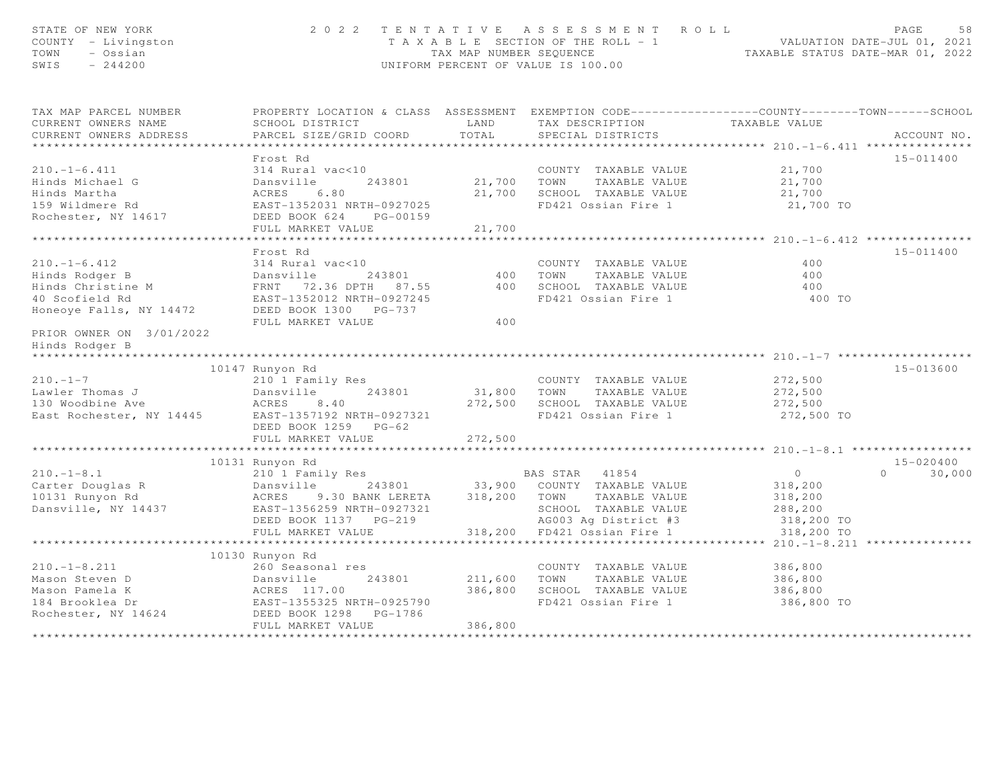| STATE OF NEW YORK<br>COUNTY - Livingston<br>TOWN<br>- Ossian<br>SWIS<br>$-244200$                                                                                                                                                                                      |                                                                                                  |         | 2022 TENTATIVE ASSESSMENT ROLL<br>T A X A B L E SECTION OF THE ROLL - 1 VALUATION DATE-JUL 01, 2021<br>TAX MAP NUMBER SEQUENCE TAXABLE STATUS DATE-MAR 01, 2022<br>UNIFORM PERCENT OF VALUE IS 100.00 |                     | 58<br>PAGE    |
|------------------------------------------------------------------------------------------------------------------------------------------------------------------------------------------------------------------------------------------------------------------------|--------------------------------------------------------------------------------------------------|---------|-------------------------------------------------------------------------------------------------------------------------------------------------------------------------------------------------------|---------------------|---------------|
| TAX MAP PARCEL NUMBER                                                                                                                                                                                                                                                  | PROPERTY LOCATION & CLASS ASSESSMENT EXEMPTION CODE----------------COUNTY-------TOWN------SCHOOL |         |                                                                                                                                                                                                       |                     |               |
| CURRENT OWNERS NAME                                                                                                                                                                                                                                                    | SCHOOL DISTRICT LAND                                                                             |         | TAX DESCRIPTION TAXABLE VALUE<br>SPECIAL DISTRICTS                                                                                                                                                    |                     |               |
| CURRENT OWNERS ADDRESS                                                                                                                                                                                                                                                 | PARCEL SIZE/GRID COORD                                                                           | TOTAL   |                                                                                                                                                                                                       |                     | ACCOUNT NO.   |
|                                                                                                                                                                                                                                                                        |                                                                                                  |         |                                                                                                                                                                                                       |                     |               |
|                                                                                                                                                                                                                                                                        | Frost Rd                                                                                         |         |                                                                                                                                                                                                       |                     | 15-011400     |
| $210. - 1 - 6.411$                                                                                                                                                                                                                                                     | 314 Rural vac<10                                                                                 |         | COUNTY TAXABLE VALUE 21,700                                                                                                                                                                           |                     |               |
| Experiment of the Contract of the Minds Michael G<br>Hinds Martha (ACRES 6.80<br>159 Wildmere Rd (EAST-1352031 NRTH-0927025                                                                                                                                            |                                                                                                  |         | 21,700 TOWN TAXABLE VALUE                                                                                                                                                                             | 21,700              |               |
|                                                                                                                                                                                                                                                                        |                                                                                                  |         | 21,700 SCHOOL TAXABLE VALUE                                                                                                                                                                           | 21,700<br>21,700 TO |               |
|                                                                                                                                                                                                                                                                        |                                                                                                  |         | FD421 Ossian Fire 1                                                                                                                                                                                   |                     |               |
| Rochester, NY 14617                                                                                                                                                                                                                                                    | DEED BOOK 624 PG-00159                                                                           |         |                                                                                                                                                                                                       |                     |               |
|                                                                                                                                                                                                                                                                        | FULL MARKET VALUE                                                                                | 21,700  |                                                                                                                                                                                                       |                     |               |
|                                                                                                                                                                                                                                                                        |                                                                                                  |         |                                                                                                                                                                                                       |                     |               |
|                                                                                                                                                                                                                                                                        | Frost Rd                                                                                         |         |                                                                                                                                                                                                       |                     | 15-011400     |
|                                                                                                                                                                                                                                                                        |                                                                                                  |         |                                                                                                                                                                                                       | 400                 |               |
|                                                                                                                                                                                                                                                                        |                                                                                                  |         |                                                                                                                                                                                                       | 400                 |               |
| 110.1-6.412<br>210.1-6.412<br>2114 Rural vac<10<br>213801 2000 TOWN TAXABLE VALUE<br>21000 TOWN TAXABLE VALUE<br>21000 Hotel CAST-1352012 NRTH-0927245<br>2000 TOWN TAXABLE VALUE<br>2001027245<br>2001027245<br>200227245<br>200227245<br>200227245                   |                                                                                                  |         |                                                                                                                                                                                                       | 400                 |               |
|                                                                                                                                                                                                                                                                        |                                                                                                  |         |                                                                                                                                                                                                       | 400 TO              |               |
| Honeoye Falls, NY 14472 DEED BOOK 1300 PG-737                                                                                                                                                                                                                          | FULL MARKET VALUE                                                                                | 400     |                                                                                                                                                                                                       |                     |               |
| PRIOR OWNER ON 3/01/2022                                                                                                                                                                                                                                               |                                                                                                  |         |                                                                                                                                                                                                       |                     |               |
| Hinds Rodger B                                                                                                                                                                                                                                                         |                                                                                                  |         |                                                                                                                                                                                                       |                     |               |
| *****************                                                                                                                                                                                                                                                      |                                                                                                  |         |                                                                                                                                                                                                       |                     |               |
|                                                                                                                                                                                                                                                                        | 10147 Runyon Rd                                                                                  |         |                                                                                                                                                                                                       |                     | 15-013600     |
| $210. -1 - 7$                                                                                                                                                                                                                                                          | 210 <sup>1</sup> Family Res<br>Dansville 243801                                                  |         | COUNTY TAXABLE VALUE                                                                                                                                                                                  | 272,500             |               |
| Lawler Thomas J                                                                                                                                                                                                                                                        | 243801                                                                                           |         |                                                                                                                                                                                                       | 272,500             |               |
| 130 Woodbine Ave                                                                                                                                                                                                                                                       |                                                                                                  |         | 31,800 TOWN TAXABLE VALUE<br>272,500 SCHOOL TAXABLE VALUE                                                                                                                                             | 272,500             |               |
| 130 Woodbine Ave MCRES 8.40<br>East Rochester, NY 14445 EAST-1357192 NRTH-0927321                                                                                                                                                                                      |                                                                                                  |         | FD421 Ossian Fire 1                                                                                                                                                                                   | 272,500 TO          |               |
|                                                                                                                                                                                                                                                                        | DEED BOOK 1259 PG-62                                                                             |         |                                                                                                                                                                                                       |                     |               |
|                                                                                                                                                                                                                                                                        | FULL MARKET VALUE                                                                                | 272,500 |                                                                                                                                                                                                       |                     |               |
|                                                                                                                                                                                                                                                                        |                                                                                                  |         |                                                                                                                                                                                                       |                     |               |
|                                                                                                                                                                                                                                                                        | 10131 Runyon Rd                                                                                  |         |                                                                                                                                                                                                       |                     | 15-020400     |
|                                                                                                                                                                                                                                                                        | 210 1 Family Res                                                                                 |         | <b>BAS STAR 41854</b>                                                                                                                                                                                 | $\overline{0}$      | $0 \t 30,000$ |
|                                                                                                                                                                                                                                                                        |                                                                                                  |         |                                                                                                                                                                                                       | 318,200             |               |
| 210.-1-8.1 210 1 Family Res BAS STAR 41854<br>Carter Douglas R Dansville 243801 33,900 COUNTY TAXABLE VALUE<br>10131 Runyon Rd ACRES 9.30 BANK LERETA 318,200 TOWN TAXABLE VALUE<br>Dansville, NY 14437 EAST-1356259 NRTH-0927321 SC                                   |                                                                                                  |         |                                                                                                                                                                                                       | 318,200             |               |
|                                                                                                                                                                                                                                                                        |                                                                                                  |         |                                                                                                                                                                                                       | 288,200             |               |
|                                                                                                                                                                                                                                                                        |                                                                                                  |         | AG003 Ag District #3                                                                                                                                                                                  | 318,200 TO          |               |
|                                                                                                                                                                                                                                                                        | FULL MARKET VALUE                                                                                |         | 318,200 FD421 Ossian Fire 1                                                                                                                                                                           | 318,200 TO          |               |
|                                                                                                                                                                                                                                                                        |                                                                                                  |         |                                                                                                                                                                                                       |                     |               |
|                                                                                                                                                                                                                                                                        | 10130 Runyon Rd                                                                                  |         |                                                                                                                                                                                                       |                     |               |
|                                                                                                                                                                                                                                                                        |                                                                                                  |         | COUNTY TAXABLE VALUE                                                                                                                                                                                  | 386,800             |               |
| 210.-1-8.211<br>Mason Steven D<br>Mason Pamela K<br>184 Brooklea Dr<br>Rochester, NY 14624<br>200 BROOK 1298 PG-1786<br>243801<br>243801<br>243801<br>243801<br>243801<br>243801<br>243801<br>243801<br>243801<br>243801<br>243801<br>25790<br>25790<br>25790<br>25790 | 243801 211,600 TOWN                                                                              |         | TAXABLE VALUE                                                                                                                                                                                         | 386,800             |               |
|                                                                                                                                                                                                                                                                        |                                                                                                  | 386,800 | SCHOOL TAXABLE VALUE                                                                                                                                                                                  | 386,800             |               |
|                                                                                                                                                                                                                                                                        |                                                                                                  |         | FD421 Ossian Fire 1                                                                                                                                                                                   | 386,800 TO          |               |
|                                                                                                                                                                                                                                                                        |                                                                                                  |         |                                                                                                                                                                                                       |                     |               |
|                                                                                                                                                                                                                                                                        | FULL MARKET VALUE                                                                                | 386,800 |                                                                                                                                                                                                       |                     |               |
|                                                                                                                                                                                                                                                                        |                                                                                                  |         |                                                                                                                                                                                                       |                     |               |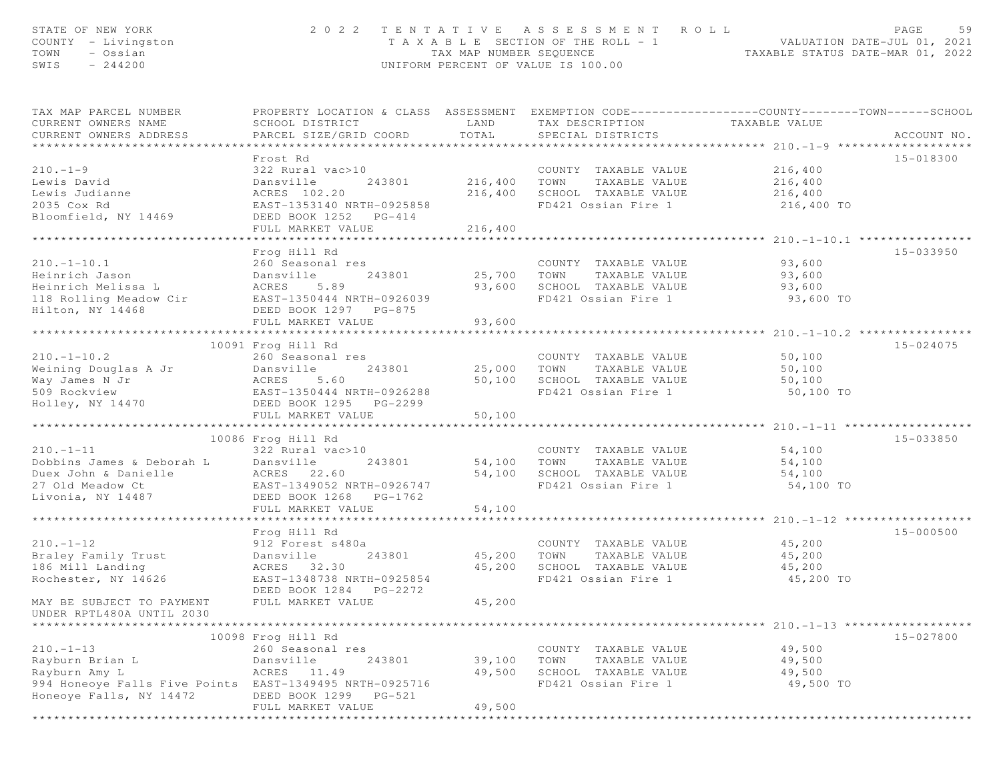| STATE OF NEW YORK<br>COUNTY - Livingston<br>TOWN<br>- Ossian<br>SWIS<br>$-244200$ | 2022 TENTATIVE ASSESSMENT<br>T A X A B L E SECTION OF THE ROLL - 1<br>TAX MAP NUMBER SEQUENCE<br>UNIFORM PERCENT OF VALUE IS 100.00           | ROLL<br>PAGE<br>59<br>VALUATION DATE-JUL 01, 2021<br>TAXABLE STATUS DATE-MAR 01, 2022 |                                                    |                                           |               |
|-----------------------------------------------------------------------------------|-----------------------------------------------------------------------------------------------------------------------------------------------|---------------------------------------------------------------------------------------|----------------------------------------------------|-------------------------------------------|---------------|
| TAX MAP PARCEL NUMBER<br>CURRENT OWNERS NAME<br>CURRENT OWNERS ADDRESS            | PROPERTY LOCATION & CLASS ASSESSMENT EXEMPTION CODE----------------COUNTY-------TOWN------SCHOOL<br>SCHOOL DISTRICT<br>PARCEL SIZE/GRID COORD | LAND<br>TOTAL                                                                         | TAX DESCRIPTION TAXABLE VALUE<br>SPECIAL DISTRICTS |                                           | ACCOUNT NO.   |
|                                                                                   | Frost Rd                                                                                                                                      |                                                                                       |                                                    |                                           | 15-018300     |
| $210. -1 - 9$                                                                     | 322 Rural vac>10                                                                                                                              |                                                                                       | COUNTY TAXABLE VALUE                               | 216,400                                   |               |
| Lewis David                                                                       | Dansville<br>243801                                                                                                                           | 216,400                                                                               | TOWN<br>TAXABLE VALUE                              | 216,400                                   |               |
| Lewis Judianne                                                                    | ACRES 102.20                                                                                                                                  |                                                                                       | 216,400 SCHOOL TAXABLE VALUE                       | 216,400                                   |               |
| 2035 Cox Rd                                                                       | EAST-1353140 NRTH-0925858                                                                                                                     |                                                                                       | FD421 Ossian Fire 1                                | 216,400 TO                                |               |
| Bloomfield, NY 14469                                                              | DEED BOOK 1252 PG-414                                                                                                                         |                                                                                       |                                                    |                                           |               |
|                                                                                   | FULL MARKET VALUE                                                                                                                             | 216,400                                                                               |                                                    |                                           |               |
|                                                                                   | Frog Hill Rd                                                                                                                                  |                                                                                       |                                                    |                                           | 15-033950     |
| $210. - 1 - 10.1$                                                                 | 260 Seasonal res                                                                                                                              |                                                                                       | COUNTY TAXABLE VALUE                               | 93,600                                    |               |
| Heinrich Jason                                                                    | Dansville<br>243801                                                                                                                           | 25,700 TOWN                                                                           | TAXABLE VALUE                                      | 93,600                                    |               |
| Heinrich Melissa L                                                                | 5.89<br>ACRES                                                                                                                                 | 93,600                                                                                | SCHOOL TAXABLE VALUE                               | 93,600                                    |               |
| 118 Rolling Meadow Cir                                                            | EAST-1350444 NRTH-0926039                                                                                                                     |                                                                                       | FD421 Ossian Fire 1                                | 93,600 TO                                 |               |
| Hilton, NY 14468                                                                  | DEED BOOK 1297 PG-875                                                                                                                         |                                                                                       |                                                    |                                           |               |
|                                                                                   | FULL MARKET VALUE<br>************************                                                                                                 | 93,600<br>* * * * * * * * * * *                                                       |                                                    |                                           |               |
|                                                                                   | 10091 Frog Hill Rd                                                                                                                            |                                                                                       |                                                    | *********** 210.-1-10.2 ***************** | $15 - 024075$ |
| $210. - 1 - 10.2$                                                                 | 260 Seasonal res                                                                                                                              |                                                                                       | COUNTY TAXABLE VALUE                               | 50,100                                    |               |
| Weining Douglas A Jr                                                              | Dansville<br>243801                                                                                                                           |                                                                                       | 25,000 TOWN<br>TAXABLE VALUE                       | 50,100                                    |               |
| Way James N Jr                                                                    | ACRES<br>5.60                                                                                                                                 | 50,100                                                                                | SCHOOL TAXABLE VALUE                               | 50,100                                    |               |
| 509 Rockview                                                                      | EAST-1350444 NRTH-0926288                                                                                                                     |                                                                                       | FD421 Ossian Fire 1                                | 50,100 TO                                 |               |
| Holley, NY 14470                                                                  | DEED BOOK 1295 PG-2299                                                                                                                        |                                                                                       |                                                    |                                           |               |
|                                                                                   | FULL MARKET VALUE                                                                                                                             | 50,100                                                                                |                                                    |                                           |               |
|                                                                                   | 10086 Frog Hill Rd                                                                                                                            |                                                                                       |                                                    |                                           | 15-033850     |
| $210. -1 - 11$                                                                    | 322 Rural vac>10                                                                                                                              |                                                                                       | COUNTY TAXABLE VALUE                               | 54,100                                    |               |
| Dobbins James & Deborah L                                                         | 243801<br>Dansville                                                                                                                           | 54,100                                                                                | TOWN<br>TAXABLE VALUE                              | 54,100                                    |               |
| Duex John & Danielle                                                              | ACRES 22.60                                                                                                                                   |                                                                                       | 54,100 SCHOOL TAXABLE VALUE                        | 54,100                                    |               |
| 27 Old Meadow Ct                                                                  | EAST-1349052 NRTH-0926747                                                                                                                     |                                                                                       | FD421 Ossian Fire 1                                | 54,100 TO                                 |               |
| Livonia, NY 14487                                                                 | DEED BOOK 1268 PG-1762                                                                                                                        |                                                                                       |                                                    |                                           |               |
|                                                                                   | FULL MARKET VALUE                                                                                                                             | 54,100                                                                                |                                                    |                                           |               |
|                                                                                   | Frog Hill Rd                                                                                                                                  |                                                                                       |                                                    |                                           | 15-000500     |
| $210. -1 - 12$                                                                    | 912 Forest s480a                                                                                                                              |                                                                                       | COUNTY TAXABLE VALUE                               | 45,200                                    |               |
| Braley Family Trust                                                               | Dansville<br>243801                                                                                                                           | 45,200                                                                                | TOWN<br>TAXABLE VALUE                              | 45,200                                    |               |
| 186 Mill Landing                                                                  | ACRES 32.30                                                                                                                                   | 45,200                                                                                | SCHOOL TAXABLE VALUE                               | 45,200                                    |               |
| Rochester, NY 14626                                                               | EAST-1348738 NRTH-0925854                                                                                                                     |                                                                                       | FD421 Ossian Fire 1                                | 45,200 TO                                 |               |
|                                                                                   | DEED BOOK 1284 PG-2272                                                                                                                        |                                                                                       |                                                    |                                           |               |
| MAY BE SUBJECT TO PAYMENT                                                         | FULL MARKET VALUE                                                                                                                             | 45,200                                                                                |                                                    |                                           |               |
| UNDER RPTL480A UNTIL 2030                                                         |                                                                                                                                               |                                                                                       |                                                    |                                           |               |
|                                                                                   | 10098 Frog Hill Rd                                                                                                                            |                                                                                       |                                                    |                                           | 15-027800     |
| $210. -1 - 13$                                                                    | 260 Seasonal res                                                                                                                              |                                                                                       | COUNTY TAXABLE VALUE                               | 49,500                                    |               |
| Rayburn Brian L                                                                   | Dansville<br>243801                                                                                                                           | 39,100                                                                                | TOWN<br>TAXABLE VALUE                              | 49,500                                    |               |
| Rayburn Amy L                                                                     | ACRES<br>11.49                                                                                                                                | 49,500                                                                                | SCHOOL TAXABLE VALUE                               | 49,500                                    |               |
| 994 Honeoye Falls Five Points                                                     | EAST-1349495 NRTH-0925716                                                                                                                     |                                                                                       | FD421 Ossian Fire 1                                | 49,500 TO                                 |               |
| Honeoye Falls, NY 14472                                                           | DEED BOOK 1299 PG-521                                                                                                                         |                                                                                       |                                                    |                                           |               |
|                                                                                   | FULL MARKET VALUE                                                                                                                             | 49,500                                                                                |                                                    |                                           |               |

\*\*\*\*\*\*\*\*\*\*\*\*\*\*\*\*\*\*\*\*\*\*\*\*\*\*\*\*\*\*\*\*\*\*\*\*\*\*\*\*\*\*\*\*\*\*\*\*\*\*\*\*\*\*\*\*\*\*\*\*\*\*\*\*\*\*\*\*\*\*\*\*\*\*\*\*\*\*\*\*\*\*\*\*\*\*\*\*\*\*\*\*\*\*\*\*\*\*\*\*\*\*\*\*\*\*\*\*\*\*\*\*\*\*\*\*\*\*\*\*\*\*\*\*\*\*\*\*\*\*\*\*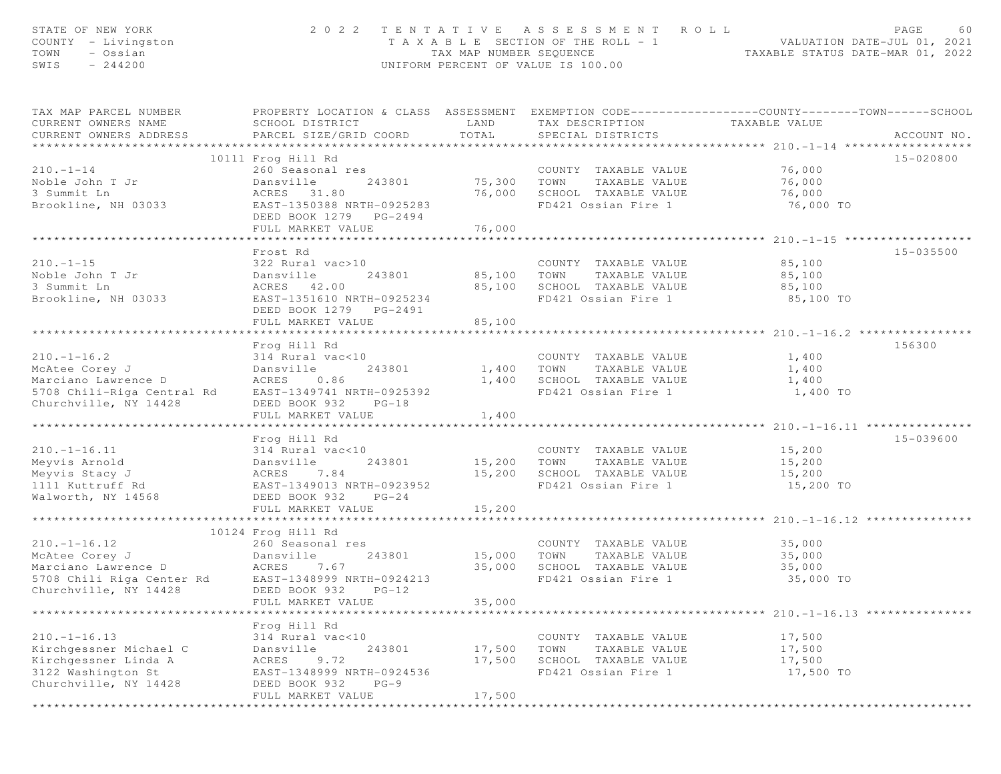| STATE OF NEW YORK<br>COUNTY - Livingston<br>- Ossian<br>TOWN<br>$-244200$<br>SWIS                                                                                   |                                                                                                                                                                                                                 | TAX MAP NUMBER SEQUENCE                           | 2022 TENTATIVE ASSESSMENT ROLL<br>T A X A B L E SECTION OF THE ROLL - 1<br>UNIFORM PERCENT OF VALUE IS 100.00 | PAGE<br>60<br>ROLL - 1<br>TAXABLE STATUS DATE-MAR 01, 2022<br>TAXABLE STATUS DATE-MAR 01, 2022                                   |
|---------------------------------------------------------------------------------------------------------------------------------------------------------------------|-----------------------------------------------------------------------------------------------------------------------------------------------------------------------------------------------------------------|---------------------------------------------------|---------------------------------------------------------------------------------------------------------------|----------------------------------------------------------------------------------------------------------------------------------|
| TAX MAP PARCEL NUMBER<br>CURRENT OWNERS NAME<br>CURRENT OWNERS ADDRESS                                                                                              | SCHOOL DISTRICT<br>PARCEL SIZE/GRID COORD                                                                                                                                                                       | LAND<br>TOTAL                                     | TAX DESCRIPTION<br>SPECIAL DISTRICTS                                                                          | PROPERTY LOCATION & CLASS ASSESSMENT EXEMPTION CODE----------------COUNTY-------TOWN------SCHOOL<br>TAXABLE VALUE<br>ACCOUNT NO. |
|                                                                                                                                                                     | 10111 Frog Hill Rd                                                                                                                                                                                              |                                                   |                                                                                                               | 15-020800                                                                                                                        |
| $210. - 1 - 14$<br>Noble John T Jr<br>3 Summit Ln<br>Brookline, NH 03033                                                                                            | 260 Seasonal res<br>243801<br>Dansville<br>ACRES 31.80<br>EAST-1350388 NRTH-0925283<br>DEED BOOK 1279 PG-2494<br>FULL MARKET VALUE                                                                              | 75,300 TOWN<br>76,000<br>76,000                   | COUNTY TAXABLE VALUE<br>TAXABLE VALUE<br>SCHOOL TAXABLE VALUE<br>FD421 Ossian Fire 1                          | 76,000<br>76,000<br>76,000<br>76,000 TO                                                                                          |
|                                                                                                                                                                     |                                                                                                                                                                                                                 |                                                   |                                                                                                               |                                                                                                                                  |
| $210. - 1 - 15$<br>Noble John T Jr<br>3 Summit Ln<br>Brookline, NH 03033                                                                                            | Frost Rd<br>322 Rural vac>10<br>Dansville<br>243801<br>ACRES 42.00<br>EAST-1351610 NRTH-0925234<br>DEED BOOK 1279 PG-2491                                                                                       | 85,100<br>85,100                                  | COUNTY TAXABLE VALUE<br>TAXABLE VALUE<br>TOWN<br>SCHOOL TAXABLE VALUE<br>FD421 Ossian Fire 1                  | 15-035500<br>85,100<br>85,100<br>85,100<br>85,100 TO                                                                             |
|                                                                                                                                                                     | FULL MARKET VALUE<br>***************************                                                                                                                                                                | 85,100                                            |                                                                                                               |                                                                                                                                  |
| $210. - 1 - 16.2$<br>McAtee Corey J<br>Marciano Lawrence D<br>5708 Chili-Riga Central Rd<br>Churchville, NY 14428                                                   | Frog Hill Rd<br>314 Rural vac<10<br>243801<br>Dansville<br>ACRES 0.86<br>EAST-1349741 NRTH-0925392<br>DEED BOOK 932 PG-18                                                                                       | 1,400<br>1,400                                    | COUNTY TAXABLE VALUE<br>TOWN<br>TAXABLE VALUE<br>SCHOOL TAXABLE VALUE<br>FD421 Ossian Fire 1                  | 156300<br>1,400<br>1,400<br>1,400<br>1,400 TO                                                                                    |
|                                                                                                                                                                     | FULL MARKET VALUE                                                                                                                                                                                               | 1,400                                             |                                                                                                               |                                                                                                                                  |
| $210. - 1 - 16.11$<br>Meyvis Arnold<br>Meyvis Stacy J<br>1111 Kuttruff Rd<br>Walworth, NY 14568                                                                     | ***************************<br>Frog Hill Rd<br>314 Rural vac<10<br>243801<br>Dansville<br>ACRES<br>7.84<br>EAST-1349013 NRTH-0923952<br>DEED BOOK 932<br>$PG-24$<br>FULL MARKET VALUE<br>********************** | 15,200<br>15,200<br>15,200<br>* * * * * * * * * * | COUNTY TAXABLE VALUE<br>TAXABLE VALUE<br>TOWN<br>SCHOOL TAXABLE VALUE<br>FD421 Ossian Fire 1                  | 15-039600<br>15,200<br>15,200<br>15,200<br>15,200 TO<br>****************** 210.-1-16.12 *******                                  |
|                                                                                                                                                                     | 10124 Frog Hill Rd                                                                                                                                                                                              |                                                   |                                                                                                               |                                                                                                                                  |
| 210.-1-16.12 260 Se<br>McAtee Corey J Dansvi<br>Marciano Lawrence D ACRES<br>5708 Chili Riga Center Rd EAST-1<br>Shunshur'll www.cores.com<br>Churchville, NY 14428 | 260 Seasonal res<br>243801<br>Dansville<br>7.67<br>EAST-1348999 NRTH-0924213<br>$PG-12$<br>DEED BOOK 932<br>FULL MARKET VALUE                                                                                   | 15,000<br>35,000<br>35,000                        | COUNTY TAXABLE VALUE<br>TOWN<br>TAXABLE VALUE<br>SCHOOL TAXABLE VALUE<br>FD421 Ossian Fire 1                  | 35,000<br>35,000<br>35,000<br>35,000 TO                                                                                          |
| *****************                                                                                                                                                   |                                                                                                                                                                                                                 |                                                   |                                                                                                               | **************************** 210.-1-16.13 ***************                                                                        |
| $210. - 1 - 16.13$<br>Kirchgessner Michael C<br>Kirchgessner Linda A<br>3122 Washington St<br>Churchville, NY 14428                                                 | Frog Hill Rd<br>314 Rural vac<10<br>243801<br>Dansville<br>9.72<br>ACRES<br>EAST-1348999 NRTH-0924536<br>DEED BOOK 932<br>$PG-9$                                                                                | 17,500<br>17,500                                  | COUNTY TAXABLE VALUE<br>TOWN<br>TAXABLE VALUE<br>SCHOOL TAXABLE VALUE<br>FD421 Ossian Fire 1                  | 17,500<br>17,500<br>17,500<br>17,500 TO                                                                                          |
|                                                                                                                                                                     | FULL MARKET VALUE                                                                                                                                                                                               | 17,500                                            |                                                                                                               |                                                                                                                                  |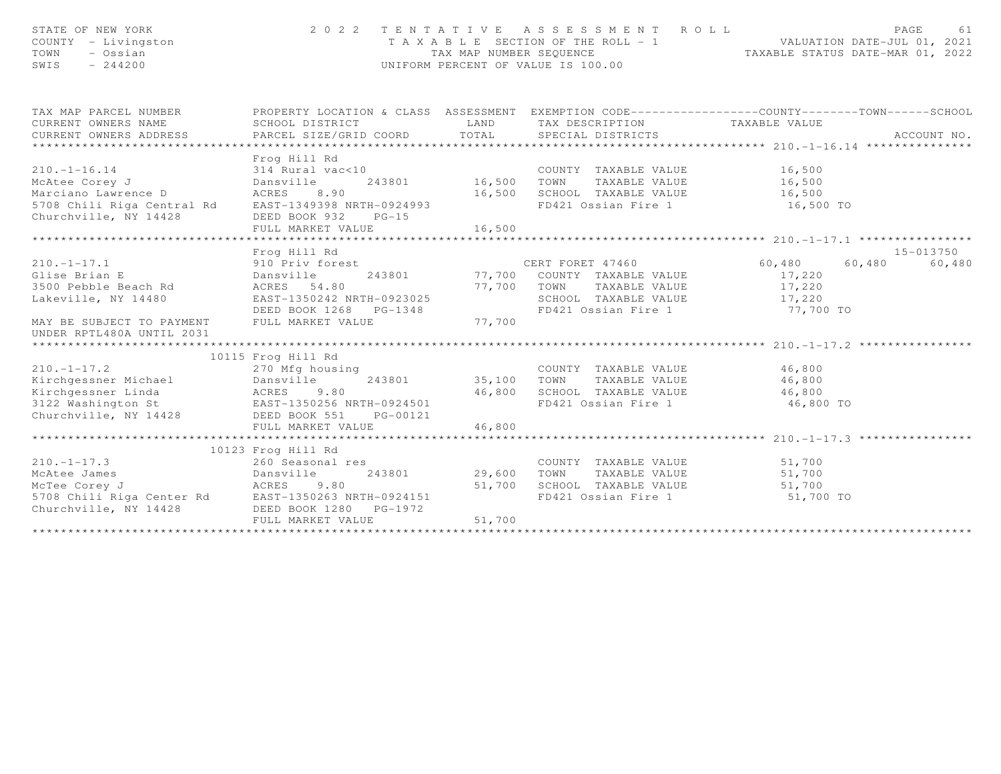| STATE OF NEW YORK<br>COUNTY - Livingston<br>TOWN<br>- Ossian<br>SWIS<br>$-244200$                                                                                                                                                                                                     |                                                                                                                                                                                                                     |                         | 2022 TENTATIVE ASSESSMENT ROLL<br>PAGE 61<br>TAXABLE SECTION OF THE ROLL - 1<br>TAX MAP NUMBER SEQUENCE<br>TAX MAP NUMBER SEQUENCE<br>INTEORM PERCENT OF VALUE TO 100 00<br>UNIFORM PERCENT OF VALUE IS 100.00 |                            | PAGE<br>61                    |
|---------------------------------------------------------------------------------------------------------------------------------------------------------------------------------------------------------------------------------------------------------------------------------------|---------------------------------------------------------------------------------------------------------------------------------------------------------------------------------------------------------------------|-------------------------|----------------------------------------------------------------------------------------------------------------------------------------------------------------------------------------------------------------|----------------------------|-------------------------------|
| TAX MAP PARCEL NUMBER<br>CURRENT OWNERS NAME<br>CURRENT OWNERS ADDRESS                                                                                                                                                                                                                | PROPERTY LOCATION & CLASS ASSESSMENT EXEMPTION CODE----------------COUNTY-------TOWN------SCHOOL<br>SCHOOL DISTRICT<br>PARCEL SIZE/GRID COORD                                                                       | LAND<br>TOTAL           | TAX DESCRIPTION TAXABLE VALUE<br>SPECIAL DISTRICTS                                                                                                                                                             |                            | ACCOUNT NO.                   |
| $210. -1 - 16.14$<br>McAtee Corey J<br>Marciano Lawrence D<br>5708 Chili Riga Central Rd EAST-1349398 NRTH-0924993<br>Churchville, NY 14428                                                                                                                                           | Frog Hill Rd<br>314 Rural vac<10               COUNTY TAXABLE VALUE        16,500<br>Dansville    243801      16,500   TOWN   TAXABLE VALUE        16,500<br>ACRES 8.90<br>DEED BOOK 932 PG-15<br>FULL MARKET VALUE | 16,500                  | 16,500 SCHOOL TAXABLE VALUE 16,500<br>FD421 Ossian Fire 1 16,500 TO                                                                                                                                            |                            |                               |
| 210.-1-17.1 910 Priv forest<br>Glise Brian E Dansville 243801 77,700<br>3500 Pebble Beach Rd ACRES 54.80 77,700<br>Lakeville, NY 14480 EAST-1350242 NRTH-0923025<br>MAY BE SUBJECT TO PAYMENT<br>UNDER RPTL480A UNTIL 2031                                                            | Frog Hill Rd<br>DEED BOOK 1268 PG-1348<br>FULL MARKET VALUE                                                                                                                                                         | 77,700 TOWN<br>77,700   | CERT FORET 47460 60,480<br>243801 77,700 COUNTY TAXABLE VALUE<br>TOWN      TAXABLE VALUE<br>SCHOOL   TAXABLE VALUE<br>FD421 Ossian Fire 1 77,700 TO                                                            | 17,220<br>17,220<br>17,220 | 15-013750<br>60,480<br>60,480 |
| $210. - 1 - 17.2$<br>Kirchgessner Michael Dansville<br>Xirchgessner Linda (ACRES 9.80 46,800 SCHOOL TAXABLE VALUE 46,800 46,800 SCHOOL TAXABLE VALUE 46,800 46,800 46,800 46,800 46,800 46,800 46,800 5CHOOL TAXABLE VALUE 46,800 46,800 46,800 46,800 46,800 5CHOOL TAXABLE VALUE 46 | 10115 Frog Hill Rd<br>Frog Hill Rd<br>270 Mfg housing<br>FULL MARKET VALUE                                                                                                                                          | 46,800                  | COUNTY TAXABLE VALUE 46,800<br>243801 35,100 TOWN TAXABLE VALUE 46,800                                                                                                                                         | 46,800 TO                  |                               |
| $210. -1 - 17.3$<br>Churchville, NY 14428 DEED BOOK 1280 PG-1972                                                                                                                                                                                                                      | 10123 Frog Hill Rd<br>260 Seasonal res<br>FULL MARKET VALUE                                                                                                                                                         | 243801 29,600<br>51,700 | COUNTY TAXABLE VALUE 51,700<br>FD421 Ossian Fire 1 51,700 TO                                                                                                                                                   |                            |                               |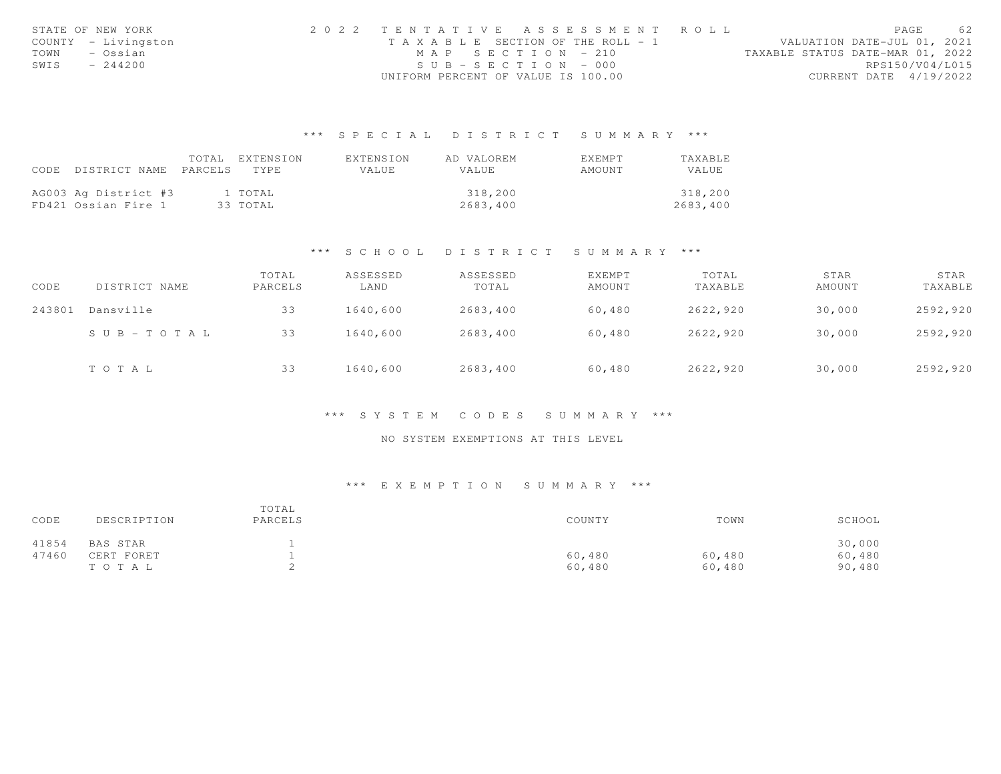|      | STATE OF NEW YORK   | 2022 TENTATIVE ASSESSMENT ROLL        |                       |  |  |                                  |                        | PAGE | 62 |
|------|---------------------|---------------------------------------|-----------------------|--|--|----------------------------------|------------------------|------|----|
|      | COUNTY - Livingston | T A X A B L E SECTION OF THE ROLL - 1 |                       |  |  | VALUATION DATE-JUL 01, 2021      |                        |      |    |
| TOWN | – Ossian            |                                       | $MAP$ SECTION = 210   |  |  | TAXABLE STATUS DATE-MAR 01, 2022 |                        |      |    |
| SWIS | $-244200$           |                                       | $SUB - SECTION - 000$ |  |  |                                  | RPS150/V04/L015        |      |    |
|      |                     | UNIFORM PERCENT OF VALUE IS 100.00    |                       |  |  |                                  | CURRENT DATE 4/19/2022 |      |    |

## \*\*\* S P E C I A L D I S T R I C T S U M M A R Y \*\*\*

|                                 | TOTAL EXTENSION | EXTENSION    | AD VALOREM   | EXEMPT | TAXABLE      |
|---------------------------------|-----------------|--------------|--------------|--------|--------------|
| CODE DISTRICT NAME PARCELS TYPE |                 | <b>VALUE</b> | <b>VALUE</b> | AMOUNT | <b>VALUE</b> |
|                                 |                 |              |              |        |              |
| AG003 Ag District #3            | 1 TOTAL         |              | 318,200      |        | 318,200      |
| FD421 Ossian Fire 1             | 33 ТОТАЬ        |              | 2683,400     |        | 2683,400     |

### \*\*\* S C H O O L D I S T R I C T S U M M A R Y \*\*\*

| CODE   | DISTRICT NAME             | TOTAL<br>PARCELS | ASSESSED<br>LAND | ASSESSED<br>TOTAL | EXEMPT<br>AMOUNT | TOTAL<br>TAXABLE | STAR<br>AMOUNT | STAR<br>TAXABLE |
|--------|---------------------------|------------------|------------------|-------------------|------------------|------------------|----------------|-----------------|
| 243801 | Dansville                 | 33               | 1640,600         | 2683,400          | 60,480           | 2622,920         | 30,000         | 2592,920        |
|        | $S \cup B = T \cup T A L$ | 33               | 1640,600         | 2683,400          | 60,480           | 2622,920         | 30,000         | 2592,920        |
|        | TOTAL                     | 33               | 1640,600         | 2683,400          | 60,480           | 2622,920         | 30,000         | 2592,920        |

### \*\*\* S Y S T E M C O D E S S U M M A R Y \*\*\*

## NO SYSTEM EXEMPTIONS AT THIS LEVEL

## \*\*\* E X E M P T I O N S U M M A R Y \*\*\*

| CODE  | DESCRIPTION | TOTAL<br>PARCELS | COUNTY | TOWN   | SCHOOL |
|-------|-------------|------------------|--------|--------|--------|
| 41854 | BAS STAR    |                  |        |        | 30,000 |
| 47460 | CERT FORET  |                  | 60,480 | 60,480 | 60,480 |
|       | TOTAL       |                  | 60,480 | 60,480 | 90,480 |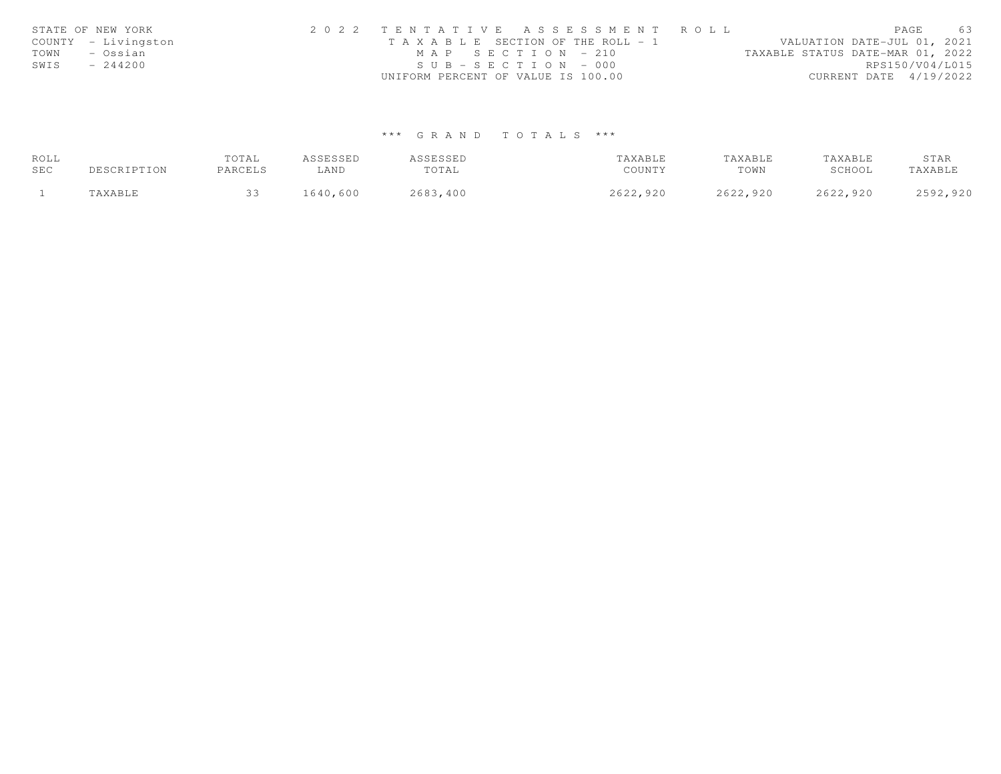|      | STATE OF NEW YORK   | 2022 TENTATIVE ASSESSMENT ROLL        |                                  | PAGE                        | 63 |
|------|---------------------|---------------------------------------|----------------------------------|-----------------------------|----|
|      | COUNTY - Livingston | T A X A B L E SECTION OF THE ROLL - 1 |                                  | VALUATION DATE-JUL 01, 2021 |    |
| TOWN | – Ossian            | MAP SECTION - 210                     | TAXABLE STATUS DATE-MAR 01, 2022 |                             |    |
| SWIS | $-244200$           | $SUB - SECTION - 000$                 |                                  | RPS150/V04/L015             |    |
|      |                     | UNIFORM PERCENT OF VALUE IS 100.00    |                                  | CURRENT DATE 4/19/2022      |    |

# \*\*\* G R A N D T O T A L S \*\*\*

| ROLL |             | TOTAL   | ASSESSED | ASSESSED | TAXABLE  | TAXABLE  | TAXABLE  | STAR     |
|------|-------------|---------|----------|----------|----------|----------|----------|----------|
| SEC  | DESCRIPTION | PARCELS | ∟AND     | TOTAL    | COUNTY   | TOWN     | SCHOOL   | TAXABLE  |
|      | "AXABLE     |         | 1640,600 | 2683,400 | 2622,920 | 2622,920 | 2622,920 | 2592,920 |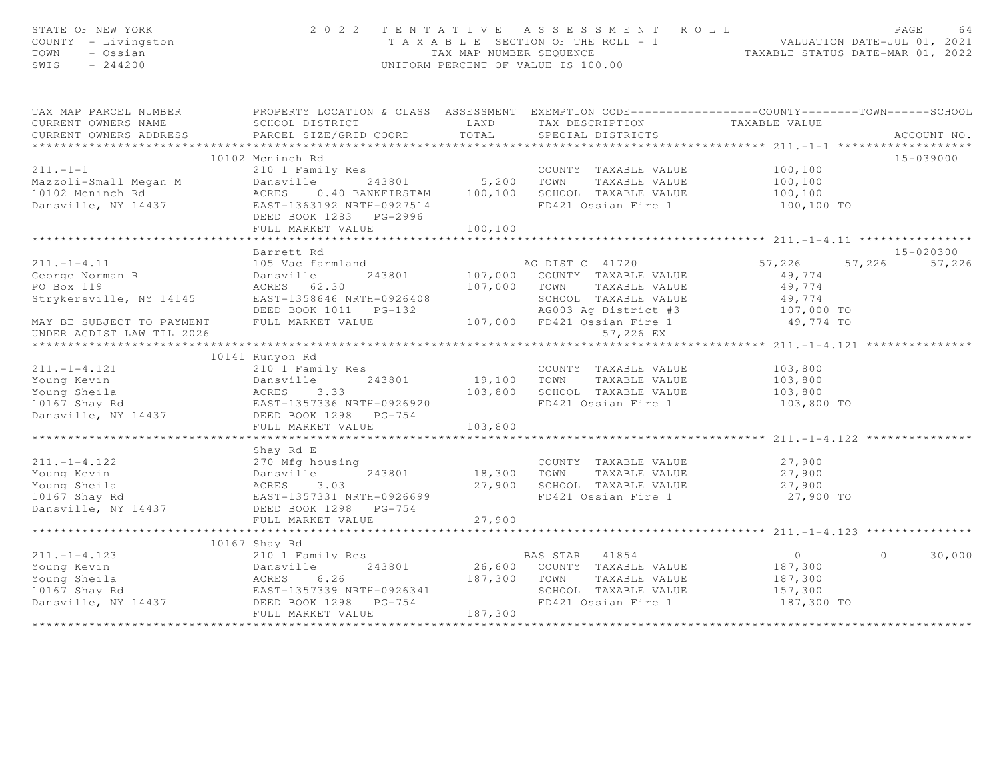| STATE OF NEW YORK<br>COUNTY - Livingston<br>TOWN<br>- Ossian<br>$-244200$<br>SWIS                                                                                                                                                                                                                                                                                                                                                                                                                             |                   |         | 2022 TENTATIVE ASSESSMENT ROLL<br>PAGE 64<br>TAXABLE SECTION OF THE ROLL - 1<br>TAXABLE SECTION OF THE ROLL - 1<br>TAXABLE STATUS DATE-MAR 01, 2022<br>TAXABLE STATUS DATE-MAR 01, 2022<br>UNIFORM PERCENT OF VALUE IS 100.00 |                   | PAGE<br>64         |
|---------------------------------------------------------------------------------------------------------------------------------------------------------------------------------------------------------------------------------------------------------------------------------------------------------------------------------------------------------------------------------------------------------------------------------------------------------------------------------------------------------------|-------------------|---------|-------------------------------------------------------------------------------------------------------------------------------------------------------------------------------------------------------------------------------|-------------------|--------------------|
| TAX MAP PARCEL NUMBER FROPERTY LOCATION & CLASS ASSESSMENT EXEMPTION CODE---------------COUNTY-------TOWN-----SCHOOL                                                                                                                                                                                                                                                                                                                                                                                          |                   |         |                                                                                                                                                                                                                               |                   |                    |
|                                                                                                                                                                                                                                                                                                                                                                                                                                                                                                               |                   |         |                                                                                                                                                                                                                               |                   |                    |
|                                                                                                                                                                                                                                                                                                                                                                                                                                                                                                               |                   |         |                                                                                                                                                                                                                               |                   |                    |
|                                                                                                                                                                                                                                                                                                                                                                                                                                                                                                               |                   |         |                                                                                                                                                                                                                               |                   | 15-039000          |
| 100,100 COUNTY TAXABLE VALUE<br>Mazzoli-Small Megan M Dansville 243801 5,200 TOWN TAXABLE VALUE<br>100,100 ACRES 0.40 BANKFIRSTAM 100,100 SCHOOL TAXABLE VALUE<br>Dansville, NY 14437 EAST-1363192 NRTH-0927514 FD421 Ossian Fire 1                                                                                                                                                                                                                                                                           |                   |         |                                                                                                                                                                                                                               |                   |                    |
|                                                                                                                                                                                                                                                                                                                                                                                                                                                                                                               |                   |         |                                                                                                                                                                                                                               |                   |                    |
|                                                                                                                                                                                                                                                                                                                                                                                                                                                                                                               |                   |         |                                                                                                                                                                                                                               |                   |                    |
|                                                                                                                                                                                                                                                                                                                                                                                                                                                                                                               |                   |         | FD421 Ossian Fire 1 100,100 TO                                                                                                                                                                                                |                   |                    |
|                                                                                                                                                                                                                                                                                                                                                                                                                                                                                                               |                   |         |                                                                                                                                                                                                                               |                   |                    |
|                                                                                                                                                                                                                                                                                                                                                                                                                                                                                                               | FULL MARKET VALUE | 100,100 |                                                                                                                                                                                                                               |                   |                    |
|                                                                                                                                                                                                                                                                                                                                                                                                                                                                                                               |                   |         |                                                                                                                                                                                                                               |                   |                    |
|                                                                                                                                                                                                                                                                                                                                                                                                                                                                                                               | Barrett Rd        |         |                                                                                                                                                                                                                               |                   | 15-020300          |
| 211.-1-4.11<br>George Norman R<br>DO Boy 119                                                                                                                                                                                                                                                                                                                                                                                                                                                                  |                   |         |                                                                                                                                                                                                                               | $57,226$ $57,226$ | 57,226             |
|                                                                                                                                                                                                                                                                                                                                                                                                                                                                                                               |                   |         |                                                                                                                                                                                                                               | 49,774            |                    |
|                                                                                                                                                                                                                                                                                                                                                                                                                                                                                                               |                   |         |                                                                                                                                                                                                                               |                   |                    |
|                                                                                                                                                                                                                                                                                                                                                                                                                                                                                                               |                   |         |                                                                                                                                                                                                                               |                   |                    |
|                                                                                                                                                                                                                                                                                                                                                                                                                                                                                                               |                   |         |                                                                                                                                                                                                                               |                   |                    |
| PO Box 119<br>Strykersville, NY 14145<br>EAST-1358646 NRTH-0926408<br>DEED BOOK 1011 PG-132<br>MAY BE SUBJECT TO PAYMENT FULL MARKET VALUE<br>MAY BE SUBJECT TO PAYMENT FULL MARKET VALUE<br>PO BOX 119<br>DEED BOOK 1011 PG-132<br>107,000 FD<br>UNDER AGDIST LAW TIL 2026                                                                                                                                                                                                                                   |                   |         | 57,226 EX                                                                                                                                                                                                                     |                   |                    |
|                                                                                                                                                                                                                                                                                                                                                                                                                                                                                                               |                   |         |                                                                                                                                                                                                                               |                   |                    |
| 11.-1-4.121<br>Young Kevin 210 1 Family Res<br>Young Sheila ACRES 3.33 103,800 SCHOOL TAXABLE VALUE 103,800<br>103,800 SCHOOL TAXABLE VALUE 103,800<br>103,800 SCHOOL TAXABLE VALUE 103,800<br>103,800 SCHOOL TAXABLE VALUE 103,800<br>Da                                                                                                                                                                                                                                                                     | 10141 Runyon Rd   |         |                                                                                                                                                                                                                               |                   |                    |
|                                                                                                                                                                                                                                                                                                                                                                                                                                                                                                               |                   |         |                                                                                                                                                                                                                               |                   |                    |
|                                                                                                                                                                                                                                                                                                                                                                                                                                                                                                               |                   |         |                                                                                                                                                                                                                               |                   |                    |
|                                                                                                                                                                                                                                                                                                                                                                                                                                                                                                               |                   |         | FD421 Ossian Fire 1 103,800 TO                                                                                                                                                                                                |                   |                    |
|                                                                                                                                                                                                                                                                                                                                                                                                                                                                                                               |                   |         |                                                                                                                                                                                                                               |                   |                    |
|                                                                                                                                                                                                                                                                                                                                                                                                                                                                                                               |                   |         |                                                                                                                                                                                                                               |                   |                    |
|                                                                                                                                                                                                                                                                                                                                                                                                                                                                                                               |                   |         |                                                                                                                                                                                                                               |                   |                    |
|                                                                                                                                                                                                                                                                                                                                                                                                                                                                                                               | Shay Rd E         |         |                                                                                                                                                                                                                               |                   |                    |
|                                                                                                                                                                                                                                                                                                                                                                                                                                                                                                               |                   |         |                                                                                                                                                                                                                               |                   |                    |
|                                                                                                                                                                                                                                                                                                                                                                                                                                                                                                               |                   |         |                                                                                                                                                                                                                               |                   |                    |
|                                                                                                                                                                                                                                                                                                                                                                                                                                                                                                               |                   |         |                                                                                                                                                                                                                               |                   |                    |
| 11.-1-4.122 270 Mfg housing<br>Young Kevin<br>Young Sheila (27,900 MG)<br>Young Sheila (27,900 ACRES 3.03 27,900 SCHOOL TAXABLE VALUE 27,900<br>27,900 ACRES 3.03 27,900 SCHOOL TAXABLE VALUE 27,900<br>Dansville, NY 14437 DEED BOOK 12                                                                                                                                                                                                                                                                      |                   |         |                                                                                                                                                                                                                               |                   |                    |
|                                                                                                                                                                                                                                                                                                                                                                                                                                                                                                               |                   |         |                                                                                                                                                                                                                               |                   |                    |
|                                                                                                                                                                                                                                                                                                                                                                                                                                                                                                               |                   |         |                                                                                                                                                                                                                               |                   |                    |
|                                                                                                                                                                                                                                                                                                                                                                                                                                                                                                               |                   |         |                                                                                                                                                                                                                               |                   |                    |
|                                                                                                                                                                                                                                                                                                                                                                                                                                                                                                               | 10167 Shay Rd     |         |                                                                                                                                                                                                                               |                   |                    |
| $\begin{tabular}{lllllllllllllllllllll} \multicolumn{3}{c }{\begin{tabular}{l} \multicolumn{3}{c}{\begin{tabular}{l} \multicolumn{3}{c}{\begin{tabular}{l} \multicolumn{3}{c}{\begin{tabular}{l} \multicolumn{3}{c}{\begin{tabular}{l} \multicolumn{3}{c}{\begin{tabular}{l} \multicolumn{3}{c}{\begin{tabular}{l} \multicolumn{3}{c}{\begin{tabular}{l} \multicolumn{3}{c}{\begin{tabular}{l} \multicolumn{3}{c}{\begin{tabular}{l} \multicolumn{3}{c}{\begin{tabular}{l} \multicolumn{3}{c}{\begin{tabular$ |                   |         |                                                                                                                                                                                                                               | $\overline{0}$    | $\Omega$<br>30,000 |
|                                                                                                                                                                                                                                                                                                                                                                                                                                                                                                               |                   |         |                                                                                                                                                                                                                               |                   |                    |
|                                                                                                                                                                                                                                                                                                                                                                                                                                                                                                               |                   |         |                                                                                                                                                                                                                               |                   |                    |
|                                                                                                                                                                                                                                                                                                                                                                                                                                                                                                               |                   |         |                                                                                                                                                                                                                               |                   |                    |
|                                                                                                                                                                                                                                                                                                                                                                                                                                                                                                               |                   |         |                                                                                                                                                                                                                               | 187,300 TO        |                    |
|                                                                                                                                                                                                                                                                                                                                                                                                                                                                                                               |                   |         |                                                                                                                                                                                                                               |                   |                    |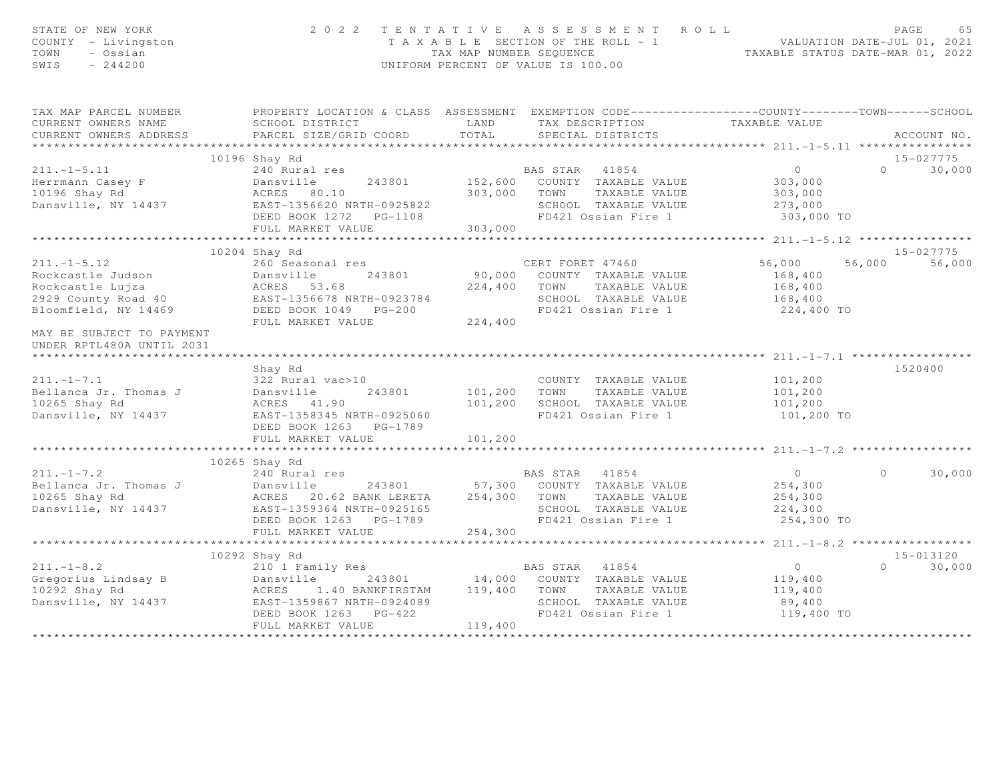| STATE OF NEW YORK<br>COUNTY - Livingston<br>TOWN<br>- Ossian<br>SWIS<br>$-244200$                                                                                                                                                                                      | 2 0 2 2                                                                                                                                                                                                        |                                  | TENTATIVE ASSESSMENT ROLL<br>T A X A B L E SECTION OF THE ROLL - 1 VALUATION DATE-JUL 01, 2021<br>TAX MAP NUMBER SEQUENCE TAXABLE STATUS DATE-MAR 01, 2022<br>UNIFORM PERCENT OF VALUE IS 100.00 |                                                 | PAGE<br>65    |
|------------------------------------------------------------------------------------------------------------------------------------------------------------------------------------------------------------------------------------------------------------------------|----------------------------------------------------------------------------------------------------------------------------------------------------------------------------------------------------------------|----------------------------------|--------------------------------------------------------------------------------------------------------------------------------------------------------------------------------------------------|-------------------------------------------------|---------------|
| TAX MAP PARCEL NUMBER<br>CURRENT OWNERS NAME                                                                                                                                                                                                                           | PROPERTY LOCATION & CLASS ASSESSMENT EXEMPTION CODE-----------------COUNTY-------TOWN------SCHOOL                                                                                                              |                                  |                                                                                                                                                                                                  |                                                 |               |
| CURRENT OWNERS ADDRESS                                                                                                                                                                                                                                                 | PARCEL SIZE/GRID COORD                                                                                                                                                                                         | TOTAL                            | SPECIAL DISTRICTS                                                                                                                                                                                |                                                 | ACCOUNT NO.   |
|                                                                                                                                                                                                                                                                        |                                                                                                                                                                                                                |                                  |                                                                                                                                                                                                  |                                                 |               |
|                                                                                                                                                                                                                                                                        |                                                                                                                                                                                                                |                                  |                                                                                                                                                                                                  |                                                 | 15-027775     |
|                                                                                                                                                                                                                                                                        |                                                                                                                                                                                                                |                                  | BAS STAR 41854 0<br>152,600 COUNTY TAXABLE VALUE 303,000                                                                                                                                         |                                                 | $0 \t 30,000$ |
|                                                                                                                                                                                                                                                                        |                                                                                                                                                                                                                |                                  |                                                                                                                                                                                                  |                                                 |               |
|                                                                                                                                                                                                                                                                        |                                                                                                                                                                                                                |                                  | 303,000 TOWN TAXABLE VALUE                                                                                                                                                                       | 303,000                                         |               |
|                                                                                                                                                                                                                                                                        |                                                                                                                                                                                                                |                                  | SCHOOL TAXABLE VALUE                                                                                                                                                                             | 273,000                                         |               |
| 10196 Shay Rd<br>240 Rural res<br>Herrmann Casey F<br>10196 Shay Rd<br>243801 152,600<br>243801 152,600<br>263,000<br>203,000<br>203,000<br>203,000<br>203,000<br>205,000<br>205,000<br>205,000<br>205,000<br>205,000<br>205,000<br>205,000<br>205,000<br>205,000<br>2 |                                                                                                                                                                                                                |                                  | FD421 Ossian Fire 1                                                                                                                                                                              | 303,000 TO                                      |               |
|                                                                                                                                                                                                                                                                        | FULL MARKET VALUE<br>**********************                                                                                                                                                                    | 303,000                          |                                                                                                                                                                                                  |                                                 |               |
|                                                                                                                                                                                                                                                                        |                                                                                                                                                                                                                | ******************************** |                                                                                                                                                                                                  | ***************** 211.-1-5.12 ***************** |               |
|                                                                                                                                                                                                                                                                        | 10204 Shay Rd                                                                                                                                                                                                  |                                  |                                                                                                                                                                                                  | 56,000                                          | 15-027775     |
|                                                                                                                                                                                                                                                                        |                                                                                                                                                                                                                |                                  |                                                                                                                                                                                                  | 168,400                                         | 56,000 56,000 |
|                                                                                                                                                                                                                                                                        |                                                                                                                                                                                                                |                                  |                                                                                                                                                                                                  | 168,400                                         |               |
|                                                                                                                                                                                                                                                                        |                                                                                                                                                                                                                |                                  |                                                                                                                                                                                                  | 168,400                                         |               |
|                                                                                                                                                                                                                                                                        |                                                                                                                                                                                                                |                                  | FD421 Ossian Fire 1 224,400 TO                                                                                                                                                                   |                                                 |               |
|                                                                                                                                                                                                                                                                        |                                                                                                                                                                                                                |                                  |                                                                                                                                                                                                  |                                                 |               |
| MAY BE SUBJECT TO PAYMENT<br>UNDER RPTL480A UNTIL 2031                                                                                                                                                                                                                 |                                                                                                                                                                                                                |                                  |                                                                                                                                                                                                  |                                                 |               |
|                                                                                                                                                                                                                                                                        |                                                                                                                                                                                                                |                                  |                                                                                                                                                                                                  |                                                 |               |
| $211. -1 - 7.1$                                                                                                                                                                                                                                                        | Shay Rd<br>322 Rural vac>10                                                                                                                                                                                    |                                  |                                                                                                                                                                                                  |                                                 | 1520400       |
| Bellanca Jr. Thomas J                                                                                                                                                                                                                                                  |                                                                                                                                                                                                                |                                  | COUNTY TAXABLE VALUE 101,200                                                                                                                                                                     |                                                 |               |
| 10265 Shay Rd                                                                                                                                                                                                                                                          |                                                                                                                                                                                                                |                                  |                                                                                                                                                                                                  |                                                 |               |
| Dansville, NY 14437                                                                                                                                                                                                                                                    | 322 Rural vac>10<br>Dansville 243801 101,200 TOWN TAXABLE VALUE 101,200<br>ACRES 41.90 101,200 SCHOOL TAXABLE VALUE 101,200<br>EAST-1358345 NRTH-0925060 FD421 Ossian Fire 1 101,200<br>DEED BOOK 1263 PG-1789 |                                  |                                                                                                                                                                                                  | 101,200 TO                                      |               |
|                                                                                                                                                                                                                                                                        | FULL MARKET VALUE                                                                                                                                                                                              | 101,200                          |                                                                                                                                                                                                  |                                                 |               |
|                                                                                                                                                                                                                                                                        |                                                                                                                                                                                                                |                                  |                                                                                                                                                                                                  |                                                 |               |
|                                                                                                                                                                                                                                                                        | 10265 Shay Rd                                                                                                                                                                                                  |                                  |                                                                                                                                                                                                  |                                                 |               |
| 10265 Shay Rd (1997)<br>240 Rural res (1998)<br>240 Rural res (2008)<br>243801 57,300 COUNTY TAXABLE VALUE<br>243801 57,300 COUNTY TAXABLE VALUE<br>254,300 TOWN TAXABLE VALUE<br>254,300 TOWN TAXABLE VALUE<br>254.300 TOWN TAXABLE VALUE<br>                         |                                                                                                                                                                                                                |                                  |                                                                                                                                                                                                  | $\overline{0}$                                  | $0 \t 30,000$ |
|                                                                                                                                                                                                                                                                        |                                                                                                                                                                                                                |                                  |                                                                                                                                                                                                  | 254,300<br>254,300                              |               |
|                                                                                                                                                                                                                                                                        |                                                                                                                                                                                                                |                                  |                                                                                                                                                                                                  |                                                 |               |
|                                                                                                                                                                                                                                                                        |                                                                                                                                                                                                                |                                  | FD421 Ossian Fire 1                                                                                                                                                                              | 224,300<br>254,300 TO                           |               |
|                                                                                                                                                                                                                                                                        |                                                                                                                                                                                                                |                                  |                                                                                                                                                                                                  |                                                 |               |
|                                                                                                                                                                                                                                                                        | *****************************                                                                                                                                                                                  |                                  |                                                                                                                                                                                                  |                                                 |               |
|                                                                                                                                                                                                                                                                        | 10292 Shay Rd                                                                                                                                                                                                  |                                  |                                                                                                                                                                                                  |                                                 | 15-013120     |
|                                                                                                                                                                                                                                                                        |                                                                                                                                                                                                                |                                  |                                                                                                                                                                                                  | $\overline{O}$                                  | $0 \t 30,000$ |
| 10232 Shay Au (10232 Shay Au (10232 Shay Au (10232 Shay Au (210 1 Family Res RAS STAR 41854<br>Gregorius Lindsay B Dansville 243801 14,000 COUNTY TAXABLE VALUE<br>10292 Shay Rd ACRES 1.40 BANKFIRSTAM 119,400 TOWN TAXABLE VALUE                                     |                                                                                                                                                                                                                |                                  |                                                                                                                                                                                                  | 119,400                                         |               |
|                                                                                                                                                                                                                                                                        |                                                                                                                                                                                                                |                                  |                                                                                                                                                                                                  | 119,400                                         |               |
|                                                                                                                                                                                                                                                                        |                                                                                                                                                                                                                |                                  | SCHOOL TAXABLE VALUE                                                                                                                                                                             | 89,400                                          |               |
|                                                                                                                                                                                                                                                                        |                                                                                                                                                                                                                |                                  | FD421 Ossian Fire 1                                                                                                                                                                              | 119,400 TO                                      |               |
|                                                                                                                                                                                                                                                                        | FULL MARKET VALUE                                                                                                                                                                                              | 119,400                          |                                                                                                                                                                                                  |                                                 |               |
|                                                                                                                                                                                                                                                                        |                                                                                                                                                                                                                |                                  |                                                                                                                                                                                                  |                                                 |               |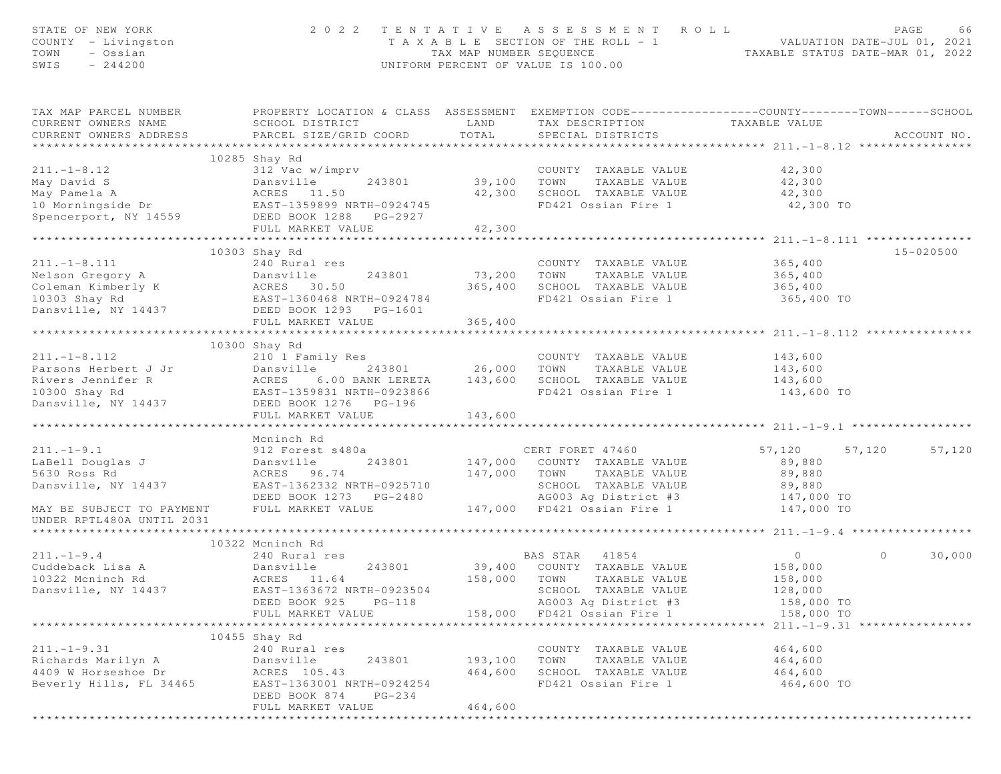| STATE OF NEW YORK<br>COUNTY - Livingston<br>- Ossian<br>TOWN<br>SWIS<br>$-244200$                                       |                                                                                                                                               |                          | 2022 TENTATIVE ASSESSMENT ROLL<br>T A X A B L E SECTION OF THE ROLL - 1 VALUATION DATE-JUL 01, 2021<br>TAX MAP NUMBER SEQUENCE TAXABLE STATUS DATE-MAR 01, 2022<br>UNIFORM PERCENT OF VALUE IS 100.00 |                       | PAGE          | 66          |
|-------------------------------------------------------------------------------------------------------------------------|-----------------------------------------------------------------------------------------------------------------------------------------------|--------------------------|-------------------------------------------------------------------------------------------------------------------------------------------------------------------------------------------------------|-----------------------|---------------|-------------|
| TAX MAP PARCEL NUMBER<br>CURRENT OWNERS NAME<br>CURRENT OWNERS ADDRESS                                                  | PROPERTY LOCATION & CLASS ASSESSMENT EXEMPTION CODE----------------COUNTY-------TOWN------SCHOOL<br>SCHOOL DISTRICT<br>PARCEL SIZE/GRID COORD | LAND<br>TOTAL            | TAX DESCRIPTION<br>SPECIAL DISTRICTS                                                                                                                                                                  | TAXABLE VALUE         |               | ACCOUNT NO. |
|                                                                                                                         |                                                                                                                                               |                          |                                                                                                                                                                                                       |                       |               |             |
| $211. -1 - 8.12$                                                                                                        | 10285 Shay Rd                                                                                                                                 |                          | COUNTY TAXABLE VALUE                                                                                                                                                                                  | 42,300                |               |             |
|                                                                                                                         | 312 Vac w/imprv                                                                                                                               | COUNI<br>39,100     TOWN | TAXABLE VALUE                                                                                                                                                                                         | 42,300                |               |             |
| May David S<br>May Pamela A (All 243801)<br>May Pamela A (ACRES 11.50)<br>10 Morningside Dr (BAST-1359899 NRTH-0924745) |                                                                                                                                               | 42,300                   | SCHOOL TAXABLE VALUE                                                                                                                                                                                  | 42,300                |               |             |
|                                                                                                                         |                                                                                                                                               |                          | FD421 Ossian Fire 1                                                                                                                                                                                   | 42,300 TO             |               |             |
| Spencerport, NY 14559                                                                                                   | DEED BOOK 1288 PG-2927                                                                                                                        |                          |                                                                                                                                                                                                       |                       |               |             |
|                                                                                                                         | FULL MARKET VALUE                                                                                                                             | 42,300                   |                                                                                                                                                                                                       |                       |               |             |
|                                                                                                                         |                                                                                                                                               | ***********              |                                                                                                                                                                                                       |                       |               |             |
|                                                                                                                         | 10303 Shay Rd                                                                                                                                 |                          |                                                                                                                                                                                                       |                       | $15 - 020500$ |             |
| $211. - 1 - 8.111$                                                                                                      | 240 Rural res                                                                                                                                 |                          | COUNTY TAXABLE VALUE                                                                                                                                                                                  | 365,400               |               |             |
| Nelson Gregory A                                                                                                        | Dansville<br>243801                                                                                                                           | 73,200                   | TOWN<br>TAXABLE VALUE                                                                                                                                                                                 | 365,400               |               |             |
|                                                                                                                         |                                                                                                                                               | 365,400                  | SCHOOL TAXABLE VALUE                                                                                                                                                                                  | 365,400               |               |             |
|                                                                                                                         |                                                                                                                                               |                          | FD421 Ossian Fire 1                                                                                                                                                                                   | 365,400 TO            |               |             |
|                                                                                                                         |                                                                                                                                               |                          |                                                                                                                                                                                                       |                       |               |             |
|                                                                                                                         | FULL MARKET VALUE                                                                                                                             | 365,400                  |                                                                                                                                                                                                       |                       |               |             |
|                                                                                                                         |                                                                                                                                               |                          |                                                                                                                                                                                                       |                       |               |             |
|                                                                                                                         | 10300 Shay Rd                                                                                                                                 |                          |                                                                                                                                                                                                       |                       |               |             |
| $211. -1 - 8.112$                                                                                                       | 210 1 Family Res                                                                                                                              |                          | COUNTY TAXABLE VALUE                                                                                                                                                                                  | 143,600               |               |             |
| Parsons Herbert J Jr<br>Rivers Jennifer R                                                                               |                                                                                                                                               | 243801 26,000<br>143,600 | TOWN<br>TAXABLE VALUE<br>SCHOOL TAXABLE VALUE                                                                                                                                                         | 143,600               |               |             |
| 10300 Shay Rd                                                                                                           |                                                                                                                                               |                          | FD421 Ossian Fire 1                                                                                                                                                                                   | 143,600<br>143,600 TO |               |             |
| Dansville, NY 14437                                                                                                     |                                                                                                                                               |                          |                                                                                                                                                                                                       |                       |               |             |
|                                                                                                                         | Jr Dansville<br>RCRES 6.00 BANK LEKE 1.<br>EAST-1359831 NRTH-0923866<br>DEED BOOK 1276 PG-196<br>FIILL MARKET VALUE                           | 143,600                  |                                                                                                                                                                                                       |                       |               |             |
|                                                                                                                         |                                                                                                                                               |                          |                                                                                                                                                                                                       |                       |               |             |
|                                                                                                                         | Mcninch Rd                                                                                                                                    |                          |                                                                                                                                                                                                       |                       |               |             |
| $211. -1 - 9.1$                                                                                                         | 912 Forest s480a                                                                                                                              |                          | CERT FORET 47460                                                                                                                                                                                      | 57,120                | 57,120        | 57,120      |
| LaBell Douglas J                                                                                                        | Dansville<br>243801                                                                                                                           |                          | 147,000 COUNTY TAXABLE VALUE                                                                                                                                                                          | 89,880                |               |             |
| 5630 Ross Rd                                                                                                            | ACRES 96.74                                                                                                                                   |                          | 147,000 TOWN TAXABLE VALUE                                                                                                                                                                            | 89,880                |               |             |
| Dansville, NY 14437                                                                                                     | EAST-1362332 NRTH-0925710                                                                                                                     |                          | SCHOOL TAXABLE VALUE                                                                                                                                                                                  | 89,880                |               |             |
|                                                                                                                         | DEED BOOK 1273 PG-2480                                                                                                                        |                          | AG003 Ag District #3                                                                                                                                                                                  | 147,000 TO            |               |             |
| MAY BE SUBJECT TO PAYMENT                                                                                               | FULL MARKET VALUE                                                                                                                             |                          | 147,000 FD421 Ossian Fire 1                                                                                                                                                                           | 147,000 TO            |               |             |
| UNDER RPTL480A UNTIL 2031                                                                                               |                                                                                                                                               |                          |                                                                                                                                                                                                       |                       |               |             |
|                                                                                                                         |                                                                                                                                               |                          |                                                                                                                                                                                                       |                       |               |             |
| $211, -1-9.4$                                                                                                           | 10322 Mcninch Rd                                                                                                                              |                          |                                                                                                                                                                                                       | $\overline{0}$        | $\Omega$      |             |
| Cuddeback Lisa A                                                                                                        | 240 Rural res<br>243801                                                                                                                       | 39,400                   | BAS STAR 41854<br>COUNTY TAXABLE VALUE                                                                                                                                                                | 158,000               |               | 30,000      |
| 10322 Mcninch Rd                                                                                                        | Dansville<br>ACRES 11.64                                                                                                                      | 158,000                  | TOWN<br>TAXABLE VALUE                                                                                                                                                                                 | 158,000               |               |             |
| Dansville, NY 14437                                                                                                     | EAST-1363672 NRTH-0923504                                                                                                                     |                          | SCHOOL TAXABLE VALUE                                                                                                                                                                                  | 128,000               |               |             |
|                                                                                                                         | DEED BOOK 925<br>$PG-118$                                                                                                                     |                          | AG003 Ag District #3                                                                                                                                                                                  | 158,000 TO            |               |             |
|                                                                                                                         | FULL MARKET VALUE                                                                                                                             | 158,000                  | FD421 Ossian Fire 1                                                                                                                                                                                   | 158,000 TO            |               |             |
|                                                                                                                         |                                                                                                                                               |                          |                                                                                                                                                                                                       |                       |               |             |
|                                                                                                                         | 10455 Shay Rd                                                                                                                                 |                          |                                                                                                                                                                                                       |                       |               |             |
| $211. -1 - 9.31$                                                                                                        | 240 Rural res                                                                                                                                 |                          | COUNTY TAXABLE VALUE                                                                                                                                                                                  | 464,600               |               |             |
| Richards Marilyn A                                                                                                      | Dansville<br>243801                                                                                                                           | 193,100                  | TOWN<br>TAXABLE VALUE                                                                                                                                                                                 | 464,600               |               |             |
| 4409 W Horseshoe Dr                                                                                                     | ACRES 105.43                                                                                                                                  | 464,600                  | SCHOOL TAXABLE VALUE                                                                                                                                                                                  | 464,600               |               |             |
| Beverly Hills, FL 34465                                                                                                 | EAST-1363001 NRTH-0924254                                                                                                                     |                          | FD421 Ossian Fire 1                                                                                                                                                                                   | 464,600 TO            |               |             |
|                                                                                                                         | DEED BOOK 874<br>$PG-234$                                                                                                                     |                          |                                                                                                                                                                                                       |                       |               |             |
|                                                                                                                         | FULL MARKET VALUE                                                                                                                             | 464,600                  |                                                                                                                                                                                                       |                       |               |             |
|                                                                                                                         |                                                                                                                                               |                          |                                                                                                                                                                                                       |                       |               |             |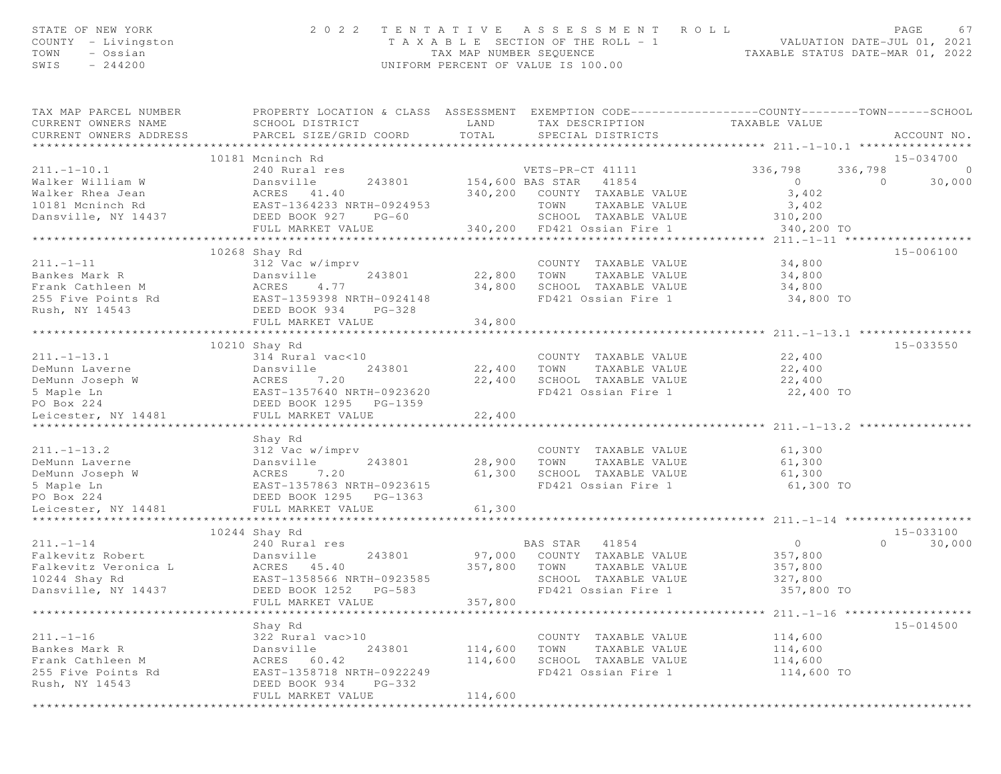| STATE OF NEW YORK<br>COUNTY - Livingston<br>- Ossian<br>TOWN<br>SWIS<br>$-244200$ | 2 0 2 2                                                                                                                                       | TENTATIVE<br>TAX MAP NUMBER SEQUENCE | ASSESSMENT<br>R O L L<br>T A X A B L E SECTION OF THE ROLL - 1<br>UNIFORM PERCENT OF VALUE IS 100.00 | VALUATION DATE-JUL 01, 2021<br>TAXABLE STATUS DATE-MAR 01, 2022 | PAGE<br>67         |
|-----------------------------------------------------------------------------------|-----------------------------------------------------------------------------------------------------------------------------------------------|--------------------------------------|------------------------------------------------------------------------------------------------------|-----------------------------------------------------------------|--------------------|
| TAX MAP PARCEL NUMBER<br>CURRENT OWNERS NAME<br>CURRENT OWNERS ADDRESS            | PROPERTY LOCATION & CLASS ASSESSMENT EXEMPTION CODE----------------COUNTY-------TOWN------SCHOOL<br>SCHOOL DISTRICT<br>PARCEL SIZE/GRID COORD | LAND<br>TOTAL                        | TAX DESCRIPTION TAXABLE VALUE<br>SPECIAL DISTRICTS                                                   |                                                                 | ACCOUNT NO.        |
|                                                                                   | 10181 Mcninch Rd                                                                                                                              |                                      |                                                                                                      |                                                                 | 15-034700          |
| $211. - 1 - 10.1$                                                                 | 240 Rural res                                                                                                                                 |                                      | VETS-PR-CT 41111                                                                                     | 336,798                                                         | $\circ$<br>336,798 |
| Walker William W                                                                  | 243801<br>Dansville                                                                                                                           |                                      | 154,600 BAS STAR 41854                                                                               | $\sim$ 0                                                        | 30,000<br>$\Omega$ |
| Walker Rhea Jean                                                                  |                                                                                                                                               |                                      | 340,200 COUNTY TAXABLE VALUE                                                                         | 3,402                                                           |                    |
| 10181 Mcninch Rd                                                                  | ACRES 41.40<br>EAST-1364233 NRTH-0924953                                                                                                      |                                      | TOWN<br>TAXABLE VALUE                                                                                | 3,402                                                           |                    |
| Dansville, NY 14437                                                               | DEED BOOK 927<br>$PG-60$                                                                                                                      |                                      | SCHOOL TAXABLE VALUE                                                                                 | 310,200                                                         |                    |
|                                                                                   | FULL MARKET VALUE<br>***************************                                                                                              |                                      | 340,200 FD421 Ossian Fire 1                                                                          | 340,200 TO                                                      |                    |
|                                                                                   | 10268 Shay Rd                                                                                                                                 |                                      |                                                                                                      |                                                                 | 15-006100          |
| $211. - 1 - 11$                                                                   | 312 Vac w/imprv                                                                                                                               |                                      | COUNTY TAXABLE VALUE                                                                                 | 34,800                                                          |                    |
| Bankes Mark R                                                                     | Dansville<br>243801                                                                                                                           | 22,800 TOWN                          | TAXABLE VALUE                                                                                        | 34,800                                                          |                    |
| Frank Cathleen M ACRES                                                            | 4.77                                                                                                                                          |                                      | 34,800 SCHOOL TAXABLE VALUE                                                                          | 34,800                                                          |                    |
| 255 Five Points Rd                                                                | EAST-1359398 NRTH-0924148                                                                                                                     |                                      | FD421 Ossian Fire 1                                                                                  | 34,800 TO                                                       |                    |
| Rush, NY 14543                                                                    | DEED BOOK 934 PG-328                                                                                                                          |                                      |                                                                                                      |                                                                 |                    |
|                                                                                   | FULL MARKET VALUE                                                                                                                             | 34,800                               |                                                                                                      |                                                                 |                    |
|                                                                                   | 10210 Shay Rd                                                                                                                                 |                                      |                                                                                                      |                                                                 | $15 - 033550$      |
| $211. - 1 - 13.1$                                                                 | 314 Rural vac<10                                                                                                                              |                                      | COUNTY TAXABLE VALUE                                                                                 | 22,400                                                          |                    |
| DeMunn Laverne                                                                    | 243801<br>Dansville                                                                                                                           | 22,400                               | TOWN<br>TAXABLE VALUE                                                                                | 22,400                                                          |                    |
| DeMunn Joseph W                                                                   | Dansvi<br>ACRES                                                                                                                               | 22,400                               | SCHOOL TAXABLE VALUE                                                                                 | 22,400                                                          |                    |
| 5 Maple Ln                                                                        | W ACRES 7.20<br>EAST-1357640 NRTH-0923620<br>DEED BOOK 1295 PG-1359                                                                           |                                      | FD421 Ossian Fire 1                                                                                  | 22,400 TO                                                       |                    |
| PO Box 224                                                                        |                                                                                                                                               |                                      |                                                                                                      |                                                                 |                    |
| Leicester, NY 14481                                                               | FULL MARKET VALUE                                                                                                                             | 22,400                               |                                                                                                      |                                                                 |                    |
|                                                                                   |                                                                                                                                               |                                      |                                                                                                      |                                                                 |                    |
| $211. - 1 - 13.2$                                                                 | Shay Rd<br>312 Vac w/imprv                                                                                                                    |                                      | COUNTY TAXABLE VALUE                                                                                 | 61,300                                                          |                    |
| DeMunn Laverne                                                                    | Dansville<br>243801                                                                                                                           | 28,900                               | TAXABLE VALUE<br>TOWN                                                                                | 61,300                                                          |                    |
| DeMunn Joseph W                                                                   |                                                                                                                                               | 61,300                               | SCHOOL TAXABLE VALUE                                                                                 | 61,300                                                          |                    |
| 5 Maple Ln                                                                        | ACRES 7.20<br>EAST-1357863 NRTH-0923615                                                                                                       |                                      | FD421 Ossian Fire 1                                                                                  | 61,300 TO                                                       |                    |
| PO Box 224                                                                        | DEED BOOK 1295 PG-1363                                                                                                                        |                                      |                                                                                                      |                                                                 |                    |
| Leicester, NY 14481<br>******************                                         | FULL MARKET VALUE                                                                                                                             | 61,300<br>*************              |                                                                                                      |                                                                 |                    |
|                                                                                   | 10244 Shay Rd                                                                                                                                 |                                      |                                                                                                      |                                                                 | 15-033100          |
| $211. - 1 - 14$                                                                   | 240 Rural res                                                                                                                                 |                                      | BAS STAR<br>41854                                                                                    | $\circ$                                                         | 30,000<br>$\Omega$ |
| Falkevitz Robert                                                                  | Dansville<br>243801                                                                                                                           |                                      | 97,000 COUNTY TAXABLE VALUE                                                                          | 357,800                                                         |                    |
| Falkevitz Veronica L                                                              | ACRES 45.40                                                                                                                                   | 357,800 TOWN                         | TAXABLE VALUE                                                                                        | 357,800                                                         |                    |
| 10244 Shay Rd                                                                     | EAST-1358566 NRTH-0923585                                                                                                                     |                                      | SCHOOL TAXABLE VALUE                                                                                 | 327,800                                                         |                    |
| Dansville, NY 14437                                                               | DEED BOOK 1252 PG-583                                                                                                                         |                                      | FD421 Ossian Fire 1                                                                                  | 357,800 TO                                                      |                    |
|                                                                                   | FULL MARKET VALUE                                                                                                                             | 357,800                              |                                                                                                      |                                                                 |                    |
|                                                                                   |                                                                                                                                               | *********************                |                                                                                                      |                                                                 |                    |
| $211. - 1 - 16$                                                                   | Shay Rd<br>322 Rural vac>10                                                                                                                   |                                      | COUNTY TAXABLE VALUE                                                                                 | 114,600                                                         | 15-014500          |
| Bankes Mark R                                                                     | Dansville<br>243801                                                                                                                           | 114,600                              | TOWN<br>TAXABLE VALUE                                                                                | 114,600                                                         |                    |
| Frank Cathleen M                                                                  | ACRES 60.42                                                                                                                                   | 114,600                              | SCHOOL TAXABLE VALUE                                                                                 | 114,600                                                         |                    |
| 255 Five Points Rd                                                                | EAST-1358718 NRTH-0922249                                                                                                                     |                                      | FD421 Ossian Fire 1                                                                                  | 114,600 TO                                                      |                    |
| Rush, NY 14543                                                                    | DEED BOOK 934<br>PG-332                                                                                                                       |                                      |                                                                                                      |                                                                 |                    |
|                                                                                   | FULL MARKET VALUE                                                                                                                             | 114,600                              |                                                                                                      |                                                                 |                    |
|                                                                                   |                                                                                                                                               |                                      |                                                                                                      |                                                                 |                    |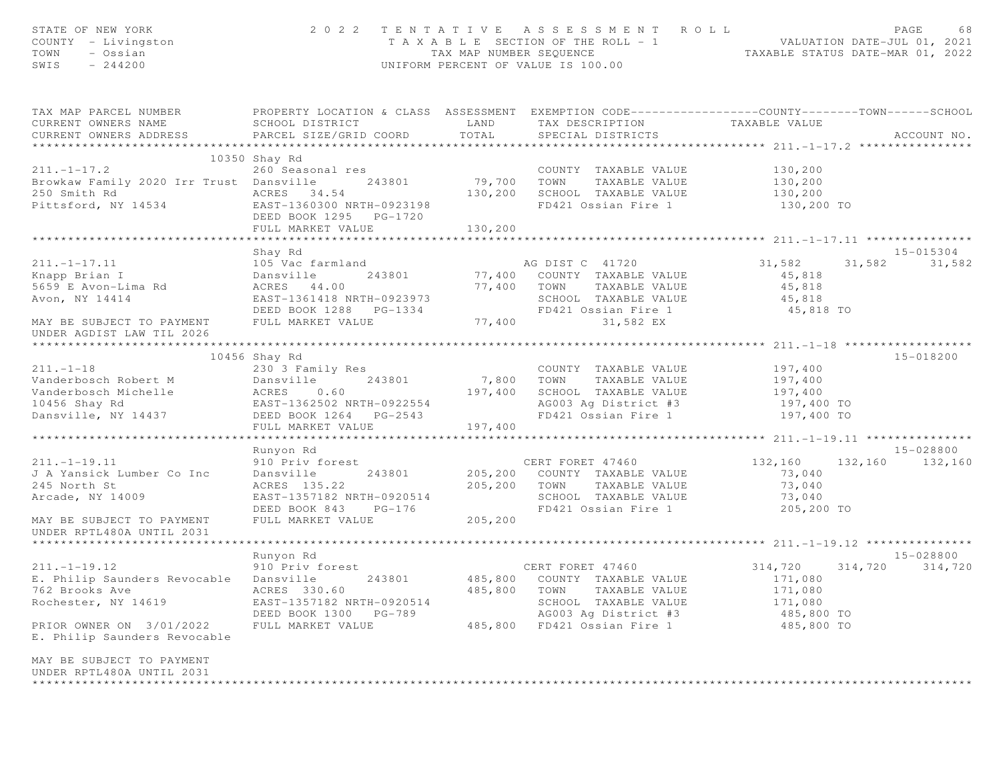| STATE OF NEW YORK<br>COUNTY - Livingston<br>TOWN<br>- Ossian<br>$-244200$<br>SWIS                                                 | 2 0 2 2                                                                                                                                       | TAX MAP NUMBER SEQUENCE       | TENTATIVE ASSESSMENT ROLL<br>T A X A B L E SECTION OF THE ROLL - 1<br>UNIFORM PERCENT OF VALUE IS 100.00                                         |                                                                      | PAGE<br>68         |
|-----------------------------------------------------------------------------------------------------------------------------------|-----------------------------------------------------------------------------------------------------------------------------------------------|-------------------------------|--------------------------------------------------------------------------------------------------------------------------------------------------|----------------------------------------------------------------------|--------------------|
| TAX MAP PARCEL NUMBER<br>CURRENT OWNERS NAME<br>CURRENT OWNERS ADDRESS                                                            | PROPERTY LOCATION & CLASS ASSESSMENT EXEMPTION CODE----------------COUNTY-------TOWN------SCHOOL<br>SCHOOL DISTRICT<br>PARCEL SIZE/GRID COORD | LAND<br>TOTAL                 | TAX DESCRIPTION<br>SPECIAL DISTRICTS                                                                                                             | TAXABLE VALUE                                                        | ACCOUNT NO.        |
|                                                                                                                                   | 10350 Shay Rd                                                                                                                                 |                               |                                                                                                                                                  | ****************** 211.-1-17.2 ************                          |                    |
| $211. - 1 - 17.2$                                                                                                                 | 260 Seasonal res                                                                                                                              |                               | COUNTY TAXABLE VALUE                                                                                                                             | 130,200                                                              |                    |
| Browkaw Family 2020 Irr Trust Dansville<br>250 Smith Rd<br>Pittsford, NY 14534                                                    | 243801<br>ACRES 34.54<br>EAST-1360300 NRTH-0923198<br>DEED BOOK 1295 PG-1720                                                                  | 79,700<br>130,200             | TOWN<br>TAXABLE VALUE<br>SCHOOL TAXABLE VALUE<br>FD421 Ossian Fire 1                                                                             | 130,200<br>130,200<br>130,200 TO                                     |                    |
|                                                                                                                                   | FULL MARKET VALUE                                                                                                                             | 130,200                       |                                                                                                                                                  |                                                                      |                    |
|                                                                                                                                   | Shay Rd                                                                                                                                       |                               |                                                                                                                                                  |                                                                      | $15 - 015304$      |
| $211. -1 - 17.11$<br>Knapp Brian I<br>5659 E Avon-Lima Rd<br>Avon, NY 14414                                                       | 105 Vac farmland<br>243801<br>Dansville<br>ACRES 44.00<br>EAST-1361418 NRTH-0923973<br>DEED BOOK 1288 PG-1334                                 | 77,400<br>77,400              | AG DIST C 41720<br>COUNTY TAXABLE VALUE<br>TOWN<br>TAXABLE VALUE<br>SCHOOL TAXABLE VALUE<br>FD421 Ossian Fire 1                                  | 31,582<br>45,818<br>45,818<br>45,818<br>45,818 TO                    | 31,582<br>31,582   |
| MAY BE SUBJECT TO PAYMENT<br>UNDER AGDIST LAW TIL 2026                                                                            | FULL MARKET VALUE                                                                                                                             | 77,400                        | 31,582 EX                                                                                                                                        |                                                                      |                    |
|                                                                                                                                   |                                                                                                                                               |                               |                                                                                                                                                  |                                                                      |                    |
|                                                                                                                                   | 10456 Shay Rd                                                                                                                                 |                               |                                                                                                                                                  |                                                                      | 15-018200          |
| $211. - 1 - 18$<br>Vanderbosch Robert M<br>Vanderbosch Michelle<br>10456 Shay Rd<br>Dansville, NY 14437                           | 230 3 Family Res<br>Dansville<br>243801<br>ACRES U. 00<br>EAST-1362502 NRTH-0922554<br>CAST-1362502 PG-2543<br>DEED BOOK 1264    PG-2543      | 7,800<br>197,400              | COUNTY TAXABLE VALUE<br>TOWN<br>TAXABLE VALUE<br>SCHOOL TAXABLE VALUE<br>AG003 Ag District #3<br>FD421 Ossian Fire 1                             | 197,400<br>197,400<br>197,400<br>197,400 TO<br>197,400 TO            |                    |
|                                                                                                                                   | FULL MARKET VALUE                                                                                                                             | 197,400                       |                                                                                                                                                  |                                                                      |                    |
|                                                                                                                                   |                                                                                                                                               |                               | ***********************                                                                                                                          | ********************* 211.-1-19.11 ****************                  |                    |
|                                                                                                                                   | Runyon Rd                                                                                                                                     |                               |                                                                                                                                                  |                                                                      | 15-028800          |
| $211. - 1 - 19.11$<br>J A Yansick Lumber Co Inc<br>245 North St<br>Arcade, NY 14009<br>MAY BE SUBJECT TO PAYMENT                  | 910 Priv forest<br>Dansville<br>243801<br>ACRES 135.22<br>EAST-1357182 NRTH-0920514<br>DEED BOOK 843<br>$PG-176$<br>FULL MARKET VALUE         | 205,200<br>205,200<br>205,200 | CERT FORET 47460<br>COUNTY TAXABLE VALUE<br>TOWN<br>TAXABLE VALUE<br>SCHOOL TAXABLE VALUE<br>FD421 Ossian Fire 1                                 | 132,160 132,160<br>73,040<br>73,040<br>73,040<br>205,200 TO          | 132,160            |
| UNDER RPTL480A UNTIL 2031                                                                                                         |                                                                                                                                               |                               |                                                                                                                                                  |                                                                      |                    |
|                                                                                                                                   | Runyon Rd                                                                                                                                     |                               |                                                                                                                                                  |                                                                      | 15-028800          |
| $211. - 1 - 19.12$<br>E. Philip Saunders Revocable Dansville<br>762 Brooks Ave<br>Rochester, NY 14619<br>PRIOR OWNER ON 3/01/2022 | 910 Priv forest<br>243801<br>ACRES 330.60<br>EAST-1357182 NRTH-0920514<br>DEED BOOK 1300<br>PG-789<br>FULL MARKET VALUE                       | 485,800<br>485,800            | CERT FORET 47460<br>485,800 COUNTY TAXABLE VALUE<br>TOWN<br>TAXABLE VALUE<br>SCHOOL TAXABLE VALUE<br>AG003 Ag District #3<br>FD421 Ossian Fire 1 | 314,720<br>171,080<br>171,080<br>171,080<br>485,800 TO<br>485,800 TO | 314,720<br>314,720 |
| E. Philip Saunders Revocable                                                                                                      |                                                                                                                                               |                               |                                                                                                                                                  |                                                                      |                    |
| MAY BE SUBJECT TO PAYMENT<br>UNDER RPTL480A UNTIL 2031                                                                            |                                                                                                                                               |                               |                                                                                                                                                  |                                                                      |                    |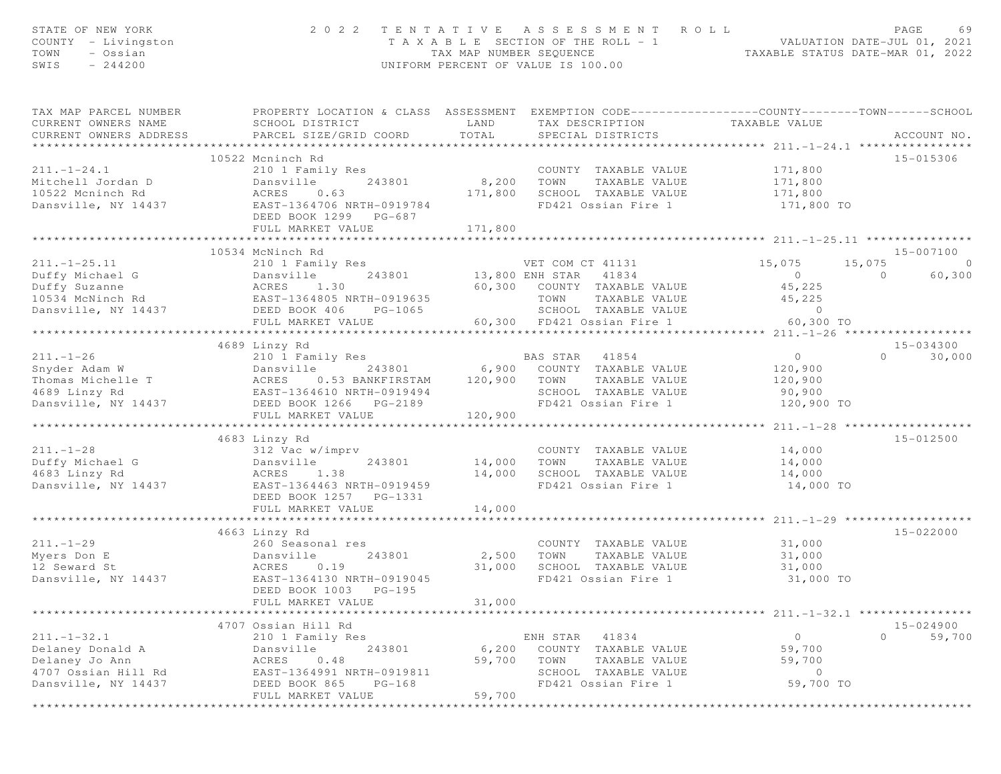| STATE OF NEW YORK<br>COUNTY - Livingston<br>TOWN<br>- Ossian<br>SWIS<br>$-244200$                                                                                                                | 2 0 2 2                                                                                                                                        | TAX MAP NUMBER SEQUENCE | TENTATIVE ASSESSMENT ROLL<br>T A X A B L E SECTION OF THE ROLL = 1<br>UNIFORM PERCENT OF VALUE IS 100.00 | ROLL - 1<br>TAXABLE STATUS DATE-MAR 01, 2022<br>TAXABLE STATUS DATE-MAR 01, 2022                                                                                                                                                                                                                                                             | PAGE<br>69               |
|--------------------------------------------------------------------------------------------------------------------------------------------------------------------------------------------------|------------------------------------------------------------------------------------------------------------------------------------------------|-------------------------|----------------------------------------------------------------------------------------------------------|----------------------------------------------------------------------------------------------------------------------------------------------------------------------------------------------------------------------------------------------------------------------------------------------------------------------------------------------|--------------------------|
| TAX MAP PARCEL NUMBER<br>CURRENT OWNERS NAME<br>CURRENT OWNERS ADDRESS                                                                                                                           | PROPERTY LOCATION & CLASS ASSESSMENT EXEMPTION CODE-----------------COUNTY-------TOWN------SCHOOL<br>SCHOOL DISTRICT<br>PARCEL SIZE/GRID COORD | TOTAL                   | LAND TAX DESCRIPTION TAXABLE VALUE<br>SPECIAL DISTRICTS                                                  |                                                                                                                                                                                                                                                                                                                                              | ACCOUNT NO.              |
|                                                                                                                                                                                                  |                                                                                                                                                |                         |                                                                                                          |                                                                                                                                                                                                                                                                                                                                              |                          |
| $211. - 1 - 24.1$                                                                                                                                                                                | 10522 Mcninch Rd<br>210 1 Family Res                                                                                                           |                         | COUNTY TAXABLE VALUE 171,800                                                                             |                                                                                                                                                                                                                                                                                                                                              | 15-015306                |
|                                                                                                                                                                                                  |                                                                                                                                                | 8,200                   | TOWN<br>TAXABLE VALUE                                                                                    | 171,800                                                                                                                                                                                                                                                                                                                                      |                          |
|                                                                                                                                                                                                  |                                                                                                                                                | 171,800                 | SCHOOL TAXABLE VALUE                                                                                     | 171,800                                                                                                                                                                                                                                                                                                                                      |                          |
| Mitchell Jordan D<br>10522 Moninch Rd<br>10522 Moninch Rd<br>10522 Moninch Rd<br>10532 Moninch Rd<br>1210 114111<br>243801<br>243801<br>243801<br>243801<br>243801<br>243801<br>243801<br>243801 | DEED BOOK 1299 PG-687                                                                                                                          |                         | FD421 Ossian Fire 1                                                                                      | 171,800 TO                                                                                                                                                                                                                                                                                                                                   |                          |
|                                                                                                                                                                                                  | FULL MARKET VALUE                                                                                                                              | 171,800                 |                                                                                                          |                                                                                                                                                                                                                                                                                                                                              |                          |
|                                                                                                                                                                                                  |                                                                                                                                                |                         |                                                                                                          |                                                                                                                                                                                                                                                                                                                                              |                          |
|                                                                                                                                                                                                  | 10534 McNinch Rd                                                                                                                               |                         |                                                                                                          |                                                                                                                                                                                                                                                                                                                                              | 15-007100                |
| $211. - 1 - 25.11$                                                                                                                                                                               | 210 1 Family Res<br>Dansville 243801<br>ACRES 1.30<br>EAST-1364805 NRTH-0919635                                                                |                         | VET COM CT 41131<br>VET COM CT 41131<br>13,800 ENH STAR 41834                                            | 15,075                                                                                                                                                                                                                                                                                                                                       | 15,075<br>$\circ$        |
| Duffy Michael G                                                                                                                                                                                  |                                                                                                                                                |                         |                                                                                                          | $\overline{0}$                                                                                                                                                                                                                                                                                                                               | $\overline{0}$<br>60,300 |
| Duffy Suzanne                                                                                                                                                                                    |                                                                                                                                                |                         | 60,300 COUNTY TAXABLE VALUE                                                                              | 45,225                                                                                                                                                                                                                                                                                                                                       |                          |
| 10534 McNinch Rd<br>Dansville, NY 14437 DEED BOOK 406                                                                                                                                            | PG-1065                                                                                                                                        |                         | TAXABLE VALUE<br>TOWN<br>SCHOOL TAXABLE VALUE                                                            | 45,225<br>$\overline{a}$ and $\overline{a}$ and $\overline{a}$ and $\overline{a}$ and $\overline{a}$ and $\overline{a}$ and $\overline{a}$ and $\overline{a}$ and $\overline{a}$ and $\overline{a}$ and $\overline{a}$ and $\overline{a}$ and $\overline{a}$ and $\overline{a}$ and $\overline{a}$ and $\overline{a}$ and $\overline{a}$ and |                          |
|                                                                                                                                                                                                  | FULL MARKET VALUE                                                                                                                              |                         | 60,300 FD421 Ossian Fire 1                                                                               | 60,300 TO                                                                                                                                                                                                                                                                                                                                    |                          |
|                                                                                                                                                                                                  |                                                                                                                                                |                         |                                                                                                          |                                                                                                                                                                                                                                                                                                                                              |                          |
|                                                                                                                                                                                                  | 4689 Linzy Rd                                                                                                                                  |                         |                                                                                                          |                                                                                                                                                                                                                                                                                                                                              | 15-034300                |
| $211. - 1 - 26$                                                                                                                                                                                  | 210 1 Family Res                                                                                                                               |                         | BAS STAR 41854                                                                                           | $\overline{0}$                                                                                                                                                                                                                                                                                                                               | $\Omega$<br>30,000       |
| Snyder Adam W                                                                                                                                                                                    | Dansville                                                                                                                                      |                         | 243801 6,900 COUNTY TAXABLE VALUE<br>53 BANKFIRSTAM 120,900 TOWN TAXABLE VALUE                           | 120,900                                                                                                                                                                                                                                                                                                                                      |                          |
|                                                                                                                                                                                                  | ACRES 0.53 BANKFIRSTAM                                                                                                                         |                         |                                                                                                          | 120,900                                                                                                                                                                                                                                                                                                                                      |                          |
| Thomas Michelle T<br>4689 Linzy Rd<br>DEED BOOK 1266 PG-2189<br>DEED BOOK 1266 PG-2189                                                                                                           |                                                                                                                                                |                         | SCHOOL TAXABLE VALUE                                                                                     | 90,900                                                                                                                                                                                                                                                                                                                                       |                          |
|                                                                                                                                                                                                  | FULL MARKET VALUE                                                                                                                              | 120,900                 | FD421 Ossian Fire 1                                                                                      | 120,900 TO                                                                                                                                                                                                                                                                                                                                   |                          |
|                                                                                                                                                                                                  | *****************************                                                                                                                  |                         |                                                                                                          | **************** 211.-1-28 ***************                                                                                                                                                                                                                                                                                                   |                          |
|                                                                                                                                                                                                  | 4683 Linzy Rd                                                                                                                                  |                         |                                                                                                          |                                                                                                                                                                                                                                                                                                                                              | 15-012500                |
| $211. - 1 - 28$<br>Duffy Michael G                                                                                                                                                               | 312 Vac w/imprv<br>243801                                                                                                                      | 14,000                  | COUNTY TAXABLE VALUE<br>TOWN<br>TAXABLE VALUE                                                            | 14,000                                                                                                                                                                                                                                                                                                                                       |                          |
| 4683 Linzy Rd                                                                                                                                                                                    | Dansville<br>ACRES 1.38                                                                                                                        | 14,000                  |                                                                                                          | 14,000<br>14,000                                                                                                                                                                                                                                                                                                                             |                          |
| Dansville, NY 14437                                                                                                                                                                              | EAST-1364463 NRTH-0919459                                                                                                                      |                         | SCHOOL TAXABLE VALUE<br>FD421 Ossian Fire 1                                                              | 14,000 TO                                                                                                                                                                                                                                                                                                                                    |                          |
|                                                                                                                                                                                                  | DEED BOOK 1257 PG-1331                                                                                                                         |                         |                                                                                                          |                                                                                                                                                                                                                                                                                                                                              |                          |
|                                                                                                                                                                                                  | FULL MARKET VALUE                                                                                                                              | 14,000                  |                                                                                                          |                                                                                                                                                                                                                                                                                                                                              |                          |
|                                                                                                                                                                                                  |                                                                                                                                                |                         |                                                                                                          |                                                                                                                                                                                                                                                                                                                                              |                          |
|                                                                                                                                                                                                  | 4663 Linzy Rd                                                                                                                                  |                         |                                                                                                          |                                                                                                                                                                                                                                                                                                                                              | 15-022000                |
| $211. - 1 - 29$                                                                                                                                                                                  | 260 Seasonal res                                                                                                                               | 2,500 TOWN              | COUNTY TAXABLE VALUE                                                                                     | 31,000                                                                                                                                                                                                                                                                                                                                       |                          |
| Myers Don E<br>12 Seward St                                                                                                                                                                      | Dansville<br>243801                                                                                                                            | 31,000                  | TAXABLE VALUE<br>SCHOOL TAXABLE VALUE                                                                    | 31,000<br>31,000                                                                                                                                                                                                                                                                                                                             |                          |
| Dansville, NY 14437                                                                                                                                                                              | ACRES 0.19<br>EAST-1364130 NRTH-0919045                                                                                                        |                         | FD421 Ossian Fire 1                                                                                      | 31,000 TO                                                                                                                                                                                                                                                                                                                                    |                          |
|                                                                                                                                                                                                  | DEED BOOK 1003<br>$PG-195$                                                                                                                     |                         |                                                                                                          |                                                                                                                                                                                                                                                                                                                                              |                          |
|                                                                                                                                                                                                  | FULL MARKET VALUE                                                                                                                              | 31,000                  |                                                                                                          |                                                                                                                                                                                                                                                                                                                                              |                          |
|                                                                                                                                                                                                  |                                                                                                                                                |                         |                                                                                                          | ****************** 211. -1-32.1 ****************                                                                                                                                                                                                                                                                                             |                          |
|                                                                                                                                                                                                  | 4707 Ossian Hill Rd                                                                                                                            |                         |                                                                                                          |                                                                                                                                                                                                                                                                                                                                              | $15 - 024900$            |
| $211. - 1 - 32.1$                                                                                                                                                                                | 210 1 Family Res                                                                                                                               |                         | 41834<br>ENH STAR                                                                                        | $\circ$                                                                                                                                                                                                                                                                                                                                      | $\circ$<br>59,700        |
| Delaney Donald A                                                                                                                                                                                 | 243801<br>Dansville                                                                                                                            | 6,200                   | COUNTY TAXABLE VALUE                                                                                     | 59,700                                                                                                                                                                                                                                                                                                                                       |                          |
| Delaney Jo Ann                                                                                                                                                                                   | 0.48<br>ACRES                                                                                                                                  | 59,700                  | TOWN<br>TAXABLE VALUE                                                                                    | 59,700                                                                                                                                                                                                                                                                                                                                       |                          |
| 4707 Ossian Hill Rd                                                                                                                                                                              | EAST-1364991 NRTH-0919811                                                                                                                      |                         | SCHOOL TAXABLE VALUE                                                                                     | $\circ$                                                                                                                                                                                                                                                                                                                                      |                          |
| Dansville, NY 14437                                                                                                                                                                              | DEED BOOK 865<br>$PG-168$                                                                                                                      |                         | FD421 Ossian Fire 1                                                                                      | 59,700 TO                                                                                                                                                                                                                                                                                                                                    |                          |
|                                                                                                                                                                                                  | FULL MARKET VALUE                                                                                                                              | 59,700                  |                                                                                                          |                                                                                                                                                                                                                                                                                                                                              |                          |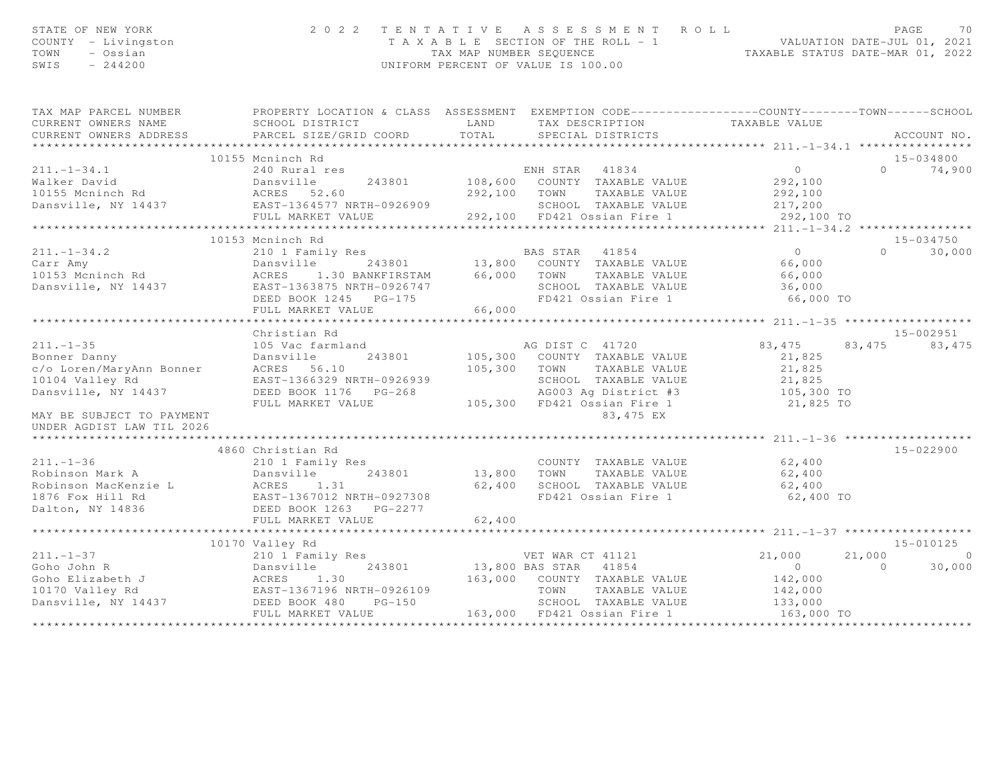| STATE OF NEW YORK<br>COUNTY - Livingston<br>TOWN<br>- Ossian<br>SWIS<br>$-244200$                                                                                                                                                                                |                   | 2022 TENTATIVE ASSESSMENT ROLL<br>PAGE 70<br>TAXABLE SECTION OF THE ROLL - 1<br>TAX MAP NUMBER SEQUENCE TAXABLE STATUS DATE-MAR 01, 2022<br>UNIFORM PERCENT OF VALUE IS 100.00                                                                                                                                                                                                                                                                                 |                                                | PAGE<br>70    |
|------------------------------------------------------------------------------------------------------------------------------------------------------------------------------------------------------------------------------------------------------------------|-------------------|----------------------------------------------------------------------------------------------------------------------------------------------------------------------------------------------------------------------------------------------------------------------------------------------------------------------------------------------------------------------------------------------------------------------------------------------------------------|------------------------------------------------|---------------|
|                                                                                                                                                                                                                                                                  |                   | TAX MAP PARCEL NUMBER PROPERTY LOCATION & CLASS ASSESSMENT EXEMPTION CODE---------------COUNTY-------TOWN-----SCHOOL                                                                                                                                                                                                                                                                                                                                           |                                                |               |
|                                                                                                                                                                                                                                                                  |                   |                                                                                                                                                                                                                                                                                                                                                                                                                                                                |                                                |               |
|                                                                                                                                                                                                                                                                  |                   |                                                                                                                                                                                                                                                                                                                                                                                                                                                                |                                                |               |
|                                                                                                                                                                                                                                                                  | 10155 Mcninch Rd  |                                                                                                                                                                                                                                                                                                                                                                                                                                                                |                                                | 15-034800     |
|                                                                                                                                                                                                                                                                  |                   | 10155 Mcninch Rd<br>240 Rural res<br>240 Rural res<br>240 Rural res<br>243801 292,100 COUNTY TAXABLE VALUE<br>292,100 292,100<br>292,100 292,100 292,100<br>292,100 ENST-1364577 NRTH-0926909<br>292,100 FULL MARKET VALUE<br>292,100 FULL MARKE                                                                                                                                                                                                               |                                                | $0 \t 74,900$ |
|                                                                                                                                                                                                                                                                  |                   |                                                                                                                                                                                                                                                                                                                                                                                                                                                                |                                                |               |
|                                                                                                                                                                                                                                                                  |                   |                                                                                                                                                                                                                                                                                                                                                                                                                                                                |                                                |               |
|                                                                                                                                                                                                                                                                  |                   |                                                                                                                                                                                                                                                                                                                                                                                                                                                                |                                                |               |
|                                                                                                                                                                                                                                                                  |                   |                                                                                                                                                                                                                                                                                                                                                                                                                                                                |                                                |               |
|                                                                                                                                                                                                                                                                  |                   |                                                                                                                                                                                                                                                                                                                                                                                                                                                                |                                                |               |
|                                                                                                                                                                                                                                                                  | 10153 Mcninch Rd  |                                                                                                                                                                                                                                                                                                                                                                                                                                                                |                                                | 15-034750     |
|                                                                                                                                                                                                                                                                  |                   |                                                                                                                                                                                                                                                                                                                                                                                                                                                                |                                                | $0 \t 30,000$ |
|                                                                                                                                                                                                                                                                  |                   |                                                                                                                                                                                                                                                                                                                                                                                                                                                                |                                                |               |
|                                                                                                                                                                                                                                                                  |                   |                                                                                                                                                                                                                                                                                                                                                                                                                                                                |                                                |               |
|                                                                                                                                                                                                                                                                  |                   |                                                                                                                                                                                                                                                                                                                                                                                                                                                                |                                                |               |
|                                                                                                                                                                                                                                                                  |                   |                                                                                                                                                                                                                                                                                                                                                                                                                                                                |                                                |               |
|                                                                                                                                                                                                                                                                  |                   |                                                                                                                                                                                                                                                                                                                                                                                                                                                                | **************** 211.-1-35 ******************* |               |
|                                                                                                                                                                                                                                                                  |                   |                                                                                                                                                                                                                                                                                                                                                                                                                                                                |                                                |               |
|                                                                                                                                                                                                                                                                  | Christian Rd      | $\begin{tabular}{l c c c c c} \multicolumn{4}{c }{211.-1-35} & \multicolumn{4}{c }{\multicolumn{4}{c }{\multicolumn{4}{c}{\multicolumn{4}{c}{\multicolumn{4}{c}{\multicolumn{4}{c}{\multicolumn{4}{c}{\multicolumn{4}{c}{\multicolumn{4}{c}{\multicolumn{4}{c}{\multicolumn{4}{c}{\multicolumn{4}{c}{\multicolumn{4}{c}{\multicolumn{4}{c}{\multicolumn{4}{c}{\multicolumn{4}{c}{\multicolumn{4}{c}{\multicolumn{4}{c}{\multicolumn{4}{c}{\multicolumn{4}{c}{$ |                                                | 15-002951     |
|                                                                                                                                                                                                                                                                  |                   |                                                                                                                                                                                                                                                                                                                                                                                                                                                                | 83, 475 83, 475 83, 475                        |               |
|                                                                                                                                                                                                                                                                  |                   |                                                                                                                                                                                                                                                                                                                                                                                                                                                                |                                                |               |
|                                                                                                                                                                                                                                                                  |                   |                                                                                                                                                                                                                                                                                                                                                                                                                                                                |                                                |               |
|                                                                                                                                                                                                                                                                  |                   |                                                                                                                                                                                                                                                                                                                                                                                                                                                                |                                                |               |
|                                                                                                                                                                                                                                                                  |                   |                                                                                                                                                                                                                                                                                                                                                                                                                                                                |                                                |               |
|                                                                                                                                                                                                                                                                  |                   |                                                                                                                                                                                                                                                                                                                                                                                                                                                                |                                                |               |
|                                                                                                                                                                                                                                                                  |                   |                                                                                                                                                                                                                                                                                                                                                                                                                                                                |                                                |               |
|                                                                                                                                                                                                                                                                  |                   |                                                                                                                                                                                                                                                                                                                                                                                                                                                                |                                                |               |
|                                                                                                                                                                                                                                                                  | 4860 Christian Rd |                                                                                                                                                                                                                                                                                                                                                                                                                                                                |                                                | 15-022900     |
| $211. - 1 - 36$                                                                                                                                                                                                                                                  |                   |                                                                                                                                                                                                                                                                                                                                                                                                                                                                |                                                |               |
|                                                                                                                                                                                                                                                                  |                   |                                                                                                                                                                                                                                                                                                                                                                                                                                                                |                                                |               |
|                                                                                                                                                                                                                                                                  |                   |                                                                                                                                                                                                                                                                                                                                                                                                                                                                |                                                |               |
| Robinson Mark A<br>Robinson MacKenzie L<br>1876 Fox Hill Rd<br>1876 Fox Hill Rd<br>1876 Fox Hill Rd<br>1876 Fox Hill Rd<br>243801<br>243801<br>243801<br>243801<br>243801<br>243801<br>243801<br>243801<br>243801<br>243801<br>253 PG-2277<br>251 DEED BOOK 1263 |                   |                                                                                                                                                                                                                                                                                                                                                                                                                                                                | 62,400 TO                                      |               |
|                                                                                                                                                                                                                                                                  |                   |                                                                                                                                                                                                                                                                                                                                                                                                                                                                |                                                |               |
|                                                                                                                                                                                                                                                                  | FULL MARKET VALUE | 62,400                                                                                                                                                                                                                                                                                                                                                                                                                                                         |                                                |               |
|                                                                                                                                                                                                                                                                  |                   |                                                                                                                                                                                                                                                                                                                                                                                                                                                                |                                                |               |
|                                                                                                                                                                                                                                                                  | 10170 Valley Rd   |                                                                                                                                                                                                                                                                                                                                                                                                                                                                |                                                | 15-010125     |
|                                                                                                                                                                                                                                                                  |                   | VET WAR CT 41121<br>210 1 Family Res<br>Dansville 243801 13,800 BAS STAR 41854                                                                                                                                                                                                                                                                                                                                                                                 | 21,000<br>21,000                               | $\circ$       |
|                                                                                                                                                                                                                                                                  |                   |                                                                                                                                                                                                                                                                                                                                                                                                                                                                | $\overline{0}$<br>$\overline{0}$<br>142,000    | 30,000        |
|                                                                                                                                                                                                                                                                  |                   |                                                                                                                                                                                                                                                                                                                                                                                                                                                                |                                                |               |
|                                                                                                                                                                                                                                                                  |                   | TAXABLE VALUE 142,000                                                                                                                                                                                                                                                                                                                                                                                                                                          |                                                |               |
|                                                                                                                                                                                                                                                                  | FULL MARKET VALUE | 211.-1-37<br>Coho John R<br>Coho Elizabeth J<br>210 1 Family Res<br>243801 13,800 BAS STAR 41854<br>243801 13,800 BAS STAR 41854<br>243801 163,000 COUNTY TAXABLE VALUE<br>243801 163,000 COUNTY TAXABLE VALUE<br>243801 163,000 COUNTY TAXAB<br>150 SCHOOL TAXABLE VALUE 133,000<br>163,000 FD421 Ossian Fire 1 163,000 TO                                                                                                                                    |                                                |               |
|                                                                                                                                                                                                                                                                  |                   |                                                                                                                                                                                                                                                                                                                                                                                                                                                                |                                                |               |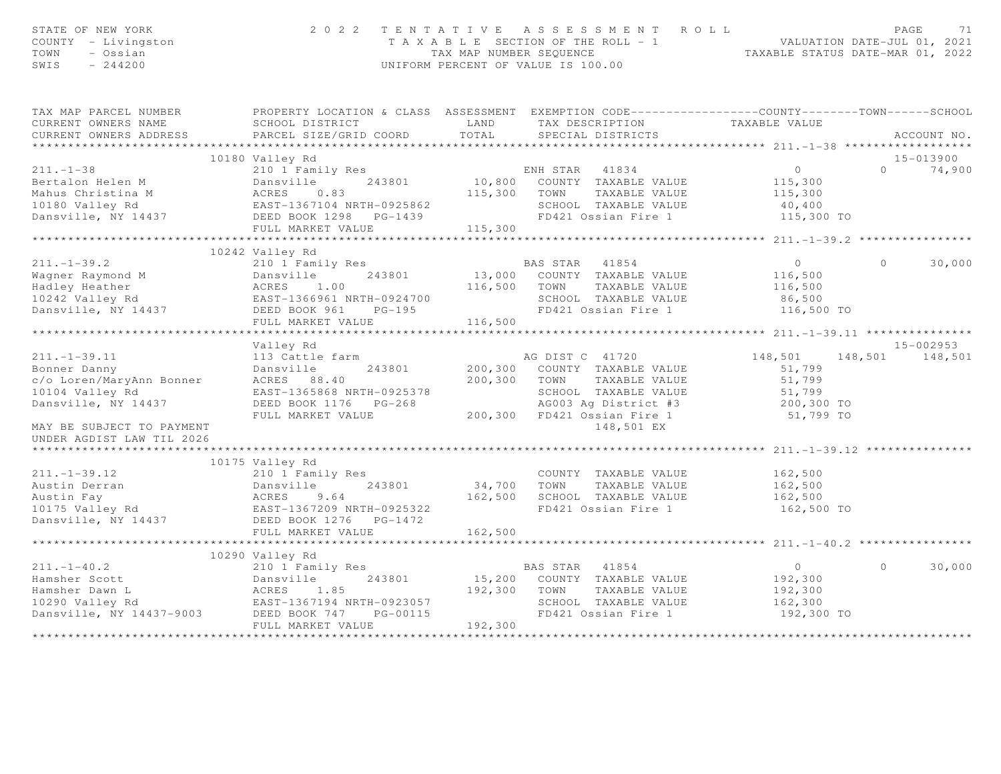| STATE OF NEW YORK<br>COUNTY - Livingston<br>TOWN<br>- Ossian<br>SWIS<br>$-244200$                                                                                                                                                                                                                                                                                                                                                                    | 2 0 2 2                                                                                                                                                             |              | TENTATIVE ASSESSMENT ROLL<br>PAGE 71<br>TAXABLE SECTION OF THE ROLL - 1<br>TAX MAP NUMBER SEQUENCE TAXABLE STATUS DATE-MAR 01, 2022<br>UNIFORM PERCENT OF VALUE IS 100.00 |                                              | PAGE<br>71              |
|------------------------------------------------------------------------------------------------------------------------------------------------------------------------------------------------------------------------------------------------------------------------------------------------------------------------------------------------------------------------------------------------------------------------------------------------------|---------------------------------------------------------------------------------------------------------------------------------------------------------------------|--------------|---------------------------------------------------------------------------------------------------------------------------------------------------------------------------|----------------------------------------------|-------------------------|
| TAX MAP PARCEL NUMBER<br>CURRENT OWNERS NAME<br>CURRENT OWNERS ADDRESS                                                                                                                                                                                                                                                                                                                                                                               | PROPERTY LOCATION & CLASS ASSESSMENT EXEMPTION CODE-----------------COUNTY-------TOWN------SCHOOL<br>SCHOOL DISTRICT TAND TAX DESCRIPTION<br>PARCEL SIZE/GRID COORD | TOTAL        | SPECIAL DISTRICTS                                                                                                                                                         | TAXABLE VALUE                                | ACCOUNT NO.             |
|                                                                                                                                                                                                                                                                                                                                                                                                                                                      |                                                                                                                                                                     |              |                                                                                                                                                                           |                                              |                         |
|                                                                                                                                                                                                                                                                                                                                                                                                                                                      | 10180 Valley Rd                                                                                                                                                     |              |                                                                                                                                                                           |                                              | 15-013900               |
|                                                                                                                                                                                                                                                                                                                                                                                                                                                      |                                                                                                                                                                     |              |                                                                                                                                                                           | $\overline{0}$<br>115,300                    | $0 \t 74,900$           |
|                                                                                                                                                                                                                                                                                                                                                                                                                                                      |                                                                                                                                                                     |              |                                                                                                                                                                           |                                              |                         |
|                                                                                                                                                                                                                                                                                                                                                                                                                                                      |                                                                                                                                                                     |              |                                                                                                                                                                           | $115,300$<br>$40,400$                        |                         |
|                                                                                                                                                                                                                                                                                                                                                                                                                                                      |                                                                                                                                                                     |              |                                                                                                                                                                           |                                              |                         |
| 211.-1-38<br>Bertalon Helen M<br>Mahus Christina M<br>Mahus Christina M<br>Mahus Christina M<br>Mahus Christina M<br>Mahus Christina M<br>Mahus Christina M<br>Mahus Christina M<br>MacRES<br>Dansville, NY 14437<br>DEED BOOK 1298 PG-1439<br>FD421 O                                                                                                                                                                                               |                                                                                                                                                                     |              |                                                                                                                                                                           | 115,300 TO                                   |                         |
|                                                                                                                                                                                                                                                                                                                                                                                                                                                      | **************************                                                                                                                                          |              |                                                                                                                                                                           |                                              |                         |
|                                                                                                                                                                                                                                                                                                                                                                                                                                                      |                                                                                                                                                                     |              |                                                                                                                                                                           |                                              |                         |
|                                                                                                                                                                                                                                                                                                                                                                                                                                                      |                                                                                                                                                                     |              |                                                                                                                                                                           | $\overline{0}$                               | $\Omega$                |
|                                                                                                                                                                                                                                                                                                                                                                                                                                                      |                                                                                                                                                                     |              |                                                                                                                                                                           | 116,500                                      | 30,000                  |
|                                                                                                                                                                                                                                                                                                                                                                                                                                                      |                                                                                                                                                                     |              |                                                                                                                                                                           |                                              |                         |
|                                                                                                                                                                                                                                                                                                                                                                                                                                                      |                                                                                                                                                                     |              |                                                                                                                                                                           | 116,500                                      |                         |
|                                                                                                                                                                                                                                                                                                                                                                                                                                                      |                                                                                                                                                                     |              |                                                                                                                                                                           | 86,500                                       |                         |
|                                                                                                                                                                                                                                                                                                                                                                                                                                                      |                                                                                                                                                                     |              | FD421 Ossian Fire 1 116,500 TO                                                                                                                                            |                                              |                         |
| $\begin{array}{cccc} \texttt{211.-1-39.2} & \texttt{10242 Valley\ Ka} \\ \texttt{Wagner\ Raymond\ M} & \texttt{Dansville} & \texttt{243801} & \texttt{13,000}\ \texttt{COMNTY\begin{tabular}{ll} TAMBLE} \texttt{VALUE} \\ \texttt{Hadley\text{ Heather}} & \texttt{0242 Valley\ Ra} \\ \texttt{10242 Valley\ Ra} \\ \texttt{10242 Valley\ Ra} \\ \texttt{Dansville, NY 14437} & \texttt{DEED B0OK 961} & \texttt{PG-195} \\ \texttt{FULL\ \bf{MARK$ |                                                                                                                                                                     |              |                                                                                                                                                                           |                                              |                         |
|                                                                                                                                                                                                                                                                                                                                                                                                                                                      | Valley Rd                                                                                                                                                           |              |                                                                                                                                                                           |                                              | $15 - 002953$           |
|                                                                                                                                                                                                                                                                                                                                                                                                                                                      | 113 Cattle farm                                                                                                                                                     |              | AG DIST C 41720                                                                                                                                                           |                                              | 148,501 148,501 148,501 |
|                                                                                                                                                                                                                                                                                                                                                                                                                                                      |                                                                                                                                                                     |              |                                                                                                                                                                           |                                              |                         |
|                                                                                                                                                                                                                                                                                                                                                                                                                                                      |                                                                                                                                                                     | 200,300 TOWN | 243801 200,300 COUNTY TAXABLE VALUE                                                                                                                                       | 51,799<br>51,799                             |                         |
| 211.-1-39.11 113 Cattle farm<br>Bonner Danny Dansville 243801<br>c/o Loren/MaryAnn Bonner ACRES 88.40<br>10104 Valley Rd EAST-1365868 NRTH-092537<br>10104 Valley Rd                                                                                                                                                                                                                                                                                 |                                                                                                                                                                     |              |                                                                                                                                                                           |                                              |                         |
| Dansville, NY 14437                                                                                                                                                                                                                                                                                                                                                                                                                                  | EAST-1365868 NRTH-0925378<br>DEED BOOK 1176 PG-268 AG003 Ag District #3<br>FULL MARKET VALUE 200,300 FD421 Ossian Fire 1                                            |              | TOWN TAXABLE VALUE<br>SCHOOL TAXABLE VALUE 51,799<br>AG003 Ag District #3 200,300 TO<br>10 10 10 10 11 12 1799 TO                                                         |                                              |                         |
|                                                                                                                                                                                                                                                                                                                                                                                                                                                      |                                                                                                                                                                     |              |                                                                                                                                                                           |                                              |                         |
| MAY BE SUBJECT TO PAYMENT                                                                                                                                                                                                                                                                                                                                                                                                                            |                                                                                                                                                                     |              | 148,501 EX                                                                                                                                                                |                                              |                         |
| UNDER AGDIST LAW TIL 2026                                                                                                                                                                                                                                                                                                                                                                                                                            |                                                                                                                                                                     |              |                                                                                                                                                                           |                                              |                         |
|                                                                                                                                                                                                                                                                                                                                                                                                                                                      |                                                                                                                                                                     |              |                                                                                                                                                                           |                                              |                         |
|                                                                                                                                                                                                                                                                                                                                                                                                                                                      | 10175 Valley Rd                                                                                                                                                     |              |                                                                                                                                                                           |                                              |                         |
|                                                                                                                                                                                                                                                                                                                                                                                                                                                      | 210 1 Family Res                                                                                                                                                    |              | COUNTY TAXABLE VALUE                                                                                                                                                      | 162,500                                      |                         |
|                                                                                                                                                                                                                                                                                                                                                                                                                                                      |                                                                                                                                                                     |              |                                                                                                                                                                           |                                              |                         |
|                                                                                                                                                                                                                                                                                                                                                                                                                                                      |                                                                                                                                                                     |              |                                                                                                                                                                           |                                              |                         |
| $\begin{tabular}{lllllllllllllllllll} \begin{tabular}{l} 211.-1-39.12 & & & 210 1\text{ Family Res} \\ \text{Austin Derran} & & & \text{Dansville} & & 243801 \\ \text{Austin Fay} & & & \text{ACRES} & 9.64 \\ \text{10175 Valley Rd} & & & \text{EAST-1367209 NRTH-0925322} \\ \text{Dansville, NY 14437 & & & \text{DELD BOOK 1276 & PG-1472} \\ \end{tabular} \end{tabular}$                                                                     |                                                                                                                                                                     |              | 34,700 TOWN TAXABLE VALUE 162,500<br>162,500 SCHOOL TAXABLE VALUE 162,500<br>FD421 Ossian Fire 1 162,500<br>FD421 Ossian Fire 1 162,500 TO                                |                                              |                         |
|                                                                                                                                                                                                                                                                                                                                                                                                                                                      |                                                                                                                                                                     |              |                                                                                                                                                                           |                                              |                         |
|                                                                                                                                                                                                                                                                                                                                                                                                                                                      | FULL MARKET VALUE                                                                                                                                                   | 162,500      |                                                                                                                                                                           |                                              |                         |
|                                                                                                                                                                                                                                                                                                                                                                                                                                                      |                                                                                                                                                                     |              |                                                                                                                                                                           | ********************* 211.-1-40.2 ********** |                         |
|                                                                                                                                                                                                                                                                                                                                                                                                                                                      | 10290 Valley Rd                                                                                                                                                     |              |                                                                                                                                                                           |                                              |                         |
| 211.-1-40.2<br>Hamsher Scott<br>Hamsher Dawn L<br>10290 Valley Rd<br>243801 15,200<br>243801 15,200<br>243801 15,200<br>243801 15,200<br>243801 15,200<br>243801 15,200<br>243801 15,200<br>243801 15,200<br>243801 15,200<br>243801 15,200<br>243801<br>243                                                                                                                                                                                         |                                                                                                                                                                     |              |                                                                                                                                                                           | $\overline{0}$                               | $\Omega$<br>30,000      |
|                                                                                                                                                                                                                                                                                                                                                                                                                                                      |                                                                                                                                                                     |              | s<br>243801 15,200 COUNTY TAXABLE VALUE                                                                                                                                   | 192,300                                      |                         |
|                                                                                                                                                                                                                                                                                                                                                                                                                                                      |                                                                                                                                                                     | 192,300 TOWN | TAXABLE VALUE                                                                                                                                                             | 192,300                                      |                         |
|                                                                                                                                                                                                                                                                                                                                                                                                                                                      |                                                                                                                                                                     |              | SCHOOL TAXABLE VALUE                                                                                                                                                      | 162,300                                      |                         |
|                                                                                                                                                                                                                                                                                                                                                                                                                                                      |                                                                                                                                                                     |              | FD421 Ossian Fire 1                                                                                                                                                       | 192,300 TO                                   |                         |
|                                                                                                                                                                                                                                                                                                                                                                                                                                                      | FULL MARKET VALUE                                                                                                                                                   | 192,300      |                                                                                                                                                                           |                                              |                         |
|                                                                                                                                                                                                                                                                                                                                                                                                                                                      |                                                                                                                                                                     |              |                                                                                                                                                                           |                                              |                         |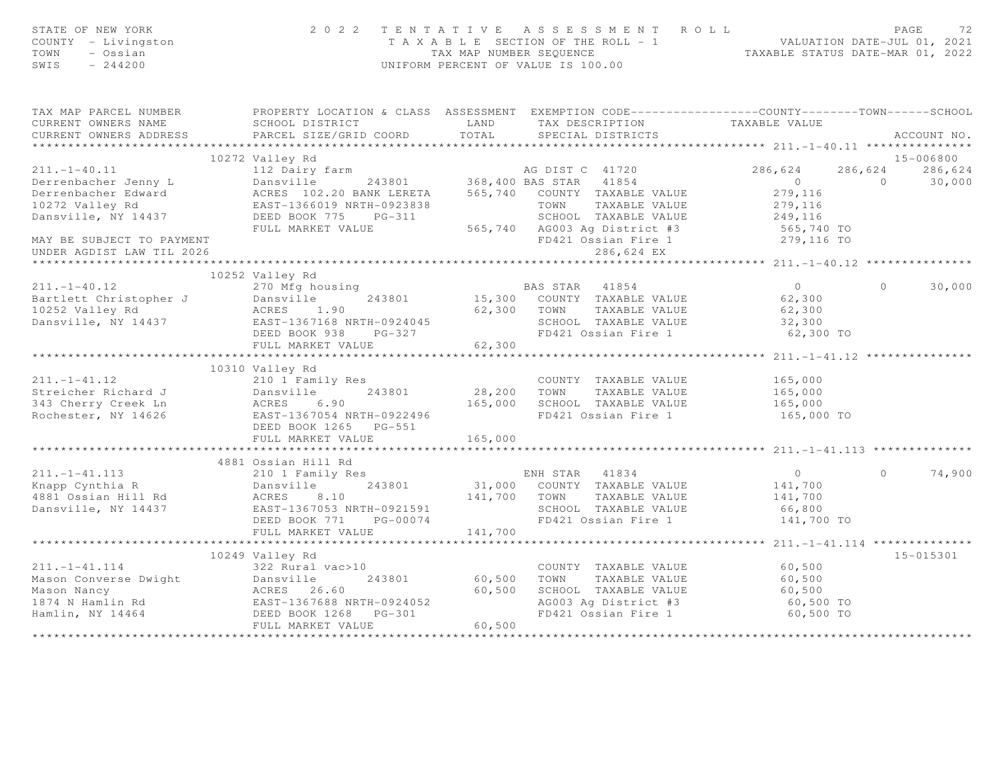| STATE OF NEW YORK<br>COUNTY - Livingston<br>- Ossian<br>TOWN<br>SWIS<br>$-244200$      | 2022 TENTATIVE ASSESSMENT ROLL<br>UNIFORM PERCENT OF VALUE IS 100.00                                                                                                                                    | PAGE<br>72<br>TAXABLE SECTION OF THE ROLL - 1<br>TAXABLE SECTION OF THE ROLL - 1<br>TAXABLE STATUS DATE-JUL 01, 2021                                                                                                                                                                          |                                                               |                          |
|----------------------------------------------------------------------------------------|---------------------------------------------------------------------------------------------------------------------------------------------------------------------------------------------------------|-----------------------------------------------------------------------------------------------------------------------------------------------------------------------------------------------------------------------------------------------------------------------------------------------|---------------------------------------------------------------|--------------------------|
| CURRENT OWNERS NAME<br>CURRENT OWNERS ADDRESS                                          | SCHOOL DISTRICT<br>PARCEL SIZE/GRID COORD                                                                                                                                                               | TAX MAP PARCEL NUMBER THE PROPERTY LOCATION & CLASS ASSESSMENT EXEMPTION CODE---------------COUNTY-------TOWN------SCHOOL<br>LAND TAX DESCRIPTION TAXABLE VALUE COORD TOTAL SPECIAL DISTRICTS                                                                                                 |                                                               | ACCOUNT NO.              |
|                                                                                        |                                                                                                                                                                                                         |                                                                                                                                                                                                                                                                                               |                                                               |                          |
|                                                                                        | 10272 Valley Rd                                                                                                                                                                                         |                                                                                                                                                                                                                                                                                               |                                                               | 15-006800                |
| $211. - 1 - 40.11$                                                                     | 112 Dairy farm                                                                                                                                                                                          | AG DIST C 41720                                                                                                                                                                                                                                                                               | 286,624                                                       | 286,624<br>286,624       |
| Derrenbacher Jenny L<br>Derrenbacher Edward<br>10272 Valley Rd<br>Dansville, NY 14437  | FULL MARKET VALUE                                                                                                                                                                                       | 243801 368,400 BAS STAR 41854<br>243801 368,400 BAS STAR 41854<br>DANS 102.20 BANK LERETA 565,740 COUNTY TAXABLE VALUE<br>EAST-1366019 NRTH-0923838 565,740 COUNTY TAXABLE VALUE<br>DEED BOOK 775 PG-311 505.740 SCHOOL TAXABLE VALUE<br>SCHOOL TAXABLE VALUE<br>565,740 AG003 Ag District #3 | $\overline{0}$<br>279,116<br>279,116<br>249,116<br>565,740 TO | $\overline{0}$<br>30,000 |
| MAY BE SUBJECT TO PAYMENT<br>UNDER AGDIST LAW TIL 2026                                 |                                                                                                                                                                                                         | FD421 Ossian Fire 1<br>286,624 EX                                                                                                                                                                                                                                                             | 279,116 TO                                                    |                          |
|                                                                                        |                                                                                                                                                                                                         |                                                                                                                                                                                                                                                                                               |                                                               |                          |
| $211. - 1 - 40.12$                                                                     | 10252 Valley Rd<br>270 Mfg housing                                                                                                                                                                      | BAS STAR 41854<br>9 62,300 BAS STAR 41854<br>243801 15,300 COUNTY TAXABLE VALUE 62,300                                                                                                                                                                                                        | $\overline{0}$                                                | 30,000<br>$\Omega$       |
|                                                                                        | Example 243801<br>10252 Valley Rd<br>243801<br>243801<br>243801<br>24021162 Valley Rd<br>243801<br>243801<br>243801<br>243801<br>243801<br>243801<br>243801<br>243801<br>243801<br>DEED BOOK 938 PG-327 | 62,300 TOWN TAXABLE VALUE<br>SCHOOL TAXABLE VALUE 32,300<br>FD421 Ossian Fire 1                                                                                                                                                                                                               | 62,300<br>62,300 TO                                           |                          |
|                                                                                        | FULL MARKET VALUE                                                                                                                                                                                       | 62,300                                                                                                                                                                                                                                                                                        |                                                               |                          |
|                                                                                        |                                                                                                                                                                                                         |                                                                                                                                                                                                                                                                                               |                                                               |                          |
| $211. -1 - 41.12$<br>Streicher Richard J<br>343 Cherry Creek Ln<br>Rochester, NY 14626 | 10310 Valley Rd<br>210 1 Family Res<br>Dansville 243801<br>ACRES 6.90<br>EAST-1367054 NRTH-0922496<br>DEED BOOK 1265 PG-551<br>FULL MARKET VALUE                                                        | COUNTY TAXABLE VALUE<br>28,200 TOWN<br>TAXABLE VALUE<br>FD421 Ossian Fire 1<br>165,000                                                                                                                                                                                                        | 165,000<br>165,000<br>165,000<br>165,000 TO                   |                          |
|                                                                                        |                                                                                                                                                                                                         |                                                                                                                                                                                                                                                                                               |                                                               |                          |
| $211. - 1 - 41.113$<br>Knapp Cynthia R<br>4881 Ossian Hill Rd<br>Dansville, NY 14437   | 4881 Ossian Hill Rd<br>Ossıan Hill Rd<br>210 1 Family Res<br>Dansville 243801 31,000<br>Rd ACRES 8.10 141,700<br>437 EAST-1367053 NRTH-0921591<br>PERD ROOK 771 PG-00074                                | ENH STAR 41834<br>31,000 COUNTY TAXABLE VALUE<br>141,700 TOWN TAXABLE VALUE<br>SCHOOL TAXABLE VALUE<br>FD421 Ossian Fire 1                                                                                                                                                                    | $\overline{0}$<br>141,700<br>141,700<br>66,800<br>141,700 TO  | 74,900<br>$\cap$         |
|                                                                                        | FULL MARKET VALUE                                                                                                                                                                                       | 141,700                                                                                                                                                                                                                                                                                       |                                                               |                          |
|                                                                                        | ***************************                                                                                                                                                                             | ************                                                                                                                                                                                                                                                                                  | *************** 211.-1-41.114 ***************                 |                          |
|                                                                                        | 10249 Valley Rd                                                                                                                                                                                         |                                                                                                                                                                                                                                                                                               |                                                               | 15-015301                |
|                                                                                        |                                                                                                                                                                                                         | COUNTY TAXABLE VALUE<br>TAXABLE VALUE<br>60,500<br>SCHOOL TAXABLE VALUE<br>AG003 Ag District #3<br>FD421 Ossian Fire 1<br>60,500                                                                                                                                                              | 60,500<br>60,500<br>60,500<br>60,500 TO<br>60,500 TO          |                          |
|                                                                                        |                                                                                                                                                                                                         |                                                                                                                                                                                                                                                                                               |                                                               |                          |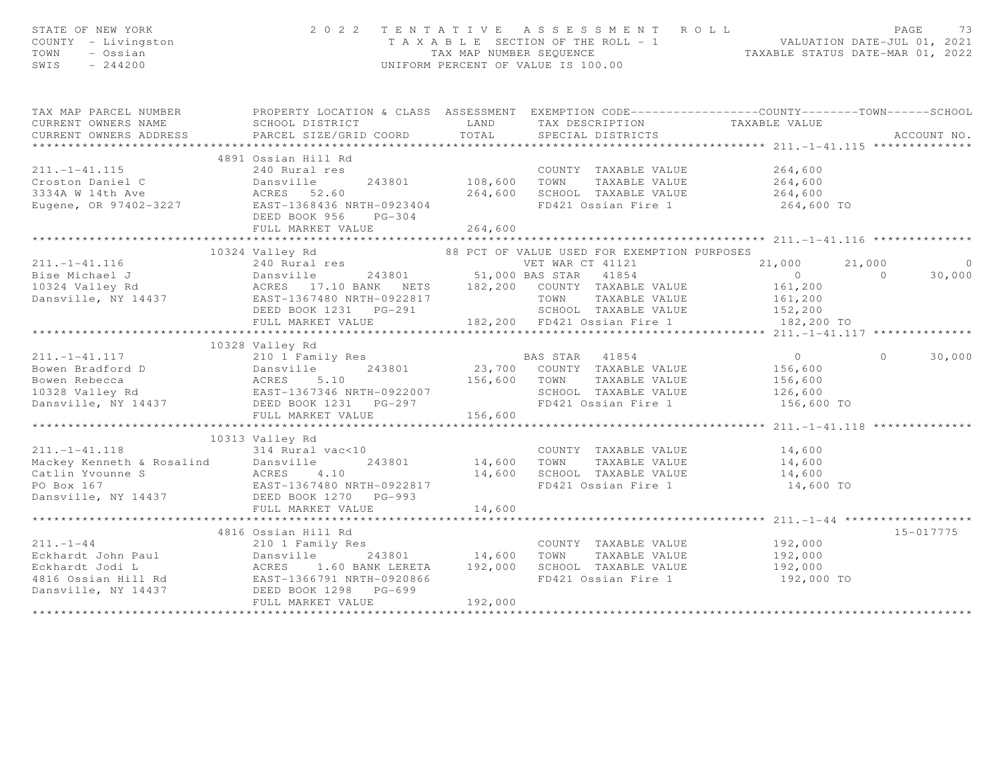| STATE OF NEW YORK<br>COUNTY - Livingston<br>TOWN<br>- Ossian<br>$-244200$<br>SWIS                                                                                                                                                       |                                                                                                                                           |         | 2022 TENTATIVE ASSESSMENT ROLL<br>T A X A B L E SECTION OF THE ROLL - 1<br>TAX MAP NUMBER SEQUENCE TAXIS TAXABLE STATUS DATE-MAR 01, 2022<br>UNIFORM PERCENT OF VALUE IS 100.00 |                                         | PAGE<br>-73        |
|-----------------------------------------------------------------------------------------------------------------------------------------------------------------------------------------------------------------------------------------|-------------------------------------------------------------------------------------------------------------------------------------------|---------|---------------------------------------------------------------------------------------------------------------------------------------------------------------------------------|-----------------------------------------|--------------------|
| TAX MAP PARCEL NUMBER                                                                                                                                                                                                                   | PROPERTY LOCATION & CLASS ASSESSMENT EXEMPTION CODE----------------COUNTY-------TOWN------SCHOOL                                          |         |                                                                                                                                                                                 |                                         |                    |
| CURRENT OWNERS NAME                                                                                                                                                                                                                     | SCHOOL DISTRICT                                                                                                                           |         | LAND TAX DESCRIPTION TAXABLE VALUE COORD TOTAL SPECIAL DISTRICTS                                                                                                                |                                         |                    |
| CURRENT OWNERS ADDRESS                                                                                                                                                                                                                  | PARCEL SIZE/GRID COORD                                                                                                                    |         |                                                                                                                                                                                 |                                         | ACCOUNT NO.        |
|                                                                                                                                                                                                                                         |                                                                                                                                           |         |                                                                                                                                                                                 |                                         |                    |
|                                                                                                                                                                                                                                         | 4891 Ossian Hill Rd                                                                                                                       |         |                                                                                                                                                                                 |                                         |                    |
| $211. - 1 - 41.115$                                                                                                                                                                                                                     | 240 Rural res                                                                                                                             |         | COUNTY TAXABLE VALUE                                                                                                                                                            | 264,600<br>264,600                      |                    |
|                                                                                                                                                                                                                                         |                                                                                                                                           |         |                                                                                                                                                                                 |                                         |                    |
|                                                                                                                                                                                                                                         |                                                                                                                                           |         |                                                                                                                                                                                 |                                         |                    |
|                                                                                                                                                                                                                                         | DEED BOOK 956 PG-304                                                                                                                      |         |                                                                                                                                                                                 |                                         |                    |
|                                                                                                                                                                                                                                         | FULL MARKET VALUE                                                                                                                         | 264,600 |                                                                                                                                                                                 |                                         |                    |
|                                                                                                                                                                                                                                         |                                                                                                                                           |         |                                                                                                                                                                                 |                                         |                    |
|                                                                                                                                                                                                                                         | 10324 Valley Rd<br>240 Rural res 68 PCT OF VALUE USED FOR EXEMPTION PURPOSES<br>240 Rural res 68 PCT OF VALUE USED FOR EXEMPTION PURPOSES |         |                                                                                                                                                                                 |                                         |                    |
|                                                                                                                                                                                                                                         |                                                                                                                                           |         |                                                                                                                                                                                 | 21,000                                  | 21,000<br>$\circ$  |
|                                                                                                                                                                                                                                         |                                                                                                                                           |         |                                                                                                                                                                                 | $\overline{0}$                          | $\sim$ 0<br>30,000 |
|                                                                                                                                                                                                                                         |                                                                                                                                           |         |                                                                                                                                                                                 | 161,200                                 |                    |
|                                                                                                                                                                                                                                         |                                                                                                                                           |         |                                                                                                                                                                                 | 161,200<br>152,200                      |                    |
|                                                                                                                                                                                                                                         |                                                                                                                                           |         |                                                                                                                                                                                 |                                         |                    |
|                                                                                                                                                                                                                                         |                                                                                                                                           |         |                                                                                                                                                                                 | 182,200 TO                              |                    |
|                                                                                                                                                                                                                                         |                                                                                                                                           |         |                                                                                                                                                                                 |                                         |                    |
|                                                                                                                                                                                                                                         | 10328 Valley Rd                                                                                                                           |         |                                                                                                                                                                                 |                                         |                    |
| 211.-1-41.117 210 1 Family Res I<br>Bowen Bradford D Dansville 243801 23,700<br>Bowen Rebecca ACRES 5.10 156,600<br>10328 Valley Rd EAST-1367346 NRTH-0922007<br>Dansville, NY 14437 DEED BOOK 1231 PG-297<br>THIJ MONET 11 THE 156,600 |                                                                                                                                           |         |                                                                                                                                                                                 |                                         | 30,000<br>$\Omega$ |
|                                                                                                                                                                                                                                         |                                                                                                                                           |         |                                                                                                                                                                                 |                                         |                    |
|                                                                                                                                                                                                                                         |                                                                                                                                           |         |                                                                                                                                                                                 |                                         |                    |
|                                                                                                                                                                                                                                         |                                                                                                                                           |         | SCHOOL TAXABLE VALUE<br>FD421 Ossian Fire 1 156,600 TO                                                                                                                          | 126,600                                 |                    |
|                                                                                                                                                                                                                                         |                                                                                                                                           | 156,600 |                                                                                                                                                                                 |                                         |                    |
|                                                                                                                                                                                                                                         |                                                                                                                                           |         |                                                                                                                                                                                 | *************** 211.-1-41.118 ********* |                    |
|                                                                                                                                                                                                                                         | 10313 Valley Rd                                                                                                                           |         |                                                                                                                                                                                 |                                         |                    |
|                                                                                                                                                                                                                                         |                                                                                                                                           |         |                                                                                                                                                                                 |                                         |                    |
| 211.-1-41.118<br>Mackey Kenneth & Rosalind<br>Catlin Yvounne S<br>PO Box 167<br>Dansville, NY 14437<br>Dansville, NY 14437<br>PULL MARKET VALUE                                                                                         |                                                                                                                                           |         | COUNTY TAXABLE VALUE<br>14,600 TOWN TAXABLE VALUE<br>COUNTY TAXABLE VALUE 14,600<br>TOWN TAXABLE VALUE 14,600                                                                   |                                         |                    |
|                                                                                                                                                                                                                                         |                                                                                                                                           |         |                                                                                                                                                                                 |                                         |                    |
|                                                                                                                                                                                                                                         |                                                                                                                                           |         | 14,600 SCHOOL TAXABLE VALUE 14,600<br>FD421 Ossian Fire 1 14,600 TO                                                                                                             |                                         |                    |
|                                                                                                                                                                                                                                         |                                                                                                                                           |         |                                                                                                                                                                                 |                                         |                    |
|                                                                                                                                                                                                                                         | FULL MARKET VALUE                                                                                                                         | 14,600  |                                                                                                                                                                                 |                                         |                    |
|                                                                                                                                                                                                                                         |                                                                                                                                           |         |                                                                                                                                                                                 |                                         |                    |
|                                                                                                                                                                                                                                         | 4816 Ossian Hill Rd                                                                                                                       |         |                                                                                                                                                                                 |                                         | 15-017775          |
|                                                                                                                                                                                                                                         |                                                                                                                                           |         | COUNTY TAXABLE VALUE                                                                                                                                                            | 192,000                                 |                    |
|                                                                                                                                                                                                                                         |                                                                                                                                           |         |                                                                                                                                                                                 | 192,000                                 |                    |
|                                                                                                                                                                                                                                         |                                                                                                                                           |         |                                                                                                                                                                                 | 192,000                                 |                    |
|                                                                                                                                                                                                                                         |                                                                                                                                           |         | FD421 Ossian Fire 1                                                                                                                                                             | 192,000 TO                              |                    |
|                                                                                                                                                                                                                                         |                                                                                                                                           |         |                                                                                                                                                                                 |                                         |                    |
|                                                                                                                                                                                                                                         | FULL MARKET VALUE                                                                                                                         | 192,000 |                                                                                                                                                                                 |                                         |                    |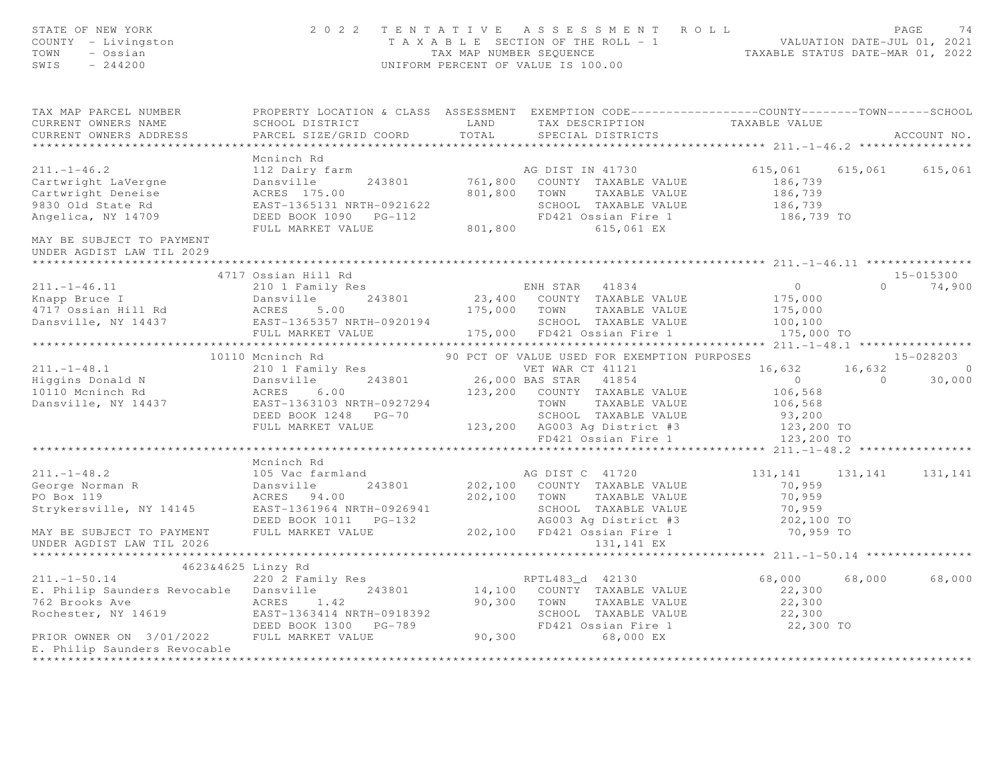| STATE OF NEW YORK<br>COUNTY - Livingston<br>TOWN - Ossian<br>SWIS $-244200$                                                                                                                                                                          |                                                                                                                                                                                         |       | 2022 TENTATIVE ASSESSMENT ROLL<br>T A X A B L E SECTION OF THE ROLL - 1<br>TAX MAP NUMBER SEQUENCE<br>INTEORM PERCENT OF VALUE IS 100 00<br>UNIFORM PERCENT OF VALUE IS 100.00 |                               | PAGE<br>74             |
|------------------------------------------------------------------------------------------------------------------------------------------------------------------------------------------------------------------------------------------------------|-----------------------------------------------------------------------------------------------------------------------------------------------------------------------------------------|-------|--------------------------------------------------------------------------------------------------------------------------------------------------------------------------------|-------------------------------|------------------------|
| TAX MAP PARCEL NUMBER THE PROPERTY LOCATION & CLASS ASSESSMENT EXEMPTION CODE--------------COUNTY-------TOWN-----SCHOOL<br>CURRENT OWNERS NAME                                                                                                       | SCHOOL DISTRICT                                                                                                                                                                         |       | LAND TAX DESCRIPTION                                                                                                                                                           | TAXABLE VALUE                 |                        |
| CURRENT OWNERS ADDRESS                                                                                                                                                                                                                               | PARCEL SIZE/GRID COORD                                                                                                                                                                  | TOTAL | SPECIAL DISTRICTS                                                                                                                                                              |                               | ACCOUNT NO.            |
|                                                                                                                                                                                                                                                      | Mcninch Rd                                                                                                                                                                              |       |                                                                                                                                                                                |                               |                        |
| $211. - 1 - 46.2$                                                                                                                                                                                                                                    | 112 Dairy farm                                                                                                                                                                          |       | AG DIST IN 41730                                                                                                                                                               | 615,061                       | 615,061 615,061        |
| Cartwright LaVergne                                                                                                                                                                                                                                  |                                                                                                                                                                                         |       |                                                                                                                                                                                |                               |                        |
| Cartwright Deneise                                                                                                                                                                                                                                   |                                                                                                                                                                                         |       |                                                                                                                                                                                |                               |                        |
| 9830 Old State Rd                                                                                                                                                                                                                                    |                                                                                                                                                                                         |       |                                                                                                                                                                                | 186,739<br>186,739<br>186,739 |                        |
| Angelica, NY 14709                                                                                                                                                                                                                                   | Dansville 243801 761,800 COUNTY TAXABLE VALUE<br>ACRES 175.00 801,800 TOWN TAXABLE VALUE<br>EAST-1365131 NRTH-0921622 SCHOOL TAXABLE VALUE<br>DEED BOOK 1090 PG-112 PD421 OSSian Fire 1 |       | FD421 Ossian Fire 1                                                                                                                                                            | 186,739 TO                    |                        |
|                                                                                                                                                                                                                                                      | FULL MARKET VALUE                                                                                                                                                                       |       | 801,800 615,061 EX                                                                                                                                                             |                               |                        |
| MAY BE SUBJECT TO PAYMENT<br>UNDER AGDIST LAW TIL 2029                                                                                                                                                                                               |                                                                                                                                                                                         |       |                                                                                                                                                                                |                               |                        |
| *********************                                                                                                                                                                                                                                |                                                                                                                                                                                         |       |                                                                                                                                                                                |                               |                        |
|                                                                                                                                                                                                                                                      | 4717 Ossian Hill Rd                                                                                                                                                                     |       |                                                                                                                                                                                |                               | 15-015300              |
| 211.-1-46.11 210 1 Family Res<br>ENH STAR 41834<br>ENH STAR 41834<br>ENH STAR 41834<br>ENH STAR 41834<br>ENH STAR 41834<br>ENH STAR 41834<br>23,400 COUNTY TAXABLE VALUE<br>243801<br>23,400 COUNTY TAXABLE VALUE<br>243801<br>23,400 COUNTY TAXABLE |                                                                                                                                                                                         |       |                                                                                                                                                                                | $\overline{0}$                | $0 \t 74,900$          |
|                                                                                                                                                                                                                                                      |                                                                                                                                                                                         |       |                                                                                                                                                                                | 175,000                       |                        |
|                                                                                                                                                                                                                                                      |                                                                                                                                                                                         |       |                                                                                                                                                                                | 175,000                       |                        |
|                                                                                                                                                                                                                                                      |                                                                                                                                                                                         |       | SCHOOL TAXABLE VALUE $100,100$<br>FD421 Ossian Fire 1 175 000                                                                                                                  |                               |                        |
|                                                                                                                                                                                                                                                      | FULL MARKET VALUE                                                                                                                                                                       |       | $175,000$ FD421 Ossian Fire 1                                                                                                                                                  | 175,000 TO                    |                        |
|                                                                                                                                                                                                                                                      |                                                                                                                                                                                         |       |                                                                                                                                                                                |                               |                        |
|                                                                                                                                                                                                                                                      |                                                                                                                                                                                         |       | 90 PCT OF VALUE USED FOR EXEMPTION PURPOSES                                                                                                                                    |                               | $15 - 028203$          |
|                                                                                                                                                                                                                                                      |                                                                                                                                                                                         |       | VET WAR CT 41121 16,632                                                                                                                                                        |                               | $16,632$ 0<br>0 30,000 |
|                                                                                                                                                                                                                                                      |                                                                                                                                                                                         |       |                                                                                                                                                                                | $\overline{0}$                |                        |
|                                                                                                                                                                                                                                                      |                                                                                                                                                                                         |       |                                                                                                                                                                                | 106,568                       |                        |
|                                                                                                                                                                                                                                                      |                                                                                                                                                                                         |       | TOWN TAXABLE VALUE                                                                                                                                                             | 106,568                       |                        |
|                                                                                                                                                                                                                                                      |                                                                                                                                                                                         |       | SCHOOL 111111-1<br>123,200 AG003 Ag District #3                                                                                                                                | 93,200                        |                        |
|                                                                                                                                                                                                                                                      | FULL MARKET VALUE                                                                                                                                                                       |       |                                                                                                                                                                                | 123,200 TO                    |                        |
|                                                                                                                                                                                                                                                      |                                                                                                                                                                                         |       |                                                                                                                                                                                | 123,200 TO                    |                        |
|                                                                                                                                                                                                                                                      |                                                                                                                                                                                         |       |                                                                                                                                                                                |                               |                        |
|                                                                                                                                                                                                                                                      | Mcninch Rd<br>105 Vac farmland                                                                                                                                                          |       |                                                                                                                                                                                |                               |                        |
| $211. -1 - 48.2$                                                                                                                                                                                                                                     |                                                                                                                                                                                         |       | AG DIST C 41720                                                                                                                                                                | 131, 141 131, 141 131, 141    |                        |
|                                                                                                                                                                                                                                                      |                                                                                                                                                                                         |       |                                                                                                                                                                                | 70,959                        |                        |
|                                                                                                                                                                                                                                                      |                                                                                                                                                                                         |       |                                                                                                                                                                                | 70,959                        |                        |
| Strykersville, NY 14145                                                                                                                                                                                                                              |                                                                                                                                                                                         |       |                                                                                                                                                                                |                               |                        |
|                                                                                                                                                                                                                                                      | EAST-1361964 NRTH-0926941 SCHOOL TAXABLE VALUE 70,959<br>DEED BOOK 1011 PG-132 AG003 Ag District #3 202,100 TO<br>FULL MARKET VALUE 202,100 FD421 Ossian Fire 1 70,959 TO               |       |                                                                                                                                                                                |                               |                        |
| MAY BE SUBJECT TO PAYMENT                                                                                                                                                                                                                            |                                                                                                                                                                                         |       |                                                                                                                                                                                |                               |                        |
| UNDER AGDIST LAW TIL 2026                                                                                                                                                                                                                            |                                                                                                                                                                                         |       | 131,141 EX                                                                                                                                                                     |                               |                        |
|                                                                                                                                                                                                                                                      |                                                                                                                                                                                         |       |                                                                                                                                                                                |                               |                        |
| $211. - 1 - 50.14$                                                                                                                                                                                                                                   | 4623&4625 Linzy Rd<br>220 2 Family Res                                                                                                                                                  |       | RPTL483_d 42130                                                                                                                                                                | 68,000                        | 68,000 68,000          |
| E. Philip Saunders Revocable Dansville 243801 14,100 COUNTY TAXABLE VALUE                                                                                                                                                                            |                                                                                                                                                                                         |       |                                                                                                                                                                                | 22,300                        |                        |
| 762 Brooks Ave                                                                                                                                                                                                                                       | ACRES 1.42                                                                                                                                                                              |       | 90,300 TOWN TAXABLE VALUE                                                                                                                                                      | 22,300                        |                        |
| Rochester, NY 14619                                                                                                                                                                                                                                  | EAST-1363414 NRTH-0918392                                                                                                                                                               |       |                                                                                                                                                                                | 22,300                        |                        |
|                                                                                                                                                                                                                                                      | DEED BOOK 1300 PG-789                                                                                                                                                                   |       | SCHOOL TAXABLE VALUE<br>FD421 Ossian Fire 1                                                                                                                                    | 22,300 TO                     |                        |
| PRIOR OWNER ON 3/01/2022                                                                                                                                                                                                                             | FULL MARKET VALUE                                                                                                                                                                       |       | 90,300 68,000 EX                                                                                                                                                               |                               |                        |
| E. Philip Saunders Revocable                                                                                                                                                                                                                         |                                                                                                                                                                                         |       |                                                                                                                                                                                |                               |                        |
|                                                                                                                                                                                                                                                      |                                                                                                                                                                                         |       |                                                                                                                                                                                |                               |                        |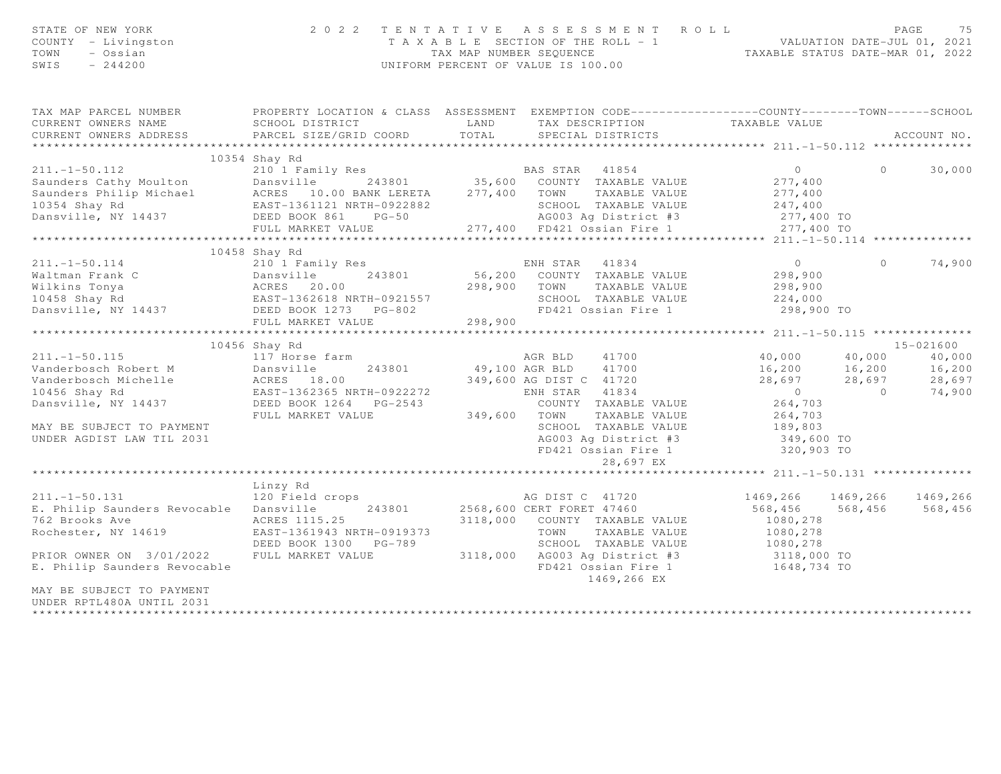| STATE OF NEW YORK<br>COUNTY - Livingston<br>TOWN<br>- Ossian<br>SWIS<br>$-244200$                                                                                                                                                                                             | 2 0 2 2                                                                                     |                | TENTATIVE ASSESSMENT ROLL<br>T A X A B L E SECTION OF THE ROLL - 1<br>TAX MAP NUMBER SEQUENCE<br>TAXABLE STATUS DATE-MAR 01, 2022<br>UNIFORM PERCENT OF VALUE IS 100.00 |                                |                | PAGE<br>75  |
|-------------------------------------------------------------------------------------------------------------------------------------------------------------------------------------------------------------------------------------------------------------------------------|---------------------------------------------------------------------------------------------|----------------|-------------------------------------------------------------------------------------------------------------------------------------------------------------------------|--------------------------------|----------------|-------------|
| TAX MAP PARCEL NUMBER FROPERTY LOCATION & CLASS ASSESSMENT EXEMPTION CODE---------------COUNTY-------TOWN------SCHOOL<br>CURRENT OWNERS NAME                                                                                                                                  | SCHOOL DISTRICT                                                                             | LAND           |                                                                                                                                                                         |                                |                |             |
| CURRENT OWNERS ADDRESS                                                                                                                                                                                                                                                        | PARCEL SIZE/GRID COORD                                                                      | TOTAL          | TAX DESCRIPTION TAXABLE VALUE<br>SPECIAL DISTRICTS<br>SPECIAL DISTRICTS                                                                                                 |                                |                | ACCOUNT NO. |
|                                                                                                                                                                                                                                                                               | 10354 Shay Rd                                                                               |                |                                                                                                                                                                         |                                |                |             |
| $211. - 1 - 50.112$                                                                                                                                                                                                                                                           |                                                                                             |                |                                                                                                                                                                         | $\overline{0}$                 | $\Omega$       | 30,000      |
|                                                                                                                                                                                                                                                                               |                                                                                             |                |                                                                                                                                                                         |                                |                |             |
|                                                                                                                                                                                                                                                                               |                                                                                             |                |                                                                                                                                                                         |                                |                |             |
|                                                                                                                                                                                                                                                                               |                                                                                             |                |                                                                                                                                                                         |                                |                |             |
|                                                                                                                                                                                                                                                                               |                                                                                             |                |                                                                                                                                                                         |                                |                |             |
|                                                                                                                                                                                                                                                                               |                                                                                             |                |                                                                                                                                                                         |                                |                |             |
|                                                                                                                                                                                                                                                                               |                                                                                             |                |                                                                                                                                                                         |                                |                |             |
|                                                                                                                                                                                                                                                                               | 10458 Shay Rd                                                                               |                |                                                                                                                                                                         |                                |                |             |
| $211. - 1 - 50.114$                                                                                                                                                                                                                                                           | 210 1 Family Res                                                                            |                | ENH STAR 41834                                                                                                                                                          | $\overline{0}$                 | $\circ$        | 74,900      |
| Waltman Frank C<br>Wilkins Tonya<br>10458 Shay Rd<br>10458 Shay Rd<br>243801<br>298,900<br>298,900<br>298,900<br>298,900<br>298,900<br>298,900<br>298,900<br>298,900<br>298,900<br>298,900<br>298,900<br>298,900<br>298,900<br>2020<br>2020<br>298,900<br>2020<br>298,900<br> |                                                                                             |                | 243801 56,200 COUNTY TAXABLE VALUE                                                                                                                                      | 298,900                        |                |             |
|                                                                                                                                                                                                                                                                               |                                                                                             | 298,900 TOWN   | TAXABLE VALUE                                                                                                                                                           | 298,900                        |                |             |
|                                                                                                                                                                                                                                                                               |                                                                                             |                | SCHOOL TAXABLE VALUE                                                                                                                                                    | 224,000                        |                |             |
|                                                                                                                                                                                                                                                                               |                                                                                             |                | FD421 Ossian Fire 1                                                                                                                                                     | 298,900 TO                     |                |             |
|                                                                                                                                                                                                                                                                               | FULL MARKET VALUE                                                                           | 298,900        |                                                                                                                                                                         |                                |                |             |
|                                                                                                                                                                                                                                                                               | 10456 Shay Rd                                                                               |                |                                                                                                                                                                         |                                |                | 15-021600   |
| $211. - 1 - 50.115$                                                                                                                                                                                                                                                           | 117 Horse farm                                                                              |                | 41700<br>AGR BLD                                                                                                                                                        | 40,000 40,000                  |                | 40,000      |
| Vanderbosch Robert M                                                                                                                                                                                                                                                          | -<br>Dansville 243801<br>ACRES 18.00<br>EAST-1362365 NRTH-0922272<br>DEED BOOK 1264<br>---- | 49,100 AGR BLD | 41700                                                                                                                                                                   |                                |                | 16,200      |
| Vanderbosch Michelle                                                                                                                                                                                                                                                          |                                                                                             |                | 349,600 AG DIST C 41720                                                                                                                                                 | 16,200 16,200<br>28,697 28,697 |                | 28,697      |
| 10456 Shay Rd                                                                                                                                                                                                                                                                 |                                                                                             |                | ENH STAR 41834                                                                                                                                                          | $\overline{0}$                 | $\overline{0}$ | 74,900      |
| Dansville, NY 14437                                                                                                                                                                                                                                                           |                                                                                             |                | COUNTY TAXABLE VALUE                                                                                                                                                    | 264,703                        |                |             |
|                                                                                                                                                                                                                                                                               | FULL MARKET VALUE                                                                           | 349,600 TOWN   | TAXABLE VALUE                                                                                                                                                           | 264,703                        |                |             |
| MAY BE SUBJECT TO PAYMENT                                                                                                                                                                                                                                                     |                                                                                             |                | SCHOOL TAXABLE VALUE                                                                                                                                                    | 189,803                        |                |             |
| UNDER AGDIST LAW TIL 2031                                                                                                                                                                                                                                                     |                                                                                             |                | AG003 Ag District #3                                                                                                                                                    | 349,600 TO                     |                |             |
|                                                                                                                                                                                                                                                                               |                                                                                             |                | FD421 Ossian Fire 1                                                                                                                                                     | 320,903 TO                     |                |             |
|                                                                                                                                                                                                                                                                               |                                                                                             |                | 28,697 EX                                                                                                                                                               |                                |                |             |
|                                                                                                                                                                                                                                                                               |                                                                                             |                |                                                                                                                                                                         |                                |                |             |
|                                                                                                                                                                                                                                                                               | Linzy Rd                                                                                    |                |                                                                                                                                                                         |                                |                |             |
| $211. - 1 - 50.131$                                                                                                                                                                                                                                                           | 120 Field crops                                                                             |                | AG DIST C 41720                                                                                                                                                         | 1469,266 1469,266              |                | 1469,266    |
| E. Philip Saunders Revocable Dansville                                                                                                                                                                                                                                        |                                                                                             |                | 243801 2568,600 CERT FORET 47460                                                                                                                                        | 568,456 568,456                |                | 568,456     |
| 762 Brooks Ave                                                                                                                                                                                                                                                                | ACRES 1115.25                                                                               |                | 3118,000 COUNTY TAXABLE VALUE                                                                                                                                           | 1080,278                       |                |             |
| Rochester, NY 14619                                                                                                                                                                                                                                                           | EAST-1361943 NRTH-0919373                                                                   |                | TOWN<br>TAXABLE VALUE                                                                                                                                                   | 1080,278                       |                |             |
|                                                                                                                                                                                                                                                                               | DEED BOOK 1300 PG-789                                                                       |                | SCHOOL TAXABLE VALUE 1080,278<br>AGOOL TAXABLE VALUE 1080,278<br>AGOO3 Ag District #3 3118,000 TO                                                                       |                                |                |             |
| PRIOR OWNER ON 3/01/2022                                                                                                                                                                                                                                                      | FULL MARKET VALUE                                                                           | 3118,000       | AG003 Ag District #3                                                                                                                                                    |                                |                |             |
| E. Philip Saunders Revocable                                                                                                                                                                                                                                                  |                                                                                             |                | FD421 Ossian Fire 1<br>1469,266 EX                                                                                                                                      | 1648,734 TO                    |                |             |
| MAY BE SUBJECT TO PAYMENT<br>UNDER RPTL480A UNTIL 2031                                                                                                                                                                                                                        |                                                                                             |                |                                                                                                                                                                         |                                |                |             |

\*\*\*\*\*\*\*\*\*\*\*\*\*\*\*\*\*\*\*\*\*\*\*\*\*\*\*\*\*\*\*\*\*\*\*\*\*\*\*\*\*\*\*\*\*\*\*\*\*\*\*\*\*\*\*\*\*\*\*\*\*\*\*\*\*\*\*\*\*\*\*\*\*\*\*\*\*\*\*\*\*\*\*\*\*\*\*\*\*\*\*\*\*\*\*\*\*\*\*\*\*\*\*\*\*\*\*\*\*\*\*\*\*\*\*\*\*\*\*\*\*\*\*\*\*\*\*\*\*\*\*\*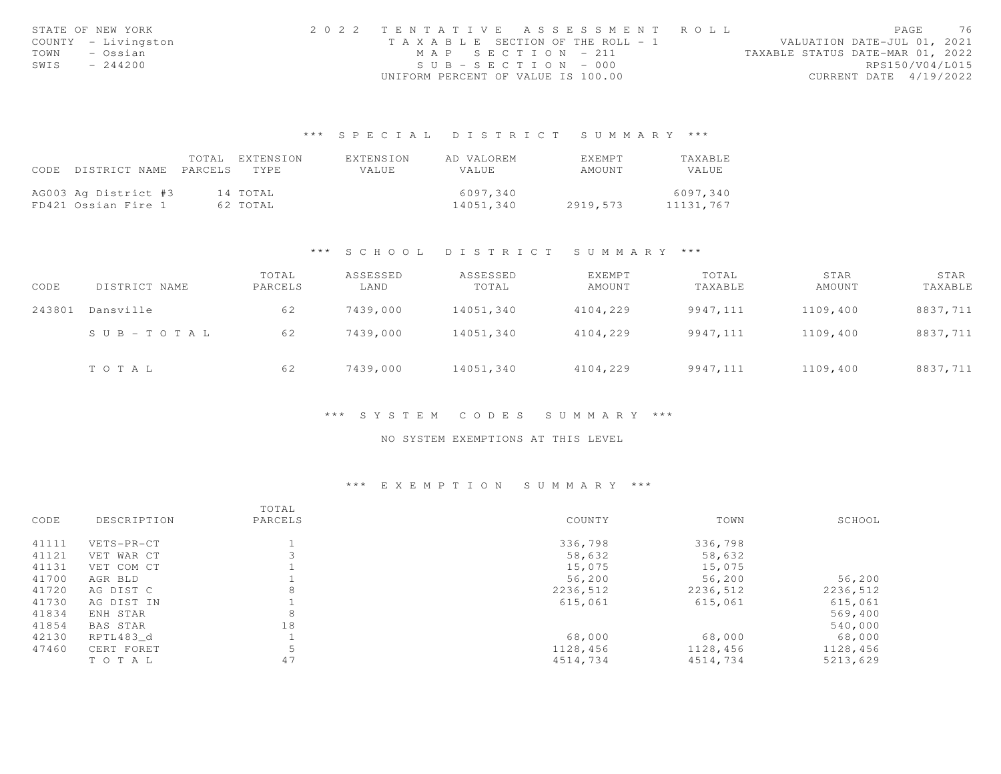| STATE OF NEW YORK   | 2022 TENTATIVE ASSESSMENT ROLL |                                    |  |                                  | PAGE                   | 76 |
|---------------------|--------------------------------|------------------------------------|--|----------------------------------|------------------------|----|
| COUNTY - Livingston |                                | TAXABLE SECTION OF THE ROLL - 1    |  | VALUATION DATE-JUL 01, 2021      |                        |    |
| TOWN<br>– Ossian    |                                | MAP SECTION - 211                  |  | TAXABLE STATUS DATE-MAR 01, 2022 |                        |    |
| SWIS<br>$-244200$   |                                | $SUB - SECTION - 000$              |  |                                  | RPS150/V04/L015        |    |
|                     |                                | UNIFORM PERCENT OF VALUE IS 100.00 |  |                                  | CURRENT DATE 4/19/2022 |    |

# \*\*\* S P E C I A L D I S T R I C T S U M M A R Y \*\*\*

|      |                            | TOTAL EXTENSION | EXTENSION    | AD VALOREM   | <b>EXEMPT</b> | TAXABLE   |
|------|----------------------------|-----------------|--------------|--------------|---------------|-----------|
| CODE | DISTRICT NAME PARCELS TYPE |                 | <b>VALUE</b> | <b>VALUE</b> | AMOUNT        | VALUE     |
|      |                            |                 |              |              |               |           |
|      | AG003 Ag District #3       | 14 TOTAL        |              | 6097.340     |               | 6097,340  |
|      | FD421 Ossian Fire 1        | 62 TOTAL        |              | 14051,340    | 2919,573      | 11131,767 |

## \*\*\* S C H O O L D I S T R I C T S U M M A R Y \*\*\*

| CODE   | DISTRICT NAME | TOTAL<br>PARCELS | ASSESSED<br>LAND | ASSESSED<br>TOTAL | EXEMPT<br>AMOUNT | TOTAL<br>TAXABLE | STAR<br>AMOUNT | STAR<br>TAXABLE |
|--------|---------------|------------------|------------------|-------------------|------------------|------------------|----------------|-----------------|
| 243801 | Dansville     | 62               | 7439,000         | 14051,340         | 4104,229         | 9947,111         | 1109,400       | 8837,711        |
|        | SUB-TOTAL     | 62               | 7439,000         | 14051,340         | 4104,229         | 9947,111         | 1109,400       | 8837,711        |
|        | TOTAL         | 62               | 7439,000         | 14051,340         | 4104,229         | 9947,111         | 1109,400       | 8837,711        |

## \*\*\* S Y S T E M C O D E S S U M M A R Y \*\*\*

## NO SYSTEM EXEMPTIONS AT THIS LEVEL

# \*\*\* E X E M P T I O N S U M M A R Y \*\*\*

|       |             | TOTAL   |          |          |          |
|-------|-------------|---------|----------|----------|----------|
| CODE  | DESCRIPTION | PARCELS | COUNTY   | TOWN     | SCHOOL   |
| 41111 | VETS-PR-CT  |         | 336,798  | 336,798  |          |
| 41121 | VET WAR CT  |         | 58,632   | 58,632   |          |
| 41131 | VET COM CT  |         | 15,075   | 15,075   |          |
| 41700 | AGR BLD     |         | 56,200   | 56,200   | 56,200   |
| 41720 | AG DIST C   | 8       | 2236,512 | 2236,512 | 2236,512 |
| 41730 | AG DIST IN  |         | 615,061  | 615,061  | 615,061  |
| 41834 | ENH STAR    | 8       |          |          | 569,400  |
| 41854 | BAS STAR    | 18      |          |          | 540,000  |
| 42130 | RPTL483 d   |         | 68,000   | 68,000   | 68,000   |
| 47460 | CERT FORET  | 5       | 1128,456 | 1128,456 | 1128,456 |
|       | TO TAL      | 47      | 4514,734 | 4514,734 | 5213,629 |
|       |             |         |          |          |          |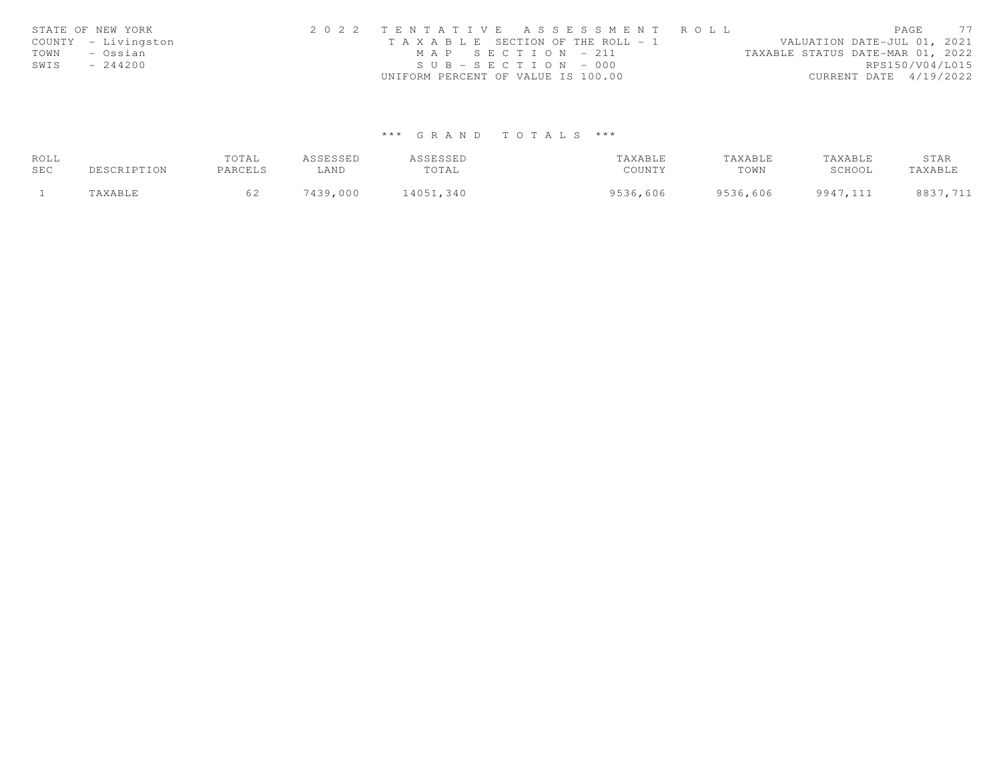| STATE OF NEW YORK   | 2022 TENTATIVE ASSESSMENT ROLL        | 77<br>PAGE                       |
|---------------------|---------------------------------------|----------------------------------|
| COUNTY - Livingston | T A X A B L E SECTION OF THE ROLL - 1 | VALUATION DATE-JUL 01, 2021      |
| TOWN<br>– Ossian    | MAP SECTION - 211                     | TAXABLE STATUS DATE-MAR 01, 2022 |
| $-244200$<br>SWIS   | $SUB - SECTION - 000$                 | RPS150/V04/L015                  |
|                     | UNIFORM PERCENT OF VALUE IS 100.00    | CURRENT DATE 4/19/2022           |

# \*\*\* G R A N D T O T A L S \*\*\*

| ROLL |             | TOTAL   | ASSESSED | ASSESSED  | TAXABLE  | TAXABLE  | TAXABLE  | STAR     |
|------|-------------|---------|----------|-----------|----------|----------|----------|----------|
| SEC  | DESCRIPTION | PARCELS | ∟AND     | TOTAL     | COUNTY   | TOWN     | SCHOOL   | TAXABLE  |
|      | "AXABLE     |         | 7439,000 | 14051,340 | 9536,606 | 9536,606 | 9947,111 | 8837,711 |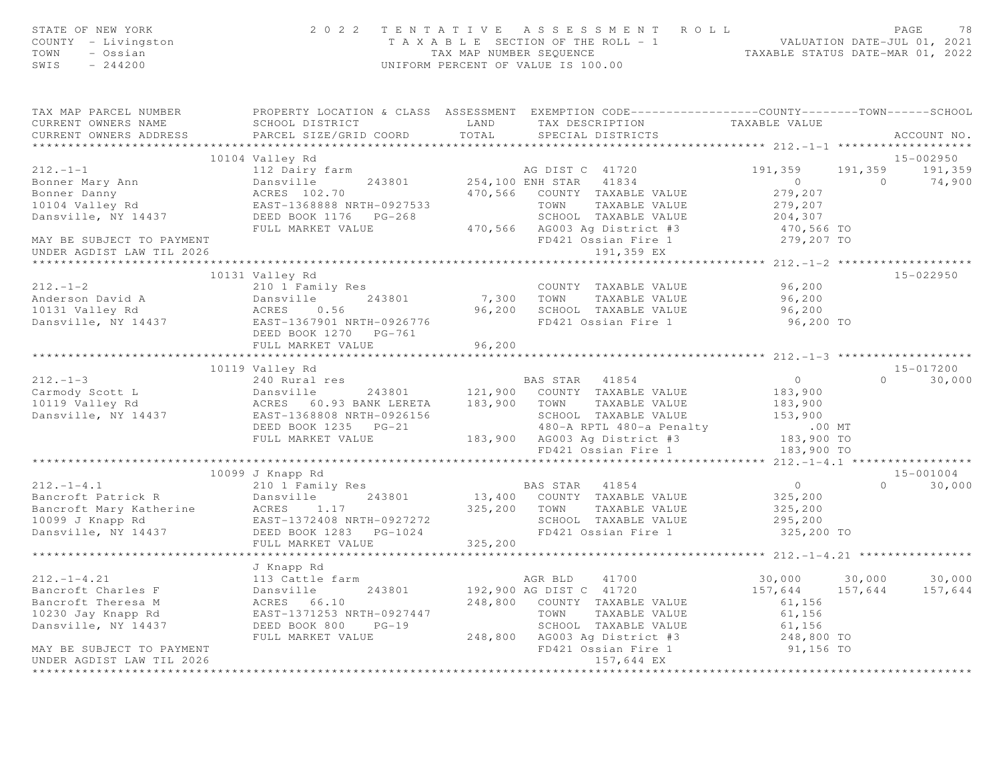| STATE OF NEW YORK<br>COUNTY - Livingston<br>TOWN<br>- Ossian<br>SWIS<br>$-244200$ |                                                                                                                                                                                                                                                                         |         | 2022 TENTATIVE ASSESSMENT ROLL PAGE 78<br>TAXABLE SECTION OF THE ROLL - 1<br>TAX MAP NUMBER SEQUENCE TAXABLE STATUS DATE-MAR 01, 2022<br>UNIFORM PERCENT OF VALUE IS 100.00 |                                                     |                 |
|-----------------------------------------------------------------------------------|-------------------------------------------------------------------------------------------------------------------------------------------------------------------------------------------------------------------------------------------------------------------------|---------|-----------------------------------------------------------------------------------------------------------------------------------------------------------------------------|-----------------------------------------------------|-----------------|
| TAX MAP PARCEL NUMBER<br>CURRENT OWNERS NAME<br>CURRENT OWNERS ADDRESS            | PROPERTY LOCATION & CLASS ASSESSMENT EXEMPTION CODE----------------COUNTY-------TOWN------SCHOOL<br>SCHOOL DISTRICT                          LAND         TAX DESCRIPTION                   TAXABLE VALUE PARCEL SIZE/GRID COORD          TOTAL       SPECIAL DISTRICTS |         |                                                                                                                                                                             |                                                     | ACCOUNT NO.     |
|                                                                                   |                                                                                                                                                                                                                                                                         |         |                                                                                                                                                                             |                                                     |                 |
|                                                                                   | 10104 Valley Rd                                                                                                                                                                                                                                                         |         |                                                                                                                                                                             |                                                     | 15-002950       |
|                                                                                   |                                                                                                                                                                                                                                                                         |         |                                                                                                                                                                             |                                                     | 191,359 191,359 |
|                                                                                   |                                                                                                                                                                                                                                                                         |         |                                                                                                                                                                             |                                                     | $0 \t 74,900$   |
|                                                                                   |                                                                                                                                                                                                                                                                         |         |                                                                                                                                                                             |                                                     |                 |
|                                                                                   |                                                                                                                                                                                                                                                                         |         |                                                                                                                                                                             |                                                     |                 |
|                                                                                   |                                                                                                                                                                                                                                                                         |         |                                                                                                                                                                             |                                                     |                 |
|                                                                                   |                                                                                                                                                                                                                                                                         |         |                                                                                                                                                                             |                                                     |                 |
|                                                                                   |                                                                                                                                                                                                                                                                         |         |                                                                                                                                                                             |                                                     |                 |
|                                                                                   |                                                                                                                                                                                                                                                                         |         |                                                                                                                                                                             |                                                     |                 |
|                                                                                   |                                                                                                                                                                                                                                                                         |         |                                                                                                                                                                             |                                                     |                 |
|                                                                                   | 10131 Valley Rd                                                                                                                                                                                                                                                         |         |                                                                                                                                                                             |                                                     | 15-022950       |
|                                                                                   |                                                                                                                                                                                                                                                                         |         |                                                                                                                                                                             | 96,200                                              |                 |
|                                                                                   |                                                                                                                                                                                                                                                                         |         |                                                                                                                                                                             | 96, 200                                             |                 |
|                                                                                   |                                                                                                                                                                                                                                                                         |         |                                                                                                                                                                             | 96,200                                              |                 |
|                                                                                   |                                                                                                                                                                                                                                                                         |         |                                                                                                                                                                             | 96,200 TO                                           |                 |
|                                                                                   | DEED BOOK 1270 PG-761                                                                                                                                                                                                                                                   |         |                                                                                                                                                                             |                                                     |                 |
|                                                                                   | FULL MARKET VALUE                                                                                                                                                                                                                                                       | 96,200  |                                                                                                                                                                             |                                                     |                 |
|                                                                                   | 10119 Valley Rd                                                                                                                                                                                                                                                         |         |                                                                                                                                                                             |                                                     | 15-017200       |
| $212. - 1 - 3$                                                                    | 240 Rural res and the BAS STAR 41854                                                                                                                                                                                                                                    |         |                                                                                                                                                                             | $\overline{O}$                                      | $0 \t 30,000$   |
|                                                                                   |                                                                                                                                                                                                                                                                         |         |                                                                                                                                                                             |                                                     |                 |
|                                                                                   |                                                                                                                                                                                                                                                                         |         |                                                                                                                                                                             |                                                     |                 |
|                                                                                   | 212.-1-3<br>Carmody Scott L Dansville Dansville Dansville Dansville Dansville Dansville Dansville Dansville Dansville Dansville Dansville Dansville Dansville Dansville Dansville Dansville Dansville Dansville Dansville Dansvi                                        |         |                                                                                                                                                                             |                                                     |                 |
|                                                                                   |                                                                                                                                                                                                                                                                         |         |                                                                                                                                                                             |                                                     |                 |
|                                                                                   |                                                                                                                                                                                                                                                                         |         |                                                                                                                                                                             |                                                     |                 |
|                                                                                   |                                                                                                                                                                                                                                                                         |         |                                                                                                                                                                             |                                                     |                 |
|                                                                                   |                                                                                                                                                                                                                                                                         |         |                                                                                                                                                                             |                                                     |                 |
|                                                                                   | 10099 J Knapp Rd                                                                                                                                                                                                                                                        |         |                                                                                                                                                                             |                                                     | 15-001004       |
|                                                                                   | 212.-1-4.1<br>Bancroft Patrick R<br>Bancroft Mary Katherine ACRES 1.17<br>10099 J Knapp Rd<br>Dansville, NY 14437<br>Dansville, NY 14437<br>DEED BOOK 1283 PG-1024<br>DEED BOOK 1283 PG-1024<br>DEED BOOK 1283 PG-1024<br>DEED BOOK 1283 PG-1024                        |         |                                                                                                                                                                             | $\overline{0}$                                      | $0 \t 30,000$   |
|                                                                                   |                                                                                                                                                                                                                                                                         |         |                                                                                                                                                                             | 325, 200                                            |                 |
|                                                                                   |                                                                                                                                                                                                                                                                         |         |                                                                                                                                                                             | 325,200                                             |                 |
|                                                                                   |                                                                                                                                                                                                                                                                         |         |                                                                                                                                                                             | 295,200                                             |                 |
|                                                                                   |                                                                                                                                                                                                                                                                         |         |                                                                                                                                                                             | 325,200 TO                                          |                 |
|                                                                                   | FULL MARKET VALUE                                                                                                                                                                                                                                                       | 325,200 |                                                                                                                                                                             |                                                     |                 |
|                                                                                   |                                                                                                                                                                                                                                                                         |         |                                                                                                                                                                             | ********************** 212.-1-4.21 **************** |                 |
|                                                                                   | J Knapp Rd                                                                                                                                                                                                                                                              |         |                                                                                                                                                                             |                                                     |                 |
| $212. - 1 - 4.21$                                                                 | 113 Cattle farm                                                                                                                                                                                                                                                         |         | AGR BLD 41700                                                                                                                                                               | 30,000 30,000 30,000                                |                 |
| Bancroft Charles F                                                                | 243801 192,900 AG DIST C 41720                                                                                                                                                                                                                                          |         |                                                                                                                                                                             | 157,644 157,644                                     | 157,644         |
| Bancroft Theresa M                                                                | 113 Cattle far<br>Dansville<br>ACRES 66.10<br>EAST-1371252<br>ACRES 66.10 248,800 COUNTY TAXABLE VALUE<br>EAST-1371253 NRTH-0927447 TOWN TAXABLE VALUE<br>DEED BOOK 800 PG-19 SCHOOL TAXABLE VALUE                                                                      |         |                                                                                                                                                                             | 61,156<br>61,156                                    |                 |
| 10230 Jay Knapp Rd                                                                | ACRES 66.10<br>EAST-1371253 NRTH-0927447<br>DEED BOOK 800 PG-19                                                                                                                                                                                                         |         | TAXABLE VALUE                                                                                                                                                               |                                                     |                 |
| Dansville, NY 14437                                                               |                                                                                                                                                                                                                                                                         |         | SCHOOL TAXABLE VALUE 61,156<br>AG003 Ag District #3 248,800 TO                                                                                                              |                                                     |                 |
|                                                                                   | FULL MARKET VALUE                                                                                                                                                                                                                                                       |         | 248,800 AG003 Ag District #3<br>FD421 Ossian Fire 1                                                                                                                         |                                                     |                 |
| MAY BE SUBJECT TO PAYMENT                                                         |                                                                                                                                                                                                                                                                         |         |                                                                                                                                                                             | 91,156 TO                                           |                 |
| UNDER AGDIST LAW TIL 2026                                                         |                                                                                                                                                                                                                                                                         |         | 157,644 EX                                                                                                                                                                  |                                                     |                 |
| ***************************                                                       |                                                                                                                                                                                                                                                                         |         |                                                                                                                                                                             |                                                     |                 |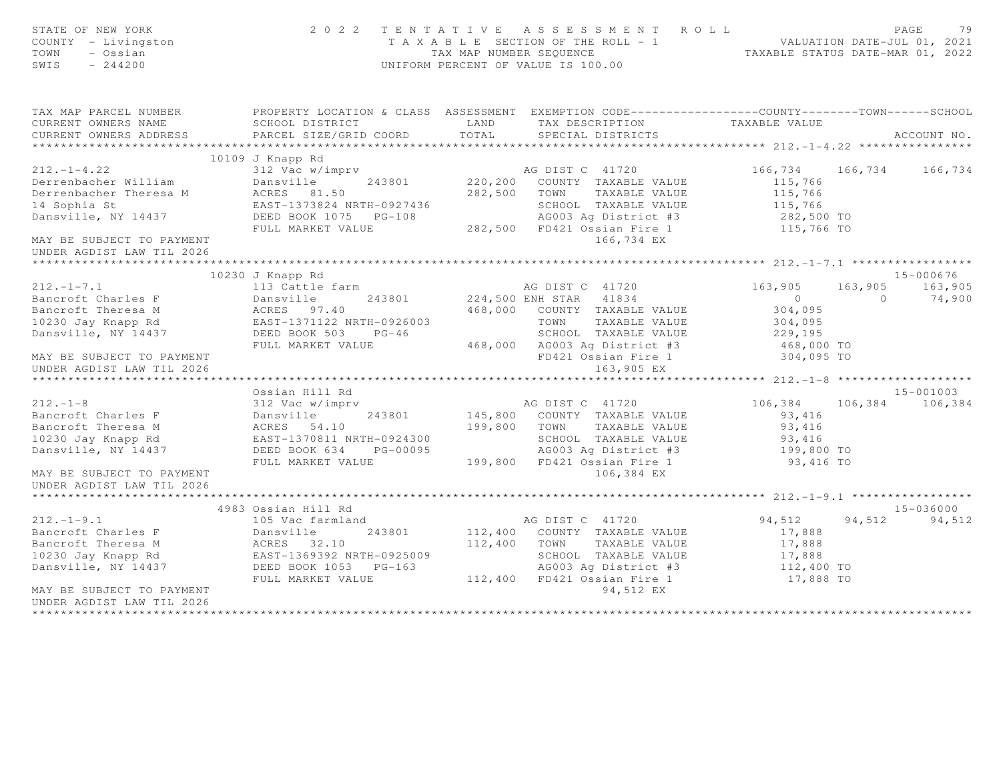| STATE OF NEW YORK<br>COUNTY - Livingston<br>TOWN<br>- Ossian<br>$-244200$<br>SWIS                                                                                                                    | 2 0 2 2                                                           |                | TENTATIVE ASSESSMENT ROLL<br>T A X A B L E SECTION OF THE ROLL - 1<br>TAX MAP NUMBER SEQUENCE<br>TAXABLE STATUS DATE-MAR 01, 2022<br>UNIFORM PERCENT OF VALUE IS 100.00 |                |                | PAGE<br>79      |
|------------------------------------------------------------------------------------------------------------------------------------------------------------------------------------------------------|-------------------------------------------------------------------|----------------|-------------------------------------------------------------------------------------------------------------------------------------------------------------------------|----------------|----------------|-----------------|
| TAX MAP PARCEL NUMBER                                                                                                                                                                                |                                                                   |                | PROPERTY LOCATION & CLASS ASSESSMENT EXEMPTION CODE----------------COUNTY-------TOWN------SCHOOL                                                                        |                |                |                 |
| CURRENT OWNERS NAME                                                                                                                                                                                  | SCHOOL DISTRICT                                                   | LAND           | TAX DESCRIPTION TAXABLE VALUE                                                                                                                                           |                |                |                 |
| CURRENT OWNERS ADDRESS                                                                                                                                                                               | PARCEL SIZE/GRID COORD                                            | TOTAL          | SPECIAL DISTRICTS                                                                                                                                                       |                |                | ACCOUNT NO.     |
|                                                                                                                                                                                                      |                                                                   |                |                                                                                                                                                                         |                |                |                 |
| 212.-1-4.22<br>Derrenbacher William<br>Derrenbacher Theresa M<br>ACRES 81.50<br>ACRES 81.50<br>ACRES 81.50<br>ACRES 81.50<br>EAST-1373824 NRTH-0927436<br>DEED BOOK 1075 PG-108<br>FILL MARKET VALUE | 312 Vac w/imprv AG DIST C 41720                                   |                |                                                                                                                                                                         | 166,734        |                | 166,734 166,734 |
|                                                                                                                                                                                                      |                                                                   | 243801 220,200 | COUNTY TAXABLE VALUE                                                                                                                                                    | 115,766        |                |                 |
|                                                                                                                                                                                                      |                                                                   | 282,500        | TOWN<br>TAXABLE VALUE                                                                                                                                                   | 115,766        |                |                 |
|                                                                                                                                                                                                      |                                                                   |                | SCHOOL TAXABLE VALUE                                                                                                                                                    | 115,766        |                |                 |
|                                                                                                                                                                                                      |                                                                   |                |                                                                                                                                                                         |                |                |                 |
|                                                                                                                                                                                                      |                                                                   |                | -108 66003 AG003 Ag District #3 282,500 TO<br>282,500 FD421 Ossian Fire 1 115,766 TO                                                                                    |                |                |                 |
|                                                                                                                                                                                                      |                                                                   |                | 166,734 EX                                                                                                                                                              |                |                |                 |
| UNDER AGDIST LAW TIL 2026                                                                                                                                                                            |                                                                   |                |                                                                                                                                                                         |                |                |                 |
|                                                                                                                                                                                                      |                                                                   |                |                                                                                                                                                                         |                |                |                 |
|                                                                                                                                                                                                      | 10230 J Knapp Rd                                                  |                |                                                                                                                                                                         |                |                | 15-000676       |
| $212. -1 - 7.1$                                                                                                                                                                                      | 113 Cattle farm                                                   |                | AG DIST C 41720                                                                                                                                                         | 163,905        |                | 163,905 163,905 |
| Bancroft Charles F                                                                                                                                                                                   | Dansville<br>ACRES 97.40<br>EAST-1371122 N<br>DEED BOOK 503       |                | 243801 224,500 ENH STAR 41834                                                                                                                                           | $\overline{0}$ | $\overline{0}$ | 74,900          |
| Bancroft Theresa M                                                                                                                                                                                   |                                                                   | 468,000        | COUNTY TAXABLE VALUE                                                                                                                                                    | 304,095        |                |                 |
| 10230 Jay Knapp Rd                                                                                                                                                                                   | EAST-1371122 NRTH-0926003                                         |                | TAXABLE VALUE<br>TOWN                                                                                                                                                   | 304,095        |                |                 |
| Dansville, NY 14437                                                                                                                                                                                  | $PG-46$                                                           |                | SCHOOL TAXABLE VALUE                                                                                                                                                    | 229,195        |                |                 |
|                                                                                                                                                                                                      | FULL MARKET VALUE                                                 |                | 468,000 AG003 Ag District #3                                                                                                                                            | 468,000 TO     |                |                 |
| MAY BE SUBJECT TO PAYMENT                                                                                                                                                                            |                                                                   |                | FD421 Ossian Fire 1                                                                                                                                                     | 304,095 TO     |                |                 |
| UNDER AGDIST LAW TIL 2026                                                                                                                                                                            |                                                                   |                | 163,905 EX                                                                                                                                                              |                |                |                 |
|                                                                                                                                                                                                      | Ossian Hill Rd                                                    |                |                                                                                                                                                                         |                |                | 15-001003       |
| $212 - 1 - 8$                                                                                                                                                                                        | 312 Vac w/imprv AG DIST C 41720                                   |                |                                                                                                                                                                         | 106,384        | 106,384        | 106,384         |
| Bancroft Charles F                                                                                                                                                                                   | Dansville<br>243801                                               |                | 145,800 COUNTY TAXABLE VALUE                                                                                                                                            | 93,416         |                |                 |
| Bancroft Theresa M                                                                                                                                                                                   |                                                                   | 199,800        | TAXABLE VALUE<br>TOWN                                                                                                                                                   | 93,416         |                |                 |
| 10230 Jay Knapp Rd                                                                                                                                                                                   |                                                                   |                | SCHOOL TAXABLE VALUE                                                                                                                                                    | 93,416         |                |                 |
| Dansville, NY 14437                                                                                                                                                                                  | ACRES 54.10<br>EAST-1370811 NRTH-0924300<br>CAST-1370811 PG-00095 |                | AG003 Ag District #3                                                                                                                                                    | 199,800 TO     |                |                 |
|                                                                                                                                                                                                      | FULL MARKET VALUE                                                 |                | 199,800 FD421 Ossian Fire 1                                                                                                                                             | 93,416 TO      |                |                 |
| MAY BE SUBJECT TO PAYMENT<br>UNDER AGDIST LAW TIL 2026                                                                                                                                               |                                                                   |                | 106,384 EX                                                                                                                                                              |                |                |                 |
|                                                                                                                                                                                                      |                                                                   |                |                                                                                                                                                                         |                |                |                 |
|                                                                                                                                                                                                      | 4983 Ossian Hill Rd                                               |                |                                                                                                                                                                         |                |                | 15-036000       |
| $212. - 1 - 9.1$                                                                                                                                                                                     | 105 Vac farmland                                                  |                | AG DIST C 41720                                                                                                                                                         | 94,512         | 94,512         | 94,512          |
| Bancroft Charles F                                                                                                                                                                                   | 243801<br>Dansville                                               | 112,400        | COUNTY TAXABLE VALUE                                                                                                                                                    | 17,888         |                |                 |
| Bancroft Theresa M                                                                                                                                                                                   | ACRES 32.10                                                       | 112,400 TOWN   | TAXABLE VALUE                                                                                                                                                           | 17,888         |                |                 |
| 10230 Jay Knapp Rd                                                                                                                                                                                   | EAST-1369392 NRTH-0925009                                         |                | SCHOOL TAXABLE VALUE                                                                                                                                                    | 17,888         |                |                 |
| Dansville, NY 14437                                                                                                                                                                                  | DEED BOOK 1053 PG-163                                             |                | AG003 Ag District #3<br>112,400 FD421 Ossian Fire 1                                                                                                                     | 112,400 TO     |                |                 |
|                                                                                                                                                                                                      | FULL MARKET VALUE                                                 |                |                                                                                                                                                                         | 17,888 TO      |                |                 |
| MAY BE SUBJECT TO PAYMENT                                                                                                                                                                            |                                                                   |                | 94,512 EX                                                                                                                                                               |                |                |                 |
| UNDER AGDIST LAW TIL 2026<br>***************************                                                                                                                                             |                                                                   |                |                                                                                                                                                                         |                |                |                 |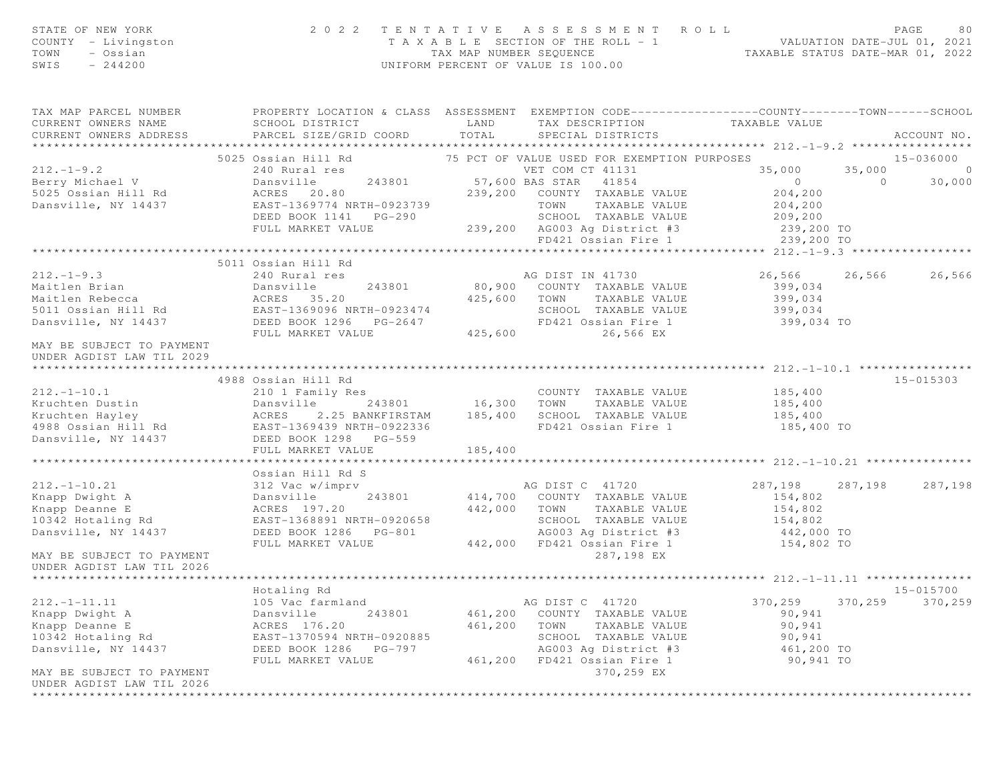| STATE OF NEW YORK<br>COUNTY - Livingston<br>TOWN<br>- Ossian<br>SWIS<br>$-244200$                                                                                                                                                   |                                                                                                                            |         | 2022 TENTATIVE ASSESSMENT ROLL<br>TAXABLE SECTION OF THE ROLL - 1<br>TAX MAP NUMBER SEQUENCE TAXABLE STATUS DATE-JUL 01, 2021<br>INIEOPM DERCENT OF WALUT IS 199899<br>UNIFORM PERCENT OF VALUE IS 100.00 |                    |         | PAGE<br>80      |
|-------------------------------------------------------------------------------------------------------------------------------------------------------------------------------------------------------------------------------------|----------------------------------------------------------------------------------------------------------------------------|---------|-----------------------------------------------------------------------------------------------------------------------------------------------------------------------------------------------------------|--------------------|---------|-----------------|
| TAX MAP PARCEL NUMBER<br>CURRENT OWNERS NAME<br>CURRENT OWNERS ADDRESS                                                                                                                                                              | SCHOOL DISTRICT                    LAND       TAX DESCRIPTION                TAXABLE VALUE<br>PARCEL SIZE/GRID COORD TOTAL |         | SPECIAL DISTRICTS                                                                                                                                                                                         |                    |         | ACCOUNT NO.     |
|                                                                                                                                                                                                                                     | 5025 Ossian Hill Rd             75 PCT OF VALUE USED FOR EXEMPTION PURPOSES                                                |         |                                                                                                                                                                                                           |                    |         | 15-036000       |
|                                                                                                                                                                                                                                     |                                                                                                                            |         |                                                                                                                                                                                                           | 35,000 35,000 0    |         |                 |
|                                                                                                                                                                                                                                     |                                                                                                                            |         |                                                                                                                                                                                                           | $0$ 0<br>204,200   |         | 30,000          |
|                                                                                                                                                                                                                                     |                                                                                                                            |         |                                                                                                                                                                                                           |                    |         |                 |
|                                                                                                                                                                                                                                     |                                                                                                                            |         |                                                                                                                                                                                                           |                    |         |                 |
|                                                                                                                                                                                                                                     |                                                                                                                            |         |                                                                                                                                                                                                           |                    |         |                 |
|                                                                                                                                                                                                                                     |                                                                                                                            |         |                                                                                                                                                                                                           |                    |         |                 |
|                                                                                                                                                                                                                                     |                                                                                                                            |         | AG DIST IN 41730                                                                                                                                                                                          | 26,566             |         | 26,566 26,566   |
|                                                                                                                                                                                                                                     |                                                                                                                            |         | 243801 80,900 COUNTY TAXABLE VALUE                                                                                                                                                                        | 399,034<br>399,034 |         |                 |
|                                                                                                                                                                                                                                     |                                                                                                                            |         | 425,600 TOWN TAXABLE VALUE                                                                                                                                                                                |                    |         |                 |
|                                                                                                                                                                                                                                     |                                                                                                                            |         | SCHOOL TAXABLE VALUE 399,034                                                                                                                                                                              |                    |         |                 |
|                                                                                                                                                                                                                                     |                                                                                                                            |         | FD421 Ossian Fire 1                                                                                                                                                                                       | 399,034 TO         |         |                 |
| UNDER AGDIST LAW TIL 2029                                                                                                                                                                                                           |                                                                                                                            |         |                                                                                                                                                                                                           |                    |         |                 |
|                                                                                                                                                                                                                                     | 4988 Ossian Hill Rd<br>Ossian Hill Rd<br>210 1 Family Res                                                                  |         |                                                                                                                                                                                                           |                    |         | 15-015303       |
| $212. - 1 - 10.1$                                                                                                                                                                                                                   |                                                                                                                            |         | COUNTY TAXABLE VALUE                                                                                                                                                                                      | 185,400<br>185,400 |         |                 |
|                                                                                                                                                                                                                                     | 243801 16,300 TOWN                                                                                                         |         | TAXABLE VALUE                                                                                                                                                                                             |                    |         |                 |
|                                                                                                                                                                                                                                     |                                                                                                                            |         |                                                                                                                                                                                                           |                    |         |                 |
|                                                                                                                                                                                                                                     |                                                                                                                            |         |                                                                                                                                                                                                           |                    |         |                 |
|                                                                                                                                                                                                                                     |                                                                                                                            | 185,400 |                                                                                                                                                                                                           |                    |         |                 |
|                                                                                                                                                                                                                                     | FULL MARKET VALUE                                                                                                          |         |                                                                                                                                                                                                           |                    |         |                 |
|                                                                                                                                                                                                                                     | Ossian Hill Rd S                                                                                                           |         |                                                                                                                                                                                                           |                    |         |                 |
| 212.-1-10.21<br>Xnapp Dwight A Dansville 243801 A Dansville 243801 A Dansville 243801 A Dansville 243801 A Dansville 243801 A Mapp Deanne E ACRES 197.20<br>Xnapp Deanne E ACRES 197.20 442,000 TOWN TAXABLE VALUE<br>26 10342 Hota |                                                                                                                            |         |                                                                                                                                                                                                           | 287,198            |         | 287,198 287,198 |
|                                                                                                                                                                                                                                     |                                                                                                                            |         |                                                                                                                                                                                                           | 154,802            |         |                 |
|                                                                                                                                                                                                                                     |                                                                                                                            |         |                                                                                                                                                                                                           |                    |         |                 |
|                                                                                                                                                                                                                                     |                                                                                                                            |         | TOWN TAXABLE VALUE 154,802<br>SCHOOL TAXABLE VALUE 154,802<br>AG003 Ag District #3 442,000 TO                                                                                                             |                    |         |                 |
|                                                                                                                                                                                                                                     |                                                                                                                            |         |                                                                                                                                                                                                           |                    |         |                 |
|                                                                                                                                                                                                                                     | FULL MARKET VALUE                                                                                                          |         | 442,000 FD421 Ossian Fire 1                                                                                                                                                                               | 154,802 TO         |         |                 |
| MAY BE SUBJECT TO PAYMENT<br>UNDER AGDIST LAW TIL 2026                                                                                                                                                                              |                                                                                                                            |         | 287,198 EX                                                                                                                                                                                                |                    |         |                 |
|                                                                                                                                                                                                                                     |                                                                                                                            |         |                                                                                                                                                                                                           |                    |         |                 |
|                                                                                                                                                                                                                                     | Hotaling Rd                                                                                                                |         |                                                                                                                                                                                                           |                    |         | $15 - 015700$   |
| $212. - 1 - 11.11$                                                                                                                                                                                                                  | 105 Vac farmland                                                                                                           |         | AG DIST C 41720                                                                                                                                                                                           | 370,259            | 370,259 | 370,259         |
| Knapp Dwight A                                                                                                                                                                                                                      | 243801<br>Dansville                                                                                                        | 461,200 | COUNTY TAXABLE VALUE                                                                                                                                                                                      | 90,941             |         |                 |
| Knapp Deanne E                                                                                                                                                                                                                      | ACRES 176.20                                                                                                               | 461,200 | TAXABLE VALUE<br>TOWN                                                                                                                                                                                     | 90,941             |         |                 |
| 10342 Hotaling Rd                                                                                                                                                                                                                   | EAST-1370594 NRTH-0920885                                                                                                  |         | SCHOOL TAXABLE VALUE                                                                                                                                                                                      | 90,941             |         |                 |
| Dansville, NY 14437                                                                                                                                                                                                                 | DEED BOOK 1286<br>PG-797                                                                                                   |         | AG003 Ag District #3                                                                                                                                                                                      | 461,200 TO         |         |                 |
|                                                                                                                                                                                                                                     | FULL MARKET VALUE                                                                                                          | 461,200 | FD421 Ossian Fire 1                                                                                                                                                                                       | 90,941 TO          |         |                 |
| MAY BE SUBJECT TO PAYMENT<br>UNDER AGDIST LAW TIL 2026                                                                                                                                                                              |                                                                                                                            |         | 370,259 EX<br><b>+++++++++++++++</b>                                                                                                                                                                      |                    |         |                 |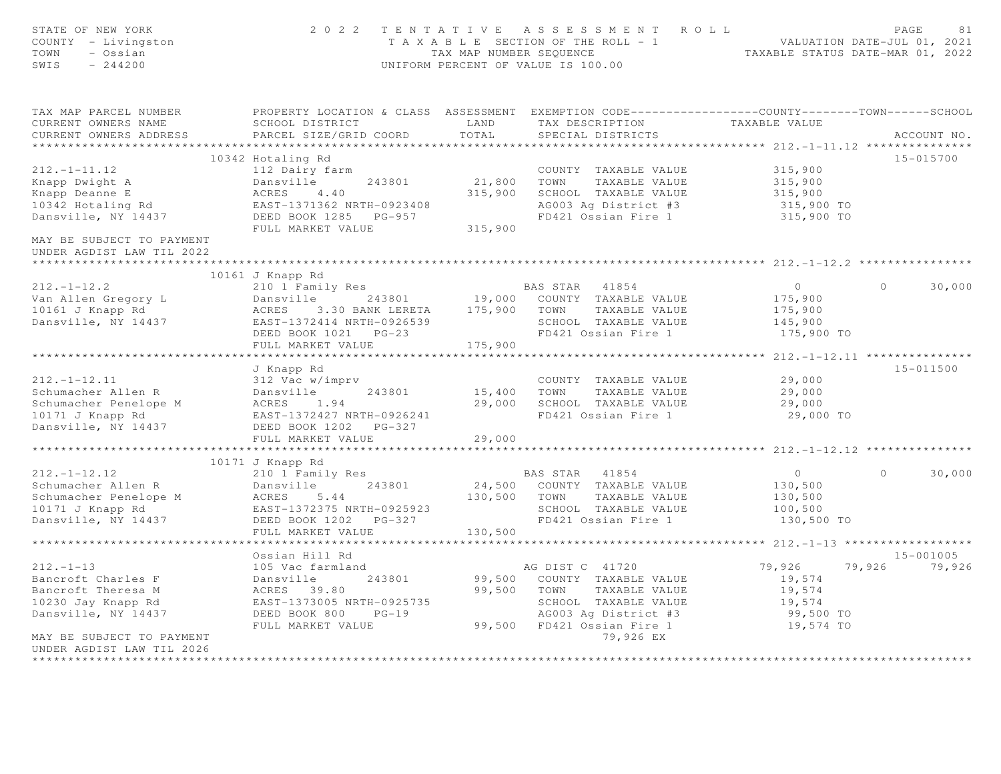| STATE OF NEW YORK<br>COUNTY - Livingston<br>- Ossian<br>TOWN<br>SWIS<br>$-244200$                                                     | 2 0 2 2                                                                                                                                                      | TENTATIVE<br>TAX MAP NUMBER SEQUENCE | ASSESSMENT ROLL<br>TAXABLE SECTION OF THE ROLL - 1<br>UNIFORM PERCENT OF VALUE IS 100.00                                                                    | VALUATION DATE-JUL 01, 2021                                    | PAGE<br>81<br>TAXABLE STATUS DATE-MAR 01, 2022 |
|---------------------------------------------------------------------------------------------------------------------------------------|--------------------------------------------------------------------------------------------------------------------------------------------------------------|--------------------------------------|-------------------------------------------------------------------------------------------------------------------------------------------------------------|----------------------------------------------------------------|------------------------------------------------|
| TAX MAP PARCEL NUMBER<br>CURRENT OWNERS NAME<br>CURRENT OWNERS ADDRESS                                                                | PROPERTY LOCATION & CLASS ASSESSMENT EXEMPTION CODE---------------COUNTY-------TOWN------SCHOOL<br>SCHOOL DISTRICT<br>PARCEL SIZE/GRID COORD                 | LAND<br>TOTAL                        | TAX DESCRIPTION<br>SPECIAL DISTRICTS                                                                                                                        | TAXABLE VALUE                                                  | ACCOUNT NO.                                    |
| ********************                                                                                                                  |                                                                                                                                                              |                                      |                                                                                                                                                             |                                                                |                                                |
| $212. - 1 - 11.12$<br>Knapp Dwight A<br>Knapp Deanne E<br>10342 Hotaling Rd<br>Dansville, NY 14437                                    | 10342 Hotaling Rd<br>112 Dairy farm<br>Dansville<br>243801<br>ACRES<br>4.40<br>EAST-1371362 NRTH-0923408<br>DEED BOOK 1285 PG-957<br>FULL MARKET VALUE       | 21,800<br>315,900<br>315,900         | COUNTY TAXABLE VALUE<br>TOWN<br>TAXABLE VALUE<br>SCHOOL TAXABLE VALUE<br>AG003 Ag District #3<br>FD421 Ossian Fire 1                                        | 315,900<br>315,900<br>315,900<br>315,900 TO<br>315,900 TO      | 15-015700                                      |
| MAY BE SUBJECT TO PAYMENT<br>UNDER AGDIST LAW TIL 2022<br>*****************************                                               |                                                                                                                                                              |                                      |                                                                                                                                                             |                                                                |                                                |
|                                                                                                                                       | 10161 J Knapp Rd                                                                                                                                             |                                      |                                                                                                                                                             |                                                                |                                                |
| $212. - 1 - 12.2$<br>Van Allen Gregory L<br>10161 J Knapp Rd<br>Dansville, NY 14437                                                   | 210 1 Family Res<br>Dansville<br>243801<br>3.30 BANK LERETA<br>ACRES<br>EAST-1372414 NRTH-0926539<br>DEED BOOK 1021 PG-23<br>FULL MARKET VALUE               | 175,900 TOWN<br>175,900              | BAS STAR 41854<br>19,000 COUNTY TAXABLE VALUE<br>TAXABLE VALUE<br>SCHOOL TAXABLE VALUE<br>FD421 Ossian Fire 1                                               | $\overline{0}$<br>175,900<br>175,900<br>145,900<br>175,900 TO  | $\Omega$<br>30,000                             |
|                                                                                                                                       | **********************                                                                                                                                       | *******************                  |                                                                                                                                                             | *********** 212.-1-12.11 ****************                      |                                                |
| $212, -1-12, 11$<br>Schumacher Allen R<br>Schumacher Penelope M<br>10171 J Knapp Rd<br>Dansville, NY 14437                            | J Knapp Rd<br>312 Vac w/imprv<br>Dansville<br>243801<br>1.94<br>ACRES<br>EAST-1372427 NRTH-0926241<br>DEED BOOK 1202 PG-327                                  | 15,400<br>29,000                     | COUNTY TAXABLE VALUE<br>TOWN<br>TAXABLE VALUE<br>SCHOOL TAXABLE VALUE<br>FD421 Ossian Fire 1                                                                | 29,000<br>29,000<br>29,000<br>29,000 TO                        | 15-011500                                      |
|                                                                                                                                       | FULL MARKET VALUE                                                                                                                                            | 29,000                               |                                                                                                                                                             |                                                                |                                                |
|                                                                                                                                       |                                                                                                                                                              |                                      |                                                                                                                                                             |                                                                |                                                |
| $212, -1-12, 12$<br>Schumacher Allen R<br>Schumacher Penelope M<br>10171 J Knapp Rd<br>Dansville, NY 14437                            | 10171 J Knapp Rd<br>210 1 Family Res<br>Dansville<br>243801<br>ACRES<br>$5.44$<br>EAST-1372375 NRTH-0925923<br>DEED BOOK 1202<br>PG-327<br>FULL MARKET VALUE | 24,500<br>130,500<br>130,500         | BAS STAR 41854<br>COUNTY TAXABLE VALUE<br>TAXABLE VALUE<br>TOWN<br>SCHOOL TAXABLE VALUE<br>FD421 Ossian Fire 1                                              | $\overline{0}$<br>130,500<br>130,500<br>100,500<br>130,500 TO  | 30,000<br>$\Omega$                             |
|                                                                                                                                       | ********************                                                                                                                                         |                                      |                                                                                                                                                             | *********** 212.-1-13                                          |                                                |
| $212. - 1 - 13$<br>Bancroft Charles F<br>Bancroft Theresa M<br>10230 Jay Knapp Rd<br>Dansville, NY 14437<br>MAY BE SUBJECT TO PAYMENT | Ossian Hill Rd<br>105 Vac farmland<br>Dansville<br>243801<br>ACRES 39.80<br>EAST-1373005 NRTH-0925735<br>DEED BOOK 800<br>$PG-19$<br>FULL MARKET VALUE       | 99,500<br>99,500                     | AG DIST C 41720<br>COUNTY TAXABLE VALUE<br>TOWN<br>TAXABLE VALUE<br>SCHOOL TAXABLE VALUE<br>AG003 Ag District #3<br>99,500 FD421 Ossian Fire 1<br>79,926 EX | 79,926<br>19,574<br>19,574<br>19,574<br>99,500 TO<br>19,574 TO | 15-001005<br>79,926<br>79,926                  |
| UNDER AGDIST LAW TIL 2026                                                                                                             |                                                                                                                                                              |                                      |                                                                                                                                                             |                                                                |                                                |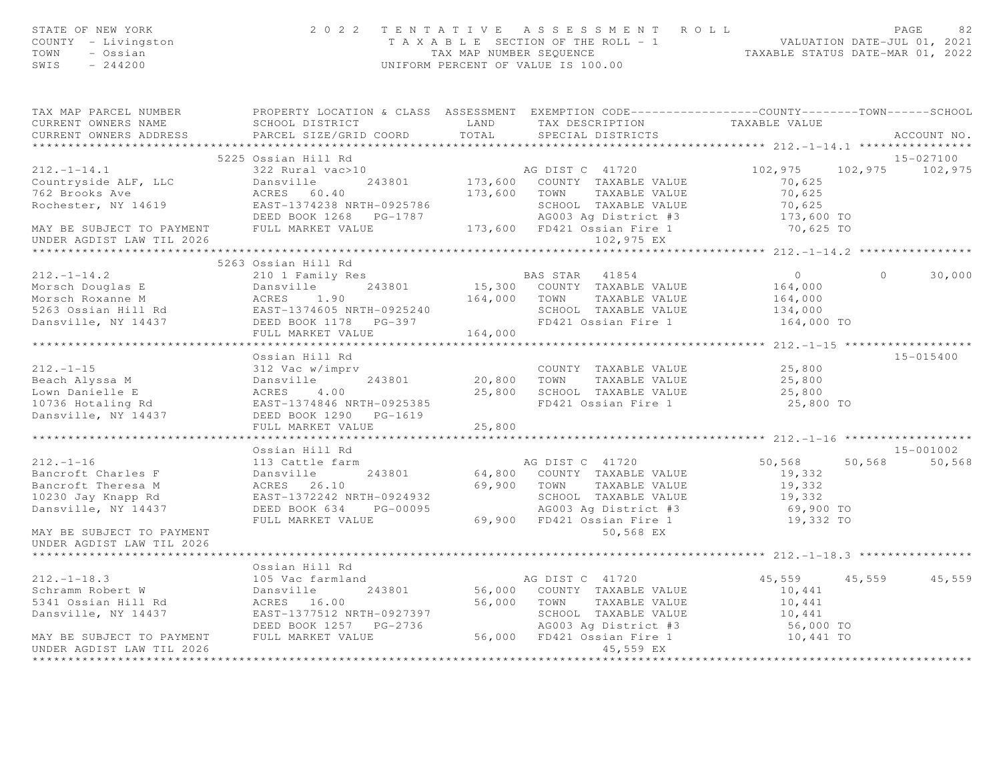| SWIS<br>$-244200$<br>UNIFORM PERCENT OF VALUE IS 100.00                                                                                                                                                                                | PAGE<br>82<br>TAXABLE SECTION OF THE ROLL - 1<br>TAXABLE SECTION OF THE ROLL - 1<br>TAX MAP NUMBER SEQUENCE TAXABLE STATUS DATE-MAR 01, 2022 |
|----------------------------------------------------------------------------------------------------------------------------------------------------------------------------------------------------------------------------------------|----------------------------------------------------------------------------------------------------------------------------------------------|
| TAX MAP PARCEL NUMBER PROPERTY LOCATION & CLASS ASSESSMENT EXEMPTION CODE---------------COUNTY-------TOWN-----SCHOOL                                                                                                                   |                                                                                                                                              |
| SCHOOL DISTRICT                   LAND       TAX DESCRIPTION                 TAXABLE VALUE<br>CURRENT OWNERS NAME<br>CURRENT OWNERS ADDRESS<br>PARCEL SIZE/GRID COORD<br>TOTAL<br>SPECIAL DISTRICTS                                    | ACCOUNT NO.                                                                                                                                  |
|                                                                                                                                                                                                                                        |                                                                                                                                              |
| 5225 Ossian Hill Rd                                                                                                                                                                                                                    | 15-027100                                                                                                                                    |
| AG DIST C 41720<br>$212. -1 - 14.1$<br>322 Rural vac>10<br>102,975                                                                                                                                                                     | 102,975 102,975                                                                                                                              |
| Countryside ALF, LLC<br>70,625                                                                                                                                                                                                         |                                                                                                                                              |
| Dansville 243801 173,600 COUNTY TAXABLE VALUE<br>ACRES 60.40 173,600 TOWN TAXABLE VALUE<br>762 Brooks Ave<br>70,625                                                                                                                    |                                                                                                                                              |
| EAST-1374238 NRTH-0925786 SCHOOL TAXABLE VALUE<br>DEED BOOK 1268 PG-1787 AG003 Ag District #3<br>MAY BE SUBJECT TO PAYMENT FULL MARKET VALUE 173,600 FD421 Ossian Fire 1<br>70,625                                                     |                                                                                                                                              |
| 173,600 TO                                                                                                                                                                                                                             |                                                                                                                                              |
| 70,625 TO                                                                                                                                                                                                                              |                                                                                                                                              |
| UNDER AGDIST LAW TIL 2026<br>102,975 EX                                                                                                                                                                                                |                                                                                                                                              |
|                                                                                                                                                                                                                                        |                                                                                                                                              |
| 5263 Ossian Hill Rd                                                                                                                                                                                                                    |                                                                                                                                              |
| $\bigcirc$<br>$212. - 1 - 14.2$<br>210 1 Family Res<br>$\Omega$<br>BAS STAR 41854                                                                                                                                                      | 30,000                                                                                                                                       |
| 15,300 COUNTY TAXABLE VALUE<br>164,000                                                                                                                                                                                                 |                                                                                                                                              |
| 164,000                                                                                                                                                                                                                                |                                                                                                                                              |
| 134,000                                                                                                                                                                                                                                |                                                                                                                                              |
| FD421 Ossian Fire 1 $164,000$ TO                                                                                                                                                                                                       |                                                                                                                                              |
| 212.-1-14.2<br>Morsch Douglas E Dansville 243801 15,300 COUNTI INNIE VALUE<br>Morsch Roxanne M ACRES 1.90 164,000 TOWN TAXABLE VALUE<br>5263 Ossian Hill Rd EAST-1374605 NRTH-0925240 SCHOOL TAXABLE VALUE<br>Dansville, NY 14437 DEED |                                                                                                                                              |
| Ossian Hill Rd                                                                                                                                                                                                                         | 15-015400                                                                                                                                    |
| $212. -1 - 15$<br>25,800<br>312 Vac w/imprv<br>COUNTY TAXABLE VALUE                                                                                                                                                                    |                                                                                                                                              |
| 20,800 TOWN TAXABLE VALUE<br>25,800                                                                                                                                                                                                    |                                                                                                                                              |
| 25,800 SCHOOL TAXABLE VALUE<br>25,800                                                                                                                                                                                                  |                                                                                                                                              |
| 212.-1-15<br>Beach Alyssa M<br>Lown Danielle E<br>10736 Hotaling Rd<br>Dansville, NY 14437<br>Dansville, NY 14437<br>DEED BOOK 1290<br>DEED BOOK 1290<br>PG-1619<br>DEED BOOK 1290<br>PG-1619<br>FD421 Ossian Fire 1<br>25,800 TO      |                                                                                                                                              |
|                                                                                                                                                                                                                                        |                                                                                                                                              |
| FULL MARKET VALUE<br>25,800                                                                                                                                                                                                            |                                                                                                                                              |
|                                                                                                                                                                                                                                        |                                                                                                                                              |
| Ossian Hill Rd                                                                                                                                                                                                                         | 15-001002                                                                                                                                    |
| $212 - 1 - 16$<br>50,568<br>113 Cattle farm<br>AG DIST C 41720<br>50,568                                                                                                                                                               | 50,568                                                                                                                                       |
| Bancroft Charles F<br>Dansville 243801<br>64,800 COUNTY TAXABLE VALUE<br>19,332                                                                                                                                                        |                                                                                                                                              |
| 69,900 TOWN TAXABLE VALUE<br>Bancroft Theresa M<br>ACRES 26.10<br>19,332                                                                                                                                                               |                                                                                                                                              |
| 10230 Jay Knapp Rd<br>EAST-1372242 NRTH-0924932<br>SCHOOL TAXABLE VILLE<br>AGOO3 Ag District #3<br>69,900 FD421 Ossian Fire 1<br>50.568 EX<br>19,332                                                                                   |                                                                                                                                              |
| Dansville, NY 14437<br>DEED BOOK 634 PG-00095<br>69,900 TO                                                                                                                                                                             |                                                                                                                                              |
| 19,332 TO<br>FULL MARKET VALUE                                                                                                                                                                                                         |                                                                                                                                              |
|                                                                                                                                                                                                                                        |                                                                                                                                              |
| MAY BE SUBJECT TO PAYMENT                                                                                                                                                                                                              |                                                                                                                                              |
| UNDER AGDIST LAW TIL 2026                                                                                                                                                                                                              |                                                                                                                                              |
|                                                                                                                                                                                                                                        |                                                                                                                                              |
| Ossian Hill Rd                                                                                                                                                                                                                         |                                                                                                                                              |
| 105 Vac farmland<br>AG DIST C 41720<br>45,559 45,559                                                                                                                                                                                   | 45,559                                                                                                                                       |
| 212.-1-18.3<br>Schramm Robert W<br>56,000 COUNTY TAXABLE VALUE<br>10,441<br>56,000 TOWN TAXABLE VALUE<br>10,441                                                                                                                        |                                                                                                                                              |
|                                                                                                                                                                                                                                        |                                                                                                                                              |
| 10,441<br>56,000 TO<br>DEED BOOK 1257 PG-2736                                                                                                                                                                                          |                                                                                                                                              |
| SCHOOL TAXADDE VILLUM<br>AG003 Ag District #3<br>56,000 FD421 Ossian Fire 1<br>MAY BE SUBJECT TO PAYMENT FULL MARKET VALUE<br>10,441 TO<br>UNDER AGDIST LAW TIL 2026<br>45,559 EX                                                      |                                                                                                                                              |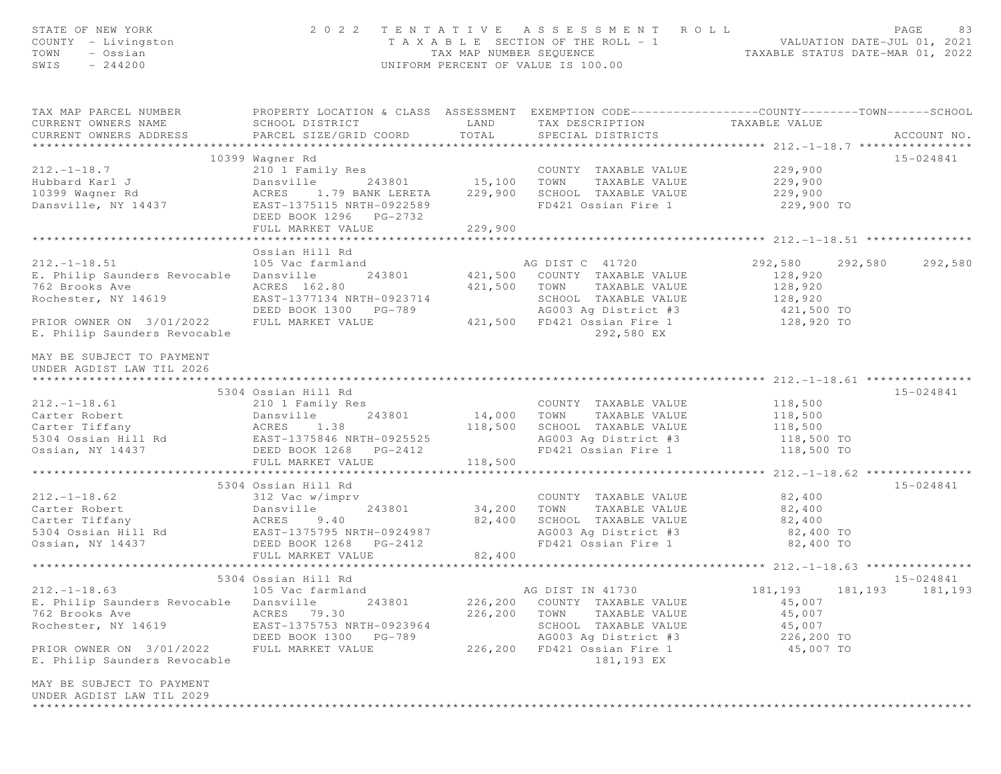| STATE OF NEW YORK<br>COUNTY - Livingston<br>TOWN<br>- Ossian<br>$-244200$<br>SWIS                                                                                                                                                                      |                                                                                                                                                 |                                      | 2022 TENTATIVE ASSESSMENT ROLL<br>T A X A B L E SECTION OF THE ROLL - 1 VALUATION DATE-JUL 01, 2021<br>TAX MAP NUMBER SEQUENCE TAXABLE STATUS DATE-MAR 01, 2022<br>UNIFORM PERCENT OF VALUE IS 100.00 |                  | PAGE<br>83              |
|--------------------------------------------------------------------------------------------------------------------------------------------------------------------------------------------------------------------------------------------------------|-------------------------------------------------------------------------------------------------------------------------------------------------|--------------------------------------|-------------------------------------------------------------------------------------------------------------------------------------------------------------------------------------------------------|------------------|-------------------------|
| TAX MAP PARCEL NUMBER<br>CURRENT OWNERS NAME<br>CURRENT OWNERS ADDRESS                                                                                                                                                                                 | PROPERTY LOCATION & CLASS ASSESSMENT EXEMPTION CODE-----------------COUNTY--------TOWN------SCHOOL<br>SCHOOL DISTRICT<br>PARCEL SIZE/GRID COORD | LAND<br>TOTAL                        | TAX DESCRIPTION TAXABLE VALUE<br>SPECIAL DISTRICTS                                                                                                                                                    |                  | ACCOUNT NO.             |
|                                                                                                                                                                                                                                                        | 10399 Wagner Rd                                                                                                                                 |                                      |                                                                                                                                                                                                       |                  | 15-024841               |
| $212. - 1 - 18.7$                                                                                                                                                                                                                                      | 210 1 Family Res                                                                                                                                |                                      | COUNTY TAXABLE VALUE                                                                                                                                                                                  | 229,900          |                         |
|                                                                                                                                                                                                                                                        | Dansville                                                                                                                                       | s<br>243801 15,100 TOWN              | TAXABLE VALUE                                                                                                                                                                                         | 229,900          |                         |
|                                                                                                                                                                                                                                                        | ACRES 1.79 BANK LERETA                                                                                                                          | 229,900                              | SCHOOL TAXABLE VALUE                                                                                                                                                                                  | 229,900          |                         |
| zız.-1-18.7<br>Hubbard Karl J<br>10399 Wagner Rd<br>Dansville, NY 14437                                                                                                                                                                                | EAST-1375115 NRTH-0922589<br>DEED BOOK 1296 PG-2732                                                                                             |                                      | FD421 Ossian Fire 1                                                                                                                                                                                   | 229,900 TO       |                         |
|                                                                                                                                                                                                                                                        | FULL MARKET VALUE                                                                                                                               | 229,900<br>* * * * * * * * * * * * * |                                                                                                                                                                                                       |                  |                         |
|                                                                                                                                                                                                                                                        | Ossian Hill Rd                                                                                                                                  |                                      |                                                                                                                                                                                                       |                  |                         |
| $212. - 1 - 18.51$                                                                                                                                                                                                                                     | 105 Vac farmland                                                                                                                                |                                      | AG DIST C 41720                                                                                                                                                                                       |                  | 292,580 292,580 292,580 |
| E. Philip Saunders Revocable                                                                                                                                                                                                                           | Dansville                                                                                                                                       |                                      | 243801 421,500 COUNTY TAXABLE VALUE                                                                                                                                                                   | 128,920          |                         |
| 762 Brooks Ave                                                                                                                                                                                                                                         | ACRES 162.80                                                                                                                                    | 421,500                              | TOWN<br>TAXABLE VALUE                                                                                                                                                                                 | 128,920          |                         |
| Rochester, NY 14619                                                                                                                                                                                                                                    | EAST-1377134 NRTH-0923714                                                                                                                       |                                      |                                                                                                                                                                                                       |                  |                         |
|                                                                                                                                                                                                                                                        | DEED BOOK 1300 PG-789                                                                                                                           |                                      | SCHOOL TAXABLE VALUE 128,920<br>AG003 Ag District #3 121,500 TO                                                                                                                                       |                  |                         |
| PRIOR OWNER ON 3/01/2022<br>E. Philip Saunders Revocable                                                                                                                                                                                               | FULL MARKET VALUE                                                                                                                               |                                      | 421,500 FD421 Ossian Fire 1<br>292,580 EX                                                                                                                                                             | 128,920 TO       |                         |
| MAY BE SUBJECT TO PAYMENT<br>UNDER AGDIST LAW TIL 2026                                                                                                                                                                                                 |                                                                                                                                                 |                                      |                                                                                                                                                                                                       |                  |                         |
|                                                                                                                                                                                                                                                        | 5304 Ossian Hill Rd                                                                                                                             |                                      |                                                                                                                                                                                                       |                  | 15-024841               |
| $212. - 1 - 18.61$                                                                                                                                                                                                                                     | 210 1 Family Res                                                                                                                                |                                      | COUNTY TAXABLE VALUE                                                                                                                                                                                  | 118,500          |                         |
|                                                                                                                                                                                                                                                        |                                                                                                                                                 | 243801 14,000 TOWN                   | TAXABLE VALUE                                                                                                                                                                                         | 118,500          |                         |
|                                                                                                                                                                                                                                                        |                                                                                                                                                 | 118,500                              | SCHOOL TAXABLE VALUE                                                                                                                                                                                  | 118,500          |                         |
| Carter Robert bansville 243801<br>Carter Tiffany MCRES 1.38<br>5304 Ossian Hill Rd EAST-1375846 NRTH-0925525                                                                                                                                           |                                                                                                                                                 |                                      | AG003 Ag District #3 118,500 TO                                                                                                                                                                       |                  |                         |
| Ossian, NY 14437                                                                                                                                                                                                                                       | DEED BOOK 1268 PG-2412                                                                                                                          |                                      | FD421 Ossian Fire 1                                                                                                                                                                                   | 118,500 TO       |                         |
|                                                                                                                                                                                                                                                        | FULL MARKET VALUE                                                                                                                               | 118,500                              |                                                                                                                                                                                                       |                  |                         |
|                                                                                                                                                                                                                                                        |                                                                                                                                                 |                                      |                                                                                                                                                                                                       |                  |                         |
|                                                                                                                                                                                                                                                        | 5304 Ossian Hill Rd                                                                                                                             |                                      |                                                                                                                                                                                                       |                  | 15-024841               |
| $212. - 1 - 18.62$                                                                                                                                                                                                                                     | 312 Vac w/imprv                                                                                                                                 |                                      | COUNTY TAXABLE VALUE                                                                                                                                                                                  | 82,400           |                         |
|                                                                                                                                                                                                                                                        |                                                                                                                                                 | 34,200<br>82,400                     | TOWN<br>TAXABLE VALUE                                                                                                                                                                                 | 82,400<br>82,400 |                         |
| 212.-1-18.62<br>Carter Robert<br>Carter Tiffany<br>5304 Ossian Hill Rd<br>Carter Tiffany<br>5304 Ossian, NY 14437<br>Carter Tiffany<br>Carter States Book 1268<br>DERS 1375795 NRTH-0924987<br>DERED BOOK 1268<br>DERS PG-2412<br>DERED BOOK 1268<br>D |                                                                                                                                                 |                                      | SCHOOL TAXABLE VALUE 82,400<br>AG003 Ag District #3 82,400 TO<br>FD421 Ossian Fire 1 82,400 TO                                                                                                        |                  |                         |
|                                                                                                                                                                                                                                                        |                                                                                                                                                 |                                      |                                                                                                                                                                                                       |                  |                         |
|                                                                                                                                                                                                                                                        | FULL MARKET VALUE                                                                                                                               | 82,400                               |                                                                                                                                                                                                       |                  |                         |
|                                                                                                                                                                                                                                                        |                                                                                                                                                 |                                      |                                                                                                                                                                                                       |                  |                         |
|                                                                                                                                                                                                                                                        | 5304 Ossian Hill Rd                                                                                                                             |                                      |                                                                                                                                                                                                       |                  | $15 - 024841$           |
| $212. - 1 - 18.63$                                                                                                                                                                                                                                     | 105 Vac farmland                                                                                                                                |                                      | AG DIST IN 41730                                                                                                                                                                                      | 181,193          | 181,193<br>181,193      |
| E. Philip Saunders Revocable                                                                                                                                                                                                                           | Dansville<br>243801                                                                                                                             | 226,200                              | COUNTY TAXABLE VALUE                                                                                                                                                                                  | 45,007           |                         |
| 762 Brooks Ave                                                                                                                                                                                                                                         | ACRES<br>79.30                                                                                                                                  | 226,200                              | TOWN<br>TAXABLE VALUE                                                                                                                                                                                 | 45,007           |                         |
| Rochester, NY 14619                                                                                                                                                                                                                                    | EAST-1375753 NRTH-0923964                                                                                                                       |                                      | SCHOOL TAXABLE VALUE                                                                                                                                                                                  | 45,007           |                         |
|                                                                                                                                                                                                                                                        | DEED BOOK 1300<br>$PG-789$                                                                                                                      |                                      | AG003 Ag District #3                                                                                                                                                                                  | 226,200 TO       |                         |
| PRIOR OWNER ON 3/01/2022<br>E. Philip Saunders Revocable                                                                                                                                                                                               | FULL MARKET VALUE                                                                                                                               | 226,200                              | FD421 Ossian Fire 1<br>181,193 EX                                                                                                                                                                     | 45,007 TO        |                         |
| MAY BE SUBJECT TO PAYMENT<br>UNDER AGDIST LAW TIL 2029                                                                                                                                                                                                 |                                                                                                                                                 |                                      |                                                                                                                                                                                                       |                  |                         |
| ************************************                                                                                                                                                                                                                   |                                                                                                                                                 |                                      |                                                                                                                                                                                                       |                  |                         |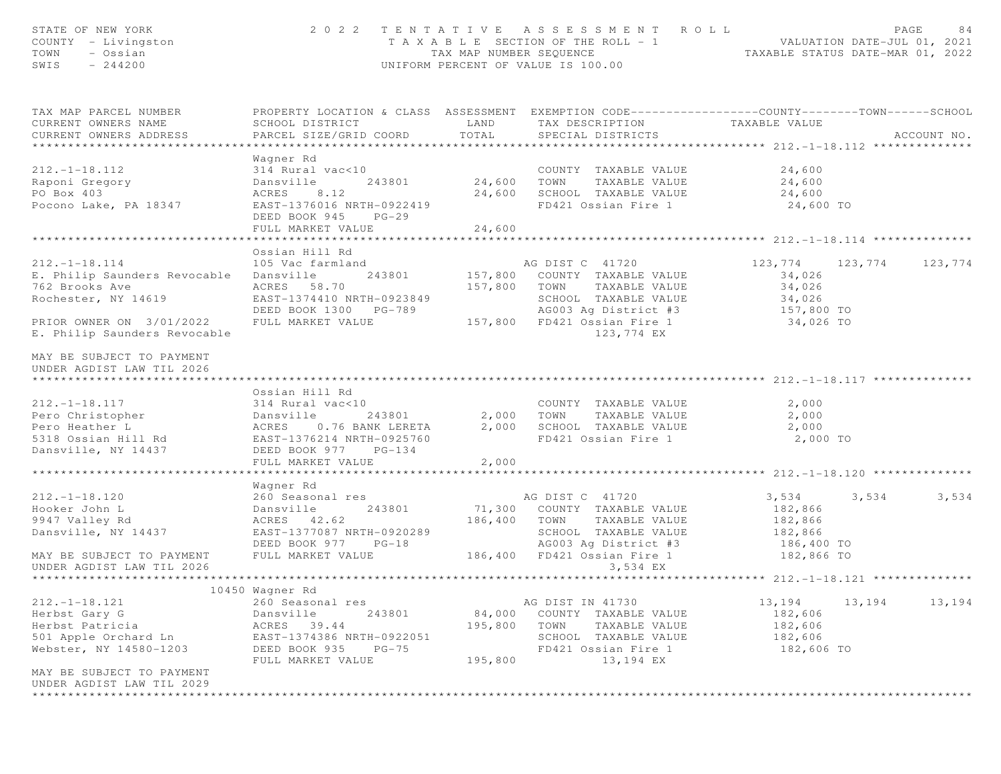| STATE OF NEW YORK<br>COUNTY - Livingston<br>- Ossian<br>TOWN<br>$-244200$<br>SWIS                                                                                                                                                                      | 2 0 2 2                                                                                                                                                    |                                               | TENTATIVE ASSESSMENT ROLL<br>T A X A B L E SECTION OF THE ROLL - 1 VALUATION DATE-JUL 01, 2021<br>TAX MAP NUMBER SEQUENCE TAXABLE STATUS DATE-MAR 01, 2022<br>UNIFORM PERCENT OF VALUE IS 100.00 |                                                                            |        | PAGE<br>84  |
|--------------------------------------------------------------------------------------------------------------------------------------------------------------------------------------------------------------------------------------------------------|------------------------------------------------------------------------------------------------------------------------------------------------------------|-----------------------------------------------|--------------------------------------------------------------------------------------------------------------------------------------------------------------------------------------------------|----------------------------------------------------------------------------|--------|-------------|
| TAX MAP PARCEL NUMBER<br>CURRENT OWNERS NAME<br>CURRENT OWNERS ADDRESS                                                                                                                                                                                 | PROPERTY LOCATION & CLASS ASSESSMENT EXEMPTION CODE----------------COUNTY-------TOWN------SCHOOL<br>SCHOOL DISTRICT<br>PARCEL SIZE/GRID COORD              | LAND<br>TOTAL                                 | TAX DESCRIPTION<br>SPECIAL DISTRICTS                                                                                                                                                             | TAXABLE VALUE                                                              |        | ACCOUNT NO. |
| $212. - 1 - 18.112$<br>Raponi Gregory<br>PO Box 403<br>Pocono Lake, PA 18347                                                                                                                                                                           | Wagner Rd<br>314 Rural vac<10<br>243801<br>Dansville<br>8.12<br>ACRES<br>EAST-1376016 NRTH-0922419<br>DEED BOOK 945<br>$PG-29$<br>FULL MARKET VALUE        | COUNT<br>24,600      TOWN<br>24,600<br>24,600 | COUNTY TAXABLE VALUE<br>TAXABLE VALUE<br>SCHOOL TAXABLE VALUE<br>FD421 Ossian Fire 1                                                                                                             | 24,600<br>24,600<br>24,600<br>24,600 TO                                    |        |             |
|                                                                                                                                                                                                                                                        | *********************                                                                                                                                      | * * * * * * * * * *                           |                                                                                                                                                                                                  | ********************* 212.-1-18.114 ***************                        |        |             |
| $212. - 1 - 18.114$<br>E. Philip Saunders Revocable<br>762 Brooks Ave<br>Rochester, NY 14619<br>PRIOR OWNER ON 3/01/2022<br>E. Philip Saunders Revocable                                                                                               | Ossian Hill Rd<br>105 Vac farmland<br>Dansville<br>243801<br>ACRES 58.70<br>EAST-1374410 NRTH-0923849<br>DEED BOOK 1300 PG-789<br>FULL MARKET VALUE        | 157,800<br>157,800                            | AG DIST C 41720<br>COUNTY TAXABLE VALUE<br>TOWN<br>TAXABLE VALUE<br>SCHOOL TAXABLE VALUE<br>AG003 Ag District #3<br>157,800 FD421 Ossian Fire 1<br>123,774 EX                                    | 123, 774 123, 774<br>34,026<br>34,026<br>34,026<br>157,800 TO<br>34,026 TO |        | 123,774     |
| MAY BE SUBJECT TO PAYMENT<br>UNDER AGDIST LAW TIL 2026<br>*****************************                                                                                                                                                                | Ossian Hill Rd                                                                                                                                             |                                               |                                                                                                                                                                                                  |                                                                            |        |             |
| $212. - 1 - 18.117$<br>Pero Christopher<br>Pero Heather L (243801)<br>Sansville 243801<br>Pero Heather L (243801)<br>243801<br>243801<br>243801<br>243801<br>243801<br>243801<br>243801<br>243801<br>243801<br>243801<br>243801<br>Dansville, NY 14437 | 314 Rural vac<10<br>243801<br>ACRES 0.76 BANK LERETA<br>DEED BOOK 977 PG-134<br>FULL MARKET VALUE                                                          | 2,000<br>2,000<br>2,000                       | COUNTY TAXABLE VALUE<br>TOWN<br>TAXABLE VALUE<br>SCHOOL TAXABLE VALUE<br>FD421 Ossian Fire 1                                                                                                     | 2,000<br>2,000<br>2,000<br>2,000 TO                                        |        |             |
|                                                                                                                                                                                                                                                        |                                                                                                                                                            |                                               |                                                                                                                                                                                                  |                                                                            |        |             |
|                                                                                                                                                                                                                                                        | Wagner Rd                                                                                                                                                  |                                               |                                                                                                                                                                                                  |                                                                            |        |             |
| $212. - 1 - 18.120$<br>Hooker John L<br>9947 Valley Rd<br>Dansville, NY 14437<br>MAY BE SUBJECT TO PAYMENT<br>UNDER AGDIST LAW TIL 2026                                                                                                                | 260 Seasonal res<br>Dansville<br>243801<br>ACRES 42.62<br>EAST-1377087 NRTH-0920289<br>DEED BOOK 977 PG-18<br>FULL MARKET VALUE                            | 186,400                                       | AG DIST C 41720<br>71,300 COUNTY TAXABLE VALUE<br>TOWN<br>TAXABLE VALUE<br>SCHOOL TAXABLE VALUE<br>AG003 Ag District #3<br>186,400 FD421 Ossian Fire 1<br>3,534 EX                               | 3,534<br>182,866<br>182,866<br>182,866<br>186,400 TO<br>182,866 TO         | 3,534  | 3,534       |
|                                                                                                                                                                                                                                                        |                                                                                                                                                            |                                               |                                                                                                                                                                                                  | ********** 212. -1-18.121 ***************                                  |        |             |
| $212. - 1 - 18.121$<br>Herbst Gary G<br>Herbst Patricia<br>501 Apple Orchard Ln<br>Webster, NY 14580-1203                                                                                                                                              | 10450 Wagner Rd<br>260 Seasonal res<br>Dansville<br>243801<br>ACRES<br>39.44<br>EAST-1374386 NRTH-0922051<br>DEED BOOK 935<br>$PG-75$<br>FULL MARKET VALUE | 84,000<br>195,800<br>195,800                  | AG DIST IN 41730<br>COUNTY TAXABLE VALUE<br>TOWN<br>TAXABLE VALUE<br>SCHOOL TAXABLE VALUE<br>FD421 Ossian Fire 1<br>13,194 EX                                                                    | 13,194<br>182,606<br>182,606<br>182,606<br>182,606 TO                      | 13,194 | 13,194      |
| MAY BE SUBJECT TO PAYMENT<br>UNDER AGDIST LAW TIL 2029                                                                                                                                                                                                 |                                                                                                                                                            |                                               |                                                                                                                                                                                                  |                                                                            |        |             |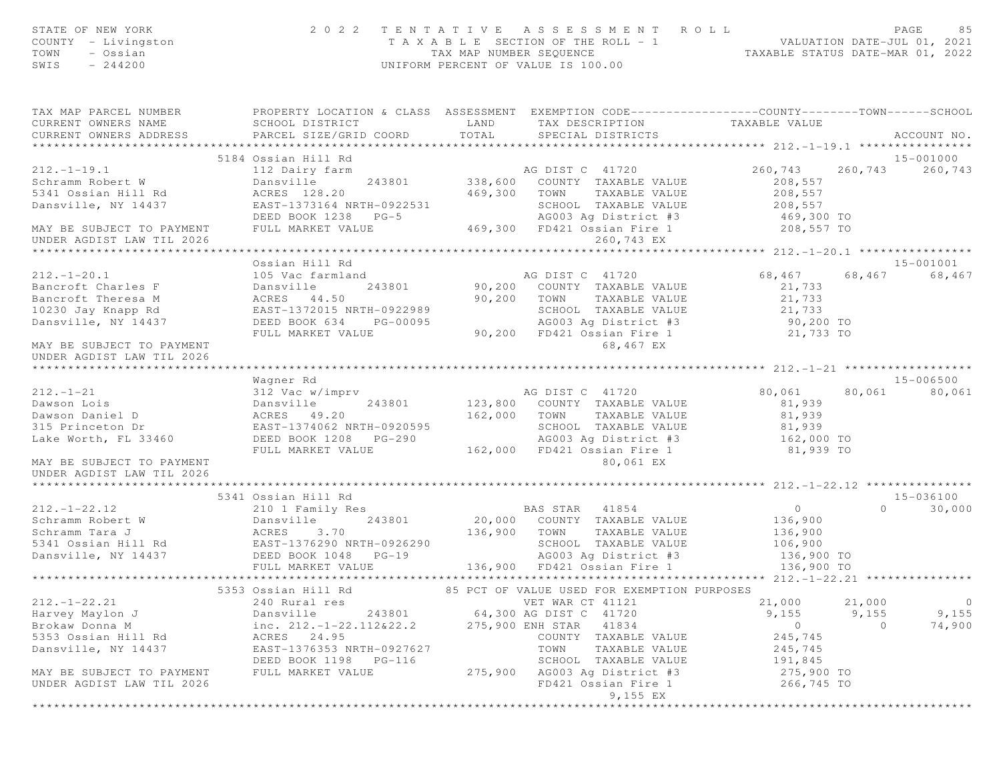| STATE OF NEW YORK<br>COUNTY - Livingston<br>TOWN<br>- Ossian<br>$-244200$<br>SWIS |                                                                                                                                               |                  | 2022 TENTATIVE ASSESSMENT ROLL<br>T A X A B L E SECTION OF THE ROLL - 1 VALUATION DATE-JUL 01, 2021<br>TAX MAP NUMBER SEQUENCE TAXABLE STATUS DATE-MAR 01, 2022<br>UNIFORM PERCENT OF VALUE IS 100.00 |                                               |          | PAGE<br>85  |
|-----------------------------------------------------------------------------------|-----------------------------------------------------------------------------------------------------------------------------------------------|------------------|-------------------------------------------------------------------------------------------------------------------------------------------------------------------------------------------------------|-----------------------------------------------|----------|-------------|
| TAX MAP PARCEL NUMBER<br>CURRENT OWNERS NAME<br>CURRENT OWNERS ADDRESS            | PROPERTY LOCATION & CLASS ASSESSMENT EXEMPTION CODE----------------COUNTY-------TOWN------SCHOOL<br>SCHOOL DISTRICT<br>PARCEL SIZE/GRID COORD | LAND<br>TOTAL    | TAX DESCRIPTION<br>SPECIAL DISTRICTS                                                                                                                                                                  | TAXABLE VALUE                                 |          | ACCOUNT NO. |
|                                                                                   | 5184 Ossian Hill Rd                                                                                                                           |                  |                                                                                                                                                                                                       |                                               |          | 15-001000   |
| $212. - 1 - 19.1$                                                                 | 112 Dairy farm                                                                                                                                |                  | AG DIST C 41720                                                                                                                                                                                       | 260,743                                       | 260,743  | 260,743     |
| Schramm Robert W<br>5341 Ossian Hill Rd                                           | Dansville<br>243801<br>ACRES 128.20                                                                                                           | 469,300          | 338,600 COUNTY TAXABLE VALUE<br>TAXABLE VALUE<br>TOWN                                                                                                                                                 | 208,557<br>208,557                            |          |             |
| Dansville, NY 14437                                                               | EAST-1373164 NRTH-0922531<br>DEED BOOK 1238 PG-5                                                                                              |                  | SCHOOL TAXABLE VALUE<br>AG003 Ag District #3 (469,300 TO<br>FD421 Ossian Fire 1 (208,557 TO                                                                                                           | 208,557                                       |          |             |
| MAY BE SUBJECT TO PAYMENT<br>UNDER AGDIST LAW TIL 2026                            | FULL MARKET VALUE                                                                                                                             |                  | 469,300 FD421 Ossian Fire 1<br>260,743 EX                                                                                                                                                             |                                               |          |             |
|                                                                                   | Ossian Hill Rd                                                                                                                                |                  |                                                                                                                                                                                                       |                                               |          | 15-001001   |
| $212. - 1 - 20.1$                                                                 | 105 Vac farmland                                                                                                                              |                  | AG DIST C 41720                                                                                                                                                                                       | 68,467                                        | 68,467   | 68,467      |
| Bancroft Charles F                                                                | Dansville                                                                                                                                     |                  | 243801 90,200 COUNTY TAXABLE VALUE                                                                                                                                                                    | 21,733                                        |          |             |
| Bancroft Theresa M                                                                | ACRES 44.50                                                                                                                                   | 90,200 TOWN      | TAXABLE VALUE                                                                                                                                                                                         | 21,733                                        |          |             |
| 10230 Jay Knapp Rd                                                                | EAST-1372015 NRTH-0922989                                                                                                                     |                  | SCHOOL TAXABLE VALUE                                                                                                                                                                                  | 21,733                                        |          |             |
| Dansville, NY 14437                                                               | DEED BOOK 634 PG-00095                                                                                                                        |                  | AG003 Ag District #3                                                                                                                                                                                  | 90,200 TO                                     |          |             |
|                                                                                   | FULL MARKET VALUE                                                                                                                             |                  | 90,200 FD421 Ossian Fire 1                                                                                                                                                                            | 21,733 TO                                     |          |             |
| MAY BE SUBJECT TO PAYMENT<br>UNDER AGDIST LAW TIL 2026                            |                                                                                                                                               |                  | 68,467 EX                                                                                                                                                                                             |                                               |          |             |
|                                                                                   |                                                                                                                                               |                  |                                                                                                                                                                                                       |                                               |          |             |
|                                                                                   | Wagner Rd                                                                                                                                     |                  |                                                                                                                                                                                                       |                                               |          | 15-006500   |
| $212. - 1 - 21$                                                                   | 312 Vac w/imprv                                                                                                                               |                  | AG DIST C 41720                                                                                                                                                                                       | 80,061                                        | 80,061   | 80,061      |
| Dawson Lois<br>Dawson Daniel D                                                    | Dansville<br>243801<br>ACRES 49.20                                                                                                            | 162,000 TOWN     | 123,800 COUNTY TAXABLE VALUE<br>TAXABLE VALUE                                                                                                                                                         | 81,939<br>81,939                              |          |             |
| 315 Princeton Dr                                                                  | EAST-1374062 NRTH-0920595                                                                                                                     |                  | SCHOOL TAXABLE VALUE                                                                                                                                                                                  | 81,939                                        |          |             |
| Lake Worth, FL 33460                                                              | DEED BOOK 1208 PG-290                                                                                                                         |                  | AG003 Ag District #3 162,000 TO                                                                                                                                                                       |                                               |          |             |
|                                                                                   | FULL MARKET VALUE                                                                                                                             |                  | 162,000 FD421 Ossian Fire 1                                                                                                                                                                           | 81,939 TO                                     |          |             |
| MAY BE SUBJECT TO PAYMENT<br>UNDER AGDIST LAW TIL 2026                            |                                                                                                                                               |                  | 80,061 EX                                                                                                                                                                                             |                                               |          |             |
|                                                                                   |                                                                                                                                               |                  |                                                                                                                                                                                                       |                                               |          |             |
|                                                                                   | 5341 Ossian Hill Rd                                                                                                                           |                  |                                                                                                                                                                                                       |                                               |          | 15-036100   |
| $212, -1-22, 12$                                                                  | 210 1 Family Res                                                                                                                              |                  | BAS STAR 41854                                                                                                                                                                                        | $\overline{0}$                                | $\Omega$ | 30,000      |
| Schramm Robert W                                                                  | 243801<br>Dansville                                                                                                                           |                  | 20,000 COUNTY TAXABLE VALUE                                                                                                                                                                           | 136,900                                       |          |             |
| Schramm Tara J                                                                    | ACRES 3.70                                                                                                                                    |                  | 136,900 TOWN TAXABLE VALUE                                                                                                                                                                            | 136,900                                       |          |             |
|                                                                                   |                                                                                                                                               |                  | SCHOOL TAXABLE VALUE                                                                                                                                                                                  | 106,900                                       |          |             |
|                                                                                   |                                                                                                                                               |                  | AG003 Ag District #3                                                                                                                                                                                  | 136,900 TO                                    |          |             |
|                                                                                   | FULL MARKET VALUE                                                                                                                             |                  | 136,900 FD421 Ossian Fire 1                                                                                                                                                                           | 136,900 TO                                    |          |             |
|                                                                                   |                                                                                                                                               |                  | 85 PCT OF VALUE USED FOR EXEMPTION PURPOSES                                                                                                                                                           | **************** 212.-1-22.21 *************** |          |             |
| $212. - 1 - 22.21$                                                                | 5353 Ossian Hill Rd<br>240 Rural res                                                                                                          |                  | VET WAR CT 41121                                                                                                                                                                                      | 21,000                                        | 21,000   | $\circ$     |
| Harvey Maylon J                                                                   | Dansville<br>243801                                                                                                                           |                  | 64,300 AG DIST C 41720                                                                                                                                                                                | 9,155                                         | 9,155    | 9,155       |
| Brokaw Donna M                                                                    | inc. $212. - 1 - 22.112 \& 22.2$                                                                                                              | 275,900 ENH STAR | 41834                                                                                                                                                                                                 | $\circ$                                       | $\circ$  | 74,900      |
| 5353 Ossian Hill Rd                                                               | 24.95<br>ACRES                                                                                                                                |                  | COUNTY TAXABLE VALUE                                                                                                                                                                                  | 245,745                                       |          |             |
| Dansville, NY 14437                                                               | EAST-1376353 NRTH-0927627                                                                                                                     |                  | TOWN<br>TAXABLE VALUE                                                                                                                                                                                 | 245,745                                       |          |             |
|                                                                                   | DEED BOOK 1198<br>PG-116                                                                                                                      |                  | SCHOOL TAXABLE VALUE                                                                                                                                                                                  | 191,845                                       |          |             |
| MAY BE SUBJECT TO PAYMENT                                                         | FULL MARKET VALUE                                                                                                                             | 275,900          | AG003 Ag District #3                                                                                                                                                                                  | 275,900 TO                                    |          |             |
| UNDER AGDIST LAW TIL 2026                                                         |                                                                                                                                               |                  | FD421 Ossian Fire 1                                                                                                                                                                                   | 266,745 TO                                    |          |             |
|                                                                                   |                                                                                                                                               |                  | 9,155 EX                                                                                                                                                                                              |                                               |          |             |
|                                                                                   |                                                                                                                                               |                  |                                                                                                                                                                                                       |                                               |          |             |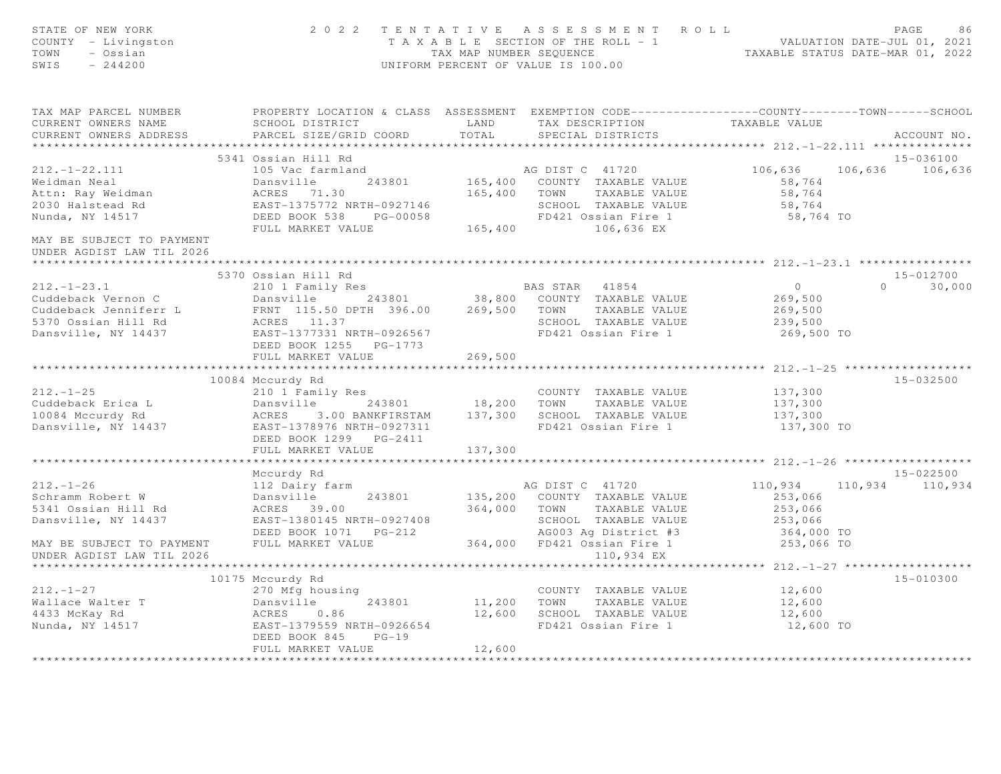| STATE OF NEW YORK<br>COUNTY - Livingston<br>TOWN<br>- Ossian<br>SWIS<br>$-244200$                                                                                                             |                                                                                      |               | 2022 TENTATIVE ASSESSMENT ROLL<br>T A X A B L E SECTION OF THE ROLL - 1<br>T A X A B L E SECTION OF THE ROLL - 1<br>TAX MAP NUMBER SEQUENCE TAXABLE STATUS DATE-MAR 01, 2022<br>UNIFORM PERCENT OF VALUE IS 100.00 |                                                                                                                                                                                                                                                                                                                                               | PAGE<br>86                 |
|-----------------------------------------------------------------------------------------------------------------------------------------------------------------------------------------------|--------------------------------------------------------------------------------------|---------------|--------------------------------------------------------------------------------------------------------------------------------------------------------------------------------------------------------------------|-----------------------------------------------------------------------------------------------------------------------------------------------------------------------------------------------------------------------------------------------------------------------------------------------------------------------------------------------|----------------------------|
| TAX MAP PARCEL NUMBER THE PROPERTY LOCATION & CLASS ASSESSMENT EXEMPTION CODE---------------COUNTY-------TOWN------SCHOOL<br>CURRENT OWNERS NAME<br>CURRENT OWNERS ADDRESS                    | SCHOOL DISTRICT<br>PARCEL SIZE/GRID COORD                                            | LAND<br>TOTAL | TAX DESCRIPTION<br>SPECIAL DISTRICTS                                                                                                                                                                               | TAXABLE VALUE                                                                                                                                                                                                                                                                                                                                 | ACCOUNT NO.                |
|                                                                                                                                                                                               |                                                                                      |               |                                                                                                                                                                                                                    |                                                                                                                                                                                                                                                                                                                                               |                            |
|                                                                                                                                                                                               | 5341 Ossian Hill Rd                                                                  |               |                                                                                                                                                                                                                    |                                                                                                                                                                                                                                                                                                                                               | 15-036100                  |
| $212. - 1 - 22.111$<br>Weidman Neal Dansville 243801 165,400<br>Attn: Ray Weidman ACRES 71.30 165,400<br>2030 Halstead Rd EAST-1375772 NRTH-0927146<br>Nunda, NY 14517 DEED BOOK 538 PG-00058 | 105 Vac farmland                                                                     |               | AG DIST C 41720<br>165,400 COUNTY TAXABLE VALUE<br>165,400 TOWN TAXABLE VALUE<br>SCHOOL TAXABLE VALUE<br>FD421 Ossian Fire 1                                                                                       | 106,636<br>58,764<br>58,764<br>58,764<br>58,764 TO                                                                                                                                                                                                                                                                                            | 106,636 106,636            |
| MAY BE SUBJECT TO PAYMENT<br>UNDER AGDIST LAW TIL 2026                                                                                                                                        | FULL MARKET VALUE                                                                    |               | 165,400 106,636 EX                                                                                                                                                                                                 |                                                                                                                                                                                                                                                                                                                                               |                            |
|                                                                                                                                                                                               |                                                                                      |               |                                                                                                                                                                                                                    |                                                                                                                                                                                                                                                                                                                                               |                            |
| $212. - 1 - 23.1$<br>Cuddeback Vernon C                                                                                                                                                       | 5370 Ossian Hill Rd<br>210 1 Family Res                                              |               | BAS STAR 41854<br>Dansville 243801 38,800 COUNTY TAXABLE VALUE                                                                                                                                                     | $\overline{0}$ and $\overline{0}$ and $\overline{0}$ and $\overline{0}$ and $\overline{0}$ and $\overline{0}$ and $\overline{0}$ and $\overline{0}$ and $\overline{0}$ and $\overline{0}$ and $\overline{0}$ and $\overline{0}$ and $\overline{0}$ and $\overline{0}$ and $\overline{0}$ and $\overline{0}$ and $\overline{0}$ and<br>269,500 | 15-012700<br>$0 \t 30,000$ |
|                                                                                                                                                                                               |                                                                                      |               |                                                                                                                                                                                                                    | 269,500<br>239,500<br>269,500 TO                                                                                                                                                                                                                                                                                                              |                            |
|                                                                                                                                                                                               | DEED BOOK 1255 PG-1773<br>FULL MARKET VALUE                                          | 269,500       |                                                                                                                                                                                                                    |                                                                                                                                                                                                                                                                                                                                               |                            |
|                                                                                                                                                                                               |                                                                                      |               |                                                                                                                                                                                                                    |                                                                                                                                                                                                                                                                                                                                               |                            |
|                                                                                                                                                                                               | 10084 Mccurdy Rd                                                                     |               |                                                                                                                                                                                                                    |                                                                                                                                                                                                                                                                                                                                               | 15-032500                  |
| $212. - 1 - 25$                                                                                                                                                                               | 210 1 Family Res                                                                     |               | COUNTY TAXABLE VALUE                                                                                                                                                                                               | 137,300<br>137,300                                                                                                                                                                                                                                                                                                                            |                            |
| Cuddeback Erica L (243801 18,200 TOWN TAXABLE VALUE 10084 Mccurdy Rd (243801 137,300 TOWN TAXABLE VALUE 10084 Mccurdy Rd (2585-1378976 NRTH-0927311 137,300 SCHOOL TAXABLE VALUE 2018)        | DEED BOOK 1299    PG-2411                                                            |               | FD421 Ossian Fire 1                                                                                                                                                                                                | 137,300<br>137,300 TO                                                                                                                                                                                                                                                                                                                         |                            |
|                                                                                                                                                                                               | FULL MARKET VALUE                                                                    | 137,300       |                                                                                                                                                                                                                    |                                                                                                                                                                                                                                                                                                                                               |                            |
|                                                                                                                                                                                               | *************************                                                            |               |                                                                                                                                                                                                                    |                                                                                                                                                                                                                                                                                                                                               |                            |
|                                                                                                                                                                                               | Mccurdy Rd                                                                           |               |                                                                                                                                                                                                                    |                                                                                                                                                                                                                                                                                                                                               | 15-022500                  |
| $212. - 1 - 26$<br>Schramm Robert W<br>5341 Ossian Hill Rd<br>Dansville, NY 14437                                                                                                             | 112 Dairy farm<br>Dansville 24<br>ACRES 39.00<br>243801<br>EAST-1380145 NRTH-0927408 |               | AG DIST C 41720<br>135,200 COUNTY TAXABLE VALUE<br>364,000 TOWN TAXABLE VALUE<br>SCHOOL TAXABLE VALUE<br>AG003 Ag District #3                                                                                      | 253,066<br>253,066<br>253,066<br>364,000 TO                                                                                                                                                                                                                                                                                                   | 110,934 110,934 110,934    |
| MAY BE SUBJECT TO PAYMENT<br>UNDER AGDIST LAW TIL 2026                                                                                                                                        | FULL MARKET VALUE                                                                    |               | 364,000 FD421 Ossian Fire 1<br>110,934 EX                                                                                                                                                                          | 253,066 TO                                                                                                                                                                                                                                                                                                                                    |                            |
|                                                                                                                                                                                               | 10175 Mccurdy Rd                                                                     |               |                                                                                                                                                                                                                    |                                                                                                                                                                                                                                                                                                                                               | $15 - 010300$              |
| $212. - 1 - 27$                                                                                                                                                                               | 270 Mfg housing                                                                      |               | COUNTY TAXABLE VALUE                                                                                                                                                                                               | 12,600                                                                                                                                                                                                                                                                                                                                        |                            |
|                                                                                                                                                                                               |                                                                                      |               | 11,200 TOWN TAXABLE VALUE                                                                                                                                                                                          | 12,600                                                                                                                                                                                                                                                                                                                                        |                            |
|                                                                                                                                                                                               |                                                                                      |               | 12,600 SCHOOL TAXABLE VALUE                                                                                                                                                                                        | 12,600                                                                                                                                                                                                                                                                                                                                        |                            |
| Vallace Walter T<br>4433 McKay Rd 1433 McKay Rd 1433 McKay Rd 243801<br>Nunda, NY 14517 1581 MARES 243801 243801 243801 2433                                                                  | DEED BOOK 845<br>$PG-19$<br>FULL MARKET VALUE                                        | 12,600        | FD421 Ossian Fire 1                                                                                                                                                                                                | 12,600 TO                                                                                                                                                                                                                                                                                                                                     |                            |
|                                                                                                                                                                                               |                                                                                      |               |                                                                                                                                                                                                                    |                                                                                                                                                                                                                                                                                                                                               |                            |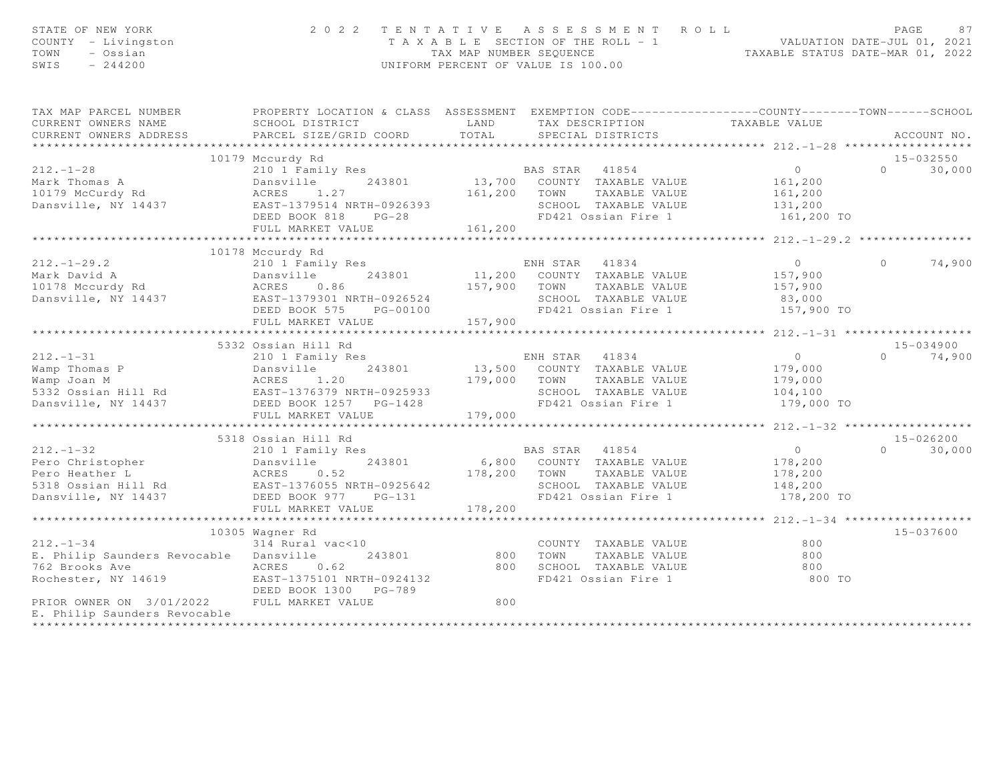| STATE OF NEW YORK<br>COUNTY - Livingston<br>TOWN<br>- Ossian<br>SWIS<br>$-244200$                                                                                                                                                                     | 2022 TENTATIVE ASSESSMENT ROLL                                                                                         | UNIFORM PERCENT OF VALUE IS 100.00 |                |                                                    | T A X A B L E SECTION OF THE ROLL - 1<br>TA X A B L E SECTION OF THE ROLL - 1<br>TAX MAP NUMBER SEQUENCE TAXABLE STATUS DATE-MAR 01, 2022 | PAGE     | 87            |
|-------------------------------------------------------------------------------------------------------------------------------------------------------------------------------------------------------------------------------------------------------|------------------------------------------------------------------------------------------------------------------------|------------------------------------|----------------|----------------------------------------------------|-------------------------------------------------------------------------------------------------------------------------------------------|----------|---------------|
| TAX MAP PARCEL NUMBER                                                                                                                                                                                                                                 | PROPERTY LOCATION & CLASS ASSESSMENT EXEMPTION CODE----------------COUNTY-------TOWN------SCHOOL                       |                                    |                |                                                    |                                                                                                                                           |          |               |
| CURRENT OWNERS NAME<br>CURRENT OWNERS ADDRESS                                                                                                                                                                                                         | SCHOOL DISTRICT LAND<br>PARCEL SIZE/GRID COORD                                                                         | TOTAL                              |                |                                                    | TAX DESCRIPTION TAXABLE VALUE<br>SPECIAL DISTRICTS                                                                                        |          | ACCOUNT NO.   |
|                                                                                                                                                                                                                                                       |                                                                                                                        |                                    |                |                                                    |                                                                                                                                           |          |               |
|                                                                                                                                                                                                                                                       | 10179 Mccurdy Rd                                                                                                       |                                    |                |                                                    |                                                                                                                                           |          | 15-032550     |
| $212. - 1 - 28$                                                                                                                                                                                                                                       | Example 13,700 BAS STAR 41854<br>Dansville 243801 13,700 COUNTY TAXABLE VALUE<br>ACRES 1.27 161,200 TOWN TAXABLE VALUE |                                    |                |                                                    | $\overline{0}$                                                                                                                            | $\Omega$ | 30,000        |
| Mark Thomas A                                                                                                                                                                                                                                         |                                                                                                                        |                                    |                |                                                    | 161,200                                                                                                                                   |          |               |
| Mark Indused in Rd                                                                                                                                                                                                                                    | Dansville<br>ACRES 1.27                                                                                                |                                    |                |                                                    | 161,200                                                                                                                                   |          |               |
| Dansville, NY 14437                                                                                                                                                                                                                                   |                                                                                                                        |                                    |                | SCHOOL TAXABLE VALUE                               | 131,200                                                                                                                                   |          |               |
|                                                                                                                                                                                                                                                       | EAST-1379514 NRTH-0926393<br>DEED BOOK 818 PG-28                                                                       |                                    |                | FD421 Ossian Fire 1                                | 161,200 TO                                                                                                                                |          |               |
|                                                                                                                                                                                                                                                       | FULL MARKET VALUE                                                                                                      | 161,200                            |                |                                                    |                                                                                                                                           |          |               |
|                                                                                                                                                                                                                                                       |                                                                                                                        |                                    |                |                                                    |                                                                                                                                           |          |               |
|                                                                                                                                                                                                                                                       | 10178 Mccurdy Rd                                                                                                       |                                    |                |                                                    |                                                                                                                                           |          |               |
| $212. - 1 - 29.2$                                                                                                                                                                                                                                     | 210 1 Family Res                                                                                                       |                                    | ENH STAR 41834 |                                                    | $\overline{0}$                                                                                                                            | $\Omega$ | 74,900        |
| Mark David A                                                                                                                                                                                                                                          |                                                                                                                        |                                    |                | 243801 11,200 COUNTY TAXABLE VALUE                 | 157,900                                                                                                                                   |          |               |
| 10178 Mccurdy Rd                                                                                                                                                                                                                                      | Dansville<br>ACRES 0.86<br>-----1379301 N                                                                              |                                    |                | 157,900 TOWN TAXABLE VALUE                         | 157,900                                                                                                                                   |          |               |
| Dansville, NY 14437 EAST-1379301 NRTH-0926524                                                                                                                                                                                                         |                                                                                                                        |                                    |                |                                                    |                                                                                                                                           |          |               |
|                                                                                                                                                                                                                                                       | DEED BOOK 575 PG-00100<br>FULL MARKET VALUE 157,900                                                                    |                                    |                |                                                    |                                                                                                                                           |          |               |
|                                                                                                                                                                                                                                                       |                                                                                                                        |                                    |                |                                                    |                                                                                                                                           |          |               |
|                                                                                                                                                                                                                                                       | 5332 Ossian Hill Rd                                                                                                    |                                    |                |                                                    |                                                                                                                                           |          | 15-034900     |
| $212. - 1 - 31$                                                                                                                                                                                                                                       | Family Res<br>11e 243801 13,500 COUNTY TAXABLE VALUE<br>1.20 179,000 TOWN TAXABLE VALUE<br>210 1 Family Res            |                                    |                |                                                    | $\overline{0}$                                                                                                                            |          | $0 \t 74,900$ |
|                                                                                                                                                                                                                                                       |                                                                                                                        |                                    |                |                                                    | 179,000                                                                                                                                   |          |               |
|                                                                                                                                                                                                                                                       |                                                                                                                        |                                    |                |                                                    | 179,000                                                                                                                                   |          |               |
|                                                                                                                                                                                                                                                       |                                                                                                                        |                                    |                |                                                    | 104,100                                                                                                                                   |          |               |
| 212.-1-31 210 1 Family Res<br>Wamp Thomas P Dansville 243801 13,500 COUNTY TAXABLE VALUE<br>Wamp Joan M ACRES 1.20 179,000 TOWN TAXABLE VALUE<br>5332 Ossian Hill Rd EAST-1376379 NRTH-0925933 SCHOOL TAXABLE VALUE<br>Dansville, NY 1                |                                                                                                                        |                                    |                |                                                    | FD421 Ossian Fire 1 179,000 TO                                                                                                            |          |               |
|                                                                                                                                                                                                                                                       | FULL MARKET VALUE                                                                                                      | 179,000                            |                |                                                    |                                                                                                                                           |          |               |
|                                                                                                                                                                                                                                                       |                                                                                                                        |                                    |                |                                                    |                                                                                                                                           |          |               |
|                                                                                                                                                                                                                                                       | 5318 Ossian Hill Rd                                                                                                    |                                    |                |                                                    |                                                                                                                                           |          | 15-026200     |
| $212. - 1 - 32$                                                                                                                                                                                                                                       | 210 1 Family Res                                                                                                       |                                    | BAS STAR 41854 |                                                    | $\overline{0}$                                                                                                                            | $\Omega$ | 30,000        |
| Pero Christopher<br>Pero Heather L<br>5318 Ossian Hill Rd<br>5318 Ossian Hill Rd<br>5318 Ossian Hill Rd<br>5318 Ossian Hill Rd<br>5318 Ossian Hill Rd<br>5318 Ossian Hill Rd<br>5318 Ossian Hill Rd<br>5318 Ossian Hill Rd<br>5318 Ossian Hill Rd<br> |                                                                                                                        |                                    |                | 6,800 COUNTY TAXABLE VALUE                         | 178,200                                                                                                                                   |          |               |
|                                                                                                                                                                                                                                                       |                                                                                                                        |                                    |                | 178,200 TOWN TAXABLE VALUE<br>SCHOOL TAXABLE VALUE | 178,200<br>148,200                                                                                                                        |          |               |
|                                                                                                                                                                                                                                                       |                                                                                                                        |                                    |                | FD421 Ossian Fire 1                                | 178,200 TO                                                                                                                                |          |               |
|                                                                                                                                                                                                                                                       | FULL MARKET VALUE                                                                                                      | 178,200                            |                |                                                    |                                                                                                                                           |          |               |
|                                                                                                                                                                                                                                                       |                                                                                                                        |                                    |                |                                                    |                                                                                                                                           |          |               |
|                                                                                                                                                                                                                                                       | 10305 Wagner Rd                                                                                                        |                                    |                |                                                    |                                                                                                                                           |          | 15-037600     |
| $212. - 1 - 34$                                                                                                                                                                                                                                       | 314 Rural vac<10 COUNTY<br>Dansville 243801 800 TOWN                                                                   |                                    |                | COUNTY TAXABLE VALUE                               | 800                                                                                                                                       |          |               |
| E. Philip Saunders Revocable Dansville                                                                                                                                                                                                                |                                                                                                                        |                                    |                | TAXABLE VALUE                                      | 800                                                                                                                                       |          |               |
| 762 Brooks Ave                                                                                                                                                                                                                                        | ACRES<br>0.62                                                                                                          | 800                                |                | SCHOOL TAXABLE VALUE                               | 800                                                                                                                                       |          |               |
| Rochester, NY 14619                                                                                                                                                                                                                                   | EAST-1375101 NRTH-0924132                                                                                              |                                    |                | FD421 Ossian Fire 1                                | 800 TO                                                                                                                                    |          |               |
|                                                                                                                                                                                                                                                       |                                                                                                                        |                                    |                |                                                    |                                                                                                                                           |          |               |
| PRIOR OWNER ON 3/01/2022 FULL MARKET VALUE                                                                                                                                                                                                            |                                                                                                                        | 800                                |                |                                                    |                                                                                                                                           |          |               |
| E. Philip Saunders Revocable                                                                                                                                                                                                                          |                                                                                                                        |                                    |                |                                                    |                                                                                                                                           |          |               |
| **********************                                                                                                                                                                                                                                |                                                                                                                        |                                    |                |                                                    |                                                                                                                                           |          |               |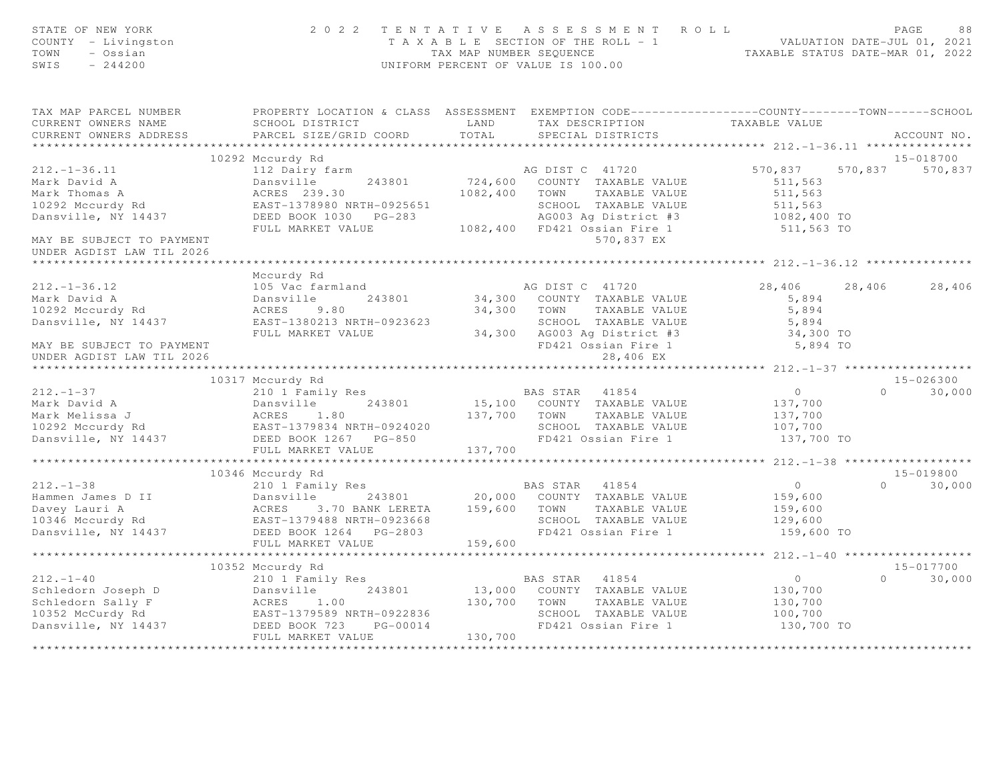| PROPERTY LOCATION & CLASS ASSESSMENT EXEMPTION CODE-----------------COUNTY-------TOWN------SCHOOL<br>TAX MAP PARCEL NUMBER<br>TAXABLE VALUE<br>LAND<br>CURRENT OWNERS NAME<br>SCHOOL DISTRICT<br>TAX DESCRIPTION<br>TOTAL<br>CURRENT OWNERS ADDRESS<br>PARCEL SIZE/GRID COORD<br>SPECIAL DISTRICTS<br>ACCOUNT NO.<br>10292 Mccurdy Rd<br>15-018700<br>$212. - 1 - 36.11$<br>112 Dairy farm<br>570,837<br>570,837<br>570,837<br>AG DIST C 41720<br>724,600 COUNTY TAXABLE VALUE<br>Dansville<br>Mark David A<br>243801<br>511,563<br>1082,400 TOWN<br>Mark Thomas A<br>ACRES 239.30<br>511,563<br>TAXABLE VALUE<br>10292 Mccurdy Rd<br>EAST-1378980 NRTH-0925651<br>SCHOOL TAXABLE VALUE<br>511,563<br>1082,400 TO<br>Dansville, NY 14437<br>DEED BOOK 1030 PG-283<br>AG003 Ag District #3<br>1082,400 FD421 Ossian Fire 1<br>FULL MARKET VALUE<br>511,563 TO<br>570,837 EX<br>MAY BE SUBJECT TO PAYMENT<br>UNDER AGDIST LAW TIL 2026<br>Mccurdy Rd<br>$212. - 1 - 36.12$<br>105 Vac farmland<br>AG DIST C 41720<br>28,406<br>28,406<br>28,406<br>Mark David A<br>Dansville<br>243801<br>34,300 COUNTY TAXABLE VALUE<br>5,894<br>5,894<br>10292 Mccurdy Rd<br>34,300 TOWN<br>ACRES 9.80<br>TAXABLE VALUE<br>Dansville, NY 14437<br>EAST-1380213 NRTH-0923623<br>SCHOOL TAXABLE VALUE<br>5,894<br>FULL MARKET VALUE<br>34,300 AG003 Ag District #3<br>34,300 TO<br>FD421 Ossian Fire 1<br>5,894 TO<br>MAY BE SUBJECT TO PAYMENT<br>28,406 EX<br>UNDER AGDIST LAW TIL 2026<br>10317 Mccurdy Rd<br>$15 - 026300$<br>210 1 Family Res<br>$212. - 1 - 37$<br>BAS STAR 41854<br>$\overline{0}$<br>$\Omega$<br>30,000<br>Mark David A<br>243801<br>15,100 COUNTY TAXABLE VALUE<br>Dansville<br>137,700<br>Mark Melissa J<br>10292 Mccurdy Rd<br>137,700 TOWN<br>ACRES 1.80<br>TAXABLE VALUE<br>137,700<br>ACRES 1.00<br>EAST-1379834 NRTH-0924020<br>ALL 1967 PG-850<br>SCHOOL TAXABLE VALUE<br>107,700<br>Dansville, NY 14437<br>FD421 Ossian Fire 1<br>137,700 TO<br>DEED BOOK 1267 PG-850<br>FULL MARKET VALUE<br>137,700<br>**************** 212.-1-38 *******************<br>10346 Mccurdy Rd<br>15-019800<br>$212. - 1 - 38$<br>$\overline{0}$<br>$\Omega$<br>210 1 Family Res<br>BAS STAR 41854<br>30,000<br>20,000 COUNTY TAXABLE VALUE | STATE OF NEW YORK<br>COUNTY - Livingston<br>TOWN<br>- Ossian<br>SWIS<br>$-244200$ | 2 0 2 2          | TENTATIVE ASSESSMENT ROLL<br>T A X A B L E SECTION OF THE ROLL - 1 VALUATION DATE-JUL 01, 2021<br>TAX MAP NUMBER SEQUENCE TAXABLE STATUS DATE-MAR 01, 2022<br>UNIFORM PERCENT OF VALUE IS 100.00 |         | PAGE<br>88 |
|-----------------------------------------------------------------------------------------------------------------------------------------------------------------------------------------------------------------------------------------------------------------------------------------------------------------------------------------------------------------------------------------------------------------------------------------------------------------------------------------------------------------------------------------------------------------------------------------------------------------------------------------------------------------------------------------------------------------------------------------------------------------------------------------------------------------------------------------------------------------------------------------------------------------------------------------------------------------------------------------------------------------------------------------------------------------------------------------------------------------------------------------------------------------------------------------------------------------------------------------------------------------------------------------------------------------------------------------------------------------------------------------------------------------------------------------------------------------------------------------------------------------------------------------------------------------------------------------------------------------------------------------------------------------------------------------------------------------------------------------------------------------------------------------------------------------------------------------------------------------------------------------------------------------------------------------------------------------------------------------------------------------------------------------------------------------------------------------------------------------------------------------------------------------------------------------------------------------------------------------|-----------------------------------------------------------------------------------|------------------|--------------------------------------------------------------------------------------------------------------------------------------------------------------------------------------------------|---------|------------|
|                                                                                                                                                                                                                                                                                                                                                                                                                                                                                                                                                                                                                                                                                                                                                                                                                                                                                                                                                                                                                                                                                                                                                                                                                                                                                                                                                                                                                                                                                                                                                                                                                                                                                                                                                                                                                                                                                                                                                                                                                                                                                                                                                                                                                                         |                                                                                   |                  |                                                                                                                                                                                                  |         |            |
|                                                                                                                                                                                                                                                                                                                                                                                                                                                                                                                                                                                                                                                                                                                                                                                                                                                                                                                                                                                                                                                                                                                                                                                                                                                                                                                                                                                                                                                                                                                                                                                                                                                                                                                                                                                                                                                                                                                                                                                                                                                                                                                                                                                                                                         |                                                                                   |                  |                                                                                                                                                                                                  |         |            |
|                                                                                                                                                                                                                                                                                                                                                                                                                                                                                                                                                                                                                                                                                                                                                                                                                                                                                                                                                                                                                                                                                                                                                                                                                                                                                                                                                                                                                                                                                                                                                                                                                                                                                                                                                                                                                                                                                                                                                                                                                                                                                                                                                                                                                                         |                                                                                   |                  |                                                                                                                                                                                                  |         |            |
|                                                                                                                                                                                                                                                                                                                                                                                                                                                                                                                                                                                                                                                                                                                                                                                                                                                                                                                                                                                                                                                                                                                                                                                                                                                                                                                                                                                                                                                                                                                                                                                                                                                                                                                                                                                                                                                                                                                                                                                                                                                                                                                                                                                                                                         |                                                                                   |                  |                                                                                                                                                                                                  |         |            |
|                                                                                                                                                                                                                                                                                                                                                                                                                                                                                                                                                                                                                                                                                                                                                                                                                                                                                                                                                                                                                                                                                                                                                                                                                                                                                                                                                                                                                                                                                                                                                                                                                                                                                                                                                                                                                                                                                                                                                                                                                                                                                                                                                                                                                                         |                                                                                   |                  |                                                                                                                                                                                                  |         |            |
|                                                                                                                                                                                                                                                                                                                                                                                                                                                                                                                                                                                                                                                                                                                                                                                                                                                                                                                                                                                                                                                                                                                                                                                                                                                                                                                                                                                                                                                                                                                                                                                                                                                                                                                                                                                                                                                                                                                                                                                                                                                                                                                                                                                                                                         |                                                                                   |                  |                                                                                                                                                                                                  |         |            |
|                                                                                                                                                                                                                                                                                                                                                                                                                                                                                                                                                                                                                                                                                                                                                                                                                                                                                                                                                                                                                                                                                                                                                                                                                                                                                                                                                                                                                                                                                                                                                                                                                                                                                                                                                                                                                                                                                                                                                                                                                                                                                                                                                                                                                                         |                                                                                   |                  |                                                                                                                                                                                                  |         |            |
|                                                                                                                                                                                                                                                                                                                                                                                                                                                                                                                                                                                                                                                                                                                                                                                                                                                                                                                                                                                                                                                                                                                                                                                                                                                                                                                                                                                                                                                                                                                                                                                                                                                                                                                                                                                                                                                                                                                                                                                                                                                                                                                                                                                                                                         |                                                                                   |                  |                                                                                                                                                                                                  |         |            |
|                                                                                                                                                                                                                                                                                                                                                                                                                                                                                                                                                                                                                                                                                                                                                                                                                                                                                                                                                                                                                                                                                                                                                                                                                                                                                                                                                                                                                                                                                                                                                                                                                                                                                                                                                                                                                                                                                                                                                                                                                                                                                                                                                                                                                                         |                                                                                   |                  |                                                                                                                                                                                                  |         |            |
|                                                                                                                                                                                                                                                                                                                                                                                                                                                                                                                                                                                                                                                                                                                                                                                                                                                                                                                                                                                                                                                                                                                                                                                                                                                                                                                                                                                                                                                                                                                                                                                                                                                                                                                                                                                                                                                                                                                                                                                                                                                                                                                                                                                                                                         |                                                                                   |                  |                                                                                                                                                                                                  |         |            |
|                                                                                                                                                                                                                                                                                                                                                                                                                                                                                                                                                                                                                                                                                                                                                                                                                                                                                                                                                                                                                                                                                                                                                                                                                                                                                                                                                                                                                                                                                                                                                                                                                                                                                                                                                                                                                                                                                                                                                                                                                                                                                                                                                                                                                                         |                                                                                   |                  |                                                                                                                                                                                                  |         |            |
|                                                                                                                                                                                                                                                                                                                                                                                                                                                                                                                                                                                                                                                                                                                                                                                                                                                                                                                                                                                                                                                                                                                                                                                                                                                                                                                                                                                                                                                                                                                                                                                                                                                                                                                                                                                                                                                                                                                                                                                                                                                                                                                                                                                                                                         |                                                                                   |                  |                                                                                                                                                                                                  |         |            |
|                                                                                                                                                                                                                                                                                                                                                                                                                                                                                                                                                                                                                                                                                                                                                                                                                                                                                                                                                                                                                                                                                                                                                                                                                                                                                                                                                                                                                                                                                                                                                                                                                                                                                                                                                                                                                                                                                                                                                                                                                                                                                                                                                                                                                                         |                                                                                   |                  |                                                                                                                                                                                                  |         |            |
|                                                                                                                                                                                                                                                                                                                                                                                                                                                                                                                                                                                                                                                                                                                                                                                                                                                                                                                                                                                                                                                                                                                                                                                                                                                                                                                                                                                                                                                                                                                                                                                                                                                                                                                                                                                                                                                                                                                                                                                                                                                                                                                                                                                                                                         |                                                                                   |                  |                                                                                                                                                                                                  |         |            |
|                                                                                                                                                                                                                                                                                                                                                                                                                                                                                                                                                                                                                                                                                                                                                                                                                                                                                                                                                                                                                                                                                                                                                                                                                                                                                                                                                                                                                                                                                                                                                                                                                                                                                                                                                                                                                                                                                                                                                                                                                                                                                                                                                                                                                                         |                                                                                   |                  |                                                                                                                                                                                                  |         |            |
|                                                                                                                                                                                                                                                                                                                                                                                                                                                                                                                                                                                                                                                                                                                                                                                                                                                                                                                                                                                                                                                                                                                                                                                                                                                                                                                                                                                                                                                                                                                                                                                                                                                                                                                                                                                                                                                                                                                                                                                                                                                                                                                                                                                                                                         |                                                                                   |                  |                                                                                                                                                                                                  |         |            |
|                                                                                                                                                                                                                                                                                                                                                                                                                                                                                                                                                                                                                                                                                                                                                                                                                                                                                                                                                                                                                                                                                                                                                                                                                                                                                                                                                                                                                                                                                                                                                                                                                                                                                                                                                                                                                                                                                                                                                                                                                                                                                                                                                                                                                                         |                                                                                   |                  |                                                                                                                                                                                                  |         |            |
|                                                                                                                                                                                                                                                                                                                                                                                                                                                                                                                                                                                                                                                                                                                                                                                                                                                                                                                                                                                                                                                                                                                                                                                                                                                                                                                                                                                                                                                                                                                                                                                                                                                                                                                                                                                                                                                                                                                                                                                                                                                                                                                                                                                                                                         |                                                                                   |                  |                                                                                                                                                                                                  |         |            |
|                                                                                                                                                                                                                                                                                                                                                                                                                                                                                                                                                                                                                                                                                                                                                                                                                                                                                                                                                                                                                                                                                                                                                                                                                                                                                                                                                                                                                                                                                                                                                                                                                                                                                                                                                                                                                                                                                                                                                                                                                                                                                                                                                                                                                                         |                                                                                   |                  |                                                                                                                                                                                                  |         |            |
|                                                                                                                                                                                                                                                                                                                                                                                                                                                                                                                                                                                                                                                                                                                                                                                                                                                                                                                                                                                                                                                                                                                                                                                                                                                                                                                                                                                                                                                                                                                                                                                                                                                                                                                                                                                                                                                                                                                                                                                                                                                                                                                                                                                                                                         |                                                                                   |                  |                                                                                                                                                                                                  |         |            |
|                                                                                                                                                                                                                                                                                                                                                                                                                                                                                                                                                                                                                                                                                                                                                                                                                                                                                                                                                                                                                                                                                                                                                                                                                                                                                                                                                                                                                                                                                                                                                                                                                                                                                                                                                                                                                                                                                                                                                                                                                                                                                                                                                                                                                                         |                                                                                   |                  |                                                                                                                                                                                                  |         |            |
|                                                                                                                                                                                                                                                                                                                                                                                                                                                                                                                                                                                                                                                                                                                                                                                                                                                                                                                                                                                                                                                                                                                                                                                                                                                                                                                                                                                                                                                                                                                                                                                                                                                                                                                                                                                                                                                                                                                                                                                                                                                                                                                                                                                                                                         |                                                                                   |                  |                                                                                                                                                                                                  |         |            |
|                                                                                                                                                                                                                                                                                                                                                                                                                                                                                                                                                                                                                                                                                                                                                                                                                                                                                                                                                                                                                                                                                                                                                                                                                                                                                                                                                                                                                                                                                                                                                                                                                                                                                                                                                                                                                                                                                                                                                                                                                                                                                                                                                                                                                                         |                                                                                   |                  |                                                                                                                                                                                                  |         |            |
|                                                                                                                                                                                                                                                                                                                                                                                                                                                                                                                                                                                                                                                                                                                                                                                                                                                                                                                                                                                                                                                                                                                                                                                                                                                                                                                                                                                                                                                                                                                                                                                                                                                                                                                                                                                                                                                                                                                                                                                                                                                                                                                                                                                                                                         |                                                                                   |                  |                                                                                                                                                                                                  |         |            |
|                                                                                                                                                                                                                                                                                                                                                                                                                                                                                                                                                                                                                                                                                                                                                                                                                                                                                                                                                                                                                                                                                                                                                                                                                                                                                                                                                                                                                                                                                                                                                                                                                                                                                                                                                                                                                                                                                                                                                                                                                                                                                                                                                                                                                                         |                                                                                   |                  |                                                                                                                                                                                                  |         |            |
|                                                                                                                                                                                                                                                                                                                                                                                                                                                                                                                                                                                                                                                                                                                                                                                                                                                                                                                                                                                                                                                                                                                                                                                                                                                                                                                                                                                                                                                                                                                                                                                                                                                                                                                                                                                                                                                                                                                                                                                                                                                                                                                                                                                                                                         |                                                                                   |                  |                                                                                                                                                                                                  |         |            |
|                                                                                                                                                                                                                                                                                                                                                                                                                                                                                                                                                                                                                                                                                                                                                                                                                                                                                                                                                                                                                                                                                                                                                                                                                                                                                                                                                                                                                                                                                                                                                                                                                                                                                                                                                                                                                                                                                                                                                                                                                                                                                                                                                                                                                                         |                                                                                   |                  |                                                                                                                                                                                                  |         |            |
|                                                                                                                                                                                                                                                                                                                                                                                                                                                                                                                                                                                                                                                                                                                                                                                                                                                                                                                                                                                                                                                                                                                                                                                                                                                                                                                                                                                                                                                                                                                                                                                                                                                                                                                                                                                                                                                                                                                                                                                                                                                                                                                                                                                                                                         |                                                                                   |                  |                                                                                                                                                                                                  |         |            |
|                                                                                                                                                                                                                                                                                                                                                                                                                                                                                                                                                                                                                                                                                                                                                                                                                                                                                                                                                                                                                                                                                                                                                                                                                                                                                                                                                                                                                                                                                                                                                                                                                                                                                                                                                                                                                                                                                                                                                                                                                                                                                                                                                                                                                                         |                                                                                   | Dansville 243801 |                                                                                                                                                                                                  | 159,600 |            |
| 3.70 BANK LERETA 159,600<br>TOWN<br>TAXABLE VALUE<br>159,600                                                                                                                                                                                                                                                                                                                                                                                                                                                                                                                                                                                                                                                                                                                                                                                                                                                                                                                                                                                                                                                                                                                                                                                                                                                                                                                                                                                                                                                                                                                                                                                                                                                                                                                                                                                                                                                                                                                                                                                                                                                                                                                                                                            |                                                                                   |                  |                                                                                                                                                                                                  |         |            |
| SCHOOL TAXABLE VALUE<br>129,600<br>FD421 Ossian Fire 1                                                                                                                                                                                                                                                                                                                                                                                                                                                                                                                                                                                                                                                                                                                                                                                                                                                                                                                                                                                                                                                                                                                                                                                                                                                                                                                                                                                                                                                                                                                                                                                                                                                                                                                                                                                                                                                                                                                                                                                                                                                                                                                                                                                  |                                                                                   |                  |                                                                                                                                                                                                  |         |            |
| Hammen James D II<br>Davey Lauri A (243801)<br>Davey Lauri A (243801)<br>243801 (243801)<br>243801 (243801)<br>243801 (243801)<br>243801 (243801)<br>243801 (243801)<br>243801 (243801)<br>243801 (243801)<br>243801 (243801)<br>243801 (243801)<br>24<br>159,600 TO<br>FULL MARKET VALUE<br>159,600                                                                                                                                                                                                                                                                                                                                                                                                                                                                                                                                                                                                                                                                                                                                                                                                                                                                                                                                                                                                                                                                                                                                                                                                                                                                                                                                                                                                                                                                                                                                                                                                                                                                                                                                                                                                                                                                                                                                    |                                                                                   |                  |                                                                                                                                                                                                  |         |            |
| **************************<br>*********** 212.-1-40 *****************                                                                                                                                                                                                                                                                                                                                                                                                                                                                                                                                                                                                                                                                                                                                                                                                                                                                                                                                                                                                                                                                                                                                                                                                                                                                                                                                                                                                                                                                                                                                                                                                                                                                                                                                                                                                                                                                                                                                                                                                                                                                                                                                                                   |                                                                                   |                  |                                                                                                                                                                                                  |         |            |
| 10352 Mccurdy Rd<br>$15 - 017700$                                                                                                                                                                                                                                                                                                                                                                                                                                                                                                                                                                                                                                                                                                                                                                                                                                                                                                                                                                                                                                                                                                                                                                                                                                                                                                                                                                                                                                                                                                                                                                                                                                                                                                                                                                                                                                                                                                                                                                                                                                                                                                                                                                                                       |                                                                                   |                  |                                                                                                                                                                                                  |         |            |
| 210 1 Family Res<br>$212. - 1 - 40$<br>BAS STAR 41854<br>$\overline{0}$<br>$\Omega$                                                                                                                                                                                                                                                                                                                                                                                                                                                                                                                                                                                                                                                                                                                                                                                                                                                                                                                                                                                                                                                                                                                                                                                                                                                                                                                                                                                                                                                                                                                                                                                                                                                                                                                                                                                                                                                                                                                                                                                                                                                                                                                                                     |                                                                                   |                  |                                                                                                                                                                                                  |         | 30,000     |
| 243801<br>13,000 COUNTY TAXABLE VALUE<br>Schledorn Joseph D<br>Dansville<br>130,700                                                                                                                                                                                                                                                                                                                                                                                                                                                                                                                                                                                                                                                                                                                                                                                                                                                                                                                                                                                                                                                                                                                                                                                                                                                                                                                                                                                                                                                                                                                                                                                                                                                                                                                                                                                                                                                                                                                                                                                                                                                                                                                                                     |                                                                                   |                  |                                                                                                                                                                                                  |         |            |
| Schledorn Joseph D<br>Schledorn Sally F<br>10352 McCurdy Rd<br>130,700<br>ACRES<br>1.00<br>TOWN<br>TAXABLE VALUE<br>130,700                                                                                                                                                                                                                                                                                                                                                                                                                                                                                                                                                                                                                                                                                                                                                                                                                                                                                                                                                                                                                                                                                                                                                                                                                                                                                                                                                                                                                                                                                                                                                                                                                                                                                                                                                                                                                                                                                                                                                                                                                                                                                                             |                                                                                   |                  |                                                                                                                                                                                                  |         |            |
| 10352 McCurdy Rd<br>EAST-1379589 NRTH-0922836<br>SCHOOL TAXABLE VALUE<br>100,700                                                                                                                                                                                                                                                                                                                                                                                                                                                                                                                                                                                                                                                                                                                                                                                                                                                                                                                                                                                                                                                                                                                                                                                                                                                                                                                                                                                                                                                                                                                                                                                                                                                                                                                                                                                                                                                                                                                                                                                                                                                                                                                                                        |                                                                                   |                  |                                                                                                                                                                                                  |         |            |
| Dansville, NY 14437<br>FD421 Ossian Fire 1<br>130,700 TO<br>DEED BOOK 723<br>PG-00014                                                                                                                                                                                                                                                                                                                                                                                                                                                                                                                                                                                                                                                                                                                                                                                                                                                                                                                                                                                                                                                                                                                                                                                                                                                                                                                                                                                                                                                                                                                                                                                                                                                                                                                                                                                                                                                                                                                                                                                                                                                                                                                                                   |                                                                                   |                  |                                                                                                                                                                                                  |         |            |
| FULL MARKET VALUE<br>130,700<br>* * * * * * * * * * * * * * * * * * * *                                                                                                                                                                                                                                                                                                                                                                                                                                                                                                                                                                                                                                                                                                                                                                                                                                                                                                                                                                                                                                                                                                                                                                                                                                                                                                                                                                                                                                                                                                                                                                                                                                                                                                                                                                                                                                                                                                                                                                                                                                                                                                                                                                 |                                                                                   |                  |                                                                                                                                                                                                  |         |            |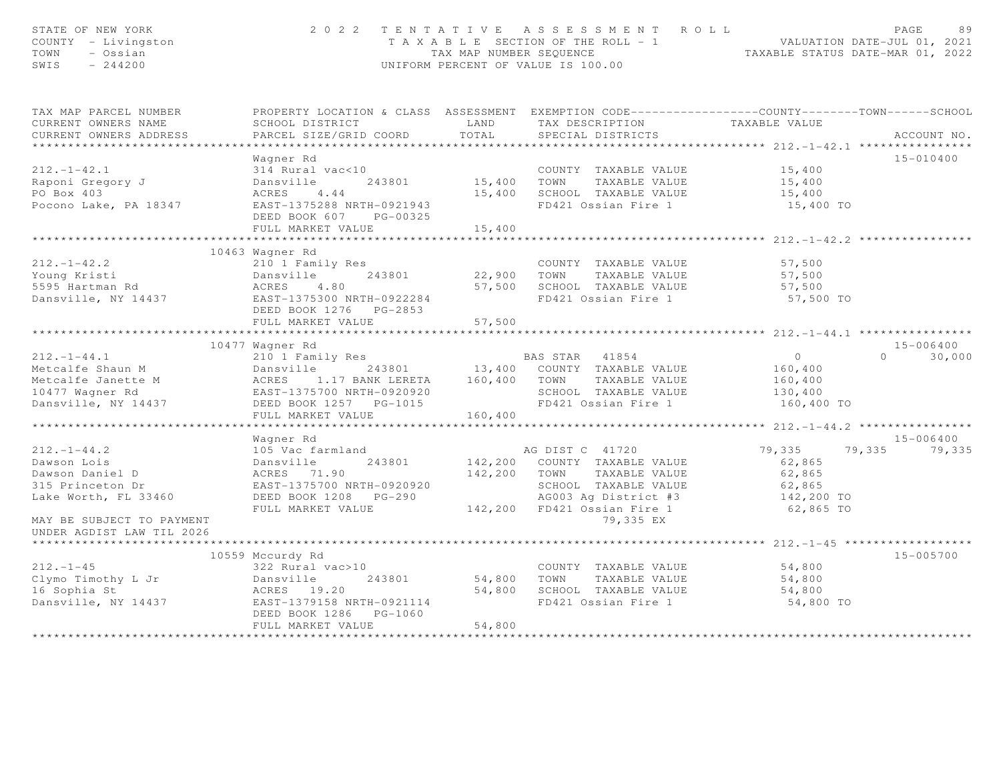| STATE OF NEW YORK<br>COUNTY - Livingston<br>TOWN - Ossian<br>EWIS - 244200                                                                                                                                                                       |                                                                                                                                                |         | 2022 TENTATIVE ASSESSMENT ROLL<br>TAXABLE SECTION OF THE ROLL - 1<br>TAXABLE STATUS DATE-JUL 01, 2021<br>TAXABLE STATUS DATE-MAR 01, 2022<br>UNIFORM PERCENT OF VALUE IS 100.00 |                      | PAGE                 | 89 |
|--------------------------------------------------------------------------------------------------------------------------------------------------------------------------------------------------------------------------------------------------|------------------------------------------------------------------------------------------------------------------------------------------------|---------|---------------------------------------------------------------------------------------------------------------------------------------------------------------------------------|----------------------|----------------------|----|
| TAX MAP PARCEL NUMBER THE PROPERTY LOCATION & CLASS ASSESSMENT EXEMPTION CODE--------------COUNTY-------TOWN------SCHOOL                                                                                                                         |                                                                                                                                                |         |                                                                                                                                                                                 |                      |                      |    |
| CURRENT OWNERS NAME                                                                                                                                                                                                                              | SCHOOL DISTRICT LAND                                                                                                                           |         | TAX DESCRIPTION TAXABLE VALUE<br>SPECIAL DISTRICTS                                                                                                                              |                      |                      |    |
| CURRENT OWNERS ADDRESS                                                                                                                                                                                                                           | PARCEL SIZE/GRID COORD TOTAL                                                                                                                   |         |                                                                                                                                                                                 |                      | ACCOUNT NO.          |    |
|                                                                                                                                                                                                                                                  | Wagner Rd                                                                                                                                      |         |                                                                                                                                                                                 |                      | 15-010400            |    |
| $212. - 1 - 42.1$                                                                                                                                                                                                                                | 314 Rural vac<10                                                                                                                               |         | COUNTY TAXABLE VALUE 15,400                                                                                                                                                     |                      |                      |    |
|                                                                                                                                                                                                                                                  |                                                                                                                                                |         | COUNTY TAXABLE VALUE<br>15,400 TOWN TAXABLE VALUE                                                                                                                               | 15,400               |                      |    |
| Raponi Gregory J<br>PO Box 403                                                                                                                                                                                                                   |                                                                                                                                                |         |                                                                                                                                                                                 |                      |                      |    |
| Pocono Lake, PA 18347                                                                                                                                                                                                                            | Dansville 243801<br>ACRES 4.44<br>EAST-1375288 NRTH-0921943<br>DEED BOOK 607 PG-00325                                                          |         | 15,400 SCHOOL TAXABLE VALUE 15,400<br>TD421 Ossian Fire 1 15,400 TO<br>FD421 Ossian Fire 1                                                                                      |                      |                      |    |
|                                                                                                                                                                                                                                                  | FULL MARKET VALUE                                                                                                                              | 15,400  |                                                                                                                                                                                 |                      |                      |    |
|                                                                                                                                                                                                                                                  |                                                                                                                                                |         |                                                                                                                                                                                 |                      |                      |    |
|                                                                                                                                                                                                                                                  | 10463 Wagner Rd                                                                                                                                |         |                                                                                                                                                                                 |                      |                      |    |
|                                                                                                                                                                                                                                                  |                                                                                                                                                |         | COUNTY TAXABLE VALUE                                                                                                                                                            | 57,500               |                      |    |
|                                                                                                                                                                                                                                                  |                                                                                                                                                |         |                                                                                                                                                                                 | 57,500<br>57,500     |                      |    |
|                                                                                                                                                                                                                                                  |                                                                                                                                                |         | 22,900 TOWN TAXABLE VALUE<br>57,500 SCHOOL TAXABLE VALUE<br>FD421 Ossian Fire 1                                                                                                 | 57,500 TO            |                      |    |
| 212.-1-42.2<br>Young Kristi<br>5595 Hartman Rd<br>Dansville, NY 14437<br>243801<br>EAST-1375300 NRTH-0922284                                                                                                                                     |                                                                                                                                                |         |                                                                                                                                                                                 |                      |                      |    |
|                                                                                                                                                                                                                                                  | FULL MARKET VALUE                                                                                                                              | 57,500  |                                                                                                                                                                                 |                      |                      |    |
|                                                                                                                                                                                                                                                  |                                                                                                                                                |         |                                                                                                                                                                                 |                      |                      |    |
|                                                                                                                                                                                                                                                  | 10477 Wagner Rd                                                                                                                                |         |                                                                                                                                                                                 |                      | 15-006400            |    |
| 10477 Wagner Rd<br>210 1 Family Res<br>Metcalfe Shaun M<br>Metcalfe Janette M<br>243801 13,400 COUNTY TAXABLE VALUE<br>Metcalfe Janette M<br>243801 13,400 COUNTY TAXABLE VALUE<br>10477 Wagner Rd<br>2437 10477 Magner Rd<br>2437-1375700 NRTH- |                                                                                                                                                |         |                                                                                                                                                                                 | $\overline{0}$       | $0 \t 30,000$        |    |
|                                                                                                                                                                                                                                                  |                                                                                                                                                |         |                                                                                                                                                                                 | 160, 400             |                      |    |
|                                                                                                                                                                                                                                                  |                                                                                                                                                |         |                                                                                                                                                                                 | 160,400              |                      |    |
|                                                                                                                                                                                                                                                  |                                                                                                                                                |         |                                                                                                                                                                                 | 130,400              |                      |    |
|                                                                                                                                                                                                                                                  |                                                                                                                                                |         |                                                                                                                                                                                 | 160,400 TO           |                      |    |
|                                                                                                                                                                                                                                                  | FULL MARKET VALUE                                                                                                                              | 160,400 |                                                                                                                                                                                 |                      |                      |    |
|                                                                                                                                                                                                                                                  | Wagner Rd                                                                                                                                      |         |                                                                                                                                                                                 |                      | 15-006400            |    |
| $212. - 1 - 44.2$                                                                                                                                                                                                                                |                                                                                                                                                |         |                                                                                                                                                                                 |                      | 79,335 79,335 79,335 |    |
| Dawson Lois                                                                                                                                                                                                                                      |                                                                                                                                                |         |                                                                                                                                                                                 | 62,865               |                      |    |
|                                                                                                                                                                                                                                                  |                                                                                                                                                |         | 142,200 TOWN TAXABLE VALUE                                                                                                                                                      | 62,865               |                      |    |
| Dawson Daniel D<br>315 Princeton Dr                                                                                                                                                                                                              | ACRES 71.90<br>EAST-1375700 NRTH-0920920                                                                                                       |         | SCHOOL TAXABLE VALUE                                                                                                                                                            |                      |                      |    |
| Lake Worth, FL 33460                                                                                                                                                                                                                             | EAST-1375700 NATH V.L.<br>DEED BOOK 1208 PG-290<br>DEED BOOK 1208 PG-290 AG003 Ag District #3<br>FULL MARKET VALUE 142,200 FD421 Ossian Fire 1 |         |                                                                                                                                                                                 | 62,865<br>142,200 TO |                      |    |
|                                                                                                                                                                                                                                                  |                                                                                                                                                |         |                                                                                                                                                                                 | 62,865 TO            |                      |    |
| MAY BE SUBJECT TO PAYMENT<br>UNDER AGDIST LAW TIL 2026                                                                                                                                                                                           |                                                                                                                                                |         | 79,335 EX                                                                                                                                                                       |                      |                      |    |
|                                                                                                                                                                                                                                                  |                                                                                                                                                |         |                                                                                                                                                                                 |                      |                      |    |
|                                                                                                                                                                                                                                                  | 10559 Mccurdy Rd                                                                                                                               |         |                                                                                                                                                                                 |                      | 15-005700            |    |
| $212 - 1 - 45$                                                                                                                                                                                                                                   | 322 Rural vac>10<br>Dansville 243801<br>ACRES 19.20                                                                                            |         | 0<br>243801 54,800 TOWN TAXABLE VALUE<br>COUNTY TAXABLE VALUE                                                                                                                   | 54,800<br>54,800     |                      |    |
| Clymo Timothy L Jr                                                                                                                                                                                                                               |                                                                                                                                                |         |                                                                                                                                                                                 | 54,800               |                      |    |
| 16 Sophia St                           ACRES     19.20                     54,800   SCHOOL  TAXABLE VALUE<br>Dansville, NY 14437                 EAST-1379158 NRTH-0921114                 FD421 Ossian Fire 1                                   |                                                                                                                                                |         | FD421 Ossian Fire 1                                                                                                                                                             | 54,800 TO            |                      |    |
|                                                                                                                                                                                                                                                  |                                                                                                                                                |         |                                                                                                                                                                                 |                      |                      |    |
|                                                                                                                                                                                                                                                  | FULL MARKET VALUE                                                                                                                              | 54,800  |                                                                                                                                                                                 |                      |                      |    |
|                                                                                                                                                                                                                                                  |                                                                                                                                                |         |                                                                                                                                                                                 |                      |                      |    |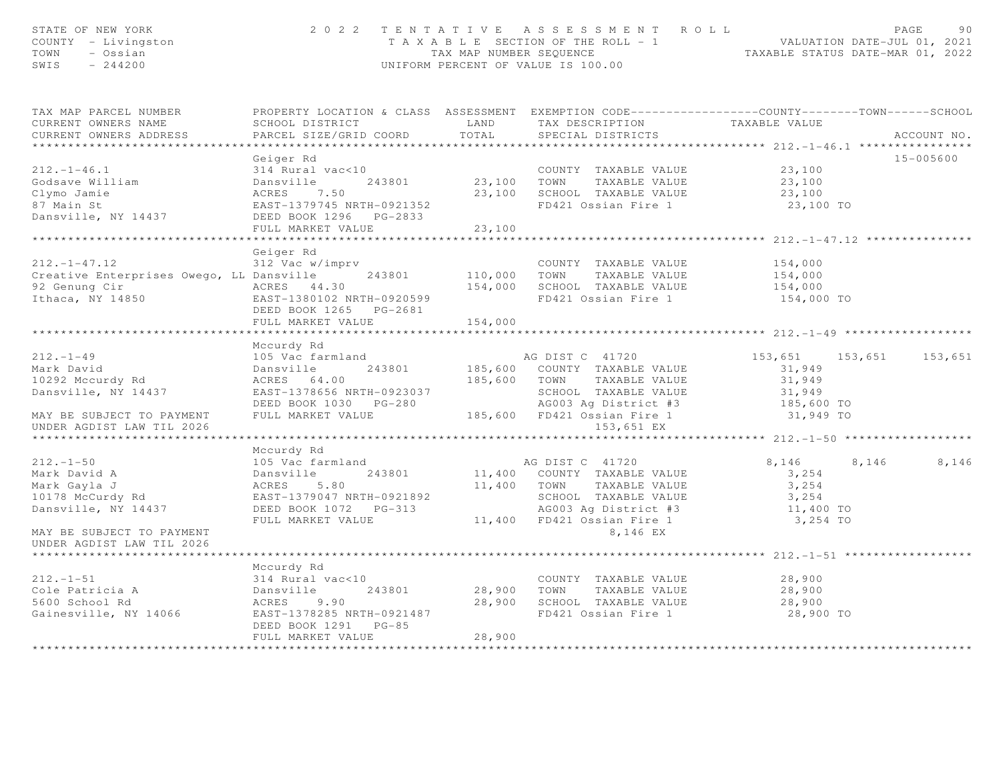|                                                                                                    |                                                                                                                                                                            |                          | 2022 TENTATIVE ASSESSMENT ROLL<br>T A X A B L E SECTION OF THE ROLL - 1 VALUATION DATE-JUL 01, 2021<br>TAX MAP NUMBER SEQUENCE TAXABLE STATUS DATE-MAR 01, 2022<br>UNIFORM PERCENT OF VALUE IS 100.00 |                                                           | 90<br>PAGE     |
|----------------------------------------------------------------------------------------------------|----------------------------------------------------------------------------------------------------------------------------------------------------------------------------|--------------------------|-------------------------------------------------------------------------------------------------------------------------------------------------------------------------------------------------------|-----------------------------------------------------------|----------------|
| TAX MAP PARCEL NUMBER<br>CURRENT OWNERS NAME<br>CURRENT OWNERS ADDRESS<br>************************ | PROPERTY LOCATION & CLASS ASSESSMENT EXEMPTION CODE----------------COUNTY-------TOWN------SCHOOL<br>SCHOOL DISTRICT<br>PARCEL SIZE/GRID COORD                              | LAND<br>TOTAL            | TAX DESCRIPTION<br>SPECIAL DISTRICTS                                                                                                                                                                  | TAXABLE VALUE                                             | ACCOUNT NO.    |
| $212. - 1 - 46.1$<br>Godsave William<br>Clymo Jamie<br>87 Main St<br>Dansville, NY 14437           | Geiger Rd<br>314 Rural vac<10<br>314 Kurai vacs<br>Dansville<br>ACRES 7.50<br>Dansville 243801<br>EAST-1379745 NRTH-0921352<br>DEED BOOK 1296 PG-2833<br>FULL MARKET VALUE | 23,100 TOWN<br>23,100    | COUNTY TAXABLE VALUE<br>TAXABLE VALUE<br>23,100 SCHOOL TAXABLE VALUE<br>FD421 Ossian Fire 1                                                                                                           | 23,100<br>23,100<br>23,100<br>23,100 TO                   | 15-005600      |
|                                                                                                    | *******************                                                                                                                                                        | ******************       |                                                                                                                                                                                                       |                                                           |                |
| $212. - 1 - 47.12$<br>Creative Enterprises Owego, LL Dansville<br>Ithaca, NY 14850                 | Geiger Rd<br>312 Vac w/imprv<br>243801<br>EAST-1380102 NRTH-0920599<br>DEED BOOK 1265 PG-2681                                                                              |                          | COUNTY TAXABLE VALUE<br>110,000 TOWN TAXABLE VALUE<br>154,000 SCHOOL TAXABLE VALUE<br>FD421 Ossian Fire 1                                                                                             | 154,000<br>154,000<br>154,000<br>154,000 TO               |                |
|                                                                                                    | FULL MARKET VALUE                                                                                                                                                          | 154,000<br>************* |                                                                                                                                                                                                       |                                                           |                |
| $212. - 1 - 49$<br>Mark David<br>10292 Mccurdy Rd<br>Dansville, NY 14437                           | Mccurdy Rd<br>105 Vac farmland<br>243801<br>Dansville<br>ACRES 64.00<br>EAST-1378656 NRTH-0923037                                                                          |                          | AG DIST C 41720<br>185,600 COUNTY TAXABLE VALUE<br>185,600 TOWN TAXABLE VALUE<br>SCHOOL TAXABLE VALUE                                                                                                 | 153,651 153,651<br>31,949<br>31,949<br>31,949             | 153,651        |
| MAY BE SUBJECT TO PAYMENT<br>UNDER AGDIST LAW TIL 2026                                             | DEED BOOK 1030 PG-280 AG003 Ag District #3<br>FULL MARKET VALUE 185,600 FD421 Ossian Fire 1                                                                                |                          | 153,651 EX                                                                                                                                                                                            | 185,600 TO<br>31,949 TO                                   |                |
|                                                                                                    |                                                                                                                                                                            |                          |                                                                                                                                                                                                       |                                                           |                |
| $212. - 1 - 50$<br>Mark David A<br>Mark Gayla J<br>10178 McCurdy Rd<br>Dansville, NY 14437         | Mccurdy Rd<br>105 Vac farmland<br>243801<br>Dansville<br>ACRES<br>5.80<br>EAST-1379047 NRTH-0921892<br>FULL MARKET VALUE                                                   |                          | AG DIST C 41720<br>11,400 COUNTY TAXABLE VALUE<br>11,400 TOWN<br>TAXABLE VALUE<br>SCHOOL TAXABLE VALUE<br>AG003 Ag District #3<br>11,400 FD421 Ossian Fire 1                                          | 8,146<br>3,254<br>3,254<br>3,254<br>11,400 TO<br>3,254 TO | 8,146<br>8,146 |
| MAY BE SUBJECT TO PAYMENT<br>UNDER AGDIST LAW TIL 2026                                             |                                                                                                                                                                            |                          | 8,146 EX                                                                                                                                                                                              |                                                           |                |
|                                                                                                    |                                                                                                                                                                            |                          |                                                                                                                                                                                                       |                                                           |                |
| $212. - 1 - 51$<br>Cole Patricia A<br>5600 School Rd<br>Gainesville, NY 14066                      | Mccurdy Rd<br>314 Rural vac<10<br>243801<br>Dansville<br>ACRES<br>9.90<br>EAST-1378285 NRTH-0921487<br>DEED BOOK 1291 PG-85                                                |                          | COUNTY TAXABLE VALUE<br>28,900 TOWN TAXABLE VALUE<br>28,900 SCHOOL TAXABLE VALUE<br>FD421 Ossian Fire 1                                                                                               | 28,900<br>28,900<br>28,900<br>28,900 TO                   |                |
| *********************                                                                              | FULL MARKET VALUE<br>***********************                                                                                                                               | 28,900<br>**********     |                                                                                                                                                                                                       |                                                           |                |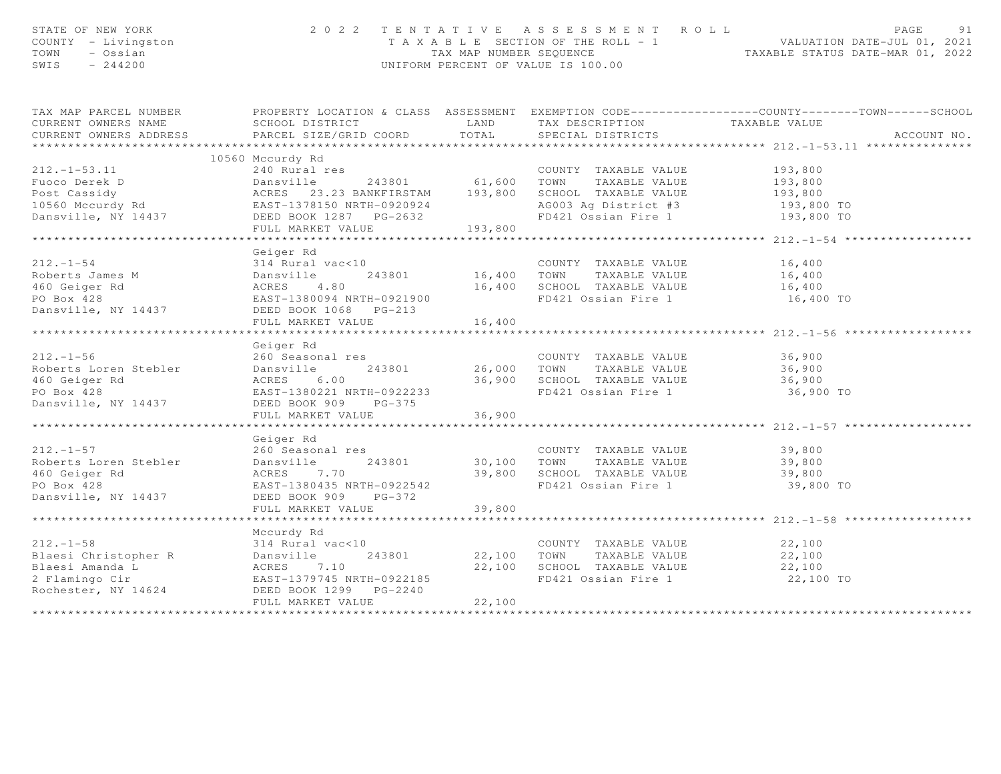| STATE OF NEW YORK<br>STATE OF NEW TO<br>COUNTY - Livingston<br>TOWN - Ossian<br>~~~~ - 244200                                                                                                                                            |                                                                                                                                                                      |                         | 2022 TENTATIVE ASSESSMENT ROLL<br>UNIFORM PERCENT OF VALUE IS 100.00             | PAGE<br>91<br>T A X A B L E SECTION OF THE ROLL - 1 VALUATION DATE-JUL 01, 2021<br>TAX MAP NUMBER SEQUENCE TAXABLE STATUS DATE-MAR 01, 2022 |
|------------------------------------------------------------------------------------------------------------------------------------------------------------------------------------------------------------------------------------------|----------------------------------------------------------------------------------------------------------------------------------------------------------------------|-------------------------|----------------------------------------------------------------------------------|---------------------------------------------------------------------------------------------------------------------------------------------|
| CURRENT OWNERS NAME                                                                                                                                                                                                                      | SCHOOL DISTRICT                          LAND         TAX DESCRIPTION                   TAXABLE VALUE PARCEL SIZE/GRID COORD          TOTAL        SPECIAL DISTRICTS |                         |                                                                                  | TAX MAP PARCEL NUMBER FROPERTY LOCATION & CLASS ASSESSMENT EXEMPTION CODE---------------COUNTY-------TOWN-----SCHOOL                        |
| CURRENT OWNERS ADDRESS                                                                                                                                                                                                                   |                                                                                                                                                                      |                         |                                                                                  | ACCOUNT NO.                                                                                                                                 |
|                                                                                                                                                                                                                                          | 10560 Mccurdy Rd                                                                                                                                                     |                         |                                                                                  |                                                                                                                                             |
| 10560 Mccurdy Rd 240 Runder Process 23.23 BANKFIRSTAM 2010 193,800<br>Post Cassidy<br>202.1-1-53.11 240 Runder 243801<br>243801 61,600 TOWN TAXABLE VALUE<br>243801 61,600 TOWN TAXABLE VALUE 193,800<br>240 RUNARES 23.23 BANKFIRSTAM 1 |                                                                                                                                                                      |                         |                                                                                  |                                                                                                                                             |
|                                                                                                                                                                                                                                          |                                                                                                                                                                      |                         |                                                                                  |                                                                                                                                             |
|                                                                                                                                                                                                                                          |                                                                                                                                                                      |                         |                                                                                  |                                                                                                                                             |
|                                                                                                                                                                                                                                          |                                                                                                                                                                      |                         | AG003 Ag District #3 193,800 TO                                                  |                                                                                                                                             |
|                                                                                                                                                                                                                                          |                                                                                                                                                                      |                         |                                                                                  | 193,800 TO                                                                                                                                  |
|                                                                                                                                                                                                                                          |                                                                                                                                                                      |                         |                                                                                  |                                                                                                                                             |
|                                                                                                                                                                                                                                          |                                                                                                                                                                      |                         |                                                                                  |                                                                                                                                             |
|                                                                                                                                                                                                                                          | Geiger Rd<br>$314$ Rural vac<10                                                                                                                                      |                         |                                                                                  |                                                                                                                                             |
| $212. -1 - 54$                                                                                                                                                                                                                           |                                                                                                                                                                      |                         | COUNTY TAXABLE VALUE 16,400                                                      |                                                                                                                                             |
|                                                                                                                                                                                                                                          |                                                                                                                                                                      |                         |                                                                                  |                                                                                                                                             |
|                                                                                                                                                                                                                                          |                                                                                                                                                                      |                         | FD421 Ossian Fire 1 16,400 TO                                                    |                                                                                                                                             |
| 16,400 COUNTY TAXABLE VALUE 16,400<br>Roberts James M Dansville 243801 16,400 TOWN TAXABLE VALUE 16,400<br>460 Geiger Rd ACRES 4.80 16,400 SCHOOL TAXABLE VALUE 16,400<br>PO Box 428 EAST-1380094 NRTH-0921900 FD421 Ossian Fire 1 1     |                                                                                                                                                                      |                         |                                                                                  |                                                                                                                                             |
|                                                                                                                                                                                                                                          | FULL MARKET VALUE                                                                                                                                                    | 16,400                  |                                                                                  |                                                                                                                                             |
|                                                                                                                                                                                                                                          |                                                                                                                                                                      |                         |                                                                                  |                                                                                                                                             |
|                                                                                                                                                                                                                                          | Geiger Rd                                                                                                                                                            |                         |                                                                                  |                                                                                                                                             |
| $212. - 1 - 56$                                                                                                                                                                                                                          | 260 Seasonal res                                                                                                                                                     |                         | COUNTY TAXABLE VALUE<br>26,000 TOWN TAXABLE VALUE<br>COUNTY TAXABLE VALUE 36,900 |                                                                                                                                             |
|                                                                                                                                                                                                                                          |                                                                                                                                                                      |                         |                                                                                  | 36,900                                                                                                                                      |
| 212.-1-36<br>Roberts Loren Stebler<br>460 Geiger Rd<br>PO Box 428<br>200 Seasonal Les<br>243801<br>24380221 NRTH-0922233                                                                                                                 |                                                                                                                                                                      |                         | 36,900 SCHOOL TAXABLE VALUE 36,900<br>FD421 Ossian Fire 1 36,900                 | 36,900 TO                                                                                                                                   |
| Dansville, NY 14437                                                                                                                                                                                                                      | DEED BOOK 909 PG-375                                                                                                                                                 |                         |                                                                                  |                                                                                                                                             |
|                                                                                                                                                                                                                                          | FULL MARKET VALUE                                                                                                                                                    | 36,900                  |                                                                                  |                                                                                                                                             |
|                                                                                                                                                                                                                                          |                                                                                                                                                                      | * * * * * * * * * * * * |                                                                                  | ********************* 212.-1-57 **                                                                                                          |
|                                                                                                                                                                                                                                          | Geiger Rd                                                                                                                                                            |                         |                                                                                  |                                                                                                                                             |
| $212. -1 - 57$                                                                                                                                                                                                                           |                                                                                                                                                                      |                         |                                                                                  |                                                                                                                                             |
| Roberts Loren Stebler                                                                                                                                                                                                                    |                                                                                                                                                                      |                         |                                                                                  |                                                                                                                                             |
| 460 Geiger Rd                                                                                                                                                                                                                            | ACRES 7.70<br>EAST-1380435 NRTH                                                                                                                                      |                         |                                                                                  |                                                                                                                                             |
| PO Box 428                                                                                                                                                                                                                               |                                                                                                                                                                      |                         |                                                                                  |                                                                                                                                             |
| Dansville, NY 14437                                                                                                                                                                                                                      | DEED BOOK 909 PG-372<br>FULL MARKET VALUE                                                                                                                            | 39,800                  |                                                                                  |                                                                                                                                             |
|                                                                                                                                                                                                                                          |                                                                                                                                                                      |                         |                                                                                  |                                                                                                                                             |
|                                                                                                                                                                                                                                          | Mccurdy Rd                                                                                                                                                           |                         |                                                                                  |                                                                                                                                             |
|                                                                                                                                                                                                                                          |                                                                                                                                                                      |                         |                                                                                  |                                                                                                                                             |
|                                                                                                                                                                                                                                          |                                                                                                                                                                      |                         |                                                                                  |                                                                                                                                             |
|                                                                                                                                                                                                                                          |                                                                                                                                                                      |                         |                                                                                  |                                                                                                                                             |
|                                                                                                                                                                                                                                          |                                                                                                                                                                      |                         |                                                                                  | 22,100 TO                                                                                                                                   |
|                                                                                                                                                                                                                                          |                                                                                                                                                                      |                         |                                                                                  |                                                                                                                                             |
|                                                                                                                                                                                                                                          | FULL MARKET VALUE                                                                                                                                                    | 22,100                  |                                                                                  |                                                                                                                                             |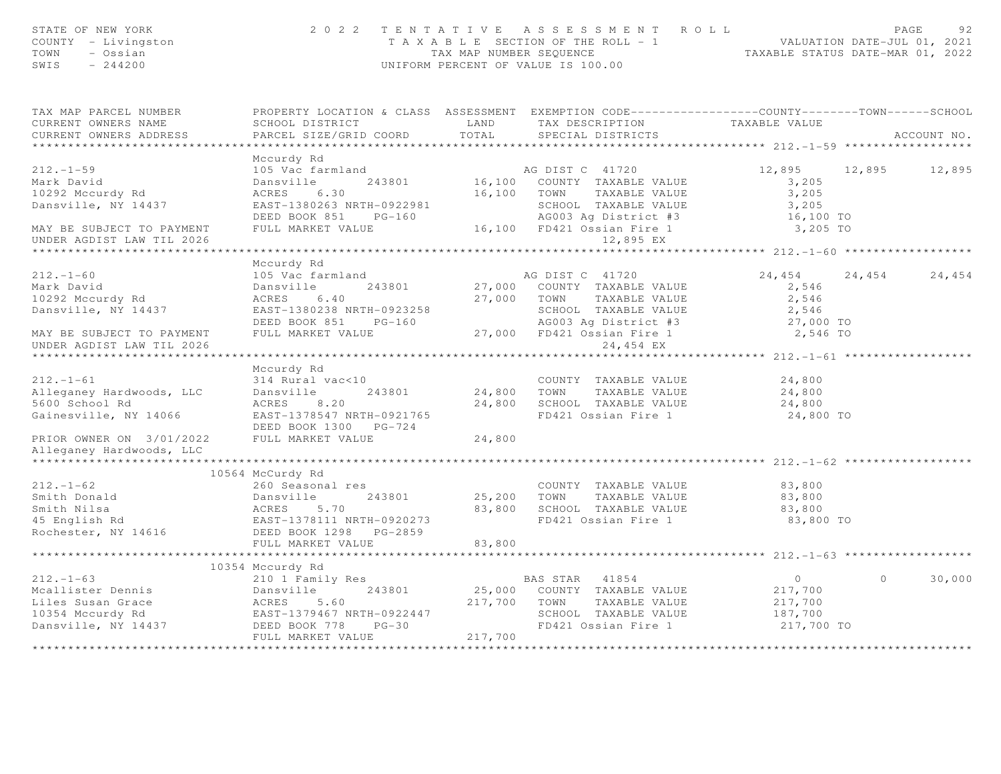| STATE OF NEW YORK<br>COUNTY - Livingston<br>TOWN - Ossian<br>SWIS - 244200                                                                                                                                                                                                                                                                                                                                      |                                                                                 |        | 2 0 2 2 TENTATIVE ASSESSMENT ROLL PAGE 92<br>TAXABLE SECTION OF THE ROLL - 1 VALUATION DATE-JUL 01, 2021<br>TAX MAP NUMBER SEQUENCE TAXABLE STATUS DATE-MAR 01, 2022<br>UNIFORM PERCENT OF VALUE IS 100.00 |                                   |             |        |
|-----------------------------------------------------------------------------------------------------------------------------------------------------------------------------------------------------------------------------------------------------------------------------------------------------------------------------------------------------------------------------------------------------------------|---------------------------------------------------------------------------------|--------|------------------------------------------------------------------------------------------------------------------------------------------------------------------------------------------------------------|-----------------------------------|-------------|--------|
| TAX MAP PARCEL NUMBER PROPERTY LOCATION & CLASS ASSESSMENT EXEMPTION CODE----------------COUNTY-------TOWN------SCHOOL<br>CURRENT OWNERS NAME                                                                                                                                                                                                                                                                   |                                                                                 |        |                                                                                                                                                                                                            |                                   |             |        |
|                                                                                                                                                                                                                                                                                                                                                                                                                 | SCHOOL DISTRICT<br>PARCEL SIZE/GRID COORD TOTAL SPECIAL DISTRICTS TAXABLE VALUE |        |                                                                                                                                                                                                            |                                   | ACCOUNT NO. |        |
|                                                                                                                                                                                                                                                                                                                                                                                                                 |                                                                                 |        |                                                                                                                                                                                                            |                                   |             |        |
|                                                                                                                                                                                                                                                                                                                                                                                                                 | Mccurdy Rd                                                                      |        |                                                                                                                                                                                                            |                                   |             |        |
| 212.-1-59<br>Mark David<br>Mark David<br>10292 Mccurdy Rd<br>243801<br>243801<br>243801<br>243801<br>243801<br>243801<br>243801<br>243801<br>26.100 COUNTY TAXABLE VALUE<br>243801<br>26.100 COUNTY TAXABLE VALUE<br>26.100 COUNTY TAXABLE VALUE<br>26.100 TAX                                                                                                                                                  |                                                                                 |        |                                                                                                                                                                                                            | 12,895 12,895 12,895              |             |        |
|                                                                                                                                                                                                                                                                                                                                                                                                                 |                                                                                 |        |                                                                                                                                                                                                            |                                   |             |        |
|                                                                                                                                                                                                                                                                                                                                                                                                                 |                                                                                 |        |                                                                                                                                                                                                            |                                   |             |        |
|                                                                                                                                                                                                                                                                                                                                                                                                                 |                                                                                 |        |                                                                                                                                                                                                            |                                   |             |        |
|                                                                                                                                                                                                                                                                                                                                                                                                                 |                                                                                 |        |                                                                                                                                                                                                            |                                   |             |        |
|                                                                                                                                                                                                                                                                                                                                                                                                                 |                                                                                 |        |                                                                                                                                                                                                            |                                   |             |        |
|                                                                                                                                                                                                                                                                                                                                                                                                                 |                                                                                 |        |                                                                                                                                                                                                            |                                   |             |        |
|                                                                                                                                                                                                                                                                                                                                                                                                                 | Mccurdy Rd                                                                      |        |                                                                                                                                                                                                            |                                   |             |        |
|                                                                                                                                                                                                                                                                                                                                                                                                                 |                                                                                 |        |                                                                                                                                                                                                            | 24, 454 24, 454 24, 454           |             |        |
|                                                                                                                                                                                                                                                                                                                                                                                                                 |                                                                                 |        |                                                                                                                                                                                                            |                                   |             |        |
|                                                                                                                                                                                                                                                                                                                                                                                                                 |                                                                                 |        |                                                                                                                                                                                                            |                                   |             |        |
|                                                                                                                                                                                                                                                                                                                                                                                                                 |                                                                                 |        |                                                                                                                                                                                                            |                                   |             |        |
|                                                                                                                                                                                                                                                                                                                                                                                                                 |                                                                                 |        |                                                                                                                                                                                                            |                                   |             |        |
|                                                                                                                                                                                                                                                                                                                                                                                                                 |                                                                                 |        |                                                                                                                                                                                                            |                                   |             |        |
| Mark David<br>Mark David Dansville 243801 27,000 COUNTY TAXABLE VALUE<br>10292 Mccurdy Rd ACRES 6.40 27,000 TOWN TAXABLE VALUE<br>2,546 27,000 TOWN TAXABLE VALUE<br>2,546 2,546 27,000 TOWN TAXABLE VALUE<br>2,546 2,546 2,546<br>MAY BE<br>UNDER AGDIST LAW TIL 2026                                                                                                                                          |                                                                                 |        | 24,454 EX                                                                                                                                                                                                  |                                   |             |        |
|                                                                                                                                                                                                                                                                                                                                                                                                                 |                                                                                 |        |                                                                                                                                                                                                            | ***************** 212.-1-61 **    |             |        |
|                                                                                                                                                                                                                                                                                                                                                                                                                 | Mccurdy Rd                                                                      |        |                                                                                                                                                                                                            |                                   |             |        |
|                                                                                                                                                                                                                                                                                                                                                                                                                 |                                                                                 |        |                                                                                                                                                                                                            |                                   |             |        |
|                                                                                                                                                                                                                                                                                                                                                                                                                 |                                                                                 |        |                                                                                                                                                                                                            |                                   |             |        |
|                                                                                                                                                                                                                                                                                                                                                                                                                 |                                                                                 |        |                                                                                                                                                                                                            |                                   |             |        |
| Mccuray ku<br>Mccuray ku<br>314 Rural vac<10<br>24,800 TOWN TAXABLE VALUE<br>24,800 TOWN TAXABLE VALUE<br>24,800 School Rd<br>3600 School Rd<br>24,800 ACRES<br>24,800 24,800 SCHOOL TAXABLE VALUE<br>24,800 SCHOOL TAXABLE VALUE<br>24,800 24,800                                                                                                                                                              |                                                                                 |        |                                                                                                                                                                                                            |                                   |             |        |
|                                                                                                                                                                                                                                                                                                                                                                                                                 | DEED BOOK 1300 PG-724                                                           |        |                                                                                                                                                                                                            |                                   |             |        |
| PRIOR OWNER ON 3/01/2022 FULL MARKET VALUE                                                                                                                                                                                                                                                                                                                                                                      |                                                                                 | 24,800 |                                                                                                                                                                                                            |                                   |             |        |
| Alleganey Hardwoods, LLC<br>*********************                                                                                                                                                                                                                                                                                                                                                               |                                                                                 |        |                                                                                                                                                                                                            |                                   |             |        |
|                                                                                                                                                                                                                                                                                                                                                                                                                 | 10564 McCurdy Rd                                                                |        |                                                                                                                                                                                                            |                                   |             |        |
|                                                                                                                                                                                                                                                                                                                                                                                                                 |                                                                                 |        |                                                                                                                                                                                                            |                                   |             |        |
|                                                                                                                                                                                                                                                                                                                                                                                                                 |                                                                                 |        |                                                                                                                                                                                                            |                                   |             |        |
|                                                                                                                                                                                                                                                                                                                                                                                                                 |                                                                                 |        |                                                                                                                                                                                                            |                                   |             |        |
|                                                                                                                                                                                                                                                                                                                                                                                                                 |                                                                                 |        |                                                                                                                                                                                                            | 83,800 TO                         |             |        |
|                                                                                                                                                                                                                                                                                                                                                                                                                 |                                                                                 |        |                                                                                                                                                                                                            |                                   |             |        |
|                                                                                                                                                                                                                                                                                                                                                                                                                 |                                                                                 |        |                                                                                                                                                                                                            |                                   |             |        |
| $\begin{array}{ccccccccc} 212.-1-62 & 10564\,\text{McCurdy Rd} & & & & \text{COUNTY TAXABLE VALUE} & 83,800\\ \text{Smith Donald} & \text{Danal} & \text{Dansville} & 243801 & 25,200\,\,\text{TOWN} & \text{TAXABLE VALUE} & 83,800\\ \text{Smith Nilsa} & \text{ACRES} & 5.70 & 83,800\,\,\text{SCHOOL TAXABLE VALUE} & 83,800\\ \text{FInglish Rd} & \text{EAST-1378111 NRTH-0920273} & & & \text{FD421 Oss$ |                                                                                 |        |                                                                                                                                                                                                            | ****************** 212.-1-63 **** |             |        |
|                                                                                                                                                                                                                                                                                                                                                                                                                 |                                                                                 |        |                                                                                                                                                                                                            |                                   |             |        |
|                                                                                                                                                                                                                                                                                                                                                                                                                 |                                                                                 |        |                                                                                                                                                                                                            |                                   | $\Omega$    | 30,000 |
|                                                                                                                                                                                                                                                                                                                                                                                                                 |                                                                                 |        |                                                                                                                                                                                                            | $0$<br>217,700                    |             |        |
|                                                                                                                                                                                                                                                                                                                                                                                                                 |                                                                                 |        |                                                                                                                                                                                                            |                                   |             |        |
|                                                                                                                                                                                                                                                                                                                                                                                                                 |                                                                                 |        |                                                                                                                                                                                                            |                                   |             |        |
| 10354 Mccurdy Rd 210 1 Family Res 212.-1-63 212.-1-63 212.-1-63 212.-1-63 212.-1-63 212.-1-63 212.-1-63 212.-1-63 212.-1-63 212.-1-63 212.-1-63 212.-1-63 212.-1-63 212.-1-63 212.-1-63 212.-1-63 212.-1-63 212.-1-63 212.-1-6                                                                                                                                                                                  |                                                                                 |        |                                                                                                                                                                                                            | 217,700 TO                        |             |        |
|                                                                                                                                                                                                                                                                                                                                                                                                                 |                                                                                 |        |                                                                                                                                                                                                            |                                   |             |        |
|                                                                                                                                                                                                                                                                                                                                                                                                                 |                                                                                 |        |                                                                                                                                                                                                            |                                   |             |        |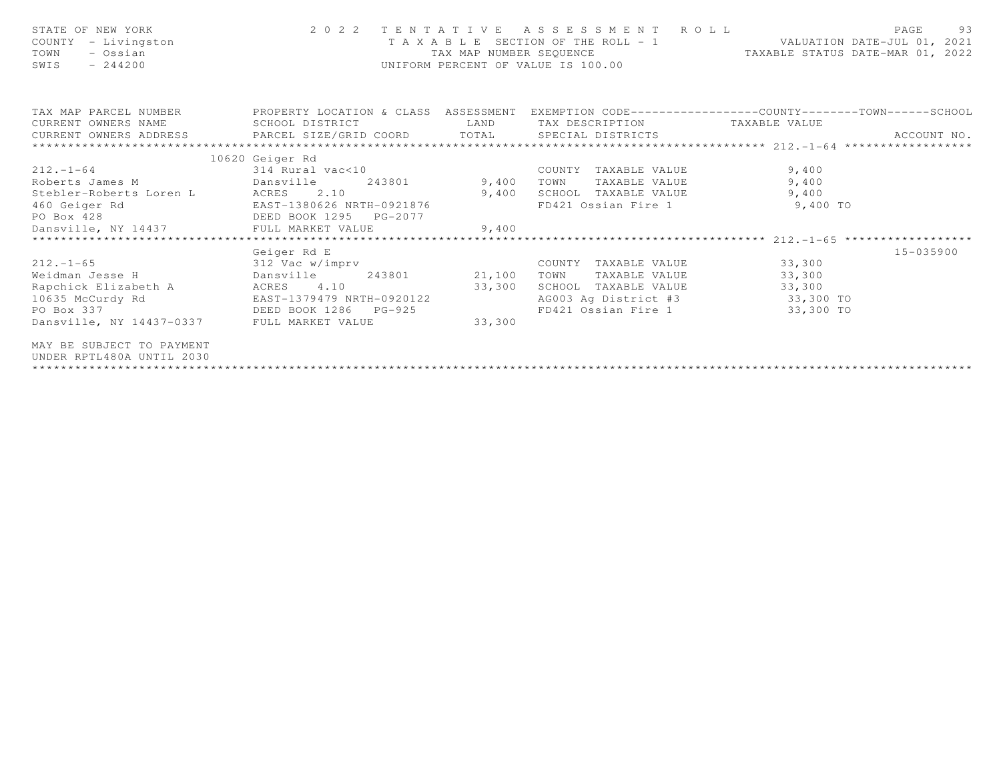| STATE OF NEW YORK<br>COUNTY - Livingston<br>- Ossian<br>TOWN<br>SWIS<br>$-244200$                                                                | 2 0 2 2                   | TAX MAP NUMBER SEOUENCE                                                                                                | TENTATIVE ASSESSMENT ROLL<br>T A X A B L E SECTION OF THE ROLL - 1 VALUATION DATE-JUL 01, 2021<br>UNIFORM PERCENT OF VALUE IS 100.00 | TAXABLE STATUS DATE-MAR 01, 2022 | 93<br>PAGE    |
|--------------------------------------------------------------------------------------------------------------------------------------------------|---------------------------|------------------------------------------------------------------------------------------------------------------------|--------------------------------------------------------------------------------------------------------------------------------------|----------------------------------|---------------|
| TAX MAP PARCEL NUMBER THE PROPERTY LOCATION & CLASS ASSESSMENT EXEMPTION CODE--------------COUNTY--------TOWN------SCHOOL<br>CURRENT OWNERS NAME | SCHOOL DISTRICT           | <b>EXAMPLE SERVICE SERVICE SERVICE SERVICE SERVICE SERVICE SERVICE SERVICE SERVICE SERVICE SERVICE SERVICE SERVICE</b> | TAX DESCRIPTION TAXABLE VALUE                                                                                                        |                                  |               |
|                                                                                                                                                  |                           |                                                                                                                        |                                                                                                                                      |                                  | ACCOUNT NO.   |
|                                                                                                                                                  |                           |                                                                                                                        |                                                                                                                                      |                                  |               |
|                                                                                                                                                  | 10620 Geiger Rd           |                                                                                                                        |                                                                                                                                      |                                  |               |
| $212. - 1 - 64$                                                                                                                                  | 314 Rural vac<10          |                                                                                                                        | COUNTY TAXABLE VALUE                                                                                                                 | 9,400                            |               |
| Dansville<br>Roberts James M                                                                                                                     |                           | 243801 9,400                                                                                                           | TOWN<br>TAXABLE VALUE                                                                                                                | 9,400                            |               |
| Stebler-Roberts Loren L ACRES                                                                                                                    | 2.10                      | 9,400                                                                                                                  | SCHOOL TAXABLE VALUE                                                                                                                 | 9,400                            |               |
| 460 Geiger Rd                                                                                                                                    | EAST-1380626 NRTH-0921876 |                                                                                                                        | FD421 Ossian Fire 1                                                                                                                  | 9,400 TO                         |               |
|                                                                                                                                                  |                           |                                                                                                                        |                                                                                                                                      |                                  |               |
| PO Box 428<br>DEED BOOK 1295 PG-2077<br>Dansville, NY 14437 FULL MARKET VALUE 9,400                                                              |                           |                                                                                                                        |                                                                                                                                      |                                  |               |
|                                                                                                                                                  |                           |                                                                                                                        |                                                                                                                                      |                                  |               |
|                                                                                                                                                  | Geiger Rd E               |                                                                                                                        |                                                                                                                                      |                                  | $15 - 035900$ |
| $212. - 1 - 65$                                                                                                                                  | 312 Vac w/imprv           |                                                                                                                        | COUNTY TAXABLE VALUE                                                                                                                 | 33,300                           |               |
| Dansville<br>Weidman Jesse H                                                                                                                     | 243801 21,100             |                                                                                                                        | TAXABLE VALUE<br>TOWN                                                                                                                | 33,300                           |               |
| Rapchick Elizabeth A ACRES                                                                                                                       | 4.10                      | 33,300                                                                                                                 | SCHOOL TAXABLE VALUE                                                                                                                 | 33,300                           |               |
| 10635 McCurdy Rd                                                                                                                                 | EAST-1379479 NRTH-0920122 |                                                                                                                        | AG003 Ag District #3 33,300 TO                                                                                                       |                                  |               |
| PO Box 337<br>DEED BOOK 1286                                                                                                                     | $PG-925$                  |                                                                                                                        | FD421 Ossian Fire 1 33,300 TO                                                                                                        |                                  |               |
| Dansville, NY 14437-0337                                                                                                                         | FULL MARKET VALUE         | 33,300                                                                                                                 |                                                                                                                                      |                                  |               |
| MAY BE SUBJECT TO PAYMENT<br>UNDER RPTL480A UNTIL 2030                                                                                           |                           |                                                                                                                        |                                                                                                                                      |                                  |               |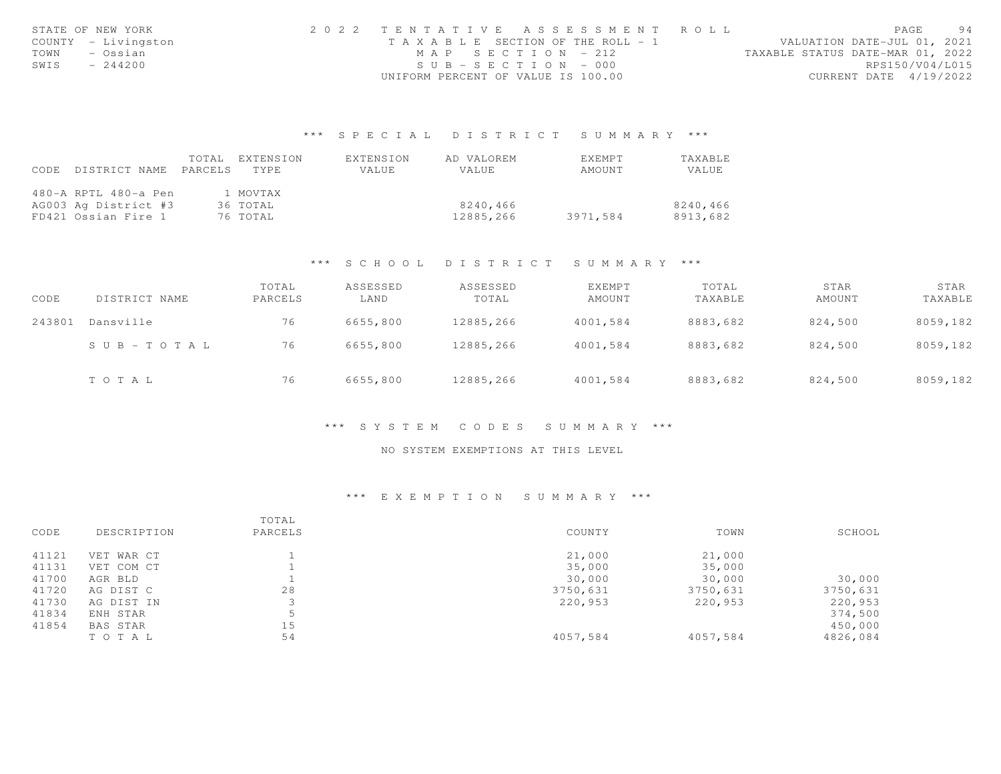| STATE OF NEW YORK |                     | 2022 TENTATIVE ASSESSMENT ROLL     |  |  |                                  |                        | PAGE | 94 |
|-------------------|---------------------|------------------------------------|--|--|----------------------------------|------------------------|------|----|
|                   | COUNTY - Livingston | TAXABLE SECTION OF THE ROLL - 1    |  |  | VALUATION DATE-JUL 01, 2021      |                        |      |    |
| TOWN              | – Ossian            | MAP SECTION - 212                  |  |  | TAXABLE STATUS DATE-MAR 01, 2022 |                        |      |    |
| SWIS              | $-244200$           | $SUB - SECTION - 000$              |  |  |                                  | RPS150/V04/L015        |      |    |
|                   |                     | UNIFORM PERCENT OF VALUE IS 100.00 |  |  |                                  | CURRENT DATE 4/19/2022 |      |    |

# \*\*\* S P E C I A L D I S T R I C T S U M M A R Y \*\*\*

|      |                            | TOTAL EXTENSION | EXTENSION | AD VALOREM | <b>EXEMPT</b> | TAXABLE  |
|------|----------------------------|-----------------|-----------|------------|---------------|----------|
| CODE | DISTRICT NAME PARCELS TYPE |                 | VALUE     | VALUE      | AMOUNT        | VALUE    |
|      |                            |                 |           |            |               |          |
|      | 480-A RPTL 480-a Pen       | 1 MOVTAX        |           |            |               |          |
|      | AG003 Ag District #3       | 36 TOTAL        |           | 8240.466   |               | 8240,466 |
|      | FD421 Ossian Fire 1        | 76 TOTAL        |           | 12885,266  | 3971,584      | 8913,682 |

# \*\*\* S C H O O L D I S T R I C T S U M M A R Y \*\*\*

| CODE   | DISTRICT NAME | TOTAL<br>PARCELS | ASSESSED<br>LAND | ASSESSED<br>TOTAL | EXEMPT<br>AMOUNT | TOTAL<br>TAXABLE | STAR<br>AMOUNT | STAR<br>TAXABLE |
|--------|---------------|------------------|------------------|-------------------|------------------|------------------|----------------|-----------------|
| 243801 | Dansville     | 76               | 6655,800         | 12885,266         | 4001,584         | 8883,682         | 824,500        | 8059,182        |
|        | SUB-TOTAL     | 76               | 6655,800         | 12885,266         | 4001,584         | 8883,682         | 824,500        | 8059,182        |
|        | TOTAL         | 76               | 6655,800         | 12885,266         | 4001,584         | 8883,682         | 824,500        | 8059,182        |

## \*\*\* S Y S T E M C O D E S S U M M A R Y \*\*\*

## NO SYSTEM EXEMPTIONS AT THIS LEVEL

## \*\*\* E X E M P T I O N S U M M A R Y \*\*\*

|       |             | TOTAL   |          |          |          |
|-------|-------------|---------|----------|----------|----------|
| CODE  | DESCRIPTION | PARCELS | COUNTY   | TOWN     | SCHOOL   |
| 41121 | VET WAR CT  |         | 21,000   | 21,000   |          |
| 41131 | VET COM CT  |         | 35,000   | 35,000   |          |
| 41700 | AGR BLD     |         | 30,000   | 30,000   | 30,000   |
| 41720 | AG DIST C   | 28      | 3750,631 | 3750,631 | 3750,631 |
| 41730 | AG DIST IN  |         | 220,953  | 220,953  | 220,953  |
| 41834 | ENH STAR    | 5       |          |          | 374,500  |
| 41854 | BAS STAR    | 15      |          |          | 450,000  |
|       | TO TAL      | 54      | 4057,584 | 4057,584 | 4826,084 |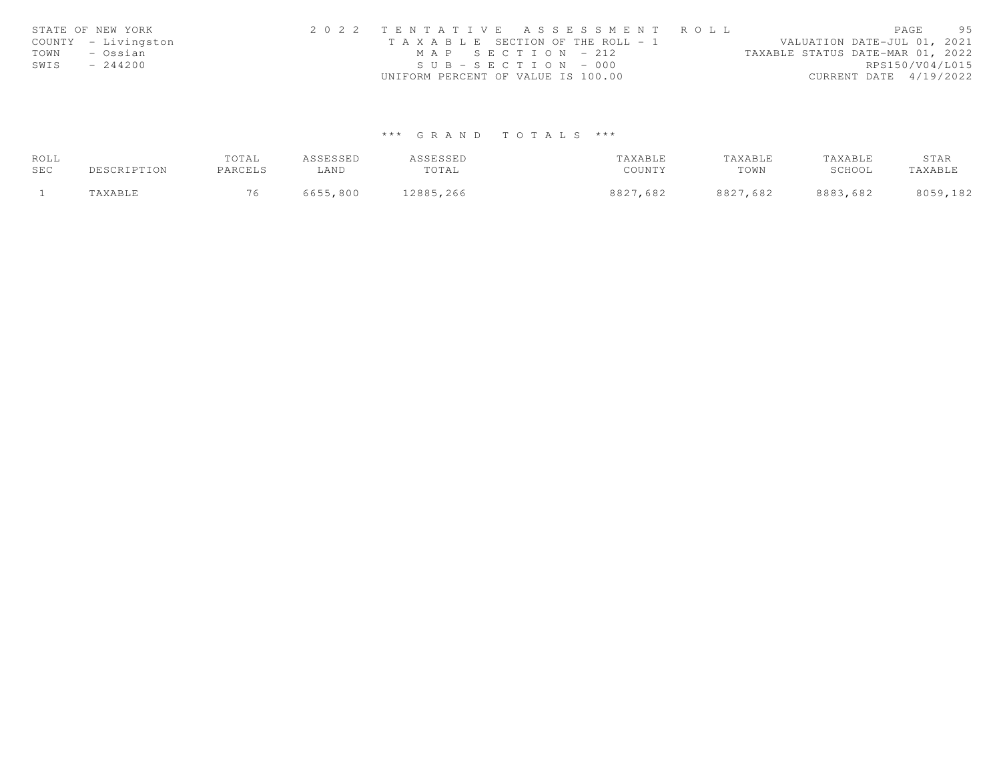|      | STATE OF NEW YORK   | 2022 TENTATIVE ASSESSMENT ROLL        |                                  | PAGE | 95 |
|------|---------------------|---------------------------------------|----------------------------------|------|----|
|      | COUNTY - Livingston | T A X A B L E SECTION OF THE ROLL - 1 | VALUATION DATE-JUL 01, 2021      |      |    |
| TOWN | – Ossian            | $MAP$ SECTION - 212                   | TAXABLE STATUS DATE-MAR 01, 2022 |      |    |
| SWIS | $-244200$           | $SUB - SECTION - 000$                 | RPS150/V04/L015                  |      |    |
|      |                     | UNIFORM PERCENT OF VALUE IS 100.00    | CURRENT DATE 4/19/2022           |      |    |

# \*\*\* G R A N D T O T A L S \*\*\*

| ROLL |             | TOTAL   | ASSESSED | ASSESSED  | TAXABLE  | TAXABLE  | TAXABLE  | STAR     |
|------|-------------|---------|----------|-----------|----------|----------|----------|----------|
| SEC  | DESCRIPTION | PARCELS | LAND     | TOTAL     | COUNTY   | TOWN     | SCHOOL   | TAXABLE  |
|      | TAXABLE     |         | 6655,800 | 12885,266 | 8827,682 | 8827,682 | 8883,682 | 8059,182 |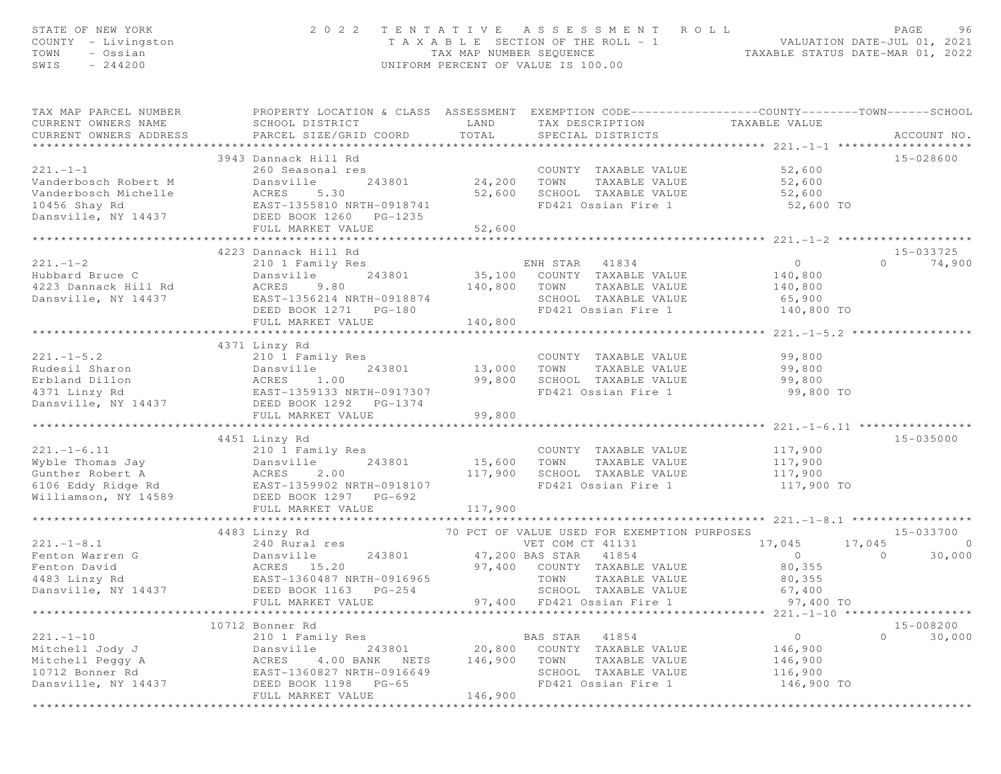| STATE OF NEW YORK<br>COUNTY - Livingston<br>TOWN<br>- Ossian<br>$-244200$<br>SWIS                       | 2 0 2 2                                                                                                                                                                         | TAX MAP NUMBER SEQUENCE                      | TENTATIVE ASSESSMENT ROLL<br>T A X A B L E SECTION OF THE ROLL - 1<br>UNIFORM PERCENT OF VALUE IS 100.00                                                                                 | ROLL - 1<br>TAXABLE STATUS DATE-MAR 01, 2022<br>TAXABLE STATUS DATE-MAR 01, 2022                   | PAGE<br>96                                                |
|---------------------------------------------------------------------------------------------------------|---------------------------------------------------------------------------------------------------------------------------------------------------------------------------------|----------------------------------------------|------------------------------------------------------------------------------------------------------------------------------------------------------------------------------------------|----------------------------------------------------------------------------------------------------|-----------------------------------------------------------|
| TAX MAP PARCEL NUMBER<br>CURRENT OWNERS NAME<br>CURRENT OWNERS ADDRESS                                  | PROPERTY LOCATION & CLASS ASSESSMENT EXEMPTION CODE----------------COUNTY-------TOWN------SCHOOL<br>SCHOOL DISTRICT<br>PARCEL SIZE/GRID COORD                                   | LAND<br>TOTAL                                | TAX DESCRIPTION<br>SPECIAL DISTRICTS                                                                                                                                                     | TAXABLE VALUE                                                                                      | ACCOUNT NO.                                               |
| $221 - 1 - 1$<br>Vanderbosch Robert M<br>Vanderbosch Michelle<br>10456 Shay Rd<br>Dansville, NY 14437   | 3943 Dannack Hill Rd<br>260 Seasonal res<br>Dansville<br>243801<br>ACRES 3.30<br>EAST-1355810 NRTH-0918741<br>DEED BOOK 1260 PG-1235<br>FULL MARKET VALUE                       | COUNT<br>24,200 TOWN<br>52,600<br>52,600     | COUNTY TAXABLE VALUE<br>TAXABLE VALUE<br>SCHOOL TAXABLE VALUE<br>FD421 Ossian Fire 1                                                                                                     | 52,600<br>52,600<br>52,600<br>52,600 TO                                                            | 15-028600                                                 |
|                                                                                                         | *********************************                                                                                                                                               | **************                               |                                                                                                                                                                                          |                                                                                                    |                                                           |
| $221. - 1 - 2$<br>Hubbard Bruce C<br>4223 Dannack Hill Rd<br>Dansville, NY 14437                        | 4223 Dannack Hill Rd<br>210 1 Family Res<br>Dansville<br>243801<br>ACRES<br>9.80<br>EAST-1356214 NRTH-0918874<br>DEED BOOK 1271    PG-180<br>FULL MARKET VALUE                  | 140,800 TOWN<br>140,800                      | ENH STAR<br>41834<br>35,100 COUNTY TAXABLE VALUE<br>TAXABLE VALUE<br>SCHOOL TAXABLE VALUE<br>FD421 Ossian Fire 1                                                                         | $\overline{0}$<br>140,800<br>140,800<br>65,900<br>140,800 TO                                       | 15-033725<br>$\Omega$<br>74,900                           |
|                                                                                                         |                                                                                                                                                                                 |                                              |                                                                                                                                                                                          |                                                                                                    |                                                           |
| $221. - 1 - 5.2$<br>Rudesil Sharon<br>Erbland Dillon<br>4371 Linzy Rd<br>Dansville, NY 14437            | 4371 Linzy Rd<br>210 1 Family Res<br>243801<br>Dansville<br>1.00<br>ACRES<br>EAST-1359133 NRTH-0917307<br>DEED BOOK 1292 PG-1374<br>FULL MARKET VALUE                           | 13,000<br>99,800<br>99,800                   | COUNTY TAXABLE VALUE<br>TOWN<br>TAXABLE VALUE<br>SCHOOL TAXABLE VALUE<br>FD421 Ossian Fire 1                                                                                             | 99,800<br>99,800<br>99,800<br>99,800 TO                                                            |                                                           |
| $221. - 1 - 6.11$<br>Wyble Thomas Jay<br>Gunther Robert A<br>6106 Eddy Ridge Rd<br>Williamson, NY 14589 | 4451 Linzy Rd<br>210 1 Family Res<br>243801<br>Dansville<br>2.00<br>ACRES<br>EAST-1359902 NRTH-0918107<br>DEED BOOK 1297 PG-692<br>FULL MARKET VALUE<br>*********************** | 15,600<br>117,900<br>117,900<br>************ | COUNTY TAXABLE VALUE<br>TAXABLE VALUE<br>TOWN<br>SCHOOL TAXABLE VALUE<br>FD421 Ossian Fire 1                                                                                             | 117,900<br>117,900<br>117,900<br>117,900 TO<br>********************* 221.-1-8.1 ****************** | 15-035000                                                 |
|                                                                                                         |                                                                                                                                                                                 |                                              |                                                                                                                                                                                          |                                                                                                    |                                                           |
| $221. -1 - 8.1$<br>Fenton Warren G<br>Fenton David<br>4483 Linzy Rd<br>Dansville, NY 14437              | 4483 Linzy Rd<br>240 Rural res<br>243801<br>Dansville<br>ACRES 15.20<br>EAST-1360487 NRTH-0916965<br>DEED BOOK 1163 PG-254<br>FULL MARKET VALUE                                 | 97,400<br>97,400                             | 70 PCT OF VALUE USED FOR EXEMPTION PURPOSES<br>VET COM CT 41131<br>47,200 BAS STAR 41854<br>COUNTY TAXABLE VALUE<br>TOWN<br>TAXABLE VALUE<br>SCHOOL TAXABLE VALUE<br>FD421 Ossian Fire 1 | 17,045<br>$\circ$<br>80,355<br>80,355<br>67,400<br>97,400 TO                                       | $15 - 033700$<br>17,045<br>$\Omega$<br>$\Omega$<br>30,000 |
|                                                                                                         |                                                                                                                                                                                 |                                              |                                                                                                                                                                                          |                                                                                                    |                                                           |
| $221. - 1 - 10$<br>Mitchell Jody J<br>Mitchell Peggy A<br>10712 Bonner Rd<br>Dansville, NY 14437        | 10712 Bonner Rd<br>210 1 Family Res<br>243801<br>Dansville<br>4.00 BANK<br>ACRES<br>NETS<br>EAST-1360827 NRTH-0916649<br>DEED BOOK 1198 PG-65<br>FULL MARKET VALUE              | 20,800<br>146,900<br>146,900                 | 41854<br>BAS STAR<br>COUNTY TAXABLE VALUE<br>TOWN<br>TAXABLE VALUE<br>SCHOOL TAXABLE VALUE<br>FD421 Ossian Fire 1                                                                        | $\circ$<br>146,900<br>146,900<br>116,900<br>146,900 TO                                             | 15-008200<br>$\circ$<br>30,000                            |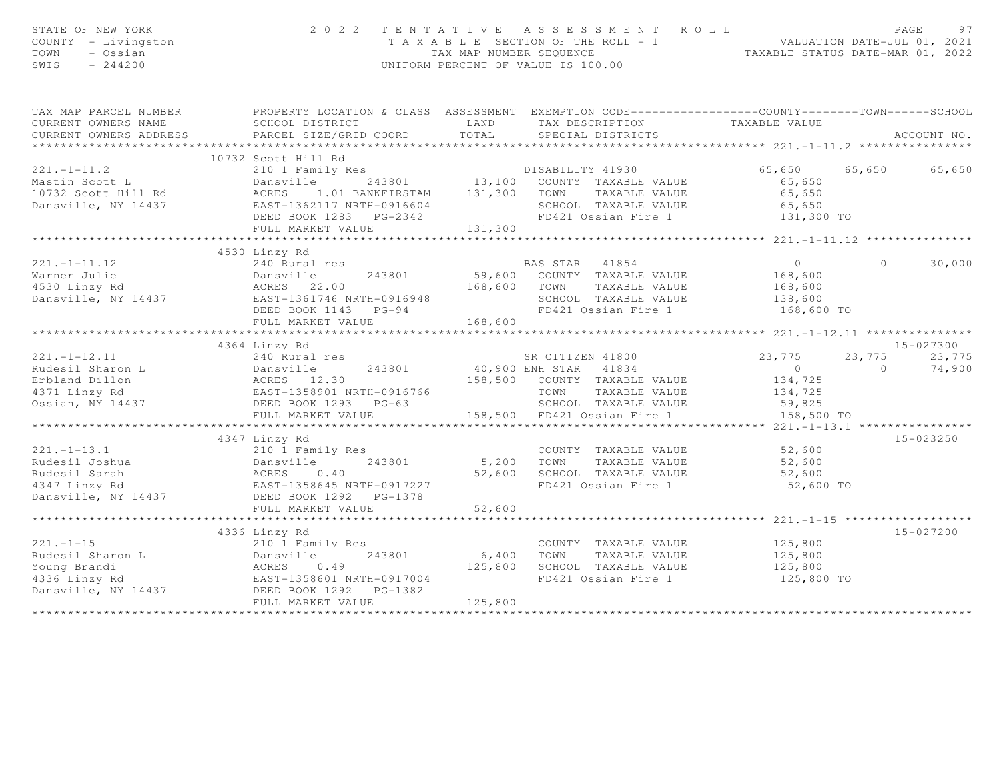| STATE OF NEW YORK<br>COUNTY - Livingston<br>TOWN<br>- Ossian<br>SWIS<br>$-244200$                                                                                                                                                                    |                                |         | 2022 TENTATIVE ASSESSMENT ROLL<br>TAXABLE SECTION OF THE ROLL - 1<br>TAX MAP NUMBER SEQUENCE<br>TAXABLE STATUS DATE-JUL 01, 2021<br>TAXABLE STATUS DATE-MAR 01, 2022<br>UNIFORM PERCENT OF VALUE IS 100.00 |                                                        |                | PAGE<br>97  |
|------------------------------------------------------------------------------------------------------------------------------------------------------------------------------------------------------------------------------------------------------|--------------------------------|---------|------------------------------------------------------------------------------------------------------------------------------------------------------------------------------------------------------------|--------------------------------------------------------|----------------|-------------|
| TAX MAP PARCEL NUMBER THE PROPERTY LOCATION & CLASS ASSESSMENT EXEMPTION CODE--------------COUNTY-------TOWN------SCHOOL                                                                                                                             |                                |         |                                                                                                                                                                                                            |                                                        |                |             |
| CURRENT OWNERS NAME                                                                                                                                                                                                                                  |                                |         | SCHOOL DISTRICT                          LAND          TAX DESCRIPTION                    TAXABLE VALUE PARCEL SIZE/GRID COORD         TOTAL       SPECIAL DISTRICTS                                       |                                                        |                |             |
| CURRENT OWNERS ADDRESS                                                                                                                                                                                                                               |                                |         |                                                                                                                                                                                                            |                                                        |                | ACCOUNT NO. |
|                                                                                                                                                                                                                                                      | 10732 Scott Hill Rd            |         |                                                                                                                                                                                                            |                                                        |                |             |
| 10732 Scott Hill Rd<br>210 1 Family Res<br>Mastin Scott L Dansville ACRES<br>243801 13,100 COUNTY TAXABLE VALUE 65,650<br>243801 131,300 TOWN TAXABLE VALUE 65,650<br>243801 131,300 TOWN TAXABLE VALUE 65,650<br>243801 131,300 TOWN TAXA           |                                |         |                                                                                                                                                                                                            | 65,650 65,650 65,650                                   |                |             |
|                                                                                                                                                                                                                                                      |                                |         |                                                                                                                                                                                                            |                                                        |                |             |
|                                                                                                                                                                                                                                                      |                                |         |                                                                                                                                                                                                            |                                                        |                |             |
|                                                                                                                                                                                                                                                      |                                |         |                                                                                                                                                                                                            |                                                        |                |             |
|                                                                                                                                                                                                                                                      |                                |         |                                                                                                                                                                                                            |                                                        |                |             |
|                                                                                                                                                                                                                                                      |                                |         |                                                                                                                                                                                                            |                                                        |                |             |
|                                                                                                                                                                                                                                                      |                                |         |                                                                                                                                                                                                            |                                                        |                |             |
|                                                                                                                                                                                                                                                      | 4530 Linzy Rd<br>240 Rural res |         |                                                                                                                                                                                                            |                                                        |                |             |
| $221. -1 - 11.12$                                                                                                                                                                                                                                    |                                |         | BAS STAR 41854 0                                                                                                                                                                                           |                                                        | $\Omega$       | 30,000      |
|                                                                                                                                                                                                                                                      |                                |         |                                                                                                                                                                                                            | 168,600<br>168,600                                     |                |             |
|                                                                                                                                                                                                                                                      |                                |         |                                                                                                                                                                                                            | 138,600                                                |                |             |
| Warner Julie 1999<br>Warner Julie 1999<br>Marner Julie 1999<br>Marner Julie 1999<br>Marner Julie 1999<br>Marsville, NY 14437<br>Marsville, NY 14437<br>Marsville, NY 14437<br>Marsville, NY 14437<br>Marsville, NY 14437<br>Marsville, NY 14437<br>M |                                |         |                                                                                                                                                                                                            | 168,600 TO                                             |                |             |
|                                                                                                                                                                                                                                                      | FULL MARKET VALUE              | 168,600 |                                                                                                                                                                                                            |                                                        |                |             |
|                                                                                                                                                                                                                                                      |                                |         |                                                                                                                                                                                                            |                                                        |                |             |
|                                                                                                                                                                                                                                                      | 4364 Linzy Rd                  |         |                                                                                                                                                                                                            |                                                        |                | 15-027300   |
|                                                                                                                                                                                                                                                      | 240 Rural res                  |         | SR CITIZEN 41800<br>40,900 ENH STAR 41834<br>SR CITIZEN 41800 23,775                                                                                                                                       |                                                        | 23,775         | 23,775      |
|                                                                                                                                                                                                                                                      |                                |         |                                                                                                                                                                                                            | $\overline{0}$                                         | $\overline{a}$ | 74,900      |
| 221.-1-12.11 240 Rudesil Sharon L 240 Rudesil Sharon L 240 Rudesil Sharon L 240 Rudesil Sharon L 240 Rudesil Sharon L 240 Rudesil Sharon L 240 Rudesil Sharon L 240 Russille 243801 40,900 ENH STAR 41834<br>221.-1-12.11 22 Bas                     |                                |         | 158,500 COUNTY TAXABLE VALUE                                                                                                                                                                               | 134,725                                                |                |             |
|                                                                                                                                                                                                                                                      |                                |         |                                                                                                                                                                                                            | 134,725                                                |                |             |
|                                                                                                                                                                                                                                                      |                                |         | SCHOOL TAXABLE VALUE 59,825<br>158,500 FD421 Ossian Fire 1                                                                                                                                                 |                                                        |                |             |
|                                                                                                                                                                                                                                                      | FULL MARKET VALUE              |         | ***********************************                                                                                                                                                                        | 158,500 TO<br>********** 221.-1-13.1 ***************** |                |             |
|                                                                                                                                                                                                                                                      | 4347 Linzy Rd                  |         |                                                                                                                                                                                                            |                                                        |                | 15-023250   |
|                                                                                                                                                                                                                                                      |                                |         |                                                                                                                                                                                                            |                                                        |                |             |
|                                                                                                                                                                                                                                                      |                                |         |                                                                                                                                                                                                            | 52,600<br>52,600                                       |                |             |
|                                                                                                                                                                                                                                                      |                                |         |                                                                                                                                                                                                            | 52,600                                                 |                |             |
|                                                                                                                                                                                                                                                      |                                |         |                                                                                                                                                                                                            | 52,600 TO                                              |                |             |
|                                                                                                                                                                                                                                                      |                                |         |                                                                                                                                                                                                            |                                                        |                |             |
|                                                                                                                                                                                                                                                      | FULL MARKET VALUE              | 52,600  |                                                                                                                                                                                                            |                                                        |                |             |
|                                                                                                                                                                                                                                                      | **************************     |         |                                                                                                                                                                                                            |                                                        |                |             |
|                                                                                                                                                                                                                                                      | 4336 Linzy Rd                  |         |                                                                                                                                                                                                            |                                                        |                | 15-027200   |
|                                                                                                                                                                                                                                                      |                                |         | COUNTY TAXABLE VALUE                                                                                                                                                                                       | 125,800                                                |                |             |
| 221.-1-15<br>Rudesil Sharon L<br>Young Brandi<br>4336 Linzy Rd<br>243801<br>4336 Linzy Rd<br>26.1358601 NRTH-0917004<br>26.1358601 NRTH-0917004<br>26.1392<br>26.1392<br>26.1392<br>26.1392                                                          |                                |         | TAXABLE VALUE<br>125,800 SCHOOL TAXABLE VALUE                                                                                                                                                              | 125,800<br>125,800                                     |                |             |
|                                                                                                                                                                                                                                                      |                                |         | FD421 Ossian Fire 1                                                                                                                                                                                        | 125,800 TO                                             |                |             |
|                                                                                                                                                                                                                                                      |                                |         |                                                                                                                                                                                                            |                                                        |                |             |
|                                                                                                                                                                                                                                                      | FULL MARKET VALUE              | 125,800 |                                                                                                                                                                                                            |                                                        |                |             |
|                                                                                                                                                                                                                                                      |                                |         |                                                                                                                                                                                                            |                                                        |                |             |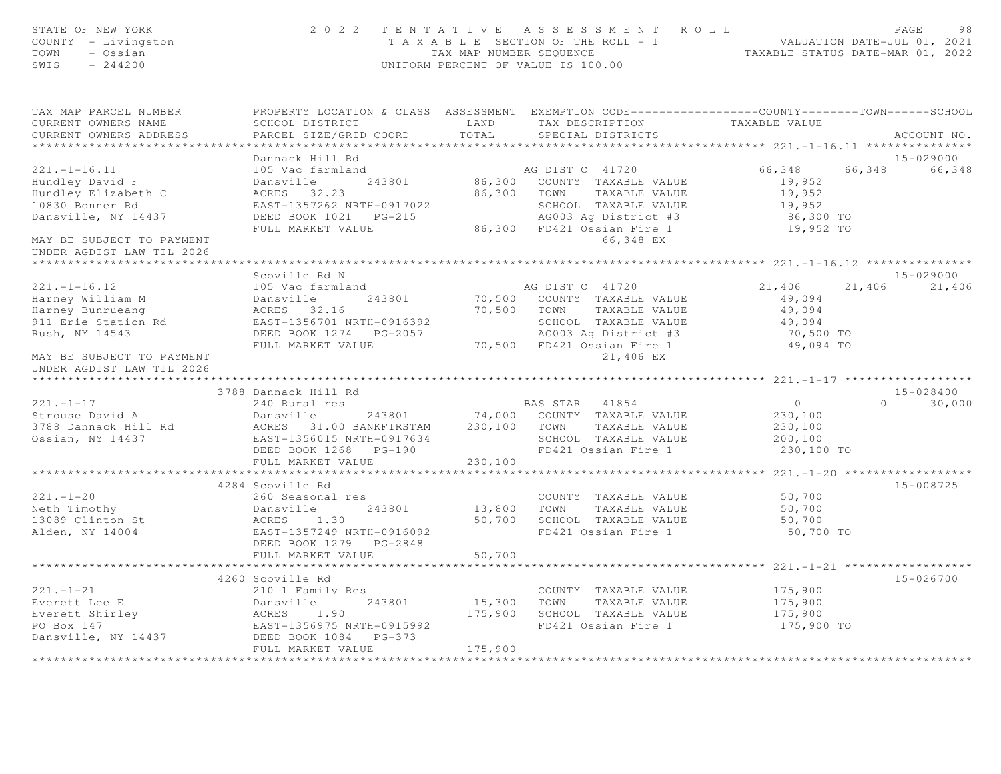| STATE OF NEW YORK<br>COUNTY - Livingston<br>TOWN<br>- Ossian<br>SWIS $-244200$ | 2022 TENTATIVE ASSESSMENT ROLL<br>PAGE<br>TAXABLE SECTION OF THE ROLL - 1 VALUATION DATE-JUL 01, 2021<br>TAX MAP NUMBER SEQUENCE TAXABLE STATUS DATE-MAR 01, 2022<br>UNIFORM PERCENT OF VALUE IS 100.00 |                               |                                                                                                  |                                               |                    |  |  |
|--------------------------------------------------------------------------------|---------------------------------------------------------------------------------------------------------------------------------------------------------------------------------------------------------|-------------------------------|--------------------------------------------------------------------------------------------------|-----------------------------------------------|--------------------|--|--|
| TAX MAP PARCEL NUMBER                                                          |                                                                                                                                                                                                         |                               | PROPERTY LOCATION & CLASS ASSESSMENT EXEMPTION CODE----------------COUNTY-------TOWN------SCHOOL |                                               |                    |  |  |
| CURRENT OWNERS NAME<br>CURRENT OWNERS ADDRESS                                  | SCHOOL DISTRICT<br>PARCEL SIZE/GRID COORD                                                                                                                                                               | LAND<br>TOTAL                 | TAX DESCRIPTION<br>SPECIAL DISTRICTS                                                             | TAXABLE VALUE                                 | ACCOUNT NO.        |  |  |
| **********************                                                         |                                                                                                                                                                                                         |                               |                                                                                                  |                                               |                    |  |  |
|                                                                                | Dannack Hill Rd                                                                                                                                                                                         |                               |                                                                                                  |                                               | 15-029000          |  |  |
| $221. - 1 - 16.11$                                                             | 105 Vac farmland                                                                                                                                                                                        |                               | AG DIST C 41720                                                                                  | 66,348                                        | 66,348 66,348      |  |  |
| Hundley David F                                                                | Dansville<br>243801                                                                                                                                                                                     |                               | 86,300 COUNTY TAXABLE VALUE                                                                      | 19,952                                        |                    |  |  |
| Hundley Elizabeth C                                                            | ACRES 32.23                                                                                                                                                                                             |                               | 86,300 TOWN TAXABLE VALUE                                                                        | 19,952                                        |                    |  |  |
| 10830 Bonner Rd                                                                | EAST-1357262 NRTH-0917022                                                                                                                                                                               |                               | SCHOOL TAXABLE VALUE                                                                             | 19,952                                        |                    |  |  |
| Dansville, NY 14437                                                            | DEED BOOK 1021    PG-215                                                                                                                                                                                |                               | AG003 Ag District #3                                                                             | 86,300 TO                                     |                    |  |  |
|                                                                                | FULL MARKET VALUE                                                                                                                                                                                       |                               | 86,300 FD421 Ossian Fire 1                                                                       | 19,952 TO                                     |                    |  |  |
| MAY BE SUBJECT TO PAYMENT<br>UNDER AGDIST LAW TIL 2026                         |                                                                                                                                                                                                         |                               | 66,348 EX                                                                                        |                                               |                    |  |  |
|                                                                                |                                                                                                                                                                                                         |                               |                                                                                                  | *************** 221.-1-16.12 **************** |                    |  |  |
|                                                                                | Scoville Rd N                                                                                                                                                                                           |                               |                                                                                                  |                                               | 15-029000          |  |  |
| $221. - 1 - 16.12$                                                             | 105 Vac farmland                                                                                                                                                                                        |                               | AG DIST C 41720                                                                                  | 21,406                                        | 21,406 21,406      |  |  |
| Harney William M                                                               | Dansville 243801                                                                                                                                                                                        |                               | 70,500 COUNTY TAXABLE VALUE                                                                      | 49,094                                        |                    |  |  |
| Harney Bunrueang<br>911 Erie Station Rd                                        | ACRES 32.16<br>EAST-1356701 NRTH-0916392                                                                                                                                                                |                               | 70,500 TOWN TAXABLE VALUE<br>SCHOOL TAXABLE VALUE                                                | 49,094                                        |                    |  |  |
| Rush, NY 14543                                                                 |                                                                                                                                                                                                         |                               | AG003 Ag District #3                                                                             | 49,094<br>70,500 TO                           |                    |  |  |
|                                                                                | FULL MARKET VALUE                                                                                                                                                                                       |                               | 70,500 FD421 Ossian Fire 1                                                                       | 49,094 TO                                     |                    |  |  |
| MAY BE SUBJECT TO PAYMENT                                                      |                                                                                                                                                                                                         |                               | 21,406 EX                                                                                        |                                               |                    |  |  |
| UNDER AGDIST LAW TIL 2026                                                      |                                                                                                                                                                                                         |                               |                                                                                                  |                                               |                    |  |  |
|                                                                                |                                                                                                                                                                                                         |                               |                                                                                                  |                                               |                    |  |  |
|                                                                                | 3788 Dannack Hill Rd                                                                                                                                                                                    |                               |                                                                                                  |                                               | 15-028400          |  |  |
| $221. - 1 - 17$                                                                | 240 Rural res                                                                                                                                                                                           |                               | BAS STAR 41854                                                                                   | $\overline{0}$                                | 30,000<br>$\Omega$ |  |  |
| Strouse David A                                                                | Dansville<br>243801                                                                                                                                                                                     |                               | 74,000 COUNTY TAXABLE VALUE                                                                      | 230,100                                       |                    |  |  |
| 3788 Dannack Hill Rd                                                           | ACRES 31.00 BANKFIRSTAM                                                                                                                                                                                 |                               | 230,100 TOWN TAXABLE VALUE                                                                       | 230,100                                       |                    |  |  |
| Ossian, NY 14437                                                               | EAST-1356015 NRTH-0917634                                                                                                                                                                               |                               | SCHOOL TAXABLE VALUE                                                                             | 200,100                                       |                    |  |  |
|                                                                                | DEED BOOK 1268 PG-190                                                                                                                                                                                   |                               | FD421 Ossian Fire 1                                                                              | 230,100 TO                                    |                    |  |  |
|                                                                                | FULL MARKET VALUE                                                                                                                                                                                       | 230,100                       |                                                                                                  |                                               |                    |  |  |
|                                                                                |                                                                                                                                                                                                         |                               |                                                                                                  |                                               |                    |  |  |
|                                                                                | 4284 Scoville Rd                                                                                                                                                                                        |                               |                                                                                                  |                                               | 15-008725          |  |  |
| $221 - 1 - 20$                                                                 | 260 Seasonal res                                                                                                                                                                                        |                               | COUNTY TAXABLE VALUE                                                                             | 50,700                                        |                    |  |  |
| Neth Timothy                                                                   | Dansville<br>243801                                                                                                                                                                                     | 13,800                        | TOWN<br>TAXABLE VALUE                                                                            | 50,700                                        |                    |  |  |
| 13089 Clinton St                                                               | ACRES<br>1.30                                                                                                                                                                                           | 50,700                        | SCHOOL TAXABLE VALUE                                                                             | 50,700                                        |                    |  |  |
| Alden, NY 14004                                                                | EAST-1357249 NRTH-0916092                                                                                                                                                                               |                               | FD421 Ossian Fire 1                                                                              | 50,700 TO                                     |                    |  |  |
|                                                                                | FULL MARKET VALUE                                                                                                                                                                                       | 50,700                        |                                                                                                  |                                               |                    |  |  |
|                                                                                |                                                                                                                                                                                                         |                               | ****************************** 221.-1-21 ***************                                         |                                               |                    |  |  |
|                                                                                | 4260 Scoville Rd                                                                                                                                                                                        |                               |                                                                                                  |                                               | 15-026700          |  |  |
| $221 - 1 - 21$                                                                 | 210 1 Family Res                                                                                                                                                                                        |                               | COUNTY TAXABLE VALUE                                                                             | 175,900                                       |                    |  |  |
| Everett Lee E                                                                  | Dansville<br>243801                                                                                                                                                                                     | 15,300                        | TOWN<br>TAXABLE VALUE                                                                            | 175,900                                       |                    |  |  |
| Everett Shirley                                                                | ACRES<br>1.90                                                                                                                                                                                           |                               | 175,900 SCHOOL TAXABLE VALUE                                                                     | 175,900                                       |                    |  |  |
| PO Box 147                                                                     | EAST-1356975 NRTH-0915992                                                                                                                                                                               |                               | FD421 Ossian Fire 1                                                                              | 175,900 TO                                    |                    |  |  |
| Dansville, NY 14437                                                            | DEED BOOK 1084 PG-373                                                                                                                                                                                   |                               |                                                                                                  |                                               |                    |  |  |
|                                                                                | FULL MARKET VALUE                                                                                                                                                                                       | 175,900                       |                                                                                                  |                                               |                    |  |  |
|                                                                                |                                                                                                                                                                                                         | * * * * * * * * * * * * * * * |                                                                                                  |                                               |                    |  |  |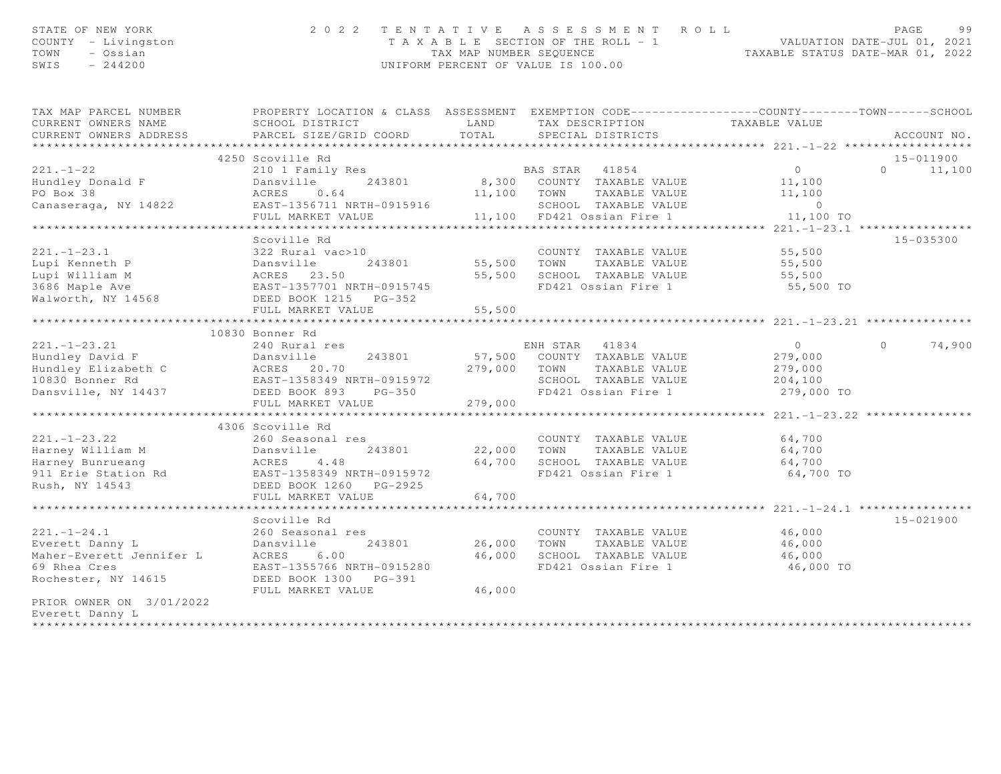| STATE OF NEW YORK<br>COUNTY - Livingston<br>TOWN<br>- Ossian<br>SWIS<br>$-244200$ | 2022 TENTATIVE ASSESSMENT ROLL<br>UNIFORM PERCENT OF VALUE IS 100.00                                                                                                     | T A X A B L E SECTION OF THE ROLL - 1 VALUATION DATE-JUL 01, 2021<br>TAX MAP NUMBER SEQUENCE TAXABLE STATUS DATE-MAR 01, 2022 | PAGE<br>99                                                       |                     |                    |
|-----------------------------------------------------------------------------------|--------------------------------------------------------------------------------------------------------------------------------------------------------------------------|-------------------------------------------------------------------------------------------------------------------------------|------------------------------------------------------------------|---------------------|--------------------|
| TAX MAP PARCEL NUMBER<br>CURRENT OWNERS NAME                                      | PROPERTY LOCATION & CLASS ASSESSMENT EXEMPTION CODE-----------------COUNTY-------TOWN------SCHOOL<br>SCHOOL DISTRICT LAND                                                |                                                                                                                               | TAX DESCRIPTION                                                  | TAXABLE VALUE       |                    |
| CURRENT OWNERS ADDRESS                                                            | PARCEL SIZE/GRID COORD                                                                                                                                                   | TOTAL                                                                                                                         | SPECIAL DISTRICTS                                                |                     | ACCOUNT NO.        |
|                                                                                   |                                                                                                                                                                          |                                                                                                                               |                                                                  |                     |                    |
|                                                                                   | 4250 Scoville Rd                                                                                                                                                         |                                                                                                                               |                                                                  |                     | 15-011900          |
| $221. - 1 - 22$                                                                   | 210 1 Family Res                                                                                                                                                         |                                                                                                                               | BAS STAR 41854                                                   | $\overline{0}$      | $0 \t 11,100$      |
| Hundley Donald F                                                                  | 243801<br>Dansville                                                                                                                                                      |                                                                                                                               | 8,300 COUNTY TAXABLE VALUE                                       | 11,100              |                    |
| PO Box 38                                                                         | ACRES<br>0.64                                                                                                                                                            |                                                                                                                               | 11,100 TOWN<br>TAXABLE VALUE                                     | 11,100              |                    |
| Canaseraga, NY 14822                                                              | EAST-1356711 NRTH-0915916<br>EAST-1356711 NRTH-0915916                                                                                                                   |                                                                                                                               | SCHOOL TAXABLE VALUE                                             | $\overline{0}$      |                    |
|                                                                                   | FULL MARKET VALUE                                                                                                                                                        |                                                                                                                               | 11,100 FD421 Ossian Fire 1                                       | 11,100 TO           |                    |
|                                                                                   |                                                                                                                                                                          |                                                                                                                               |                                                                  |                     |                    |
|                                                                                   | Scoville Rd                                                                                                                                                              |                                                                                                                               |                                                                  |                     | 15-035300          |
| $221. - 1 - 23.1$                                                                 | 322 Rural vac>10                                                                                                                                                         |                                                                                                                               | COUNTY TAXABLE VALUE                                             | 55,500              |                    |
|                                                                                   |                                                                                                                                                                          | 55,500 TOWN                                                                                                                   | TAXABLE VALUE                                                    | 55,500              |                    |
|                                                                                   |                                                                                                                                                                          |                                                                                                                               | 55,500 SCHOOL TAXABLE VALUE                                      | 55,500              |                    |
|                                                                                   |                                                                                                                                                                          |                                                                                                                               | FD421 Ossian Fire 1                                              | 55,500 TO           |                    |
|                                                                                   |                                                                                                                                                                          |                                                                                                                               |                                                                  |                     |                    |
|                                                                                   | FULL MARKET VALUE                                                                                                                                                        | 55,500                                                                                                                        |                                                                  |                     |                    |
|                                                                                   | *************************                                                                                                                                                |                                                                                                                               | **********************************221.-1-23.21 ***************** |                     |                    |
|                                                                                   | 10830 Bonner Rd<br>240 Rura<br>Dansville 24380.<br>279,000<br>279,000<br>279,000<br>279,000<br>279,000<br>279,000<br>279,000<br>279,000<br>279,000<br>279,000<br>279,000 |                                                                                                                               |                                                                  |                     |                    |
| $221. - 1 - 23.21$                                                                |                                                                                                                                                                          |                                                                                                                               | ENH STAR 41834                                                   | $\overline{0}$      | $\Omega$<br>74,900 |
| Hundley David F                                                                   |                                                                                                                                                                          |                                                                                                                               | 57,500 COUNTY TAXABLE VALUE                                      | 279,000             |                    |
| Hundley Elizabeth C                                                               |                                                                                                                                                                          |                                                                                                                               | 279,000 TOWN<br>TAXABLE VALUE                                    | 279,000             |                    |
| 10830 Bonner Rd                                                                   |                                                                                                                                                                          |                                                                                                                               | SCHOOL TAXABLE VALUE                                             | 204,100             |                    |
| Dansville, NY 14437                                                               |                                                                                                                                                                          |                                                                                                                               | FD421 Ossian Fire 1                                              | 279,000 TO          |                    |
|                                                                                   |                                                                                                                                                                          | 279,000                                                                                                                       |                                                                  |                     |                    |
|                                                                                   |                                                                                                                                                                          |                                                                                                                               |                                                                  |                     |                    |
|                                                                                   | 4306 Scoville Rd                                                                                                                                                         |                                                                                                                               |                                                                  |                     |                    |
| $221. - 1 - 23.22$                                                                |                                                                                                                                                                          |                                                                                                                               | COUNTY TAXABLE VALUE                                             | 64,700              |                    |
| Harney William M                                                                  |                                                                                                                                                                          | 22,000 TOWN                                                                                                                   | TAXABLE VALUE<br>64,700 SCHOOL TAXABLE VALUE                     | 64,700              |                    |
| Harney Bunrueang<br>911 Erie Station Rd                                           |                                                                                                                                                                          |                                                                                                                               | FD421 Ossian Fire 1                                              | 64,700<br>64,700 TO |                    |
| Rush, NY 14543                                                                    | 2000 -<br>Dansville<br>ACRES 4.48<br>EAST-1358349 NRTH-0915972<br>DEED BOOK 1260 PG-2925<br>FULL MARKET VALUE<br>ARKET VALUE                                             |                                                                                                                               |                                                                  |                     |                    |
|                                                                                   |                                                                                                                                                                          | 64,700                                                                                                                        |                                                                  |                     |                    |
|                                                                                   |                                                                                                                                                                          |                                                                                                                               |                                                                  |                     |                    |
|                                                                                   | Scoville Rd                                                                                                                                                              |                                                                                                                               |                                                                  |                     | 15-021900          |
| $221. - 1 - 24.1$                                                                 | 260 Seasonal res                                                                                                                                                         |                                                                                                                               | COUNTY TAXABLE VALUE                                             | 46,000              |                    |
| Everett Danny L                                                                   | Dansville<br>243801                                                                                                                                                      | 26,000                                                                                                                        | TOWN<br>TAXABLE VALUE                                            | 46,000              |                    |
| Maher-Everett Jennifer L                                                          | ACRES 6.00                                                                                                                                                               | 46,000                                                                                                                        | SCHOOL TAXABLE VALUE                                             | 46,000              |                    |
| 69 Rhea Cres                                                                      | EAST-1355766 NRTH-0915280                                                                                                                                                |                                                                                                                               | FD421 Ossian Fire 1                                              | 46,000 TO           |                    |
| Rochester, NY 14615                                                               | DEED BOOK 1300 PG-391                                                                                                                                                    |                                                                                                                               |                                                                  |                     |                    |
|                                                                                   | FULL MARKET VALUE                                                                                                                                                        | 46,000                                                                                                                        |                                                                  |                     |                    |
| PRIOR OWNER ON 3/01/2022                                                          |                                                                                                                                                                          |                                                                                                                               |                                                                  |                     |                    |
| Everett Danny L                                                                   |                                                                                                                                                                          |                                                                                                                               |                                                                  |                     |                    |
| ***********                                                                       |                                                                                                                                                                          |                                                                                                                               |                                                                  |                     |                    |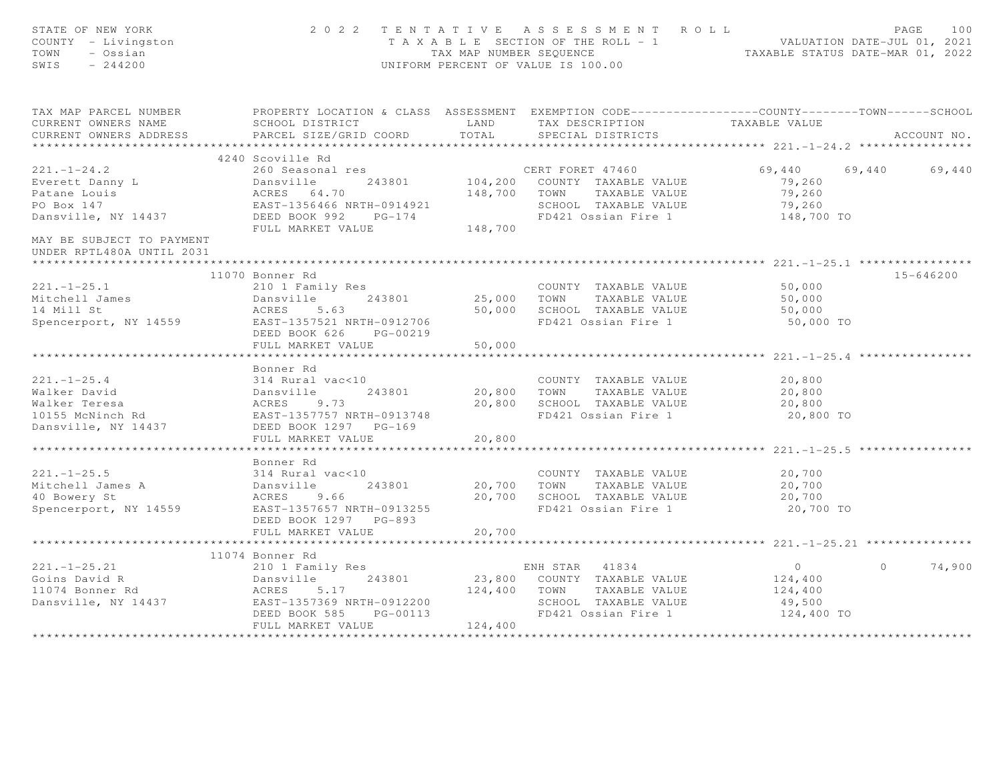| STATE OF NEW YORK<br>COUNTY - Livingston<br>TOWN<br>- Ossian<br>SWIS<br>$-244200$                                                                                                                                        |                                                                                                                                                   |                                                         | 2022 TENTATIVE ASSESSMENT ROLL<br>T A X A B L E SECTION OF THE ROLL - 1<br>T A X A B L E SECTION OF THE ROLL - 1<br>TAX MAP NUMBER SEQUENCE TAXABLE STATUS DATE-MAR 01, 2022<br>UNIFORM PERCENT OF VALUE IS 100.00 |                                                              | PAGE<br>100        |
|--------------------------------------------------------------------------------------------------------------------------------------------------------------------------------------------------------------------------|---------------------------------------------------------------------------------------------------------------------------------------------------|---------------------------------------------------------|--------------------------------------------------------------------------------------------------------------------------------------------------------------------------------------------------------------------|--------------------------------------------------------------|--------------------|
| TAX MAP PARCEL NUMBER THE PROPERTY LOCATION & CLASS ASSESSMENT EXEMPTION CODE---------------COUNTY-------TOWN------SCHOOL<br>CURRENT OWNERS NAME<br>CURRENT OWNERS ADDRESS                                               | SCHOOL DISTRICT<br>PARCEL SIZE/GRID COORD<br>************************                                                                             | <b>LAND</b><br>TOTAL<br>******************************* | TAX DESCRIPTION<br>SPECIAL DISTRICTS                                                                                                                                                                               | TAXABLE VALUE                                                | ACCOUNT NO.        |
|                                                                                                                                                                                                                          | 4240 Scoville Rd                                                                                                                                  |                                                         |                                                                                                                                                                                                                    |                                                              |                    |
| $221 - 1 - 24.2$<br>Everett Danny L<br>Patane Louis<br>PO Box 147<br>Dansville, NY 14437                                                                                                                                 | 260 Seasonal res<br>200 Seasonal res<br>Dansville 243801<br>ACRES 64.70<br>EAST-1356466 NRTH-0914921<br>DEED BOOK 992 PG-174<br>FULL MARKET VALUE | 148,700                                                 | CERT FORET 47460<br>104,200 COUNTY TAXABLE VALUE<br>148,700 TOWN TAXABLE VALUE<br>SCHOOL TAXABLE VALUE<br>FD421 Ossian Fire 1                                                                                      | 69,440<br>79,260<br>79,260<br>79,260<br>148,700 TO           | 69,440<br>69,440   |
| MAY BE SUBJECT TO PAYMENT<br>UNDER RPTL480A UNTIL 2031                                                                                                                                                                   |                                                                                                                                                   |                                                         |                                                                                                                                                                                                                    |                                                              |                    |
|                                                                                                                                                                                                                          | 11070 Bonner Rd                                                                                                                                   |                                                         |                                                                                                                                                                                                                    |                                                              | 15-646200          |
| $221. - 1 - 25.1$<br>Mitchell James<br>14 Mill St<br>14 Mill St<br>14 Mill St<br>14 Spencerport, NY 14559<br>2010 1 Family Res<br>243801<br>243801<br>243801<br>243801<br>243801<br>243801<br>243801<br>243801<br>243801 | 210 1 Family Res<br>243801<br>DEED BOOK 626 PG-00219                                                                                              |                                                         | COUNTY TAXABLE VALUE<br>25,000 TOWN TAXABLE VALUE<br>50,000 SCHOOL TAXABLE VALUE<br>FD421 Ossian Fire 1                                                                                                            | 50,000<br>50,000<br>50,000<br>50,000 TO                      |                    |
|                                                                                                                                                                                                                          | FULL MARKET VALUE                                                                                                                                 | 50,000                                                  |                                                                                                                                                                                                                    |                                                              |                    |
|                                                                                                                                                                                                                          |                                                                                                                                                   |                                                         |                                                                                                                                                                                                                    |                                                              |                    |
| 121.-1-25.4<br>Walker David<br>Walker Teresa<br>10155 McNinch Rd<br>Dansville, NY 14437<br>DEED BOOK 1297<br>PG-169<br>PG-169                                                                                            | Bonner Rd<br>FULL MARKET VALUE                                                                                                                    | 20,800                                                  | COUNTY TAXABLE VALUE<br>20,800 TOWN TAXABLE VALUE<br>20,800 SCHOOL TAXABLE VALUE<br>FD421 Ossian Fire 1                                                                                                            | 20,800<br>20,800<br>20,800<br>20,800 TO                      |                    |
|                                                                                                                                                                                                                          |                                                                                                                                                   |                                                         |                                                                                                                                                                                                                    |                                                              |                    |
| $221. -1 - 25.5$<br>221.-1-25.5<br>Mitchell James A<br>10 Bowery St<br>Spencerport, NY 14559<br>EAST-1357657 NRTH-0913255<br>THE CONGITY OF THE CONGITY                                                                  | Bonner Rd<br>314 Rural vac<10<br>DEED BOOK 1297 PG-893                                                                                            |                                                         | COUNTY TAXABLE VALUE<br>20,700 TOWN TAXABLE VALUE<br>20,700 SCHOOL TAXABLE VALUE<br>FD421 Ossian Fire 1                                                                                                            | 20,700<br>20,700<br>20,700<br>20,700 TO                      |                    |
|                                                                                                                                                                                                                          | FULL MARKET VALUE                                                                                                                                 | 20,700                                                  |                                                                                                                                                                                                                    |                                                              |                    |
|                                                                                                                                                                                                                          |                                                                                                                                                   |                                                         |                                                                                                                                                                                                                    |                                                              |                    |
|                                                                                                                                                                                                                          | 11074 Bonner Rd                                                                                                                                   |                                                         |                                                                                                                                                                                                                    |                                                              |                    |
| 221.-1-25.21<br>Coins David R<br>1074 Bonner Rd<br>Dansville, NY 14437<br>Dansville, NY 14437<br>DEED BOOK 585 PG-00113<br>23,800<br>DEED BOOK 585 PG-00113                                                              | FULL MARKET VALUE                                                                                                                                 | 124,400                                                 | ENH STAR 41834<br>23,800 COUNTY TAXABLE VALUE<br>124,400 TOWN TAXABLE VALUE<br>SCHOOL TAXABLE VALUE<br>FD421 Ossian Fire 1                                                                                         | $\overline{0}$<br>124,400<br>124,400<br>49,500<br>124,400 TO | $\Omega$<br>74,900 |
|                                                                                                                                                                                                                          |                                                                                                                                                   |                                                         |                                                                                                                                                                                                                    |                                                              |                    |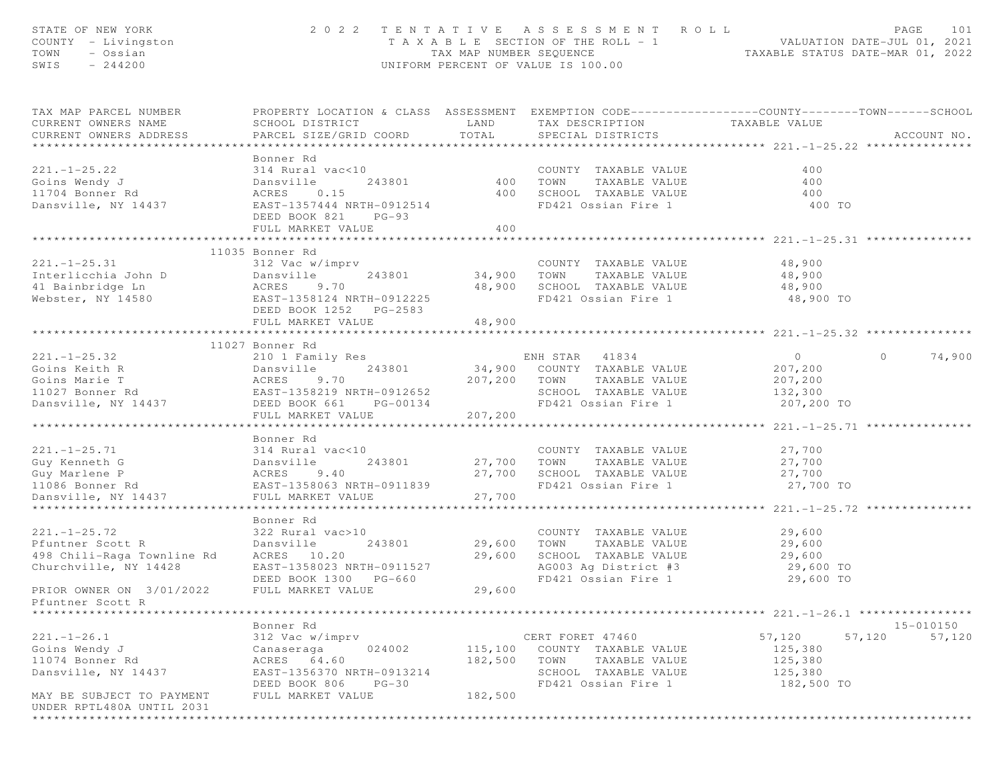| STATE OF NEW YORK<br>COUNTY - Livingston<br>TOWN<br>- Ossian<br>$-244200$<br>SWIS  |                                                                                                                                |                     | 2022 TENTATIVE ASSESSMENT ROLL<br>T A X A B L E SECTION OF THE ROLL - 1 VALUATION DATE-JUL 01, 2021<br>TAX MAP NUMBER SEQUENCE TAXABLE STATUS DATE-MAR 01, 2022<br>UNIFORM PERCENT OF VALUE IS 100.00 |                                               | PAGE           | 101         |
|------------------------------------------------------------------------------------|--------------------------------------------------------------------------------------------------------------------------------|---------------------|-------------------------------------------------------------------------------------------------------------------------------------------------------------------------------------------------------|-----------------------------------------------|----------------|-------------|
| TAX MAP PARCEL NUMBER<br>CURRENT OWNERS NAME<br>CURRENT OWNERS ADDRESS             | SCHOOL DISTRICT<br>PARCEL SIZE/GRID COORD                                                                                      | LAND<br>TOTAL       | PROPERTY LOCATION & CLASS ASSESSMENT EXEMPTION CODE----------------COUNTY-------TOWN------SCHOOL<br>TAX DESCRIPTION<br>SPECIAL DISTRICTS                                                              | TAXABLE VALUE                                 |                | ACCOUNT NO. |
|                                                                                    |                                                                                                                                |                     |                                                                                                                                                                                                       |                                               |                |             |
| $221. - 1 - 25.22$<br>Goins Wendy J<br>11704 Bonner Rd<br>Dansville, NY 14437      | Bonner Rd<br>314 Rural vac<10<br>243801<br>Dansville<br>0.15<br>ACRES<br>EAST-1357444 NRTH-0912514<br>DEED BOOK 821<br>$PG-93$ | 400<br>400          | COUNTY TAXABLE VALUE<br>TAXABLE VALUE<br>TOWN<br>SCHOOL TAXABLE VALUE<br>FD421 Ossian Fire 1                                                                                                          | 400<br>400<br>400<br>400 TO                   |                |             |
|                                                                                    | FULL MARKET VALUE                                                                                                              | 400                 |                                                                                                                                                                                                       |                                               |                |             |
|                                                                                    |                                                                                                                                | * * * * * * * * * * |                                                                                                                                                                                                       | ******************** 221.-1-25.31 *********** |                |             |
|                                                                                    |                                                                                                                                |                     |                                                                                                                                                                                                       |                                               |                |             |
| $221. - 1 - 25.31$<br>Interlicchia John D<br>41 Bainbridge Ln<br>Webster, NY 14580 | nor au<br>312 Vac w/imprv<br>Dansville<br>243801<br>ACRES<br>9.70<br>EAST-1358124 NRTH-0912225<br>DEED BOOK 1252    PG-2583    | 34,900 TOWN         | COUNTY TAXABLE VALUE<br>TAXABLE VALUE<br>48,900 SCHOOL TAXABLE VALUE<br>FD421 Ossian Fire 1                                                                                                           | 48,900<br>48,900<br>48,900<br>48,900 TO       |                |             |
|                                                                                    | FULL MARKET VALUE                                                                                                              | 48,900              |                                                                                                                                                                                                       |                                               |                |             |
|                                                                                    |                                                                                                                                |                     |                                                                                                                                                                                                       |                                               |                |             |
|                                                                                    | 11027 Bonner Rd                                                                                                                |                     |                                                                                                                                                                                                       |                                               |                |             |
| $221. -1 - 25.32$                                                                  | Dansville<br>ACRES 9.70<br>EAST-1358219 NRTH-0912652<br>DEED BOOK 661 PG-00134<br>THE MARKET VALUE                             |                     | ENH STAR 41834                                                                                                                                                                                        | $\overline{0}$                                | $\overline{0}$ | 74,900      |
| Goins Keith R<br>Goins Marie T                                                     |                                                                                                                                |                     | 34,900 COUNTY TAXABLE VALUE                                                                                                                                                                           | 207,200                                       |                |             |
| 11027 Bonner Rd                                                                    |                                                                                                                                |                     | 207,200 TOWN<br>TAXABLE VALUE<br>SCHOOL TAXABLE VALUE                                                                                                                                                 | 207,200<br>132,300                            |                |             |
| Dansville, NY 14437                                                                |                                                                                                                                |                     | FD421 Ossian Fire 1                                                                                                                                                                                   | 207,200 TO                                    |                |             |
|                                                                                    |                                                                                                                                | 207,200             |                                                                                                                                                                                                       |                                               |                |             |
|                                                                                    |                                                                                                                                |                     |                                                                                                                                                                                                       |                                               |                |             |
|                                                                                    | Bonner Rd                                                                                                                      |                     |                                                                                                                                                                                                       |                                               |                |             |
| $221. - 1 - 25.71$                                                                 | 314 Rural vac<10                                                                                                               |                     | COUNTY TAXABLE VALUE                                                                                                                                                                                  | 27,700                                        |                |             |
| Guy Kenneth G                                                                      | Dansville<br>243801                                                                                                            | 27,700 TOWN         | TAXABLE VALUE                                                                                                                                                                                         | 27,700                                        |                |             |
| Guy Marlene P                                                                      | ACRES 9.40<br>EAST-1358063 NRTH-0911839                                                                                        |                     | 27,700 SCHOOL TAXABLE VALUE                                                                                                                                                                           | 27,700                                        |                |             |
| 11086 Bonner Rd                                                                    |                                                                                                                                |                     | FD421 Ossian Fire 1                                                                                                                                                                                   | 27,700 TO                                     |                |             |
| Dansville, NY 14437                                                                | FULL MARKET VALUE                                                                                                              | 27,700              |                                                                                                                                                                                                       |                                               |                |             |
|                                                                                    | Bonner Rd                                                                                                                      |                     |                                                                                                                                                                                                       |                                               |                |             |
| $221. - 1 - 25.72$                                                                 | 322 Rural vac>10                                                                                                               |                     | COUNTY TAXABLE VALUE                                                                                                                                                                                  | 29,600                                        |                |             |
| Pfuntner Scott R                                                                   | Dansville<br>243801                                                                                                            | 29,600              | TOWN<br>TAXABLE VALUE                                                                                                                                                                                 | 29,600                                        |                |             |
| 498 Chili-Raga Townline Rd                                                         | ACRES 10.20                                                                                                                    | 29,600              | SCHOOL TAXABLE VALUE                                                                                                                                                                                  | 29,600                                        |                |             |
| Churchville, NY 14428                                                              | EAST-1358023 NRTH-0911527                                                                                                      |                     | AG003 Ag District #3                                                                                                                                                                                  | 29,600 TO                                     |                |             |
|                                                                                    | DEED BOOK 1300 PG-660                                                                                                          |                     | FD421 Ossian Fire 1                                                                                                                                                                                   | 29,600 TO                                     |                |             |
| PRIOR OWNER ON 3/01/2022                                                           | FULL MARKET VALUE                                                                                                              | 29,600              |                                                                                                                                                                                                       |                                               |                |             |
| Pfuntner Scott R                                                                   |                                                                                                                                |                     |                                                                                                                                                                                                       |                                               |                |             |
|                                                                                    |                                                                                                                                |                     |                                                                                                                                                                                                       |                                               |                |             |
|                                                                                    | Bonner Rd                                                                                                                      |                     |                                                                                                                                                                                                       |                                               |                | 15-010150   |
| $221. - 1 - 26.1$                                                                  | 312 Vac w/imprv                                                                                                                |                     | CERT FORET 47460                                                                                                                                                                                      | 57,120                                        | 57,120         | 57,120      |
| Goins Wendy J                                                                      | 024002<br>Canaseraga                                                                                                           | 115,100             | COUNTY TAXABLE VALUE                                                                                                                                                                                  | 125,380                                       |                |             |
| 11074 Bonner Rd                                                                    | ACRES<br>64.60                                                                                                                 | 182,500             | TOWN<br>TAXABLE VALUE                                                                                                                                                                                 | 125,380                                       |                |             |
| Dansville, NY 14437                                                                | EAST-1356370 NRTH-0913214<br>DEED BOOK 806<br>$PG-30$                                                                          |                     | SCHOOL TAXABLE VALUE<br>FD421 Ossian Fire 1                                                                                                                                                           | 125,380<br>182,500 TO                         |                |             |
| MAY BE SUBJECT TO PAYMENT                                                          | FULL MARKET VALUE                                                                                                              | 182,500             |                                                                                                                                                                                                       |                                               |                |             |
| UNDER RPTL480A UNTIL 2031                                                          |                                                                                                                                |                     |                                                                                                                                                                                                       |                                               |                |             |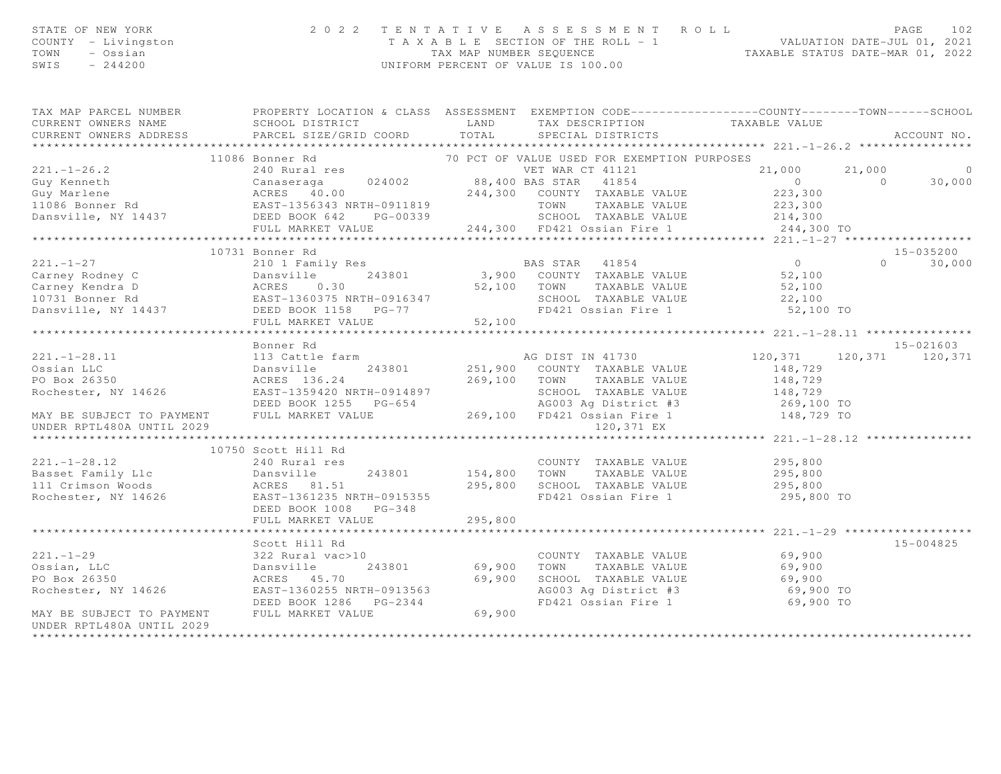| STATE OF NEW YORK<br>STATE OF NEW YORK<br>COUNTY - Livingston<br>TOWN - Ossian<br>SWIS - 244200 |                           | 2022 TENTATIVE ASSESSMENT ROLL<br>PAGE 102<br>TAXABLE SECTION OF THE ROLL - 1<br>TAX MAP NUMBER SEQUENCE TAXABLE STATUS DATE-MAR 01, 2022<br>UNIFORM PERCENT OF VALUE IS 100.00                                                                                                                                                                                                                                                                                                                 | PAGE<br>102            |
|-------------------------------------------------------------------------------------------------|---------------------------|-------------------------------------------------------------------------------------------------------------------------------------------------------------------------------------------------------------------------------------------------------------------------------------------------------------------------------------------------------------------------------------------------------------------------------------------------------------------------------------------------|------------------------|
|                                                                                                 |                           |                                                                                                                                                                                                                                                                                                                                                                                                                                                                                                 |                        |
|                                                                                                 |                           |                                                                                                                                                                                                                                                                                                                                                                                                                                                                                                 |                        |
|                                                                                                 |                           | 11086 Bonner Rd<br>221.-1-26.2 11086 Bonner Rd<br>Cuy Marlene Canaseraga (24002 38,400 BAS STAR 41854 0 21,000 0 30,000<br>244,300 COUNTY TAXABLE VALUE 223,300<br>214,300 COUNTY TAXABLE VALUE 223,300<br>214,300 COUNTY TAXABLE VALUE                                                                                                                                                                                                                                                         |                        |
|                                                                                                 |                           |                                                                                                                                                                                                                                                                                                                                                                                                                                                                                                 |                        |
|                                                                                                 |                           |                                                                                                                                                                                                                                                                                                                                                                                                                                                                                                 |                        |
|                                                                                                 |                           |                                                                                                                                                                                                                                                                                                                                                                                                                                                                                                 |                        |
|                                                                                                 |                           |                                                                                                                                                                                                                                                                                                                                                                                                                                                                                                 |                        |
|                                                                                                 |                           |                                                                                                                                                                                                                                                                                                                                                                                                                                                                                                 |                        |
|                                                                                                 |                           |                                                                                                                                                                                                                                                                                                                                                                                                                                                                                                 |                        |
|                                                                                                 |                           |                                                                                                                                                                                                                                                                                                                                                                                                                                                                                                 |                        |
|                                                                                                 |                           |                                                                                                                                                                                                                                                                                                                                                                                                                                                                                                 | $15 - 035200$          |
|                                                                                                 |                           |                                                                                                                                                                                                                                                                                                                                                                                                                                                                                                 | $0 \t 30,000$          |
|                                                                                                 |                           |                                                                                                                                                                                                                                                                                                                                                                                                                                                                                                 |                        |
|                                                                                                 |                           |                                                                                                                                                                                                                                                                                                                                                                                                                                                                                                 |                        |
|                                                                                                 |                           |                                                                                                                                                                                                                                                                                                                                                                                                                                                                                                 |                        |
|                                                                                                 |                           |                                                                                                                                                                                                                                                                                                                                                                                                                                                                                                 |                        |
|                                                                                                 |                           | $\begin{tabular}{lllllllllllllllllll} \multicolumn{3}{c }{\text{\small{0.15cm}} \multicolumn{3}{c }{\begin{tabular}{lcccccc } \multicolumn{3}{c }{\begin{tabular}{lcccccc } \multicolumn{3}{c }{\begin{tabular}{lcccccc } \multicolumn{3}{c }{\begin{tabular}{lcccccc } \multicolumn{3}{c }{\begin{tabular}{lcccccc } \multicolumn{3}{c }{\begin{tabular}{lcccccc } \multicolumn{3}{c }{\begin{tabular}{lcccccc } \multicolumn{3}{c }{\begin{tabular}{lcccccc } \multicolumn{3}{c }{\begin{tab$ |                        |
|                                                                                                 | Bonner Rd                 |                                                                                                                                                                                                                                                                                                                                                                                                                                                                                                 | 15-021603              |
|                                                                                                 |                           |                                                                                                                                                                                                                                                                                                                                                                                                                                                                                                 |                        |
|                                                                                                 |                           |                                                                                                                                                                                                                                                                                                                                                                                                                                                                                                 |                        |
|                                                                                                 |                           |                                                                                                                                                                                                                                                                                                                                                                                                                                                                                                 |                        |
|                                                                                                 |                           |                                                                                                                                                                                                                                                                                                                                                                                                                                                                                                 |                        |
|                                                                                                 |                           |                                                                                                                                                                                                                                                                                                                                                                                                                                                                                                 |                        |
|                                                                                                 |                           |                                                                                                                                                                                                                                                                                                                                                                                                                                                                                                 |                        |
|                                                                                                 |                           |                                                                                                                                                                                                                                                                                                                                                                                                                                                                                                 |                        |
|                                                                                                 | 10750 Scott Hill Rd       |                                                                                                                                                                                                                                                                                                                                                                                                                                                                                                 |                        |
|                                                                                                 |                           |                                                                                                                                                                                                                                                                                                                                                                                                                                                                                                 |                        |
|                                                                                                 |                           |                                                                                                                                                                                                                                                                                                                                                                                                                                                                                                 |                        |
|                                                                                                 |                           |                                                                                                                                                                                                                                                                                                                                                                                                                                                                                                 |                        |
|                                                                                                 |                           | 10750 SCOUT ANABLE VALUE<br>295,800<br>295,800<br>295,800<br>295,800<br>295,800<br>295,800<br>295,800<br>295,800<br>Rochester, NY 14626<br>295,800<br>ERST-1361235 NRTH-0915355<br>ERST-1361235 NRTH-0915355<br>295,800<br>295,800<br>295,800<br>295,800<br>295,                                                                                                                                                                                                                                | 295,800 TO             |
|                                                                                                 | FULL MARKET VALUE 295,800 |                                                                                                                                                                                                                                                                                                                                                                                                                                                                                                 |                        |
|                                                                                                 |                           |                                                                                                                                                                                                                                                                                                                                                                                                                                                                                                 |                        |
|                                                                                                 |                           |                                                                                                                                                                                                                                                                                                                                                                                                                                                                                                 | $15 - 004825$          |
|                                                                                                 |                           | COUNTY TAXABLE VALUE 69,900                                                                                                                                                                                                                                                                                                                                                                                                                                                                     |                        |
|                                                                                                 |                           |                                                                                                                                                                                                                                                                                                                                                                                                                                                                                                 |                        |
|                                                                                                 |                           |                                                                                                                                                                                                                                                                                                                                                                                                                                                                                                 |                        |
|                                                                                                 |                           |                                                                                                                                                                                                                                                                                                                                                                                                                                                                                                 |                        |
|                                                                                                 |                           |                                                                                                                                                                                                                                                                                                                                                                                                                                                                                                 | 69,900 TO<br>69,900 TO |
| UNDER RPTL480A UNTIL 2029                                                                       |                           |                                                                                                                                                                                                                                                                                                                                                                                                                                                                                                 |                        |
|                                                                                                 |                           |                                                                                                                                                                                                                                                                                                                                                                                                                                                                                                 |                        |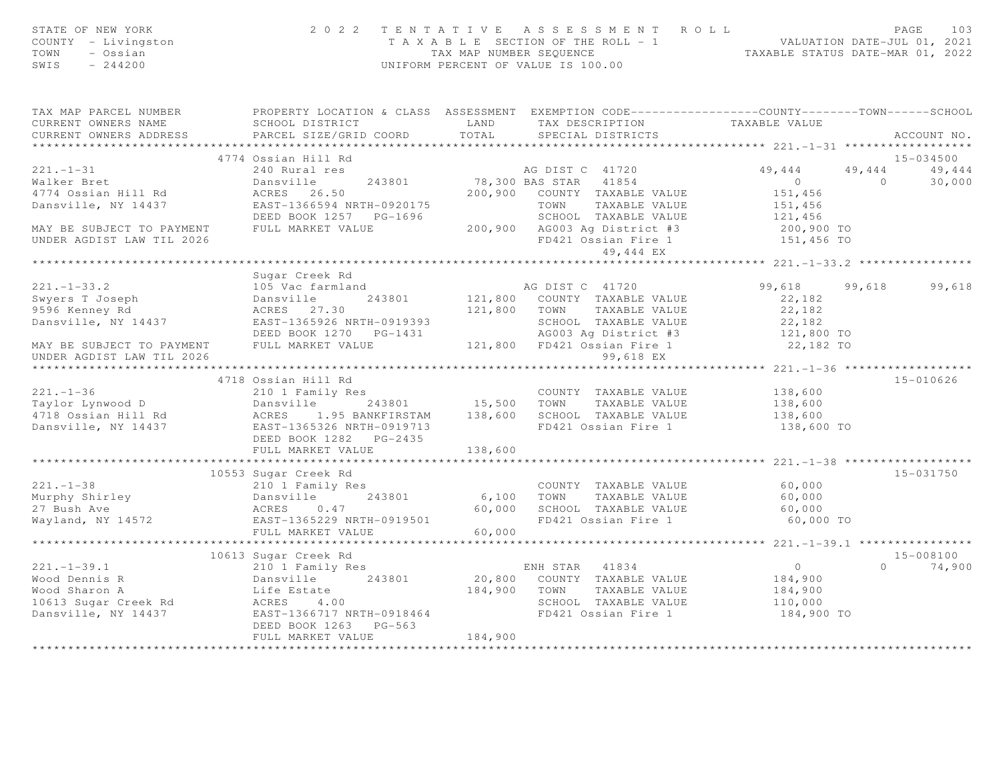| STATE OF NEW YORK<br>STATE OF NEW YORK<br>COUNTY - Livingston<br>TOWN - Ossian<br>SWIS - 244200                                                                                                                                                                                                                                                                                                                                                |                      |         | 2022 TENTATIVE ASSESSMENT ROLL | PAGE<br>PAGE 103<br>TAXABLE SECTION OF THE ROLL - 1<br>TAX MAP NUMBER SEQUENCE TAXABLE STATUS DATE-MAR 01, 2022<br>UNIFORM PERCENT OF VALUE IS 100.00 | 103           |
|------------------------------------------------------------------------------------------------------------------------------------------------------------------------------------------------------------------------------------------------------------------------------------------------------------------------------------------------------------------------------------------------------------------------------------------------|----------------------|---------|--------------------------------|-------------------------------------------------------------------------------------------------------------------------------------------------------|---------------|
|                                                                                                                                                                                                                                                                                                                                                                                                                                                |                      |         |                                |                                                                                                                                                       |               |
|                                                                                                                                                                                                                                                                                                                                                                                                                                                |                      |         |                                |                                                                                                                                                       |               |
|                                                                                                                                                                                                                                                                                                                                                                                                                                                | 4774 Ossian Hill Rd  |         |                                |                                                                                                                                                       | 15-034500     |
| $\begin{tabular}{lllllllllllllllllllllll} \hline & & & & & & & 4774\text{ OSSian Hill Rd} & & & & & & & 13-034300 \\ \hline \text{Waker Bret} & & & & 240\text{ Nural res} & & & & 49,444 & 49,444 & 49,444 \\ \text{Waker Bret} & & & & & 243801 & 78,300\text{ BAS STAR} & 41854 & 0 & 30,000 \\ \text{Dansville, NY 14437} & & & & & 200,900\text{ COUNTY TAXABLE VALUE} & & & 151,456 & $                                                  |                      |         |                                |                                                                                                                                                       |               |
|                                                                                                                                                                                                                                                                                                                                                                                                                                                |                      |         |                                |                                                                                                                                                       |               |
|                                                                                                                                                                                                                                                                                                                                                                                                                                                |                      |         |                                | ********************** 221.-1-33.2 *****************                                                                                                  |               |
|                                                                                                                                                                                                                                                                                                                                                                                                                                                | Sugar Creek Rd       |         |                                |                                                                                                                                                       |               |
|                                                                                                                                                                                                                                                                                                                                                                                                                                                |                      |         |                                | 99,618 99,618 99,618                                                                                                                                  |               |
|                                                                                                                                                                                                                                                                                                                                                                                                                                                |                      |         |                                |                                                                                                                                                       |               |
| $\begin{tabular}{lllllllllllllllllllll} \hline 221.-1-33.2 & \hline \texttt{Super Creek Rd} & \hline \texttt{AG DIST C} & 41720 & 99,618 & 99 \\ \hline \texttt{Swpers T Joseph} & \hline \texttt{Joseph} & \hline \texttt{ACRES} & 243801 & 121,800 & \hline \texttt{COUNT} & \texttt{TAXABLE VALUE} & 22,182 \\ \hline \texttt{9596 Kennedy Rd} & \hline \texttt{ACRES} & 27.30 & 121,800 & \hline \texttt{TOWN} & \texttt{TAXABLE VALUE} &$ |                      |         |                                |                                                                                                                                                       |               |
|                                                                                                                                                                                                                                                                                                                                                                                                                                                |                      |         |                                |                                                                                                                                                       |               |
|                                                                                                                                                                                                                                                                                                                                                                                                                                                | 4718 Ossian Hill Rd  |         |                                |                                                                                                                                                       | 15-010626     |
|                                                                                                                                                                                                                                                                                                                                                                                                                                                |                      |         |                                |                                                                                                                                                       |               |
|                                                                                                                                                                                                                                                                                                                                                                                                                                                |                      |         |                                |                                                                                                                                                       |               |
|                                                                                                                                                                                                                                                                                                                                                                                                                                                |                      |         |                                |                                                                                                                                                       |               |
|                                                                                                                                                                                                                                                                                                                                                                                                                                                | 10553 Sugar Creek Rd |         |                                |                                                                                                                                                       | $15 - 031750$ |
| 10553 Sugar Creek Ra<br>210 1 Family Res<br>Murphy Shirley Dansville 243801 6,100 TOWN TAXABLE VALUE 60,000<br>27 Bush Ave ACRES 0.47 60,000 SCHOOL TAXABLE VALUE 60,000<br>Wayland, NY 14572 EAST-1365229 NRTH-0919501 60,000 FD421 O                                                                                                                                                                                                         |                      |         |                                |                                                                                                                                                       |               |
|                                                                                                                                                                                                                                                                                                                                                                                                                                                |                      |         |                                |                                                                                                                                                       |               |
|                                                                                                                                                                                                                                                                                                                                                                                                                                                |                      |         |                                |                                                                                                                                                       |               |
|                                                                                                                                                                                                                                                                                                                                                                                                                                                |                      |         |                                |                                                                                                                                                       |               |
|                                                                                                                                                                                                                                                                                                                                                                                                                                                | FULL MARKET VALUE    | 184,900 |                                |                                                                                                                                                       |               |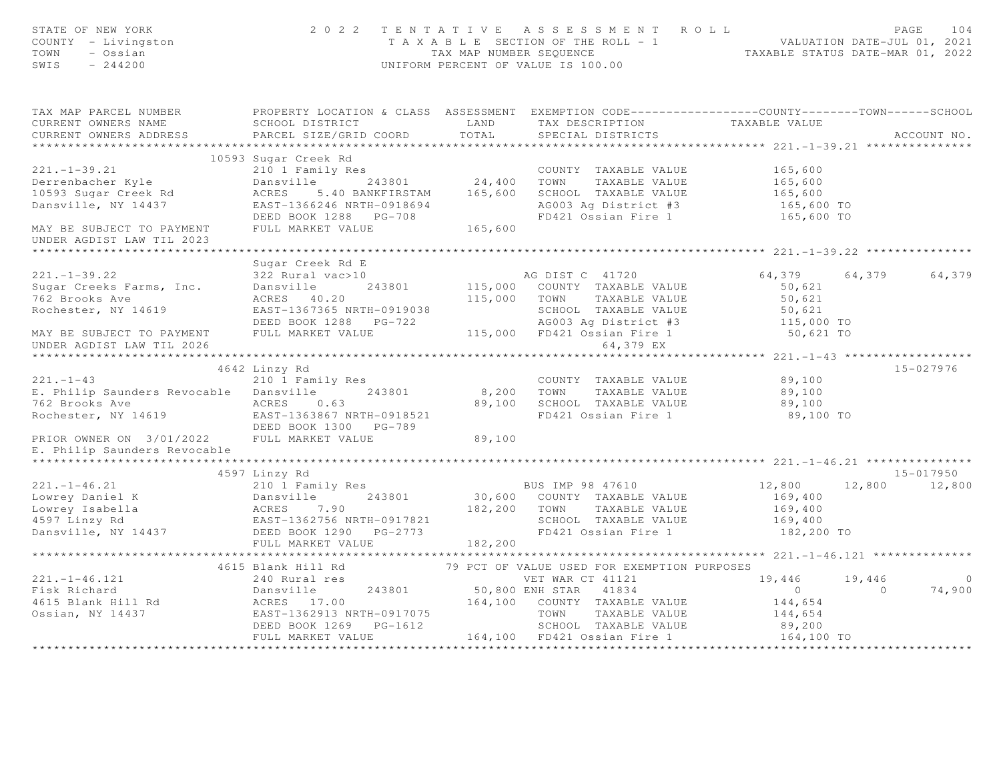| STATE OF NEW YORK<br>COUNTY - Livingston<br>TOWN<br>- Ossian<br>SWIS<br>$-244200$                                                                                                                                                        | 2 0 2 2                                                                                           |         | TENTATIVE ASSESSMENT ROLL<br>TAXABLE SECTION OF THE ROLL - 1<br>TAXABLE SECTION OF THE ROLL - 1<br>TAXABLE STATUS DATE-MAR 01, 2022<br>UNIFORM PERCENT OF VALUE IS 100.00 |                      |                | PAGE<br>104    |
|------------------------------------------------------------------------------------------------------------------------------------------------------------------------------------------------------------------------------------------|---------------------------------------------------------------------------------------------------|---------|---------------------------------------------------------------------------------------------------------------------------------------------------------------------------|----------------------|----------------|----------------|
| TAX MAP PARCEL NUMBER THE PROPERTY LOCATION & CLASS ASSESSMENT EXEMPTION CODE--------------COUNTY-------TOWN-----SCHOOL<br>CURRENT OWNERS NAME<br>CURRENT OWNERS ADDRESS                                                                 | SCHOOL DISTRICT<br>PARCEL SIZE/GRID COORD                                                         | TOTAL   | LAND TAX DESCRIPTION<br>SPECIAL DISTRICTS                                                                                                                                 | TAXABLE VALUE        |                | ACCOUNT NO.    |
|                                                                                                                                                                                                                                          | 10593 Sugar Creek Rd                                                                              |         |                                                                                                                                                                           |                      |                |                |
| $221. - 1 - 39.21$                                                                                                                                                                                                                       | 210 1 Family Res                                                                                  |         | COUNTY TAXABLE VALUE                                                                                                                                                      | 165,600              |                |                |
| Derrenbacher Kyle                                                                                                                                                                                                                        |                                                                                                   |         | TAXABLE VALUE                                                                                                                                                             |                      |                |                |
| 10593 Sugar Creek Rd<br>Dansville, NY 14437                                                                                                                                                                                              | Dansville 243801 24,400 TOWN TAXABLE VALUE<br>ACRES 5.40 BANKFIRSTAM 165,600 SCHOOL TAXABLE VALUE |         |                                                                                                                                                                           | 165,600<br>165,600   |                |                |
|                                                                                                                                                                                                                                          |                                                                                                   |         | AG003 Ag District #3<br>FD421 Ossian Fire 1                                                                                                                               | 165,600 TO           |                |                |
|                                                                                                                                                                                                                                          | -------<br>EAST-1366246 NRTH-0918694<br>DEED BOOK 1288 PG-708<br>FULL MARKET VALUE 165,600        |         |                                                                                                                                                                           | 165,600 TO           |                |                |
| MAY BE SUBJECT TO PAYMENT                                                                                                                                                                                                                |                                                                                                   |         |                                                                                                                                                                           |                      |                |                |
| UNDER AGDIST LAW TIL 2023                                                                                                                                                                                                                |                                                                                                   |         |                                                                                                                                                                           |                      |                |                |
|                                                                                                                                                                                                                                          |                                                                                                   |         |                                                                                                                                                                           |                      |                |                |
|                                                                                                                                                                                                                                          | Sugar Creek Rd E                                                                                  |         |                                                                                                                                                                           |                      |                |                |
| $221 - 1 - 39.22$                                                                                                                                                                                                                        | 322 Rural vac>10                                                                                  |         | AG DIST C 41720                                                                                                                                                           | 64,379 64,379 64,379 |                |                |
|                                                                                                                                                                                                                                          |                                                                                                   |         | 115,000 COUNTY TAXABLE VALUE                                                                                                                                              | 50,621               |                |                |
|                                                                                                                                                                                                                                          |                                                                                                   |         | 115,000 TOWN TAXABLE VALUE                                                                                                                                                | 50,621               |                |                |
|                                                                                                                                                                                                                                          | ACRES 40.20<br>EAST-1367365 NRTH-0919038<br>----- 1299 PG-722                                     |         |                                                                                                                                                                           |                      |                |                |
| MAY BE SUBJECT TO PAYMENT                                                                                                                                                                                                                | FULL MARKET VALUE                                                                                 |         |                                                                                                                                                                           |                      |                |                |
| UNDER AGDIST LAW TIL 2026                                                                                                                                                                                                                |                                                                                                   |         | 30,021<br>PG-722<br>PG-722<br>115,000 FD421 Ossian Fire 1<br>64.379 EX                                                                                                    |                      |                |                |
|                                                                                                                                                                                                                                          |                                                                                                   |         |                                                                                                                                                                           |                      |                |                |
|                                                                                                                                                                                                                                          | 4642 Linzy Rd                                                                                     |         |                                                                                                                                                                           |                      |                | 15-027976      |
| $221. - 1 - 43$                                                                                                                                                                                                                          | 210 1 Family Res                                                                                  |         | COUNTY TAXABLE VALUE                                                                                                                                                      | 89,100               |                |                |
| E. Philip Saunders Revocable Dansville                                                                                                                                                                                                   | 243801                                                                                            |         | 8,200 TOWN TAXABLE VALUE                                                                                                                                                  | 89,100               |                |                |
| 762 Brooks Ave                                                                                                                                                                                                                           | ACRES 0.63                                                                                        |         | 89,100 SCHOOL TAXABLE VALUE                                                                                                                                               | 89,100               |                |                |
| Rochester, NY 14619                                                                                                                                                                                                                      | EAST-1363867 NRTH-0918521                                                                         |         | FD421 Ossian Fire 1                                                                                                                                                       | 89,100 TO            |                |                |
|                                                                                                                                                                                                                                          | DEED BOOK 1300 PG-789                                                                             |         |                                                                                                                                                                           |                      |                |                |
| PRIOR OWNER ON 3/01/2022 FULL MARKET VALUE                                                                                                                                                                                               |                                                                                                   | 89,100  |                                                                                                                                                                           |                      |                |                |
| E. Philip Saunders Revocable                                                                                                                                                                                                             |                                                                                                   |         |                                                                                                                                                                           |                      |                |                |
|                                                                                                                                                                                                                                          |                                                                                                   |         |                                                                                                                                                                           |                      |                |                |
|                                                                                                                                                                                                                                          | 4597 Linzy Rd                                                                                     |         |                                                                                                                                                                           |                      |                | 15-017950      |
|                                                                                                                                                                                                                                          |                                                                                                   |         | BUS IMP 98 47610<br>30,600 COUNTY TAXABLE VALUE                                                                                                                           | 12,800               |                | 12,800 12,800  |
|                                                                                                                                                                                                                                          |                                                                                                   |         |                                                                                                                                                                           | 169,400              |                |                |
| 221.-1-46.21<br>Lowrey Daniel K 210 1 Family Res<br>Lowrey Isabella 243801 30,600 COUNTY<br>Lowrey Isabella ACRES 7.90 182,200 TOWN<br>4597 Linzy Rd EAST-1362756 NRTH-0917821 SCHOOL<br>Danswille, NY 14437 DEED BOOK 1290 PG-2773 FD42 |                                                                                                   |         | TAXABLE VALUE<br>SCHOOL TAXABLE VALUE                                                                                                                                     | 169,400<br>169,400   |                |                |
|                                                                                                                                                                                                                                          |                                                                                                   |         | FD421 Ossian Fire 1                                                                                                                                                       | 182,200 TO           |                |                |
|                                                                                                                                                                                                                                          | FULL MARKET VALUE                                                                                 | 182,200 |                                                                                                                                                                           |                      |                |                |
|                                                                                                                                                                                                                                          |                                                                                                   |         |                                                                                                                                                                           |                      |                |                |
|                                                                                                                                                                                                                                          | 4615 Blank Hill Rd                                                                                |         | 79 PCT OF VALUE USED FOR EXEMPTION PURPOSES                                                                                                                               |                      |                |                |
| $221. - 1 - 46.121$                                                                                                                                                                                                                      | 240 Rural res                                                                                     |         | VET WAR CT 41121                                                                                                                                                          | 19,446               | 19,446         | $\overline{0}$ |
|                                                                                                                                                                                                                                          |                                                                                                   |         |                                                                                                                                                                           | $\overline{O}$       | $\overline{0}$ | 74,900         |
|                                                                                                                                                                                                                                          |                                                                                                   |         |                                                                                                                                                                           |                      |                |                |
|                                                                                                                                                                                                                                          |                                                                                                   |         |                                                                                                                                                                           | 144,654<br>144,654   |                |                |
| 221.-1-46.121<br>Fisk Richard Dansville 243801 50,800 ENH STAR 41834<br>4615 Blank Hill Rd ACRES 17.00 164,100 COUNTY TAXABLE VALUE<br>Ossian, NY 14437 EAST-1362913 NRTH-0917075 TOWN TAXABLE VALUE<br>DRED ROOK 1269 PG-1612 SCHOOL    |                                                                                                   |         |                                                                                                                                                                           | 89,200               |                |                |
|                                                                                                                                                                                                                                          | FULL MARKET VALUE                                                                                 |         | 164,100 FD421 Ossian Fire 1 164,100 TO                                                                                                                                    |                      |                |                |
|                                                                                                                                                                                                                                          |                                                                                                   |         |                                                                                                                                                                           |                      |                |                |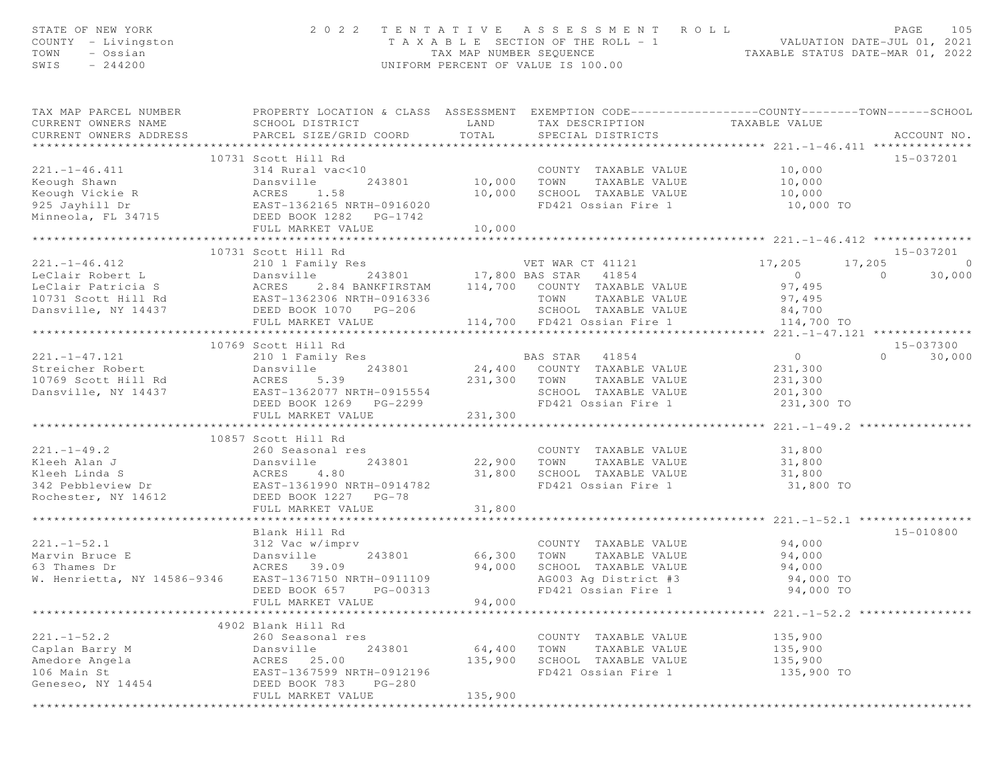| STATE OF NEW YORK<br>COUNTY - Livingston<br>TOWN<br>- Ossian<br>$-244200$<br>SWIS                                                                                                  |                                                                                                                                                 |                      | 2022 TENTATIVE ASSESSMENT ROLL<br>TAXABLE SECTION OF THE ROLL - 1 VALUATION DATE-JUL 01, 2021<br>TAXABLE STATUS DATE-MAR 01, 2022<br>UNIFORM PERCENT OF VALUE IS 100.00 |                                                           | PAGE<br>105                   |
|------------------------------------------------------------------------------------------------------------------------------------------------------------------------------------|-------------------------------------------------------------------------------------------------------------------------------------------------|----------------------|-------------------------------------------------------------------------------------------------------------------------------------------------------------------------|-----------------------------------------------------------|-------------------------------|
| TAX MAP PARCEL NUMBER<br>CURRENT OWNERS NAME<br>CURRENT OWNERS ADDRESS                                                                                                             | PROPERTY LOCATION & CLASS ASSESSMENT EXEMPTION CODE-----------------COUNTY--------TOWN------SCHOOL<br>SCHOOL DISTRICT<br>PARCEL SIZE/GRID COORD | LAND<br>TOTAL        | TAX DESCRIPTION<br>SPECIAL DISTRICTS                                                                                                                                    | TAXABLE VALUE                                             | ACCOUNT NO.                   |
|                                                                                                                                                                                    | 10731 Scott Hill Rd                                                                                                                             |                      |                                                                                                                                                                         |                                                           | 15-037201                     |
| 221.-1-46.411<br>Eeough Shawn<br>Eeough Vickie R<br>925 Jayhill Dr<br>Minneola, FL 34715<br>243801<br>EAST-1362165 NRTH-0916020<br>Minneola, FL 34715<br>DEED BOOK 1282<br>PG-1742 |                                                                                                                                                 |                      | COUNTY TAXABLE VALUE                                                                                                                                                    | 10,000                                                    |                               |
|                                                                                                                                                                                    |                                                                                                                                                 | COUNT<br>10,000 TOWN | TAXABLE VALUE                                                                                                                                                           | 10,000                                                    |                               |
|                                                                                                                                                                                    |                                                                                                                                                 | 10,000               | SCHOOL TAXABLE VALUE                                                                                                                                                    | $10,000$<br>$10,000$ TO                                   |                               |
|                                                                                                                                                                                    |                                                                                                                                                 |                      | FD421 Ossian Fire 1                                                                                                                                                     |                                                           |                               |
|                                                                                                                                                                                    |                                                                                                                                                 |                      |                                                                                                                                                                         |                                                           |                               |
|                                                                                                                                                                                    | FULL MARKET VALUE                                                                                                                               | 10,000               |                                                                                                                                                                         |                                                           |                               |
|                                                                                                                                                                                    | 10731 Scott Hill Rd                                                                                                                             |                      |                                                                                                                                                                         |                                                           | 15-037201                     |
| $221. - 1 - 46.412$                                                                                                                                                                |                                                                                                                                                 |                      | VET WAR CT 41121 17,205                                                                                                                                                 | 17,205                                                    | $\Omega$                      |
|                                                                                                                                                                                    | 210 1 Family Res<br>Dansville 243801 17,800 BAS STAR 41854                                                                                      |                      |                                                                                                                                                                         | $\overline{0}$                                            | 30,000<br>$\Omega$            |
|                                                                                                                                                                                    |                                                                                                                                                 |                      | 2.84 BANKFIRSTAM 114, 700 COUNTY TAXABLE VALUE                                                                                                                          | 97,495                                                    |                               |
|                                                                                                                                                                                    |                                                                                                                                                 |                      | TOWN<br>TAXABLE VALUE                                                                                                                                                   | 97,495                                                    |                               |
|                                                                                                                                                                                    |                                                                                                                                                 |                      | SCHOOL TAXABLE VALUE                                                                                                                                                    | 84,700                                                    |                               |
|                                                                                                                                                                                    | FULL MARKET VALUE                                                                                                                               |                      | 114,700 FD421 Ossian Fire 1 114,700 TO                                                                                                                                  |                                                           |                               |
|                                                                                                                                                                                    |                                                                                                                                                 |                      |                                                                                                                                                                         |                                                           |                               |
| $221. - 1 - 47.121$                                                                                                                                                                | 10769 Scott Hill Rd<br>210 1 Family Res                                                                                                         |                      | <b>BAS STAR</b> 41854                                                                                                                                                   | $\overline{0}$                                            | 15-037300<br>30,000<br>$\cap$ |
|                                                                                                                                                                                    | Dansville                                                                                                                                       |                      | 243801 24,400 COUNTY TAXABLE VALUE                                                                                                                                      | 231,300                                                   |                               |
| Streicher Robert<br>10769 Scott Hill Rd<br>10769 Scott Hill Rd                                                                                                                     | ACRES<br>5.39                                                                                                                                   | 231,300 TOWN         | TAXABLE VALUE                                                                                                                                                           | 231,300                                                   |                               |
| Dansville, NY 14437 EAST-1362077 NRTH-0915554                                                                                                                                      |                                                                                                                                                 |                      | SCHOOL TAXABLE VALUE                                                                                                                                                    | 201,300                                                   |                               |
|                                                                                                                                                                                    | DEED BOOK 1269    PG-2299                                                                                                                       |                      | FD421 Ossian Fire 1                                                                                                                                                     | 231,300 TO                                                |                               |
|                                                                                                                                                                                    | FULL MARKET VALUE                                                                                                                               | 231,300              |                                                                                                                                                                         |                                                           |                               |
|                                                                                                                                                                                    |                                                                                                                                                 |                      |                                                                                                                                                                         |                                                           |                               |
| $221 - 1 - 49.2$                                                                                                                                                                   | 10857 Scott Hill Rd                                                                                                                             |                      |                                                                                                                                                                         |                                                           |                               |
| Kleeh Alan J                                                                                                                                                                       | 260 Seasonal res<br>Dansville<br>243801                                                                                                         | 22,900               | COUNTY TAXABLE VALUE<br>TOWN<br>TAXABLE VALUE                                                                                                                           | 31,800<br>31,800                                          |                               |
|                                                                                                                                                                                    |                                                                                                                                                 | 31,800               | SCHOOL TAXABLE VALUE                                                                                                                                                    | 31,800                                                    |                               |
| Kleeh Linda S<br>342 Pebbleview Dr<br>EAST-1361990 NRTH-0914782                                                                                                                    |                                                                                                                                                 |                      | FD421 Ossian Fire 1                                                                                                                                                     | 31,800 TO                                                 |                               |
| Rochester, NY 14612                                                                                                                                                                | DEED BOOK 1227 PG-78                                                                                                                            |                      |                                                                                                                                                                         |                                                           |                               |
|                                                                                                                                                                                    | FULL MARKET VALUE                                                                                                                               | 31,800               |                                                                                                                                                                         |                                                           |                               |
|                                                                                                                                                                                    | ********************                                                                                                                            | **********           |                                                                                                                                                                         | ********************* 221.-1-52.1 **************          |                               |
|                                                                                                                                                                                    | Blank Hill Rd                                                                                                                                   |                      |                                                                                                                                                                         |                                                           | 15-010800                     |
| $221. - 1 - 52.1$<br>Marvin Bruce E                                                                                                                                                | 312 Vac w/imprv<br>Dansville<br>243801                                                                                                          | 66,300               | COUNTY TAXABLE VALUE<br>TAXABLE VALUE<br>TOWN                                                                                                                           | 94,000<br>94,000                                          |                               |
| 63 Thames Dr                                                                                                                                                                       | ACRES 39.09                                                                                                                                     | 94,000               | SCHOOL TAXABLE VALUE                                                                                                                                                    | 94,000                                                    |                               |
| W. Henrietta, NY 14586-9346                                                                                                                                                        | EAST-1367150 NRTH-0911109                                                                                                                       |                      | AG003 Ag District #3                                                                                                                                                    | 94,000 TO                                                 |                               |
|                                                                                                                                                                                    | PG-00313<br>DEED BOOK 657                                                                                                                       |                      | FD421 Ossian Fire 1                                                                                                                                                     | 94,000 TO                                                 |                               |
|                                                                                                                                                                                    | FULL MARKET VALUE                                                                                                                               | 94,000               |                                                                                                                                                                         |                                                           |                               |
|                                                                                                                                                                                    |                                                                                                                                                 |                      |                                                                                                                                                                         | **************************** 221.-1-52.2 **************** |                               |
|                                                                                                                                                                                    | 4902 Blank Hill Rd                                                                                                                              |                      |                                                                                                                                                                         |                                                           |                               |
| $221. - 1 - 52.2$                                                                                                                                                                  | 260 Seasonal res                                                                                                                                |                      | COUNTY TAXABLE VALUE                                                                                                                                                    | 135,900                                                   |                               |
| Caplan Barry M                                                                                                                                                                     | 243801<br>Dansville                                                                                                                             | 64,400               | TOWN<br>TAXABLE VALUE                                                                                                                                                   | 135,900                                                   |                               |
| Amedore Angela                                                                                                                                                                     | 25.00<br>ACRES<br>EAST-1367599 NRTH-0912196                                                                                                     | 135,900              | SCHOOL TAXABLE VALUE                                                                                                                                                    | 135,900                                                   |                               |
| 106 Main St<br>Geneseo, NY 14454                                                                                                                                                   | DEED BOOK 783<br>$PG-280$                                                                                                                       |                      | FD421 Ossian Fire 1                                                                                                                                                     | 135,900 TO                                                |                               |
|                                                                                                                                                                                    | FULL MARKET VALUE                                                                                                                               | 135,900              |                                                                                                                                                                         |                                                           |                               |
|                                                                                                                                                                                    |                                                                                                                                                 |                      |                                                                                                                                                                         |                                                           |                               |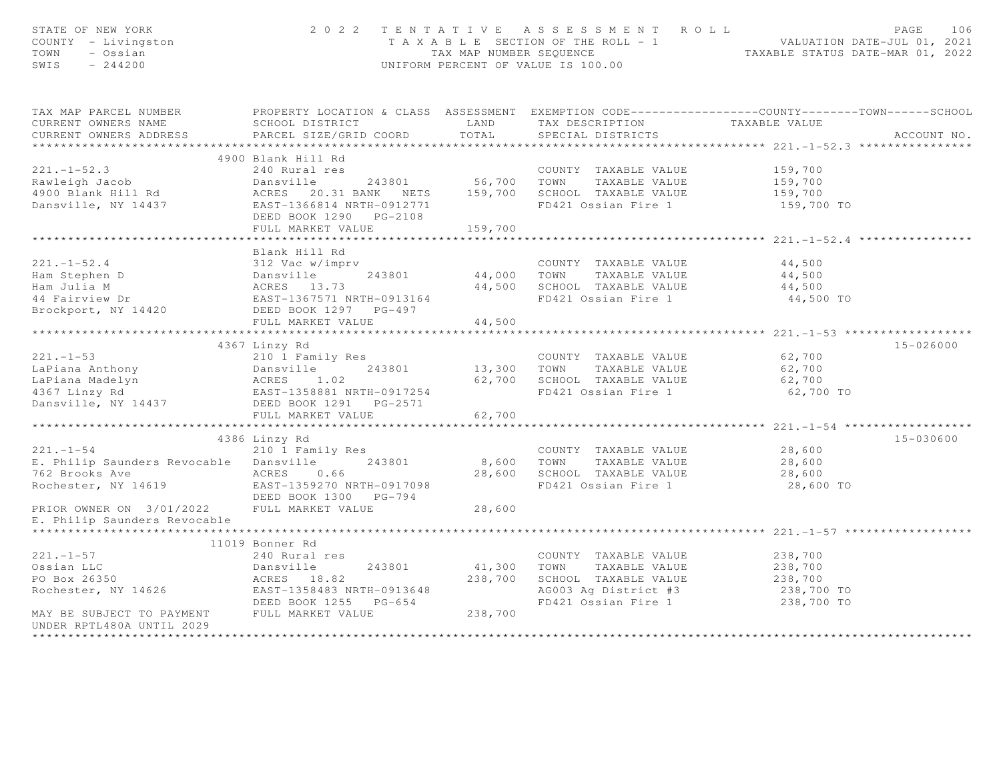| STATE OF NEW YORK<br>COUNTY - Livingston<br>TOWN<br>- Ossian<br>SWIS<br>$-244200$                                                                                                                                                                                            | 2022 TENTATIVE ASSESSMENT ROLL<br>UNIFORM PERCENT OF VALUE IS 100.00                                                                                                  | PAGE<br>106<br>T A X A B L E SECTION OF THE ROLL - 1<br>TAX MAP NUMBER SEQUENCE<br>TAXABLE STATUS DATE-MAR 01, 2022 |                                                                                  |                                                                                                                            |
|------------------------------------------------------------------------------------------------------------------------------------------------------------------------------------------------------------------------------------------------------------------------------|-----------------------------------------------------------------------------------------------------------------------------------------------------------------------|---------------------------------------------------------------------------------------------------------------------|----------------------------------------------------------------------------------|----------------------------------------------------------------------------------------------------------------------------|
| CURRENT OWNERS NAME                                                                                                                                                                                                                                                          |                                                                                                                                                                       |                                                                                                                     |                                                                                  | TAX MAP PARCEL NUMBER THE PROPERTY LOCATION & CLASS ASSESSMENT EXEMPTION CODE---------------COUNTY--------TOWN------SCHOOL |
| CURRENT OWNERS ADDRESS                                                                                                                                                                                                                                                       | SCHOOL DISTRICT                           LAND         TAX DESCRIPTION                   TAXABLE VALUE PARCEL SIZE/GRID COORD          TOTAL        SPECIAL DISTRICTS |                                                                                                                     |                                                                                  | ACCOUNT NO.                                                                                                                |
|                                                                                                                                                                                                                                                                              |                                                                                                                                                                       |                                                                                                                     |                                                                                  |                                                                                                                            |
|                                                                                                                                                                                                                                                                              | 4900 Blank Hill Rd                                                                                                                                                    |                                                                                                                     |                                                                                  |                                                                                                                            |
| $221. -1 - 52.3$                                                                                                                                                                                                                                                             |                                                                                                                                                                       |                                                                                                                     | COUNTY TAXABLE VALUE 159,700                                                     |                                                                                                                            |
|                                                                                                                                                                                                                                                                              |                                                                                                                                                                       |                                                                                                                     |                                                                                  |                                                                                                                            |
|                                                                                                                                                                                                                                                                              |                                                                                                                                                                       |                                                                                                                     |                                                                                  |                                                                                                                            |
|                                                                                                                                                                                                                                                                              | DEED BOOK 1290 PG-2108                                                                                                                                                |                                                                                                                     |                                                                                  | 159,700 TO                                                                                                                 |
|                                                                                                                                                                                                                                                                              | FULL MARKET VALUE                                                                                                                                                     | 159,700                                                                                                             |                                                                                  |                                                                                                                            |
|                                                                                                                                                                                                                                                                              |                                                                                                                                                                       |                                                                                                                     |                                                                                  |                                                                                                                            |
|                                                                                                                                                                                                                                                                              | Blank Hill Rd                                                                                                                                                         |                                                                                                                     |                                                                                  |                                                                                                                            |
| $221. - 1 - 52.4$                                                                                                                                                                                                                                                            | 312 Vac w/imprv                                                                                                                                                       |                                                                                                                     | COUNTY TAXABLE VALUE                                                             | 44,500                                                                                                                     |
|                                                                                                                                                                                                                                                                              |                                                                                                                                                                       |                                                                                                                     |                                                                                  | 44,500                                                                                                                     |
|                                                                                                                                                                                                                                                                              |                                                                                                                                                                       |                                                                                                                     | 44,000 TOWN TAXABLE VALUE<br>44,500 SCHOOL TAXABLE VALUE                         | 44,500                                                                                                                     |
|                                                                                                                                                                                                                                                                              |                                                                                                                                                                       |                                                                                                                     | FD421 Ossian Fire 1                                                              | 44,500 TO                                                                                                                  |
| 221.-1-52.4<br>Ham Stephen D<br>Ham Julia M<br>44 Fairview Dr<br>Brockport, NY 14420<br>243801<br>243801<br>243801<br>243801<br>243801<br>243801<br>243801<br>243801<br>243801<br>243801<br>243801<br>243801<br>243801<br>243801<br>2527<br>262571<br>26497<br>26497<br>2621 |                                                                                                                                                                       |                                                                                                                     |                                                                                  |                                                                                                                            |
|                                                                                                                                                                                                                                                                              | FULL MARKET VALUE                                                                                                                                                     | 44,500                                                                                                              |                                                                                  |                                                                                                                            |
|                                                                                                                                                                                                                                                                              |                                                                                                                                                                       |                                                                                                                     |                                                                                  |                                                                                                                            |
|                                                                                                                                                                                                                                                                              | 4367 Linzy Rd                                                                                                                                                         |                                                                                                                     |                                                                                  | 15-026000<br>62,700                                                                                                        |
| $221. - 1 - 53$                                                                                                                                                                                                                                                              | 210 1 Family Res                                                                                                                                                      |                                                                                                                     | COUNTY TAXABLE VALUE                                                             |                                                                                                                            |
|                                                                                                                                                                                                                                                                              |                                                                                                                                                                       |                                                                                                                     |                                                                                  |                                                                                                                            |
|                                                                                                                                                                                                                                                                              |                                                                                                                                                                       |                                                                                                                     | 62,700 SCHOOL TAXABLE VALUE 62,700<br>FD421 Ossian Fire 1 62,700 TO              |                                                                                                                            |
| La COUNTY TAXABLE VALUE 62,700<br>La Piana Anthony Dansville 243801 13,300 TOWN TAXABLE VALUE 62,700<br>La Piana Madelyn ACRES 1.02 62,700 SCHOOL TAXABLE VALUE 62,700<br>4367 Linzy Rd EAST-1358881 NRTH-0917254 FD421 Ossian Fire                                          |                                                                                                                                                                       |                                                                                                                     |                                                                                  |                                                                                                                            |
|                                                                                                                                                                                                                                                                              | FULL MARKET VALUE                                                                                                                                                     | 62,700                                                                                                              |                                                                                  |                                                                                                                            |
|                                                                                                                                                                                                                                                                              |                                                                                                                                                                       |                                                                                                                     |                                                                                  |                                                                                                                            |
|                                                                                                                                                                                                                                                                              | 4386 Linzy Rd                                                                                                                                                         |                                                                                                                     |                                                                                  | 15-030600                                                                                                                  |
|                                                                                                                                                                                                                                                                              |                                                                                                                                                                       |                                                                                                                     |                                                                                  |                                                                                                                            |
| 221.-1-54 210 1 Family Res COUNTY TAXABLE VALUE<br>E. Philip Saunders Revocable Dansville 243801 8,600 TOWN TAXABLE VALUE                                                                                                                                                    |                                                                                                                                                                       |                                                                                                                     | COUNTY TAXABLE VALUE 28,600<br>TOWN TAXABLE VALUE 28,600                         |                                                                                                                            |
| 762 Brooks Ave                                                                                                                                                                                                                                                               | ACRES 0.66                                                                                                                                                            |                                                                                                                     | 28,600 SCHOOL TAXABLE VALUE                                                      | 28,600                                                                                                                     |
| Rochester, NY 14619                                                                                                                                                                                                                                                          | EAST-1359270 NRTH-0917098                                                                                                                                             |                                                                                                                     | FD421 Ossian Fire 1                                                              | 28,600 TO                                                                                                                  |
|                                                                                                                                                                                                                                                                              | DEED BOOK 1300 PG-794                                                                                                                                                 |                                                                                                                     |                                                                                  |                                                                                                                            |
| PRIOR OWNER ON 3/01/2022 FULL MARKET VALUE 28,600<br>E. Philip Saunders Revocable                                                                                                                                                                                            |                                                                                                                                                                       |                                                                                                                     |                                                                                  |                                                                                                                            |
|                                                                                                                                                                                                                                                                              |                                                                                                                                                                       |                                                                                                                     |                                                                                  |                                                                                                                            |
|                                                                                                                                                                                                                                                                              | 11019 Bonner Rd                                                                                                                                                       |                                                                                                                     |                                                                                  |                                                                                                                            |
| $221. - 1 - 57$                                                                                                                                                                                                                                                              | 240 Rural res                                                                                                                                                         |                                                                                                                     | COUNTY TAXABLE VALUE                                                             | 238,700                                                                                                                    |
|                                                                                                                                                                                                                                                                              | Dansville                                                                                                                                                             |                                                                                                                     |                                                                                  |                                                                                                                            |
| Ossian LLC<br>PO Box 26350                                                                                                                                                                                                                                                   | ACRES 18.82                                                                                                                                                           |                                                                                                                     | 243801 41,300 TOWN TAXABLE VALUE 238,700<br>238,700 SCHOOL TAXABLE VALUE 238,700 |                                                                                                                            |
|                                                                                                                                                                                                                                                                              |                                                                                                                                                                       |                                                                                                                     | AG003 Ag District #3<br>FD421 Ossian Fire 1                                      | 238,700 TO                                                                                                                 |
| Rochester, NY 14626 EAST-1358483 NRTH-0913648<br>DEED BOOK 1255 PG-654                                                                                                                                                                                                       |                                                                                                                                                                       |                                                                                                                     |                                                                                  | 238,700 TO                                                                                                                 |
| MAY BE SUBJECT TO PAYMENT FULL MARKET VALUE                                                                                                                                                                                                                                  |                                                                                                                                                                       | 238,700                                                                                                             |                                                                                  |                                                                                                                            |
| UNDER RPTL480A UNTIL 2029                                                                                                                                                                                                                                                    |                                                                                                                                                                       |                                                                                                                     |                                                                                  |                                                                                                                            |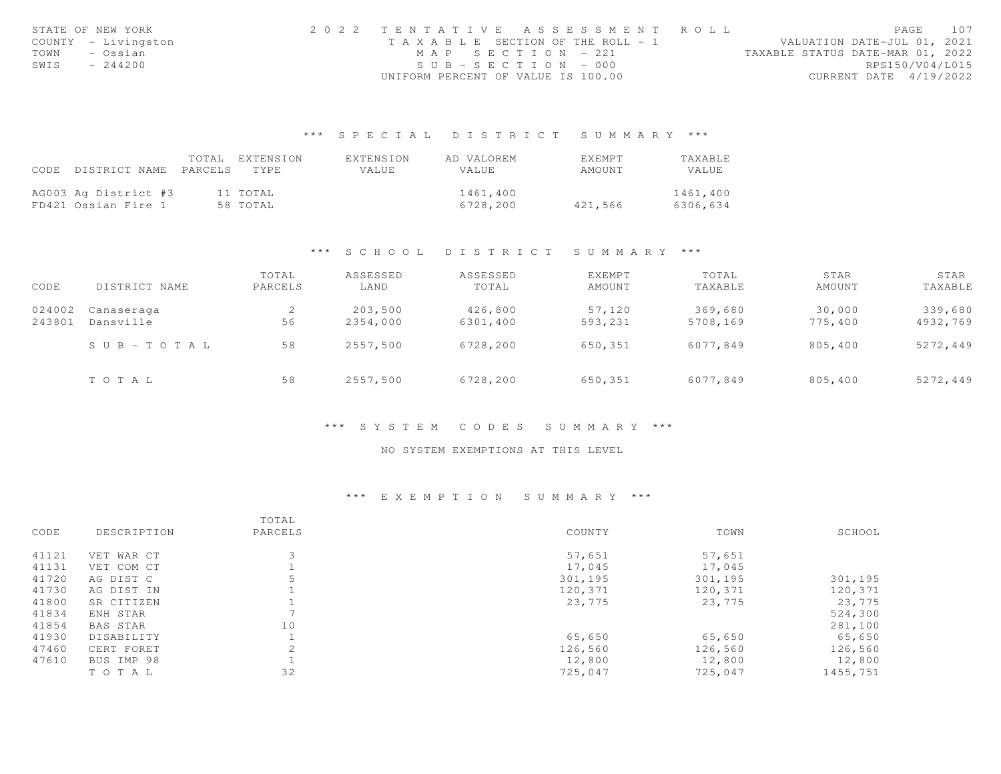| STATE OF NEW YORK   | 2022 TENTATIVE ASSESSMENT ROLL |                                    |  | PAGE                             | 107 |
|---------------------|--------------------------------|------------------------------------|--|----------------------------------|-----|
| COUNTY - Livingston |                                | TAXABLE SECTION OF THE ROLL - 1    |  | VALUATION DATE-JUL 01, 2021      |     |
| TOWN<br>– Ossian    |                                | MAP SECTION - 221                  |  | TAXABLE STATUS DATE-MAR 01, 2022 |     |
| SWIS<br>$-244200$   |                                | $SUB - SECTION - 000$              |  | RPS150/V04/L015                  |     |
|                     |                                | UNIFORM PERCENT OF VALUE IS 100.00 |  | CURRENT DATE 4/19/2022           |     |

# \*\*\* S P E C I A L D I S T R I C T S U M M A R Y \*\*\*

|                                 | TOTAL EXTENSION | EXTENSION | AD VALOREM | EXEMPT  | TAXABLE  |
|---------------------------------|-----------------|-----------|------------|---------|----------|
| CODE DISTRICT NAME PARCELS TYPE |                 | VALUE.    | VALUE      | AMOUNT  | VALUE    |
|                                 |                 |           |            |         |          |
| AG003 Ag District #3            | 11 TOTAL        |           | 1461,400   |         | 1461,400 |
| FD421 Ossian Fire 1             | 58 TOTAL        |           | 6728,200   | 421,566 | 6306,634 |

## \*\*\* S C H O O L D I S T R I C T S U M M A R Y \*\*\*

| CODE             | DISTRICT NAME             | TOTAL<br>PARCELS | ASSESSED<br>LAND    | ASSESSED<br>TOTAL   | EXEMPT<br>AMOUNT  | TOTAL<br>TAXABLE    | STAR<br>AMOUNT    | STAR<br>TAXABLE     |
|------------------|---------------------------|------------------|---------------------|---------------------|-------------------|---------------------|-------------------|---------------------|
| 024002<br>243801 | Canaseraga<br>Dansville   | 2<br>56          | 203,500<br>2354,000 | 426,800<br>6301,400 | 57,120<br>593,231 | 369,680<br>5708,169 | 30,000<br>775,400 | 339,680<br>4932,769 |
|                  | $S \cup B = T \cup T A L$ | 58               | 2557,500            | 6728,200            | 650,351           | 6077,849            | 805,400           | 5272,449            |
|                  | TOTAL                     | 58               | 2557,500            | 6728,200            | 650,351           | 6077,849            | 805,400           | 5272,449            |

## \*\*\* S Y S T E M C O D E S S U M M A R Y \*\*\*

## NO SYSTEM EXEMPTIONS AT THIS LEVEL

## \*\*\* E X E M P T I O N S U M M A R Y \*\*\*

|       |                 | TOTAL   |         |         |          |
|-------|-----------------|---------|---------|---------|----------|
| CODE  | DESCRIPTION     | PARCELS | COUNTY  | TOWN    | SCHOOL   |
| 41121 | VET WAR CT      |         | 57,651  | 57,651  |          |
| 41131 | VET COM CT      |         | 17,045  | 17,045  |          |
| 41720 | AG DIST C       |         | 301,195 | 301,195 | 301,195  |
| 41730 | AG DIST IN      |         | 120,371 | 120,371 | 120,371  |
| 41800 | SR CITIZEN      |         | 23,775  | 23,775  | 23,775   |
| 41834 | ENH STAR        |         |         |         | 524,300  |
| 41854 | <b>BAS STAR</b> | 10      |         |         | 281,100  |
| 41930 | DISABILITY      |         | 65,650  | 65,650  | 65,650   |
| 47460 | CERT FORET      | 2       | 126,560 | 126,560 | 126,560  |
| 47610 | BUS IMP 98      |         | 12,800  | 12,800  | 12,800   |
|       | TOTAL           | 32      | 725,047 | 725,047 | 1455,751 |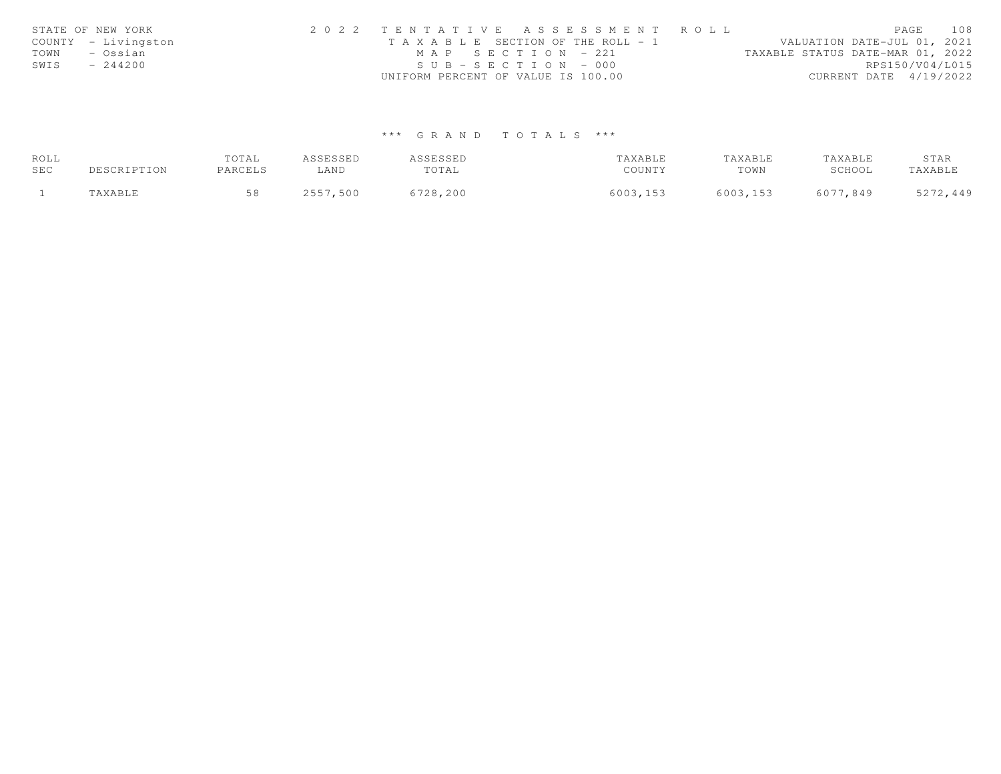| STATE OF NEW YORK   |           | 2022 TENTATIVE ASSESSMENT ROLL |                                       |                       |  |  |  |                                  |                        | PAGE            | 108 |
|---------------------|-----------|--------------------------------|---------------------------------------|-----------------------|--|--|--|----------------------------------|------------------------|-----------------|-----|
| COUNTY - Livingston |           |                                | T A X A B L E SECTION OF THE ROLL - 1 |                       |  |  |  | VALUATION DATE-JUL 01, 2021      |                        |                 |     |
| TOWN<br>– Ossian    |           |                                |                                       | MAP SECTION - 221     |  |  |  | TAXABLE STATUS DATE-MAR 01, 2022 |                        |                 |     |
| SWIS                | $-244200$ |                                |                                       | $SUB - SECTION - 000$ |  |  |  |                                  |                        | RPS150/V04/L015 |     |
|                     |           |                                | UNIFORM PERCENT OF VALUE IS 100.00    |                       |  |  |  |                                  | CURRENT DATE 4/19/2022 |                 |     |

# \*\*\* G R A N D T O T A L S \*\*\*

| ROLL |             | TOTAL   | ASSESSED | ASSESSED | TAXABLE  | TAXABLE  | TAXABLE  | STAR     |
|------|-------------|---------|----------|----------|----------|----------|----------|----------|
| SEC  | DESCRIPTION | PARCELS | ∟AND     | TOTAL    | COUNTY   | TOWN     | SCHOOL   | TAXABLE  |
|      | TAXABLE     |         | 2557,500 | 6728,200 | 6003,153 | 6003,153 | 6077,849 | 5272,449 |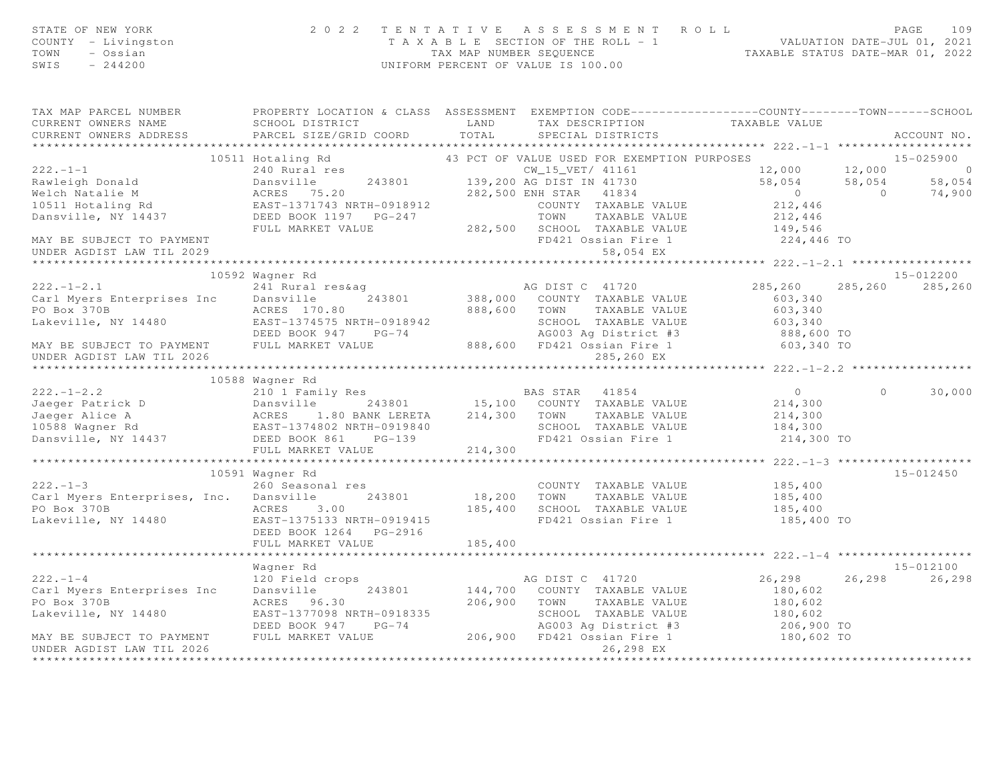| STATE OF NEW YORK<br>COUNTY - Livingston<br>TOWN<br>- Ossian<br>SWIS $-244200$                                                                                                                                                                                           | UNIFORM PERCENT OF VALUE IS 100.00                                                                         |         | 2022 TENTATIVE ASSESSMENT ROLL PAGE 109<br>TAXABLE SECTION OF THE ROLL - 1 VALUATION DATE-JUL 01, 2021<br>TAX MAP NUMBER SEQUENCE TAXABLE STATUS DATE-MAR 01, 2022 |                                                 |                                                           |
|--------------------------------------------------------------------------------------------------------------------------------------------------------------------------------------------------------------------------------------------------------------------------|------------------------------------------------------------------------------------------------------------|---------|--------------------------------------------------------------------------------------------------------------------------------------------------------------------|-------------------------------------------------|-----------------------------------------------------------|
| TAX MAP PARCEL NUMBER PROPERTY LOCATION & CLASS ASSESSMENT EXEMPTION CODE---------------COUNTY-------TOWN------SCHOOL<br>CURRENT OWNERS NAME                                                                                                                             | SCHOOL DISTRICT                   LAND       TAX DESCRIPTION               TAXABLE VALUE                   |         |                                                                                                                                                                    |                                                 |                                                           |
| CURRENT OWNERS ADDRESS                                                                                                                                                                                                                                                   | PARCEL SIZE/GRID COORD TOTAL                                                                               |         | SPECIAL DISTRICTS                                                                                                                                                  |                                                 | ACCOUNT NO.                                               |
|                                                                                                                                                                                                                                                                          |                                                                                                            |         |                                                                                                                                                                    |                                                 |                                                           |
|                                                                                                                                                                                                                                                                          | Hotaling Rd<br>43 PCT OF VALUE USED FOR EXEMPTION PURPOSES<br>CW_15_VET/ 41161 12.000<br>10511 Hotaling Rd |         |                                                                                                                                                                    |                                                 | 15-025900                                                 |
| $222. - 1 - 1$                                                                                                                                                                                                                                                           |                                                                                                            |         |                                                                                                                                                                    |                                                 |                                                           |
|                                                                                                                                                                                                                                                                          |                                                                                                            |         |                                                                                                                                                                    |                                                 | $12,000$ $12,000$ 0<br>58,054 58,054 58,054<br>0 0 74,900 |
|                                                                                                                                                                                                                                                                          |                                                                                                            |         |                                                                                                                                                                    |                                                 |                                                           |
|                                                                                                                                                                                                                                                                          |                                                                                                            |         |                                                                                                                                                                    |                                                 |                                                           |
|                                                                                                                                                                                                                                                                          |                                                                                                            |         |                                                                                                                                                                    |                                                 |                                                           |
|                                                                                                                                                                                                                                                                          |                                                                                                            |         |                                                                                                                                                                    |                                                 |                                                           |
| UNDER AGDIST LAW TIL 2029                                                                                                                                                                                                                                                |                                                                                                            |         | 58,054 EX                                                                                                                                                          |                                                 |                                                           |
|                                                                                                                                                                                                                                                                          |                                                                                                            |         |                                                                                                                                                                    |                                                 |                                                           |
|                                                                                                                                                                                                                                                                          | 10592 Wagner Rd                                                                                            |         |                                                                                                                                                                    |                                                 | 15-012200                                                 |
| $222 - 1 - 2.1$                                                                                                                                                                                                                                                          | 241 Rural res&ag<br>241 Rural res&ag<br>243801 288,000 COUNTY TAXABLE VALUE                                |         |                                                                                                                                                                    | 285,260                                         | 285, 260 285, 260                                         |
| Carl Myers Enterprises Inc Dansville                                                                                                                                                                                                                                     |                                                                                                            |         |                                                                                                                                                                    | 603,340                                         |                                                           |
| PO Box 370B                                                                                                                                                                                                                                                              | ACRES 170.80                                                                                               |         | 888,600 TOWN TAXABLE VALUE                                                                                                                                         | 603,340                                         |                                                           |
| Lakeville, NY 14480                                                                                                                                                                                                                                                      |                                                                                                            |         |                                                                                                                                                                    |                                                 |                                                           |
|                                                                                                                                                                                                                                                                          |                                                                                                            |         |                                                                                                                                                                    |                                                 |                                                           |
| 10 BOX 376<br>Lakeville, NY 14480 EAST-1374575 NRTH-0918942<br>DEED BOOK 947 PG-74 AG003 Ag District #3 888,600 TO<br>MAY BE SUBJECT TO PAYMENT FULL MARKET VALUE 888,600 FD421 Ossian Fire 1 603,340 TO<br>UNDER AGDIST LAW TIL 2026                                    |                                                                                                            |         | 285,260 EX                                                                                                                                                         |                                                 |                                                           |
|                                                                                                                                                                                                                                                                          |                                                                                                            |         |                                                                                                                                                                    | ****************** 222.-1-2.2 ***************** |                                                           |
|                                                                                                                                                                                                                                                                          | 10588 Wagner Rd                                                                                            |         |                                                                                                                                                                    |                                                 |                                                           |
| 222.-1-2.2<br>Jaeger Patrick D<br>Jaeger Alice A<br>1998 Wagner Rd<br>1998 Wagner Rd<br>214,300<br>214,300<br>214,300<br>214,300<br>214,300<br>214,300<br>214,300<br>214,300<br>214,300<br>214,300<br>214,300<br>214,300<br>214,300<br>214,300<br>214,300<br>214,300<br> |                                                                                                            |         |                                                                                                                                                                    |                                                 | 30,000<br>$\circ$                                         |
|                                                                                                                                                                                                                                                                          |                                                                                                            |         |                                                                                                                                                                    |                                                 |                                                           |
|                                                                                                                                                                                                                                                                          |                                                                                                            |         |                                                                                                                                                                    |                                                 |                                                           |
|                                                                                                                                                                                                                                                                          |                                                                                                            |         |                                                                                                                                                                    |                                                 |                                                           |
|                                                                                                                                                                                                                                                                          |                                                                                                            |         |                                                                                                                                                                    | 214,300 TO                                      |                                                           |
|                                                                                                                                                                                                                                                                          | FULL MARKET VALUE                                                                                          | 214,300 |                                                                                                                                                                    |                                                 |                                                           |
|                                                                                                                                                                                                                                                                          |                                                                                                            |         |                                                                                                                                                                    |                                                 |                                                           |
| $222 - 1 - 3$                                                                                                                                                                                                                                                            | 10591 Wagner Rd<br>260 Seasonal res                                                                        |         | COUNTY TAXABLE VALUE                                                                                                                                               | 185,400                                         | 15-012450                                                 |
| Carl Myers Enterprises, Inc. Dansville 243801                                                                                                                                                                                                                            |                                                                                                            |         | 18,200 TOWN TAXABLE VALUE                                                                                                                                          | 185,400                                         |                                                           |
| PO Box 370B                                                                                                                                                                                                                                                              | ACRES 3.00                                                                                                 |         | 185,400 SCHOOL TAXABLE VALUE                                                                                                                                       | 185,400                                         |                                                           |
| Lakeville, NY 14480 EAST-1375133 NRTH-0919415                                                                                                                                                                                                                            |                                                                                                            |         | FD421 Ossian Fire 1                                                                                                                                                | 185,400 TO                                      |                                                           |
|                                                                                                                                                                                                                                                                          | DEED BOOK 1264 PG-2916                                                                                     |         |                                                                                                                                                                    |                                                 |                                                           |
|                                                                                                                                                                                                                                                                          | FULL MARKET VALUE                                                                                          | 185,400 |                                                                                                                                                                    |                                                 |                                                           |
|                                                                                                                                                                                                                                                                          | *******************************                                                                            |         |                                                                                                                                                                    |                                                 |                                                           |
|                                                                                                                                                                                                                                                                          | Wagner Rd                                                                                                  |         |                                                                                                                                                                    |                                                 | 15-012100                                                 |
| $222 - 1 - 4$                                                                                                                                                                                                                                                            | 120 Field crops                                                                                            |         | AG DIST C 41720                                                                                                                                                    | 26,298                                          | 26,298<br>26,298                                          |
| Carl Myers Enterprises Inc                                                                                                                                                                                                                                               | Dansville<br>243801                                                                                        |         | 144,700 COUNTY TAXABLE VALUE                                                                                                                                       | 180,602                                         |                                                           |
| PO Box 370B                                                                                                                                                                                                                                                              | ACRES 96.30                                                                                                |         | 206,900 TOWN TAXABLE VALUE                                                                                                                                         | 180,602                                         |                                                           |
| Lakeville, NY 14480                                                                                                                                                                                                                                                      | EAST-1377098 NRTH-0918335<br>DEED BOOK 947 PG-74                                                           |         | SCHOOL TAXABLE VALUE 180,602                                                                                                                                       |                                                 |                                                           |
| MAY BE SUBJECT TO PAYMENT                                                                                                                                                                                                                                                | FULL MARKET VALUE                                                                                          |         | AGO03 Ag District #3 206,900 TO<br>206,900 FD421 Ossian Fire 1 180,602 TO                                                                                          |                                                 |                                                           |
| UNDER AGDIST LAW TIL 2026                                                                                                                                                                                                                                                |                                                                                                            |         | 26,298 EX                                                                                                                                                          |                                                 |                                                           |
|                                                                                                                                                                                                                                                                          |                                                                                                            |         |                                                                                                                                                                    |                                                 |                                                           |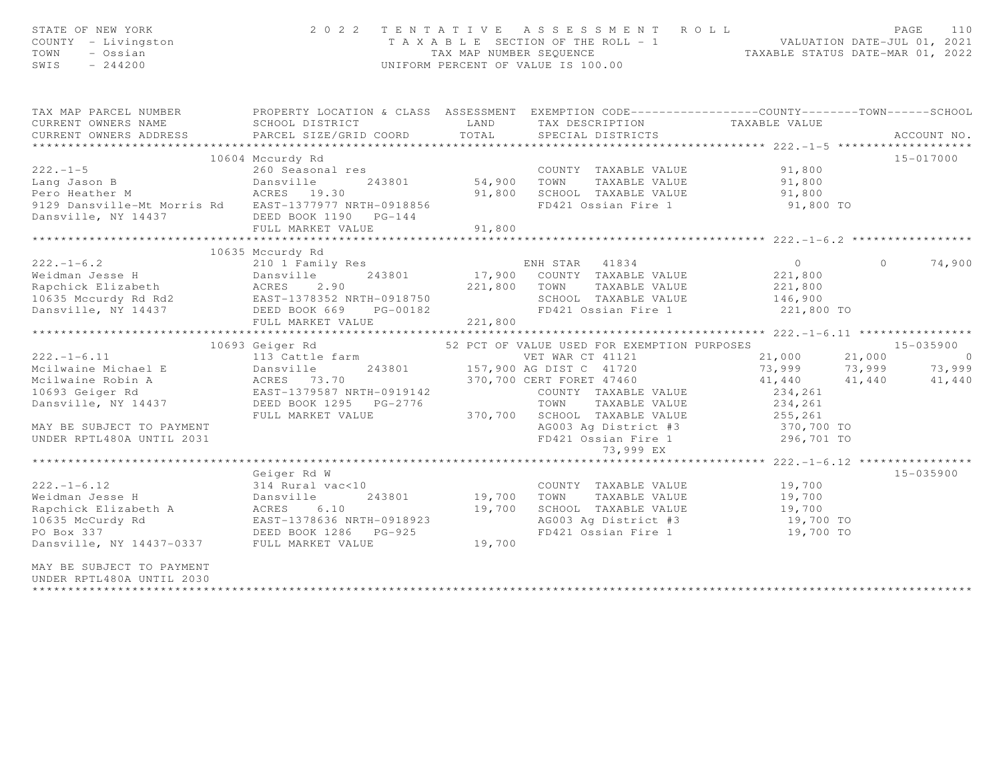| STATE OF NEW YORK<br>COUNTY - Livingston<br>- Ossian<br>TOWN<br>$-244200$<br>SWIS                                                                                                                                                                                   | 2 0 2 2                                                                                                                                                                                                              |                                        | TENTATIVE ASSESSMENT ROLL<br>T A X A B L E SECTION OF THE ROLL - 1 VALUATION DATE-JUL 01, 2021<br>TAX MAP NUMBER SEQUENCE TAXABLE STATUS DATE-MAR 01, 2022<br>UNIFORM PERCENT OF VALUE IS 100.00                                                                                                                                                                                                                                                                             |                                                                                                            | PAGE<br>110        |
|---------------------------------------------------------------------------------------------------------------------------------------------------------------------------------------------------------------------------------------------------------------------|----------------------------------------------------------------------------------------------------------------------------------------------------------------------------------------------------------------------|----------------------------------------|------------------------------------------------------------------------------------------------------------------------------------------------------------------------------------------------------------------------------------------------------------------------------------------------------------------------------------------------------------------------------------------------------------------------------------------------------------------------------|------------------------------------------------------------------------------------------------------------|--------------------|
| TAX MAP PARCEL NUMBER<br>CURRENT OWNERS NAME<br>CURRENT OWNERS ADDRESS                                                                                                                                                                                              | PROPERTY LOCATION & CLASS ASSESSMENT EXEMPTION CODE-----------------COUNTY--------TOWN------SCHOOL<br>SCHOOL DISTRICT<br>PARCEL SIZE/GRID COORD                                                                      | LAND<br>TOTAL                          | TAX DESCRIPTION TAXABLE VALUE<br>SPECIAL DISTRICTS                                                                                                                                                                                                                                                                                                                                                                                                                           |                                                                                                            | ACCOUNT NO.        |
| $222 - 1 - 5$<br>9129 Dansville-Mt Morris Rd EAST-1377977 NRTH-0918856<br>Dansville, NY 14437                                                                                                                                                                       | 10604 Mccurdy Rd<br>260 Seasonal res<br>DEED BOOK 1190 PG-144<br>FULL MARKET VALUE                                                                                                                                   | 243801 54,900 TOWN<br>91,800<br>91,800 | COUNTY TAXABLE VALUE<br>TAXABLE VALUE<br>SCHOOL TAXABLE VALUE<br>FD421 Ossian Fire 1                                                                                                                                                                                                                                                                                                                                                                                         | 91,800<br>91,800<br>91,800<br>91,800 TO                                                                    | 15-017000          |
| 10635 Mccuray Rue 10635 Mccuray Rue 10635 Mccuray Rue 17,900<br>Rapchick Elizabeth ACRES 2.90 221,800<br>10635 Mccurdy Rd Rd2 EAST-1378352 NRTH-0918750<br>221,800 EAST-1378352 NRTH-0918750<br>221,800 DEED BOOK 669 PG-00182<br>Dansville, NY 14437 DEED BOOK 669 | 10635 Mccurdy Rd<br>PG-00182<br>ALUE 221,800<br>FULL MARKET VALUE                                                                                                                                                    |                                        | ENH STAR 41834<br>17,900 COUNTY TAXABLE VALUE<br>221,800 TOWN TAXABLE VALUE<br>SCHOOL TAXABLE VALUE<br>FD421 Ossian Fire 1                                                                                                                                                                                                                                                                                                                                                   | $\overline{0}$<br>221,800<br>221,800<br>146,900<br>221,800 TO                                              | 74,900<br>$\Omega$ |
| $222. - 1 - 6.11$<br>Mcilwaine Michael E<br>Mcilwaine Robin A<br>10693 Geiger Rd<br>Dansville, NY 14437<br>MAY BE SUBJECT TO PAYMENT<br>UNDER RPTL480A UNTIL 2031                                                                                                   | 10693 Geiger Rd<br>113 Cattle farm<br>Dansville 243801 157,900 AG DIST C 41720<br>ACRES 73.70 370,700 CERT FORET 47460<br>EAST-1379587 NRTH-0919142 COUNTY TAXABLE VA<br>DEED BOOK 1295 PG-2776<br>FULL MARKET VALUE | 370,700                                | 52 PCT OF VALUE USED FOR EXEMPTION PURPOSES 15-035900<br>VET WAR CT 41121<br>AG DIST C 41720<br>CERT FORET 47460<br>CERT FORET 47460<br>A1,440<br>41,440<br>41,440<br>41,440<br>41,440<br>41,440<br>41,440<br>41,440<br>41,440<br>41,440<br>41,440<br>41,440<br>41,440<br>41,440<br>41,440<br>41,440<br>41,<br>370,700 CERT FORET 47460<br>COUNTY TAXABLE VALUE<br>TOWN<br>TAXABLE VALUE<br>SCHOOL TAXABLE VALUE<br>AG003 Ag District #3<br>FD421 Ossian Fire 1<br>73,999 EX | *************** 222.-1-6.11 *****************<br>234,261<br>234,261<br>255,261<br>370,700 TO<br>296,701 TO |                    |
| $222. - 1 - 6.12$<br>Weidman Jesse H<br>Rapchick Elizabeth A<br>10635 McCurdy Rd<br>PO Box 337<br>Dansville, NY 14437-0337 FULL MARKET VALUE<br>MAY BE SUBJECT TO PAYMENT<br>UNDER RPTL480A UNTIL 2030                                                              | Geiger Rd W<br>314 Rural vac<10<br>243801<br>Dansville<br>ACRES 6.10<br>EAST-1378636 NRTH-0918923<br>DEED BOOK 1286 PG-925                                                                                           | 19,700<br>19,700                       | COUNTY TAXABLE VALUE<br>19,700 TOWN TAXABLE VALUE<br>SCHOOL TAXABLE VALUE<br>AG003 Ag District #3<br>FD421 Ossian Fire 1 19,700 TO                                                                                                                                                                                                                                                                                                                                           | 19,700<br>19,700<br>19,700<br>19,700 TO                                                                    | $15 - 035900$      |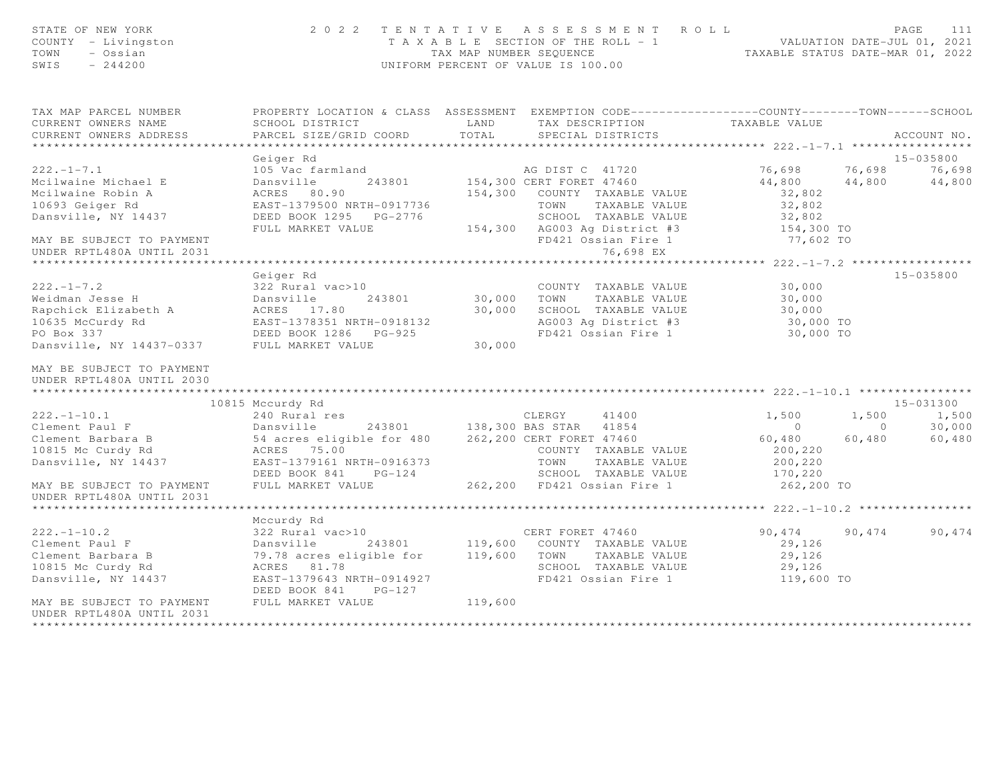| STATE OF NEW YORK<br>COUNTY - Livingston<br>TOWN<br>- Ossian<br>SWIS<br>$-244200$ | 2022 TENTATIVE ASSESSMENT ROLL<br>T A X A B L E SECTION OF THE ROLL - 1 VALUATION DATE-JUL 01, 2021<br>TAX MAP NUMBER SEQUENCE TAXABLE STATUS DATE-MAR 01. 2022<br>TAXABLE STATUS DATE-MAR 01, 2022 | PAGE<br>111                                                                                                                |                                    |                   |
|-----------------------------------------------------------------------------------|-----------------------------------------------------------------------------------------------------------------------------------------------------------------------------------------------------|----------------------------------------------------------------------------------------------------------------------------|------------------------------------|-------------------|
| TAX MAP PARCEL NUMBER<br>CURRENT OWNERS NAME                                      | SCHOOL DISTRICT                                                                                                                                                                                     | PROPERTY LOCATION & CLASS ASSESSMENT EXEMPTION CODE---------------COUNTY-------TOWN------SCHOOL<br>LAND<br>TAX DESCRIPTION | TAXABLE VALUE                      |                   |
| CURRENT OWNERS ADDRESS<br>***********************                                 | PARCEL SIZE/GRID COORD                                                                                                                                                                              | TOTAL<br>SPECIAL DISTRICTS                                                                                                 |                                    | ACCOUNT NO.       |
|                                                                                   | Geiger Rd                                                                                                                                                                                           |                                                                                                                            |                                    | 15-035800         |
| $222. - 1 - 7.1$                                                                  | 105 Vac farmland                                                                                                                                                                                    |                                                                                                                            | 76,698                             | 76,698<br>76,698  |
| Mcilwaine Michael E                                                               | 243801<br>Dansville                                                                                                                                                                                 | AG DIST C 41720<br>154,300 CERT FORET 47460                                                                                | 44,800                             | 44,800<br>44,800  |
| Mcilwaine Robin A                                                                 | ACRES 80.90                                                                                                                                                                                         | 154,300 COUNTY TAXABLE VALUE                                                                                               | 32,802                             |                   |
| 10693 Geiger Rd                                                                   | EAST-1379500 NRTH-0917736                                                                                                                                                                           | TOWN<br>TAXABLE VALUE                                                                                                      | 32,802                             |                   |
| Dansville, NY 14437                                                               |                                                                                                                                                                                                     | SCHOOL TAXABLE VALUE                                                                                                       | 32,802                             |                   |
|                                                                                   | FULL MARKET VALUE                                                                                                                                                                                   | 154,300 AG003 Ag District #3                                                                                               | 154,300 TO                         |                   |
| MAY BE SUBJECT TO PAYMENT                                                         |                                                                                                                                                                                                     | FD421 Ossian Fire 1                                                                                                        | 77,602 TO                          |                   |
| UNDER RPTL480A UNTIL 2031                                                         |                                                                                                                                                                                                     | 76,698 EX                                                                                                                  |                                    |                   |
|                                                                                   |                                                                                                                                                                                                     |                                                                                                                            | ***************** 222.-1-7.2 ***** |                   |
|                                                                                   | Geiger Rd                                                                                                                                                                                           |                                                                                                                            |                                    | $15 - 035800$     |
| $222 - 1 - 7.2$                                                                   | 322 Rural vac>10                                                                                                                                                                                    | COUNTY TAXABLE VALUE                                                                                                       | 30,000                             |                   |
| Weidman Jesse H<br>Rapchick Elizabeth A                                           | Dansville<br>243801                                                                                                                                                                                 | 30,000 TOWN TAXABLE VALUE                                                                                                  | 30,000                             |                   |
|                                                                                   | ACRES 17.80<br>EAST-1378351 NRTH-0918132                                                                                                                                                            | 30,000 SCHOOL TAXABLE VALUE                                                                                                | 30,000                             |                   |
| 10635 McCurdy Rd<br>PO Box 337                                                    | DEED BOOK 1286 PG-925                                                                                                                                                                               | AG003 Ag District #3<br>FD421 Ossian Fire 1                                                                                | 30,000 TO<br>30,000 TO             |                   |
| Dansville, NY 14437-0337 FULL MARKET VALUE                                        |                                                                                                                                                                                                     | 30,000                                                                                                                     |                                    |                   |
|                                                                                   |                                                                                                                                                                                                     |                                                                                                                            |                                    |                   |
| MAY BE SUBJECT TO PAYMENT                                                         |                                                                                                                                                                                                     |                                                                                                                            |                                    |                   |
| UNDER RPTL480A UNTIL 2030                                                         |                                                                                                                                                                                                     |                                                                                                                            |                                    |                   |
| *********************                                                             |                                                                                                                                                                                                     |                                                                                                                            |                                    |                   |
|                                                                                   | 10815 Mccurdy Rd                                                                                                                                                                                    |                                                                                                                            |                                    | 15-031300         |
| $222. - 1 - 10.1$                                                                 | 240 Rural res                                                                                                                                                                                       | CLERGY<br>41400                                                                                                            | 1,500                              | 1,500<br>1,500    |
| Clement Paul F                                                                    | Dansville                                                                                                                                                                                           | 243801 138,300 BAS STAR 41854                                                                                              | $\overline{0}$                     | 30,000<br>$\circ$ |
| Clement Barbara B                                                                 |                                                                                                                                                                                                     | 54 acres eligible for 480 262,200 CERT FORET 47460                                                                         | 60,480                             | 60,480<br>60,480  |
| 10815 Mc Curdy Rd                                                                 | ACRES 75.00                                                                                                                                                                                         | COUNTY TAXABLE VALUE                                                                                                       | 200,220                            |                   |
| Dansville, NY 14437                                                               | EAST-1379161 NRTH-0916373                                                                                                                                                                           | TOWN<br>TAXABLE VALUE                                                                                                      | 200,220                            |                   |
|                                                                                   | DEED BOOK 841<br>$PG-124$                                                                                                                                                                           | SCHOOL TAXABLE VALUE                                                                                                       | 170,220                            |                   |
| MAY BE SUBJECT TO PAYMENT<br>UNDER RPTL480A UNTIL 2031                            | FULL MARKET VALUE                                                                                                                                                                                   | 262,200 FD421 Ossian Fire 1                                                                                                | 262,200 TO                         |                   |
| *****************************                                                     |                                                                                                                                                                                                     |                                                                                                                            |                                    |                   |
|                                                                                   | Mccurdy Rd                                                                                                                                                                                          |                                                                                                                            |                                    |                   |
| $222. - 1 - 10.2$                                                                 | 322 Rural vac>10                                                                                                                                                                                    | CERT FORET 47460                                                                                                           | 90,474                             | 90,474<br>90,474  |
| Clement Paul F                                                                    | Dansville                                                                                                                                                                                           | 243801 119,600 COUNTY TAXABLE VALUE<br>119,600 TOWN TAXABLE VALUE                                                          | 29,126                             |                   |
| Clement Barbara B                                                                 | 79.78 acres eligible for                                                                                                                                                                            |                                                                                                                            | 29,126                             |                   |
| 10815 Mc Curdy Rd                                                                 | ACRES 81.78                                                                                                                                                                                         | SCHOOL TAXABLE VALUE                                                                                                       | 29,126                             |                   |
| Dansville, NY 14437                                                               | EAST-1379643 NRTH-0914927                                                                                                                                                                           | FD421 Ossian Fire 1                                                                                                        | 119,600 TO                         |                   |
|                                                                                   | DEED BOOK 841 PG-127                                                                                                                                                                                |                                                                                                                            |                                    |                   |
| MAY BE SUBJECT TO PAYMENT<br>UNDER RPTL480A UNTIL 2031                            | FULL MARKET VALUE                                                                                                                                                                                   | 119,600                                                                                                                    |                                    |                   |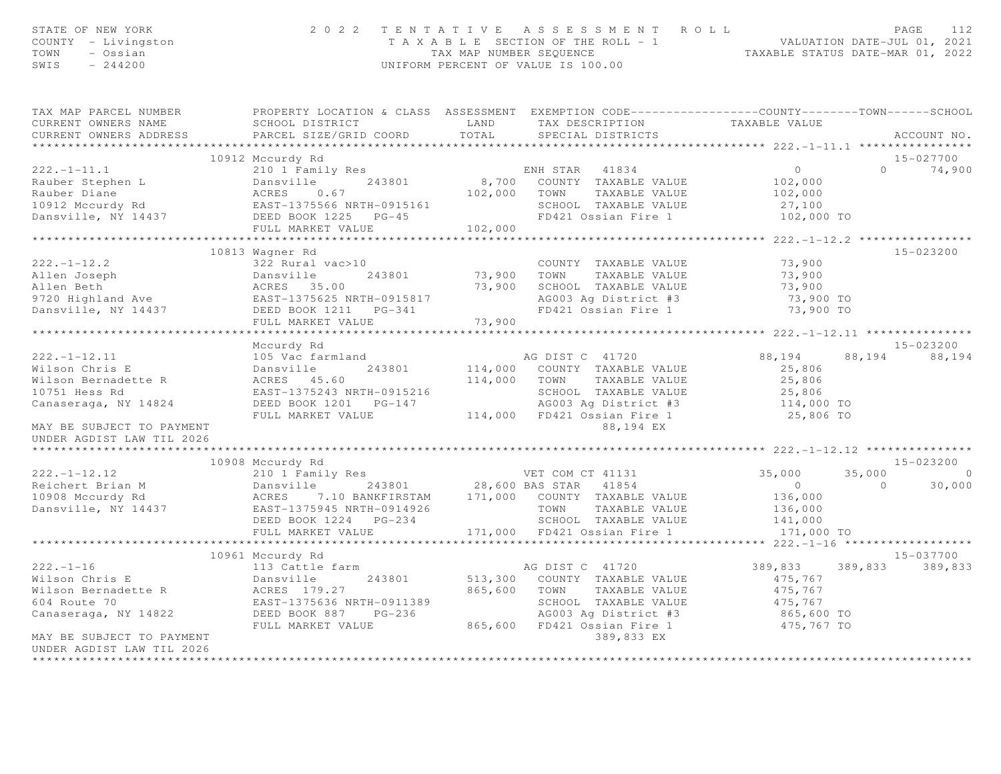| STATE OF NEW YORK<br>COUNTY - Livingston<br>TOWN - Ossian<br>SWIS $-244200$                                                                                                                                                                                         |                                               | 2022 TENTATIVE ASSESSMENT ROLL<br>PAGE 112<br>TAXABLE SECTION OF THE ROLL - 1<br>TAXABLE SECTION OF THE ROLL - 1<br>TAXABLE STATUS DATE-MAR 01, 2022<br>UNIFORM PERCENT OF VALUE IS 100.00 |                       | PAGE<br>112                  |
|---------------------------------------------------------------------------------------------------------------------------------------------------------------------------------------------------------------------------------------------------------------------|-----------------------------------------------|--------------------------------------------------------------------------------------------------------------------------------------------------------------------------------------------|-----------------------|------------------------------|
| TAX MAP PARCEL NUMBER PROPERTY LOCATION & CLASS ASSESSMENT EXEMPTION CODE----------------COUNTY--------TOWN------SCHOOL<br>CURRENT OWNERS NAME<br>CURRENT OWNERS ADDRESS                                                                                            | PARCEL SIZE/GRID COORD                        |                                                                                                                                                                                            |                       | ACCOUNT NO.                  |
|                                                                                                                                                                                                                                                                     |                                               |                                                                                                                                                                                            |                       |                              |
|                                                                                                                                                                                                                                                                     | 10912 Mccurdy Rd                              |                                                                                                                                                                                            |                       | 15-027700                    |
|                                                                                                                                                                                                                                                                     |                                               |                                                                                                                                                                                            |                       | $0 \t 74,900$                |
|                                                                                                                                                                                                                                                                     |                                               |                                                                                                                                                                                            |                       |                              |
|                                                                                                                                                                                                                                                                     |                                               |                                                                                                                                                                                            |                       |                              |
| 222.-1-12.2<br>Allen Joseph 222. aural vac>10<br>Allen Joseph 243801<br>Allen Beth Archives 35.00<br>9720 Highland Ave EAST-1375625 NRTH-0915817<br>Dansville, NY 14437<br>DEED BOOK 1211 PG-341<br>FULL MARKET VALUE.<br>FULL MARKET VALUE.<br>                    | 10813 Wagner Rd<br>FULL MARKET VALUE 73,900   |                                                                                                                                                                                            |                       | 15-023200                    |
|                                                                                                                                                                                                                                                                     |                                               |                                                                                                                                                                                            |                       |                              |
| 222.-1-12.11<br>Wilson Chris E 105 Mille 243801 and AG DIST C 41720 88,194 88<br>Wilson Bernadette R ACRES 45.60 114,000 COUNTY TAXABLE VALUE 25,806<br>10751 Hess Rd EAST-1375243 NRTH-0915216 26,806 SCHOOL TAXABLE VALUE 25,806<br><br>MAY BE SUBJECT TO PAYMENT | Mccurdy Rd                                    | 88,194 EX                                                                                                                                                                                  |                       | 15-023200<br>88, 194 88, 194 |
| UNDER AGDIST LAW TIL 2026                                                                                                                                                                                                                                           |                                               |                                                                                                                                                                                            |                       |                              |
|                                                                                                                                                                                                                                                                     |                                               |                                                                                                                                                                                            |                       | 15-023200                    |
| 10908 Mccurdy Rd<br>210 1 Family Res<br>Reichert Brian M Dansville 243801 28,600 BAS STAR 41854 0<br>28,600 BAS STAR 41854 0<br>28,600 BAS STAR 41854 0<br>28,600 BAS STAR 41854 0<br>28,600 BAS STAR 41854 0<br>28,600 BAS STAR 41854 0<br>28                      | FULL MARKET VALUE 171,000 FD421 Ossian Fire 1 |                                                                                                                                                                                            | 141,000<br>171,000 TO | $35,000$ 0<br>0 30,000       |
|                                                                                                                                                                                                                                                                     |                                               |                                                                                                                                                                                            |                       |                              |
| MAY BE SUBJECT TO PAYMENT<br>UNDER AGDIST LAW TIL 2026                                                                                                                                                                                                              | 10961 Mccurdy Rd                              | 389,833 EX                                                                                                                                                                                 |                       | 15-037700<br>389,833 389,833 |
|                                                                                                                                                                                                                                                                     |                                               |                                                                                                                                                                                            |                       |                              |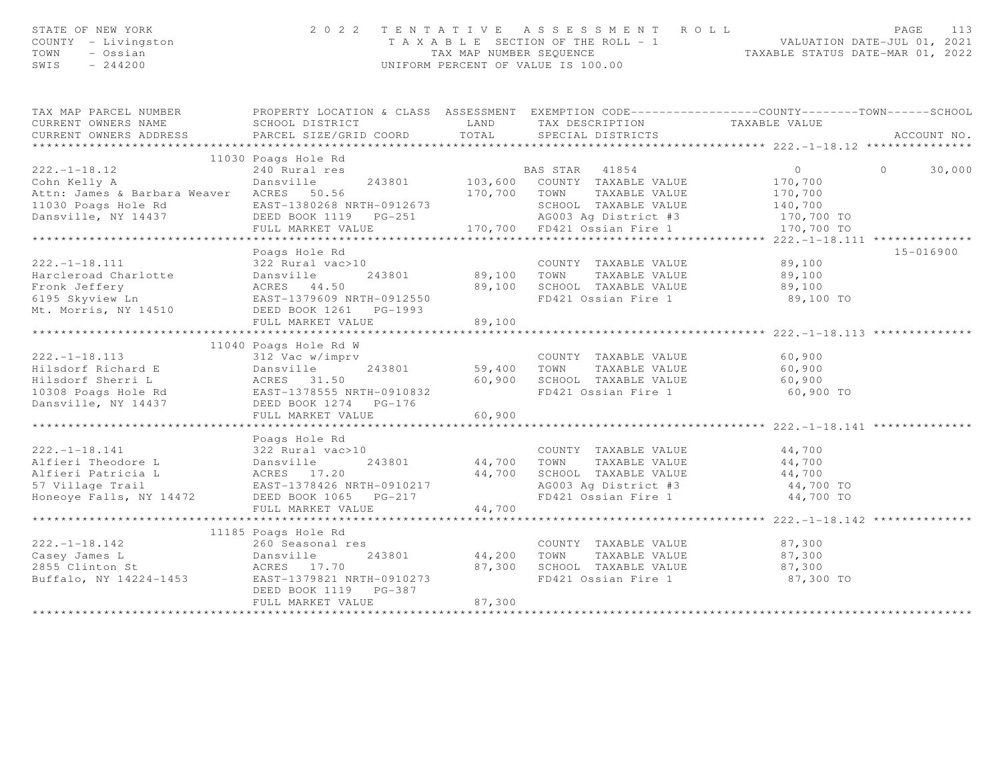| STATE OF NEW YORK<br>COUNTY - Livingston<br>TOWN<br>- Ossian<br>SWIS<br>$-244200$                                                                                               | 2 0 2 2<br>TENTATIVE<br>T A X A B L E SECTION OF THE ROLL - 1<br>TAX MAP NUMBER SEQUENCE<br>UNIFORM PERCENT OF VALUE IS 100.00                  | R O L L<br>1 VALUATION DATE-JUL 01, 2021<br>TAXABLE STATUS DATE-MAR 01, 2022 | 113<br>PAGE                                                                                                                     |                                                               |                   |
|---------------------------------------------------------------------------------------------------------------------------------------------------------------------------------|-------------------------------------------------------------------------------------------------------------------------------------------------|------------------------------------------------------------------------------|---------------------------------------------------------------------------------------------------------------------------------|---------------------------------------------------------------|-------------------|
| TAX MAP PARCEL NUMBER<br>CURRENT OWNERS NAME<br>CURRENT OWNERS ADDRESS                                                                                                          | PROPERTY LOCATION & CLASS ASSESSMENT EXEMPTION CODE-----------------COUNTY--------TOWN------SCHOOL<br>SCHOOL DISTRICT<br>PARCEL SIZE/GRID COORD | TOTAL                                                                        | LAND TAX DESCRIPTION<br>SPECIAL DISTRICTS                                                                                       | TAXABLE VALUE                                                 | ACCOUNT NO.       |
| **********************                                                                                                                                                          | 11030 Poags Hole Rd                                                                                                                             |                                                                              |                                                                                                                                 |                                                               |                   |
| $222. - 1 - 18.12$<br>Cohn Kelly A<br>Attn: James & Barbara Weaver ACRES 50.56<br>11030 Poags Hole Rd<br>Dansville, NY 14437                                                    | 240 Rural res<br>Dansville<br>243801<br>EAST-1380268 NRTH-0912673<br>DEED BOOK 1119 PG-251                                                      |                                                                              | BAS STAR 41854<br>103,600 COUNTY TAXABLE VALUE<br>170,700 TOWN<br>TAXABLE VALUE<br>SCHOOL TAXABLE VALUE<br>AG003 Ag District #3 | $\overline{0}$<br>170,700<br>170,700<br>140,700<br>170,700 TO | $\circ$<br>30,000 |
|                                                                                                                                                                                 | FULL MARKET VALUE                                                                                                                               |                                                                              | 170,700 FD421 Ossian Fire 1                                                                                                     | 170,700 TO                                                    |                   |
| $222. - 1 - 18.111$                                                                                                                                                             | Poags Hole Rd<br>322 Rural vac>10<br>FULL MARKET VALUE                                                                                          | 89,100 TOWN<br>89,100                                                        | COUNTY TAXABLE VALUE<br>TAXABLE VALUE<br>89,100 SCHOOL TAXABLE VALUE<br>FD421 Ossian Fire 1                                     | 89,100<br>89,100<br>89,100<br>89,100 TO                       | 15-016900         |
|                                                                                                                                                                                 |                                                                                                                                                 |                                                                              |                                                                                                                                 |                                                               |                   |
| $222. - 1 - 18.113$<br>Extra 19801<br>Hilsdorf Richard E 19801<br>Hilsdorf Sherri L 19802<br>10308 Poags Hole Rd 10308 Poags Hole Rd 10308 Poags Hole Rd<br>Dansville, NY 14437 | 11040 Poags Hole Rd W<br>312 Vac w/imprv<br>DEED BOOK 1274 PG-176<br>FULL MARKET VALUE                                                          | 60,900                                                                       | COUNTY TAXABLE VALUE<br>59,400 TOWN<br>TAXABLE VALUE<br>60,900 SCHOOL TAXABLE VALUE<br>FD421 Ossian Fire 1                      | 60,900<br>60,900<br>60,900<br>60,900 TO                       |                   |
|                                                                                                                                                                                 |                                                                                                                                                 |                                                                              |                                                                                                                                 |                                                               |                   |
| $222 - 1 - 18.141$<br>222.-1-18.141<br>Alfieri Theodore L<br>Alfieri Patricia L<br>S7 Village Trail<br>S7 Village Trail<br>CAST-1378426 NRTH-0910217<br>Honeoye Falls, NY 14472 | Poags Hole Rd<br>DEED BOOK 1065 PG-217                                                                                                          | 44,700 TOWN                                                                  | COUNTY TAXABLE VALUE<br>TAXABLE VALUE<br>44,700 SCHOOL TAXABLE VALUE<br>AG003 Ag District #3<br>FD421 Ossian Fire 1             | 44,700<br>44,700<br>44,700<br>44,700 TO<br>44,700 TO          |                   |
|                                                                                                                                                                                 | FULL MARKET VALUE                                                                                                                               | 44,700                                                                       |                                                                                                                                 |                                                               |                   |
| $222. - 1 - 18.142$<br>Casey James L<br>2855 Clinton St<br>Buffalo, NY 14224-1453 EAST-1379821 NRTH-0910273                                                                     | 11185 Poags Hole Rd<br>260 Seasonal res<br>Dansville<br>ACRES 17.70<br>~ 1379821 '<br>243801                                                    | 44,200 TOWN                                                                  | COUNTY TAXABLE VALUE<br>TAXABLE VALUE<br>87,300 SCHOOL TAXABLE VALUE                                                            | 87,300<br>87,300<br>87,300                                    |                   |
|                                                                                                                                                                                 | DEED BOOK 1119 PG-387<br>FULL MARKET VALUE                                                                                                      | 87,300<br>******************                                                 | FD421 Ossian Fire 1                                                                                                             | 87,300 TO                                                     |                   |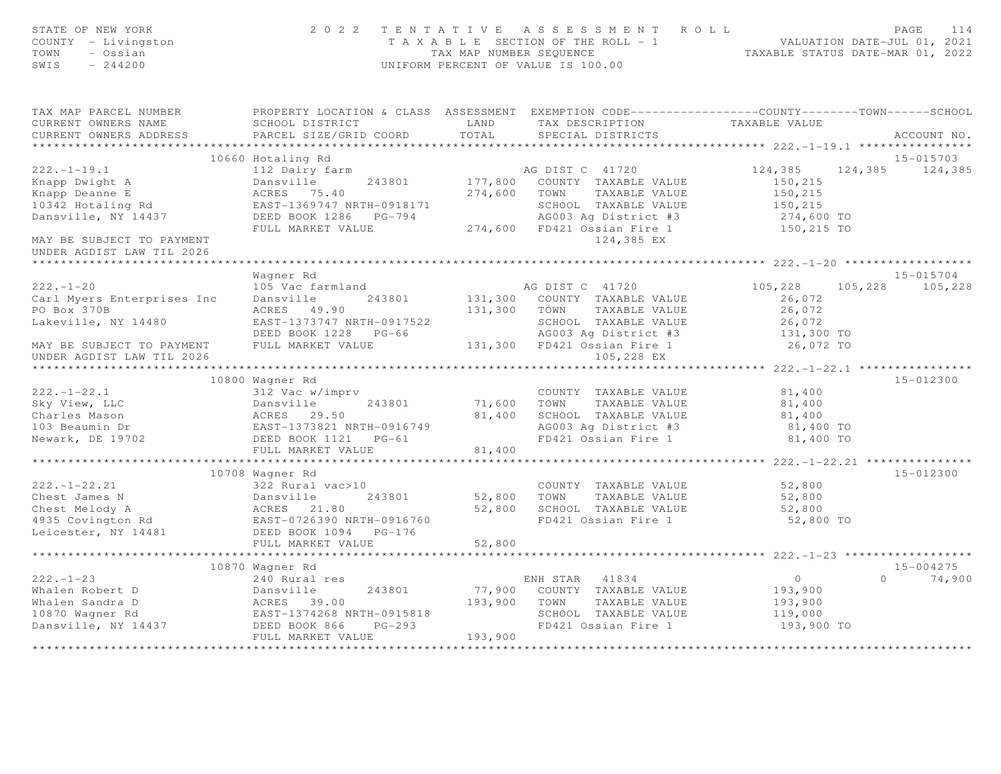| STATE OF NEW YORK<br>COUNTY - Livingston<br>TOWN<br>- Ossian<br>$-244200$<br>SWIS                                                                                                                              |                                                                                 |                                                   | 2022 TENTATIVE ASSESSMENT ROLL<br>T A X A B L E SECTION OF THE ROLL - 1 VALUATION DATE-JUL 01, 2021<br>TAX MAP NUMBER SEQUENCE TAXABLE STATUS DATE-MAR 01, 2022<br>UNIFORM PERCENT OF VALUE IS 100.00 |                                              | PAGE<br>114        |
|----------------------------------------------------------------------------------------------------------------------------------------------------------------------------------------------------------------|---------------------------------------------------------------------------------|---------------------------------------------------|-------------------------------------------------------------------------------------------------------------------------------------------------------------------------------------------------------|----------------------------------------------|--------------------|
| TAX MAP PARCEL NUMBER<br>CURRENT OWNERS NAME                                                                                                                                                                   | <b>EXAMPLE AND</b><br>SCHOOL DISTRICT                                           |                                                   | PROPERTY LOCATION & CLASS ASSESSMENT EXEMPTION CODE-----------------COUNTY--------TOWN------SCHOOL<br>TAX DESCRIPTION                                                                                 | TAXABLE VALUE                                |                    |
| CURRENT OWNERS ADDRESS                                                                                                                                                                                         | PARCEL SIZE/GRID COORD                                                          | TOTAL                                             | SPECIAL DISTRICTS                                                                                                                                                                                     |                                              | ACCOUNT NO.        |
|                                                                                                                                                                                                                |                                                                                 |                                                   |                                                                                                                                                                                                       |                                              |                    |
|                                                                                                                                                                                                                | 10660 Hotaling Rd                                                               |                                                   |                                                                                                                                                                                                       |                                              | 15-015703          |
| $222. - 1 - 19.1$                                                                                                                                                                                              | 112 Dairy farm                                                                  |                                                   | AG DIST C 41720                                                                                                                                                                                       | 124,385                                      | 124,385 124,385    |
| Knapp Dwight A                                                                                                                                                                                                 | Dansville                                                                       |                                                   | 243801 177,800 COUNTY TAXABLE VALUE                                                                                                                                                                   | 150,215                                      |                    |
| Knapp Deanne E                                                                                                                                                                                                 | ACRES 75.40                                                                     |                                                   | 274,600 TOWN TAXABLE VALUE                                                                                                                                                                            | 150,215                                      |                    |
| 10342 Hotaling Rd                                                                                                                                                                                              | EAST-1369747 NRTH-0918171<br>EAS1-1369747 NRTH-0918171<br>DEED BOOK 1286 PG-794 |                                                   | SCHOOL TAXABLE VALUE                                                                                                                                                                                  | 150,215                                      |                    |
| Dansville, NY 14437                                                                                                                                                                                            | FULL MARKET VALUE                                                               |                                                   | AG003 Ag District #3<br>274,600 FD421 Ossian Fire 1                                                                                                                                                   | 274,600 TO<br>150,215 TO                     |                    |
| MAY BE SUBJECT TO PAYMENT<br>UNDER AGDIST LAW TIL 2026                                                                                                                                                         |                                                                                 |                                                   | 124,385 EX                                                                                                                                                                                            |                                              |                    |
|                                                                                                                                                                                                                |                                                                                 |                                                   |                                                                                                                                                                                                       |                                              |                    |
|                                                                                                                                                                                                                | Wagner Rd                                                                       |                                                   |                                                                                                                                                                                                       |                                              | $15 - 015704$      |
| $222 - 1 - 20$                                                                                                                                                                                                 | 105 Vac farmland                                                                |                                                   | AG DIST C 41720                                                                                                                                                                                       | 105,228                                      | 105,228 105,228    |
| Carl Myers Enterprises Inc                                                                                                                                                                                     | Dansville                                                                       |                                                   | 243801 131,300 COUNTY TAXABLE VALUE                                                                                                                                                                   | 26,072                                       |                    |
| PO Box 370B                                                                                                                                                                                                    | ACRES 49.90                                                                     |                                                   | 131,300 TOWN TAXABLE VALUE                                                                                                                                                                            | 26,072                                       |                    |
| Lakeville, NY 14480                                                                                                                                                                                            | EAST-1373747 NRTH-0917522                                                       |                                                   | SCHOOL TAXABLE VALUE                                                                                                                                                                                  | 26,072                                       |                    |
|                                                                                                                                                                                                                | DEED BOOK 1228 PG-66                                                            |                                                   | AG003 Ag District #3                                                                                                                                                                                  | $131,300$ TO                                 |                    |
| MAY BE SUBJECT TO PAYMENT<br>UNDER AGDIST LAW TIL 2026                                                                                                                                                         | FULL MARKET VALUE                                                               |                                                   | 131,300 FD421 Ossian Fire 1<br>105,228 EX                                                                                                                                                             | 26,072 TO                                    |                    |
|                                                                                                                                                                                                                | 10800 Wagner Rd                                                                 |                                                   |                                                                                                                                                                                                       |                                              | 15-012300          |
| $222. - 1 - 22.1$                                                                                                                                                                                              | 312 Vac w/imprv                                                                 |                                                   | COUNTY TAXABLE VALUE                                                                                                                                                                                  | 81,400                                       |                    |
|                                                                                                                                                                                                                |                                                                                 |                                                   | 71,600 TOWN TAXABLE VALUE                                                                                                                                                                             | 81,400                                       |                    |
|                                                                                                                                                                                                                |                                                                                 |                                                   | 81,400 SCHOOL TAXABLE VALUE                                                                                                                                                                           |                                              |                    |
|                                                                                                                                                                                                                |                                                                                 |                                                   | AG003 Ag District #3                                                                                                                                                                                  | 81,400<br>81,400 TO                          |                    |
|                                                                                                                                                                                                                |                                                                                 |                                                   | FD421 Ossian Fire 1                                                                                                                                                                                   | 81,400 TO                                    |                    |
|                                                                                                                                                                                                                | FULL MARKET VALUE                                                               | 81,400                                            |                                                                                                                                                                                                       |                                              |                    |
|                                                                                                                                                                                                                | **************************                                                      | * * * * * * * * * * * * * *                       |                                                                                                                                                                                                       | ************** 222.-1-22.21 **************** |                    |
|                                                                                                                                                                                                                | 10708 Wagner Rd                                                                 |                                                   |                                                                                                                                                                                                       |                                              | 15-012300          |
|                                                                                                                                                                                                                |                                                                                 |                                                   | COUNTY TAXABLE VALUE 52,800                                                                                                                                                                           |                                              |                    |
|                                                                                                                                                                                                                |                                                                                 |                                                   | 52,800 TOWN TAXABLE VALUE                                                                                                                                                                             | 52,800                                       |                    |
|                                                                                                                                                                                                                |                                                                                 |                                                   | 52,800 SCHOOL TAXABLE VALUE                                                                                                                                                                           | 52,800                                       |                    |
| 222.-1-22.21 322 Rural vac>10<br>Chest James N Dansville 243801<br>Chest Melody A ACRES 21.80<br>4935 Covington Rd EAST-0726390 NRTH-0916760<br>Leicester, NY 14481 DEED BOOK 1094 PG-176<br>FULL MARKET VALUE |                                                                                 |                                                   | FD421 Ossian Fire 1                                                                                                                                                                                   | 52,800 TO                                    |                    |
|                                                                                                                                                                                                                |                                                                                 |                                                   |                                                                                                                                                                                                       |                                              |                    |
|                                                                                                                                                                                                                | FULL MARKET VALUE                                                               | 52,800<br>* * * * * * * * * * * * * * * * * * * * |                                                                                                                                                                                                       | **************** 222.-1-23 **************    |                    |
|                                                                                                                                                                                                                | 10870 Wagner Rd                                                                 |                                                   |                                                                                                                                                                                                       |                                              | $15 - 004275$      |
| $222 - 1 - 23$                                                                                                                                                                                                 | 240 Rural res                                                                   |                                                   | ENH STAR 41834                                                                                                                                                                                        | $\overline{0}$                               | 74,900<br>$\Omega$ |
| Whalen Robert D<br>Whalen Sandra D<br>10870 Wagner Rd<br>Dansville, NY 14437<br>DEED BOOK 866 PG-293                                                                                                           |                                                                                 |                                                   | 77,900 COUNTY TAXABLE VALUE                                                                                                                                                                           | 193,900                                      |                    |
|                                                                                                                                                                                                                |                                                                                 | 193,900                                           | TOWN<br>TAXABLE VALUE                                                                                                                                                                                 | 193,900                                      |                    |
|                                                                                                                                                                                                                |                                                                                 |                                                   | SCHOOL TAXABLE VALUE                                                                                                                                                                                  | 119,000                                      |                    |
|                                                                                                                                                                                                                |                                                                                 |                                                   | FD421 Ossian Fire 1                                                                                                                                                                                   | 193,900 TO                                   |                    |
|                                                                                                                                                                                                                | FULL MARKET VALUE                                                               | 193,900                                           |                                                                                                                                                                                                       |                                              |                    |
|                                                                                                                                                                                                                |                                                                                 |                                                   |                                                                                                                                                                                                       |                                              |                    |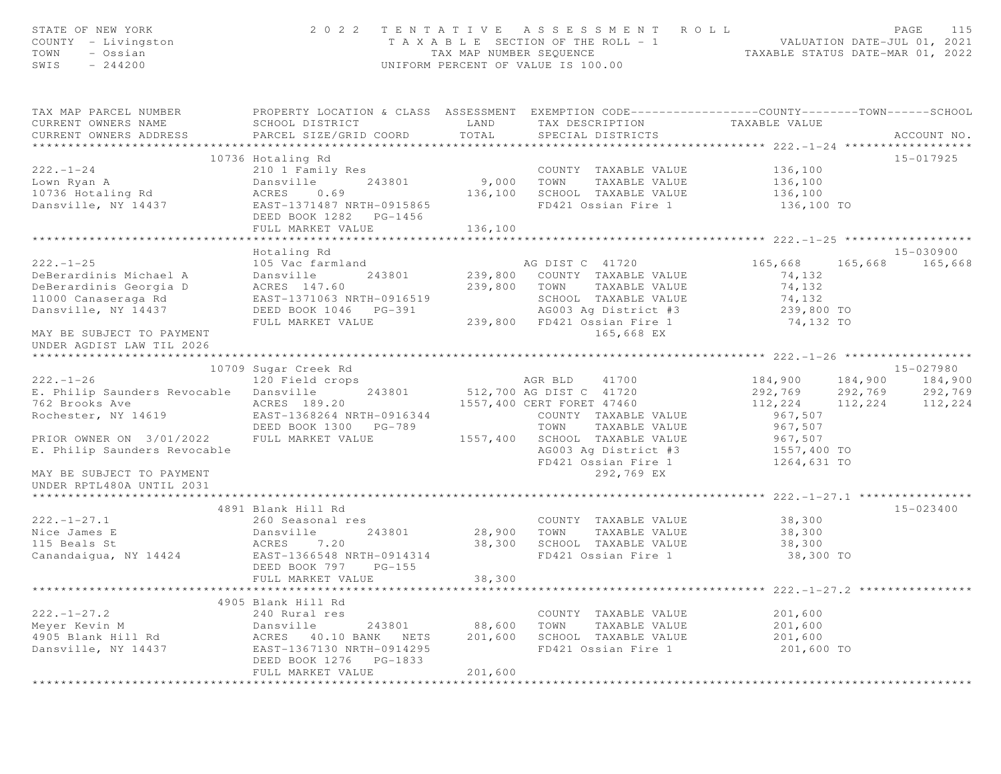| STATE OF NEW YORK<br>COUNTY - Livingston<br>TOWN<br>- Ossian<br>$-244200$<br>SWIS                                                              |                                                                                                                                                                 | TAX MAP NUMBER SEQUENCE          | 2022 TENTATIVE ASSESSMENT ROLL<br>T A X A B L E SECTION OF THE ROLL - 1<br>UNIFORM PERCENT OF VALUE IS 100.00                                                                 | ROLL - 1<br>TAXABLE STATUS DATE-MAR 01, 2022<br>TAXABLE STATUS DATE-MAR 01, 2022 | PAGE                                                        | 115     |
|------------------------------------------------------------------------------------------------------------------------------------------------|-----------------------------------------------------------------------------------------------------------------------------------------------------------------|----------------------------------|-------------------------------------------------------------------------------------------------------------------------------------------------------------------------------|----------------------------------------------------------------------------------|-------------------------------------------------------------|---------|
| TAX MAP PARCEL NUMBER<br>CURRENT OWNERS NAME<br>CURRENT OWNERS ADDRESS                                                                         | PROPERTY LOCATION & CLASS ASSESSMENT EXEMPTION CODE-----------------COUNTY--------TOWN------SCHOOL<br>SCHOOL DISTRICT<br>PARCEL SIZE/GRID COORD                 | LAND<br>TOTAL                    | TAX DESCRIPTION<br>SPECIAL DISTRICTS                                                                                                                                          | TAXABLE VALUE                                                                    | ACCOUNT NO.                                                 |         |
| $222 - 1 - 24$<br>Lown Ryan A<br>10736 Hotaling Rd<br>Dansville, NY 14437                                                                      | 10736 Hotaling Rd<br>210 1 Family Res<br>243801<br>Dansville<br>0.69<br>ACRES<br>EAST-1371487 NRTH-0915865<br>DEED BOOK 1282 PG-1456<br>FULL MARKET VALUE       | 9,000 TOWN<br>136,100<br>136,100 | COUNTY TAXABLE VALUE<br>TAXABLE VALUE<br>SCHOOL TAXABLE VALUE<br>FD421 Ossian Fire 1                                                                                          | 136,100<br>136,100<br>136,100<br>136,100 TO                                      | 15-017925                                                   |         |
|                                                                                                                                                |                                                                                                                                                                 |                                  |                                                                                                                                                                               |                                                                                  |                                                             |         |
| $222. - 1 - 25$<br>DeBerardinis Michael A<br>DeBerardinis Georgia D<br>11000 Canaseraga Rd<br>Dansville, NY 14437<br>MAY BE SUBJECT TO PAYMENT | Hotaling Rd<br>105 Vac farmland<br>Dansville<br>243801<br>ACRES 147.60<br>EAST-1371063 NRTH-0916519<br>DEED BOOK 1046 PG-391<br>FULL MARKET VALUE               |                                  | AG DIST C 41720<br>239,800 COUNTY TAXABLE VALUE<br>239,800 TOWN<br>TAXABLE VALUE<br>SCHOOL TAXABLE VALUE<br>AG003 Ag District #3<br>239,800 FD421 Ossian Fire 1<br>165,668 EX | 165,668 165,668<br>74,132<br>74,132<br>74,132<br>239,800 TO<br>74,132 TO         | 15-030900                                                   | 165,668 |
| UNDER AGDIST LAW TIL 2026<br>*********************                                                                                             |                                                                                                                                                                 |                                  |                                                                                                                                                                               |                                                                                  |                                                             |         |
|                                                                                                                                                | 10709 Sugar Creek Rd                                                                                                                                            |                                  |                                                                                                                                                                               |                                                                                  | 15-027980                                                   |         |
| $222 - 1 - 26$<br>E. Philip Saunders Revocable Dansville<br>762 Brooks Ave<br>Rochester, NY 14619<br>PRIOR OWNER ON 3/01/2022                  | 120 Field crops<br>243801<br>ACRES 189.20<br>EAST-1368264 NRTH-0916344<br>DEED BOOK 1300 PG-789<br>FULL MARKET VALUE                                            |                                  | AGR BLD<br>41700<br>512,700 AG DIST C 41720<br>1557,400 CERT FORET 47460<br>COUNTY TAXABLE VALUE<br>TAXABLE VALUE<br>TOWN<br>SCHOOL TAXABLE VALUE                             | 184,900<br>292,769<br>112,224<br>967,507<br>967,507<br>967,507                   | 184,900 184,900<br>292,769<br>292,769<br>112,224<br>112,224 |         |
| E. Philip Saunders Revocable<br>MAY BE SUBJECT TO PAYMENT<br>UNDER RPTL480A UNTIL 2031                                                         |                                                                                                                                                                 | 1557,400                         | AG003 Ag District #3<br>FD421 Ossian Fire 1<br>292,769 EX                                                                                                                     | 1557,400 TO<br>1264,631 TO                                                       |                                                             |         |
|                                                                                                                                                |                                                                                                                                                                 |                                  |                                                                                                                                                                               | ************** 222.-1-27.1 *****************                                     |                                                             |         |
| $222. - 1 - 27.1$<br>Nice James E<br>115 Beals St<br>Canandaigua, NY 14424                                                                     | 4891 Blank Hill Rd<br>260 Seasonal res<br>Dansville<br>243801<br>ACRES<br>7.20<br>EAST-1366548 NRTH-0914314<br>DEED BOOK 797 PG-155<br>FULL MARKET VALUE        | 28,900<br>38,300<br>38,300       | COUNTY TAXABLE VALUE<br>TOWN TAXABLE VALUE<br>SCHOOL TAXABLE VALUE<br>FD421 Ossian Fire 1                                                                                     | 38,300<br>38,300<br>38,300<br>38,300 TO                                          | $15 - 023400$                                               |         |
|                                                                                                                                                |                                                                                                                                                                 |                                  |                                                                                                                                                                               |                                                                                  |                                                             |         |
| $222. - 1 - 27.2$<br>Meyer Kevin M<br>4905 Blank Hill Rd<br>Dansville, NY 14437                                                                | 4905 Blank Hill Rd<br>240 Rural res<br>243801<br>Dansville<br>ACRES 40.10 BANK NETS<br>EAST-1367130 NRTH-0914295<br>DEED BOOK 1276 PG-1833<br>FULL MARKET VALUE | 88,600<br>201,600<br>201,600     | COUNTY TAXABLE VALUE<br>TOWN<br>TAXABLE VALUE<br>SCHOOL TAXABLE VALUE<br>FD421 Ossian Fire 1                                                                                  | 201,600<br>201,600<br>201,600<br>201,600 TO                                      |                                                             |         |
|                                                                                                                                                |                                                                                                                                                                 |                                  |                                                                                                                                                                               |                                                                                  |                                                             |         |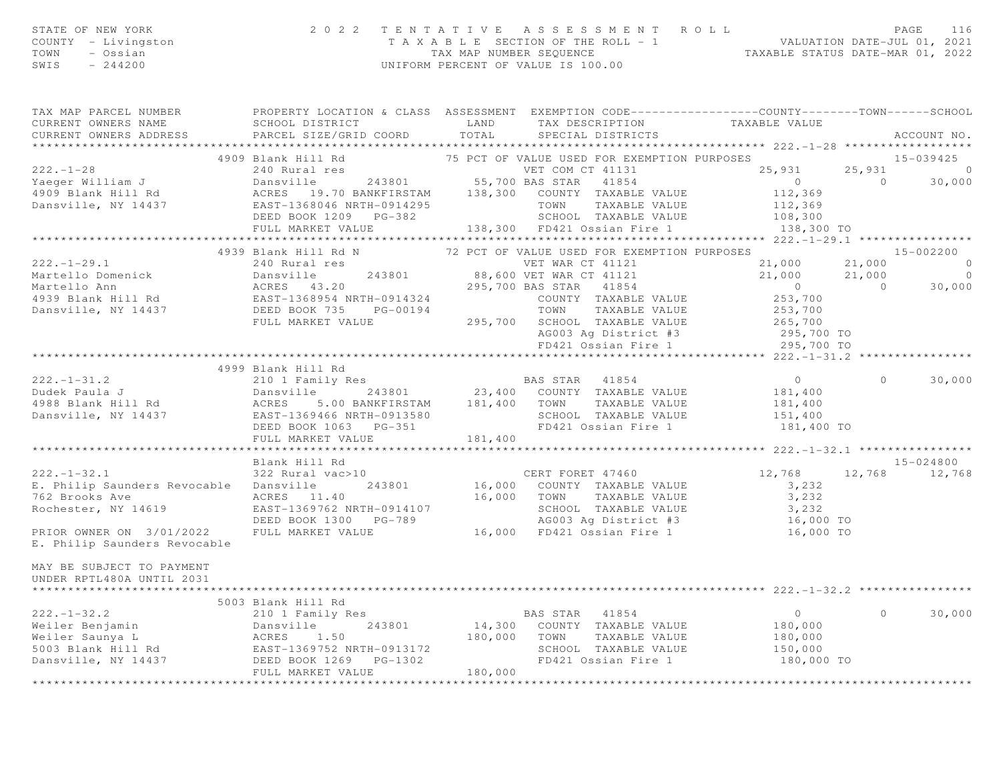|      | STATE OF NEW YORK   | 2022 TENTATIVE ASSESSMENT ROLL                                       | PAGE | 116 |
|------|---------------------|----------------------------------------------------------------------|------|-----|
|      | COUNTY - Livingston | VALUATION DATE-JUL 01, 2021<br>T A X A B L E SECTION OF THE ROLL - 1 |      |     |
| TOWN | – Ossian            | TAXABLE STATUS DATE-MAR 01, 2022<br>TAX MAP NUMBER SEOUENCE          |      |     |
| SWIS | - 244200            | UNIFORM PERCENT OF VALUE IS 100.00                                   |      |     |

| TAX MAP PARCEL NUMBER FROPERTY LOCATION & CLASS ASSESSMENT EXEMPTION CODE---------------COUNTY-------TOWN------SCHOOL                                                                                                                                                                                                                                                                        |                    |  |                |        |
|----------------------------------------------------------------------------------------------------------------------------------------------------------------------------------------------------------------------------------------------------------------------------------------------------------------------------------------------------------------------------------------------|--------------------|--|----------------|--------|
|                                                                                                                                                                                                                                                                                                                                                                                              |                    |  |                |        |
|                                                                                                                                                                                                                                                                                                                                                                                              |                    |  |                |        |
|                                                                                                                                                                                                                                                                                                                                                                                              |                    |  |                |        |
|                                                                                                                                                                                                                                                                                                                                                                                              |                    |  |                |        |
|                                                                                                                                                                                                                                                                                                                                                                                              |                    |  |                |        |
|                                                                                                                                                                                                                                                                                                                                                                                              |                    |  |                |        |
|                                                                                                                                                                                                                                                                                                                                                                                              |                    |  |                |        |
|                                                                                                                                                                                                                                                                                                                                                                                              |                    |  |                |        |
|                                                                                                                                                                                                                                                                                                                                                                                              |                    |  |                |        |
|                                                                                                                                                                                                                                                                                                                                                                                              |                    |  |                |        |
|                                                                                                                                                                                                                                                                                                                                                                                              |                    |  |                |        |
| 1939 Blank Hill Rd<br>1939 Blank Hill Rd N<br>222.-1-29.1<br>222.-1-29.1<br>Martello Domenick Duranies 243801<br>Martello Domenick Duranies 243801<br>Martello Domenick Duranies 243801<br>235,700 BRS STAR 41824<br>295,700 BRS STAR 41824<br>2                                                                                                                                             |                    |  |                |        |
|                                                                                                                                                                                                                                                                                                                                                                                              |                    |  |                |        |
|                                                                                                                                                                                                                                                                                                                                                                                              |                    |  |                |        |
|                                                                                                                                                                                                                                                                                                                                                                                              |                    |  |                |        |
|                                                                                                                                                                                                                                                                                                                                                                                              |                    |  |                |        |
|                                                                                                                                                                                                                                                                                                                                                                                              |                    |  |                |        |
|                                                                                                                                                                                                                                                                                                                                                                                              |                    |  |                |        |
|                                                                                                                                                                                                                                                                                                                                                                                              |                    |  |                |        |
|                                                                                                                                                                                                                                                                                                                                                                                              |                    |  |                |        |
|                                                                                                                                                                                                                                                                                                                                                                                              |                    |  |                |        |
|                                                                                                                                                                                                                                                                                                                                                                                              | 4999 Blank Hill Rd |  |                |        |
|                                                                                                                                                                                                                                                                                                                                                                                              |                    |  |                |        |
|                                                                                                                                                                                                                                                                                                                                                                                              |                    |  |                |        |
|                                                                                                                                                                                                                                                                                                                                                                                              |                    |  |                |        |
|                                                                                                                                                                                                                                                                                                                                                                                              |                    |  |                |        |
|                                                                                                                                                                                                                                                                                                                                                                                              |                    |  |                |        |
|                                                                                                                                                                                                                                                                                                                                                                                              |                    |  |                |        |
| $\begin{array}{cccccccc} 222.-1-31.2 & 4999\; \text{Blank Hill Rd} & & \text{BAS STAR} & 41854 & 0 & 0 & 30,000 \\ & 210 \; \text{I\,Final J} & 2 & 213801 & 23,400 & \text{COUNTY} & \text{TXABLE VALUE} & 181,400 \\ & 4988 \; \text{Blank Hill Rd} & \text{ACRES} & 5.00\; \text{BANKFIRSTAM} & 181,400 & \text{TOWN} & \text{TXABLE VALUE} & 181,400 \\ & \text{Bass T-1369466 NRTH-O91$ |                    |  |                |        |
|                                                                                                                                                                                                                                                                                                                                                                                              |                    |  |                |        |
|                                                                                                                                                                                                                                                                                                                                                                                              |                    |  |                |        |
|                                                                                                                                                                                                                                                                                                                                                                                              |                    |  |                |        |
|                                                                                                                                                                                                                                                                                                                                                                                              |                    |  |                |        |
|                                                                                                                                                                                                                                                                                                                                                                                              |                    |  |                |        |
|                                                                                                                                                                                                                                                                                                                                                                                              |                    |  |                |        |
|                                                                                                                                                                                                                                                                                                                                                                                              |                    |  |                |        |
| E. Philip Saunders Revocable                                                                                                                                                                                                                                                                                                                                                                 |                    |  |                |        |
|                                                                                                                                                                                                                                                                                                                                                                                              |                    |  |                |        |
| MAY BE SUBJECT TO PAYMENT                                                                                                                                                                                                                                                                                                                                                                    |                    |  |                |        |
| UNDER RPTL480A UNTIL 2031                                                                                                                                                                                                                                                                                                                                                                    |                    |  |                |        |
|                                                                                                                                                                                                                                                                                                                                                                                              |                    |  |                |        |
|                                                                                                                                                                                                                                                                                                                                                                                              | 5003 Blank Hill Rd |  |                |        |
|                                                                                                                                                                                                                                                                                                                                                                                              |                    |  | $\overline{0}$ | 30,000 |
|                                                                                                                                                                                                                                                                                                                                                                                              |                    |  |                |        |
|                                                                                                                                                                                                                                                                                                                                                                                              |                    |  |                |        |
|                                                                                                                                                                                                                                                                                                                                                                                              |                    |  |                |        |
|                                                                                                                                                                                                                                                                                                                                                                                              |                    |  |                |        |
|                                                                                                                                                                                                                                                                                                                                                                                              |                    |  |                |        |
|                                                                                                                                                                                                                                                                                                                                                                                              |                    |  |                |        |
|                                                                                                                                                                                                                                                                                                                                                                                              |                    |  |                |        |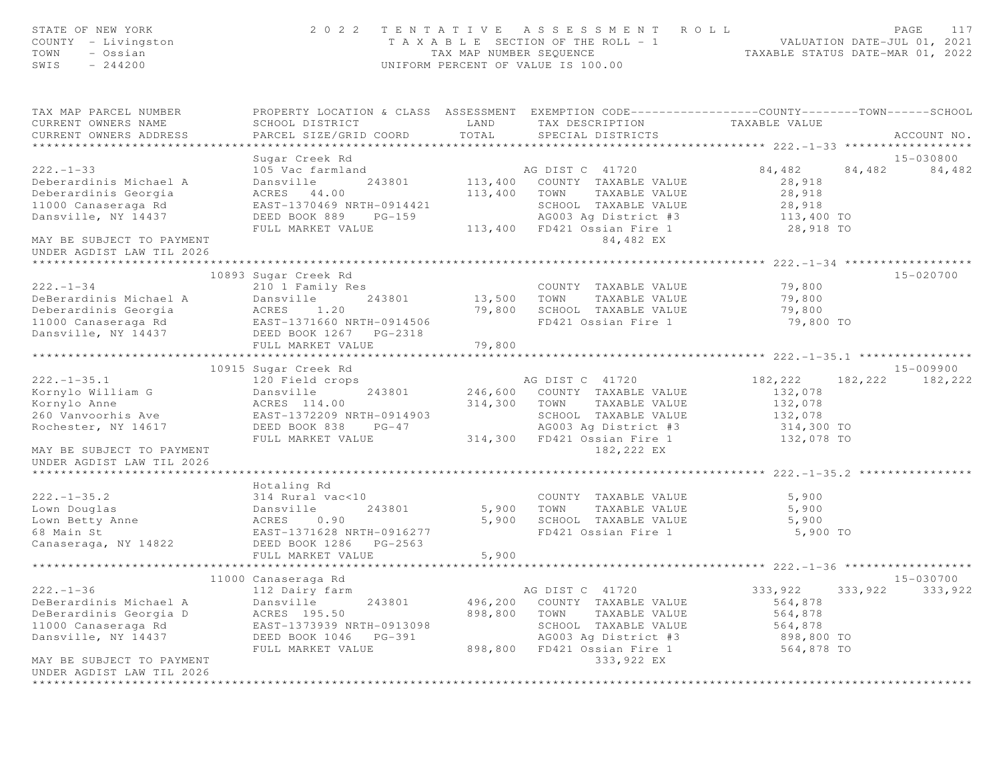| STATE OF NEW YORK<br>COUNTY - Livingston<br>- Ossian<br>TOWN<br>$-244200$<br>SWIS              |                                                       | TAX MAP NUMBER SEOUENCE | 2022 TENTATIVE ASSESSMENT ROLL<br>T A X A B L E SECTION OF THE ROLL - 1<br>UNIFORM PERCENT OF VALUE IS 100.00                            |                       | PAGE<br>117<br>VALUATION DATE-JUL 01, 2021<br>TAXABLE STATUS DATE-MAR 01, 2022 |
|------------------------------------------------------------------------------------------------|-------------------------------------------------------|-------------------------|------------------------------------------------------------------------------------------------------------------------------------------|-----------------------|--------------------------------------------------------------------------------|
| TAX MAP PARCEL NUMBER<br>CURRENT OWNERS NAME<br>CURRENT OWNERS ADDRESS                         | SCHOOL DISTRICT<br>PARCEL SIZE/GRID COORD             | LAND<br>TOTAL           | PROPERTY LOCATION & CLASS ASSESSMENT EXEMPTION CODE----------------COUNTY-------TOWN------SCHOOL<br>TAX DESCRIPTION<br>SPECIAL DISTRICTS | TAXABLE VALUE         | ACCOUNT NO.                                                                    |
|                                                                                                |                                                       |                         |                                                                                                                                          |                       |                                                                                |
|                                                                                                | Sugar Creek Rd                                        |                         |                                                                                                                                          |                       | 15-030800                                                                      |
| $222 - 1 - 33$<br>Deberardinis Michael A                                                       | 105 Vac farmland<br>243801<br>Dansville               |                         | AG DIST C 41720<br>113,400 COUNTY TAXABLE VALUE                                                                                          | 84,482<br>28,918      | 84,482<br>84,482                                                               |
| Deberardinis Georgia                                                                           | ACRES 44.00                                           | 113,400 TOWN            | TAXABLE VALUE                                                                                                                            | 28,918                |                                                                                |
| 11000 Canaseraga Rd                                                                            | EAST-1370469 NRTH-0914421                             |                         | SCHOOL TAXABLE VALUE                                                                                                                     | 28,918                |                                                                                |
| Dansville, NY 14437                                                                            | DEED BOOK 889<br>$PG-159$                             |                         | AG003 Ag District #3 113,400 TO                                                                                                          |                       |                                                                                |
|                                                                                                | FULL MARKET VALUE                                     |                         | 113,400 FD421 Ossian Fire 1                                                                                                              | 28,918 TO             |                                                                                |
| MAY BE SUBJECT TO PAYMENT<br>UNDER AGDIST LAW TIL 2026                                         |                                                       |                         | 84,482 EX                                                                                                                                |                       |                                                                                |
| *************************                                                                      |                                                       |                         |                                                                                                                                          |                       |                                                                                |
|                                                                                                | 10893 Sugar Creek Rd                                  |                         |                                                                                                                                          |                       | 15-020700                                                                      |
| $222. - 1 - 34$                                                                                | 210 1 Family Res                                      |                         | COUNTY TAXABLE VALUE                                                                                                                     | 79,800                |                                                                                |
| DeBerardinis Michael A<br>Deberardinis Georgia                                                 | Dansville<br>243801<br>ACRES<br>1.20                  | 13,500                  | TAXABLE VALUE<br>TOWN<br>SCHOOL TAXABLE VALUE                                                                                            | 79,800                |                                                                                |
| 11000 Canaseraga Rd                                                                            |                                                       | 79,800                  | FD421 Ossian Fire 1                                                                                                                      | 79,800<br>79,800 TO   |                                                                                |
| Dansville, NY 14437                                                                            | EAST-1371660 NRTH-0914506<br>DEED BOOK 1267 PG-2318   |                         |                                                                                                                                          |                       |                                                                                |
|                                                                                                | FULL MARKET VALUE                                     | 79,800                  |                                                                                                                                          |                       |                                                                                |
|                                                                                                |                                                       |                         | *****************************222.-1-35.1 *****************                                                                               |                       |                                                                                |
|                                                                                                | 10915 Sugar Creek Rd                                  |                         |                                                                                                                                          |                       | 15-009900                                                                      |
| $222. - 1 - 35.1$                                                                              | 120 Field crops                                       |                         | AG DIST C 41720                                                                                                                          | 182,222               | 182, 222 182, 222                                                              |
| Kornylo William G                                                                              | Dansville<br>243801                                   |                         | 246,600 COUNTY TAXABLE VALUE                                                                                                             | 132,078               |                                                                                |
| Kornylo Anne                                                                                   | ACRES 114.00                                          | 314,300                 | TOWN<br>TAXABLE VALUE                                                                                                                    | 132,078               |                                                                                |
| 260 Vanvoorhis Ave<br>Rochester, NY 14617                                                      | EAST-1372209 NRTH-0914903<br>DEED BOOK 838<br>$PG-47$ |                         | SCHOOL TAXABLE VALUE<br>AG003 Ag District #3                                                                                             | 132,078<br>314,300 TO |                                                                                |
|                                                                                                | FULL MARKET VALUE                                     |                         | 314,300 FD421 Ossian Fire 1                                                                                                              | 132,078 TO            |                                                                                |
| MAY BE SUBJECT TO PAYMENT<br>UNDER AGDIST LAW TIL 2026                                         |                                                       |                         | 182,222 EX                                                                                                                               |                       |                                                                                |
| *****************************                                                                  |                                                       |                         |                                                                                                                                          |                       |                                                                                |
|                                                                                                | Hotaling Rd                                           |                         |                                                                                                                                          |                       |                                                                                |
| $222. - 1 - 35.2$                                                                              | 314 Rural vac<10                                      |                         | COUNTY TAXABLE VALUE                                                                                                                     | 5,900                 |                                                                                |
| Lown Douglas                                                                                   | Dansville<br>243801                                   |                         | 5,900 TOWN<br>TAXABLE VALUE                                                                                                              | 5,900                 |                                                                                |
| Lown Betty Anne                                                                                | ACRES<br>0.90                                         | 5,900                   | SCHOOL TAXABLE VALUE                                                                                                                     | 5,900                 |                                                                                |
| 68 Main St                                                                                     | EAST-1371628 NRTH-0916277                             |                         | FD421 Ossian Fire 1                                                                                                                      | 5,900 TO              |                                                                                |
| Canaseraga, NY 14822                                                                           | DEED BOOK 1286    PG-2563                             |                         |                                                                                                                                          |                       |                                                                                |
|                                                                                                | FULL MARKET VALUE                                     | 5,900                   |                                                                                                                                          |                       |                                                                                |
|                                                                                                | 11000 Canaseraga Rd                                   |                         |                                                                                                                                          |                       | 15-030700                                                                      |
| $222. - 1 - 36$                                                                                | 112 Dairy farm                                        |                         | AG DIST C 41720                                                                                                                          | 333,922               | 333,922<br>333,922                                                             |
| DeBerardinis Michael A                                                                         | 243801<br>Dansville                                   | 496,200                 | COUNTY TAXABLE VALUE                                                                                                                     | 564,878               |                                                                                |
| DeBerardinis Georgia D                                                                         | ACRES 195.50                                          | 898,800                 | TOWN<br>TAXABLE VALUE                                                                                                                    | 564,878               |                                                                                |
| 11000 Canaseraga Rd                                                                            | EAST-1373939 NRTH-0913098                             |                         | SCHOOL TAXABLE VALUE                                                                                                                     | 564,878               |                                                                                |
| Dansville, NY 14437                                                                            | DEED BOOK 1046<br>$PG-391$                            |                         | AG003 Ag District #3                                                                                                                     | 898,800 TO            |                                                                                |
|                                                                                                | FULL MARKET VALUE                                     | 898,800                 | FD421 Ossian Fire 1                                                                                                                      | 564,878 TO            |                                                                                |
| MAY BE SUBJECT TO PAYMENT<br>UNDER AGDIST LAW TIL 2026<br>************************************ |                                                       |                         | 333,922 EX                                                                                                                               |                       |                                                                                |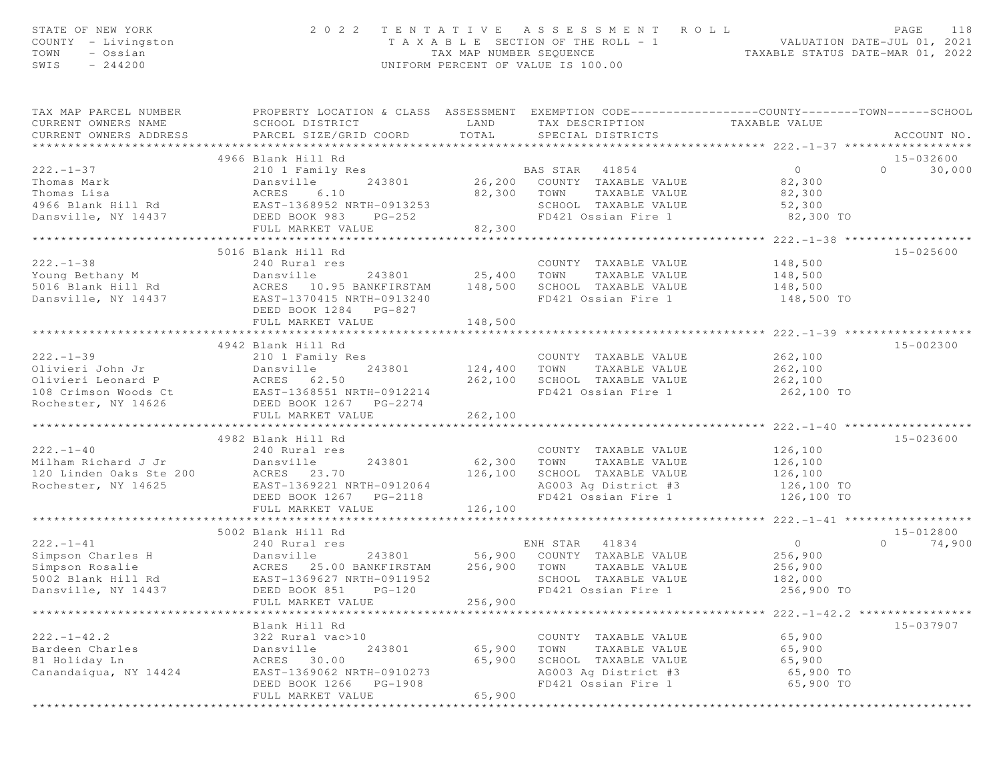| STATE OF NEW YORK<br>COUNTY - Livingston<br>TOWN<br>- Ossian<br>SWIS<br>$-244200$                                                 | 2 0 2 2                                                                                                                                      |                           | TENTATIVE ASSESSMENT<br>R O L L<br>T A X A B L E SECTION OF THE ROLL - 1 VALUATION DATE-JUL 01, 2021<br>TAX MAP NUMBER SEQUENCE TAXABLE STATUS DATE-MAR 01, 2022<br>UNIFORM PERCENT OF VALUE IS 100.00 |                                                  | PAGE<br>118        |
|-----------------------------------------------------------------------------------------------------------------------------------|----------------------------------------------------------------------------------------------------------------------------------------------|---------------------------|--------------------------------------------------------------------------------------------------------------------------------------------------------------------------------------------------------|--------------------------------------------------|--------------------|
| TAX MAP PARCEL NUMBER<br>CURRENT OWNERS NAME<br>CURRENT OWNERS ADDRESS                                                            | PROPERTY LOCATION & CLASS ASSESSMENT EXEMPTION CODE---------------COUNTY-------TOWN------SCHOOL<br>SCHOOL DISTRICT<br>PARCEL SIZE/GRID COORD | LAND<br>TOTAL             | TAX DESCRIPTION TAXABLE VALUE<br>SPECIAL DISTRICTS                                                                                                                                                     |                                                  | ACCOUNT NO.        |
|                                                                                                                                   | 4966 Blank Hill Rd                                                                                                                           |                           |                                                                                                                                                                                                        | ********************* 222.-1-37 ************     | 15-032600          |
| $222 - 1 - 37$                                                                                                                    | 210 1 Family Res                                                                                                                             |                           | <b>BAS STAR 41854</b>                                                                                                                                                                                  | $\overline{0}$                                   | $\Omega$<br>30,000 |
| Thomas Mark                                                                                                                       | Dansvi<br>ACRES<br>Computed<br>Dansville                                                                                                     |                           | 243801 26,200 COUNTY TAXABLE VALUE                                                                                                                                                                     | 82,300                                           |                    |
| Thomas Lisa                                                                                                                       | 6.10                                                                                                                                         |                           | 82,300 TOWN TAXABLE VALUE                                                                                                                                                                              | 82,300                                           |                    |
| 4966 Blank Hill Rd EAST-1368952 NRTH-0913253                                                                                      |                                                                                                                                              |                           | SCHOOL TAXABLE VALUE 52,300                                                                                                                                                                            |                                                  |                    |
| Dansville, NY 14437                                                                                                               | DEED BOOK 983<br>$PG-252$                                                                                                                    |                           | FD421 Ossian Fire 1                                                                                                                                                                                    | 82,300 TO                                        |                    |
|                                                                                                                                   | FULL MARKET VALUE                                                                                                                            | 82,300                    |                                                                                                                                                                                                        |                                                  |                    |
|                                                                                                                                   | ********************************                                                                                                             |                           | **************************                                                                                                                                                                             | ***************** 222.-1-38 *******************  |                    |
|                                                                                                                                   | 5016 Blank Hill Rd                                                                                                                           |                           |                                                                                                                                                                                                        |                                                  | 15-025600          |
| $222 - 1 - 38$                                                                                                                    | 240 Rural res<br>And<br>Dansville<br>-- 10<br>243801                                                                                         | $25,400$ TOWN             | COUNTY TAXABLE VALUE<br>TAXABLE VALUE                                                                                                                                                                  | 148,500<br>148,500                               |                    |
| Young Bethany M                                                                                                                   |                                                                                                                                              |                           | SCHOOL TAXABLE VALUE                                                                                                                                                                                   | 148,500                                          |                    |
| 5016 Blank Hill Rd               ACRES   10.95 BANKFIRSTAM     148,500<br>Dansville, NY 14437           EAST-1370415 NRTH-0913240 |                                                                                                                                              |                           | FD421 Ossian Fire 1                                                                                                                                                                                    | 148,500 TO                                       |                    |
|                                                                                                                                   | DEED BOOK 1284 PG-827                                                                                                                        |                           |                                                                                                                                                                                                        |                                                  |                    |
|                                                                                                                                   | FULL MARKET VALUE                                                                                                                            | 148,500                   |                                                                                                                                                                                                        |                                                  |                    |
|                                                                                                                                   |                                                                                                                                              |                           |                                                                                                                                                                                                        |                                                  |                    |
|                                                                                                                                   | 4942 Blank Hill Rd                                                                                                                           |                           |                                                                                                                                                                                                        |                                                  | 15-002300          |
| $222 - 1 - 39$                                                                                                                    | 210 1 Family Res                                                                                                                             |                           | COUNTY TAXABLE VALUE                                                                                                                                                                                   | 262,100                                          |                    |
| Olivieri John Jr                                                                                                                  | 243801                                                                                                                                       |                           | 124,400 TOWN TAXABLE VALUE                                                                                                                                                                             | 262,100                                          |                    |
| Olivieri Leonard P                                                                                                                | Dansville<br>ACRES 62.50<br>-----1260551.                                                                                                    | 262,100                   | SCHOOL TAXABLE VALUE                                                                                                                                                                                   | 262,100                                          |                    |
|                                                                                                                                   |                                                                                                                                              |                           | FD421 Ossian Fire 1                                                                                                                                                                                    | 262,100 TO                                       |                    |
|                                                                                                                                   |                                                                                                                                              |                           |                                                                                                                                                                                                        |                                                  |                    |
|                                                                                                                                   | FULL MARKET VALUE<br>****************************                                                                                            | 262,100<br>************** |                                                                                                                                                                                                        | ****************** 222.-1-40 ******************* |                    |
|                                                                                                                                   | 4982 Blank Hill Rd                                                                                                                           |                           |                                                                                                                                                                                                        |                                                  | 15-023600          |
| $222 - 1 - 40$                                                                                                                    | 240 Rural res                                                                                                                                |                           | COUNTY TAXABLE VALUE                                                                                                                                                                                   | 126,100                                          |                    |
| Milham Richard J Jr                                                                                                               | 243801<br>Dansville                                                                                                                          | 62,300                    | TOWN<br>TAXABLE VALUE                                                                                                                                                                                  | 126,100                                          |                    |
| 120 Linden Oaks Ste 200                                                                                                           | ACRES 23.70                                                                                                                                  | 126,100                   | SCHOOL TAXABLE VALUE                                                                                                                                                                                   | 126,100                                          |                    |
| 200<br>Rochester, NY 14625                                                                                                        | EAST-1369221 NRTH-0912064                                                                                                                    |                           | AG003 Ag District #3                                                                                                                                                                                   | 126,100 TO                                       |                    |
|                                                                                                                                   | DEED BOOK 1267 PG-2118                                                                                                                       |                           | FD421 Ossian Fire 1                                                                                                                                                                                    | 126,100 TO                                       |                    |
|                                                                                                                                   | FULL MARKET VALUE                                                                                                                            | 126,100                   |                                                                                                                                                                                                        |                                                  |                    |
|                                                                                                                                   |                                                                                                                                              |                           |                                                                                                                                                                                                        |                                                  |                    |
|                                                                                                                                   | 5002 Blank Hill Rd                                                                                                                           |                           |                                                                                                                                                                                                        |                                                  | 15-012800          |
| $222. - 1 - 41$                                                                                                                   | 240 Rural res                                                                                                                                |                           | ENH STAR 41834                                                                                                                                                                                         | $\overline{0}$                                   | 74,900<br>$\circ$  |
| Simpson Charles H                                                                                                                 | Dansville                                                                                                                                    |                           | 243801 56,900 COUNTY TAXABLE VALUE                                                                                                                                                                     | 256,900                                          |                    |
| Simpson Rosalie<br>5002 Blank Hill Rd                                                                                             | ACRES 25.00 BANKFIRSTAM 256,900 TOWN<br>Rd EAST-1369627 NRTH-0911952 SCHOC                                                                   |                           | TAXABLE VALUE<br>SCHOOL TAXABLE VALUE                                                                                                                                                                  | 256,900<br>182,000                               |                    |
| Dansville, NY 14437                                                                                                               | DEED BOOK 851<br>$PG-120$                                                                                                                    |                           | FD421 Ossian Fire 1                                                                                                                                                                                    | 256,900 TO                                       |                    |
|                                                                                                                                   | FULL MARKET VALUE                                                                                                                            | 256,900                   |                                                                                                                                                                                                        |                                                  |                    |
|                                                                                                                                   |                                                                                                                                              |                           |                                                                                                                                                                                                        | $222. - 1 - 42.2$                                |                    |
|                                                                                                                                   | Blank Hill Rd                                                                                                                                |                           |                                                                                                                                                                                                        |                                                  | 15-037907          |
| $222. - 1 - 42.2$                                                                                                                 | 322 Rural vac>10                                                                                                                             |                           | COUNTY TAXABLE VALUE                                                                                                                                                                                   | 65,900                                           |                    |
| Bardeen Charles                                                                                                                   | Dansville<br>243801                                                                                                                          | 65,900                    | TAXABLE VALUE<br>TOWN                                                                                                                                                                                  | 65,900                                           |                    |
| 81 Holiday Ln                                                                                                                     | 30.00<br>ACRES                                                                                                                               | 65,900                    | SCHOOL TAXABLE VALUE                                                                                                                                                                                   | 65,900                                           |                    |
| Canandaiqua, NY 14424                                                                                                             | EAST-1369062 NRTH-0910273                                                                                                                    |                           | AG003 Ag District #3                                                                                                                                                                                   | 65,900 TO                                        |                    |
|                                                                                                                                   | DEED BOOK 1266<br>PG-1908                                                                                                                    |                           | FD421 Ossian Fire 1                                                                                                                                                                                    | 65,900 TO                                        |                    |
|                                                                                                                                   | FULL MARKET VALUE                                                                                                                            | 65,900                    |                                                                                                                                                                                                        |                                                  |                    |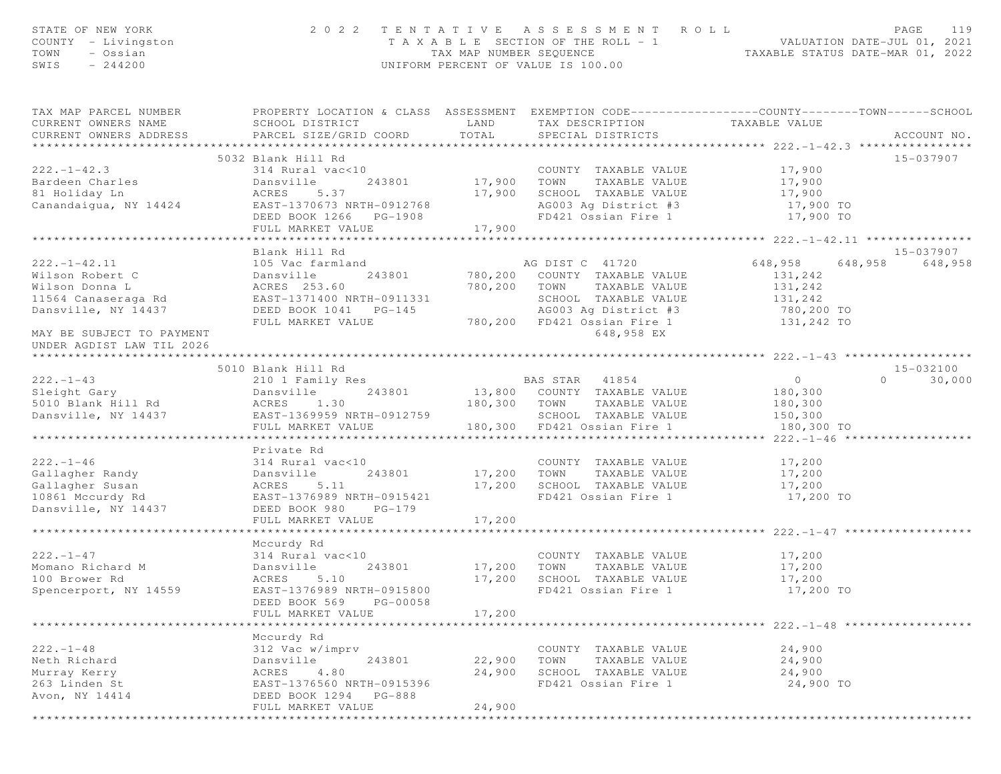| STATE OF NEW YORK<br>COUNTY - Livingston<br>TOWN<br>- Ossian<br>$-244200$<br>SWIS |                                                                                                                                                 |                    | 2022 TENTATIVE ASSESSMENT ROLL<br>T A X A B L E SECTION OF THE ROLL - 1 VALUATION DATE-JUL 01, 2021<br>TAX MAP NUMBER SEQUENCE TAXABLE STATUS DATE-MAR 01, 2022<br>UNIFORM PERCENT OF VALUE IS 100.00 |                                                    | PAGE<br>119        |
|-----------------------------------------------------------------------------------|-------------------------------------------------------------------------------------------------------------------------------------------------|--------------------|-------------------------------------------------------------------------------------------------------------------------------------------------------------------------------------------------------|----------------------------------------------------|--------------------|
| TAX MAP PARCEL NUMBER<br>CURRENT OWNERS NAME<br>CURRENT OWNERS ADDRESS            | PROPERTY LOCATION & CLASS ASSESSMENT EXEMPTION CODE-----------------COUNTY--------TOWN------SCHOOL<br>SCHOOL DISTRICT<br>PARCEL SIZE/GRID COORD | LAND<br>TOTAL      | TAX DESCRIPTION<br>SPECIAL DISTRICTS                                                                                                                                                                  | TAXABLE VALUE                                      | ACCOUNT NO.        |
|                                                                                   |                                                                                                                                                 |                    |                                                                                                                                                                                                       |                                                    |                    |
| $222. - 1 - 42.3$                                                                 | 5032 Blank Hill Rd<br>314 Rural vac<10                                                                                                          |                    | COUNTY TAXABLE VALUE                                                                                                                                                                                  | 17,900                                             | 15-037907          |
| Bardeen Charles                                                                   | Dansville                                                                                                                                       | 243801 17,900      | TOWN<br>TAXABLE VALUE                                                                                                                                                                                 | 17,900                                             |                    |
| 81 Holiday Ln                                                                     | ACRES<br>5.37                                                                                                                                   | 17,900             | SCHOOL TAXABLE VALUE                                                                                                                                                                                  | 17,900                                             |                    |
| Canandaigua, NY 14424 EAST-1370673 NRTH-0912768                                   |                                                                                                                                                 |                    | AG003 Ag District #3                                                                                                                                                                                  | 17,900 TO                                          |                    |
|                                                                                   | DEED BOOK 1266 PG-1908                                                                                                                          |                    | FD421 Ossian Fire 1                                                                                                                                                                                   | 17,900 TO                                          |                    |
|                                                                                   | FULL MARKET VALUE                                                                                                                               | 17,900             |                                                                                                                                                                                                       |                                                    |                    |
|                                                                                   |                                                                                                                                                 |                    |                                                                                                                                                                                                       |                                                    |                    |
|                                                                                   | Blank Hill Rd                                                                                                                                   |                    |                                                                                                                                                                                                       |                                                    | 15-037907          |
| $222. - 1 - 42.11$                                                                | 105 Vac farmland                                                                                                                                |                    | AG DIST C 41720                                                                                                                                                                                       | 648,958                                            | 648,958<br>648,958 |
| Wilson Robert C                                                                   | ---<br>Dansville<br>243801                                                                                                                      |                    | 780,200 COUNTY TAXABLE VALUE                                                                                                                                                                          | 131,242                                            |                    |
| Wilson Donna L                                                                    | ACRES 253.60<br>Rd EAST-1371400 NRTH-0911331                                                                                                    | 780,200 TOWN       | TAXABLE VALUE                                                                                                                                                                                         | 131,242                                            |                    |
| 11564 Canaseraga Rd                                                               |                                                                                                                                                 |                    | SCHOOL TAXABLE VALUE                                                                                                                                                                                  | 131,242                                            |                    |
| Dansville, NY 14437                                                               | DEED BOOK 1041    PG-145                                                                                                                        |                    | AG003 Ag District #3 780,200 TO                                                                                                                                                                       |                                                    |                    |
|                                                                                   | FULL MARKET VALUE                                                                                                                               |                    | 780,200 FD421 Ossian Fire 1                                                                                                                                                                           | 131,242 TO                                         |                    |
| MAY BE SUBJECT TO PAYMENT<br>UNDER AGDIST LAW TIL 2026                            |                                                                                                                                                 |                    | 648,958 EX                                                                                                                                                                                            |                                                    |                    |
|                                                                                   |                                                                                                                                                 |                    |                                                                                                                                                                                                       |                                                    |                    |
|                                                                                   | 5010 Blank Hill Rd                                                                                                                              |                    |                                                                                                                                                                                                       |                                                    | 15-032100          |
| $222 - 1 - 43$                                                                    | 210 1 Family Res                                                                                                                                |                    | BAS STAR 41854                                                                                                                                                                                        | $\overline{0}$                                     | 30,000<br>$\Omega$ |
| Sleight Gary                                                                      | 243801                                                                                                                                          |                    | 13,800 COUNTY TAXABLE VALUE                                                                                                                                                                           | 180,300                                            |                    |
| 5010 Blank Hill Rd                                                                | Dansville<br>ACRES 1.30                                                                                                                         |                    | 180,300 TOWN TAXABLE VALUE                                                                                                                                                                            | 180,300                                            |                    |
| Dansville, NY 14437 EAST-1369959 NRTH-0912759                                     |                                                                                                                                                 |                    | SCHOOL TAXABLE VALUE                                                                                                                                                                                  | 150,300                                            |                    |
|                                                                                   | FULL MARKET VALUE                                                                                                                               |                    | 180,300 FD421 Ossian Fire 1                                                                                                                                                                           | 180,300 TO                                         |                    |
|                                                                                   |                                                                                                                                                 |                    |                                                                                                                                                                                                       |                                                    |                    |
|                                                                                   | Private Rd                                                                                                                                      |                    |                                                                                                                                                                                                       |                                                    |                    |
| $222 - 1 - 46$                                                                    | 314 Rural vac<10                                                                                                                                |                    | COUNTY TAXABLE VALUE                                                                                                                                                                                  | 17,200                                             |                    |
| Gallagher Randy                                                                   | 243801<br>Dansville                                                                                                                             |                    | 17,200 TOWN TAXABLE VALUE                                                                                                                                                                             | 17,200                                             |                    |
| Gallagher Susan                                                                   | ACRES<br>5.11                                                                                                                                   |                    | 17,200 SCHOOL TAXABLE VALUE                                                                                                                                                                           | 17,200                                             |                    |
| 10861 Mccurdy Rd                                                                  | EAST-1376989 NRTH-0915421                                                                                                                       |                    | FD421 Ossian Fire 1                                                                                                                                                                                   | 17,200 TO                                          |                    |
| Dansville, NY 14437                                                               | DEED BOOK 980<br>$PG-179$                                                                                                                       |                    |                                                                                                                                                                                                       |                                                    |                    |
|                                                                                   | FULL MARKET VALUE                                                                                                                               | 17,200             |                                                                                                                                                                                                       |                                                    |                    |
|                                                                                   | Mccurdy Rd                                                                                                                                      |                    |                                                                                                                                                                                                       |                                                    |                    |
| $222 - 1 - 47$                                                                    | 314 Rural vac<10                                                                                                                                |                    | COUNTY TAXABLE VALUE                                                                                                                                                                                  | 17,200                                             |                    |
| Momano Richard M                                                                  | 243801<br>Dansville                                                                                                                             | 17,200             | TOWN<br>TAXABLE VALUE                                                                                                                                                                                 | 17,200                                             |                    |
| 100 Brower Rd                                                                     | ACRES<br>5.10                                                                                                                                   | 17,200             | SCHOOL TAXABLE VALUE                                                                                                                                                                                  | 17,200                                             |                    |
| Spencerport, NY 14559                                                             | EAST-1376989 NRTH-0915800                                                                                                                       |                    | FD421 Ossian Fire 1                                                                                                                                                                                   | 17,200 TO                                          |                    |
|                                                                                   | DEED BOOK 569<br>PG-00058                                                                                                                       |                    |                                                                                                                                                                                                       |                                                    |                    |
|                                                                                   | FULL MARKET VALUE                                                                                                                               | 17,200             |                                                                                                                                                                                                       |                                                    |                    |
|                                                                                   |                                                                                                                                                 | ****************** |                                                                                                                                                                                                       | **************************** 222.-1-48 *********** |                    |
|                                                                                   | Mccurdy Rd                                                                                                                                      |                    |                                                                                                                                                                                                       |                                                    |                    |
| $222. - 1 - 48$                                                                   | 312 Vac w/imprv                                                                                                                                 |                    | COUNTY TAXABLE VALUE                                                                                                                                                                                  | 24,900                                             |                    |
| Neth Richard                                                                      | Dansville<br>243801                                                                                                                             | 22,900             | TOWN<br>TAXABLE VALUE                                                                                                                                                                                 | 24,900                                             |                    |
| Murray Kerry                                                                      | ACRES<br>4.80                                                                                                                                   | 24,900             | SCHOOL TAXABLE VALUE                                                                                                                                                                                  | 24,900                                             |                    |
| 263 Linden St                                                                     | EAST-1376560 NRTH-0915396                                                                                                                       |                    | FD421 Ossian Fire 1                                                                                                                                                                                   | 24,900 TO                                          |                    |
| Avon, NY 14414                                                                    | DEED BOOK 1294 PG-888                                                                                                                           |                    |                                                                                                                                                                                                       |                                                    |                    |
|                                                                                   | FULL MARKET VALUE                                                                                                                               | 24,900             |                                                                                                                                                                                                       |                                                    |                    |
|                                                                                   |                                                                                                                                                 |                    |                                                                                                                                                                                                       |                                                    |                    |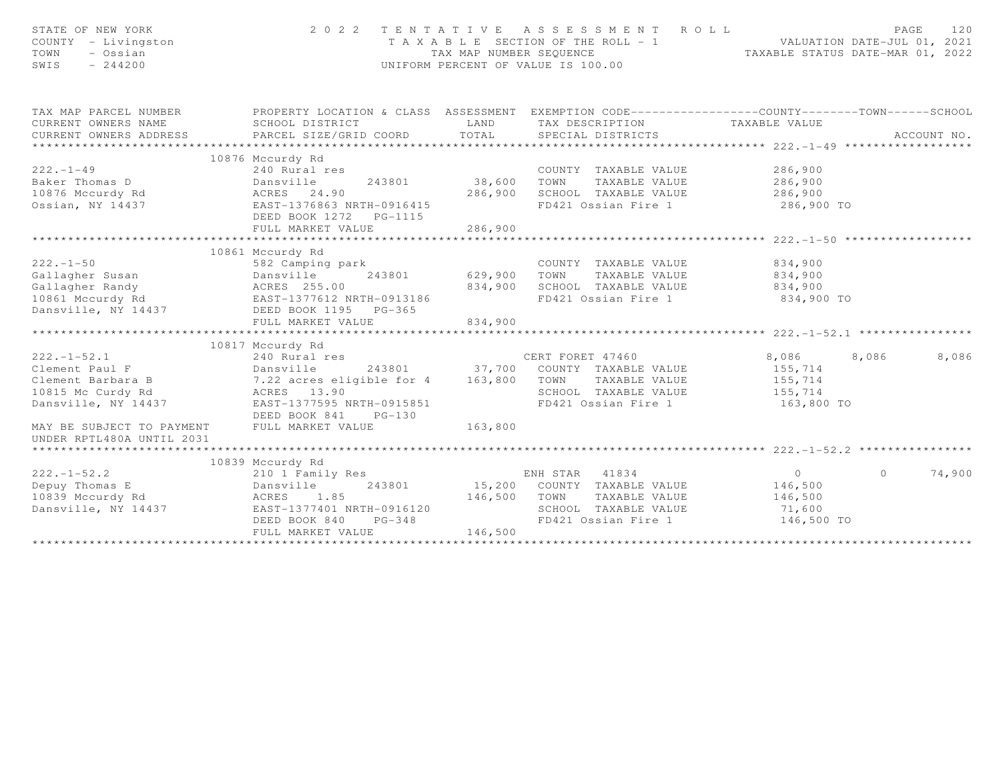| STATE OF NEW YORK<br>COUNTY - Livingston<br>- Ossian<br>TOWN<br>SWIS<br>$-244200$                                                           | 2 0 2 2<br>TENTATIVE ASSESSMENT ROLL                                                                                                           | PAGE<br>120<br>T A X A B L E SECTION OF THE ROLL - 1 VALUATION DATE-JUL 01, 2021<br>TAX MAP NUMBER SEQUENCE TAXABLE STATUS DATE-MAR 01, 2022<br>UNIFORM PERCENT OF VALUE IS 100.00 |                                                                                                                                            |                                                               |                   |
|---------------------------------------------------------------------------------------------------------------------------------------------|------------------------------------------------------------------------------------------------------------------------------------------------|------------------------------------------------------------------------------------------------------------------------------------------------------------------------------------|--------------------------------------------------------------------------------------------------------------------------------------------|---------------------------------------------------------------|-------------------|
| TAX MAP PARCEL NUMBER<br>CURRENT OWNERS NAME<br>CURRENT OWNERS ADDRESS                                                                      | PROPERTY LOCATION & CLASS ASSESSMENT EXEMPTION CODE-----------------COUNTY-------TOWN------SCHOOL<br>SCHOOL DISTRICT<br>PARCEL SIZE/GRID COORD | LAND<br>TOTAL                                                                                                                                                                      | TAX DESCRIPTION TAXABLE VALUE<br>SPECIAL DISTRICTS                                                                                         |                                                               | ACCOUNT NO.       |
|                                                                                                                                             | 10876 Mccurdy Rd                                                                                                                               |                                                                                                                                                                                    |                                                                                                                                            |                                                               |                   |
| $222 - 1 - 49$<br>Ossian, NY 14437                                                                                                          | 240 Rural res<br>243801<br>EAST-1376863 NRTH-0916415<br>DEED BOOK 1272 PG-1115<br>FULL MARKET VALUE                                            | 38,600<br>286,900<br>286,900                                                                                                                                                       | COUNTY TAXABLE VALUE<br>TOWN<br>TAXABLE VALUE<br>SCHOOL TAXABLE VALUE<br>FD421 Ossian Fire 1 286,900 TO                                    | 286,900<br>286,900<br>286,900                                 |                   |
|                                                                                                                                             |                                                                                                                                                |                                                                                                                                                                                    |                                                                                                                                            |                                                               |                   |
| $222 - 1 - 50$<br>Callagher Susan<br>Callagher Randy<br>Callagher Randy<br>10861 Mccurdy Rd<br>Dansville, NY 14437<br>DEED BOOK 1195 PG-365 | 10861 Mccurdy Rd<br>582 Camping park<br>FULL MARKET VALUE                                                                                      | 243801 629,900<br>834,900<br>834,900                                                                                                                                               | COUNTY TAXABLE VALUE 834,900<br>TOWN<br>TAXABLE VALUE<br>SCHOOL TAXABLE VALUE<br>FD421 Ossian Fire 1                                       | 834,900<br>834,900<br>834,900 TO                              |                   |
|                                                                                                                                             | 10817 Mccurdy Rd                                                                                                                               |                                                                                                                                                                                    |                                                                                                                                            |                                                               |                   |
| $222. - 1 - 52.1$<br>Clement Paul F                                                                                                         | 240 Rural res<br>Dansville<br>DEED BOOK 841<br>$PG-130$                                                                                        |                                                                                                                                                                                    | CERT FORET 47460<br>243801 37,700 COUNTY TAXABLE VALUE<br>CERT FORET 47460<br>TAXABLE VALUE<br>SCHOOL TAXABLE VALUE<br>FD421 Ossian Fire 1 | 8,086<br>8,086<br>155,714<br>155,714<br>155,714<br>163,800 TO | 8,086             |
| MAY BE SUBJECT TO PAYMENT<br>UNDER RPTL480A UNTIL 2031                                                                                      | FULL MARKET VALUE                                                                                                                              | 163,800                                                                                                                                                                            |                                                                                                                                            |                                                               |                   |
|                                                                                                                                             | 10839 Mccurdy Rd                                                                                                                               |                                                                                                                                                                                    |                                                                                                                                            |                                                               |                   |
| $222. - 1 - 52.2$<br>Depuy Thomas E<br>$\mathbf d$<br>10839 Mccurdy Rd<br>Dansville, NY 14437                                               | 210 1 Family Res<br>243801<br>Dansville<br>ACRES 1.85<br>EAST-1377401 NRTH-0916120<br>DEED BOOK 840<br>$PG-348$<br>FULL MARKET VALUE           | 146,500 TOWN<br>146,500                                                                                                                                                            | ENH STAR 41834<br>15,200 COUNTY TAXABLE VALUE<br>TAXABLE VALUE<br>SCHOOL TAXABLE VALUE<br>FD421 Ossian Fire 1 146,500 TO                   | $\overline{0}$<br>146,500<br>146,500<br>71,600                | 74,900<br>$\circ$ |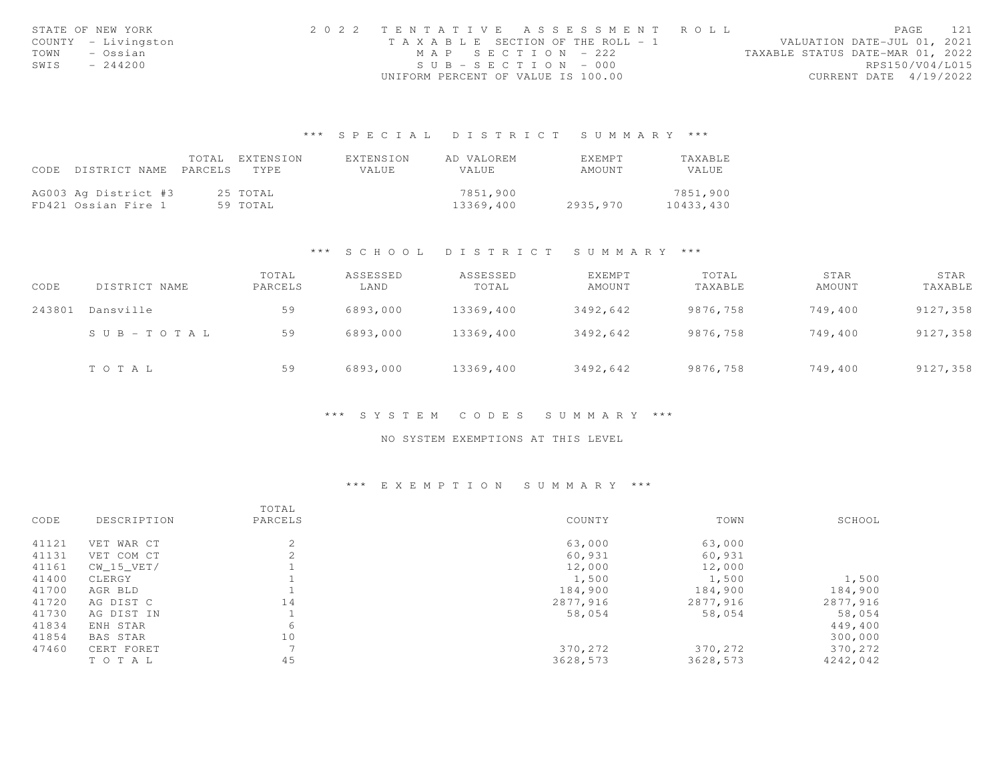| STATE OF NEW YORK   | 2022 TENTATIVE ASSESSMENT ROLL |                                       |  |                                  | PAGE                   | 121             |
|---------------------|--------------------------------|---------------------------------------|--|----------------------------------|------------------------|-----------------|
| COUNTY - Livingston |                                | T A X A B L E SECTION OF THE ROLL - 1 |  | VALUATION DATE-JUL 01, 2021      |                        |                 |
| TOWN<br>– Ossian    |                                | MAP SECTION - 222                     |  | TAXABLE STATUS DATE-MAR 01, 2022 |                        |                 |
| SWIS<br>$-244200$   |                                | $SUB - SECTION - 000$                 |  |                                  |                        | RPS150/V04/L015 |
|                     |                                | UNIFORM PERCENT OF VALUE IS 100.00    |  |                                  | CURRENT DATE 4/19/2022 |                 |

## \*\*\* S P E C I A L D I S T R I C T S U M M A R Y \*\*\*

| CODE | DISTRICT NAME                               | TOTAL<br>PARCELS | EXTENSION<br>TYPE.   | EXTENSION<br>VALUE | AD VALOREM<br><b>VALUE</b> | EXEMPT<br>AMOUNT | TAXABLE<br>VALUE      |
|------|---------------------------------------------|------------------|----------------------|--------------------|----------------------------|------------------|-----------------------|
|      | AG003 Ag District #3<br>FD421 Ossian Fire 1 |                  | 25 TOTAL<br>59 TOTAL |                    | 7851,900<br>13369,400      | 2935,970         | 7851,900<br>10433,430 |

#### \*\*\* S C H O O L D I S T R I C T S U M M A R Y \*\*\*

| CODE   | DISTRICT NAME         | TOTAL<br>PARCELS | ASSESSED<br>LAND | ASSESSED<br>TOTAL | EXEMPT<br>AMOUNT | TOTAL<br>TAXABLE | STAR<br>AMOUNT | STAR<br>TAXABLE |
|--------|-----------------------|------------------|------------------|-------------------|------------------|------------------|----------------|-----------------|
| 243801 | Dansville             | 59               | 6893,000         | 13369,400         | 3492,642         | 9876,758         | 749,400        | 9127,358        |
|        | $S \cup B - TO T A L$ | 59               | 6893,000         | 13369,400         | 3492.642         | 9876,758         | 749,400        | 9127,358        |
|        | TOTAL                 | 59               | 6893,000         | 13369,400         | 3492,642         | 9876,758         | 749,400        | 9127,358        |

#### \*\*\* S Y S T E M C O D E S S U M M A R Y \*\*\*

#### NO SYSTEM EXEMPTIONS AT THIS LEVEL

## \*\*\* E X E M P T I O N S U M M A R Y \*\*\*

|       |                 | TOTAL   |          |          |          |
|-------|-----------------|---------|----------|----------|----------|
| CODE  | DESCRIPTION     | PARCELS | COUNTY   | TOWN     | SCHOOL   |
| 41121 | VET WAR CT      | 2       | 63,000   | 63,000   |          |
| 41131 | VET COM CT      | 2       | 60,931   | 60,931   |          |
| 41161 | CW 15 VET/      |         | 12,000   | 12,000   |          |
| 41400 | CLERGY          |         | 1,500    | 1,500    | 1,500    |
| 41700 | AGR BLD         |         | 184,900  | 184,900  | 184,900  |
| 41720 | AG DIST C       | 14      | 2877,916 | 2877,916 | 2877,916 |
| 41730 | AG DIST IN      |         | 58,054   | 58,054   | 58,054   |
| 41834 | ENH STAR        | 6       |          |          | 449,400  |
| 41854 | <b>BAS STAR</b> | 10      |          |          | 300,000  |
| 47460 | CERT FORET      |         | 370,272  | 370,272  | 370,272  |
|       | TO TAL          | 45      | 3628,573 | 3628,573 | 4242,042 |
|       |                 |         |          |          |          |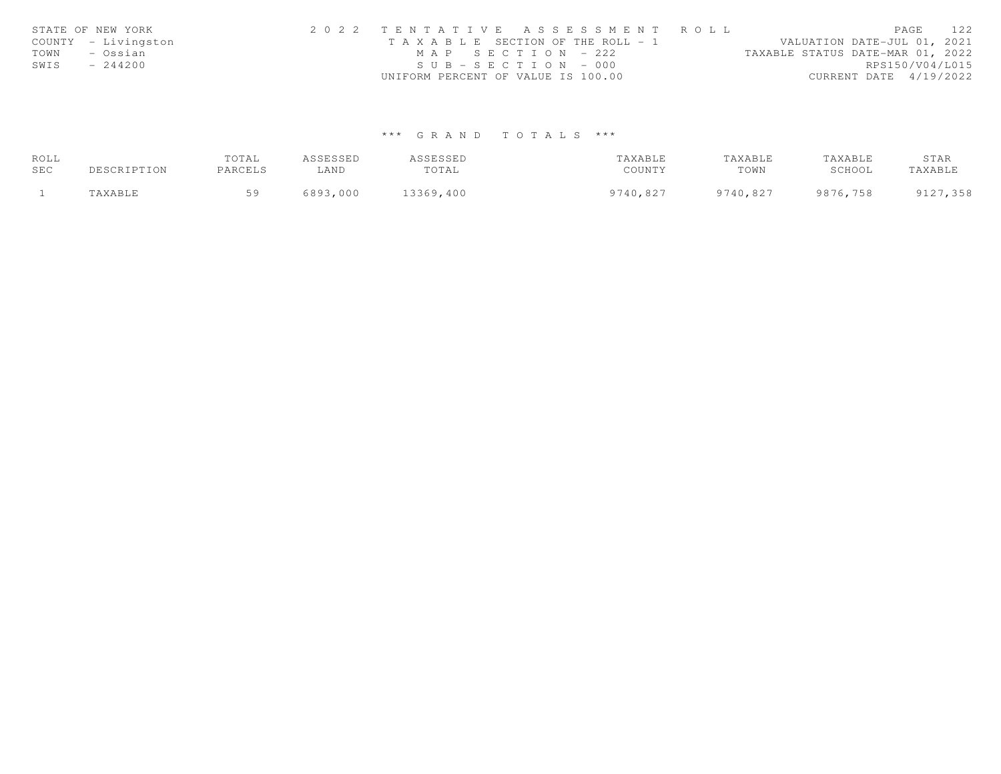|      | STATE OF NEW YORK   | 2022 TENTATIVE ASSESSMENT ROLL                                       | PAGE            | 122 |
|------|---------------------|----------------------------------------------------------------------|-----------------|-----|
|      | COUNTY - Livingston | VALUATION DATE-JUL 01, 2021<br>T A X A B L E SECTION OF THE ROLL - 1 |                 |     |
| TOWN | – Ossian            | TAXABLE STATUS DATE-MAR 01, 2022<br>MAP SECTION - 222                |                 |     |
| SWIS | $-244200$           | $SUB - SECTION - 000$                                                | RPS150/V04/L015 |     |
|      |                     | UNIFORM PERCENT OF VALUE IS 100.00<br>CURRENT DATE 4/19/2022         |                 |     |

# \*\*\* G R A N D T O T A L S \*\*\*

| ROLL |             | TOTAL   | ASSESSED | ASSESSED  | TAXABLE  | TAXABLE  | TAXABLE  | STAR     |
|------|-------------|---------|----------|-----------|----------|----------|----------|----------|
| SEC  | DESCRIPTION | PARCELS | ∟AND     | TOTAL     | COUNTY   | TOWN     | SCHOOL   | TAXABLE  |
|      | TAXABLE     | 50      | 6893,000 | 13369,400 | 9740,827 | 9740,827 | 9876,758 | 9127,358 |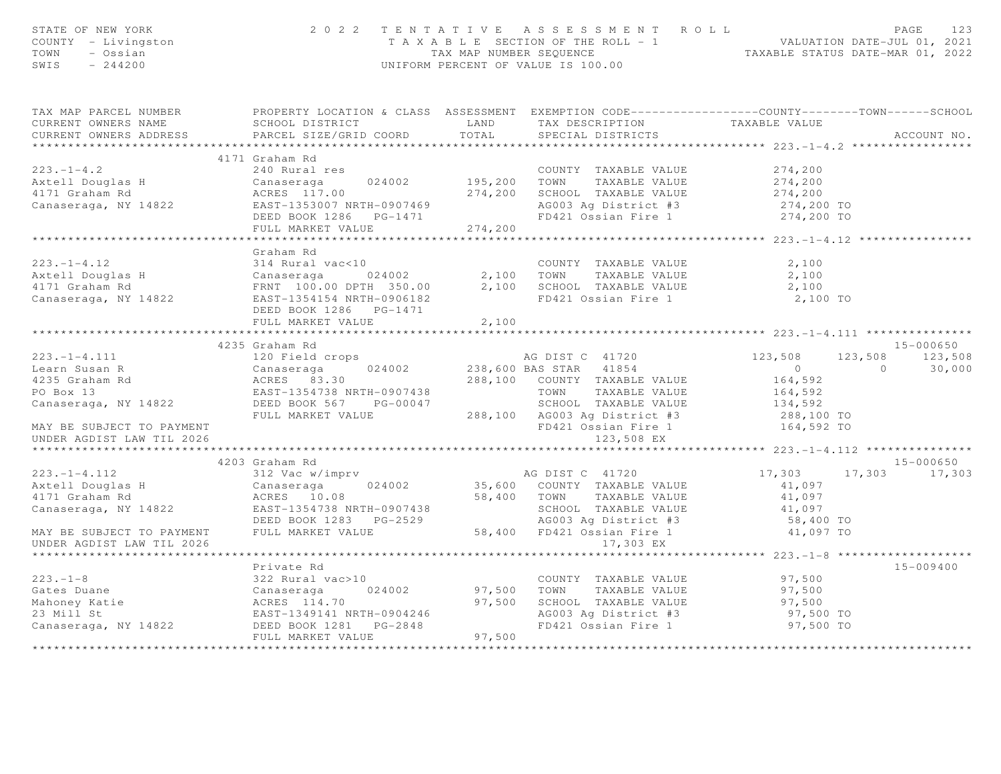| STATE OF NEW YORK<br>COUNTY - Livingston<br>TOWN - Ossian<br>SWIS - 244200                                                                                                                                                                                         |                             |                       | 2022 TENTATIVE ASSESSMENT ROLL PAGE 123<br>TAXABLE SECTION OF THE ROLL - 1<br>TAX MAP NUMBER SEQUENCE TAXABLE STATUS DATE-MAR 01, 2022<br>UNIFORM PERCENT OF VALUE IS 100.00 |                                                                                 |               |  |
|--------------------------------------------------------------------------------------------------------------------------------------------------------------------------------------------------------------------------------------------------------------------|-----------------------------|-----------------------|------------------------------------------------------------------------------------------------------------------------------------------------------------------------------|---------------------------------------------------------------------------------|---------------|--|
| TAX MAP PARCEL NUMBER PROPERTY LOCATION & CLASS ASSESSMENT EXEMPTION CODE------------------COUNTY--------TOWN-----SCHOOL CURRENT OWNERS NAME SCHOOL DISTRICT LAND TAX DESCRIPTION TAXABLE VALUE<br>CURRENT OWNERS ADDRESS PARCEL                                   |                             |                       |                                                                                                                                                                              |                                                                                 |               |  |
|                                                                                                                                                                                                                                                                    | 4171 Graham Rd              |                       |                                                                                                                                                                              |                                                                                 |               |  |
|                                                                                                                                                                                                                                                                    |                             |                       |                                                                                                                                                                              |                                                                                 |               |  |
|                                                                                                                                                                                                                                                                    |                             |                       |                                                                                                                                                                              |                                                                                 |               |  |
|                                                                                                                                                                                                                                                                    |                             |                       |                                                                                                                                                                              |                                                                                 |               |  |
|                                                                                                                                                                                                                                                                    |                             |                       |                                                                                                                                                                              |                                                                                 |               |  |
|                                                                                                                                                                                                                                                                    |                             |                       |                                                                                                                                                                              |                                                                                 |               |  |
|                                                                                                                                                                                                                                                                    |                             |                       |                                                                                                                                                                              |                                                                                 |               |  |
|                                                                                                                                                                                                                                                                    |                             |                       |                                                                                                                                                                              |                                                                                 |               |  |
|                                                                                                                                                                                                                                                                    | Graham Rd                   |                       |                                                                                                                                                                              |                                                                                 |               |  |
|                                                                                                                                                                                                                                                                    |                             |                       |                                                                                                                                                                              |                                                                                 |               |  |
|                                                                                                                                                                                                                                                                    |                             |                       |                                                                                                                                                                              |                                                                                 |               |  |
|                                                                                                                                                                                                                                                                    |                             |                       |                                                                                                                                                                              |                                                                                 |               |  |
|                                                                                                                                                                                                                                                                    |                             |                       |                                                                                                                                                                              |                                                                                 |               |  |
|                                                                                                                                                                                                                                                                    |                             |                       |                                                                                                                                                                              |                                                                                 |               |  |
|                                                                                                                                                                                                                                                                    | *************************** | * * * * * * * * * * * |                                                                                                                                                                              | ************************* 223.-1-4.111 ****************                         |               |  |
|                                                                                                                                                                                                                                                                    | 4235 Graham Rd              |                       |                                                                                                                                                                              |                                                                                 | 15-000650     |  |
|                                                                                                                                                                                                                                                                    |                             |                       |                                                                                                                                                                              |                                                                                 |               |  |
|                                                                                                                                                                                                                                                                    |                             |                       |                                                                                                                                                                              | $123,508$ $123,508$ $123,508$ $123,508$<br>0 $30,000$<br>$164,592$<br>$164,592$ |               |  |
|                                                                                                                                                                                                                                                                    |                             |                       |                                                                                                                                                                              |                                                                                 |               |  |
|                                                                                                                                                                                                                                                                    |                             |                       |                                                                                                                                                                              |                                                                                 |               |  |
|                                                                                                                                                                                                                                                                    |                             |                       |                                                                                                                                                                              |                                                                                 |               |  |
|                                                                                                                                                                                                                                                                    |                             |                       |                                                                                                                                                                              |                                                                                 |               |  |
| UNDER AGDIST LAW TIL 2026                                                                                                                                                                                                                                          |                             |                       | 123,508 EX                                                                                                                                                                   |                                                                                 |               |  |
|                                                                                                                                                                                                                                                                    |                             |                       |                                                                                                                                                                              |                                                                                 |               |  |
|                                                                                                                                                                                                                                                                    | 4203 Graham Rd              |                       |                                                                                                                                                                              |                                                                                 | 15-000650     |  |
|                                                                                                                                                                                                                                                                    |                             |                       |                                                                                                                                                                              | 17,303 17,303 17,303                                                            |               |  |
|                                                                                                                                                                                                                                                                    |                             |                       |                                                                                                                                                                              |                                                                                 |               |  |
|                                                                                                                                                                                                                                                                    |                             |                       |                                                                                                                                                                              |                                                                                 |               |  |
|                                                                                                                                                                                                                                                                    |                             |                       |                                                                                                                                                                              |                                                                                 |               |  |
|                                                                                                                                                                                                                                                                    |                             |                       |                                                                                                                                                                              |                                                                                 |               |  |
|                                                                                                                                                                                                                                                                    |                             |                       |                                                                                                                                                                              |                                                                                 |               |  |
| UNDER AGDIST LAW TIL 2026                                                                                                                                                                                                                                          |                             |                       |                                                                                                                                                                              |                                                                                 |               |  |
|                                                                                                                                                                                                                                                                    | Private Rd                  |                       |                                                                                                                                                                              |                                                                                 | $15 - 009400$ |  |
|                                                                                                                                                                                                                                                                    |                             |                       |                                                                                                                                                                              |                                                                                 |               |  |
|                                                                                                                                                                                                                                                                    |                             |                       |                                                                                                                                                                              |                                                                                 |               |  |
|                                                                                                                                                                                                                                                                    |                             |                       |                                                                                                                                                                              |                                                                                 |               |  |
|                                                                                                                                                                                                                                                                    |                             |                       |                                                                                                                                                                              |                                                                                 |               |  |
|                                                                                                                                                                                                                                                                    |                             |                       |                                                                                                                                                                              |                                                                                 |               |  |
| 223.-1-8<br>Gates Duane<br>Mahoney Katie<br>Mahoney Katie<br>23 Mill St<br>23 Mill St<br>23 Mill St<br>23 Mill St<br>23 Mill St<br>23 Mill St<br>23 Mill St<br>23 Mill St<br>23 Mill St<br>23 Mill St<br>23 Mill St<br>23 Mill St<br>23 Mill St<br>23 Mill St<br>2 |                             |                       |                                                                                                                                                                              |                                                                                 |               |  |
|                                                                                                                                                                                                                                                                    |                             |                       |                                                                                                                                                                              |                                                                                 |               |  |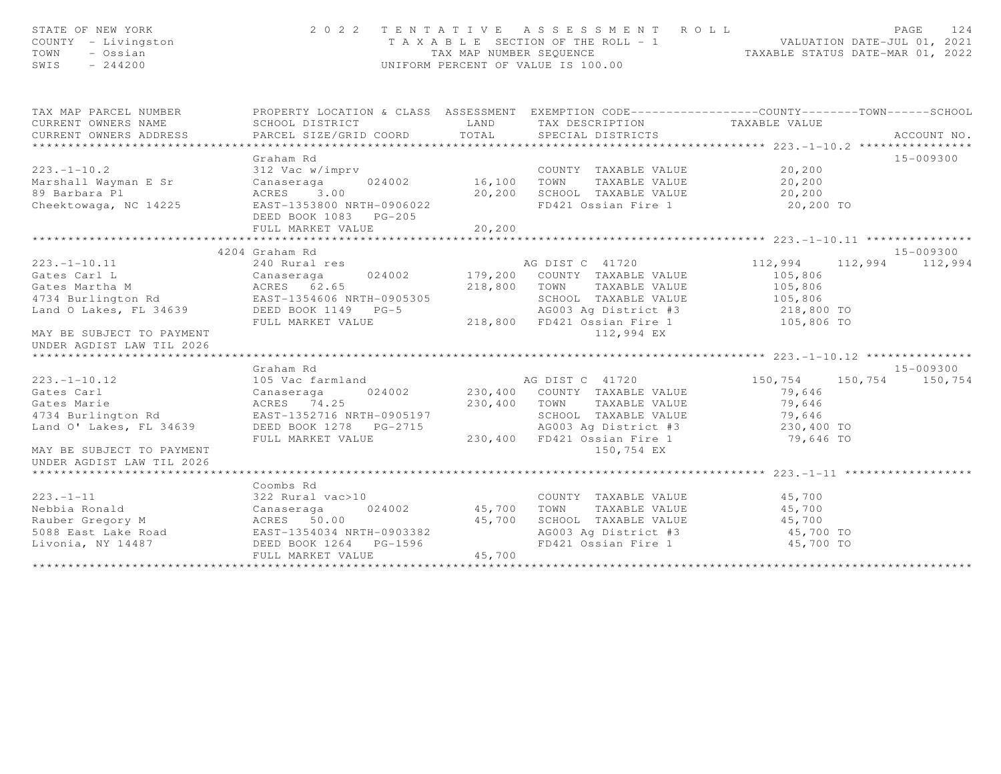| STATE OF NEW YORK<br>COUNTY - Livingston<br>TOWN<br>- Ossian<br>SWIS<br>$-244200$                                                                                                                       |                                                                                                                                               |                                   | 2022 TENTATIVE ASSESSMENT ROLL<br>T A X A B L E SECTION OF THE ROLL - 1 VALUATION DATE-JUL 01, 2021<br>TAX MAP NUMBER SEQUENCE TAXABLE STATUS DATE-MAR 01, 2022<br>UNIFORM PERCENT OF VALUE IS 100.00               |                                                        | PAGE<br>124                                                    |
|---------------------------------------------------------------------------------------------------------------------------------------------------------------------------------------------------------|-----------------------------------------------------------------------------------------------------------------------------------------------|-----------------------------------|---------------------------------------------------------------------------------------------------------------------------------------------------------------------------------------------------------------------|--------------------------------------------------------|----------------------------------------------------------------|
| TAX MAP PARCEL NUMBER<br>CURRENT OWNERS NAME<br>CURRENT OWNERS ADDRESS                                                                                                                                  | PROPERTY LOCATION & CLASS ASSESSMENT EXEMPTION CODE----------------COUNTY-------TOWN------SCHOOL<br>SCHOOL DISTRICT<br>PARCEL SIZE/GRID COORD | <b>LAND</b><br>TOTAL              | TAX DESCRIPTION<br>SPECIAL DISTRICTS                                                                                                                                                                                | TAXABLE VALUE                                          | ACCOUNT NO.                                                    |
|                                                                                                                                                                                                         |                                                                                                                                               |                                   |                                                                                                                                                                                                                     |                                                        |                                                                |
| $223 - 1 - 10.2$<br>Marshall Wayman E Sr<br>89 Barbara Pl<br>Cheektowaga, NC 14225                                                                                                                      | Graham Rd<br>312 Vac w/imprv<br>Canaseraga<br>ACRES 3.00<br>EAST-1353800 NRTH-0906022<br>DEED BOOK 1083 PG-205<br>FULL MARKET VALUE           | 024002 16,100<br>20,200<br>20,200 | COUNTY TAXABLE VALUE 20,200<br>TOWN<br>TAXABLE VALUE<br>SCHOOL TAXABLE VALUE<br>FD421 Ossian Fire 1 20,200 TO                                                                                                       | 20,200<br>20,200                                       | 15-009300                                                      |
|                                                                                                                                                                                                         |                                                                                                                                               |                                   |                                                                                                                                                                                                                     |                                                        |                                                                |
| $223. - 1 - 10.11$<br>Gates Carl L<br>Gates Martha M<br>4734 Burlington Rd<br>Land O Lakes, FL 34639 DEED BOOK 1149 PG-5<br>MAY BE SUBJECT TO PAYMENT<br>UNDER AGDIST LAW TIL 2026<br>$223. -1 - 10.12$ | 4204 Graham Rd<br>240 Rural res<br>024002<br>Canaseraga<br>ACRES 62.65<br>FULL MARKET VALUE<br>Graham Rd<br>105 Vac farmland                  |                                   | AG DIST C 41720<br>179,200 COUNTY TAXABLE VALUE<br>218,800 TOWN<br>TAXABLE VALUE<br>SCHOOL TAXABLE VALUE 105,806<br>AG003 Ag District #3<br>218,800 FD421 Ossian Fire 1 105,806 TO<br>112,994 EX<br>AG DIST C 41720 | 112,994<br>105,806<br>105,806<br>218,800 TO<br>150,754 | 15-009300<br>112,994 112,994<br>15-009300<br>150, 754 150, 754 |
| Gates Carl<br>Gates Marie<br>4734 Burlington Rd<br>Land O' Lakes, FL 34639<br>MAY BE SUBJECT TO PAYMENT<br>UNDER AGDIST LAW TIL 2026                                                                    | 024002<br>Canaseraga<br>ACRES 74.25<br>EAST-1352716 NRTH-0905197<br>DEED BOOK 1278 PG-2715<br>FULL MARKET VALUE                               | 230,400 TOWN                      | 230,400 COUNTY TAXABLE VALUE<br>TAXABLE VALUE<br>SCHOOL TAXABLE VALUE 79,646<br>AG003 Ag District #3 230,400 TO<br>230,400 FD421 Ossian Fire 1<br>150,754 EX                                                        | 79,646<br>79,646<br>79,646 TO                          |                                                                |
| $223 - 1 - 11$<br>Nebbia Ronald                                                                                                                                                                         | Coombs Rd<br>322 Rural vac>10<br>Canaseraga<br>024002<br>FULL MARKET VALUE                                                                    | 45,700<br>45,700<br>45,700        | COUNTY TAXABLE VALUE<br>TOWN TAXABLE VALUE<br>SCHOOL TAXABLE VALUE 45,700<br>Aby AS,700 TO<br>AG003 Ag District #3<br>FD421 Ossian Fire 1                                                                           | 45,700<br>45,700<br>45,700 TO                          |                                                                |
|                                                                                                                                                                                                         |                                                                                                                                               |                                   |                                                                                                                                                                                                                     |                                                        |                                                                |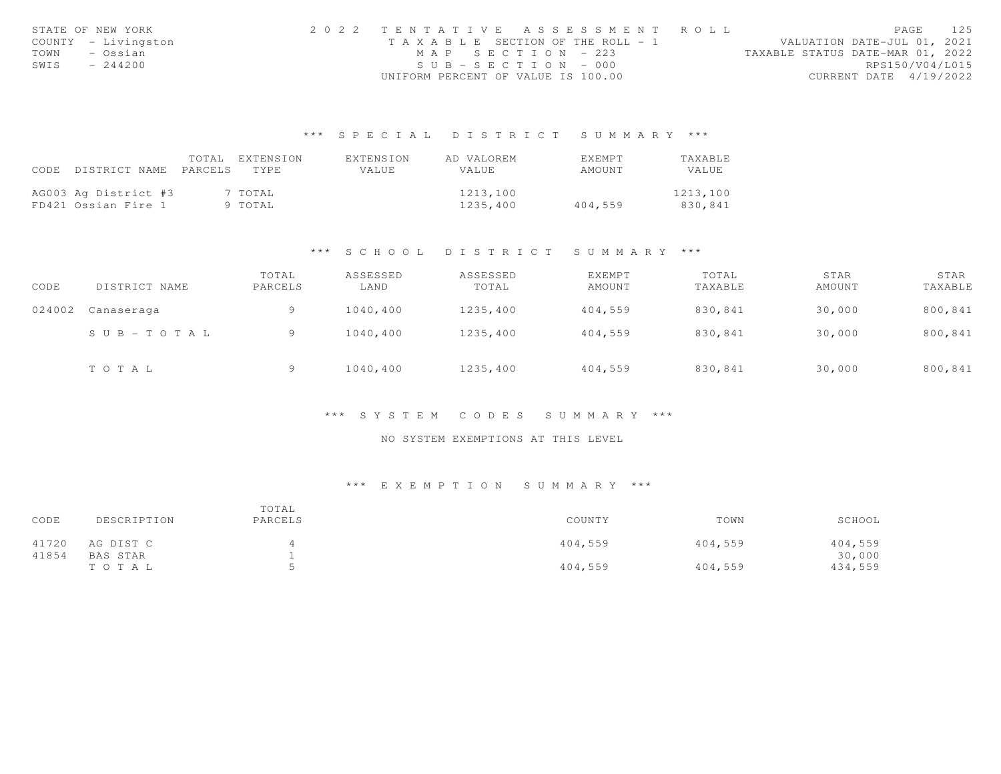|      | STATE OF NEW YORK   | 2022 TENTATIVE ASSESSMENT ROLL     |                       |                                  | PAGE            | 125 |
|------|---------------------|------------------------------------|-----------------------|----------------------------------|-----------------|-----|
|      | COUNTY - Livingston | TAXABLE SECTION OF THE ROLL - 1    |                       | VALUATION DATE-JUL 01, 2021      |                 |     |
| TOWN | – Ossian            |                                    | MAP SECTION - 223     | TAXABLE STATUS DATE-MAR 01, 2022 |                 |     |
| SWIS | $-244200$           |                                    | $SUB - SECTION - 000$ |                                  | RPS150/V04/L015 |     |
|      |                     | UNIFORM PERCENT OF VALUE IS 100.00 |                       | CURRENT DATE 4/19/2022           |                 |     |

## \*\*\* S P E C I A L D I S T R I C T S U M M A R Y \*\*\*

|      |                      | TOTAL   | EXTENSION | EXTENSION | AD VALOREM   | EXEMPT  | TAXABLE  |
|------|----------------------|---------|-----------|-----------|--------------|---------|----------|
| CODE | DISTRICT NAME        | PARCELS | TYPE.     | VALUE     | <b>VALUE</b> | AMOUNT  | VALUE    |
|      |                      |         |           |           |              |         |          |
|      | AG003 Ag District #3 |         | 7 TOTAL   |           | 1213,100     |         | 1213,100 |
|      | FD421 Ossian Fire 1  |         | 9 TOTAL   |           | 1235,400     | 404,559 | 830,841  |

#### \*\*\* S C H O O L D I S T R I C T S U M M A R Y \*\*\*

| CODE   | DISTRICT NAME         | TOTAL<br>PARCELS | ASSESSED<br>LAND | ASSESSED<br>TOTAL | EXEMPT<br>AMOUNT | TOTAL<br>TAXABLE | STAR<br>AMOUNT | STAR<br>TAXABLE |
|--------|-----------------------|------------------|------------------|-------------------|------------------|------------------|----------------|-----------------|
| 024002 | Canaseraga            | 9                | 1040,400         | 1235,400          | 404,559          | 830,841          | 30,000         | 800,841         |
|        | $S \cup B - TO T A L$ |                  | 1040,400         | 1235,400          | 404,559          | 830,841          | 30,000         | 800,841         |
|        | TOTAL                 |                  | 1040,400         | 1235,400          | 404,559          | 830,841          | 30,000         | 800,841         |

#### \*\*\* S Y S T E M C O D E S S U M M A R Y \*\*\*

### NO SYSTEM EXEMPTIONS AT THIS LEVEL

## \*\*\* E X E M P T I O N S U M M A R Y \*\*\*

| CODE  | DESCRIPTION | TOTAL<br>PARCELS | COUNTY  | TOWN    | SCHOOL  |
|-------|-------------|------------------|---------|---------|---------|
| 41720 | AG DIST C   |                  | 404,559 | 404,559 | 404,559 |
| 41854 | BAS STAR    |                  |         |         | 30,000  |
|       | TOTAL       |                  | 404,559 | 404,559 | 434,559 |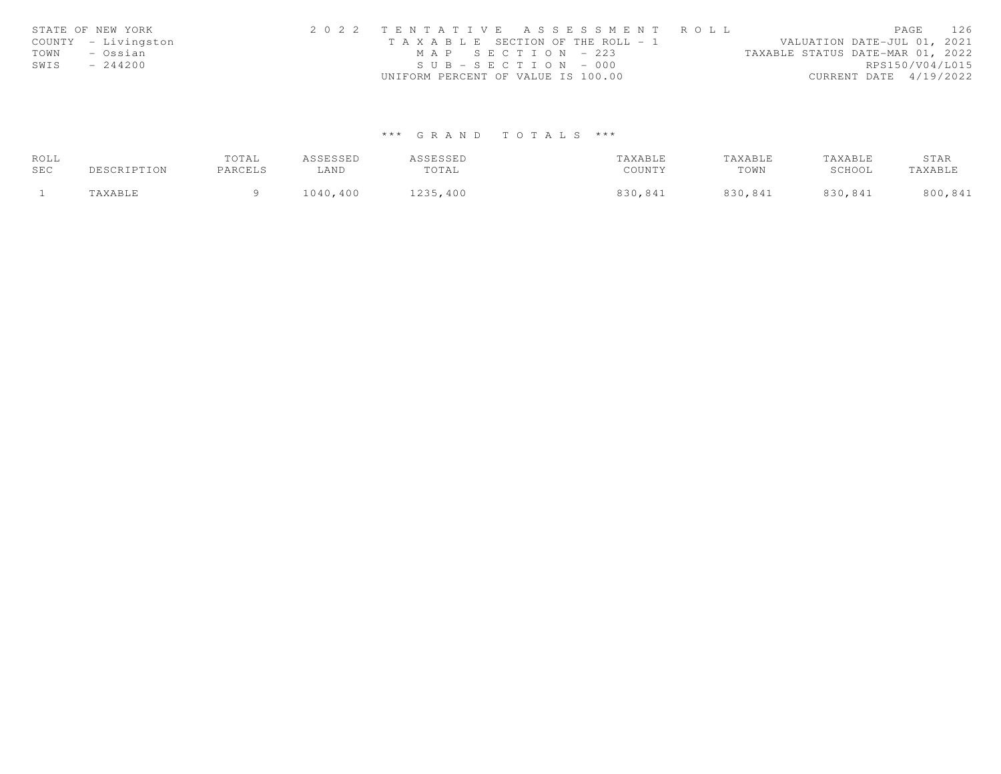|      | STATE OF NEW YORK   | 2022 TENTATIVE ASSESSMENT ROLL                                       | PAGE            | 126 |
|------|---------------------|----------------------------------------------------------------------|-----------------|-----|
|      | COUNTY - Livingston | VALUATION DATE-JUL 01, 2021<br>T A X A B L E SECTION OF THE ROLL - 1 |                 |     |
| TOWN | – Ossian            | TAXABLE STATUS DATE-MAR 01, 2022<br>MAP SECTION - 223                |                 |     |
| SWIS | $-244200$           | $SUB - SECTION - 000$                                                | RPS150/V04/L015 |     |
|      |                     | UNIFORM PERCENT OF VALUE IS 100.00<br>CURRENT DATE 4/19/2022         |                 |     |

# \*\*\* G R A N D T O T A L S \*\*\*

| ROLL |             | TOTAL   | ASSESSED | ASSESSED | TAXABLE | TAXABLE | TAXABLE | STAR    |
|------|-------------|---------|----------|----------|---------|---------|---------|---------|
| SEC  | DESCRIPTION | PARCELS | ∟AND     | TOTAL    | COUNTY  | TOWN    | SCHOOL  | TAXABLE |
|      | "AXABLE     |         | 1040,400 | 1235,400 | 830,841 | 830,841 | 830,841 | 800,841 |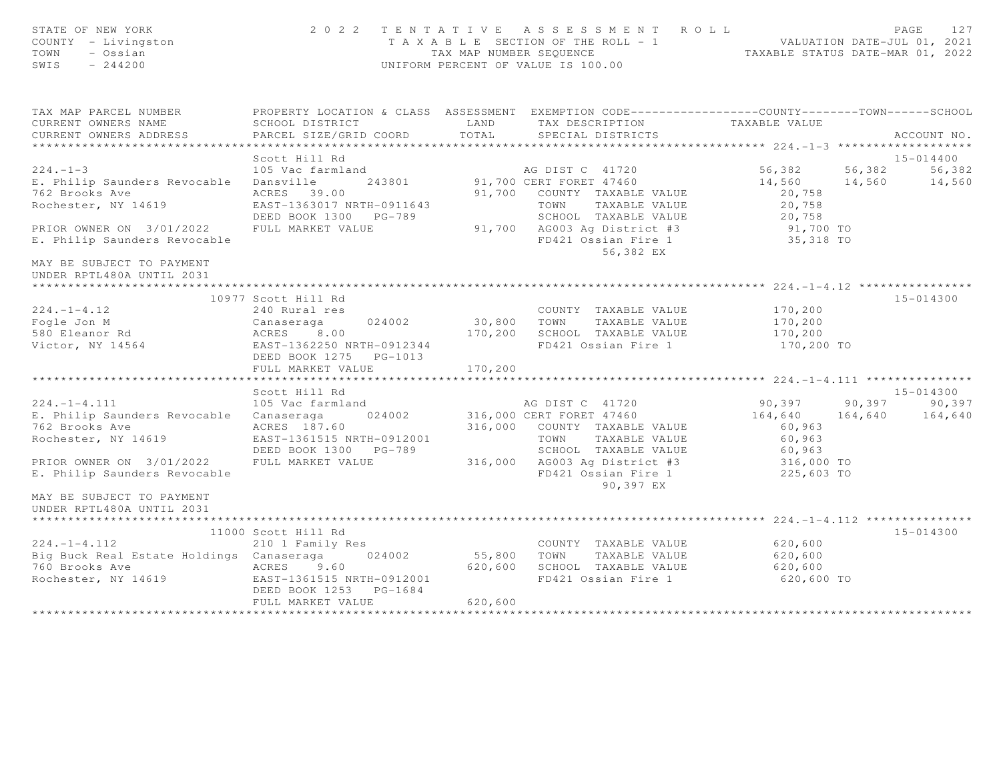| STATE OF NEW YORK<br>COUNTY - Livingston<br>TOWN<br>- Ossian<br>SWIS<br>$-244200$ | 2 0 2 2                                             | TAX MAP NUMBER SEQUENCE                    | TENTATIVE ASSESSMENT ROLL<br>T A X A B L E SECTION OF THE ROLL = 1<br>UNIFORM PERCENT OF VALUE IS 100.00 | VALUATION DATE-JUL 01, 2021<br>TAXABLE STATUS DATE-MAR 01, 2022 |         | PAGE<br>127   |
|-----------------------------------------------------------------------------------|-----------------------------------------------------|--------------------------------------------|----------------------------------------------------------------------------------------------------------|-----------------------------------------------------------------|---------|---------------|
| TAX MAP PARCEL NUMBER                                                             |                                                     |                                            | PROPERTY LOCATION & CLASS ASSESSMENT EXEMPTION CODE---------------COUNTY-------TOWN------SCHOOL          |                                                                 |         |               |
| CURRENT OWNERS NAME<br>CURRENT OWNERS ADDRESS                                     | SCHOOL DISTRICT<br>PARCEL SIZE/GRID COORD           | LAND<br>TOTAL                              | TAX DESCRIPTION<br>SPECIAL DISTRICTS                                                                     | TAXABLE VALUE                                                   |         | ACCOUNT NO.   |
| ***********************                                                           |                                                     |                                            |                                                                                                          |                                                                 |         |               |
|                                                                                   | Scott Hill Rd                                       |                                            |                                                                                                          |                                                                 |         | 15-014400     |
| $224. -1 -3$                                                                      | 105 Vac farmland                                    |                                            | AG DIST C 41720                                                                                          | 56,382                                                          | 56,382  | 56,382        |
| E. Philip Saunders Revocable                                                      | Dansville<br>243801                                 |                                            | 91,700 CERT FORET 47460                                                                                  | 14,560                                                          | 14,560  | 14,560        |
| 762 Brooks Ave                                                                    | ACRES 39.00                                         |                                            | 91,700 COUNTY TAXABLE VALUE                                                                              | 20,758                                                          |         |               |
| Rochester, NY 14619                                                               | EAST-1363017 NRTH-0911643                           |                                            | TOWN<br>TAXABLE VALUE                                                                                    | 20,758                                                          |         |               |
|                                                                                   | DEED BOOK 1300 PG-789                               |                                            | SCHOOL TAXABLE VALUE                                                                                     | 20,758                                                          |         |               |
| PRIOR OWNER ON 3/01/2022                                                          | FULL MARKET VALUE                                   |                                            | 91,700 AG003 Ag District #3                                                                              | 91,700 TO                                                       |         |               |
| E. Philip Saunders Revocable                                                      |                                                     |                                            | FD421 Ossian Fire 1<br>56,382 EX                                                                         | 35,318 TO                                                       |         |               |
| MAY BE SUBJECT TO PAYMENT<br>UNDER RPTL480A UNTIL 2031                            |                                                     |                                            | ******************************                                                                           |                                                                 |         |               |
|                                                                                   |                                                     |                                            |                                                                                                          | **** 224.-1-4.12 *****                                          |         |               |
|                                                                                   | 10977 Scott Hill Rd                                 |                                            |                                                                                                          |                                                                 |         | $15 - 014300$ |
| $224. -1 - 4.12$                                                                  | 240 Rural res                                       |                                            | COUNTY TAXABLE VALUE                                                                                     | 170,200                                                         |         |               |
| Fogle Jon M                                                                       | 024002<br>Canaseraga                                | 30,800                                     | TOWN<br>TAXABLE VALUE                                                                                    | 170,200                                                         |         |               |
| 580 Eleanor Rd                                                                    | ACRES<br>8.00                                       | 170,200                                    | SCHOOL TAXABLE VALUE                                                                                     | 170,200                                                         |         |               |
| Victor, NY 14564                                                                  | EAST-1362250 NRTH-0912344<br>DEED BOOK 1275 PG-1013 |                                            | FD421 Ossian Fire 1                                                                                      | 170,200 TO                                                      |         |               |
|                                                                                   | FULL MARKET VALUE                                   | 170,200                                    |                                                                                                          |                                                                 |         |               |
|                                                                                   |                                                     |                                            |                                                                                                          |                                                                 |         |               |
|                                                                                   | Scott Hill Rd                                       |                                            |                                                                                                          |                                                                 |         | 15-014300     |
| $224. -1 - 4.111$                                                                 | 105 Vac farmland                                    |                                            | AG DIST C 41720                                                                                          | 90,397                                                          | 90,397  | 90,397        |
| E. Philip Saunders Revocable                                                      | 024002<br>Canaseraga                                |                                            | 316,000 CERT FORET 47460                                                                                 | 164,640                                                         | 164,640 | 164,640       |
| 762 Brooks Ave                                                                    | ACRES 187.60                                        |                                            | 316,000 COUNTY TAXABLE VALUE                                                                             | 60,963                                                          |         |               |
| Rochester, NY 14619                                                               | EAST-1361515 NRTH-0912001                           |                                            | TAXABLE VALUE<br>TOWN                                                                                    | 60,963                                                          |         |               |
|                                                                                   | DEED BOOK 1300 PG-789                               |                                            | SCHOOL TAXABLE VALUE                                                                                     | 60,963                                                          |         |               |
| PRIOR OWNER ON 3/01/2022                                                          | FULL MARKET VALUE                                   | 316,000                                    | AG003 Ag District #3                                                                                     | 316,000 TO                                                      |         |               |
| E. Philip Saunders Revocable                                                      |                                                     |                                            | FD421 Ossian Fire 1<br>90,397 EX                                                                         | 225,603 TO                                                      |         |               |
| MAY BE SUBJECT TO PAYMENT<br>UNDER RPTL480A UNTIL 2031                            |                                                     |                                            |                                                                                                          |                                                                 |         |               |
|                                                                                   |                                                     |                                            |                                                                                                          |                                                                 |         |               |
|                                                                                   | 11000 Scott Hill Rd                                 |                                            |                                                                                                          |                                                                 |         | $15 - 014300$ |
| $224. - 1 - 4.112$                                                                | 210 1 Family Res                                    |                                            | COUNTY TAXABLE VALUE                                                                                     | 620,600                                                         |         |               |
| Big Buck Real Estate Holdings Canaseraga                                          | 024002                                              | 55,800                                     | TOWN<br>TAXABLE VALUE                                                                                    | 620,600                                                         |         |               |
| 760 Brooks Ave                                                                    | ACRES 9.60                                          | 620,600                                    | SCHOOL TAXABLE VALUE                                                                                     | 620,600                                                         |         |               |
| Rochester, NY 14619                                                               | EAST-1361515 NRTH-0912001<br>DEED BOOK 1253 PG-1684 |                                            | FD421 Ossian Fire 1                                                                                      | 620,600 TO                                                      |         |               |
|                                                                                   | FULL MARKET VALUE                                   | 620,600<br>* * * * * * * * * * * * * * * * |                                                                                                          |                                                                 |         |               |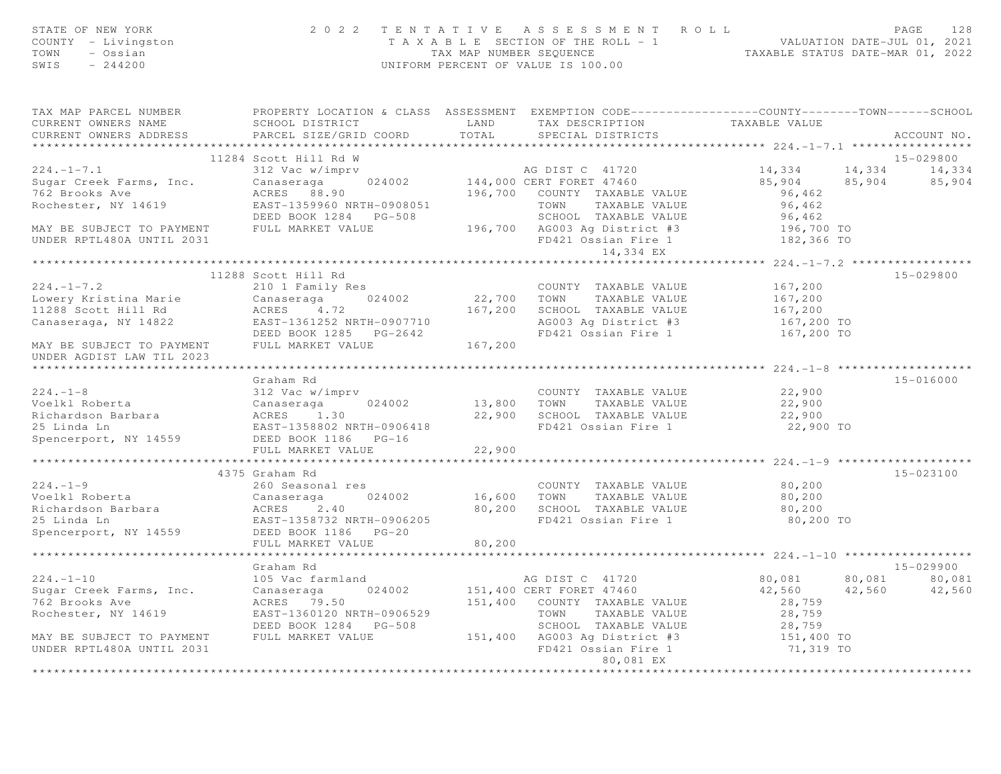| STATE OF NEW YORK<br>COUNTY - Livingston<br>TOWN<br>- Ossian<br>SWIS<br>$-244200$ |                                                                                                                     |              | 2022 TENTATIVE ASSESSMENT ROLL<br>T A X A B L E SECTION OF THE ROLL - 1<br>TA X A B L E SECTION OF THE ROLL - 1<br>TAXABLE STATUS DATE-MAR 01, 2022<br>UNIFORM PERCENT OF VALUE IS 100.00 |                                                     | PAGE<br>128                |
|-----------------------------------------------------------------------------------|---------------------------------------------------------------------------------------------------------------------|--------------|-------------------------------------------------------------------------------------------------------------------------------------------------------------------------------------------|-----------------------------------------------------|----------------------------|
| TAX MAP PARCEL NUMBER<br>CURRENT OWNERS NAME                                      | PROPERTY LOCATION & CLASS ASSESSMENT EXEMPTION CODE----------------COUNTY-------TOWN------SCHOOL<br>SCHOOL DISTRICT | LAND         | TAX DESCRIPTION TAXABLE VALUE                                                                                                                                                             |                                                     |                            |
| CURRENT OWNERS ADDRESS                                                            | PARCEL SIZE/GRID COORD                                                                                              | TOTAL        | SPECIAL DISTRICTS                                                                                                                                                                         |                                                     | ACCOUNT NO.                |
|                                                                                   | 11284 Scott Hill Rd W                                                                                               |              |                                                                                                                                                                                           |                                                     | 15-029800                  |
| $224. -1 - 7.1$                                                                   | 312 Vac w/imprv                                                                                                     |              | AG DIST C 41720                                                                                                                                                                           | 14,334                                              | 14,334 14,334              |
| Sugar Creek Farms, Inc.                                                           |                                                                                                                     |              |                                                                                                                                                                                           |                                                     | $85,904$ $85,904$ $85,904$ |
| 762 Brooks Ave                                                                    | ACRES 88.90                                                                                                         |              | 196,700 COUNTY TAXABLE VALUE                                                                                                                                                              | 96,462                                              |                            |
| Rochester, NY 14619                                                               | EAST-1359960 NRTH-0908051                                                                                           |              | TOWN<br>TAXABLE VALUE                                                                                                                                                                     | 96,462                                              |                            |
|                                                                                   |                                                                                                                     |              | SCHOOL TAXABLE VALUE                                                                                                                                                                      | 96,462                                              |                            |
| MAY BE SUBJECT TO PAYMENT FULL MARKET VALUE<br>UNDER RPTL480A UNTIL 2031          |                                                                                                                     |              | 196,700 AG003 Ag District #3<br>FD421 Ossian Fire 1 182,366 TO                                                                                                                            | 196,700 TO                                          |                            |
|                                                                                   |                                                                                                                     |              | 14,334 EX                                                                                                                                                                                 |                                                     |                            |
|                                                                                   |                                                                                                                     |              |                                                                                                                                                                                           |                                                     |                            |
|                                                                                   | 11288 Scott Hill Rd                                                                                                 |              |                                                                                                                                                                                           |                                                     | $15 - 029800$              |
| $224. -1 - 7.2$                                                                   | 210 1 Family Res                                                                                                    |              | COUNTY TAXABLE VALUE                                                                                                                                                                      | 167,200                                             |                            |
| Lowery Kristina Marie                                                             | Canaseraga 024002                                                                                                   |              | 22,700 TOWN TAXABLE VALUE                                                                                                                                                                 | 167,200                                             |                            |
| 11288 Scott Hill Rd                                                               | ACRES 4.72                                                                                                          |              | 167,200 SCHOOL TAXABLE VALUE                                                                                                                                                              | 167,200                                             |                            |
| Canaseraga, NY 14822                                                              | EAST-1361252 NRTH-0907710                                                                                           |              | AG003 Ag District #3                                                                                                                                                                      | 167,200 TO                                          |                            |
| MAY BE SUBJECT TO PAYMENT FULL MARKET VALUE 167,200<br>UNDER AGDIST LAW TIL 2023  | DEED BOOK 1285 PG-2642                                                                                              |              | FD421 Ossian Fire 1                                                                                                                                                                       | 167,200 TO                                          |                            |
|                                                                                   |                                                                                                                     |              |                                                                                                                                                                                           |                                                     |                            |
|                                                                                   | Graham Rd                                                                                                           |              |                                                                                                                                                                                           |                                                     | $15 - 016000$              |
| $224. -1 - 8$                                                                     | 312 Vac w/imprv                                                                                                     |              | COUNTY TAXABLE VALUE                                                                                                                                                                      | 22,900                                              |                            |
| Voelkl Roberta                                                                    | 024002<br>Canaseraga                                                                                                |              | 13,800 TOWN TAXABLE VALUE                                                                                                                                                                 | 22,900                                              |                            |
| Richardson Barbara                                                                | ACRES 1.30                                                                                                          |              | 22,900 SCHOOL TAXABLE VALUE                                                                                                                                                               | 22,900                                              |                            |
| 25 Linda Ln<br>Spencerport, NY 14559                                              | EAST-1358802 NRTH-0906418                                                                                           |              | FD421 Ossian Fire 1                                                                                                                                                                       | 22,900 TO                                           |                            |
|                                                                                   | DEED BOOK 1186 PG-16<br>FULL MARKET VALUE                                                                           | 22,900       |                                                                                                                                                                                           |                                                     |                            |
|                                                                                   | ************************                                                                                            | ************ |                                                                                                                                                                                           |                                                     |                            |
|                                                                                   | 4375 Graham Rd                                                                                                      |              |                                                                                                                                                                                           |                                                     | 15-023100                  |
| $224 - 1 - 9$                                                                     | 260 Seasonal res                                                                                                    |              | COUNTY TAXABLE VALUE                                                                                                                                                                      | 80,200                                              |                            |
| Voelkl Roberta                                                                    | Canaseraga<br>024002                                                                                                |              | 16,600 TOWN TAXABLE VALUE                                                                                                                                                                 | 80,200                                              |                            |
| Richardson Barbara                                                                | ACRES 2.40                                                                                                          |              | 80,200 SCHOOL TAXABLE VALUE                                                                                                                                                               | 80,200                                              |                            |
| 25 Linda Ln                                                                       | EAST-1358732 NRTH-0906205                                                                                           |              | FD421 Ossian Fire 1                                                                                                                                                                       | 80,200 TO                                           |                            |
| Spencerport, NY 14559                                                             | DEED BOOK 1186 PG-20                                                                                                |              |                                                                                                                                                                                           |                                                     |                            |
|                                                                                   | FULL MARKET VALUE<br>*******************                                                                            | 80,200       |                                                                                                                                                                                           | ********************* 224.-1-10 ******************* |                            |
|                                                                                   | Graham Rd                                                                                                           |              |                                                                                                                                                                                           |                                                     | 15-029900                  |
| $224. - 1 - 10$                                                                   | 105 Vac farmland                                                                                                    |              | AG DIST C 41720                                                                                                                                                                           | 80,081 80,081                                       | 80,081                     |
| Sugar Creek Farms, Inc.                                                           | Canaseraga<br>024002                                                                                                |              | 151,400 CERT FORET 47460                                                                                                                                                                  | 42,560 42,560                                       | 42,560                     |
| 762 Brooks Ave                                                                    | ACRES 79.50                                                                                                         |              | 151,400 COUNTY TAXABLE VALUE                                                                                                                                                              | 28,759                                              |                            |
| Rochester, NY 14619                                                               | EAST-1360120 NRTH-0906529                                                                                           |              | TOWN<br>TAXABLE VALUE                                                                                                                                                                     | 28,759                                              |                            |
|                                                                                   | DEED BOOK 1284 PG-508                                                                                               |              | SCHOOL TAXABLE VALUE                                                                                                                                                                      | 28,759                                              |                            |
| MAY BE SUBJECT TO PAYMENT<br>UNDER RPTL480A UNTIL 2031                            | FULL MARKET VALUE                                                                                                   |              | 151,400 AG003 Ag District #3<br>FD421 Ossian Fire 1                                                                                                                                       | 151,400 TO<br>71,319 TO                             |                            |
|                                                                                   |                                                                                                                     |              | 80,081 EX<br><b>++++++++++++</b>                                                                                                                                                          |                                                     |                            |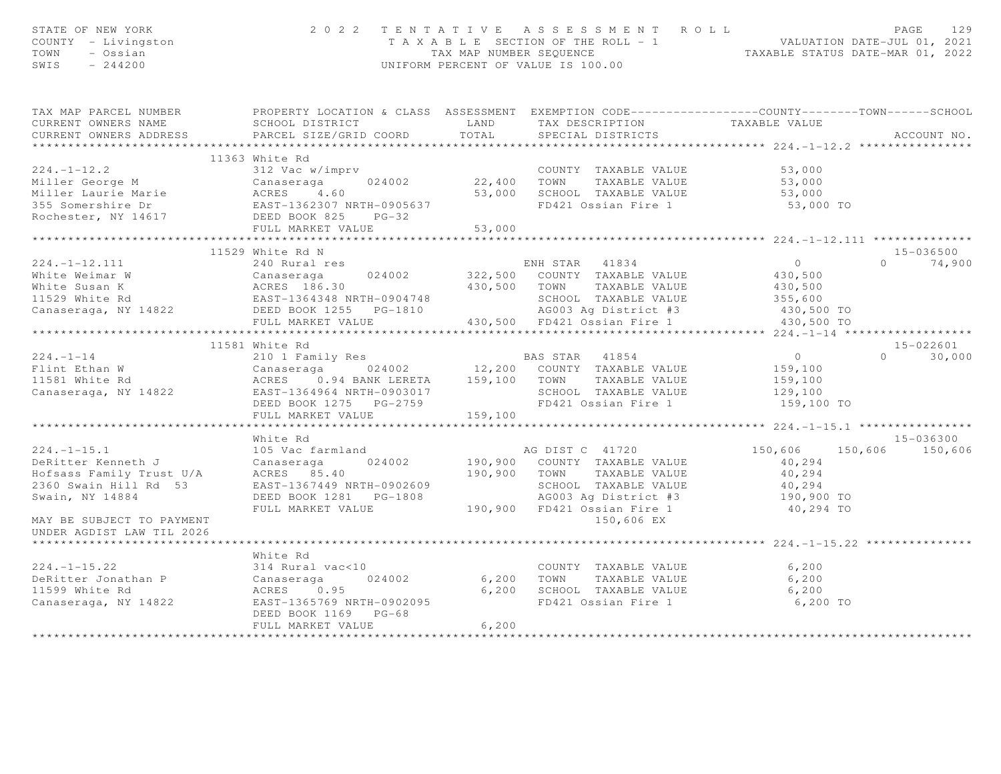| STATE OF NEW YORK<br>COUNTY - Livingston<br>TOWN - Ossian<br>SWIS - 244200                                                                                                                                                                     |                           |       | 2022 TENTATIVE ASSESSMENT ROLL<br>T A X A B L E SECTION OF THE ROLL - 1 WALUATION DATE-JUL 01, 2021<br>TAX MAP NUMBER SEQUENCE TAXABLE STATUS DATE-MAR 01, 2022<br>UNIFORM PERCENT OF VALUE IS 100.00 |                         | PAGE<br>129   |
|------------------------------------------------------------------------------------------------------------------------------------------------------------------------------------------------------------------------------------------------|---------------------------|-------|-------------------------------------------------------------------------------------------------------------------------------------------------------------------------------------------------------|-------------------------|---------------|
| TAX MAP PARCEL NUMBER PROPERTY LOCATION & CLASS ASSESSMENT EXEMPTION CODE---------------COUNTY-------TOWN------SCHOOL<br>CURRENT OWNERS NAME<br>CURRENT OWNERS ADDRESS                                                                         |                           |       |                                                                                                                                                                                                       |                         | ACCOUNT NO.   |
|                                                                                                                                                                                                                                                | 11363 White Rd            |       |                                                                                                                                                                                                       |                         |               |
| 224.-1-12.2<br>Miller George M<br>Miller Laurie Marie (1990)<br>Miller Laurie Marie (1990)<br>Miller Laurie Marie (1990)<br>Miller Laurie Marie (1990)<br>Miller Laurie Marie (1990)<br>Miller Laurie Marie (1990)<br>Miller Laurie Marie (199 |                           |       |                                                                                                                                                                                                       |                         |               |
|                                                                                                                                                                                                                                                |                           |       |                                                                                                                                                                                                       |                         |               |
|                                                                                                                                                                                                                                                |                           |       |                                                                                                                                                                                                       |                         |               |
|                                                                                                                                                                                                                                                |                           |       |                                                                                                                                                                                                       |                         |               |
|                                                                                                                                                                                                                                                |                           |       |                                                                                                                                                                                                       |                         |               |
|                                                                                                                                                                                                                                                |                           |       |                                                                                                                                                                                                       |                         |               |
|                                                                                                                                                                                                                                                |                           |       |                                                                                                                                                                                                       |                         |               |
|                                                                                                                                                                                                                                                | 11529 White Rd N          |       |                                                                                                                                                                                                       |                         | 15-036500     |
|                                                                                                                                                                                                                                                |                           |       |                                                                                                                                                                                                       |                         | $0 \t 74,900$ |
|                                                                                                                                                                                                                                                |                           |       |                                                                                                                                                                                                       |                         |               |
|                                                                                                                                                                                                                                                |                           |       |                                                                                                                                                                                                       |                         |               |
|                                                                                                                                                                                                                                                |                           |       |                                                                                                                                                                                                       |                         |               |
|                                                                                                                                                                                                                                                |                           |       |                                                                                                                                                                                                       |                         |               |
|                                                                                                                                                                                                                                                |                           |       |                                                                                                                                                                                                       |                         |               |
|                                                                                                                                                                                                                                                |                           |       |                                                                                                                                                                                                       |                         |               |
|                                                                                                                                                                                                                                                | 11581 White Rd            |       |                                                                                                                                                                                                       |                         | 15-022601     |
|                                                                                                                                                                                                                                                |                           |       |                                                                                                                                                                                                       |                         | $0 \t 30,000$ |
|                                                                                                                                                                                                                                                |                           |       |                                                                                                                                                                                                       |                         |               |
|                                                                                                                                                                                                                                                |                           |       |                                                                                                                                                                                                       |                         |               |
|                                                                                                                                                                                                                                                |                           |       |                                                                                                                                                                                                       |                         |               |
|                                                                                                                                                                                                                                                |                           |       |                                                                                                                                                                                                       |                         |               |
|                                                                                                                                                                                                                                                |                           |       |                                                                                                                                                                                                       |                         |               |
|                                                                                                                                                                                                                                                | ************************* |       |                                                                                                                                                                                                       |                         |               |
|                                                                                                                                                                                                                                                | White Rd                  |       |                                                                                                                                                                                                       |                         | 15-036300     |
|                                                                                                                                                                                                                                                |                           |       |                                                                                                                                                                                                       | 150,606 150,606 150,606 |               |
|                                                                                                                                                                                                                                                |                           |       |                                                                                                                                                                                                       |                         |               |
|                                                                                                                                                                                                                                                |                           |       |                                                                                                                                                                                                       |                         |               |
|                                                                                                                                                                                                                                                |                           |       |                                                                                                                                                                                                       |                         |               |
|                                                                                                                                                                                                                                                |                           |       |                                                                                                                                                                                                       |                         |               |
|                                                                                                                                                                                                                                                |                           |       |                                                                                                                                                                                                       |                         |               |
| MAY BE SUBJECT TO PAYMENT<br>UNDER AGDIST LAW TIL 2026                                                                                                                                                                                         |                           |       | 150,606 EX                                                                                                                                                                                            |                         |               |
| ***************************                                                                                                                                                                                                                    |                           |       |                                                                                                                                                                                                       |                         |               |
|                                                                                                                                                                                                                                                | White Rd                  |       |                                                                                                                                                                                                       |                         |               |
|                                                                                                                                                                                                                                                |                           |       |                                                                                                                                                                                                       |                         |               |
| 224.-1-15.22 .<br>DeRitter Jonathan P (2008) 24002 (2009) 6,200 TOWN TAXABLE VALUE 6,200<br>11599 White Rd (2008) ACRES 0.95 (2008) 6,200 SCHOOL TAXABLE VALUE 6,200<br>Canaseraga, NY 14822 . EAST-1366.769 NRTH-0902095 (2008) FD4           |                           |       |                                                                                                                                                                                                       |                         |               |
|                                                                                                                                                                                                                                                |                           |       |                                                                                                                                                                                                       |                         |               |
|                                                                                                                                                                                                                                                |                           |       | FD421 Ossian Fire 1 6,200 TO                                                                                                                                                                          |                         |               |
|                                                                                                                                                                                                                                                | DEED BOOK 1169 PG-68      |       |                                                                                                                                                                                                       |                         |               |
|                                                                                                                                                                                                                                                | FULL MARKET VALUE         | 6,200 |                                                                                                                                                                                                       |                         |               |
|                                                                                                                                                                                                                                                |                           |       |                                                                                                                                                                                                       |                         |               |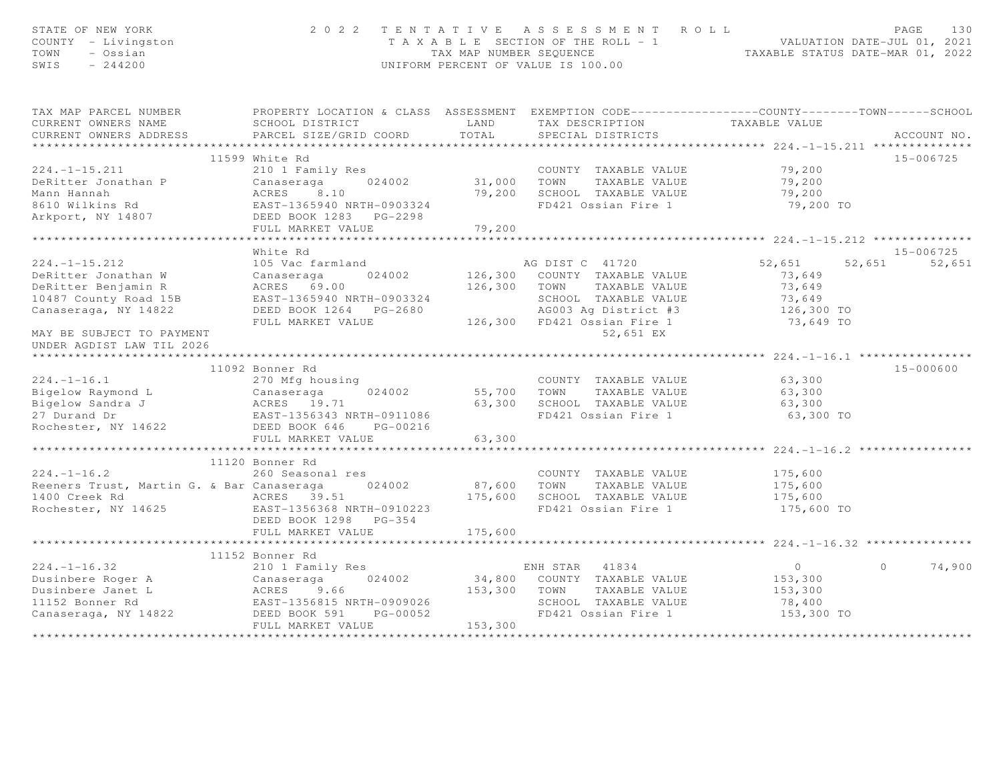| STATE OF NEW YORK<br>COUNTY - Livingston<br>TOWN<br>- Ossian<br>SWIS<br>$-244200$                                                                                                                                                                                                              | 2 0 2 2                                                                                                     |                                                   | TENTATIVE ASSESSMENT ROLL<br>T A X A B L E SECTION OF THE ROLL - 1 VALUATION DATE-JUL 01, 2021<br>TAX MAP NUMBER SEQUENCE<br>UNIFORM PERCENT OF VALUE IS 100.00 |                         | PAGE<br>1.30       |
|------------------------------------------------------------------------------------------------------------------------------------------------------------------------------------------------------------------------------------------------------------------------------------------------|-------------------------------------------------------------------------------------------------------------|---------------------------------------------------|-----------------------------------------------------------------------------------------------------------------------------------------------------------------|-------------------------|--------------------|
| TAX MAP PARCEL NUMBER PROPERTY LOCATION & CLASS ASSESSMENT EXEMPTION CODE----------------COUNTY--------TOWN------SCHOOL                                                                                                                                                                        |                                                                                                             |                                                   |                                                                                                                                                                 |                         |                    |
| CURRENT OWNERS NAME                                                                                                                                                                                                                                                                            | SCHOOL DISTRICT LAND                                                                                        |                                                   |                                                                                                                                                                 |                         |                    |
| CURRENT OWNERS ADDRESS                                                                                                                                                                                                                                                                         | PARCEL SIZE/GRID COORD                                                                                      | TOTAL                                             | SPECIAL DISTRICTS                                                                                                                                               |                         | ACCOUNT NO.        |
|                                                                                                                                                                                                                                                                                                |                                                                                                             |                                                   |                                                                                                                                                                 |                         |                    |
|                                                                                                                                                                                                                                                                                                | 11599 White Rd                                                                                              |                                                   |                                                                                                                                                                 |                         | 15-006725          |
| $224. -1 - 15.211$                                                                                                                                                                                                                                                                             | 210 1 Family Res                                                                                            |                                                   | COUNTY TAXABLE VALUE<br>31,000 TOWN TAXABLE VALUE<br>COUNTY TAXABLE VALUE 79,200                                                                                |                         |                    |
| DeRitter Jonathan P                                                                                                                                                                                                                                                                            |                                                                                                             |                                                   |                                                                                                                                                                 | 79,200                  |                    |
| Mann Hannah<br>8610 Wilkins Rd                                                                                                                                                                                                                                                                 |                                                                                                             |                                                   | 79,200 SCHOOL TAXABLE VALUE                                                                                                                                     | 79,200                  |                    |
|                                                                                                                                                                                                                                                                                                |                                                                                                             |                                                   | FD421 Ossian Fire 1                                                                                                                                             | 79,200 TO               |                    |
| Arkport, NY 14807                                                                                                                                                                                                                                                                              | Canaseraga 024002<br>ACRES 8.10<br>EAST-1365940 NRTH-0903324<br>DEED BOOK 1283 PG-2298<br>COOK 1283 PG-2298 |                                                   |                                                                                                                                                                 |                         |                    |
|                                                                                                                                                                                                                                                                                                | FULL MARKET VALUE<br>************************                                                               | 79,200<br>* * * * * * * * * * * * * * * * * * * * |                                                                                                                                                                 |                         |                    |
|                                                                                                                                                                                                                                                                                                | White Rd                                                                                                    |                                                   |                                                                                                                                                                 |                         | 15-006725          |
| $224. -1 - 15.212$                                                                                                                                                                                                                                                                             | 105 Vac farmland                                                                                            |                                                   | AG DIST C 41720                                                                                                                                                 | 52,651                  | 52,651 52,651      |
|                                                                                                                                                                                                                                                                                                |                                                                                                             |                                                   |                                                                                                                                                                 | 73,649                  |                    |
|                                                                                                                                                                                                                                                                                                |                                                                                                             |                                                   |                                                                                                                                                                 | 73,649                  |                    |
|                                                                                                                                                                                                                                                                                                |                                                                                                             |                                                   |                                                                                                                                                                 | 73,649                  |                    |
|                                                                                                                                                                                                                                                                                                |                                                                                                             |                                                   |                                                                                                                                                                 |                         |                    |
|                                                                                                                                                                                                                                                                                                |                                                                                                             |                                                   |                                                                                                                                                                 | 126,300 TO<br>73,649 TO |                    |
| 224.-1-15.212 105 Vac farmland<br>DeRitter Jonathan W Canaseraga 024002 126,300 COUNTY TAXABLE VALUE<br>DeRitter Benjamin R ACRES 69.00 126,300 TOWN TAXABLE VALUE<br>10487 County Road 15B EAST-1365940 NRTH-0903324 SCHOOL TAXABLE<br>MAY BE SUBJECT TO PAYMENT<br>UNDER AGDIST LAW TIL 2026 |                                                                                                             |                                                   | 52,651 EX                                                                                                                                                       |                         |                    |
|                                                                                                                                                                                                                                                                                                |                                                                                                             |                                                   |                                                                                                                                                                 |                         |                    |
|                                                                                                                                                                                                                                                                                                | 11092 Bonner Rd                                                                                             |                                                   |                                                                                                                                                                 |                         | 15-000600          |
|                                                                                                                                                                                                                                                                                                |                                                                                                             |                                                   | COUNTY TAXABLE VALUE 63,300                                                                                                                                     |                         |                    |
|                                                                                                                                                                                                                                                                                                |                                                                                                             |                                                   |                                                                                                                                                                 | 63,300                  |                    |
|                                                                                                                                                                                                                                                                                                |                                                                                                             |                                                   | 55,700 TOWN TAXABLE VALUE<br>63,300 SCHOOL TAXABLE VALUE                                                                                                        | 63,300                  |                    |
|                                                                                                                                                                                                                                                                                                |                                                                                                             |                                                   | FD421 Ossian Fire 1                                                                                                                                             | 63,300 TO               |                    |
|                                                                                                                                                                                                                                                                                                |                                                                                                             |                                                   |                                                                                                                                                                 |                         |                    |
| 224.-1-16.1<br>Bigelow Raymond L<br>Bigelow Sandra J<br>27 Durand Dr<br>Rochester, NY 14622<br>EED BOOK 646<br>FILI MADVET WANDER WATH-09216                                                                                                                                                   | FULL MARKET VALUE                                                                                           | 63,300                                            |                                                                                                                                                                 |                         |                    |
|                                                                                                                                                                                                                                                                                                |                                                                                                             |                                                   | ******************************** 224. -1-16.2 **************                                                                                                    |                         |                    |
|                                                                                                                                                                                                                                                                                                | 11120 Bonner Rd                                                                                             |                                                   |                                                                                                                                                                 |                         |                    |
| $224. - 1 - 16.2$                                                                                                                                                                                                                                                                              | 260 Seasonal res                                                                                            |                                                   | COUNTY TAXABLE VALUE                                                                                                                                            | 175,600                 |                    |
|                                                                                                                                                                                                                                                                                                |                                                                                                             |                                                   |                                                                                                                                                                 |                         |                    |
|                                                                                                                                                                                                                                                                                                |                                                                                                             |                                                   |                                                                                                                                                                 | 175,600<br>175,600      |                    |
| 200 Seasonal Les<br>Reeners Trust, Martin G. & Bar Canaseraga and 24002 87,600 TOWN TAXABLE VALUE<br>1400 Creek Rd ACRES 39.51 175,600 SCHOOL TAXABLE VALUE<br>Rochester, NY 14625 EAST-1356368 NRTH-0910223 FD421 Ossian Fire 1                                                               |                                                                                                             |                                                   | FD421 Ossian Fire 1 175,600 TO                                                                                                                                  |                         |                    |
|                                                                                                                                                                                                                                                                                                | DEED BOOK 1298 PG-354                                                                                       |                                                   |                                                                                                                                                                 |                         |                    |
|                                                                                                                                                                                                                                                                                                | FULL MARKET VALUE                                                                                           | 175,600                                           |                                                                                                                                                                 |                         |                    |
|                                                                                                                                                                                                                                                                                                |                                                                                                             | *************                                     | ************************************ 224.-1-16.32 *************                                                                                                 |                         |                    |
|                                                                                                                                                                                                                                                                                                | 11152 Bonner Rd                                                                                             |                                                   |                                                                                                                                                                 |                         |                    |
| $224. - 1 - 16.32$                                                                                                                                                                                                                                                                             | 210 1 Family Res                                                                                            |                                                   | ENH STAR 41834                                                                                                                                                  | $\overline{0}$          | $\Omega$<br>74,900 |
| 224.-1-16.32<br>Dusinbere Roger A Canaseraga 024002<br>Dusinbere Janet L ACRES 9.66<br>11152 Bonner Rd EAST-1356815 NRTH-0909026<br>Canaseraga, NY 14822 DEED BOOK 591<br>THE BOOK 591                                                                                                         |                                                                                                             |                                                   | ENH SIAK 41004<br>34,800 COUNTY TAXABLE VALUE                                                                                                                   | 153,300                 |                    |
|                                                                                                                                                                                                                                                                                                |                                                                                                             | 153,300 TOWN                                      | TAXABLE VALUE                                                                                                                                                   | 153,300                 |                    |
|                                                                                                                                                                                                                                                                                                |                                                                                                             |                                                   | SCHOOL TAXABLE VALUE                                                                                                                                            | 78,400                  |                    |
|                                                                                                                                                                                                                                                                                                |                                                                                                             |                                                   | FD421 Ossian Fire 1                                                                                                                                             | 153,300 TO              |                    |
|                                                                                                                                                                                                                                                                                                | FULL MARKET VALUE                                                                                           | 153,300                                           |                                                                                                                                                                 |                         |                    |
|                                                                                                                                                                                                                                                                                                |                                                                                                             |                                                   |                                                                                                                                                                 |                         |                    |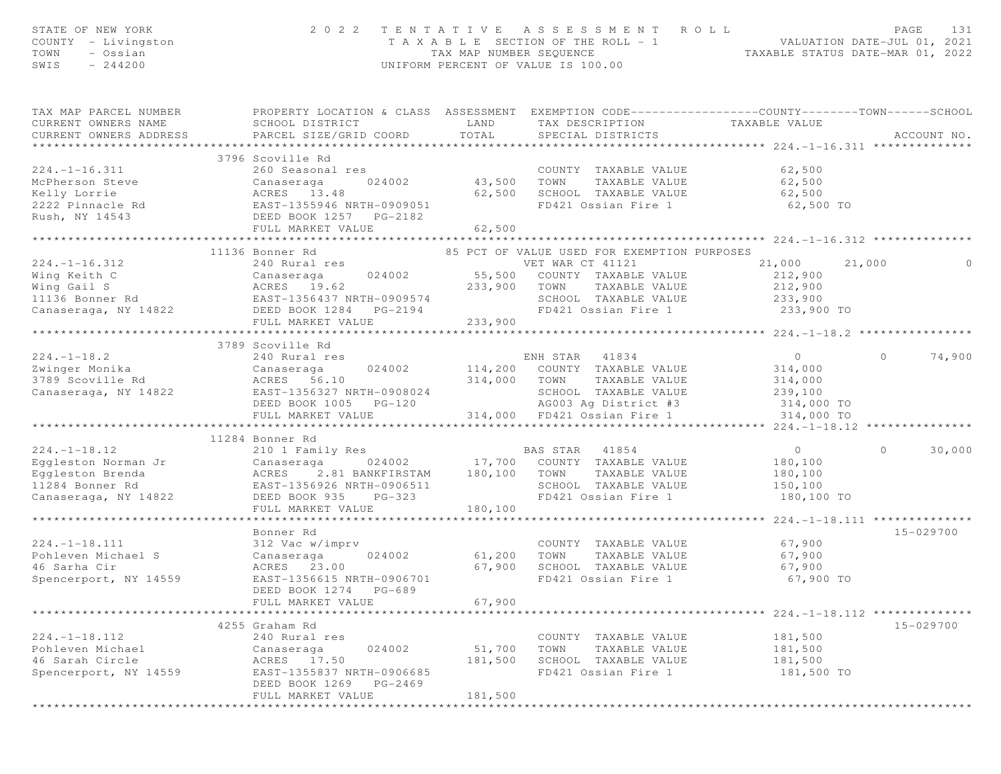| STATE OF NEW YORK<br>COUNTY - Livingston<br>TOWN<br>- Ossian<br>$-244200$<br>SWIS |                                                                                                                                                                  |                      | 2022 TENTATIVE ASSESSMENT ROLL<br>T A X A B L E SECTION OF THE ROLL - 1 VALUATION DATE-JUL 01, 2021<br>TAX MAP NUMBER SEQUENCE TAXABLE STATUS DATE-MAR 01, 2022<br>UNIFORM PERCENT OF VALUE IS 100.00 |                                         | PAGE<br>131        |
|-----------------------------------------------------------------------------------|------------------------------------------------------------------------------------------------------------------------------------------------------------------|----------------------|-------------------------------------------------------------------------------------------------------------------------------------------------------------------------------------------------------|-----------------------------------------|--------------------|
| TAX MAP PARCEL NUMBER<br>CURRENT OWNERS NAME<br>CURRENT OWNERS ADDRESS            | PROPERTY LOCATION & CLASS ASSESSMENT EXEMPTION CODE-----------------COUNTY--------TOWN------SCHOOL<br>SCHOOL DISTRICT<br>PARCEL SIZE/GRID COORD                  | LAND<br>TOTAL        | TAX DESCRIPTION<br>SPECIAL DISTRICTS                                                                                                                                                                  | TAXABLE VALUE                           | ACCOUNT NO.        |
|                                                                                   |                                                                                                                                                                  |                      |                                                                                                                                                                                                       |                                         |                    |
|                                                                                   | McPherson Steve<br>McPherson Steve<br>Kelly Lorrie (Canaseraga (24002)<br>2222 Pinnacle Rd (EAST-1355946 NRTH-0909051<br>Rush, NY 14543 (DEED BOOK 1257 PO 2100) |                      |                                                                                                                                                                                                       |                                         |                    |
|                                                                                   |                                                                                                                                                                  | COUNT<br>43,500 TOWN | COUNTY TAXABLE VALUE                                                                                                                                                                                  | 62,500                                  |                    |
|                                                                                   |                                                                                                                                                                  |                      | TAXABLE VALUE                                                                                                                                                                                         | 62,500                                  |                    |
|                                                                                   |                                                                                                                                                                  |                      | 62,500 SCHOOL TAXABLE VALUE                                                                                                                                                                           | 62,500                                  |                    |
|                                                                                   |                                                                                                                                                                  |                      | FD421 Ossian Fire 1                                                                                                                                                                                   | 62,500 TO                               |                    |
|                                                                                   |                                                                                                                                                                  |                      |                                                                                                                                                                                                       |                                         |                    |
|                                                                                   |                                                                                                                                                                  | 62,500               |                                                                                                                                                                                                       |                                         |                    |
|                                                                                   | 11136 Bonner Rd                                                                                                                                                  |                      |                                                                                                                                                                                                       |                                         |                    |
| $224. -1 - 16.312$                                                                | 240 Rural res                                                                                                                                                    |                      | 85 PCT OF VALUE USED FOR EXEMPTION PURPOSES<br>VET WAR CT 41121                                                                                                                                       | 21,000 21,000                           |                    |
| Wing Keith C                                                                      | 024002<br>Canaseraga                                                                                                                                             |                      | 55,500 COUNTY TAXABLE VALUE                                                                                                                                                                           | 212,900                                 |                    |
|                                                                                   |                                                                                                                                                                  | 233,900 TOWN         | TAXABLE VALUE                                                                                                                                                                                         | 212,900                                 |                    |
|                                                                                   |                                                                                                                                                                  |                      | SCHOOL TAXABLE VALUE                                                                                                                                                                                  | 233,900                                 |                    |
|                                                                                   |                                                                                                                                                                  |                      | FD421 Ossian Fire 1                                                                                                                                                                                   | 233,900 TO                              |                    |
|                                                                                   | FULL MARKET VALUE                                                                                                                                                | 233,900              |                                                                                                                                                                                                       |                                         |                    |
|                                                                                   | *******************************                                                                                                                                  |                      |                                                                                                                                                                                                       |                                         |                    |
|                                                                                   | 3789 Scoville Rd                                                                                                                                                 |                      |                                                                                                                                                                                                       |                                         |                    |
| $224. - 1 - 18.2$                                                                 | 240 Rural res                                                                                                                                                    |                      | ENH STAR 41834                                                                                                                                                                                        | $\overline{0}$                          | $\Omega$<br>74,900 |
| Zwinger Monika                                                                    | Canaseraga                                                                                                                                                       |                      | 024002 114,200 COUNTY TAXABLE VALUE                                                                                                                                                                   | 314,000                                 |                    |
| 3789 Scoville Rd                                                                  | ACRES 56.10                                                                                                                                                      | 314,000 TOWN         | TAXABLE VALUE                                                                                                                                                                                         | 314,000                                 |                    |
| Canaseraga, NY 14822                                                              | EAST-1356327 NRTH-0908024                                                                                                                                        |                      | SCHOOL TAXABLE VALUE 239,100                                                                                                                                                                          |                                         |                    |
|                                                                                   | DEED BOOK 1005 PG-120                                                                                                                                            |                      | AG003 Ag District #3                                                                                                                                                                                  | 314,000 TO                              |                    |
|                                                                                   | FULL MARKET VALUE                                                                                                                                                |                      | 314,000 FD421 Ossian Fire 1                                                                                                                                                                           | 314,000 TO                              |                    |
|                                                                                   | ************************                                                                                                                                         |                      | ****************************                                                                                                                                                                          | ******************** 224.-1-18.12 ***   |                    |
|                                                                                   | 11284 Bonner Rd                                                                                                                                                  |                      |                                                                                                                                                                                                       |                                         |                    |
| $224. - 1 - 18.12$                                                                | 210 1 Family Res                                                                                                                                                 |                      | BAS STAR 41854                                                                                                                                                                                        | $\overline{O}$                          | $\circ$<br>30,000  |
| Eggleston Norman Jr                                                               | Canaseraga 024002 17,700 COUNTY TAXABLE VALUE<br>ACRES 2.81 BANKFIRSTAM 180,100 TOWN TAXABLE VALUE<br>EAST-1356926 NRTH-0906511 SCHOOL TAXABLE VALUE             |                      |                                                                                                                                                                                                       | 180,100                                 |                    |
| Eqqleston Brenda                                                                  |                                                                                                                                                                  |                      |                                                                                                                                                                                                       | 180,100                                 |                    |
| 11284 Bonner Rd                                                                   |                                                                                                                                                                  |                      | SCHOOL TAXABLE VALUE                                                                                                                                                                                  | 150,100                                 |                    |
| Canaseraga, NY 14822                                                              | DEED BOOK 935<br>$PG-323$                                                                                                                                        |                      | FD421 Ossian Fire 1                                                                                                                                                                                   | 180,100 TO                              |                    |
|                                                                                   | FULL MARKET VALUE                                                                                                                                                | 180,100              |                                                                                                                                                                                                       | ********** 224.-1-18.111 ************** |                    |
|                                                                                   | Bonner Rd                                                                                                                                                        |                      |                                                                                                                                                                                                       |                                         | $15 - 029700$      |
| $224. -1 - 18.111$                                                                | 312 Vac w/imprv                                                                                                                                                  |                      | COUNTY TAXABLE VALUE                                                                                                                                                                                  | 67,900                                  |                    |
| Pohleven Michael S                                                                | 024002<br>Canaseraga                                                                                                                                             | 61,200               | TOWN<br>TAXABLE VALUE                                                                                                                                                                                 | 67,900                                  |                    |
| 46 Sarha Cir                                                                      | ACRES 23.00                                                                                                                                                      | 67,900               | SCHOOL TAXABLE VALUE                                                                                                                                                                                  | 67,900                                  |                    |
| Spencerport, NY 14559                                                             | EAST-1356615 NRTH-0906701                                                                                                                                        |                      | FD421 Ossian Fire 1                                                                                                                                                                                   | 67,900 TO                               |                    |
|                                                                                   | DEED BOOK 1274<br>PG-689                                                                                                                                         |                      |                                                                                                                                                                                                       |                                         |                    |
|                                                                                   | FULL MARKET VALUE                                                                                                                                                | 67,900               |                                                                                                                                                                                                       |                                         |                    |
|                                                                                   |                                                                                                                                                                  |                      |                                                                                                                                                                                                       |                                         |                    |
|                                                                                   | 4255 Graham Rd                                                                                                                                                   |                      |                                                                                                                                                                                                       |                                         | 15-029700          |
| $224. -1 - 18.112$                                                                | 240 Rural res                                                                                                                                                    |                      | COUNTY TAXABLE VALUE                                                                                                                                                                                  | 181,500                                 |                    |
| Pohleven Michael                                                                  | Canaseraga<br>024002                                                                                                                                             | 51,700               | TOWN<br>TAXABLE VALUE                                                                                                                                                                                 | 181,500                                 |                    |
| 46 Sarah Circle                                                                   | 17.50<br>ACRES                                                                                                                                                   | 181,500              | SCHOOL TAXABLE VALUE                                                                                                                                                                                  | 181,500                                 |                    |
| Spencerport, NY 14559                                                             | EAST-1355837 NRTH-0906685                                                                                                                                        |                      | FD421 Ossian Fire 1                                                                                                                                                                                   | 181,500 TO                              |                    |
|                                                                                   | DEED BOOK 1269<br>PG-2469                                                                                                                                        |                      |                                                                                                                                                                                                       |                                         |                    |
|                                                                                   | FULL MARKET VALUE                                                                                                                                                | 181,500              |                                                                                                                                                                                                       |                                         |                    |
|                                                                                   |                                                                                                                                                                  |                      |                                                                                                                                                                                                       |                                         |                    |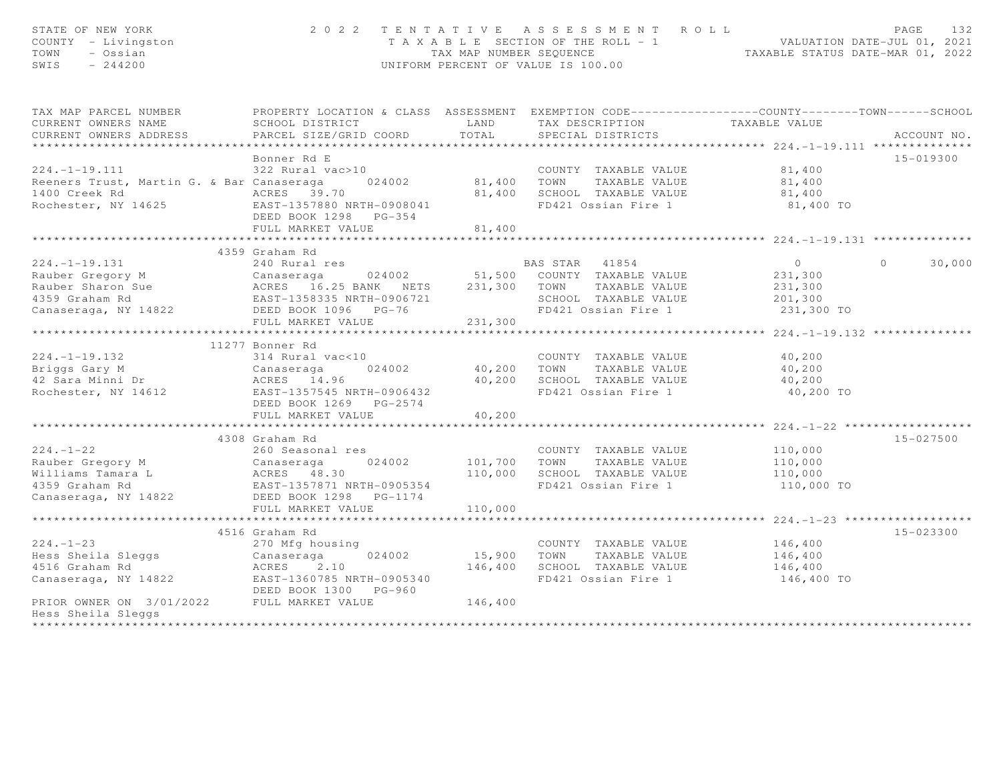| STATE OF NEW YORK<br>COUNTY - Livingston<br>TOWN<br>- Ossian<br>SWIS<br>$-244200$                                                                                                                                                                              |                                                                                                        |                            | 2022 TENTATIVE ASSESSMENT ROLL<br>T A X A B L E SECTION OF THE ROLL - 1 VALUATION DATE-JUL 01, 2021<br>TAX MAP NUMBER SEQUENCE TAXABLE STATUS DATE-MAR 01, 2022<br>UNIFORM PERCENT OF VALUE IS 100.00 |                                                  | PAGE<br>132        |
|----------------------------------------------------------------------------------------------------------------------------------------------------------------------------------------------------------------------------------------------------------------|--------------------------------------------------------------------------------------------------------|----------------------------|-------------------------------------------------------------------------------------------------------------------------------------------------------------------------------------------------------|--------------------------------------------------|--------------------|
| TAX MAP PARCEL NUMBER                                                                                                                                                                                                                                          | PROPERTY LOCATION & CLASS ASSESSMENT EXEMPTION CODE----------------COUNTY-------TOWN------SCHOOL       |                            |                                                                                                                                                                                                       |                                                  |                    |
| CURRENT OWNERS NAME<br>CURRENT OWNERS ADDRESS                                                                                                                                                                                                                  | SCHOOL DISTRICT<br>PARCEL SIZE/GRID COORD                                                              | LAND<br>TOTAL              | TAX DESCRIPTION TAXABLE VALUE<br>SPECIAL DISTRICTS                                                                                                                                                    |                                                  | ACCOUNT NO.        |
|                                                                                                                                                                                                                                                                |                                                                                                        |                            |                                                                                                                                                                                                       |                                                  |                    |
|                                                                                                                                                                                                                                                                | Bonner Rd E                                                                                            |                            |                                                                                                                                                                                                       |                                                  | 15-019300          |
| 224.-1-19.111 322 Rural vac>10 COUNTY TAXABLE VALUE<br>Reeners Trust, Martin G. & Bar Canaseraga 024002 81,400 TOWN TAXABLE VALUE<br>1400 Creek Rd                                                                                                             |                                                                                                        |                            |                                                                                                                                                                                                       | 81,400                                           |                    |
|                                                                                                                                                                                                                                                                |                                                                                                        |                            |                                                                                                                                                                                                       |                                                  |                    |
|                                                                                                                                                                                                                                                                |                                                                                                        |                            | 81,400 SCHOOL TAXABLE VALUE<br>FD421 Ossian Fire 1                                                                                                                                                    | 81,400<br>81,400                                 |                    |
| 1400 Creek Rd<br>Rochester, NY 14625<br>Rochester, NY 14625<br>Rast-1357880 NRTH-0908041                                                                                                                                                                       | DEED BOOK 1298 PG-354                                                                                  |                            | FD421 Ossian Fire 1                                                                                                                                                                                   | 81,400 TO                                        |                    |
|                                                                                                                                                                                                                                                                | FULL MARKET VALUE                                                                                      | 81,400                     |                                                                                                                                                                                                       |                                                  |                    |
|                                                                                                                                                                                                                                                                | ******************************                                                                         | ***********                |                                                                                                                                                                                                       | ****************** 224.-1-19.131 *************** |                    |
|                                                                                                                                                                                                                                                                | 4359 Graham Rd                                                                                         |                            |                                                                                                                                                                                                       | $\overline{0}$                                   | $\Omega$<br>30,000 |
|                                                                                                                                                                                                                                                                |                                                                                                        |                            |                                                                                                                                                                                                       | 231,300                                          |                    |
|                                                                                                                                                                                                                                                                |                                                                                                        |                            |                                                                                                                                                                                                       | 231,300                                          |                    |
|                                                                                                                                                                                                                                                                |                                                                                                        |                            | SCHOOL TAXABLE VALUE 201,300                                                                                                                                                                          |                                                  |                    |
| 224.-1-19.131 240 Rural res<br>Rauber Gregory M Canaseraga 024002 51,500 COUNTY TAXABLE VALUE<br>Rauber Sharon Sue ACRES 16.25 BANK NETS 231,300 TOWN TAXABLE VALUE<br>4359 Graham Rd EAST-1358335 NRTH-0906721 SCHOOL TAXABLE VALUE                           |                                                                                                        |                            | FD421 Ossian Fire 1                                                                                                                                                                                   | 231,300 TO                                       |                    |
|                                                                                                                                                                                                                                                                | FULL MARKET VALUE                                                                                      | 231,300                    |                                                                                                                                                                                                       |                                                  |                    |
|                                                                                                                                                                                                                                                                | ********************                                                                                   | ************************** |                                                                                                                                                                                                       | ************* 224.-1-19.132 **                   |                    |
|                                                                                                                                                                                                                                                                | 11277 Bonner Rd                                                                                        |                            |                                                                                                                                                                                                       |                                                  |                    |
|                                                                                                                                                                                                                                                                |                                                                                                        |                            | COUNTY TAXABLE VALUE                                                                                                                                                                                  | 40,200                                           |                    |
|                                                                                                                                                                                                                                                                |                                                                                                        |                            |                                                                                                                                                                                                       | 40,200                                           |                    |
|                                                                                                                                                                                                                                                                |                                                                                                        |                            | 40,200 TOWN TAXABLE VALUE<br>40,200 SCHOOL TAXABLE VALUE<br>FD421 Ossian Fire 1                                                                                                                       | 40, 200                                          |                    |
| 224.-1-19.132<br>Briggs Gary M<br>42 Sara Minni Dr<br>Rochester, NY 14612<br>2014.96<br>Rochester, NY 14612<br>2014.96<br>2014.96<br>2014.96<br>2014.96<br>2014.96<br>2015.1357545<br>2016.1357545<br>2016.1357545<br>2016.1357545<br>2016.1357545<br>2016.135 | DEED BOOK 1269 PG-2574                                                                                 |                            |                                                                                                                                                                                                       | 40,200 TO                                        |                    |
|                                                                                                                                                                                                                                                                | FULL MARKET VALUE                                                                                      | 40,200                     |                                                                                                                                                                                                       |                                                  |                    |
|                                                                                                                                                                                                                                                                |                                                                                                        |                            |                                                                                                                                                                                                       |                                                  |                    |
|                                                                                                                                                                                                                                                                | 4308 Graham Rd                                                                                         |                            |                                                                                                                                                                                                       |                                                  | 15-027500          |
| $224. - 1 - 22$                                                                                                                                                                                                                                                | 260 Seasonal res                                                                                       |                            | COUNTY TAXABLE VALUE                                                                                                                                                                                  | 110,000                                          |                    |
|                                                                                                                                                                                                                                                                |                                                                                                        |                            | TAXABLE VALUE                                                                                                                                                                                         | 110,000                                          |                    |
|                                                                                                                                                                                                                                                                |                                                                                                        |                            | 110,000 SCHOOL TAXABLE VALUE                                                                                                                                                                          | 110,000                                          |                    |
| Rauber Gregory M Canaseraga 024002 101,700 TOWN<br>Williams Tamara L ACRES 48.30 110,000 SCHOOL<br>4359 Graham Rd EAST-1357871 NRTH-0905354 FD421 Os<br>Canaseraga, NY 14822 DEED BOOK 1298 PG-1174                                                            |                                                                                                        |                            | FD421 Ossian Fire 1                                                                                                                                                                                   | 110,000 TO                                       |                    |
|                                                                                                                                                                                                                                                                |                                                                                                        |                            |                                                                                                                                                                                                       |                                                  |                    |
|                                                                                                                                                                                                                                                                | FULL MARKET VALUE                                                                                      | 110,000                    |                                                                                                                                                                                                       |                                                  |                    |
|                                                                                                                                                                                                                                                                | 4516 Graham Rd                                                                                         |                            |                                                                                                                                                                                                       |                                                  | 15-023300          |
| $224. - 1 - 23$                                                                                                                                                                                                                                                | 270 Mfg housing                                                                                        |                            | COUNTY TAXABLE VALUE 146,400                                                                                                                                                                          |                                                  |                    |
| Hess Sheila Sleggs                                                                                                                                                                                                                                             |                                                                                                        |                            | 15,900 TOWN TAXABLE VALUE                                                                                                                                                                             | 146,400                                          |                    |
| 4516 Graham Rd                                                                                                                                                                                                                                                 |                                                                                                        |                            | 146,400 SCHOOL TAXABLE VALUE 146,400                                                                                                                                                                  |                                                  |                    |
| Canaseraga, NY 14822                                                                                                                                                                                                                                           |                                                                                                        |                            | FD421 Ossian Fire 1                                                                                                                                                                                   | 146,400 TO                                       |                    |
|                                                                                                                                                                                                                                                                | 270 mig nousing<br>Canaseraga 024002<br>ACRES 2.10<br>EAST-1360785 NRTH-0905340<br>DEED BOOK 1300 1200 |                            |                                                                                                                                                                                                       |                                                  |                    |
| PRIOR OWNER ON 3/01/2022 FULL MARKET VALUE 146,400                                                                                                                                                                                                             |                                                                                                        |                            |                                                                                                                                                                                                       |                                                  |                    |
| Hess Sheila Sleggs<br>**************                                                                                                                                                                                                                           |                                                                                                        |                            |                                                                                                                                                                                                       |                                                  |                    |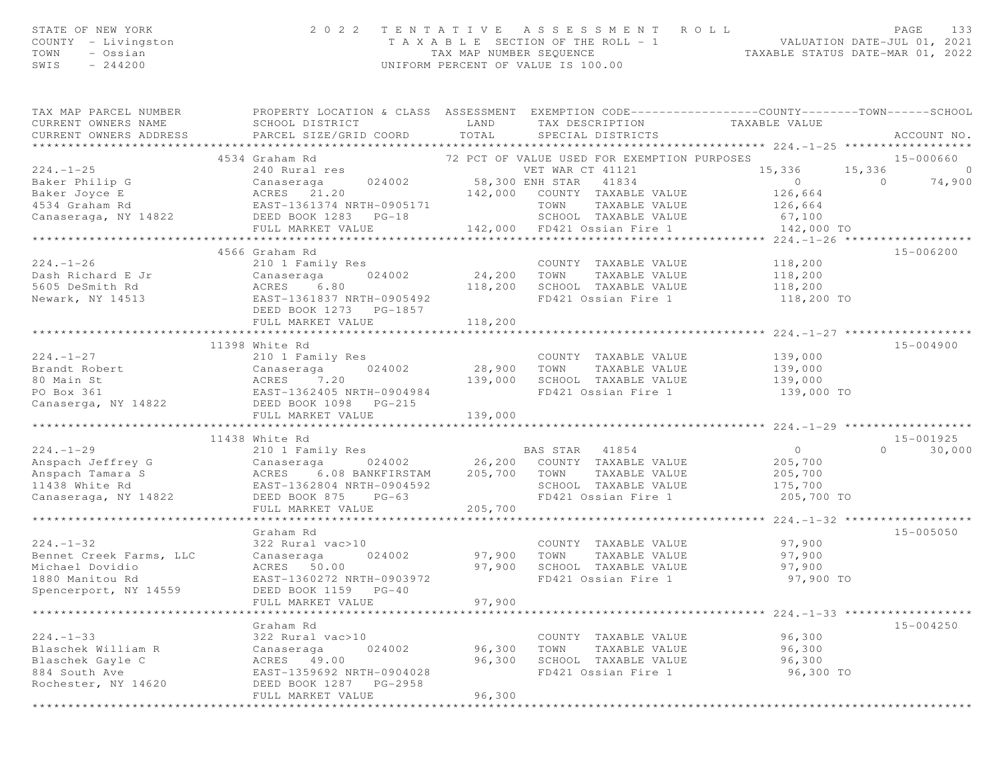| STATE OF NEW YORK<br>COUNTY - Livingston<br>TOWN - Ossian<br>SWIS<br>$-244200$ |                                                                                                                                                                                                                                                                                                                                                                             |         | $\begin{array}{cccccccccccc} 2&0&2&2&\text{T} &\text{E} &\text{N} &\text{T} &\text{A} &\text{T} &\text{A} &\text{E} &\text{B} &\text{A} &\text{E} &\text{B} &\text{E} &\text{E} &\text{A} &\text{E} &\text{A} &\text{E} &\text{B} &\text{E} &\text{E} &\text{E} &\text{E} &\text{E} &\text{E} &\text{E} &\text{E} &\text{E} &\text{E} &\text{E} &\text{E} &\text{E} &\text{E} &\text{E} &\$ |           |               |
|--------------------------------------------------------------------------------|-----------------------------------------------------------------------------------------------------------------------------------------------------------------------------------------------------------------------------------------------------------------------------------------------------------------------------------------------------------------------------|---------|---------------------------------------------------------------------------------------------------------------------------------------------------------------------------------------------------------------------------------------------------------------------------------------------------------------------------------------------------------------------------------------------|-----------|---------------|
| TAX MAP PARCEL NUMBER<br>CURRENT OWNERS NAME<br>CURRENT OWNERS ADDRESS         | PROPERTY LOCATION & CLASS ASSESSMENT EXEMPTION CODE----------------COUNTY-------TOWN------SCHOOL                                                                                                                                                                                                                                                                            |         | LAND TAX DESCRIPTION TAXABLE VALUE COORD TOTAL SPECIAL DISTRICTS                                                                                                                                                                                                                                                                                                                            |           | ACCOUNT NO.   |
|                                                                                | 4534 Graham Rd                                                                                                                                                                                                                                                                                                                                                              |         | 72 PCT OF VALUE USED FOR EXEMPTION PURPOSES 6 15-000660                                                                                                                                                                                                                                                                                                                                     |           |               |
|                                                                                | $\begin{array}{cccccccc} \texttt{224.1-1-25} & \texttt{4534 Graham Rd} & \texttt{12 PCT OF VALUE UNE USEDF WALUE} & \texttt{15,336} & \texttt{15,336} & \texttt{15,336} & \texttt{15,336} & \texttt{15,336} & \texttt{15,336} & \texttt{15,336} & \texttt{15,336} & \texttt{15,336} & \texttt{15,336} & \texttt{15,336} & \texttt{15,336} & \texttt{15,336} & \texttt{15,3$ |         |                                                                                                                                                                                                                                                                                                                                                                                             |           |               |
|                                                                                |                                                                                                                                                                                                                                                                                                                                                                             |         |                                                                                                                                                                                                                                                                                                                                                                                             |           |               |
|                                                                                |                                                                                                                                                                                                                                                                                                                                                                             |         |                                                                                                                                                                                                                                                                                                                                                                                             |           |               |
|                                                                                |                                                                                                                                                                                                                                                                                                                                                                             |         |                                                                                                                                                                                                                                                                                                                                                                                             |           |               |
|                                                                                |                                                                                                                                                                                                                                                                                                                                                                             |         |                                                                                                                                                                                                                                                                                                                                                                                             |           |               |
|                                                                                |                                                                                                                                                                                                                                                                                                                                                                             |         |                                                                                                                                                                                                                                                                                                                                                                                             |           |               |
|                                                                                |                                                                                                                                                                                                                                                                                                                                                                             |         |                                                                                                                                                                                                                                                                                                                                                                                             |           |               |
| $224. - 1 - 26$                                                                | 4566 Graham Rd                                                                                                                                                                                                                                                                                                                                                              |         | COUNTY TAXABLE VALUE 118,200                                                                                                                                                                                                                                                                                                                                                                |           | 15-006200     |
|                                                                                |                                                                                                                                                                                                                                                                                                                                                                             |         |                                                                                                                                                                                                                                                                                                                                                                                             |           |               |
|                                                                                |                                                                                                                                                                                                                                                                                                                                                                             |         | TAXABLE VALUE 118,200<br>L TAXABLE VALUE 118,200<br>118,200 SCHOOL TAXABLE VALUE                                                                                                                                                                                                                                                                                                            |           |               |
|                                                                                | 224.-1-26 210 1 Family Res COUNT<br>Dash Richard E Jr Canaseraga 024002 24,200 TOWN<br>5605 DeSmith Rd ACRES 6.80 118,200 SCHOO<br>Newark, NY 14513 EAST-1361837 NRTH-0905492 FD421<br>FRED BOX 1373 PC 1857                                                                                                                                                                |         | FD421 Ossian Fire 1 118,200 TO                                                                                                                                                                                                                                                                                                                                                              |           |               |
|                                                                                | DEED BOOK 1273 PG-1857                                                                                                                                                                                                                                                                                                                                                      |         |                                                                                                                                                                                                                                                                                                                                                                                             |           |               |
|                                                                                | FULL MARKET VALUE                                                                                                                                                                                                                                                                                                                                                           |         |                                                                                                                                                                                                                                                                                                                                                                                             |           |               |
|                                                                                |                                                                                                                                                                                                                                                                                                                                                                             |         |                                                                                                                                                                                                                                                                                                                                                                                             |           |               |
|                                                                                | 224.-1-27<br>210 1 Family Res<br>28,900 TOWN TAXABLE VALUE<br>28,900 TOWN TAXABLE VALUE<br>28,900 TOWN TAXABLE VALUE<br>28,900 TOWN TAXABLE VALUE<br>28,900 TOWN TAXABLE VALUE<br>28,900 TOWN TAXABLE VALUE<br>28,900 TOWN TAXABLE VALUE<br>28,9                                                                                                                            |         |                                                                                                                                                                                                                                                                                                                                                                                             |           | 15-004900     |
|                                                                                |                                                                                                                                                                                                                                                                                                                                                                             |         |                                                                                                                                                                                                                                                                                                                                                                                             |           |               |
|                                                                                |                                                                                                                                                                                                                                                                                                                                                                             |         |                                                                                                                                                                                                                                                                                                                                                                                             |           |               |
|                                                                                |                                                                                                                                                                                                                                                                                                                                                                             |         | 139,000 SCHOOL TAXABLE VALUE 139,000<br>RTH-0904984 FD421 Ossian Fire 1 139,000 TO                                                                                                                                                                                                                                                                                                          |           |               |
|                                                                                |                                                                                                                                                                                                                                                                                                                                                                             |         |                                                                                                                                                                                                                                                                                                                                                                                             |           |               |
|                                                                                |                                                                                                                                                                                                                                                                                                                                                                             |         |                                                                                                                                                                                                                                                                                                                                                                                             |           |               |
|                                                                                | FULL MARKET VALUE                                                                                                                                                                                                                                                                                                                                                           | 139,000 |                                                                                                                                                                                                                                                                                                                                                                                             |           |               |
|                                                                                | 11438 White Rd                                                                                                                                                                                                                                                                                                                                                              |         |                                                                                                                                                                                                                                                                                                                                                                                             |           | 15-001925     |
|                                                                                | 224.-1-29<br>Anspach Jeffrey G Canaseraga 204002 26,200 COUNTY TAXABLE VALUE<br>Anspach Tamara S ACRES 6.08 BANKFIRSTAM 205,700 TOWN TAXABLE VALUE 205,700<br>205,700 EAST-1362804 NRTH-0904592 SCHOOL TAXABLE VALUE 205,700<br>Canase                                                                                                                                      |         |                                                                                                                                                                                                                                                                                                                                                                                             |           | $0 \t 30,000$ |
|                                                                                |                                                                                                                                                                                                                                                                                                                                                                             |         |                                                                                                                                                                                                                                                                                                                                                                                             |           |               |
|                                                                                |                                                                                                                                                                                                                                                                                                                                                                             |         |                                                                                                                                                                                                                                                                                                                                                                                             |           |               |
|                                                                                |                                                                                                                                                                                                                                                                                                                                                                             |         |                                                                                                                                                                                                                                                                                                                                                                                             |           |               |
|                                                                                |                                                                                                                                                                                                                                                                                                                                                                             |         |                                                                                                                                                                                                                                                                                                                                                                                             |           |               |
|                                                                                | FULL MARKET VALUE                                                                                                                                                                                                                                                                                                                                                           | 205,700 |                                                                                                                                                                                                                                                                                                                                                                                             |           |               |
|                                                                                |                                                                                                                                                                                                                                                                                                                                                                             |         |                                                                                                                                                                                                                                                                                                                                                                                             |           |               |
|                                                                                | Graham Rd                                                                                                                                                                                                                                                                                                                                                                   |         |                                                                                                                                                                                                                                                                                                                                                                                             |           | $15 - 005050$ |
| $224. - 1 - 32$                                                                | 322 Rural vac>10                                                                                                                                                                                                                                                                                                                                                            |         | COUNTY TAXABLE VALUE 97,900                                                                                                                                                                                                                                                                                                                                                                 |           |               |
|                                                                                | Bennet Creek Farms, LLC Canaseraga (24002)<br>Michael Dovidio (24002)<br>1880 Manitou Rd (251-1360272 NRTH-0903972)                                                                                                                                                                                                                                                         |         | 024002 97,900 TOWN TAXABLE VALUE 97,900<br>97,900 SCHOOL TAXABLE VALUE 97,900<br>TH-0903972 FD421 Ossian Fire 1 97,900 TO                                                                                                                                                                                                                                                                   |           |               |
|                                                                                |                                                                                                                                                                                                                                                                                                                                                                             |         |                                                                                                                                                                                                                                                                                                                                                                                             |           |               |
|                                                                                |                                                                                                                                                                                                                                                                                                                                                                             |         |                                                                                                                                                                                                                                                                                                                                                                                             |           |               |
| Spencerport, NY 14559                                                          | DEED BOOK 1159 PG-40                                                                                                                                                                                                                                                                                                                                                        | 97,900  |                                                                                                                                                                                                                                                                                                                                                                                             |           |               |
|                                                                                | FULL MARKET VALUE                                                                                                                                                                                                                                                                                                                                                           |         |                                                                                                                                                                                                                                                                                                                                                                                             |           |               |
|                                                                                | Graham Rd                                                                                                                                                                                                                                                                                                                                                                   |         |                                                                                                                                                                                                                                                                                                                                                                                             |           | 15-004250     |
| $224. - 1 - 33$                                                                | 322 Rural vac>10                                                                                                                                                                                                                                                                                                                                                            |         | COUNTY TAXABLE VALUE                                                                                                                                                                                                                                                                                                                                                                        | 96,300    |               |
| Blaschek William R                                                             | 024002<br>Canaseraga                                                                                                                                                                                                                                                                                                                                                        | 96,300  | TOWN<br>TAXABLE VALUE                                                                                                                                                                                                                                                                                                                                                                       | 96,300    |               |
| Blaschek Gayle C                                                               | ACRES<br>49.00                                                                                                                                                                                                                                                                                                                                                              | 96,300  | SCHOOL<br>TAXABLE VALUE                                                                                                                                                                                                                                                                                                                                                                     | 96,300    |               |
| 884 South Ave                                                                  | EAST-1359692 NRTH-0904028                                                                                                                                                                                                                                                                                                                                                   |         | FD421 Ossian Fire 1                                                                                                                                                                                                                                                                                                                                                                         | 96,300 TO |               |
| Rochester, NY 14620                                                            | DEED BOOK 1287 PG-2958                                                                                                                                                                                                                                                                                                                                                      |         |                                                                                                                                                                                                                                                                                                                                                                                             |           |               |

\*\*\*\*\*\*\*\*\*\*\*\*\*\*\*\*\*\*\*\*\*\*\*\*\*\*\*\*\*\*\*\*\*\*\*\*\*\*\*\*\*\*\*\*\*\*\*\*\*\*\*\*\*\*\*\*\*\*\*\*\*\*\*\*\*\*\*\*\*\*\*\*\*\*\*\*\*\*\*\*\*\*\*\*\*\*\*\*\*\*\*\*\*\*\*\*\*\*\*\*\*\*\*\*\*\*\*\*\*\*\*\*\*\*\*\*\*\*\*\*\*\*\*\*\*\*\*\*\*\*\*\*

FULL MARKET VALUE 96,300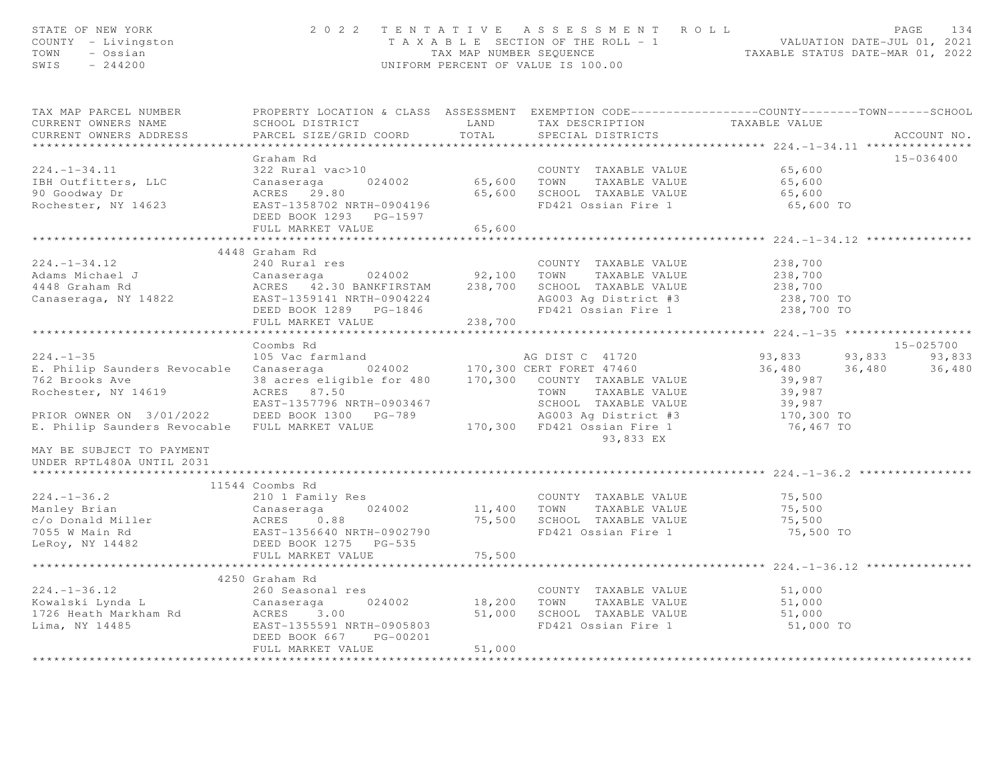| STATE OF NEW YORK<br>COUNTY - Livingston<br>TOWN - Ossian<br>SWIS - 244200 |                                                                                                                    |             | 2022 TENTATIVE ASSESSMENT ROLL PAGE 134<br>TAXABLE SECTION OF THE ROLL - 1 VALUATION DATE-JUL 01, 2021<br>TAX MAP NUMBER SEQUENCE TAXABLE STATUS DATE-MAR 01, 2022<br>UNIFORM PERCENT OF VALUE IS 100.00 |                                                         |                  |
|----------------------------------------------------------------------------|--------------------------------------------------------------------------------------------------------------------|-------------|----------------------------------------------------------------------------------------------------------------------------------------------------------------------------------------------------------|---------------------------------------------------------|------------------|
| TAX MAP PARCEL NUMBER<br>CURRENT OWNERS NAME                               | PROPERTY LOCATION & CLASS ASSESSMENT EXEMPTION CODE---------------COUNTY-------TOWN------SCHOOL<br>SCHOOL DISTRICT | LAND        | TAX DESCRIPTION                                                                                                                                                                                          | TAXABLE VALUE                                           |                  |
| CURRENT OWNERS ADDRESS                                                     | PARCEL SIZE/GRID COORD                                                                                             | TOTAL       | SPECIAL DISTRICTS                                                                                                                                                                                        |                                                         | ACCOUNT NO.      |
| **********************                                                     |                                                                                                                    |             |                                                                                                                                                                                                          |                                                         |                  |
|                                                                            | Graham Rd                                                                                                          |             |                                                                                                                                                                                                          |                                                         | 15-036400        |
| $224. - 1 - 34.11$                                                         | 322 Rural vac>10                                                                                                   |             | COUNTY TAXABLE VALUE                                                                                                                                                                                     | 65,600                                                  |                  |
| IBH Outfitters, LLC                                                        | Canaseraga<br>024002                                                                                               |             | 65,600 TOWN TAXABLE VALUE                                                                                                                                                                                | 65,600                                                  |                  |
| 90 Goodway Dr<br>Rochester, NY 14623                                       | ACRES 29.80<br>EAST-1358702 NRTH-0904196                                                                           |             | 65,600 SCHOOL TAXABLE VALUE<br>FD421 Ossian Fire 1                                                                                                                                                       | 65,600<br>65,600 TO                                     |                  |
|                                                                            | DEED BOOK 1293 PG-1597                                                                                             |             |                                                                                                                                                                                                          |                                                         |                  |
|                                                                            | FULL MARKET VALUE                                                                                                  | 65,600      |                                                                                                                                                                                                          |                                                         |                  |
|                                                                            |                                                                                                                    |             |                                                                                                                                                                                                          |                                                         |                  |
|                                                                            | 4448 Graham Rd                                                                                                     |             |                                                                                                                                                                                                          |                                                         |                  |
| $224. - 1 - 34.12$                                                         | 240 Rural res                                                                                                      |             | COUNTY TAXABLE VALUE                                                                                                                                                                                     | 238,700                                                 |                  |
| Adams Michael J                                                            |                                                                                                                    |             |                                                                                                                                                                                                          | 238,700                                                 |                  |
| 4448 Graham Rd                                                             |                                                                                                                    |             |                                                                                                                                                                                                          | 238,700                                                 |                  |
| Canaseraga, NY 14822                                                       | ACRES 42.00 DENVISIONS<br>EAST-1359141 NRTH-0904224<br>---- poor 1289 PG-1846                                      |             | AG003 Ag District #3                                                                                                                                                                                     | 238,700 TO                                              |                  |
|                                                                            | FULL MARKET VALUE                                                                                                  | 238,700     | FD421 Ossian Fire 1                                                                                                                                                                                      | 238,700 TO                                              |                  |
|                                                                            |                                                                                                                    |             |                                                                                                                                                                                                          | ************************* 224.-1-35 ******************* |                  |
|                                                                            | Coombs Rd                                                                                                          |             |                                                                                                                                                                                                          |                                                         | 15-025700        |
| $224. - 1 - 35$                                                            | 105 Vac farmland                                                                                                   |             | AG DIST C 41720                                                                                                                                                                                          | 93,833                                                  | 93,833<br>93,833 |
| E. Philip Saunders Revocable Canaseraga 024002 170,300 CERT FORET 47460    |                                                                                                                    |             |                                                                                                                                                                                                          | 36,480<br>36,480                                        | 36,480           |
| 762 Brooks Ave                                                             | 38 acres eligible for 480   170,300   COUNTY TAXABLE VALUE                                                         |             |                                                                                                                                                                                                          | 39,987                                                  |                  |
| Rochester, NY 14619                                                        | ACRES 87.50                                                                                                        |             | TOWN TAXABLE VALUE                                                                                                                                                                                       | 39,987                                                  |                  |
|                                                                            | EAST-1357796 NRTH-0903467                                                                                          |             | SCHOOL TAXABLE VALUE                                                                                                                                                                                     | 39,987                                                  |                  |
| PRIOR OWNER ON 3/01/2022                                                   | DEED BOOK 1300 PG-789                                                                                              |             | AG003 Ag District #3                                                                                                                                                                                     | 170,300 TO                                              |                  |
| E. Philip Saunders Revocable FULL MARKET VALUE                             |                                                                                                                    |             | 170,300 FD421 Ossian Fire 1                                                                                                                                                                              | 76,467 TO                                               |                  |
| MAY BE SUBJECT TO PAYMENT                                                  |                                                                                                                    |             | 93,833 EX                                                                                                                                                                                                |                                                         |                  |
| UNDER RPTL480A UNTIL 2031                                                  |                                                                                                                    |             |                                                                                                                                                                                                          |                                                         |                  |
|                                                                            | 11544 Coombs Rd                                                                                                    |             |                                                                                                                                                                                                          |                                                         |                  |
| $224. - 1 - 36.2$                                                          | 210 1 Family Res                                                                                                   |             | COUNTY TAXABLE VALUE                                                                                                                                                                                     | 75,500                                                  |                  |
| Manley Brian                                                               | 024002                                                                                                             |             | 11,400 TOWN TAXABLE VALUE                                                                                                                                                                                | 75,500                                                  |                  |
| c/o Donald Miller                                                          | Canaseraga<br>ACRES 0.8<br>0.88                                                                                    |             | 75,500 SCHOOL TAXABLE VALUE                                                                                                                                                                              | 75,500                                                  |                  |
| 7055 W Main Rd                                                             | EAST-1356640 NRTH-0902790                                                                                          |             | FD421 Ossian Fire 1                                                                                                                                                                                      | 75,500 TO                                               |                  |
| LeRoy, NY 14482                                                            | DEED BOOK 1275 PG-535                                                                                              |             |                                                                                                                                                                                                          |                                                         |                  |
|                                                                            | FULL MARKET VALUE                                                                                                  | 75,500      |                                                                                                                                                                                                          |                                                         |                  |
|                                                                            |                                                                                                                    |             |                                                                                                                                                                                                          |                                                         |                  |
| $224. - 1 - 36.12$                                                         | 4250 Graham Rd                                                                                                     |             |                                                                                                                                                                                                          |                                                         |                  |
| Kowalski Lynda L                                                           | 260 Seasonal res<br>024002<br>Canaseraga                                                                           | 18,200 TOWN | COUNTY TAXABLE VALUE<br>TAXABLE VALUE                                                                                                                                                                    | 51,000<br>51,000                                        |                  |
| 1726 Heath Markham Rd                                                      | ACRES 3.00                                                                                                         |             | 51,000 SCHOOL TAXABLE VALUE                                                                                                                                                                              | 51,000                                                  |                  |
| Lima, NY 14485                                                             | EAST-1355591 NRTH-0905803                                                                                          |             | FD421 Ossian Fire 1                                                                                                                                                                                      | 51,000 TO                                               |                  |
|                                                                            | DEED BOOK 667 PG-00201                                                                                             |             |                                                                                                                                                                                                          |                                                         |                  |
|                                                                            | FULL MARKET VALUE                                                                                                  | 51,000      |                                                                                                                                                                                                          |                                                         |                  |
|                                                                            |                                                                                                                    |             |                                                                                                                                                                                                          |                                                         |                  |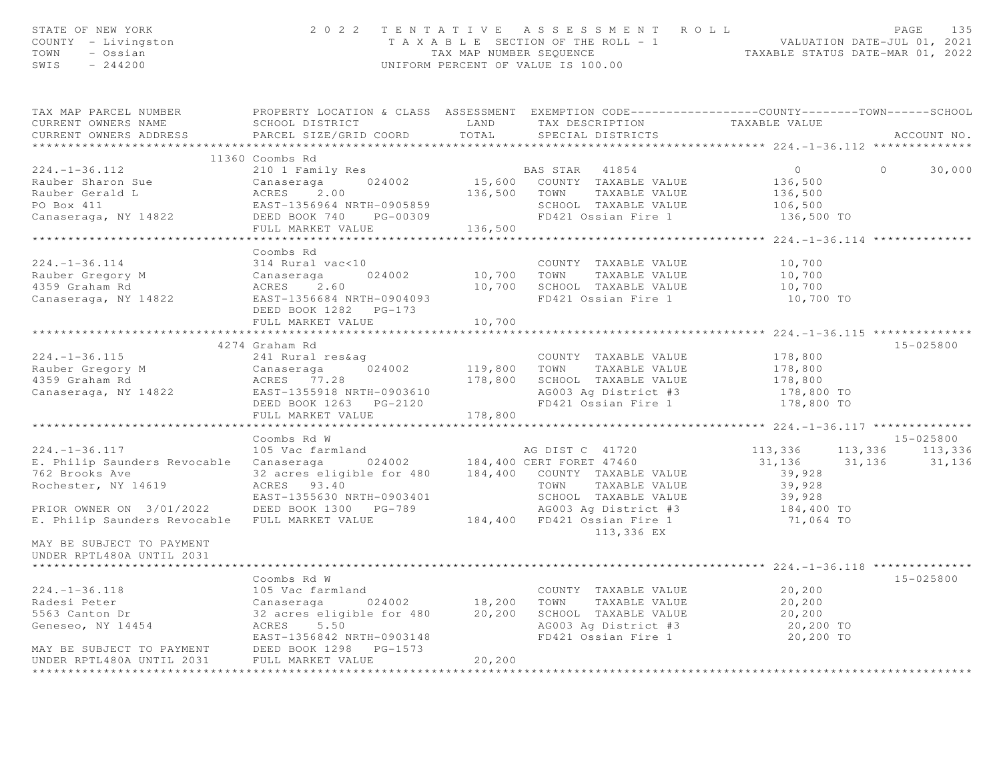| STATE OF NEW YORK<br>COUNTY - Livingston<br>TOWN - Ossian<br>SWIS $-244200$                                                                                                                                                                                                                                                                                                                                              |                                                                                                 |        | 2022 TENTATIVE ASSESSMENT ROLL<br>UNIFORM PERCENT OF VALUE IS 100.00                          | TAXABLE SECTION OF THE ROLL - 1<br>TAXABLE STATUS DATE-JUL 01, 2021<br>TAXABLE STATUS DATE-MAR 01, 2022 | PAGE<br>135   |
|--------------------------------------------------------------------------------------------------------------------------------------------------------------------------------------------------------------------------------------------------------------------------------------------------------------------------------------------------------------------------------------------------------------------------|-------------------------------------------------------------------------------------------------|--------|-----------------------------------------------------------------------------------------------|---------------------------------------------------------------------------------------------------------|---------------|
| TAX MAP PARCEL NUMBER FROPERTY LOCATION & CLASS ASSESSMENT EXEMPTION CODE---------------COUNTY-------TOWN-----SCHOOL                                                                                                                                                                                                                                                                                                     |                                                                                                 |        |                                                                                               |                                                                                                         |               |
| CURRENT OWNERS NAME<br>CURRENT OWNERS ADDRESS FARCEL SIZE/GRID COORD TOTAL                                                                                                                                                                                                                                                                                                                                               | SCHOOL DISTRICT                       LAND        TAX DESCRIPTION                 TAXABLE VALUE |        | SPECIAL DISTRICTS                                                                             |                                                                                                         | ACCOUNT NO.   |
|                                                                                                                                                                                                                                                                                                                                                                                                                          |                                                                                                 |        |                                                                                               |                                                                                                         |               |
|                                                                                                                                                                                                                                                                                                                                                                                                                          | 11360 Coombs Rd                                                                                 |        |                                                                                               |                                                                                                         |               |
|                                                                                                                                                                                                                                                                                                                                                                                                                          |                                                                                                 |        |                                                                                               | $\overline{0}$                                                                                          | $0 \t 30,000$ |
|                                                                                                                                                                                                                                                                                                                                                                                                                          |                                                                                                 |        |                                                                                               |                                                                                                         |               |
|                                                                                                                                                                                                                                                                                                                                                                                                                          |                                                                                                 |        |                                                                                               |                                                                                                         |               |
|                                                                                                                                                                                                                                                                                                                                                                                                                          |                                                                                                 |        |                                                                                               |                                                                                                         |               |
| 11300 COUNTS NO COUNTY TAXABLE VALUE<br>210 1 Family Res<br>210 1 Family Res<br>210 2 24002<br>2105,500 COUNTY TAXABLE VALUE<br>210 24002<br>2105,500 COUNTY TAXABLE VALUE<br>2136,500 TOWN TAXABLE VALUE<br>2136,500 ENST-1356964 NRTH-090585                                                                                                                                                                           |                                                                                                 |        |                                                                                               | 136,500 TO                                                                                              |               |
|                                                                                                                                                                                                                                                                                                                                                                                                                          |                                                                                                 |        |                                                                                               | ***************** 224.-1-36.114 ***************                                                         |               |
|                                                                                                                                                                                                                                                                                                                                                                                                                          | Coombs Rd                                                                                       |        |                                                                                               |                                                                                                         |               |
|                                                                                                                                                                                                                                                                                                                                                                                                                          |                                                                                                 |        | COUNTY TAXABLE VALUE                                                                          | 10,700                                                                                                  |               |
|                                                                                                                                                                                                                                                                                                                                                                                                                          |                                                                                                 |        |                                                                                               |                                                                                                         |               |
|                                                                                                                                                                                                                                                                                                                                                                                                                          |                                                                                                 |        | COUNTY TAXABLE VALUE<br>10,700    TOWN      TAXABLE VALUE<br>10,700    SCHOOL   TAXABLE VALUE | 10,700<br>10,700                                                                                        |               |
|                                                                                                                                                                                                                                                                                                                                                                                                                          |                                                                                                 |        | FD421 Ossian Fire 1                                                                           | 10,700 TO                                                                                               |               |
|                                                                                                                                                                                                                                                                                                                                                                                                                          |                                                                                                 |        |                                                                                               |                                                                                                         |               |
|                                                                                                                                                                                                                                                                                                                                                                                                                          | FULL MARKET VALUE                                                                               | 10,700 |                                                                                               |                                                                                                         |               |
|                                                                                                                                                                                                                                                                                                                                                                                                                          |                                                                                                 |        |                                                                                               |                                                                                                         |               |
| $\begin{array}{ccccccccc} 224.-1-36.115 & & & 42/4\text{ 241\text{ Rural res\& 241\text{ Rural res\& 241\text{ Rural res\& 241\& 241\text{ Rural res\& 241\& 241\& 241\& 241\& 241\& 241\& 241\& 241\& 241\& 241\& 241\& 241\& 241\& 241\& 241\& 241$                                                                                                                                                                    | 4274 Graham Rd                                                                                  |        |                                                                                               |                                                                                                         | 15-025800     |
|                                                                                                                                                                                                                                                                                                                                                                                                                          |                                                                                                 |        |                                                                                               |                                                                                                         |               |
|                                                                                                                                                                                                                                                                                                                                                                                                                          |                                                                                                 |        |                                                                                               |                                                                                                         |               |
|                                                                                                                                                                                                                                                                                                                                                                                                                          |                                                                                                 |        |                                                                                               |                                                                                                         |               |
|                                                                                                                                                                                                                                                                                                                                                                                                                          |                                                                                                 |        |                                                                                               |                                                                                                         |               |
|                                                                                                                                                                                                                                                                                                                                                                                                                          | FULL MARKET VALUE 178,800                                                                       |        |                                                                                               |                                                                                                         |               |
|                                                                                                                                                                                                                                                                                                                                                                                                                          |                                                                                                 |        |                                                                                               |                                                                                                         |               |
|                                                                                                                                                                                                                                                                                                                                                                                                                          | Coombs Rd W                                                                                     |        |                                                                                               |                                                                                                         | $15 - 025800$ |
| 15-025800<br>224.-1-36.117 105 Vac farmland<br>224.-1-36.117 113,336 113,336 113,336 113,336<br>23.acres eligible for 480 184,400 COUNTY TAXABLE VALUE 31,136 31,136 31,136<br>23.acres eligible for 480 184,400 COUNTY TAXABLE VALUE                                                                                                                                                                                    |                                                                                                 |        |                                                                                               |                                                                                                         |               |
|                                                                                                                                                                                                                                                                                                                                                                                                                          |                                                                                                 |        |                                                                                               |                                                                                                         |               |
|                                                                                                                                                                                                                                                                                                                                                                                                                          |                                                                                                 |        |                                                                                               |                                                                                                         |               |
| Rochester, NY 14619 ACRES 93.40                                                                                                                                                                                                                                                                                                                                                                                          |                                                                                                 |        | TOWN TAXABLE VALUE                                                                            |                                                                                                         |               |
|                                                                                                                                                                                                                                                                                                                                                                                                                          |                                                                                                 |        |                                                                                               | 39,928<br>39,928<br>39,928<br>184,400 TO<br>71,064 TO                                                   |               |
|                                                                                                                                                                                                                                                                                                                                                                                                                          |                                                                                                 |        |                                                                                               |                                                                                                         |               |
|                                                                                                                                                                                                                                                                                                                                                                                                                          |                                                                                                 |        | 113,336 EX                                                                                    |                                                                                                         |               |
| MAY BE SUBJECT TO PAYMENT<br>UNDER RPTL480A UNTIL 2031                                                                                                                                                                                                                                                                                                                                                                   |                                                                                                 |        |                                                                                               |                                                                                                         |               |
|                                                                                                                                                                                                                                                                                                                                                                                                                          |                                                                                                 |        |                                                                                               |                                                                                                         |               |
|                                                                                                                                                                                                                                                                                                                                                                                                                          | Coombs Rd W                                                                                     |        |                                                                                               |                                                                                                         | 15-025800     |
| 224.-1-36.118 $\begin{array}{l} 105 \text{ Vac} \text{ farmland} \\ \text{Radesi Peter} \\ 5563 \text{ Canton Dr} \\ \text{Geneseo, NY} \text{ 14454} \end{array}$ $\begin{array}{l} 105 \text{ Vac} \text{ farmland} \\ 204002 \\ 32 \text{ acres eligible for} 480 \\ \text{ACRES} \text{ 5.50} \\ \text{EAST-1356842 NRH-0903148} \end{array}$ $\begin{array}{l} 18,200 \text{ TOWN} \text{ TAXABLE VALUE} \\ 20,200$ |                                                                                                 |        |                                                                                               |                                                                                                         |               |
|                                                                                                                                                                                                                                                                                                                                                                                                                          |                                                                                                 |        |                                                                                               |                                                                                                         |               |
|                                                                                                                                                                                                                                                                                                                                                                                                                          |                                                                                                 |        |                                                                                               | 20,200                                                                                                  |               |
|                                                                                                                                                                                                                                                                                                                                                                                                                          |                                                                                                 |        |                                                                                               | 20,200 TO                                                                                               |               |
|                                                                                                                                                                                                                                                                                                                                                                                                                          | EAST-1356842 NRTH-0903148                                                                       |        | FD421 Ossian Fire 1                                                                           | 20,200 TO                                                                                               |               |
| MAY BE SUBJECT TO PAYMENT DEED BOOK 1298 PG-1573<br>UNDER RPTL480A UNTIL 2031 FULL MARKET VALUE                                                                                                                                                                                                                                                                                                                          |                                                                                                 |        |                                                                                               |                                                                                                         |               |
| UNDER RPTL480A UNTIL 2031                                                                                                                                                                                                                                                                                                                                                                                                |                                                                                                 | 20,200 |                                                                                               |                                                                                                         |               |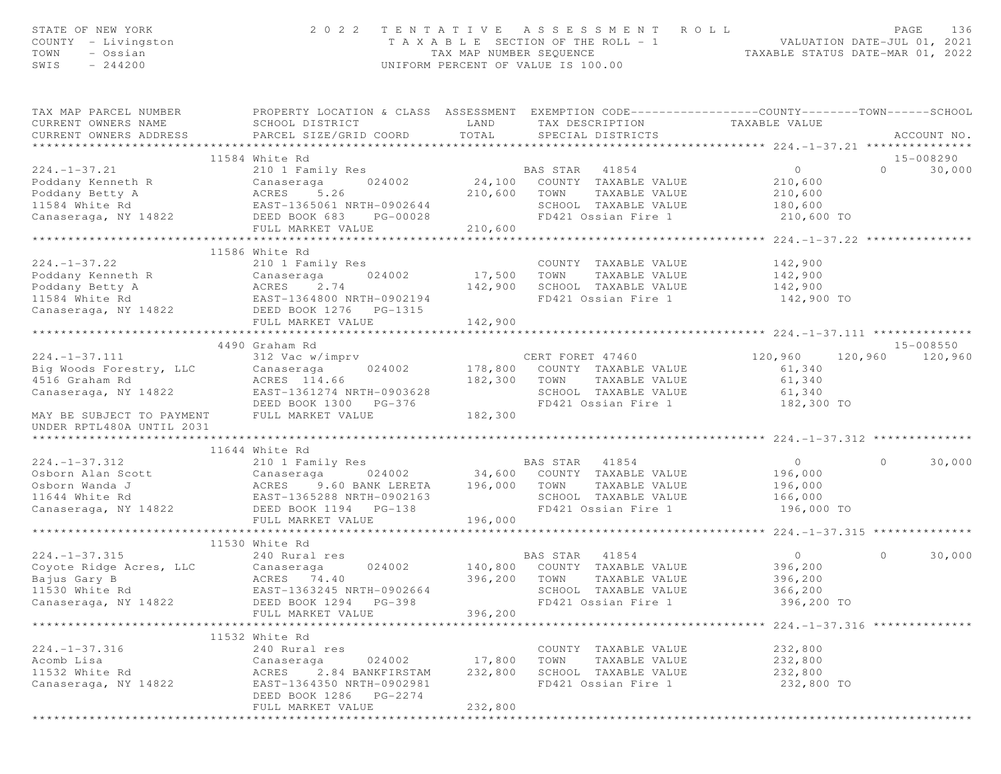| STATE OF NEW YORK<br>COUNTY - Livingston<br>TOWN<br>- Ossian<br>SWIS<br>$-244200$                             | 2 0 2 2                                                                                                                                       | TAX MAP NUMBER SEQUENCE | TENTATIVE ASSESSMENT ROLL<br>T A X A B L E SECTION OF THE ROLL - 1<br>UNIFORM PERCENT OF VALUE IS 100.00 |                   | PAGE<br>136<br>ROLL - 1 VALUATION DATE-JUL 01, 2021<br>TAXABLE STATUS DATE-MAR 01, 2022 |
|---------------------------------------------------------------------------------------------------------------|-----------------------------------------------------------------------------------------------------------------------------------------------|-------------------------|----------------------------------------------------------------------------------------------------------|-------------------|-----------------------------------------------------------------------------------------|
| TAX MAP PARCEL NUMBER<br>CURRENT OWNERS NAME<br>CURRENT OWNERS ADDRESS                                        | PROPERTY LOCATION & CLASS ASSESSMENT EXEMPTION CODE----------------COUNTY-------TOWN------SCHOOL<br>SCHOOL DISTRICT<br>PARCEL SIZE/GRID COORD | <b>LAND</b><br>TOTAL    | TAX DESCRIPTION<br>SPECIAL DISTRICTS                                                                     | TAXABLE VALUE     | ACCOUNT NO.                                                                             |
|                                                                                                               | 11584 White Rd                                                                                                                                |                         |                                                                                                          |                   | 15-008290                                                                               |
| $224. -1 - 37.21$                                                                                             | 210 1 Family Res                                                                                                                              |                         | BAS STAR 41854                                                                                           | $0 \qquad \qquad$ | $\Omega$<br>30,000                                                                      |
|                                                                                                               |                                                                                                                                               |                         | 24,100 COUNTY TAXABLE VALUE                                                                              | 210,600           |                                                                                         |
| Poddany Kenneth R Canaseraga 024002<br>Poddany Betty A ACRES 5.26<br>11584 White Rd EAST-1365061 NRTH-0902644 |                                                                                                                                               | 210,600                 | TOWN<br>TAXABLE VALUE                                                                                    | 210,600           |                                                                                         |
|                                                                                                               |                                                                                                                                               |                         | SCHOOL TAXABLE VALUE                                                                                     | 180,600           |                                                                                         |
| Canaseraga, NY 14822 DEED BOOK 683                                                                            | PG-00028                                                                                                                                      |                         | FD421 Ossian Fire 1                                                                                      | 210,600 TO        |                                                                                         |
|                                                                                                               | FULL MARKET VALUE                                                                                                                             | 210,600                 |                                                                                                          |                   |                                                                                         |
|                                                                                                               |                                                                                                                                               |                         |                                                                                                          |                   |                                                                                         |
| $224. - 1 - 37.22$                                                                                            | 11586 White Rd<br>210 1 Family Res                                                                                                            |                         | COUNTY TAXABLE VALUE                                                                                     | 142,900           |                                                                                         |
| Poddany Kenneth R                                                                                             | Canaseraga<br>024002                                                                                                                          | 17,500 TOWN             | TAXABLE VALUE                                                                                            | 142,900           |                                                                                         |
| Poddany Betty A                                                                                               |                                                                                                                                               | 142,900                 | SCHOOL TAXABLE VALUE                                                                                     | 142,900           |                                                                                         |
| 11584 White Rd                                                                                                | ACRES 2.74<br>EAST-1364800 NRTH-0902194                                                                                                       |                         | FD421 Ossian Fire 1                                                                                      | 142,900 TO        |                                                                                         |
| Canaseraga, NY 14822 DEED BOOK 1276 PG-1315                                                                   |                                                                                                                                               |                         |                                                                                                          |                   |                                                                                         |
|                                                                                                               | FULL MARKET VALUE                                                                                                                             | 142,900                 |                                                                                                          |                   |                                                                                         |
|                                                                                                               |                                                                                                                                               |                         |                                                                                                          |                   |                                                                                         |
|                                                                                                               | 4490 Graham Rd                                                                                                                                |                         |                                                                                                          |                   | $15 - 008550$                                                                           |
| $224. - 1 - 37.111$                                                                                           | 312 Vac w/imprv                                                                                                                               |                         | CERT FORET 47460                                                                                         | 120,960           | 120,960<br>120,960                                                                      |
| Big Woods Forestry, LLC                                                                                       | 024002<br>Canaseraga                                                                                                                          |                         | 178,800 COUNTY TAXABLE VALUE                                                                             | 61,340            |                                                                                         |
| 4516 Graham Rd                                                                                                | ACRES 114.66                                                                                                                                  | 182,300                 | TOWN<br>TAXABLE VALUE                                                                                    | 61,340            |                                                                                         |
| Canaseraga, NY 14822                                                                                          | EAST-1361274 NRTH-0903628<br>DEED BOOK 1300 PG-376                                                                                            |                         | SCHOOL TAXABLE VALUE<br>FD421 Ossian Fire 1                                                              | 61,340            |                                                                                         |
| MAY BE SUBJECT TO PAYMENT<br>UNDER RPTL480A UNTIL 2031                                                        | FULL MARKET VALUE                                                                                                                             | 182,300                 |                                                                                                          | 182,300 TO        |                                                                                         |
|                                                                                                               |                                                                                                                                               |                         |                                                                                                          |                   |                                                                                         |
|                                                                                                               | 11644 White Rd                                                                                                                                |                         |                                                                                                          |                   |                                                                                         |
| $224. - 1 - 37.312$                                                                                           | 210 1 Family Res                                                                                                                              |                         | BAS STAR 41854                                                                                           | $\overline{0}$    | $\Omega$<br>30,000                                                                      |
| Osborn Alan Scott                                                                                             | Canaseraga                                                                                                                                    |                         | 024002 34,600 COUNTY TAXABLE VALUE                                                                       | 196,000           |                                                                                         |
| Osborn Wanda J                                                                                                | 9.60 BANK LERETA<br>ACRES                                                                                                                     | 196,000 TOWN            | TAXABLE VALUE                                                                                            | 196,000           |                                                                                         |
| 11644 White Rd<br>Canaseraga, NY 14822                                                                        | EAST-1365288 NRTH-0902163                                                                                                                     |                         | SCHOOL TAXABLE VALUE                                                                                     | 166,000           |                                                                                         |
|                                                                                                               | DEED BOOK 1194    PG-138                                                                                                                      |                         | FD421 Ossian Fire 1                                                                                      | 196,000 TO        |                                                                                         |
|                                                                                                               | FULL MARKET VALUE                                                                                                                             | 196,000                 |                                                                                                          |                   |                                                                                         |
|                                                                                                               | 11530 White Rd                                                                                                                                |                         |                                                                                                          |                   |                                                                                         |
| $224. - 1 - 37.315$                                                                                           | 240 Rural res                                                                                                                                 |                         | BAS STAR 41854                                                                                           | $\overline{0}$    | $\Omega$<br>30,000                                                                      |
| Coyote Ridge Acres, LLC                                                                                       | 024002<br>Canaseraga                                                                                                                          | 140,800                 | COUNTY TAXABLE VALUE                                                                                     | 396,200           |                                                                                         |
| Bajus Gary B                                                                                                  | ACRES 74.40                                                                                                                                   | 396,200                 | TOWN<br>TAXABLE VALUE                                                                                    | 396, 200          |                                                                                         |
| 11530 White Rd                                                                                                | EAST-1363245 NRTH-0902664                                                                                                                     |                         | SCHOOL TAXABLE VALUE                                                                                     | 366,200           |                                                                                         |
| Canaseraga, NY 14822                                                                                          | DEED BOOK 1294 PG-398                                                                                                                         |                         | FD421 Ossian Fire 1                                                                                      | 396,200 TO        |                                                                                         |
|                                                                                                               | FULL MARKET VALUE                                                                                                                             | 396,200                 |                                                                                                          |                   |                                                                                         |
|                                                                                                               |                                                                                                                                               |                         |                                                                                                          |                   |                                                                                         |
|                                                                                                               | 11532 White Rd                                                                                                                                |                         |                                                                                                          |                   |                                                                                         |
| $224. - 1 - 37.316$                                                                                           | 240 Rural res                                                                                                                                 |                         | COUNTY TAXABLE VALUE                                                                                     | 232,800           |                                                                                         |
| Acomb Lisa                                                                                                    | 024002<br>Canaseraga                                                                                                                          | 17,800                  | TAXABLE VALUE<br>TOWN                                                                                    | 232,800           |                                                                                         |
| 11532 White Rd                                                                                                | 2.84 BANKFIRSTAM<br>ACRES                                                                                                                     | 232,800                 | SCHOOL TAXABLE VALUE                                                                                     | 232,800           |                                                                                         |
| Canaseraga, NY 14822                                                                                          | EAST-1364350 NRTH-0902981                                                                                                                     |                         | FD421 Ossian Fire 1                                                                                      | 232,800 TO        |                                                                                         |
|                                                                                                               | DEED BOOK 1286 PG-2274                                                                                                                        |                         |                                                                                                          |                   |                                                                                         |
|                                                                                                               | FULL MARKET VALUE<br>* * * * * * * * * * * * * * * * * *                                                                                      | 232,800<br>***********  |                                                                                                          |                   |                                                                                         |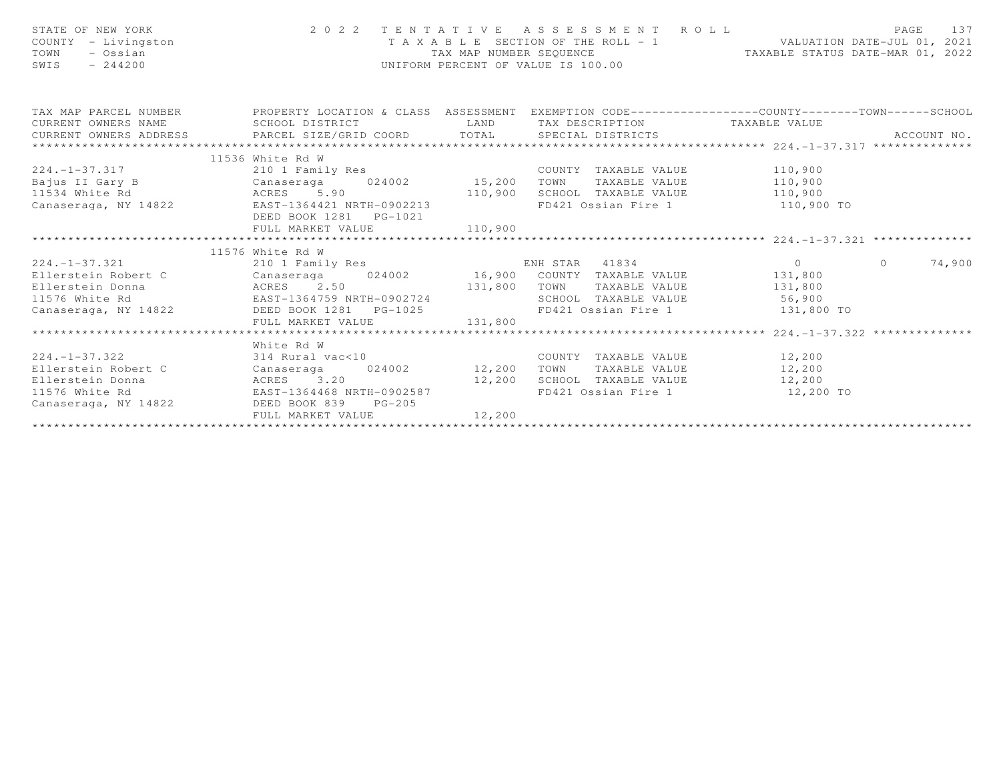| STATE OF NEW YORK<br>STATE OF NEW YORK<br>COUNTY - Livingston<br>TOWN - Ossian<br>TOWN - 244200<br>- 244200<br>TOWN - 244200                                                                                                         |                                |         | 2022 TENTATIVE ASSESSMENT ROLL PAGE 137<br>TAXABLE SECTION OF THE ROLL - 1 VALUATION DATE-JUL 01, 2021<br>TAX MAP NUMBER SEQUENCE TAXABLE STATUS DATE-MAR 01, 2022 |             |
|--------------------------------------------------------------------------------------------------------------------------------------------------------------------------------------------------------------------------------------|--------------------------------|---------|--------------------------------------------------------------------------------------------------------------------------------------------------------------------|-------------|
| TAX MAP PARCEL NUMBER PROPERTY LOCATION & CLASS ASSESSMENT EXEMPTION CODE----------------COUNTY-------TOWN------SCHOOL                                                                                                               |                                |         |                                                                                                                                                                    |             |
| CURRENT OWNERS NAME SCHOOL DISTRICT                                                                                                                                                                                                  |                                |         | LAND TAX DESCRIPTION TAXABLE VALUE                                                                                                                                 | ACCOUNT NO. |
| CURRENT OWNERS ADDRESS PARCEL SIZE/GRID COORD TOTAL SPECIAL DISTRICTS                                                                                                                                                                |                                |         |                                                                                                                                                                    |             |
|                                                                                                                                                                                                                                      | 11536 White Rd W               |         |                                                                                                                                                                    |             |
|                                                                                                                                                                                                                                      | White Rd W<br>210 1 Family Res |         |                                                                                                                                                                    |             |
|                                                                                                                                                                                                                                      |                                |         |                                                                                                                                                                    |             |
|                                                                                                                                                                                                                                      |                                |         |                                                                                                                                                                    |             |
|                                                                                                                                                                                                                                      |                                |         |                                                                                                                                                                    |             |
|                                                                                                                                                                                                                                      |                                |         |                                                                                                                                                                    |             |
|                                                                                                                                                                                                                                      |                                |         |                                                                                                                                                                    |             |
|                                                                                                                                                                                                                                      | 11576 White Rd W               |         |                                                                                                                                                                    |             |
| 224.-1-37.321 210 1 Family Res ENH STAR 41834 0 0 0 74,900                                                                                                                                                                           |                                |         |                                                                                                                                                                    |             |
| Ellerstein Robert C<br>Elerstein Donna Canaseraga 024002 16,900 COUNTY TAXABLE VALUE 131,800<br>Elerstein Donna ACRES 2.50 131,800 TOWN TAXABLE VALUE 131,800<br>1576 White Rd EAST-1364759 NRTH-0902724 SCHOOL TAXABLE VALUE 56,900 |                                |         |                                                                                                                                                                    |             |
|                                                                                                                                                                                                                                      |                                |         |                                                                                                                                                                    |             |
|                                                                                                                                                                                                                                      |                                |         |                                                                                                                                                                    |             |
| Canaseraga, NY 14822 DEED BOOK 1281 PG-1025                                                                                                                                                                                          |                                |         | FD421 Ossian Fire 1 131,800 TO                                                                                                                                     |             |
|                                                                                                                                                                                                                                      | FULL MARKET VALUE              | 131,800 |                                                                                                                                                                    |             |
|                                                                                                                                                                                                                                      |                                |         |                                                                                                                                                                    |             |
| White Rd W<br>224.-1-37.322 314 Rural vac<10                                                                                                                                                                                         | White Rd W                     |         |                                                                                                                                                                    |             |
|                                                                                                                                                                                                                                      |                                |         | COUNTY TAXABLE VALUE 12,200<br>TOWN TAXABLE VALUE 12,200<br>SCHOOL TAXABLE VALUE 12,200                                                                            |             |
| Ellerstein Robert C Canaseraga 024002 12,200<br>Ellerstein Donna ACRES 3.20 12,200<br>11576 White Rd EAST-1364468 NRTH-0902587                                                                                                       |                                |         |                                                                                                                                                                    |             |
|                                                                                                                                                                                                                                      |                                |         | FD421 Ossian Fire 1 12,200 TO                                                                                                                                      |             |
| Canaseraga, NY 14822 DEED BOOK 839                                                                                                                                                                                                   | $PG-205$                       |         |                                                                                                                                                                    |             |
|                                                                                                                                                                                                                                      | FULL MARKET VALUE              | 12,200  |                                                                                                                                                                    |             |
|                                                                                                                                                                                                                                      |                                |         |                                                                                                                                                                    |             |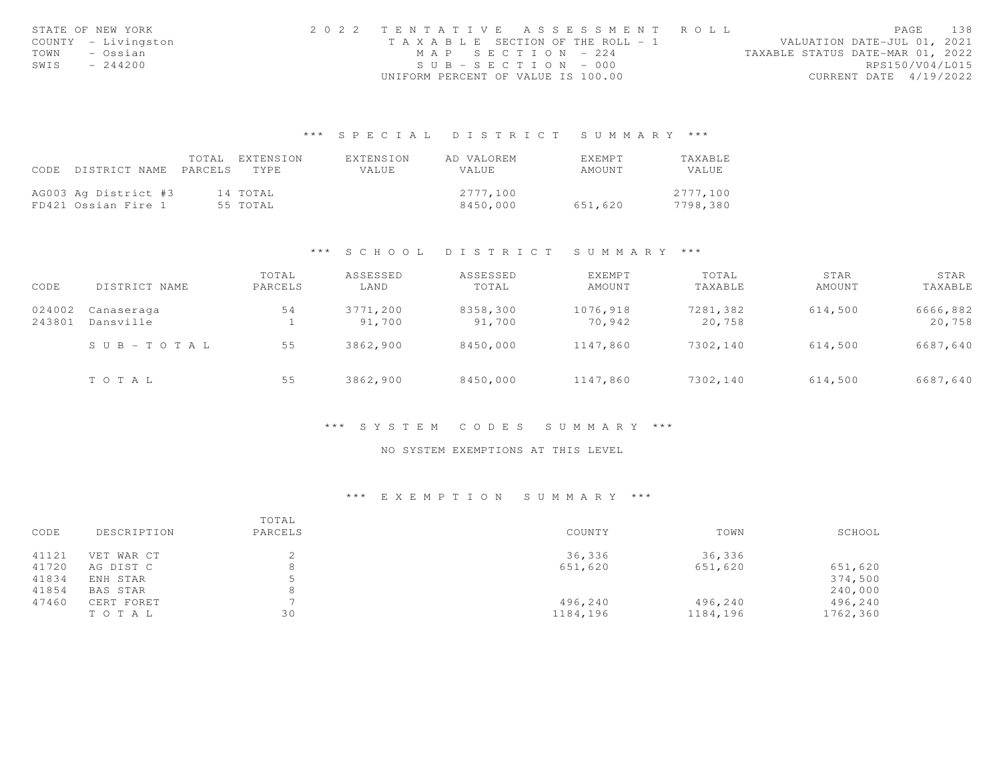| STATE OF NEW YORK   | 2022 TENTATIVE ASSESSMENT ROLL     |                       |  |                                  | PAGE                   | 138 |
|---------------------|------------------------------------|-----------------------|--|----------------------------------|------------------------|-----|
| COUNTY - Livingston | TAXABLE SECTION OF THE ROLL - 1    |                       |  | VALUATION DATE-JUL 01, 2021      |                        |     |
| TOWN<br>– Ossian    |                                    | MAP SECTION - 224     |  | TAXABLE STATUS DATE-MAR 01, 2022 |                        |     |
| SWIS<br>$-244200$   |                                    | $SUB - SECTION - 000$ |  |                                  | RPS150/V04/L015        |     |
|                     | UNIFORM PERCENT OF VALUE IS 100.00 |                       |  |                                  | CURRENT DATE 4/19/2022 |     |

## \*\*\* S P E C I A L D I S T R I C T S U M M A R Y \*\*\*

|                                 | TOTAL | FXTENSION | EXTENSION | AD VALOREM   | EXEMPT  | TAXABLE  |
|---------------------------------|-------|-----------|-----------|--------------|---------|----------|
| CODE DISTRICT NAME PARCELS TYPE |       |           | VALUE     | <b>VALUE</b> | AMOUNT  | VALUE    |
|                                 |       |           |           |              |         |          |
| AG003 Ag District #3            |       | 14 TOTAL  |           | 2777.100     |         | 2777,100 |
| FD421 Ossian Fire 1             |       | 55 TOTAL  |           | 8450,000     | 651,620 | 7798,380 |

#### \*\*\* S C H O O L D I S T R I C T S U M M A R Y \*\*\*

| CODE             | DISTRICT NAME           | TOTAL<br>PARCELS | ASSESSED<br>LAND   | ASSESSED<br>TOTAL  | EXEMPT<br>AMOUNT   | TOTAL<br>TAXABLE   | STAR<br>AMOUNT | STAR<br>TAXABLE    |
|------------------|-------------------------|------------------|--------------------|--------------------|--------------------|--------------------|----------------|--------------------|
| 024002<br>243801 | Canaseraga<br>Dansville | 54               | 3771,200<br>91,700 | 8358,300<br>91,700 | 1076,918<br>70,942 | 7281,382<br>20,758 | 614,500        | 6666,882<br>20,758 |
|                  | $S \cup B - TO T A L$   | 55               | 3862,900           | 8450,000           | 1147,860           | 7302,140           | 614,500        | 6687,640           |
|                  | TOTAL                   | 55               | 3862,900           | 8450,000           | 1147,860           | 7302,140           | 614,500        | 6687,640           |

#### \*\*\* S Y S T E M C O D E S S U M M A R Y \*\*\*

### NO SYSTEM EXEMPTIONS AT THIS LEVEL

### \*\*\* E X E M P T I O N S U M M A R Y \*\*\*

| CODE  | DESCRIPTION | TOTAL<br>PARCELS | COUNTY   | TOWN     | SCHOOL   |
|-------|-------------|------------------|----------|----------|----------|
| 41121 | VET WAR CT  |                  | 36,336   | 36,336   |          |
| 41720 | AG DIST C   | 8                | 651,620  | 651,620  | 651,620  |
| 41834 | ENH STAR    |                  |          |          | 374,500  |
| 41854 | BAS STAR    | 8                |          |          | 240,000  |
| 47460 | CERT FORET  |                  | 496,240  | 496,240  | 496,240  |
|       | TOTAL       | 30               | 1184,196 | 1184,196 | 1762,360 |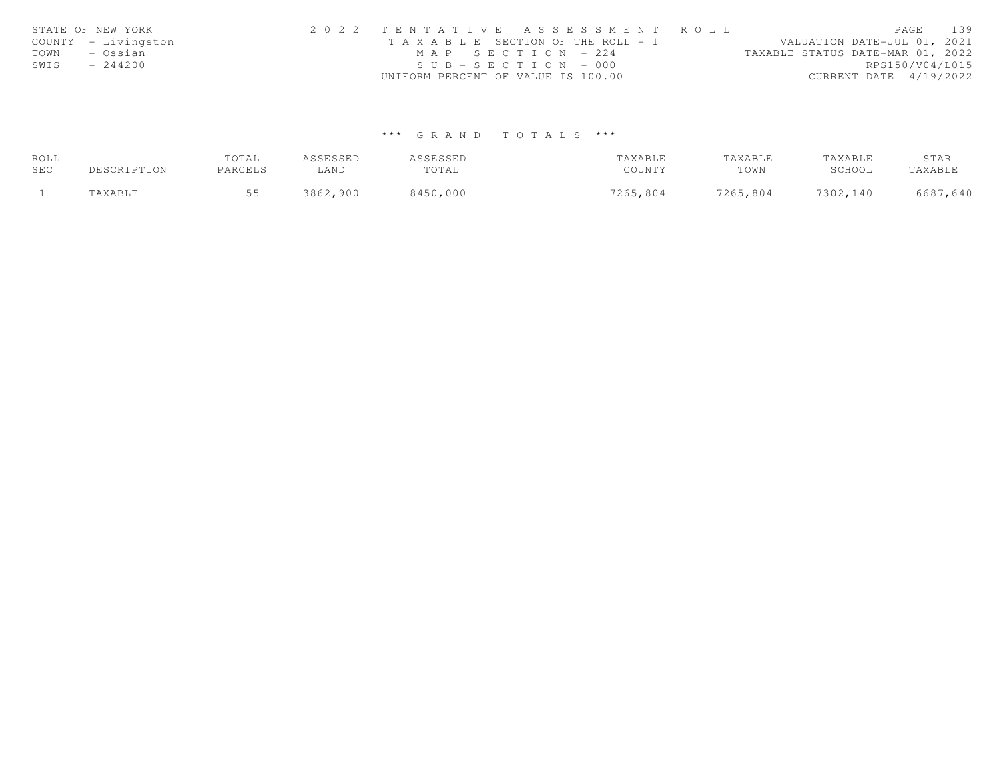|      | STATE OF NEW YORK   | 2022 TENTATIVE ASSESSMENT ROLL                                       | PAGE            | 139 |
|------|---------------------|----------------------------------------------------------------------|-----------------|-----|
|      | COUNTY - Livingston | VALUATION DATE-JUL 01, 2021<br>T A X A B L E SECTION OF THE ROLL - 1 |                 |     |
| TOWN | – Ossian            | TAXABLE STATUS DATE-MAR 01, 2022<br>MAP SECTION - 224                |                 |     |
| SWIS | $-244200$           | $SUB - SECTION - 000$                                                | RPS150/V04/L015 |     |
|      |                     | UNIFORM PERCENT OF VALUE IS 100.00<br>CURRENT DATE 4/19/2022         |                 |     |

# \*\*\* G R A N D T O T A L S \*\*\*

| ROLL |             | TOTAL   | ASSESSED | ASSESSED | TAXABLE  | TAXABLE  | TAXABLE  | STAR     |
|------|-------------|---------|----------|----------|----------|----------|----------|----------|
| SEC  | DESCRIPTION | PARCELS | ∟AND     | TOTAL    | COUNTY   | TOWN     | SCHOOL   | TAXABLE  |
|      | TAXABLE     |         | 3862,900 | 8450,000 | 7265,804 | 7265,804 | 7302,140 | 6687,640 |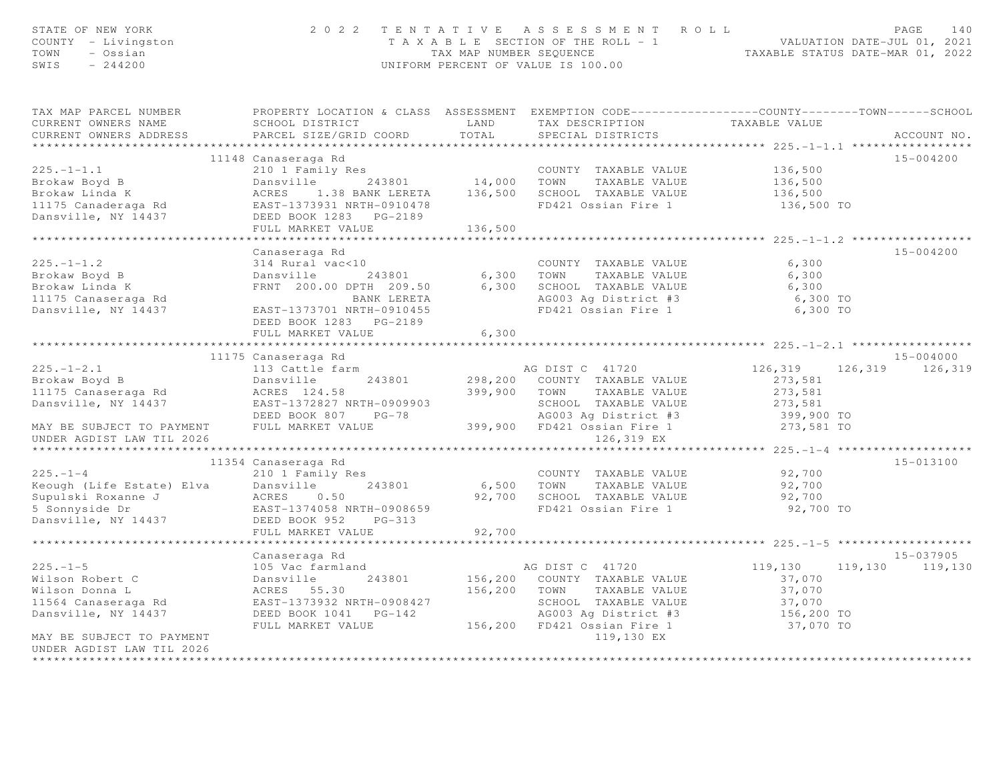| STATE OF NEW YORK<br>COUNTY - Livingston<br>TOWN - Ossian<br>$SWIS = 244200$                                                                                                                                                                                       |                                                                                                                                                                                                |        | $\begin{array}{cccccccccccc} 2&0&2&2&\text{T} &\text{E} &\text{N} &\text{T} &\text{A} &\text{T} &\text{B} &\text{T} &\text{B} &\text{C} &\text{D} &\text{E} &\text{A} &\text{E} &\text{A} &\text{A} &\text{B} &\text{B} &\text{E} &\text{B} &\text{E} &\text{A} &\text{A} &\text{B} &\text{B} &\text{E} &\text{B} &\text{E} &\text{A} &\text{E} &\text{A} &\text{E} &\text{B} &\text{E} &\text$ |                            |                 |             |  |
|--------------------------------------------------------------------------------------------------------------------------------------------------------------------------------------------------------------------------------------------------------------------|------------------------------------------------------------------------------------------------------------------------------------------------------------------------------------------------|--------|-------------------------------------------------------------------------------------------------------------------------------------------------------------------------------------------------------------------------------------------------------------------------------------------------------------------------------------------------------------------------------------------------|----------------------------|-----------------|-------------|--|
| TAX MAP PARCEL NUMBER THE PROPERTY LOCATION & CLASS ASSESSMENT EXEMPTION CODE--------------COUNTY-------TOWN------SCHOOL<br>CURRENT OWNERS NAME                                                                                                                    | SCHOOL DISTRICT                                LAND         TAX  DESCRIPTION                        TAXABLE  VALUE<br>PARCEL  SIZE/GRID  COORD             TOTAL            SPECIAL  DISTRICTS |        |                                                                                                                                                                                                                                                                                                                                                                                                 |                            |                 |             |  |
| CURRENT OWNERS ADDRESS                                                                                                                                                                                                                                             |                                                                                                                                                                                                |        |                                                                                                                                                                                                                                                                                                                                                                                                 |                            |                 | ACCOUNT NO. |  |
|                                                                                                                                                                                                                                                                    |                                                                                                                                                                                                |        |                                                                                                                                                                                                                                                                                                                                                                                                 |                            |                 | 15-004200   |  |
|                                                                                                                                                                                                                                                                    |                                                                                                                                                                                                |        |                                                                                                                                                                                                                                                                                                                                                                                                 |                            |                 |             |  |
|                                                                                                                                                                                                                                                                    |                                                                                                                                                                                                |        |                                                                                                                                                                                                                                                                                                                                                                                                 |                            |                 |             |  |
|                                                                                                                                                                                                                                                                    |                                                                                                                                                                                                |        |                                                                                                                                                                                                                                                                                                                                                                                                 |                            |                 |             |  |
|                                                                                                                                                                                                                                                                    |                                                                                                                                                                                                |        |                                                                                                                                                                                                                                                                                                                                                                                                 | 136,500 TO                 |                 |             |  |
|                                                                                                                                                                                                                                                                    |                                                                                                                                                                                                |        |                                                                                                                                                                                                                                                                                                                                                                                                 |                            |                 |             |  |
|                                                                                                                                                                                                                                                                    |                                                                                                                                                                                                |        |                                                                                                                                                                                                                                                                                                                                                                                                 |                            |                 |             |  |
|                                                                                                                                                                                                                                                                    |                                                                                                                                                                                                |        |                                                                                                                                                                                                                                                                                                                                                                                                 |                            |                 |             |  |
|                                                                                                                                                                                                                                                                    | Canaseraga Rd                                                                                                                                                                                  |        |                                                                                                                                                                                                                                                                                                                                                                                                 |                            |                 | 15-004200   |  |
|                                                                                                                                                                                                                                                                    |                                                                                                                                                                                                |        |                                                                                                                                                                                                                                                                                                                                                                                                 |                            |                 |             |  |
|                                                                                                                                                                                                                                                                    |                                                                                                                                                                                                |        |                                                                                                                                                                                                                                                                                                                                                                                                 |                            |                 |             |  |
|                                                                                                                                                                                                                                                                    |                                                                                                                                                                                                |        |                                                                                                                                                                                                                                                                                                                                                                                                 |                            |                 |             |  |
|                                                                                                                                                                                                                                                                    |                                                                                                                                                                                                |        |                                                                                                                                                                                                                                                                                                                                                                                                 |                            |                 |             |  |
|                                                                                                                                                                                                                                                                    |                                                                                                                                                                                                |        |                                                                                                                                                                                                                                                                                                                                                                                                 |                            |                 |             |  |
|                                                                                                                                                                                                                                                                    | DEED BOOK 1283 PG-2189                                                                                                                                                                         |        |                                                                                                                                                                                                                                                                                                                                                                                                 |                            |                 |             |  |
|                                                                                                                                                                                                                                                                    | FULL MARKET VALUE                                                                                                                                                                              | 6,300  |                                                                                                                                                                                                                                                                                                                                                                                                 |                            |                 |             |  |
|                                                                                                                                                                                                                                                                    |                                                                                                                                                                                                |        |                                                                                                                                                                                                                                                                                                                                                                                                 |                            |                 | 15-004000   |  |
|                                                                                                                                                                                                                                                                    |                                                                                                                                                                                                |        |                                                                                                                                                                                                                                                                                                                                                                                                 | 126, 319 126, 319 126, 319 |                 |             |  |
|                                                                                                                                                                                                                                                                    |                                                                                                                                                                                                |        |                                                                                                                                                                                                                                                                                                                                                                                                 |                            |                 |             |  |
|                                                                                                                                                                                                                                                                    |                                                                                                                                                                                                |        |                                                                                                                                                                                                                                                                                                                                                                                                 |                            |                 |             |  |
|                                                                                                                                                                                                                                                                    |                                                                                                                                                                                                |        |                                                                                                                                                                                                                                                                                                                                                                                                 |                            |                 |             |  |
|                                                                                                                                                                                                                                                                    |                                                                                                                                                                                                |        |                                                                                                                                                                                                                                                                                                                                                                                                 |                            |                 |             |  |
| 11175 Canaseraga Rd 11175 Canaseraga Rd 11175 Canaseraga Rd 11175 Canaseraga Rd 11175 Canaseraga Rd 11175 Canaseraga Rd 11175 Canaseraga Rd 11175 Canaseraga Rd 11175 Canaseraga Rd 11175 Canaseraga Rd 11175 Canaseraga Rd 11                                     |                                                                                                                                                                                                |        |                                                                                                                                                                                                                                                                                                                                                                                                 |                            |                 |             |  |
| UNDER AGDIST LAW TIL 2026                                                                                                                                                                                                                                          |                                                                                                                                                                                                |        | 126,319 EX                                                                                                                                                                                                                                                                                                                                                                                      |                            |                 |             |  |
|                                                                                                                                                                                                                                                                    |                                                                                                                                                                                                |        |                                                                                                                                                                                                                                                                                                                                                                                                 |                            |                 |             |  |
|                                                                                                                                                                                                                                                                    |                                                                                                                                                                                                |        |                                                                                                                                                                                                                                                                                                                                                                                                 |                            |                 | 15-013100   |  |
|                                                                                                                                                                                                                                                                    |                                                                                                                                                                                                |        |                                                                                                                                                                                                                                                                                                                                                                                                 |                            |                 |             |  |
|                                                                                                                                                                                                                                                                    |                                                                                                                                                                                                |        |                                                                                                                                                                                                                                                                                                                                                                                                 |                            |                 |             |  |
|                                                                                                                                                                                                                                                                    |                                                                                                                                                                                                |        |                                                                                                                                                                                                                                                                                                                                                                                                 |                            |                 |             |  |
| 210 1 Family Res<br>Eventy Research Country TAXABLE VALUE<br>Supulski Roxanne J<br>Supulski Roxanne J<br>Sonnyside Dr<br>Dansville, NY 14437 DEED MANING MATH-0908659<br>Dansville, NY 14437 DEED MANING MATH-0908659<br>THE CHANNE COUNTY T                       |                                                                                                                                                                                                |        |                                                                                                                                                                                                                                                                                                                                                                                                 |                            |                 |             |  |
|                                                                                                                                                                                                                                                                    |                                                                                                                                                                                                |        |                                                                                                                                                                                                                                                                                                                                                                                                 |                            |                 |             |  |
|                                                                                                                                                                                                                                                                    | FULL MARKET VALUE                                                                                                                                                                              | 92,700 |                                                                                                                                                                                                                                                                                                                                                                                                 |                            |                 |             |  |
|                                                                                                                                                                                                                                                                    |                                                                                                                                                                                                |        |                                                                                                                                                                                                                                                                                                                                                                                                 |                            |                 |             |  |
|                                                                                                                                                                                                                                                                    | Canaseraga Rd                                                                                                                                                                                  |        |                                                                                                                                                                                                                                                                                                                                                                                                 |                            |                 | 15-037905   |  |
|                                                                                                                                                                                                                                                                    |                                                                                                                                                                                                |        |                                                                                                                                                                                                                                                                                                                                                                                                 |                            | 119,130 119,130 |             |  |
|                                                                                                                                                                                                                                                                    |                                                                                                                                                                                                |        |                                                                                                                                                                                                                                                                                                                                                                                                 |                            |                 |             |  |
| 225.–1–5<br>Wilson Robert C<br>Wilson Donna L<br>Mison Donna L<br>243801<br>Mison Donna L<br>243801<br>243801<br>243801<br>243801<br>243801<br>243801<br>243801<br>256,200 COUNTY TAXABLE VALUE<br>243801<br>256,200 COUNTY TAXABLE VALUE<br>27,070<br>27,070<br>2 |                                                                                                                                                                                                |        |                                                                                                                                                                                                                                                                                                                                                                                                 |                            |                 |             |  |
|                                                                                                                                                                                                                                                                    |                                                                                                                                                                                                |        |                                                                                                                                                                                                                                                                                                                                                                                                 |                            |                 |             |  |
|                                                                                                                                                                                                                                                                    |                                                                                                                                                                                                |        |                                                                                                                                                                                                                                                                                                                                                                                                 |                            |                 |             |  |
| MAY BE SUBJECT TO PAYMENT                                                                                                                                                                                                                                          |                                                                                                                                                                                                |        | 119,130 EX                                                                                                                                                                                                                                                                                                                                                                                      |                            |                 |             |  |
| UNDER AGDIST LAW TIL 2026                                                                                                                                                                                                                                          |                                                                                                                                                                                                |        |                                                                                                                                                                                                                                                                                                                                                                                                 |                            |                 |             |  |
|                                                                                                                                                                                                                                                                    |                                                                                                                                                                                                |        |                                                                                                                                                                                                                                                                                                                                                                                                 |                            |                 |             |  |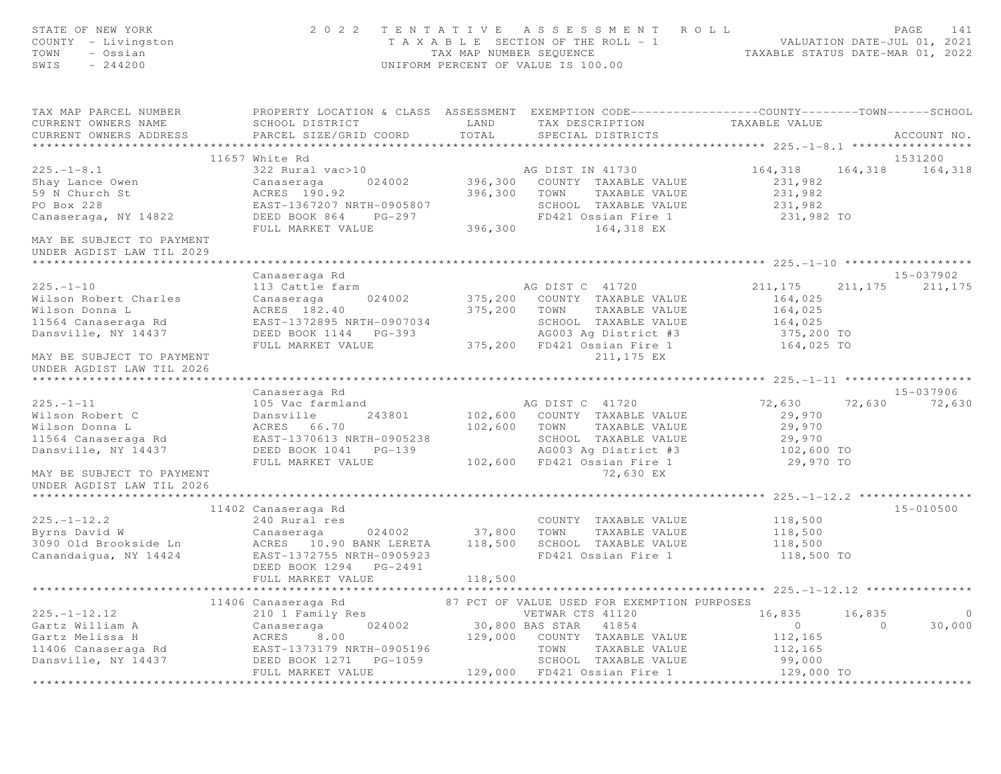| STATE OF NEW YORK<br>COUNTY - Livingston<br>TOWN<br>- Ossian<br>SWIS<br>$-244200$             |                                                                                                                     | TAX MAP NUMBER SEQUENCE | 2022 TENTATIVE ASSESSMENT ROLL<br>T A X A B L E SECTION OF THE ROLL - 1<br>UNIFORM PERCENT OF VALUE IS 100.00 | TAXABLE STATUS DATE-MAR 01, 2022 |                   | PAGE<br>141<br>VALUATION DATE-JUL 01, 2021 |
|-----------------------------------------------------------------------------------------------|---------------------------------------------------------------------------------------------------------------------|-------------------------|---------------------------------------------------------------------------------------------------------------|----------------------------------|-------------------|--------------------------------------------|
| TAX MAP PARCEL NUMBER<br>CURRENT OWNERS NAME<br>CURRENT OWNERS ADDRESS PARCEL SIZE/GRID COORD | PROPERTY LOCATION & CLASS ASSESSMENT EXEMPTION CODE----------------COUNTY-------TOWN------SCHOOL<br>SCHOOL DISTRICT | LAND<br>TOTAL           | TAX DESCRIPTION TAXABLE VALUE<br>SPECIAL DISTRICTS                                                            |                                  |                   | ACCOUNT NO.                                |
|                                                                                               | 11657 White Rd                                                                                                      |                         |                                                                                                               |                                  |                   | 1531200                                    |
| $225. - 1 - 8.1$                                                                              | 322 Rural vac>10                                                                                                    |                         | AG DIST IN 41730                                                                                              | 164,318                          |                   | 164,318 164,318                            |
| Shay Lance Owen                                                                               | Canaseraga                                                                                                          |                         | 024002 396,300 COUNTY TAXABLE VALUE                                                                           | 231,982                          |                   |                                            |
| 59 N Church St                                                                                | ACRES 190.92                                                                                                        | 396,300 TOWN            | TAXABLE VALUE                                                                                                 | 231,982                          |                   |                                            |
| PO Box 228                                                                                    | EAST-1367207 NRTH-0905807                                                                                           |                         | SCHOOL TAXABLE VALUE                                                                                          | 231,982                          |                   |                                            |
| Canaseraga, NY 14822                                                                          | DEED BOOK 864 PG-297                                                                                                |                         | FD421 Ossian Fire 1                                                                                           | 231,982 TO                       |                   |                                            |
|                                                                                               | FULL MARKET VALUE                                                                                                   |                         | 396,300 164,318 EX                                                                                            |                                  |                   |                                            |
| MAY BE SUBJECT TO PAYMENT<br>UNDER AGDIST LAW TIL 2029                                        |                                                                                                                     |                         |                                                                                                               |                                  |                   |                                            |
|                                                                                               |                                                                                                                     |                         |                                                                                                               |                                  |                   |                                            |
| $225. - 1 - 10$                                                                               | Canaseraga Rd                                                                                                       |                         |                                                                                                               |                                  | 211, 175          | 15-037902                                  |
| Wilson Robert Charles                                                                         | 113 Cattle farm<br>Canaseraga 024002                                                                                |                         | AG DIST C 41720<br>375,200 COUNTY TAXABLE VALUE                                                               | 211,175<br>164,025               |                   | 211,175                                    |
| Wilson Donna L                                                                                | ACRES 182.40                                                                                                        |                         | 375,200 TOWN TAXABLE VALUE                                                                                    | 164,025                          |                   |                                            |
| 11564 Canaseraga Rd                                                                           | EAST-1372895 NRTH-0907034                                                                                           |                         | SCHOOL TAXABLE VALUE                                                                                          | 164,025                          |                   |                                            |
| Dansville, NY 14437                                                                           | DEED BOOK 1144 PG-393                                                                                               |                         | AG003 Aq District #3                                                                                          | 375,200 TO                       |                   |                                            |
|                                                                                               | FULL MARKET VALUE                                                                                                   |                         | 375,200 FD421 Ossian Fire 1                                                                                   | 164,025 TO                       |                   |                                            |
| MAY BE SUBJECT TO PAYMENT<br>UNDER AGDIST LAW TIL 2026                                        |                                                                                                                     |                         | 211,175 EX                                                                                                    |                                  |                   |                                            |
|                                                                                               |                                                                                                                     |                         |                                                                                                               |                                  |                   |                                            |
|                                                                                               | Canaseraga Rd                                                                                                       |                         |                                                                                                               |                                  |                   | 15-037906                                  |
| $225. - 1 - 11$                                                                               | 105 Vac farmland                                                                                                    |                         | AG DIST C 41720                                                                                               | 72,630                           | 72,630            | 72,630                                     |
| Wilson Robert C                                                                               | 243801<br>Dansville                                                                                                 |                         | 102,600 COUNTY TAXABLE VALUE                                                                                  | 29,970                           |                   |                                            |
| Wilson Donna L                                                                                | ACRES 66.70                                                                                                         |                         | 102,600 TOWN TAXABLE VALUE                                                                                    | 29,970                           |                   |                                            |
| 11564 Canaseraga Rd                                                                           | EAST-1370613 NRTH-0905238                                                                                           |                         | SCHOOL TAXABLE VALUE                                                                                          |                                  |                   |                                            |
| Dansville, NY 14437                                                                           | DEED BOOK 1041 PG-139                                                                                               |                         | AG003 Ag District #3                                                                                          | 29,970<br>102,600 TO             |                   |                                            |
| MAY BE SUBJECT TO PAYMENT                                                                     | FULL MARKET VALUE                                                                                                   |                         | 102,600 FD421 Ossian Fire 1<br>72,630 EX                                                                      | 29,970 TO                        |                   |                                            |
| UNDER AGDIST LAW TIL 2026                                                                     |                                                                                                                     |                         |                                                                                                               |                                  |                   |                                            |
|                                                                                               | 11402 Canaseraga Rd                                                                                                 |                         |                                                                                                               |                                  |                   | $15 - 010500$                              |
| $225. - 1 - 12.2$                                                                             | 240 Rural res                                                                                                       |                         | COUNTY TAXABLE VALUE                                                                                          | 118,500                          |                   |                                            |
| Byrns David W                                                                                 | 024002 37,800<br>Canaseraga                                                                                         |                         | TAXABLE VALUE<br>TOWN                                                                                         | 118,500                          |                   |                                            |
| 3090 Old Brookside Ln                                                                         | ACRES 10.90 BANK LERETA                                                                                             | 118,500                 | SCHOOL TAXABLE VALUE                                                                                          | 118,500                          |                   |                                            |
| Canandaigua, NY 14424                                                                         | EAST-1372755 NRTH-0905923                                                                                           |                         | FD421 Ossian Fire 1                                                                                           | 118,500 TO                       |                   |                                            |
|                                                                                               | DEED BOOK 1294 PG-2491                                                                                              |                         |                                                                                                               |                                  |                   |                                            |
|                                                                                               | FULL MARKET VALUE                                                                                                   | 118,500                 |                                                                                                               |                                  |                   |                                            |
|                                                                                               |                                                                                                                     |                         |                                                                                                               |                                  |                   |                                            |
| $225. - 1 - 12.12$                                                                            | 11406 Canaseraga Rd                                                                                                 |                         | 87 PCT OF VALUE USED FOR EXEMPTION PURPOSES                                                                   |                                  |                   | $\circ$                                    |
| Gartz William A                                                                               | 210 1 Family Res<br>024002                                                                                          |                         | VETWAR CTS 41120                                                                                              | 16,835<br>$\circ$                | 16,835<br>$\circ$ | 30,000                                     |
| Gartz Melissa H                                                                               | Canaseraga<br>8.00                                                                                                  | 129,000                 | 30,800 BAS STAR 41854<br>COUNTY TAXABLE VALUE                                                                 |                                  |                   |                                            |
| 11406 Canaseraga Rd                                                                           | ACRES<br>EAST-1373179 NRTH-0905196                                                                                  |                         | TOWN<br>TAXABLE VALUE                                                                                         | 112,165<br>112,165               |                   |                                            |
| Dansville, NY 14437                                                                           | DEED BOOK 1271 PG-1059                                                                                              |                         | SCHOOL TAXABLE VALUE                                                                                          | 99,000                           |                   |                                            |
|                                                                                               | FULL MARKET VALUE                                                                                                   |                         | 129,000 FD421 Ossian Fire 1                                                                                   | 129,000 TO                       |                   |                                            |
|                                                                                               |                                                                                                                     |                         |                                                                                                               |                                  |                   |                                            |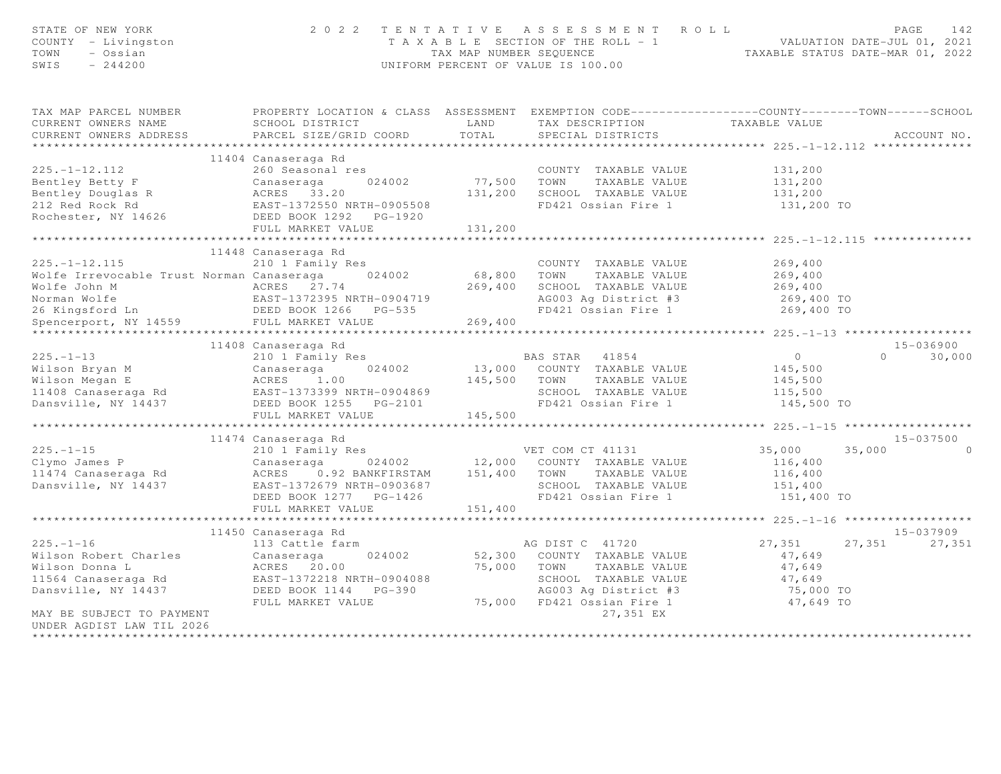| STATE OF NEW YORK<br>COUNTY - Livingston<br>TOWN<br>- Ossian<br>$-244200$<br>SWIS                                                                                                                                                                 | 2 0 2 2                                                                                                                            |             | TENTATIVE ASSESSMENT ROLL<br>T A X A B L E SECTION OF THE ROLL - 1 VALUATION DATE-JUL 01, 2021<br>TAX MAP NUMBER SEQUENCE TAXABLE STATUS DATE-MAR 01, 2022<br>UNIFORM PERCENT OF VALUE IS 100.00 |                |        | PAGE<br>142   |
|---------------------------------------------------------------------------------------------------------------------------------------------------------------------------------------------------------------------------------------------------|------------------------------------------------------------------------------------------------------------------------------------|-------------|--------------------------------------------------------------------------------------------------------------------------------------------------------------------------------------------------|----------------|--------|---------------|
| TAX MAP PARCEL NUMBER<br>CURRENT OWNERS NAME                                                                                                                                                                                                      | PROPERTY LOCATION & CLASS ASSESSMENT EXEMPTION CODE----------------COUNTY-------TOWN------SCHOOL<br>SCHOOL DISTRICT<br><b>LAND</b> |             |                                                                                                                                                                                                  |                |        |               |
| CURRENT OWNERS ADDRESS                                                                                                                                                                                                                            | PARCEL SIZE/GRID COORD                                                                                                             | TOTAL       | TAX DESCRIPTION TAXABLE VALUE SPECIAL DISTRICTS                                                                                                                                                  |                |        | ACCOUNT NO.   |
|                                                                                                                                                                                                                                                   |                                                                                                                                    |             |                                                                                                                                                                                                  |                |        |               |
|                                                                                                                                                                                                                                                   | 11404 Canaseraga Rd                                                                                                                |             |                                                                                                                                                                                                  |                |        |               |
| $225. - 1 - 12.112$                                                                                                                                                                                                                               | 260 Seasonal res                                                                                                                   |             | COUNTY TAXABLE VALUE                                                                                                                                                                             | 131,200        |        |               |
| Example of Canaseraga 194002<br>Bentley Douglas R<br>212 Red Rock Rd<br>Rochester, NY 14626<br>213 Red Process Canaseraga 2024002<br>212 Red Rock Rd<br>22 Red Rock Rd<br>22 Red Process 2920<br>22 Red Process 2920<br>22 Red Process 2920<br>22 |                                                                                                                                    |             | COUNTY TAXABLE VALUE<br>77,500 TOWN TAXABLE VALUE                                                                                                                                                | 131,200        |        |               |
|                                                                                                                                                                                                                                                   |                                                                                                                                    |             | 131,200 SCHOOL TAXABLE VALUE                                                                                                                                                                     | 131,200        |        |               |
|                                                                                                                                                                                                                                                   |                                                                                                                                    |             | FD421 Ossian Fire 1                                                                                                                                                                              | 131,200 TO     |        |               |
|                                                                                                                                                                                                                                                   |                                                                                                                                    |             |                                                                                                                                                                                                  |                |        |               |
|                                                                                                                                                                                                                                                   | FULL MARKET VALUE                                                                                                                  | 131,200     |                                                                                                                                                                                                  |                |        |               |
|                                                                                                                                                                                                                                                   |                                                                                                                                    |             |                                                                                                                                                                                                  |                |        |               |
|                                                                                                                                                                                                                                                   | 11448 Canaseraga Rd                                                                                                                |             |                                                                                                                                                                                                  |                |        |               |
| $225. - 1 - 12.115$                                                                                                                                                                                                                               | 210 1 Family Res                                                                                                                   |             | COUNTY TAXABLE VALUE                                                                                                                                                                             | 269,400        |        |               |
| Wolfe Irrevocable Trust Norman Canaseraga 024002                                                                                                                                                                                                  |                                                                                                                                    | 68,800 TOWN | TAXABLE VALUE                                                                                                                                                                                    | 269,400        |        |               |
|                                                                                                                                                                                                                                                   |                                                                                                                                    |             | SCHOOL TAXABLE VALUE                                                                                                                                                                             | 269,400        |        |               |
|                                                                                                                                                                                                                                                   |                                                                                                                                    |             | AG003 Ag District #3 269,400 TO<br>FD421 Ossian Fire 1 269,400 TO                                                                                                                                |                |        |               |
|                                                                                                                                                                                                                                                   |                                                                                                                                    |             |                                                                                                                                                                                                  |                |        |               |
| Wolfe John M<br>Norman Wolfe 1994<br>269,400<br>269,400<br>269,400<br>269,400<br>269,400<br>269,400<br>269,400<br>269,400<br>269,400<br>269,400<br>269,400                                                                                        |                                                                                                                                    | 269,400     |                                                                                                                                                                                                  |                |        |               |
|                                                                                                                                                                                                                                                   |                                                                                                                                    |             |                                                                                                                                                                                                  |                |        |               |
|                                                                                                                                                                                                                                                   | 11408 Canaseraga Rd                                                                                                                |             |                                                                                                                                                                                                  |                |        | 15-036900     |
| $225. - 1 - 13$                                                                                                                                                                                                                                   | Canaseraga Ku<br>210 1 Family Res                                                                                                  |             | <b>BAS STAR</b> 41854                                                                                                                                                                            | $\overline{0}$ |        | $0 \t 30,000$ |
|                                                                                                                                                                                                                                                   |                                                                                                                                    |             | 13,000 COUNTY TAXABLE VALUE                                                                                                                                                                      | 145,500        |        |               |
|                                                                                                                                                                                                                                                   |                                                                                                                                    |             | 145,500 TOWN TAXABLE VALUE                                                                                                                                                                       | 145,500        |        |               |
|                                                                                                                                                                                                                                                   |                                                                                                                                    |             | SCHOOL TAXABLE VALUE                                                                                                                                                                             | 115,500        |        |               |
| Wilson Bryan M<br>Wilson Megan E<br>11408 Canaseraga Rd<br>11408 Canaseraga Rd<br>11408 Canaseraga Rd<br>11408 Canaseraga Rd<br>11408 Canaseraga Rd<br>2150 CAST-1373399 NRTH-0904869                                                             |                                                                                                                                    |             | FD421 Ossian Fire 1                                                                                                                                                                              | 145,500 TO     |        |               |
|                                                                                                                                                                                                                                                   | FULL MARKET VALUE                                                                                                                  | 145,500     |                                                                                                                                                                                                  |                |        |               |
|                                                                                                                                                                                                                                                   |                                                                                                                                    |             |                                                                                                                                                                                                  |                |        |               |
|                                                                                                                                                                                                                                                   | 11474 Canaseraga Rd                                                                                                                |             |                                                                                                                                                                                                  |                |        | 15-037500     |
| $225. - 1 - 15$                                                                                                                                                                                                                                   | 210 1 Family Res<br>210 1 Family Res<br>Canaseraga       024002               12,000   COUNTY TAXABLE VALUE                        |             |                                                                                                                                                                                                  | 35,000         | 35,000 |               |
| Clymo James P                                                                                                                                                                                                                                     |                                                                                                                                    |             |                                                                                                                                                                                                  | 116,400        |        |               |
| 11474 Canaseraga Rd                                                                                                                                                                                                                               | ACRES 0.92 BANKFIRSTAM 151,400 TOWN                                                                                                |             | TAXABLE VALUE                                                                                                                                                                                    | 116,400        |        |               |
| Dansville, NY 14437                                                                                                                                                                                                                               | EAST-1372679 NRTH-0903687                                                                                                          |             | SCHOOL TAXABLE VALUE 151,400                                                                                                                                                                     |                |        |               |
|                                                                                                                                                                                                                                                   | DEED BOOK 1277 PG-1426                                                                                                             |             | FD421 Ossian Fire 1                                                                                                                                                                              | 151,400 TO     |        |               |
|                                                                                                                                                                                                                                                   | FULL MARKET VALUE                                                                                                                  | 151,400     |                                                                                                                                                                                                  |                |        |               |
|                                                                                                                                                                                                                                                   |                                                                                                                                    |             |                                                                                                                                                                                                  |                |        | 15-037909     |
| $225. - 1 - 16$                                                                                                                                                                                                                                   | 11450 Canaseraga Rd<br>113 Cattle farm                                                                                             |             | AG DIST C 41720                                                                                                                                                                                  | 27,351         | 27,351 | 27,351        |
| Wilson Robert Charles                                                                                                                                                                                                                             |                                                                                                                                    |             | 52,300 COUNTY TAXABLE VALUE                                                                                                                                                                      | 47,649         |        |               |
| Wilson Donna L                                                                                                                                                                                                                                    |                                                                                                                                    |             | 75,000 TOWN TAXABLE VALUE                                                                                                                                                                        | 47,649         |        |               |
| 11564 Canaseraga Rd                                                                                                                                                                                                                               | Canaseraga 024002<br>ACRES 20.00<br>EAST-1372218 NRTH-0904088<br>DEED BOOK 1144 PG-390<br>FIILL MARKET VALUF                       |             | SCHOOL TAXABLE VALUE                                                                                                                                                                             | 47,649         |        |               |
| Dansville, NY 14437                                                                                                                                                                                                                               |                                                                                                                                    |             |                                                                                                                                                                                                  | 75,000 TO      |        |               |
|                                                                                                                                                                                                                                                   | FULL MARKET VALUE                                                                                                                  |             | AG003 Ag District #3<br>75,000 FD421 Ossian Fire 1                                                                                                                                               | 47,649 TO      |        |               |
| MAY BE SUBJECT TO PAYMENT                                                                                                                                                                                                                         |                                                                                                                                    |             | 27,351 EX                                                                                                                                                                                        |                |        |               |
| UNDER AGDIST LAW TIL 2026                                                                                                                                                                                                                         |                                                                                                                                    |             |                                                                                                                                                                                                  |                |        |               |
| ****************************                                                                                                                                                                                                                      |                                                                                                                                    |             |                                                                                                                                                                                                  |                |        |               |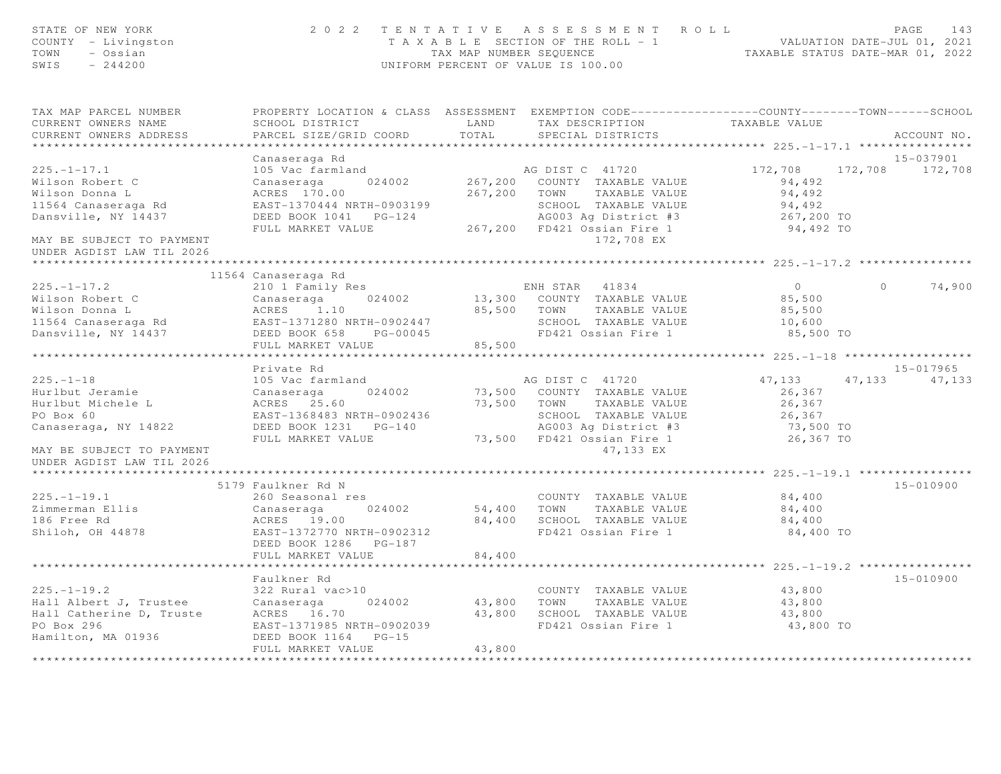| STATE OF NEW YORK<br>COUNTY - Livingston<br>TOWN<br>- Ossian<br>SWIS<br>$-244200$ |                                                       | TAX MAP NUMBER SEOUENCE         | 2022 TENTATIVE ASSESSMENT ROLL<br>TAXABLE SECTION OF THE ROLL - 1 VALUATION DATE-JUL 01, 2021<br>UNIFORM PERCENT OF VALUE IS 100.00 | TAXABLE STATUS DATE-MAR 01, 2022          |          | PAGE<br>143     |
|-----------------------------------------------------------------------------------|-------------------------------------------------------|---------------------------------|-------------------------------------------------------------------------------------------------------------------------------------|-------------------------------------------|----------|-----------------|
| TAX MAP PARCEL NUMBER<br>CURRENT OWNERS NAME                                      | SCHOOL DISTRICT                                       | LAND                            | PROPERTY LOCATION & CLASS ASSESSMENT EXEMPTION CODE---------------COUNTY-------TOWN------SCHOOL<br>TAX DESCRIPTION                  | TAXABLE VALUE                             |          |                 |
| CURRENT OWNERS ADDRESS                                                            | PARCEL SIZE/GRID COORD                                | TOTAL                           | SPECIAL DISTRICTS                                                                                                                   |                                           |          | ACCOUNT NO.     |
| **********************                                                            | *************************                             |                                 |                                                                                                                                     |                                           |          |                 |
|                                                                                   | Canaseraga Rd                                         |                                 |                                                                                                                                     |                                           |          | 15-037901       |
| $225. - 1 - 17.1$                                                                 | 105 Vac farmland                                      |                                 | AG DIST C 41720                                                                                                                     | 172,708                                   |          | 172,708 172,708 |
| Wilson Robert C<br>Wilson Donna L                                                 | Canaseraga<br>024002<br>ACRES 170.00                  |                                 | 267,200 COUNTY TAXABLE VALUE<br>267,200 TOWN TAXABLE VALUE                                                                          | 94,492<br>94,492                          |          |                 |
| 11564 Canaseraga Rd                                                               | EAST-1370444 NRTH-0903199                             |                                 | SCHOOL TAXABLE VALUE                                                                                                                | 94,492                                    |          |                 |
| Dansville, NY 14437                                                               | DEED BOOK 1041    PG-124                              |                                 | AG003 Ag District #3                                                                                                                | 267,200 TO                                |          |                 |
|                                                                                   | FULL MARKET VALUE                                     |                                 | 267,200 FD421 Ossian Fire 1                                                                                                         | 94,492 TO                                 |          |                 |
| MAY BE SUBJECT TO PAYMENT<br>UNDER AGDIST LAW TIL 2026                            |                                                       |                                 | 172,708 EX                                                                                                                          |                                           |          |                 |
|                                                                                   |                                                       |                                 |                                                                                                                                     |                                           |          |                 |
|                                                                                   | 11564 Canaseraga Rd                                   |                                 |                                                                                                                                     |                                           |          |                 |
| $225. - 1 - 17.2$                                                                 | 210 1 Family Res                                      |                                 | ENH STAR 41834                                                                                                                      | $\overline{0}$                            | $\Omega$ | 74,900          |
| Wilson Robert C<br>Wilson Donna L                                                 | Canaseraga 024002<br>ACRES 1.10                       |                                 | 13,300 COUNTY TAXABLE VALUE<br>85,500 TOWN TAXABLE VALUE                                                                            | 85,500<br>85,500                          |          |                 |
| 11564 Canaseraga Rd                                                               | EAST-1371280 NRTH-0902447                             |                                 | SCHOOL TAXABLE VALUE                                                                                                                | 10,600                                    |          |                 |
| Dansville, NY 14437                                                               | DEED BOOK 658 PG-00045                                |                                 | FD421 Ossian Fire 1                                                                                                                 | 85,500 TO                                 |          |                 |
|                                                                                   | FULL MARKET VALUE                                     | 85,500                          |                                                                                                                                     |                                           |          |                 |
|                                                                                   |                                                       |                                 |                                                                                                                                     |                                           |          |                 |
|                                                                                   | Private Rd                                            |                                 |                                                                                                                                     |                                           |          | 15-017965       |
| $225. - 1 - 18$                                                                   | 105 Vac farmland                                      |                                 | AG DIST C 41720                                                                                                                     | 47,133                                    | 47,133   | 47,133          |
| Hurlbut Jeramie                                                                   | Canaseraga<br>024002                                  |                                 | 73,500 COUNTY TAXABLE VALUE                                                                                                         | 26,367                                    |          |                 |
| Hurlbut Michele L                                                                 | ACRES 25.60                                           |                                 | 73,500 TOWN TAXABLE VALUE                                                                                                           | 26,367                                    |          |                 |
| PO Box 60                                                                         | EAST-1368483 NRTH-0902436<br>DEED BOOK 1231    PG-140 |                                 | SCHOOL TAXABLE VALUE                                                                                                                | 26,367                                    |          |                 |
| Canaseraga, NY 14822                                                              | FULL MARKET VALUE                                     |                                 | AG003 Aq District #3<br>73,500 FD421 Ossian Fire 1                                                                                  | 73,500 TO<br>26,367 TO                    |          |                 |
| MAY BE SUBJECT TO PAYMENT<br>UNDER AGDIST LAW TIL 2026                            |                                                       |                                 | 47,133 EX                                                                                                                           |                                           |          |                 |
|                                                                                   |                                                       |                                 |                                                                                                                                     |                                           |          |                 |
|                                                                                   | 5179 Faulkner Rd N                                    |                                 |                                                                                                                                     |                                           |          | 15-010900       |
| $225. - 1 - 19.1$                                                                 | 260 Seasonal res                                      |                                 | COUNTY TAXABLE VALUE                                                                                                                | 84,400                                    |          |                 |
| Zimmerman Ellis                                                                   | Canaseraga<br>024002                                  | 54,400 TOWN                     | TAXABLE VALUE                                                                                                                       | 84,400                                    |          |                 |
| 186 Free Rd                                                                       | ACRES 19.00                                           | 84,400                          | SCHOOL TAXABLE VALUE                                                                                                                | 84,400                                    |          |                 |
| Shiloh, OH 44878                                                                  | EAST-1372770 NRTH-0902312                             |                                 | FD421 Ossian Fire 1                                                                                                                 | 84,400 TO                                 |          |                 |
|                                                                                   | DEED BOOK 1286    PG-187                              |                                 |                                                                                                                                     |                                           |          |                 |
|                                                                                   | FULL MARKET VALUE<br>*******************              | 84,400                          |                                                                                                                                     | ***************** 225.-1-19.2 *********** |          |                 |
|                                                                                   | Faulkner Rd                                           |                                 |                                                                                                                                     |                                           |          | 15-010900       |
| $225. - 1 - 19.2$                                                                 | 322 Rural vac>10                                      |                                 | COUNTY TAXABLE VALUE                                                                                                                | 43,800                                    |          |                 |
| 225.-1-19.2<br>Hall Albert J, Trustee<br>Listening D. Truste                      | 024002<br>Canaseraga                                  | 43,800                          | TOWN<br>TAXABLE VALUE                                                                                                               | 43,800                                    |          |                 |
|                                                                                   | ACRES 16.70                                           |                                 | 43,800 SCHOOL TAXABLE VALUE                                                                                                         | 43,800                                    |          |                 |
| PO Box 296                                                                        | EAST-1371985 NRTH-0902039                             |                                 | FD421 Ossian Fire 1                                                                                                                 | 43,800 TO                                 |          |                 |
| Hamilton, MA 01936                                                                | DEED BOOK 1164 PG-15                                  |                                 |                                                                                                                                     |                                           |          |                 |
|                                                                                   | FULL MARKET VALUE                                     | 43,800<br>* * * * * * * * * * * |                                                                                                                                     |                                           |          |                 |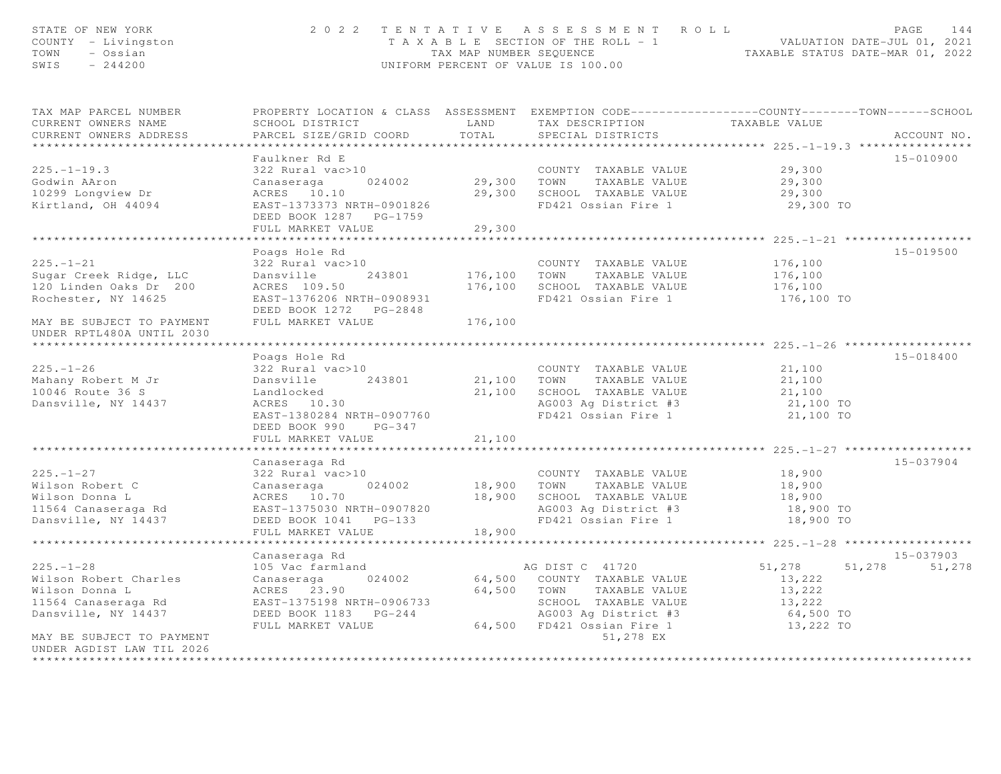| STATE OF NEW YORK<br>COUNTY - Livingston<br>- Ossian<br>TOWN<br>$-244200$<br>SWIS |                                                                                                                     |              | 2022 TENTATIVE ASSESSMENT ROLL<br>T A X A B L E SECTION OF THE ROLL - 1 VALUATION DATE-JUL 01, 2021<br>TAX MAP NUMBER SEQUENCE TAXABLE STATUS DATE-MAR 01, 2022<br>UNIFORM PERCENT OF VALUE IS 100.00 |                                                     | PAGE<br>144   |
|-----------------------------------------------------------------------------------|---------------------------------------------------------------------------------------------------------------------|--------------|-------------------------------------------------------------------------------------------------------------------------------------------------------------------------------------------------------|-----------------------------------------------------|---------------|
| TAX MAP PARCEL NUMBER<br>CURRENT OWNERS NAME                                      | PROPERTY LOCATION & CLASS ASSESSMENT EXEMPTION CODE----------------COUNTY-------TOWN------SCHOOL<br>SCHOOL DISTRICT | LAND         | TAX DESCRIPTION                                                                                                                                                                                       | TAXABLE VALUE                                       |               |
| CURRENT OWNERS ADDRESS                                                            | PARCEL SIZE/GRID COORD                                                                                              | TOTAL        | SPECIAL DISTRICTS                                                                                                                                                                                     |                                                     | ACCOUNT NO.   |
|                                                                                   | Faulkner Rd E                                                                                                       |              |                                                                                                                                                                                                       |                                                     | 15-010900     |
| $225. - 1 - 19.3$                                                                 | 322 Rural vac>10                                                                                                    |              | COUNTY TAXABLE VALUE                                                                                                                                                                                  | 29,300                                              |               |
| Godwin AAron                                                                      | Canaseraga<br>024002                                                                                                | 29,300 TOWN  | TAXABLE VALUE                                                                                                                                                                                         | 29,300                                              |               |
| 10299 Longview Dr                                                                 | ACRES 10.10                                                                                                         |              | 29,300 SCHOOL TAXABLE VALUE                                                                                                                                                                           | 29,300                                              |               |
| Kirtland, OH 44094                                                                | EAST-1373373 NRTH-0901826<br>DEED BOOK 1287    PG-1759                                                              |              | FD421 Ossian Fire 1                                                                                                                                                                                   | 29,300 TO                                           |               |
|                                                                                   | FULL MARKET VALUE                                                                                                   | 29,300       |                                                                                                                                                                                                       |                                                     |               |
|                                                                                   | Poags Hole Rd                                                                                                       |              |                                                                                                                                                                                                       |                                                     | 15-019500     |
| $225. - 1 - 21$                                                                   | 322 Rural vac>10                                                                                                    |              | COUNTY TAXABLE VALUE                                                                                                                                                                                  | 176,100                                             |               |
| Sugar Creek Ridge, LLC                                                            | 243801<br>Dansville                                                                                                 | 176,100 TOWN | TAXABLE VALUE                                                                                                                                                                                         | 176,100                                             |               |
| 120 Linden Oaks Dr 200                                                            | ACRES 109.50                                                                                                        |              | 176,100 SCHOOL TAXABLE VALUE                                                                                                                                                                          | 176,100                                             |               |
| Rochester, NY 14625                                                               | EAST-1376206 NRTH-0908931                                                                                           |              | FD421 Ossian Fire 1                                                                                                                                                                                   | 176,100 TO                                          |               |
| MAY BE SUBJECT TO PAYMENT<br>UNDER RPTL480A UNTIL 2030                            | FULL MARKET VALUE                                                                                                   | 176,100      |                                                                                                                                                                                                       |                                                     |               |
| ****************************                                                      |                                                                                                                     |              |                                                                                                                                                                                                       |                                                     |               |
|                                                                                   | Poags Hole Rd                                                                                                       |              |                                                                                                                                                                                                       |                                                     | 15-018400     |
| $225. - 1 - 26$<br>Mahany Robert M Jr                                             | 322 Rural vac>10<br>243801<br>Dansville                                                                             |              | COUNTY TAXABLE VALUE<br>21,100 TOWN TAXABLE VALUE                                                                                                                                                     | 21,100<br>21,100                                    |               |
| 10046 Route 36 S                                                                  | Landlocked                                                                                                          |              | 21,100 SCHOOL TAXABLE VALUE                                                                                                                                                                           | 21,100                                              |               |
| Dansville, NY 14437                                                               | ACRES 10.30                                                                                                         |              | AG003 Ag District #3                                                                                                                                                                                  | 21,100 TO                                           |               |
|                                                                                   | EAST-1380284 NRTH-0907760                                                                                           |              | FD421 Ossian Fire 1                                                                                                                                                                                   | 21,100 TO                                           |               |
|                                                                                   | DEED BOOK 990 PG-347                                                                                                |              |                                                                                                                                                                                                       |                                                     |               |
|                                                                                   | FULL MARKET VALUE                                                                                                   | 21,100       |                                                                                                                                                                                                       |                                                     |               |
|                                                                                   |                                                                                                                     |              |                                                                                                                                                                                                       |                                                     |               |
|                                                                                   | Canaseraga Rd                                                                                                       |              |                                                                                                                                                                                                       |                                                     | 15-037904     |
| $225. - 1 - 27$                                                                   | 322 Rural vac>10                                                                                                    |              | COUNTY TAXABLE VALUE                                                                                                                                                                                  | 18,900                                              |               |
| Wilson Robert C                                                                   | 024002<br>Canaseraga                                                                                                | 18,900       | TOWN<br>TAXABLE VALUE                                                                                                                                                                                 | 18,900                                              |               |
| Wilson Donna L                                                                    | ACRES 10.70                                                                                                         | 18,900       | SCHOOL TAXABLE VALUE                                                                                                                                                                                  | 18,900                                              |               |
| 11564 Canaseraga Rd<br>Dansville, NY 14437                                        | EAST-1375030 NRTH-0907820                                                                                           |              | AG003 Ag District #3<br>FD421 Ossian Fire 1                                                                                                                                                           | 18,900 TO<br>18,900 TO                              |               |
|                                                                                   | DEED BOOK 1041 PG-133<br>FULL MARKET VALUE                                                                          | 18,900       |                                                                                                                                                                                                       |                                                     |               |
|                                                                                   | *********************                                                                                               |              | ***********************                                                                                                                                                                               | ********************* 225. -1-28 ****************** |               |
|                                                                                   | Canaseraga Rd                                                                                                       |              |                                                                                                                                                                                                       |                                                     | 15-037903     |
| $225. - 1 - 28$                                                                   | 105 Vac farmland                                                                                                    |              | AG DIST C 41720                                                                                                                                                                                       | 51,278                                              | 51,278 51,278 |
| Wilson Robert Charles                                                             | Canaseraga<br>024002                                                                                                |              | 64,500 COUNTY TAXABLE VALUE                                                                                                                                                                           | 13,222                                              |               |
| Wilson Donna L                                                                    | ACRES 23.90                                                                                                         |              | 64,500 TOWN TAXABLE VALUE                                                                                                                                                                             | 13,222                                              |               |
| 11564 Canaseraga Rd                                                               | EAST-1375198 NRTH-0906733                                                                                           |              | SCHOOL TAXABLE VALUE                                                                                                                                                                                  | 13,222                                              |               |
| Dansville, NY 14437                                                               | DEED BOOK 1183 PG-244                                                                                               |              | AG003 Ag District #3                                                                                                                                                                                  | 64,500 TO                                           |               |
|                                                                                   | FULL MARKET VALUE                                                                                                   |              | 64,500 FD421 Ossian Fire 1                                                                                                                                                                            | 13,222 TO                                           |               |
| MAY BE SUBJECT TO PAYMENT                                                         |                                                                                                                     |              | 51,278 EX                                                                                                                                                                                             |                                                     |               |
| UNDER AGDIST LAW TIL 2026<br>**********************                               |                                                                                                                     |              |                                                                                                                                                                                                       |                                                     |               |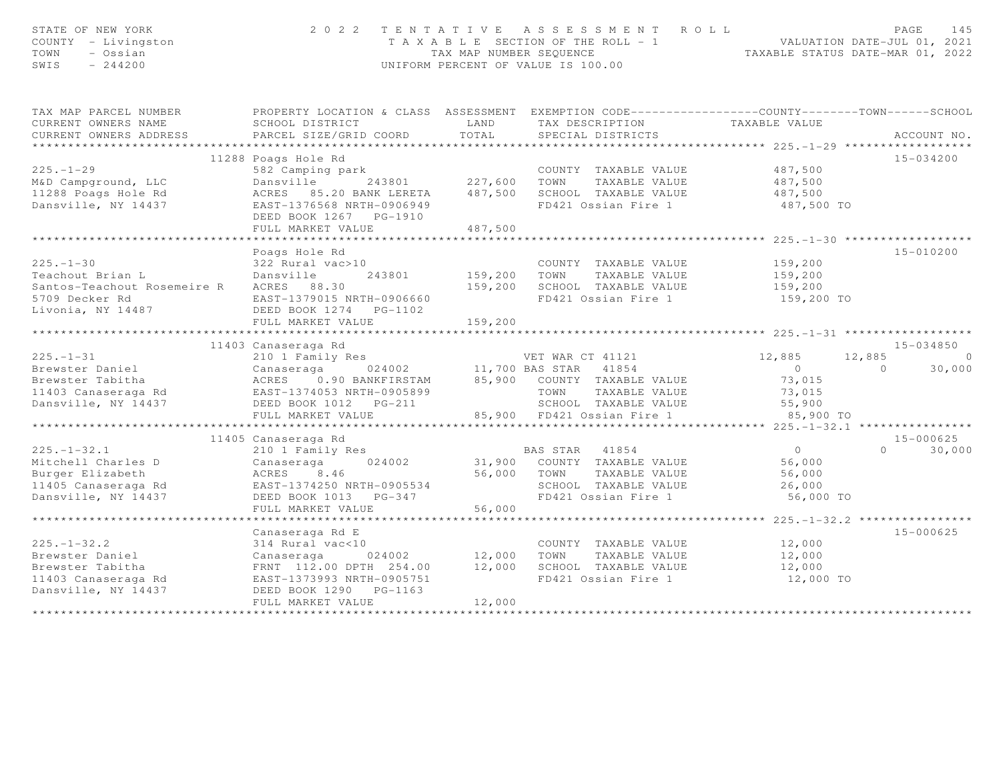| STATE OF NEW YORK<br>COUNTY - Livingston<br>TOWN<br>- Ossian<br>SWIS<br>$-244200$ | 2 0 2 2                                             | TAX MAP NUMBER SEQUENCE | TENTATIVE ASSESSMENT<br>ROLL<br>T A X A B L E SECTION OF THE ROLL - 1<br>UNIFORM PERCENT OF VALUE IS 100.00 | TAXABLE STATUS DATE-MAR 01, 2022               | PAGE<br>145<br>VALUATION DATE-JUL 01, 2021 |
|-----------------------------------------------------------------------------------|-----------------------------------------------------|-------------------------|-------------------------------------------------------------------------------------------------------------|------------------------------------------------|--------------------------------------------|
| TAX MAP PARCEL NUMBER                                                             |                                                     |                         | PROPERTY LOCATION & CLASS ASSESSMENT EXEMPTION CODE----------------COUNTY-------TOWN------SCHOOL            |                                                |                                            |
| CURRENT OWNERS NAME                                                               | SCHOOL DISTRICT                                     | LAND                    | TAX DESCRIPTION                                                                                             | TAXABLE VALUE                                  |                                            |
| CURRENT OWNERS ADDRESS                                                            | PARCEL SIZE/GRID COORD                              | TOTAL                   | SPECIAL DISTRICTS                                                                                           |                                                | ACCOUNT NO.                                |
| *********************                                                             |                                                     |                         |                                                                                                             | ***************** 225. -1-29 ***************** |                                            |
|                                                                                   | 11288 Poags Hole Rd                                 |                         |                                                                                                             |                                                | 15-034200                                  |
| $225. - 1 - 29$<br>M&D Campground, LLC                                            | 582 Camping park<br>Dansville<br>243801             | 227,600                 | COUNTY TAXABLE VALUE<br>TAXABLE VALUE<br>TOWN                                                               | 487,500<br>487,500                             |                                            |
| 11288 Poags Hole Rd                                                               | ACRES 85.20 BANK LERETA                             | 487,500                 | SCHOOL TAXABLE VALUE                                                                                        | 487,500                                        |                                            |
| Dansville, NY 14437                                                               | EAST-1376568 NRTH-0906949                           |                         | FD421 Ossian Fire 1                                                                                         | 487,500 TO                                     |                                            |
|                                                                                   | DEED BOOK 1267 PG-1910                              |                         |                                                                                                             |                                                |                                            |
|                                                                                   | FULL MARKET VALUE                                   | 487,500                 |                                                                                                             |                                                |                                            |
|                                                                                   |                                                     |                         |                                                                                                             |                                                |                                            |
|                                                                                   | Poags Hole Rd                                       |                         |                                                                                                             |                                                | 15-010200                                  |
| $225 - 1 - 30$                                                                    | 322 Rural vac>10                                    |                         | COUNTY TAXABLE VALUE                                                                                        | 159,200                                        |                                            |
| Teachout Brian L                                                                  | Dansville<br>243801                                 | 159,200                 | TOWN<br>TAXABLE VALUE                                                                                       | 159,200                                        |                                            |
| Santos-Teachout Rosemeire R                                                       | ACRES 88.30                                         | 159,200                 | SCHOOL TAXABLE VALUE                                                                                        | 159,200                                        |                                            |
| 5709 Decker Rd                                                                    | EAST-1379015 NRTH-0906660                           |                         | FD421 Ossian Fire 1                                                                                         | 159,200 TO                                     |                                            |
| Livonia, NY 14487                                                                 | DEED BOOK 1274    PG-1102                           |                         |                                                                                                             |                                                |                                            |
|                                                                                   | FULL MARKET VALUE<br>*****************************  | 159,200                 |                                                                                                             |                                                |                                            |
|                                                                                   |                                                     |                         |                                                                                                             |                                                |                                            |
| $225. - 1 - 31$                                                                   | 11403 Canaseraga Rd                                 |                         | VET WAR CT 41121                                                                                            |                                                | $15 - 034850$<br>12,885<br>$\circ$         |
| Brewster Daniel                                                                   | 210 1 Family Res<br>024002<br>Canaseraga            |                         | 11,700 BAS STAR<br>41854                                                                                    | 12,885<br>$\overline{0}$                       | 30,000<br>$\Omega$                         |
| Brewster Tabitha                                                                  | ACRES<br>0.90 BANKFIRSTAM                           | 85,900                  | COUNTY TAXABLE VALUE                                                                                        | 73,015                                         |                                            |
| 11403 Canaseraga Rd                                                               | EAST-1374053 NRTH-0905899                           |                         | TOWN<br>TAXABLE VALUE                                                                                       | 73,015                                         |                                            |
| Dansville, NY 14437                                                               | DEED BOOK 1012    PG-211                            |                         | SCHOOL TAXABLE VALUE                                                                                        | 55,900                                         |                                            |
|                                                                                   | FULL MARKET VALUE                                   |                         | 85,900 FD421 Ossian Fire 1                                                                                  | 85,900 TO                                      |                                            |
|                                                                                   | ******************************                      |                         |                                                                                                             |                                                |                                            |
|                                                                                   | 11405 Canaseraga Rd                                 |                         |                                                                                                             |                                                | $15 - 000625$                              |
| $225. - 1 - 32.1$                                                                 | 210 1 Family Res                                    |                         | 41854<br>BAS STAR                                                                                           | $\overline{0}$                                 | $\Omega$<br>30,000                         |
| Mitchell Charles D                                                                | Canaseraga<br>024002                                | 31,900                  | COUNTY TAXABLE VALUE                                                                                        | 56,000                                         |                                            |
| Burger Elizabeth                                                                  | ACRES<br>8.46                                       | 56,000                  | TOWN<br>TAXABLE VALUE                                                                                       | 56,000                                         |                                            |
| 11405 Canaseraga Rd                                                               | EAST-1374250 NRTH-0905534                           |                         | SCHOOL TAXABLE VALUE                                                                                        | 26,000                                         |                                            |
| Dansville, NY 14437                                                               | DEED BOOK 1013 PG-347                               |                         | FD421 Ossian Fire 1                                                                                         | 56,000 TO                                      |                                            |
|                                                                                   | FULL MARKET VALUE                                   | 56,000                  |                                                                                                             |                                                |                                            |
|                                                                                   |                                                     |                         |                                                                                                             |                                                |                                            |
|                                                                                   | Canaseraga Rd E                                     |                         |                                                                                                             |                                                | $15 - 000625$                              |
| $225. - 1 - 32.2$                                                                 | 314 Rural vac<10                                    |                         | COUNTY TAXABLE VALUE                                                                                        | 12,000                                         |                                            |
| Brewster Daniel                                                                   | 024002<br>Canaseraga                                | 12,000                  | TOWN<br>TAXABLE VALUE                                                                                       | 12,000                                         |                                            |
| Brewster Tabitha                                                                  | FRNT 112.00 DPTH 254.00                             | 12,000                  | SCHOOL TAXABLE VALUE<br>FD421 Ossian Fire 1                                                                 | 12,000                                         |                                            |
| 11403 Canaseraga Rd<br>Dansville, NY 14437                                        | EAST-1373993 NRTH-0905751<br>DEED BOOK 1290 PG-1163 |                         |                                                                                                             | 12,000 TO                                      |                                            |
|                                                                                   | FULL MARKET VALUE                                   | 12,000                  |                                                                                                             |                                                |                                            |
|                                                                                   |                                                     |                         |                                                                                                             |                                                |                                            |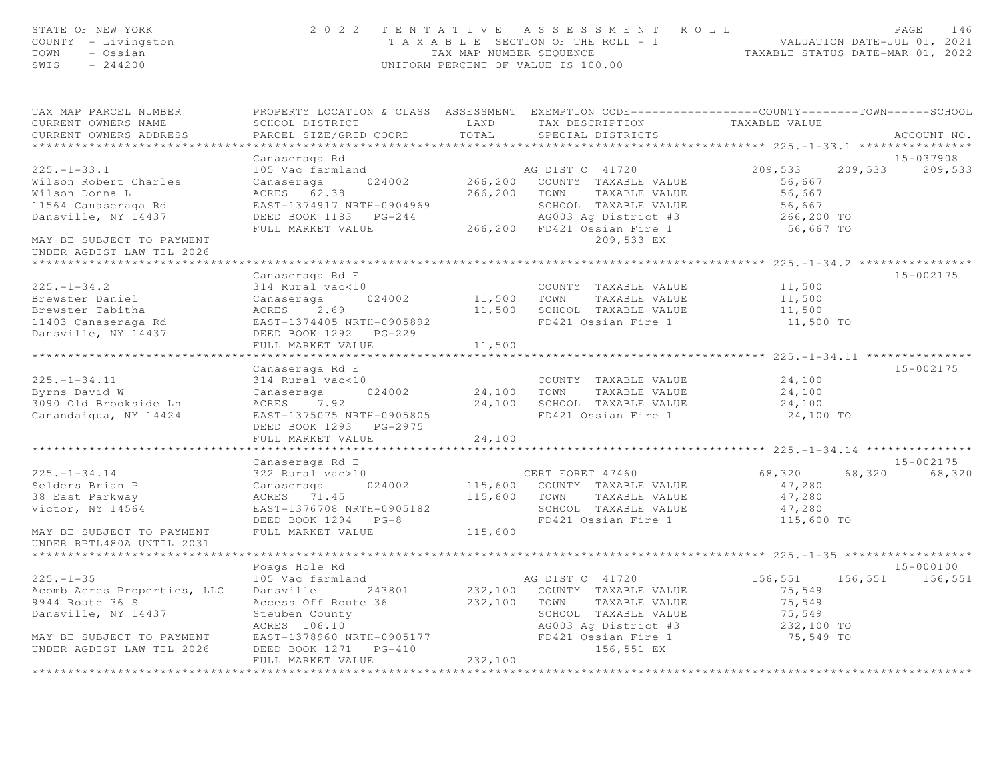| STATE OF NEW YORK<br>COUNTY - Livingston<br>TOWN - Ossian<br>$SWIS = 244200$ |                                                                                                                                                                                      |                                                  | 2022 TENTATIVE ASSESSMENT ROLL<br>T A X A B L E SECTION OF THE ROLL - 1 VALUATION DATE-JUL 01, 2021<br>TAX MAP NUMBER SEQUENCE TAXABLE STATUS DATE-MAR 01, 2022<br>UNIFORM PERCENT OF VALUE IS 100.00 |                                                  | PAGE<br>146     |
|------------------------------------------------------------------------------|--------------------------------------------------------------------------------------------------------------------------------------------------------------------------------------|--------------------------------------------------|-------------------------------------------------------------------------------------------------------------------------------------------------------------------------------------------------------|--------------------------------------------------|-----------------|
| TAX MAP PARCEL NUMBER<br>CURRENT OWNERS NAME<br>CURRENT OWNERS ADDRESS       | SCHOOL DISTRICT<br>PARCEL SIZE/GRID COORD                                                                                                                                            | LAND<br>TOTAL                                    | PROPERTY LOCATION & CLASS ASSESSMENT EXEMPTION CODE-----------------COUNTY--------TOWN------SCHOOL<br>TAX DESCRIPTION<br>SPECIAL DISTRICTS                                                            | TAXABLE VALUE                                    | ACCOUNT NO.     |
|                                                                              |                                                                                                                                                                                      |                                                  |                                                                                                                                                                                                       | ****************** 225.-1-33.1 ***************** | 15-037908       |
| $225. - 1 - 33.1$                                                            | Canaseraga Rd<br>105 Vac farmland                                                                                                                                                    |                                                  | AG DIST C 41720                                                                                                                                                                                       | 209,533                                          | 209,533 209,533 |
| Wilson Robert Charles<br>Wilson Donna L<br>11564 Canaseraga Rd               | Canaseraga 024002<br>ACRES 62.38<br>EAST-1374917 NRTH-0904969                                                                                                                        |                                                  | 266,200 COUNTY TAXABLE VALUE<br>266,200 TOWN TAXABLE VALUE                                                                                                                                            | 56,667<br>56,667<br>56,667                       |                 |
| Dansville, NY 14437                                                          | FULL MARKET VALUE                                                                                                                                                                    |                                                  | SCHOOL TAXABLE VALUE<br>AG003 Ag District #3<br>266,200 FD421 Ossian Fire 1                                                                                                                           | 266,200 TO<br>56,667 TO                          |                 |
| MAY BE SUBJECT TO PAYMENT<br>UNDER AGDIST LAW TIL 2026                       |                                                                                                                                                                                      |                                                  | 209,533 EX                                                                                                                                                                                            |                                                  |                 |
|                                                                              |                                                                                                                                                                                      |                                                  |                                                                                                                                                                                                       |                                                  |                 |
|                                                                              | Canaseraga Rd E                                                                                                                                                                      |                                                  |                                                                                                                                                                                                       |                                                  | 15-002175       |
| $225. - 1 - 34.2$                                                            | 314 Rural vac<10                                                                                                                                                                     |                                                  | COUNTY TAXABLE VALUE                                                                                                                                                                                  | 11,500                                           |                 |
| Brewster Daniel<br>Brewster Tabitha                                          | Canaseraga 024002<br>ACRES 2.69<br>EAST-1374405 NRTH-0905892                                                                                                                         |                                                  | 11,500 TOWN TAXABLE VALUE<br>11,500 SCHOOL TAXABLE VALUE                                                                                                                                              | 11,500                                           |                 |
|                                                                              |                                                                                                                                                                                      |                                                  | FD421 Ossian Fire 1                                                                                                                                                                                   | 11,500<br>11,500 TO                              |                 |
| 11403 Canaseraga Rd<br>Dansville, NY 14437                                   | DEED BOOK 1292 PG-229                                                                                                                                                                |                                                  |                                                                                                                                                                                                       |                                                  |                 |
|                                                                              | FULL MARKET VALUE                                                                                                                                                                    | 11,500                                           |                                                                                                                                                                                                       |                                                  |                 |
|                                                                              |                                                                                                                                                                                      |                                                  |                                                                                                                                                                                                       | ****************** 225.-1-34.11 **************** |                 |
|                                                                              | Canaseraga Rd E                                                                                                                                                                      |                                                  |                                                                                                                                                                                                       |                                                  | 15-002175       |
| $225. -1 - 34.11$                                                            | 314 Rural vac<10                                                                                                                                                                     |                                                  | COUNTY TAXABLE VALUE 24,100                                                                                                                                                                           |                                                  |                 |
| Byrns David W                                                                | Canaseraga 024002                                                                                                                                                                    |                                                  | 24,100 TOWN TAXABLE VALUE<br>24,100 SCHOOL TAXABLE VALUE                                                                                                                                              | 24,100                                           |                 |
| 3090 Old Brookside Ln                                                        | ACRES 7.92<br>EAST-1375075 NRTH-0905805                                                                                                                                              |                                                  | FD421 Ossian Fire 1                                                                                                                                                                                   | 24,100<br>24,100 TO                              |                 |
| Canandaigua, NY 14424                                                        | DEED BOOK 1293 PG-2975                                                                                                                                                               |                                                  |                                                                                                                                                                                                       |                                                  |                 |
|                                                                              | FULL MARKET VALUE                                                                                                                                                                    | 24,100                                           |                                                                                                                                                                                                       |                                                  |                 |
|                                                                              |                                                                                                                                                                                      |                                                  |                                                                                                                                                                                                       |                                                  |                 |
|                                                                              | Canaseraga Rd E                                                                                                                                                                      |                                                  |                                                                                                                                                                                                       |                                                  | 15-002175       |
| $225. - 1 - 34.14$                                                           | 322 Rural vac>10                                                                                                                                                                     |                                                  | CERT FORET 47460                                                                                                                                                                                      | 68,320 68,320                                    | 68,320          |
| Selders Brian P                                                              | Canaseraga 024002                                                                                                                                                                    |                                                  | 115,600 COUNTY TAXABLE VALUE                                                                                                                                                                          | 47,280                                           |                 |
| 38 East Parkway                                                              | ACRES 71.45                                                                                                                                                                          |                                                  | 115,600 TOWN TAXABLE VALUE                                                                                                                                                                            | 47,280                                           |                 |
| Victor, NY 14564                                                             | EAST-1376708 NRTH-0905182                                                                                                                                                            |                                                  | SCHOOL TAXABLE VALUE                                                                                                                                                                                  | 47,280                                           |                 |
|                                                                              | DEED BOOK 1294 PG-8                                                                                                                                                                  |                                                  | FD421 Ossian Fire 1                                                                                                                                                                                   | 115,600 TO                                       |                 |
| MAY BE SUBJECT TO PAYMENT<br>UNDER RPTL480A UNTIL 2031                       | FULL MARKET VALUE                                                                                                                                                                    | 115,600                                          |                                                                                                                                                                                                       |                                                  |                 |
|                                                                              | Poags Hole Rd                                                                                                                                                                        |                                                  |                                                                                                                                                                                                       |                                                  | 15-000100       |
| $225. - 1 - 35$                                                              | 105 Vac farmland                                                                                                                                                                     |                                                  | AG DIST C 41720                                                                                                                                                                                       | 156,551 156,551 156,551                          |                 |
| Acomb Acres Properties, LLC                                                  | Dansville 243801                                                                                                                                                                     |                                                  | 232,100 COUNTY TAXABLE VALUE                                                                                                                                                                          | 75,549                                           |                 |
| 9944 Route 36 S                                                              | Access Off Route 36                                                                                                                                                                  |                                                  | 232,100 TOWN TAXABLE VALUE                                                                                                                                                                            | 75,549                                           |                 |
| Dansville, NY 14437                                                          | Steuben County                                                                                                                                                                       |                                                  | SCHOOL TAXABLE VALUE                                                                                                                                                                                  | 75,549                                           |                 |
|                                                                              | ACRES 106.10                                                                                                                                                                         |                                                  | AG003 Ag District #3                                                                                                                                                                                  | 232,100 TO                                       |                 |
| MAY BE SUBJECT TO PAYMENT                                                    | $\texttt{FAST-1378960 \texttt{ NRTH-0905177}}$ $\texttt{FD421} \texttt{O51}$ $\texttt{FDA21} \texttt{O51}$ $\texttt{S1} \texttt{C} \texttt{F1}$ $\texttt{F1} \texttt{C} \texttt{F2}$ |                                                  |                                                                                                                                                                                                       | 75,549 TO                                        |                 |
| UNDER AGDIST LAW TIL 2026                                                    | DEED BOOK 1271 PG-410                                                                                                                                                                |                                                  | 156,551 EX                                                                                                                                                                                            |                                                  |                 |
|                                                                              | FULL MARKET VALUE<br>                                                                                                                                                                | 232,100<br>+ + + + + + + + + + + + + + + + + + + |                                                                                                                                                                                                       |                                                  |                 |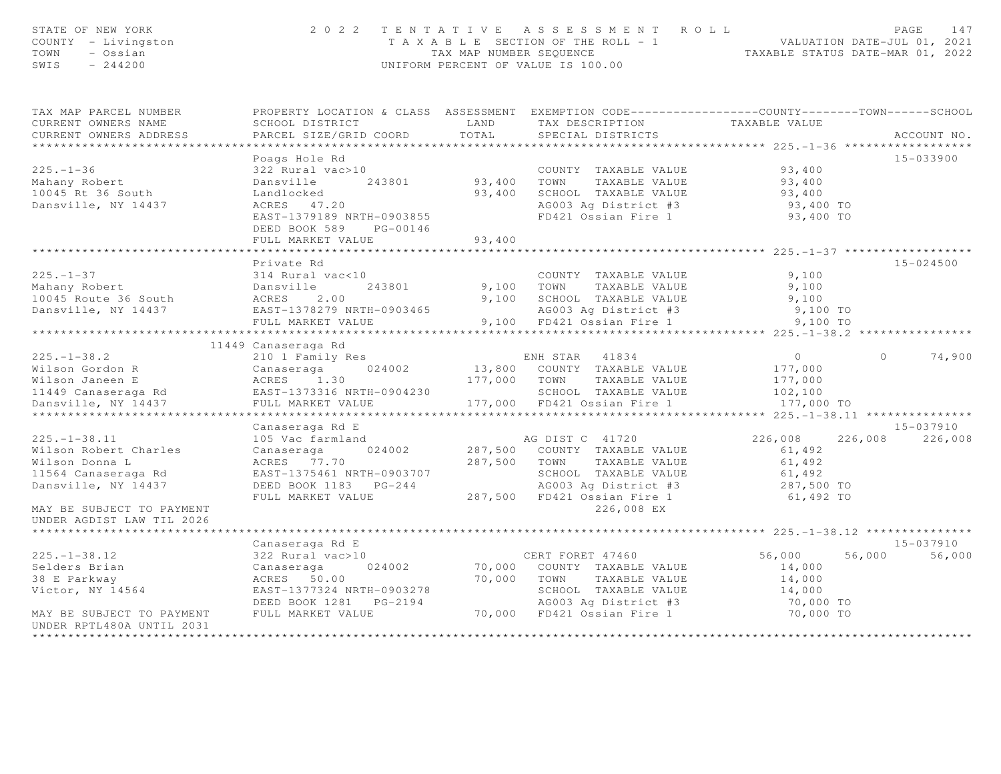| STATE OF NEW YORK<br>COUNTY - Livingston<br>TOWN<br>- Ossian<br>$-244200$<br>SWIS |                                                                                                  |              | 2022 TENTATIVE ASSESSMENT ROLL<br>T A X A B L E SECTION OF THE ROLL - 1 VALUATION DATE-JUL 01, 2021<br>TAX MAP NUMBER SEQUENCE TAXABLE STATUS DATE-MAR 01, 2022<br>UNIFORM PERCENT OF VALUE IS 100.00 |                                      |          | 147<br>PAGE   |
|-----------------------------------------------------------------------------------|--------------------------------------------------------------------------------------------------|--------------|-------------------------------------------------------------------------------------------------------------------------------------------------------------------------------------------------------|--------------------------------------|----------|---------------|
| TAX MAP PARCEL NUMBER                                                             | PROPERTY LOCATION & CLASS ASSESSMENT EXEMPTION CODE----------------COUNTY-------TOWN------SCHOOL |              |                                                                                                                                                                                                       |                                      |          |               |
| CURRENT OWNERS NAME                                                               | SCHOOL DISTRICT                                                                                  | LAND         | TAX DESCRIPTION TAXABLE VALUE<br>SPECIAL DISTRICTS                                                                                                                                                    |                                      |          |               |
| CURRENT OWNERS ADDRESS                                                            | PARCEL SIZE/GRID COORD                                                                           | TOTAL        | SPECIAL DISTRICTS                                                                                                                                                                                     |                                      |          | ACCOUNT NO.   |
| *************************                                                         |                                                                                                  |              |                                                                                                                                                                                                       |                                      |          |               |
|                                                                                   | Poags Hole Rd                                                                                    |              |                                                                                                                                                                                                       |                                      |          | 15-033900     |
| $225. - 1 - 36$                                                                   | 322 Rural vac>10                                                                                 |              | COUNTY TAXABLE VALUE                                                                                                                                                                                  | 93,400                               |          |               |
| Mahany Robert                                                                     | Dansville 243801                                                                                 |              | 93,400 TOWN TAXABLE VALUE                                                                                                                                                                             | 93,400                               |          |               |
| 10045 Rt 36 South                                                                 | Landlocked                                                                                       |              | 93,400 SCHOOL TAXABLE VALUE                                                                                                                                                                           | 93,400                               |          |               |
| Dansville, NY 14437                                                               | ACRES 47.20                                                                                      |              | AG003 Ag District #3                                                                                                                                                                                  | 93,400 TO                            |          |               |
|                                                                                   | EAST-1379189 NRTH-0903855<br>DEED BOOK 589 PG-00146                                              |              | FD421 Ossian Fire 1                                                                                                                                                                                   | 93,400 TO                            |          |               |
|                                                                                   | FULL MARKET VALUE                                                                                | 93,400       |                                                                                                                                                                                                       |                                      |          |               |
|                                                                                   |                                                                                                  |              |                                                                                                                                                                                                       | **************** 225.-1-37 ********* |          |               |
|                                                                                   | Private Rd                                                                                       |              |                                                                                                                                                                                                       |                                      |          | 15-024500     |
| $225. - 1 - 37$<br>Mahany Robert                                                  | 314 Rural vac<10                                                                                 |              | COUNTY TAXABLE VALUE                                                                                                                                                                                  | 9,100                                |          |               |
|                                                                                   | Dansville<br>ACRES 2.00<br>243801                                                                | 9,100 TOWN   | TAXABLE VALUE                                                                                                                                                                                         | 9,100                                |          |               |
| 10045 Route 36 South                                                              |                                                                                                  | 9,100        | SCHOOL TAXABLE VALUE                                                                                                                                                                                  | 9,100                                |          |               |
| Dansville, NY 14437                                                               | EAST-1378279 NRTH-0903465<br>FULL MARKET VALUE                                                   |              | AG003 Ag District #3<br>9,100 FD421 Ossian Fire 1                                                                                                                                                     | 9,100 TO                             |          |               |
|                                                                                   |                                                                                                  |              |                                                                                                                                                                                                       | 9,100 TO                             |          |               |
|                                                                                   | 11449 Canaseraga Rd                                                                              |              |                                                                                                                                                                                                       |                                      |          |               |
| $225. - 1 - 38.2$                                                                 | 210 1 Family Res                                                                                 |              | ENH STAR 41834                                                                                                                                                                                        | $\overline{O}$                       | $\Omega$ | 74,900        |
| Wilson Gordon R                                                                   | 024002<br>Canaseraga                                                                             |              | 13,800 COUNTY TAXABLE VALUE                                                                                                                                                                           | 177,000                              |          |               |
| Wilson Janeen E                                                                   |                                                                                                  |              | 177,000 TOWN<br>TAXABLE VALUE                                                                                                                                                                         | 177,000                              |          |               |
| 11449 Canaseraga Rd                                                               | $ACRES$ 1.30<br>EAST-1373316 NRTH-0904230                                                        |              | SCHOOL TAXABLE VALUE                                                                                                                                                                                  | 102,100                              |          |               |
| Dansville, NY 14437                                                               | FULL MARKET VALUE                                                                                |              | 177,000 FD421 Ossian Fire 1                                                                                                                                                                           | 177,000 TO                           |          |               |
|                                                                                   | ***********************                                                                          |              |                                                                                                                                                                                                       |                                      |          |               |
|                                                                                   | Canaseraga Rd E                                                                                  |              |                                                                                                                                                                                                       |                                      |          | $15 - 037910$ |
| $225. - 1 - 38.11$                                                                | 105 Vac farmland                                                                                 |              | AG DIST C 41720                                                                                                                                                                                       | 226,008                              | 226,008  | 226,008       |
| Wilson Robert Charles                                                             | 024002<br>Canaseraga                                                                             |              | 287,500 COUNTY TAXABLE VALUE                                                                                                                                                                          | 61,492                               |          |               |
| Wilson Donna L                                                                    | ACRES 77.70                                                                                      | 287,500 TOWN | TAXABLE VALUE                                                                                                                                                                                         | 61,492                               |          |               |
| 11564 Canaseraga Rd                                                               | EAST-1375461 NRTH-0903707                                                                        |              | SCHOOL TAXABLE VALUE                                                                                                                                                                                  | 61,492                               |          |               |
| Dansville, NY 14437                                                               | DEED BOOK 1183 PG-244                                                                            |              | AG003 Ag District #3                                                                                                                                                                                  | 287,500 TO                           |          |               |
|                                                                                   | FULL MARKET VALUE                                                                                |              | 287,500 FD421 Ossian Fire 1                                                                                                                                                                           | 61,492 TO                            |          |               |
| MAY BE SUBJECT TO PAYMENT                                                         |                                                                                                  |              | 226,008 EX                                                                                                                                                                                            |                                      |          |               |
| UNDER AGDIST LAW TIL 2026                                                         |                                                                                                  |              |                                                                                                                                                                                                       |                                      |          |               |
|                                                                                   |                                                                                                  |              |                                                                                                                                                                                                       |                                      |          |               |
|                                                                                   | Canaseraga Rd E                                                                                  |              |                                                                                                                                                                                                       |                                      |          | 15-037910     |
| $225. - 1 - 38.12$                                                                | 322 Rural vac>10                                                                                 |              | CERT FORET 47460                                                                                                                                                                                      | 56,000                               | 56,000   | 56,000        |
| Selders Brian                                                                     | 024002<br>Canaseraga                                                                             |              | 70,000 COUNTY TAXABLE VALUE                                                                                                                                                                           | 14,000                               |          |               |
| 38 E Parkway                                                                      | ACRES 50.00                                                                                      | 70,000       | TOWN<br>TAXABLE VALUE                                                                                                                                                                                 | 14,000                               |          |               |
| Victor, NY 14564                                                                  | EAST-1377324 NRTH-0903278                                                                        |              | SCHOOL TAXABLE VALUE                                                                                                                                                                                  | 14,000                               |          |               |
|                                                                                   | DEED BOOK 1281    PG-2194                                                                        |              | AG003 Ag District #3                                                                                                                                                                                  | 70,000 TO                            |          |               |
| MAY BE SUBJECT TO PAYMENT                                                         | FULL MARKET VALUE                                                                                |              | 70,000 FD421 Ossian Fire 1                                                                                                                                                                            | 70,000 TO                            |          |               |
| UNDER RPTL480A UNTIL 2031                                                         |                                                                                                  |              |                                                                                                                                                                                                       |                                      |          |               |
|                                                                                   |                                                                                                  |              |                                                                                                                                                                                                       |                                      |          |               |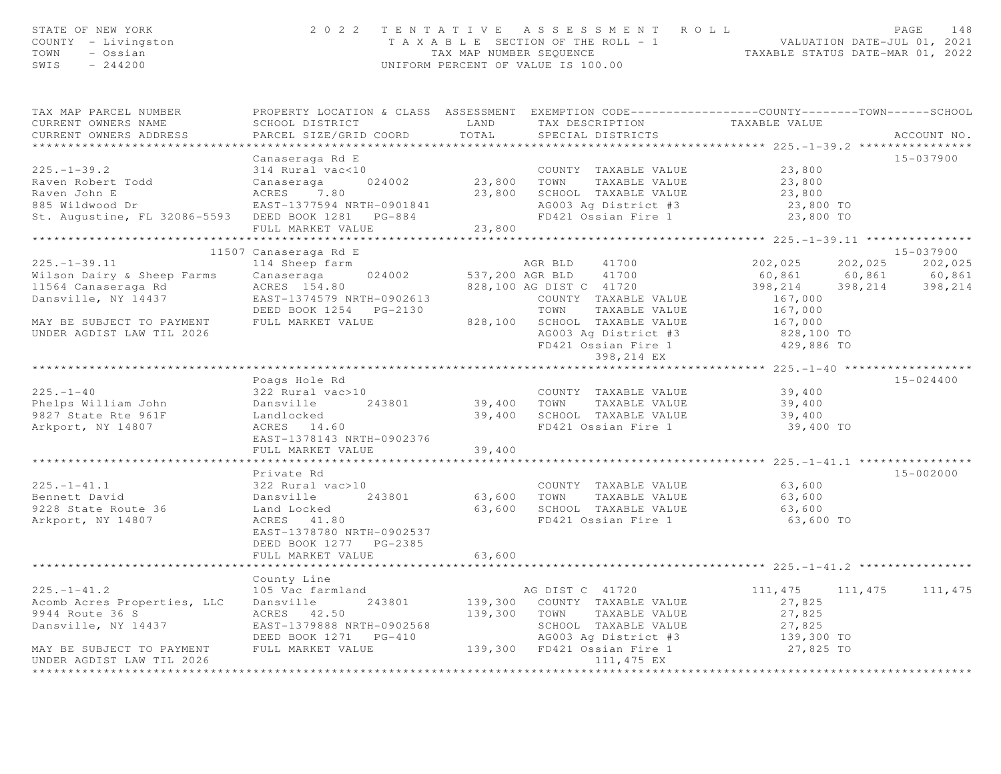| STATE OF NEW YORK<br>COUNTY - Livingston<br>TOWN - Ossian<br>SWIS $-244200$                                                                                       |                                                                                                       | 2022 TENTATIVE ASSESSMENT ROLL PAGE 148<br>TAXABLE SECTION OF THE ROLL - 1 VALUATION DATE-JUL 01, 2021<br>TAX MAP NUMBER SEQUENCE TAXABLE STATUS DATE-MAR 01, 2022<br>UNIFORM PERCENT OF VALUE IS 100.00                                                                                                                                                                                                         |                                                                                                                                                         |
|-------------------------------------------------------------------------------------------------------------------------------------------------------------------|-------------------------------------------------------------------------------------------------------|------------------------------------------------------------------------------------------------------------------------------------------------------------------------------------------------------------------------------------------------------------------------------------------------------------------------------------------------------------------------------------------------------------------|---------------------------------------------------------------------------------------------------------------------------------------------------------|
| TAX MAP PARCEL NUMBER<br>CURRENT OWNERS NAME<br>CURRENT OWNERS ADDRESS                                                                                            | PARCEL SIZE/GRID COORD TOTAL                                                                          | PROPERTY LOCATION & CLASS ASSESSMENT EXEMPTION CODE----------------COUNTY-------TOWN------SCHOOL<br>SCHOOL DISTRICT                   LAND       TAX DESCRIPTION                 TAXABLE VALUE<br>SPECIAL DISTRICTS                                                                                                                                                                                              | ACCOUNT NO.                                                                                                                                             |
|                                                                                                                                                                   | Canaseraga Rd E                                                                                       | Canaseraga Rd E<br>Raven Robert Todd 314 Rural vac<10<br>Raven John E<br>Raven John E<br>23,800<br>Raven John E<br>23,800<br>Raven John E<br>23,800<br>23,800<br>23,800<br>23,800<br>23,800<br>23,800<br>23,800<br>23,800<br>23,800<br>23,800<br>23,800<br>23,800<br>2                                                                                                                                           | 15-037900                                                                                                                                               |
| $225. - 1 - 39.11$<br>Wilson Dairy & Sheep Farms Canaseraga 024002<br>MAY BE SUBJECT TO PAYMENT<br>UNDER AGDIST LAW TIL 2026                                      | 11507 Canaseraga Rd E<br>114 Sheep farm                                                               | AGR BLD 41700<br>Wilson Dairy & Sheep Farms Canaseraga 024002 537,200 AGR BLD 41700<br>11564 Canaseraga Rd ACRES 154.80 828,100 AG DIST C 41720<br>Dansville, NY 14437 EAST-1374579 NRTH-0902613 COUNTY TAXABLE VALUE<br>DEED BOOK 1254 PG-2130 TOWN TAX<br>FULL MARKET VALUE 828,100 SCHOOL TAXABLE VALUE 167,000<br>AG003 Ag District #3 828,100 TO<br>FD421 Ossian Fire 1 429,886 TO<br>398,214 EX 429,886 TO | 15-037900<br>202,025 202,025 202,025<br>$\begin{array}{cccc} 60,861 & 60,861 & 60,861 \\ 398,214 & 398,214 & 398,214 \end{array}$<br>167,000<br>167,000 |
| $225 - 1 - 40$<br>Phelps William John<br>9827 State Rte 961F<br>Arkport, NY 14807<br>243801<br>243801<br>243801<br>243801<br>243801<br>243801<br>243801<br>243801 | Poags Hole Rd<br>322 Rural vac>10<br>EAST-1378143 NRTH-0902376<br>FULL MARKET VALUE                   | COUNTY TAXABLE VALUE 39,400<br>39,400 TOWN TAXABLE VALUE 39,400<br>39,400 SCHOOL TAXABLE VALUE<br>FD421 Ossian Fire 1<br>39,400                                                                                                                                                                                                                                                                                  | 15-024400<br>39,400<br>39,400 TO                                                                                                                        |
| 9228 State Route 36<br>Arkport, NY 14807                                                                                                                          | Private Rd<br>ACRES 41.80<br>EAST-1378780 NRTH-0902537<br>DEED BOOK 1277 PG-2385<br>FULL MARKET VALUE | 225.-1-41.1<br>Bennett David<br>Dansville 243801 63,600 TOWN TAXABLE VALUE<br>9228 Rural Value 243801 63,600 TOWN TAXABLE VALUE<br>9228 SCHOOL TAXABLE VALUE<br>9228 Rural 2007 243801 63,600 SCHOOL TAXABLE VALUE<br>63,600 SCHOOL TAXABLE VALUE<br>FD421 Ossian Fire 1<br>63,600                                                                                                                               | 15-002000<br>63,600<br>63,600<br>63,600<br>63,600 TO                                                                                                    |
| $225. - 1 - 41.2$<br>Acomb Acres Properties, LLC<br>UNDER AGDIST LAW TIL 2026<br>*********************                                                            | County Line<br>105 Vac farmland                                                                       | AG DIST C 41720<br>Dansville 243801 139,300 COUNTY TAXABLE VALUE<br>9944 Route 36 S<br>Dansville, NY 14437 EAST-1379888 NRTH-0902568<br>MAY BE SUBJECT TO PAYMENT FULL MARKET VALUE<br>MAY BE SUBJECT TO PAYMENT FULL MARKET VALUE<br>MAY BE SUBJECT TO PAYMENT FULL MARKET VALUE<br>MAY BE SUBJECT TO PAYME<br>111,475 EX                                                                                       | 111, 475 111, 475 111, 475<br>27,825<br>27,825<br>27,825<br>139,300 TO<br>27,825 TO                                                                     |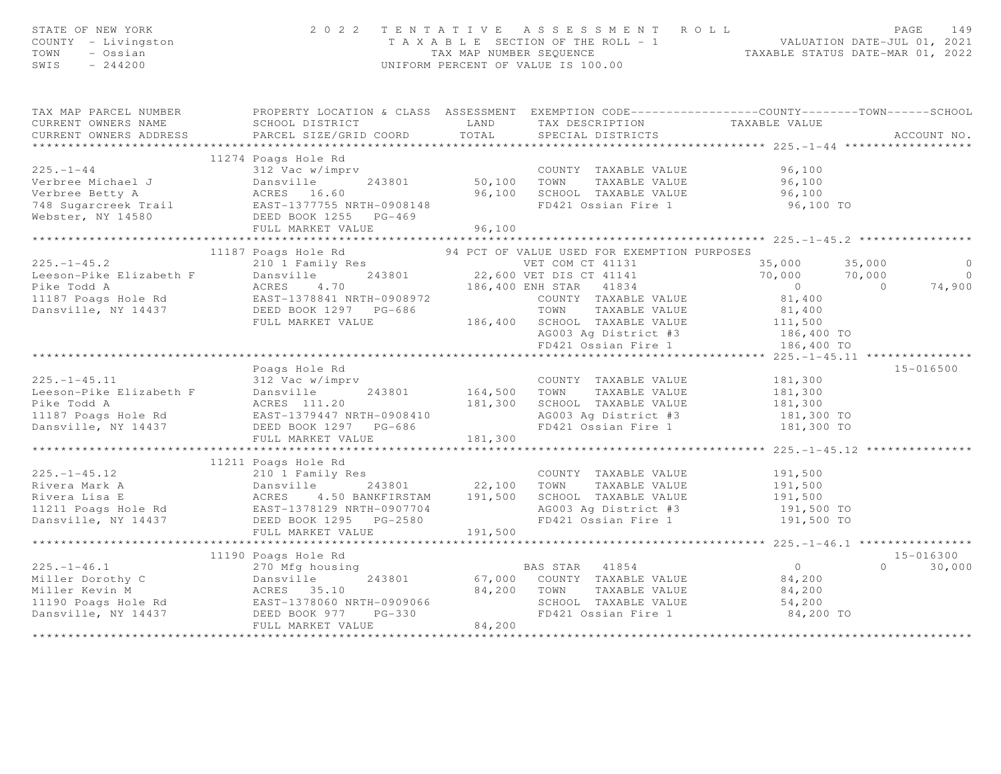| TAX MAP PARCEL NUMBER PROPERTY LOCATION & CLASS ASSESSMENT EXEMPTION CODE---------------COUNTY-------TOWN------SCHOOL<br>SCHOOL DISTRICT COORD LAND TAX DESCRIPTION TAXABLE VALUE<br>PARCEL SIZE/GRID COORD TOTAL SPECIAL DISTRICTS<br>CURRENT OWNERS NAME<br>CURRENT OWNERS ADDRESS<br>ACCOUNT NO.<br>$\begin{tabular}{lllllllllllllllllllll} \multicolumn{3}{c }{\text{\small 1-1-44}} & \multicolumn{3}{c }{\text{\small 1-1-44}} & \multicolumn{3}{c }{\text{\small 1-1-44}} & \multicolumn{3}{c }{\text{\small 1-1-44}} & \multicolumn{3}{c }{\text{\small 1-1-44}} & \multicolumn{3}{c }{\text{\small 1-1-44}} & \multicolumn{3}{c }{\text{\small 1-1-44}} & \multicolumn{3}{c }{\text{\small 1-1-44}} & \multicolumn{3}{c }{\text{\small 1-1$<br>11187 Poars (225.-1-45.2)<br>225.-1-45.2 11187 Poars Hole Rd S4 2010 I Family Res 194 PCT OF VALUE USE TOM CT 41131<br>225.-1-45.2 200 I Family Res 194 PCT OF VALUE USE TOM CT 41131<br>22,600 VET DIS CT 41141 70,000 70,<br>23,000<br>$35,000$ $35,000$<br>$\overline{0}$<br>$70,000$ $70,000$<br>$\overline{0}$<br>$0$<br>81,400<br>74,900<br>Poags Hole Rd<br>15-016500<br>$\begin{tabular}{lllllllllll} \hline & \multicolumn{3}{c}{\mbox{Fougs hole KG}} & \multicolumn{3}{c}{\mbox{Fougs hole KG}} & \multicolumn{3}{c}{\mbox{Fougs hole KG}} & \multicolumn{3}{c}{\mbox{Fougs hole KG}} & \multicolumn{3}{c}{\mbox{Fougs hole KG}} & \multicolumn{3}{c}{\mbox{Fougs hole KG}} & \multicolumn{3}{c}{\mbox{Fougs hole KG}} & \multicolumn{3}{c}{\mbox{Fougs hole KG}} & \multicolumn{3}{c}{\mbox{Fougs hole KG}} & \multicolumn{3}{c}{\mbox{F$<br>11211 Poags Hole Rd 225.-1-45.12<br>Rivera Mark A Dansville 243801<br>Rivera Lisa E ACRES 4.50 BANKFIRSTAM 191,500 SCHOOL TAXABLE VALUE 191,500<br>Rivera Lisa E ACRES 4.50 BANKFIRSTAM 191,500 SCHOOL TAXABLE VALUE 191,500<br>11211<br>15-016300<br>11190 Poags Hole Rd<br>$0 \t 30,000$<br>84,200 TO | STATE OF NEW YORK<br>COUNTY - Livingston<br>TOWN - Ossian<br>SWIS - 244200 |  | 2 0 2 2 T E N T A T I V E A S S E S S M E N T R O L L<br>T A X A B L E SECTION OF THE ROLL - 1<br>TAX MAP NUMBER SEQUENCE<br>UNIFORM PERCENT OF VALUE IS 100.00 |  |
|--------------------------------------------------------------------------------------------------------------------------------------------------------------------------------------------------------------------------------------------------------------------------------------------------------------------------------------------------------------------------------------------------------------------------------------------------------------------------------------------------------------------------------------------------------------------------------------------------------------------------------------------------------------------------------------------------------------------------------------------------------------------------------------------------------------------------------------------------------------------------------------------------------------------------------------------------------------------------------------------------------------------------------------------------------------------------------------------------------------------------------------------------------------------------------------------------------------------------------------------------------------------------------------------------------------------------------------------------------------------------------------------------------------------------------------------------------------------------------------------------------------------------------------------------------------------------------------------------------------------------------------------------------------------------------------------------------------------------------------------------------------------------------------------------------------------------------------------------------------------------------------------------------------------------|----------------------------------------------------------------------------|--|-----------------------------------------------------------------------------------------------------------------------------------------------------------------|--|
|                                                                                                                                                                                                                                                                                                                                                                                                                                                                                                                                                                                                                                                                                                                                                                                                                                                                                                                                                                                                                                                                                                                                                                                                                                                                                                                                                                                                                                                                                                                                                                                                                                                                                                                                                                                                                                                                                                                          |                                                                            |  |                                                                                                                                                                 |  |
|                                                                                                                                                                                                                                                                                                                                                                                                                                                                                                                                                                                                                                                                                                                                                                                                                                                                                                                                                                                                                                                                                                                                                                                                                                                                                                                                                                                                                                                                                                                                                                                                                                                                                                                                                                                                                                                                                                                          |                                                                            |  |                                                                                                                                                                 |  |
|                                                                                                                                                                                                                                                                                                                                                                                                                                                                                                                                                                                                                                                                                                                                                                                                                                                                                                                                                                                                                                                                                                                                                                                                                                                                                                                                                                                                                                                                                                                                                                                                                                                                                                                                                                                                                                                                                                                          |                                                                            |  |                                                                                                                                                                 |  |
|                                                                                                                                                                                                                                                                                                                                                                                                                                                                                                                                                                                                                                                                                                                                                                                                                                                                                                                                                                                                                                                                                                                                                                                                                                                                                                                                                                                                                                                                                                                                                                                                                                                                                                                                                                                                                                                                                                                          |                                                                            |  |                                                                                                                                                                 |  |
|                                                                                                                                                                                                                                                                                                                                                                                                                                                                                                                                                                                                                                                                                                                                                                                                                                                                                                                                                                                                                                                                                                                                                                                                                                                                                                                                                                                                                                                                                                                                                                                                                                                                                                                                                                                                                                                                                                                          |                                                                            |  |                                                                                                                                                                 |  |
|                                                                                                                                                                                                                                                                                                                                                                                                                                                                                                                                                                                                                                                                                                                                                                                                                                                                                                                                                                                                                                                                                                                                                                                                                                                                                                                                                                                                                                                                                                                                                                                                                                                                                                                                                                                                                                                                                                                          |                                                                            |  |                                                                                                                                                                 |  |
|                                                                                                                                                                                                                                                                                                                                                                                                                                                                                                                                                                                                                                                                                                                                                                                                                                                                                                                                                                                                                                                                                                                                                                                                                                                                                                                                                                                                                                                                                                                                                                                                                                                                                                                                                                                                                                                                                                                          |                                                                            |  |                                                                                                                                                                 |  |
|                                                                                                                                                                                                                                                                                                                                                                                                                                                                                                                                                                                                                                                                                                                                                                                                                                                                                                                                                                                                                                                                                                                                                                                                                                                                                                                                                                                                                                                                                                                                                                                                                                                                                                                                                                                                                                                                                                                          |                                                                            |  |                                                                                                                                                                 |  |
|                                                                                                                                                                                                                                                                                                                                                                                                                                                                                                                                                                                                                                                                                                                                                                                                                                                                                                                                                                                                                                                                                                                                                                                                                                                                                                                                                                                                                                                                                                                                                                                                                                                                                                                                                                                                                                                                                                                          |                                                                            |  |                                                                                                                                                                 |  |
|                                                                                                                                                                                                                                                                                                                                                                                                                                                                                                                                                                                                                                                                                                                                                                                                                                                                                                                                                                                                                                                                                                                                                                                                                                                                                                                                                                                                                                                                                                                                                                                                                                                                                                                                                                                                                                                                                                                          |                                                                            |  |                                                                                                                                                                 |  |
|                                                                                                                                                                                                                                                                                                                                                                                                                                                                                                                                                                                                                                                                                                                                                                                                                                                                                                                                                                                                                                                                                                                                                                                                                                                                                                                                                                                                                                                                                                                                                                                                                                                                                                                                                                                                                                                                                                                          |                                                                            |  |                                                                                                                                                                 |  |
|                                                                                                                                                                                                                                                                                                                                                                                                                                                                                                                                                                                                                                                                                                                                                                                                                                                                                                                                                                                                                                                                                                                                                                                                                                                                                                                                                                                                                                                                                                                                                                                                                                                                                                                                                                                                                                                                                                                          |                                                                            |  |                                                                                                                                                                 |  |
|                                                                                                                                                                                                                                                                                                                                                                                                                                                                                                                                                                                                                                                                                                                                                                                                                                                                                                                                                                                                                                                                                                                                                                                                                                                                                                                                                                                                                                                                                                                                                                                                                                                                                                                                                                                                                                                                                                                          |                                                                            |  |                                                                                                                                                                 |  |
|                                                                                                                                                                                                                                                                                                                                                                                                                                                                                                                                                                                                                                                                                                                                                                                                                                                                                                                                                                                                                                                                                                                                                                                                                                                                                                                                                                                                                                                                                                                                                                                                                                                                                                                                                                                                                                                                                                                          |                                                                            |  |                                                                                                                                                                 |  |
|                                                                                                                                                                                                                                                                                                                                                                                                                                                                                                                                                                                                                                                                                                                                                                                                                                                                                                                                                                                                                                                                                                                                                                                                                                                                                                                                                                                                                                                                                                                                                                                                                                                                                                                                                                                                                                                                                                                          |                                                                            |  |                                                                                                                                                                 |  |
|                                                                                                                                                                                                                                                                                                                                                                                                                                                                                                                                                                                                                                                                                                                                                                                                                                                                                                                                                                                                                                                                                                                                                                                                                                                                                                                                                                                                                                                                                                                                                                                                                                                                                                                                                                                                                                                                                                                          |                                                                            |  |                                                                                                                                                                 |  |
|                                                                                                                                                                                                                                                                                                                                                                                                                                                                                                                                                                                                                                                                                                                                                                                                                                                                                                                                                                                                                                                                                                                                                                                                                                                                                                                                                                                                                                                                                                                                                                                                                                                                                                                                                                                                                                                                                                                          |                                                                            |  |                                                                                                                                                                 |  |
|                                                                                                                                                                                                                                                                                                                                                                                                                                                                                                                                                                                                                                                                                                                                                                                                                                                                                                                                                                                                                                                                                                                                                                                                                                                                                                                                                                                                                                                                                                                                                                                                                                                                                                                                                                                                                                                                                                                          |                                                                            |  |                                                                                                                                                                 |  |
|                                                                                                                                                                                                                                                                                                                                                                                                                                                                                                                                                                                                                                                                                                                                                                                                                                                                                                                                                                                                                                                                                                                                                                                                                                                                                                                                                                                                                                                                                                                                                                                                                                                                                                                                                                                                                                                                                                                          |                                                                            |  |                                                                                                                                                                 |  |
|                                                                                                                                                                                                                                                                                                                                                                                                                                                                                                                                                                                                                                                                                                                                                                                                                                                                                                                                                                                                                                                                                                                                                                                                                                                                                                                                                                                                                                                                                                                                                                                                                                                                                                                                                                                                                                                                                                                          |                                                                            |  |                                                                                                                                                                 |  |
|                                                                                                                                                                                                                                                                                                                                                                                                                                                                                                                                                                                                                                                                                                                                                                                                                                                                                                                                                                                                                                                                                                                                                                                                                                                                                                                                                                                                                                                                                                                                                                                                                                                                                                                                                                                                                                                                                                                          |                                                                            |  |                                                                                                                                                                 |  |
|                                                                                                                                                                                                                                                                                                                                                                                                                                                                                                                                                                                                                                                                                                                                                                                                                                                                                                                                                                                                                                                                                                                                                                                                                                                                                                                                                                                                                                                                                                                                                                                                                                                                                                                                                                                                                                                                                                                          |                                                                            |  |                                                                                                                                                                 |  |
|                                                                                                                                                                                                                                                                                                                                                                                                                                                                                                                                                                                                                                                                                                                                                                                                                                                                                                                                                                                                                                                                                                                                                                                                                                                                                                                                                                                                                                                                                                                                                                                                                                                                                                                                                                                                                                                                                                                          |                                                                            |  |                                                                                                                                                                 |  |
|                                                                                                                                                                                                                                                                                                                                                                                                                                                                                                                                                                                                                                                                                                                                                                                                                                                                                                                                                                                                                                                                                                                                                                                                                                                                                                                                                                                                                                                                                                                                                                                                                                                                                                                                                                                                                                                                                                                          |                                                                            |  |                                                                                                                                                                 |  |
|                                                                                                                                                                                                                                                                                                                                                                                                                                                                                                                                                                                                                                                                                                                                                                                                                                                                                                                                                                                                                                                                                                                                                                                                                                                                                                                                                                                                                                                                                                                                                                                                                                                                                                                                                                                                                                                                                                                          |                                                                            |  |                                                                                                                                                                 |  |
|                                                                                                                                                                                                                                                                                                                                                                                                                                                                                                                                                                                                                                                                                                                                                                                                                                                                                                                                                                                                                                                                                                                                                                                                                                                                                                                                                                                                                                                                                                                                                                                                                                                                                                                                                                                                                                                                                                                          |                                                                            |  |                                                                                                                                                                 |  |
|                                                                                                                                                                                                                                                                                                                                                                                                                                                                                                                                                                                                                                                                                                                                                                                                                                                                                                                                                                                                                                                                                                                                                                                                                                                                                                                                                                                                                                                                                                                                                                                                                                                                                                                                                                                                                                                                                                                          |                                                                            |  |                                                                                                                                                                 |  |
|                                                                                                                                                                                                                                                                                                                                                                                                                                                                                                                                                                                                                                                                                                                                                                                                                                                                                                                                                                                                                                                                                                                                                                                                                                                                                                                                                                                                                                                                                                                                                                                                                                                                                                                                                                                                                                                                                                                          |                                                                            |  |                                                                                                                                                                 |  |
|                                                                                                                                                                                                                                                                                                                                                                                                                                                                                                                                                                                                                                                                                                                                                                                                                                                                                                                                                                                                                                                                                                                                                                                                                                                                                                                                                                                                                                                                                                                                                                                                                                                                                                                                                                                                                                                                                                                          |                                                                            |  |                                                                                                                                                                 |  |
|                                                                                                                                                                                                                                                                                                                                                                                                                                                                                                                                                                                                                                                                                                                                                                                                                                                                                                                                                                                                                                                                                                                                                                                                                                                                                                                                                                                                                                                                                                                                                                                                                                                                                                                                                                                                                                                                                                                          |                                                                            |  |                                                                                                                                                                 |  |
|                                                                                                                                                                                                                                                                                                                                                                                                                                                                                                                                                                                                                                                                                                                                                                                                                                                                                                                                                                                                                                                                                                                                                                                                                                                                                                                                                                                                                                                                                                                                                                                                                                                                                                                                                                                                                                                                                                                          |                                                                            |  |                                                                                                                                                                 |  |
|                                                                                                                                                                                                                                                                                                                                                                                                                                                                                                                                                                                                                                                                                                                                                                                                                                                                                                                                                                                                                                                                                                                                                                                                                                                                                                                                                                                                                                                                                                                                                                                                                                                                                                                                                                                                                                                                                                                          |                                                                            |  |                                                                                                                                                                 |  |
|                                                                                                                                                                                                                                                                                                                                                                                                                                                                                                                                                                                                                                                                                                                                                                                                                                                                                                                                                                                                                                                                                                                                                                                                                                                                                                                                                                                                                                                                                                                                                                                                                                                                                                                                                                                                                                                                                                                          |                                                                            |  |                                                                                                                                                                 |  |
|                                                                                                                                                                                                                                                                                                                                                                                                                                                                                                                                                                                                                                                                                                                                                                                                                                                                                                                                                                                                                                                                                                                                                                                                                                                                                                                                                                                                                                                                                                                                                                                                                                                                                                                                                                                                                                                                                                                          |                                                                            |  |                                                                                                                                                                 |  |
|                                                                                                                                                                                                                                                                                                                                                                                                                                                                                                                                                                                                                                                                                                                                                                                                                                                                                                                                                                                                                                                                                                                                                                                                                                                                                                                                                                                                                                                                                                                                                                                                                                                                                                                                                                                                                                                                                                                          |                                                                            |  |                                                                                                                                                                 |  |
|                                                                                                                                                                                                                                                                                                                                                                                                                                                                                                                                                                                                                                                                                                                                                                                                                                                                                                                                                                                                                                                                                                                                                                                                                                                                                                                                                                                                                                                                                                                                                                                                                                                                                                                                                                                                                                                                                                                          |                                                                            |  |                                                                                                                                                                 |  |
|                                                                                                                                                                                                                                                                                                                                                                                                                                                                                                                                                                                                                                                                                                                                                                                                                                                                                                                                                                                                                                                                                                                                                                                                                                                                                                                                                                                                                                                                                                                                                                                                                                                                                                                                                                                                                                                                                                                          |                                                                            |  |                                                                                                                                                                 |  |
|                                                                                                                                                                                                                                                                                                                                                                                                                                                                                                                                                                                                                                                                                                                                                                                                                                                                                                                                                                                                                                                                                                                                                                                                                                                                                                                                                                                                                                                                                                                                                                                                                                                                                                                                                                                                                                                                                                                          |                                                                            |  |                                                                                                                                                                 |  |
|                                                                                                                                                                                                                                                                                                                                                                                                                                                                                                                                                                                                                                                                                                                                                                                                                                                                                                                                                                                                                                                                                                                                                                                                                                                                                                                                                                                                                                                                                                                                                                                                                                                                                                                                                                                                                                                                                                                          |                                                                            |  |                                                                                                                                                                 |  |
|                                                                                                                                                                                                                                                                                                                                                                                                                                                                                                                                                                                                                                                                                                                                                                                                                                                                                                                                                                                                                                                                                                                                                                                                                                                                                                                                                                                                                                                                                                                                                                                                                                                                                                                                                                                                                                                                                                                          |                                                                            |  |                                                                                                                                                                 |  |
|                                                                                                                                                                                                                                                                                                                                                                                                                                                                                                                                                                                                                                                                                                                                                                                                                                                                                                                                                                                                                                                                                                                                                                                                                                                                                                                                                                                                                                                                                                                                                                                                                                                                                                                                                                                                                                                                                                                          |                                                                            |  |                                                                                                                                                                 |  |
|                                                                                                                                                                                                                                                                                                                                                                                                                                                                                                                                                                                                                                                                                                                                                                                                                                                                                                                                                                                                                                                                                                                                                                                                                                                                                                                                                                                                                                                                                                                                                                                                                                                                                                                                                                                                                                                                                                                          |                                                                            |  |                                                                                                                                                                 |  |
|                                                                                                                                                                                                                                                                                                                                                                                                                                                                                                                                                                                                                                                                                                                                                                                                                                                                                                                                                                                                                                                                                                                                                                                                                                                                                                                                                                                                                                                                                                                                                                                                                                                                                                                                                                                                                                                                                                                          |                                                                            |  |                                                                                                                                                                 |  |
|                                                                                                                                                                                                                                                                                                                                                                                                                                                                                                                                                                                                                                                                                                                                                                                                                                                                                                                                                                                                                                                                                                                                                                                                                                                                                                                                                                                                                                                                                                                                                                                                                                                                                                                                                                                                                                                                                                                          |                                                                            |  |                                                                                                                                                                 |  |
|                                                                                                                                                                                                                                                                                                                                                                                                                                                                                                                                                                                                                                                                                                                                                                                                                                                                                                                                                                                                                                                                                                                                                                                                                                                                                                                                                                                                                                                                                                                                                                                                                                                                                                                                                                                                                                                                                                                          |                                                                            |  |                                                                                                                                                                 |  |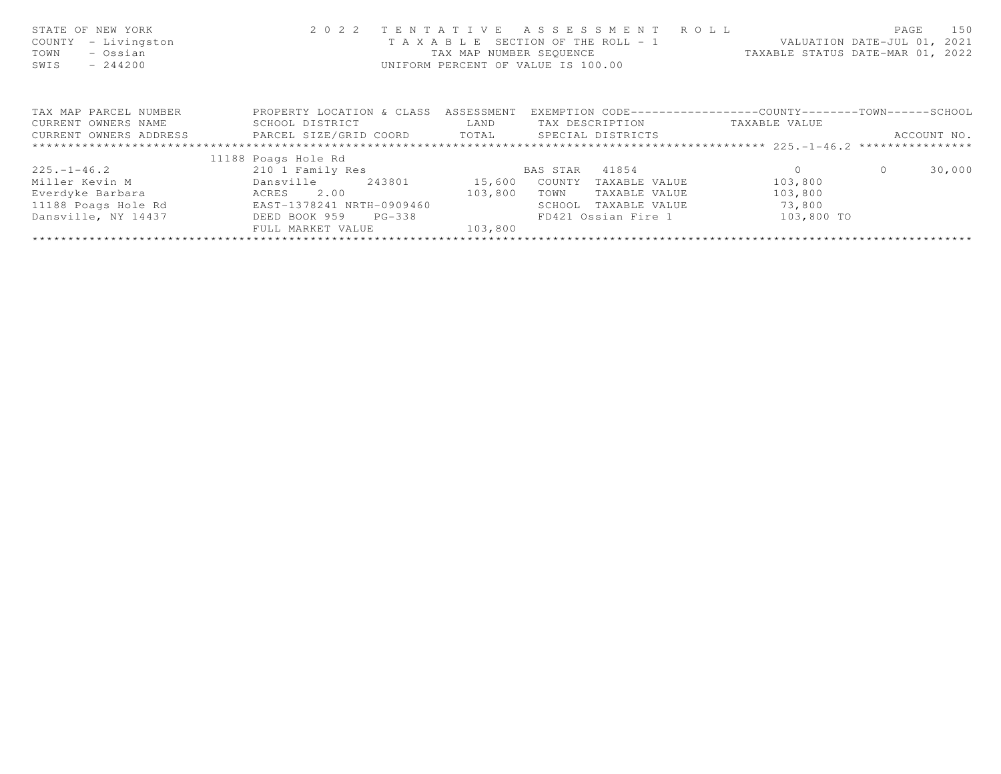| STATE OF NEW YORK<br>- Livingston<br>COUNTY<br>- Ossian<br>TOWN<br>$-244200$<br>SWIS | 2 0 2 2                      | TENTATIVE<br>TAX MAP NUMBER SEOUENCE | A S S E S S M E N T R O L L<br>T A X A B L E SECTION OF THE ROLL - 1<br>UNIFORM PERCENT OF VALUE IS 100.00 | TAXABLE STATUS DATE-MAR 01, 2022 | PAGE<br>VALUATION DATE-JUL 01, 2021 | 150 |
|--------------------------------------------------------------------------------------|------------------------------|--------------------------------------|------------------------------------------------------------------------------------------------------------|----------------------------------|-------------------------------------|-----|
| TAX MAP PARCEL NUMBER                                                                | PROPERTY LOCATION & CLASS    | ASSESSMENT                           | EXEMPTION CODE-----------------COUNTY-------TOWN------SCHOOL                                               |                                  |                                     |     |
| CURRENT OWNERS NAME                                                                  | SCHOOL DISTRICT              | LAND                                 | TAX DESCRIPTION                                                                                            | TAXABLE VALUE                    |                                     |     |
| CURRENT OWNERS ADDRESS                                                               | PARCEL SIZE/GRID COORD TOTAL |                                      | SPECIAL DISTRICTS                                                                                          |                                  | ACCOUNT NO.                         |     |
|                                                                                      |                              |                                      |                                                                                                            |                                  |                                     |     |
|                                                                                      | 11188 Poags Hole Rd          |                                      |                                                                                                            |                                  |                                     |     |
| $225. - 1 - 46.2$                                                                    | 210 1 Family Res             |                                      | BAS STAR<br>41854                                                                                          | $\Omega$                         | 30,000<br>$\Omega$                  |     |
| Miller Kevin M                                                                       | Dansville<br>243801          | 15,600                               | COUNTY<br>TAXABLE VALUE                                                                                    | 103,800                          |                                     |     |
| Everdyke Barbara                                                                     | 2.00<br>ACRES                | 103,800                              | TOWN<br>TAXABLE VALUE                                                                                      | 103,800                          |                                     |     |
| 11188 Poags Hole Rd                                                                  | EAST-1378241 NRTH-0909460    |                                      | SCHOOL<br>TAXABLE VALUE                                                                                    | 73,800                           |                                     |     |
| Dansville, NY 14437                                                                  | DEED BOOK 959<br>PG-338      |                                      | FD421 Ossian Fire 1                                                                                        | 103,800 TO                       |                                     |     |
|                                                                                      | FULL MARKET VALUE            | 103,800                              |                                                                                                            |                                  |                                     |     |
|                                                                                      |                              |                                      |                                                                                                            |                                  |                                     |     |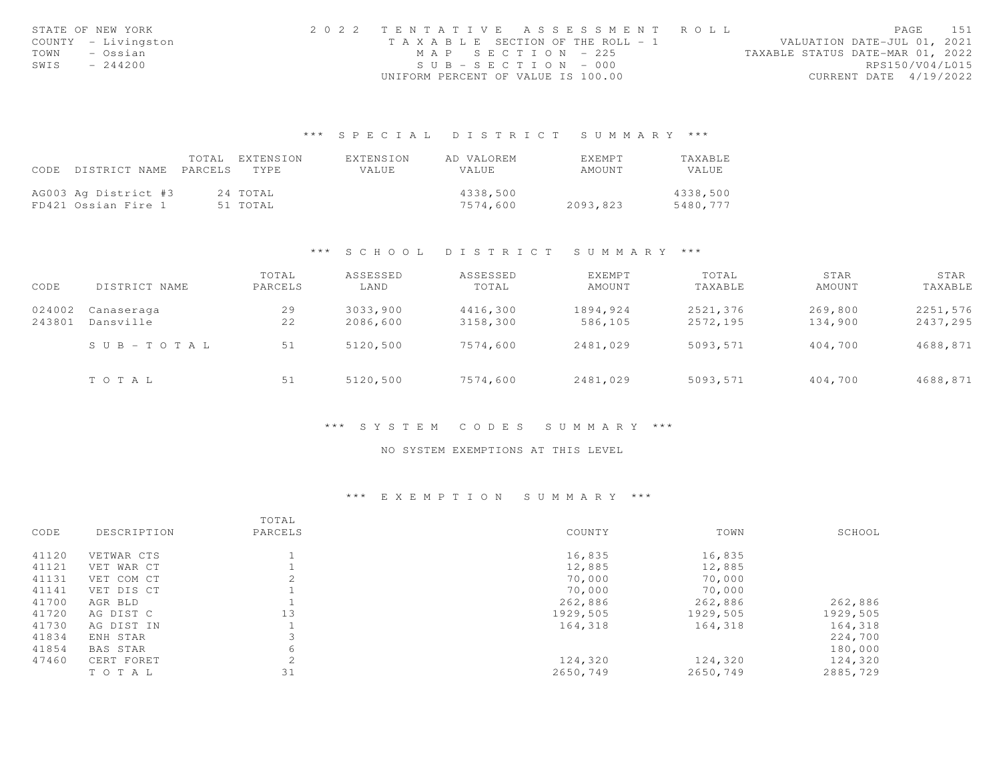| STATE OF NEW YORK   | 2022 TENTATIVE ASSESSMENT ROLL        |                       |                                  | PAGE                   | 151             |
|---------------------|---------------------------------------|-----------------------|----------------------------------|------------------------|-----------------|
| COUNTY - Livingston | T A X A B L E SECTION OF THE ROLL - 1 |                       | VALUATION DATE-JUL 01, 2021      |                        |                 |
| TOWN<br>– Ossian    |                                       | MAP SECTION - 225     | TAXABLE STATUS DATE-MAR 01, 2022 |                        |                 |
| SWIS<br>$-244200$   |                                       | $SUB - SECTION - 000$ |                                  |                        | RPS150/V04/L015 |
|                     | UNIFORM PERCENT OF VALUE IS 100.00    |                       |                                  | CURRENT DATE 4/19/2022 |                 |

|                            | TOTAL EXTENSION | EXTENSION    | AD VALOREM | <b>EXEMPT</b> | <b>TAXABLE</b> |
|----------------------------|-----------------|--------------|------------|---------------|----------------|
| CODE DISTRICT NAME PARCELS | TYPE.           | <b>VALUE</b> | VALUE      | AMOUNT        | VALUE          |
|                            |                 |              |            |               |                |
| AG003 Ag District #3       | 24 TOTAL        |              | 4338,500   |               | 4338,500       |
| FD421 Ossian Fire 1        | 51 TOTAL        |              | 7574,600   | 2093,823      | 5480,777       |

#### \*\*\* S C H O O L D I S T R I C T S U M M A R Y \*\*\*

| CODE             | DISTRICT NAME           | TOTAL<br>PARCELS | ASSESSED<br>LAND     | ASSESSED<br>TOTAL    | EXEMPT<br>AMOUNT    | TOTAL<br>TAXABLE     | STAR<br>AMOUNT     | STAR<br>TAXABLE      |
|------------------|-------------------------|------------------|----------------------|----------------------|---------------------|----------------------|--------------------|----------------------|
| 024002<br>243801 | Canaseraga<br>Dansville | 29<br>22         | 3033,900<br>2086,600 | 4416,300<br>3158,300 | 1894,924<br>586,105 | 2521,376<br>2572,195 | 269,800<br>134,900 | 2251,576<br>2437,295 |
|                  | SUB-TOTAL               | 51               | 5120,500             | 7574,600             | 2481,029            | 5093,571             | 404,700            | 4688,871             |
|                  | TOTAL                   | 51               | 5120,500             | 7574,600             | 2481,029            | 5093,571             | 404,700            | 4688,871             |

#### \*\*\* S Y S T E M C O D E S S U M M A R Y \*\*\*

## NO SYSTEM EXEMPTIONS AT THIS LEVEL

#### \*\*\* E X E M P T I O N S U M M A R Y \*\*\*

|       |             | TOTAL   |          |          |          |
|-------|-------------|---------|----------|----------|----------|
| CODE  | DESCRIPTION | PARCELS | COUNTY   | TOWN     | SCHOOL   |
| 41120 | VETWAR CTS  |         | 16,835   | 16,835   |          |
| 41121 | VET WAR CT  |         | 12,885   | 12,885   |          |
| 41131 | VET COM CT  |         | 70,000   | 70,000   |          |
| 41141 | VET DIS CT  |         | 70,000   | 70,000   |          |
| 41700 | AGR BLD     |         | 262,886  | 262,886  | 262,886  |
| 41720 | AG DIST C   | 13      | 1929,505 | 1929,505 | 1929,505 |
| 41730 | AG DIST IN  |         | 164,318  | 164,318  | 164,318  |
| 41834 | ENH STAR    |         |          |          | 224,700  |
| 41854 | BAS STAR    | 6       |          |          | 180,000  |
| 47460 | CERT FORET  | 2       | 124,320  | 124,320  | 124,320  |
|       | TO TAL      | 31      | 2650,749 | 2650,749 | 2885,729 |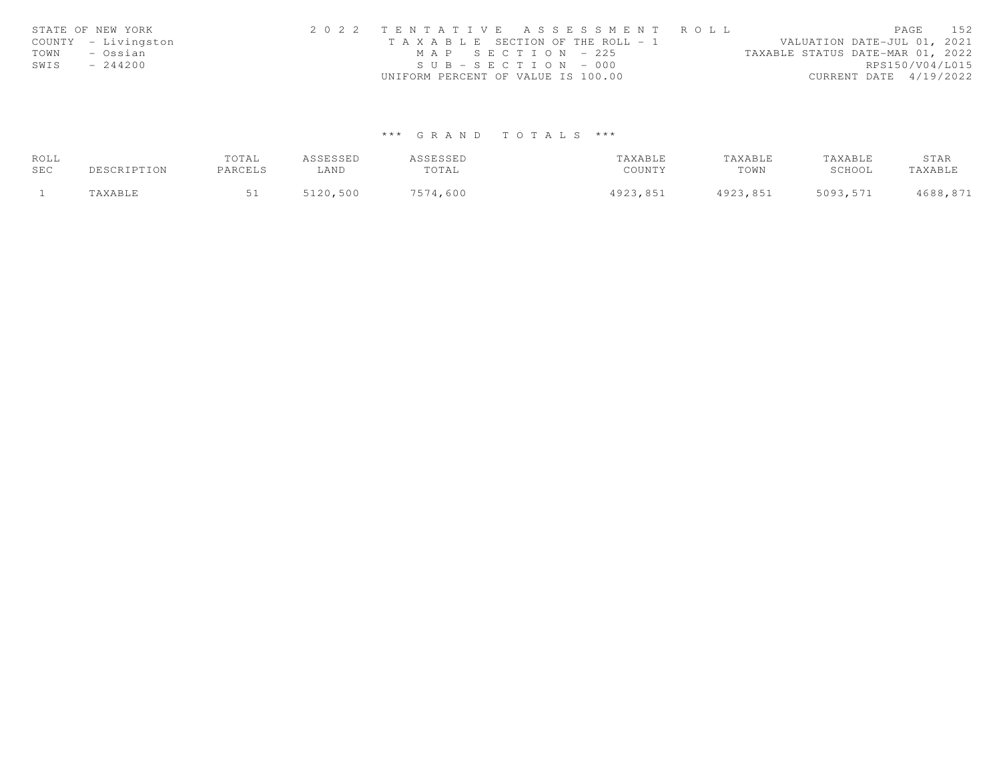| STATE OF NEW YORK   |           | 2022 TENTATIVE ASSESSMENT ROLL |                                       |                       |  |  |  |                                  | PAGE            | 152 |
|---------------------|-----------|--------------------------------|---------------------------------------|-----------------------|--|--|--|----------------------------------|-----------------|-----|
| COUNTY - Livingston |           |                                | T A X A B L E SECTION OF THE ROLL - 1 |                       |  |  |  | VALUATION DATE-JUL 01, 2021      |                 |     |
| TOWN                | – Ossian  |                                |                                       | MAP SECTION - 225     |  |  |  | TAXABLE STATUS DATE-MAR 01, 2022 |                 |     |
| SWIS                | $-244200$ |                                |                                       | $SUB - SECTION - 000$ |  |  |  |                                  | RPS150/V04/L015 |     |
|                     |           |                                | UNIFORM PERCENT OF VALUE IS 100.00    |                       |  |  |  | CURRENT DATE 4/19/2022           |                 |     |

| ROLL |             | TOTAL   | ASSESSED | ASSESSED | TAXABLE  | TAXABLE  | TAXABLE  | STAR     |
|------|-------------|---------|----------|----------|----------|----------|----------|----------|
| SEC  | DESCRIPTION | PARCELS | ∟AND     | TOTAL    | COUNTY   | TOWN     | SCHOOL   | TAXABLE  |
|      | 'AXABLE     |         | 5120,500 | 7574,600 | 4923,851 | 4923,851 | 5093,571 | 4688,871 |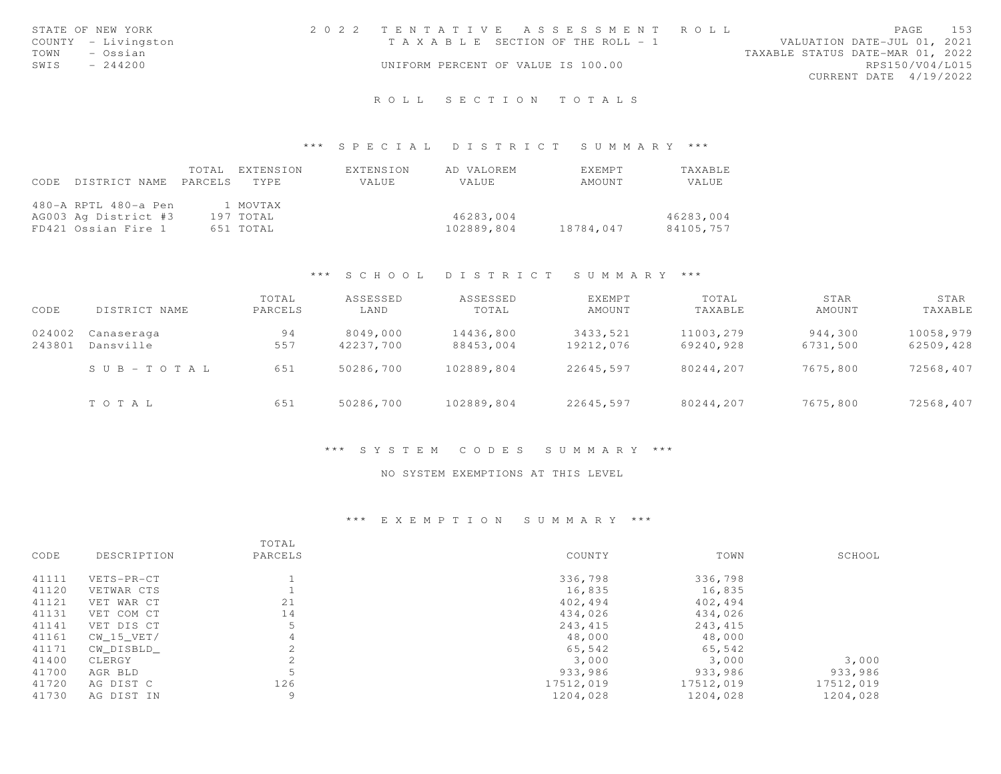| STATE OF NEW YORK   |           | 2022 TENTATIVE ASSESSMENT ROLL        |  |  |                                  |                        | PAGE | 153 |
|---------------------|-----------|---------------------------------------|--|--|----------------------------------|------------------------|------|-----|
| COUNTY - Livingston |           | T A X A B L E SECTION OF THE ROLL - 1 |  |  | VALUATION DATE-JUL 01, 2021      |                        |      |     |
| TOWN                | – Ossian  |                                       |  |  | TAXABLE STATUS DATE-MAR 01, 2022 |                        |      |     |
| SWIS                | $-244200$ | UNIFORM PERCENT OF VALUE IS 100.00    |  |  |                                  | RPS150/V04/L015        |      |     |
|                     |           |                                       |  |  |                                  | CURRENT DATE 4/19/2022 |      |     |
|                     |           |                                       |  |  |                                  |                        |      |     |

#### \*\*\* S P E C I A L D I S T R I C T S U M M A R Y \*\*\*

| CODE | DISTRICT NAME        | TOTAL.<br>PARCELS | EXTENSION<br>TYPE | EXTENSION<br>VALUE | AD VALOREM<br>VALUE | <b>FXFMPT</b><br>AMOUNT | TAXABLE<br>VALUE |
|------|----------------------|-------------------|-------------------|--------------------|---------------------|-------------------------|------------------|
|      | 480-A RPTL 480-a Pen |                   | 1 MOVTAX          |                    |                     |                         |                  |
|      | AG003 Ag District #3 |                   | 197 TOTAL         |                    | 46283,004           |                         | 46283,004        |
|      | FD421 Ossian Fire 1  |                   | 651 TOTAL         |                    | 102889,804          | 18784,047               | 84105,757        |

#### \*\*\* S C H O O L D I S T R I C T S U M M A R Y \*\*\*

| CODE   | DISTRICT NAME         | TOTAL<br>PARCELS | ASSESSED<br>LAND | ASSESSED<br>TOTAL | EXEMPT<br>AMOUNT | TOTAL<br>TAXABLE | STAR<br>AMOUNT | STAR<br>TAXABLE |
|--------|-----------------------|------------------|------------------|-------------------|------------------|------------------|----------------|-----------------|
| 024002 | Canaseraga            | 94               | 8049,000         | 14436,800         | 3433,521         | 11003,279        | 944,300        | 10058,979       |
| 243801 | Dansville             | 557              | 42237,700        | 88453,004         | 19212,076        | 69240,928        | 6731,500       | 62509,428       |
|        | $S \cup B - TO T A L$ | 651              | 50286,700        | 102889,804        | 22645,597        | 80244,207        | 7675,800       | 72568,407       |
|        | TOTAL                 | 651              | 50286,700        | 102889,804        | 22645,597        | 80244,207        | 7675,800       | 72568,407       |

#### \*\*\* S Y S T E M C O D E S S U M M A R Y \*\*\*

#### NO SYSTEM EXEMPTIONS AT THIS LEVEL

#### \*\*\* E X E M P T I O N S U M M A R Y \*\*\*

|       |             | TOTAL           |           |           |           |
|-------|-------------|-----------------|-----------|-----------|-----------|
| CODE  | DESCRIPTION | PARCELS         | COUNTY    | TOWN      | SCHOOL    |
| 41111 | VETS-PR-CT  |                 | 336,798   | 336,798   |           |
| 41120 | VETWAR CTS  |                 | 16,835    | 16,835    |           |
| 41121 | VET WAR CT  | 21              | 402,494   | 402,494   |           |
| 41131 | VET COM CT  | 14              | 434,026   | 434,026   |           |
| 41141 | VET DIS CT  | 5               | 243,415   | 243,415   |           |
| 41161 | CW 15 VET/  | 4               | 48,000    | 48,000    |           |
| 41171 | CW DISBLD   | $\mathfrak{D}$  | 65,542    | 65,542    |           |
| 41400 | CLERGY      | $\bigcap$<br>╱. | 3,000     | 3,000     | 3,000     |
| 41700 | AGR BLD     | 5               | 933,986   | 933,986   | 933,986   |
| 41720 | AG DIST C   | 126             | 17512,019 | 17512,019 | 17512,019 |
| 41730 | AG DIST IN  | 9               | 1204,028  | 1204,028  | 1204,028  |
|       |             |                 |           |           |           |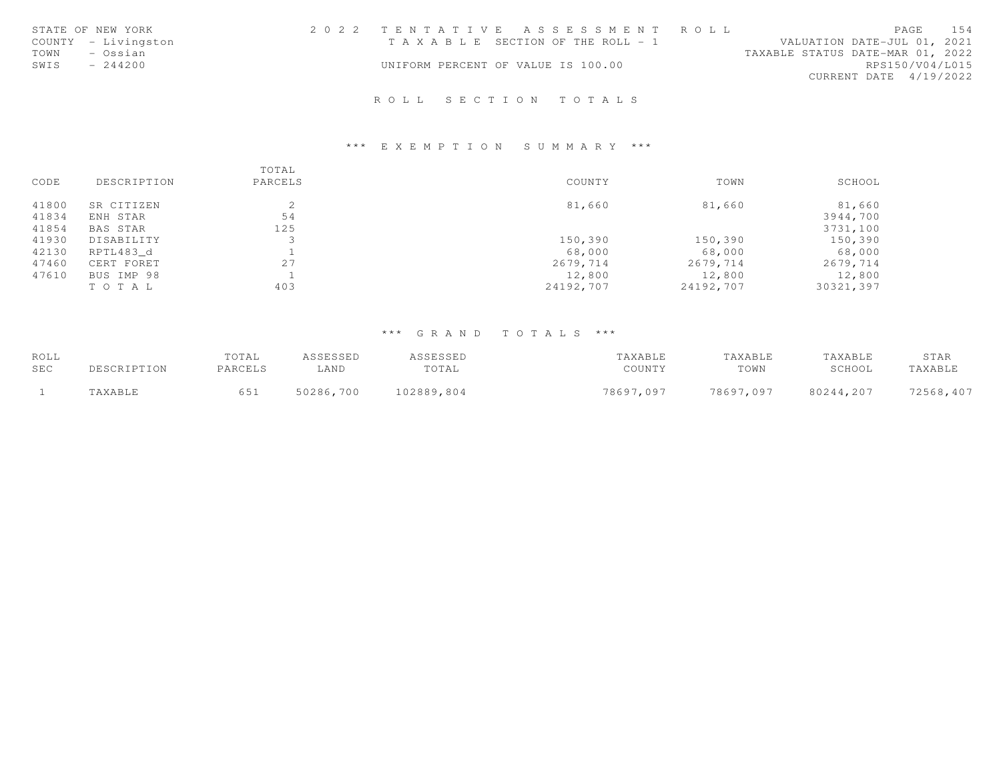| STATE OF NEW YORK   | 2022 TENTATIVE ASSESSMENT ROLL        |                             | PAGE | 154 |
|---------------------|---------------------------------------|-----------------------------|------|-----|
| COUNTY - Livingston | T A X A B L E SECTION OF THE ROLL - 1 | VALUATION DATE-JUL 01, 2021 |      |     |
| TOWN<br>- Ossian    | TAXABLE STATUS DATE-MAR 01, 2022      |                             |      |     |
| SWIS<br>$-244200$   | UNIFORM PERCENT OF VALUE IS 100.00    | RPS150/V04/L015             |      |     |
|                     |                                       | CURRENT DATE 4/19/2022      |      |     |
|                     |                                       |                             |      |     |

## \*\*\* E X E M P T I O N S U M M A R Y \*\*\*

|       |             | TOTAL   |           |           |           |
|-------|-------------|---------|-----------|-----------|-----------|
| CODE  | DESCRIPTION | PARCELS | COUNTY    | TOWN      | SCHOOL    |
| 41800 | SR CITIZEN  |         | 81,660    | 81,660    | 81,660    |
| 41834 | ENH STAR    | 54      |           |           | 3944,700  |
| 41854 | BAS STAR    | 125     |           |           | 3731,100  |
| 41930 | DISABILITY  |         | 150,390   | 150,390   | 150,390   |
| 42130 | RPTL483 d   |         | 68,000    | 68,000    | 68,000    |
| 47460 | CERT FORET  | 27      | 2679,714  | 2679,714  | 2679,714  |
| 47610 | BUS IMP 98  |         | 12,800    | 12,800    | 12,800    |
|       | TO TAL      | 403     | 24192,707 | 24192,707 | 30321,397 |

| ROLL       |             | TOTAL   | <i><b>ISSESSED</b></i> | ASSESSED   | TAXABLE   | TAXABLE   | TAXABLE   | STAR      |
|------------|-------------|---------|------------------------|------------|-----------|-----------|-----------|-----------|
| <b>SEC</b> | DESCRIPTION | PARCELS | ∟AND                   | TOTAL      | COUNTY    | TOWN      | SCHOOL    | TAXABLE   |
|            | TAXABLE     | 651     | 50286,700              | 102889,804 | 78697,097 | 78697,097 | 80244,207 | 72568,407 |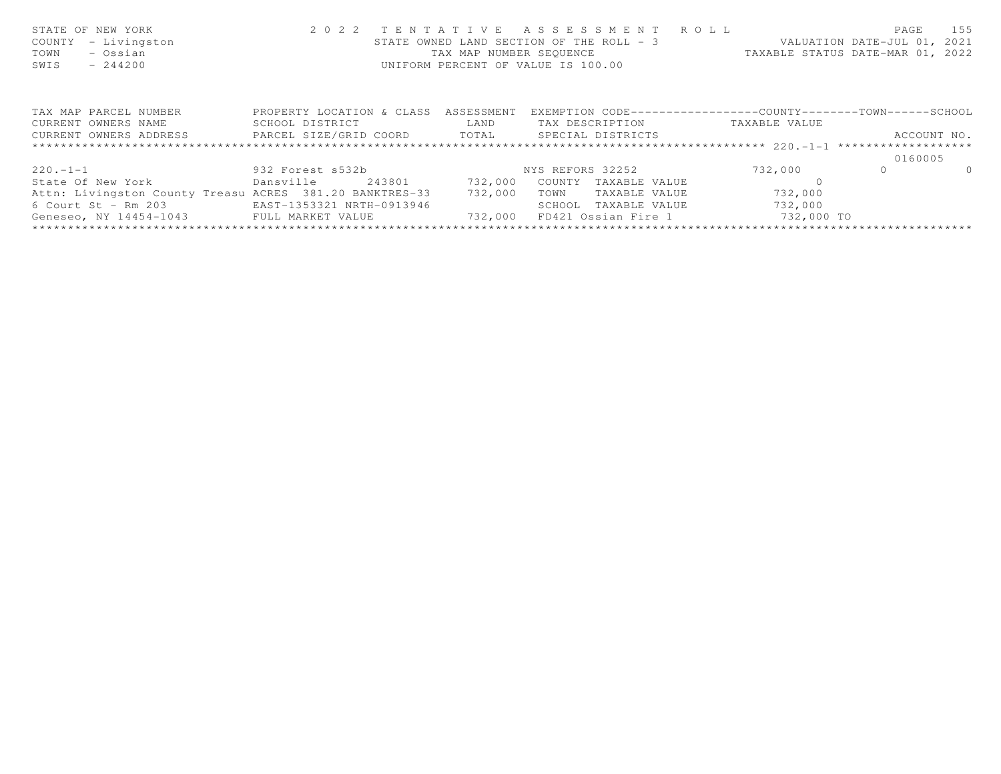| STATE OF NEW YORK<br>- Livingston<br>COUNTY<br>- Ossian<br>TOWN<br>$-244200$<br>SWIS | 2 0 2 2                   |                | TENTATIVE ASSESSMENT ROLL<br>STATE OWNED LAND SECTION OF THE ROLL - 3 VALUATION DATE-JUL 01, 2021<br>TAX MAP NUMBER SEQUENCE<br>UNIFORM PERCENT OF VALUE IS 100.00 |                                                              | PAGE<br>155<br>TAXABLE STATUS DATE-MAR 01, 2022 |
|--------------------------------------------------------------------------------------|---------------------------|----------------|--------------------------------------------------------------------------------------------------------------------------------------------------------------------|--------------------------------------------------------------|-------------------------------------------------|
| TAX MAP PARCEL NUMBER                                                                | PROPERTY LOCATION & CLASS | ASSESSMENT     |                                                                                                                                                                    | EXEMPTION CODE-----------------COUNTY-------TOWN------SCHOOL |                                                 |
| CURRENT OWNERS NAME                                                                  | SCHOOL DISTRICT           | LAND           | TAX DESCRIPTION TAXABLE VALUE                                                                                                                                      |                                                              |                                                 |
| CURRENT OWNERS ADDRESS <b>FARCEL SIZE/GRID COORD</b> TOTAL SPECIAL DISTRICTS         |                           |                |                                                                                                                                                                    |                                                              | ACCOUNT NO.                                     |
|                                                                                      |                           |                |                                                                                                                                                                    |                                                              |                                                 |
|                                                                                      |                           |                |                                                                                                                                                                    |                                                              | 0160005                                         |
| 220.-1-1 932 Forest s532b                                                            |                           |                | NYS REFORS 32252                                                                                                                                                   | 732,000                                                      | $\Omega$<br>$\Omega$                            |
| State Of New York <b>but Densyille</b>                                               |                           | 243801 732,000 | COUNTY<br>TAXABLE VALUE                                                                                                                                            |                                                              |                                                 |
| Attn: Livingston County Treasu ACRES 381.20 BANKTRES-33                              |                           | 732,000        | TOWN<br>TAXABLE VALUE                                                                                                                                              | 732,000                                                      |                                                 |
| 6 Court St - Rm 203 EAST-1353321 NRTH-0913946                                        |                           |                | SCHOOL TAXABLE VALUE                                                                                                                                               | 732,000                                                      |                                                 |
| Geneseo, NY 14454-1043 FULL MARKET VALUE                                             |                           | 732,000        | FD421 Ossian Fire 1                                                                                                                                                | 732,000 TO                                                   |                                                 |
|                                                                                      |                           |                |                                                                                                                                                                    |                                                              |                                                 |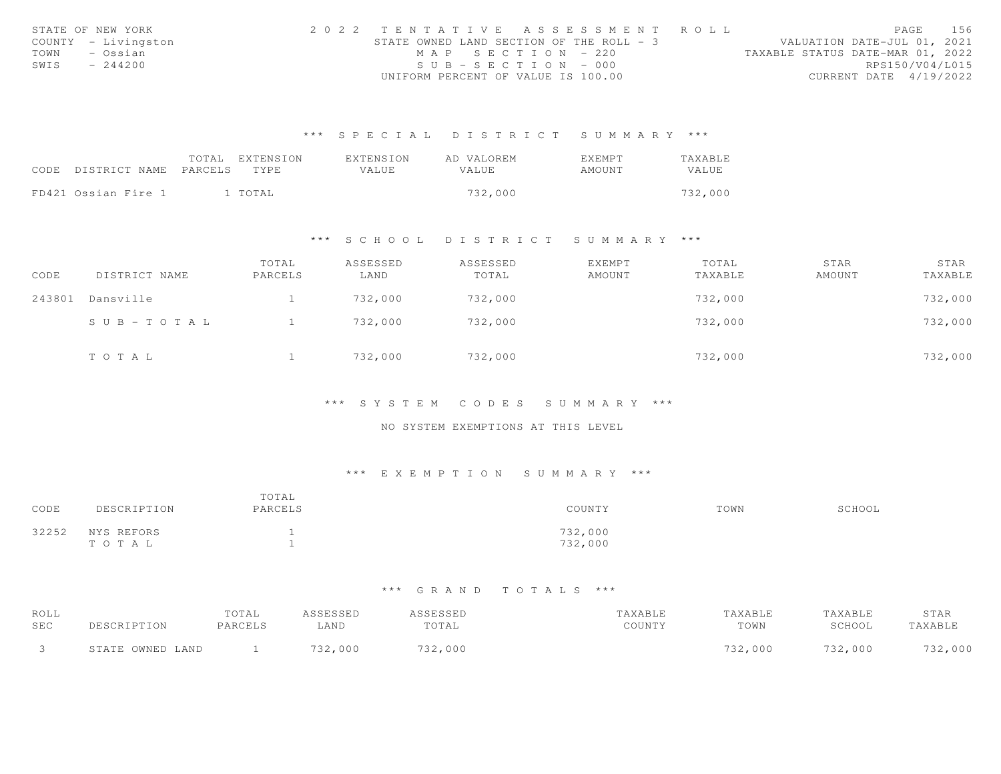| STATE OF NEW YORK |                     | 2022 TENTATIVE ASSESSMENT ROLL           |                       |  |  |                                  |                        | PAGE | 156 |
|-------------------|---------------------|------------------------------------------|-----------------------|--|--|----------------------------------|------------------------|------|-----|
|                   | COUNTY - Livingston | STATE OWNED LAND SECTION OF THE ROLL - 3 |                       |  |  | VALUATION DATE-JUL 01, 2021      |                        |      |     |
| TOWN              | - Ossian            |                                          | $MAP$ SECTION - 220   |  |  | TAXABLE STATUS DATE-MAR 01, 2022 |                        |      |     |
| SWIS              | $-244200$           |                                          | $SUB - SECTION - 000$ |  |  |                                  | RPS150/V04/L015        |      |     |
|                   |                     | UNIFORM PERCENT OF VALUE IS 100.00       |                       |  |  |                                  | CURRENT DATE 4/19/2022 |      |     |

|                            | TOTAL | EXTENSION | EXTENSION    | AD VALOREM | <b>EXEMPT</b> | <b>TAXABLE</b> |
|----------------------------|-------|-----------|--------------|------------|---------------|----------------|
| CODE DISTRICT NAME PARCELS |       | TYPE      | <b>VALUE</b> | VALUE.     | AMOUNT        | VALUE          |
|                            |       |           |              |            |               |                |
| FD421 Ossian Fire 1        |       | 1 TOTAL   |              | 732,000    |               | 732,000        |

#### \*\*\* S C H O O L D I S T R I C T S U M M A R Y \*\*\*

| CODE   | DISTRICT NAME | TOTAL<br>PARCELS | ASSESSED<br>LAND | ASSESSED<br>TOTAL | EXEMPT<br>AMOUNT | TOTAL<br>TAXABLE | STAR<br>AMOUNT | STAR<br>TAXABLE |
|--------|---------------|------------------|------------------|-------------------|------------------|------------------|----------------|-----------------|
| 243801 | Dansville     |                  | 732,000          | 732,000           |                  | 732,000          |                | 732,000         |
|        | SUB-TOTAL     |                  | 732,000          | 732,000           |                  | 732,000          |                | 732,000         |
|        | TOTAL         |                  | 732,000          | 732,000           |                  | 732,000          |                | 732,000         |

#### \*\*\* S Y S T E M C O D E S S U M M A R Y \*\*\*

## NO SYSTEM EXEMPTIONS AT THIS LEVEL

#### \*\*\* E X E M P T I O N S U M M A R Y \*\*\*

| CODE  | DESCRIPTION         | TOTAL<br>PARCELS     | COUNTY             | TOWN | SCHOOL |
|-------|---------------------|----------------------|--------------------|------|--------|
| 32252 | NYS REFORS<br>TOTAL | <b>.</b><br><b>.</b> | 732,000<br>732,000 |      |        |

| ROLL       |                  | TOTAL   | ASSESSED | ASSESSED | TAXABLE | TAXABLE | TAXABLE | STAR    |
|------------|------------------|---------|----------|----------|---------|---------|---------|---------|
| <b>SEC</b> | DESCRIPTION      | PARCELS | ∟AND     | TOTAL    | COUNTY  | TOWN    | SCHOOL  | TAXABLE |
|            | STATE OWNED LAND |         | 732,000  | 732,000  |         | 732,000 | 732,000 | 732,000 |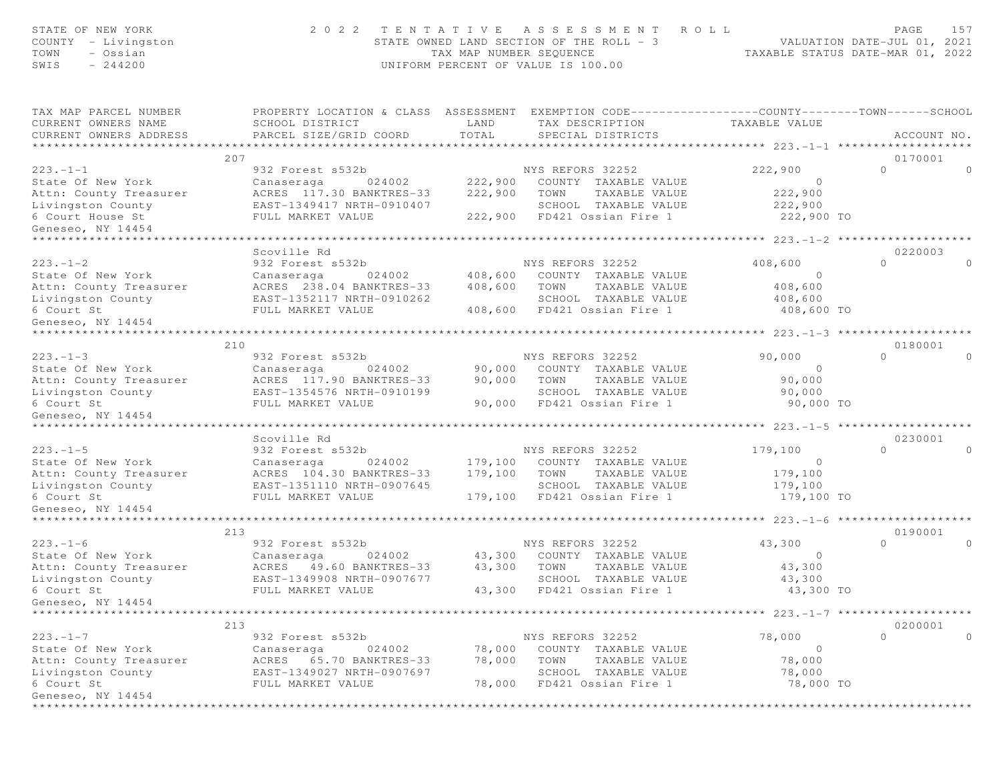| STATE OF NEW YORK<br>COUNTY - Livingston<br>TOWN<br>- Ossian<br>$-244200$<br>SWIS | 2 0 2 2                                                                                                                                        | TAX MAP NUMBER SEQUENCE | TENTATIVE ASSESSMENT<br>STATE OWNED LAND SECTION OF THE ROLL - 3<br>UNIFORM PERCENT OF VALUE IS 100.00 | R O L L<br>TAXABLE STATUS DATE-MAR 01, 2022 | PAGE<br>157<br>VALUATION DATE-JUL 01, 2021 |
|-----------------------------------------------------------------------------------|------------------------------------------------------------------------------------------------------------------------------------------------|-------------------------|--------------------------------------------------------------------------------------------------------|---------------------------------------------|--------------------------------------------|
| TAX MAP PARCEL NUMBER<br>CURRENT OWNERS NAME<br>CURRENT OWNERS ADDRESS            | PROPERTY LOCATION & CLASS ASSESSMENT EXEMPTION CODE----------------COUNTY--------TOWN------SCHOOL<br>SCHOOL DISTRICT<br>PARCEL SIZE/GRID COORD | LAND<br>TOTAL           | TAX DESCRIPTION<br>SPECIAL DISTRICTS                                                                   | TAXABLE VALUE                               | ACCOUNT NO.                                |
| **********************<br>207                                                     |                                                                                                                                                |                         |                                                                                                        |                                             | 0170001                                    |
| $223 - 1 - 1$                                                                     | 932 Forest s532b                                                                                                                               |                         | NYS REFORS 32252                                                                                       | 222,900                                     | $\Omega$<br>$\circ$                        |
| State Of New York                                                                 | 024002<br>Canaseraga                                                                                                                           | 222,900                 | COUNTY TAXABLE VALUE                                                                                   | $\circ$                                     |                                            |
| Attn: County Treasurer                                                            | ACRES 117.30 BANKTRES-33                                                                                                                       | 222,900                 | TOWN<br>TAXABLE VALUE                                                                                  | 222,900                                     |                                            |
| Livingston County                                                                 | EAST-1349417 NRTH-0910407                                                                                                                      |                         | SCHOOL TAXABLE VALUE                                                                                   | 222,900                                     |                                            |
| 6 Court House St                                                                  | FULL MARKET VALUE                                                                                                                              | 222,900                 | FD421 Ossian Fire 1                                                                                    | 222,900 TO                                  |                                            |
| Geneseo, NY 14454<br>***************                                              |                                                                                                                                                |                         |                                                                                                        |                                             |                                            |
|                                                                                   | Scoville Rd                                                                                                                                    |                         |                                                                                                        | ********* 223.-1-2 ******************       | 0220003                                    |
| $223 - 1 - 2$                                                                     | 932 Forest s532b                                                                                                                               |                         | NYS REFORS 32252                                                                                       | 408,600                                     | $\circ$<br>$\Omega$                        |
| State Of New York                                                                 | Canaseraga<br>024002                                                                                                                           | 408,600                 | COUNTY TAXABLE VALUE                                                                                   | $\circ$                                     |                                            |
| Attn: County Treasurer                                                            | ACRES 238.04 BANKTRES-33                                                                                                                       | 408,600                 | TOWN<br>TAXABLE VALUE                                                                                  | 408,600                                     |                                            |
| Livingston County                                                                 | EAST-1352117 NRTH-0910262                                                                                                                      |                         | SCHOOL TAXABLE VALUE                                                                                   | 408,600                                     |                                            |
| 6 Court St                                                                        | FULL MARKET VALUE                                                                                                                              | 408,600                 | FD421 Ossian Fire 1                                                                                    | 408,600 TO                                  |                                            |
| Geneseo, NY 14454                                                                 |                                                                                                                                                |                         |                                                                                                        |                                             |                                            |
| ******************************                                                    |                                                                                                                                                |                         |                                                                                                        |                                             |                                            |
| 210                                                                               |                                                                                                                                                |                         |                                                                                                        |                                             | 0180001                                    |
| $223 - 1 - 3$                                                                     | 932 Forest s532b                                                                                                                               |                         | NYS REFORS 32252                                                                                       | 90,000                                      | $\circ$<br>$\Omega$                        |
| State Of New York                                                                 | Canaseraga<br>024002<br>ACRES 117.90 BANKTRES-33                                                                                               | 90,000<br>90,000        | COUNTY TAXABLE VALUE<br>TOWN<br>TAXABLE VALUE                                                          | $\circ$<br>90,000                           |                                            |
| Attn: County Treasurer<br>Livingston County                                       | EAST-1354576 NRTH-0910199                                                                                                                      |                         | SCHOOL TAXABLE VALUE                                                                                   | 90,000                                      |                                            |
| 6 Court St                                                                        | FULL MARKET VALUE                                                                                                                              |                         | 90,000 FD421 Ossian Fire 1                                                                             | 90,000 TO                                   |                                            |
| Geneseo, NY 14454                                                                 |                                                                                                                                                |                         |                                                                                                        |                                             |                                            |
|                                                                                   |                                                                                                                                                |                         |                                                                                                        |                                             |                                            |
|                                                                                   | Scoville Rd                                                                                                                                    |                         |                                                                                                        |                                             | 0230001                                    |
| $223 - 1 - 5$                                                                     | 932 Forest s532b                                                                                                                               |                         | NYS REFORS 32252                                                                                       | 179,100                                     | $\Omega$<br>$\Omega$                       |
| State Of New York                                                                 | Canaseraga<br>024002                                                                                                                           | 179,100                 | COUNTY TAXABLE VALUE                                                                                   | $\circ$                                     |                                            |
| Attn: County Treasurer                                                            | ACRES 104.30 BANKTRES-33                                                                                                                       | 179,100                 | TOWN<br>TAXABLE VALUE                                                                                  | 179,100                                     |                                            |
| Livingston County                                                                 | EAST-1351110 NRTH-0907645                                                                                                                      |                         | SCHOOL TAXABLE VALUE                                                                                   | 179,100                                     |                                            |
| 6 Court St<br>Geneseo, NY 14454                                                   | FULL MARKET VALUE                                                                                                                              | 179,100                 | FD421 Ossian Fire 1                                                                                    | 179,100 TO                                  |                                            |
|                                                                                   |                                                                                                                                                |                         |                                                                                                        | *********** 223.-1-6 ********************   |                                            |
| 213                                                                               |                                                                                                                                                |                         |                                                                                                        |                                             | 0190001                                    |
| $223 - 1 - 6$                                                                     | 932 Forest s532b                                                                                                                               |                         | NYS REFORS 32252                                                                                       | 43,300                                      | $\Omega$<br>$\Omega$                       |
| State Of New York                                                                 | 024002<br>Canaseraga                                                                                                                           | 43,300                  | COUNTY TAXABLE VALUE                                                                                   | $\circ$                                     |                                            |
| Attn: County Treasurer                                                            | 49.60 BANKTRES-33<br>ACRES                                                                                                                     | 43,300                  | TOWN<br>TAXABLE VALUE                                                                                  | 43,300                                      |                                            |
| Livingston County                                                                 | EAST-1349908 NRTH-0907677                                                                                                                      |                         | SCHOOL TAXABLE VALUE                                                                                   | 43,300                                      |                                            |
| 6 Court St                                                                        | FULL MARKET VALUE                                                                                                                              | 43,300                  | FD421 Ossian Fire 1                                                                                    | 43,300 TO                                   |                                            |
| Geneseo, NY 14454                                                                 |                                                                                                                                                |                         |                                                                                                        |                                             |                                            |
| 213                                                                               |                                                                                                                                                |                         |                                                                                                        |                                             | 0200001                                    |
| $223 - 1 - 7$                                                                     | 932 Forest s532b                                                                                                                               |                         | NYS REFORS 32252                                                                                       | 78,000                                      | $\circ$<br>$\circ$                         |
| State Of New York                                                                 | 024002<br>Canaseraga                                                                                                                           | 78,000                  | COUNTY TAXABLE VALUE                                                                                   | $\circ$                                     |                                            |
| Attn: County Treasurer                                                            | 65.70 BANKTRES-33<br>ACRES                                                                                                                     | 78,000                  | TAXABLE VALUE<br>TOWN                                                                                  | 78,000                                      |                                            |
| Livingston County                                                                 | EAST-1349027 NRTH-0907697                                                                                                                      |                         | SCHOOL TAXABLE VALUE                                                                                   | 78,000                                      |                                            |
| 6 Court St                                                                        | FULL MARKET VALUE                                                                                                                              | 78,000                  | FD421 Ossian Fire 1                                                                                    | 78,000 TO                                   |                                            |
| Geneseo, NY 14454                                                                 |                                                                                                                                                |                         |                                                                                                        |                                             |                                            |
|                                                                                   |                                                                                                                                                |                         |                                                                                                        |                                             |                                            |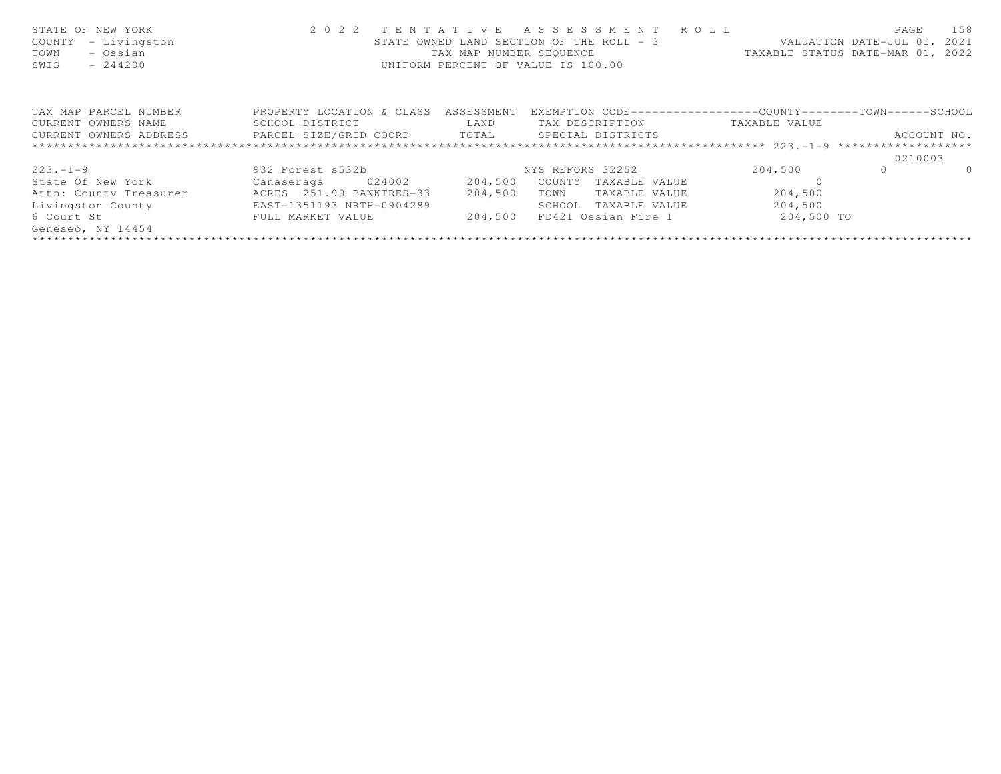| STATE OF NEW YORK<br>- Livingston<br>COUNTY<br>TOWN<br>- Ossian<br>$-244200$<br>SWIS |                                                |             | 2022 TENTATIVE ASSESSMENT ROLL<br>STATE OWNED LAND SECTION OF THE ROLL - 3 VALUATION DATE-JUL 01, 2021<br>TAX MAP NUMBER SEQUENCE<br>UNIFORM PERCENT OF VALUE IS 100.00 |            | 158<br>PAGE<br>TAXABLE STATUS DATE-MAR 01, 2022 |
|--------------------------------------------------------------------------------------|------------------------------------------------|-------------|-------------------------------------------------------------------------------------------------------------------------------------------------------------------------|------------|-------------------------------------------------|
| TAX MAP PARCEL NUMBER                                                                | PROPERTY LOCATION & CLASS ASSESSMENT           |             | EXEMPTION CODE-----------------COUNTY-------TOWN------SCHOOL                                                                                                            |            |                                                 |
| CURRENT OWNERS NAME                                                                  | SCHOOL DISTRICT                                | <b>LAND</b> | TAX DESCRIPTION TAXABLE VALUE                                                                                                                                           |            |                                                 |
| CURRENT OWNERS ADDRESS                                                               | PARCEL SIZE/GRID COORD TOTAL SPECIAL DISTRICTS |             |                                                                                                                                                                         |            | ACCOUNT NO.                                     |
|                                                                                      |                                                |             |                                                                                                                                                                         |            |                                                 |
|                                                                                      |                                                |             |                                                                                                                                                                         |            | 0210003                                         |
| $223 - 1 - 9$                                                                        | 932 Forest s532b                               |             | NYS REFORS 32252                                                                                                                                                        | 204,500    | $\Omega$<br>$\Omega$                            |
| State Of New York Theory                                                             | Canaseraga 024002 204,500                      |             | COUNTY<br>TAXABLE VALUE                                                                                                                                                 |            |                                                 |
| Attn: County Treasurer                                                               | ACRES 251.90 BANKTRES-33                       | 204,500     | TAXABLE VALUE<br>TOWN                                                                                                                                                   | 204,500    |                                                 |
| Livingston County                                                                    | EAST-1351193 NRTH-0904289                      |             | SCHOOL<br>TAXABLE VALUE                                                                                                                                                 | 204,500    |                                                 |
| 6 Court St                                                                           | FULL MARKET VALUE                              | 204,500     | FD421 Ossian Fire 1                                                                                                                                                     | 204,500 TO |                                                 |
| Geneseo, NY 14454                                                                    |                                                |             |                                                                                                                                                                         |            |                                                 |
|                                                                                      |                                                |             |                                                                                                                                                                         |            |                                                 |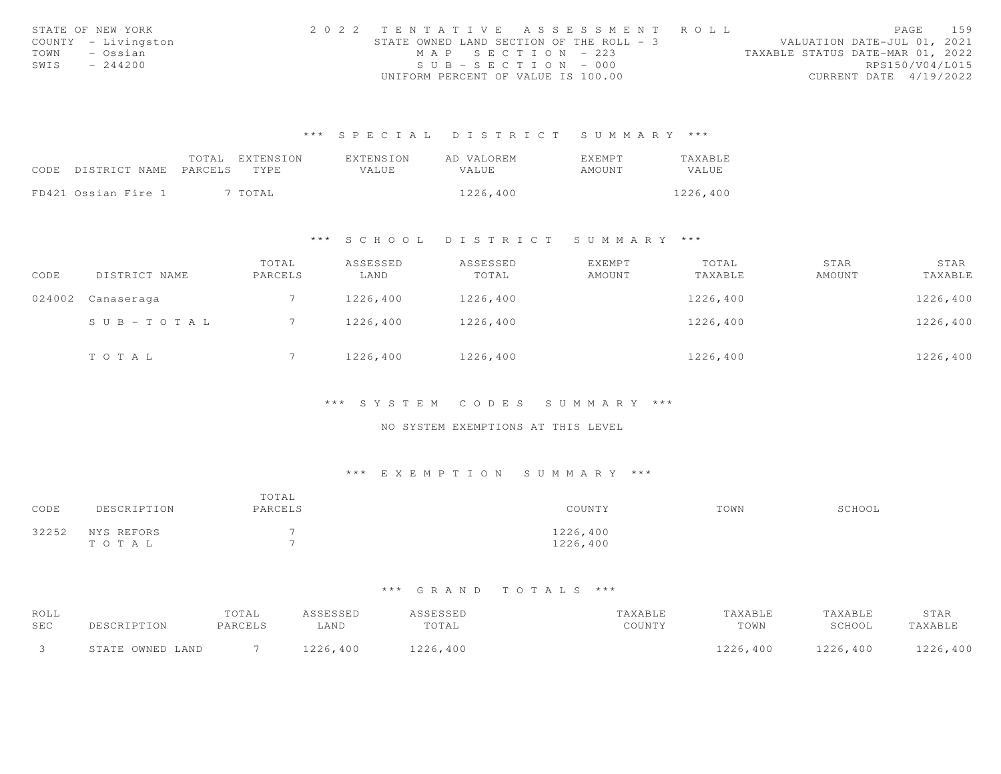| STATE OF NEW YORK |                     |                                          |                       | 2022 TENTATIVE ASSESSMENT ROLL |                                  | PAGE                   | 159 |
|-------------------|---------------------|------------------------------------------|-----------------------|--------------------------------|----------------------------------|------------------------|-----|
|                   | COUNTY - Livingston | STATE OWNED LAND SECTION OF THE ROLL - 3 |                       |                                | VALUATION DATE-JUL 01, 2021      |                        |     |
| TOWN              | – Ossian            |                                          | MAP SECTION - 223     |                                | TAXABLE STATUS DATE-MAR 01, 2022 |                        |     |
| SWIS              | $-244200$           |                                          | $SUB - SECTION - 000$ |                                |                                  | RPS150/V04/L015        |     |
|                   |                     | UNIFORM PERCENT OF VALUE IS 100.00       |                       |                                |                                  | CURRENT DATE 4/19/2022 |     |

|                            | TOTAL | EXTENSION | FXTENSION | AD VALOREM   | <b>EXEMPT</b> | <b>TAXABLE</b> |
|----------------------------|-------|-----------|-----------|--------------|---------------|----------------|
| CODE DISTRICT NAME PARCELS |       | TYPE.     | VALUE.    | <b>VALUE</b> | AMOUNT        | VALUE          |
|                            |       |           |           |              |               |                |
| FD421 Ossian Fire 1        |       | 7 TOTAL   |           | 1226,400     |               | 1226,400       |

#### \*\*\* S C H O O L D I S T R I C T S U M M A R Y \*\*\*

| CODE   | DISTRICT NAME | TOTAL<br>PARCELS | ASSESSED<br>LAND | ASSESSED<br>TOTAL | <b>EXEMPT</b><br>AMOUNT | TOTAL<br>TAXABLE | STAR<br>AMOUNT | STAR<br>TAXABLE |
|--------|---------------|------------------|------------------|-------------------|-------------------------|------------------|----------------|-----------------|
| 024002 | Canaseraga    |                  | 1226,400         | 1226,400          |                         | 1226,400         |                | 1226,400        |
|        | SUB-TOTAL     |                  | 1226,400         | 1226,400          |                         | 1226,400         |                | 1226,400        |
|        | TOTAL         |                  | 1226,400         | 1226,400          |                         | 1226,400         |                | 1226,400        |

#### \*\*\* S Y S T E M C O D E S S U M M A R Y \*\*\*

## NO SYSTEM EXEMPTIONS AT THIS LEVEL

#### \*\*\* E X E M P T I O N S U M M A R Y \*\*\*

| CODE  | DESCRIPTION         | TOTAL<br>PARCELS         | COUNTY               | TOWN | SCHOOL |
|-------|---------------------|--------------------------|----------------------|------|--------|
| 32252 | NYS REFORS<br>TOTAL | $\overline{\phantom{0}}$ | 1226,400<br>1226,400 |      |        |

| ROLL |                  | TOTAL   | A C C F C C F D | 2 S S F S S F D | TAXABLE | "AXABLE  | TAXABLE  | STAR     |
|------|------------------|---------|-----------------|-----------------|---------|----------|----------|----------|
| SEC  |                  | PARCELS | LAND            | TOTAL           | COUNTY  | TOWN     | SCHOOL   | 'AXABL   |
|      | STATE OWNED LAND |         | 1226,400        | 1226,400        |         | 1226,400 | 1226,400 | 1226,400 |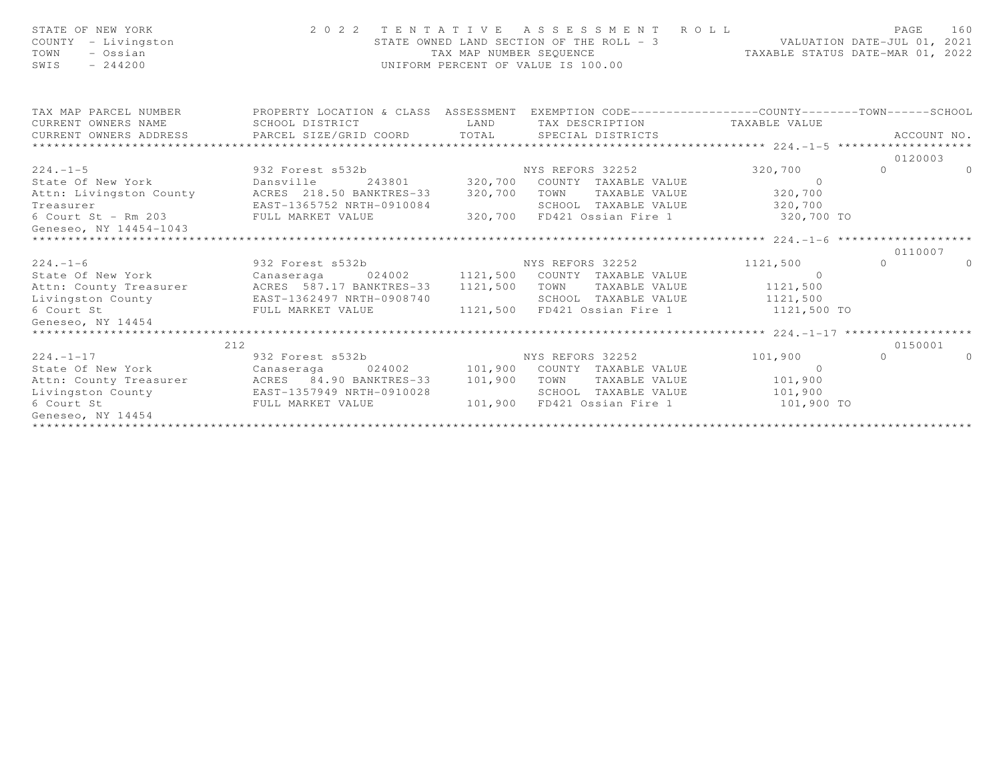| STATE OF NEW YORK<br>COUNTY - Livingston<br>TOWN<br>- Ossian<br>$-244200$<br>SWIS |                                                                                                                                                                                                                | TAX MAP NUMBER SEQUENCE | UNIFORM PERCENT OF VALUE IS 100.00       | TAXABLE STATUS DATE-MAR 01, 2022 |                           |                |
|-----------------------------------------------------------------------------------|----------------------------------------------------------------------------------------------------------------------------------------------------------------------------------------------------------------|-------------------------|------------------------------------------|----------------------------------|---------------------------|----------------|
| CURRENT OWNERS NAME                                                               | TAX MAP PARCEL NUMBER THE PROPERTY LOCATION & CLASS ASSESSMENT EXEMPTION CODE---------------COUNTY--------TOWN------SCHOOL<br>SCHOOL DISTRICT                                                                  | <b>LAND</b>             | TAX DESCRIPTION TAXABLE VALUE            |                                  |                           |                |
|                                                                                   | CURRENT OWNERS ADDRESS PARCEL SIZE/GRID COORD TOTAL SPECIAL DISTRICTS                                                                                                                                          |                         |                                          |                                  |                           | ACCOUNT NO.    |
|                                                                                   |                                                                                                                                                                                                                |                         |                                          |                                  |                           |                |
|                                                                                   |                                                                                                                                                                                                                |                         |                                          |                                  | 0120003                   |                |
|                                                                                   | 224.-1-5 932 Forest s532b MYS REFORS 32252 320,700<br>State Of New York Dansville 243801 320,700 COUNTY TAXABLE VALUE 0<br>Attn: Livingston County ACRES 218.50 BANKTRES-33 320,700 TOWN TAXABLE VALUE 320,700 |                         |                                          |                                  | $\Omega$ and $\Omega$     | $\Omega$       |
|                                                                                   |                                                                                                                                                                                                                |                         |                                          |                                  |                           |                |
|                                                                                   |                                                                                                                                                                                                                |                         |                                          |                                  |                           |                |
| Treasurer                                                                         | EAST-1365752 NRTH-0910084                                                                                                                                                                                      |                         | SCHOOL TAXABLE VALUE 320,700             |                                  |                           |                |
| 6 Court St - Rm 203 FULL MARKET VALUE                                             |                                                                                                                                                                                                                |                         | 320,700 FD421 Ossian Fire 1 320,700 TO   |                                  |                           |                |
| Geneseo, NY 14454-1043                                                            |                                                                                                                                                                                                                |                         |                                          |                                  |                           |                |
|                                                                                   |                                                                                                                                                                                                                |                         |                                          |                                  |                           |                |
| $224. - 1 - 6$                                                                    | 932 Forest s532b NYS REFORS 32252                                                                                                                                                                              |                         |                                          |                                  | 0110007<br>$\overline{0}$ | $\overline{0}$ |
|                                                                                   |                                                                                                                                                                                                                |                         |                                          | 1121,500<br>$\sim$ 0             |                           |                |
|                                                                                   | State Of New York Canaseraga 024002 1121,500 COUNTY TAXABLE VALUE<br>Attn: County Treasurer MCRES 587.17 BANKTRES-33                                                                                           | 1121,500                | TAXABLE VALUE 1121,500<br>TOWN           |                                  |                           |                |
|                                                                                   | Livingston County EAST-1362497 NRTH-0908740                                                                                                                                                                    |                         | SCHOOL TAXABLE VALUE 1121,500            |                                  |                           |                |
| 6 Court St                                                                        | FULL MARKET VALUE                                                                                                                                                                                              |                         | 1121,500 FD421 Ossian Fire 1 1121,500 TO |                                  |                           |                |
| Geneseo, NY 14454                                                                 |                                                                                                                                                                                                                |                         |                                          |                                  |                           |                |
|                                                                                   |                                                                                                                                                                                                                |                         |                                          |                                  |                           |                |
|                                                                                   | 212                                                                                                                                                                                                            |                         |                                          |                                  | 0150001                   |                |
| $224. -1 - 17$                                                                    | 932 Forest s532b 32252                                                                                                                                                                                         |                         |                                          | 101,900                          | $\Omega$                  | $\Omega$       |
|                                                                                   | State Of New York Canaseraga 024002 101,900 COUNTY TAXABLE VALUE                                                                                                                                               |                         |                                          | $\sim$ 0                         |                           |                |
|                                                                                   | Attn: County Treasurer MCRES 84.90 BANKTRES-33 101,900                                                                                                                                                         |                         | TOWN TAXABLE VALUE 101,900               |                                  |                           |                |
|                                                                                   | Livingston County EAST-1357949 NRTH-0910028<br>6 Court St           FULL MARKET VALUE                                                                                                                          |                         | SCHOOL TAXABLE VALUE 101,900             |                                  |                           |                |
|                                                                                   |                                                                                                                                                                                                                |                         | 101,900 FD421 Ossian Fire 1 101,900 TO   |                                  |                           |                |
| Geneseo, NY 14454                                                                 |                                                                                                                                                                                                                |                         |                                          |                                  |                           |                |
|                                                                                   |                                                                                                                                                                                                                |                         |                                          |                                  |                           |                |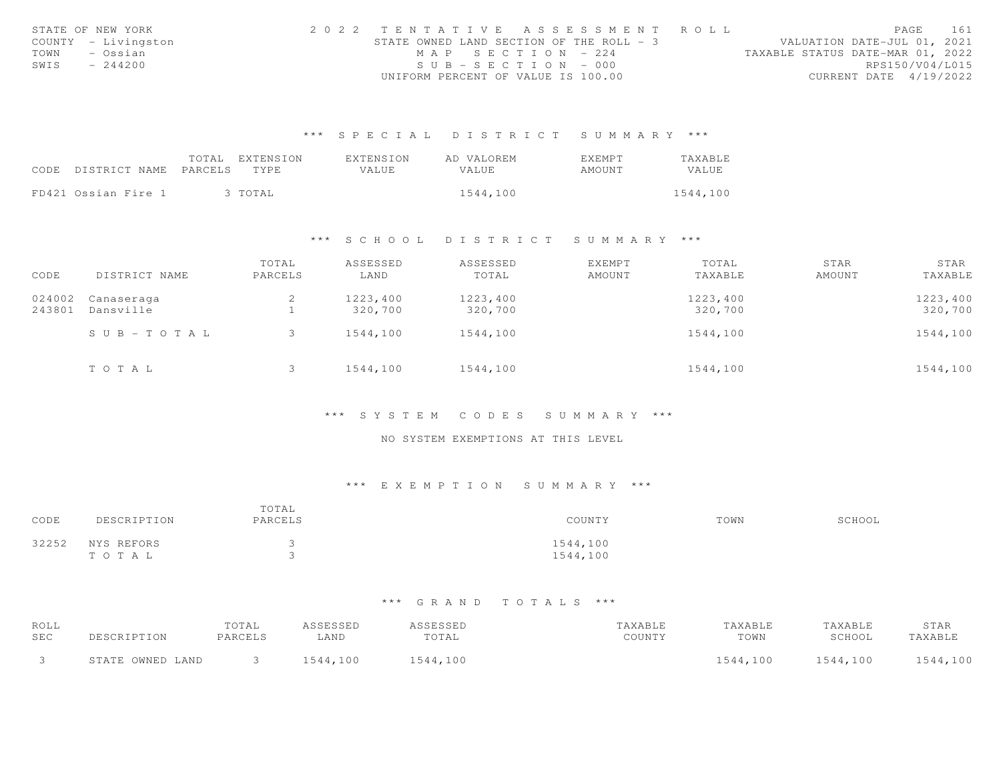|      | STATE OF NEW YORK   |                                          |                       | 2022 TENTATIVE ASSESSMENT ROLL |                                  | PAGE                   | 161 |
|------|---------------------|------------------------------------------|-----------------------|--------------------------------|----------------------------------|------------------------|-----|
|      | COUNTY - Livingston | STATE OWNED LAND SECTION OF THE ROLL - 3 |                       |                                | VALUATION DATE-JUL 01, 2021      |                        |     |
| TOWN | – Ossian            |                                          | MAP SECTION - 224     |                                | TAXABLE STATUS DATE-MAR 01, 2022 |                        |     |
| SWIS | $-244200$           |                                          | $SUB - SECTION - 000$ |                                |                                  | RPS150/V04/L015        |     |
|      |                     | UNIFORM PERCENT OF VALUE IS 100.00       |                       |                                |                                  | CURRENT DATE 4/19/2022 |     |

|                            | TOTAL | EXTENSION | EXTENSION | AD VALOREM | <b>EXEMPT</b> | TAXABLE  |
|----------------------------|-------|-----------|-----------|------------|---------------|----------|
| CODE DISTRICT NAME PARCELS |       | TYPE.     | VALUE.    | VALUE.     | AMOUNT        | VALUE    |
|                            |       |           |           |            |               |          |
| FD421 Ossian Fire 1        |       | 3 TOTAL   |           | 1544,100   |               | 1544,100 |

# \*\*\* S C H O O L D I S T R I C T S U M M A R Y \*\*\*

| CODE   | DISTRICT NAME | TOTAL<br>PARCELS | ASSESSED<br>LAND | ASSESSED<br>TOTAL | EXEMPT<br>AMOUNT | TOTAL<br>TAXABLE | STAR<br>AMOUNT | STAR<br>TAXABLE |
|--------|---------------|------------------|------------------|-------------------|------------------|------------------|----------------|-----------------|
|        |               |                  |                  |                   |                  |                  |                |                 |
| 024002 | Canaseraga    | 2                | 1223,400         | 1223,400          |                  | 1223,400         |                | 1223,400        |
| 243801 | Dansville     |                  | 320,700          | 320,700           |                  | 320,700          |                | 320,700         |
|        | SUB-TOTAL     |                  | 1544,100         | 1544,100          |                  | 1544,100         |                | 1544,100        |
|        | TOTAL         |                  | 1544,100         | 1544,100          |                  | 1544,100         |                | 1544,100        |

#### \*\*\* S Y S T E M C O D E S S U M M A R Y \*\*\*

#### NO SYSTEM EXEMPTIONS AT THIS LEVEL

# \*\*\* E X E M P T I O N S U M M A R Y \*\*\*

| CODE  | DESCRIPTION         | TOTAL<br>PARCELS | COUNTY               | TOWN | SCHOOL |
|-------|---------------------|------------------|----------------------|------|--------|
| 32252 | NYS REFORS<br>TOTAL | ت                | 1544,100<br>1544,100 |      |        |

| ROLL       |                  | TOTAL   | ASSESSED | ASSESSED | TAXABLE | TAXABLE  | TAXABLE  | STAR     |
|------------|------------------|---------|----------|----------|---------|----------|----------|----------|
| <b>SEC</b> | DESCRIPTION      | PARCELS | LAND     | TOTAL    | COUNTY  | TOWN     | SCHOOL   | TAXABLE  |
|            | STATE OWNED LAND |         | 1544,100 | 1544,100 |         | 1544,100 | 1544,100 | 1544,100 |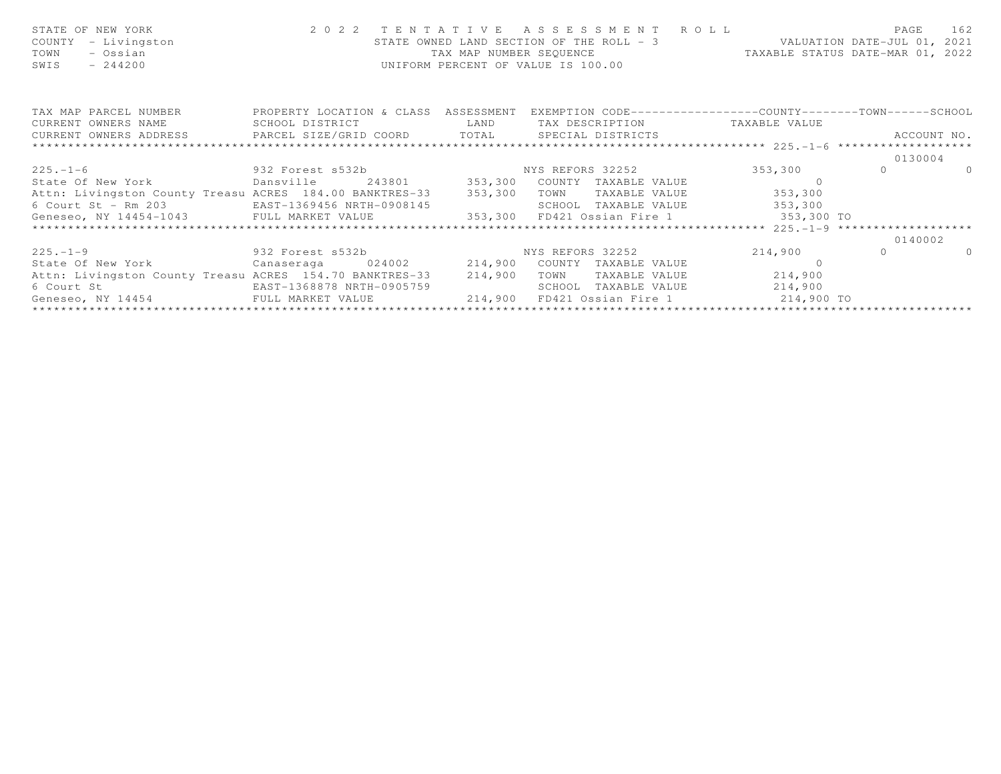|  |                                                                                                                                                                                                                                                                                   | PAGE 162                                                                                                                                                                                                                                                                                                                                                                                                                                                                                                                                                                                                                                                                                                                                                                                                                                 |
|--|-----------------------------------------------------------------------------------------------------------------------------------------------------------------------------------------------------------------------------------------------------------------------------------|------------------------------------------------------------------------------------------------------------------------------------------------------------------------------------------------------------------------------------------------------------------------------------------------------------------------------------------------------------------------------------------------------------------------------------------------------------------------------------------------------------------------------------------------------------------------------------------------------------------------------------------------------------------------------------------------------------------------------------------------------------------------------------------------------------------------------------------|
|  |                                                                                                                                                                                                                                                                                   |                                                                                                                                                                                                                                                                                                                                                                                                                                                                                                                                                                                                                                                                                                                                                                                                                                          |
|  |                                                                                                                                                                                                                                                                                   |                                                                                                                                                                                                                                                                                                                                                                                                                                                                                                                                                                                                                                                                                                                                                                                                                                          |
|  |                                                                                                                                                                                                                                                                                   | ACCOUNT NO.                                                                                                                                                                                                                                                                                                                                                                                                                                                                                                                                                                                                                                                                                                                                                                                                                              |
|  |                                                                                                                                                                                                                                                                                   |                                                                                                                                                                                                                                                                                                                                                                                                                                                                                                                                                                                                                                                                                                                                                                                                                                          |
|  |                                                                                                                                                                                                                                                                                   | 0130004                                                                                                                                                                                                                                                                                                                                                                                                                                                                                                                                                                                                                                                                                                                                                                                                                                  |
|  |                                                                                                                                                                                                                                                                                   | $\overline{a}$                                                                                                                                                                                                                                                                                                                                                                                                                                                                                                                                                                                                                                                                                                                                                                                                                           |
|  |                                                                                                                                                                                                                                                                                   |                                                                                                                                                                                                                                                                                                                                                                                                                                                                                                                                                                                                                                                                                                                                                                                                                                          |
|  |                                                                                                                                                                                                                                                                                   |                                                                                                                                                                                                                                                                                                                                                                                                                                                                                                                                                                                                                                                                                                                                                                                                                                          |
|  |                                                                                                                                                                                                                                                                                   |                                                                                                                                                                                                                                                                                                                                                                                                                                                                                                                                                                                                                                                                                                                                                                                                                                          |
|  |                                                                                                                                                                                                                                                                                   |                                                                                                                                                                                                                                                                                                                                                                                                                                                                                                                                                                                                                                                                                                                                                                                                                                          |
|  |                                                                                                                                                                                                                                                                                   |                                                                                                                                                                                                                                                                                                                                                                                                                                                                                                                                                                                                                                                                                                                                                                                                                                          |
|  |                                                                                                                                                                                                                                                                                   | 0140002                                                                                                                                                                                                                                                                                                                                                                                                                                                                                                                                                                                                                                                                                                                                                                                                                                  |
|  |                                                                                                                                                                                                                                                                                   | $\Omega$                                                                                                                                                                                                                                                                                                                                                                                                                                                                                                                                                                                                                                                                                                                                                                                                                                 |
|  |                                                                                                                                                                                                                                                                                   |                                                                                                                                                                                                                                                                                                                                                                                                                                                                                                                                                                                                                                                                                                                                                                                                                                          |
|  |                                                                                                                                                                                                                                                                                   |                                                                                                                                                                                                                                                                                                                                                                                                                                                                                                                                                                                                                                                                                                                                                                                                                                          |
|  |                                                                                                                                                                                                                                                                                   |                                                                                                                                                                                                                                                                                                                                                                                                                                                                                                                                                                                                                                                                                                                                                                                                                                          |
|  |                                                                                                                                                                                                                                                                                   |                                                                                                                                                                                                                                                                                                                                                                                                                                                                                                                                                                                                                                                                                                                                                                                                                                          |
|  | TAX MAP NUMBER SEQUENCE<br>UNIFORM PERCENT OF VALUE IS 100.00<br>Attn: Livingston County Treasu ACRES 184.00 BANKTRES-33 353,300<br>6 Court St - Rm 203 EAST-1369456 NRTH-0908145<br>Attn: Livingston County Treasu ACRES 154.70 BANKTRES-33 214,900<br>EAST-1368878 NRTH-0905759 | 2022 TENTATIVE ASSESSMENT ROLL<br>STATE OWNED LAND SECTION OF THE ROLL - 3 WALUATION DATE-JUL 01, 2021<br>TAX MAP NUMBER SEQUENCE TAXABLE STATUS DATE-MAR 01, 2022<br>TAX MAP PARCEL NUMBER THE PROPERTY LOCATION & CLASS ASSESSMENT EXEMPTION CODE--------------COUNTY--------TOWN------SCHOOL<br>CURRENT OWNERS NAME SCHOOL DISTRICT TAN LAND TAX DESCRIPTION TAXABLE VALUE<br>TOWN TAXABLE VALUE 353,300<br>SCHOOL TAXABLE VALUE 353,300<br>Geneseo, NY 14454-1043 FULL MARKET VALUE 353,300 FD421 Ossian Fire 1 353,300 TO<br>225.-1-9 2014,900 0 332 Forest s532b<br>State Of New York Canaseraga 024002 214,900 COUNTY TAXABLE VALUE<br>TOWN TAXABLE VALUE 214,900<br>SCHOOL TAXABLE VALUE 214,900<br>Geneseo, NY 14454                 FULL MARKET VALUE                 214,900 FD421 Ossian Fire 1                   214,900 TO |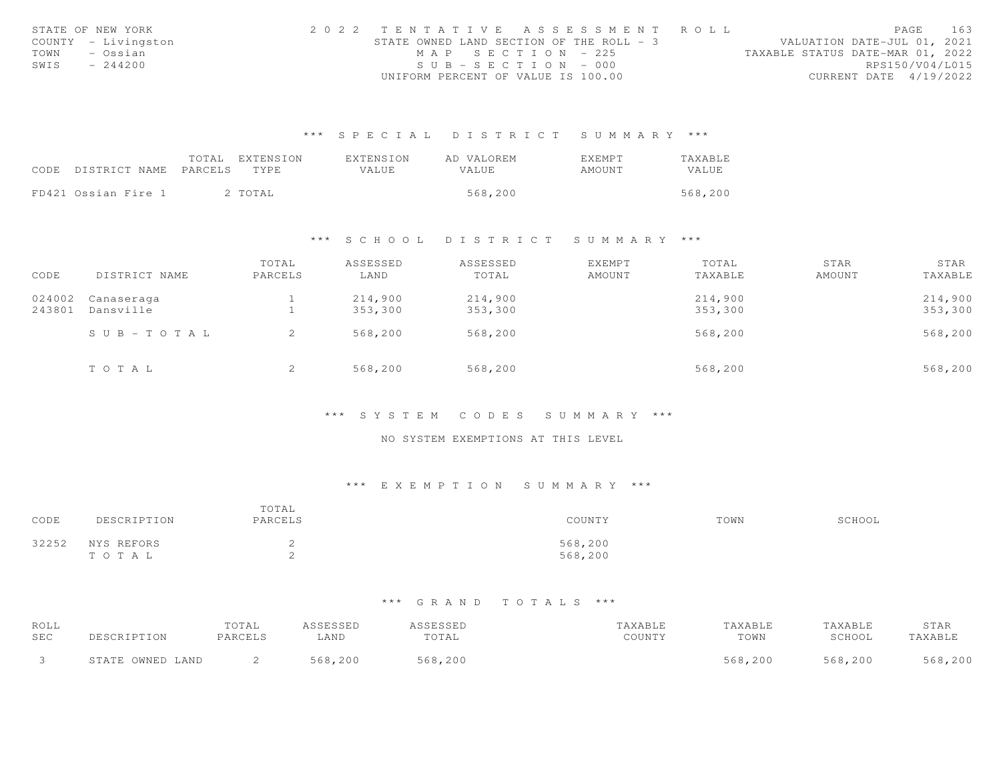| STATE OF NEW YORK   | 2022 TENTATIVE ASSESSMENT ROLL           |                   |                                  | PAGE                        | 163 |
|---------------------|------------------------------------------|-------------------|----------------------------------|-----------------------------|-----|
| COUNTY - Livingston | STATE OWNED LAND SECTION OF THE ROLL - 3 |                   |                                  | VALUATION DATE-JUL 01, 2021 |     |
| TOWN<br>– Ossian    |                                          | MAP SECTION - 225 | TAXABLE STATUS DATE-MAR 01, 2022 |                             |     |
| SWIS<br>$-244200$   | $SUB - SECTION - 000$                    |                   |                                  | RPS150/V04/L015             |     |
|                     | UNIFORM PERCENT OF VALUE IS 100.00       |                   |                                  | CURRENT DATE 4/19/2022      |     |

|                            | TOTAL EXTENSION | EXTENSION | AD VALOREM   | <b>EXEMPT</b> | <b>TAXABLE</b> |
|----------------------------|-----------------|-----------|--------------|---------------|----------------|
| CODE DISTRICT NAME PARCELS | TYPE.           | VALUE.    | <b>VALUE</b> | AMOUNT        | VALUE          |
|                            |                 |           |              |               |                |
| FD421 Ossian Fire 1        | 2 TOTAL         |           | 568,200      |               | 568,200        |

# \*\*\* S C H O O L D I S T R I C T S U M M A R Y \*\*\*

| CODE   | DISTRICT NAME | TOTAL<br>PARCELS | ASSESSED<br>LAND | ASSESSED<br>TOTAL | <b>EXEMPT</b><br>AMOUNT | TOTAL<br>TAXABLE | STAR<br>AMOUNT | STAR<br>TAXABLE |
|--------|---------------|------------------|------------------|-------------------|-------------------------|------------------|----------------|-----------------|
| 024002 | Canaseraga    |                  | 214,900          | 214,900           |                         | 214,900          |                | 214,900         |
| 243801 | Dansville     |                  | 353,300          | 353,300           |                         | 353,300          |                | 353,300         |
|        | SUB-TOTAL     |                  | 568,200          | 568,200           |                         | 568,200          |                | 568,200         |
|        | TOTAL         | ▵                | 568,200          | 568,200           |                         | 568,200          |                | 568,200         |

#### \*\*\* S Y S T E M C O D E S S U M M A R Y \*\*\*

#### NO SYSTEM EXEMPTIONS AT THIS LEVEL

# \*\*\* E X E M P T I O N S U M M A R Y \*\*\*

| CODE  | DESCRIPTION         | TOTAL<br>PARCELS | COUNTY             | TOWN | SCHOOL |
|-------|---------------------|------------------|--------------------|------|--------|
| 32252 | NYS REFORS<br>TOTAL | -<br>-           | 568,200<br>568,200 |      |        |

| ROLL       |                  | TOTAL   | ASSESSED | <b>ASSESSED</b> | TAXABLE | TAXABLE | TAXABLE | STAR    |
|------------|------------------|---------|----------|-----------------|---------|---------|---------|---------|
| <b>SEC</b> | DESCRIPTION      | PARCELS | ∟AND     | TOTAL           | COUNTY  | TOWN    | SCHOOL  | TAXABLE |
|            | STATE OWNED LAND |         | 568,200  | 568,200         |         | 568,200 | 568,200 | 568,200 |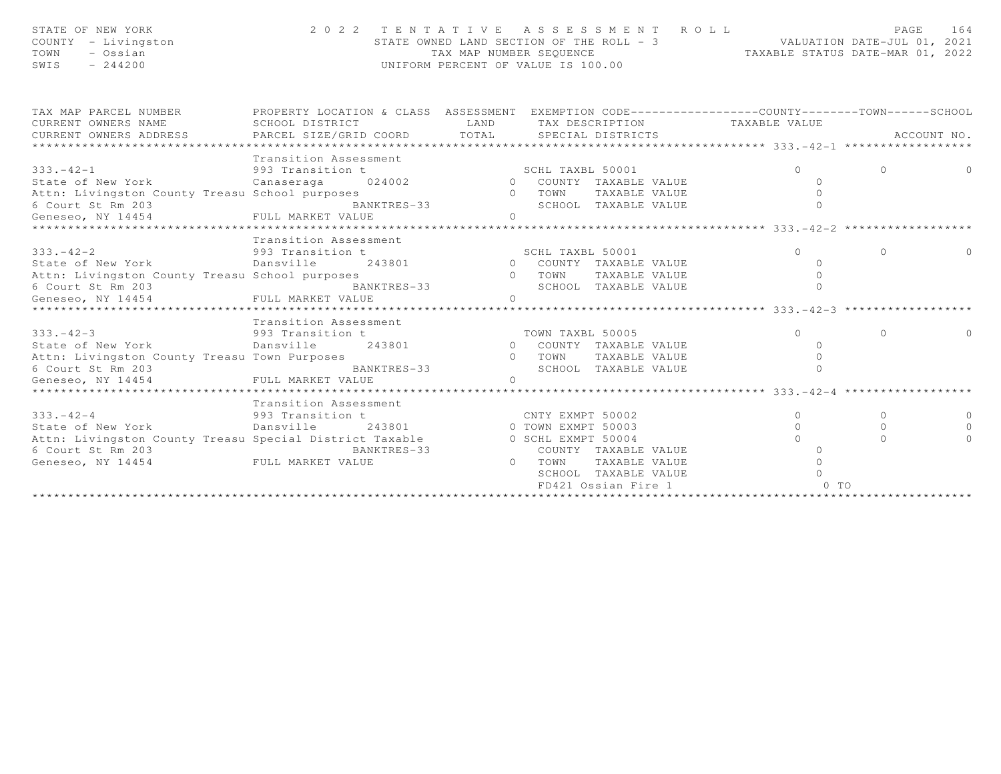| STATE OF NEW YORK   | 2022 TENTATIVE ASSESSMENT ROLL           | 164<br>PAGE                      |
|---------------------|------------------------------------------|----------------------------------|
| COUNTY - Livingston | STATE OWNED LAND SECTION OF THE ROLL - 3 | VALUATION DATE-JUL 01, 2021      |
| TOWN<br>– Ossian    | TAX MAP NUMBER SEOUENCE                  | TAXABLE STATUS DATE-MAR 01, 2022 |
| SWIS<br>$-244200$   | UNIFORM PERCENT OF VALUE IS 100.00       |                                  |
|                     |                                          |                                  |

| TAX MAP PARCEL NUMBER<br>CURRENT OWNERS NAME             | PROPERTY LOCATION & CLASS ASSESSMENT EXEMPTION CODE----------------COUNTY-------TOWN------SCHOOL<br>SCHOOL DISTRICT | LAND           | TAX DESCRIPTION TAXABLE VALUE              |          |          |             |
|----------------------------------------------------------|---------------------------------------------------------------------------------------------------------------------|----------------|--------------------------------------------|----------|----------|-------------|
| CURRENT OWNERS ADDRESS PARCEL SIZE/GRID COORD TOTAL      |                                                                                                                     |                | SPECIAL DISTRICTS                          |          |          | ACCOUNT NO. |
|                                                          |                                                                                                                     |                |                                            |          |          |             |
|                                                          | Transition Assessment                                                                                               |                |                                            |          |          |             |
| $333 - 42 - 1$                                           | 993 Transition t                                                                                                    |                |                                            | $\Omega$ | $\Omega$ |             |
| State of New York                                        | Canaseraga 024002                                                                                                   |                | SCHL TAXBL 50001<br>0 COUNTY TAXABLE VALUE |          |          |             |
| Attn: Livingston County Treasu School purposes           |                                                                                                                     | $\overline{0}$ | TOWN<br>TAXABLE VALUE                      |          |          |             |
| 6 Court St Rm 203                                        | BANKTRES-33                                                                                                         |                | SCHOOL TAXABLE VALUE                       |          |          |             |
| Geneseo, NY 14454 FULL MARKET VALUE                      |                                                                                                                     |                |                                            |          |          |             |
|                                                          |                                                                                                                     |                |                                            |          |          |             |
|                                                          | Transition Assessment                                                                                               |                |                                            |          |          |             |
| $333 - 42 - 2$                                           | 993 Transition t                                                                                                    |                | SCHL TAXBL 50001                           | $\Omega$ | $\Omega$ |             |
| State of New York                                        | Dansville                                                                                                           |                | 243801 0 COUNTY TAXABLE VALUE              |          |          |             |
| Attn: Livingston County Treasu School purposes           |                                                                                                                     | 0 TOWN         | TAXABLE VALUE                              |          |          |             |
|                                                          | BANKTRES-33                                                                                                         |                | SCHOOL TAXABLE VALUE                       |          |          |             |
| 6 Court St Rm 203<br>Geneseo, NY 14454 FULL MARKET VALUE |                                                                                                                     |                |                                            |          |          |             |
|                                                          |                                                                                                                     |                |                                            |          |          |             |
|                                                          | Transition Assessment                                                                                               |                |                                            |          |          |             |
| $333 - 42 - 3$                                           | 993 Transition t                                                                                                    |                | TOWN TAXBL 50005                           | $\Omega$ | $\Omega$ |             |
| State of New York                                        | Dansville                                                                                                           |                | 243801 0 COUNTY TAXABLE VALUE              |          |          |             |
| Attn: Livingston County Treasu Town Purposes             |                                                                                                                     |                | 0 TOWN<br>TAXABLE VALUE                    |          |          |             |
| 6 Court St Rm 203                                        | BANKTRES-33                                                                                                         |                | SCHOOL TAXABLE VALUE                       |          |          |             |
| Geneseo, NY 14454 FULL MARKET VALUE                      |                                                                                                                     | $\Omega$       |                                            |          |          |             |
|                                                          |                                                                                                                     |                |                                            |          |          |             |
|                                                          | Transition Assessment                                                                                               |                |                                            |          |          |             |
| $333 - 42 - 4$                                           | 993 Transition t                                                                                                    |                | CNTY EXMPT 50002                           | $\circ$  | $\Omega$ |             |
| State of New York                                        | Dansville                                                                                                           |                | 243801 0 TOWN EXMPT 50003                  | $\Omega$ | $\Omega$ |             |
| Attn: Livingston County Treasu Special District Taxable  |                                                                                                                     |                | 0 SCHL EXMPT 50004                         |          | $\cap$   |             |
| 6 Court St Rm 203                                        | BANKTRES-33                                                                                                         |                | COUNTY TAXABLE VALUE                       |          |          |             |
|                                                          |                                                                                                                     |                | 0 TOWN<br>TAXABLE VALUE                    |          |          |             |
|                                                          |                                                                                                                     |                | SCHOOL TAXABLE VALUE                       |          |          |             |
|                                                          |                                                                                                                     |                | FD421 Ossian Fire 1                        | $0$ TO   |          |             |
|                                                          |                                                                                                                     |                |                                            |          |          |             |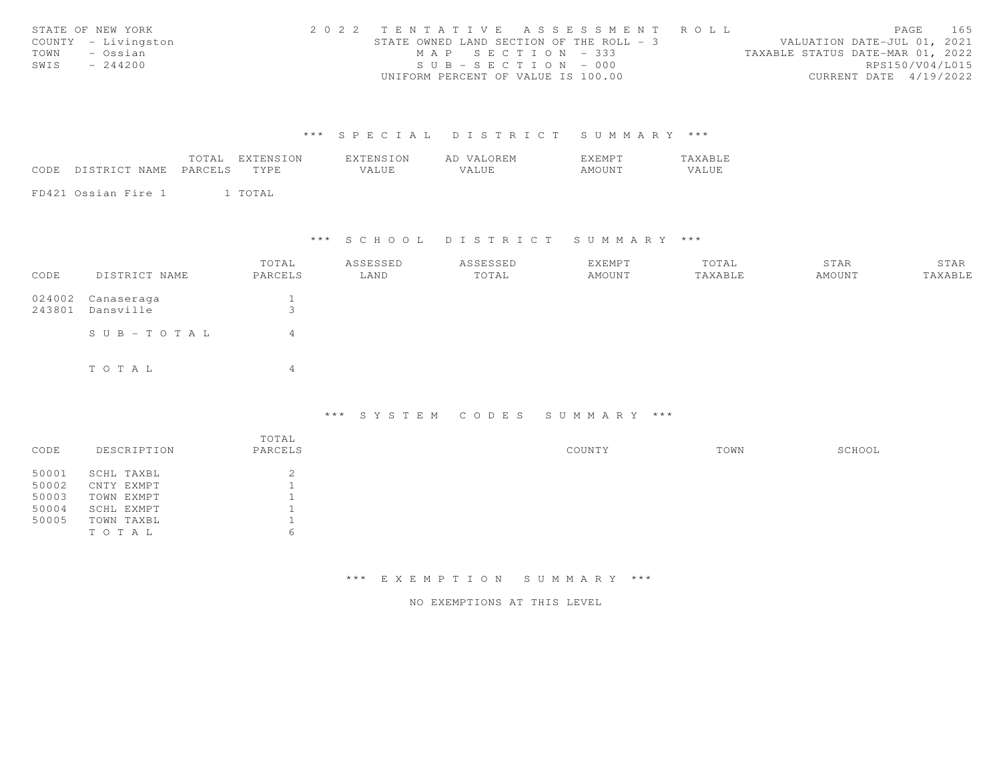|      | STATE OF NEW YORK   | 2022 TENTATTVE ASSESSMENT ROLL           |                     |  |  |                                  |                        | PAGE | 165 |
|------|---------------------|------------------------------------------|---------------------|--|--|----------------------------------|------------------------|------|-----|
|      | COUNTY - Livingston | STATE OWNED LAND SECTION OF THE ROLL - 3 |                     |  |  | VALUATION DATE-JUL 01, 2021      |                        |      |     |
| TOWN | – Ossian            |                                          | $MAP$ SECTION - 333 |  |  | TAXABLE STATUS DATE-MAR 01, 2022 |                        |      |     |
| SWIS | $-244200$           | $SUB - SECTION - 000$                    |                     |  |  |                                  | RPS150/V04/L015        |      |     |
|      |                     | UNIFORM PERCENT OF VALUE IS 100.00       |                     |  |  |                                  | CURRENT DATE 4/19/2022 |      |     |

|      |                     | TOTAL   | EXTENSION | EXTENSION | AD VALOREM | EXEMPT | TAXABLE |
|------|---------------------|---------|-----------|-----------|------------|--------|---------|
| CODE | DISTRICT NAME       | PARCELS | TYPE.     | VALUE.    | VALUE.     | AMOUNT | VALUE   |
|      |                     |         |           |           |            |        |         |
|      | FD421 Ossian Fire 1 |         | TOTAL     |           |            |        |         |

\*\*\* S C H O O L D I S T R I C T S U M M A R Y \*\*\*

| CODE             | DISTRICT NAME           | TOTAL<br>PARCELS  | ASSESSED<br>LAND | ASSESSED<br>TOTAL | EXEMPT<br>AMOUNT | TOTAL<br>TAXABLE | STAR<br>AMOUNT | STAR<br>TAXABLE |
|------------------|-------------------------|-------------------|------------------|-------------------|------------------|------------------|----------------|-----------------|
| 024002<br>243801 | Canaseraga<br>Dansville | $\mathbf{r}$<br>ر |                  |                   |                  |                  |                |                 |
|                  | $S \cup B - TO T A L$   | 4                 |                  |                   |                  |                  |                |                 |
|                  | TOTAL                   | $\overline{4}$    |                  |                   |                  |                  |                |                 |

### \*\*\* S Y S T E M C O D E S S U M M A R Y \*\*\*

| CODE  | DESCRIPTION | TOTAL<br>PARCELS | COUNTY | TOWN | SCHOOL |
|-------|-------------|------------------|--------|------|--------|
| 50001 | SCHL TAXBL  | ∠                |        |      |        |
| 50002 | CNTY EXMPT  |                  |        |      |        |
| 50003 | TOWN EXMPT  |                  |        |      |        |
| 50004 | SCHL EXMPT  |                  |        |      |        |
| 50005 | TOWN TAXBL  |                  |        |      |        |
|       | TOTAL       | h                |        |      |        |

\*\*\* E X E M P T I O N S U M M A R Y \*\*\*

NO EXEMPTIONS AT THIS LEVEL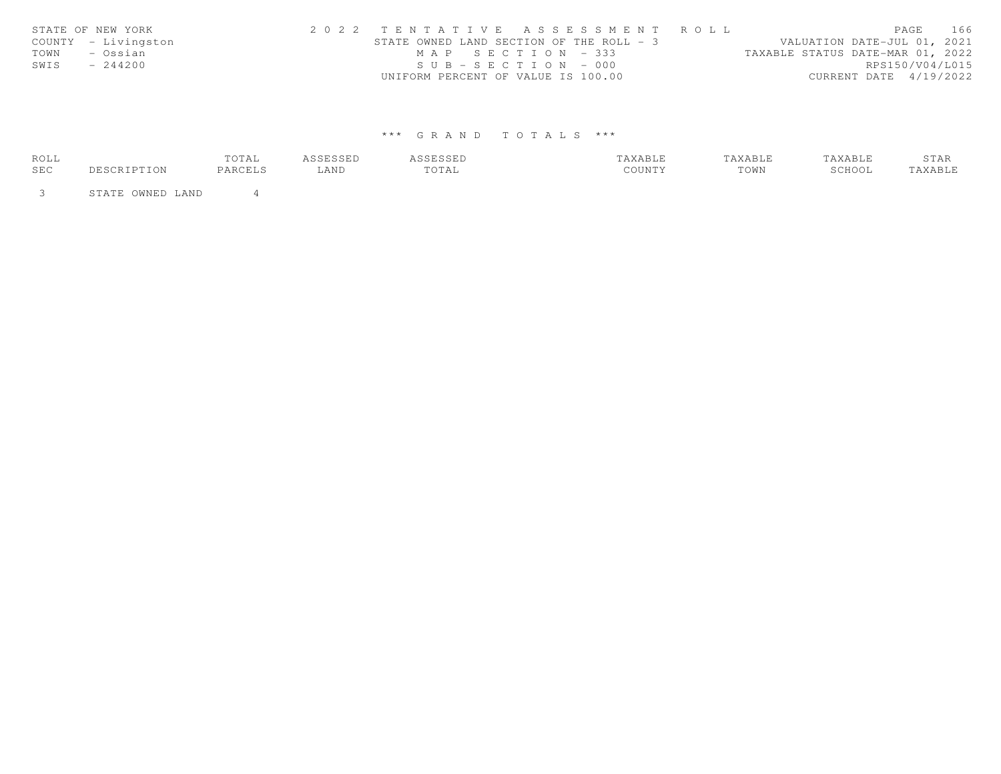| STATE OF NEW YORK   | 2022 TENTATIVE ASSESSMENT ROLL |                                          |  |  |                                  |                        | PAGE | 166 |
|---------------------|--------------------------------|------------------------------------------|--|--|----------------------------------|------------------------|------|-----|
| COUNTY - Livingston |                                | STATE OWNED LAND SECTION OF THE ROLL - 3 |  |  | VALUATION DATE-JUL 01, 2021      |                        |      |     |
| TOWN<br>– Ossian    |                                | MAP SECTION - 333                        |  |  | TAXABLE STATUS DATE-MAR 01, 2022 |                        |      |     |
| SWIS<br>$-244200$   |                                | $SUB - SECTION - 000$                    |  |  |                                  | RPS150/V04/L015        |      |     |
|                     |                                | UNIFORM PERCENT OF VALUE IS 100.00       |  |  |                                  | CURRENT DATE 4/19/2022 |      |     |

| ROLL |                  | TOTAL   | 'CCFCCFD<br>للشاف فللاف | ىتتەن تاتان. | TAXABLE | TAXABLE | TAXABLE | STAR          |
|------|------------------|---------|-------------------------|--------------|---------|---------|---------|---------------|
| SEC  | PTION .          | PARCELS | LAND                    | TOTAL        | COUNTY  | TOWN    | SCHOOL  | <b>AXABLE</b> |
|      | STATE OWNED LAND |         |                         |              |         |         |         |               |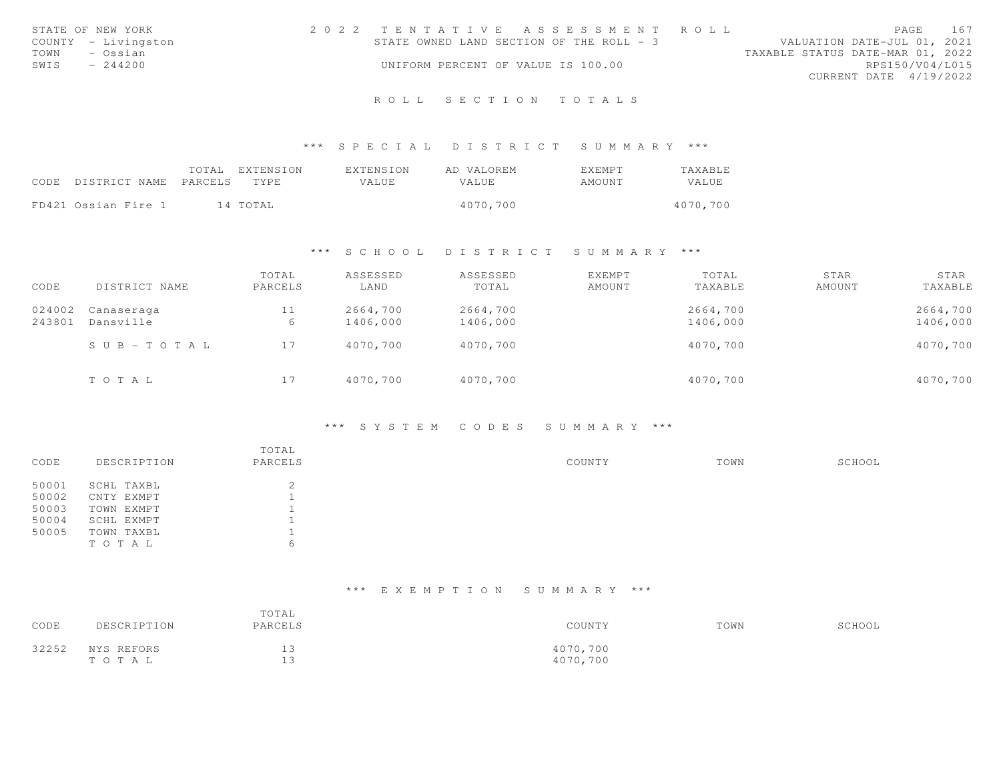|      | STATE OF NEW YORK   | 2022 TENTATIVE ASSESSMENT ROLL           |  |  |                                  |                        | PAGE. | 167 |
|------|---------------------|------------------------------------------|--|--|----------------------------------|------------------------|-------|-----|
|      | COUNTY - Livingston | STATE OWNED LAND SECTION OF THE ROLL - 3 |  |  | VALUATION DATE-JUL 01, 2021      |                        |       |     |
| TOWN | - Ossian            |                                          |  |  | TAXABLE STATUS DATE-MAR 01, 2022 |                        |       |     |
| SWIS | $-244200$           | UNIFORM PERCENT OF VALUE IS 100.00       |  |  |                                  | RPS150/V04/L015        |       |     |
|      |                     |                                          |  |  |                                  | CURRENT DATE 4/19/2022 |       |     |
|      |                     |                                          |  |  |                                  |                        |       |     |

#### \*\*\* S P E C I A L D I S T R I C T S U M M A R Y \*\*\*

|      |                     | TOTAL   | EXTENSION | EXTENSION | AD VALOREM | <b>EXEMPT</b> | <b>TAXABLE</b> |
|------|---------------------|---------|-----------|-----------|------------|---------------|----------------|
| CODE | DISTRICT NAME       | PARCELS | TYPE.     | VALUE     | VALUE.     | AMOUNT        | VALUE          |
|      |                     |         |           |           |            |               |                |
|      | FD421 Ossian Fire 1 |         | 14 TOTAL  |           | 4070,700   |               | 4070,700       |

#### \*\*\* S C H O O L D I S T R I C T S U M M A R Y \*\*\*

| CODE             | DISTRICT NAME             | TOTAL<br>PARCELS | ASSESSED<br>LAND     | ASSESSED<br>TOTAL    | EXEMPT<br>AMOUNT | TOTAL<br>TAXABLE     | STAR<br>AMOUNT | STAR<br>TAXABLE      |
|------------------|---------------------------|------------------|----------------------|----------------------|------------------|----------------------|----------------|----------------------|
| 024002<br>243801 | Canaseraga<br>Dansville   | 11<br>6          | 2664,700<br>1406,000 | 2664,700<br>1406,000 |                  | 2664,700<br>1406,000 |                | 2664,700<br>1406,000 |
|                  | $S \cup B = T \cup T A L$ | 17               | 4070,700             | 4070,700             |                  | 4070,700             |                | 4070,700             |
|                  | TOTAL                     | 17               | 4070,700             | 4070,700             |                  | 4070,700             |                | 4070,700             |

#### \*\*\* S Y S T E M C O D E S S U M M A R Y \*\*\*

|       |             | TOTAL   |        |      |        |
|-------|-------------|---------|--------|------|--------|
| CODE  | DESCRIPTION | PARCELS | COUNTY | TOWN | SCHOOL |
| 50001 | SCHL TAXBL  | ⌒<br>∠  |        |      |        |
| 50002 | CNTY EXMPT  |         |        |      |        |
| 50003 | TOWN EXMPT  |         |        |      |        |
| 50004 | SCHL EXMPT  |         |        |      |        |
| 50005 | TOWN TAXBL  |         |        |      |        |
|       | TOTAL       | b       |        |      |        |

# \*\*\* E X E M P T I O N S U M M A R Y \*\*\*

| CODE  | DESCRIPTION | TOTAL<br>PARCELS | COUNTY   | TOWN | SCHOOL |
|-------|-------------|------------------|----------|------|--------|
| 32252 | NYS REFORS  | ∸∼               | 4070,700 |      |        |
|       | TOTAL       | --               | 4070,700 |      |        |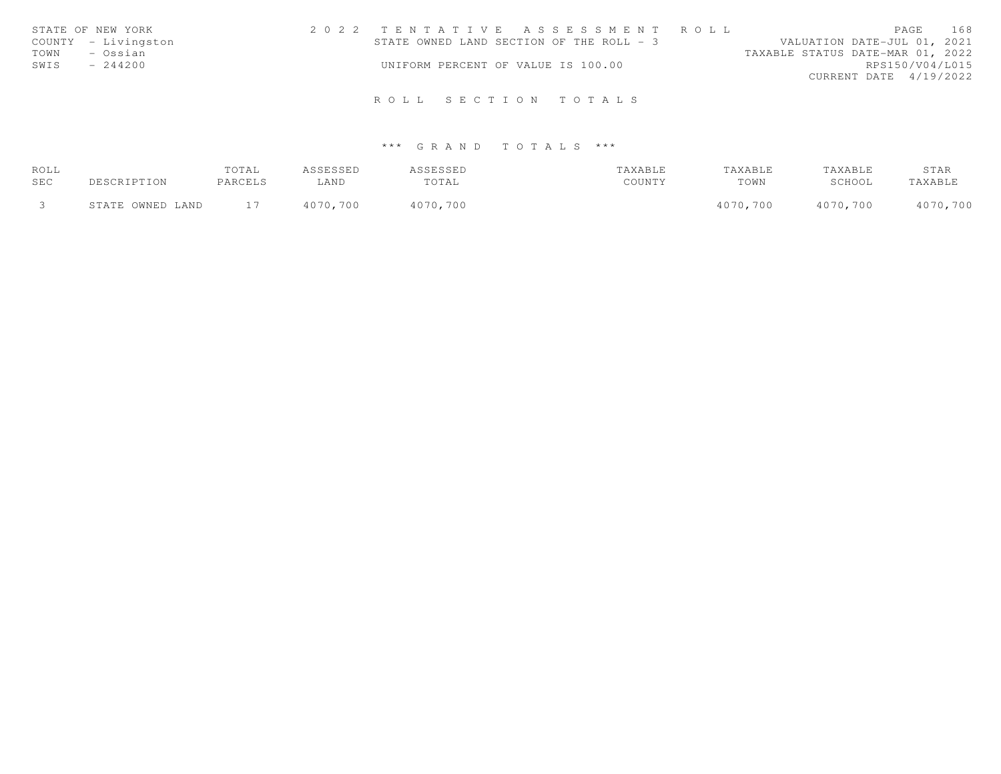|      | STATE OF NEW YORK   | 2022 TENTATIVE ASSESSMENT ROLL           |  |  |  |                                  |                        | PAGE | 168 |
|------|---------------------|------------------------------------------|--|--|--|----------------------------------|------------------------|------|-----|
|      | COUNTY - Livingston | STATE OWNED LAND SECTION OF THE ROLL - 3 |  |  |  | VALUATION DATE-JUL 01, 2021      |                        |      |     |
| TOWN | – Ossian            |                                          |  |  |  | TAXABLE STATUS DATE-MAR 01, 2022 |                        |      |     |
| SWIS | $-244200$           | UNIFORM PERCENT OF VALUE IS 100.00       |  |  |  |                                  | RPS150/V04/L015        |      |     |
|      |                     |                                          |  |  |  |                                  | CURRENT DATE 4/19/2022 |      |     |
|      |                     |                                          |  |  |  |                                  |                        |      |     |
|      |                     | ROLL SECTION TOTALS                      |  |  |  |                                  |                        |      |     |

| ROLL |                  | TOTAL   | ASSESSED | <b>ASSESSED</b> | TAXABLE | TAXABLE  | TAXABLE  | STAR     |
|------|------------------|---------|----------|-----------------|---------|----------|----------|----------|
| SEC  | DESCRIPTION      | PARCELS | LAND     | TOTAL           | COUNTY  | TOWN     | SCHOOL   | TAXABLE  |
|      | STATE OWNED LAND |         | 4070,700 | 4070,700        |         | 4070,700 | 4070,700 | 4070,700 |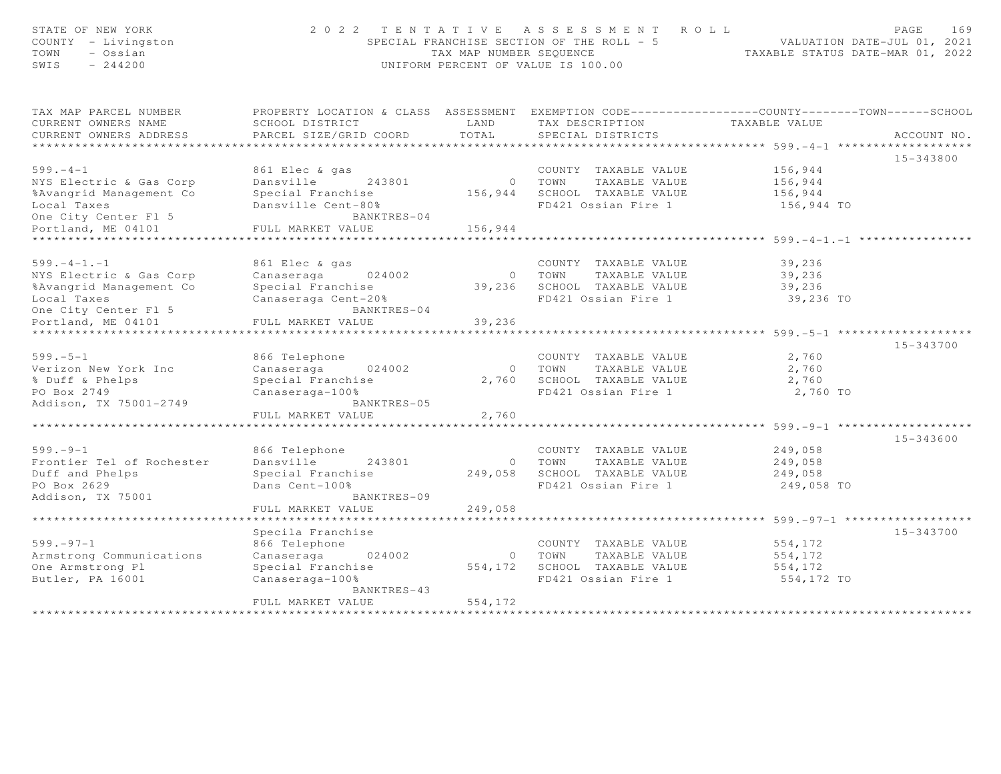| STATE OF NEW YORK<br>COUNTY - Livingston<br>TOWN<br>- Ossian<br>SWIS<br>$-244200$ |                                                                                                  | TAX MAP NUMBER SEQUENCE    | 2022 TENTATIVE ASSESSMENT ROLL<br>SPECIAL FRANCHISE SECTION OF THE ROLL - 5<br>UNIFORM PERCENT OF VALUE IS 100.00 | TAXABLE STATUS DATE-MAR 01, 2022             | 169<br>PAGE<br>VALUATION DATE-JUL 01, 2021 |
|-----------------------------------------------------------------------------------|--------------------------------------------------------------------------------------------------|----------------------------|-------------------------------------------------------------------------------------------------------------------|----------------------------------------------|--------------------------------------------|
| TAX MAP PARCEL NUMBER                                                             | PROPERTY LOCATION & CLASS ASSESSMENT EXEMPTION CODE----------------COUNTY-------TOWN------SCHOOL |                            |                                                                                                                   |                                              |                                            |
| CURRENT OWNERS NAME                                                               | SCHOOL DISTRICT                                                                                  | LAND                       | TAX DESCRIPTION                                                                                                   | TAXABLE VALUE                                |                                            |
| CURRENT OWNERS ADDRESS                                                            | PARCEL SIZE/GRID COORD                                                                           | TOTAL                      | SPECIAL DISTRICTS                                                                                                 |                                              | ACCOUNT NO.                                |
| ********************                                                              | ***********************************                                                              |                            | ************************************599.-4-1 ************                                                         |                                              |                                            |
| $599. - 4 - 1$                                                                    | 861 Elec & gas                                                                                   |                            | COUNTY TAXABLE VALUE                                                                                              | 156,944                                      | 15-343800                                  |
| NYS Electric & Gas Corp                                                           | Dansville<br>243801                                                                              |                            | 0 TOWN<br>TAXABLE VALUE                                                                                           | 156,944                                      |                                            |
| %Avangrid Management Co                                                           | Special Franchise                                                                                |                            | 156,944 SCHOOL TAXABLE VALUE                                                                                      | 156,944                                      |                                            |
| Local Taxes                                                                       | Dansville Cent-80%                                                                               |                            | FD421 Ossian Fire 1                                                                                               | 156,944 TO                                   |                                            |
| One City Center Fl 5                                                              | BANKTRES-04                                                                                      |                            |                                                                                                                   |                                              |                                            |
| Portland, ME 04101                                                                | FULL MARKET VALUE                                                                                | 156,944                    |                                                                                                                   |                                              |                                            |
|                                                                                   |                                                                                                  |                            |                                                                                                                   | $**********************+$ 599. -4-1. -1 **** |                                            |
|                                                                                   |                                                                                                  |                            |                                                                                                                   |                                              |                                            |
| $599. - 4 - 1. - 1$                                                               | 861 Elec & gas                                                                                   |                            | COUNTY TAXABLE VALUE                                                                                              | 39,236                                       |                                            |
| NYS Electric & Gas Corp                                                           | Canaseraga<br>024002                                                                             | $\Omega$                   | TOWN<br>TAXABLE VALUE                                                                                             | 39,236                                       |                                            |
| %Avangrid Management Co                                                           | Special Franchise                                                                                |                            | 39,236 SCHOOL TAXABLE VALUE                                                                                       | 39,236                                       |                                            |
| Local Taxes                                                                       | Canaseraga Cent-20%<br>BANKTRES-04                                                               |                            | FD421 Ossian Fire 1                                                                                               | 39,236 TO                                    |                                            |
| One City Center Fl 5<br>Portland, ME 04101                                        | FULL MARKET VALUE                                                                                | 39,236                     |                                                                                                                   |                                              |                                            |
|                                                                                   |                                                                                                  |                            |                                                                                                                   | $*********$ 599. -5-1 **                     |                                            |
|                                                                                   |                                                                                                  |                            |                                                                                                                   |                                              | 15-343700                                  |
| $599. - 5 - 1$                                                                    | 866 Telephone                                                                                    |                            | COUNTY TAXABLE VALUE                                                                                              | 2,760                                        |                                            |
| Verizon New York Inc                                                              | Canaseraga<br>024002                                                                             | $\circ$                    | TOWN<br>TAXABLE VALUE                                                                                             | 2,760                                        |                                            |
| % Duff & Phelps                                                                   | Special Franchise                                                                                | 2,760                      | SCHOOL TAXABLE VALUE                                                                                              | 2,760                                        |                                            |
| PO Box 2749                                                                       | Canaseraga-100%                                                                                  |                            | FD421 Ossian Fire 1                                                                                               | 2,760 TO                                     |                                            |
| Addison, TX 75001-2749                                                            | BANKTRES-05                                                                                      |                            |                                                                                                                   |                                              |                                            |
|                                                                                   | FULL MARKET VALUE                                                                                | 2,760                      |                                                                                                                   |                                              |                                            |
|                                                                                   |                                                                                                  |                            |                                                                                                                   | ************* 599. - 9-1 ***********         |                                            |
| $599. - 9 - 1$                                                                    | 866 Telephone                                                                                    |                            | COUNTY TAXABLE VALUE                                                                                              | 249,058                                      | 15-343600                                  |
| Frontier Tel of Rochester                                                         | Dansville<br>243801                                                                              | $\circ$                    | TOWN<br>TAXABLE VALUE                                                                                             | 249,058                                      |                                            |
| Duff and Phelps                                                                   | Special Franchise                                                                                | 249,058                    | SCHOOL TAXABLE VALUE                                                                                              | 249,058                                      |                                            |
| PO Box 2629                                                                       | Dans Cent-100%                                                                                   |                            | FD421 Ossian Fire 1                                                                                               | 249,058 TO                                   |                                            |
| Addison, TX 75001                                                                 | BANKTRES-09                                                                                      |                            |                                                                                                                   |                                              |                                            |
|                                                                                   | FULL MARKET VALUE                                                                                | 249,058                    |                                                                                                                   |                                              |                                            |
|                                                                                   | **************************                                                                       |                            |                                                                                                                   |                                              |                                            |
|                                                                                   | Specila Franchise                                                                                |                            |                                                                                                                   |                                              | 15-343700                                  |
| $599. - 97 - 1$                                                                   | 866 Telephone                                                                                    |                            | COUNTY TAXABLE VALUE                                                                                              | 554,172                                      |                                            |
| Armstrong Communications                                                          | Canaseraga<br>024002                                                                             | $\circ$                    | TOWN<br>TAXABLE VALUE                                                                                             | 554,172                                      |                                            |
| One Armstrong Pl                                                                  | Special Franchise                                                                                | 554,172                    | SCHOOL TAXABLE VALUE                                                                                              | 554,172                                      |                                            |
| Butler, PA 16001                                                                  | Canaseraga-100%                                                                                  |                            | FD421 Ossian Fire 1                                                                                               | 554,172 TO                                   |                                            |
|                                                                                   | BANKTRES-43                                                                                      |                            |                                                                                                                   |                                              |                                            |
|                                                                                   | FULL MARKET VALUE                                                                                | 554,172<br>*************** |                                                                                                                   |                                              |                                            |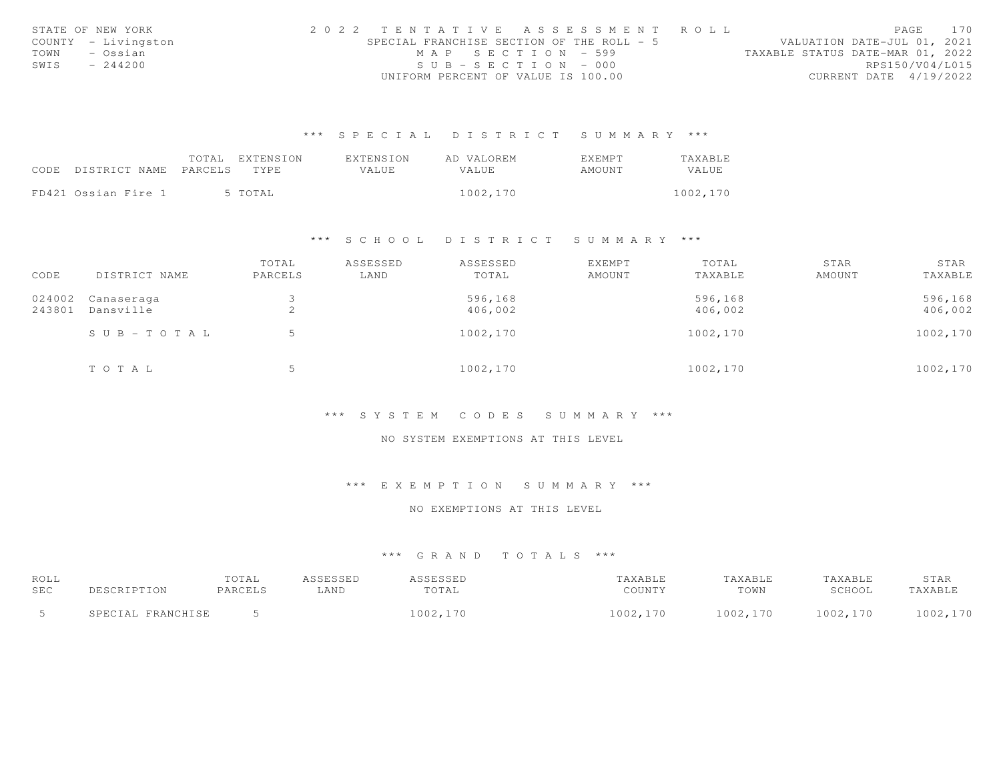|      | STATE OF NEW YORK   |  |                                           |  |                       |  |  |  | 2022 TENTATIVE ASSESSMENT ROLL |                                  |                        | PAGE | 170 |
|------|---------------------|--|-------------------------------------------|--|-----------------------|--|--|--|--------------------------------|----------------------------------|------------------------|------|-----|
|      | COUNTY - Livingston |  | SPECIAL FRANCHISE SECTION OF THE ROLL - 5 |  |                       |  |  |  |                                | VALUATION DATE-JUL 01, 2021      |                        |      |     |
| TOWN | – Ossian            |  |                                           |  | MAP SECTION - 599     |  |  |  |                                | TAXABLE STATUS DATE-MAR 01, 2022 |                        |      |     |
| SWIS | $-244200$           |  |                                           |  | $SUB - SECTION - 000$ |  |  |  |                                |                                  | RPS150/V04/L015        |      |     |
|      |                     |  | UNIFORM PERCENT OF VALUE IS 100.00        |  |                       |  |  |  |                                |                                  | CURRENT DATE 4/19/2022 |      |     |

|                            | TOTAL | EXTENSION | EXTENSION | AD VALOREM   | EXEMPT | TAXABLE  |
|----------------------------|-------|-----------|-----------|--------------|--------|----------|
| CODE DISTRICT NAME PARCELS |       | TYPE.     | VALUE     | <b>VALUE</b> | AMOUNT | VALUE    |
|                            |       |           |           |              |        |          |
| FD421 Ossian Fire 1        |       | 5 TOTAL   |           | 1002,170     |        | 1002,170 |

#### \*\*\* S C H O O L D I S T R I C T S U M M A R Y \*\*\*

| CODE   | DISTRICT NAME | TOTAL<br>PARCELS | ASSESSED<br>LAND | ASSESSED<br>TOTAL | <b>EXEMPT</b><br>AMOUNT | TOTAL<br>TAXABLE | STAR<br>AMOUNT | STAR<br>TAXABLE |
|--------|---------------|------------------|------------------|-------------------|-------------------------|------------------|----------------|-----------------|
| 024002 | Canaseraga    |                  |                  | 596,168           |                         | 596,168          |                | 596,168         |
| 243801 | Dansville     | $\bigcirc$<br>∠  |                  | 406,002           |                         | 406,002          |                | 406,002         |
|        | SUB-TOTAL     |                  |                  | 1002,170          |                         | 1002,170         |                | 1002,170        |
|        | TOTAL         |                  |                  | 1002,170          |                         | 1002,170         |                | 1002,170        |

#### \*\*\* S Y S T E M C O D E S S U M M A R Y \*\*\*

#### NO SYSTEM EXEMPTIONS AT THIS LEVEL

# \*\*\* E X E M P T I O N S U M M A R Y \*\*\*

#### NO EXEMPTIONS AT THIS LEVEL

| ROLL |                   | TOTAL   | ASSESSED | ASSESSED | TAXABLE  | TAXABLE  | TAXABLE  | STAR     |
|------|-------------------|---------|----------|----------|----------|----------|----------|----------|
| SEC  | DESCRIPTION       | PARCELS | LAND     | TOTAL    | COUNTY   | TOWN     | SCHOOL   | TAXABLE  |
|      | SPECIAL FRANCHISE |         |          | 1002,170 | 1002,170 | 1002,170 | 1002,170 | 1002,170 |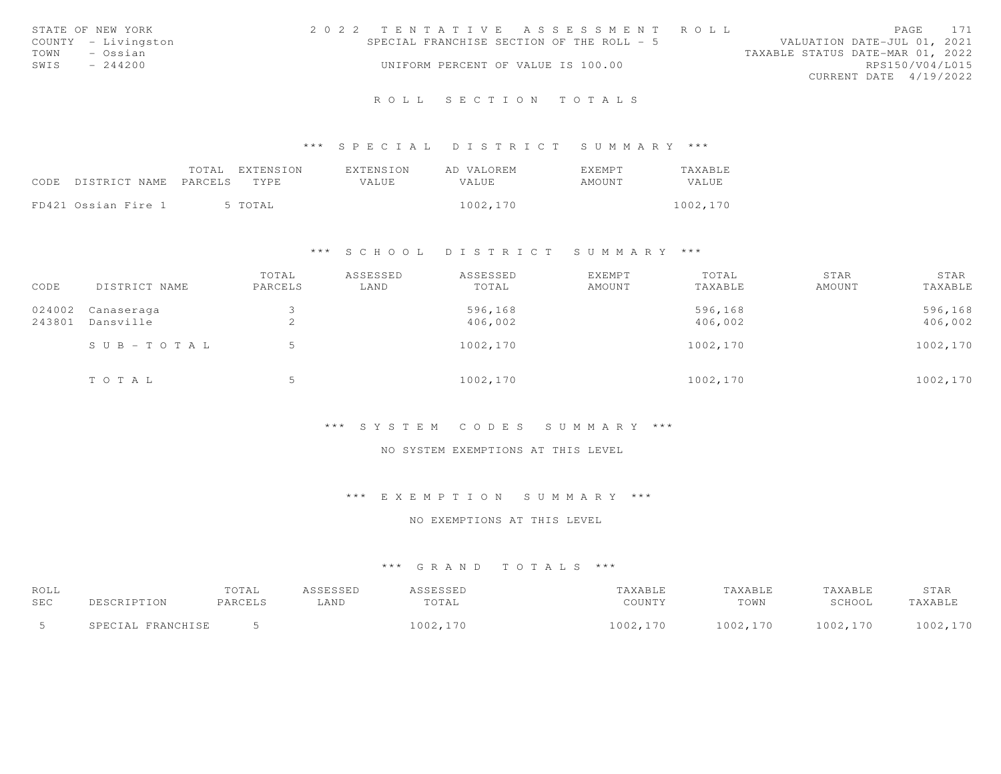| STATE OF NEW YORK<br>COUNTY - Livingston<br>- Ossian<br>TOWN<br>SWIS<br>$-244200$ | 2022 TENTATIVE ASSESSMENT ROLL<br>SPECIAL FRANCHISE SECTION OF THE ROLL - 5<br>UNIFORM PERCENT OF VALUE IS 100.00 | PAGE 171<br>VALUATION DATE-JUL 01, 2021<br>TAXABLE STATUS DATE-MAR 01, 2022<br>RPS150/V04/L015<br>CURRENT DATE 4/19/2022 |
|-----------------------------------------------------------------------------------|-------------------------------------------------------------------------------------------------------------------|--------------------------------------------------------------------------------------------------------------------------|
|                                                                                   | ROLL SECTION TOTALS                                                                                               |                                                                                                                          |

|      |                       | TOTAL EXTENSION | EXTENSION | AD VALOREM | <b>EXEMPT</b> | TAXABLE  |
|------|-----------------------|-----------------|-----------|------------|---------------|----------|
| CODE | DISTRICT NAME PARCELS | TYPE            | VALUE     | VALUE      | AMOUNT        | VALUE    |
|      |                       |                 |           |            |               |          |
|      | FD421 Ossian Fire 1   | 5 TOTAL         |           | 1002,170   |               | 1002,170 |

#### \*\*\* S C H O O L D I S T R I C T S U M M A R Y \*\*\*

| CODE             | DISTRICT NAME           | TOTAL<br>PARCELS | ASSESSED<br>LAND | ASSESSED<br>TOTAL  | EXEMPT<br>AMOUNT | TOTAL<br>TAXABLE   | STAR<br>AMOUNT | STAR<br>TAXABLE    |
|------------------|-------------------------|------------------|------------------|--------------------|------------------|--------------------|----------------|--------------------|
| 024002<br>243801 | Canaseraga<br>Dansville | ∠                |                  | 596,168<br>406,002 |                  | 596,168<br>406,002 |                | 596,168<br>406,002 |
|                  | $S \cup B - TO T A L$   |                  |                  | 1002,170           |                  | 1002,170           |                | 1002,170           |
|                  | TOTAL                   |                  |                  | 1002,170           |                  | 1002,170           |                | 1002,170           |

#### \*\*\* S Y S T E M C O D E S S U M M A R Y \*\*\*

# NO SYSTEM EXEMPTIONS AT THIS LEVEL

#### \*\*\* E X E M P T I O N S U M M A R Y \*\*\*

#### NO EXEMPTIONS AT THIS LEVEL

| ROLL       |                                       | TOTAL   | SSESSED | ACCECCEP | AXABLE        | TAXABLE  | 'AXABLE  | STAR     |
|------------|---------------------------------------|---------|---------|----------|---------------|----------|----------|----------|
| <b>SEC</b> |                                       | PARCELS | LAND    | TOTAL    | COUNTY        | TOWN     | SCHOOL   | TAXABL   |
|            | FPANCHICE<br>CDEC <sup>-</sup><br>TAT |         |         | 1002,170 | 1002,<br>,170 | 1002,170 | 1002,170 | 1002,170 |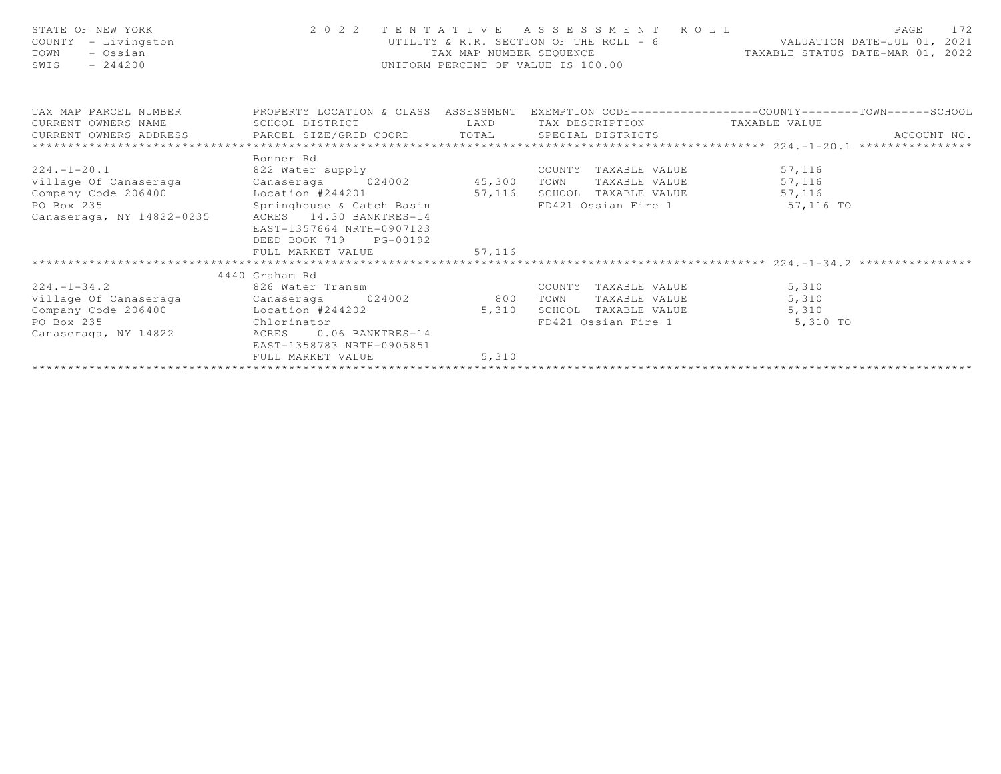| STATE OF NEW YORK<br>COUNTY - Livingston<br>- Ossian<br>TOWN<br>$-244200$<br>SWIS                                                                                                                                                                                                                  | UTILITY & R.R. SECTION OF THE ROLL - 6<br>TAX MAP NUMBER SEQUENCE<br>UNIFORM PERCENT OF VALUE IS 100.00 |                | 2022 TENTATIVE ASSESSMENT ROLL ROLL PAGE 172<br>UTILITY & R.R. SECTION OF THE ROLL - 6 VALUATION DATE-JUL 01, 2021<br>TAX MAP NUMBER SEQUENCE TAXABLE STATUS DATE-MAR 01, 2022 |                                       |             |
|----------------------------------------------------------------------------------------------------------------------------------------------------------------------------------------------------------------------------------------------------------------------------------------------------|---------------------------------------------------------------------------------------------------------|----------------|--------------------------------------------------------------------------------------------------------------------------------------------------------------------------------|---------------------------------------|-------------|
| TAX MAP PARCEL NUMBER THE PROPERTY LOCATION & CLASS ASSESSMENT EXEMPTION CODE---------------COUNTY--------TOWN------SCHOOL<br>CURRENT OWNERS NAME<br>CURRENT OWNERS ADDRESS FARCEL SIZE/GRID COORD TOTAL SPECIAL DISTRICTS                                                                         | SCHOOL DISTRICT                                                                                         |                | LAND TAX DESCRIPTION TAXABLE VALUE                                                                                                                                             |                                       | ACCOUNT NO. |
| 224.-1-20.1 822 Water supply COUNTY TAXABLE VALUE 57, 116<br>Village Of Canaseraga Canaseraga Canaseraga 024002 45,300 TOWN TAXABLE VALUE 57,116<br>Company Code 206400 Location #244201 57,116 SCHOOL TAXABLE VALUE 57,116<br>PO Box 235 Springhouse & Catch Basin FD421 Ossian Fire 1 57,116<br> | Bonner Rd<br>EAST-1357664 NRTH-0907123<br>DEED BOOK 719 PG-00192<br>FULL MARKET VALUE 57,116            |                | FD421 Ossian Fire 1 57,116 TO                                                                                                                                                  |                                       |             |
| 224.-1-34.2 826 Water Transm<br>Village Of Canaseraga Canaseraga 024002 800<br>Company Code 206400 Location #244202<br>Chlorinator<br>PO Box 235<br>Canaseraga, NY 14822                                                                                                                           | 4440 Graham Rd<br>ACRES<br>$0.06$ BANKTRES-14<br>EAST-1358783 NRTH-0905851<br>FULL MARKET VALUE         | 5,310<br>5,310 | COUNTY TAXABLE VALUE 5,310<br>TAXABLE VALUE<br>TOWN<br>SCHOOL TAXABLE VALUE 5,310                                                                                              | 5,310<br>FD421 Ossian Fire 1 5,310 TO |             |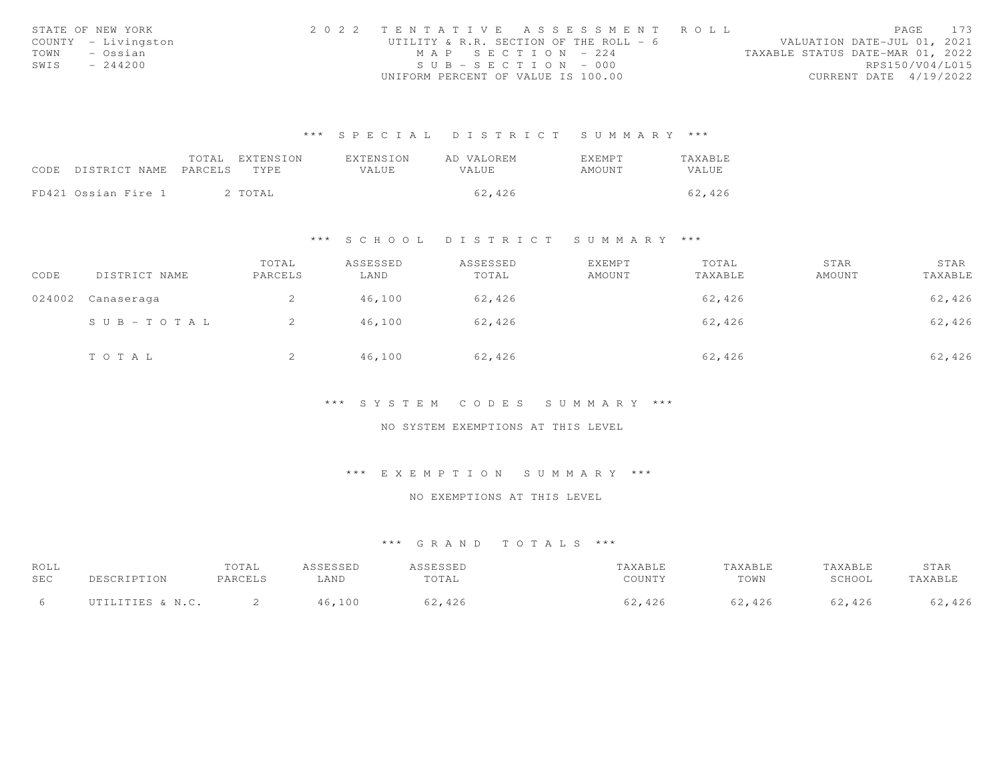|      | STATE OF NEW YORK   | 2022 TENTATIVE ASSESSMENT ROLL         |  |                                  | <b>PAGE 173</b> |  |
|------|---------------------|----------------------------------------|--|----------------------------------|-----------------|--|
|      | COUNTY - Livingston | UTILITY & R.R. SECTION OF THE ROLL - 6 |  | VALUATION DATE-JUL 01, 2021      |                 |  |
| TOWN | – Ossian            | MAP SECTION - 224                      |  | TAXABLE STATUS DATE-MAR 01, 2022 |                 |  |
| SWIS | $-244200$           | $SUB - SECTION - 000$                  |  | RPS150/V04/L015                  |                 |  |
|      |                     | UNIFORM PERCENT OF VALUE IS 100.00     |  | CURRENT DATE 4/19/2022           |                 |  |

|      |                       | TOTAL | EXTENSION | EXTENSION    | AD VALOREM | EXEMPT | TAXABLE |
|------|-----------------------|-------|-----------|--------------|------------|--------|---------|
| CODE | DISTRICT NAME PARCELS |       | TYPE.     | <b>VALUE</b> | VALUE.     | AMOUNT | VALUE   |
|      |                       |       |           |              |            |        |         |
|      | FD421 Ossian Fire 1   |       | 2 TOTAL   |              | 62,426     |        | 62,426  |

#### \*\*\* S C H O O L D I S T R I C T S U M M A R Y \*\*\*

| CODE   | DISTRICT NAME | TOTAL<br>PARCELS | ASSESSED<br>LAND | ASSESSED<br>TOTAL | EXEMPT<br>AMOUNT | TOTAL<br>TAXABLE | STAR<br>AMOUNT | STAR<br>TAXABLE |
|--------|---------------|------------------|------------------|-------------------|------------------|------------------|----------------|-----------------|
| 024002 | Canaseraga    | ∠                | 46,100           | 62,426            |                  | 62,426           |                | 62,426          |
|        | SUB-TOTAL     |                  | 46,100           | 62,426            |                  | 62,426           |                | 62,426          |
|        | TOTAL         | ▵                | 46,100           | 62,426            |                  | 62,426           |                | 62,426          |

#### \*\*\* S Y S T E M C O D E S S U M M A R Y \*\*\*

#### NO SYSTEM EXEMPTIONS AT THIS LEVEL

#### \*\*\* E X E M P T I O N S U M M A R Y \*\*\*

# NO EXEMPTIONS AT THIS LEVEL

| ROLL<br>SEC | DESCRIPTION      | TOTAL<br>PARCELS | ASSESSED<br>LAND | <i><b>ISSESSED</b></i><br>TOTAL | TAXABLE<br>COUNTY | TAXABLE<br>TOWN | TAXABLE<br>SCHOOL | STAR<br>TAXABLE |
|-------------|------------------|------------------|------------------|---------------------------------|-------------------|-----------------|-------------------|-----------------|
|             | UTILITIES & N.C. |                  | 100              | ,2,426                          | ,426<br>∕^∩.      | ,426            | 62,426            | 62,426          |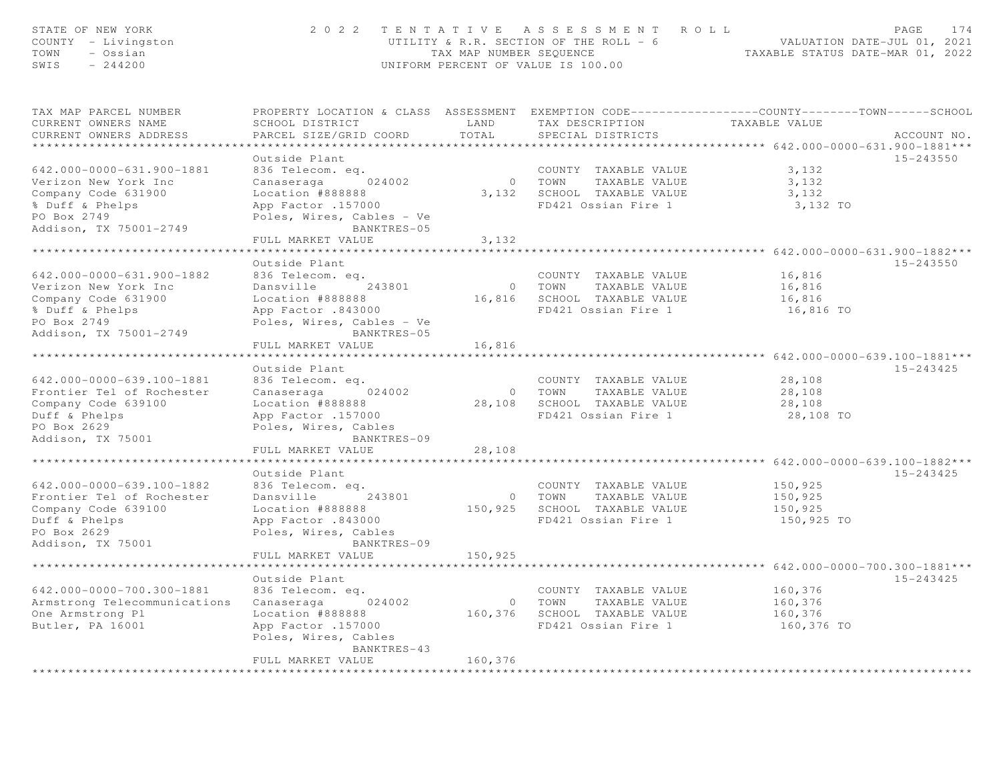| STATE OF NEW YORK<br>COUNTY - Livingston<br>TOWN<br>- Ossian<br>SWIS<br>$-244200$ |                                                                                                                                               | TAX MAP NUMBER SEQUENCE   | 2022 TENTATIVE ASSESSMENT ROLL<br>UTILITY & R.R. SECTION OF THE ROLL = 6<br>UNIFORM PERCENT OF VALUE IS 100.00 | TAXABLE STATUS DATE-MAR 01, 2022              | PAGE<br>174<br>VALUATION DATE-JUL 01, 2021 |
|-----------------------------------------------------------------------------------|-----------------------------------------------------------------------------------------------------------------------------------------------|---------------------------|----------------------------------------------------------------------------------------------------------------|-----------------------------------------------|--------------------------------------------|
| TAX MAP PARCEL NUMBER<br>CURRENT OWNERS NAME<br>CURRENT OWNERS ADDRESS            | PROPERTY LOCATION & CLASS ASSESSMENT EXEMPTION CODE----------------COUNTY-------TOWN------SCHOOL<br>SCHOOL DISTRICT<br>PARCEL SIZE/GRID COORD | LAND<br>TOTAL             | TAX DESCRIPTION<br>SPECIAL DISTRICTS                                                                           | TAXABLE VALUE                                 | ACCOUNT NO.                                |
| ************************                                                          |                                                                                                                                               |                           |                                                                                                                |                                               |                                            |
|                                                                                   | Outside Plant                                                                                                                                 |                           |                                                                                                                |                                               | 15-243550                                  |
| 642.000-0000-631.900-1881                                                         | 836 Telecom. eq.                                                                                                                              |                           | COUNTY TAXABLE VALUE                                                                                           | 3,132                                         |                                            |
| Verizon New York Inc                                                              | Canaseraga 024002                                                                                                                             |                           | 0 TOWN TAXABLE VALUE                                                                                           | 3,132                                         |                                            |
| Company Code 631900                                                               | Location #888888                                                                                                                              |                           | 3,132 SCHOOL TAXABLE VALUE                                                                                     | 3,132                                         |                                            |
| % Duff & Phelps                                                                   | App Factor .157000                                                                                                                            |                           | FD421 Ossian Fire 1                                                                                            | 3,132 TO                                      |                                            |
| PO Box 2749                                                                       | Poles, Wires, Cables - Ve                                                                                                                     |                           |                                                                                                                |                                               |                                            |
| Addison, TX 75001-2749                                                            | BANKTRES-05                                                                                                                                   |                           |                                                                                                                |                                               |                                            |
|                                                                                   | FULL MARKET VALUE                                                                                                                             | 3,132                     |                                                                                                                |                                               |                                            |
|                                                                                   |                                                                                                                                               |                           |                                                                                                                | **************** 642.000-0000-631.900-1882*** |                                            |
|                                                                                   | Outside Plant                                                                                                                                 |                           |                                                                                                                |                                               | 15-243550                                  |
| 642.000-0000-631.900-1882                                                         | 836 Telecom. eq.                                                                                                                              |                           | COUNTY TAXABLE VALUE                                                                                           | 16,816                                        |                                            |
| Verizon New York Inc                                                              | Dansville 243801                                                                                                                              |                           | 0 TOWN TAXABLE VALUE                                                                                           | 16,816                                        |                                            |
| Company Code 631900                                                               | Location #888888                                                                                                                              |                           | 16,816 SCHOOL TAXABLE VALUE                                                                                    | 16,816                                        |                                            |
| % Duff & Phelps                                                                   | App Factor .843000                                                                                                                            |                           | FD421 Ossian Fire 1                                                                                            | 16,816 TO                                     |                                            |
| PO Box 2749                                                                       | Poles, Wires, Cables - Ve                                                                                                                     |                           |                                                                                                                |                                               |                                            |
| Addison, TX 75001-2749                                                            | BANKTRES-05                                                                                                                                   |                           |                                                                                                                |                                               |                                            |
|                                                                                   | FULL MARKET VALUE                                                                                                                             | 16,816                    |                                                                                                                |                                               |                                            |
|                                                                                   |                                                                                                                                               | *************             |                                                                                                                |                                               |                                            |
|                                                                                   | Outside Plant                                                                                                                                 |                           |                                                                                                                |                                               | 15-243425                                  |
| 642.000-0000-639.100-1881                                                         | 836 Telecom. eq.                                                                                                                              |                           | COUNTY TAXABLE VALUE                                                                                           | 28,108                                        |                                            |
| Frontier Tel of Rochester                                                         | Canaseraga 024002                                                                                                                             |                           | 0 TOWN TAXABLE VALUE                                                                                           | 28,108                                        |                                            |
| Company Code 639100                                                               | Location #888888                                                                                                                              |                           | 28,108 SCHOOL TAXABLE VALUE                                                                                    | 28,108                                        |                                            |
| Duff & Phelps                                                                     | App Factor .157000                                                                                                                            |                           | FD421 Ossian Fire 1                                                                                            | 28,108 TO                                     |                                            |
| PO Box 2629                                                                       | Poles, Wires, Cables                                                                                                                          |                           |                                                                                                                |                                               |                                            |
| Addison, TX 75001                                                                 | BANKTRES-09                                                                                                                                   |                           |                                                                                                                |                                               |                                            |
|                                                                                   | FULL MARKET VALUE                                                                                                                             | 28,108                    |                                                                                                                |                                               |                                            |
|                                                                                   |                                                                                                                                               |                           |                                                                                                                |                                               |                                            |
|                                                                                   | Outside Plant                                                                                                                                 |                           |                                                                                                                |                                               | 15-243425                                  |
| 642.000-0000-639.100-1882                                                         | 836 Telecom. eq.                                                                                                                              |                           | COUNTY TAXABLE VALUE                                                                                           | 150,925                                       |                                            |
| Frontier Tel of Rochester                                                         | Dansville<br>243801                                                                                                                           |                           | 0 TOWN TAXABLE VALUE                                                                                           | 150,925                                       |                                            |
| Company Code 639100                                                               | Location #888888                                                                                                                              |                           | 150,925 SCHOOL TAXABLE VALUE                                                                                   | 150,925                                       |                                            |
| Duff & Phelps                                                                     | 843000 App Factor                                                                                                                             |                           | FD421 Ossian Fire 1                                                                                            | 150,925 TO                                    |                                            |
| PO Box 2629                                                                       | Poles, Wires, Cables                                                                                                                          |                           |                                                                                                                |                                               |                                            |
| Addison, TX 75001                                                                 | BANKTRES-09                                                                                                                                   |                           |                                                                                                                |                                               |                                            |
|                                                                                   | FULL MARKET VALUE                                                                                                                             | 150,925                   |                                                                                                                |                                               |                                            |
|                                                                                   |                                                                                                                                               |                           |                                                                                                                |                                               |                                            |
|                                                                                   | Outside Plant                                                                                                                                 |                           |                                                                                                                |                                               | 15-243425                                  |
| 642.000-0000-700.300-1881                                                         | 836 Telecom. eq.                                                                                                                              |                           | COUNTY TAXABLE VALUE                                                                                           | 160,376                                       |                                            |
| Armstrong Telecommunications                                                      | Canaseraga<br>024002                                                                                                                          |                           | 0 TOWN TAXABLE VALUE<br>160,376 SCHOOL TAXABLE VALUE                                                           | 160,376                                       |                                            |
| One Armstrong Pl                                                                  | Location #888888                                                                                                                              |                           | FD421 Ossian Fire 1                                                                                            | 160,376                                       |                                            |
| Butler, PA 16001                                                                  | App Factor .157000                                                                                                                            |                           |                                                                                                                | 160,376 TO                                    |                                            |
|                                                                                   | Poles, Wires, Cables<br>BANKTRES-43                                                                                                           |                           |                                                                                                                |                                               |                                            |
|                                                                                   | FULL MARKET VALUE                                                                                                                             | 160,376                   |                                                                                                                |                                               |                                            |
|                                                                                   |                                                                                                                                               | * * * * * * * * * * * * * |                                                                                                                |                                               |                                            |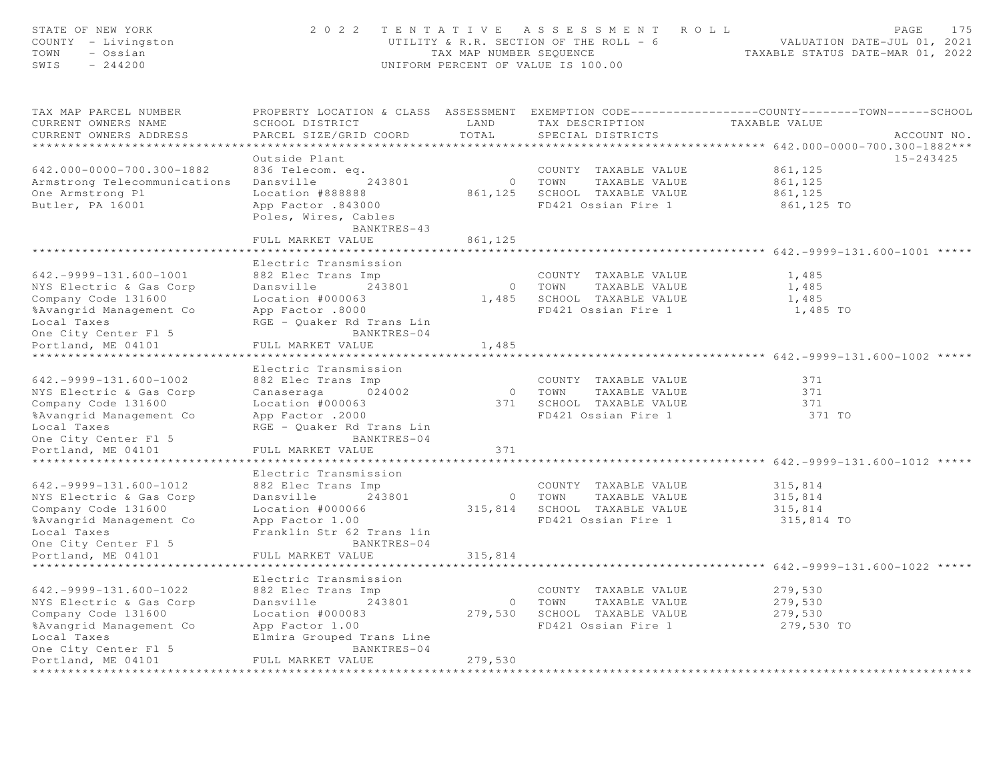| STATE OF NEW YORK<br>COUNTY - Livingston<br>- Ossian<br>TOWN<br>SWIS<br>$-244200$                                                                 |                                                                                                                                                         | TAX MAP NUMBER SEQUENCE | 2022 TENTATIVE ASSESSMENT ROLL<br>UTILITY & R.R. SECTION OF THE ROLL - 6<br>UNIFORM PERCENT OF VALUE IS 100.00 | 175<br>PAGE<br>VALUATION DATE-JUL 01, 2021<br>TAXABLE STATUS DATE-MAR 01, 2022                                                   |
|---------------------------------------------------------------------------------------------------------------------------------------------------|---------------------------------------------------------------------------------------------------------------------------------------------------------|-------------------------|----------------------------------------------------------------------------------------------------------------|----------------------------------------------------------------------------------------------------------------------------------|
| TAX MAP PARCEL NUMBER<br>CURRENT OWNERS NAME<br>CURRENT OWNERS ADDRESS                                                                            | SCHOOL DISTRICT<br>PARCEL SIZE/GRID COORD                                                                                                               | LAND<br>TOTAL           | TAX DESCRIPTION<br>SPECIAL DISTRICTS                                                                           | PROPERTY LOCATION & CLASS ASSESSMENT EXEMPTION CODE----------------COUNTY-------TOWN------SCHOOL<br>TAXABLE VALUE<br>ACCOUNT NO. |
| 642.000-0000-700.300-1882<br>Armstrong Telecommunications<br>One Armstrong Pl<br>Butler, PA 16001                                                 | Outside Plant<br>836 Telecom. eq.<br>Dansville<br>243801<br>Location #888888<br>App Factor .843000<br>Poles, Wires, Cables<br>BANKTRES-43               |                         | COUNTY TAXABLE VALUE<br>0 TOWN<br>TAXABLE VALUE<br>861,125 SCHOOL TAXABLE VALUE<br>FD421 Ossian Fire 1         | 15-243425<br>861,125<br>861,125<br>861,125<br>861,125 TO                                                                         |
|                                                                                                                                                   | FULL MARKET VALUE                                                                                                                                       | 861,125                 |                                                                                                                | ******************************** 642.-9999-131.600-1001 *****                                                                    |
| $642. -9999 - 131.600 - 1001$<br>NYS Electric & Gas Corp<br>Company Code 131600<br>%Avangrid Management Co<br>Local Taxes<br>One City Center Fl 5 | Electric Transmission<br>882 Elec Trans Imp<br>243801<br>Dansville<br>Location #000063<br>App Factor .8000<br>RGE - Quaker Rd Trans Lin<br>BANKTRES-04  |                         | COUNTY TAXABLE VALUE<br>0 TOWN<br>TAXABLE VALUE<br>1,485 SCHOOL TAXABLE VALUE<br>FD421 Ossian Fire 1           | 1,485<br>1,485<br>1,485<br>1,485 TO                                                                                              |
| Portland, ME 04101                                                                                                                                | FULL MARKET VALUE                                                                                                                                       | 1,485                   |                                                                                                                |                                                                                                                                  |
|                                                                                                                                                   |                                                                                                                                                         |                         |                                                                                                                | ************************ 642.-9999-131.600-1002 *****                                                                            |
| $642. -9999 - 131.600 - 1002$<br>NYS Electric & Gas Corp<br>Company Code 131600<br>%Avangrid Management Co<br>Local Taxes<br>One City Center Fl 5 | Electric Transmission<br>882 Elec Trans Imp<br>024002<br>Canaseraga<br>Location #000063<br>App Factor .2000<br>RGE - Quaker Rd Trans Lin<br>BANKTRES-04 |                         | COUNTY TAXABLE VALUE<br>0 TOWN<br>TAXABLE VALUE<br>371 SCHOOL TAXABLE VALUE<br>FD421 Ossian Fire 1             | 371<br>371<br>371<br>371 TO                                                                                                      |
| Portland, ME 04101                                                                                                                                | FULL MARKET VALUE                                                                                                                                       | 371                     |                                                                                                                |                                                                                                                                  |
| $642.-9999-131.600-1012$<br>NYS Electric & Gas Corp<br>Company Code 131600<br>%Avangrid Management Co<br>Local Taxes<br>One City Center Fl 5      | Electric Transmission<br>882 Elec Trans Imp<br>243801<br>Dansville<br>Location #000066<br>App Factor 1.00<br>Franklin Str 62 Trans lin<br>BANKTRES-04   |                         | COUNTY TAXABLE VALUE<br>0 TOWN<br>TAXABLE VALUE<br>315,814 SCHOOL TAXABLE VALUE<br>FD421 Ossian Fire 1         | *************** 642.-9999-131.600-1012 *****<br>315,814<br>315,814<br>315,814<br>315,814 TO                                      |
| Portland, ME 04101                                                                                                                                | FULL MARKET VALUE                                                                                                                                       | 315,814                 |                                                                                                                |                                                                                                                                  |
| $642.-9999-131.600-1022$<br>NYS Electric & Gas Corp                                                                                               | *******************<br>Electric Transmission<br>882 Elec Trans Imp<br>Dansville<br>243801                                                               |                         | COUNTY TAXABLE VALUE<br>TAXABLE VALUE<br>0 TOWN                                                                | 279,530<br>279,530                                                                                                               |
| Company Code 131600<br>%Avangrid Management Co<br>Local Taxes<br>One City Center Fl 5                                                             | Location #000083<br>App Factor 1.00<br>Elmira Grouped Trans Line<br>BANKTRES-04                                                                         |                         | 279,530 SCHOOL TAXABLE VALUE<br>FD421 Ossian Fire 1                                                            | 279,530<br>279,530 TO                                                                                                            |
| Portland, ME 04101<br>**********************                                                                                                      | FULL MARKET VALUE<br>*********************                                                                                                              | 279,530                 |                                                                                                                |                                                                                                                                  |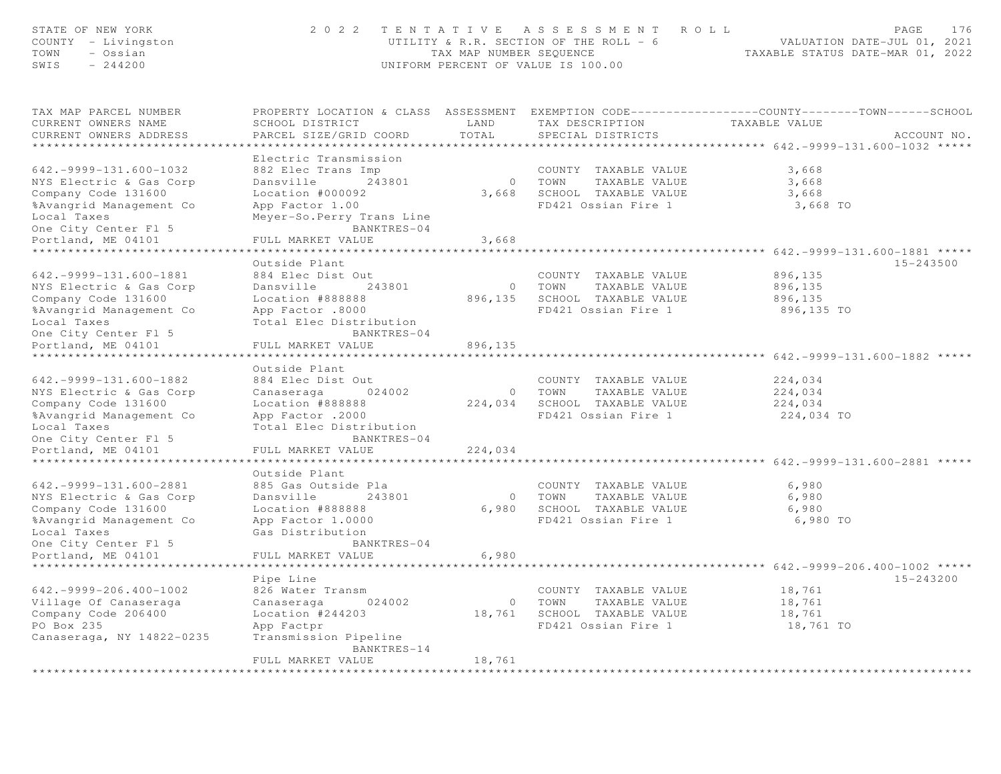| STATE OF NEW YORK<br>COUNTY - Livingston<br>TOWN<br>- Ossian<br>SWIS<br>$-244200$                                                                 | 2 0 2 2                                                                                                                                 | TAX MAP NUMBER SEQUENCE                 | TENTATIVE ASSESSMENT ROLL<br>UTILITY & R.R. SECTION OF THE ROLL - 6<br>UNIFORM PERCENT OF VALUE IS 100.00 | PAGE<br>176<br>VALUATION DATE-JUL 01, 2021<br>TAXABLE STATUS DATE-MAR 01, 2022                                                   |
|---------------------------------------------------------------------------------------------------------------------------------------------------|-----------------------------------------------------------------------------------------------------------------------------------------|-----------------------------------------|-----------------------------------------------------------------------------------------------------------|----------------------------------------------------------------------------------------------------------------------------------|
| TAX MAP PARCEL NUMBER<br>CURRENT OWNERS NAME<br>CURRENT OWNERS ADDRESS                                                                            | SCHOOL DISTRICT<br>PARCEL SIZE/GRID COORD<br>**************************************                                                     | LAND<br>TOTAL                           | TAX DESCRIPTION<br>SPECIAL DISTRICTS                                                                      | PROPERTY LOCATION & CLASS ASSESSMENT EXEMPTION CODE----------------COUNTY-------TOWN------SCHOOL<br>TAXABLE VALUE<br>ACCOUNT NO. |
| $642.-9999-131.600-1032$<br>NYS Electric & Gas Corp<br>Company Code 131600                                                                        | Electric Transmission<br>882 Elec Trans Imp<br>Dansville 243801<br>Location #000092                                                     |                                         | COUNTY TAXABLE VALUE<br>0 TOWN<br>TAXABLE VALUE<br>3,668 SCHOOL TAXABLE VALUE                             | 3,668<br>3,668<br>3,668                                                                                                          |
| %Avangrid Management Co<br>Local Taxes<br>One City Center Fl 5<br>Portland, ME 04101                                                              | App Factor 1.00<br>Meyer-So.Perry Trans Line<br>BANKTRES-04<br>FULL MARKET VALUE                                                        | 3,668                                   | FD421 Ossian Fire 1                                                                                       | 3,668 TO                                                                                                                         |
| $642. -9999 - 131.600 - 1881$                                                                                                                     | Outside Plant<br>884 Elec Dist Out                                                                                                      |                                         | COUNTY TAXABLE VALUE                                                                                      | ************* 642.-9999-131.600-1881 *****<br>15-243500<br>896,135                                                               |
| NYS Electric & Gas Corp<br>Company Code 131600<br>%Avangrid Management Co<br>Local Taxes<br>One City Center Fl 5                                  | Dansville 243801<br>Location #888888<br>App Factor .8000<br>Total Elec Distribution<br>BANKTRES-04                                      |                                         | 0 TOWN TAXABLE VALUE<br>896,135 SCHOOL TAXABLE VALUE<br>FD421 Ossian Fire 1                               | 896,135<br>896,135<br>896,135 TO                                                                                                 |
| Portland, ME 04101                                                                                                                                | FULL MARKET VALUE<br>Outside Plant                                                                                                      | 896,135                                 |                                                                                                           | ************** 642.-9999-131.600-1882 *****                                                                                      |
| $642. -9999 - 131.600 - 1882$<br>NYS Electric & Gas Corp<br>Company Code 131600<br>%Avangrid Management Co<br>Local Taxes<br>One City Center Fl 5 | 884 Elec Dist Out<br>Canaseraga 024002<br>Location #888888<br>App Factor .2000<br>Total Elec Distribution<br>BANKTRES-04                |                                         | COUNTY TAXABLE VALUE<br>0 TOWN TAXABLE VALUE<br>224,034 SCHOOL TAXABLE VALUE<br>FD421 Ossian Fire 1       | 224,034<br>224,034<br>224,034<br>224,034 TO                                                                                      |
| Portland, ME 04101<br>******************                                                                                                          | FULL MARKET VALUE<br>* * * * * * * * * * * * * * * * * * * *                                                                            | 224,034<br>***************              |                                                                                                           | *********************** 642.-9999-131.600-2881 *****                                                                             |
| $642. -9999 - 131.600 - 2881$<br>NYS Electric & Gas Corp<br>Company Code 131600<br>%Avangrid Management Co<br>Local Taxes<br>One City Center Fl 5 | Outside Plant<br>885 Gas Outside Pla<br>Dansville<br>243801<br>Location #888888<br>App Factor 1.0000<br>Gas Distribution<br>BANKTRES-04 |                                         | COUNTY TAXABLE VALUE<br>0 TOWN<br>TAXABLE VALUE<br>6,980 SCHOOL TAXABLE VALUE<br>FD421 Ossian Fire 1      | 6,980<br>6,980<br>6,980<br>6,980 TO                                                                                              |
| Portland, ME 04101<br>*******************                                                                                                         | FULL MARKET VALUE<br>********************                                                                                               | 6,980                                   |                                                                                                           | ************** 642. - 9999 - 206. 400 - 1002 *****                                                                               |
| $642.-9999-206.400-1002$<br>Village Of Canaseraga<br>Company Code 206400<br>PO Box 235<br>Canaseraga, NY 14822-0235                               | Pipe Line<br>826 Water Transm<br>Canaseraga<br>024002<br>Location #244203<br>App Factpr<br>Transmission Pipeline<br>BANKTRES-14         |                                         | COUNTY TAXABLE VALUE<br>TAXABLE VALUE<br>0 TOWN<br>18,761 SCHOOL TAXABLE VALUE<br>FD421 Ossian Fire 1     | 15-243200<br>18,761<br>18,761<br>18,761<br>18,761 TO                                                                             |
|                                                                                                                                                   | FULL MARKET VALUE<br>***********************                                                                                            | 18,761<br>* * * * * * * * * * * * * * * |                                                                                                           |                                                                                                                                  |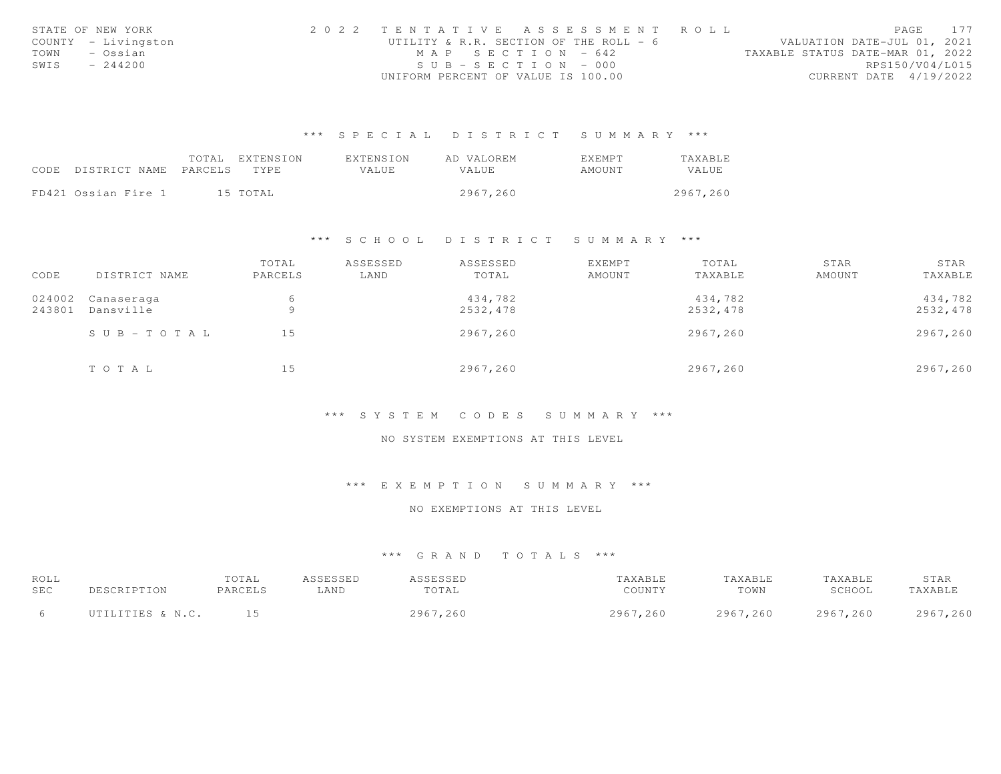| STATE OF NEW YORK   | 2022 TENTATIVE ASSESSMENT ROLL         | PAGE 177                         |  |
|---------------------|----------------------------------------|----------------------------------|--|
| COUNTY - Livingston | UTILITY & R.R. SECTION OF THE ROLL - 6 | VALUATION DATE-JUL 01, 2021      |  |
| TOWN<br>– Ossian    | MAP SECTION - 642                      | TAXABLE STATUS DATE-MAR 01, 2022 |  |
| SWIS<br>$-244200$   | $SUB - SECTION - 000$                  | RPS150/V04/L015                  |  |
|                     | UNIFORM PERCENT OF VALUE IS 100.00     | CURRENT DATE 4/19/2022           |  |

|                            | TOTAL | EXTENSION | EXTENSION | AD VALOREM   | <b>FXFMPT</b> | TAXABLE  |
|----------------------------|-------|-----------|-----------|--------------|---------------|----------|
| CODE DISTRICT NAME PARCELS |       | TYPE.     | VALUE.    | <b>VALUE</b> | AMOUNT        | VALUE    |
|                            |       |           |           |              |               |          |
| FD421 Ossian Fire 1        |       | 15 TOTAL  |           | 2967.260     |               | 2967,260 |

#### \*\*\* S C H O O L D I S T R I C T S U M M A R Y \*\*\*

|        |               | TOTAL   | ASSESSED | ASSESSED | <b>EXEMPT</b> | TOTAL    | STAR   | STAR     |
|--------|---------------|---------|----------|----------|---------------|----------|--------|----------|
| CODE   | DISTRICT NAME | PARCELS | LAND     | TOTAL    | AMOUNT        | TAXABLE  | AMOUNT | TAXABLE  |
| 024002 | Canaseraga    | 6       |          | 434,782  |               | 434,782  |        | 434,782  |
| 243801 | Dansville     | 9       |          | 2532,478 |               | 2532,478 |        | 2532,478 |
|        | SUB-TOTAL     | 15      |          | 2967,260 |               | 2967,260 |        | 2967,260 |
|        | TOTAL         | 15      |          | 2967,260 |               | 2967,260 |        | 2967,260 |

#### \*\*\* S Y S T E M C O D E S S U M M A R Y \*\*\*

#### NO SYSTEM EXEMPTIONS AT THIS LEVEL

# \*\*\* E X E M P T I O N S U M M A R Y \*\*\*

#### NO EXEMPTIONS AT THIS LEVEL

| ROLL |                  | TOTAL   | ASSESSED | <b>ASSESSED</b> | TAXABLE  | TAXABLE  | TAXABLE  | STAR     |
|------|------------------|---------|----------|-----------------|----------|----------|----------|----------|
| SEC  | PESCRIPTION      | PARCELS | LAND     | TOTAL           | COUNTY   | TOWN     | SCHOOL   | TAXABLE  |
|      | UTILITIES & N.C. |         |          | 2967,260        | 2967,260 | 2967,260 | 2967,260 | 2967,260 |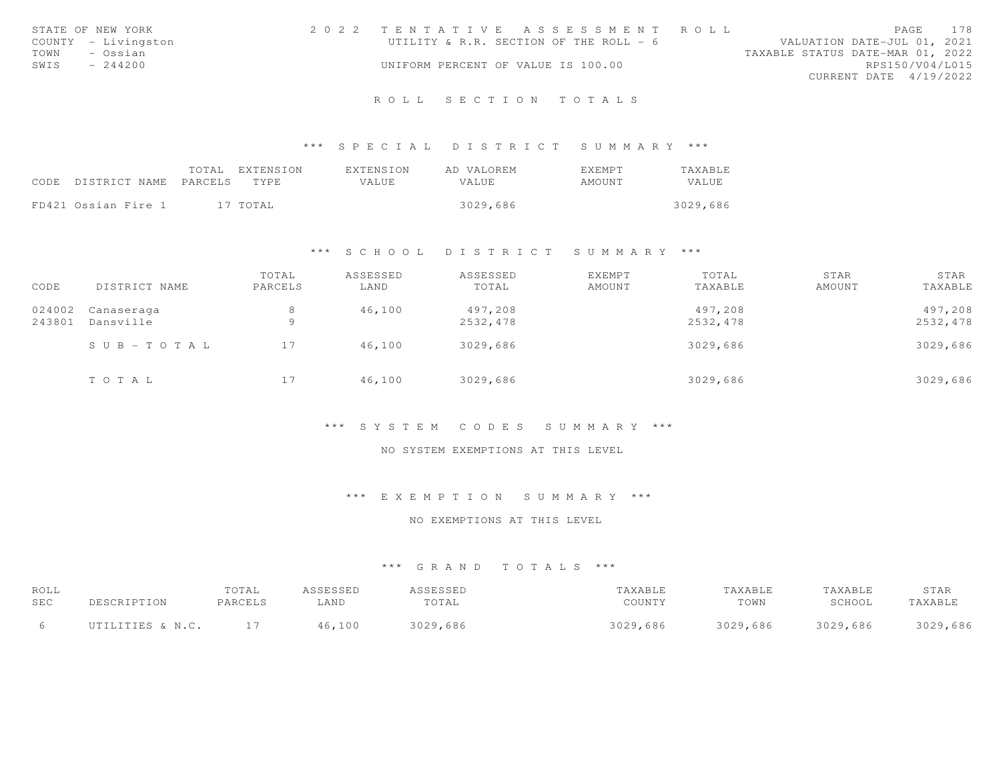|      | STATE OF NEW YORK   | 2022 TENTATIVE ASSESSMENT ROLL         |  |                                  |                        | PAGE | 178 |
|------|---------------------|----------------------------------------|--|----------------------------------|------------------------|------|-----|
|      | COUNTY - Livingston | UTILITY & R.R. SECTION OF THE ROLL - 6 |  | VALUATION DATE-JUL 01, 2021      |                        |      |     |
| TOWN | - Ossian            |                                        |  | TAXABLE STATUS DATE-MAR 01, 2022 |                        |      |     |
| SWIS | $-244200$           | UNIFORM PERCENT OF VALUE IS 100.00     |  |                                  | RPS150/V04/L015        |      |     |
|      |                     |                                        |  |                                  | CURRENT DATE 4/19/2022 |      |     |
|      |                     |                                        |  |                                  |                        |      |     |

#### \*\*\* S P E C I A L D I S T R I C T S U M M A R Y \*\*\*

|                                 | TOTAL EXTENSION | EXTENSION | AD VALOREM   | <b>FXFMPT</b> | TAXABLE      |
|---------------------------------|-----------------|-----------|--------------|---------------|--------------|
| CODE DISTRICT NAME PARCELS TYPE |                 | VALUE     | <b>VALUE</b> | AMOUNT        | <b>VALUE</b> |
|                                 |                 |           |              |               |              |
| FD421 Ossian Fire 1             | 17 TOTAL        |           | 3029,686     |               | 3029,686     |

#### \*\*\* S C H O O L D I S T R I C T S U M M A R Y \*\*\*

| CODE             | DISTRICT NAME             | TOTAL<br>PARCELS | ASSESSED<br>LAND | ASSESSED<br>TOTAL   | EXEMPT<br>AMOUNT | TOTAL<br>TAXABLE    | STAR<br>AMOUNT | STAR<br>TAXABLE     |
|------------------|---------------------------|------------------|------------------|---------------------|------------------|---------------------|----------------|---------------------|
| 024002<br>243801 | Canaseraga<br>Dansville   | 8<br>$\circ$     | 46,100           | 497,208<br>2532,478 |                  | 497,208<br>2532,478 |                | 497,208<br>2532,478 |
|                  | $S \cup B = T \cup T A L$ | 17               | 46,100           | 3029,686            |                  | 3029,686            |                | 3029,686            |
|                  | TOTAL                     | 17               | 46,100           | 3029,686            |                  | 3029,686            |                | 3029,686            |

#### \*\*\* S Y S T E M C O D E S S U M M A R Y \*\*\*

## NO SYSTEM EXEMPTIONS AT THIS LEVEL

#### \*\*\* E X E M P T I O N S U M M A R Y \*\*\*

#### NO EXEMPTIONS AT THIS LEVEL

| ROLL       |                  | TOTAL   | ASSESSED | ASSESSED | <b>AXABLE</b> | TAXABLE  | TAXABLE  | STAR     |
|------------|------------------|---------|----------|----------|---------------|----------|----------|----------|
| <b>SEC</b> | DESCRIPTION      | PARCELS | LAND     | TOTAL    | COUNTY        | TOWN     | SCHOOL   | TAXABLE  |
|            | UTILITIES & N.C. |         | 46,100   | 3029,686 | 3029,686      | 3029,686 | 3029,686 | 3029,686 |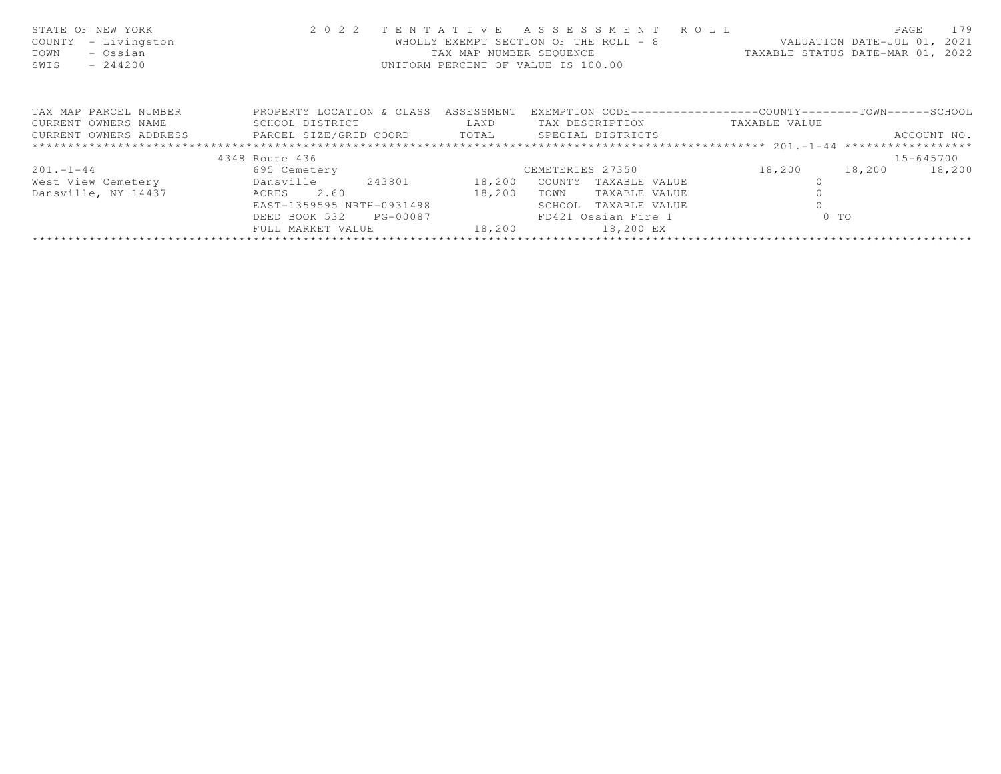| STATE OF NEW YORK<br>- Livingston<br>COUNTY<br>- Ossian<br>TOWN<br>SWIS<br>$-244200$ |                           | TAX MAP NUMBER SEOUENCE | 2022 TENTATIVE ASSESSMENT ROLL<br>WHOLLY EXEMPT SECTION OF THE ROLL - 8<br>UNIFORM PERCENT OF VALUE IS 100.00 | VALUATION DATE-JUL 01, 2021<br>TAXABLE STATUS DATE-MAR 01, 2022 | 179<br>PAGE |
|--------------------------------------------------------------------------------------|---------------------------|-------------------------|---------------------------------------------------------------------------------------------------------------|-----------------------------------------------------------------|-------------|
| TAX MAP PARCEL NUMBER                                                                | PROPERTY LOCATION & CLASS | ASSESSMENT              |                                                                                                               | EXEMPTION CODE-----------------COUNTY-------TOWN------SCHOOL    |             |
| CURRENT OWNERS NAME                                                                  | SCHOOL DISTRICT           | LAND                    | TAX DESCRIPTION                                                                                               | TAXABLE VALUE                                                   |             |
| CURRENT OWNERS ADDRESS <b>EXELL SIZE</b> /GRID COORD TOTAL SPECIAL DISTRICTS         |                           |                         |                                                                                                               |                                                                 | ACCOUNT NO. |
|                                                                                      |                           |                         |                                                                                                               |                                                                 |             |
|                                                                                      | 4348 Route 436            |                         |                                                                                                               |                                                                 | 15-645700   |
| $201 - 1 - 44$                                                                       | 695 Cemetery              |                         | CEMETERIES 27350                                                                                              | 18,200<br>18,200                                                | 18,200      |
| West View Cemetery                                                                   | 243801<br>Dansville       | 18,200                  | COUNTY TAXABLE VALUE                                                                                          |                                                                 |             |
| Dansville, NY 14437                                                                  | 2.60<br>ACRES             |                         | TOWN<br>TAXABLE VALUE                                                                                         |                                                                 |             |
|                                                                                      | EAST-1359595 NRTH-0931498 |                         | SCHOOL<br>TAXABLE VALUE                                                                                       |                                                                 |             |
|                                                                                      | DEED BOOK 532 PG-00087    |                         | FD421 Ossian Fire 1                                                                                           | $0$ TO                                                          |             |
|                                                                                      | FULL MARKET VALUE         | 18,200                  | 18,200 EX                                                                                                     |                                                                 |             |
|                                                                                      |                           |                         |                                                                                                               |                                                                 |             |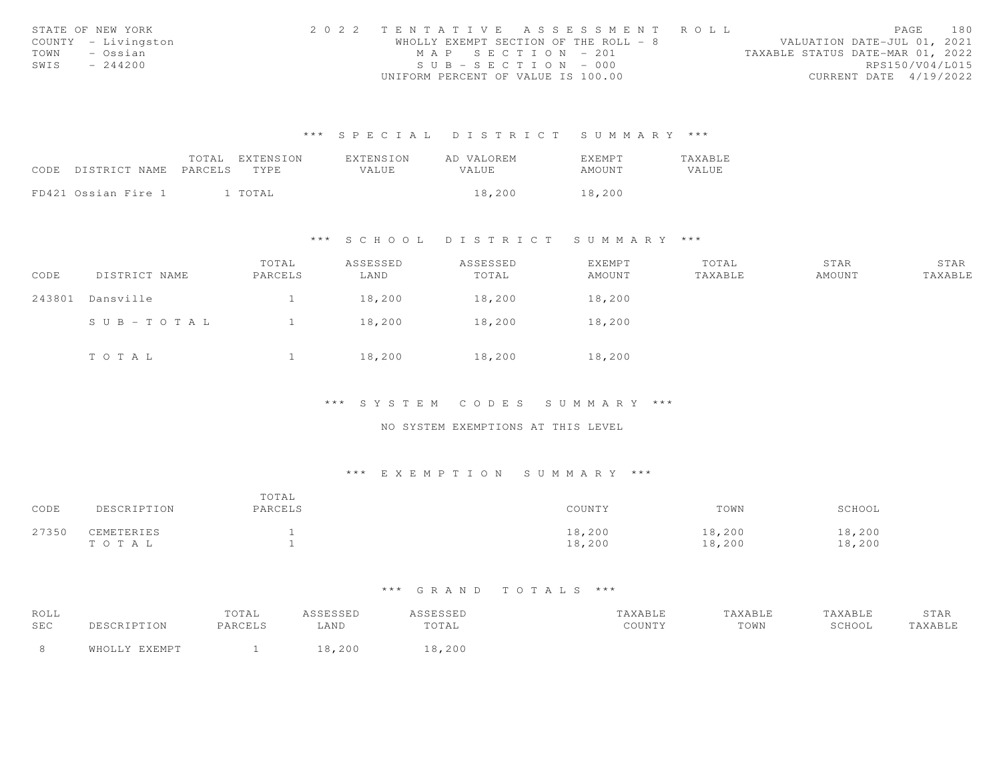|      | STATE OF NEW YORK   | 2022 TENTATIVE ASSESSMENT ROLL        |  |  |                                  |                        | PAGE | 180 |
|------|---------------------|---------------------------------------|--|--|----------------------------------|------------------------|------|-----|
|      | COUNTY - Livingston | WHOLLY EXEMPT SECTION OF THE ROLL - 8 |  |  | VALUATION DATE-JUL 01, 2021      |                        |      |     |
| TOWN | – Ossian            | MAP SECTION - 201                     |  |  | TAXABLE STATUS DATE-MAR 01, 2022 |                        |      |     |
| SWIS | $-244200$           | $SUB - SECTION - 000$                 |  |  |                                  | RPS150/V04/L015        |      |     |
|      |                     | UNIFORM PERCENT OF VALUE IS 100.00    |  |  |                                  | CURRENT DATE 4/19/2022 |      |     |

|                            | TOTAL | EXTENSION | <b>EXTENSION</b> | AD VALOREM | <b>EXEMPT</b> | TAXABLE |
|----------------------------|-------|-----------|------------------|------------|---------------|---------|
| CODE DISTRICT NAME PARCELS |       | TYPE.     | VALUE            | VALUE.     | AMOUNT        | VALUE   |
|                            |       |           |                  |            |               |         |
| FD421 Ossian Fire 1        |       | l TOTAL   |                  | 18,200     | 18,200        |         |

## \*\*\* S C H O O L D I S T R I C T S U M M A R Y \*\*\*

| CODE   | DISTRICT NAME         | TOTAL<br>PARCELS | ASSESSED<br>LAND | ASSESSED<br>TOTAL | EXEMPT<br>AMOUNT | TOTAL<br>TAXABLE | STAR<br>AMOUNT | STAR<br>TAXABLE |
|--------|-----------------------|------------------|------------------|-------------------|------------------|------------------|----------------|-----------------|
| 243801 | Dansville             |                  | 18,200           | 18,200            | 18,200           |                  |                |                 |
|        | $S \cup B - TO T A L$ |                  | 18,200           | 18,200            | 18,200           |                  |                |                 |
|        | TOTAL                 |                  | 18,200           | 18,200            | 18,200           |                  |                |                 |

\*\*\* S Y S T E M C O D E S S U M M A R Y \*\*\*

NO SYSTEM EXEMPTIONS AT THIS LEVEL

## \*\*\* E X E M P T I O N S U M M A R Y \*\*\*

| CODE  | DESCRIPTION         | TOTAL<br>PARCELS | COUNTY           | TOWN             | SCHOOL           |
|-------|---------------------|------------------|------------------|------------------|------------------|
| 27350 | CEMETERIES<br>TOTAL |                  | 18,200<br>18,200 | 18,200<br>18,200 | 18,200<br>18,200 |

| ROLL |               | TOTAL   | ASSESSED | ASSESSED | TAXABLE | TAXABLE | TAXABLE | STAR    |
|------|---------------|---------|----------|----------|---------|---------|---------|---------|
| SEC  | DESCRIPTION   | PARCELS | LAND     | TOTAL    | COUNTY  | TOWN    | SCHOOL  | TAXABLE |
|      | WHOLLY EXEMPT |         | 18,200   | 18,200   |         |         |         |         |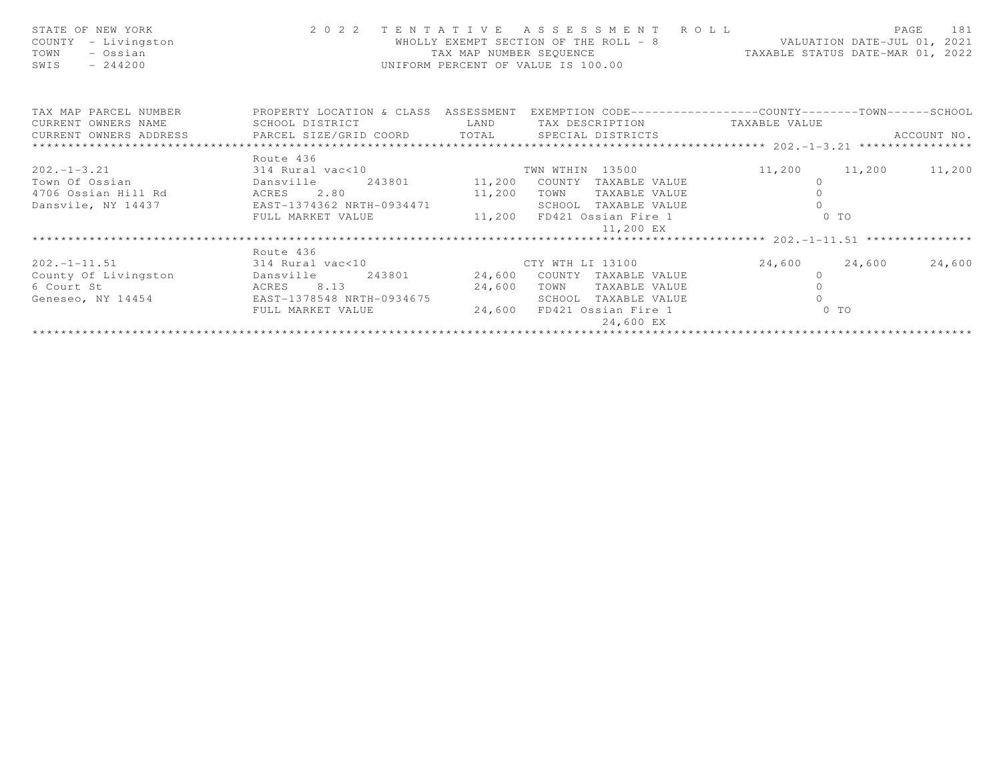| STATE OF NEW YORK<br>COUNTY - Livingston<br>TOWN<br>- Ossian<br>SWIS<br>$-244200$ |                                               | TAX MAP NUMBER SEQUENCE | 2022 TENTATIVE ASSESSMENT ROLL<br>WHOLLY EXEMPT SECTION OF THE ROLL - 8 VALUATION DATE-JUL 01, 2021<br>UNIFORM PERCENT OF VALUE IS 100.00 | TAXABLE STATUS DATE-MAR 01, 2022 | 181<br>PAGE             |
|-----------------------------------------------------------------------------------|-----------------------------------------------|-------------------------|-------------------------------------------------------------------------------------------------------------------------------------------|----------------------------------|-------------------------|
| TAX MAP PARCEL NUMBER <b>THE PROPERTY LOCATION &amp; CLASS</b> ASSESSMENT         |                                               |                         | EXEMPTION CODE-----------------COUNTY-------TOWN------SCHOOL                                                                              |                                  |                         |
|                                                                                   |                                               |                         |                                                                                                                                           |                                  | ACCOUNT NO.             |
|                                                                                   |                                               |                         |                                                                                                                                           |                                  |                         |
| $202. -1 - 3.21$                                                                  | Route 436<br>314 Rural vac<10 TWN WTHIN 13500 |                         |                                                                                                                                           |                                  | 11,200 11,200 11,200    |
|                                                                                   |                                               |                         |                                                                                                                                           | $\circ$                          |                         |
|                                                                                   |                                               |                         |                                                                                                                                           | $\Omega$                         |                         |
| Dansvile, NY 14437                                                                | EAST-1374362 NRTH-0934471                     |                         | SCHOOL TAXABLE VALUE                                                                                                                      |                                  |                         |
|                                                                                   | FULL MARKET VALUE 11,200 FD421 Ossian Fire 1  |                         | 11,200 EX                                                                                                                                 |                                  | $0$ TO                  |
|                                                                                   |                                               |                         |                                                                                                                                           |                                  |                         |
|                                                                                   | Route 436                                     |                         |                                                                                                                                           |                                  |                         |
| $202. - 1 - 11.51$                                                                | 314 Rural vac<10 CTY WTH LI 13100             |                         |                                                                                                                                           |                                  | 24,600 24,600<br>24,600 |
| County Of Livingston bansville 243801 24,600 COUNTY TAXABLE VALUE                 |                                               |                         |                                                                                                                                           | $\circ$                          |                         |
| 6 Court St<br>ACRES 8.13                                                          | 24,600                                        |                         | TOWN<br>TAXABLE VALUE                                                                                                                     | $\circ$                          |                         |
| Geneseo, NY 14454 EAST-1378548 NRTH-0934675                                       |                                               |                         | SCHOOL<br>TAXABLE VALUE                                                                                                                   | $\Omega$                         |                         |
|                                                                                   | FULL MARKET VALUE                             | 24,600                  | FD421 Ossian Fire 1<br>24,600 EX                                                                                                          |                                  | $0$ TO                  |
|                                                                                   |                                               |                         |                                                                                                                                           |                                  |                         |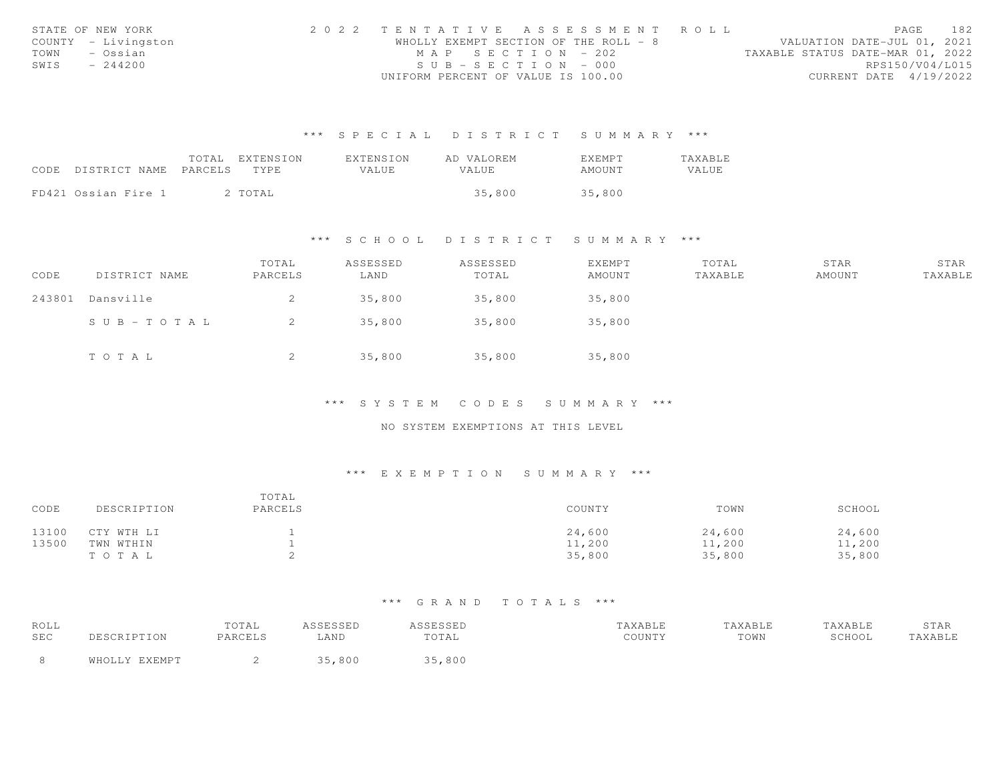|      | STATE OF NEW YORK   | 2022 TENTATIVE ASSESSMENT ROLL        |  |  |                                  |                        | PAGE | 182 |
|------|---------------------|---------------------------------------|--|--|----------------------------------|------------------------|------|-----|
|      | COUNTY - Livingston | WHOLLY EXEMPT SECTION OF THE ROLL - 8 |  |  | VALUATION DATE-JUL 01, 2021      |                        |      |     |
| TOWN | – Ossian            | MAP SECTION - 202                     |  |  | TAXABLE STATUS DATE-MAR 01, 2022 |                        |      |     |
| SWIS | $-244200$           | $SUB - SECTION - 000$                 |  |  |                                  | RPS150/V04/L015        |      |     |
|      |                     | UNIFORM PERCENT OF VALUE IS 100.00    |  |  |                                  | CURRENT DATE 4/19/2022 |      |     |

|                     | TOTAL   | EXTENSION | EXTENSION | AD VALOREM | <b>F.XFMPT</b> | <b>TAXABLE</b> |
|---------------------|---------|-----------|-----------|------------|----------------|----------------|
| CODE DISTRICT NAME  | PARCELS | TYPE.     | VALUE.    | VALUE      | AMOUNT         | VALUE          |
|                     |         |           |           |            |                |                |
| FD421 Ossian Fire 1 |         | 2 TOTAL   |           | 35,800     | 35,800         |                |

#### \*\*\* S C H O O L D I S T R I C T S U M M A R Y \*\*\*

| CODE   | DISTRICT NAME | TOTAL<br>PARCELS | ASSESSED<br>LAND | ASSESSED<br>TOTAL | EXEMPT<br>AMOUNT | TOTAL<br>TAXABLE | STAR<br>AMOUNT | STAR<br>TAXABLE |
|--------|---------------|------------------|------------------|-------------------|------------------|------------------|----------------|-----------------|
| 243801 | Dansville     | 2                | 35,800           | 35,800            | 35,800           |                  |                |                 |
|        | SUB-TOTAL     | -2               | 35,800           | 35,800            | 35,800           |                  |                |                 |
|        | TOTAL         | 2                | 35,800           | 35,800            | 35,800           |                  |                |                 |

# \*\*\* S Y S T E M C O D E S S U M M A R Y \*\*\*

### NO SYSTEM EXEMPTIONS AT THIS LEVEL

### \*\*\* E X E M P T I O N S U M M A R Y \*\*\*

| CODE  | DESCRIPTION | TOTAL<br>PARCELS | COUNTY | TOWN   | SCHOOL |
|-------|-------------|------------------|--------|--------|--------|
| 13100 | CTY WTH LI  |                  | 24,600 | 24,600 | 24,600 |
| 13500 | TWN WTHIN   |                  | 11,200 | 11,200 | 11,200 |
|       | TOTAL       |                  | 35,800 | 35,800 | 35,800 |

| ROLL       |               | TOTAL   | ASSESSED | <i><b>ISSESSED</b></i> | TAXABLE | TAXABLE | TAXABLE | STAR    |
|------------|---------------|---------|----------|------------------------|---------|---------|---------|---------|
| <b>SEC</b> | DESCRIPTION   | PARCELS | AND      | TOTAL                  | COUNTY  | TOWN    | SCHOOL  | TAXABLE |
|            | WHOLLY EXEMPT |         | 35,800   | 35,800                 |         |         |         |         |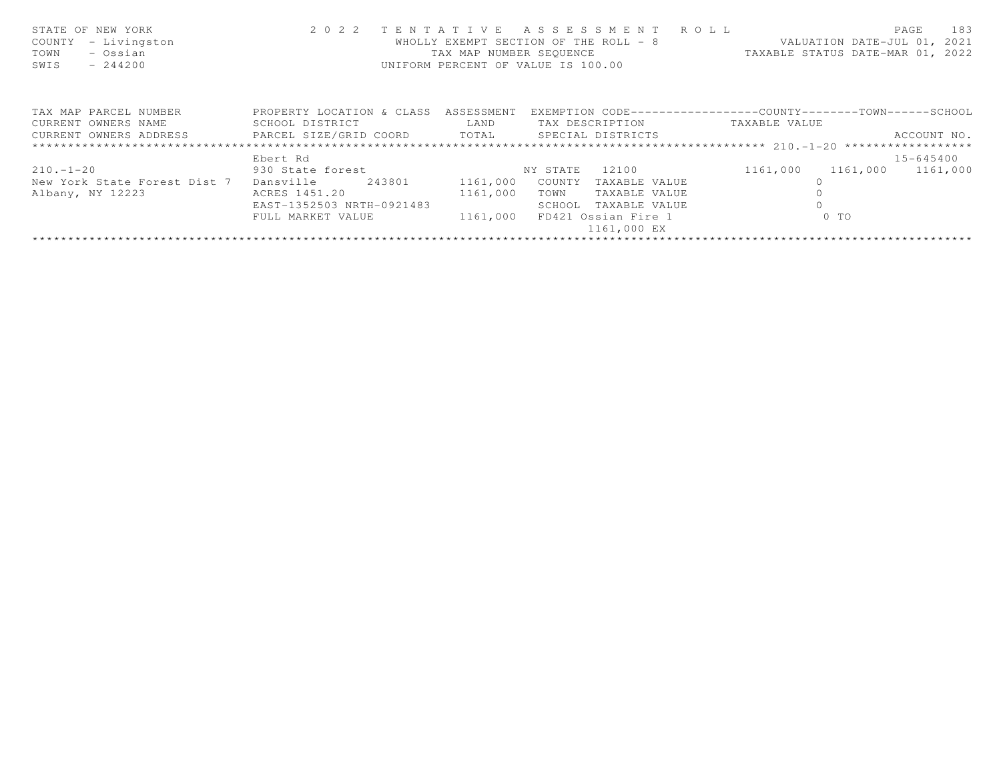| STATE OF NEW YORK<br>COUNTY<br>- Livingston<br>- Ossian<br>TOWN<br>SWIS<br>$-244200$ |                           |            | 2022 TENTATIVE ASSESSMENT ROLL<br>WHOLLY EXEMPT SECTION OF THE ROLL - 8<br>UNIFORM PERCENT OF VALUE IS 100.00 | VALUATION DATE-JUL 01, 2021<br>TAX MAP NUMBER SEQUENCE TAXABLE STATUS DATE-MAR 01, 2022 | 183<br>PAGE |
|--------------------------------------------------------------------------------------|---------------------------|------------|---------------------------------------------------------------------------------------------------------------|-----------------------------------------------------------------------------------------|-------------|
| TAX MAP PARCEL NUMBER                                                                | PROPERTY LOCATION & CLASS | ASSESSMENT |                                                                                                               | EXEMPTION CODE-----------------COUNTY-------TOWN------SCHOOL                            |             |
| CURRENT OWNERS NAME                                                                  | SCHOOL DISTRICT           | LAND       | TAX DESCRIPTION TAXABLE VALUE                                                                                 |                                                                                         |             |
| CURRENT OWNERS ADDRESS FARCEL SIZE/GRID COORD TOTAL SPECIAL DISTRICTS                |                           |            |                                                                                                               |                                                                                         | ACCOUNT NO. |
|                                                                                      |                           |            |                                                                                                               |                                                                                         |             |
|                                                                                      | Ebert Rd                  |            |                                                                                                               |                                                                                         | 15-645400   |
| $210. - 1 - 20$                                                                      | 930 State forest          |            | 12100<br>NY STATE                                                                                             | 1161,000<br>1161,000                                                                    | 1161,000    |
| New York State Forest Dist 7                                                         | Dansville<br>243801       | 1161,000   | COUNTY<br>TAXABLE VALUE                                                                                       |                                                                                         |             |
| Albany, NY 12223                                                                     | ACRES 1451.20             | 1161,000   | TOWN<br>TAXABLE VALUE                                                                                         |                                                                                         |             |
|                                                                                      | EAST-1352503 NRTH-0921483 |            | SCHOOL<br>TAXABLE VALUE                                                                                       |                                                                                         |             |
|                                                                                      | FULL MARKET VALUE         | 1161,000   | FD421 Ossian Fire 1                                                                                           | $0$ TO                                                                                  |             |
|                                                                                      |                           |            | 1161,000 EX                                                                                                   |                                                                                         |             |
|                                                                                      |                           |            |                                                                                                               |                                                                                         |             |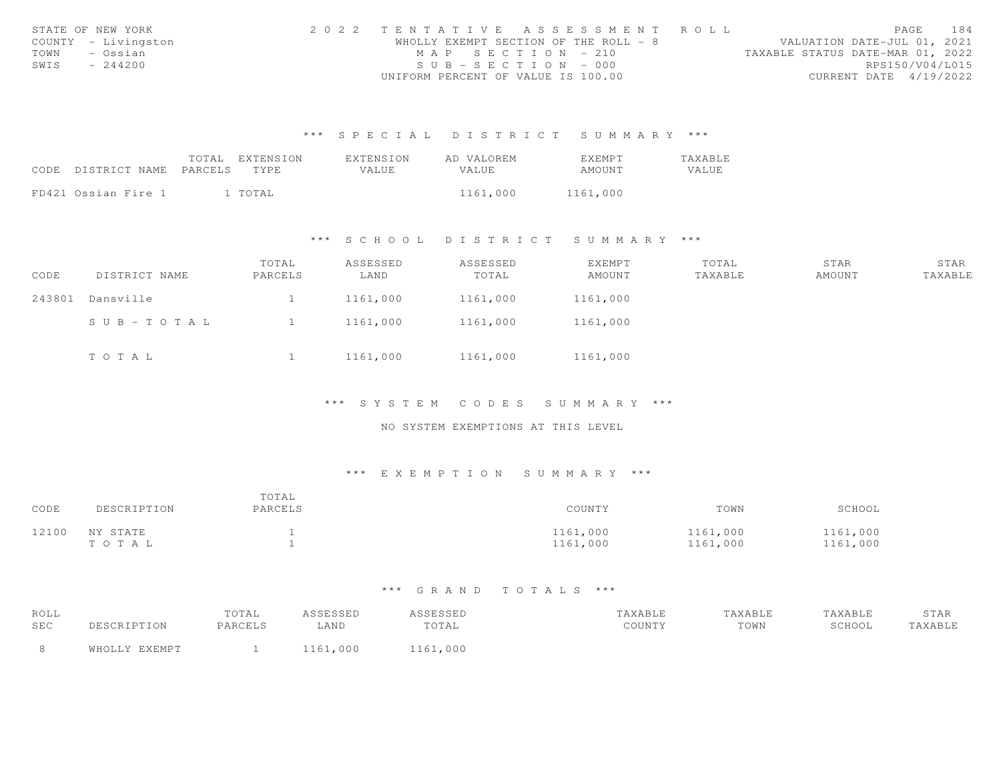| STATE OF NEW YORK   | 2022 TENTATIVE ASSESSMENT ROLL        |                                  | PAGE                        | 184 |
|---------------------|---------------------------------------|----------------------------------|-----------------------------|-----|
| COUNTY - Livingston | WHOLLY EXEMPT SECTION OF THE ROLL - 8 |                                  | VALUATION DATE-JUL 01, 2021 |     |
| TOWN<br>- Ossian    | MAP SECTION - 210                     | TAXABLE STATUS DATE-MAR 01, 2022 |                             |     |
| SWIS<br>$-244200$   | $SUB - SECTION - 000$                 |                                  | RPS150/V04/L015             |     |
|                     | UNIFORM PERCENT OF VALUE IS 100.00    |                                  | CURRENT DATE 4/19/2022      |     |

|                            | TOTAL EXTENSION | <b>EXTENSION</b> | AD VALOREM   | <b>FXFMPT</b> | <b>TAXABLE</b> |
|----------------------------|-----------------|------------------|--------------|---------------|----------------|
| CODE DISTRICT NAME PARCELS | TYPE T          | <b>VALUE</b>     | <b>VALUE</b> | AMOUNT        | VALUE          |
|                            |                 |                  |              |               |                |
| FD421 Ossian Fire 1        | . TOTAL         |                  | 1161,000     | 1161,000      |                |

### \*\*\* S C H O O L D I S T R I C T S U M M A R Y \*\*\*

| CODE   | DISTRICT NAME | TOTAL<br>PARCELS | ASSESSED<br>LAND | ASSESSED<br>TOTAL | EXEMPT<br>AMOUNT | TOTAL<br>TAXABLE | STAR<br>AMOUNT | STAR<br>TAXABLE |
|--------|---------------|------------------|------------------|-------------------|------------------|------------------|----------------|-----------------|
| 243801 | Dansville     |                  | 1161,000         | 1161,000          | 1161,000         |                  |                |                 |
|        | SUB-TOTAL     |                  | 1161,000         | 1161,000          | 1161,000         |                  |                |                 |
|        | TOTAL         |                  | 1161,000         | 1161,000          | 1161,000         |                  |                |                 |

\*\*\* S Y S T E M C O D E S S U M M A R Y \*\*\*

NO SYSTEM EXEMPTIONS AT THIS LEVEL

### \*\*\* E X E M P T I O N S U M M A R Y \*\*\*

| CODE  | DESCRIPTION       | TOTAL<br>PARCELS | COUNTY               | TOWN                 | SCHOOL               |
|-------|-------------------|------------------|----------------------|----------------------|----------------------|
| 12100 | NY STATE<br>TOTAL |                  | 1161,000<br>1161,000 | 1161,000<br>1161,000 | 1161,000<br>1161,000 |

| ROLL       |      | TOTAL   | <b>ACCECCED</b><br>. | .              | <b>AXABLE</b> | <b>TAXABLE</b> | TAXABLE | STAR   |
|------------|------|---------|----------------------|----------------|---------------|----------------|---------|--------|
| <b>SEC</b> |      | PARCELS | $\triangle$ AND      | エヘエス:<br>TATAT | COUNTY        | TOWN           | SCHOOL  | AXABLE |
|            | ™⊔∩⊤ |         |                      |                |               |                |         |        |
|            |      |         | 1161,000             | ,000           |               |                |         |        |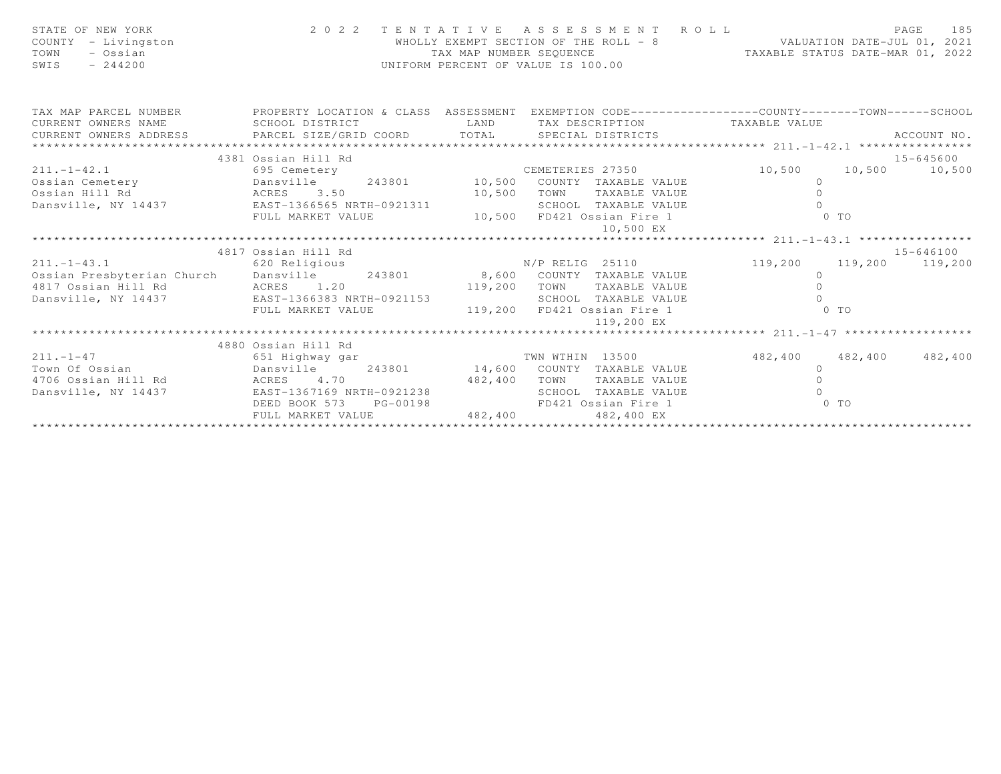| STATE OF NEW YORK<br>COUNTY - Livingston<br>TOWN<br>- Ossian<br>$-244200$<br>SWIS                                                                                                                                            |                                             |         | 2022 TENTATIVE ASSESSMENT ROLL<br>WHOLLY EXEMPT SECTION OF THE ROLL - 8<br>TAXABLE STATUS DATE-JUL 01, 2021<br>TAXABLE STATUS DATE-MAR 01, 2022<br>UNIFORM PERCENT OF VALUE IS 100.00 |                     | PAGE<br>185   |
|------------------------------------------------------------------------------------------------------------------------------------------------------------------------------------------------------------------------------|---------------------------------------------|---------|---------------------------------------------------------------------------------------------------------------------------------------------------------------------------------------|---------------------|---------------|
| TAX MAP PARCEL NUMBER <b>The PROPERTY LOCATION &amp; CLASS</b> ASSESSMENT EXEMPTION CODE---------------COUNTY-------TOWN------SCHOOL<br>CURRENT OWNERS NAME                                                                  | SCHOOL DISTRICT                             | LAND    |                                                                                                                                                                                       |                     |               |
| CURRENT OWNERS ADDRESS PARCEL SIZE/GRID COORD                                                                                                                                                                                |                                             |         | TAX DESCRIPTION TAXABLE VALUE<br>TOTAL SPECIAL DISTRICTS                                                                                                                              |                     | ACCOUNT NO.   |
| *************************                                                                                                                                                                                                    |                                             |         |                                                                                                                                                                                       |                     |               |
|                                                                                                                                                                                                                              | 4381 Ossian Hill Rd                         |         |                                                                                                                                                                                       |                     | 15-645600     |
| $211 - 1 - 42.1$                                                                                                                                                                                                             | 695 Cemetery                                |         | CEMETERIES 27350                                                                                                                                                                      | 10,500              | 10,500 10,500 |
| Ossian Cemetery<br>Ossian Hill Rd 243801 10,500 COUNTY TAXABLE VALUE<br>243801 10,500 COUNTY TAXABLE VALUE<br>243801 10,500 COUNTY TAXABLE VALUE<br>243801 10,500 COUNTY TAXABLE VALUE<br>243801 10,500 COUNTY TAXABLE VALUE |                                             |         |                                                                                                                                                                                       | $\Omega$            |               |
|                                                                                                                                                                                                                              |                                             |         |                                                                                                                                                                                       | $\circ$             |               |
|                                                                                                                                                                                                                              |                                             |         |                                                                                                                                                                                       |                     |               |
|                                                                                                                                                                                                                              | FULL MARKET VALUE                           |         | 10,500 FD421 Ossian Fire 1                                                                                                                                                            | $0$ TO              |               |
|                                                                                                                                                                                                                              |                                             |         | 10,500 EX                                                                                                                                                                             |                     |               |
|                                                                                                                                                                                                                              |                                             |         |                                                                                                                                                                                       |                     |               |
|                                                                                                                                                                                                                              | 4817 Ossian Hill Rd                         |         |                                                                                                                                                                                       |                     | 15-646100     |
| $211. -1 - 43.1$                                                                                                                                                                                                             | 620 Religious                               |         | N/P RELIG 25110 119,200 119,200 119,200                                                                                                                                               |                     |               |
| Ossian Presbyterian Church<br>4817 Ossian Hill Rd                                                                                                                                                                            | Dansville 243801 8,600 COUNTY TAXABLE VALUE |         |                                                                                                                                                                                       | $\circ$<br>$\Omega$ |               |
| Dansville, NY 14437                                                                                                                                                                                                          | ACRES 1.20<br>EAST-1366383 NRTH-0921153     | 119,200 | TOWN<br>TAXABLE VALUE<br>SCHOOL TAXABLE VALUE                                                                                                                                         | $\cap$              |               |
|                                                                                                                                                                                                                              | FULL MARKET VALUE                           |         | 119,200 FD421 Ossian Fire 1                                                                                                                                                           | $0$ TO              |               |
|                                                                                                                                                                                                                              |                                             |         | 119,200 EX                                                                                                                                                                            |                     |               |
|                                                                                                                                                                                                                              |                                             |         |                                                                                                                                                                                       |                     |               |
|                                                                                                                                                                                                                              | 4880 Ossian Hill Rd                         |         |                                                                                                                                                                                       |                     |               |
| $211. -1 - 47$                                                                                                                                                                                                               | 651 Highway gar                             |         | TWN WTHIN 13500                                                                                                                                                                       | 482,400<br>482,400  | 482,400       |
| Town Of Ossian                                                                                                                                                                                                               | 243801<br>Dansville                         |         | 14,600 COUNTY TAXABLE VALUE                                                                                                                                                           | $\circ$             |               |
| 4706 Ossian Hill Rd ACRES                                                                                                                                                                                                    | 4.70<br>482,400                             |         | TAXABLE VALUE<br>TOWN                                                                                                                                                                 | $\Omega$            |               |
| Dansville, NY 14437                                                                                                                                                                                                          | EAST-1367169 NRTH-0921238                   |         | SCHOOL TAXABLE VALUE                                                                                                                                                                  |                     |               |
|                                                                                                                                                                                                                              | PG-00198<br>DEED BOOK 573                   |         | FD421 Ossian Fire 1                                                                                                                                                                   | $00$ TO             |               |
|                                                                                                                                                                                                                              | FULL MARKET VALUE                           | 482,400 | 482,400 EX                                                                                                                                                                            |                     |               |
|                                                                                                                                                                                                                              |                                             |         |                                                                                                                                                                                       |                     |               |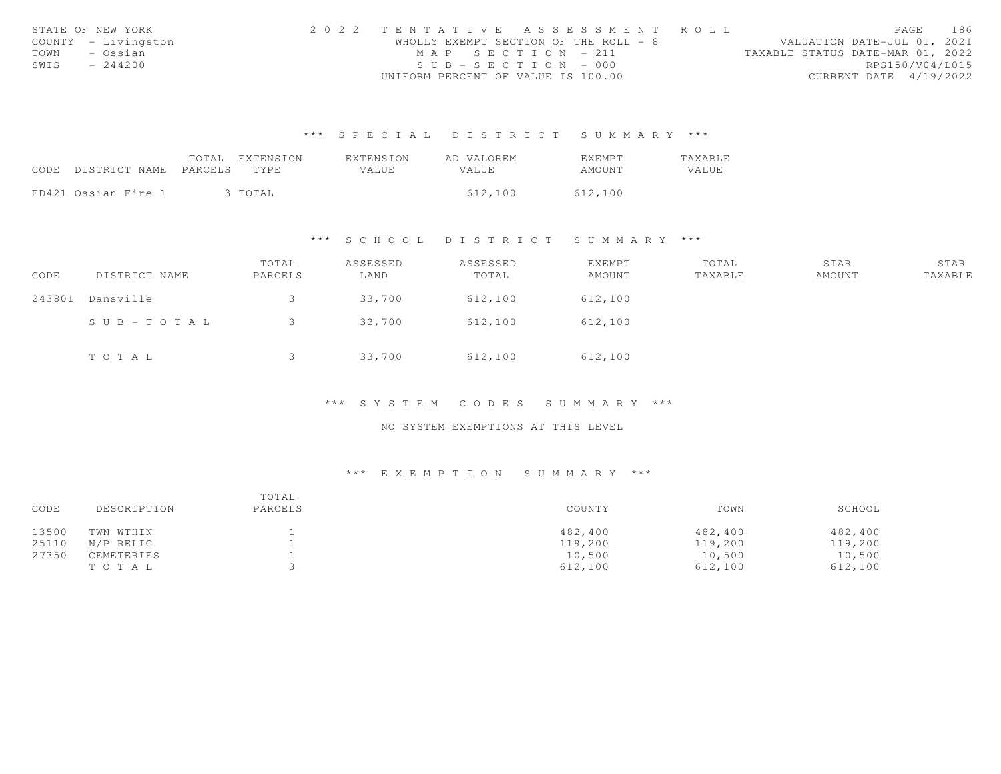|      | STATE OF NEW YORK   | 2022 TENTATIVE ASSESSMENT ROLL        |                                  | PAGE                   | 186 |
|------|---------------------|---------------------------------------|----------------------------------|------------------------|-----|
|      | COUNTY - Livingston | WHOLLY EXEMPT SECTION OF THE ROLL - 8 | VALUATION DATE-JUL 01, 2021      |                        |     |
| TOWN | – Ossian            | MAP SECTION - 211                     | TAXABLE STATUS DATE-MAR 01, 2022 |                        |     |
| SWIS | $-244200$           | $SUB - SECTION - 000$                 |                                  | RPS150/V04/L015        |     |
|      |                     | UNIFORM PERCENT OF VALUE IS 100.00    |                                  | CURRENT DATE 4/19/2022 |     |

|                            | TOTAL | EXTENSION | EXTENSION | AD VALOREM   | <b>EXEMPT</b> | <b>TAXABLE</b> |
|----------------------------|-------|-----------|-----------|--------------|---------------|----------------|
| CODE DISTRICT NAME PARCELS |       | TYPE      | VALUE.    | <b>VALUE</b> | AMOUNT        | VALUE          |
|                            |       |           |           |              |               |                |
| FD421 Ossian Fire 1        |       | 3 TOTAL   |           | 612,100      | 612,100       |                |

# \*\*\* S C H O O L D I S T R I C T S U M M A R Y \*\*\*

| CODE   | DISTRICT NAME         | TOTAL<br>PARCELS | ASSESSED<br>LAND | ASSESSED<br>TOTAL | <b>EXEMPT</b><br>AMOUNT | TOTAL<br>TAXABLE | STAR<br>AMOUNT | STAR<br>TAXABLE |
|--------|-----------------------|------------------|------------------|-------------------|-------------------------|------------------|----------------|-----------------|
| 243801 | Dansville             |                  | 33,700           | 612,100           | 612,100                 |                  |                |                 |
|        | $S \cup B - TO T A L$ |                  | 33,700           | 612,100           | 612,100                 |                  |                |                 |
|        | TOTAL                 |                  | 33,700           | 612,100           | 612,100                 |                  |                |                 |

# \*\*\* S Y S T E M C O D E S S U M M A R Y \*\*\*

### NO SYSTEM EXEMPTIONS AT THIS LEVEL

| CODE  | DESCRIPTION | TOTAL<br>PARCELS | COUNTY  | TOWN    | SCHOOL  |
|-------|-------------|------------------|---------|---------|---------|
| 13500 | TWN WTHIN   |                  | 482,400 | 482,400 | 482,400 |
| 25110 | N/P RELIG   |                  | 119,200 | 119,200 | 119,200 |
| 27350 | CEMETERIES  |                  | 10,500  | 10,500  | 10,500  |
|       | TOTAL       |                  | 612,100 | 612,100 | 612,100 |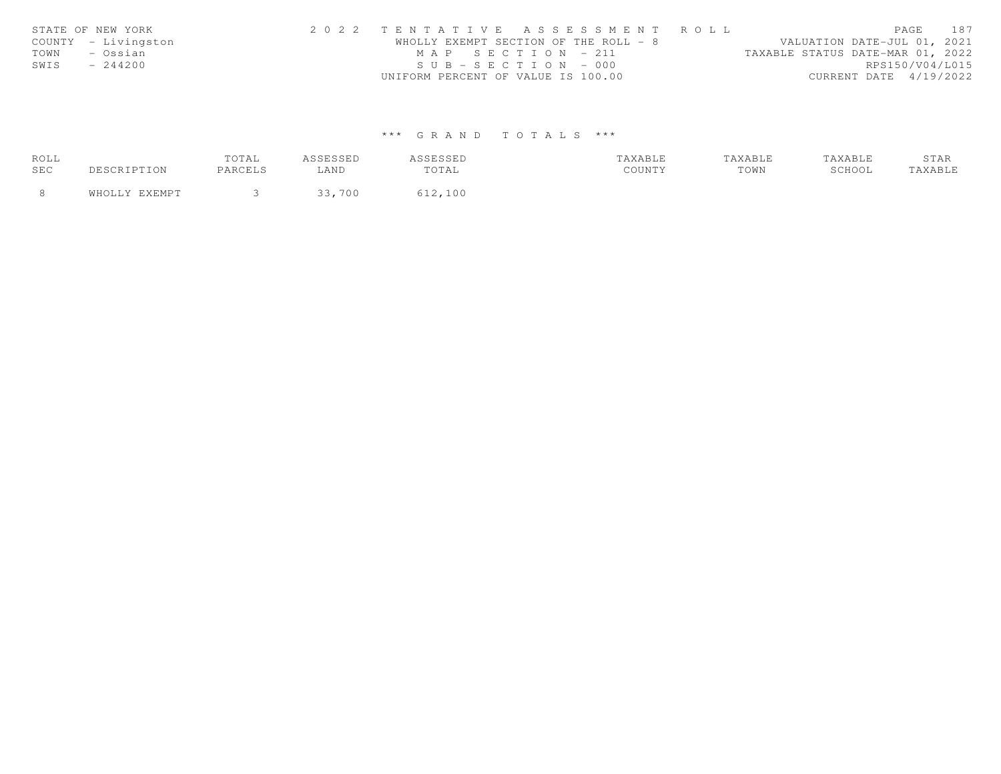|      | STATE OF NEW YORK   | 2022 TENTATIVE ASSESSMENT ROLL        |  |  |                                  |                        | PAGE | 187 |
|------|---------------------|---------------------------------------|--|--|----------------------------------|------------------------|------|-----|
|      | COUNTY - Livingston | WHOLLY EXEMPT SECTION OF THE ROLL - 8 |  |  | VALUATION DATE-JUL 01, 2021      |                        |      |     |
| TOWN | – Ossian            | MAP SECTION - 211                     |  |  | TAXABLE STATUS DATE-MAR 01, 2022 |                        |      |     |
| SWIS | $-244200$           | $SUB - SECTION - 000$                 |  |  |                                  | RPS150/V04/L015        |      |     |
|      |                     | UNIFORM PERCENT OF VALUE IS 100.00    |  |  |                                  | CURRENT DATE 4/19/2022 |      |     |

| ROLL  |               | TOTAL   | ASSESSED | ASSESSED | TAXABLE | TAXABLE | TAXABLE | STAR    |
|-------|---------------|---------|----------|----------|---------|---------|---------|---------|
| SEC   | DESCRIPTION   | PARCELS | LAND     | TOTAL    | COUNTY  | TOWN    | SCHOOL  | TAXABLE |
| - 8 - | WHOLLY EXEMPT |         | 33,700   | 612,100  |         |         |         |         |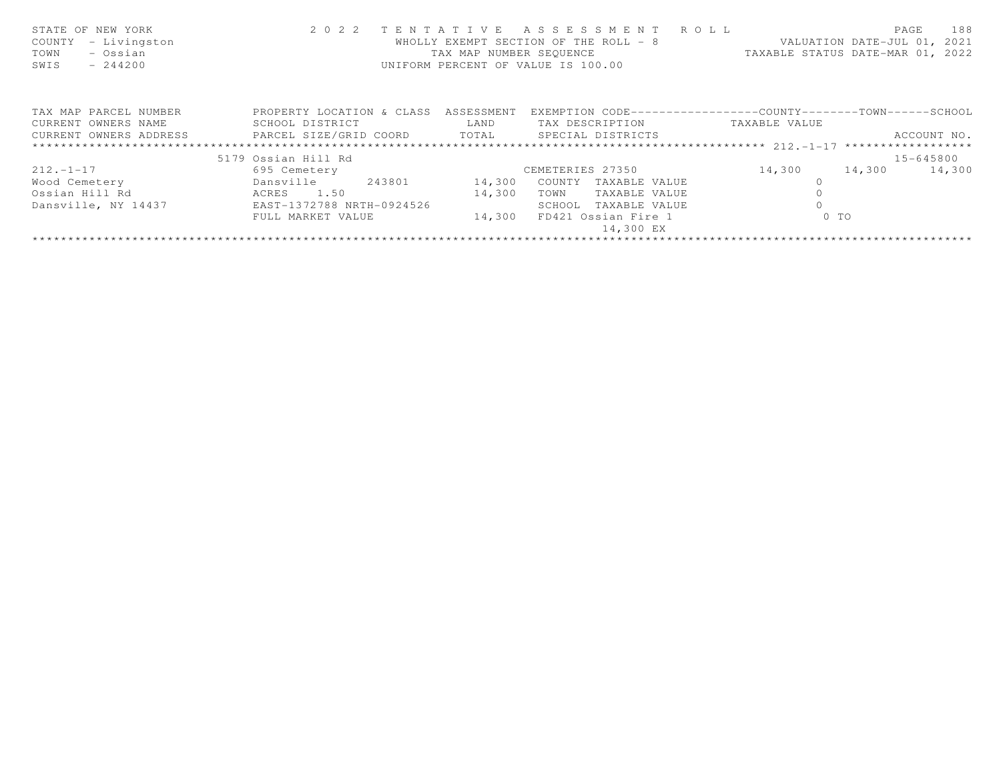| STATE OF NEW YORK<br>- Livingston<br>COUNTY<br>- Ossian<br>TOWN<br>$-244200$<br>SWIS | 2 0 2 2                   | TAX MAP NUMBER SEQUENCE<br>UNIFORM PERCENT OF VALUE IS 100.00 | TENTATIVE ASSESSMENT ROLL<br>WHOLLY EXEMPT SECTION OF THE ROLL - 8 | VALUATION DATE-JUL 01, 2021<br>TAXABLE STATUS DATE-MAR 01, 2022 | PAGE   | 188         |
|--------------------------------------------------------------------------------------|---------------------------|---------------------------------------------------------------|--------------------------------------------------------------------|-----------------------------------------------------------------|--------|-------------|
| TAX MAP PARCEL NUMBER                                                                | PROPERTY LOCATION & CLASS | ASSESSMENT                                                    | EXEMPTION CODE-----------------COUNTY-------TOWN------SCHOOL       |                                                                 |        |             |
| CURRENT OWNERS NAME                                                                  | SCHOOL DISTRICT           | LAND                                                          | TAX DESCRIPTION                                                    | TAXABLE VALUE                                                   |        |             |
| CURRENT OWNERS ADDRESS FARCEL SIZE/GRID COORD TOTAL SPECIAL DISTRICTS                |                           |                                                               |                                                                    |                                                                 |        | ACCOUNT NO. |
|                                                                                      |                           |                                                               |                                                                    |                                                                 |        |             |
|                                                                                      | 5179 Ossian Hill Rd       |                                                               |                                                                    |                                                                 |        | 15-645800   |
| $212. - 1 - 17$                                                                      | 695 Cemetery              |                                                               | CEMETERIES 27350                                                   | 14,300                                                          | 14,300 | 14,300      |
| Wood Cemetery                                                                        | 243801<br>Dansville       | 14,300                                                        | COUNTY<br>TAXABLE VALUE                                            |                                                                 |        |             |
| Ossian Hill Rd                                                                       | 1.50<br>ACRES             | 14,300                                                        | TOWN<br>TAXABLE VALUE                                              |                                                                 |        |             |
| Dansville, NY 14437                                                                  | EAST-1372788 NRTH-0924526 |                                                               | SCHOOL<br>TAXABLE VALUE                                            |                                                                 |        |             |
|                                                                                      | FULL MARKET VALUE         | 14,300                                                        | FD421 Ossian Fire 1                                                | $0$ TO                                                          |        |             |
|                                                                                      |                           |                                                               | 14,300 EX                                                          |                                                                 |        |             |
|                                                                                      |                           |                                                               |                                                                    |                                                                 |        |             |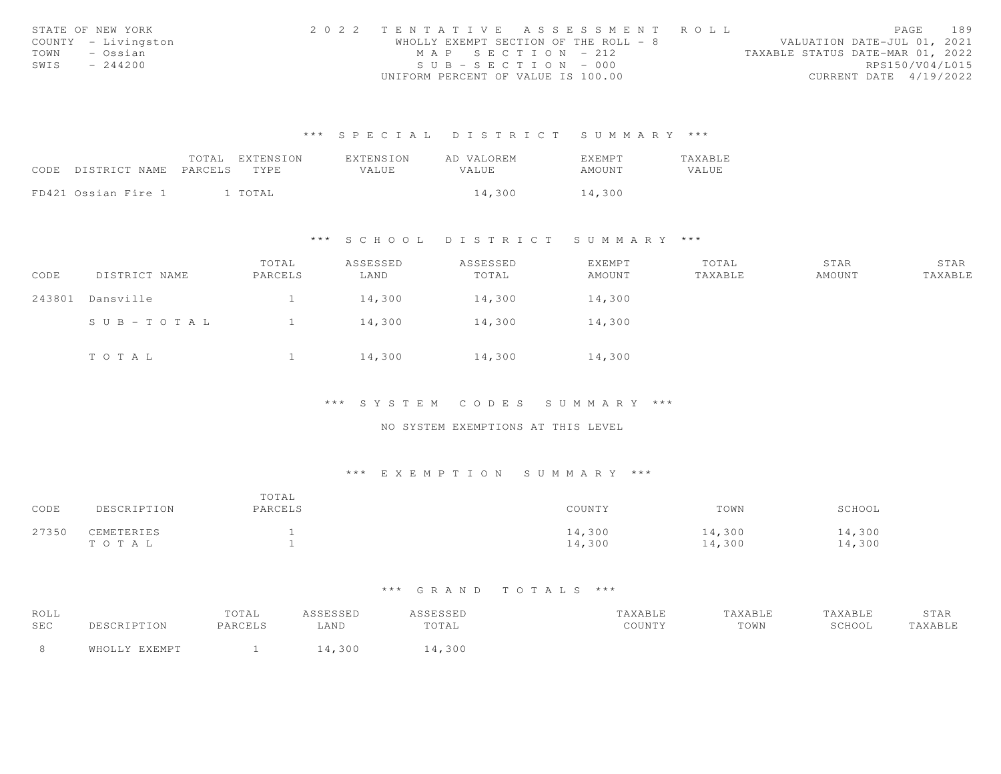|      | STATE OF NEW YORK   | 2022 TENTATIVE ASSESSMENT ROLL        |  |  |                                  |                        | PAGE | 189 |
|------|---------------------|---------------------------------------|--|--|----------------------------------|------------------------|------|-----|
|      | COUNTY - Livingston | WHOLLY EXEMPT SECTION OF THE ROLL - 8 |  |  | VALUATION DATE-JUL 01, 2021      |                        |      |     |
| TOWN | – Ossian            | MAP SECTION - 212                     |  |  | TAXABLE STATUS DATE-MAR 01, 2022 |                        |      |     |
| SWIS | $-244200$           | $SUB - SECTION - 000$                 |  |  |                                  | RPS150/V04/L015        |      |     |
|      |                     | UNIFORM PERCENT OF VALUE IS 100.00    |  |  |                                  | CURRENT DATE 4/19/2022 |      |     |

|                            | TOTAL | EXTENSION | <b>EXTENSION</b> | AD VALOREM   | EXEMPT | TAXABLE |
|----------------------------|-------|-----------|------------------|--------------|--------|---------|
| CODE DISTRICT NAME PARCELS |       | TYPE.     | VALUE.           | <b>VALUE</b> | AMOUNT | VALUE   |
|                            |       |           |                  |              |        |         |
| FD421 Ossian Fire 1        |       | l TOTAL   |                  | 14,300       | 14,300 |         |

### \*\*\* S C H O O L D I S T R I C T S U M M A R Y \*\*\*

| CODE   | DISTRICT NAME | TOTAL<br>PARCELS | ASSESSED<br>LAND | ASSESSED<br>TOTAL | EXEMPT<br>AMOUNT | TOTAL<br>TAXABLE | STAR<br>AMOUNT | STAR<br>TAXABLE |
|--------|---------------|------------------|------------------|-------------------|------------------|------------------|----------------|-----------------|
| 243801 | Dansville     |                  | 14,300           | 14,300            | 14,300           |                  |                |                 |
|        | SUB-TOTAL     |                  | 14,300           | 14,300            | 14,300           |                  |                |                 |
|        | TOTAL         |                  | 14,300           | 14,300            | 14,300           |                  |                |                 |

\*\*\* S Y S T E M C O D E S S U M M A R Y \*\*\*

NO SYSTEM EXEMPTIONS AT THIS LEVEL

### \*\*\* E X E M P T I O N S U M M A R Y \*\*\*

| CODE  | DESCRIPTION         | TOTAL<br>PARCELS | COUNTY           | TOWN             | SCHOOL           |
|-------|---------------------|------------------|------------------|------------------|------------------|
| 27350 | CEMETERIES<br>TOTAL |                  | 14,300<br>14,300 | 14,300<br>14,300 | 14,300<br>14,300 |

| ROLL       |               | TOTAL   | ASSESSED | ASSESSED | TAXABLE | TAXABLE | TAXABLE | STAR    |
|------------|---------------|---------|----------|----------|---------|---------|---------|---------|
| <b>SEC</b> | DESCRIPTION   | PARCELS | -AND     | TOTAL    | COUNTY  | TOWN    | SCHOOL  | TAXABLE |
|            | WHOLLY EXEMPT |         | .4,300   | 4,300    |         |         |         |         |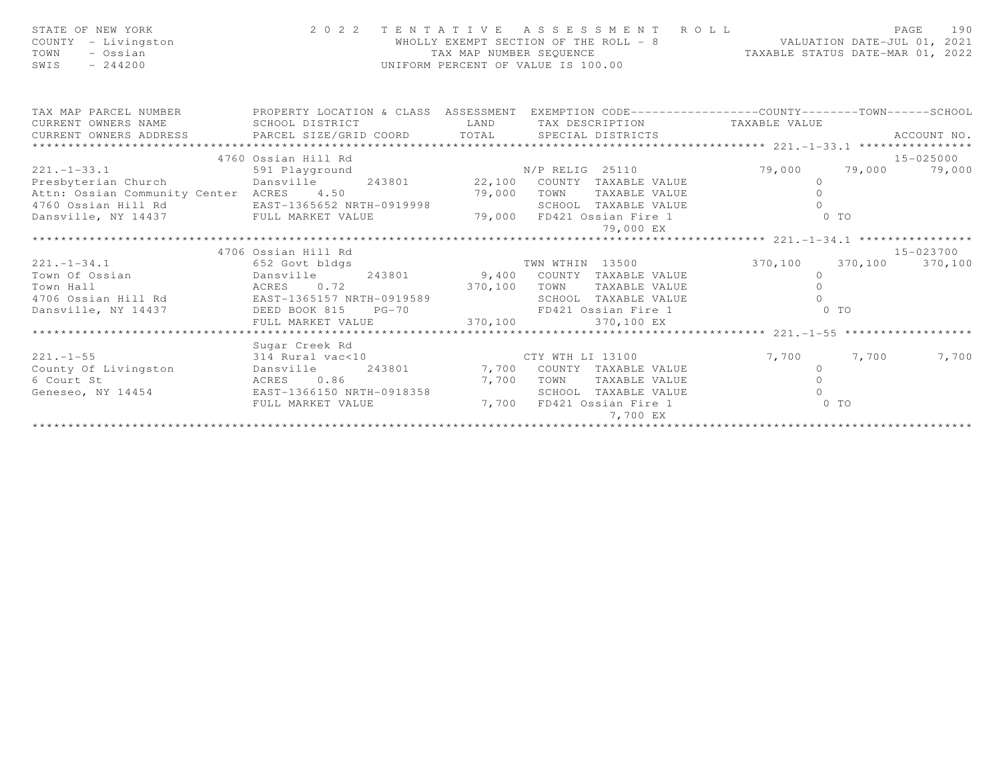| STATE OF NEW YORK<br>COUNTY - Livingston<br>TOWN<br>- Ossian<br>SWIS<br>$-244200$                                          |                              | TAX MAP NUMBER SEQUENCE | PAGE 190<br>WHOLLY EXEMPT SECTION OF THE ROLL - 8 VALUATION DATE-JUL 01, 2021<br>UNIFORM PERCENT OF VALUE IS 100.00 | TAXABLE STATUS DATE-MAR 01, 2022                        |                |             |
|----------------------------------------------------------------------------------------------------------------------------|------------------------------|-------------------------|---------------------------------------------------------------------------------------------------------------------|---------------------------------------------------------|----------------|-------------|
| TAX MAP PARCEL NUMBER THE PROPERTY LOCATION & CLASS ASSESSMENT EXEMPTION CODE---------------COUNTY--------TOWN------SCHOOL |                              |                         |                                                                                                                     |                                                         |                |             |
| CURRENT OWNERS NAME<br>CURRENT OWNERS ADDRESS                                                                              | SCHOOL DISTRICT              | LAND                    | TAX DESCRIPTION TAXABLE VALUE                                                                                       |                                                         |                | ACCOUNT NO. |
| *************************                                                                                                  | PARCEL SIZE/GRID COORD TOTAL |                         | SPECIAL DISTRICTS                                                                                                   |                                                         |                |             |
|                                                                                                                            | 4760 Ossian Hill Rd          |                         |                                                                                                                     |                                                         |                | 15-025000   |
| $221. - 1 - 33.1$                                                                                                          |                              |                         |                                                                                                                     | 79,000 79,000 79,000                                    |                |             |
| Presbyterian Church                                                                                                        |                              |                         |                                                                                                                     | $\circ$                                                 |                |             |
| Attn: Ossian Community Center ACRES 4.50                                                                                   |                              |                         | 79,000 TOWN TAXABLE VALUE                                                                                           | $\circ$                                                 |                |             |
| 4760 Ossian Hill Rd                                                                                                        | EAST-1365652 NRTH-0919998    |                         | SCHOOL TAXABLE VALUE                                                                                                | $\Omega$                                                |                |             |
| Dansville, NY 14437 FULL MARKET VALUE                                                                                      |                              |                         | 79,000 FD421 Ossian Fire 1                                                                                          |                                                         | 0 <sub>T</sub> |             |
|                                                                                                                            |                              |                         | 79,000 EX                                                                                                           |                                                         |                |             |
|                                                                                                                            |                              |                         |                                                                                                                     |                                                         |                |             |
|                                                                                                                            | 4706 Ossian Hill Rd          |                         |                                                                                                                     |                                                         |                | 15-023700   |
| $221 - 1 - 34.1$                                                                                                           | 652 Govt bldgs               |                         | TWN WTHIN 13500                                                                                                     | 370,100 370,100 370,100                                 |                |             |
|                                                                                                                            |                              |                         | 243801 9,400 COUNTY TAXABLE VALUE                                                                                   | $\overline{0}$                                          |                |             |
|                                                                                                                            |                              | 370,100                 | TAXABLE VALUE<br>TOWN                                                                                               | $\Omega$                                                |                |             |
| 4706 Ossian Hill Rd EAST-1365157 NRTH-0919589                                                                              |                              |                         | SCHOOL TAXABLE VALUE                                                                                                | $\cap$<br>$\begin{matrix} E & 0 \\ 0 & TO \end{matrix}$ |                |             |
| Dansville, NY 14437 DEED BOOK 815                                                                                          | $PG-70$                      |                         | FD421 Ossian Fire 1                                                                                                 |                                                         |                |             |
|                                                                                                                            | FULL MARKET VALUE            | 370,100                 | 370,100 EX                                                                                                          |                                                         |                |             |
|                                                                                                                            | Sugar Creek Rd               |                         |                                                                                                                     |                                                         |                |             |
| $221. - 1 - 55$                                                                                                            | 314 Rural vac<10             |                         | CTY WTH LI 13100<br>COUNTY TAXABLE VALUE                                                                            | 7,700                                                   | 7,700          | 7,700       |
| County Of Livingston                                                                                                       | Dansville                    |                         | 243801 7,700 COUNTY TAXABLE VALUE                                                                                   | $\circ$                                                 |                |             |
| 6 Court St                                                                                                                 | ACRES 0.86                   | 7,700                   | TOWN<br>TAXABLE VALUE                                                                                               | $\Omega$                                                |                |             |
| Geneseo, NY 14454 EAST-1366150 NRTH-0918358                                                                                |                              |                         | SCHOOL TAXABLE VALUE                                                                                                | $\cap$                                                  |                |             |
|                                                                                                                            | FULL MARKET VALUE            | 7,700                   | FD421 Ossian Fire 1                                                                                                 | $\sim$ 0 TO                                             |                |             |
|                                                                                                                            |                              |                         | 7,700 EX                                                                                                            |                                                         |                |             |
|                                                                                                                            |                              |                         |                                                                                                                     |                                                         |                |             |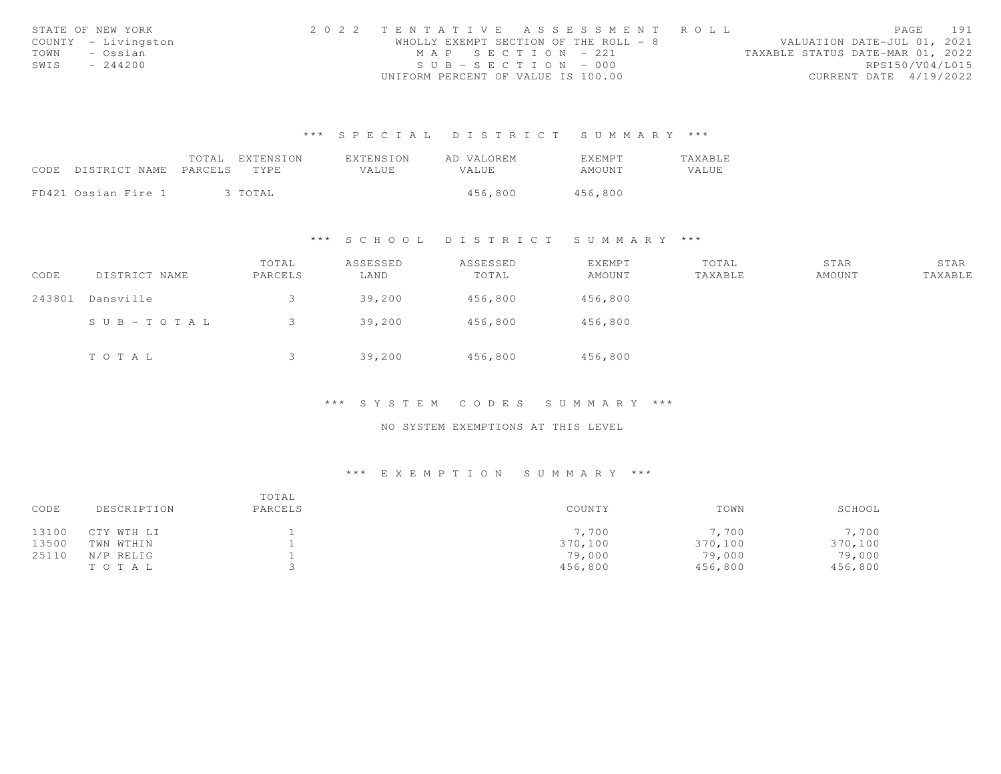|      | STATE OF NEW YORK   | 2022 TENTATIVE ASSESSMENT ROLL        |  |  |                                  |                        | PAGE | 191 |
|------|---------------------|---------------------------------------|--|--|----------------------------------|------------------------|------|-----|
|      | COUNTY - Livingston | WHOLLY EXEMPT SECTION OF THE ROLL - 8 |  |  | VALUATION DATE-JUL 01, 2021      |                        |      |     |
| TOWN | – Ossian            | MAP SECTION - 221                     |  |  | TAXABLE STATUS DATE-MAR 01, 2022 |                        |      |     |
| SWIS | $-244200$           | $SUB - SECTION - 000$                 |  |  |                                  | RPS150/V04/L015        |      |     |
|      |                     | UNIFORM PERCENT OF VALUE IS 100.00    |  |  |                                  | CURRENT DATE 4/19/2022 |      |     |

|                            | TOTAL | EXTENSION | EXTENSION | AD VALOREM   | <b>EXEMPT</b> | <b>TAXABLE</b> |
|----------------------------|-------|-----------|-----------|--------------|---------------|----------------|
| CODE DISTRICT NAME PARCELS |       | TYPE      | VALUE.    | <b>VALUE</b> | AMOUNT        | VALUE          |
|                            |       |           |           |              |               |                |
| FD421 Ossian Fire 1        |       | 3 TOTAL   |           | 456,800      | 456,800       |                |

# \*\*\* S C H O O L D I S T R I C T S U M M A R Y \*\*\*

| CODE   | DISTRICT NAME         | TOTAL<br>PARCELS | ASSESSED<br>LAND | ASSESSED<br>TOTAL | <b>EXEMPT</b><br>AMOUNT | TOTAL<br>TAXABLE | STAR<br>AMOUNT | STAR<br>TAXABLE |
|--------|-----------------------|------------------|------------------|-------------------|-------------------------|------------------|----------------|-----------------|
| 243801 | Dansville             |                  | 39,200           | 456,800           | 456,800                 |                  |                |                 |
|        | $S \cup B - TO T A L$ |                  | 39,200           | 456,800           | 456,800                 |                  |                |                 |
|        | TO TAL                |                  | 39,200           | 456,800           | 456,800                 |                  |                |                 |

# \*\*\* S Y S T E M C O D E S S U M M A R Y \*\*\*

### NO SYSTEM EXEMPTIONS AT THIS LEVEL

| CODE  | DESCRIPTION | TOTAL<br>PARCELS | COUNTY  | TOWN    | SCHOOL  |
|-------|-------------|------------------|---------|---------|---------|
| 13100 | CTY WTH LI  |                  | 7,700   | 7,700   | 7,700   |
| 13500 | TWN WTHIN   |                  | 370,100 | 370,100 | 370,100 |
| 25110 | N/P RELIG   |                  | 79,000  | 79,000  | 79,000  |
|       | TO TAL      |                  | 456,800 | 456,800 | 456,800 |
|       |             |                  |         |         |         |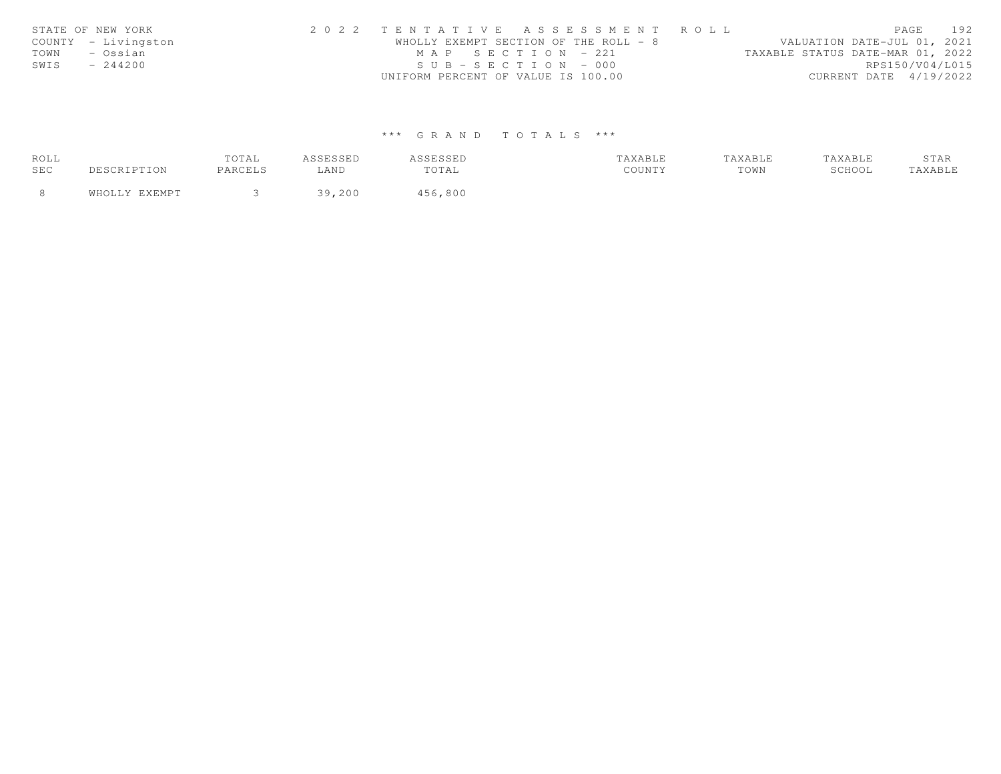| STATE OF NEW YORK |                     | 2022 TENTATIVE ASSESSMENT ROLL        |  |  |                                  |                        | PAGE | 192 |
|-------------------|---------------------|---------------------------------------|--|--|----------------------------------|------------------------|------|-----|
|                   | COUNTY - Livingston | WHOLLY EXEMPT SECTION OF THE ROLL - 8 |  |  | VALUATION DATE-JUL 01, 2021      |                        |      |     |
| TOWN              | – Ossian            | MAP SECTION = $221$                   |  |  | TAXABLE STATUS DATE-MAR 01, 2022 |                        |      |     |
| SWIS              | $-244200$           | $SUB - SECTION - 000$                 |  |  |                                  | RPS150/V04/L015        |      |     |
|                   |                     | UNIFORM PERCENT OF VALUE IS 100.00    |  |  |                                  | CURRENT DATE 4/19/2022 |      |     |

| ROLL |               | TOTAL   | ASSESSED | ASSESSED | TAXABLE | TAXABLE | TAXABLE | STAR    |
|------|---------------|---------|----------|----------|---------|---------|---------|---------|
| SEC  | DESCRIPTION   | PARCELS | LAND     | TOTAL    | COUNTY  | TOWN    | SCHOOL  | TAXABLE |
|      | WHOLLY EXEMPT |         | 39,200   | 456,800  |         |         |         |         |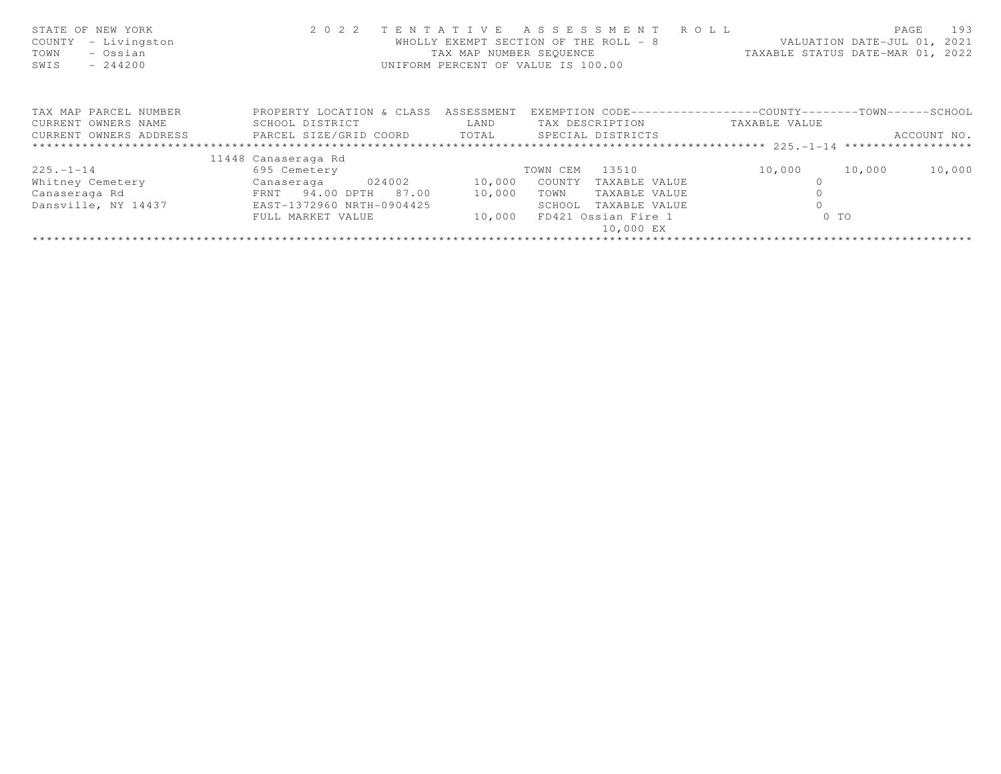| STATE OF NEW YORK<br>- Livingston<br>COUNTY<br>- Ossian<br>TOWN<br>SWIS<br>$-244200$ | 2 0 2 2                      | TENTATIVE<br>TAX MAP NUMBER SEOUENCE | ASSESSMENT ROLL<br>WHOLLY EXEMPT SECTION OF THE ROLL - 8<br>UNIFORM PERCENT OF VALUE IS 100.00 | VALUATION DATE-JUL 01, 2021<br>TAXABLE STATUS DATE-MAR 01, 2022 | 193<br>PAGE |
|--------------------------------------------------------------------------------------|------------------------------|--------------------------------------|------------------------------------------------------------------------------------------------|-----------------------------------------------------------------|-------------|
| TAX MAP PARCEL NUMBER                                                                | PROPERTY LOCATION & CLASS    | ASSESSMENT                           |                                                                                                | EXEMPTION CODE----------------COUNTY-------TOWN------SCHOOL     |             |
| CURRENT OWNERS NAME                                                                  | SCHOOL DISTRICT              | LAND                                 | TAX DESCRIPTION                                                                                | TAXABLE VALUE                                                   |             |
| CURRENT OWNERS ADDRESS                                                               | PARCEL SIZE/GRID COORD TOTAL |                                      | SPECIAL DISTRICTS                                                                              |                                                                 | ACCOUNT NO. |
|                                                                                      |                              |                                      |                                                                                                |                                                                 |             |
|                                                                                      | 11448 Canaseraga Rd          |                                      |                                                                                                |                                                                 |             |
| $225. - 1 - 14$                                                                      | 695 Cemetery                 |                                      | 13510<br>TOWN CEM                                                                              | 10,000<br>10,000                                                | 10,000      |
| Whitney Cemetery                                                                     | 024002<br>Canaseraga         | 10,000                               | COUNTY<br>TAXABLE VALUE                                                                        | $\cap$                                                          |             |
| Canaseraga Rd                                                                        | FRNT 94.00 DPTH 87.00        | 10,000                               | TOWN<br>TAXABLE VALUE                                                                          |                                                                 |             |
| Dansville, NY 14437                                                                  | EAST-1372960 NRTH-0904425    |                                      | TAXABLE VALUE<br>SCHOOL                                                                        |                                                                 |             |
|                                                                                      | FULL MARKET VALUE            | 10,000                               | FD421 Ossian Fire 1                                                                            | $0$ TO                                                          |             |
|                                                                                      |                              |                                      | 10,000 EX                                                                                      |                                                                 |             |
|                                                                                      |                              |                                      |                                                                                                |                                                                 |             |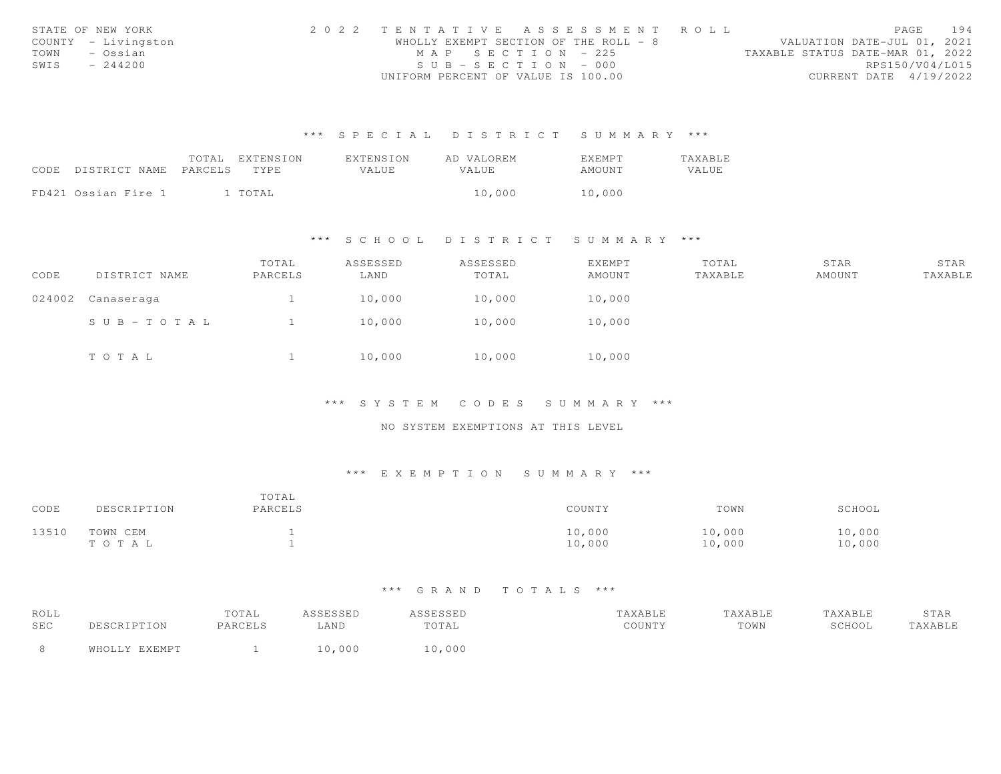|      | STATE OF NEW YORK   | 2022 TENTATIVE ASSESSMENT ROLL        |  |  |                                  |                        | PAGE | 194 |
|------|---------------------|---------------------------------------|--|--|----------------------------------|------------------------|------|-----|
|      | COUNTY - Livingston | WHOLLY EXEMPT SECTION OF THE ROLL - 8 |  |  | VALUATION DATE-JUL 01, 2021      |                        |      |     |
| TOWN | – Ossian            | $MAP$ SECTION = 225                   |  |  | TAXABLE STATUS DATE-MAR 01, 2022 |                        |      |     |
| SWIS | $-244200$           | $SUB - SECTION - 000$                 |  |  |                                  | RPS150/V04/L015        |      |     |
|      |                     | UNIFORM PERCENT OF VALUE IS 100.00    |  |  |                                  | CURRENT DATE 4/19/2022 |      |     |

|                            | TOTAL | EXTENSION | <b>EXTENSION</b> | AD VALOREM   | EXEMPT | TAXABLE |
|----------------------------|-------|-----------|------------------|--------------|--------|---------|
| CODE DISTRICT NAME PARCELS |       | TYPE.     | VALUE.           | <b>VALUE</b> | AMOUNT | VALUE   |
|                            |       |           |                  |              |        |         |
| FD421 Ossian Fire 1        |       | l TOTAL   |                  | 10,000       | 10,000 |         |

#### \*\*\* S C H O O L D I S T R I C T S U M M A R Y \*\*\*

| CODE   | DISTRICT NAME | TOTAL<br>PARCELS | ASSESSED<br>LAND | ASSESSED<br>TOTAL | EXEMPT<br>AMOUNT | TOTAL<br>TAXABLE | STAR<br>AMOUNT | STAR<br>TAXABLE |
|--------|---------------|------------------|------------------|-------------------|------------------|------------------|----------------|-----------------|
| 024002 | Canaseraga    |                  | 10,000           | 10,000            | 10,000           |                  |                |                 |
|        | SUB-TOTAL     |                  | 10,000           | 10,000            | 10,000           |                  |                |                 |
|        | TOTAL         |                  | 10,000           | 10,000            | 10,000           |                  |                |                 |

\*\*\* S Y S T E M C O D E S S U M M A R Y \*\*\*

NO SYSTEM EXEMPTIONS AT THIS LEVEL

### \*\*\* E X E M P T I O N S U M M A R Y \*\*\*

| CODE  | DESCRIPTION       | TOTAL<br>PARCELS | COUNTY           | TOWN             | SCHOOL           |
|-------|-------------------|------------------|------------------|------------------|------------------|
| 13510 | TOWN CEM<br>тотаь |                  | 10,000<br>10,000 | 10,000<br>10,000 | 10,000<br>10,000 |

| ROLL |               | TOTAL   | ASSESSED | <i><b>ISSESSED</b></i> | TAXABLE | TAXABLE | TAXABLE | STAR    |
|------|---------------|---------|----------|------------------------|---------|---------|---------|---------|
| SEC  | DESCRIPTION   | PARCELS | LAND     | TOTAL                  | COUNTY  | TOWN    | SCHOOL  | TAXABLE |
| - 8  | WHOLLY EXEMPT |         | 10,000   | 10,000                 |         |         |         |         |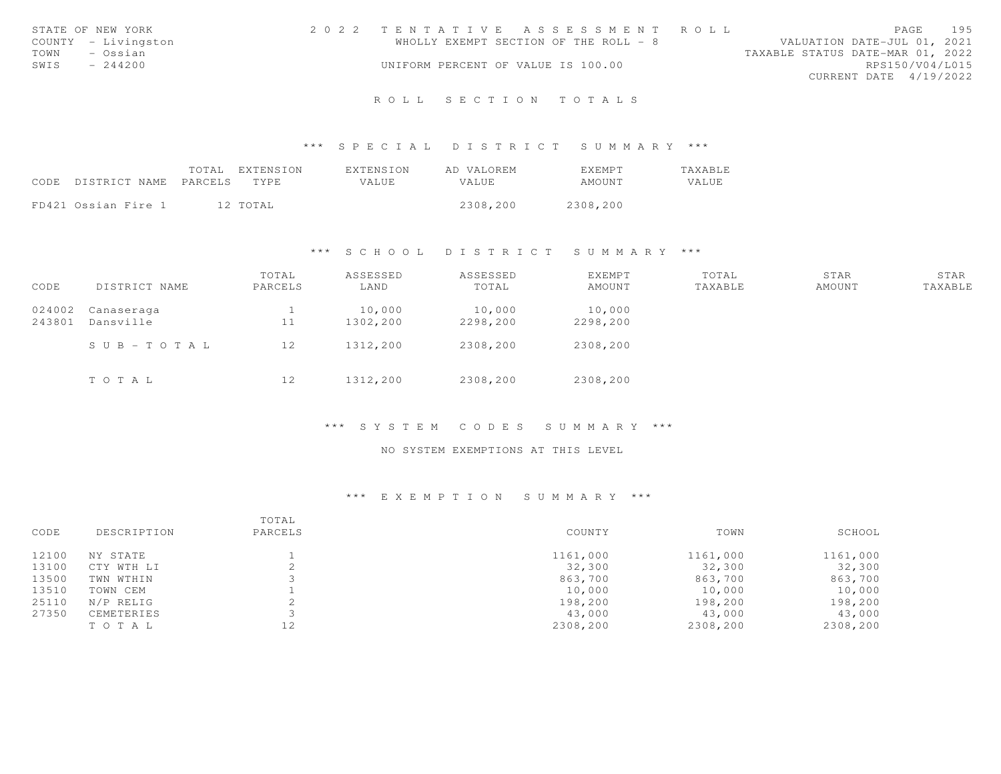|      | STATE OF NEW YORK   | 2022 TENTATIVE ASSESSMENT ROLL        |  |  |                                  |                        | PAGE | 195 |
|------|---------------------|---------------------------------------|--|--|----------------------------------|------------------------|------|-----|
|      | COUNTY - Livingston | WHOLLY EXEMPT SECTION OF THE ROLL - 8 |  |  | VALUATION DATE-JUL 01, 2021      |                        |      |     |
| TOWN | – Ossian            |                                       |  |  | TAXABLE STATUS DATE-MAR 01, 2022 |                        |      |     |
| SWIS | $-244200$           | UNIFORM PERCENT OF VALUE IS 100.00    |  |  |                                  | RPS150/V04/L015        |      |     |
|      |                     |                                       |  |  |                                  | CURRENT DATE 4/19/2022 |      |     |
|      |                     |                                       |  |  |                                  |                        |      |     |

# R O L L S E C T I O N T O T A L S

#### \*\*\* S P E C I A L D I S T R I C T S U M M A R Y \*\*\*

|                                 | TOTAL EXTENSION | EXTENSION | AD VALOREM | <b>FXFMPT</b> | <b>TAXABLE</b> |
|---------------------------------|-----------------|-----------|------------|---------------|----------------|
| CODE DISTRICT NAME PARCELS TYPE |                 | VALUE     | VALUE      | AMOUNT        | VALUE          |
|                                 |                 |           |            |               |                |
| FD421 Ossian Fire 1             | 12 TOTAL        |           | 2308,200   | 2308,200      |                |

#### \*\*\* S C H O O L D I S T R I C T S U M M A R Y \*\*\*

| CODE             | DISTRICT NAME           | TOTAL<br>PARCELS | ASSESSED<br>LAND   | ASSESSED<br>TOTAL  | EXEMPT<br>AMOUNT   | TOTAL<br>TAXABLE | STAR<br>AMOUNT | STAR<br>TAXABLE |
|------------------|-------------------------|------------------|--------------------|--------------------|--------------------|------------------|----------------|-----------------|
| 024002<br>243801 | Canaseraga<br>Dansville | 11               | 10,000<br>1302,200 | 10,000<br>2298,200 | 10,000<br>2298,200 |                  |                |                 |
|                  | $S \cup B - TO T A L$   | 12               | 1312,200           | 2308,200           | 2308,200           |                  |                |                 |
|                  | TOTAL                   | 12               | 1312,200           | 2308,200           | 2308,200           |                  |                |                 |

#### \*\*\* S Y S T E M C O D E S S U M M A R Y \*\*\*

### NO SYSTEM EXEMPTIONS AT THIS LEVEL

|       |             | TOTAL   |          |          |          |
|-------|-------------|---------|----------|----------|----------|
| CODE  | DESCRIPTION | PARCELS | COUNTY   | TOWN     | SCHOOL   |
| 12100 | NY STATE    |         | 1161,000 | 1161,000 | 1161,000 |
| 13100 | CTY WTH LI  |         | 32,300   | 32,300   | 32,300   |
| 13500 | TWN WTHIN   |         | 863,700  | 863,700  | 863,700  |
| 13510 | TOWN CEM    |         | 10,000   | 10,000   | 10,000   |
| 25110 | N/P RELIG   |         | 198,200  | 198,200  | 198,200  |
| 27350 | CEMETERIES  |         | 43,000   | 43,000   | 43,000   |
|       | TO TAL      | 12      | 2308,200 | 2308,200 | 2308,200 |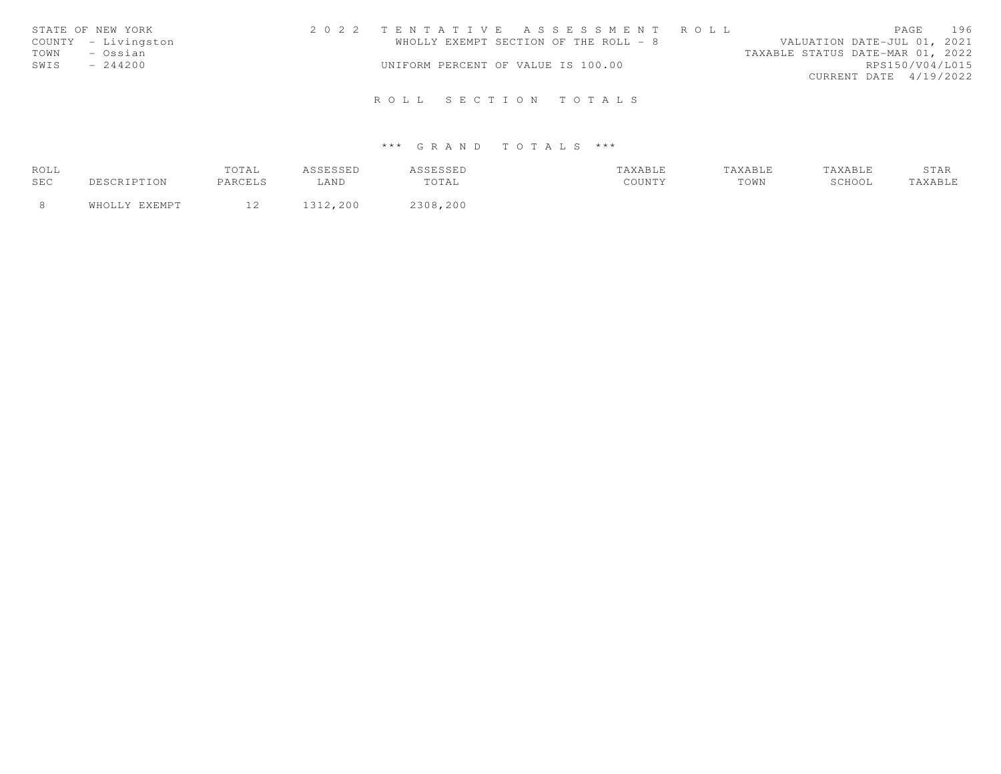| STATE OF NEW YORK   | 2022 TENTATIVE ASSESSMENT ROLL        | 196<br>PAGE                      |
|---------------------|---------------------------------------|----------------------------------|
| COUNTY - Livingston | WHOLLY EXEMPT SECTION OF THE ROLL - 8 | VALUATION DATE-JUL 01, 2021      |
| - Ossian<br>TOWN    |                                       | TAXABLE STATUS DATE-MAR 01, 2022 |
| SWIS<br>$-244200$   | UNIFORM PERCENT OF VALUE IS 100.00    | RPS150/V04/L015                  |
|                     |                                       | CURRENT DATE 4/19/2022           |
|                     |                                       |                                  |
|                     | ROLL SECTION TOTALS                   |                                  |

| ROLL | TOTAL   | ----    | שטטטע    |                 | AXABLE | <b>AXABLE</b> | ----- |
|------|---------|---------|----------|-----------------|--------|---------------|-------|
| SEC  | PARCELS | LAND    | TOTAL    | $C\cap T\cup T$ | TOWN   | SCHOOL        |       |
|      |         | 312.200 | 2308,200 |                 |        |               |       |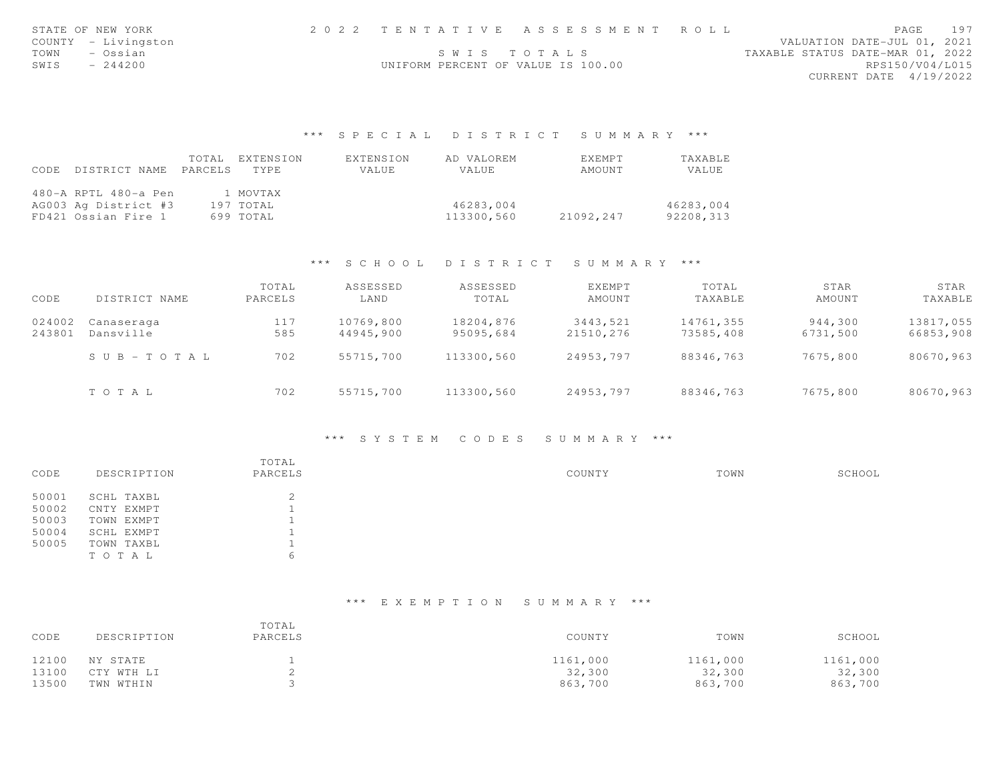| STATE OF NEW YORK   |                                    | 2022 TENTATIVE ASSESSMENT ROLL |                                  | PAGE                   | 197 |
|---------------------|------------------------------------|--------------------------------|----------------------------------|------------------------|-----|
| COUNTY - Livingston |                                    |                                | VALUATION DATE-JUL 01, 2021      |                        |     |
| TOWN<br>- Ossian    |                                    | SWIS TOTALS                    | TAXABLE STATUS DATE-MAR 01, 2022 |                        |     |
| SWIS<br>$-244200$   | UNIFORM PERCENT OF VALUE IS 100.00 |                                |                                  | RPS150/V04/L015        |     |
|                     |                                    |                                |                                  | CURRENT DATE 4/19/2022 |     |
|                     |                                    |                                |                                  |                        |     |

|      |                       | TOTAL EXTENSION | EXTENSION | AD VALOREM   | <b>FXFMPT</b> | TAXABLE   |
|------|-----------------------|-----------------|-----------|--------------|---------------|-----------|
| CODE | DISTRICT NAME PARCELS | TYPE            | VALUE     | <b>VALUE</b> | AMOUNT        | VALUE     |
|      |                       |                 |           |              |               |           |
|      | 480-A RPTL 480-a Pen  | 1 MOVTAX        |           |              |               |           |
|      | AG003 Ag District #3  | 197 TOTAL       |           | 46283,004    |               | 46283,004 |
|      | FD421 Ossian Fire 1   | 699 TOTAL       |           | 113300,560   | 21092,247     | 92208,313 |

# \*\*\* S C H O O L D I S T R I C T S U M M A R Y \*\*\*

| CODE             | DISTRICT NAME           | TOTAL<br>PARCELS | ASSESSED<br>LAND       | ASSESSED<br>TOTAL      | EXEMPT<br>AMOUNT      | TOTAL<br>TAXABLE       | STAR<br>AMOUNT      | STAR<br>TAXABLE        |
|------------------|-------------------------|------------------|------------------------|------------------------|-----------------------|------------------------|---------------------|------------------------|
| 024002<br>243801 | Canaseraga<br>Dansville | 117<br>585       | 10769,800<br>44945,900 | 18204,876<br>95095,684 | 3443,521<br>21510.276 | 14761,355<br>73585,408 | 944,300<br>6731,500 | 13817,055<br>66853,908 |
|                  | SUB-TOTAL               | 702              | 55715,700              | 113300,560             | 24953,797             | 88346,763              | 7675,800            | 80670,963              |
|                  | TOTAL                   | 702              | 55715,700              | 113300,560             | 24953,797             | 88346,763              | 7675,800            | 80670,963              |

### \*\*\* S Y S T E M C O D E S S U M M A R Y \*\*\*

|       |             | TOTAL           |        |      |        |
|-------|-------------|-----------------|--------|------|--------|
| CODE  | DESCRIPTION | PARCELS         | COUNTY | TOWN | SCHOOL |
| 50001 | SCHL TAXBL  | $\bigcirc$<br>∠ |        |      |        |
| 50002 | CNTY EXMPT  |                 |        |      |        |
| 50003 | TOWN EXMPT  |                 |        |      |        |
| 50004 | SCHL EXMPT  |                 |        |      |        |
| 50005 | TOWN TAXBL  |                 |        |      |        |
|       | TOTAL       | 6               |        |      |        |

| CODE  | DESCRIPTION | TOTAL<br>PARCELS | COUNTY   | TOWN     | SCHOOL   |
|-------|-------------|------------------|----------|----------|----------|
| 12100 | NY STATE    |                  | 1161,000 | 1161,000 | 1161,000 |
| 13100 | CTY WTH LI  |                  | 32,300   | 32,300   | 32,300   |
| 13500 | TWN WTHIN   |                  | 863,700  | 863,700  | 863,700  |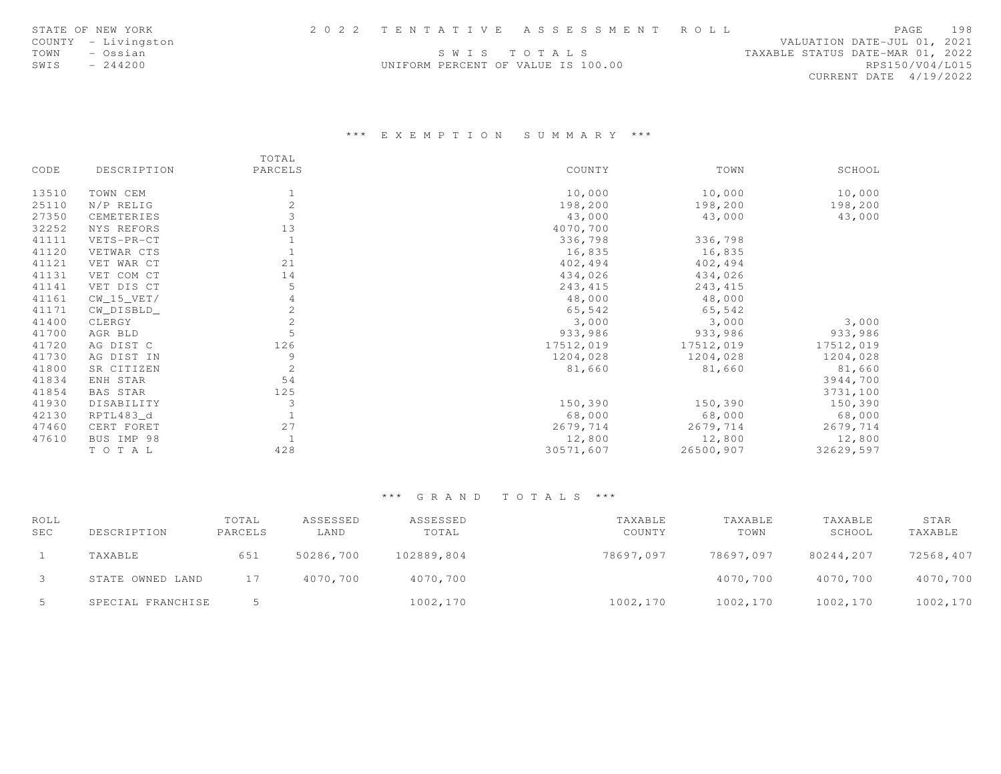|      | STATE OF NEW YORK   |                                    | 2022 TENTATIVE ASSESSMENT ROLL |                                  |                        | PAGE | 198 |
|------|---------------------|------------------------------------|--------------------------------|----------------------------------|------------------------|------|-----|
|      | COUNTY - Livingston |                                    |                                | VALUATION DATE-JUL 01, 2021      |                        |      |     |
| TOWN | – Ossian            |                                    | SWIS TOTALS                    | TAXABLE STATUS DATE-MAR 01, 2022 |                        |      |     |
| SWIS | $-244200$           | UNIFORM PERCENT OF VALUE IS 100.00 |                                |                                  | RPS150/V04/L015        |      |     |
|      |                     |                                    |                                |                                  | CURRENT DATE 4/19/2022 |      |     |

# \*\*\* E X E M P T I O N S U M M A R Y \*\*\*

|       |              | TOTAL        |           |           |           |
|-------|--------------|--------------|-----------|-----------|-----------|
| CODE  | DESCRIPTION  | PARCELS      | COUNTY    | TOWN      | SCHOOL    |
| 13510 | TOWN CEM     |              | 10,000    | 10,000    | 10,000    |
| 25110 | N/P RELIG    | 2            | 198,200   | 198,200   | 198,200   |
| 27350 | CEMETERIES   | 3            | 43,000    | 43,000    | 43,000    |
| 32252 | NYS REFORS   | 13           | 4070,700  |           |           |
| 41111 | VETS-PR-CT   |              | 336,798   | 336,798   |           |
| 41120 | VETWAR CTS   |              | 16,835    | 16,835    |           |
| 41121 | VET WAR CT   | 21           | 402,494   | 402,494   |           |
| 41131 | VET COM CT   | 14           | 434,026   | 434,026   |           |
| 41141 | VET DIS CT   | 5            | 243,415   | 243, 415  |           |
| 41161 | $CW_15_VET/$ |              | 48,000    | 48,000    |           |
| 41171 | CW_DISBLD_   | $\mathbf{2}$ | 65,542    | 65,542    |           |
| 41400 | CLERGY       | $\mathbf{2}$ | 3,000     | 3,000     | 3,000     |
| 41700 | AGR BLD      | 5            | 933,986   | 933,986   | 933,986   |
| 41720 | AG DIST C    | 126          | 17512,019 | 17512,019 | 17512,019 |
| 41730 | AG DIST IN   | 9            | 1204,028  | 1204,028  | 1204,028  |
| 41800 | SR CITIZEN   | 2            | 81,660    | 81,660    | 81,660    |
| 41834 | ENH STAR     | 54           |           |           | 3944,700  |
| 41854 | BAS STAR     | 125          |           |           | 3731,100  |
| 41930 | DISABILITY   | 3            | 150,390   | 150,390   | 150,390   |
| 42130 | RPTL483 d    |              | 68,000    | 68,000    | 68,000    |
| 47460 | CERT FORET   | 27           | 2679,714  | 2679,714  | 2679,714  |
| 47610 | BUS IMP 98   |              | 12,800    | 12,800    | 12,800    |
|       | TO TAL       | 428          | 30571,607 | 26500,907 | 32629,597 |

| ROLL |                   | TOTAL   | ASSESSED  | ASSESSED   | TAXABLE   | TAXABLE   | TAXABLE   | STAR      |
|------|-------------------|---------|-----------|------------|-----------|-----------|-----------|-----------|
| SEC  | DESCRIPTION       | PARCELS | LAND      | TOTAL      | COUNTY    | TOWN      | SCHOOL    | TAXABLE   |
|      | TAXABLE           | 651     | 50286,700 | 102889,804 | 78697,097 | 78697.097 | 80244,207 | 72568,407 |
|      | STATE OWNED LAND  | 17      | 4070,700  | 4070,700   |           | 4070,700  | 4070,700  | 4070,700  |
| -5   | SPECIAL FRANCHISE |         |           | 1002,170   | 1002,170  | 1002,170  | 1002,170  | 1002,170  |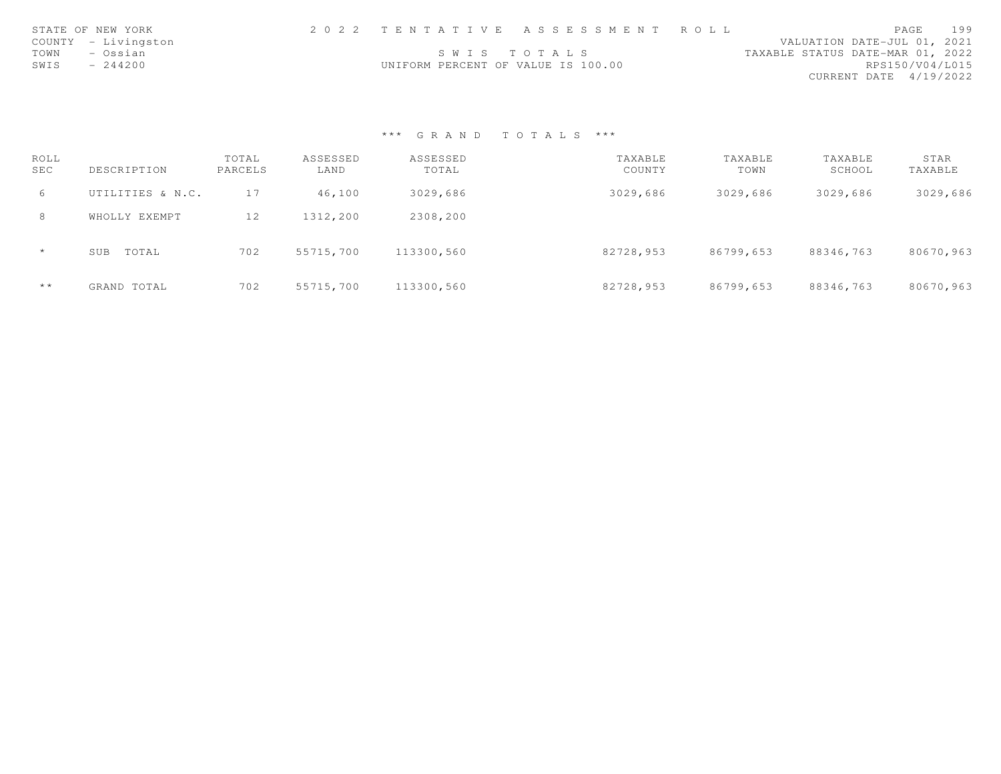|      | STATE OF NEW YORK   |                                    | 2022 TENTATIVE ASSESSMENT ROLL |                                  |                        | PAGE | 199 |
|------|---------------------|------------------------------------|--------------------------------|----------------------------------|------------------------|------|-----|
|      | COUNTY - Livingston |                                    |                                | VALUATION DATE-JUL 01, 2021      |                        |      |     |
| TOWN | – Ossian            |                                    | SWIS TOTALS                    | TAXABLE STATUS DATE-MAR 01, 2022 |                        |      |     |
| SWIS | $-244200$           | UNIFORM PERCENT OF VALUE IS 100.00 |                                |                                  | RPS150/V04/L015        |      |     |
|      |                     |                                    |                                |                                  | CURRENT DATE 4/19/2022 |      |     |

| ROLL<br><b>SEC</b> | DESCRIPTION      | TOTAL<br>PARCELS | ASSESSED<br>LAND | ASSESSED<br>TOTAL | TAXABLE<br>COUNTY | TAXABLE<br>TOWN | TAXABLE<br>SCHOOL | STAR<br>TAXABLE |
|--------------------|------------------|------------------|------------------|-------------------|-------------------|-----------------|-------------------|-----------------|
| 6                  | UTILITIES & N.C. | 17               | 46,100           | 3029,686          | 3029,686          | 3029,686        | 3029,686          | 3029,686        |
| 8                  | WHOLLY EXEMPT    | 12               | 1312,200         | 2308,200          |                   |                 |                   |                 |
| $\star$            | TOTAL<br>SUB     | 702              | 55715,700        | 113300,560        | 82728,953         | 86799,653       | 88346,763         | 80670,963       |
| $\star\star$       | GRAND TOTAL      | 702              | 55715,700        | 113300,560        | 82728,953         | 86799,653       | 88346,763         | 80670,963       |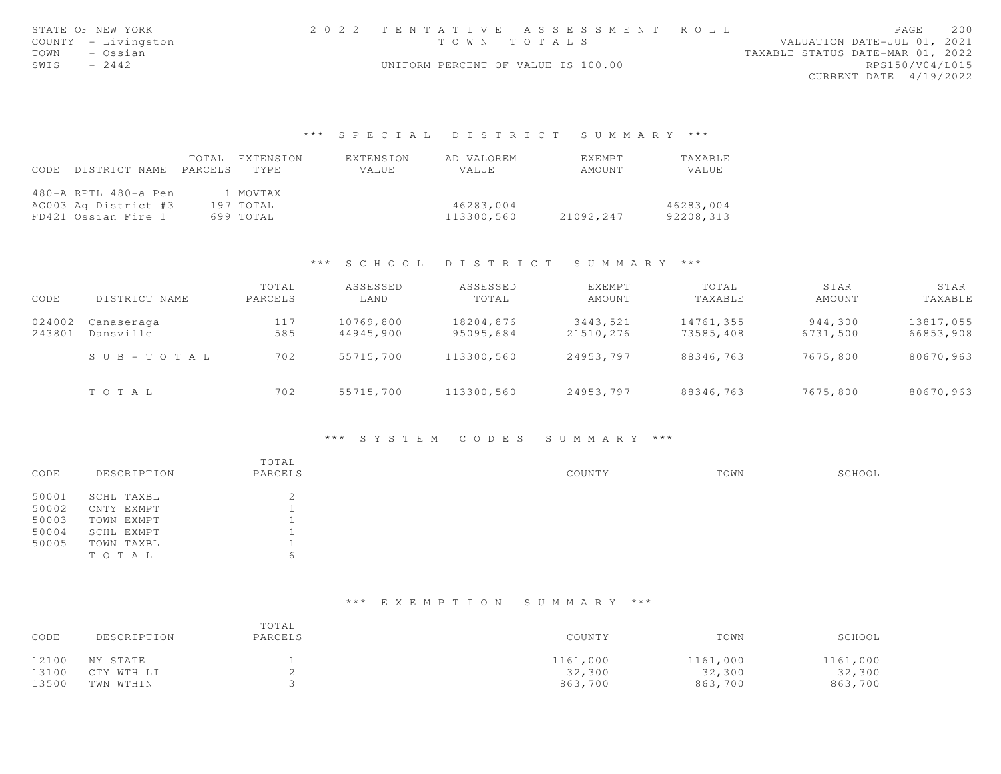| STATE OF NEW YORK   | 2022 TENTATIVE ASSESSMENT ROLL     |  |                                  | PAGE                   | 200 |
|---------------------|------------------------------------|--|----------------------------------|------------------------|-----|
| COUNTY - Livingston | TOWN TOTALS                        |  | VALUATION DATE-JUL 01, 2021      |                        |     |
| TOWN – Ossian       |                                    |  | TAXABLE STATUS DATE-MAR 01, 2022 |                        |     |
| $-2442$<br>SWIS     | UNIFORM PERCENT OF VALUE IS 100.00 |  |                                  | RPS150/V04/L015        |     |
|                     |                                    |  |                                  | CURRENT DATE 4/19/2022 |     |
|                     |                                    |  |                                  |                        |     |
|                     |                                    |  |                                  |                        |     |

|      |                       | TOTAL EXTENSION | EXTENSION | AD VALOREM | <b>FXFMPT</b> | TAXABLE   |
|------|-----------------------|-----------------|-----------|------------|---------------|-----------|
| CODE | DISTRICT NAME PARCELS | TYPE.           | VALUE     | VALUE      | AMOUNT        | VALUE     |
|      |                       |                 |           |            |               |           |
|      | 480-A RPTL 480-a Pen  | 1 MOVTAX        |           |            |               |           |
|      | AG003 Ag District #3  | 197 TOTAL       |           | 46283,004  |               | 46283,004 |
|      | FD421 Ossian Fire 1   | 699 TOTAL       |           | 113300,560 | 21092,247     | 92208,313 |

# \*\*\* S C H O O L D I S T R I C T S U M M A R Y \*\*\*

| CODE             | DISTRICT NAME           | TOTAL<br>PARCELS | ASSESSED<br>LAND       | ASSESSED<br>TOTAL      | EXEMPT<br>AMOUNT      | TOTAL<br>TAXABLE       | STAR<br>AMOUNT      | STAR<br>TAXABLE        |
|------------------|-------------------------|------------------|------------------------|------------------------|-----------------------|------------------------|---------------------|------------------------|
| 024002<br>243801 | Canaseraga<br>Dansville | 117<br>585       | 10769,800<br>44945,900 | 18204,876<br>95095,684 | 3443,521<br>21510.276 | 14761,355<br>73585,408 | 944,300<br>6731,500 | 13817,055<br>66853,908 |
|                  | SUB-TOTAL               | 702              | 55715,700              | 113300,560             | 24953,797             | 88346,763              | 7675,800            | 80670,963              |
|                  | TOTAL                   | 702              | 55715,700              | 113300,560             | 24953,797             | 88346,763              | 7675,800            | 80670,963              |

### \*\*\* S Y S T E M C O D E S S U M M A R Y \*\*\*

|       |             | TOTAL           |        |      |        |
|-------|-------------|-----------------|--------|------|--------|
| CODE  | DESCRIPTION | PARCELS         | COUNTY | TOWN | SCHOOL |
| 50001 | SCHL TAXBL  | $\bigcirc$<br>∠ |        |      |        |
| 50002 | CNTY EXMPT  |                 |        |      |        |
| 50003 | TOWN EXMPT  |                 |        |      |        |
| 50004 | SCHL EXMPT  |                 |        |      |        |
| 50005 | TOWN TAXBL  |                 |        |      |        |
|       | TO TAL      | 6               |        |      |        |

| CODE  | DESCRIPTION | TOTAL<br>PARCELS | COUNTY   | TOWN     | SCHOOL   |
|-------|-------------|------------------|----------|----------|----------|
| 12100 | NY STATE    |                  | 1161,000 | 1161,000 | 1161,000 |
| 13100 | CTY WTH LI  |                  | 32,300   | 32,300   | 32,300   |
| 13500 | TWN WTHIN   |                  | 863,700  | 863,700  | 863,700  |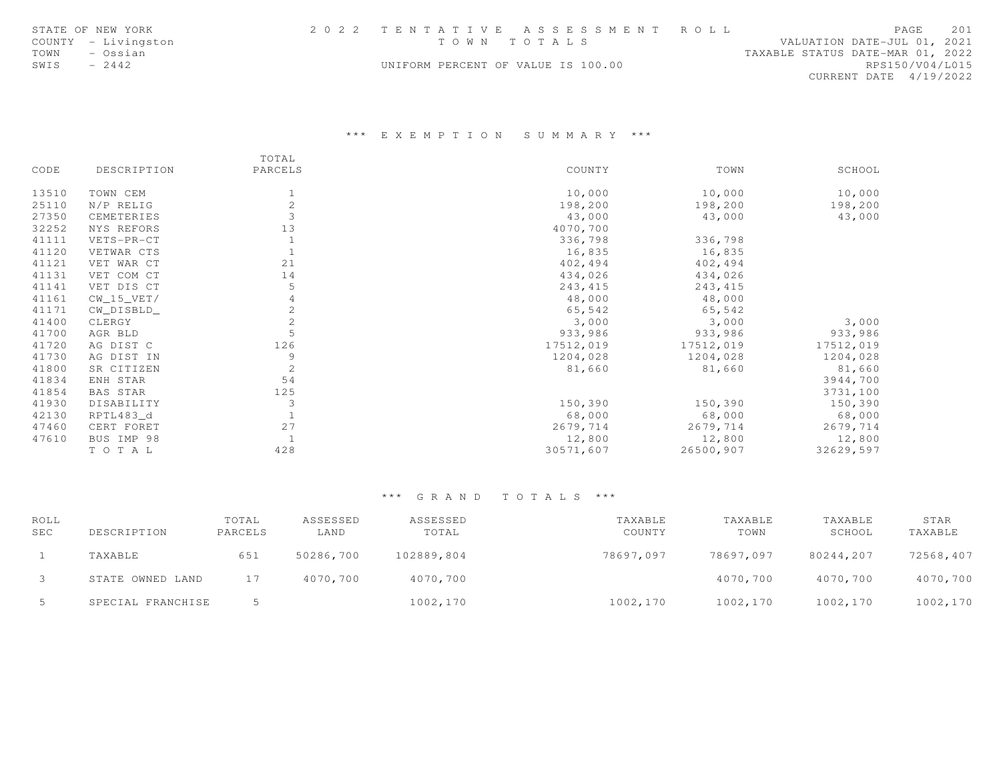|      | STATE OF NEW YORK   |                                    | 2022 TENTATIVE ASSESSMENT ROLL |                                  |                        | PAGE | 201 |
|------|---------------------|------------------------------------|--------------------------------|----------------------------------|------------------------|------|-----|
|      | COUNTY - Livingston | TOWN TOTALS                        |                                | VALUATION DATE-JUL 01, 2021      |                        |      |     |
| TOWN | – Ossian            |                                    |                                | TAXABLE STATUS DATE-MAR 01, 2022 |                        |      |     |
| SWIS | $-2442$             | UNIFORM PERCENT OF VALUE IS 100.00 |                                |                                  | RPS150/V04/L015        |      |     |
|      |                     |                                    |                                |                                  | CURRENT DATE 4/19/2022 |      |     |

# \*\*\* E X E M P T I O N S U M M A R Y \*\*\*

|       |              | TOTAL          |           |           |           |
|-------|--------------|----------------|-----------|-----------|-----------|
| CODE  | DESCRIPTION  | PARCELS        | COUNTY    | TOWN      | SCHOOL    |
| 13510 | TOWN CEM     |                | 10,000    | 10,000    | 10,000    |
| 25110 | N/P RELIG    | 2              | 198,200   | 198,200   | 198,200   |
| 27350 | CEMETERIES   | 3              | 43,000    | 43,000    | 43,000    |
| 32252 | NYS REFORS   | 13             | 4070,700  |           |           |
| 41111 | VETS-PR-CT   |                | 336,798   | 336,798   |           |
| 41120 | VETWAR CTS   |                | 16,835    | 16,835    |           |
| 41121 | VET WAR CT   | 21             | 402,494   | 402,494   |           |
| 41131 | VET COM CT   | 14             | 434,026   | 434,026   |           |
| 41141 | VET DIS CT   | 5              | 243, 415  | 243, 415  |           |
| 41161 | $CW_15_VET/$ |                | 48,000    | 48,000    |           |
| 41171 | CW_DISBLD_   | 2              | 65,542    | 65,542    |           |
| 41400 | CLERGY       | $\mathbf{2}$   | 3,000     | 3,000     | 3,000     |
| 41700 | AGR BLD      | 5              | 933,986   | 933,986   | 933,986   |
| 41720 | AG DIST C    | 126            | 17512,019 | 17512,019 | 17512,019 |
| 41730 | AG DIST IN   | 9              | 1204,028  | 1204,028  | 1204,028  |
| 41800 | SR CITIZEN   | $\overline{c}$ | 81,660    | 81,660    | 81,660    |
| 41834 | ENH STAR     | 54             |           |           | 3944,700  |
| 41854 | BAS STAR     | 125            |           |           | 3731,100  |
| 41930 | DISABILITY   | 3              | 150,390   | 150,390   | 150,390   |
| 42130 | RPTL483_d    |                | 68,000    | 68,000    | 68,000    |
| 47460 | CERT FORET   | 27             | 2679,714  | 2679,714  | 2679,714  |
| 47610 | BUS IMP 98   |                | 12,800    | 12,800    | 12,800    |
|       | TO TAL       | 428            | 30571,607 | 26500,907 | 32629,597 |

| ROLL       |                   | TOTAL   | ASSESSED  | ASSESSED   | TAXABLE   | TAXABLE   | TAXABLE   | STAR      |
|------------|-------------------|---------|-----------|------------|-----------|-----------|-----------|-----------|
| <b>SEC</b> | DESCRIPTION       | PARCELS | LAND      | TOTAL      | COUNTY    | TOWN      | SCHOOL    | TAXABLE   |
|            | TAXABLE           | 651     | 50286,700 | 102889,804 | 78697,097 | 78697.097 | 80244,207 | 72568,407 |
|            | STATE OWNED LAND  | 17      | 4070,700  | 4070,700   |           | 4070,700  | 4070,700  | 4070,700  |
| -5         | SPECIAL FRANCHISE |         |           | 1002,170   | 1002,170  | 1002,170  | 1002,170  | 1002,170  |